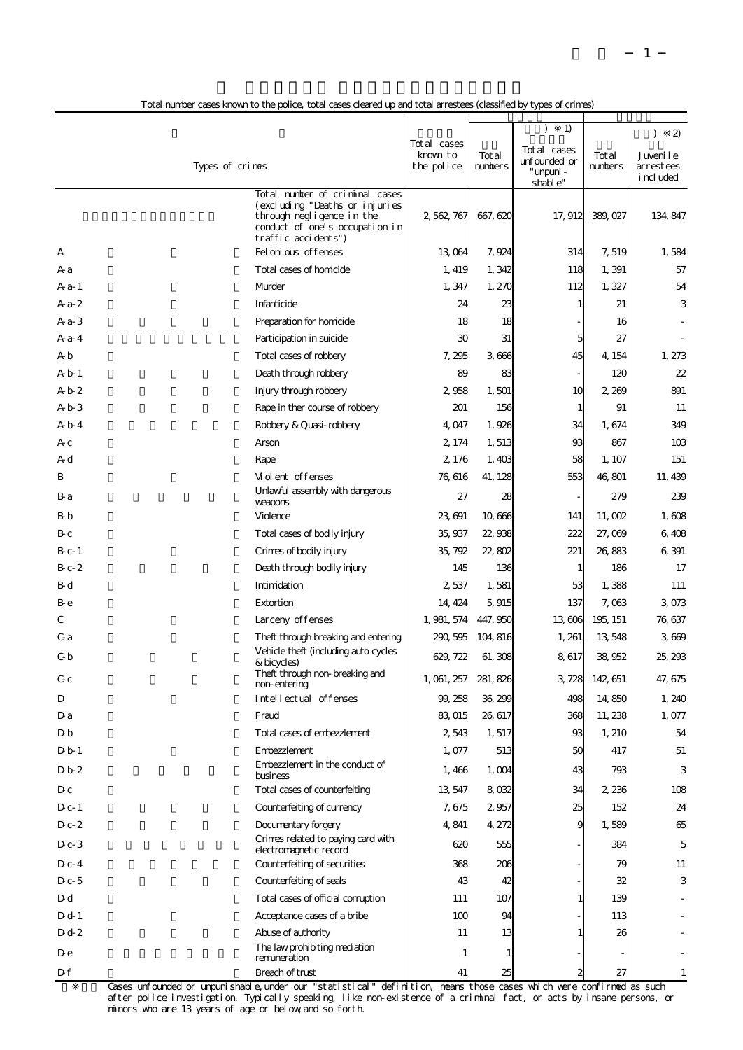$\mathbf l$ 

)  $1)$ 

 $\mathbf{I}$ 

検挙件数 検挙人員

|        |                                                                                                                                                        |                                        |                   | 1)                                                    |                   | $\lambda$<br>2)                      |
|--------|--------------------------------------------------------------------------------------------------------------------------------------------------------|----------------------------------------|-------------------|-------------------------------------------------------|-------------------|--------------------------------------|
|        | Types of crimes                                                                                                                                        | Tot al cases<br>known to<br>the police | Tot al<br>numbers | Tot al cases<br>unfounded or<br>" unpuni -<br>shable" | Tot al<br>numbers | Juveni le<br>arrestees<br>i ncl uded |
|        | Total number of criminal cases<br>(excluding "Deaths or injuries<br>through negligence in the<br>conduct of one's occupation in<br>traffic accidents") | 2 562 767                              | 667, 620          | 17, 912                                               | 389.027           | 134, 847                             |
| А      | Fel oni ous offenses                                                                                                                                   | 13,064                                 | 7, 924            | 314                                                   | 7, 519            | 1,584                                |
| Aа     | Total cases of homicide                                                                                                                                | 1, 419                                 | 1,342             | 118                                                   | 1,391             | 57                                   |
| A a- 1 | Murder                                                                                                                                                 | 1,347                                  | 1, 270            | 112                                                   | 1,327             | 54                                   |
| A a- 2 | Infanticide                                                                                                                                            | 24                                     | 23                |                                                       | 21                | 3                                    |
| A a- 3 | Preparation for homicide                                                                                                                               | 18                                     | 18                |                                                       | 16                |                                      |
| A a- 4 | Participation in suicide                                                                                                                               | 30                                     | 31                | 5                                                     | 27                |                                      |
| Аb     | Total cases of robbery                                                                                                                                 | 7,295                                  | 3,666             | 45                                                    | 4, 154            | 1, 273                               |
| A b- 1 | Death through robbery                                                                                                                                  | 89                                     | 83                |                                                       | 120               | 22                                   |
| A b 2  | Injury through robbery                                                                                                                                 | 2,958                                  | 1,501             | 10                                                    | 2,269             | 891                                  |
| AЬЗ    | Rape in ther course of robbery                                                                                                                         | 201                                    | 156               | 1                                                     | 91                | 11                                   |
| A b-4  | Robbery & Quasi-robbery                                                                                                                                | 4,047                                  | 1,926             | 34                                                    | 1,674             | 34 <sup>C</sup>                      |
| Aс     | Arson                                                                                                                                                  | 2, 174                                 | 1,513             | 93                                                    | 867               | 10 <sup>2</sup>                      |
| Αd     | Rape                                                                                                                                                   | 2, 176                                 | 1,403             | 58                                                    | 1, 107            | 151                                  |
| В      | Violent of fenses                                                                                                                                      | 76, 616                                | 41, 128           | 553                                                   | 46,801            | 11, 439                              |
| Вa     | Unlawful assembly with dangerous<br>weapons                                                                                                            | 27                                     | 28                |                                                       | 279               | 230                                  |
| Вb     | Violence                                                                                                                                               | 23, 691                                | 10,666            | 141                                                   | 11,002            | 1,608                                |
| Bс     | Total cases of bodily injury                                                                                                                           | 35, 937                                | 22,938            | 222                                                   | 27,089            | 6,408                                |
| B c- 1 | Crimes of bodily injury                                                                                                                                | 35, 792                                | 22,802            | 221                                                   | 26,883            | 6,391                                |
| B c- 2 | Death through bodily injury                                                                                                                            | 145                                    | 136               | 1                                                     | 186               | 17                                   |
| Βd     | Intimidation                                                                                                                                           | 2,537                                  | 1,581             | 53                                                    | 1,388             | 111                                  |
| Bе     | Extortion                                                                                                                                              | 14, 424                                | 5, 915            | 137                                                   | 7,063             | 3.073                                |
| С      | Larceny of fenses                                                                                                                                      | 1, 981, 574                            | 447, 950          | 13,606                                                | 195, 151          | 76, 637                              |
| C- a   | Theft through breaking and entering                                                                                                                    | 290, 595                               | 104, 816          | 1, 261                                                | 13,548            | 3,669                                |
| Сb     | Vehicle theft (including auto cycles<br>& bicycles)                                                                                                    | 629, 722                               | 61, 308           | 8,617                                                 | 38, 952           | 25, 293                              |
| Cс     | Theft through non-breaking and<br>non-entering                                                                                                         | 1, 061, 257                            | 281, 826          | 3, 728                                                | 142, 651          | 47, 675                              |
| D      | Intellectual offenses                                                                                                                                  | 99, 258                                | 36, 299           | 498                                                   | 14,850            | 1, 240                               |
| Dа     | Fraud                                                                                                                                                  | 83 015                                 | 26, 617           | 368                                                   | 11, 238           | 1,077                                |
| DЬ     | Total cases of embezzlement                                                                                                                            | 2,543                                  | 1, 517            | 93                                                    | 1, 210            | 54                                   |
| Db 1   | Embezzlement                                                                                                                                           | 1,077                                  | 513               | 50                                                    | 417               | 51                                   |
| D b 2  | Embezzlement in the conduct of<br>business                                                                                                             | 1,466                                  | 1,004             | 43                                                    | 793               | S                                    |
| Dс     | Total cases of counterfeiting                                                                                                                          | 13, 547                                | 8.032             | 34                                                    | 2,236             | 10 <sup>6</sup>                      |
| D c- 1 | Counterfeiting of currency                                                                                                                             | 7,675                                  | 2,957             | 25                                                    | 152               | 24                                   |
| D c- 2 | Documentary forgery<br>Crimes related to paying card with                                                                                              | 4,841                                  | 4, 272            | 9                                                     | 1,589             | 65                                   |
| D c- 3 | electromagnetic record                                                                                                                                 | 620                                    | 555               |                                                       | 384               | 5                                    |
| D c- 4 | Counterfeiting of securities                                                                                                                           | 368                                    | 206               |                                                       | 79                | 11                                   |
| D c-5  | Counterfeiting of seals                                                                                                                                | 43                                     | 42                |                                                       | 32                | 3                                    |
| Dd     | Total cases of official corruption                                                                                                                     | 111                                    | 107               |                                                       | 139               |                                      |
| D d- 1 | Acceptance cases of a bribe                                                                                                                            | 100                                    | 94                |                                                       | 113               |                                      |
| D d- 2 | Abuse of authority                                                                                                                                     | 11                                     | 13                |                                                       | 26                |                                      |
| Dе     | The law prohibiting mediation<br>remuneration                                                                                                          | 1                                      | 1                 |                                                       |                   |                                      |

| Total number cases known to the police, total cases cleared up and total arrestees (classified by types of crimes) |  |  |  |
|--------------------------------------------------------------------------------------------------------------------|--|--|--|
|                                                                                                                    |  |  |  |

Cases unfounded or unpunishable, under our "statistical" definition, means those cases which were confirmed as such<br>after police investigation. Typically speaking, like non-existence of a criminal fact, or acts by insane p

D-f  $\begin{array}{|c|c|c|c|c|c|}\n\hline\n\text{D-f} & \text{A1} & \text{A2} & \text{A2} & \text{A3} \\
\hline\n\end{array}$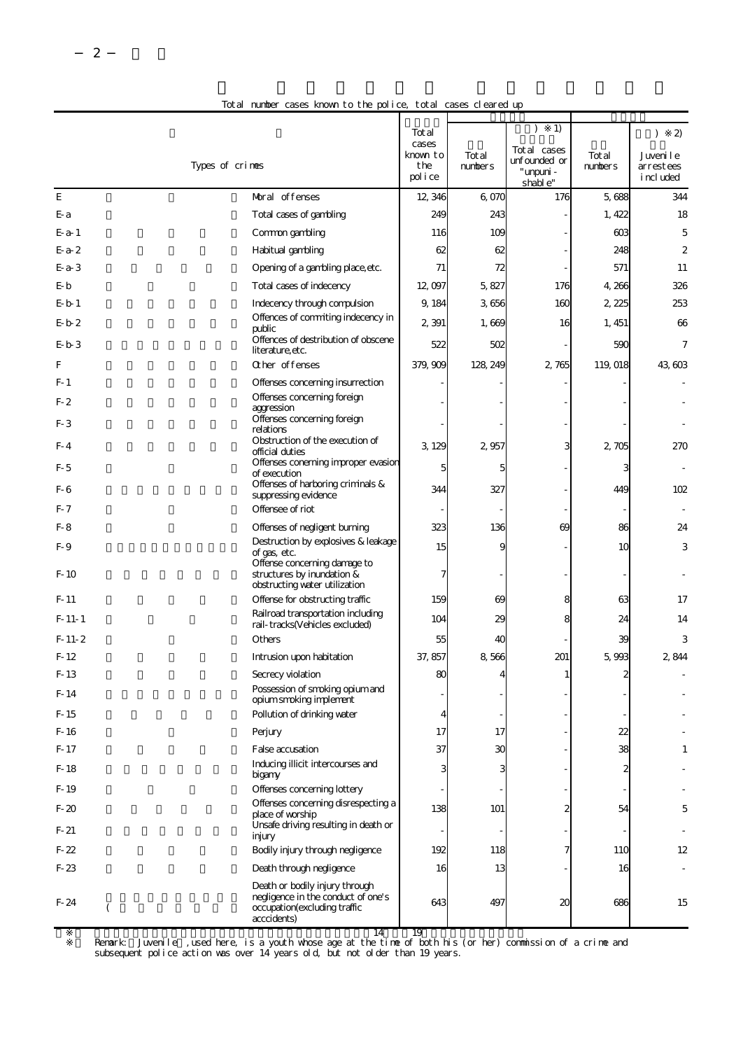|                            |                                                                                                                     | Tot al<br>cases           |                   | 1)<br>$\lambda$                                      |                   | 2)<br>Ι                              |
|----------------------------|---------------------------------------------------------------------------------------------------------------------|---------------------------|-------------------|------------------------------------------------------|-------------------|--------------------------------------|
|                            | Types of crimes                                                                                                     | known to<br>the<br>police | Tot al<br>numbers | Total cases<br>unfounded or<br>" umpuni -<br>shable" | Tot al<br>numbers | Juveni le<br>arrestees<br>i ncl uded |
| E                          | Moral offenses                                                                                                      | 12, 346                   | 6,070             | 176                                                  | 5,688             | 344                                  |
| E-a                        | Total cases of gambling                                                                                             | 249                       | 243               |                                                      | 1, 422            | 18                                   |
| $E-a-1$                    | Common gambling                                                                                                     | 116                       | 109               |                                                      | 603               | 5                                    |
| E-a-2                      | Habitual gambling                                                                                                   | 62                        | 62                |                                                      | 248               | $\overline{\mathcal{Z}}$             |
| $E-a-3$                    | Opening of a gambling place, etc.                                                                                   | 71                        | 72                |                                                      | 571               | 11                                   |
| E-b                        | Total cases of indecency                                                                                            | 12,097                    | 5,827             | 176                                                  | 4,266             | 326                                  |
| E <sub>b</sub> 1           | Indecency through compulsion                                                                                        | 9, 184                    | 3656              | 160                                                  | 2 2 2 5           | 253                                  |
| $E-b2$                     | Offences of commiting indecency in<br>public                                                                        | 2,391                     | 1,669             | 16                                                   | 1, 451            | 66                                   |
| $E-b-3$                    | Offences of destribution of obscene<br>literature, etc.                                                             | 522                       | 502               |                                                      | 590               | 7                                    |
| F                          | Other offenses                                                                                                      | 379, 909                  | 128, 249          | 2,765                                                | 119,018           | 43, 603                              |
| F- 1                       | Offenses concerning insurrection                                                                                    |                           |                   |                                                      |                   |                                      |
| F- 2                       | Offenses concerning foreign<br>aggression                                                                           |                           |                   |                                                      |                   |                                      |
| F-3                        | Offenses concerning foreign<br>relations                                                                            |                           |                   |                                                      |                   |                                      |
| F- 4                       | Obstruction of the execution of<br>official duties                                                                  | 3 129                     | 2957              | 3                                                    | 2,705             | 270                                  |
| F-5                        | Offenses coneming improper evasion<br>of execution                                                                  |                           |                   |                                                      |                   |                                      |
| F-6                        | Offenses of harboring criminals &<br>suppressing evidence                                                           | 344                       | 327               |                                                      | 449               | 102                                  |
| F- 7                       | Offensee of riot                                                                                                    |                           |                   |                                                      |                   |                                      |
| F- 8                       | Offenses of negligent burning                                                                                       | 323                       | 136               | 69                                                   | 86                | 24                                   |
| F- 9                       | Destruction by explosives & leakage<br>of gas, etc.                                                                 | 15                        |                   |                                                      | 10                | 3                                    |
| F-10                       | Offense concerning damage to<br>structures by inundation &<br>obstructing water utilization                         |                           |                   |                                                      |                   |                                      |
| $F-11$                     | Offense for obstructing traffic                                                                                     | 159                       | 69                | 8                                                    | 63                | 17                                   |
| $F-11-1$                   | Railroad transportation including<br>rail-tracks(Vehicles excluded)                                                 | 104                       | 2c                | 8                                                    | 24                | 14                                   |
| $F-11-2$                   | Others                                                                                                              | 55                        | 40                |                                                      | 39                | 3                                    |
| $F-12$                     | Intrusion upon habitation                                                                                           | 37, 857                   | 8 5 6 6           | 201                                                  | 5,993             | 2844                                 |
| $F-13$                     | Secrecy violation                                                                                                   | 80                        |                   | $\mathbf{1}$                                         |                   |                                      |
| $F-14$                     | Possession of smoking opium and<br>opium smoking implement                                                          |                           |                   |                                                      |                   |                                      |
| $F-15$                     | Pollution of drinking water                                                                                         |                           |                   |                                                      |                   |                                      |
| F-16                       | Perjury                                                                                                             | 17                        | 17                |                                                      | 22                |                                      |
| F-17                       | False accusation                                                                                                    | 37                        | 30                |                                                      | 38                | 1                                    |
| $F-18$                     | Inducing illicit intercourses and<br>bigany                                                                         | 3                         |                   |                                                      |                   |                                      |
| F-19                       | Offenses concerning lottery                                                                                         |                           |                   |                                                      |                   |                                      |
| F-20<br>F-21               | Offenses concerning disrespecting a<br>place of worship<br>Unsafe driving resulting in death or                     | 138                       | 101               | $\boldsymbol{2}$                                     | 54                | 5                                    |
|                            | injury                                                                                                              |                           |                   |                                                      |                   |                                      |
| F-22                       | Bodily injury through negligence                                                                                    | 192                       | 118               | 7                                                    | 110               | 12                                   |
| F-23                       | Death through negligence                                                                                            | 16                        | 13                |                                                      | 16                |                                      |
| $F-24$<br>$\overline{(\ }$ | Death or bodily injury through<br>negligence in the conduct of one's<br>occupation(excluding traffic<br>acccidents) | 643                       | 497               | 20                                                   | 686               | 15                                   |

Total number cases known to the police, total cases cleared up

 2 Remark: Juvenile」,used here, is a youth whose age at the time of both his (or her) commission of a crime and subsequent police action was over 14 years old, but not older than 19 years.  $14 \t 19$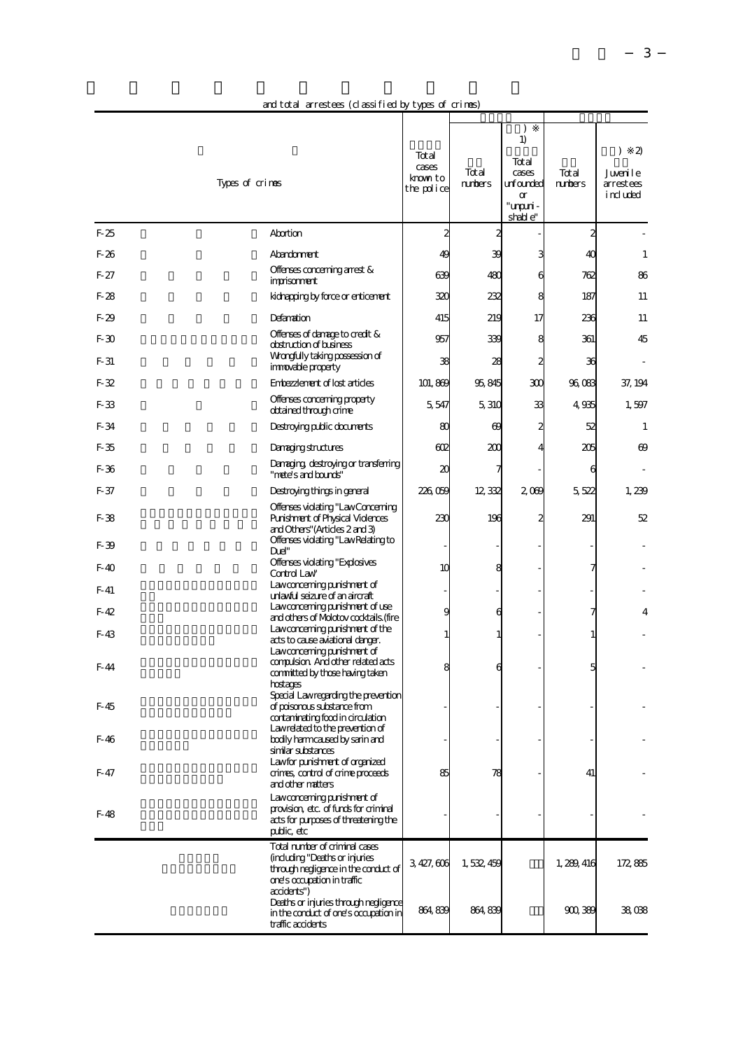検挙件数 検挙人員

|                 | Types of crimes                                                                                                                                        | Total<br>cases<br>known to<br>the police | Total<br><b>numbers</b> | $\mathcal{E}$<br>1)<br>Total<br>cases<br>unfounded<br>$\alpha$<br>"ununi-<br>shable" | Total<br><b>n</b> thers | 2<br>$\mathcal{L}$<br>Juvenile<br>arrestees<br>induded |
|-----------------|--------------------------------------------------------------------------------------------------------------------------------------------------------|------------------------------------------|-------------------------|--------------------------------------------------------------------------------------|-------------------------|--------------------------------------------------------|
| F <sub>25</sub> | Abartian                                                                                                                                               | 2                                        | 2                       |                                                                                      | 2                       |                                                        |
| $F-26$          | Abandonnent                                                                                                                                            | 49                                       | 39                      |                                                                                      | 4C                      | 1                                                      |
| FZ              | Offenses concerning arrest &<br>imprisonment                                                                                                           | 639                                      | 480                     | 6                                                                                    | 762                     | 86                                                     |
| F-28            | kidnapping by force or enticement                                                                                                                      | 320                                      | 232                     | 8                                                                                    | 187                     | 11                                                     |
| F-29            | Defamation                                                                                                                                             | 415                                      | 219                     | 17                                                                                   | 236                     | 11                                                     |
| F-30            | Offenses of damage to credit &<br>dostruction of business                                                                                              | 957                                      | 339                     | 8                                                                                    | 361                     | 45                                                     |
| F-31            | Wrangfully taking possession of<br>impovable property                                                                                                  | 38                                       | 28                      |                                                                                      | 36                      |                                                        |
| F <sub>32</sub> | Enbezdenent of lost articles                                                                                                                           | 101,869                                  | 95,845                  | 300                                                                                  | 96.083                  | 37, 194                                                |
| F-33            | Offenses concerning property<br>dotained through crime                                                                                                 | 5.547                                    | 5,310                   | 33                                                                                   | 4935                    | 1,597                                                  |
| F-34            | Destroying public documents                                                                                                                            | 80                                       | $_{\oplus}$             |                                                                                      | 52                      | 1                                                      |
| F <sub>35</sub> | Damaging structures                                                                                                                                    | 602                                      | 200                     |                                                                                      | 205                     | $\omega$                                               |
| F-36            | Damaging destroying or transferring<br>"nete's and bounds"                                                                                             | 20                                       |                         |                                                                                      | 6                       |                                                        |
| F-37            | Destroying things in general                                                                                                                           | 226 059                                  | 12332                   | 2009                                                                                 | 5522                    | 1,239                                                  |
| F <sub>38</sub> | Offenses violating "LawConcerning<br>Punishment of Physical Violences<br>and Others" (Articles 2 and 3)                                                | 230                                      | 196                     | 2                                                                                    | 291                     | 52                                                     |
| F-39            | Offenses violating "LawRelating to<br>Duel"                                                                                                            |                                          |                         |                                                                                      |                         |                                                        |
| $F-40$          | Offenses violating "Explosives<br>Control Law                                                                                                          | 10                                       | 8                       |                                                                                      |                         |                                                        |
| $F-41$          | Lawconcerning punishment of<br>unlavful seizure of an aircraft                                                                                         |                                          |                         |                                                                                      |                         |                                                        |
| F42             | Lawconcerning punishment of use<br>and others of Molotov cocktails (fire                                                                               |                                          |                         |                                                                                      |                         | 4                                                      |
| F-43            | Lawconcerning punishment of the<br>acts to cause aviational danger.                                                                                    |                                          |                         |                                                                                      |                         |                                                        |
| F-44            | Lawconcerning punishment of<br>compulsion And other related acts<br>committed by those having taken<br>hostages                                        |                                          |                         |                                                                                      |                         |                                                        |
| F-45            | Special Lawregarding the prevention<br>of poisonous substance from<br>contaminating food in circulation                                                |                                          |                         |                                                                                      |                         |                                                        |
| F-46            | Lawrelated to the prevention of<br>bodily harmcaused by sarin and<br>sinilar substances<br>Lawfor punishment of organized                              |                                          |                         |                                                                                      |                         |                                                        |
| F-47            | crimes, control of crime proceeds<br>and other matters                                                                                                 | 85                                       | Æ                       |                                                                                      | 41                      |                                                        |
| F-48            | Lawconcerning punishment of<br>provision, etc. of funds for criminal<br>acts for purposes of threatening the<br>public, etc                            |                                          |                         |                                                                                      |                         |                                                        |
|                 | Total number of criminal cases<br>(including "Deaths or injuries<br>through negligence in the conduct of<br>one's occupation in traffic<br>accidents") | 3427,606                                 | 1,532,459               |                                                                                      | 1, 289, 416             | 172865                                                 |
|                 | Deaths or injuries through negligence<br>in the conduct of one's occupation in<br>traffic accidents                                                    | 864,839                                  | 864,839                 |                                                                                      | 900,389                 | 38038                                                  |

and total arrestees (classified by types of crimes)

 $\mathbf I$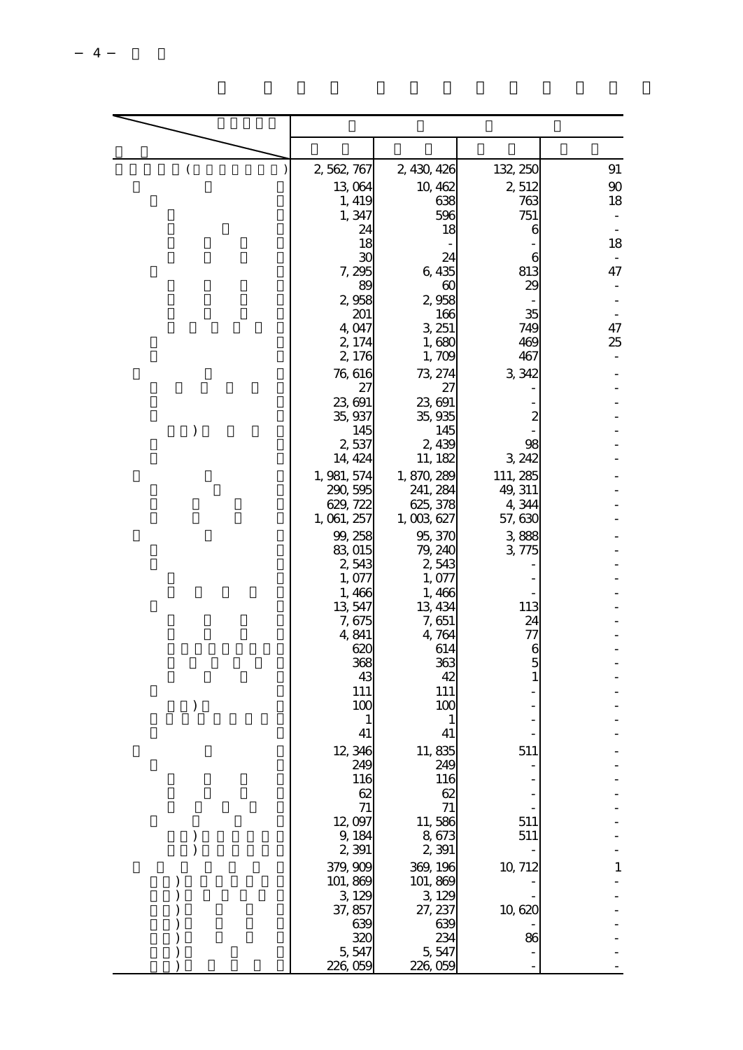| $\overline{\phantom{a}}$ | 2, 562, 767         | 2, 430, 426         | 132, 250       | 91       |
|--------------------------|---------------------|---------------------|----------------|----------|
|                          | 13,064<br>1, 419    | 10, 462<br>638      | 2,512<br>763   | 90<br>18 |
|                          | 1, 347              | 596                 | 751            |          |
|                          | 24                  | 18                  |                |          |
|                          | 18<br>З             | 24                  |                | 18       |
|                          | 7, 295              | 6,435               | 813            | 47       |
|                          | 89                  | 6C                  | 29             |          |
|                          | 2,958               | 2,958               |                |          |
|                          | 201<br>4,047        | 166<br>3, 251       | 35<br>749      | 47       |
|                          | 2, 174              | 1,680               | 469            | 25       |
|                          | 2, 176              | 1,709               | 467            |          |
|                          | 76, 616             | 73, 274             | 3, 342         |          |
|                          | 27<br>23, 691       | 27<br>23, 691       |                |          |
|                          | 35, 937             | 35, 935             |                |          |
|                          | 145                 | 145                 |                |          |
|                          | 2,537<br>14, 424    | 2,439<br>11, 182    | 98<br>3, 242   |          |
|                          | 1, 981, 574         | 1, 870, 289         | 111, 285       |          |
|                          | 290, 595            | 241, 284            | 49, 311        |          |
|                          | 629, 722            | 625, 378            | 4,344          |          |
|                          | 1, 061, 257         | 1,003,627           | 57,630         |          |
|                          | 99, 258<br>83,015   | 95, 370<br>79, 240  | 3,888<br>3,775 |          |
|                          | 2,543               | 2,543               |                |          |
|                          | 1, 077              | 1,077               |                |          |
|                          | 1,466               | 1,466               |                |          |
|                          | 13, 547<br>7,675    | 13, 434<br>7,651    | 113<br>24      |          |
|                          | 4, 841              | 4,764               |                |          |
|                          | 620                 | 614                 |                |          |
|                          | 368<br>43           | 363<br>42           |                |          |
|                          | 111                 | 111                 |                |          |
|                          | 100                 | 100                 |                |          |
|                          | 41                  | 41                  |                |          |
|                          | 12, 346             | 11,835              | 511            |          |
|                          | 249                 | 249                 |                |          |
|                          | 116                 | 116                 |                |          |
|                          | 62<br>71            | 62<br>71            |                |          |
|                          | 12,097              | 11,586              | 511            |          |
|                          | 9,184               | 8,673               | 511            |          |
|                          | 2,391               | 2,391               |                |          |
|                          | 379, 909<br>101,869 | 369, 196<br>101,869 | 10, 712        | 1        |
|                          | 3, 129              | 3,129               |                |          |
|                          | 37, 857             | 27, 237             | 10,620         |          |
|                          | 639<br>32C          | 639<br>234          | 86             |          |
|                          | 5,547               | 5,547               |                |          |
|                          | 226,059             | 226,059             |                |          |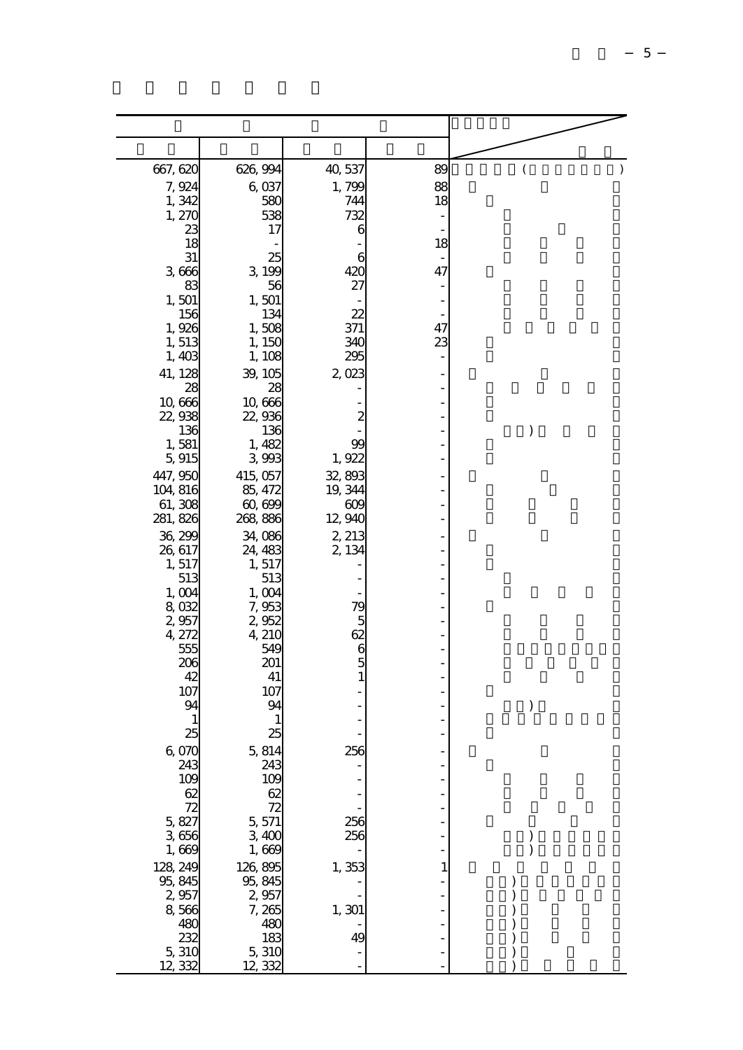| 667, 620                                                            | 626, 994          | 40, 537        | 89 | (             | $\mathcal{C}$ |
|---------------------------------------------------------------------|-------------------|----------------|----|---------------|---------------|
| 7, 924                                                              | 6,037             | 1,799          | 88 |               |               |
| 1,342<br>1, 27C                                                     | 580<br>538        | 744<br>732     | 18 |               |               |
| 23                                                                  | 17                |                |    |               |               |
| 18<br>31                                                            | 25                |                | 18 |               |               |
| 3,666                                                               | 3, 199            | 42Ο            | 47 |               |               |
| 83                                                                  | 56                | 27             |    |               |               |
| 1,501<br>156                                                        | 1,501<br>134      | 22             |    |               |               |
| 1,926                                                               | 1,508             | 371            | 47 |               |               |
| 1,513<br>1,403                                                      | 1, 150<br>1, 108  | 34C<br>295     | 23 |               |               |
| 41, 128                                                             | 39, 105           | 2,023          |    |               |               |
| 28                                                                  | 28<br>10,666      |                |    |               |               |
| 10,666<br>22,938                                                    | 22,936            |                |    |               |               |
| 136                                                                 | 136               |                |    | $\mathcal{E}$ |               |
| 1,581<br>5,915                                                      | 1,482<br>3,993    | 99<br>1,922    |    |               |               |
| 447, 950                                                            | 415,057           | 32, 893        |    |               |               |
| 104, 816<br>61, 308                                                 | 85, 472<br>60,699 | 19, 344<br>609 |    |               |               |
| 281, 826                                                            | 268, 886          | 12, 940        |    |               |               |
| 36, 299                                                             | 34,086            | 2, 213         |    |               |               |
| 26, 617<br>1,517                                                    | 24, 483<br>1,517  | 2, 134         |    |               |               |
| 513                                                                 | 513               |                |    |               |               |
| 1,004<br>8,032                                                      | 1,004<br>7,953    | 79             |    |               |               |
| 2,957                                                               | 2,952             |                |    |               |               |
| 4, 272<br>555                                                       | 4, 210<br>549     | 62<br>6        |    |               |               |
| 206                                                                 | 201               | 5              |    |               |               |
| 42<br>107                                                           | 41<br>107         | 1              |    |               |               |
| 94                                                                  | 94                |                |    | $\mathcal{E}$ |               |
| 25                                                                  | 25                |                |    |               |               |
| 6,070                                                               | 5,814             | 256            |    |               |               |
| 243                                                                 | 243               |                |    |               |               |
| $\begin{array}{r} 109 \\ 62 \\ 72 \\ 5, 827 \\ 25, 154 \end{array}$ | 109<br>62         |                |    |               |               |
|                                                                     | 72                |                |    |               |               |
| 3,656                                                               | 5, 571<br>3,400   | 256<br>256     |    |               |               |
| 1,669                                                               | 1,669             |                |    |               |               |
| 128, 249                                                            | 126, 895          | 1,353          |    |               |               |
| 95, 845<br>2,957                                                    | 95, 845<br>2,957  |                |    |               |               |
| 8,566                                                               | 7,265             | 1,301          |    |               |               |
| 480<br>232                                                          | 480<br>183        | 49             |    |               |               |
| 5, 310<br>12, 332                                                   | 5,310             |                |    |               |               |
|                                                                     | 12,332            |                |    |               |               |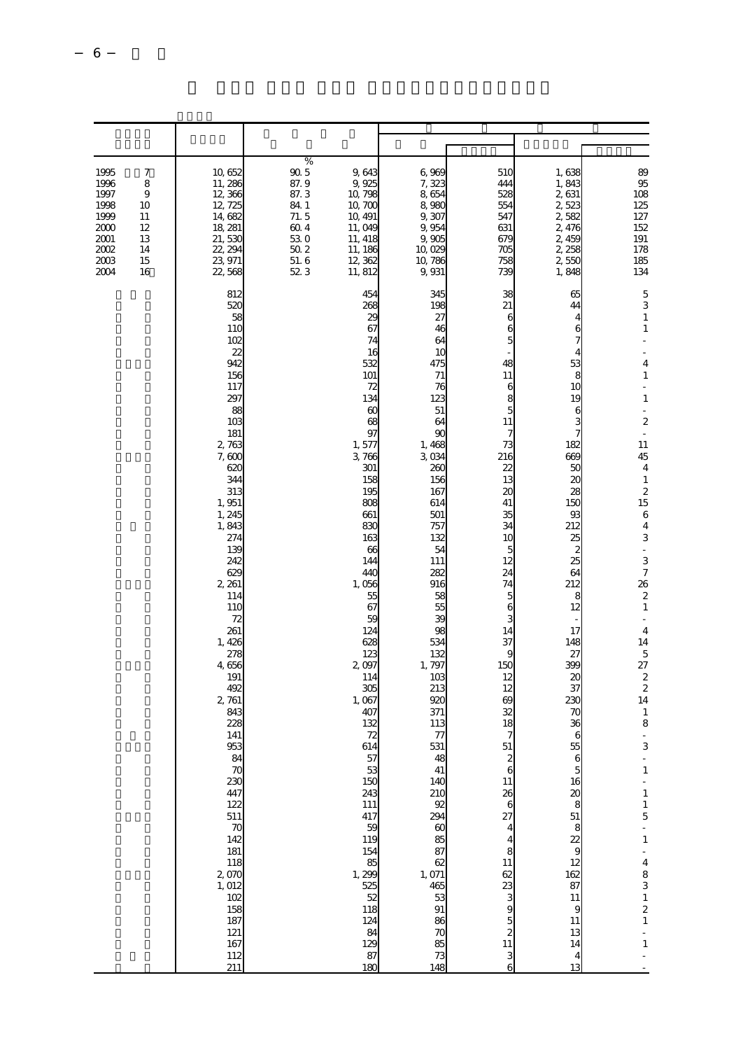| 1995<br>7<br>1996<br>8<br>1997<br>9<br>1998<br>10<br>1999<br>11<br>2000<br>12<br>2001<br>13<br>2002<br>14<br>2003<br>15<br>2004<br>16 | 10,652<br>11,286<br>12,366<br>12, 725<br>14,682<br>18, 281<br>21,530<br>22, 294<br>23, 971<br>22,568                                                                                                                                                                                                                                                                                                                                                           | %<br>$90\,5$<br>87.9<br>87.3<br>84 1<br>71.5<br>60.4<br>530<br>50.2<br>51.6<br>52 3 | 9,643<br>9,925<br>10, 798<br>10, 700<br>10, 491<br>11,049<br>11, 418<br>11, 186<br>12, 362<br>11, 812                                                                                                                                                                                                                                                                                                                                | 6,969<br>7,323<br>8,654<br>8,980<br>9,307<br>9,954<br>9,905<br>10,029<br>10, 786<br>9,931                                                                                                                                                                                                                                                                                                                              | 510<br>444<br>528<br>554<br>547<br>631<br>679<br>705<br>758<br>739                                                                                                                                                                                                                                                                                                 | 1,638<br>1,843<br>2,631<br>2,523<br>2,582<br>2,476<br>2,459<br>2, 258<br>2,550<br>1,848                                                                                                                                                                                                                                                                | $\begin{array}{c} 89 \\ 95 \end{array}$<br>108<br>125<br>127<br>152<br>191<br>178<br>185<br>134                                                                                                                                                                                                                                                                                                                                                                                                                                                                          |
|---------------------------------------------------------------------------------------------------------------------------------------|----------------------------------------------------------------------------------------------------------------------------------------------------------------------------------------------------------------------------------------------------------------------------------------------------------------------------------------------------------------------------------------------------------------------------------------------------------------|-------------------------------------------------------------------------------------|--------------------------------------------------------------------------------------------------------------------------------------------------------------------------------------------------------------------------------------------------------------------------------------------------------------------------------------------------------------------------------------------------------------------------------------|------------------------------------------------------------------------------------------------------------------------------------------------------------------------------------------------------------------------------------------------------------------------------------------------------------------------------------------------------------------------------------------------------------------------|--------------------------------------------------------------------------------------------------------------------------------------------------------------------------------------------------------------------------------------------------------------------------------------------------------------------------------------------------------------------|--------------------------------------------------------------------------------------------------------------------------------------------------------------------------------------------------------------------------------------------------------------------------------------------------------------------------------------------------------|--------------------------------------------------------------------------------------------------------------------------------------------------------------------------------------------------------------------------------------------------------------------------------------------------------------------------------------------------------------------------------------------------------------------------------------------------------------------------------------------------------------------------------------------------------------------------|
|                                                                                                                                       | 812<br>520<br>58<br>110<br>102<br>22<br>942<br>156<br>117<br>297<br>88<br>10 <sup>3</sup><br>181<br>2,763<br>7,600<br>62C<br>344<br>313<br>1,951<br>1, 245<br>1,843<br>274<br>139<br>242<br>629<br>2, 261<br>114<br>110<br>72<br>261<br>1,426<br>278<br>4,656<br>191<br>492<br>2,761<br>843<br>228<br>141<br>953<br>84<br>70<br>230<br>447<br>122<br>511<br>$\frac{70}{142}$<br>181<br>118<br>2,070<br>1, 012<br>102<br>158<br>187<br>121<br>167<br>112<br>211 |                                                                                     | 454<br>268<br>2 <sup>c</sup><br>67<br>74<br>16<br>532<br>101<br>72<br>134<br>$\alpha$<br>68<br>97<br>1, 577<br>3,766<br>301<br>158<br>195<br>808<br>661<br>830<br>163<br>66<br>144<br>440<br>1,056<br>55<br>67<br>59<br>124<br>628<br>123<br>2097<br>114<br>305<br>1,067<br>407<br>132<br>72<br>614<br>57<br>53<br>150<br>243<br>111<br>417<br>59<br>119<br>154<br>85<br>1, 299<br>525<br>52<br>118<br>124<br>84<br>129<br>87<br>180 | 345<br>198<br>27<br>46<br>64<br>10<br>475<br>71<br>76<br>123<br>51<br>64<br>$\alpha$<br>1,468<br>3,034<br>260<br>156<br>167<br>614<br>501<br>757<br>132<br>54<br>111<br>282<br>916<br>58<br>55<br>æ<br>98<br>534<br>132<br>1,797<br>10 <sub>3</sub><br>213<br>920<br>371<br>113<br>77<br>531<br>48<br>41<br>140<br>210<br>92<br>294<br>60<br>85<br>87<br>62<br>1,071<br>465<br>53<br>91<br>86<br>70<br>85<br>73<br>148 | 38<br>21<br>6<br>6<br>5<br>48<br>11<br>6<br>8<br>5<br>11<br>7<br>73<br>216<br>22<br>13<br>20<br>41<br>35<br>34<br>10<br>5<br>12<br>24<br>74<br>5<br>6<br>3<br>14<br>37<br>9<br>150<br>12<br>12<br>69<br>32<br>18<br>51<br>$\boldsymbol{2}$<br>6<br>11<br>26<br>$\,6$<br>27<br>4<br>4<br>8<br>11<br>62<br>23<br>3<br>9<br>5<br>$\boldsymbol{z}$<br>$11\,$<br>3<br>6 | 65<br>44<br>4<br>6<br>7<br>4<br>53<br>8<br>10<br>19<br>6<br>3<br>182<br>669<br>50<br>$\alpha$<br>28<br>150<br>93<br>212<br>25<br>2<br>25<br>64<br>212<br>8<br>12<br>17<br>148<br>27<br>399<br>20<br>37<br>230<br>70<br>36<br>6<br>55<br>6<br>5<br>16<br>$\infty$<br>8<br>51<br>8<br>22<br>9<br>12<br>162<br>87<br>11<br>9<br>11<br>13<br>14<br>4<br>13 | 5<br>3<br>$\mathbf{1}$<br>$\mathbf{1}$<br>$\sim$<br>4<br>$\mathbf{1}$<br>$\overline{a}$<br>$\,1\,$<br>$\frac{1}{2}$<br>$\boldsymbol{z}$<br>$\overline{\phantom{a}}$<br>11<br>45<br>$\overline{4}$<br>$\mathbf{1}$<br>$\boldsymbol{2}$<br>15<br>6<br>$\overline{4}$<br>3<br>$\overline{\phantom{a}}$<br>3<br>$\overline{7}$<br>26<br>$\boldsymbol{2}$<br>$\mathbf{1}$<br>$\blacksquare$<br>$\overline{4}$<br>14<br>5<br>27<br>$\boldsymbol{z}$<br>$\mathbf{z}$<br>14<br>$\,1\,$<br>8<br>÷,<br>3<br>$\blacksquare$<br>$\mathbf{1}$<br>$-115 - 1 - 483121$<br>$\frac{1}{1}$ |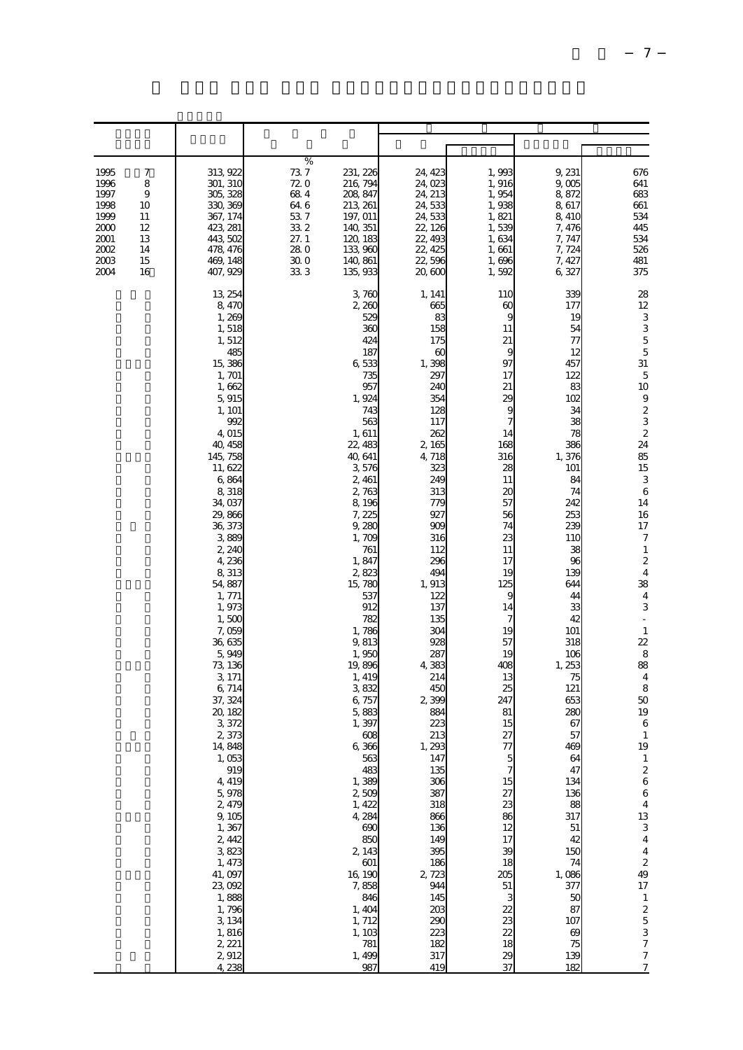| 1995<br>7<br>1996<br>8<br>1997<br>9<br>1998<br>10<br>1999<br>11<br>2000<br>12<br>2001<br>13<br>2002<br>14<br>2003<br>15<br>2004<br>16 | 313, 922<br>301, 310<br>305, 328<br>330, 369<br>367, 174<br>423, 281<br>443, 502<br>478, 476<br>469, 148<br>407, 929                                                                                                                                                                                                                                                                                                                                                                                                                                                           | %<br>73.7<br>72 O<br>684<br>64 6<br>537<br>332<br>27.1<br>28.0<br>30.0<br>33 3 | 231, 226<br>216, 794<br>208, 847<br>213, 261<br>197, 011<br>140, 351<br>120, 183<br>133,960<br>140, 861<br>135, 933                                                                                                                                                                                                                                                                                                                                                                                                   | 24, 423<br>24,023<br>24, 213<br>24, 533<br>24,533<br>22, 126<br>22, 493<br>22, 425<br>22, 596<br>20, 600                                                                                                                                                                                                                                                                                                                                                               | 1,993<br>1,916<br>1,954<br>1,938<br>1,821<br>1,539<br>1,634<br>1,661<br>1,696<br>1,592                                                                                                                                                                                                                                                                                                              | 9, 231<br>9,005<br>8.872<br>8,617<br>8, 410<br>7,476<br>7, 747<br>7, 724<br>7, 427<br>6 327                                                                                                                                                                                                                                                                                                                | 676<br>641<br>683<br>661<br>534<br>445<br>534<br>526<br>481<br>375                                                                                                                                                                                                                                                                                                                                                                                                                                                                                                                                                                                                         |
|---------------------------------------------------------------------------------------------------------------------------------------|--------------------------------------------------------------------------------------------------------------------------------------------------------------------------------------------------------------------------------------------------------------------------------------------------------------------------------------------------------------------------------------------------------------------------------------------------------------------------------------------------------------------------------------------------------------------------------|--------------------------------------------------------------------------------|-----------------------------------------------------------------------------------------------------------------------------------------------------------------------------------------------------------------------------------------------------------------------------------------------------------------------------------------------------------------------------------------------------------------------------------------------------------------------------------------------------------------------|------------------------------------------------------------------------------------------------------------------------------------------------------------------------------------------------------------------------------------------------------------------------------------------------------------------------------------------------------------------------------------------------------------------------------------------------------------------------|-----------------------------------------------------------------------------------------------------------------------------------------------------------------------------------------------------------------------------------------------------------------------------------------------------------------------------------------------------------------------------------------------------|------------------------------------------------------------------------------------------------------------------------------------------------------------------------------------------------------------------------------------------------------------------------------------------------------------------------------------------------------------------------------------------------------------|----------------------------------------------------------------------------------------------------------------------------------------------------------------------------------------------------------------------------------------------------------------------------------------------------------------------------------------------------------------------------------------------------------------------------------------------------------------------------------------------------------------------------------------------------------------------------------------------------------------------------------------------------------------------------|
|                                                                                                                                       | 13, 254<br>8,470<br>1,269<br>1,518<br>1,512<br>485<br>15, 386<br>1, 701<br>1,662<br>5,915<br>1, 101<br>992<br>4,015<br>40, 458<br>145, 758<br>11,622<br>6,864<br>8,318<br>34,037<br>29,866<br>36, 373<br>3,889<br>2,240<br>4,236<br>8,313<br>54, 887<br>1, 771<br>1,973<br>1,500<br>7,059<br>36, 635<br>5,949<br>73, 136<br>3, 171<br>6, 714<br>37, 324<br>20, 182<br>3,372<br>2,373<br>14,848<br>1,053<br>919<br>4, 419<br>5,978<br>2,479<br>9,105<br>1,367<br>2, 442<br>3,823<br>1, 473<br>41,097<br>23,092<br>1,888<br>1,796<br>3, 134<br>1,816<br>2, 221<br>2,912<br>4.238 |                                                                                | 3,760<br>2,200<br>529<br>360<br>424<br>187<br>6,533<br>735<br>957<br>1,924<br>743<br>563<br>1,611<br>22, 483<br>40, 641<br>3,576<br>2, 461<br>2,763<br>8,196<br>7,225<br>9,280<br>1,709<br>761<br>1,847<br>2,823<br>15,780<br>537<br>912<br>782<br>1,786<br>9,813<br>1,950<br>19,896<br>1, 419<br>3,832<br>6, 757<br>5,883<br>1,397<br>608<br>6,366<br>563<br>483<br>1,389<br>2,509<br>1, 422<br>4, 284<br>690<br>850<br>2, 143<br>601<br>16, 190<br>7,858<br>846<br>1,404<br>1, 712<br>1, 103<br>781<br>1,499<br>987 | 1, 141<br>665<br>83<br>158<br>175<br>$\alpha$<br>1,398<br>297<br>240<br>354<br>128<br>117<br>262<br>2 165<br>4,718<br>323<br>24 <sup>C</sup><br>313<br><b>779</b><br>927<br>900<br>316<br>112<br>296<br>494<br>1,913<br>122<br>137<br>135<br>304<br>928<br>287<br>4,383<br>214<br>450<br>2,390<br>884<br>223<br>213<br>1, 293<br>147<br>135<br>306<br>387<br>318<br>866<br>136<br>149<br>395<br>186<br>2 7 2 3<br>944<br>145<br>203<br>290<br>223<br>182<br>317<br>419 | 110<br>$\alpha$<br>ς<br>11<br>21<br>g<br>97<br>17<br>21<br>$\chi$<br>9<br>7<br>14<br>168<br>316<br>28<br>11<br>$\alpha$<br>57<br>56<br>74<br>23<br>11<br>17<br>19<br>125<br>S<br>14<br>7<br>19<br>57<br>19<br>408<br>13<br>25<br>247<br>81<br>15<br>27<br>77<br>$\mathbf 5$<br>$\overline{7}$<br>15<br>27<br>23<br>86<br>12<br>17<br>39<br>18<br>205<br>51<br>3<br>22<br>23<br>22<br>18<br>29<br>37 | 339<br>177<br>19<br>54<br>77<br>12<br>457<br>122<br>83<br>102<br>34<br>38<br>78<br>386<br>1,376<br>101<br>84<br>74<br>242<br>253<br>239<br>11C<br>38<br>96<br>139<br>644<br>44<br>33<br>42<br>101<br>318<br>106<br>1, 253<br>75<br>121<br>653<br>280<br>67<br>57<br>469<br>64<br>47<br>134<br>136<br>88<br>317<br>51<br>42<br>150<br>74<br>1,086<br>377<br>50<br>87<br>107<br>$\omega$<br>75<br>139<br>182 | 28<br>12<br>3<br>$\begin{array}{c} 3 \\ 5 \\ 5 \end{array}$<br>31<br>$\overline{5}$<br>10<br>$\,9$<br>$rac{2}{3}$<br>$\boldsymbol{z}$<br>24<br>85<br>15<br>3<br>$\,6$<br>14<br>16<br>17<br>$\boldsymbol{7}$<br>$\,1\,$<br>$\boldsymbol{2}$<br>$\sqrt{4}$<br>38<br>$\sqrt{4}$<br>3<br>$\frac{1}{2}$<br>$\,1\,$<br>22<br>8<br>88<br>$\overline{4}$<br>8<br>50<br>19<br>6<br>$\mathbf{1}$<br>19<br>$\mathbf{1}$<br>$\boldsymbol{2}$<br>$\overline{6}$<br>$\,$ 6 $\,$<br>$\ensuremath{4}$<br>$\begin{array}{c} 13 \\ 3 \\ 4 \end{array}$<br>$\bf{4}$<br>$\boldsymbol{2}$<br>49<br>$17\,$<br>$\begin{array}{c} 1 \\ 2 \\ 5 \\ 3 \end{array}$<br>$\frac{7}{7}$<br>$\overline{z}$ |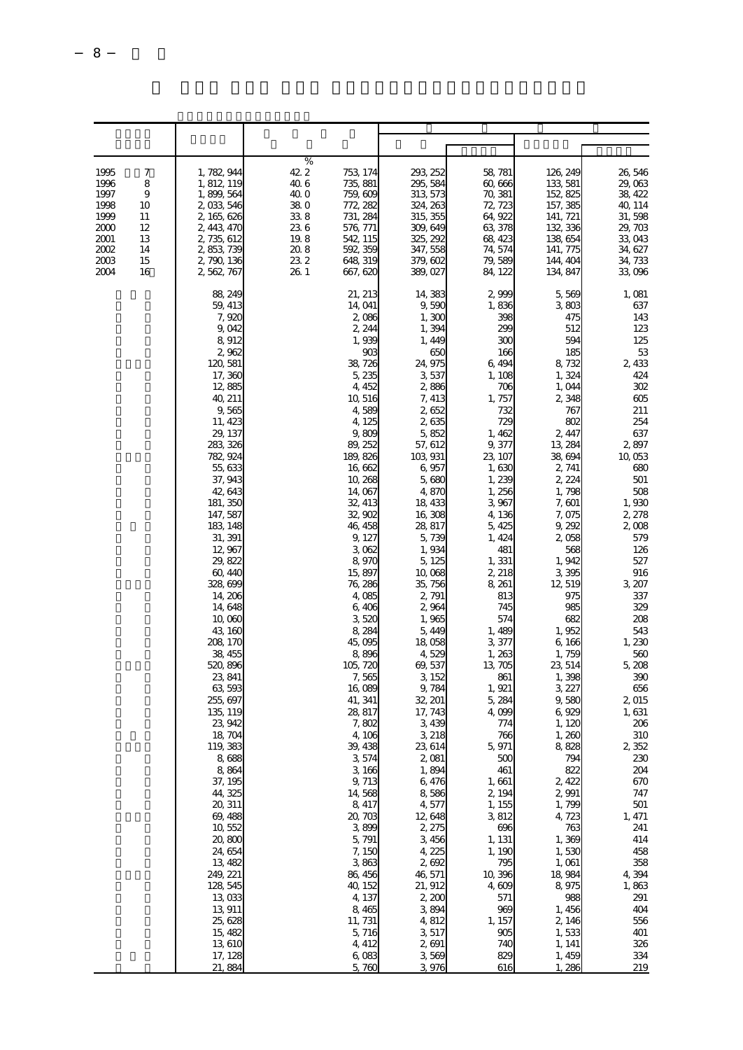| 1995<br>7<br>1996<br>8<br>1997<br>9<br>1998<br>10                  | 1, 782, 944<br>1, 812, 119<br>1,899,564<br>2,033,546                                                                                                                                                                                                                                                                                                                                 | $\%$<br>42.2<br>40.6<br>40. O<br>38.0 | 753, 174<br>293, 252<br>735, 881<br>295, 584<br>313, 573<br>759, 609<br>772, 282<br>324, 263                                                                                                                                                                                                                                                                                                                                                                                                                                                                                                                                                                                                                       | 58, 781<br>60,666<br>70, 381<br>72, 723                                                                                                                                                                                                                                                                    | 126, 249<br>133, 581<br>152, 825<br>157, 385                                                                                                                                                                                                                                                                    | 26,546<br>29,063<br>38, 422<br>40, 114                                                                                                                                                                                                                                 |
|--------------------------------------------------------------------|--------------------------------------------------------------------------------------------------------------------------------------------------------------------------------------------------------------------------------------------------------------------------------------------------------------------------------------------------------------------------------------|---------------------------------------|--------------------------------------------------------------------------------------------------------------------------------------------------------------------------------------------------------------------------------------------------------------------------------------------------------------------------------------------------------------------------------------------------------------------------------------------------------------------------------------------------------------------------------------------------------------------------------------------------------------------------------------------------------------------------------------------------------------------|------------------------------------------------------------------------------------------------------------------------------------------------------------------------------------------------------------------------------------------------------------------------------------------------------------|-----------------------------------------------------------------------------------------------------------------------------------------------------------------------------------------------------------------------------------------------------------------------------------------------------------------|------------------------------------------------------------------------------------------------------------------------------------------------------------------------------------------------------------------------------------------------------------------------|
| 1999<br>11<br>2000<br>12<br>2001<br>13<br>2002<br>14<br>2003<br>15 | 2, 165, 626<br>2, 443, 470<br>2, 735, 612<br>2,853,739<br>2, 790, 136                                                                                                                                                                                                                                                                                                                | 338<br>236<br>19.8<br>20.8<br>232     | 731, 284<br>315, 355<br>576, 771<br>309, 649<br>542, 115<br>325, 292<br>592, 359<br>347, 558<br>648, 319<br>379, 602                                                                                                                                                                                                                                                                                                                                                                                                                                                                                                                                                                                               | 64.922<br>63, 378<br>68, 423<br>74, 574<br>79,589                                                                                                                                                                                                                                                          | 141, 721<br>132, 336<br>138, 654<br>141, 775<br>144, 404                                                                                                                                                                                                                                                        | 31,598<br>29, 703<br>33,043<br>34, 627<br>34, 733                                                                                                                                                                                                                      |
| 2004<br>16                                                         | 2, 562, 767                                                                                                                                                                                                                                                                                                                                                                          | 26 1                                  | 667, 620<br>389, 027                                                                                                                                                                                                                                                                                                                                                                                                                                                                                                                                                                                                                                                                                               | 84, 122                                                                                                                                                                                                                                                                                                    | 134, 847                                                                                                                                                                                                                                                                                                        | 33,096                                                                                                                                                                                                                                                                 |
|                                                                    | 88, 249<br>59, 413<br>7,920<br>9,042<br>8,912<br>2,962<br>120,581<br>17,360<br>12,885<br>40, 211<br>9,565<br>11, 423<br>29, 137<br>283, 326<br>782, 924<br>55, 633<br>37, 943<br>42, 643<br>181, 350<br>147, 587<br>183 148<br>31, 391<br>12,967<br>29, 822<br>60, 440<br>328, 699<br>14, 206<br>14,648<br>10,000<br>43, 160<br>208, 170<br>38, 455<br>520, 896<br>23, 841<br>63,593 |                                       | 21, 213<br>14, 383<br>14, 041<br>9,590<br>2,086<br>1,300<br>2, 244<br>1,394<br>1,449<br>1,939<br>90 <sup>c</sup><br>650<br>24, 975<br>38, 726<br>5,235<br>3,537<br>4, 452<br>2,886<br>10, 516<br>7, 413<br>4,589<br>2652<br>4, 125<br>2,635<br>9,800<br>5,852<br>89, 252<br>57, 612<br>189, 826<br>103, 931<br>6,957<br>16,662<br>10, 268<br>5,680<br>14,067<br>4,870<br>32, 413<br>18, 433<br>32,902<br>16, 308<br>46, 458<br>28, 817<br>9, 127<br>5,739<br>1,934<br>3062<br>8,970<br>5, 125<br>15,897<br>10,068<br>76, 286<br>35, 756<br>2, 791<br>4,085<br>6,406<br>2,964<br>352<br>1,965<br>8,284<br>5, 449<br>45,095<br>18,058<br>8,896<br>4,529<br>105, 720<br>69, 537<br>3, 152<br>7,565<br>9,784<br>16,089 | 2,999<br>1,836<br>398<br>299<br>300<br>166<br>6,494<br>1, 108<br>706<br>1,757<br>732<br>729<br>1,462<br>9, 377<br>23, 107<br>1,630<br>1,239<br>1, 256<br>3,967<br>4,136<br>5, 425<br>1, 424<br>481<br>1,331<br>2, 218<br>8, 261<br>813<br>745<br>574<br>1,489<br>3,377<br>1,263<br>13,705<br>861<br>1, 921 | 5,569<br>3803<br>475<br>512<br>594<br>185<br>8, 732<br>1,324<br>1,044<br>2,348<br>767<br>802<br>2, 447<br>13, 284<br>38, 694<br>2, 741<br>2, 224<br>1,798<br>7,601<br>7,075<br>9,292<br>2,058<br>568<br>1,942<br>3,395<br>12, 519<br>975<br>985<br>682<br>1,952<br>6, 166<br>1,759<br>23, 514<br>1,398<br>3 227 | 1,081<br>637<br>143<br>123<br>125<br>53<br>2,433<br>424<br>302<br>605<br>211<br>254<br>637<br>2897<br>10,053<br>680<br>501<br>508<br>1,930<br>2, 278<br>2,008<br>579<br>126<br>527<br>916<br>3, 207<br>337<br>329<br>208<br>543<br>1,230<br>560<br>5,208<br>390<br>656 |
|                                                                    | 255, 697<br>135, 119<br>23, 942<br>18,704<br>119, 383                                                                                                                                                                                                                                                                                                                                |                                       | 41, 341<br>32, 201<br>28, 817<br>17, 743<br>7,802<br>3,439<br>4, 106<br>3, 218<br>39, 438<br>23, 614                                                                                                                                                                                                                                                                                                                                                                                                                                                                                                                                                                                                               | 5, 284<br>4,099<br>774<br>766<br>5, 971                                                                                                                                                                                                                                                                    | 9,580<br>6,929<br>1,120<br>1,260<br>8,828                                                                                                                                                                                                                                                                       | 2,015<br>1,631<br>206<br>310<br>2,352                                                                                                                                                                                                                                  |
|                                                                    | 8,688<br>8,864<br>37, 195<br>44, 325                                                                                                                                                                                                                                                                                                                                                 |                                       | 3,574<br>2,081<br>3,166<br>1,894<br>9, 713<br>6,476<br>14,568<br>8,586                                                                                                                                                                                                                                                                                                                                                                                                                                                                                                                                                                                                                                             | 500<br>461<br>1,661<br>2, 194                                                                                                                                                                                                                                                                              | 794<br>822<br>2,422<br>2,991                                                                                                                                                                                                                                                                                    | 230<br>204<br>670<br>747                                                                                                                                                                                                                                               |
|                                                                    | 20, 311<br>69, 488<br>10, 552<br>20,800<br>24,654                                                                                                                                                                                                                                                                                                                                    |                                       | 8, 417<br>4,577<br>20, 703<br>12, 648<br>3,899<br>2, 275<br>5, 791<br>3, 456<br>4, 225<br>7,150                                                                                                                                                                                                                                                                                                                                                                                                                                                                                                                                                                                                                    | 1, 155<br>3,812<br>696<br>1, 131<br>1, 190                                                                                                                                                                                                                                                                 | 1,799<br>4, 723<br>763<br>1,369<br>1,530                                                                                                                                                                                                                                                                        | 501<br>1, 471<br>241<br>414<br>458                                                                                                                                                                                                                                     |
|                                                                    | 13, 482<br>249, 221<br>128, 545<br>13,033                                                                                                                                                                                                                                                                                                                                            |                                       | 3,863<br>2,692<br>86, 456<br>46, 571<br>40, 152<br>21, 912<br>4, 137<br>2,200                                                                                                                                                                                                                                                                                                                                                                                                                                                                                                                                                                                                                                      | 795<br>10, 396<br>4609<br>571                                                                                                                                                                                                                                                                              | 1,061<br>18, 984<br>8,975<br>988                                                                                                                                                                                                                                                                                | 358<br>4,394<br>1,863<br>291                                                                                                                                                                                                                                           |
|                                                                    | 13, 911<br>25, 628<br>15, 482<br>13,610<br>17, 128                                                                                                                                                                                                                                                                                                                                   |                                       | 8,465<br>3,894<br>11, 731<br>4,812<br>5,716<br>3,517<br>4, 412<br>2,691<br>6,083<br>3,569                                                                                                                                                                                                                                                                                                                                                                                                                                                                                                                                                                                                                          | 969<br>1, 157<br>905<br>740<br>829                                                                                                                                                                                                                                                                         | 1,456<br>2, 146<br>1,533<br>1, 141<br>1,459                                                                                                                                                                                                                                                                     | 404<br>556<br>401<br>326<br>334                                                                                                                                                                                                                                        |
|                                                                    | 21,884                                                                                                                                                                                                                                                                                                                                                                               |                                       | 5,760<br>3.976                                                                                                                                                                                                                                                                                                                                                                                                                                                                                                                                                                                                                                                                                                     | 616                                                                                                                                                                                                                                                                                                        | 1,286                                                                                                                                                                                                                                                                                                           | 219                                                                                                                                                                                                                                                                    |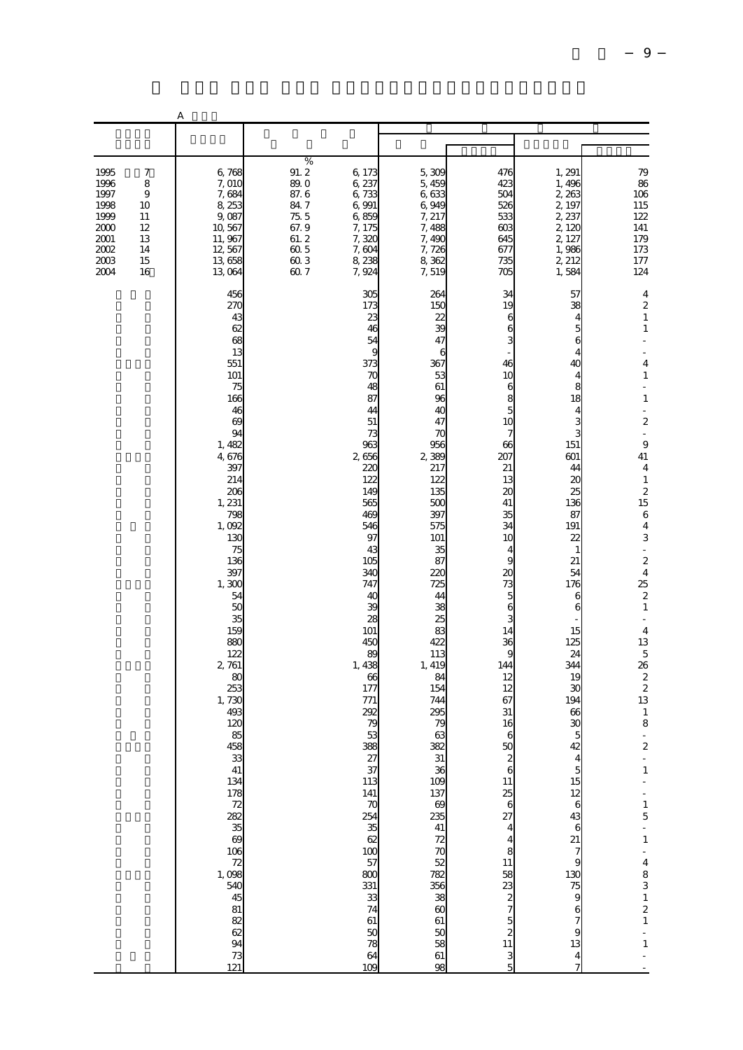|                                                                              |                                                                    | А                                                                                                                                                                                                                                                                                                                      |                                                                                                                   |                                                                                                                                                                                                                                                                                                                                                                                                      |                                                                                                                                                                                                                                                                                                                                                   |                                                                                                                                                                                                                                                                                                                                                                                                           |                                                                                                                                                                                                                                                                                                                                                                                                                                                                                                                             |                                                                                                                                                                                                                                                                                                                                                                                                                                                                                                                                                                                                                |
|------------------------------------------------------------------------------|--------------------------------------------------------------------|------------------------------------------------------------------------------------------------------------------------------------------------------------------------------------------------------------------------------------------------------------------------------------------------------------------------|-------------------------------------------------------------------------------------------------------------------|------------------------------------------------------------------------------------------------------------------------------------------------------------------------------------------------------------------------------------------------------------------------------------------------------------------------------------------------------------------------------------------------------|---------------------------------------------------------------------------------------------------------------------------------------------------------------------------------------------------------------------------------------------------------------------------------------------------------------------------------------------------|-----------------------------------------------------------------------------------------------------------------------------------------------------------------------------------------------------------------------------------------------------------------------------------------------------------------------------------------------------------------------------------------------------------|-----------------------------------------------------------------------------------------------------------------------------------------------------------------------------------------------------------------------------------------------------------------------------------------------------------------------------------------------------------------------------------------------------------------------------------------------------------------------------------------------------------------------------|----------------------------------------------------------------------------------------------------------------------------------------------------------------------------------------------------------------------------------------------------------------------------------------------------------------------------------------------------------------------------------------------------------------------------------------------------------------------------------------------------------------------------------------------------------------------------------------------------------------|
|                                                                              |                                                                    |                                                                                                                                                                                                                                                                                                                        |                                                                                                                   |                                                                                                                                                                                                                                                                                                                                                                                                      |                                                                                                                                                                                                                                                                                                                                                   |                                                                                                                                                                                                                                                                                                                                                                                                           |                                                                                                                                                                                                                                                                                                                                                                                                                                                                                                                             |                                                                                                                                                                                                                                                                                                                                                                                                                                                                                                                                                                                                                |
| 1995<br>1996<br>1997<br>1998<br>1999<br>2000<br>2001<br>2002<br>2003<br>2004 | 7<br>8<br>$\overline{9}$<br>10<br>11<br>12<br>13<br>14<br>15<br>16 | 6,768<br>7,010<br>7,684<br>8, 253<br>9,087<br>10, 567<br>11, 967<br>12, 567<br>13,658<br>13,064                                                                                                                                                                                                                        | $\%$<br>91.2<br>89.0<br>87.6<br>847<br>$75.5\,$<br>67.9<br>61.2<br>$\begin{matrix}60.5\\60.3\end{matrix}$<br>60.7 | 6,173<br>6, 237<br>6,733<br>6,991<br>6,859<br>7, 175<br>7,320<br>7,604<br>8,238<br>7, 924                                                                                                                                                                                                                                                                                                            | 5,300<br>5, 459<br>6,633<br>6,949<br>7, 217<br>7,488<br>7,490<br>7,726<br>8,362<br>7,519                                                                                                                                                                                                                                                          | 476<br>423<br>504<br>526<br>533<br>60 <sup>2</sup><br>645<br>677<br>735<br>705                                                                                                                                                                                                                                                                                                                            | 1, 291<br>1,496<br>2, 263<br>2, 197<br>2, 237<br>2,120<br>2, 127<br>1,986<br>2, 212<br>1,584                                                                                                                                                                                                                                                                                                                                                                                                                                | $\begin{array}{c} 79 \\ 86 \end{array}$<br>106<br>115<br>122<br>141<br>179<br>173<br>177<br>124                                                                                                                                                                                                                                                                                                                                                                                                                                                                                                                |
|                                                                              |                                                                    | 456<br>270<br>43<br>62<br>68<br>13<br>551<br>101<br>75<br>166<br>46<br>69<br>94<br>1,482<br>4,676<br>397<br>214<br>206<br>1, 231<br>798<br>1,092<br>130<br>75<br>136<br>397<br>1,300<br>54<br>50<br>35<br>159<br>880<br>122<br>2, 761<br>80<br>253<br>1,730<br>493<br>120<br>85<br>458<br>33<br>41<br>$\frac{73}{121}$ |                                                                                                                   | 305<br>173<br>23<br>46<br>54<br>g<br>373<br>70<br>48<br>87<br>44<br>51<br>73<br>963<br>2656<br>220<br>122<br>149<br>565<br>469<br>546<br>97<br>43<br>105<br>340<br>747<br>4C<br>æ<br>28<br>101<br>450<br>8C<br>1,438<br>66<br>177<br>771<br>292<br>79<br>$53$<br>388<br>27<br>37<br>113<br>141<br>$70$<br>254<br>35<br>62<br>62<br>100<br>57<br>33<br>33<br>74<br>61<br>$\frac{50}{78}$<br>64<br>109 | 264<br>15C<br>22<br>39<br>47<br>6<br>367<br>53<br>61<br>96<br>4C<br>47<br>70<br>956<br>2,389<br>217<br>122<br>135<br>500<br>397<br>575<br>101<br>35<br>87<br>220<br>725<br>44<br>38<br>25<br>83<br>422<br>113<br>1, 419<br>84<br>154<br>744<br>295<br>79<br>63<br>382<br>$\overline{31}$<br>e 8 % 8 8 2 3 3 4 8 8 3 8 8 8<br>50<br>58<br>61<br>98 | 34<br>19<br>6<br>6<br>3<br>46<br>10<br>6<br>8<br>5<br>10<br>7<br>66<br>207<br>21<br>13<br>$\alpha$<br>41<br>35<br>34<br>10<br>4<br>9<br>20<br>73<br>5<br>6<br>3<br>14<br>36<br>9<br>144<br>12<br>12<br>67<br>31<br>16<br>6<br>50<br>$\mathbf{6}$<br>11<br>25<br>6<br>27<br>$\overline{4}$<br>$\overline{\mathbf{r}}$<br>$811$ 58 23 2 2 7<br>$\begin{array}{c} 5 \\ 2 \\ 11 \end{array}$<br>$\frac{3}{5}$ | 57<br>38<br>4<br>5<br>6<br>4<br>40<br>4<br>8<br>18<br>4<br>3<br>3<br>151<br>601<br>44<br>$\alpha$<br>25<br>136<br>87<br>191<br>22<br>$\mathbf{1}$<br>21<br>54<br>176<br>6<br>6<br>15<br>125<br>24<br>344<br>19<br>30<br>194<br>66<br>30<br>5<br>42<br>$\begin{array}{c} 5 \\ 15 \end{array}$<br>12<br>$rac{6}{43}$<br>$\begin{array}{c}\n6 \\ 21 \\ 7\n\end{array}$<br>$\overline{9}$<br>$\begin{array}{c}\n 130 \\  75 \\  9\n \end{array}$<br>6<br>$\overline{7}$<br>9<br>13<br>$\overline{\mathbf{4}}$<br>$\overline{7}$ | 4<br>$\overline{\mathcal{L}}$<br>$\,1\,$<br>$\,1\,$<br>$\bar{\phantom{a}}$<br>4<br>$\,1\,$<br>$\overline{\phantom{a}}$<br>$\,1\,$<br>÷,<br>$\overline{\mathcal{L}}$<br>$\frac{1}{9}$<br>41<br>$\overline{4}$<br>$\,1\,$<br>$\boldsymbol{2}$<br>15<br>$\,6$<br>$\overline{4}$<br>3<br>÷,<br>$\frac{2}{4}$<br>$rac{25}{2}$<br>$\mathbf 1$<br>$\overline{\phantom{a}}$<br>$\overline{4}$<br>$\begin{array}{c} 13 \\ 5 \end{array}$<br>$\begin{array}{c}\n 26 \\  2 \\  2\n \end{array}$<br>13<br>$\,1\,$<br>8<br>$\overline{\mathbf{c}}$<br>$\,1\,$<br>$-1$<br>$-1$<br>$-1$<br>$-1$<br>$-483121$<br>$\frac{1}{1}$ |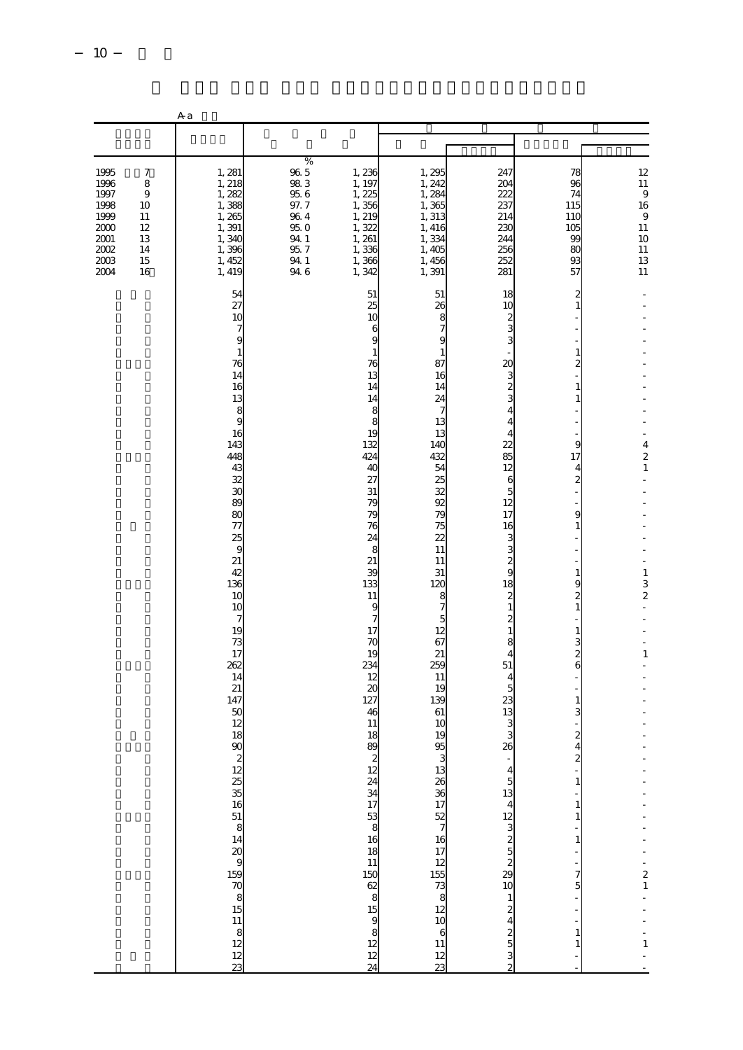|                                                                                      |                                                                                           | A a                                                                                                                                                                                                                                                                                                                                                    |                                                                                                                |                                                                                                                                                                                                                                                                                                                                                                                                                        |                                                                                                                                                                                                                                                                                                                                                                                                                                                                                                                                  |                                                                                                                                                                                                                                                                                                                                                                                                    |                                                                                                                                                                                                                                                                                                                                                                              |                                                                                                                                                                                                                                                                                                             |
|--------------------------------------------------------------------------------------|-------------------------------------------------------------------------------------------|--------------------------------------------------------------------------------------------------------------------------------------------------------------------------------------------------------------------------------------------------------------------------------------------------------------------------------------------------------|----------------------------------------------------------------------------------------------------------------|------------------------------------------------------------------------------------------------------------------------------------------------------------------------------------------------------------------------------------------------------------------------------------------------------------------------------------------------------------------------------------------------------------------------|----------------------------------------------------------------------------------------------------------------------------------------------------------------------------------------------------------------------------------------------------------------------------------------------------------------------------------------------------------------------------------------------------------------------------------------------------------------------------------------------------------------------------------|----------------------------------------------------------------------------------------------------------------------------------------------------------------------------------------------------------------------------------------------------------------------------------------------------------------------------------------------------------------------------------------------------|------------------------------------------------------------------------------------------------------------------------------------------------------------------------------------------------------------------------------------------------------------------------------------------------------------------------------------------------------------------------------|-------------------------------------------------------------------------------------------------------------------------------------------------------------------------------------------------------------------------------------------------------------------------------------------------------------|
|                                                                                      |                                                                                           |                                                                                                                                                                                                                                                                                                                                                        |                                                                                                                |                                                                                                                                                                                                                                                                                                                                                                                                                        |                                                                                                                                                                                                                                                                                                                                                                                                                                                                                                                                  |                                                                                                                                                                                                                                                                                                                                                                                                    |                                                                                                                                                                                                                                                                                                                                                                              |                                                                                                                                                                                                                                                                                                             |
| 1995<br>1996<br>1997<br>1998<br>1999<br>2000<br>2001<br>$2002\,$<br>$2003\,$<br>2004 | $\boldsymbol{7}$<br>$\,8\,$<br>$\boldsymbol{9}$<br>10<br>11<br>12<br>13<br>14<br>15<br>16 | 1, 281<br>1, 218<br>1, 282<br>1,388<br>1,265<br>1,391<br>1,340<br>1,396<br>1, 452<br>1, 419                                                                                                                                                                                                                                                            | $\%$<br>$\frac{96}{98}$ 3<br>$95\;6$<br>97.7<br>$96\ 4$<br>$95\ 0$<br>94 1<br>$95.7\,$<br>$94\,$ $1\,$<br>94.6 | 1,236<br>1, 197<br>1, 225<br>1,356<br>1, 219<br>1,322<br>1, 261<br>1,336<br>1,366<br>1,342                                                                                                                                                                                                                                                                                                                             | $1, 295$<br>$1, 242$<br>1, 284<br>1,365<br>1,313<br>1,416<br>1,334<br>1,405<br>1,456<br>1,391                                                                                                                                                                                                                                                                                                                                                                                                                                    | 247<br>204<br>222<br>237<br>214<br>23C<br>244<br>256<br>252<br>281                                                                                                                                                                                                                                                                                                                                 | 78<br>96<br>74<br>115<br>110<br>105<br>99<br>80<br>93<br>57                                                                                                                                                                                                                                                                                                                  | $12\,$<br>11<br>$\mathbf{9}$<br>16<br>$\overline{9}$<br>11<br>$\begin{array}{c} 10 \\ 11 \\ 13 \\ 11 \end{array}$                                                                                                                                                                                           |
|                                                                                      |                                                                                           | 54<br>27<br>10<br>7<br>9<br>$\mathbf{1}$<br>76<br>14<br>16<br>13<br>8<br>9<br>16<br>143<br>448<br>43<br>32<br>$\mathfrak{X}$<br>89<br>$\infty$<br>77<br>25<br>$\epsilon$<br>21<br>42<br>136<br>10<br>1C<br>$\overline{\phantom{a}}$<br>19<br>73<br>17<br>262<br>14<br>21<br>147<br>5C<br>12<br>18<br>90<br><u>ន្ទ្រាប្ដូរ ១៩ មិន ១៩ មិន ១៩ មិន និង</u> |                                                                                                                | 51<br>25<br>10<br>6<br>g<br>76<br>13<br>14<br>14<br>8<br>8<br>19<br>132<br>424<br>4C<br>27<br>31<br>79<br>79<br>76<br>24<br>8<br>21<br>39<br>133<br>11<br>9<br>7<br>17<br>70<br>19<br>234<br>12<br>20<br>127<br>46<br>11<br>18<br>89<br>$rac{2}{12}$<br>24<br>34<br>$\begin{array}{c} 17 \\ 53 \\ 8 \\ 16 \end{array}$<br>$\begin{array}{c} 18 \\ 11 \end{array}$<br>$\frac{1}{15}$<br>9<br>$\frac{8}{12}$<br>12<br>24 | 51<br>26<br>8<br>7<br>9<br>$\mathbf{1}$<br>87<br>16<br>14<br>24<br>7<br>13<br>13<br>140<br>432<br>54<br>25<br>32<br>92<br>79<br>75<br>22<br>11<br>11<br>31<br>120<br>8<br>7<br>5<br>12<br>67<br>21<br>259<br>11<br>19<br>139<br>61<br>10<br>19<br>95<br>$\frac{13}{26}$<br>17<br>$\frac{17}{8}$<br>$\frac{18}{8}$<br>$\frac{17}{8}$<br>$\frac{17}{8}$<br>$\frac{17}{8}$<br><br><br><br><br><br><br><br><br><br><br><br><br><br><br><br><br><br><br><br><br>$\begin{array}{c} 10 \\ 6 \\ 11 \end{array}$<br>12<br>$\overline{23}$ | 18<br>10<br>$\boldsymbol{z}$<br>3<br>3<br>20<br>$3 \times 3$<br>$\overline{4}$<br>$\overline{4}$<br>$\overline{4}$<br>22<br>85<br>12<br>$\frac{6}{5}$<br>12<br>17<br>16<br>$\mathbf{3}$<br>3<br>$\frac{2}{9}$<br>18<br>$\begin{smallmatrix}2\\1\end{smallmatrix}$<br>$\frac{2}{1}$<br>8<br>4<br>51<br>4<br>5<br>23<br>13<br>$\mathbf{3}$<br>3<br>26<br>$\begin{array}{c} 4 \\ 5 \\ 13 \end{array}$ | $\frac{2}{1}$<br>$\,1\,$<br>$\overline{\mathbf{c}}$<br>$\,1\,$<br>$\mathbf 1$<br>9<br>17<br>$\overline{4}$<br>$\overline{\mathcal{Z}}$<br>9<br>$\,1$<br>$\,1$<br>9<br>$\frac{2}{1}$<br>$\mathbf{1}$<br>$\begin{array}{c} 3 \\ 2 \\ 6 \end{array}$<br>$\,1$<br>3<br>$\frac{2}{4}$<br>$\,$ 1 $\,$<br>$\frac{1}{1}$<br>$\,1\,$<br>$\frac{7}{5}$<br>$\mathbf{1}$<br>$\mathbf{1}$ | ÷,<br>$\overline{\mathcal{L}}$<br>$\overline{\mathbf{c}}$<br>$\mathbf{1}$<br>÷,<br>÷,<br>$\mathbf{1}$<br>3<br>$\boldsymbol{z}$<br>÷<br>L,<br>$\mathbf 1$<br>$\frac{1}{2}$<br>$\begin{array}{ccc}\n\cdot & \cdot & \cdot & \cdot \\ \cdot & \cdot & \cdot & \cdot \\ 1 & \cdot & \cdot & \cdot\n\end{array}$ |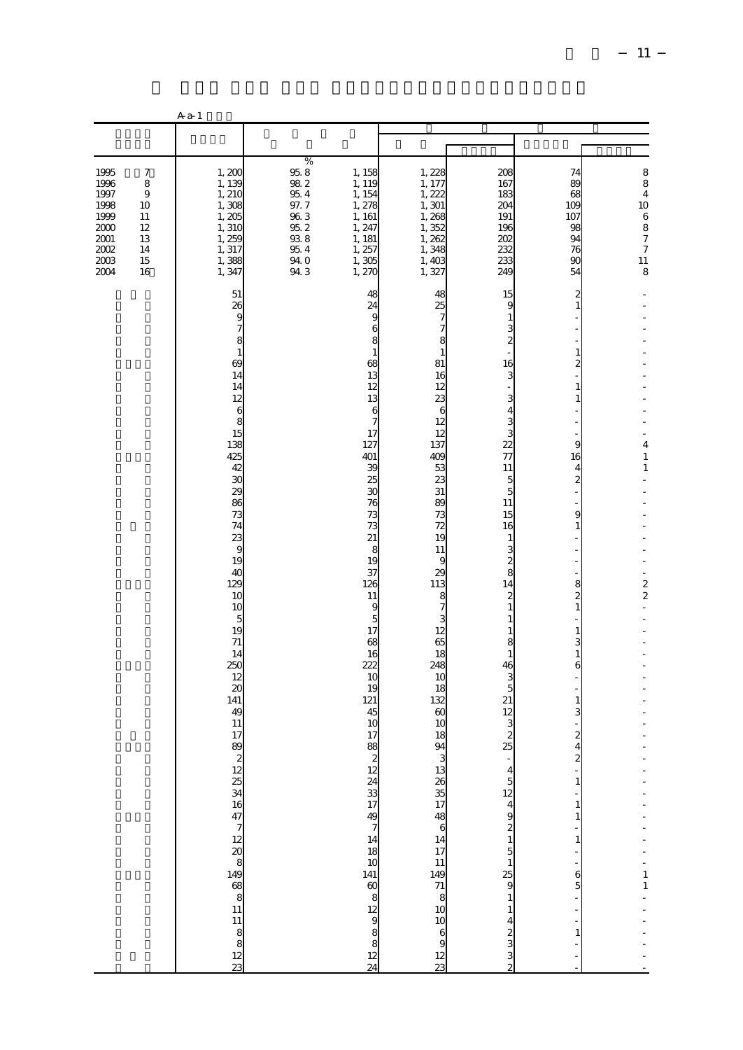|                                                                              |                                                               | $A - 1$                                                                                                                                                                                                                                                                                          |                                                                                                            |                                                                                                                                                                                                                                                                                                                                                                   |                                                                                                                                                                                                                                                                                     |                                                                                                                                                                                                                                                                                                                                                                           |                                                                                                                                                                                                                                                                                                                      |                                                                                                                                                |
|------------------------------------------------------------------------------|---------------------------------------------------------------|--------------------------------------------------------------------------------------------------------------------------------------------------------------------------------------------------------------------------------------------------------------------------------------------------|------------------------------------------------------------------------------------------------------------|-------------------------------------------------------------------------------------------------------------------------------------------------------------------------------------------------------------------------------------------------------------------------------------------------------------------------------------------------------------------|-------------------------------------------------------------------------------------------------------------------------------------------------------------------------------------------------------------------------------------------------------------------------------------|---------------------------------------------------------------------------------------------------------------------------------------------------------------------------------------------------------------------------------------------------------------------------------------------------------------------------------------------------------------------------|----------------------------------------------------------------------------------------------------------------------------------------------------------------------------------------------------------------------------------------------------------------------------------------------------------------------|------------------------------------------------------------------------------------------------------------------------------------------------|
|                                                                              |                                                               |                                                                                                                                                                                                                                                                                                  |                                                                                                            |                                                                                                                                                                                                                                                                                                                                                                   |                                                                                                                                                                                                                                                                                     |                                                                                                                                                                                                                                                                                                                                                                           |                                                                                                                                                                                                                                                                                                                      |                                                                                                                                                |
| 1995<br>1996<br>1997<br>1998<br>1999<br>2000<br>2001<br>2002<br>2003<br>2004 | 7<br>$\,8\,$<br>$9$<br>10<br>11<br>12<br>13<br>14<br>15<br>16 | 1,200<br>1, 139<br>1,210<br>1,308<br>1, 205<br>1,310<br>1, 259<br>1, 317<br>1,388<br>1,347                                                                                                                                                                                                       | $\%$<br>$95\,8$<br>$98\ 2$<br>$95\ 4$<br>$97.7$<br>$96.3$<br>$95.2$<br>$93.8$<br>$95\ 4$<br>$940$<br>$943$ | 1, 158<br>1, 119<br>1, 154<br>1, 278<br>1, 161<br>1, 247<br>1, 181<br>1, 257<br>1,305<br>1, 270                                                                                                                                                                                                                                                                   | 1, 228<br>1, 177<br>1,222<br>1,301<br>1,268<br>1,352<br>1,262<br>1,348<br>1,403<br>1,327                                                                                                                                                                                            | 208<br>167<br>183<br>204<br>191<br>196<br>202<br>232<br>233<br>249                                                                                                                                                                                                                                                                                                        | 74<br>89<br>68<br>109<br>107<br>98<br>94<br>76<br>90<br>54                                                                                                                                                                                                                                                           | $\begin{array}{c} 8 \\ 8 \\ 4 \end{array}$<br>10<br>6<br>8<br>7<br>7<br>$11\,$<br>8                                                            |
|                                                                              |                                                               | 51<br>26<br>9<br>$\overline{7}$<br>8<br>$\mathbf{1}$<br>69<br>14<br>14<br>12<br>$\begin{array}{c} 6 \\ 8 \\ 15 \end{array}$<br>138<br>425<br>42<br>30<br>29<br>86<br>73<br>74<br>23<br>9<br>19<br>40<br>129<br>10<br>10<br>5<br>19<br>71<br>14<br>250<br>12<br>20<br>141<br>49<br>11<br>17<br>89 |                                                                                                            | 48<br>24<br>9<br>6<br>8<br>$\mathbf{1}$<br>68<br>13<br>12<br>13<br>6<br>$\overline{7}$<br>17<br>127<br>401<br>39<br>25<br>$\mathfrak{X}$<br>76<br>73<br>73<br>21<br>8<br>19<br>37<br>126<br>11<br>9<br>5<br>17<br>68<br>16<br>222<br>10<br>19<br>121<br>45<br>10<br>17<br>88<br>$rac{2}{12}$<br>24 33 17 49 7 14<br>$\begin{array}{c} 18 \\ 10 \end{array}$<br>24 | 48<br>25<br>$\overline{7}$<br>7<br>8<br>$\mathbf{1}$<br>81<br>16<br>12<br>23<br>6<br>12<br>12<br>137<br>409<br>53<br>23<br>31<br>89<br>73<br>72<br>19<br>11<br>9<br>29<br>113<br>8<br>$\overline{7}$<br>3<br>12<br>65<br>18<br>248<br>10<br>18<br>132<br>60<br>10<br>18<br>94<br>23 | 15<br>S<br>1<br>2<br>16<br>3<br>3<br>4<br>22<br>77<br>11<br>5<br>5<br>11<br>15<br>16<br>1<br>3<br>2<br>8<br>14<br>2<br>1<br>1<br>8<br>1<br>46<br>3<br>5<br>21<br>12<br>3<br>$\boldsymbol{z}$<br>25<br>4<br>$\frac{5}{12}$<br>9<br>$\begin{smallmatrix}2\\1\end{smallmatrix}$<br>5<br>$\mathbf{1}$<br>$\frac{25}{9}$<br>$\,1\,$<br>$\mathbf{1}$<br>4<br>$\frac{2}{3}$<br>2 | 2<br>$\mathbf{1}$<br>1<br>$\overline{\mathbf{c}}$<br>$1\,$<br>$\mathbf{1}$<br>9<br>16<br>4<br>$\boldsymbol{z}$<br>$\overline{9}$<br>1<br>8<br>$\boldsymbol{z}$<br>$\mathbf{1}$<br>$\mathbf{1}$<br>3<br>$1\,$<br>6<br>1<br>3<br>$\boldsymbol{2}$<br>4<br>$\mathbf{1}$<br>$1\,$<br>1<br>1<br>6 <sub>5</sub><br>$\,1\,$ | 4<br>$\mathbf{1}$<br>$\,1\,$<br>$\overline{a}$<br>$\overline{\mathbf{c}}$<br>$\overline{\mathcal{L}}$<br>$\begin{array}{c} 1 \\ 1 \end{array}$ |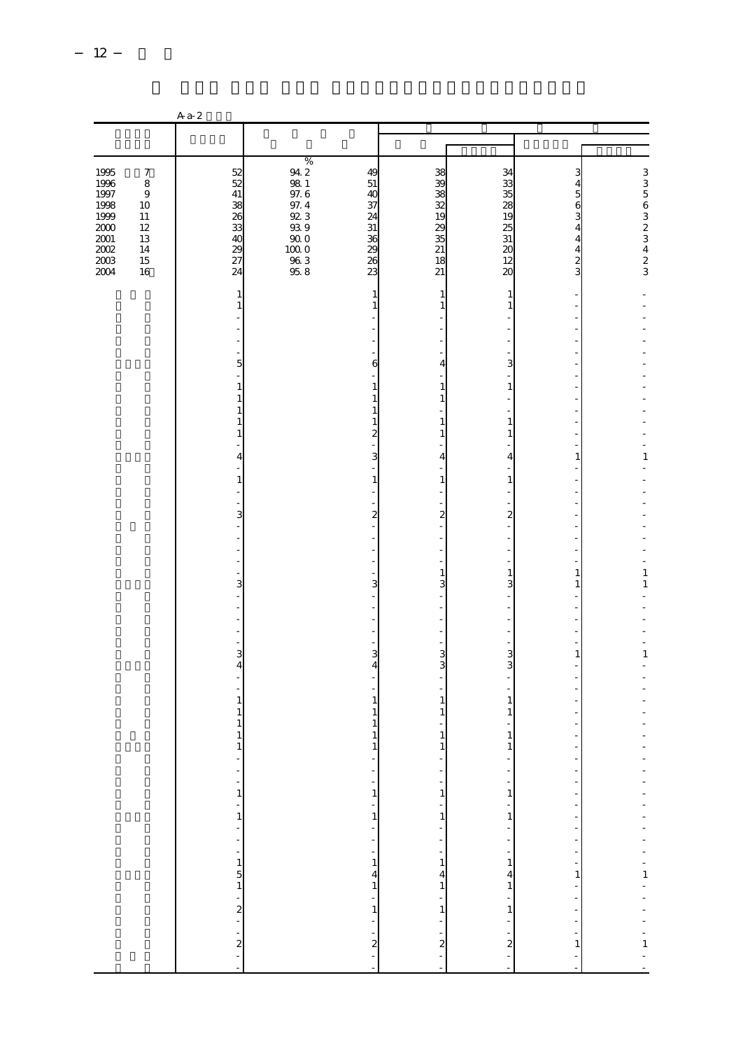|                      |                             | $Aa-2$                                                    |                                                |                      |                                             |                                               |                                                                    |                    |
|----------------------|-----------------------------|-----------------------------------------------------------|------------------------------------------------|----------------------|---------------------------------------------|-----------------------------------------------|--------------------------------------------------------------------|--------------------|
|                      |                             |                                                           |                                                |                      |                                             |                                               |                                                                    |                    |
|                      |                             |                                                           | $\%$                                           |                      |                                             |                                               |                                                                    |                    |
| 1995<br>1996<br>1997 | $\boldsymbol{7}$<br>$\bf 8$ | $\frac{52}{52}$                                           | $94\overline{2}$<br>$98\overline{1}$<br>$97.6$ | 49<br>51             | 38                                          | 34<br>33                                      | 34563444                                                           | 3356323423         |
| 1998                 | $\,9$<br>$10$               | $\begin{array}{c} 41 \\ 38 \\ 26 \\ 33 \\ 40 \end{array}$ | $97.4\,$                                       | 40<br>37             | 38 38 39                                    | 35<br>28                                      |                                                                    |                    |
| 1999<br>$2000\,$     | $11\,$<br>$12\,$            |                                                           | $\frac{92}{93}$ 3                              | 24<br>31             | $\frac{29}{35}$                             | 19<br>$\begin{array}{c} 25 \\ 31 \end{array}$ |                                                                    |                    |
| $2001\,$<br>$2002\,$ | 13<br>$14\,$                | 29                                                        | $90\;0$                                        | 36<br>29             | 21                                          | 20                                            |                                                                    |                    |
| $2003\,$<br>2004     | $15\,$<br>16                | $\overline{27}$<br>24                                     | $\frac{10000}{963}$                            | 26<br>23             | 18<br>21                                    | 12<br>20                                      | $\frac{4}{2}$                                                      |                    |
|                      |                             | $\mathbf{1}$                                              |                                                | $\mathbf{1}$         | 1                                           | 1                                             |                                                                    |                    |
|                      |                             | $\mathbf{1}$                                              |                                                | 1                    | 1                                           | $\mathbf{1}$                                  |                                                                    |                    |
|                      |                             |                                                           |                                                |                      |                                             |                                               |                                                                    |                    |
|                      |                             | 5                                                         |                                                | 6                    | 4                                           | 3                                             |                                                                    |                    |
|                      |                             | $\mathbf{1}$                                              |                                                | 1                    | 1                                           | 1                                             |                                                                    |                    |
|                      |                             | $\mathbf{1}$                                              |                                                | 1                    | 1                                           |                                               |                                                                    |                    |
|                      |                             | $\mathbf{1}$<br>$\mathbf{1}$                              |                                                | 1<br>1               | 1                                           | 1                                             |                                                                    |                    |
|                      |                             | 1                                                         |                                                | 2                    | $\mathbf{1}$                                | $\mathbf{1}$                                  |                                                                    |                    |
|                      |                             | 4                                                         |                                                | 3                    | 4                                           | 4                                             | 1                                                                  | 1                  |
|                      |                             | $\mathbf{1}$                                              |                                                | 1                    | $\mathbf{1}$                                | $\mathbf{1}$                                  |                                                                    |                    |
|                      |                             | 3                                                         |                                                | $\boldsymbol{z}$     | $\boldsymbol{z}$                            | 2                                             |                                                                    |                    |
|                      |                             |                                                           |                                                |                      |                                             |                                               |                                                                    |                    |
|                      |                             |                                                           |                                                |                      |                                             |                                               |                                                                    |                    |
|                      |                             |                                                           |                                                |                      | $\mathbf{1}$                                | 1                                             | $\mathbf{1}$                                                       | $\mathbf{1}$       |
|                      |                             | 3                                                         |                                                | 3                    | 3                                           | 3                                             | 1                                                                  | 1                  |
|                      |                             |                                                           |                                                |                      |                                             |                                               |                                                                    |                    |
|                      |                             |                                                           |                                                |                      |                                             |                                               |                                                                    |                    |
|                      |                             | 3                                                         |                                                | 3                    | 3                                           | 3                                             | $1\,$                                                              | $\,1\,$            |
|                      |                             | 4                                                         |                                                | 4                    | 3                                           | 3                                             |                                                                    |                    |
|                      |                             | $\mathbf{1}$                                              |                                                | 1                    | $1\,$                                       | $\mathbf{1}$                                  |                                                                    |                    |
|                      |                             | 1<br>1                                                    |                                                | 1<br>1               | 1                                           | $\mathbf{1}$                                  |                                                                    |                    |
|                      |                             | $\,1\,$<br>$\mathbf{1}$                                   |                                                | 1<br>1               | $\mathbf{1}$<br>$\mathbf{1}$                | $\mathbf{1}$<br>$\mathbf{1}$                  |                                                                    |                    |
|                      |                             |                                                           |                                                |                      |                                             |                                               |                                                                    |                    |
|                      |                             |                                                           |                                                |                      | f<br>÷                                      |                                               | $\qquad \qquad \blacksquare$                                       |                    |
|                      |                             |                                                           |                                                | $\,1\,$<br>÷         | $\,1$<br>÷                                  | $1\,$<br>÷.                                   | ÷                                                                  |                    |
|                      |                             |                                                           |                                                | $\mathbf{1}$         | $\mathbf{1}$                                | $\mathbf{1}$                                  | $\overline{\phantom{a}}$                                           |                    |
|                      |                             |                                                           |                                                | $\frac{1}{1}$        | $\begin{bmatrix} 1 \\ 1 \\ 1 \end{bmatrix}$ | $\ddot{\phantom{a}}$<br>$\overline{a}$        |                                                                    |                    |
|                      |                             | $-1 - 1 - 1 - 1 = -1$                                     |                                                | $\,1\,$              |                                             |                                               | $\begin{array}{c} \n\cdot \\ \cdot \\ \cdot \\ \cdot\n\end{array}$ | エイティー・エイティブ エイエイエイ |
|                      |                             |                                                           |                                                | 4<br>$\,1$           | $\frac{4}{1}$                               | $\begin{array}{c} 1 \\ 4 \\ 1 \end{array}$    |                                                                    |                    |
|                      |                             |                                                           |                                                | $\frac{1}{1}$        | $\frac{1}{1}$                               | $\overline{a}$<br>$\mathbf{1}$                | $\frac{1}{2}$                                                      |                    |
|                      |                             |                                                           |                                                |                      |                                             | ł,                                            | $\frac{1}{2}$                                                      |                    |
|                      |                             |                                                           |                                                | $\sim$ $\sim$ $\sim$ | $\sim$ $\sim$ $\sim$                        | $\overline{c}$                                | $\,1$                                                              |                    |
|                      |                             |                                                           |                                                |                      |                                             | ÷,                                            |                                                                    |                    |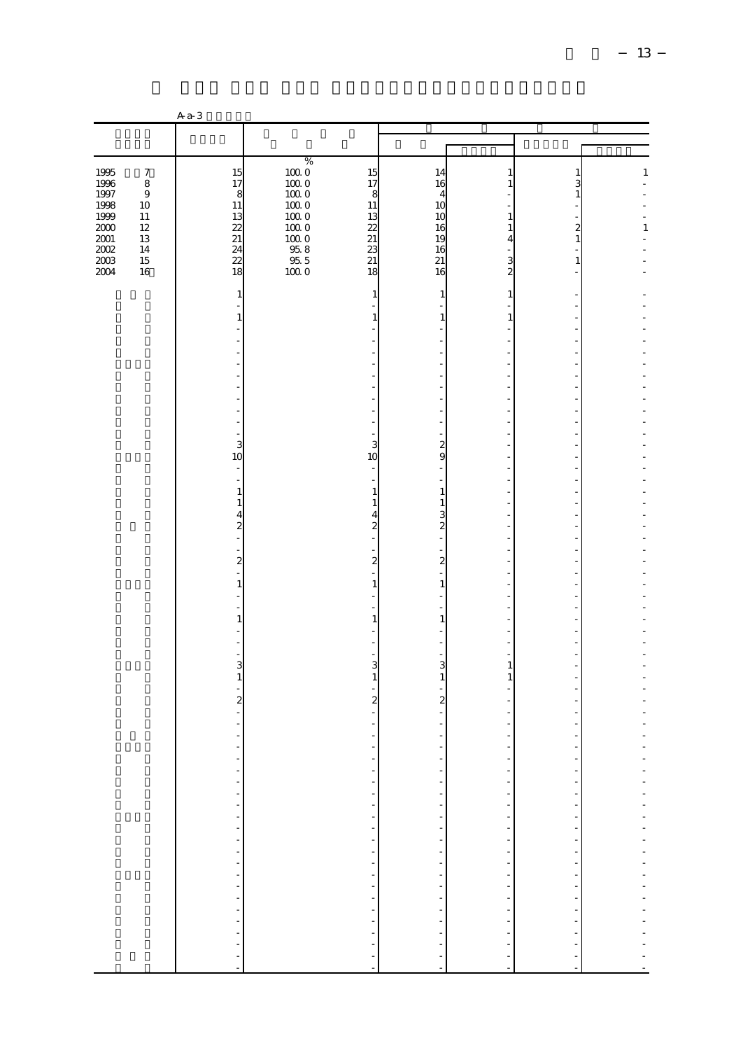|                                                  |                                          | $Aa-3$                                                                            |                                                        |                                                                                       |                                                            |                                                |                                                                 |         |
|--------------------------------------------------|------------------------------------------|-----------------------------------------------------------------------------------|--------------------------------------------------------|---------------------------------------------------------------------------------------|------------------------------------------------------------|------------------------------------------------|-----------------------------------------------------------------|---------|
|                                                  |                                          |                                                                                   |                                                        |                                                                                       |                                                            |                                                |                                                                 |         |
|                                                  |                                          |                                                                                   |                                                        |                                                                                       |                                                            |                                                |                                                                 |         |
| 1995<br>1996<br>1997                             | $\boldsymbol{7}$<br>$\,$ 8 $\,$<br>$\,9$ | 15<br>17<br>8                                                                     | %<br>$100\;0$<br>$100\;0$<br>$100\;0$                  | 15<br>17<br>8                                                                         | 14<br>16<br>$\overline{4}$                                 | $\mathbf{1}$<br>$\mathbf{1}$                   | $\begin{array}{c} 1 \\ 3 \\ 1 \end{array}$                      | $\,1\,$ |
| 1998<br>1999<br>$2000\,$<br>$2001\,$<br>$2002\,$ | 10<br>11<br>$12\,$<br>13<br>14           | 11<br>13<br>$\overline{22}$<br>21<br>24                                           | $100\;0$<br>$100\;0$<br>$100\ 0$<br>$100\ 0$<br>$95.8$ | $11\,$<br>13<br>$\overline{22}$<br>21                                                 | 10<br>1 <sup>C</sup><br>16<br>19<br>16                     | $\mathbf{1}$<br>$\mathbf{1}$<br>$\overline{4}$ | $\begin{smallmatrix}2\\1\end{smallmatrix}$                      | $\,1\,$ |
| $2003$<br>2004                                   | 15<br>16                                 | $\overline{22}$<br>18<br>1                                                        | $\frac{95}{100}$ 5                                     | $\frac{23}{21}$<br>18<br>$\mathbf{1}$                                                 | 21<br>16<br>1                                              | 3<br>$\overline{a}$<br>$\mathbf{1}$            | $1\,$                                                           |         |
|                                                  |                                          | $\mathbf{1}$                                                                      |                                                        | $\mathbf{1}$                                                                          | 1                                                          | $\mathbf{1}$                                   |                                                                 |         |
|                                                  |                                          |                                                                                   |                                                        | ÷,                                                                                    | $\overline{\phantom{a}}$                                   |                                                |                                                                 |         |
|                                                  |                                          | $\overline{\phantom{a}}$<br>$\sim$                                                |                                                        | L,                                                                                    | $\overline{\phantom{a}}$                                   |                                                |                                                                 |         |
|                                                  |                                          | $\begin{array}{c} 3 \\ 10 \end{array}$<br>$\sim$<br>$\frac{1}{2}$                 |                                                        | 3<br>10<br>÷,<br>٠                                                                    | $\frac{2}{9}$<br>÷                                         |                                                |                                                                 |         |
|                                                  |                                          | $\,1\,$<br>$\,1\,$<br>$\overline{4}$<br>$\overline{\mathbf{c}}$<br>$\overline{a}$ |                                                        | $1\,$<br>$\mathbf{1}$<br>$\overline{4}$<br>$\overline{\mathcal{L}}$<br>$\overline{a}$ | $1\,$<br>$\mathbf{1}$<br>3<br>$\boldsymbol{z}$             |                                                |                                                                 |         |
|                                                  |                                          | $\overline{\phantom{a}}$<br>$\overline{c}$<br>1                                   |                                                        | L,<br>$\boldsymbol{2}$<br>$\mathbf{1}$                                                | $\overline{\phantom{a}}$<br>$\overline{c}$<br>$\mathbf{1}$ |                                                | ٠                                                               |         |
|                                                  |                                          | $\,1\,$                                                                           |                                                        | $\,1\,$<br>L.                                                                         | $\mathbf{1}$                                               |                                                |                                                                 |         |
|                                                  |                                          | $\overline{a}$<br>3<br>$\mathbf{1}$                                               |                                                        | L<br>÷,<br>3<br>$\,1\,$                                                               | 3<br>$\mathbf{1}$                                          | $\mathbf{1}$<br>$\mathbf{1}$                   |                                                                 |         |
|                                                  |                                          | $\overline{\mathbf{c}}$                                                           |                                                        | $\overline{a}$<br>$\overline{\mathcal{Z}}$                                            | $\overline{c}$                                             |                                                |                                                                 |         |
|                                                  |                                          | $\overline{\phantom{a}}$                                                          |                                                        | $\overline{a}$                                                                        | ł,<br>÷,                                                   | $\frac{1}{2}$                                  | $\overline{\phantom{a}}$                                        |         |
|                                                  |                                          |                                                                                   |                                                        |                                                                                       | ÷,                                                         |                                                | $\overline{\phantom{a}}$<br>ł,<br>f<br>$\overline{\phantom{a}}$ |         |
|                                                  |                                          |                                                                                   |                                                        |                                                                                       |                                                            |                                                | $\frac{1}{2}$<br>$\frac{1}{2}$                                  |         |
|                                                  |                                          |                                                                                   |                                                        |                                                                                       |                                                            |                                                | $\overline{\phantom{a}}$<br>$\frac{1}{2}$                       |         |
|                                                  |                                          |                                                                                   |                                                        |                                                                                       | - - - - - - - - - - - - - - - - - - -                      |                                                | $\overline{\phantom{a}}$<br>$\frac{1}{2}$                       |         |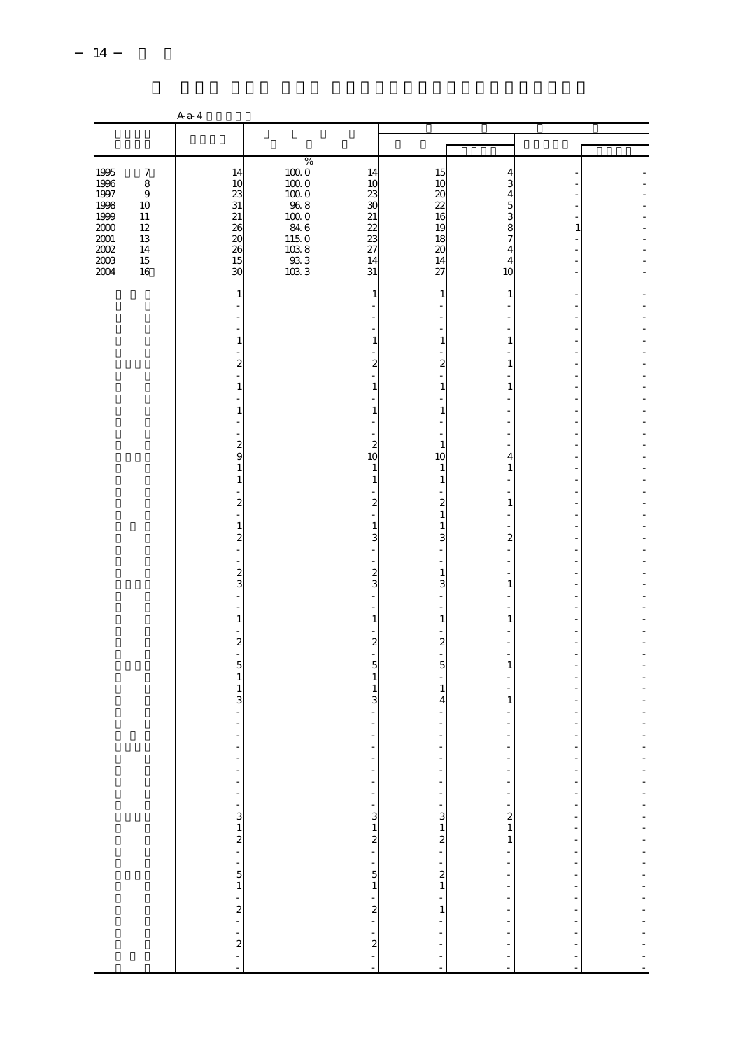|                                      |                                          | $A$ a-4                                  |                                             |                                          |                                                  |                                                                                         |                |                          |
|--------------------------------------|------------------------------------------|------------------------------------------|---------------------------------------------|------------------------------------------|--------------------------------------------------|-----------------------------------------------------------------------------------------|----------------|--------------------------|
|                                      |                                          |                                          |                                             |                                          |                                                  |                                                                                         |                |                          |
|                                      |                                          |                                          |                                             |                                          |                                                  |                                                                                         |                |                          |
| 1995<br>1996<br>1997<br>1998         | $\boldsymbol{7}$<br>$\,8\,$<br>$9$<br>10 | 14<br>10<br>23<br>31                     | $\%$<br>1000<br>1000<br>$100\;0$<br>$96\;8$ | 14<br>10<br>23<br>$\mathfrak{A}$         | 15<br>10<br>$\infty$<br>22                       | 4                                                                                       |                |                          |
| 1999<br>$2000\,$<br>$2001\,$<br>2002 | $11\,$<br>$12\,$<br>13<br>14             | 21<br>$\frac{26}{20}$<br>26              | $100\;0$<br>84 6<br>$115.0\,$<br>$103.8$    | 21<br>$\overline{22}$<br>23<br>27        | 16<br>19<br>18<br>20                             | $\begin{array}{c}\n 3 \\  4 \\  5 \\  3 \\  8\n \end{array}$<br>$\overline{\mathbf{4}}$ | $\,1\,$        |                          |
| 2003<br>2004                         | $15\,$<br>16                             | 15<br>30<br>1                            | $\frac{93}{3}$<br>103 3                     | 14<br>31<br>$\mathbf{1}$                 | 14<br>27<br>1                                    | $\overline{4}$<br>10<br>$\mathbf{1}$                                                    |                |                          |
|                                      |                                          | $\,1\,$                                  |                                             | 1                                        | ÷<br>$\mathbf{1}$                                | $\mathbf{1}$                                                                            |                |                          |
|                                      |                                          | $\overline{\mathbf{c}}$                  |                                             | 2                                        | $\overline{\mathbf{z}}$                          | $\mathbf{1}$                                                                            |                |                          |
|                                      |                                          | $\mathbf{1}$<br>$1\,$                    |                                             | 1<br>1                                   | $\mathbf{1}$<br>$\mathbf{1}$                     | $\mathbf{1}$                                                                            |                |                          |
|                                      |                                          | $\frac{2}{9}$<br>$\mathbf{1}$            |                                             | $\overline{a}$<br>10<br>1                | 1<br>10<br>1                                     | $\overline{4}$<br>$1\,$                                                                 |                |                          |
|                                      |                                          | $\mathbf{1}$<br>$\overline{\mathcal{Z}}$ |                                             | $\mathbf{1}$<br>$\boldsymbol{z}$         | $\mathbf{1}$<br>$\boldsymbol{z}$<br>$\mathbf{1}$ | $\mathbf{1}$                                                                            |                |                          |
|                                      |                                          | $\,1\,$<br>$\overline{\mathbf{c}}$       |                                             | 1<br>3                                   | $\mathbf{1}$<br>3                                | $\boldsymbol{z}$                                                                        |                |                          |
|                                      |                                          | $\frac{2}{3}$                            |                                             | $\boldsymbol{z}$<br>3                    | $\mathbf{1}$<br>3                                | 1                                                                                       |                |                          |
|                                      |                                          | $\,1\,$<br>$\boldsymbol{z}$              |                                             | $\mathbf{1}$<br>$\overline{\mathcal{Z}}$ | $\mathbf{1}$<br>$\boldsymbol{z}$                 | $\mathbf{1}$                                                                            |                |                          |
|                                      |                                          | 5<br>$\,1\,$<br>$\mathbf{1}$             |                                             | 5<br>$\mathbf{1}$<br>1                   | 5<br>$1\,$                                       | 1                                                                                       |                |                          |
|                                      |                                          | 3                                        |                                             | 3                                        | $\overline{4}$                                   | $\mathbf{1}$                                                                            |                |                          |
|                                      |                                          |                                          |                                             | $\qquad \qquad \blacksquare$             |                                                  | f,                                                                                      | Ξ.             |                          |
|                                      |                                          |                                          |                                             |                                          |                                                  | $\frac{1}{2}$<br>$\bar{\mathcal{A}}$                                                    | $\frac{1}{2}$  |                          |
|                                      |                                          |                                          |                                             |                                          | $-1$ $-1$ $-2$ $-1$ $-1$ $-1$                    | $211 - 7$                                                                               | 医单位的 医单位的 医单位的 | 医单位的 医单位的 医单位的 医单位的 医单位的 |
|                                      |                                          |                                          |                                             |                                          |                                                  |                                                                                         |                |                          |
|                                      |                                          |                                          |                                             |                                          |                                                  |                                                                                         | $\frac{1}{2}$  |                          |
|                                      |                                          |                                          |                                             |                                          |                                                  |                                                                                         | ÷              |                          |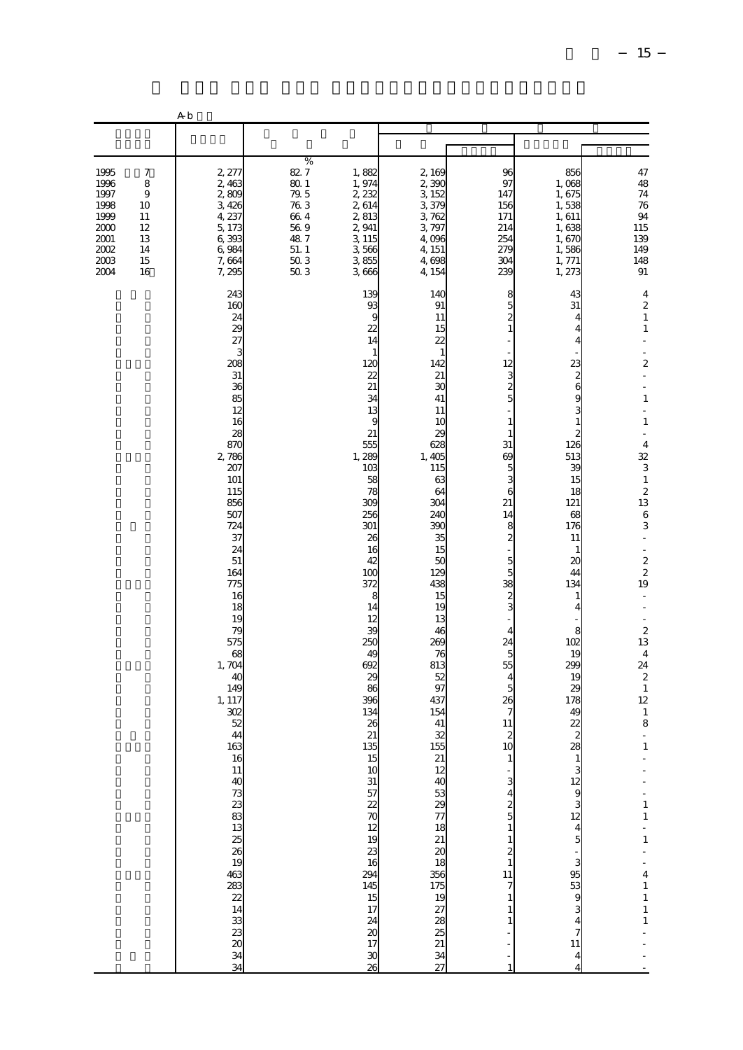|                                                                              |                                                       | A <sub>b</sub>                                                                                                                                                                                                                                                                                                                                                                                                                                                                                              |                                                                                                           |                                                                                                                                                                                                                                                                                                                                                                                                                      |                                                                                                                                                                                                                                                                                                                                                                                                     |                                                                                                                                                                                                                                                                                                                                                                                                                                       |                                                                                                                                                                                                                                                                                                                                                                                                                                        |                                                                                                                                                                                                                                                                                                                                                                                                                                                                                                                                                                                                                                                                                    |
|------------------------------------------------------------------------------|-------------------------------------------------------|-------------------------------------------------------------------------------------------------------------------------------------------------------------------------------------------------------------------------------------------------------------------------------------------------------------------------------------------------------------------------------------------------------------------------------------------------------------------------------------------------------------|-----------------------------------------------------------------------------------------------------------|----------------------------------------------------------------------------------------------------------------------------------------------------------------------------------------------------------------------------------------------------------------------------------------------------------------------------------------------------------------------------------------------------------------------|-----------------------------------------------------------------------------------------------------------------------------------------------------------------------------------------------------------------------------------------------------------------------------------------------------------------------------------------------------------------------------------------------------|---------------------------------------------------------------------------------------------------------------------------------------------------------------------------------------------------------------------------------------------------------------------------------------------------------------------------------------------------------------------------------------------------------------------------------------|----------------------------------------------------------------------------------------------------------------------------------------------------------------------------------------------------------------------------------------------------------------------------------------------------------------------------------------------------------------------------------------------------------------------------------------|------------------------------------------------------------------------------------------------------------------------------------------------------------------------------------------------------------------------------------------------------------------------------------------------------------------------------------------------------------------------------------------------------------------------------------------------------------------------------------------------------------------------------------------------------------------------------------------------------------------------------------------------------------------------------------|
|                                                                              |                                                       |                                                                                                                                                                                                                                                                                                                                                                                                                                                                                                             |                                                                                                           |                                                                                                                                                                                                                                                                                                                                                                                                                      |                                                                                                                                                                                                                                                                                                                                                                                                     |                                                                                                                                                                                                                                                                                                                                                                                                                                       |                                                                                                                                                                                                                                                                                                                                                                                                                                        |                                                                                                                                                                                                                                                                                                                                                                                                                                                                                                                                                                                                                                                                                    |
| 1995<br>1996<br>1997<br>1998<br>1999<br>2000<br>2001<br>2002<br>2003<br>2004 | 7<br>8<br>9<br>10<br>11<br>12<br>13<br>14<br>15<br>16 | 2, 277<br>2,463<br>2809<br>3,426<br>4, 237<br>5, 173<br>6,393<br>6,984<br>7,664<br>7,295<br>243                                                                                                                                                                                                                                                                                                                                                                                                             | $\%$<br>82.7<br>$\frac{1}{20}$<br>79.5<br>76.3<br>$66\ 4$<br>$56\ 9$<br>48.7<br>51.1<br>$\frac{50}{50}$ 3 | 1,882<br>1,974<br>2, 232<br>2,614<br>2,813<br>2,941<br>3, 115<br>3,566<br>3,855<br>3,666<br>139                                                                                                                                                                                                                                                                                                                      | 2,169<br>2,390<br>3, 152<br>3,379<br>3,762<br>3,797<br>4,096<br>4, 151<br>4,698<br>4, 154<br>14C                                                                                                                                                                                                                                                                                                    | 96<br>97<br>147<br>156<br>171<br>214<br>254<br>27 <sub>C</sub><br>304<br>239<br>8                                                                                                                                                                                                                                                                                                                                                     | 856<br>1,068<br>1,675<br>1,538<br>1,611<br>1,638<br>1,670<br>1,586<br>1, 771<br>1, 273<br>43                                                                                                                                                                                                                                                                                                                                           | 47<br>$\overline{48}$<br>$^{74}_{76}$<br>94<br>115<br>139<br>149<br>148<br>91<br>4                                                                                                                                                                                                                                                                                                                                                                                                                                                                                                                                                                                                 |
|                                                                              |                                                       | 160<br>24<br>29<br>27<br>3<br>208<br>31<br>36<br>85<br>12<br>16<br>28<br>870<br>2,786<br>207<br>101<br>115<br>856<br>507<br>724<br>37<br>24<br>51<br>164<br>775<br>16<br>18<br>19<br>79<br>575<br>68<br>1,704<br>40<br>149<br>1, 117<br>302<br>52<br>44<br>163<br>16<br>${\mathbb R} \otimes {\mathbb S} \otimes {\mathbb R} \times {\mathbb R} \otimes \overline{{\mathbb S}} \otimes {\mathbb S} \otimes {\mathbb S} \otimes {\mathbb S} \otimes {\mathbb S} \otimes {\mathbb S} \cong {\mathbb C}$<br>34 |                                                                                                           | 93<br>g<br>22<br>14<br>1<br>12C<br>22<br>21<br>34<br>13<br>9<br>21<br>555<br>1,289<br>10 <sup>2</sup><br>58<br>78<br>309<br>256<br>301<br>26<br>16<br>42<br>100<br>372<br>8<br>14<br>12<br>39<br>250<br>49<br>692<br>29<br>86<br>396<br>134<br>26<br>21<br>135<br>15<br>10<br>31<br>57<br>$\frac{22}{70}$<br>$\frac{12}{19}$<br>$\frac{23}{16}$<br>294<br>145<br>15<br>17<br>$\frac{24}{20}$<br>17<br>$\infty$<br>26 | 91<br>11<br>15<br>22<br>-1<br>142<br>21<br>ЗC<br>41<br>11<br>10<br>2c<br>628<br>1,405<br>115<br>63<br>64<br>304<br>24C<br>390<br>35<br>15<br>5C<br>12 <sup>C</sup><br>438<br>15<br>19<br>13<br>46<br>269<br>76<br>813<br>52<br>97<br>437<br>154<br>41<br>32<br>155<br>$\begin{array}{c} 21 \\ 12 \end{array}$<br>40<br>53 29 77 18 21 20 18<br>356<br>175<br>19<br>27<br>28<br>25<br>21<br>34<br>27 | 5<br>$\overline{\mathcal{Z}}$<br>$\mathbf{1}$<br>12<br>3<br>$\frac{2}{5}$<br>$\mathbf{1}$<br>$\mathbf{1}$<br>31<br>69<br>5<br>3<br>6<br>21<br>14<br>8<br>$\overline{\mathbf{c}}$<br>5<br>5<br>38<br>$\overline{\mathcal{Z}}$<br>3<br>4<br>24<br>5<br>55<br>4<br>5<br>26<br>7<br>11<br>$\boldsymbol{z}$<br>10<br>3<br>4<br>$\overline{\mathcal{Z}}$<br>5<br>$\mathbf{1}$<br>1<br>$\frac{2}{1}$<br>11<br>$\overline{7}$<br>$\mathbf{1}$ | 31<br>4<br>4<br>4<br>23<br>$\frac{2}{6}$<br>g<br>3<br>1<br>126<br>513<br>$\mathcal{R}$<br>15<br>18<br>121<br>68<br>176<br>11<br>$\mathbf{1}$<br>20<br>44<br>134<br>1<br>4<br>8<br>102<br>19<br>299<br>19<br>29<br>178<br>49<br>$\overline{2}$<br>$\boldsymbol{z}$<br>28<br>3<br>$\begin{array}{c} 12 \\ 9 \end{array}$<br>3<br>12<br>$\overline{\mathbf{r}}$<br>$\overline{5}$<br>3839<br>3<br>$\overline{\mathbf{4}}$<br>7<br>11<br>4 | $\overline{\mathcal{L}}$<br>$\,1\,$<br>$\,1\,$<br>$\overline{\phantom{a}}$<br>÷,<br>$\overline{\mathbf{c}}$<br>$\bar{z}$<br>÷,<br>$\,1\,$<br>$\frac{1}{2}$<br>$\,1\,$<br>4<br>32<br>3<br>$\,1\,$<br>$\overline{\mathcal{L}}$<br>13<br>$\,6\,$<br>3<br>$\blacksquare$<br>$\begin{array}{c} 2 \\ 2 \\ 2 \\ 19 \end{array}$<br>$\ddot{\phantom{1}}$<br>$\Box$<br>$\overline{\phantom{a}}$<br>$\overline{\mathcal{L}}$<br>13<br>$\overline{4}$<br>24<br>$\boldsymbol{2}$<br>$\,1\,$<br>12<br>$\,1\,$<br>8<br>÷,<br>$\mathbf 1$<br>$\frac{1}{1}$<br>$\mathbf{1}$<br>$\overline{\mathbf{4}}$<br>$\begin{smallmatrix}1\\1\end{smallmatrix}$<br>$\begin{smallmatrix}1\\1\end{smallmatrix}$ |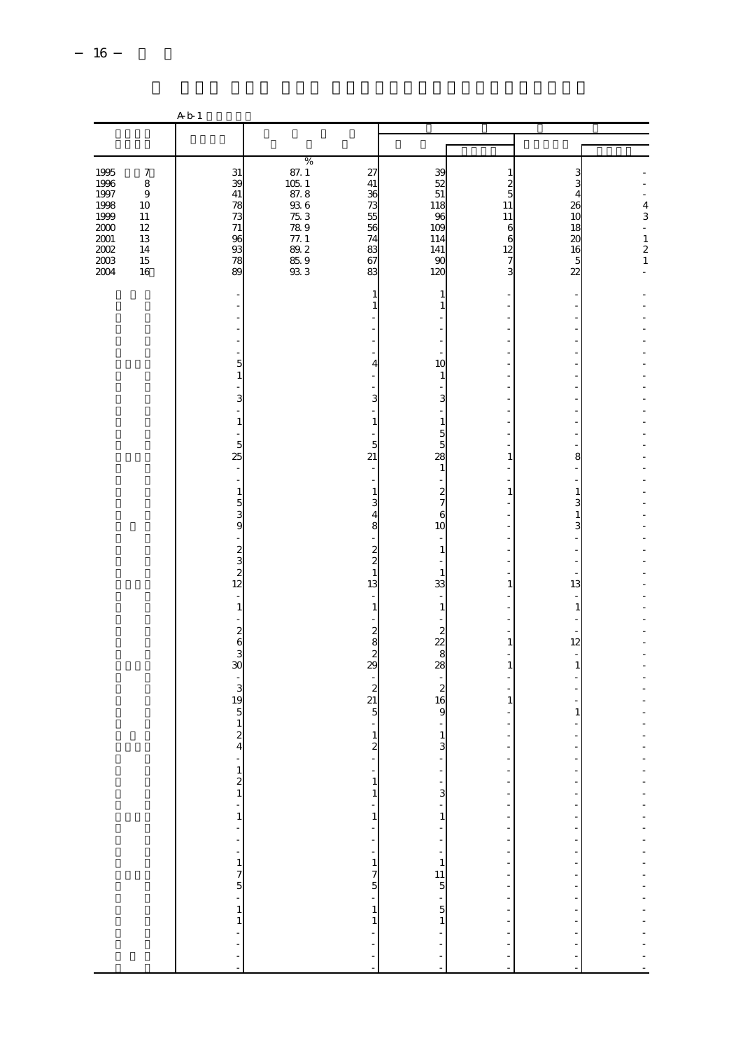|                                                                                                                 |                                                                                                | A b 1                                                            |                                                                                                                                                                                                                                                                                                                                                                     |                                                          |                                                               |                                                                       |                                                                         |                                                                                                             |
|-----------------------------------------------------------------------------------------------------------------|------------------------------------------------------------------------------------------------|------------------------------------------------------------------|---------------------------------------------------------------------------------------------------------------------------------------------------------------------------------------------------------------------------------------------------------------------------------------------------------------------------------------------------------------------|----------------------------------------------------------|---------------------------------------------------------------|-----------------------------------------------------------------------|-------------------------------------------------------------------------|-------------------------------------------------------------------------------------------------------------|
|                                                                                                                 |                                                                                                |                                                                  |                                                                                                                                                                                                                                                                                                                                                                     |                                                          |                                                               |                                                                       |                                                                         |                                                                                                             |
|                                                                                                                 |                                                                                                |                                                                  |                                                                                                                                                                                                                                                                                                                                                                     |                                                          |                                                               |                                                                       |                                                                         |                                                                                                             |
| $\begin{array}{c} 1995 \\ 1996 \end{array}$<br>1997<br>1998<br>1999<br>2000<br>$2001\,$<br>2002<br>2003<br>2004 | $\boldsymbol{7}$<br>$\,8\,$<br>$\,9$<br>$10\,$<br>$11\,$<br>$12\,$<br>13<br>14<br>$15\,$<br>16 | $\frac{31}{39}$<br>41<br>78<br>$\frac{73}{71}$<br>93<br>78<br>89 | $\begin{array}{r} 87.1 \times 100 \\ 87.1 \times 100 \\ 87.1 \times 100 \\ 87.1 \times 100 \\ 88.1 \times 100 \\ 89.1 \times 100 \\ 89.1 \times 100 \\ 89.1 \times 100 \\ 89.1 \times 100 \\ 89.1 \times 100 \\ 89.1 \times 100 \\ 89.1 \times 100 \\ 89.1 \times 100 \\ 89.1 \times 100 \\ 89.1 \times 100 \\ 89.1 \times 100 \\ 89.1 \times 100 \\ 89.1 \times 1$ | 27<br>41<br>36<br>73<br>55<br>56<br>74<br>83<br>67<br>83 | 39<br>52<br>51<br>118<br>96<br>109<br>114<br>141<br>90<br>120 | $\frac{1}{2}$<br>11<br>11<br>$\mathbf{6}$<br>6<br>12<br>$\frac{7}{3}$ | 3<br>4<br>4<br>26<br>10<br>18<br>$\infty$<br>16<br>5<br>$\overline{22}$ | ÷,<br>$\begin{array}{c} 4 \\ 3 \end{array}$<br>$\begin{array}{c} 1 \\ 2 \\ 1 \end{array}$<br>$\overline{a}$ |
|                                                                                                                 |                                                                                                |                                                                  |                                                                                                                                                                                                                                                                                                                                                                     | 1<br>1                                                   | 1<br>1                                                        |                                                                       |                                                                         |                                                                                                             |
|                                                                                                                 |                                                                                                |                                                                  |                                                                                                                                                                                                                                                                                                                                                                     |                                                          |                                                               |                                                                       |                                                                         |                                                                                                             |
|                                                                                                                 |                                                                                                | 5<br>$\mathbf{1}$                                                |                                                                                                                                                                                                                                                                                                                                                                     | 4                                                        | 10<br>1                                                       |                                                                       |                                                                         |                                                                                                             |
|                                                                                                                 |                                                                                                | 3<br>$\,1\,$                                                     |                                                                                                                                                                                                                                                                                                                                                                     | 3<br>1                                                   | 3<br>$\mathbf{1}$                                             |                                                                       |                                                                         |                                                                                                             |
|                                                                                                                 |                                                                                                | 5<br>25                                                          |                                                                                                                                                                                                                                                                                                                                                                     | 5<br>21                                                  | $\frac{5}{5}$<br>28                                           | $\mathbf{1}$                                                          | 8                                                                       |                                                                                                             |
|                                                                                                                 |                                                                                                | $\,1\,$                                                          |                                                                                                                                                                                                                                                                                                                                                                     | 1                                                        | $\mathbf{1}$<br>$\frac{2}{7}$                                 | $\mathbf{1}$                                                          | $\,1\,$                                                                 |                                                                                                             |
|                                                                                                                 |                                                                                                | $\frac{5}{9}$                                                    |                                                                                                                                                                                                                                                                                                                                                                     | 3<br>4<br>8                                              | 6<br>10                                                       |                                                                       | $\frac{3}{1}$<br>3                                                      |                                                                                                             |
|                                                                                                                 |                                                                                                | $\frac{2}{12}$ $\frac{2}{12}$                                    |                                                                                                                                                                                                                                                                                                                                                                     | $\overline{c}$<br>$\overline{c}$<br>$\mathbf{1}$         | $\mathbf{1}$                                                  |                                                                       |                                                                         |                                                                                                             |
|                                                                                                                 |                                                                                                | $\overline{a}$<br>$\,1\,$                                        |                                                                                                                                                                                                                                                                                                                                                                     | 13<br>1                                                  | 1<br>33<br>$1\,$                                              | 1                                                                     | 13<br>$\,1\,$                                                           |                                                                                                             |
|                                                                                                                 |                                                                                                |                                                                  |                                                                                                                                                                                                                                                                                                                                                                     | $\boldsymbol{z}$<br>8                                    | $\boldsymbol{z}$<br>$\overline{22}$                           | $1\,$                                                                 | 12                                                                      |                                                                                                             |
|                                                                                                                 |                                                                                                | 8 დ დ <sub>12</sub><br>$\overline{a}$                            |                                                                                                                                                                                                                                                                                                                                                                     | $\boldsymbol{z}$<br>29                                   | 8<br>28                                                       | $\mathbf{1}$                                                          | $\mathbf{1}$                                                            |                                                                                                             |
|                                                                                                                 |                                                                                                | $\begin{array}{c} 3 \\ 19 \end{array}$<br>$\frac{5}{1}$          |                                                                                                                                                                                                                                                                                                                                                                     | $\boldsymbol{z}$<br>21<br>5                              | $\boldsymbol{z}$<br>16<br>9                                   | $1\,$                                                                 | $\,1\,$                                                                 |                                                                                                             |
|                                                                                                                 |                                                                                                | $\frac{2}{4}$                                                    |                                                                                                                                                                                                                                                                                                                                                                     | 1<br>$\overline{a}$                                      | $\mathbf{1}$<br>3                                             |                                                                       |                                                                         |                                                                                                             |
|                                                                                                                 |                                                                                                |                                                                  |                                                                                                                                                                                                                                                                                                                                                                     | $\frac{1}{1}$<br>$\,1\,$                                 | $\frac{1}{3}$                                                 | ÷,<br>Ĭ.                                                              | $\overline{a}$                                                          |                                                                                                             |
|                                                                                                                 |                                                                                                |                                                                  |                                                                                                                                                                                                                                                                                                                                                                     | $\frac{1}{1}$                                            | $\frac{1}{1}$                                                 | f<br>$\frac{1}{2}$                                                    | $\frac{1}{2}$                                                           |                                                                                                             |
|                                                                                                                 |                                                                                                | $121 - 175 = 1775$                                               |                                                                                                                                                                                                                                                                                                                                                                     | $\frac{1}{7}$ = $\frac{1}{7}$ 5                          |                                                               | <b>- - - - - - - - - -</b>                                            | ÷,<br>$\frac{1}{2}$                                                     |                                                                                                             |
|                                                                                                                 |                                                                                                |                                                                  |                                                                                                                                                                                                                                                                                                                                                                     | $\frac{1}{1}$                                            |                                                               |                                                                       | $\overline{\phantom{a}}$                                                |                                                                                                             |
|                                                                                                                 |                                                                                                |                                                                  |                                                                                                                                                                                                                                                                                                                                                                     | $\,1\,$                                                  | $\frac{1}{5}$                                                 |                                                                       |                                                                         |                                                                                                             |
|                                                                                                                 |                                                                                                |                                                                  |                                                                                                                                                                                                                                                                                                                                                                     | $\frac{1}{2}$                                            |                                                               | $\frac{1}{2}$<br>J                                                    | $\frac{1}{1}$                                                           |                                                                                                             |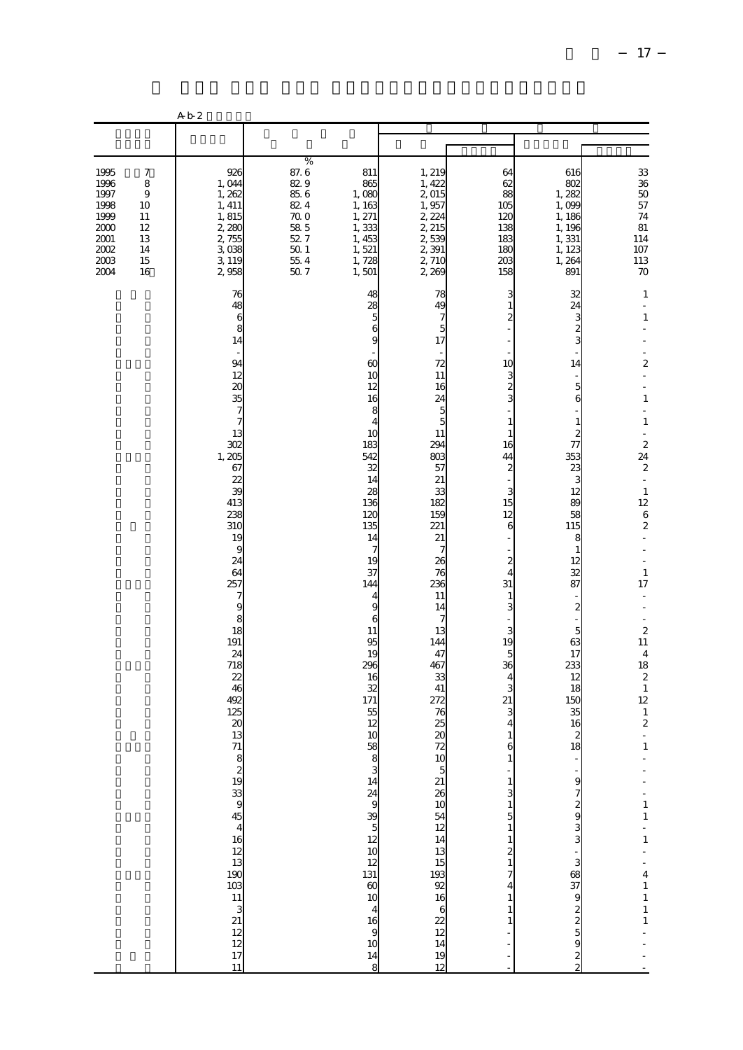|                                                                              |                                                                      | A b 2                                                                                                                                                                                                                                                                                                                                                                    |                                                                                                                      |                                                                                                                                                                                                                                                                        |                                                                                                                                                                                                                                                                              |                                                                                                                                                                                                                                                                                                                                                                                                                          |                                                                                                                                                                                                                                                                                                                                                                                      |                                                                                                                                                                                                                                                                                                                                                                                                                                                                                                                                                                                                                                                                             |
|------------------------------------------------------------------------------|----------------------------------------------------------------------|--------------------------------------------------------------------------------------------------------------------------------------------------------------------------------------------------------------------------------------------------------------------------------------------------------------------------------------------------------------------------|----------------------------------------------------------------------------------------------------------------------|------------------------------------------------------------------------------------------------------------------------------------------------------------------------------------------------------------------------------------------------------------------------|------------------------------------------------------------------------------------------------------------------------------------------------------------------------------------------------------------------------------------------------------------------------------|--------------------------------------------------------------------------------------------------------------------------------------------------------------------------------------------------------------------------------------------------------------------------------------------------------------------------------------------------------------------------------------------------------------------------|--------------------------------------------------------------------------------------------------------------------------------------------------------------------------------------------------------------------------------------------------------------------------------------------------------------------------------------------------------------------------------------|-----------------------------------------------------------------------------------------------------------------------------------------------------------------------------------------------------------------------------------------------------------------------------------------------------------------------------------------------------------------------------------------------------------------------------------------------------------------------------------------------------------------------------------------------------------------------------------------------------------------------------------------------------------------------------|
|                                                                              |                                                                      |                                                                                                                                                                                                                                                                                                                                                                          |                                                                                                                      |                                                                                                                                                                                                                                                                        |                                                                                                                                                                                                                                                                              |                                                                                                                                                                                                                                                                                                                                                                                                                          |                                                                                                                                                                                                                                                                                                                                                                                      |                                                                                                                                                                                                                                                                                                                                                                                                                                                                                                                                                                                                                                                                             |
| 1995<br>1996<br>1997<br>1998<br>1999<br>2000<br>2001<br>2002<br>2003<br>2004 | 7<br>8<br>$\boldsymbol{9}$<br>10<br>11<br>12<br>13<br>14<br>15<br>16 | 926<br>1,044<br>1,262<br>1,411<br>1,815<br>2,280<br>2,755<br>3,038<br>3, 119<br>2958                                                                                                                                                                                                                                                                                     | $\frac{\%}{87.6}$<br>82.9<br>$85\ 6$<br>82.4<br>700<br>$\frac{58}{52}$ 52 7<br>$\frac{50}{55}$ $\frac{1}{4}$<br>50.7 | 811<br>865<br>1,080<br>1, 163<br>1, 271<br>1,333<br>1, 453<br>1,521<br>1,728<br>1,501                                                                                                                                                                                  | 1, 219<br>1, 422<br>2,015<br>1,957<br>2, 224<br>2, 215<br>2,539<br>2,391<br>2,710<br>2, 269                                                                                                                                                                                  | 64<br>62<br>88<br>105<br>120<br>138<br>183<br>180<br>203<br>158                                                                                                                                                                                                                                                                                                                                                          | 616<br>802<br>1, 282<br>1,099<br>1,186<br>1, 196<br>1, 331<br>1, 123<br>1,264<br>891                                                                                                                                                                                                                                                                                                 | $\frac{33}{36}$<br>$\frac{50}{57}$<br>$\frac{74}{81}$<br>114<br>107<br>113<br><b>70</b>                                                                                                                                                                                                                                                                                                                                                                                                                                                                                                                                                                                     |
|                                                                              |                                                                      | 76<br>48<br>6<br>8<br>14<br>$\frac{1}{\sqrt{2}}$<br>94<br>12<br>$\infty$<br>35<br>$\frac{7}{7}$<br>13<br>302<br>1, 205<br>67<br>22<br>39<br>413<br>238<br>310<br>19<br>9<br>24<br>64<br>257<br>$\overline{7}$<br>9<br>$\frac{8}{18}$<br>191<br>24<br>718<br>22<br>46<br>492<br>125<br>$\infty$<br>13<br>71<br>8 2 19 33 9 45 4 16 12 13 12 12 12 12 12 12 12 12 17<br>11 |                                                                                                                      | 48<br>28<br>5<br>6<br>9<br>$\omega$<br>10<br>12<br>16<br>8<br>4<br>10<br>183<br>542<br>32<br>14<br>28<br>136<br>120<br>135<br>14<br>7<br>19<br>37<br>144<br>4<br>$\mathbf{g}$<br>6<br>11<br>95<br>19<br>296<br>16<br>32<br>171<br>55<br>12<br>10<br>58<br>8<br>14<br>8 | 78<br>49<br>7<br>5<br>17<br>72<br>11<br>16<br>24<br>5<br>5<br>11<br>294<br>803<br>57<br>21<br>33<br>182<br>159<br>221<br>21<br>7<br>26<br>76<br>236<br>11<br>14<br>$\overline{\phantom{a}}$<br>13<br>144<br>47<br>467<br>33<br>41<br>272<br>76<br>25<br>20<br>72<br>10<br>12 | 3<br>1<br>$\overline{c}$<br>10<br>3<br>$\overline{c}$<br>3<br>1<br>1<br>16<br>44<br>$\overline{\mathcal{Z}}$<br>3<br>15<br>12<br>6<br>$\overline{\mathbf{c}}$<br>$\overline{4}$<br>31<br>$\mathbf{1}$<br>3<br>3<br>19<br>5<br>36<br>4<br>3<br>21<br>3<br>1<br>6<br>$\,1\,$<br>3<br>$1\,$<br>5<br>$\mathbf 1$<br>$\,1\,$<br>$\begin{matrix}2\\1\end{matrix}$<br>7<br>$\overline{4}$<br>$\mathbf{1}$<br>$\,1\,$<br>$\,1\,$ | 32<br>24<br>3<br>$\boldsymbol{z}$<br>3<br>14<br>5<br>6<br>$\mathbf{1}$<br>$\boldsymbol{z}$<br>77<br>353<br>23<br>3<br>12<br>89<br>58<br>115<br>8<br>$\mathbf{1}$<br>12<br>32<br>87<br>$\boldsymbol{z}$<br>5<br>63<br>17<br>233<br>12<br>18<br>150<br>35<br>16<br>$\begin{array}{c} 2 \\ 18 \end{array}$<br>$\frac{1}{9}$<br>$\overline{7}$<br>293<br>.<br>மலல அஜே வ<br>$\frac{2}{2}$ | $\mathbf{1}$<br>÷,<br>$\,1\,$<br>٠<br>$\overline{\mathbf{c}}$<br>$\overline{a}$<br>$\overline{\phantom{a}}$<br>$\,1\,$<br>$\blacksquare$<br>$\,1\,$<br>$\frac{1}{2}$<br>24<br>$\overline{\mathbf{c}}$<br>$\bar{\phantom{a}}$<br>$\,1\,$<br>12<br>$\,$ 6 $\,$<br>$\overline{\mathcal{L}}$<br>$\bar{\phantom{a}}$<br>$\overline{\phantom{a}}$<br>$\mathbf{1}$<br>17<br>L.<br>$\overline{\phantom{m}}$<br>÷<br>$\overline{\mathcal{L}}$<br>$11\,$<br>$\overline{4}$<br>18<br>$\boldsymbol{2}$<br>$\,$ 1<br>$12\,$<br>$\,1\,$<br>$\boldsymbol{2}$<br>$\overline{\phantom{a}}$<br>$\mathbf{1}$<br>$\begin{array}{c} 1 \\ 1 \\ 1 \end{array}$<br>$\frac{1}{1}$<br>$-411$<br>$111$ |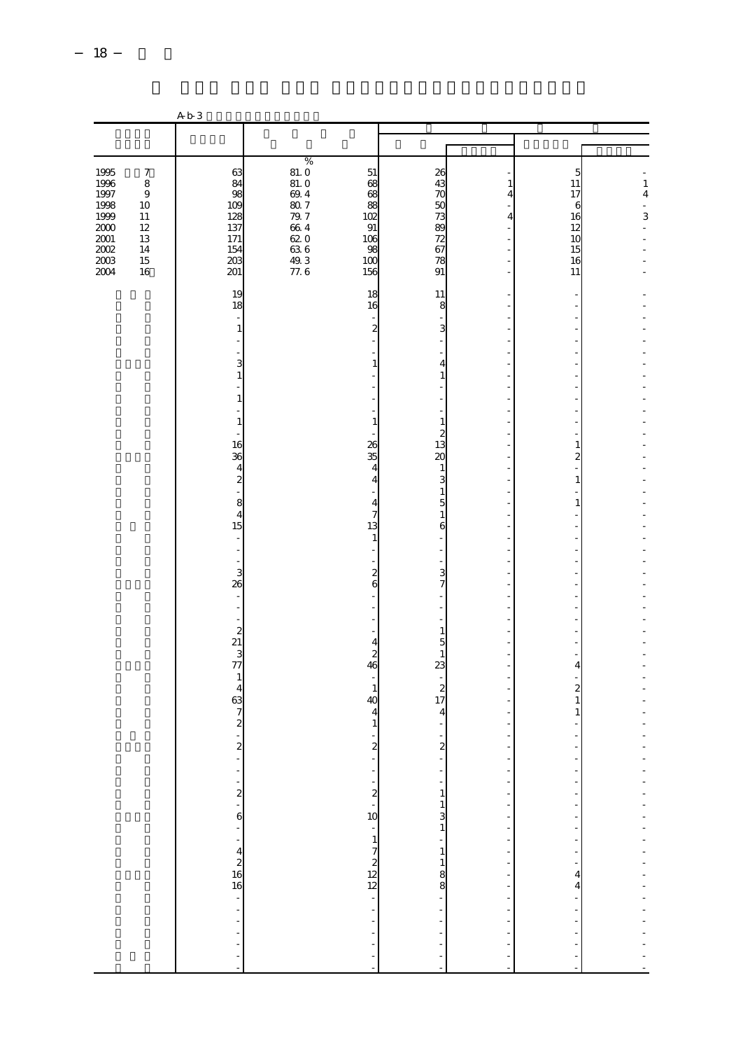|                                                                                                                                                                                                                                                                                                                                                                                                                                                                                                                                                                                        | A b 3                                                                                                                                                                                         |                                                                                                        |                                                                                                                                                                                                                                                                                                            |                                                                                                                                                  |                                                                                                                                        |                                                                                                                                                                                                                                                              |                                                        |
|----------------------------------------------------------------------------------------------------------------------------------------------------------------------------------------------------------------------------------------------------------------------------------------------------------------------------------------------------------------------------------------------------------------------------------------------------------------------------------------------------------------------------------------------------------------------------------------|-----------------------------------------------------------------------------------------------------------------------------------------------------------------------------------------------|--------------------------------------------------------------------------------------------------------|------------------------------------------------------------------------------------------------------------------------------------------------------------------------------------------------------------------------------------------------------------------------------------------------------------|--------------------------------------------------------------------------------------------------------------------------------------------------|----------------------------------------------------------------------------------------------------------------------------------------|--------------------------------------------------------------------------------------------------------------------------------------------------------------------------------------------------------------------------------------------------------------|--------------------------------------------------------|
|                                                                                                                                                                                                                                                                                                                                                                                                                                                                                                                                                                                        |                                                                                                                                                                                               |                                                                                                        |                                                                                                                                                                                                                                                                                                            |                                                                                                                                                  |                                                                                                                                        |                                                                                                                                                                                                                                                              |                                                        |
| $\boldsymbol{7}$<br>1995<br>1996<br>$\,$ 8 $\,$<br>1997<br>$\boldsymbol{9}$<br>1998<br>10<br>$\begin{array}{c}\n 1999 \\  200 \\  200 \\  200 \\  \hline\n 200 \\  \hline\n 200 \\  \hline\n 200 \\  \hline\n 200 \\  \hline\n 200 \\  \hline\n 200 \\  \hline\n 200 \\  \hline\n 200 \\  \hline\n 200 \\  \hline\n 200 \\  \hline\n 200 \\  \hline\n 200 \\  \hline\n 200 \\  \hline\n 200 \\  \hline\n 200 \\  \hline\n 200 \\  \hline\n 200 \\  \hline\n 200 \\  \hline\n 200 \\  \hline\n 200 \\  \hline\n 200 \\  \h$<br>11<br>12<br>13<br>14<br>$2003\,$<br>$15\,$<br>2004<br>16 | 63<br>84<br>98<br>109<br>128<br>137<br>171<br>154<br>203<br>201<br>19<br>18<br>$\mathbf{1}$<br>3<br>$\mathbf{1}$<br>$1\,$<br>$\mathbf{1}$                                                     | $\%$<br>$81.0$<br>$81.0$<br>69.4<br>$80\ 7$<br>$\frac{79.7}{66.4}$<br>$620$<br>$636$<br>$49.3$<br>77.6 | $51\,$<br>68<br>68<br>88<br>102<br>91<br>106<br>98<br>100<br>156<br>18<br>16<br>$\boldsymbol{z}$<br>1<br>1                                                                                                                                                                                                 | 26<br>43<br>70<br>50<br>73<br>89<br>72<br>67<br>78<br>91<br>11<br>8<br>3<br>4<br>$\,1\,$<br>$\mathbf{1}$<br>$\mathbf{z}$                         | $\,1$<br>$\overline{4}$<br>$\overline{4}$                                                                                              | 5<br>11<br>17<br>6<br>16<br>12<br>10<br>15<br>16<br>11<br>$\overline{a}$                                                                                                                                                                                     | $\,1\,$<br>$\overline{4}$<br>$\overline{a}$<br>3<br>÷, |
|                                                                                                                                                                                                                                                                                                                                                                                                                                                                                                                                                                                        | 16<br>36<br>$\overline{4}$<br>$\frac{2}{1}$<br>8<br>$\overline{4}$<br>15<br>3<br>$\overline{26}$<br>$\frac{1}{2}$<br>$\begin{array}{c}\n2 \\ 21\n\end{array}$<br>3<br>77<br>$\mathbf{1}$<br>4 |                                                                                                        | 26<br>35<br>4<br>4<br>4<br>$\overline{7}$<br>13<br>1<br>$\boldsymbol{z}$<br>6<br>$\overline{4}$<br>$\mathbf{z}$<br>46<br>$\mathbf{1}$                                                                                                                                                                      | 13<br>20<br>$\mathbf{1}$<br>3<br>$\,1\,$<br>$\frac{5}{1}$<br>6<br>3<br>7<br>$\mathbf{1}$<br>5<br>$\mathbf{1}$<br>23<br>$\boldsymbol{z}$          |                                                                                                                                        | 1<br>$\overline{a}$<br>$\,1\,$<br>$\,1\,$<br>4<br>$\overline{\mathcal{L}}$                                                                                                                                                                                   |                                                        |
|                                                                                                                                                                                                                                                                                                                                                                                                                                                                                                                                                                                        | 63<br>$\overline{\phantom{a}}$<br>$\overline{\mathbf{c}}$<br>$\overline{a}$<br>÷,                                                                                                             |                                                                                                        | 40<br>4<br>1<br>$\overline{2}$<br>÷<br>÷<br>$\begin{array}{c} 2 \\ -10 \\ -1 \end{array}$<br>$\begin{array}{c} 7 \\ 2 \\ 12 \\ 12 \end{array}$<br>$\begin{aligned} \mathcal{L}_{\mathcal{A}}(\mathcal{A}) & = \mathcal{L}_{\mathcal{A}}(\mathcal{A}) \mathcal{L}_{\mathcal{A}}(\mathcal{A}) \end{aligned}$ | 17<br>4<br>$\overline{a}$<br>$\frac{1}{2}$<br>$\overline{\phantom{a}}$<br>$\mathbf{1}$<br>$\begin{array}{c} 1 \\ 3 \\ 1 \end{array}$<br>$\omega$ | ł,<br>$\frac{1}{2}$<br>$\overline{a}$<br>$\frac{1}{2}$<br>$\frac{1}{2}$<br>$\frac{1}{2}$<br>$\frac{1}{2}$<br>÷<br>$\ddot{\phantom{a}}$ | $\mathbf{1}$<br>$\mathbf{1}$<br>÷<br>$\frac{1}{\sqrt{2}}$<br>÷,<br>$\overline{\phantom{a}}$<br>-<br>$\overline{\phantom{a}}$<br>÷,<br>$\bar{\phantom{a}}$<br>$\ddot{\phantom{0}}$<br>$\frac{4}{4}$<br>$\ddot{\phantom{0}}$<br>÷,<br>$\overline{a}$<br>÷<br>÷ | --------------------                                   |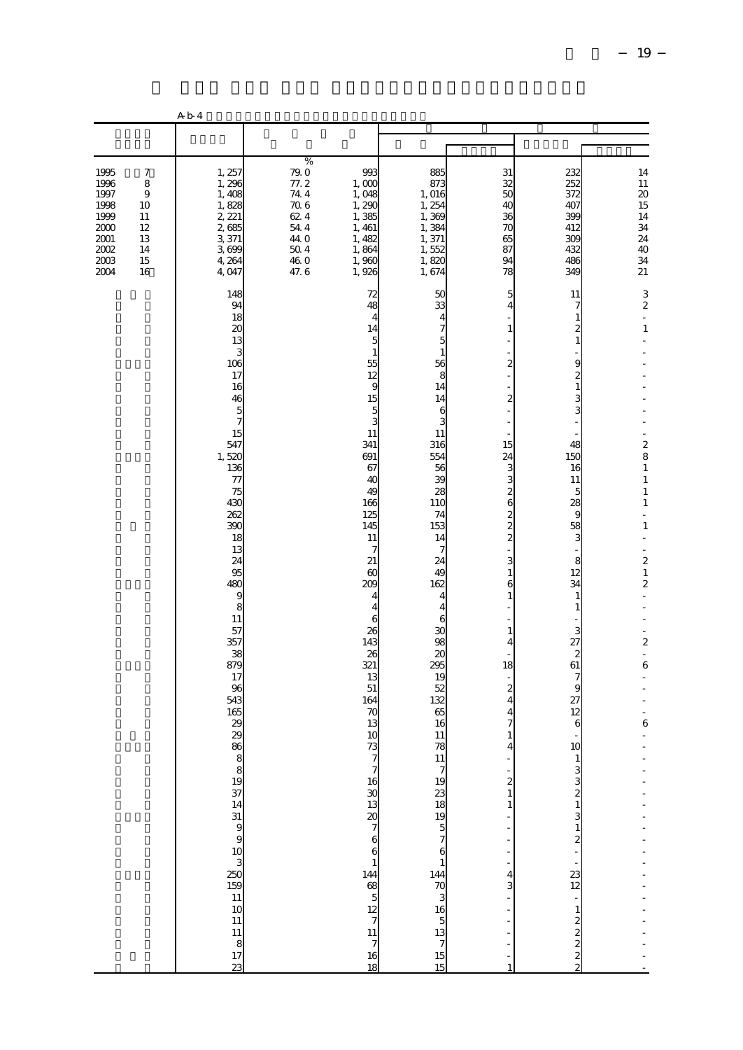|                                                                              |                                                                    | A b 4                                                                                                                                                                                                                                                                                                                                                                                                                                                                                                                                                                                                                                                                                                                                                                       |                                                                                                           |                                                                                                                                                                                                                                                                                                                                                                              |                                                                                                                                                                                                                                                                                                                    |                                                                                                                                                                                                                                                                                                                                                                                                                                                |                                                                                                                                                                                                                                                                                                                                                                           |                                                                                                                                                                                                                                                                                                                                                                                                                        |
|------------------------------------------------------------------------------|--------------------------------------------------------------------|-----------------------------------------------------------------------------------------------------------------------------------------------------------------------------------------------------------------------------------------------------------------------------------------------------------------------------------------------------------------------------------------------------------------------------------------------------------------------------------------------------------------------------------------------------------------------------------------------------------------------------------------------------------------------------------------------------------------------------------------------------------------------------|-----------------------------------------------------------------------------------------------------------|------------------------------------------------------------------------------------------------------------------------------------------------------------------------------------------------------------------------------------------------------------------------------------------------------------------------------------------------------------------------------|--------------------------------------------------------------------------------------------------------------------------------------------------------------------------------------------------------------------------------------------------------------------------------------------------------------------|------------------------------------------------------------------------------------------------------------------------------------------------------------------------------------------------------------------------------------------------------------------------------------------------------------------------------------------------------------------------------------------------------------------------------------------------|---------------------------------------------------------------------------------------------------------------------------------------------------------------------------------------------------------------------------------------------------------------------------------------------------------------------------------------------------------------------------|------------------------------------------------------------------------------------------------------------------------------------------------------------------------------------------------------------------------------------------------------------------------------------------------------------------------------------------------------------------------------------------------------------------------|
|                                                                              |                                                                    |                                                                                                                                                                                                                                                                                                                                                                                                                                                                                                                                                                                                                                                                                                                                                                             |                                                                                                           |                                                                                                                                                                                                                                                                                                                                                                              |                                                                                                                                                                                                                                                                                                                    |                                                                                                                                                                                                                                                                                                                                                                                                                                                |                                                                                                                                                                                                                                                                                                                                                                           |                                                                                                                                                                                                                                                                                                                                                                                                                        |
| 1995<br>1996<br>1997<br>1998<br>1999<br>2000<br>2001<br>2002<br>2003<br>2004 | 7<br>8<br>$\overline{9}$<br>10<br>11<br>12<br>13<br>14<br>15<br>16 | $1, 257$<br>$1, 296$<br>1,408<br>1,828<br>2, 221<br>2,685<br>3,371<br>3,699<br>4, 264<br>4,047                                                                                                                                                                                                                                                                                                                                                                                                                                                                                                                                                                                                                                                                              | $\%$<br><b>79.0</b><br>$77.2$<br>$74.4$<br>706<br>62 4<br>$54\ 4$<br>44.0<br>$50\ 4$<br>$\frac{46}{46}$ 0 | 993<br>1,000<br>1,048<br>1, 290<br>1,385<br>1, 461<br>1,482<br>1,864<br>1,960<br>1,926                                                                                                                                                                                                                                                                                       | 885<br>873<br>1,016<br>1,254<br>1,369<br>1,384<br>1,371<br>1,552<br>1,820<br>1,674                                                                                                                                                                                                                                 | 31<br>32<br>50<br>40<br>36<br>70<br>65<br>87<br>94<br>78                                                                                                                                                                                                                                                                                                                                                                                       | 232<br>252<br>372<br>407<br>399<br>412<br>309<br>432<br>486<br>349                                                                                                                                                                                                                                                                                                        | 14<br>$\frac{11}{20}$<br>$\frac{15}{14}$<br>$\begin{array}{c} 34 \\ 24 \end{array}$<br>40<br>34<br>21                                                                                                                                                                                                                                                                                                                  |
|                                                                              |                                                                    | 148<br>94<br>18<br>20<br>13<br>3<br>106<br>17<br>16<br>46<br>$\frac{5}{7}$<br>15<br>547<br>1,520<br>136<br>77<br>75<br>430<br>262<br>390<br>18<br>13<br>24<br>95<br>480<br>9<br>8<br>$11\,$<br>57<br>357<br>38<br>879<br>17<br>96<br>543<br>165<br>29<br>29<br>86<br>$83\overline{4} \approx \overline{1} \approx 1\overline{1} \approx 1\overline{1} \approx 1\overline{1} \approx 1\overline{1} \approx 1\overline{1} \approx 1\overline{1} \approx 1\overline{1} \approx 1\overline{1} \approx 1\overline{1} \approx 1\overline{1} \approx 1\overline{1} \approx 1\overline{1} \approx 1\overline{1} \approx 1\overline{1} \approx 1\overline{1} \approx 1\overline{1} \approx 1\overline{1} \approx 1\overline{1} \approx 1\overline{1} \approx 1\overline{1} \approx $ |                                                                                                           | 72<br>48<br>$\overline{4}$<br>14<br>5<br>$1\,$<br>55<br>12<br>9<br>15<br>$\frac{5}{3}$<br>11<br>341<br>691<br>67<br>40<br>49<br>166<br>125<br>145<br>11<br>$\overline{7}$<br>$21\,$<br>$\infty$<br>209<br>4<br>$\overline{4}$<br>6<br>26<br>143<br>26<br>321<br>13<br>51<br>164<br>70<br>13<br>10<br>73<br>7 7 16 30 13 30 2 7 6 8 14 88 5 12 7 13 7 13 7 13 7 13 7 16<br>18 | 50<br>33<br>4<br>7<br>5<br>$\mathbf{1}$<br>56<br>8<br>14<br>14<br>6<br>3<br>11<br>316<br>554<br>56<br>$\overline{\mathcal{X}}$<br>28<br>110<br>74<br>153<br>14<br>$\overline{\phantom{a}}$<br>24<br>49<br>162<br>4<br>4<br>6<br>$\mathfrak{A}$<br>98<br>$\alpha$<br>295<br>19<br>52<br>132<br>65<br>16<br>11<br>78 | 5<br>$\overline{4}$<br>$\mathbf{1}$<br>$\overline{a}$<br>$\boldsymbol{z}$<br>15<br>24<br>3<br>3<br>$\boldsymbol{z}$<br>6<br>$\frac{2}{2}$<br>$\overline{\mathcal{Z}}$<br>3<br>$\mathbf{1}$<br>6<br>$\mathbf{1}$<br>$\mathbf{1}$<br>$\overline{4}$<br>18<br>$\overline{\mathcal{Z}}$<br>$\overline{4}$<br>4<br>$\overline{7}$<br>1<br>$\overline{4}$<br>$\begin{smallmatrix}2\\1\end{smallmatrix}$<br>$\,1\,$<br>$\frac{4}{3}$<br>$\frac{1}{2}$ | 11<br>$\overline{7}$<br>1<br>$\boldsymbol{2}$<br>$1\,$<br>9<br>$\boldsymbol{2}$<br>$\,1\,$<br>3<br>3<br>48<br>150<br>16<br>11<br>5<br>28<br>9<br>58<br>3<br>8<br>12<br>34<br>1<br>$\mathbf{1}$<br>3<br>27<br>$\boldsymbol{z}$<br>61<br>7<br>9<br>27<br>12<br>6<br>10<br>3<br>$\begin{array}{c} 3 \\ 2 \\ 1 \end{array}$<br>3<br>$\frac{1}{2}$<br>$\frac{23}{12}$<br>22222 | 3<br>$\overline{\mathcal{L}}$<br>ä,<br>$\,1\,$<br>$\blacksquare$<br>Ĭ.<br>÷<br>$\begin{array}{c} 2 \\ 8 \end{array}$<br>$\,1\,$<br>$\,1\,$<br>$\,1\,$<br>$\,1$<br>$\overline{a}$<br>$\,1\,$<br>$\blacksquare$<br>$\begin{array}{c} 2 \\ 2 \\ 1 \end{array}$<br>$\overline{\phantom{a}}$<br>÷<br>$\overline{a}$<br>$\boldsymbol{z}$<br>$\overline{\phantom{a}}$<br>6<br>÷,<br>ä,<br>÷,<br>$\,$ 6 $\,$<br>$\overline{a}$ |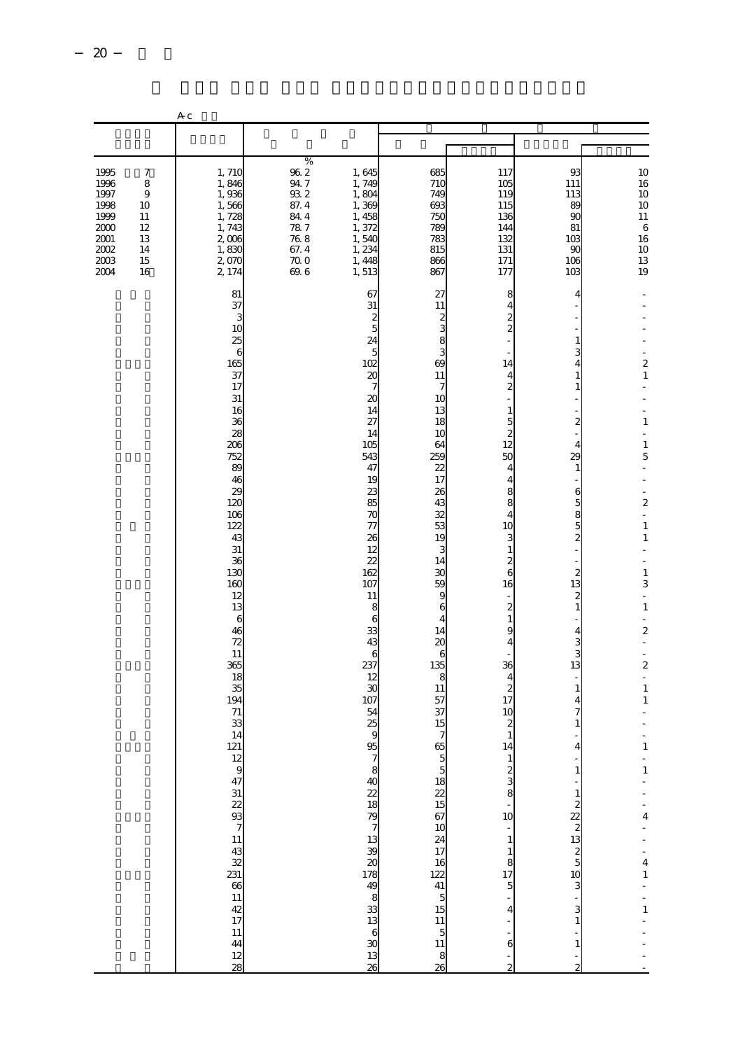|                                      |                                                       | A <sub>c</sub>                                    |                                                                                             |                                                                                                                                                                     |                                                                                                    |                                                                                                   |                                                                                                            |
|--------------------------------------|-------------------------------------------------------|---------------------------------------------------|---------------------------------------------------------------------------------------------|---------------------------------------------------------------------------------------------------------------------------------------------------------------------|----------------------------------------------------------------------------------------------------|---------------------------------------------------------------------------------------------------|------------------------------------------------------------------------------------------------------------|
|                                      |                                                       |                                                   |                                                                                             |                                                                                                                                                                     |                                                                                                    |                                                                                                   |                                                                                                            |
| 1995<br>1996<br>1997<br>1998<br>1999 | $\boldsymbol{7}$<br>8<br>$\boldsymbol{9}$<br>10<br>11 | 1,710<br>1,846<br>1,936<br>1,566<br>1,728         | $\%$<br>$96\ 2$<br>1,645<br>94.7<br>1,749<br>932<br>1,804<br>87.4<br>1,369<br>84.4<br>1,458 | 685<br>710<br><b>749</b><br>693<br><b>750</b>                                                                                                                       | 117<br>105<br>119<br>115<br>136                                                                    | 93<br>111<br>113<br>89<br>90                                                                      | $\begin{array}{c} 10 \\ 16 \\ 10 \\ 10 \end{array}$<br>11                                                  |
| 2000<br>2001<br>2002<br>2003<br>2004 | 12<br>13<br>14<br>15<br>16                            | 1, 743<br>2,006<br>1,830<br>2,070<br>2, 174<br>81 | $78\ 7$<br>1,372<br>$76\ 8$<br>1,540<br>67.4<br>1,234<br>$70\;0$<br>1, 448<br>69.6<br>1,513 | 789<br>783<br>815<br>866<br>867<br>27<br>67                                                                                                                         | 144<br>132<br>131<br>171<br>177<br>8                                                               | 81<br>10 <sup>3</sup><br>90<br>106<br>103<br>4                                                    | $\begin{array}{c} 6 \\ 16 \end{array}$<br>$\frac{10}{13}$<br>13                                            |
|                                      |                                                       | 37<br>3<br>10<br>25<br>6<br>165                   |                                                                                             | 31<br>11<br>$\boldsymbol{z}$<br>$\boldsymbol{2}$<br>3<br>5<br>24<br>8<br>3<br>5<br>102<br>69                                                                        | 4<br>$\overline{c}$<br>$\overline{c}$<br>14                                                        | 1<br>3<br>4                                                                                       | $\frac{1}{2}$<br>$\overline{\mathbf{c}}$                                                                   |
|                                      |                                                       | 37<br>17<br>$31\,$<br>16<br>36<br>28              |                                                                                             | 11<br>20<br>$\overline{7}$<br>7<br>20<br>10<br>14<br>13<br>27<br>18<br>14<br>10                                                                                     | 4<br>$\overline{c}$<br>1<br>5<br>$\overline{\mathbf{c}}$                                           | 1<br>$\mathbf{1}$<br>$\boldsymbol{z}$                                                             | $\,1\,$<br>$\,1\,$<br>÷,                                                                                   |
|                                      |                                                       | 206<br>752<br>89<br>46<br>29<br>120<br>106        |                                                                                             | 105<br>64<br>543<br>259<br>47<br>22<br>17<br>19<br>23<br>26<br>85<br>43<br>70<br>32                                                                                 | 12<br>50<br>4<br>4<br>8<br>8<br>4                                                                  | 4<br>29<br>1<br>6<br>5                                                                            | $\mathbf{1}$<br>5<br>$\blacksquare$<br>$\overline{\phantom{a}}$<br>$\boldsymbol{z}$<br>$\hat{\phantom{a}}$ |
|                                      |                                                       | 122<br>43<br>31<br>36<br>130<br>160               |                                                                                             | 77<br>53<br>26<br>19<br>12<br>3<br>22<br>14<br>162<br>ЗC<br>107<br>59                                                                                               | 10<br>3<br>1<br>2<br>6<br>16                                                                       | $8\overline{0}$<br>$\boldsymbol{z}$<br>13                                                         | $\mathbf{1}$<br>$\,1\,$<br>÷<br>$\,1\,$<br>3                                                               |
|                                      |                                                       | 12<br>13<br>6<br>46<br>72<br>11                   |                                                                                             | 11<br>9<br>8<br>6<br>6<br>4<br>33<br>14<br>43<br>20<br>6<br>6                                                                                                       | $\boldsymbol{2}$<br>1<br>9<br>4                                                                    | 2<br>$\,1$<br>4<br>3<br>3                                                                         | $\overline{a}$<br>$\,1\,$<br>÷<br>$\overline{\mathcal{L}}$<br>÷,<br>÷                                      |
|                                      |                                                       | 365<br>18<br>35<br>194<br>71<br>33<br>14          |                                                                                             | 135<br>237<br>12<br>8<br>30<br>11<br>107<br>57<br>37<br>54<br>25<br>15<br>9<br>7                                                                                    | 36<br>4<br>$\boldsymbol{z}$<br>17<br>10<br>$\overline{c}$<br>1                                     | 13<br>$\mathbf{1}$<br>4<br>7<br>$\mathbf{1}$                                                      | $\overline{\mathbf{c}}$<br>$\overline{\phantom{a}}$<br>$\,1\,$<br>$\,1\,$                                  |
|                                      |                                                       | 121                                               |                                                                                             | 95<br>65<br>8<br>$\frac{5}{18}$<br>$rac{40}{22}$                                                                                                                    | 14<br>$\frac{2}{8}$                                                                                | 4<br>1                                                                                            | $\mathbf{1}$<br>$\,1\,$                                                                                    |
|                                      |                                                       |                                                   |                                                                                             | 18<br>79<br>7<br>3<br>3<br>3<br>20<br>$\frac{15}{67}$<br>$\frac{10}{24}$<br>17<br>178                                                                               | $\frac{1}{10}$<br>÷,<br>$1\,$<br>$\mathbf{1}$<br>$\begin{array}{c}\n 8 \\  17 \\  5\n \end{array}$ | $\frac{1}{2}$ $\frac{1}{2}$ $\frac{1}{2}$ $\frac{1}{2}$ $\frac{1}{2}$ $\frac{1}{2}$ $\frac{1}{2}$ | $\frac{1}{4}$<br>$\overline{a}$<br>$\overline{a}$                                                          |
|                                      |                                                       | $1288832724288$                                   |                                                                                             | $\frac{16}{12}$<br>$\frac{41}{5}$<br>$\frac{5}{15}$<br>49<br>$\frac{8}{33}$<br>13<br>$\begin{array}{c} 11 \\ 5 \\ 11 \end{array}$<br>$\mathbf{6}$<br>$\mathfrak{D}$ | $\overline{4}$<br>$\,$ 6 $\,$                                                                      | $\blacksquare$<br>3<br>$\,$ 1 $\,$<br>$\,1$                                                       | $-4$ 1 $ -1$                                                                                               |
|                                      |                                                       | 12<br>$\overline{28}$                             |                                                                                             | 13<br>8<br>26<br>26                                                                                                                                                 | $\frac{1}{2}$                                                                                      | $\overline{2}$                                                                                    |                                                                                                            |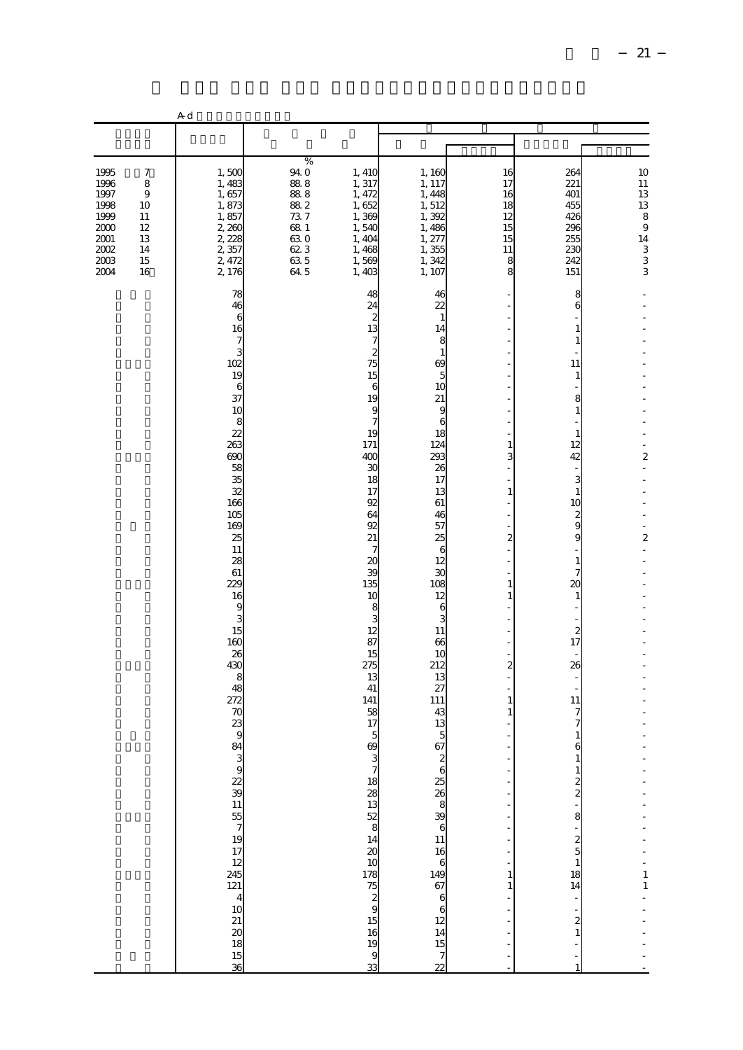|                                                                              |                                                                                         | A d                                                                                                                                                                                                                                                                                                                       |                                                                                                                  |                                                                                                                                                                                                                                                                                                                                                                                                                        |                                                                                                                                                                                                                                                                                                                                                                                                                                       |                                                                                                         |                                                                                                                                                                                                                                                                                                                                                   |                                                                                                                       |
|------------------------------------------------------------------------------|-----------------------------------------------------------------------------------------|---------------------------------------------------------------------------------------------------------------------------------------------------------------------------------------------------------------------------------------------------------------------------------------------------------------------------|------------------------------------------------------------------------------------------------------------------|------------------------------------------------------------------------------------------------------------------------------------------------------------------------------------------------------------------------------------------------------------------------------------------------------------------------------------------------------------------------------------------------------------------------|---------------------------------------------------------------------------------------------------------------------------------------------------------------------------------------------------------------------------------------------------------------------------------------------------------------------------------------------------------------------------------------------------------------------------------------|---------------------------------------------------------------------------------------------------------|---------------------------------------------------------------------------------------------------------------------------------------------------------------------------------------------------------------------------------------------------------------------------------------------------------------------------------------------------|-----------------------------------------------------------------------------------------------------------------------|
|                                                                              |                                                                                         |                                                                                                                                                                                                                                                                                                                           |                                                                                                                  |                                                                                                                                                                                                                                                                                                                                                                                                                        |                                                                                                                                                                                                                                                                                                                                                                                                                                       |                                                                                                         |                                                                                                                                                                                                                                                                                                                                                   |                                                                                                                       |
| 1995<br>1996<br>1997<br>1998<br>1999<br>2000<br>2001<br>2002<br>2003<br>2004 | $\boldsymbol{7}$<br>$\,8\,$<br>$\overline{9}$<br>10<br>11<br>12<br>13<br>14<br>15<br>16 | 1,500<br>1,483<br>1,657<br>1,873<br>1,857<br>2, 260<br>2,228<br>2,357<br>2, 472<br>2,176                                                                                                                                                                                                                                  | $\%$<br>94.0<br>$88\;8$<br>$88\;8$<br>$\frac{88}{73}$ $\frac{2}{7}$<br>$681$<br>$680$<br>$623$<br>$625$<br>$645$ | 1, 410<br>1, 317<br>1, 472<br>1,652<br>1,369<br>1,540<br>1,404<br>1,468<br>1,569<br>1,403                                                                                                                                                                                                                                                                                                                              | 1,160<br>1, 117<br>1,448<br>1,512<br>1,392<br>1,486<br>1, 277<br>1,355<br>1,342<br>1, 107                                                                                                                                                                                                                                                                                                                                             | 16<br>17<br>16<br>18<br>12<br>15<br>15<br>11<br>8<br>8                                                  | 264<br>221<br>401<br>455<br>426<br>296<br>255<br>23C<br>242<br>151                                                                                                                                                                                                                                                                                | 10<br>$11\,$<br>$\begin{array}{c} 13 \\ 13 \\ 8 \\ 9 \end{array}$<br>14<br>$\begin{array}{c} 3 \\ 3 \\ 3 \end{array}$ |
|                                                                              |                                                                                         | 78<br>46<br>6<br>16<br>$\overline{7}$<br>3<br>102<br>19<br>6<br>37<br>10<br>8<br>$\overline{22}$<br>263<br>690<br>58<br>35<br>$\overline{32}$<br>166<br>105<br>169<br>25<br>11<br>28<br>61<br>229<br>16<br>9<br>$\frac{3}{15}$<br>160<br>26<br>430<br>8<br>48<br>272<br>70<br>23<br>$\mathbf{9}$<br>84<br>$\overline{36}$ |                                                                                                                  | 48<br>24<br>$\boldsymbol{z}$<br>13<br>7<br>$\overline{\mathcal{Z}}$<br>75<br>15<br>6<br>19<br>9<br>$\overline{7}$<br>19<br>171<br>400<br>$\mathfrak{X}$<br>18<br>17<br>92<br>64<br>92<br>21<br>7<br>20<br>39<br>135<br>10<br>8<br>3<br>12<br>87<br>15<br>275<br>13<br>41<br>141<br>58<br>17<br>5<br>69<br>$\overline{7}$<br>$\begin{array}{c} 18 \\ 28 \\ 13 \\ 52 \\ 8 \\ 14 \end{array}$<br>16<br>19<br>$rac{9}{33}$ | 46<br>22<br>$\mathbf{1}$<br>14<br>8<br>1<br>69<br>5<br>10<br>21<br>9<br>6<br>18<br>124<br>293<br>26<br>17<br>13<br>61<br>46<br>57<br>25<br>6<br>12<br>$\mathfrak{X}$<br>108<br>12<br>6<br>3<br>11<br>66<br>10<br>212<br>13<br>27<br>111<br>43<br>13<br>5<br>67<br>$\frac{2}{6}$<br>25 38 88 89 11<br>16<br>$\frac{1}{6}$<br>$\frac{1}{6}$<br>$\frac{6}{6}$<br>$\frac{6}{6}$<br>$\frac{6}{6}$<br>$\frac{6}{6}$<br>$\frac{15}{7}$<br>22 | 1<br>3<br>$\mathbf{1}$<br>$\overline{c}$<br>1<br>1<br>$\overline{\mathbf{c}}$<br>1<br>1<br>$\mathbf{1}$ | 8<br>6<br>1<br>1<br>11<br>1<br>8<br>1<br>1<br>12<br>42<br>3<br>1<br>10<br>$\boldsymbol{z}$<br>$\overline{9}$<br>9<br>$\mathbf{1}$<br>7<br>20<br>1<br>$\boldsymbol{2}$<br>17<br>26<br>11<br>7<br>7<br>1<br>6<br>1<br>$\frac{2}{2}$<br>8<br>$\frac{2}{5}$<br>$\,1\,$<br>18<br>14<br>$\overline{\phantom{a}}$<br>$\overline{\mathcal{L}}$<br>$\,1\,$ | $\overline{\mathbf{c}}$<br>L.<br>L.<br>$\boldsymbol{z}$<br>$\frac{1}{2}$<br>$\mathbf{1}$<br>$\,$ 1 $\,$               |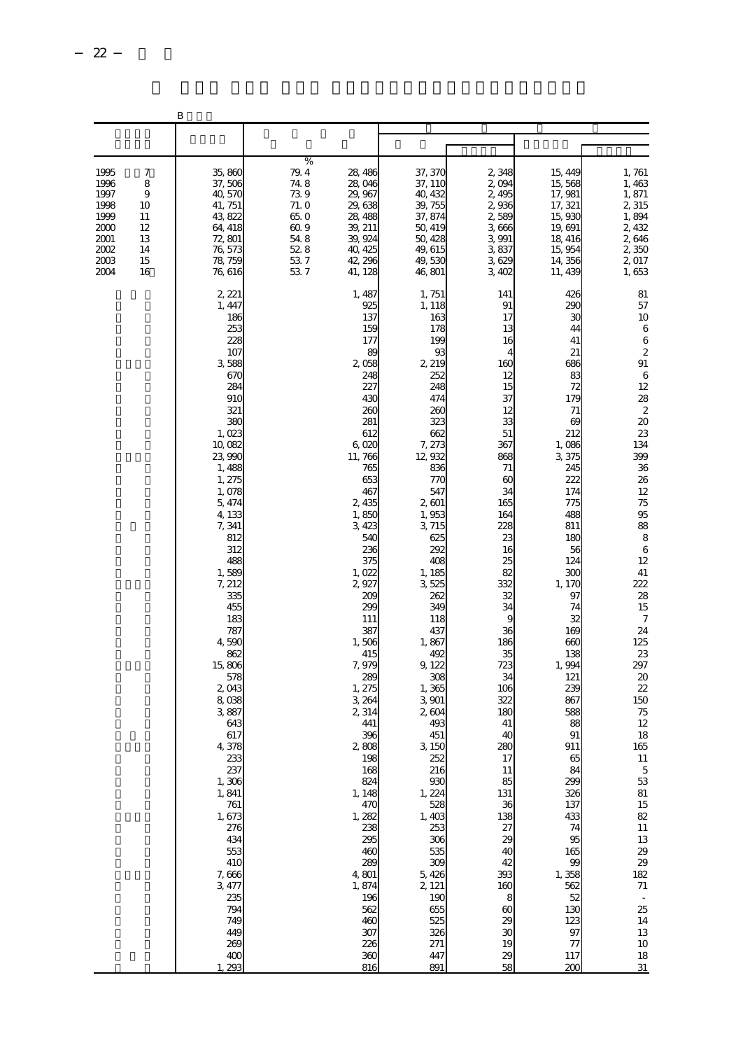|                                                                              |                                                       | B                                                                                                                                                                                                                                                                                                                                                                                                                                                                                                |                                                                                                                                                                                                                                                                                                                                                                                                                                                                  |                                                                                                                                                                                                                                                                                                                                                                                                                                                                                 |                                                                                                                                                                                                                                                                                                                                                                               |                                                                                                                                                                                                                                                                                                                                                                                                                |                                                                                                                                                                                                                                                                                                                                                                                                                                          |
|------------------------------------------------------------------------------|-------------------------------------------------------|--------------------------------------------------------------------------------------------------------------------------------------------------------------------------------------------------------------------------------------------------------------------------------------------------------------------------------------------------------------------------------------------------------------------------------------------------------------------------------------------------|------------------------------------------------------------------------------------------------------------------------------------------------------------------------------------------------------------------------------------------------------------------------------------------------------------------------------------------------------------------------------------------------------------------------------------------------------------------|---------------------------------------------------------------------------------------------------------------------------------------------------------------------------------------------------------------------------------------------------------------------------------------------------------------------------------------------------------------------------------------------------------------------------------------------------------------------------------|-------------------------------------------------------------------------------------------------------------------------------------------------------------------------------------------------------------------------------------------------------------------------------------------------------------------------------------------------------------------------------|----------------------------------------------------------------------------------------------------------------------------------------------------------------------------------------------------------------------------------------------------------------------------------------------------------------------------------------------------------------------------------------------------------------|------------------------------------------------------------------------------------------------------------------------------------------------------------------------------------------------------------------------------------------------------------------------------------------------------------------------------------------------------------------------------------------------------------------------------------------|
|                                                                              |                                                       |                                                                                                                                                                                                                                                                                                                                                                                                                                                                                                  |                                                                                                                                                                                                                                                                                                                                                                                                                                                                  |                                                                                                                                                                                                                                                                                                                                                                                                                                                                                 |                                                                                                                                                                                                                                                                                                                                                                               |                                                                                                                                                                                                                                                                                                                                                                                                                |                                                                                                                                                                                                                                                                                                                                                                                                                                          |
| 1995<br>1996<br>1997<br>1998<br>1999<br>2000<br>2001<br>2002<br>2003<br>2004 | 7<br>8<br>9<br>10<br>11<br>12<br>13<br>14<br>15<br>16 | 35,860<br>37,506<br>40,570<br>41, 751<br>43, 822<br>64, 418<br>72, 801<br>76, 573<br>78, 759<br>76, 616                                                                                                                                                                                                                                                                                                                                                                                          | %<br>79.4<br>28, 486<br>748<br>28,046<br>739<br>29, 967<br>71.0<br>29, 638<br>65.0<br>28, 488<br>60.9<br>39, 211<br>54.8<br>39, 924<br>52.8<br>40, 425<br>537<br>42, 296<br>53.7<br>41, 128                                                                                                                                                                                                                                                                      | 37, 370<br>37, 11C<br>40, 432<br>39, 755<br>37, 874<br>50, 419<br>50, 428<br>49, 615<br>49,530<br>46,801                                                                                                                                                                                                                                                                                                                                                                        | 2,348<br>2,094<br>2,495<br>2,936<br>2,589<br>3,666<br>3,991<br>3,837<br>3,629<br>3,402                                                                                                                                                                                                                                                                                        | 15, 449<br>15,568<br>17, 981<br>17, 321<br>15,930<br>19,691<br>18, 416<br>15, 954<br>14,356<br>11, 439                                                                                                                                                                                                                                                                                                         | 1,761<br>1,463<br>1,871<br>2,315<br>1,894<br>2,432<br>2,646<br>2,350<br>2,017<br>1,653                                                                                                                                                                                                                                                                                                                                                   |
|                                                                              |                                                       | 2, 221<br>1, 447<br>186<br>253<br>228<br>107<br>3,588<br>67C<br>284<br>91 <sub>C</sub><br>321<br>380<br>1,023<br>10,082<br>23,990<br>1,488<br>1, 275<br>1,078<br>5, 474<br>4, 133<br>7,341<br>812<br>312<br>488<br>1,589<br>7, 212<br>335<br>455<br>183<br>787<br>4,590<br>862<br>15,806<br>578<br>2,043<br>8,038<br>3,887<br>643<br>617<br>4,378<br>233<br>237<br>1,306<br>1,841<br>761<br>1,673<br>276<br>434<br>553<br>410<br>7,666<br>3,477<br>235<br>794<br>749<br>449<br>269<br>400<br>293 | 1, 487<br>925<br>137<br>159<br>177<br>2,058<br>248<br>227<br>43C<br>26C<br>281<br>612<br>6,020<br>11, 766<br>765<br>653<br>467<br>2,435<br>1,850<br>3, 423<br>540<br>236<br>375<br>1,022<br>2,927<br>200<br>299<br>111<br>387<br>1,506<br>415<br>7, 979<br>289<br>1, 275<br>3, 264<br>2,314<br>441<br>396<br>2,808<br>198<br>168<br>824<br>1, 148<br>470<br>1,282<br>238<br>295<br>460<br>289<br>4,801<br>1,874<br>196<br>562<br>460<br>307<br>226<br>360<br>816 | 1, 751<br>1, 118<br>163<br>178<br>199<br>89<br>93<br>2 2 19<br>252<br>248<br>474<br>260<br>323<br>662<br>7, 273<br>12,932<br>836<br>770<br>547<br>2,601<br>1,953<br>3,715<br>625<br>292<br>408<br>1, 185<br>3,525<br>262<br>349<br>118<br>437<br>1,867<br>492<br>9, 122<br>308<br>1,365<br>3,901<br>2,604<br>493<br>451<br>3,150<br>252<br>216<br>930<br>1, 224<br>528<br>1,403<br>253<br>306<br>535<br>309<br>5,426<br>2, 121<br>190<br>655<br>525<br>326<br>271<br>447<br>891 | 141<br>91<br>17<br>13<br>16<br>4<br>160<br>12<br>15<br>37<br>12<br>33<br>51<br>367<br>868<br>71<br>60<br>34<br>165<br>164<br>228<br>23<br>16<br>25<br>82<br>332<br>32<br>34<br>9<br>36<br>186<br>35<br>723<br>34<br>106<br>322<br>180<br>41<br>40<br>280<br>17<br>11<br>85<br>131<br>36<br>138<br>27<br>29<br>40<br>42<br>393<br>160<br>8<br>60<br>29<br>30<br>19<br>29<br>58 | 426<br>290<br>30<br>44<br>41<br>21<br>686<br>83<br>72<br>179<br>71<br>69<br>212<br>1,086<br>3,375<br>245<br>222<br>174<br>775<br>488<br>811<br>180<br>56<br>124<br>300<br>1, 170<br>97<br>74<br>32<br>169<br>660<br>138<br>1,994<br>121<br>239<br>867<br>588<br>88<br>91<br>911<br>65<br>84<br>299<br>326<br>137<br>433<br>74<br>95<br>165<br>99<br>1,358<br>562<br>52<br>130<br>123<br>97<br>77<br>117<br>200 | 81<br>57<br>10<br>$\,$ 6 $\,$<br>6<br>$\boldsymbol{2}$<br>91<br>6<br>12<br>28<br>$\boldsymbol{z}$<br>20<br>23<br>134<br>399<br>36<br>26<br>12<br>75<br>95<br>88<br>8<br>6<br>12<br>41<br>222<br>28<br>15<br>$\tau$<br>24<br>125<br>23<br>297<br>20<br>22<br>150<br>75<br>12<br>18<br>165<br>$11\,$<br>$\mathbf 5$<br>53<br>81<br>15<br>82<br>11<br>13<br>29<br>29<br>182<br>$71\,$<br>$\sim$<br>25<br>14<br>$13\,$<br>$10\,$<br>18<br>31 |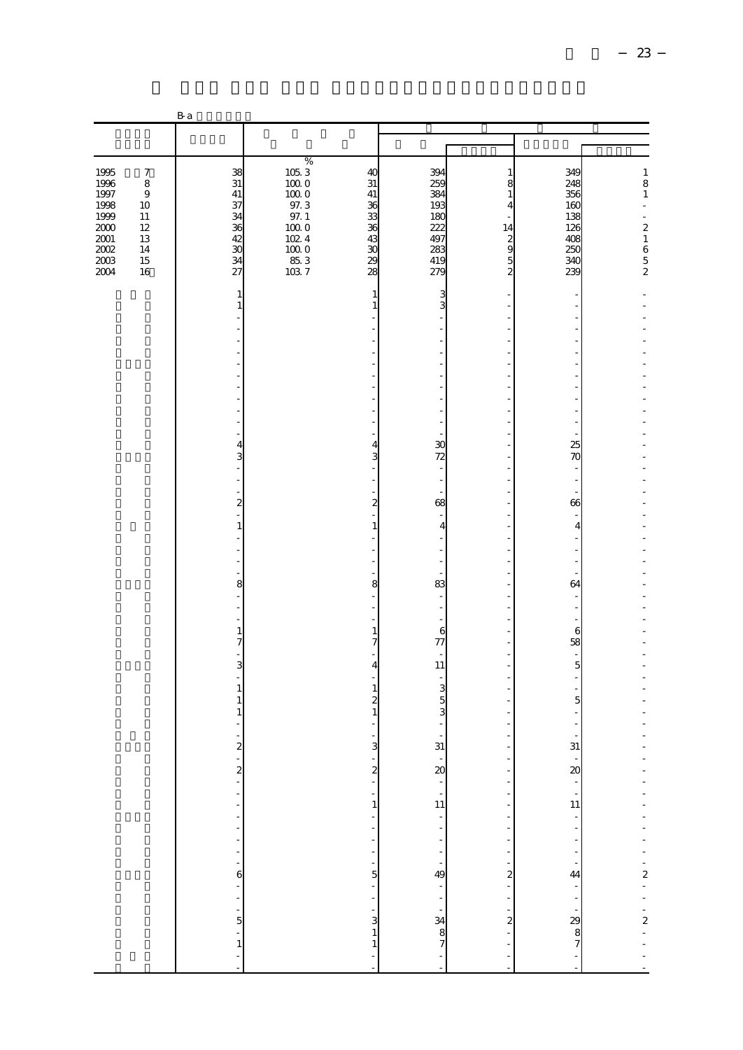|                                                              |                                                 | B <sub>a</sub>                                                           |                                                                                    |                                                                 |                                                      |                                               |                                                      |                                                                                                                     |
|--------------------------------------------------------------|-------------------------------------------------|--------------------------------------------------------------------------|------------------------------------------------------------------------------------|-----------------------------------------------------------------|------------------------------------------------------|-----------------------------------------------|------------------------------------------------------|---------------------------------------------------------------------------------------------------------------------|
|                                                              |                                                 |                                                                          |                                                                                    |                                                                 |                                                      |                                               |                                                      |                                                                                                                     |
|                                                              |                                                 |                                                                          |                                                                                    |                                                                 |                                                      |                                               |                                                      |                                                                                                                     |
| 1995<br>1996<br>1997<br>1998<br>1999<br>2000<br>2001<br>2002 | 7<br>$\,8\,$<br>9<br>10<br>11<br>12<br>13<br>14 | 38<br>31<br>41<br>37<br>34<br>36<br>$\overline{42}$<br>$\mathfrak{A}$    | $\%$<br>105.3<br>1000<br>$100\;0$<br>97.3<br>97.1<br>$100\;0$<br>102.4<br>$100\;0$ | 40<br>$31\,$<br>41<br>36<br>33<br>36<br>43<br>$\boldsymbol{30}$ | 394<br>259<br>384<br>193<br>180<br>222<br>497<br>283 | 1<br>8<br>1<br>4<br>14<br>$\overline{c}$<br>9 | 349<br>248<br>356<br>16C<br>138<br>126<br>408<br>250 | $\begin{array}{c} 1 \\ 8 \end{array}$<br>$\,1\,$<br>÷,<br>÷<br>$\overline{\mathcal{L}}$<br>$\,1\,$<br>$6\atop{5}$ 2 |
| 2003<br>2004                                                 | 15<br>16                                        | 34<br>27                                                                 | 85.3<br>1037                                                                       | 29<br>28                                                        | 419<br>279                                           | 5<br>$\overline{a}$                           | 34C<br>239                                           |                                                                                                                     |
|                                                              |                                                 | 1<br>$\mathbf{1}$                                                        |                                                                                    | 1<br>$\mathbf{1}$                                               | 3<br>3                                               |                                               |                                                      |                                                                                                                     |
|                                                              |                                                 |                                                                          |                                                                                    |                                                                 |                                                      |                                               |                                                      |                                                                                                                     |
|                                                              |                                                 |                                                                          |                                                                                    |                                                                 |                                                      |                                               |                                                      |                                                                                                                     |
|                                                              |                                                 |                                                                          |                                                                                    |                                                                 |                                                      |                                               |                                                      |                                                                                                                     |
|                                                              |                                                 |                                                                          |                                                                                    |                                                                 |                                                      |                                               |                                                      |                                                                                                                     |
|                                                              |                                                 | 4                                                                        |                                                                                    | 4                                                               | 30                                                   |                                               | 25                                                   |                                                                                                                     |
|                                                              |                                                 | 3                                                                        |                                                                                    | 3                                                               | 72                                                   |                                               | 70                                                   |                                                                                                                     |
|                                                              |                                                 |                                                                          |                                                                                    |                                                                 |                                                      |                                               |                                                      |                                                                                                                     |
|                                                              |                                                 |                                                                          |                                                                                    |                                                                 |                                                      |                                               |                                                      |                                                                                                                     |
|                                                              |                                                 | $\overline{\mathbf{c}}$                                                  |                                                                                    | $\overline{\mathcal{Z}}$                                        | 68                                                   |                                               | 66                                                   |                                                                                                                     |
|                                                              |                                                 | $\,1\,$                                                                  |                                                                                    | $1\,$                                                           | $\overline{4}$                                       |                                               | $\overline{4}$                                       |                                                                                                                     |
|                                                              |                                                 |                                                                          |                                                                                    |                                                                 | ÷                                                    |                                               |                                                      |                                                                                                                     |
|                                                              |                                                 |                                                                          |                                                                                    |                                                                 |                                                      |                                               |                                                      |                                                                                                                     |
|                                                              |                                                 |                                                                          |                                                                                    |                                                                 |                                                      |                                               |                                                      |                                                                                                                     |
|                                                              |                                                 | 8                                                                        |                                                                                    | 8                                                               | 83<br>$\overline{\phantom{a}}$                       |                                               | 64                                                   |                                                                                                                     |
|                                                              |                                                 |                                                                          |                                                                                    |                                                                 | $\overline{a}$                                       |                                               |                                                      |                                                                                                                     |
|                                                              |                                                 | $\mathbf{1}$                                                             |                                                                                    | $\mathbf{1}$                                                    | 6                                                    |                                               | 6                                                    |                                                                                                                     |
|                                                              |                                                 | $\overline{7}$                                                           |                                                                                    | $\overline{7}$                                                  | 77                                                   |                                               | 58                                                   |                                                                                                                     |
|                                                              |                                                 |                                                                          |                                                                                    |                                                                 | ÷<br>11                                              |                                               | $\overline{\phantom{a}}$                             |                                                                                                                     |
|                                                              |                                                 | 3                                                                        |                                                                                    | 4                                                               |                                                      | ×,                                            | 5                                                    |                                                                                                                     |
|                                                              |                                                 | $1\,$                                                                    |                                                                                    | $\mathbf{1}$                                                    | 3                                                    |                                               | ÷,                                                   |                                                                                                                     |
|                                                              |                                                 | $\mathbf{1}$<br>1                                                        |                                                                                    | $\overline{\mathcal{Z}}$<br>$\,1\,$                             | $\overline{5}$<br>3                                  |                                               | $\overline{5}$                                       |                                                                                                                     |
|                                                              |                                                 |                                                                          |                                                                                    |                                                                 |                                                      |                                               |                                                      |                                                                                                                     |
|                                                              |                                                 | $\overline{\mathbf{c}}$                                                  |                                                                                    | 3                                                               | 31                                                   |                                               | 31                                                   |                                                                                                                     |
|                                                              |                                                 |                                                                          |                                                                                    |                                                                 |                                                      |                                               |                                                      |                                                                                                                     |
|                                                              |                                                 | $\frac{2}{1}$                                                            |                                                                                    | $\frac{2}{1}$                                                   |                                                      |                                               | $\infty$                                             |                                                                                                                     |
|                                                              |                                                 |                                                                          |                                                                                    |                                                                 | $\frac{20}{11}$                                      |                                               | $\frac{1}{2}$                                        |                                                                                                                     |
|                                                              |                                                 | ÷                                                                        |                                                                                    | $\,$ 1 $\,$                                                     |                                                      |                                               | $\overline{11}$                                      |                                                                                                                     |
|                                                              |                                                 | $\frac{1}{2}$                                                            |                                                                                    |                                                                 |                                                      |                                               | $\frac{1}{2}$                                        | $\overline{a}$                                                                                                      |
|                                                              |                                                 | ÷                                                                        |                                                                                    |                                                                 |                                                      |                                               | f                                                    |                                                                                                                     |
|                                                              |                                                 |                                                                          |                                                                                    | .                                                               |                                                      |                                               | $\frac{1}{1}$                                        | $\frac{1}{2}$ $\frac{1}{2}$                                                                                         |
|                                                              |                                                 | $\begin{array}{c} \frac{1}{2} \\ \frac{1}{2} \\ \frac{1}{2} \end{array}$ |                                                                                    |                                                                 |                                                      | $\begin{bmatrix} 2 \\ 2 \end{bmatrix}$        | 44                                                   |                                                                                                                     |
|                                                              |                                                 |                                                                          |                                                                                    |                                                                 |                                                      |                                               |                                                      |                                                                                                                     |
|                                                              |                                                 | $\frac{1}{2}$ $\frac{1}{5}$                                              |                                                                                    | $\frac{1}{1}$                                                   |                                                      | $\frac{1}{2}$                                 | $\frac{2}{8}$                                        | $\frac{1}{2}$ 2 $\frac{1}{2}$                                                                                       |
|                                                              |                                                 |                                                                          |                                                                                    |                                                                 |                                                      | $\overline{\mathbf{c}}$                       |                                                      |                                                                                                                     |
|                                                              |                                                 | $\frac{1}{1}$                                                            |                                                                                    | $\mathbf{1}$                                                    |                                                      |                                               | 7                                                    |                                                                                                                     |
|                                                              |                                                 |                                                                          |                                                                                    |                                                                 |                                                      |                                               |                                                      |                                                                                                                     |
|                                                              |                                                 |                                                                          |                                                                                    |                                                                 |                                                      |                                               |                                                      |                                                                                                                     |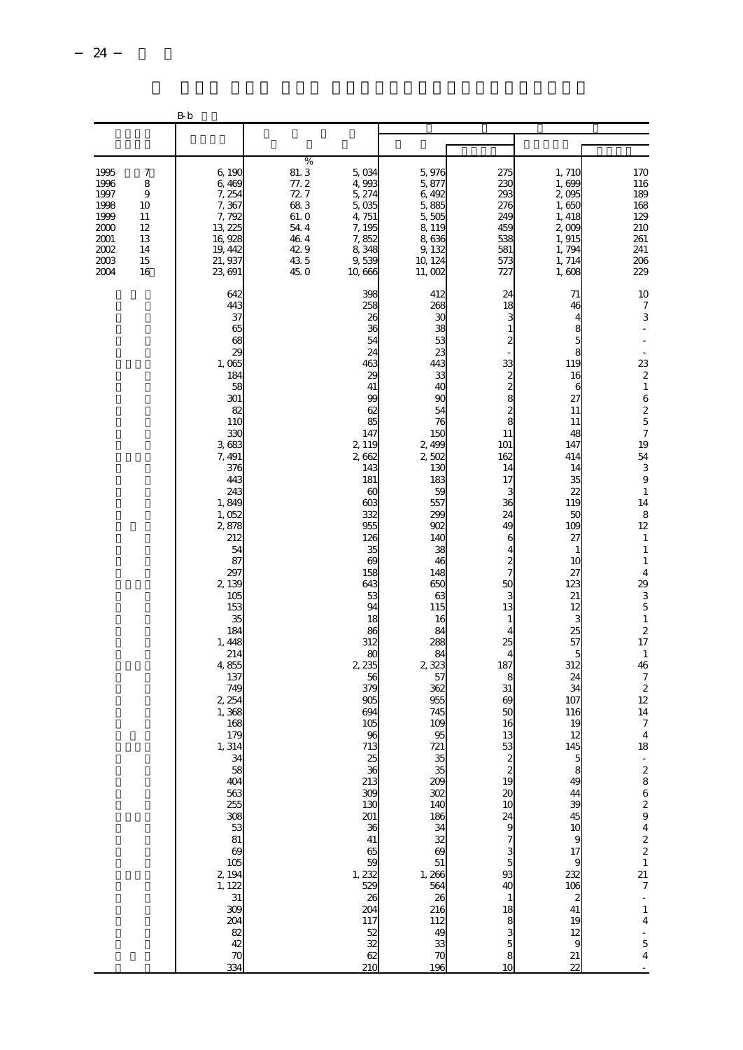|                                                                              |                                                       | B b                                                                                                                                                                                                                                                                                                                                                                                                                                                                                                   |                                                                                     |                                                                                                                                                                                                                                                                                                                                                                                                                         |                                                                                                                                                                                                                                                                                                                                                                                                                                                        |                                                                                                                                                                                                                                                                                                                                                                                                                |                                                                                                                                                                                                                                                                                                                                                                                                                   |                                                                                                                                                                                                                                                                                                                                                                                                                                                                            |
|------------------------------------------------------------------------------|-------------------------------------------------------|-------------------------------------------------------------------------------------------------------------------------------------------------------------------------------------------------------------------------------------------------------------------------------------------------------------------------------------------------------------------------------------------------------------------------------------------------------------------------------------------------------|-------------------------------------------------------------------------------------|-------------------------------------------------------------------------------------------------------------------------------------------------------------------------------------------------------------------------------------------------------------------------------------------------------------------------------------------------------------------------------------------------------------------------|--------------------------------------------------------------------------------------------------------------------------------------------------------------------------------------------------------------------------------------------------------------------------------------------------------------------------------------------------------------------------------------------------------------------------------------------------------|----------------------------------------------------------------------------------------------------------------------------------------------------------------------------------------------------------------------------------------------------------------------------------------------------------------------------------------------------------------------------------------------------------------|-------------------------------------------------------------------------------------------------------------------------------------------------------------------------------------------------------------------------------------------------------------------------------------------------------------------------------------------------------------------------------------------------------------------|----------------------------------------------------------------------------------------------------------------------------------------------------------------------------------------------------------------------------------------------------------------------------------------------------------------------------------------------------------------------------------------------------------------------------------------------------------------------------|
|                                                                              |                                                       |                                                                                                                                                                                                                                                                                                                                                                                                                                                                                                       |                                                                                     |                                                                                                                                                                                                                                                                                                                                                                                                                         |                                                                                                                                                                                                                                                                                                                                                                                                                                                        |                                                                                                                                                                                                                                                                                                                                                                                                                |                                                                                                                                                                                                                                                                                                                                                                                                                   |                                                                                                                                                                                                                                                                                                                                                                                                                                                                            |
| 1995<br>1996<br>1997<br>1998<br>1999<br>2000<br>2001<br>2002<br>2003<br>2004 | 7<br>8<br>9<br>10<br>11<br>12<br>13<br>14<br>15<br>16 | 6,190<br>6,469<br>7,254<br>7,367<br>7,792<br>13, 225<br>16,928<br>19, 442<br>21, 937<br>23, 691                                                                                                                                                                                                                                                                                                                                                                                                       | %<br>81.3<br>77.2<br>72.7<br>683<br>61.0<br>54.4<br>46.4<br>42.9<br>$43\ 5$<br>45.O | 5,034<br>4,993<br>5, 274<br>5,035<br>4,751<br>7,195<br>7,852<br>8,348<br>9,539<br>10,666                                                                                                                                                                                                                                                                                                                                | 5,976<br>5,877<br>6,492<br>5,885<br>5,505<br>8,119<br>8,636<br>9, 132<br>10, 124<br>11,002                                                                                                                                                                                                                                                                                                                                                             | 275<br>230<br>293<br>276<br>24 <sup>C</sup><br>459<br>538<br>581<br>573<br>727                                                                                                                                                                                                                                                                                                                                 | 1,710<br>1,699<br>2,095<br>1,650<br>1, 418<br>2,009<br>1,915<br>1,794<br>1, 714<br>1,608                                                                                                                                                                                                                                                                                                                          | 170<br>116<br>189<br>168<br>129<br>210<br>261<br>241<br>206<br>229                                                                                                                                                                                                                                                                                                                                                                                                         |
|                                                                              |                                                       | 642<br>443<br>37<br>65<br>68<br>$\infty$<br>1,065<br>184<br>58<br>301<br>82<br>11C<br>33C<br>3,683<br>7, 491<br>376<br>443<br>243<br>1,849<br>1,052<br>2,878<br>212<br>54<br>87<br>297<br>2, 139<br>105<br>153<br>35<br>184<br>1,448<br>214<br>4,855<br>137<br>749<br>2, 254<br>1,368<br>168<br>179<br>1,314<br>34<br>58<br>40 <sub>4</sub><br>563<br>255<br>255<br>308<br>53<br>81<br>69<br>$\begin{array}{c} 105 \\ 2,194 \end{array}$<br>1,122<br>$\frac{31}{309}$<br>204<br>82<br>42<br>70<br>334 |                                                                                     | 398<br>258<br>26<br>36<br>54<br>24<br>463<br>29<br>41<br>$90^{\circ}$<br>62<br>85<br>147<br>2, 119<br>2,662<br>143<br>181<br>$\alpha$<br>603<br>332<br>955<br>126<br>35<br>69<br>158<br>643<br>53<br>94<br>18<br>86<br>312<br>80<br>2, 235<br>56<br>379<br>905<br>694<br>105<br>96<br>713<br>25<br>36<br>213<br>309<br>130<br>201<br>36<br>41<br>65<br>59<br>1, 232<br>529<br>26<br>204<br>117<br>52<br>32<br>62<br>210 | 412<br>268<br>ЗС<br>38<br>53<br>23<br>443<br>33<br>4C<br>$_{90}$<br>54<br>76<br>150<br>2, 499<br>2,502<br>130<br>183<br>59<br>557<br>299<br>902<br>140<br>38<br>46<br>148<br>650<br>63<br>115<br>16<br>84<br>288<br>84<br>2,323<br>57<br>362<br>955<br>745<br>109<br>95<br>721<br>35<br>35<br>200<br>302<br>140<br>$\begin{array}{c}\n 186 \\  34 \\  32\n \end{array}$<br>69<br>$\frac{51}{1,266}$<br>26<br>216<br>112<br>49<br>33<br>$\infty$<br>196 | 24<br>18<br>3<br>1<br>33<br>$\frac{2}{2}$<br>8<br>$\overline{\mathcal{L}}$<br>8<br>11<br>101<br>162<br>14<br>17<br>3<br>36<br>24<br>49<br>6<br>4<br>$\overline{\mathcal{Z}}$<br>50<br>3<br>13<br>1<br>4<br>25<br>$\overline{4}$<br>187<br>8<br>31<br>69<br>50<br>16<br>13<br>53<br>$\overline{\mathcal{Z}}$<br>19<br>20<br>10<br>24<br>9<br>7<br>5<br>93<br>40<br>$\mathbf{1}$<br>18<br>8<br>3<br>5<br>8<br>10 | 71<br>46<br>4<br>8<br>5<br>8<br>119<br>16<br>6<br>27<br>11<br>11<br>48<br>147<br>414<br>14<br>35<br>22<br>119<br>50<br>109<br>27<br>1<br>10<br>27<br>123<br>21<br>12<br>3<br>25<br>57<br>5<br>312<br>24<br>34<br>107<br>116<br>19<br>12<br>145<br>8<br>49<br>44<br>39<br>45<br>10<br>$\overline{9}$<br>17<br>$\overline{9}$<br>232<br>106<br>$\boldsymbol{z}$<br>41<br>19<br>12<br>$\overline{9}$<br>$21\,$<br>22 | 10<br>$\overline{7}$<br>3<br>$\bar{\phantom{a}}$<br>$\frac{23}{2}$<br>$\,1\,$<br>6257<br>19<br>54<br>3<br>9<br>$\,1\,$<br>14<br>8<br>12<br>$\,1\,$<br>$\mathbf{1}$<br>$\,1\,$<br>$\overline{4}$<br>29<br>$\frac{3}{5}$<br>$\,1\,$<br>$\boldsymbol{z}$<br>17<br>$\,1\,$<br>46<br>$\boldsymbol{7}$<br>$\boldsymbol{z}$<br>12<br>14<br>$\boldsymbol{7}$<br>$\overline{4}$<br>18<br>$2862942217$<br>$7$<br>$\overline{\mathbf{4}}$<br>$\frac{1}{5}$<br>$\overline{\mathbf{4}}$ |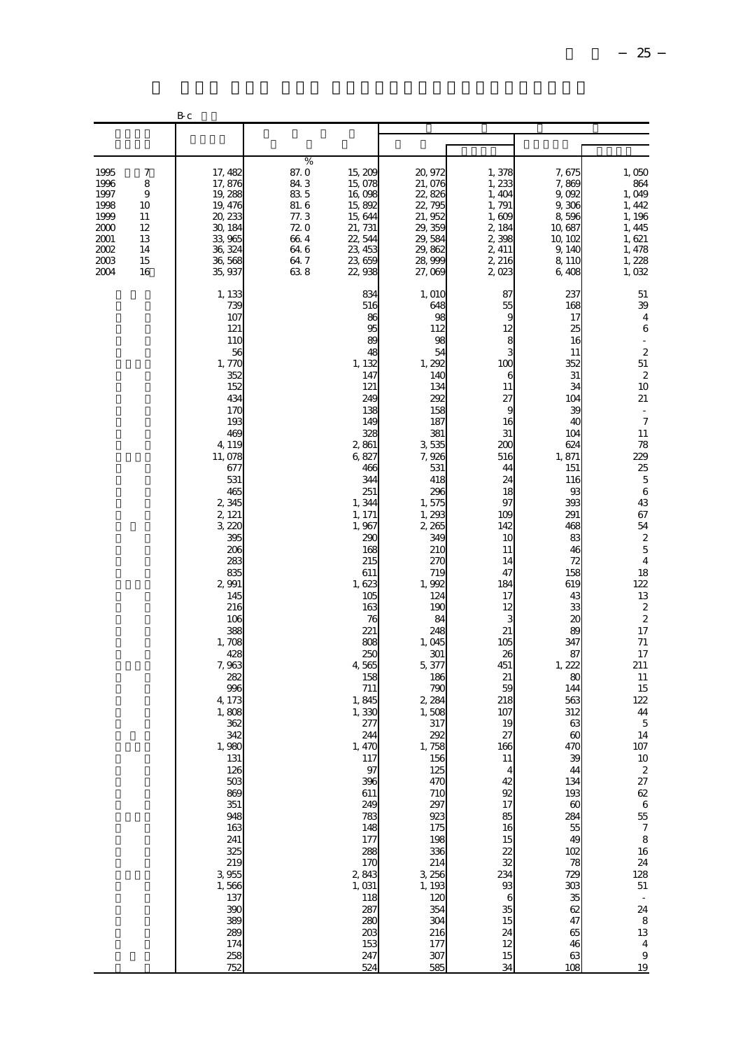|                                                                              |                                                       | Вc                                                                                                                                                                                                                                                                                                                                                                                                                                                           |                                                                                    |                                                                                                                                                                                                                                                                                                                                                                                                                                                             |                                                                                                                                                                                                                                                                                                                                                                                                                                                         |                                                                                                                                                                                                                                                                                                                                                                            |                                                                                                                                                                                                                                                                                                                                                                                                         |                                                                                                                                                                                                                                                                                                                                                                                                                                                                                                                                                                                                                 |
|------------------------------------------------------------------------------|-------------------------------------------------------|--------------------------------------------------------------------------------------------------------------------------------------------------------------------------------------------------------------------------------------------------------------------------------------------------------------------------------------------------------------------------------------------------------------------------------------------------------------|------------------------------------------------------------------------------------|-------------------------------------------------------------------------------------------------------------------------------------------------------------------------------------------------------------------------------------------------------------------------------------------------------------------------------------------------------------------------------------------------------------------------------------------------------------|---------------------------------------------------------------------------------------------------------------------------------------------------------------------------------------------------------------------------------------------------------------------------------------------------------------------------------------------------------------------------------------------------------------------------------------------------------|----------------------------------------------------------------------------------------------------------------------------------------------------------------------------------------------------------------------------------------------------------------------------------------------------------------------------------------------------------------------------|---------------------------------------------------------------------------------------------------------------------------------------------------------------------------------------------------------------------------------------------------------------------------------------------------------------------------------------------------------------------------------------------------------|-----------------------------------------------------------------------------------------------------------------------------------------------------------------------------------------------------------------------------------------------------------------------------------------------------------------------------------------------------------------------------------------------------------------------------------------------------------------------------------------------------------------------------------------------------------------------------------------------------------------|
|                                                                              |                                                       |                                                                                                                                                                                                                                                                                                                                                                                                                                                              |                                                                                    |                                                                                                                                                                                                                                                                                                                                                                                                                                                             |                                                                                                                                                                                                                                                                                                                                                                                                                                                         |                                                                                                                                                                                                                                                                                                                                                                            |                                                                                                                                                                                                                                                                                                                                                                                                         |                                                                                                                                                                                                                                                                                                                                                                                                                                                                                                                                                                                                                 |
| 1995<br>1996<br>1997<br>1998<br>1999<br>2000<br>2001<br>2002<br>2003<br>2004 | 7<br>8<br>9<br>10<br>11<br>12<br>13<br>14<br>15<br>16 | 17, 482<br>17,876<br>19, 288<br>19, 476<br>20, 233<br>30, 184<br>33,965<br>36, 324<br>36, 568<br>35, 937                                                                                                                                                                                                                                                                                                                                                     | $\%$<br>87.0<br>84.3<br>835<br>81.6<br>77.3<br>72.0<br>664<br>64 6<br>64.7<br>63.8 | 15,200<br>15,078<br>16,098<br>15,892<br>15, 644<br>21, 731<br>22, 544<br>23, 453<br>23,659<br>22, 938                                                                                                                                                                                                                                                                                                                                                       | 20, 972<br>21,076<br>22,826<br>22, 795<br>21, 952<br>29, 359<br>29,584<br>29,862<br>28,999<br>27,069                                                                                                                                                                                                                                                                                                                                                    | 1,378<br>1, 233<br>1,404<br>1, 791<br>1,600<br>2, 184<br>2,398<br>2, 411<br>2, 216<br>2023                                                                                                                                                                                                                                                                                 | 7,675<br>7,869<br>9,092<br>9,306<br>8,596<br>10,687<br>10, 102<br>9, 14C<br>8,110<br>6,408                                                                                                                                                                                                                                                                                                              | 1,050<br>864<br>1,049<br>1, 442<br>1,196<br>1, 445<br>1,621<br>1, 478<br>1,228<br>1,032                                                                                                                                                                                                                                                                                                                                                                                                                                                                                                                         |
|                                                                              |                                                       | 1, 133<br>739<br>107<br>121<br>110<br>56<br>1,77C<br>352<br>152<br>434<br>170<br>193<br>469<br>4, 119<br>11,078<br>677<br>531<br>465<br>2 3 45<br>2, 121<br>3,220<br>395<br>206<br>283<br>835<br>2,991<br>145<br>216<br>106<br>388<br>1,708<br>428<br>7,963<br>282<br>996<br>4, 173<br>1,808<br>362<br>342<br>1,980<br>131<br>126<br>503<br>869<br>351<br>948<br>163<br>241<br>325<br>219<br>3,955<br>1,566<br>137<br>390<br>389<br>289<br>174<br>258<br>752 |                                                                                    | 834<br>516<br>86<br>œ<br>89<br>48<br>1, 132<br>147<br>121<br>249<br>138<br>14 <sup>C</sup><br>328<br>2,861<br>6,827<br>466<br>344<br>251<br>1,344<br>1, 171<br>1,967<br>290<br>168<br>215<br>611<br>1,623<br>105<br>163<br>76<br>221<br>808<br>250<br>4,565<br>158<br>711<br>1,845<br>1,33C<br>277<br>244<br>1, 470<br>117<br>97<br>396<br>611<br>249<br>783<br>148<br>177<br>288<br>170<br>2,843<br>1,031<br>118<br>287<br>280<br>203<br>153<br>247<br>524 | 1,010<br>648<br>98<br>112<br>98<br>54<br>1, 292<br>14C<br>134<br>292<br>158<br>187<br>381<br>3,535<br>7,926<br>531<br>418<br>296<br>1,575<br>1,293<br>2, 265<br>349<br>21C<br>27C<br>719<br>1,992<br>124<br>19C<br>84<br>248<br>1,045<br>301<br>5,377<br>186<br>790<br>2,284<br>1,508<br>317<br>292<br>1,758<br>156<br>125<br>470<br>710<br>297<br>923<br>175<br>198<br>336<br>214<br>3, 256<br>1, 193<br>120<br>354<br>304<br>216<br>177<br>307<br>585 | 87<br>55<br>S<br>12<br>8<br>100<br>6<br>11<br>27<br>g<br>16<br>31<br>200<br>516<br>44<br>24<br>18<br>97<br>109<br>142<br>10<br>11<br>14<br>47<br>184<br>17<br>12<br>3<br>21<br>105<br>26<br>451<br>21<br>59<br>218<br>107<br>19<br>27<br>166<br>11<br>$\overline{4}$<br>42<br>92<br>17<br>85<br>16<br>15<br>22<br>32<br>234<br>93<br>6<br>35<br>15<br>24<br>12<br>15<br>34 | 237<br>168<br>17<br>25<br>16<br>11<br>352<br>31<br>34<br>104<br>39<br>4C<br>104<br>624<br>1,871<br>151<br>116<br>93<br>393<br>291<br>468<br>83<br>46<br>72<br>158<br>619<br>43<br>33<br>$\alpha$<br>æ<br>347<br>87<br>1,222<br>80<br>144<br>563<br>312<br>63<br>$\alpha$<br>470<br>æ<br>44<br>134<br>193<br>60<br>284<br>55<br>49<br>102<br>78<br>729<br>303<br>35<br>62<br>47<br>65<br>46<br>63<br>108 | 51<br>39<br>$\overline{4}$<br>6<br>$\Box$<br>$\boldsymbol{z}$<br>51<br>$\boldsymbol{2}$<br>10<br>21<br>$\ddot{\phantom{1}}$<br>$\overline{7}$<br>11<br>78<br>229<br>25<br>$\mathbf 5$<br>$\,$ 6 $\,$<br>43<br>67<br>54<br>$\overline{\mathcal{L}}$<br>$\overline{5}$<br>$\overline{4}$<br>18<br>122<br>13<br>$\boldsymbol{2}$<br>$\boldsymbol{2}$<br>17<br>$71\,$<br>17<br>211<br>11<br>15<br>122<br>44<br>$\overline{5}$<br>14<br>107<br>$^{10}_{\phantom{1}2}$<br>27<br>62<br>$\,6\,$<br>55<br>$\boldsymbol{7}$<br>8<br>16<br>24<br>128<br>$51\,$<br>$\sim$<br>24<br>8<br>13<br>$\overline{4}$<br>$\,9$<br>19 |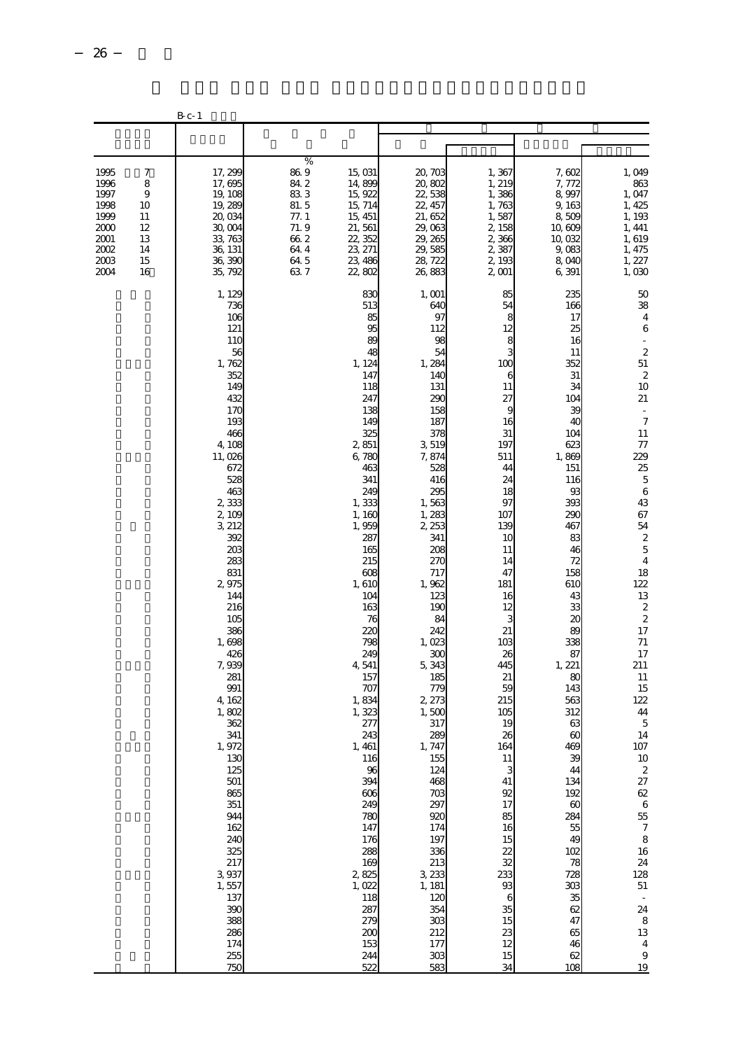|                                                                      |                                                 | $B_{c-1}$                                                                                                                                                                                                                                                                                                                                                                                                                                                              |                                                                            |                                                                                                                                                                                                                                                                                                                                                                                                                                                            |                                                                                                                                                                                                                                                                                                                                                                                                                                                                            |                                                                                                                                                                                                                                                                                                                                                                                             |                                                                                                                                                                                                                                                                                                                                                                                                                               |                                                                                                                                                                                                                                                                                                                                                                                                                                                                                                                                                                                                                                        |
|----------------------------------------------------------------------|-------------------------------------------------|------------------------------------------------------------------------------------------------------------------------------------------------------------------------------------------------------------------------------------------------------------------------------------------------------------------------------------------------------------------------------------------------------------------------------------------------------------------------|----------------------------------------------------------------------------|------------------------------------------------------------------------------------------------------------------------------------------------------------------------------------------------------------------------------------------------------------------------------------------------------------------------------------------------------------------------------------------------------------------------------------------------------------|----------------------------------------------------------------------------------------------------------------------------------------------------------------------------------------------------------------------------------------------------------------------------------------------------------------------------------------------------------------------------------------------------------------------------------------------------------------------------|---------------------------------------------------------------------------------------------------------------------------------------------------------------------------------------------------------------------------------------------------------------------------------------------------------------------------------------------------------------------------------------------|-------------------------------------------------------------------------------------------------------------------------------------------------------------------------------------------------------------------------------------------------------------------------------------------------------------------------------------------------------------------------------------------------------------------------------|----------------------------------------------------------------------------------------------------------------------------------------------------------------------------------------------------------------------------------------------------------------------------------------------------------------------------------------------------------------------------------------------------------------------------------------------------------------------------------------------------------------------------------------------------------------------------------------------------------------------------------------|
|                                                                      |                                                 |                                                                                                                                                                                                                                                                                                                                                                                                                                                                        |                                                                            |                                                                                                                                                                                                                                                                                                                                                                                                                                                            |                                                                                                                                                                                                                                                                                                                                                                                                                                                                            |                                                                                                                                                                                                                                                                                                                                                                                             |                                                                                                                                                                                                                                                                                                                                                                                                                               |                                                                                                                                                                                                                                                                                                                                                                                                                                                                                                                                                                                                                                        |
| 1995<br>1996<br>1997<br>1998<br>1999<br>2000<br>2001<br>2002<br>2003 | 7<br>8<br>9<br>10<br>11<br>12<br>13<br>14<br>15 | 17, 299<br>17,695<br>19, 108<br>19, 289<br>20, 034<br>30,004<br>33, 763<br>36, 131<br>36, 390                                                                                                                                                                                                                                                                                                                                                                          | $\%$<br>86.9<br>842<br>833<br>81.5<br>77.1<br>71.9<br>66.2<br>64 4<br>64 5 | 15,031<br>14,899<br>15, 922<br>15, 714<br>15, 451<br>21, 561<br>22, 352<br>23, 271<br>23, 486                                                                                                                                                                                                                                                                                                                                                              | 20, 703<br>20,802<br>22, 538<br>22, 457<br>21,652<br>29,063<br>29, 265<br>29,585<br>28, 722                                                                                                                                                                                                                                                                                                                                                                                | 1,367<br>1, 219<br>1,386<br>1,763<br>1,587<br>2, 158<br>2,366<br>2,387<br>2,193                                                                                                                                                                                                                                                                                                             | 7,602<br>7, 772<br>8,997<br>9, 163<br>8,509<br>10,609<br>10,032<br>9,083<br>8,040                                                                                                                                                                                                                                                                                                                                             | 1,049<br>863<br>1,047<br>1, 425<br>1, 193<br>1, 441<br>1,619<br>1, 475<br>1, 227                                                                                                                                                                                                                                                                                                                                                                                                                                                                                                                                                       |
| 2004                                                                 | 16                                              | 35, 792<br>1, 129<br>736<br>106<br>121<br>110<br>56<br>1,762<br>352<br>149<br>432<br>170<br>193<br>466<br>4, 108<br>11,026<br>672<br>528<br>463<br>2,333<br>2,109<br>3, 212<br>392<br>203<br>283<br>831<br>2,975<br>144<br>216<br>105<br>386<br>1,698<br>426<br>7,939<br>281<br>991<br>4, 162<br>1,802<br>362<br>341<br>1,972<br>130<br>125<br>501<br>865<br>351<br>944<br>162<br>240<br>325<br>217<br>3,937<br>1,557<br>137<br>390<br>388<br>286<br>174<br>255<br>750 | 63.7                                                                       | 22,802<br>830<br>513<br>85<br>95<br>89<br>48<br>1, 124<br>147<br>118<br>247<br>138<br>149<br>325<br>2,851<br>6,780<br>463<br>341<br>249<br>1,333<br>1, 160<br>1,959<br>287<br>165<br>215<br>608<br>1,610<br>104<br>163<br>76<br>220<br>798<br>249<br>4,541<br>157<br>707<br>1,834<br>1,323<br>277<br>243<br>1, 461<br>116<br>96<br>394<br>606<br>249<br>780<br>147<br>176<br>288<br>169<br>2,825<br>1,022<br>118<br>287<br>279<br>200<br>153<br>244<br>522 | 26,883<br>1,001<br>640<br>97<br>112<br>98<br>54<br>1, 284<br>14C<br>131<br>29C<br>158<br>187<br>378<br>3,519<br>7,874<br>528<br>416<br>295<br>1,563<br>1,283<br>2, 253<br>341<br>208<br>27C<br>717<br>1,962<br>123<br>19C<br>84<br>242<br>1,023<br>300<br>5,343<br>185<br><b>779</b><br>2, 273<br>1,500<br>317<br>289<br>1, 747<br>155<br>124<br>468<br>703<br>297<br>920<br>174<br>197<br>336<br>213<br>3, 233<br>1, 181<br>120<br>354<br>303<br>212<br>177<br>303<br>583 | $2 \text{ cm}$<br>85<br>54<br>8<br>12<br>8<br>100<br>6<br>11<br>27<br>9<br>16<br>31<br>197<br>511<br>44<br>24<br>18<br>97<br>107<br>139<br>10<br>11<br>14<br>47<br>181<br>16<br>12<br>3<br>21<br>10 <sub>3</sub><br>26<br>445<br>21<br>59<br>215<br>105<br>19<br>26<br>164<br>11<br>3<br>41<br>92<br>17<br>85<br>16<br>15<br>22<br>32<br>233<br>93<br>6<br>35<br>15<br>23<br>12<br>15<br>34 | 6,391<br>235<br>166<br>17<br>25<br>16<br>11<br>352<br>31<br>34<br>104<br>39<br>40<br>104<br>623<br>1,869<br>151<br>116<br>93<br>393<br>290<br>467<br>83<br>46<br>72<br>158<br>610<br>43<br>33<br>$\infty$<br>89<br>338<br>87<br>1, 221<br>8C<br>143<br>563<br>312<br>63<br>$_{60}$<br>469<br>$\mathcal{X}$<br>44<br>134<br>192<br>60<br>284<br>55<br>49<br>102<br>78<br>728<br>303<br>35<br>62<br>47<br>65<br>46<br>62<br>108 | 1,030<br>50<br>38<br>$\overline{4}$<br>6<br>$\overline{a}$<br>$\boldsymbol{2}$<br>51<br>$\boldsymbol{z}$<br>10<br>$21\,$<br>÷<br>$\overline{7}$<br>11<br>77<br>229<br>25<br>5<br>$\,$ 6 $\,$<br>43<br>67<br>54<br>$\boldsymbol{z}$<br>$\overline{5}$<br>$\overline{4}$<br>18<br>122<br>13<br>$\boldsymbol{z}$<br>$\boldsymbol{z}$<br>17<br>71<br>17<br>211<br>11<br>15<br>122<br>44<br>$\mathbf 5$<br>14<br>107<br>$10\,$<br>$\boldsymbol{2}$<br>27<br>62<br>$\boldsymbol{6}$<br>55<br>$\boldsymbol{7}$<br>$\,$ 8 $\,$<br>16<br>$24\,$<br>128<br>$51\,$<br>$\bar{\phantom{a}}$<br>24<br>$\,8\,$<br>$13\,$<br>$\sqrt{4}$<br>$\,9$<br>19 |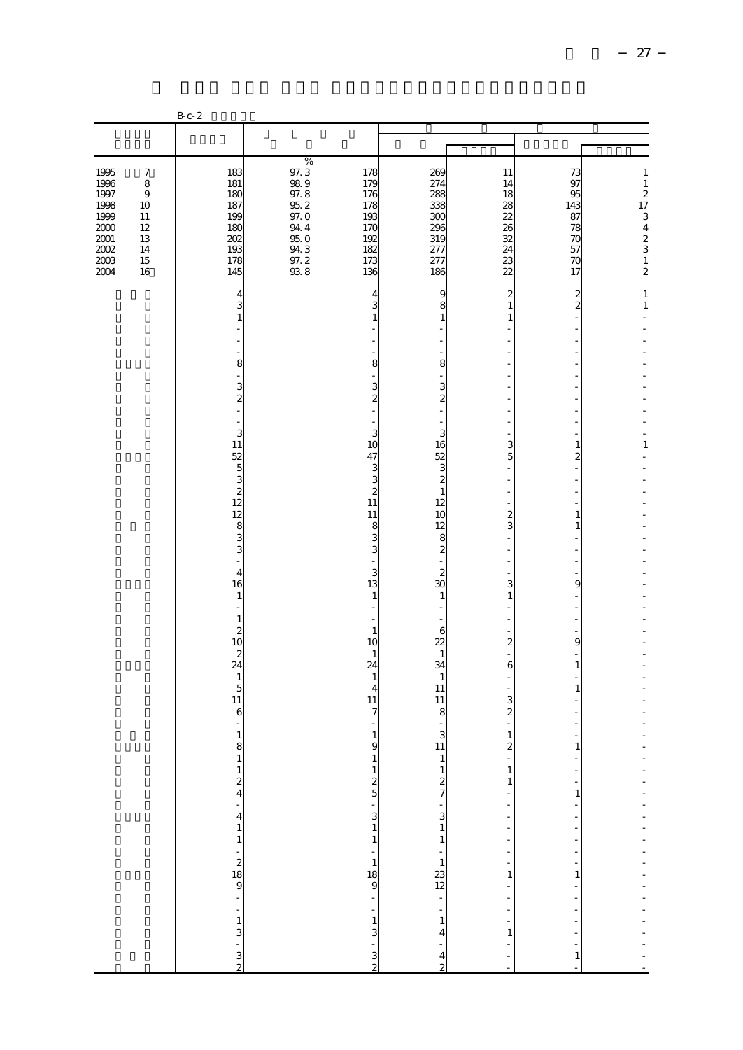|                                                                                |                                                                   | $B$ c- $2$                                                                                                                                                                                                                                                                                                                               |                                                                             |                                                                                                                                                                                                                                                          |                                                                                                                                                                                                                                                                                                                                                                                                 |                                                                                                                                                                                                                                                                        |                                                                                                                                                                                                                                                                      |                                                                                                             |
|--------------------------------------------------------------------------------|-------------------------------------------------------------------|------------------------------------------------------------------------------------------------------------------------------------------------------------------------------------------------------------------------------------------------------------------------------------------------------------------------------------------|-----------------------------------------------------------------------------|----------------------------------------------------------------------------------------------------------------------------------------------------------------------------------------------------------------------------------------------------------|-------------------------------------------------------------------------------------------------------------------------------------------------------------------------------------------------------------------------------------------------------------------------------------------------------------------------------------------------------------------------------------------------|------------------------------------------------------------------------------------------------------------------------------------------------------------------------------------------------------------------------------------------------------------------------|----------------------------------------------------------------------------------------------------------------------------------------------------------------------------------------------------------------------------------------------------------------------|-------------------------------------------------------------------------------------------------------------|
|                                                                                |                                                                   |                                                                                                                                                                                                                                                                                                                                          |                                                                             |                                                                                                                                                                                                                                                          |                                                                                                                                                                                                                                                                                                                                                                                                 |                                                                                                                                                                                                                                                                        |                                                                                                                                                                                                                                                                      |                                                                                                             |
|                                                                                |                                                                   |                                                                                                                                                                                                                                                                                                                                          |                                                                             |                                                                                                                                                                                                                                                          |                                                                                                                                                                                                                                                                                                                                                                                                 |                                                                                                                                                                                                                                                                        |                                                                                                                                                                                                                                                                      |                                                                                                             |
| 1995<br>1996<br>1997<br>1998<br>1999<br>$2000$<br>2001<br>2002<br>2003<br>2004 | 7<br>$\,$ 8 $\,$<br>$9$<br>10<br>11<br>12<br>13<br>14<br>15<br>16 | 183<br>181<br>180<br>187<br>199<br>180<br>202<br>193<br>178<br>145                                                                                                                                                                                                                                                                       | $\%$<br>97.3<br>989<br>97.820<br>97.9440<br>97.9440<br>94 3<br>97.2<br>93 8 | 178<br>179<br>176<br>178<br>193<br>170<br>192<br>182<br>173<br>136                                                                                                                                                                                       | 269<br>274<br>288<br>338<br>300<br>296<br>319<br>277<br>277<br>186                                                                                                                                                                                                                                                                                                                              | 11<br>14<br>18<br>28<br>22<br>26<br>32<br>24<br>23<br>$\overline{22}$                                                                                                                                                                                                  | 73<br>97<br>95<br>143<br>87<br>78<br>70<br>57<br>70<br>17                                                                                                                                                                                                            | $\,1\,$<br>$\,1\,$<br>$\begin{array}{c} 2 \\ 17 \\ 3 \\ 4 \\ 2 \\ 3 \end{array}$<br>$\,1$<br>$\overline{a}$ |
|                                                                                |                                                                   | 4<br>3<br>$\,1\,$<br>8<br>$\frac{3}{2}$<br>3<br>11<br>52<br>5<br>$\frac{3}{2}$<br>12<br>12<br>$\frac{8}{3}$<br>3<br>$\overline{4}$<br>16<br>$\mathbf{1}$<br>$\mathbf{1}$<br>$\overline{\mathcal{Z}}$<br>10<br>$\overline{\mathcal{Z}}$<br>24<br>$\mathbf{1}$<br>5<br>11<br>6<br>$\,1\,$<br>8<br>$\frac{1}{2}$<br>$-13$ $-15$ $-15$ $-15$ |                                                                             | 4<br>3<br>1<br>8<br>$\frac{3}{2}$<br>3<br>10<br>47<br>3<br>3<br>$\boldsymbol{2}$<br>11<br>$11\,$<br>8<br>3<br>3<br>3<br>13<br>$1\,$<br>$\mathbf{1}$<br>10<br>1<br>24<br>$\mathbf{1}$<br>4<br>11<br>7<br>$\mathbf{1}$<br>9<br>$\frac{1}{2}$ $\frac{1}{5}$ | 9<br>8<br>$\mathbf{1}$<br>8<br>$\frac{3}{2}$<br>3<br>16<br>52<br>3<br>$\boldsymbol{z}$<br>$\mathbf{1}$<br>12<br>10<br>12<br>8<br>$\boldsymbol{z}$<br>$\boldsymbol{z}$<br>30<br>$\mathbf{1}$<br>6<br>22<br>$\mathbf{1}$<br>34<br>$\mathbf{1}$<br>11<br>11<br>8<br>3<br>11<br>T<br>$\frac{1}{2}$<br>$\begin{array}{c} 2 \\ 3 \\ 1 \end{array}$<br>$\frac{1}{2}$<br>$\frac{1}{2}$<br>$\frac{1}{4}$ | $\overline{\mathbf{c}}$<br>$\mathbf{1}$<br>1<br>3<br>5<br>$\mathbf{z}$<br>3<br>3<br>1<br>$\boldsymbol{2}$<br>6<br>3<br>$\overline{\mathbf{c}}$<br>1<br>$\overline{a}$<br>$\mathbf{1}$<br>$\mathbf{1}$<br>÷<br>$\frac{1}{2}$<br>f<br>$\frac{1}{2}$<br>$\mathbf{1}$<br>f | $\frac{2}{2}$<br>l,<br>÷,<br>1<br>$\overline{\mathbf{c}}$<br>÷,<br>$\mathbf{1}$<br>$\mathbf{1}$<br>9<br>$\overline{9}$<br>$\overline{\phantom{a}}$<br>1<br>$\mathbf{1}$<br>1<br>$\ddot{\phantom{0}}$<br>$\,1$<br>$\frac{1}{2}$<br>ŀ<br>$\frac{1}{2}$<br>$\mathbf{1}$ | $\mathbf{1}$<br>$\,1\,$<br>$\mathbf{1}$<br>-------------------                                              |
|                                                                                |                                                                   | $\frac{1}{2}$                                                                                                                                                                                                                                                                                                                            |                                                                             |                                                                                                                                                                                                                                                          | $\frac{1}{2}$                                                                                                                                                                                                                                                                                                                                                                                   | $\frac{1}{2}$<br>$\,1\,$<br>$\frac{1}{2}$                                                                                                                                                                                                                              | - - - - - - -<br>$\,1$                                                                                                                                                                                                                                               |                                                                                                             |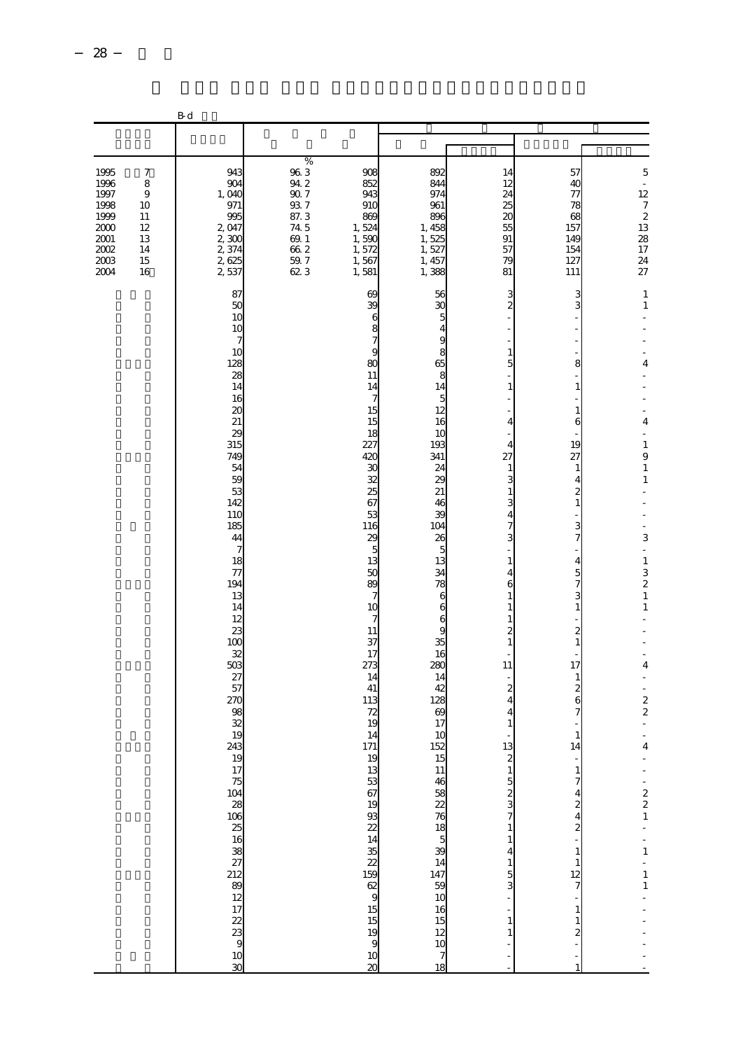|                                                                                  |                                                                          | B-d                                                                                                                                                                                                                                                                                                                                                                                                                                                                                                                                                                                                                                                                                 |                                                                                                                                            |                                                                                                                                                                                                                                                                                                                                                                                          |                                                                                                                                                                                                                                                                                                                                                                                                             |                                                                                                                                                                                                                                                                                                                                                                |                                                                                                                                                                                                                                                                                                                                                                                                                |                                                                                                                                                                                                                                                                                                                                                                                             |
|----------------------------------------------------------------------------------|--------------------------------------------------------------------------|-------------------------------------------------------------------------------------------------------------------------------------------------------------------------------------------------------------------------------------------------------------------------------------------------------------------------------------------------------------------------------------------------------------------------------------------------------------------------------------------------------------------------------------------------------------------------------------------------------------------------------------------------------------------------------------|--------------------------------------------------------------------------------------------------------------------------------------------|------------------------------------------------------------------------------------------------------------------------------------------------------------------------------------------------------------------------------------------------------------------------------------------------------------------------------------------------------------------------------------------|-------------------------------------------------------------------------------------------------------------------------------------------------------------------------------------------------------------------------------------------------------------------------------------------------------------------------------------------------------------------------------------------------------------|----------------------------------------------------------------------------------------------------------------------------------------------------------------------------------------------------------------------------------------------------------------------------------------------------------------------------------------------------------------|----------------------------------------------------------------------------------------------------------------------------------------------------------------------------------------------------------------------------------------------------------------------------------------------------------------------------------------------------------------------------------------------------------------|---------------------------------------------------------------------------------------------------------------------------------------------------------------------------------------------------------------------------------------------------------------------------------------------------------------------------------------------------------------------------------------------|
|                                                                                  |                                                                          |                                                                                                                                                                                                                                                                                                                                                                                                                                                                                                                                                                                                                                                                                     |                                                                                                                                            |                                                                                                                                                                                                                                                                                                                                                                                          |                                                                                                                                                                                                                                                                                                                                                                                                             |                                                                                                                                                                                                                                                                                                                                                                |                                                                                                                                                                                                                                                                                                                                                                                                                |                                                                                                                                                                                                                                                                                                                                                                                             |
| 1995<br>1996<br>1997<br>1998<br>1999<br>2000<br>$2001\,$<br>2002<br>2003<br>2004 | $\boldsymbol{7}$<br>8<br>$\,9$<br>10<br>11<br>12<br>13<br>14<br>15<br>16 | 943<br>904<br>1,040<br>971<br>995<br>2,047<br>2,300<br>2,374<br>2,625<br>2,537                                                                                                                                                                                                                                                                                                                                                                                                                                                                                                                                                                                                      | $\%$<br>$\frac{96}{94}$ $\frac{3}{2}$<br>$90\,7$<br>$93\ 7$<br>87.3<br>74 5<br>69.1<br>$\begin{array}{r} 66.2 \\ 59.7 \\ 62.3 \end{array}$ | 908<br>852<br>943<br>910<br>869<br>1,524<br>1,590<br>1,572<br>1,567<br>1,581                                                                                                                                                                                                                                                                                                             | 892<br>844<br>974<br>961<br>896<br>1,458<br>1,525<br>1,527<br>1, 457<br>1,388                                                                                                                                                                                                                                                                                                                               | 14<br>12<br>24<br>25<br>20<br>55<br>91<br>57<br>79<br>81                                                                                                                                                                                                                                                                                                       | 57<br>40<br>77<br>78<br>68<br>157<br>149<br>154<br>127<br>111                                                                                                                                                                                                                                                                                                                                                  | 5<br>$\bar{\phantom{a}}$<br>12<br>$\overline{7}$<br>$\overline{\mathcal{L}}$<br>13<br>28<br>$\overline{17}$<br>$\overline{24}$<br>$\overline{27}$                                                                                                                                                                                                                                           |
|                                                                                  |                                                                          | 87<br>5C<br>10<br>10<br>7<br>10<br>128<br>28<br>14<br>16<br>2C<br>21<br>2S<br>315<br>749<br>54<br>59<br>53<br>142<br>110<br>185<br>44<br>$\overline{7}$<br>18<br>$\overline{\tau}$<br>194<br>13<br>14<br>12<br>23<br>100<br>32<br>503<br>27<br>57<br>270<br>98<br>32<br>19<br>243<br>19<br>$17.38 \times 13.38 \times 13.38 \times 13.38 \times 13.38 \times 13.38 \times 13.38 \times 13.38 \times 13.38 \times 13.38 \times 13.38 \times 13.38 \times 13.38 \times 13.38 \times 13.38 \times 13.38 \times 13.38 \times 13.38 \times 13.38 \times 13.38 \times 13.38 \times 13.38 \times 13.38 \times 13.38 \times 13.38 \times 13.38 \times 13.38 \times 13.3$<br>$\overline{30}$ |                                                                                                                                            | 69<br>39<br>6<br>8<br>7<br>g<br>80<br>11<br>14<br>7<br>15<br>15<br>18<br>227<br>420<br>30<br>32<br>25<br>67<br>53<br>116<br>29<br>5<br>13<br>50<br>89<br>7<br>10<br>7<br>11<br>37<br>17<br>273<br>14<br>41<br>113<br>72<br>19<br>14<br>171<br>1S<br>13<br>$\frac{53}{67}$<br>19<br>93<br>$\frac{22}{14}$<br>$\frac{35}{22}$<br>$159$<br>$62$<br>$9$<br>$15$<br>15<br>19<br>9<br>10<br>20 | 56<br>ЗС<br>5<br>4<br>ç<br>8<br>65<br>8<br>14<br>5<br>12<br>16<br>10<br>193<br>341<br>24<br>2S<br>21<br>46<br>39<br>104<br>26<br>5<br>13<br>34<br>78<br>6<br>6<br>6<br>g<br>35<br>16<br>280<br>14<br>42<br>128<br>69<br>17<br>10<br>152<br>15<br>11<br>46<br>$\frac{58}{22}$ 76<br>18<br>5<br>$\begin{array}{c}\n 39 \\  14 \\  \hline\n 59 \\  10\n \end{array}$<br>16<br>$\frac{15}{12}$<br>10<br>7<br>18 | 3<br>$\overline{c}$<br>1<br>5<br>1<br>$\overline{4}$<br>4<br>27<br>1<br>3<br>1<br>3<br>4<br>7<br>3<br>1<br>4<br>6<br>$\mathbf{1}$<br>1<br>1<br>2<br>1<br>11<br>$\boldsymbol{2}$<br>4<br>4<br>1<br>13<br>$\begin{array}{c}\n1 \\ 5 \\ 2 \\ 3\n\end{array}$<br>7<br>$\mathbf{1}$<br>$\mathbf{1}$<br>4<br>$\mathbf{1}$<br>$\frac{5}{3}$<br>$1\,$<br>$\,1\,$<br>Î, | 3<br>3<br>8<br>$1\,$<br>$1\,$<br>6<br>19<br>27<br>$\mathbf{1}$<br>4<br>$\overline{\mathcal{Z}}$<br>$\,1$<br>3<br>$\overline{7}$<br>4<br>5<br>7<br>3<br>$\,1\,$<br>$\boldsymbol{z}$<br>$\,1$<br>17<br>$\mathbf{1}$<br>$\overline{\mathcal{Z}}$<br>6<br>7<br>$\mathbf{1}$<br>14<br>1<br>$\frac{7}{4}$<br>$\frac{2}{4}$<br>$\overline{\mathcal{Z}}$<br>$\,1$<br>$\,1$<br>$\frac{12}{7}$<br>$\,1$<br>$\frac{1}{2}$ | $\mathbf{1}$<br>$1\,$<br>4<br>$\overline{4}$<br>÷<br>$\mathbf{1}$<br>9<br>$\,1\,$<br>$\,1\,$<br>$\overline{\phantom{a}}$<br>3<br>$\overline{\phantom{a}}$<br>$\,1\,$<br>$\frac{3}{2}$<br>$\,1\,$<br>$\,1\,$<br>4<br>÷,<br>÷<br>$\overline{\mathcal{L}}$<br>$\overline{\mathcal{L}}$<br>$\overline{\phantom{a}}$<br>4<br>$\begin{array}{c}\n2 \\ 2 \\ 1\n\end{array}$<br>$-1$<br>$-1$<br>$1$ |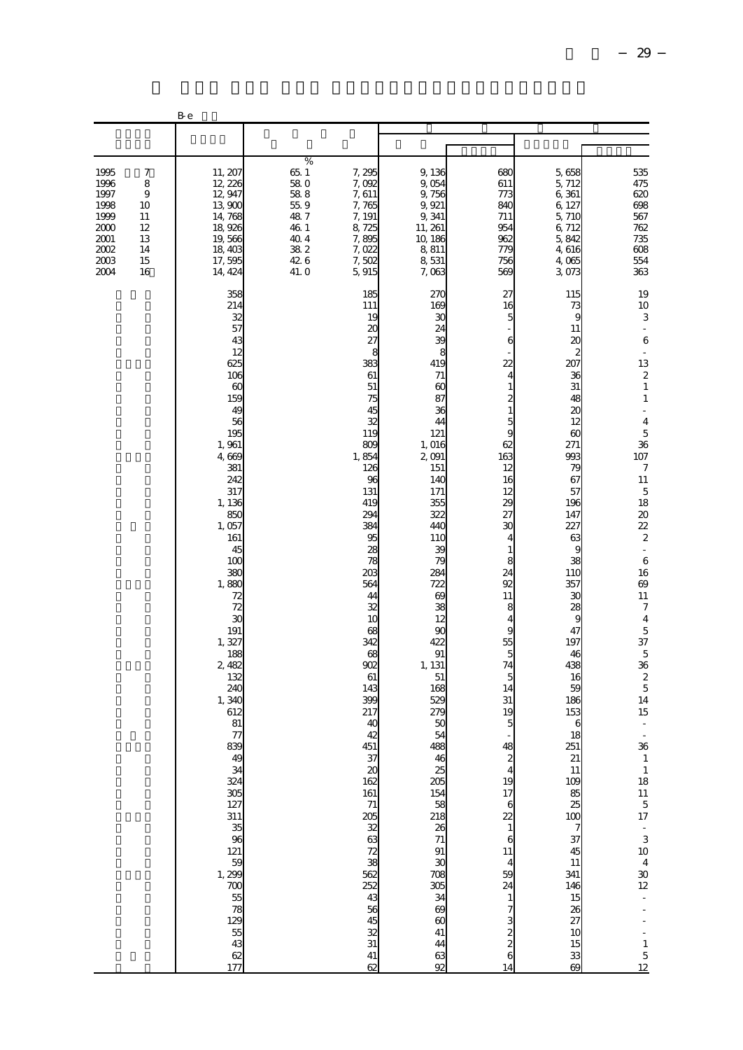|                                                                              |                                                       | B-e                                                                                                                                                                                                                                                                                                                                                               |                                                                                   |                                                                                                                                                                                                                                                                                                                                                                                                                                                               |                                                                                                                                                                                                                                                                                                                                                                                          |                                                                                                                                                                                                                                                                                                                                                                                                                            |                                                                                                                                                                                                                                                                                                                                                                                                                                                     |                                                                                                                                                                                                                                                                                                                                                                                                                                                                                                                                                                                                                                                                                                                      |
|------------------------------------------------------------------------------|-------------------------------------------------------|-------------------------------------------------------------------------------------------------------------------------------------------------------------------------------------------------------------------------------------------------------------------------------------------------------------------------------------------------------------------|-----------------------------------------------------------------------------------|---------------------------------------------------------------------------------------------------------------------------------------------------------------------------------------------------------------------------------------------------------------------------------------------------------------------------------------------------------------------------------------------------------------------------------------------------------------|------------------------------------------------------------------------------------------------------------------------------------------------------------------------------------------------------------------------------------------------------------------------------------------------------------------------------------------------------------------------------------------|----------------------------------------------------------------------------------------------------------------------------------------------------------------------------------------------------------------------------------------------------------------------------------------------------------------------------------------------------------------------------------------------------------------------------|-----------------------------------------------------------------------------------------------------------------------------------------------------------------------------------------------------------------------------------------------------------------------------------------------------------------------------------------------------------------------------------------------------------------------------------------------------|----------------------------------------------------------------------------------------------------------------------------------------------------------------------------------------------------------------------------------------------------------------------------------------------------------------------------------------------------------------------------------------------------------------------------------------------------------------------------------------------------------------------------------------------------------------------------------------------------------------------------------------------------------------------------------------------------------------------|
|                                                                              |                                                       |                                                                                                                                                                                                                                                                                                                                                                   |                                                                                   |                                                                                                                                                                                                                                                                                                                                                                                                                                                               |                                                                                                                                                                                                                                                                                                                                                                                          |                                                                                                                                                                                                                                                                                                                                                                                                                            |                                                                                                                                                                                                                                                                                                                                                                                                                                                     |                                                                                                                                                                                                                                                                                                                                                                                                                                                                                                                                                                                                                                                                                                                      |
| 1995<br>1996<br>1997<br>1998<br>1999<br>2000<br>2001<br>2002<br>2003<br>2004 | 7<br>8<br>9<br>10<br>11<br>12<br>13<br>14<br>15<br>16 | 11, 207<br>12, 226<br>12, 947<br>13, 90C<br>14,768<br>18,926<br>19,566<br>18,403<br>17,595<br>14, 424                                                                                                                                                                                                                                                             | %<br>65.1<br>58.0<br>588<br>55.9<br>48.7<br>46.1<br>40.4<br>38 2<br>42.6<br>41. O | 7, 295<br>7,092<br>7,611<br>7,765<br>7, 191<br>8,725<br>7,895<br>7,022<br>7,502<br>5,915                                                                                                                                                                                                                                                                                                                                                                      | 9, 136<br>9,054<br>9,756<br>9, 921<br>9,341<br>11, 261<br>10, 186<br>8,811<br>8,531<br>7,063                                                                                                                                                                                                                                                                                             | 680<br>611<br>773<br>840<br>711<br>954<br>962<br>779<br>756<br>569                                                                                                                                                                                                                                                                                                                                                         | 5,658<br>5, 712<br>6,361<br>6, 127<br>5, 71C<br>6, 712<br>5,842<br>4,616<br>4,065<br>3,073                                                                                                                                                                                                                                                                                                                                                          | 535<br>475<br>620<br>698<br>567<br>762<br>735<br>608<br>554<br>363                                                                                                                                                                                                                                                                                                                                                                                                                                                                                                                                                                                                                                                   |
|                                                                              |                                                       | 358<br>214<br>32<br>57<br>43<br>12<br>625<br>106<br>6C<br>159<br>4 <sup>C</sup><br>56<br>195<br>1,961<br>4,669<br>381<br>242<br>317<br>1,136<br>850<br>1,057<br>161<br>45<br>10C<br>380<br>1,880<br>72<br>72<br>$\mathfrak{X}$<br>191<br>1,327<br>188<br>2,482<br>132<br>24C<br>1,340<br>612<br>81<br>77<br>839<br>49<br>$303 + 324$<br>$127$<br>$\frac{311}{35}$ |                                                                                   | 185<br>111<br>19<br>$\alpha$<br>27<br>8<br>383<br>61<br>51<br>75<br>45<br>32<br>119<br>809<br>1,854<br>126<br>96<br>131<br>419<br>294<br>384<br>95<br>28<br>78<br>203<br>564<br>44<br>32<br>1 <sup>C</sup><br>68<br>342<br>68<br>902<br>61<br>143<br>399<br>217<br>40<br>42<br>451<br>$\frac{37}{20}$<br>162<br>$\frac{161}{71}$<br>205<br>$\begin{array}{c} 32 \\ 63 \end{array}$<br>$\frac{72}{38}$<br>562<br>252<br>43<br>56<br>45<br>32<br>31<br>41<br>62 | 27C<br>169<br>ЗС<br>24<br>39<br>8<br>419<br>71<br>6C<br>87<br>36<br>44<br>121<br>1,016<br>2,091<br>151<br>140<br>171<br>355<br>322<br>44C<br>11C<br>æ<br>79<br>284<br>722<br>$_{\rm \alpha}$<br>38<br>12<br>$\alpha$<br>422<br>91<br>1, 131<br>51<br>168<br>529<br>279<br>50<br>54<br>488<br>$\frac{46}{25}$<br>205<br>1388888888888888<br>$\infty$<br>41<br>$\overline{44}$<br>63<br>92 | 27<br>16<br>5<br>6<br>22<br>4<br>1<br>$\overline{\mathcal{Z}}$<br>$\mathbf{1}$<br>5<br>9<br>62<br>163<br>12<br>16<br>12<br>29<br>27<br>30<br>$\overline{4}$<br>$\mathbf{1}$<br>8<br>24<br>92<br>11<br>8<br>4<br>9<br>55<br>5<br>74<br>5<br>14<br>31<br>19<br>5<br>48<br>$\overline{4}$<br>19<br>17<br>$\epsilon$<br>$\overline{2}$<br>$\,1\,$<br>6<br>11<br>4<br>59<br>24<br>$\mathbf{1}$<br>7<br>$\frac{2}{2}$<br>6<br>14 | 115<br>73<br>g<br>11<br>$\alpha$<br>٤<br>207<br>36<br>31<br>48<br>$\alpha$<br>12<br>$\alpha$<br>271<br>993<br>79<br>67<br>57<br>196<br>147<br>227<br>63<br>S<br>38<br>11C<br>357<br>$\mathcal{X}$<br>28<br>S<br>47<br>197<br>46<br>438<br>16<br>59<br>186<br>153<br>6<br>18<br>251<br>$\begin{array}{c} 21 \\ 11 \end{array}$<br>109<br>85<br>25<br>100<br>$\overline{7}$<br>37<br>45<br>11<br>341<br>146<br>15<br>26<br>27<br>10<br>15<br>33<br>69 | 19<br>10<br>3<br>$\bar{\phantom{a}}$<br>6<br>÷,<br>13<br>$\boldsymbol{z}$<br>$\,1\,$<br>$\mathbf{1}$<br>$\overline{\phantom{a}}$<br>$\overline{\mathbf{4}}$<br>$\mathbf 5$<br>36<br>107<br>$\boldsymbol{7}$<br>11<br>$\mathbf 5$<br>18<br>20<br>22<br>$\boldsymbol{2}$<br>$\frac{1}{2}$<br>$\,$ 6 $\,$<br>16<br>69<br>11<br>7<br>$\overline{\mathbf{4}}$<br>$\overline{5}$<br>$\frac{37}{5}$<br>$\begin{array}{c}\n 36 \\  2 \\  5\n \end{array}$<br>14<br>15<br>$\sim$<br>36<br>$\begin{smallmatrix}1\\1\end{smallmatrix}$<br>$\begin{array}{c} 18 \\ 11 \\ 5 \\ 17 \end{array}$<br>$\frac{1}{3}$<br>10 <sub>1</sub><br>$\overline{4}$<br>$\frac{30}{12}$<br>$\frac{1}{2}$<br>$\frac{1}{1}$<br>$\overline{5}$<br>12 |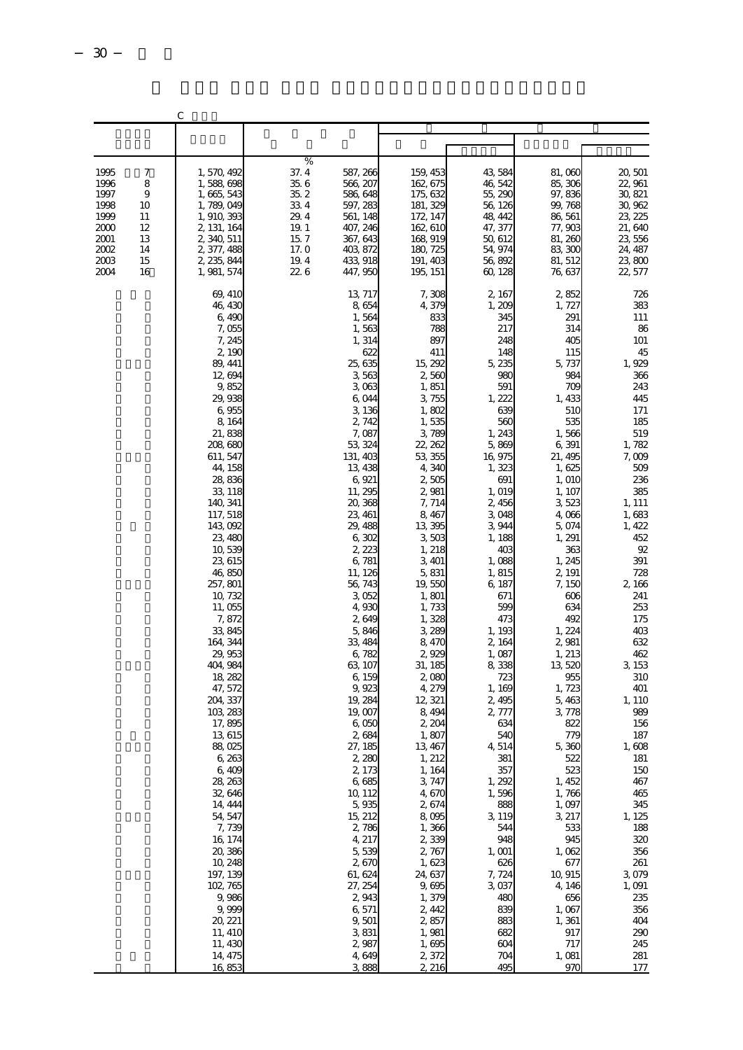|                                                                                                                                       | С                                                                                                                                                                                                                                                                                                                                                                                                                                                                                                                                                                                                                                            |                                                                                                                                                                                                                                                                                                                                                                                                                                                                                                                                                                                         |                                                                                                                                                                                                                                                                                                                                                                                                                                                                                                                                                                   |                                                                                                                                                                                                                                                                                                                                                                                                                                                                                                 |                                                                                                                                                                                                                                                                                                                                                                                                                                                                                                                  |                                                                                                                                                                                                                                                                                                                                                                                                                                                        |
|---------------------------------------------------------------------------------------------------------------------------------------|----------------------------------------------------------------------------------------------------------------------------------------------------------------------------------------------------------------------------------------------------------------------------------------------------------------------------------------------------------------------------------------------------------------------------------------------------------------------------------------------------------------------------------------------------------------------------------------------------------------------------------------------|-----------------------------------------------------------------------------------------------------------------------------------------------------------------------------------------------------------------------------------------------------------------------------------------------------------------------------------------------------------------------------------------------------------------------------------------------------------------------------------------------------------------------------------------------------------------------------------------|-------------------------------------------------------------------------------------------------------------------------------------------------------------------------------------------------------------------------------------------------------------------------------------------------------------------------------------------------------------------------------------------------------------------------------------------------------------------------------------------------------------------------------------------------------------------|-------------------------------------------------------------------------------------------------------------------------------------------------------------------------------------------------------------------------------------------------------------------------------------------------------------------------------------------------------------------------------------------------------------------------------------------------------------------------------------------------|------------------------------------------------------------------------------------------------------------------------------------------------------------------------------------------------------------------------------------------------------------------------------------------------------------------------------------------------------------------------------------------------------------------------------------------------------------------------------------------------------------------|--------------------------------------------------------------------------------------------------------------------------------------------------------------------------------------------------------------------------------------------------------------------------------------------------------------------------------------------------------------------------------------------------------------------------------------------------------|
|                                                                                                                                       |                                                                                                                                                                                                                                                                                                                                                                                                                                                                                                                                                                                                                                              |                                                                                                                                                                                                                                                                                                                                                                                                                                                                                                                                                                                         |                                                                                                                                                                                                                                                                                                                                                                                                                                                                                                                                                                   |                                                                                                                                                                                                                                                                                                                                                                                                                                                                                                 |                                                                                                                                                                                                                                                                                                                                                                                                                                                                                                                  |                                                                                                                                                                                                                                                                                                                                                                                                                                                        |
|                                                                                                                                       |                                                                                                                                                                                                                                                                                                                                                                                                                                                                                                                                                                                                                                              |                                                                                                                                                                                                                                                                                                                                                                                                                                                                                                                                                                                         |                                                                                                                                                                                                                                                                                                                                                                                                                                                                                                                                                                   |                                                                                                                                                                                                                                                                                                                                                                                                                                                                                                 |                                                                                                                                                                                                                                                                                                                                                                                                                                                                                                                  |                                                                                                                                                                                                                                                                                                                                                                                                                                                        |
| 1995<br>7<br>1996<br>8<br>9<br>1997<br>1998<br>10<br>1999<br>11<br>2000<br>12<br>2001<br>13<br>2002<br>14<br>2003<br>15<br>2004<br>16 | 1, 570, 492<br>1,588,698<br>1, 665, 543<br>1, 789, 049<br>1, 910, 393<br>2, 131, 164<br>2, 340, 511<br>2, 377, 488<br>2, 235, 844<br>1, 981, 574                                                                                                                                                                                                                                                                                                                                                                                                                                                                                             | %<br>37.4<br>587, 266<br>35.6<br>566, 207<br>35.2<br>586, 648<br>33 4<br>597, 283<br>29.4<br>561, 148<br>19.1<br>407, 246<br>15.7<br>367, 643<br>17.0<br>403, 872<br>19.4<br>433, 918<br>226<br>447, 950                                                                                                                                                                                                                                                                                                                                                                                | 159, 453<br>162, 675<br>175, 632<br>181, 329<br>172, 147<br>162, 610<br>168, 919<br>180, 725<br>191, 403<br>195, 151                                                                                                                                                                                                                                                                                                                                                                                                                                              | 43 584<br>46, 542<br>55, 290<br>56, 126<br>48, 442<br>47, 377<br>50, 612<br>54, 974<br>56,892<br>60, 128                                                                                                                                                                                                                                                                                                                                                                                        | 81,060<br>85, 306<br>97,836<br>99, 768<br>86, 561<br>77,903<br>81,260<br>83, 300<br>81, 512<br>76, 637                                                                                                                                                                                                                                                                                                                                                                                                           | 20, 501<br>22, 961<br>30, 821<br>30, 962<br>23, 225<br>21,640<br>23, 556<br>24, 487<br>23,800<br>22, 577                                                                                                                                                                                                                                                                                                                                               |
|                                                                                                                                       | 69, 410<br>46, 430<br>6,490<br>7,055<br>7, 245<br>2,190<br>89, 441<br>12,694<br>9,852<br>29, 938<br>6,955<br>8, 164<br>21,838<br>208,680<br>611, 547<br>44, 158<br>28,836<br>33, 118<br>140, 341<br>117, 518<br>143,092<br>23, 480<br>10,539<br>23, 615<br>46,850<br>257, 801<br>10, 732<br>11,055<br>7,872<br>33, 845<br>164, 344<br>29, 953<br>404, 984<br>18, 282<br>47, 572<br>204, 337<br>103, 283<br>17,895<br>13, 615<br>88,025<br>6,263<br>6,409<br>28, 263<br>32,646<br>14, 444<br>54, 547<br>7,739<br>16, 174<br>20,386<br>10, 248<br>197, 139<br>102, 765<br>9,986<br>9,999<br>20, 221<br>11, 410<br>11, 430<br>14, 475<br>16,853 | 13, 717<br>8,654<br>1,564<br>1,563<br>1, 314<br>622<br>25, 635<br>3,56<br>3,063<br>6,044<br>3, 136<br>2, 742<br>7,087<br>53, 324<br>131, 403<br>13, 438<br>6,921<br>11, 295<br>20,368<br>23, 461<br>29, 488<br>6,302<br>2,22<br>6,781<br>11, 126<br>56, 743<br>3,052<br>4,930<br>2,649<br>5,846<br>33, 484<br>6,782<br>63, 107<br>6, 159<br>9,923<br>19, 284<br>19,007<br>6,050<br>2,684<br>27, 185<br>2,280<br>2, 173<br>6,685<br>10, 112<br>5,935<br>15, 212<br>2,786<br>4, 217<br>5,539<br>2,670<br>61, 624<br>27, 254<br>2,943<br>6,571<br>9,501<br>3,831<br>2,987<br>4,649<br>3888 | 7,308<br>4,379<br>833<br>788<br>897<br>411<br>15, 292<br>2,560<br>1,851<br>3, 755<br>1,802<br>1,535<br>3,789<br>22, 262<br>53, 355<br>4,340<br>2,505<br>2,981<br>7, 714<br>8,467<br>13,395<br>3,503<br>1, 218<br>3, 401<br>5,831<br>19,550<br>1,801<br>1,733<br>1,328<br>3,289<br>8,470<br>2,929<br>31, 185<br>2,080<br>4, 279<br>12, 321<br>8,494<br>2, 204<br>1,807<br>13, 467<br>1, 212<br>1, 164<br>3,747<br>4,670<br>2,674<br>8,095<br>1,366<br>2,339<br>2,767<br>1,623<br>24, 637<br>9,695<br>1,379<br>2, 442<br>2,857<br>1,981<br>1,695<br>2,372<br>2, 216 | 2, 167<br>1,209<br>345<br>217<br>248<br>148<br>5, 235<br>980<br>591<br>1,222<br>639<br>560<br>1, 243<br>5,869<br>16, 975<br>1,323<br>691<br>1,019<br>2,456<br>3,048<br>3,944<br>1, 188<br>403<br>1,088<br>1,815<br>6, 187<br>671<br>599<br>473<br>1, 193<br>2,164<br>1,087<br>8,338<br>723<br>1,169<br>2,495<br>2,777<br>634<br>540<br>4,514<br>381<br>357<br>1,292<br>1,596<br>888<br>3, 119<br>544<br>948<br>1,001<br>626<br>7, 724<br>3,037<br>480<br>839<br>883<br>682<br>604<br>704<br>495 | 2,852<br>1, 727<br>291<br>314<br>405<br>115<br>5, 737<br>984<br>709<br>1, 433<br>510<br>535<br>1,566<br>6,391<br>21, 495<br>1,625<br>1,010<br>1, 107<br>3,523<br>4,066<br>5,074<br>1, 291<br>363<br>1, 245<br>2, 191<br>7, 150<br>606<br>634<br>492<br>1, 224<br>2,981<br>1, 213<br>13,520<br>955<br>1, 723<br>5,463<br>3,778<br>822<br>779<br>5,360<br>522<br>523<br>1, 452<br>1,766<br>1,097<br>3, 217<br>533<br>945<br>1,062<br>677<br>10,915<br>4,146<br>656<br>1,067<br>1,361<br>917<br>717<br>1,081<br>970 | 726<br>383<br>111<br>86<br>101<br>45<br>1, 929<br>366<br>243<br>445<br>171<br>185<br>519<br>1,782<br>7,009<br>509<br>236<br>385<br>1, 111<br>1,683<br>1, 422<br>452<br>92<br>391<br>728<br>2,166<br>241<br>253<br>175<br>403<br>632<br>462<br>3, 153<br>310<br>401<br>1, 110<br>989<br>156<br>187<br>1,608<br>181<br>150<br>467<br>465<br>345<br>1, 125<br>188<br>320<br>356<br>261<br>3,079<br>1,091<br>235<br>356<br>404<br>290<br>245<br>281<br>177 |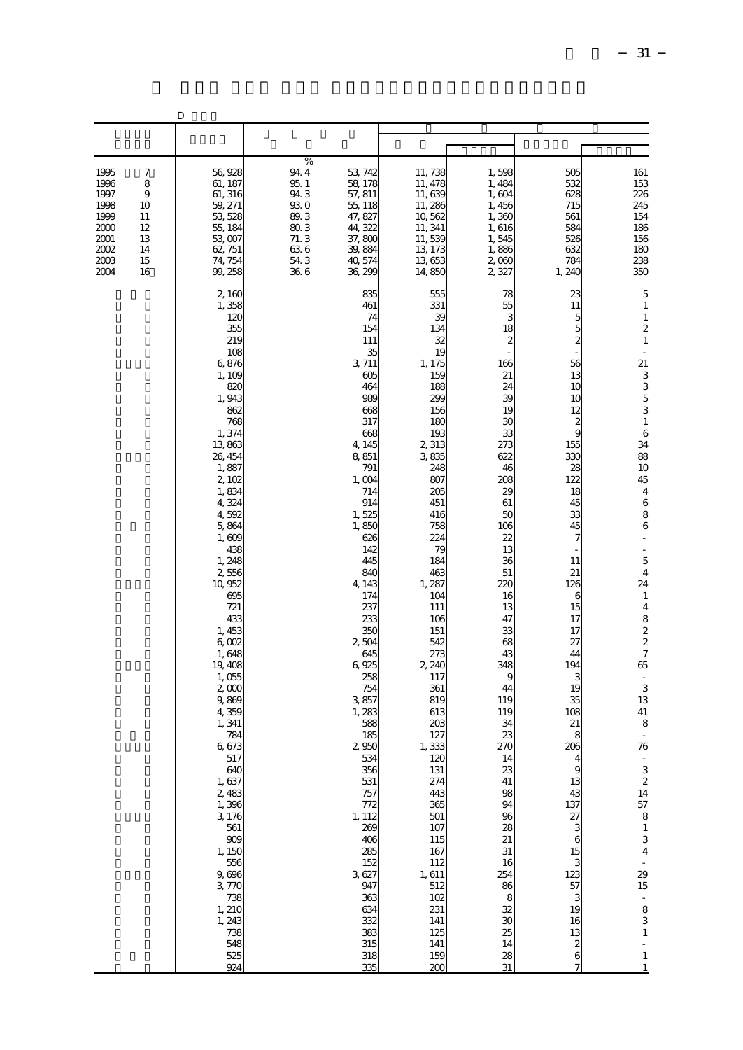|                                                                              |                                                                      | D                                                                                                                                                                                                                                                                                                                                                                                                                                                                                                                  |                                                                                      |                                                                                                                                                                                                                                                                                                                                                                                                                                                         |                                                                                                                                                                                                                                                                                                                                                                                                                                       |                                                                                                                                                                                                                                                                                                                                                                      |                                                                                                                                                                                                                                                                                                                                                                              |                                                                                                                                                                                                                                                                                                                                                                                                                                                                                                                                                                                                                                                                                                                      |
|------------------------------------------------------------------------------|----------------------------------------------------------------------|--------------------------------------------------------------------------------------------------------------------------------------------------------------------------------------------------------------------------------------------------------------------------------------------------------------------------------------------------------------------------------------------------------------------------------------------------------------------------------------------------------------------|--------------------------------------------------------------------------------------|---------------------------------------------------------------------------------------------------------------------------------------------------------------------------------------------------------------------------------------------------------------------------------------------------------------------------------------------------------------------------------------------------------------------------------------------------------|---------------------------------------------------------------------------------------------------------------------------------------------------------------------------------------------------------------------------------------------------------------------------------------------------------------------------------------------------------------------------------------------------------------------------------------|----------------------------------------------------------------------------------------------------------------------------------------------------------------------------------------------------------------------------------------------------------------------------------------------------------------------------------------------------------------------|------------------------------------------------------------------------------------------------------------------------------------------------------------------------------------------------------------------------------------------------------------------------------------------------------------------------------------------------------------------------------|----------------------------------------------------------------------------------------------------------------------------------------------------------------------------------------------------------------------------------------------------------------------------------------------------------------------------------------------------------------------------------------------------------------------------------------------------------------------------------------------------------------------------------------------------------------------------------------------------------------------------------------------------------------------------------------------------------------------|
|                                                                              |                                                                      |                                                                                                                                                                                                                                                                                                                                                                                                                                                                                                                    |                                                                                      |                                                                                                                                                                                                                                                                                                                                                                                                                                                         |                                                                                                                                                                                                                                                                                                                                                                                                                                       |                                                                                                                                                                                                                                                                                                                                                                      |                                                                                                                                                                                                                                                                                                                                                                              |                                                                                                                                                                                                                                                                                                                                                                                                                                                                                                                                                                                                                                                                                                                      |
| 1995<br>1996<br>1997<br>1998<br>1999<br>2000<br>2001<br>2002<br>2003<br>2004 | $\boldsymbol{7}$<br>8<br>9<br>10<br>11<br>12<br>13<br>14<br>15<br>16 | 56, 928<br>61, 187<br>61, 316<br>59, 271<br>53, 528<br>55, 184<br>53,007<br>62, 751<br>74, 754<br>99, 258                                                                                                                                                                                                                                                                                                                                                                                                          | $\%$<br>94.4<br>95.1<br>943<br>930<br>89.3<br>80.3<br>71.3<br>636<br>$54\;3$<br>36.6 | 53, 742<br>58, 178<br>57, 811<br>55, 118<br>47, 827<br>44, 322<br>37, 80C<br>39, 884<br>40, 574<br>36, 299                                                                                                                                                                                                                                                                                                                                              | 11, 738<br>11, 478<br>11,639<br>11,286<br>10,562<br>11, 341<br>11,539<br>13, 173<br>13,653<br>14,850                                                                                                                                                                                                                                                                                                                                  | 1,598<br>1,484<br>1,604<br>1,456<br>1,360<br>1,616<br>1,545<br>1,886<br>2,000<br>2,327                                                                                                                                                                                                                                                                               | 505<br>532<br>628<br>715<br>561<br>584<br>526<br>632<br>784<br>1, 240                                                                                                                                                                                                                                                                                                        | 161<br>153<br>226<br>245<br>154<br>186<br>156<br>180<br>238<br>350                                                                                                                                                                                                                                                                                                                                                                                                                                                                                                                                                                                                                                                   |
|                                                                              |                                                                      | 2,160<br>1,358<br>120<br>355<br>219<br>108<br>6,876<br>1,109<br>820<br>1,943<br>862<br>768<br>1,374<br>13,863<br>26, 454<br>1,887<br>2, 102<br>1,834<br>4,324<br>4,592<br>5,864<br>1,609<br>438<br>1, 248<br>2,556<br>10, 952<br>695<br>721<br>433<br>1, 453<br>6,002<br>1,648<br>19, 408<br>1,055<br>2,000<br>9,869<br>4,359<br>1,341<br>784<br>6, 673<br>517<br>640<br>1,637<br>2,483<br>1,396<br>3, 176<br>561<br>909<br>1, 150<br>556<br>9,696<br>3,770<br>738<br>1, 210<br>1, 243<br>738<br>548<br>525<br>924 |                                                                                      | 835<br>461<br>74<br>154<br>111<br>35<br>3, 711<br>605<br>464<br>989<br>668<br>317<br>668<br>4, 145<br>8,851<br>791<br>1,004<br>714<br>914<br>1,525<br>1,850<br>626<br>142<br>445<br>84C<br>4, 143<br>174<br>237<br>233<br>350<br>2,504<br>645<br>6,925<br>258<br>754<br>3,857<br>1,283<br>588<br>185<br>2,950<br>534<br>356<br>531<br>757<br>772<br>1, 112<br>269<br>406<br>285<br>152<br>3,627<br>947<br>363<br>634<br>332<br>383<br>315<br>318<br>335 | 555<br>331<br>æ<br>134<br>32<br>19<br>1, 175<br>159<br>188<br>290<br>156<br>18C<br>193<br>2 313<br>3,835<br>248<br>807<br>205<br>451<br>416<br>758<br>224<br>79<br>184<br>463<br>1, 287<br>104<br>111<br>106<br>151<br>542<br>273<br>2, 240<br>117<br>361<br>819<br>613<br>203<br>127<br>1,333<br>12C<br>131<br>274<br>443<br>365<br>501<br>107<br>115<br>167<br>112<br>1,611<br>512<br>102<br>231<br>141<br>125<br>141<br>159<br>200 | 78<br>55<br>18<br>2<br>166<br>21<br>24<br>39<br>19<br>$\mathfrak{A}$<br>33<br>273<br>622<br>46<br>208<br>$\chi$<br>61<br>50<br>106<br>22<br>13<br>36<br>51<br>220<br>16<br>13<br>47<br>33<br>68<br>43<br>348<br>9<br>44<br>119<br>119<br>34<br>23<br>270<br>23<br>41<br>98<br>94<br>96<br>28<br>21<br>31<br>16<br>254<br>86<br>8<br>32<br>30<br>25<br>14<br>28<br>31 | 23<br>11<br>5<br>5<br>$\boldsymbol{z}$<br>56<br>13<br>10<br>10<br>12<br>$\boldsymbol{z}$<br>g<br>155<br>33C<br>28<br>122<br>18<br>45<br>33<br>45<br>11<br>21<br>126<br>6<br>15<br>17<br>17<br>27<br>44<br>194<br>З<br>19<br>35<br>108<br>21<br>٤<br>206<br>9<br>13<br>43<br>137<br>27<br>3<br>6<br>15<br>3<br>123<br>57<br>3<br>19<br>16<br>13<br>$\boldsymbol{z}$<br>6<br>7 | 5<br>$\,1\,$<br>$\,1\,$<br>$\boldsymbol{2}$<br>$\,1\,$<br>÷,<br>21<br>$\begin{array}{c} 3 \\ 3 \\ 5 \\ 3 \end{array}$<br>$\,1\,$<br>$\,$ 6 $\,$<br>34<br>88<br>10<br>45<br>$\overline{4}$<br>$\,$ 6 $\,$<br>8<br>$\,6$<br>$\overline{\phantom{a}}$<br>÷,<br>$\overline{5}$<br>$\overline{\mathbf{4}}$<br>24<br>$\,1\,$<br>$\overline{4}$<br>$\begin{array}{c}\n8 \\ 2 \\ 2 \\ 7\n\end{array}$<br>65<br>$\overline{\phantom{a}}$<br>3<br>13<br>41<br>8<br>$\bar{\phantom{a}}$<br>76<br>3<br>$\overline{\mathcal{L}}$<br>14<br>$\begin{array}{c} 57 \\ 8 \end{array}$<br>$\frac{1}{3}$<br>$\overline{\mathbf{4}}$<br>$\blacksquare$<br>29<br>15<br>÷<br>8<br>3<br>$\,1\,$<br>$\blacksquare$<br>$\,1\,$<br>$\mathbf{1}$ |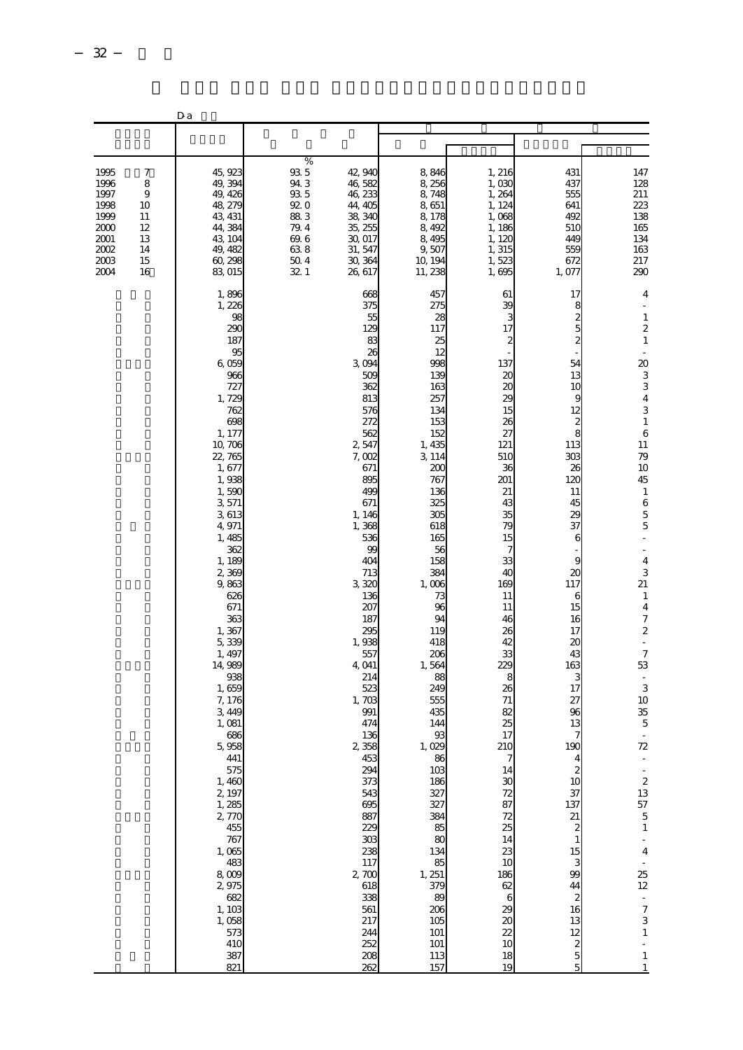|                                                                              |                                                       | D a                                                                                                                                                                                                                                                                                                                                                                                                                                                                                                       |                                                                                  |                                                                                                                                                                                                                                                                                                                                                                                                                                                 |                                                                                                                                                                                                                                                                                                                                                                                                                                                   |                                                                                                                                                                                                                                                                                                                                                             |                                                                                                                                                                                                                                                                                                                                                                                                                                                           |                                                                                                                                                                                                                                                                                                                                                                                                                                                                                                                                                                                                                                                                     |
|------------------------------------------------------------------------------|-------------------------------------------------------|-----------------------------------------------------------------------------------------------------------------------------------------------------------------------------------------------------------------------------------------------------------------------------------------------------------------------------------------------------------------------------------------------------------------------------------------------------------------------------------------------------------|----------------------------------------------------------------------------------|-------------------------------------------------------------------------------------------------------------------------------------------------------------------------------------------------------------------------------------------------------------------------------------------------------------------------------------------------------------------------------------------------------------------------------------------------|---------------------------------------------------------------------------------------------------------------------------------------------------------------------------------------------------------------------------------------------------------------------------------------------------------------------------------------------------------------------------------------------------------------------------------------------------|-------------------------------------------------------------------------------------------------------------------------------------------------------------------------------------------------------------------------------------------------------------------------------------------------------------------------------------------------------------|-----------------------------------------------------------------------------------------------------------------------------------------------------------------------------------------------------------------------------------------------------------------------------------------------------------------------------------------------------------------------------------------------------------------------------------------------------------|---------------------------------------------------------------------------------------------------------------------------------------------------------------------------------------------------------------------------------------------------------------------------------------------------------------------------------------------------------------------------------------------------------------------------------------------------------------------------------------------------------------------------------------------------------------------------------------------------------------------------------------------------------------------|
|                                                                              |                                                       |                                                                                                                                                                                                                                                                                                                                                                                                                                                                                                           |                                                                                  |                                                                                                                                                                                                                                                                                                                                                                                                                                                 |                                                                                                                                                                                                                                                                                                                                                                                                                                                   |                                                                                                                                                                                                                                                                                                                                                             |                                                                                                                                                                                                                                                                                                                                                                                                                                                           |                                                                                                                                                                                                                                                                                                                                                                                                                                                                                                                                                                                                                                                                     |
| 1995<br>1996<br>1997<br>1998<br>1999<br>2000<br>2001<br>2002<br>2003<br>2004 | 7<br>8<br>9<br>10<br>11<br>12<br>13<br>14<br>15<br>16 | 45, 923<br>49, 394<br>49, 426<br>48, 279<br>43, 431<br>44,384<br>43, 104<br>49, 482<br>60, 298<br>83,015                                                                                                                                                                                                                                                                                                                                                                                                  | %<br>93 5<br>943<br>93.5<br>92.0<br>883<br>79.4<br>69.6<br>638<br>$50.4$<br>32 1 | 42, 940<br>46,582<br>46, 233<br>44, 405<br>38, 340<br>35, 255<br>30, 017<br>31, 547<br>30, 364<br>26, 617                                                                                                                                                                                                                                                                                                                                       | 8,846<br>8, 256<br>8,748<br>8,651<br>8,178<br>8,492<br>8,495<br>9,507<br>10, 194<br>11, 238                                                                                                                                                                                                                                                                                                                                                       | 1, 216<br>1,030<br>1,264<br>1, 124<br>1,068<br>1, 186<br>1, 120<br>1, 315<br>1,523<br>1,695                                                                                                                                                                                                                                                                 | 431<br>437<br>555<br>641<br>492<br>51C<br>449<br>559<br>672<br>1,077                                                                                                                                                                                                                                                                                                                                                                                      | 147<br>128<br>211<br>223<br>138<br>165<br>134<br>163<br>217<br>290                                                                                                                                                                                                                                                                                                                                                                                                                                                                                                                                                                                                  |
|                                                                              |                                                       | 1,896<br>1,226<br>98<br>29C<br>187<br>95<br>6,059<br>966<br>727<br>1,729<br>762<br>698<br>1, 177<br>10,706<br>22, 765<br>1,677<br>1,938<br>1,590<br>3,571<br>3,613<br>4,971<br>1,485<br>362<br>1, 189<br>2,369<br>9,863<br>626<br>671<br>363<br>1,367<br>5,339<br>1, 497<br>14, 989<br>938<br>1,659<br>7, 176<br>3,449<br>1,081<br>686<br>5,958<br>441<br>575<br>1,460<br>2, 197<br>1, 285<br>2,770<br>455<br>767<br>1,065<br>483<br>8,009<br>2,975<br>682<br>1, 103<br>1,058<br>573<br>410<br>387<br>821 |                                                                                  | 668<br>375<br>55<br>125<br>83<br>$\chi$<br>3,094<br>509<br>362<br>813<br>576<br>272<br>562<br>2,547<br>7,002<br>671<br>895<br>499<br>671<br>1, 146<br>1,368<br>536<br>œ<br>404<br>713<br>3,320<br>136<br>207<br>187<br>295<br>1,938<br>557<br>4,041<br>214<br>523<br>1,703<br>991<br>474<br>136<br>2,358<br>453<br>294<br>373<br>543<br>695<br>887<br>229<br>303<br>238<br>117<br>2,700<br>618<br>338<br>561<br>217<br>244<br>252<br>208<br>262 | 457<br>275<br>28<br>117<br>25<br>12<br>998<br>139<br>163<br>257<br>134<br>153<br>152<br>1,435<br>3, 114<br>200<br>767<br>136<br>325<br>305<br>618<br>165<br>56<br>158<br>384<br>1,006<br>73<br>96<br>94<br>119<br>418<br>200<br>1,564<br>88<br>24 <sup>C</sup><br>555<br>435<br>144<br>9 <sup>c</sup><br>1,029<br>86<br>103<br>186<br>327<br>327<br>384<br>85<br>80<br>134<br>85<br>1, 251<br>379<br>89<br>206<br>105<br>101<br>101<br>113<br>157 | 61<br>39<br>3<br>17<br>2<br>137<br>20<br>20<br>29<br>15<br>26<br>27<br>121<br>510<br>36<br>201<br>21<br>43<br>35<br>79<br>15<br>7<br>33<br>40<br>169<br>11<br>11<br>46<br>26<br>42<br>33<br>229<br>8<br>26<br>71<br>82<br>25<br>17<br>210<br>14<br>30<br>72<br>87<br>72<br>25<br>14<br>23<br>10<br>186<br>62<br>6<br>29<br>$\infty$<br>22<br>10<br>18<br>19 | 17<br>8<br>$\boldsymbol{z}$<br>5<br>$\overline{\mathcal{Z}}$<br>54<br>13<br>10<br>9<br>12<br>$\overline{\mathbf{c}}$<br>8<br>113<br>303<br>26<br>120<br>11<br>45<br>29<br>37<br>6<br>9<br>$\infty$<br>117<br>6<br>15<br>16<br>17<br>20<br>43<br>163<br>3<br>17<br>27<br>96<br>13<br>7<br>190<br>$\boldsymbol{z}$<br>10<br>37<br>137<br>21<br>$\boldsymbol{z}$<br>$\,1\,$<br>15<br>3<br>99<br>44<br>$\boldsymbol{z}$<br>16<br>13<br>12<br>$rac{2}{5}$<br>5 | 4<br>$\,1\,$<br>$\boldsymbol{2}$<br>$\mathbf{1}$<br>$\overline{\phantom{a}}$<br>$\infty$<br>$\begin{array}{c} 3 \\ 3 \\ 4 \end{array}$<br>3<br>$\,1\,$<br>6<br>11<br>79<br>10<br>45<br>$\,1\,$<br>6<br>$\overline{5}$<br>$\overline{5}$<br>÷,<br>$\overline{\mathbf{4}}$<br>3<br>21<br>$\mathbf{1}$<br>$\overline{4}$<br>$\overline{7}$<br>$\boldsymbol{z}$<br>$\bar{\phantom{a}}$<br>$\boldsymbol{7}$<br>53<br>$\bar{\phantom{a}}$<br>3<br>10<br>35<br>$\overline{5}$<br>72<br>$\frac{1}{2}$<br>13<br>$\frac{57}{5}$<br>$\,1\,$<br>÷<br>$\overline{4}$<br>$\frac{1}{\sqrt{2}}$<br>$\frac{25}{12}$<br>$\frac{1}{7}$<br>3<br>$\,1\,$<br>÷<br>$\,1\,$<br>$\mathbf{1}$ |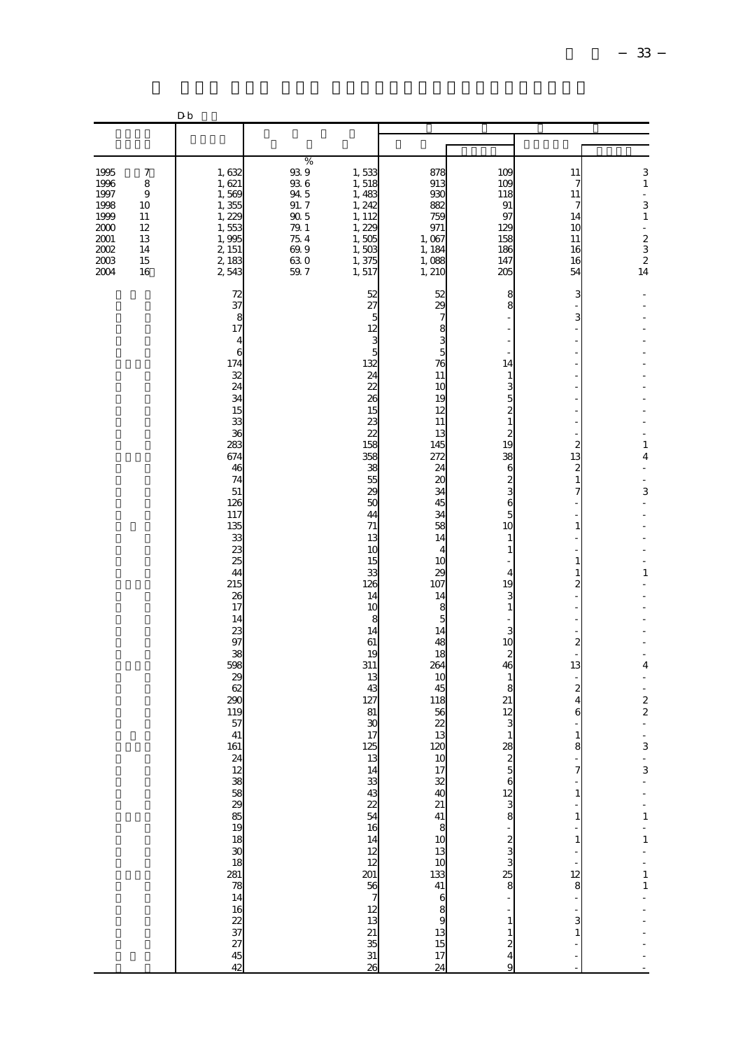|                                                                              |                                                           | Db                                                                                                                                                                                                                                                                      |                                                                                                |                                                                                                                                                                                                                                                                                                                                                                                 |                                                                                                                                                                                                                                                                                                                                                                                                                                                                                                                                                                                                                                                                             |                                                                                                                                                                                                                                                                                                                                                                                                    |                                                                                                                                                                                                                                                                                                                                                            |                                                                                                                                                                                                                                      |
|------------------------------------------------------------------------------|-----------------------------------------------------------|-------------------------------------------------------------------------------------------------------------------------------------------------------------------------------------------------------------------------------------------------------------------------|------------------------------------------------------------------------------------------------|---------------------------------------------------------------------------------------------------------------------------------------------------------------------------------------------------------------------------------------------------------------------------------------------------------------------------------------------------------------------------------|-----------------------------------------------------------------------------------------------------------------------------------------------------------------------------------------------------------------------------------------------------------------------------------------------------------------------------------------------------------------------------------------------------------------------------------------------------------------------------------------------------------------------------------------------------------------------------------------------------------------------------------------------------------------------------|----------------------------------------------------------------------------------------------------------------------------------------------------------------------------------------------------------------------------------------------------------------------------------------------------------------------------------------------------------------------------------------------------|------------------------------------------------------------------------------------------------------------------------------------------------------------------------------------------------------------------------------------------------------------------------------------------------------------------------------------------------------------|--------------------------------------------------------------------------------------------------------------------------------------------------------------------------------------------------------------------------------------|
|                                                                              |                                                           |                                                                                                                                                                                                                                                                         |                                                                                                |                                                                                                                                                                                                                                                                                                                                                                                 |                                                                                                                                                                                                                                                                                                                                                                                                                                                                                                                                                                                                                                                                             |                                                                                                                                                                                                                                                                                                                                                                                                    |                                                                                                                                                                                                                                                                                                                                                            |                                                                                                                                                                                                                                      |
| 1995<br>1996<br>1997<br>1998<br>1999<br>2000<br>2001<br>2002<br>2003<br>2004 | 7<br>8<br>$\,9$<br>10<br>11<br>12<br>13<br>14<br>15<br>16 | $1,632$<br>$1,621$<br>1,569<br>1,355<br>1,229<br>1,553<br>1,995<br>2, 151<br>2, 183<br>2543                                                                                                                                                                             | %<br>939<br>$93\ 6$<br>$94\,5$<br>$91.7\,$<br>$90\,5$<br>79.1<br>75.4<br>69.9<br>$630$<br>59.7 | $1, 533$<br>$1, 518$<br>1,483<br>1, 242<br>1, 112<br>1, 229<br>1,505<br>1,503<br>1,375<br>1,517                                                                                                                                                                                                                                                                                 | 878<br>913<br>930<br>882<br>759<br>971<br>1,067<br>1, 184<br>1,088<br>1, 210                                                                                                                                                                                                                                                                                                                                                                                                                                                                                                                                                                                                | 109<br>109<br>118<br>91<br>97<br>129<br>158<br>186<br>147<br>205                                                                                                                                                                                                                                                                                                                                   | 11<br>7<br>11<br>7<br>14<br>10<br>11<br>16<br>16<br>54                                                                                                                                                                                                                                                                                                     | 3<br>$\,1\,$<br>$\overline{a}$<br>3<br>$\,1\,$<br>$\blacksquare$<br>$\begin{array}{c}\n2 \\ 3 \\ 2 \\ 14\n\end{array}$                                                                                                               |
|                                                                              |                                                           | 72<br>37<br>8<br>17<br>$\overline{4}$<br>6<br>174<br>32<br>24<br>34<br>15<br>33<br>36<br>283<br>674<br>46<br>74<br>51<br>126<br>117<br>135<br>33<br>23<br>25<br>44<br>215<br>26<br>17<br>14<br>23<br>97<br>38<br>598<br>29<br>62<br>290<br>119<br>57<br>41<br>161<br>42 |                                                                                                | 52<br>27<br>5<br>12<br>3<br>5<br>132<br>24<br>22<br>26<br>15<br>23<br>22<br>158<br>358<br>38<br>55<br>29<br>50<br>44<br>$71\,$<br>13<br>10<br>15<br>33<br>126<br>14<br>10<br>8<br>14<br>61<br>19<br>311<br>13<br>43<br>127<br>81<br>30<br>17<br>125<br>13<br>14<br>33<br>43<br>$\frac{22}{54}$<br>$\frac{16}{14}$<br>$\frac{12}{12}$<br>$\frac{201}{56}$ 7 12 13 21 35 31<br>26 | 52<br>$\infty$<br>7<br>8<br>3<br>5<br>76<br>11<br>10<br>19<br>12<br>11<br>13<br>145<br>272<br>24<br>20<br>34<br>45<br>34<br>58<br>14<br>4<br>10<br>29<br>107<br>14<br>8<br>5<br>14<br>48<br>18<br>264<br>10<br>45<br>118<br>56<br>22<br>13<br>120<br>10<br>17<br>32<br>40<br>$21.44 \times 10.13 \times 10.13 \times 10.13 \times 10.13 \times 10.13 \times 10.13 \times 10.13 \times 10.13 \times 10.13 \times 10.13 \times 10.13 \times 10.13 \times 10.13 \times 10.13 \times 10.13 \times 10.13 \times 10.13 \times 10.13 \times 10.13 \times 10.13 \times 10.13 \times 10.13 \times 10.13 \times 10.13 \times 10.13 \times 10.13 \times 10.1$<br>17<br>$\overline{24}$ | 8<br>8<br>14<br>$\mathbf{1}$<br>3<br>5<br>2<br>1<br>2<br>19<br>38<br>6<br>2<br>6<br>5<br>10<br>1<br>1<br>4<br>19<br>3<br>$\mathbf{1}$<br>3<br>10<br>2<br>46<br>$\mathbf{1}$<br>8<br>21<br>12<br>З<br>-1<br>28<br>$rac{2}{5}$<br>6<br>$\begin{array}{c} 12 \\ 3 \\ 8 \end{array}$<br>$\frac{2}{3}$<br>$\frac{25}{8}$<br>$1\,$<br>$\mathbf{1}$<br>$\boldsymbol{z}$<br>$\overline{4}$<br>$\mathbf{Q}$ | 3<br>3<br>÷<br>-<br>÷<br>$\overline{\mathbf{c}}$<br>13<br>$\boldsymbol{z}$<br>$\mathbf{1}$<br>7<br>$1\,$<br>÷<br>$\mathbf{1}$<br>$1\,$<br>$\overline{\mathbf{c}}$<br>$\boldsymbol{z}$<br>L,<br>13<br>$\boldsymbol{z}$<br>$\overline{4}$<br>6<br>1<br>8<br>$\overline{7}$<br>$\mathbf{1}$<br>$\mathbf{1}$<br>$\mathbf{1}$<br>$\frac{1}{12}$<br>3<br>$\,1\,$ | $\mathbf{1}$<br>4<br>÷<br>÷,<br>3<br>÷,<br>L,<br>$\,1\,$<br>÷<br>÷<br>4<br>÷,<br>$\overline{a}$<br>$\overline{\mathcal{L}}$<br>$\overline{\mathcal{Z}}$<br>$\sim$<br>$\overline{\phantom{a}}$<br>3<br>$3 - 7$<br>$1 - 7$<br>$-1 - 1$ |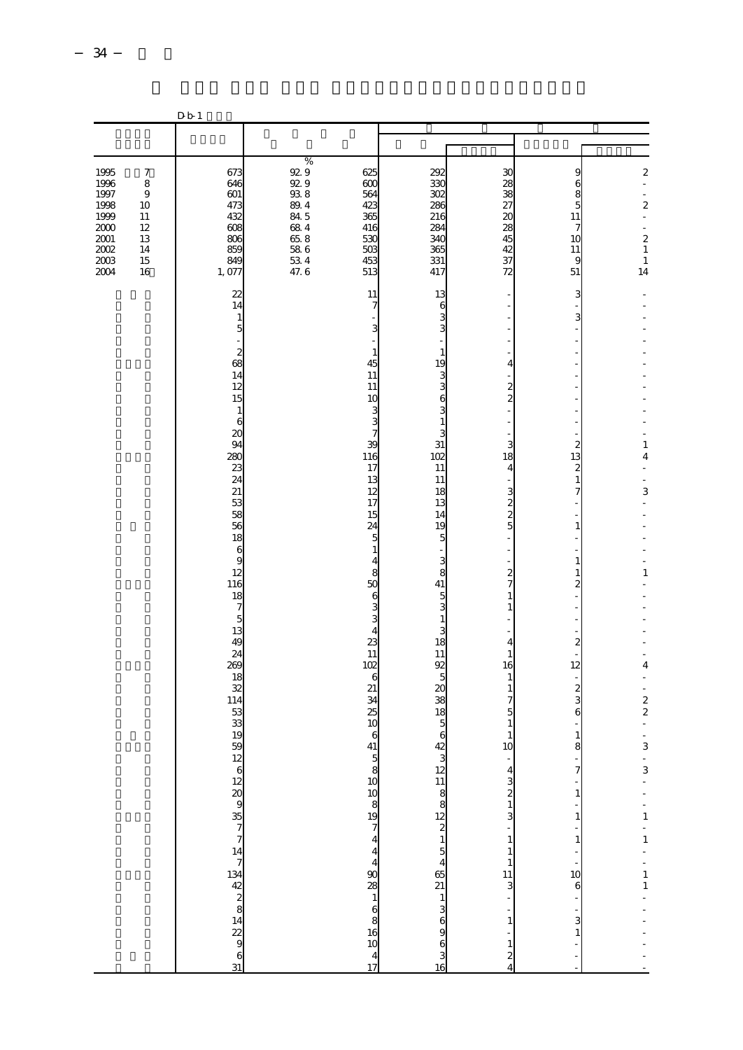|                                                                                          |                                                                          | D b 1                                                                                                                                                                                                                                                                                                                                                              |                                                                                              |                                                                                                                                                                                                                                                                    |                                                                                                                                                                                                                                                                                                                                            |                                                                                                                                                                                                                                                                                                                                                                   |                                                                                                                                                                                                                                                                  |                                                                                                                                                                                 |
|------------------------------------------------------------------------------------------|--------------------------------------------------------------------------|--------------------------------------------------------------------------------------------------------------------------------------------------------------------------------------------------------------------------------------------------------------------------------------------------------------------------------------------------------------------|----------------------------------------------------------------------------------------------|--------------------------------------------------------------------------------------------------------------------------------------------------------------------------------------------------------------------------------------------------------------------|--------------------------------------------------------------------------------------------------------------------------------------------------------------------------------------------------------------------------------------------------------------------------------------------------------------------------------------------|-------------------------------------------------------------------------------------------------------------------------------------------------------------------------------------------------------------------------------------------------------------------------------------------------------------------------------------------------------------------|------------------------------------------------------------------------------------------------------------------------------------------------------------------------------------------------------------------------------------------------------------------|---------------------------------------------------------------------------------------------------------------------------------------------------------------------------------|
|                                                                                          |                                                                          |                                                                                                                                                                                                                                                                                                                                                                    |                                                                                              |                                                                                                                                                                                                                                                                    |                                                                                                                                                                                                                                                                                                                                            |                                                                                                                                                                                                                                                                                                                                                                   |                                                                                                                                                                                                                                                                  |                                                                                                                                                                                 |
| 1995<br>1996<br>1997<br>1998<br>1999<br>2000<br>$2001\,$<br>$2002\,$<br>$2003\,$<br>2004 | $\boldsymbol{7}$<br>8<br>$\,9$<br>10<br>11<br>12<br>13<br>14<br>15<br>16 | 673<br>646<br>601<br>473<br>432<br>608<br>806<br>859<br>849<br>1,077                                                                                                                                                                                                                                                                                               | %<br>929<br>92.9<br>$93\ 8$<br>89.4<br>84 5<br>$68\ 4$<br>$65.8\,$<br>$58\ 6$<br>534<br>47.6 | 625<br>600<br>564<br>423<br>365<br>416<br>530<br>503<br>453<br>513                                                                                                                                                                                                 | 292<br>330<br>302<br>286<br>216<br>284<br>340<br>365<br>331<br>417                                                                                                                                                                                                                                                                         | 30<br>28<br>38<br>27<br>20<br>28<br>45<br>42<br>37<br>72                                                                                                                                                                                                                                                                                                          | 9<br>6<br>$\frac{8}{5}$<br>$1\,1$<br>7<br>10<br>11<br>9<br>51                                                                                                                                                                                                    | $\boldsymbol{2}$<br>$\overline{\phantom{a}}$<br>÷<br>$\boldsymbol{z}$<br>$\blacksquare$<br>$\blacksquare$<br>$\boldsymbol{z}$<br>$\,1\,$<br>$\,1\,$<br>14                       |
|                                                                                          |                                                                          | $\overline{2}$<br>14<br>$\mathbf{1}$<br>5<br>$\boldsymbol{z}$<br>68<br>14<br>12<br>15<br>$\mathbf{1}$<br>6<br>20<br>94<br>280<br>23<br>24<br>21<br>53<br>58<br>56<br>18<br>6<br>9<br>12<br>116<br>18<br>$\overline{7}$<br>$\overline{5}$<br>13<br>49<br>24<br>269<br>18<br>32<br>114<br>53<br>33<br>19<br>59<br>а ® с Кла х В <mark>й ч д ч ч н в В ю в ю ю</mark> |                                                                                              | 11<br>7<br>3<br>$\mathbf{1}$<br>45<br>11<br>11<br>10<br>3<br>3<br>$\overline{7}$<br>39<br>116<br>17<br>13<br>12<br>17<br>15<br>24<br>5<br>$\mathbf{1}$<br>4<br>8<br>50<br>6<br>3<br>3<br>$\overline{4}$<br>23<br>11<br>102<br>6<br>21<br>34<br>25<br>10<br>6<br>41 | 13<br>6<br>3<br>3<br>$\mathbf{1}$<br>19<br>3<br>3<br>6<br>3<br>1<br>3<br>31<br>102<br>11<br>11<br>18<br>13<br>14<br>19<br>5<br>3<br>8<br>41<br>5<br>3<br>$\mathbf{1}$<br>3<br>18<br>11<br>92<br>5<br>20<br>38<br>18<br>5<br>$\boldsymbol{6}$<br>42<br>$rac{3}{12}$<br>11 & 20 <b>12 12 12 12 13 46 21 46 11 12 12 12 13 8</b><br>963<br>16 | 4<br>$\overline{c}$<br>$\overline{c}$<br>3<br>18<br>4<br>3<br>$\overline{c}$<br>$\overline{c}$<br>5<br>$\boldsymbol{2}$<br>7<br>1<br>1<br>4<br>1<br>16<br>1<br>1<br>7<br>5<br>1<br>10<br>$\overline{\mathcal{L}}$<br>3<br>$\boldsymbol{z}$<br>$1\,$<br>3<br>$\,$ 1 $\,$<br>$\,1\,$<br>$\,1$<br>$\begin{array}{c} 11 \\ 3 \end{array}$<br>$\,1\,$<br>$\frac{1}{2}$ | 3<br>3<br>$\overline{\mathbf{c}}$<br>13<br>$\boldsymbol{z}$<br>$\,1$<br>7<br>$\mathbf{1}$<br>$\mathbf{1}$<br>$1\,$<br>$\overline{c}$<br>$\boldsymbol{z}$<br>12<br>$\frac{2}{3}$<br>6<br>$\,1$<br>8<br>7<br>$\,1$<br>1<br>$\,1$<br>$\frac{10}{6}$<br>3<br>$\,1\,$ | $\mathbf{1}$<br>4<br>$\overline{a}$<br>3<br>$\,1\,$<br>4<br>÷,<br>$\boldsymbol{z}$<br>$\overline{\mathcal{L}}$<br>÷,<br>$\overline{\phantom{a}}$<br>3<br>$-3 - - 1 - 1 - - 1 -$ |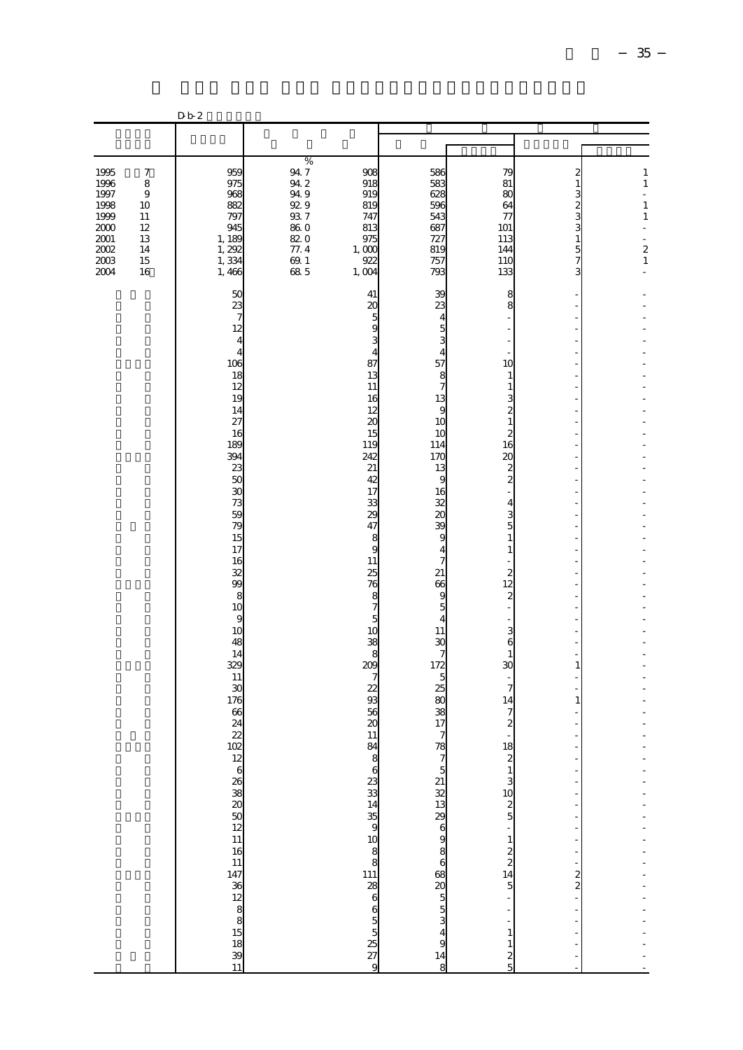|                                                                              |                                                                                     | D b 2                                                                                                                                                                                                                                                                                                  |                                                                                       |                                                                                                                                                                                                                                                                                                        |                                                                                                                                                                                                                                                                                                                                                 |                                                                                                                                                                                                                                                                                                                                                                                                                                             |                                                                                                                                                                                                   |                                                                                             |
|------------------------------------------------------------------------------|-------------------------------------------------------------------------------------|--------------------------------------------------------------------------------------------------------------------------------------------------------------------------------------------------------------------------------------------------------------------------------------------------------|---------------------------------------------------------------------------------------|--------------------------------------------------------------------------------------------------------------------------------------------------------------------------------------------------------------------------------------------------------------------------------------------------------|-------------------------------------------------------------------------------------------------------------------------------------------------------------------------------------------------------------------------------------------------------------------------------------------------------------------------------------------------|---------------------------------------------------------------------------------------------------------------------------------------------------------------------------------------------------------------------------------------------------------------------------------------------------------------------------------------------------------------------------------------------------------------------------------------------|---------------------------------------------------------------------------------------------------------------------------------------------------------------------------------------------------|---------------------------------------------------------------------------------------------|
|                                                                              |                                                                                     |                                                                                                                                                                                                                                                                                                        |                                                                                       |                                                                                                                                                                                                                                                                                                        |                                                                                                                                                                                                                                                                                                                                                 |                                                                                                                                                                                                                                                                                                                                                                                                                                             |                                                                                                                                                                                                   |                                                                                             |
|                                                                              |                                                                                     |                                                                                                                                                                                                                                                                                                        |                                                                                       |                                                                                                                                                                                                                                                                                                        |                                                                                                                                                                                                                                                                                                                                                 |                                                                                                                                                                                                                                                                                                                                                                                                                                             |                                                                                                                                                                                                   |                                                                                             |
| 1995<br>1996<br>1997<br>1998<br>1999<br>2000<br>2001<br>2002<br>2003<br>2004 | $\boldsymbol{7}$<br>8<br>$\boldsymbol{9}$<br>10<br>11<br>12<br>13<br>14<br>15<br>16 | 959<br>975<br>968<br>882<br>797<br>945<br>1,189<br>1,292<br>1,334<br>1,466                                                                                                                                                                                                                             | $\%$<br>94.7<br>942<br>949<br>929<br>937<br>86.0<br>82.0<br>77.4<br>$69. \;1$<br>68 5 | 908<br>918<br>919<br>819<br>747<br>813<br>975<br>1,000<br>922<br>1,004                                                                                                                                                                                                                                 | 586<br>583<br>628<br>596<br>543<br>687<br>727<br>819<br>757<br>793                                                                                                                                                                                                                                                                              | 79<br>81<br>80<br>64<br>77<br>101<br>113<br>144<br>110<br>133                                                                                                                                                                                                                                                                                                                                                                               | $\boldsymbol{z}$<br>$\,1\,$<br>3<br>$\overline{\mathcal{Z}}$<br>3<br>3<br>$\,1\,$<br>$\frac{5}{7}$<br>3                                                                                           | $\,$ 1 $\,$<br>$\,1\,$<br>÷,<br>$\,1\,$<br>$\,1\,$<br>L,<br>$\frac{2}{1}$<br>$\overline{a}$ |
|                                                                              |                                                                                     | 50<br>23<br>$\overline{7}$<br>12<br>$\overline{4}$<br>$\overline{4}$<br>106<br>18<br>12<br>19<br>14<br>27<br>16<br>189<br>394<br>23<br>50<br>$\mathfrak{A}$<br>73<br>59<br>79<br>15<br>17<br>16<br>32<br>99<br>8<br>10<br>9<br>10<br>48<br>14<br>329<br>11<br>30<br>176<br>66<br>24<br>22<br>102<br>11 |                                                                                       | 41<br>$\alpha$<br>5<br>9<br>3<br>4<br>87<br>13<br>11<br>16<br>12<br>$\infty$<br>15<br>119<br>242<br>21<br>42<br>17<br>33<br>29<br>47<br>8<br>9<br>11<br>25<br>76<br>8<br>$\overline{7}$<br>5<br>1 <sup>C</sup><br>38<br>8<br>209<br>$\overline{\phantom{a}}$<br>22<br>93<br>56<br>$\infty$<br>11<br>84 | 39<br>23<br>$\overline{4}$<br>5<br>3<br>4<br>57<br>8<br>$\overline{7}$<br>13<br>9<br>10<br>10<br>114<br>170<br>13<br>9<br>16<br>32<br>20<br>39<br>9<br>$\overline{4}$<br>$\overline{7}$<br>21<br>66<br>9<br>5<br>$\overline{4}$<br>11<br>30<br>7<br>172<br>5<br>25<br>80<br>38<br>17<br>$\overline{7}$<br>78<br>75213221329698632055534914<br>8 | 8<br>8<br>10<br>1<br>1<br>3<br>$\overline{\mathbf{c}}$<br>1<br>2<br>16<br>20<br>$\boldsymbol{z}$<br>$\overline{\mathcal{Z}}$<br>4<br>3<br>5<br>1<br>1<br>$\overline{\mathbf{c}}$<br>12<br>$\mathbf{z}$<br>3<br>6<br>1<br>30<br>$\overline{7}$<br>14<br>7<br>$\boldsymbol{z}$<br>18<br>$\begin{array}{c} 2 \\ 1 \\ 3 \\ 10 \end{array}$<br>$\frac{2}{5}$<br>$\frac{1}{2}$<br>$\frac{2}{14}$<br>5<br>$\mathbf{1}$<br>$\,1\,$<br>$\frac{2}{5}$ | $\overline{\phantom{a}}$<br>÷,<br>÷<br>÷,<br>f,<br>J.<br>÷<br>L.<br>÷,<br>÷<br>Ĭ.<br>J.<br>1<br>J.<br>$1\,$<br>ł,<br>Î,<br>f<br>f<br>$\frac{1}{2}$<br>$\frac{1}{2}$<br>$\ddot{\phantom{a}}$<br>Î, |                                                                                             |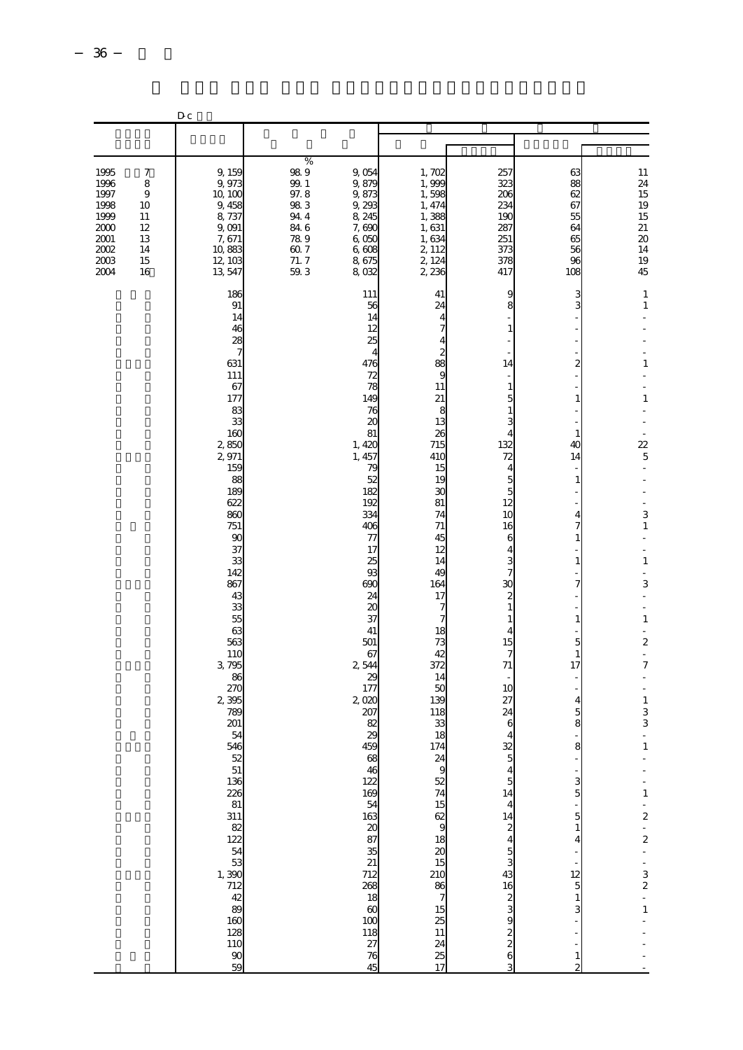|                                                                              |                                                       | D c                                                                                                                                                                                                                                                                                                                                                                                                                 |                                                                                                                     |                                                                                                                                                                                                                                                                                                                                                                                                                                                          |                                                                                                                                                                                                                                                                                                                                                                                      |                                                                                                                                                                                                                                                                                                                                                   |                                                                                                                                                                                                                                                                                         |                                                                                                                                                                                                                                                                                                                                                                                                                                   |
|------------------------------------------------------------------------------|-------------------------------------------------------|---------------------------------------------------------------------------------------------------------------------------------------------------------------------------------------------------------------------------------------------------------------------------------------------------------------------------------------------------------------------------------------------------------------------|---------------------------------------------------------------------------------------------------------------------|----------------------------------------------------------------------------------------------------------------------------------------------------------------------------------------------------------------------------------------------------------------------------------------------------------------------------------------------------------------------------------------------------------------------------------------------------------|--------------------------------------------------------------------------------------------------------------------------------------------------------------------------------------------------------------------------------------------------------------------------------------------------------------------------------------------------------------------------------------|---------------------------------------------------------------------------------------------------------------------------------------------------------------------------------------------------------------------------------------------------------------------------------------------------------------------------------------------------|-----------------------------------------------------------------------------------------------------------------------------------------------------------------------------------------------------------------------------------------------------------------------------------------|-----------------------------------------------------------------------------------------------------------------------------------------------------------------------------------------------------------------------------------------------------------------------------------------------------------------------------------------------------------------------------------------------------------------------------------|
|                                                                              |                                                       |                                                                                                                                                                                                                                                                                                                                                                                                                     |                                                                                                                     |                                                                                                                                                                                                                                                                                                                                                                                                                                                          |                                                                                                                                                                                                                                                                                                                                                                                      |                                                                                                                                                                                                                                                                                                                                                   |                                                                                                                                                                                                                                                                                         |                                                                                                                                                                                                                                                                                                                                                                                                                                   |
| 1995<br>1996<br>1997<br>1998<br>1999<br>2000<br>2001<br>2002<br>2003<br>2004 | 7<br>8<br>9<br>10<br>11<br>12<br>13<br>14<br>15<br>16 | 9, 159<br>9,973<br>10, 100<br>9,458<br>8,737<br>9,091<br>7,671<br>10,883<br>12, 103<br>13, 547                                                                                                                                                                                                                                                                                                                      | %<br>989<br>$99. \;1$<br>97.8<br>983<br>94.4<br>84 6<br>78.9<br>$\begin{array}{c} 60.7 \\ 71.7 \end{array}$<br>59.3 | 9,054<br>9,879<br>9,873<br>9,293<br>8, 245<br>7,690<br>6,050<br>6,608<br>8,675<br>8,032                                                                                                                                                                                                                                                                                                                                                                  | 1,702<br>1,999<br>1,598<br>1, 474<br>1,388<br>1,631<br>1,634<br>2, 112<br>2, 124<br>2, 236                                                                                                                                                                                                                                                                                           | 257<br>323<br>206<br>234<br>190<br>287<br>251<br>373<br>378<br>417                                                                                                                                                                                                                                                                                | 63<br>88<br>62<br>67<br>55<br>64<br>65<br>56<br>96<br>108                                                                                                                                                                                                                               | 11<br>24<br>15<br>19<br>15<br>$21\,$<br>$20\,$<br>14<br>19<br>45                                                                                                                                                                                                                                                                                                                                                                  |
|                                                                              |                                                       | 186<br>91<br>14<br>46<br>28<br>$\overline{7}$<br>631<br>111<br>67<br>177<br>83<br>33<br>160<br>2,850<br>2971<br>159<br>88<br>189<br>622<br>860<br>751<br>90<br>37<br>33<br>142<br>867<br>43<br>33<br>55<br>63<br>563<br>110<br>3,795<br>86<br>27C<br>2,395<br>789<br>201<br>54<br>546<br>ា<br>2 និង មាន ដូច ស្រុក អូន និង មាន អូន<br>2 និង មាន អូន អូន អូន អូន អូន អូន<br>$\begin{array}{c}\n90 \\ 59\n\end{array}$ |                                                                                                                     | 111<br>56<br>14<br>12<br>25<br>4<br>476<br>72<br>78<br>149<br>76<br>$\infty$<br>81<br>1,420<br>1, 457<br>79<br>52<br>182<br>192<br>334<br>406<br>77<br>17<br>25<br>93<br>690<br>24<br>$\infty$<br>37<br>41<br>501<br>67<br>2544<br>29<br>177<br>2,020<br>207<br>82<br>$\chi$<br>459<br>68<br>46<br>122<br>169<br>$\frac{54}{163}$<br>20<br>87<br>35<br>21<br>712<br>268<br>18<br>$\infty$<br>100<br>118<br>$\begin{array}{c} 27 \\ 76 \end{array}$<br>45 | 41<br>24<br>88<br>g<br>11<br>21<br>8<br>13<br>26<br>715<br>410<br>15<br>19<br>ЗС<br>81<br>74<br>71<br>45<br>12<br>14<br>4 <sup>C</sup><br>164<br>17<br>7<br>7<br>18<br>73<br>42<br>372<br>14<br>50<br>139<br>118<br>33<br>18<br>174<br>$\overline{2}$<br>9<br>$\frac{52}{74}$<br>$\frac{15}{62}$<br>18<br>$\boldsymbol{\alpha}$<br>$rac{15}{8}$<br>15<br>$\frac{25}{11}$<br>25<br>17 | 9<br>8<br>1<br>14<br>1<br>5<br>3<br>4<br>132<br>72<br>4<br>5<br>5<br>12<br>10<br>16<br>6<br>4<br>3<br>7<br>30<br>2<br>1<br>4<br>15<br>7<br>71<br>10<br>27<br>24<br>6<br>32<br>4<br>$\overline{5}$<br>14<br>$\overline{4}$<br>14<br>$\frac{2}{4}$<br>$\begin{array}{c} 5 \\ 3 \\ 43 \end{array}$<br>16<br>$rac{2}{3}$<br>9<br>$\frac{2}{2}$ 6<br>3 | 3<br>3<br>2<br>$\mathbf{1}$<br>1<br>40<br>14<br>1<br>4<br>7<br>$\mathbf{1}$<br>$\mathbf{1}$<br>7<br>1<br>5<br>1<br>17<br>4<br>5<br>8<br>8<br>$\frac{3}{5}$<br>5<br>$\,1$<br>$\overline{4}$<br>$\begin{array}{c}\n12 \\ 5 \\ 1 \\ 3\n\end{array}$<br>÷,<br>$\mathbf 1$<br>$\overline{2}$ | 1<br>$1\,$<br>$\overline{a}$<br>$\mathbf{1}$<br>$\overline{\phantom{a}}$<br>$\,1\,$<br>$\overline{\phantom{a}}$<br>22<br>5<br>÷,<br>3<br>$\,1\,$<br>$\mathbf{1}$<br>$\overline{\phantom{a}}$<br>3<br>L.<br>$\overline{\phantom{a}}$<br>$\,1\,$<br>$\overline{\phantom{a}}$<br>$\boldsymbol{z}$<br>÷<br>$\overline{7}$<br>÷,<br>÷,<br>$\,1\,$<br>$\frac{3}{3}$<br>$\overline{\phantom{a}}$<br>$\mathbf{1}$<br>$1 - 2 - 2 - 32 - 1$ |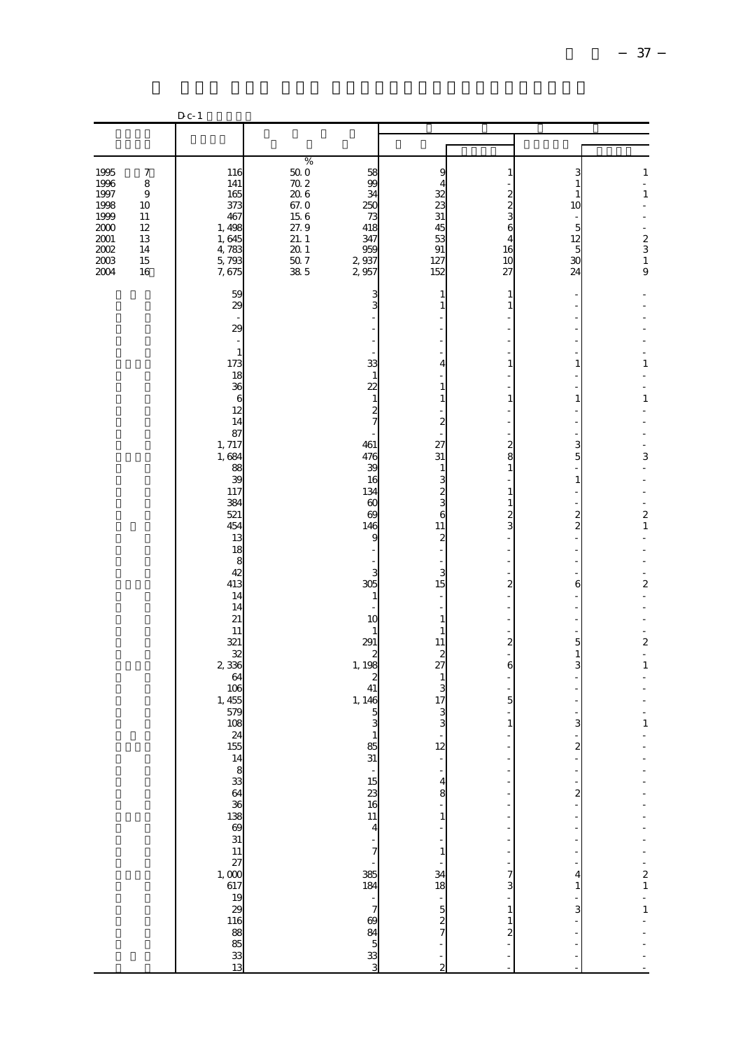|                                                                                                                                                                  | $D_{c-1}$                                                                                                                                                                                                                                                                                                                                                                |                                                                                                                                       |                                                                                                                                                                                                                                                                                                                                                                                                                      |                                                                                                                                                                                                                                                                                                                                                 |                                                                                                                                                                                                               |                                                                                                                                                                                |                                                                                                                                                                                                                        |
|------------------------------------------------------------------------------------------------------------------------------------------------------------------|--------------------------------------------------------------------------------------------------------------------------------------------------------------------------------------------------------------------------------------------------------------------------------------------------------------------------------------------------------------------------|---------------------------------------------------------------------------------------------------------------------------------------|----------------------------------------------------------------------------------------------------------------------------------------------------------------------------------------------------------------------------------------------------------------------------------------------------------------------------------------------------------------------------------------------------------------------|-------------------------------------------------------------------------------------------------------------------------------------------------------------------------------------------------------------------------------------------------------------------------------------------------------------------------------------------------|---------------------------------------------------------------------------------------------------------------------------------------------------------------------------------------------------------------|--------------------------------------------------------------------------------------------------------------------------------------------------------------------------------|------------------------------------------------------------------------------------------------------------------------------------------------------------------------------------------------------------------------|
|                                                                                                                                                                  |                                                                                                                                                                                                                                                                                                                                                                          |                                                                                                                                       |                                                                                                                                                                                                                                                                                                                                                                                                                      |                                                                                                                                                                                                                                                                                                                                                 |                                                                                                                                                                                                               |                                                                                                                                                                                |                                                                                                                                                                                                                        |
| 1995<br>$\boldsymbol{7}$<br>1996<br>8<br>1997<br>$\,9$<br>1998<br>10<br>1999<br>11<br>2000<br>12<br>$2001\,$<br>13<br>2002<br>14<br>$2003\,$<br>15<br>2004<br>16 | 116<br>141<br>165<br>373<br>467<br>1,498<br>1,645<br>4, 783<br>7,675                                                                                                                                                                                                                                                                                                     | $\%$<br>$\begin{array}{c} 50.0 \\ 70.2 \\ 20.6 \\ 67.0 \\ 15.8 \end{array}$<br>$\frac{15}{27}$ , 9<br>21.1<br>$201$<br>$507$<br>$385$ | 58<br>99<br>34<br>25C<br>73<br>418<br>347<br>959<br>2,937<br>2957                                                                                                                                                                                                                                                                                                                                                    | 9<br>$\overline{4}$<br>32<br>23<br>31<br>45<br>53<br>91<br>$\frac{127}{152}$                                                                                                                                                                                                                                                                    | 2<br>$\overline{\mathcal{Z}}$<br>6<br>$\begin{array}{c} 16 \\ 10 \end{array}$<br>27                                                                                                                           | 3<br>1<br>1<br>10<br>5<br>12<br>5<br>30<br>24                                                                                                                                  | $\mathbf 1$<br>÷,<br>$\,1\,$<br>÷,<br>$\begin{array}{c}\n2 \\ 3 \\ 1 \\ 9\n\end{array}$                                                                                                                                |
|                                                                                                                                                                  | 59<br>29<br>29<br>$\,1\,$<br>173<br>18<br>36<br>6<br>12<br>14<br>87<br>1, 717<br>1,684<br>88<br>39<br>117<br>384<br>521<br>454<br>13<br>18<br>8<br>42<br>413<br>14<br>14<br>21<br>11<br>321<br>32<br>2,336<br>64<br>106<br>1, 455<br>579<br>108<br>24<br>155<br>$\frac{14}{8}$ 8 33 64 36 38 69 31<br>11 27<br>1, 000 17<br>19<br>29<br>11<br>68<br>88<br>33<br>33<br>13 |                                                                                                                                       | 3<br>3<br>33<br>$\mathbf{1}$<br>22<br>$\mathbf 1$<br>$\frac{2}{7}$<br>461<br>476<br>39<br>16<br>134<br>$\infty$<br>$\infty$<br>146<br>g<br>3<br>305<br>1<br>10<br>1<br>291<br>$\overline{\mathbf{z}}$<br>1, 198<br>$\boldsymbol{z}$<br>41<br>1, 146<br>5<br>3<br>1<br>85<br>$\frac{31}{1}$<br>$15/13$<br>$16/11$<br>$\overline{4}$<br>$\overline{\phantom{a}}$<br>385<br>184<br>$\frac{1}{7}$<br>69<br>33<br>33<br>3 | 1<br>1<br>4<br>1<br>1<br>$\boldsymbol{z}$<br>27<br>31<br>$\mathbf{1}$<br>3<br>$\frac{2}{6}$<br>11<br>$\boldsymbol{z}$<br>3<br>15<br>$\mathbf{1}$<br>$\mathbf{1}$<br>11<br>$\overline{\mathcal{Z}}$<br>27<br>$\mathbf{1}$<br>3<br>17<br>$\frac{3}{3}$<br>12<br>$\overline{a}$<br>$\frac{4}{8}$<br>1<br>$\mathbf{1}$<br>34<br>18<br>$\frac{5}{7}$ | 1<br>1<br>$\mathbf{1}$<br>$\overline{a}$<br>8<br>1<br>1<br>1<br>2<br>3<br>$\overline{\mathbf{c}}$<br>$\overline{\mathcal{Z}}$<br>6<br>5<br>7<br>3<br>$\mathbf{1}$<br>$\mathbf{1}$<br>$\overline{\mathcal{Z}}$ | ÷,<br>$\mathbf{1}$<br>1<br>3<br>5<br>$1\,$<br>$\boldsymbol{z}$<br>$\boldsymbol{z}$<br>6<br>5<br>1<br>3<br>3<br>$\overline{\mathbf{c}}$<br>÷<br>$\boldsymbol{z}$<br>4<br>1<br>3 | 1<br>$\,1\,$<br>-<br>3<br>÷,<br>$\overline{\mathcal{L}}$<br>$\,1\,$<br>÷,<br>$\overline{c}$<br>$\overline{a}$<br>$\blacksquare$<br>$\boldsymbol{z}$<br>$\frac{1}{2}$<br>1<br>$\,1\,$<br>$\frac{1}{2}$<br>$\frac{1}{1}$ |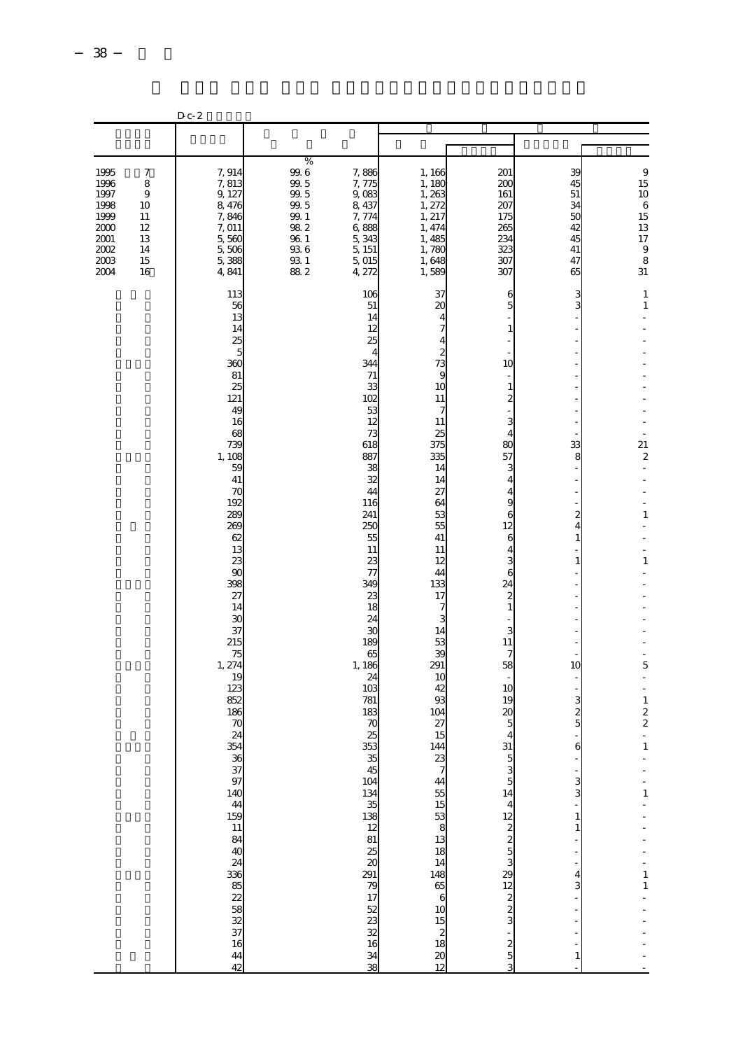|                                                                              |                                                           | $D_{c-2}$                                                                                                                                                                                                                                                                                                                                |                                                                                                                                |                                                                                                                                                                                                                                                                                                                                                                                                                                                                         |                                                                                                                                                                                                                                                                                                                                                                                                                                                                                           |                                                                                                                                                                                                                                                                                                                             |                                                                                                                                                                                                             |                                                                                                                                                                                                                                                                                                                    |
|------------------------------------------------------------------------------|-----------------------------------------------------------|------------------------------------------------------------------------------------------------------------------------------------------------------------------------------------------------------------------------------------------------------------------------------------------------------------------------------------------|--------------------------------------------------------------------------------------------------------------------------------|-------------------------------------------------------------------------------------------------------------------------------------------------------------------------------------------------------------------------------------------------------------------------------------------------------------------------------------------------------------------------------------------------------------------------------------------------------------------------|-------------------------------------------------------------------------------------------------------------------------------------------------------------------------------------------------------------------------------------------------------------------------------------------------------------------------------------------------------------------------------------------------------------------------------------------------------------------------------------------|-----------------------------------------------------------------------------------------------------------------------------------------------------------------------------------------------------------------------------------------------------------------------------------------------------------------------------|-------------------------------------------------------------------------------------------------------------------------------------------------------------------------------------------------------------|--------------------------------------------------------------------------------------------------------------------------------------------------------------------------------------------------------------------------------------------------------------------------------------------------------------------|
|                                                                              |                                                           |                                                                                                                                                                                                                                                                                                                                          |                                                                                                                                |                                                                                                                                                                                                                                                                                                                                                                                                                                                                         |                                                                                                                                                                                                                                                                                                                                                                                                                                                                                           |                                                                                                                                                                                                                                                                                                                             |                                                                                                                                                                                                             |                                                                                                                                                                                                                                                                                                                    |
| 1995<br>1996<br>1997<br>1998<br>1999<br>2000<br>2001<br>2002<br>2003<br>2004 | 7<br>8<br>$\,9$<br>10<br>11<br>12<br>13<br>14<br>15<br>16 | 7,914<br>7,813<br>9, 127<br>8,476<br>7,846<br>7,011<br>5,560<br>5,506<br>5,388<br>4,841                                                                                                                                                                                                                                                  | %<br>$\frac{99.6}{99.5}$<br>$99.5\,$<br>$99.5\,$<br>$99.1\,$<br>$98\ 2$<br>$96\ 1$<br>$93\ 6$<br>$\frac{93}{88}$ $\frac{1}{2}$ | 7,886<br>7,775<br>9,083<br>8, 437<br>7, 774<br>6,888<br>5,343<br>5, 151<br>5,015<br>4, 272                                                                                                                                                                                                                                                                                                                                                                              | 1,166<br>1,180<br>1,263<br>1, 272<br>1, 217<br>1, 474<br>1,485<br>1,780<br>1,648<br>1,589                                                                                                                                                                                                                                                                                                                                                                                                 | 201<br>200<br>161<br>207<br>175<br>265<br>234<br>323<br>307<br>307                                                                                                                                                                                                                                                          | 39<br>45<br>51<br>34<br>50<br>42<br>45<br>41<br>47<br>65                                                                                                                                                    | 9<br>$15\,$<br>10<br>$\begin{array}{c} 6 \\ 15 \\ 13 \\ 17 \end{array}$<br>$\frac{9}{8}$<br>31                                                                                                                                                                                                                     |
|                                                                              |                                                           | 113<br>56<br>13<br>14<br>25<br>5<br>360<br>81<br>25<br>121<br>4 <sup>C</sup><br>16<br>68<br>739<br>1, 108<br>59<br>41<br>70<br>192<br><b>289</b><br>269<br>62<br>13<br>23<br>$\alpha$<br>398<br>27<br>14<br>30<br>37<br>215<br>75<br>1, 274<br>19<br>123<br>852<br>186<br>7C<br>24<br>354<br>$\mathcal{E}$<br>$rac{37}{140}$<br>44<br>42 |                                                                                                                                | 106<br>51<br>14<br>12<br>25<br>4<br>344<br>71<br>33<br>102<br>53<br>12<br>73<br>618<br>887<br>38<br>32<br>44<br>116<br>241<br>250<br>55<br>11<br>23<br>77<br>349<br>23<br>18<br>24<br>30<br>189<br>65<br>1, 186<br>24<br>10 <sub>3</sub><br>781<br>183<br>70<br>25<br>353<br>$\begin{array}{c} 35 \\ 45 \end{array}$<br>104<br>134<br>$\frac{35}{138}$<br>$\begin{array}{c} 12 \\ 81 \end{array}$<br>25<br>$\infty$<br>291<br>79<br>$1752$<br>$323$<br>$16$<br>34<br>38 | 37<br>20<br>73<br>ç<br>10<br>11<br>11<br>25<br>375<br>335<br>14<br>14<br>27<br>64<br>53<br>55<br>41<br>11<br>12<br>44<br>133<br>17<br>7<br>3<br>14<br>53<br>$\mathcal{R}$<br>291<br>10<br>42<br>93<br>104<br>27<br>15<br>144<br>$\alpha$<br>$\overline{7}$<br>$\overline{44}$<br>55<br>$\begin{array}{c} 15 \\ 53 \\ 8 \\ 13 \end{array}$<br>18<br>$\frac{14}{6}$<br>$\frac{14}{6}$<br>$\frac{6}{6}$<br>10<br>$\begin{array}{c} 15 \\ 2 \\ 18 \end{array}$<br>$\boldsymbol{\alpha}$<br>12 | 6<br>5<br>$\mathbf{1}$<br>10<br>$\mathbf{1}$<br>$\overline{c}$<br>3<br>4<br>80<br>57<br>3<br>4<br>4<br>9<br>6<br>12<br>6<br>4<br>3<br>6<br>24<br>2<br>$\mathbf{1}$<br>З<br>11<br>7<br>58<br>10<br>19<br>20<br>5<br>4<br>31<br>، د، <del>10 14 م <mark>1</mark>0</del> م م م م م <mark>20 15</mark> م م م م<br>$\frac{2}{3}$ | $\frac{3}{3}$<br>33<br>8<br>$\boldsymbol{z}$<br>$\overline{4}$<br>$\,1\,$<br>$1\,$<br>10<br>$\begin{array}{c} 3 \\ 2 \\ 5 \end{array}$<br>6<br>$\frac{3}{3}$<br>1<br>$\,1$<br>$\frac{4}{3}$<br>$\mathbf{1}$ | $\mathbf{1}$<br>$\,1\,$<br>$\overline{\phantom{a}}$<br>21<br>$\overline{\mathbf{c}}$<br>$\frac{1}{2}$<br>÷,<br>$\,1\,$<br>L,<br>$\mathbf{1}$<br>÷<br>5<br>$\overline{a}$<br>$\overline{\phantom{a}}$<br>$\mathbf{1}$<br>$\frac{2}{2}$<br>$\overline{\phantom{a}}$<br>$\mathbf{1}$<br>$\mathbf{1}$<br>$\frac{1}{1}$ |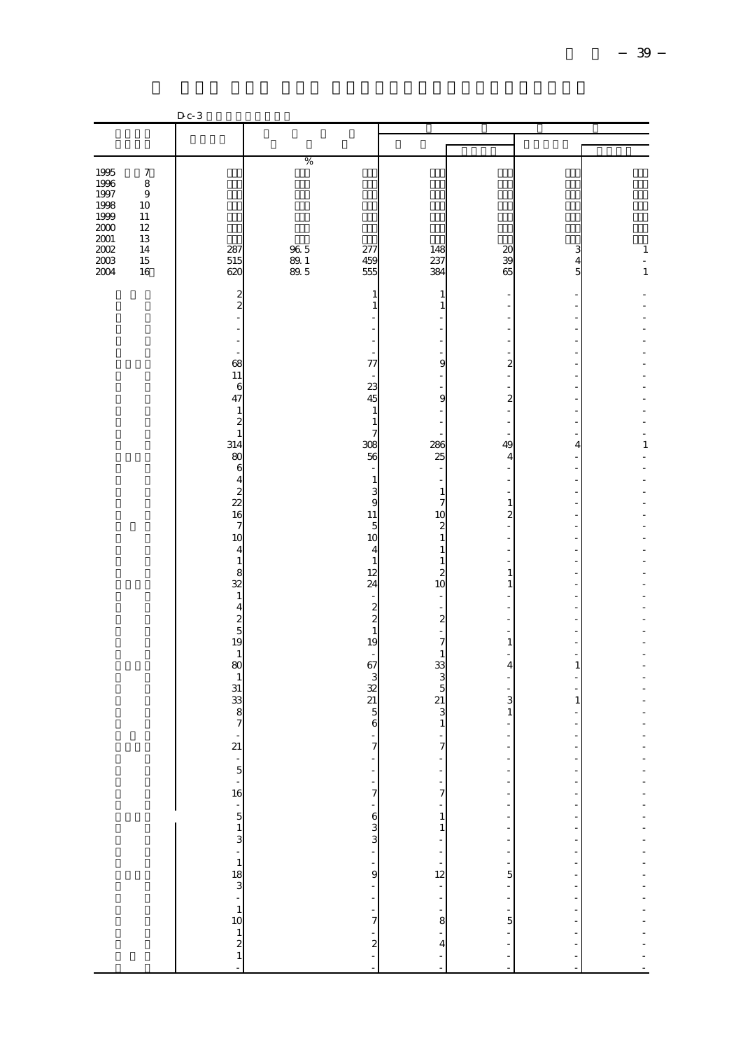|                                                                                                   |                                                                       | $D_{c-}3$                                         |                                        |                                                      |                                 |                                               |                          |                   |
|---------------------------------------------------------------------------------------------------|-----------------------------------------------------------------------|---------------------------------------------------|----------------------------------------|------------------------------------------------------|---------------------------------|-----------------------------------------------|--------------------------|-------------------|
|                                                                                                   |                                                                       |                                                   |                                        |                                                      |                                 |                                               |                          |                   |
|                                                                                                   |                                                                       |                                                   |                                        |                                                      |                                 |                                               |                          |                   |
| $\begin{array}{c} 1995 \\ 1996 \end{array}$<br>1997<br>$\frac{1998}{1999}$<br>$\frac{1999}{2000}$ | $\boldsymbol{7}$<br>$\,$ 8 $\,$<br>$\boldsymbol{9}$<br>10<br>11<br>12 |                                                   | $\%$                                   |                                                      |                                 |                                               |                          |                   |
| $\begin{array}{l} 2002 \\ 2003 \end{array}$<br>2004                                               | 13<br>14<br>$15\,$<br>16                                              | $\frac{287}{515}$<br>620                          | $\frac{96}{89}$ 1<br>$\frac{89}{89}$ 5 | 277<br>459<br>555                                    | 148<br>237<br>384               | $\begin{array}{c} 20 \\ 39 \end{array}$<br>65 | $\frac{3}{4}$<br>5       | $\mathbf{1}$<br>1 |
|                                                                                                   |                                                                       | $\frac{2}{2}$                                     |                                        | 1                                                    | 1                               |                                               |                          |                   |
|                                                                                                   |                                                                       |                                                   |                                        | 1                                                    | 1                               |                                               |                          |                   |
|                                                                                                   |                                                                       |                                                   |                                        |                                                      |                                 |                                               |                          |                   |
|                                                                                                   |                                                                       | $\overline{\phantom{a}}$                          |                                        | ÷                                                    |                                 |                                               |                          |                   |
|                                                                                                   |                                                                       | $68$<br>$11$                                      |                                        | 77                                                   | 9                               | $\overline{\mathbf{c}}$                       |                          |                   |
|                                                                                                   |                                                                       | $\mathbf 6$<br>47                                 |                                        | 23<br>45                                             | 9                               | 2                                             |                          |                   |
|                                                                                                   |                                                                       | $\mathbf{1}$                                      |                                        | 1                                                    |                                 |                                               |                          |                   |
|                                                                                                   |                                                                       | $\overline{\mathcal{L}}$<br>$\mathbf{1}$          |                                        | 1<br>7                                               |                                 |                                               |                          |                   |
|                                                                                                   |                                                                       | 314<br>80                                         |                                        | 308<br>56                                            | 286<br>25                       | 49<br>$\overline{4}$                          | 4                        | 1                 |
|                                                                                                   |                                                                       | $\boldsymbol{6}$                                  |                                        | $\mathbf{1}$                                         |                                 |                                               |                          |                   |
|                                                                                                   |                                                                       | $\frac{4}{2}$<br>$\frac{2}{16}$                   |                                        | 3<br>$\mathbf{g}$                                    | 1<br>7                          |                                               |                          |                   |
|                                                                                                   |                                                                       |                                                   |                                        | 11                                                   | 10                              | 1<br>$\overline{c}$                           |                          |                   |
|                                                                                                   |                                                                       | $\overline{7}$<br>10                              |                                        | $\overline{5}$<br>10                                 | $\mathbf{z}$<br>1               |                                               |                          |                   |
|                                                                                                   |                                                                       | $\overline{4}$<br>$\,1\,$                         |                                        | 4<br>$\mathbf{1}$                                    | 1                               |                                               |                          |                   |
|                                                                                                   |                                                                       | 8                                                 |                                        | 12<br>24                                             | 2                               | 1<br>1                                        | ٠                        |                   |
|                                                                                                   |                                                                       | $\frac{32}{1}$                                    |                                        |                                                      | 10                              |                                               |                          |                   |
|                                                                                                   |                                                                       | $\overline{4}$                                    |                                        | $\overline{\mathcal{Z}}$<br>$\overline{\mathcal{Z}}$ | $\boldsymbol{z}$                |                                               |                          |                   |
|                                                                                                   |                                                                       | $\begin{array}{c} 2 \\ 2 \\ 5 \\ 19 \end{array}$  |                                        | $\,1\,$<br>19                                        | 7                               | 1                                             |                          |                   |
|                                                                                                   |                                                                       | $\frac{1}{80}$                                    |                                        | ÷,<br>67                                             | 1<br>33                         | 4                                             | 1                        |                   |
|                                                                                                   |                                                                       | $\,1\,$                                           |                                        | 3                                                    | 3                               |                                               |                          |                   |
|                                                                                                   |                                                                       | $\begin{array}{c} 31 \\ 33 \\ 8 \\ 7 \end{array}$ |                                        | 32<br>21                                             | 5<br>21                         | 3                                             | $\,1\,$                  |                   |
|                                                                                                   |                                                                       |                                                   |                                        | 5<br>6                                               | 3<br>$\mathbf{1}$               | $\mathbf{1}$                                  |                          |                   |
|                                                                                                   |                                                                       | $\frac{1}{21}$                                    |                                        | 7                                                    | 7                               |                                               |                          |                   |
|                                                                                                   |                                                                       |                                                   |                                        |                                                      |                                 |                                               |                          |                   |
|                                                                                                   |                                                                       |                                                   |                                        |                                                      | $\frac{1}{7}$                   | ł,<br>$\frac{1}{2}$                           | f                        |                   |
|                                                                                                   |                                                                       |                                                   |                                        |                                                      |                                 |                                               | $\frac{1}{2}$<br>f       |                   |
|                                                                                                   |                                                                       |                                                   |                                        |                                                      | $\frac{1}{1}$                   |                                               | $\overline{\phantom{0}}$ |                   |
|                                                                                                   |                                                                       |                                                   |                                        |                                                      |                                 |                                               |                          |                   |
|                                                                                                   |                                                                       |                                                   |                                        |                                                      |                                 |                                               |                          |                   |
|                                                                                                   |                                                                       |                                                   |                                        |                                                      |                                 |                                               |                          |                   |
|                                                                                                   |                                                                       |                                                   |                                        | $-7 - 2$<br>$-7 - 7 - 2$                             | $1 - 1$<br>12 - - 12 - 12 - 8 - |                                               | 医皮肤的 医血管性血清              |                   |
|                                                                                                   |                                                                       |                                                   |                                        |                                                      |                                 |                                               |                          |                   |
|                                                                                                   |                                                                       |                                                   |                                        |                                                      | $\frac{4}{1}$                   |                                               |                          |                   |
|                                                                                                   |                                                                       |                                                   |                                        |                                                      |                                 |                                               | $\frac{1}{2}$            |                   |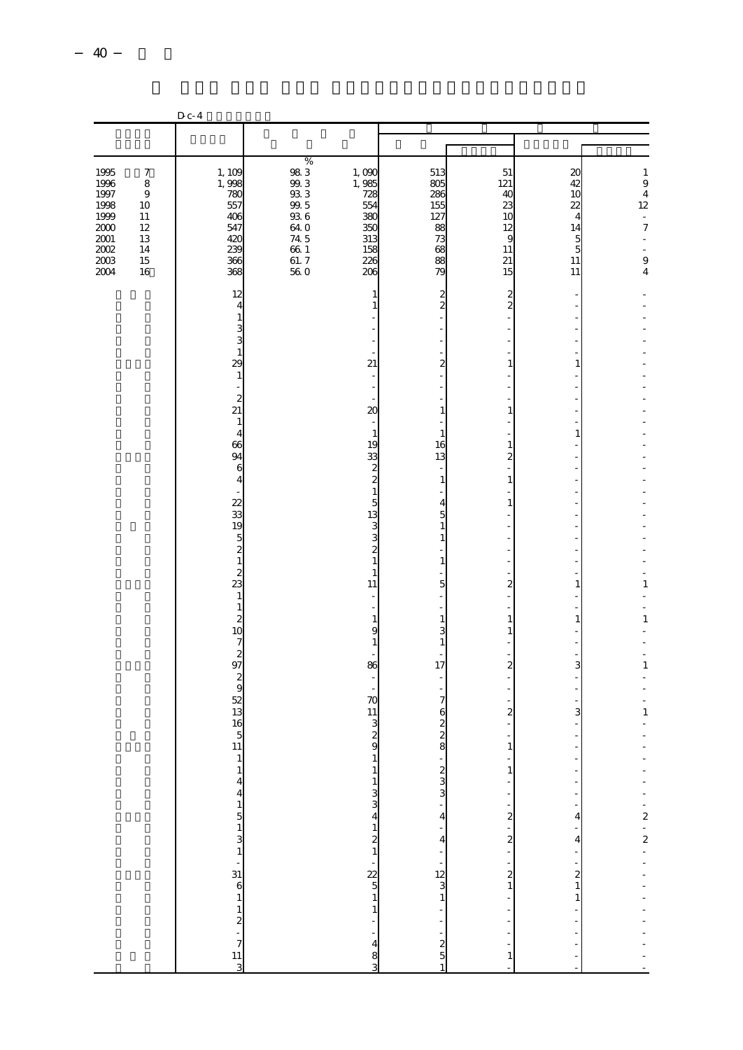|                                                                                          |                                                                                | $D_{c-4}$                                                                                                                                                                                                                                                                                             |                                                                                                       |                                                                                                                                                                                                                                                                                                                                                                                                  |                                                                                                                                                                                                                   |                                                                                                                                                       |                                                                                                                                                      |                                                                                                                                                                  |
|------------------------------------------------------------------------------------------|--------------------------------------------------------------------------------|-------------------------------------------------------------------------------------------------------------------------------------------------------------------------------------------------------------------------------------------------------------------------------------------------------|-------------------------------------------------------------------------------------------------------|--------------------------------------------------------------------------------------------------------------------------------------------------------------------------------------------------------------------------------------------------------------------------------------------------------------------------------------------------------------------------------------------------|-------------------------------------------------------------------------------------------------------------------------------------------------------------------------------------------------------------------|-------------------------------------------------------------------------------------------------------------------------------------------------------|------------------------------------------------------------------------------------------------------------------------------------------------------|------------------------------------------------------------------------------------------------------------------------------------------------------------------|
|                                                                                          |                                                                                |                                                                                                                                                                                                                                                                                                       |                                                                                                       |                                                                                                                                                                                                                                                                                                                                                                                                  |                                                                                                                                                                                                                   |                                                                                                                                                       |                                                                                                                                                      |                                                                                                                                                                  |
| 1995<br>1996<br>1997<br>1998<br>1999<br>2000<br>$2001\,$<br>$2002\,$<br>$2003\,$<br>2004 | $\boldsymbol{7}$<br>$\,8\,$<br>$\,9$<br>10<br>11<br>12<br>13<br>14<br>15<br>16 | $\frac{1}{1}$ , 109<br>1, 998<br>780<br>557<br>406<br>547<br>420<br>239<br>366<br>368                                                                                                                                                                                                                 | $\%$<br>$\frac{98}{99}$ 3<br>$93\ 3$<br>$99.5\,$<br>$93\ 6$<br>64 O<br>74 5<br>$66\ 1$<br>61.7<br>560 | $1,090$<br>$1,985$<br>728<br>554<br>380<br>350<br>313<br>158<br>226<br>206                                                                                                                                                                                                                                                                                                                       | 513<br>805<br>286<br>155<br>127<br>88<br>73<br>68<br>88<br>79                                                                                                                                                     | 51<br>121<br>40<br>23<br>10<br>12<br>9<br>11<br>21<br>15                                                                                              | 20<br>42<br>10<br>22<br>$\overline{4}$<br>14<br>5<br>5<br>11<br>11                                                                                   | $\,1\,$<br>$\overline{9}$<br>$\overline{4}$<br>12<br>$\overline{\phantom{a}}$<br>$\boldsymbol{7}$<br>٠<br>$\frac{1}{2}$<br>$\begin{array}{c} 9 \\ 4 \end{array}$ |
|                                                                                          |                                                                                | 12<br>4<br>1<br>3<br>3<br>$\mathbf{1}$<br>29<br>$\mathbf{1}$<br>$\boldsymbol{2}$<br>21<br>$\mathbf{1}$<br>$\overline{4}$<br>66<br>94<br>$\overline{6}$<br>$\overline{4}$<br>22<br>33<br>19<br>$\overline{5}$<br>$\overline{\mathcal{L}}$<br>$\,$ 1 $\,$<br>$\boldsymbol{z}$<br>23<br>$1\,$<br>$\,1\,$ |                                                                                                       | 1<br>$\mathbf{1}$<br>21<br>20<br>$\mathbf{1}$<br>19<br>33<br>$\boldsymbol{z}$<br>$\boldsymbol{z}$<br>$\mathbf{1}$<br>5<br>13<br>3<br>3<br>$\overline{c}$<br>$\mathbf{1}$<br>$\mathbf{1}$<br>11                                                                                                                                                                                                   | $\overline{\mathbf{c}}$<br>$\overline{\mathcal{Z}}$<br>$\overline{\mathbf{c}}$<br>$\mathbf{1}$<br>$\mathbf{1}$<br>16<br>13<br>ä,<br>$\mathbf{1}$<br>$\overline{4}$<br>5<br>$\mathbf{1}$<br>1<br>$\mathbf{1}$<br>5 | 2<br>$\overline{c}$<br>1<br>1<br>1<br>2<br>1<br>1<br>2                                                                                                | 1<br>$\mathbf{1}$<br>1                                                                                                                               | 1                                                                                                                                                                |
|                                                                                          |                                                                                | $\overline{\mathcal{Z}}$<br>10<br>$\begin{array}{c} 7 \\ 2 \\ 97 \end{array}$<br>$\frac{2}{9}$<br>$\frac{52}{13}$<br>16<br>5<br>11<br>1<br>4<br>4<br>4<br>4<br>5<br>5<br>4<br>5<br>4<br>5<br>1<br>5<br>2<br>5<br>1<br>2<br>1<br>5<br>3                                                                |                                                                                                       | $\mathbf{1}$<br>9<br>$\mathbf{1}$<br>86<br>70<br>11<br>3<br>$\frac{2}{9}$<br>$\frac{1}{2}$ $\frac{1}{2}$ $\frac{1}{2}$ $\frac{1}{2}$ $\frac{1}{2}$ $\frac{1}{2}$ $\frac{1}{2}$ $\frac{1}{2}$ $\frac{1}{2}$ $\frac{1}{2}$ $\frac{1}{2}$ $\frac{1}{2}$ $\frac{1}{2}$ $\frac{1}{2}$ $\frac{1}{2}$ $\frac{1}{2}$ $\frac{1}{2}$ $\frac{1}{2}$ $\frac{1}{2}$ $\frac{1}{2}$ $\frac{1}{2}$ $\frac{1}{2}$ | $\mathbf{1}$<br>3<br>$\mathbf{1}$<br>17<br>$\overline{7}$<br>6<br>$\frac{2}{2}$<br>8<br>$\begin{array}{c} 2 \ 3 \ 3 \end{array}$<br>$-4$<br>$12$<br>$12$<br>$1$<br>$\frac{1}{2}$ $\frac{1}{2}$                    | 1<br>1<br>2<br>$\boldsymbol{z}$<br>$\mathbf{1}$<br>$\mathbf{1}$<br>÷<br>÷<br>$2 - 2 - 2$<br>2 - 2 1<br>$\frac{1}{2}$<br>$\frac{1}{2}$<br>$\mathbf{1}$ | $\mathbf{1}$<br>3<br>3<br>f<br>$\ddot{\phantom{1}}$<br>4<br>$\overline{4}$<br>$\begin{bmatrix} 1 \\ 2 \\ 1 \\ 1 \end{bmatrix}$<br>$\frac{1}{2}$<br>÷ | $\,1\,$<br>1<br>$\,1\,$<br>- - - - - 2 - 2 - - - - - - - - - -                                                                                                   |

40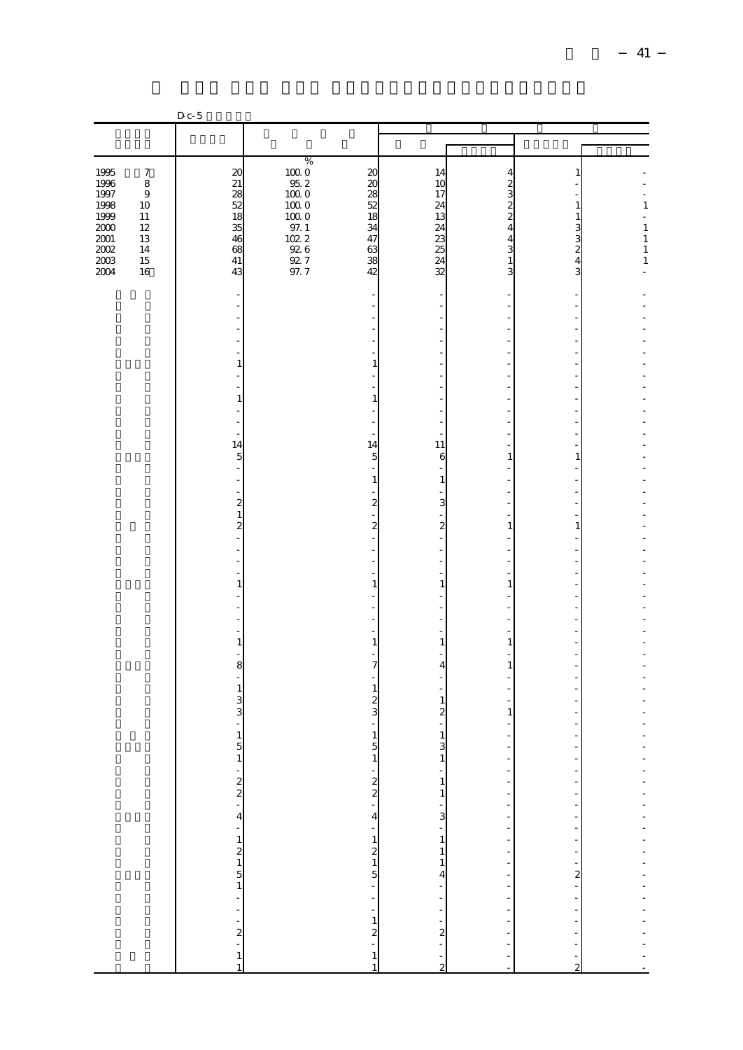|                  |                  | $D_{c-5}$                                     |                                              |                               |                              |                                  |                                     |                              |
|------------------|------------------|-----------------------------------------------|----------------------------------------------|-------------------------------|------------------------------|----------------------------------|-------------------------------------|------------------------------|
|                  |                  |                                               |                                              |                               |                              |                                  |                                     |                              |
|                  |                  |                                               |                                              |                               |                              |                                  |                                     |                              |
| 1995             | $\boldsymbol{7}$ | 20                                            | $\%$                                         | $\boldsymbol{\chi}$           | 14                           | $\overline{4}$                   | 1                                   |                              |
| 1996             | $\,$ 8 $\,$      | 21                                            | $\begin{array}{c} 100.0 \\ 95.2 \end{array}$ | $20\,$                        | 10                           |                                  |                                     |                              |
| 1997<br>1998     | $\,9$<br>10      | $rac{28}{52}$                                 | $100\;0$<br>$100\;0$                         | 28<br>52                      | 17<br>24                     | $\frac{2}{2}$ $\frac{2}{2}$      | $\,1\,$                             | $\,1\,$                      |
| 1999             | 11               | 18                                            | $100\ 0$                                     | 18                            | 13                           |                                  | $\mathbf{1}$                        |                              |
| 2000<br>$2001\,$ | 12<br>13         | 35<br>46                                      | 97.1<br>102.2                                | 34<br>47                      | 24<br>23                     | $\overline{4}$<br>$\overline{4}$ | 3300                                | $\mathbf{1}$<br>$\mathbf{1}$ |
| $2002\,$         | 14               | 68                                            | $\frac{92}{92}$ $\frac{6}{7}$                | 63                            | $\frac{25}{24}$              | 3                                |                                     | $\,1\,$                      |
| $2003$<br>2004   | 15<br>16         | 41<br>43                                      | 97.7                                         | 38<br>42                      | 32                           | $\,1\,$<br>3                     |                                     | $\,1\,$                      |
|                  |                  |                                               |                                              |                               |                              |                                  |                                     |                              |
|                  |                  | -                                             |                                              | -                             |                              |                                  | $\overline{\phantom{a}}$            |                              |
|                  |                  |                                               |                                              |                               |                              |                                  |                                     |                              |
|                  |                  |                                               |                                              | ÷                             |                              |                                  |                                     |                              |
|                  |                  |                                               |                                              |                               |                              |                                  |                                     |                              |
|                  |                  | 1                                             |                                              | $\mathbf{1}$                  |                              |                                  | $\overline{\phantom{a}}$            |                              |
|                  |                  |                                               |                                              |                               |                              |                                  |                                     |                              |
|                  |                  | $\,1\,$                                       |                                              | $\,1\,$                       |                              |                                  |                                     |                              |
|                  |                  | $\overline{\phantom{a}}$                      |                                              |                               |                              |                                  |                                     |                              |
|                  |                  |                                               |                                              |                               |                              |                                  |                                     |                              |
|                  |                  | 14<br>5                                       |                                              | 14<br>5                       | 11<br>6                      | 1                                | $\qquad \qquad \blacksquare$<br>1   |                              |
|                  |                  | $\frac{1}{2}$                                 |                                              |                               |                              |                                  |                                     |                              |
|                  |                  | $\qquad \qquad =$                             |                                              | $\mathbf{1}$                  | $\mathbf{1}$                 |                                  |                                     |                              |
|                  |                  |                                               |                                              | $\boldsymbol{z}$              | 3                            |                                  |                                     |                              |
|                  |                  | $\begin{smallmatrix}2\\1\\2\end{smallmatrix}$ |                                              | ÷<br>$\overline{\mathcal{L}}$ | $\boldsymbol{z}$             |                                  | $\overline{\phantom{a}}$<br>$\,1\,$ |                              |
|                  |                  |                                               |                                              |                               |                              | $\mathbf{1}$                     |                                     |                              |
|                  |                  | $\overline{\phantom{a}}$                      |                                              |                               |                              |                                  |                                     |                              |
|                  |                  |                                               |                                              |                               |                              |                                  |                                     |                              |
|                  |                  | 1                                             |                                              | $\mathbf{1}$                  | 1                            | 1                                | $\overline{\phantom{a}}$            |                              |
|                  |                  |                                               |                                              |                               |                              |                                  |                                     |                              |
|                  |                  |                                               |                                              |                               |                              |                                  |                                     |                              |
|                  |                  | $\,1$                                         |                                              | ÷,<br>$\,1\,$                 | $\mathbf{1}$                 | $\mathbf{1}$                     |                                     |                              |
|                  |                  | ÷,                                            |                                              | ÷                             |                              |                                  |                                     |                              |
|                  |                  | 8                                             |                                              | $\overline{7}$                | 4                            | 1                                | $\overline{\phantom{a}}$            |                              |
|                  |                  | $\,1\,$                                       |                                              | $\,1\,$                       |                              |                                  |                                     |                              |
|                  |                  | $\frac{3}{3}$                                 |                                              | $\overline{\mathcal{Z}}$<br>3 | $\mathbf{1}$<br>2            | 1                                |                                     |                              |
|                  |                  |                                               |                                              |                               |                              |                                  |                                     |                              |
|                  |                  | $\,1$<br>5                                    |                                              | $1\,$<br>5                    | 1<br>3                       |                                  | $\overline{\phantom{a}}$            |                              |
|                  |                  |                                               |                                              | $\mathbf{1}$                  | $\mathbf{1}$                 |                                  |                                     |                              |
|                  |                  |                                               |                                              |                               |                              | l,                               | ÷,                                  |                              |
|                  |                  |                                               |                                              |                               | $\mathbf{1}$<br>$\mathbf{1}$ | ł<br>ł,                          | ÷                                   |                              |
|                  |                  |                                               |                                              |                               | ÷                            | $\frac{1}{2}$                    | $\frac{1}{2}$                       |                              |
|                  |                  |                                               |                                              |                               | 3                            |                                  |                                     |                              |
|                  |                  |                                               |                                              |                               | $\frac{1}{1}$                | $\frac{1}{1}$                    | $\frac{1}{2}$                       |                              |
|                  |                  |                                               |                                              | $-12 - 12 - 12 - 5$           | $\mathbf{1}$<br>$\mathbf{1}$ |                                  |                                     | ----------------------       |
|                  |                  |                                               |                                              |                               | 4                            | $\frac{1}{2}$                    | $\frac{1}{2}$                       |                              |
|                  |                  |                                               |                                              |                               | f                            | f                                |                                     |                              |
|                  |                  |                                               |                                              |                               |                              | $\frac{1}{2}$                    | $\frac{1}{2}$                       |                              |
|                  |                  |                                               |                                              |                               |                              | ÷,                               | $\frac{1}{2}$                       |                              |
|                  |                  |                                               |                                              |                               | $-2$ $-2$                    | j                                |                                     |                              |
|                  |                  |                                               |                                              |                               |                              | $\frac{1}{2}$                    | $\frac{1}{2}$                       |                              |
|                  |                  |                                               |                                              |                               |                              |                                  |                                     |                              |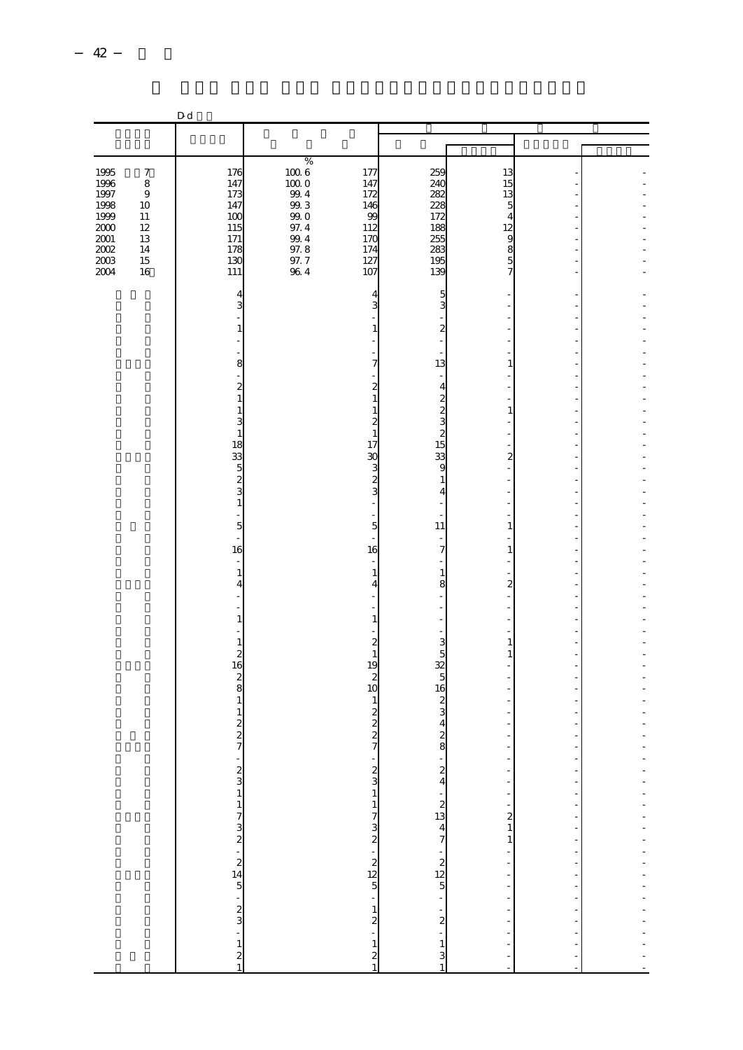|                                                             |                                          | D d                                                        |                                              |                                                           |                                                  |                                                                         |                                                      |  |
|-------------------------------------------------------------|------------------------------------------|------------------------------------------------------------|----------------------------------------------|-----------------------------------------------------------|--------------------------------------------------|-------------------------------------------------------------------------|------------------------------------------------------|--|
|                                                             |                                          |                                                            |                                              |                                                           |                                                  |                                                                         |                                                      |  |
|                                                             |                                          |                                                            |                                              |                                                           |                                                  |                                                                         |                                                      |  |
| $\begin{array}{c} 1995 \\ 1996 \end{array}$<br>1997<br>1998 | $\boldsymbol{7}$<br>$\,8\,$<br>$9$<br>10 | 176<br>147<br>173<br>147                                   | $\%$<br>1006<br>1000<br>$99.4\,$<br>$99.3\,$ | 177<br>147<br>172<br>146                                  | 259<br><b>240</b><br>282<br>228                  | 13<br>15<br>13<br>5                                                     |                                                      |  |
| 1999<br>$2000\,$<br>$2001\,$<br>$2002\,$<br>$2003\,$        | 11<br>12<br>13<br>14<br>15               | 100<br>115<br>171<br>178<br>13C                            | 99.0<br>97.4<br>99.4<br>97.8<br>97.7         | 99<br>112<br>170<br>174<br>127                            | 172<br>188<br>255<br>283<br>195                  | $\overline{4}$<br>12<br>9<br>$\begin{array}{c} 8 \\ 5 \\ 7 \end{array}$ |                                                      |  |
| 2004                                                        | 16                                       | 111<br>4                                                   | 96.4                                         | 107<br>4                                                  | 139<br>5                                         |                                                                         |                                                      |  |
|                                                             |                                          | 3<br>1                                                     |                                              | 3<br>1                                                    | 3<br>$\overline{\mathbf{c}}$                     |                                                                         |                                                      |  |
|                                                             |                                          | 8                                                          |                                              | 7                                                         | 13                                               | 1                                                                       |                                                      |  |
|                                                             |                                          | $\boldsymbol{2}$<br>$\mathbf{1}$<br>1                      |                                              | $\overline{\mathbf{c}}$<br>1<br>1                         | 4<br>202                                         | $\,1\,$                                                                 |                                                      |  |
|                                                             |                                          | 3<br>$\mathbf{1}$<br>18                                    |                                              | 2<br>1<br>17<br>30                                        | $\begin{array}{c} 2 \\ 15 \end{array}$<br>33     | $\overline{\mathbf{c}}$                                                 |                                                      |  |
|                                                             |                                          | 33 N S &                                                   |                                              | 3<br>$\overline{c}$<br>3                                  | 9<br>$\mathbf{1}$<br>4                           | L                                                                       |                                                      |  |
|                                                             |                                          | $\,1\,$<br>5<br>L,                                         |                                              | 5                                                         | 11                                               | $\mathbf{1}$                                                            |                                                      |  |
|                                                             |                                          | 16<br>$\ddot{\phantom{1}}$<br>$\,1\,$                      |                                              | 16<br>1                                                   | $\overline{7}$<br>$\mathbf{1}$                   | $\,1\,$                                                                 |                                                      |  |
|                                                             |                                          | 4<br>$\mathbf{1}$                                          |                                              | 4<br>1                                                    | 8                                                | 2                                                                       |                                                      |  |
|                                                             |                                          | $\mathbf{1}$<br>$\overline{\mathcal{L}}$                   |                                              | $\boldsymbol{z}$<br>$\mathbf{1}$                          | $\frac{3}{5}$                                    | $\mathbf{1}$<br>$\,1\,$                                                 |                                                      |  |
|                                                             |                                          | 16<br>$\frac{2}{8}$<br>$\mathbf{1}$                        |                                              | 19<br>$\boldsymbol{z}$<br>10<br>1                         | 32<br>$\overline{5}$<br>16                       |                                                                         |                                                      |  |
|                                                             |                                          | $\mathbf{1}$<br>$\begin{array}{c} 2 \\ 2 \\ 7 \end{array}$ |                                              | 2<br>$\overline{c}$<br>$\boldsymbol{2}$<br>$\overline{7}$ | $\frac{2}{3}$<br>$\overline{4}$<br>$\frac{2}{8}$ |                                                                         |                                                      |  |
|                                                             |                                          |                                                            |                                              | $\begin{smallmatrix} 2 \\ 3 \\ 1 \end{smallmatrix}$       | $\frac{2}{4}$                                    | f                                                                       | $\overline{\phantom{a}}$                             |  |
|                                                             |                                          |                                                            |                                              |                                                           | $rac{1}{7}$<br>$rac{2}{7}$                       | $\frac{1}{2}$<br>$\bar{\phantom{a}}$                                    | $\overline{\phantom{a}}$<br>$\overline{\phantom{a}}$ |  |
|                                                             |                                          |                                                            |                                              |                                                           |                                                  |                                                                         | f<br>÷<br>÷                                          |  |
|                                                             |                                          |                                                            |                                              |                                                           | . מ <b>ה</b> היא יש יש                           |                                                                         | ÷,<br>÷,<br>f                                        |  |
|                                                             |                                          |                                                            |                                              |                                                           |                                                  | $\frac{1}{2}$<br>l,                                                     | ÷<br>$\overline{a}$                                  |  |
|                                                             |                                          |                                                            |                                              | $\mathbf{1}$                                              |                                                  | Ĭ.                                                                      |                                                      |  |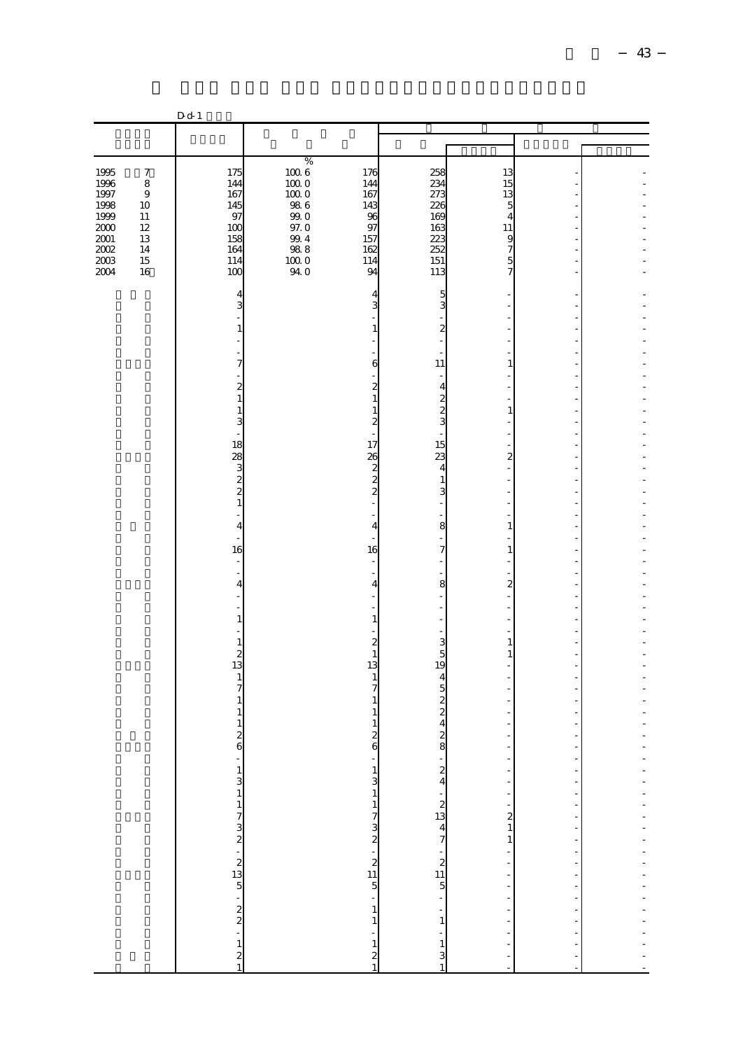|                                                                                    | $D d - 1$                                                                                                                                   |                                        |                                                                                         |                                                      |                                                             |                                          |  |
|------------------------------------------------------------------------------------|---------------------------------------------------------------------------------------------------------------------------------------------|----------------------------------------|-----------------------------------------------------------------------------------------|------------------------------------------------------|-------------------------------------------------------------|------------------------------------------|--|
|                                                                                    |                                                                                                                                             |                                        |                                                                                         |                                                      |                                                             |                                          |  |
|                                                                                    |                                                                                                                                             |                                        |                                                                                         |                                                      |                                                             |                                          |  |
| 1995<br>$\boldsymbol{7}$<br>1996<br>$\,$ 8 $\,$<br>1997<br>$\,9$                   | 175<br>144<br>167                                                                                                                           | %<br>$100\ 6$<br>$100\;0$<br>$100\;0$  | 176<br>144<br>167                                                                       | 258<br>234<br>273                                    | 13<br>15<br>13                                              |                                          |  |
| 1998<br>10<br>1999<br>$11\,$<br>2000<br>$12\,$<br>$2001\,$<br>13<br>$2002\,$<br>14 | 145<br>97<br>100<br>158<br>164                                                                                                              | $98\ 6$<br>99.0<br>97.0<br>99.4<br>988 | 143<br>96<br>97<br>157<br>162                                                           | 226<br>169<br>163<br>223<br>252                      | 5<br>4<br>11<br>9<br>7                                      |                                          |  |
| 2003<br>15<br>2004<br>16                                                           | 114<br>100<br>4                                                                                                                             | $10000$<br>94.0                        | 114<br>94<br>4                                                                          | 151<br>113<br>5                                      | 5<br>7                                                      |                                          |  |
|                                                                                    | 3<br>1                                                                                                                                      |                                        | 3<br>$\mathbf{1}$                                                                       | 3<br>$\boldsymbol{2}$                                |                                                             |                                          |  |
|                                                                                    | 7<br>$\boldsymbol{z}$                                                                                                                       |                                        | 6<br>$\boldsymbol{z}$                                                                   | 11<br>4                                              | 1                                                           |                                          |  |
|                                                                                    | $\mathbf{1}$<br>$\mathbf{1}$<br>3                                                                                                           |                                        | $\mathbf{1}$<br>$\mathbf{1}$<br>$\boldsymbol{z}$                                        | $\overline{\mathbf{c}}$<br>$\overline{c}$<br>3       | $\mathbf{1}$                                                |                                          |  |
|                                                                                    | 18<br>28<br>$\frac{3}{2}$                                                                                                                   |                                        | 17<br>26<br>$\boldsymbol{z}$<br>$\overline{\mathcal{L}}$                                | 15<br>23<br>4<br>1                                   | $\overline{a}$                                              |                                          |  |
|                                                                                    | $\mathbf{1}$<br>$\overline{4}$                                                                                                              |                                        | $\overline{\mathcal{L}}$<br>$\overline{4}$                                              | 3<br>8                                               | $\mathbf{1}$                                                |                                          |  |
|                                                                                    | 16<br>4                                                                                                                                     |                                        | 16<br>$\overline{4}$                                                                    | 7<br>8                                               | $\mathbf{1}$<br>$\overline{a}$                              |                                          |  |
|                                                                                    | $1\,$                                                                                                                                       |                                        | $1\,$                                                                                   |                                                      |                                                             |                                          |  |
|                                                                                    | $\mathbf{1}$<br>$\begin{array}{c} 2 \\ 13 \end{array}$<br>$\,1\,$                                                                           |                                        | $\boldsymbol{z}$<br>$\mathbf{1}$<br>13<br>$\,1\,$                                       | 3<br>5<br>19<br>4                                    | $\mathbf{1}$<br>$\mathbf{1}$                                |                                          |  |
|                                                                                    | $\overline{7}$<br>1<br>1<br>1                                                                                                               |                                        | $\overline{7}$<br>1<br>$\mathbf{1}$<br>$\mathbf{1}$                                     | 5<br>$\overline{\mathcal{Z}}$<br>$\overline{c}$<br>4 |                                                             |                                          |  |
|                                                                                    | $\frac{2}{6}$                                                                                                                               |                                        | $\boldsymbol{2}$<br>$\epsilon$                                                          | $\boldsymbol{z}$<br>8<br>$\frac{2}{4}$               | Ĭ.                                                          | ÷,                                       |  |
|                                                                                    |                                                                                                                                             |                                        | $\begin{array}{c} 1 \\ 3 \\ 1 \end{array}$                                              | $\begin{array}{c} 2 \\ 2 \\ 4 \\ 7 \end{array}$      | Ĭ.<br>÷<br>l,<br>$\frac{2}{1}$                              | ÷<br>f<br>$\overline{\phantom{a}}$       |  |
|                                                                                    |                                                                                                                                             |                                        | $\frac{1}{7}$ $\frac{1}{5}$ $\frac{1}{15}$ $\frac{1}{15}$ $\frac{1}{15}$ $\frac{1}{15}$ |                                                      | $\,1$<br>$\frac{1}{1}$                                      | $\frac{1}{2}$<br>$\frac{1}{2}$           |  |
|                                                                                    |                                                                                                                                             |                                        |                                                                                         | $\begin{array}{c}\n 2 \\  11 \\  5\n \end{array}$    | $\overline{a}$<br>$\overline{\phantom{a}}$<br>$\frac{1}{2}$ | $\overline{\phantom{a}}$<br>÷<br>÷<br>l, |  |
|                                                                                    | $\frac{1}{3}$ $\frac{3}{1}$ $\frac{1}{7}$ $\frac{7}{3}$ $\frac{2}{2}$ $\frac{1}{2}$ $\frac{2}{3}$ $\frac{2}{5}$ $\frac{2}{2}$ $\frac{2}{1}$ |                                        | $\begin{array}{c} 1 \\ -1 \\ 2 \\ 1 \end{array}$                                        | $\,1\,$<br>$\,1\,$<br>3<br>$\mathbf{1}$              | $\ddot{\phantom{a}}$<br>ŕ<br>$\frac{1}{2}$                  | f<br>÷<br>$\frac{1}{2}$                  |  |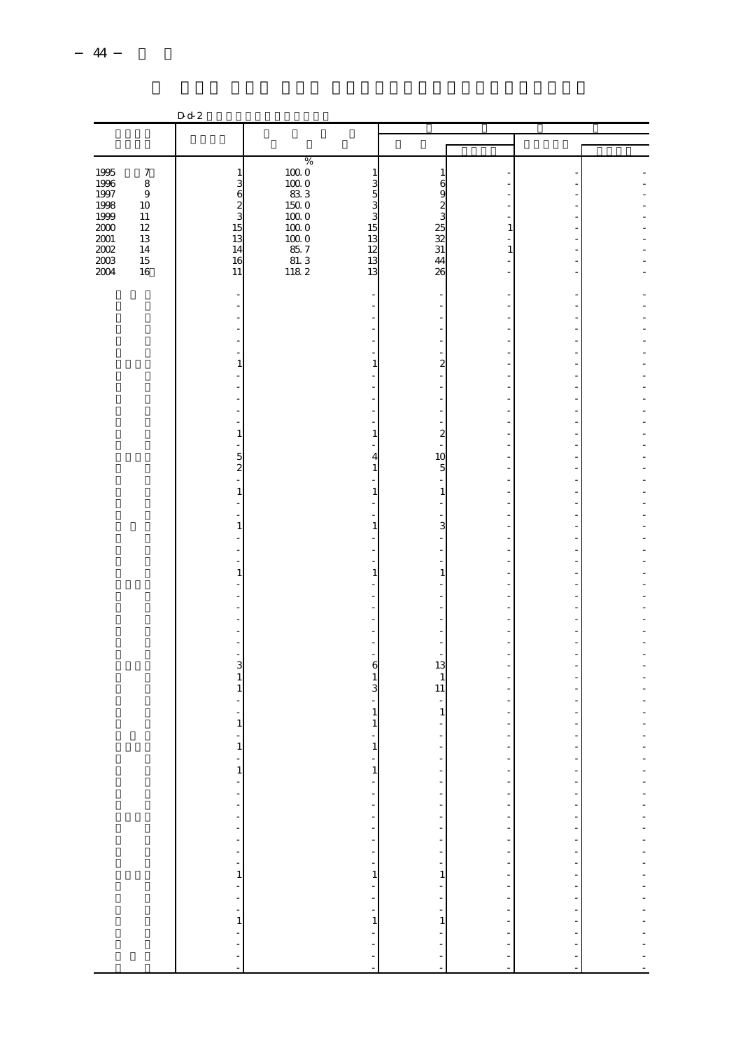|                                                  |                                                           | D d 2                                        |                                                         |                                                                                                                   |                                                                                                                                  |                                                      |                                                                              |  |
|--------------------------------------------------|-----------------------------------------------------------|----------------------------------------------|---------------------------------------------------------|-------------------------------------------------------------------------------------------------------------------|----------------------------------------------------------------------------------------------------------------------------------|------------------------------------------------------|------------------------------------------------------------------------------|--|
|                                                  |                                                           |                                              |                                                         |                                                                                                                   |                                                                                                                                  |                                                      |                                                                              |  |
|                                                  |                                                           |                                              |                                                         |                                                                                                                   |                                                                                                                                  |                                                      |                                                                              |  |
| 1995<br>1996<br>1997<br>1998<br>1999             | $\boldsymbol{7}$<br>$\overline{8}$<br>$9$<br>10<br>$11\,$ | $\mathbf{1}$                                 | $\%$<br>$10000$<br>$833$<br>$1500$<br>$100$<br>$100\;0$ | 1<br>3<br>5<br>3<br>3                                                                                             | 1<br>6<br>$\frac{9}{3}$                                                                                                          |                                                      |                                                                              |  |
| $\frac{2000}{2001}$<br>2002<br>$\frac{200}{200}$ | $12\,$<br>13<br>$14\,$<br>$15\,$<br>16                    | 14<br>16<br>11                               | $100\;0$<br>$100\;0$<br>85.7<br>$81.3$<br>118 2         | 15<br>13<br>12<br>13<br>13                                                                                        | 25<br>32<br>31<br>44<br>26                                                                                                       | $\mathbf{1}$<br>$\mathbf{1}$                         |                                                                              |  |
|                                                  |                                                           |                                              |                                                         |                                                                                                                   |                                                                                                                                  |                                                      |                                                                              |  |
|                                                  |                                                           | 1                                            |                                                         | 1                                                                                                                 | $\overline{\mathbf{z}}$                                                                                                          |                                                      |                                                                              |  |
|                                                  |                                                           | $\,1\,$<br>$\frac{5}{2}$                     |                                                         | 1<br>4<br>1                                                                                                       | $\boldsymbol{z}$<br>10<br>$\mathbf 5$                                                                                            |                                                      |                                                                              |  |
|                                                  |                                                           | $\mathbf{1}$<br>$\,1\,$                      |                                                         | 1<br>1                                                                                                            | $\mathbf{1}$<br>3                                                                                                                |                                                      |                                                                              |  |
|                                                  |                                                           | $\mathbf{1}$                                 |                                                         | 1                                                                                                                 | $\mathbf{1}$                                                                                                                     |                                                      |                                                                              |  |
|                                                  |                                                           | 3                                            |                                                         | 6                                                                                                                 | 13                                                                                                                               |                                                      |                                                                              |  |
|                                                  |                                                           | $\mathbf{1}$<br>$\mathbf{1}$<br>$\mathbf{1}$ |                                                         | $\mathbf{1}$<br>3<br>1                                                                                            | 1<br>11<br>1                                                                                                                     |                                                      |                                                                              |  |
|                                                  |                                                           | $\mathbf{1}$                                 |                                                         | 1<br>$\,1\,$<br>Î,                                                                                                | $\overline{a}$<br>$\frac{1}{2}$                                                                                                  | $\overline{a}$<br>$\overline{a}$<br>$\overline{a}$   | $\overline{\phantom{a}}$<br>÷,<br>÷                                          |  |
|                                                  |                                                           | <b>.</b>                                     |                                                         | f<br>$\overline{\phantom{a}}$<br>$\begin{array}{c} \n\cdot \\ \cdot \\ \cdot \\ \cdot \\ \cdot \\ 1\n\end{array}$ | ÷,<br>$\overline{\phantom{a}}$<br>$\begin{array}{c} \frac{1}{2} & \frac{1}{2} \\ \frac{1}{2} & \frac{1}{2} \\ 1 & 1 \end{array}$ | $\overline{\phantom{a}}$<br>$\overline{\phantom{a}}$ | $\overline{\phantom{a}}$<br>$\overline{\phantom{0}}$<br>Ť.<br>÷,<br>÷,<br>÷, |  |
|                                                  |                                                           |                                              |                                                         | $\frac{1}{2}$<br>$\mathbf{1}$                                                                                     | $\frac{1}{2}$<br>$\,1\,$                                                                                                         | $\frac{1}{2}$                                        | $\frac{1}{2}$<br>$\overline{\phantom{a}}$<br>$\frac{1}{2}$                   |  |
|                                                  |                                                           |                                              |                                                         | $\frac{1}{2}$                                                                                                     |                                                                                                                                  | $\overline{a}$<br>$\overline{\phantom{a}}$           | $\overline{\phantom{a}}$                                                     |  |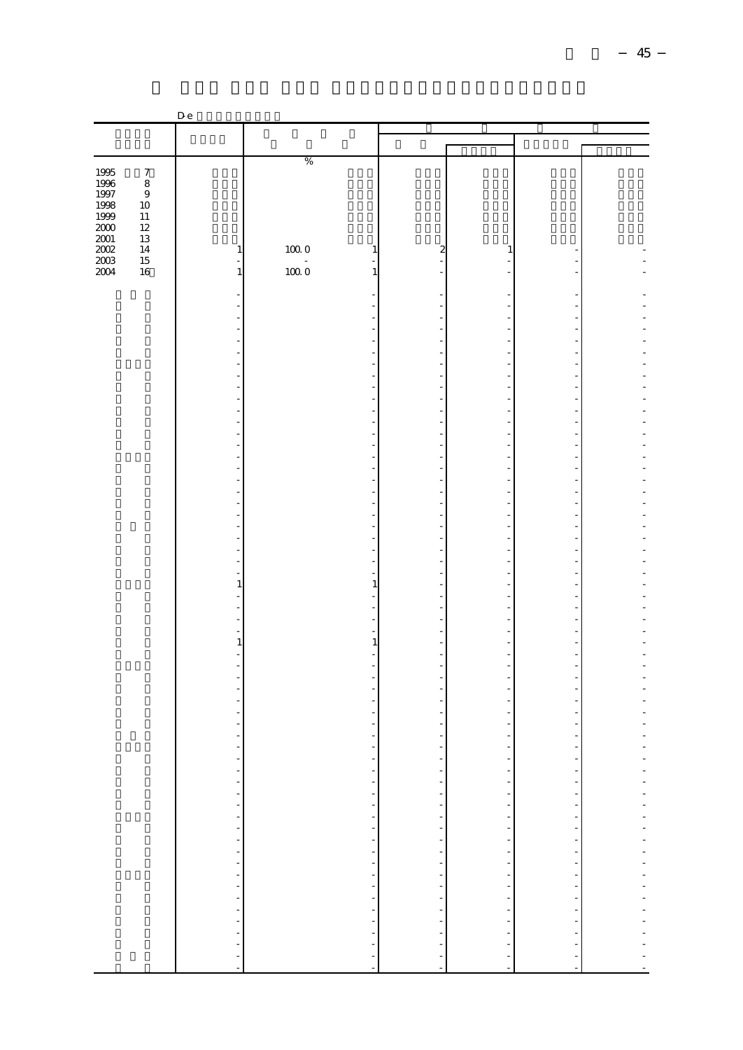|                                                                      |                                                         | ${\bf D}$ e                  |                                |                         |                                                   |                                                                              |  |
|----------------------------------------------------------------------|---------------------------------------------------------|------------------------------|--------------------------------|-------------------------|---------------------------------------------------|------------------------------------------------------------------------------|--|
|                                                                      |                                                         |                              |                                |                         |                                                   |                                                                              |  |
|                                                                      |                                                         |                              |                                |                         |                                                   |                                                                              |  |
|                                                                      |                                                         |                              | $\%$                           |                         |                                                   |                                                                              |  |
| 1995<br>1996<br>1997<br>1998<br>1999<br>2000<br>2002<br>2002<br>2003 | $^7_{\ 8}$<br>$\,9$<br>$10\,$<br>$11\,$<br>$12\,$<br>13 |                              |                                |                         |                                                   |                                                                              |  |
|                                                                      | $14\,$                                                  | $\mathbf{1}$                 | $100\;0$<br>1                  | $\boldsymbol{z}$        | 1                                                 |                                                                              |  |
|                                                                      | 15                                                      |                              |                                |                         |                                                   |                                                                              |  |
|                                                                      | 16                                                      | $\mathbf{1}$                 | 1000<br>1                      |                         |                                                   |                                                                              |  |
|                                                                      |                                                         |                              |                                |                         |                                                   |                                                                              |  |
|                                                                      |                                                         |                              |                                |                         |                                                   |                                                                              |  |
|                                                                      |                                                         |                              |                                |                         |                                                   |                                                                              |  |
|                                                                      |                                                         |                              |                                |                         |                                                   |                                                                              |  |
|                                                                      |                                                         |                              |                                |                         |                                                   |                                                                              |  |
|                                                                      |                                                         |                              |                                |                         |                                                   |                                                                              |  |
|                                                                      |                                                         |                              |                                |                         |                                                   |                                                                              |  |
|                                                                      |                                                         |                              |                                |                         |                                                   |                                                                              |  |
|                                                                      |                                                         |                              |                                |                         |                                                   |                                                                              |  |
|                                                                      |                                                         |                              |                                |                         |                                                   |                                                                              |  |
|                                                                      |                                                         |                              |                                |                         |                                                   |                                                                              |  |
|                                                                      |                                                         |                              |                                |                         |                                                   |                                                                              |  |
|                                                                      |                                                         |                              |                                |                         |                                                   |                                                                              |  |
|                                                                      |                                                         |                              |                                |                         |                                                   |                                                                              |  |
|                                                                      |                                                         |                              |                                |                         |                                                   |                                                                              |  |
|                                                                      |                                                         |                              |                                |                         |                                                   |                                                                              |  |
|                                                                      |                                                         |                              |                                |                         |                                                   |                                                                              |  |
|                                                                      |                                                         |                              |                                |                         |                                                   |                                                                              |  |
|                                                                      |                                                         |                              |                                |                         |                                                   |                                                                              |  |
|                                                                      |                                                         |                              |                                |                         |                                                   |                                                                              |  |
|                                                                      |                                                         |                              |                                |                         |                                                   |                                                                              |  |
|                                                                      |                                                         | 1                            | 1                              |                         |                                                   | $\overline{\phantom{a}}$                                                     |  |
|                                                                      |                                                         |                              |                                |                         |                                                   |                                                                              |  |
|                                                                      |                                                         |                              |                                |                         |                                                   |                                                                              |  |
|                                                                      |                                                         |                              |                                |                         |                                                   |                                                                              |  |
|                                                                      |                                                         | $\,1\,$                      | 1                              |                         |                                                   |                                                                              |  |
|                                                                      |                                                         |                              |                                |                         |                                                   |                                                                              |  |
|                                                                      |                                                         |                              |                                |                         |                                                   |                                                                              |  |
|                                                                      |                                                         |                              |                                |                         |                                                   |                                                                              |  |
|                                                                      |                                                         |                              |                                |                         |                                                   |                                                                              |  |
|                                                                      |                                                         |                              |                                |                         |                                                   |                                                                              |  |
|                                                                      |                                                         |                              |                                |                         |                                                   |                                                                              |  |
|                                                                      |                                                         |                              |                                |                         |                                                   |                                                                              |  |
|                                                                      |                                                         |                              |                                | f                       |                                                   |                                                                              |  |
|                                                                      |                                                         |                              | ÷,<br>$\overline{\phantom{0}}$ | $\frac{1}{2}$           | $\frac{1}{2}$                                     | f<br>$\overline{\phantom{a}}$                                                |  |
|                                                                      |                                                         |                              |                                |                         |                                                   | Ť,                                                                           |  |
|                                                                      |                                                         |                              |                                |                         |                                                   | $\frac{1}{2}$                                                                |  |
|                                                                      |                                                         |                              |                                |                         |                                                   |                                                                              |  |
|                                                                      |                                                         |                              |                                |                         |                                                   | $\label{eq:3.1} \begin{array}{cccccccccc} 1 & 1 & 1 & 1 & 1 & 1 \end{array}$ |  |
|                                                                      |                                                         |                              |                                |                         |                                                   |                                                                              |  |
|                                                                      |                                                         |                              |                                |                         |                                                   |                                                                              |  |
|                                                                      |                                                         |                              |                                |                         |                                                   |                                                                              |  |
|                                                                      |                                                         |                              |                                |                         |                                                   |                                                                              |  |
|                                                                      |                                                         |                              |                                |                         |                                                   |                                                                              |  |
|                                                                      |                                                         |                              |                                |                         |                                                   |                                                                              |  |
|                                                                      |                                                         |                              |                                |                         |                                                   |                                                                              |  |
|                                                                      |                                                         | 医单位的 医单位的 医单位的 医单位的 医单位的 医单位 | 医单位的 医单位的 医单位的 医单位的 医血         | 医单位分支 医单位 医单位的 医单位的 医血管 | a componente de la componente de la componente de |                                                                              |  |
|                                                                      |                                                         |                              |                                |                         |                                                   |                                                                              |  |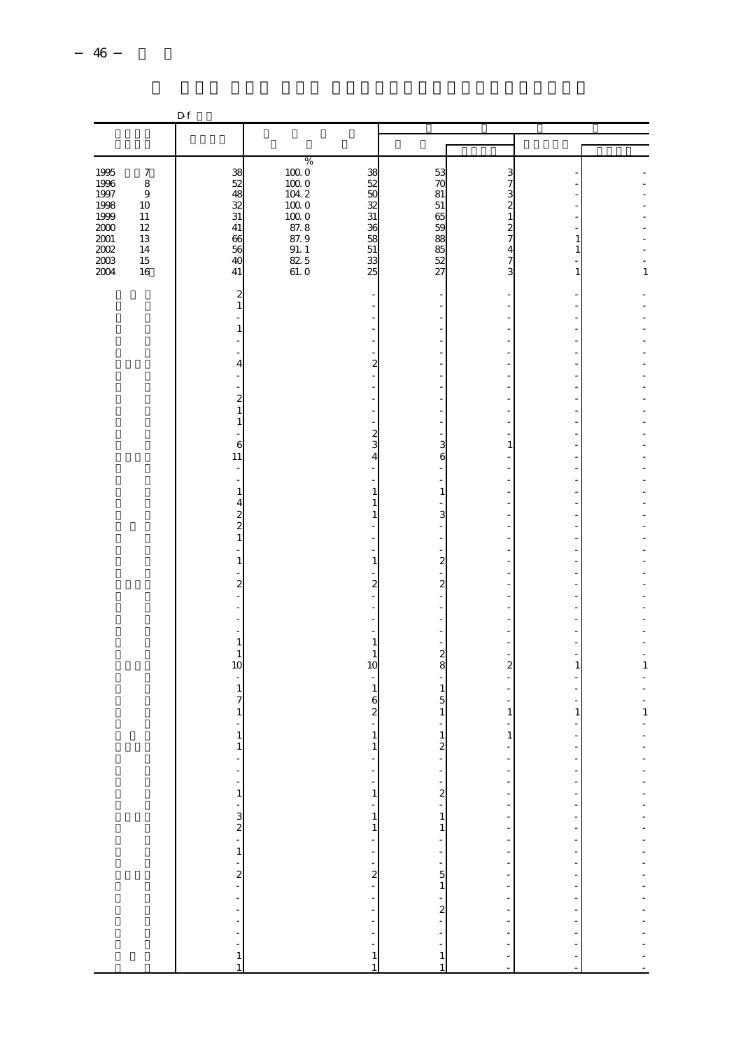| $\%$<br>$10000$<br>$1000$<br>$1042$<br>1995<br>1996<br>1997<br>$\boldsymbol{7}$<br>$\begin{array}{c} 38 \\ 52 \end{array}$<br>38<br>$\frac{53}{70}$<br>$\begin{array}{c}\n 3 \\  7 \\  2 \\  1\n \end{array}$<br>$\bf 8$<br>52<br>$rac{48}{32}$<br>31<br>$\frac{50}{32}$<br>$9$<br>1998<br>$100\;0$<br>$51\,$<br>10<br>$100\;0$<br>31<br>1999<br>65<br>$11\,$<br>87.8<br>$\frac{2}{7}$<br>$\frac{200}{200}$<br>41<br>36<br>59<br>88<br>$12\,$<br>13<br>66<br>87.9<br>58<br>$\,1\,$<br>$2002\,$<br>56<br>51<br>85<br>52<br>$\overline{\mathbf{4}}$<br>$91. \ 1$<br>14<br>$\,1$<br>$2003\,$<br>40<br>$\frac{82}{61}$ . 0<br>33<br>$\frac{7}{3}$<br>$15\,$<br>2004<br>16<br>41<br>27<br>1<br>25<br>1<br>2<br>$\mathbf{1}$<br>$\mathbf{1}$<br>$\overline{2}$<br>$\overline{4}$<br>$\boldsymbol{z}$<br>$\mathbf{1}$<br>$\mathbf{1}$<br>$\boldsymbol{2}$<br>Ē,<br>6<br>3<br>3<br>1<br>11<br>6<br>4<br>$\overline{\phantom{a}}$<br>$\,1\,$<br>$\mathbf{1}$<br>1<br>4<br>1<br>$\begin{array}{c} 2 \\ 2 \\ 1 \end{array}$<br>3<br>1<br>$\overline{\mathbf{c}}$<br>$\mathbf{1}$<br>$\mathbf{1}$<br>$\overline{\mathbf{c}}$<br>$\overline{a}$<br>$\overline{\mathbf{c}}$<br>$\,1\,$<br>$\mathbf{1}$<br>$\overline{\mathcal{Z}}$<br>$\mathbf{1}$<br>1<br>8<br>1<br>10<br>10<br>$\overline{a}$<br>1<br>$\frac{1}{7}$<br>$\mathbf{1}$<br>$\mathbf{1}$<br>5<br>6<br>$\mathbf 1$<br>$1\,$<br>2<br>$\,1$<br>1<br>$\mathbf{1}$<br>$\,1\,$<br>$\mathbf{1}$<br>$\mathbf{1}$<br>$\mathbf{1}$<br>$\mathbf{1}$<br>$\overline{a}$<br>$\mathbf{1}$<br>-----------------------<br>$\frac{1}{2}$<br>$\overline{\phantom{m}}$<br>f<br>$\overline{\phantom{a}}$<br>$\frac{1}{2}$<br>÷<br>÷<br>$\,1\,$<br>÷,<br>l,<br>÷,<br>÷,<br>$\frac{1}{\sqrt{2}}$<br>$\mathbf{1}$<br>$\mathbf{1}$<br>f,<br>$\overline{\phantom{a}}$<br>$\,1$<br>$\,1\,$<br>医单位 医单位的<br>$\frac{1}{1}$<br>$\frac{1}{2}$<br>$\frac{1}{2}$<br>$\overline{a}$<br>$\mathbf 1$<br>f<br>$\overline{\phantom{a}}$<br>$\mathbf{1}$ |  | $\mathbf D$ f |  |  |  |
|-----------------------------------------------------------------------------------------------------------------------------------------------------------------------------------------------------------------------------------------------------------------------------------------------------------------------------------------------------------------------------------------------------------------------------------------------------------------------------------------------------------------------------------------------------------------------------------------------------------------------------------------------------------------------------------------------------------------------------------------------------------------------------------------------------------------------------------------------------------------------------------------------------------------------------------------------------------------------------------------------------------------------------------------------------------------------------------------------------------------------------------------------------------------------------------------------------------------------------------------------------------------------------------------------------------------------------------------------------------------------------------------------------------------------------------------------------------------------------------------------------------------------------------------------------------------------------------------------------------------------------------------------------------------------------------------------------------------------------------------------------------------------------------------------------------------------------------------------------------------------------------------------------------------------------------------------------------------|--|---------------|--|--|--|
|                                                                                                                                                                                                                                                                                                                                                                                                                                                                                                                                                                                                                                                                                                                                                                                                                                                                                                                                                                                                                                                                                                                                                                                                                                                                                                                                                                                                                                                                                                                                                                                                                                                                                                                                                                                                                                                                                                                                                                 |  |               |  |  |  |
|                                                                                                                                                                                                                                                                                                                                                                                                                                                                                                                                                                                                                                                                                                                                                                                                                                                                                                                                                                                                                                                                                                                                                                                                                                                                                                                                                                                                                                                                                                                                                                                                                                                                                                                                                                                                                                                                                                                                                                 |  |               |  |  |  |
|                                                                                                                                                                                                                                                                                                                                                                                                                                                                                                                                                                                                                                                                                                                                                                                                                                                                                                                                                                                                                                                                                                                                                                                                                                                                                                                                                                                                                                                                                                                                                                                                                                                                                                                                                                                                                                                                                                                                                                 |  |               |  |  |  |
|                                                                                                                                                                                                                                                                                                                                                                                                                                                                                                                                                                                                                                                                                                                                                                                                                                                                                                                                                                                                                                                                                                                                                                                                                                                                                                                                                                                                                                                                                                                                                                                                                                                                                                                                                                                                                                                                                                                                                                 |  |               |  |  |  |
|                                                                                                                                                                                                                                                                                                                                                                                                                                                                                                                                                                                                                                                                                                                                                                                                                                                                                                                                                                                                                                                                                                                                                                                                                                                                                                                                                                                                                                                                                                                                                                                                                                                                                                                                                                                                                                                                                                                                                                 |  |               |  |  |  |
|                                                                                                                                                                                                                                                                                                                                                                                                                                                                                                                                                                                                                                                                                                                                                                                                                                                                                                                                                                                                                                                                                                                                                                                                                                                                                                                                                                                                                                                                                                                                                                                                                                                                                                                                                                                                                                                                                                                                                                 |  |               |  |  |  |
|                                                                                                                                                                                                                                                                                                                                                                                                                                                                                                                                                                                                                                                                                                                                                                                                                                                                                                                                                                                                                                                                                                                                                                                                                                                                                                                                                                                                                                                                                                                                                                                                                                                                                                                                                                                                                                                                                                                                                                 |  |               |  |  |  |
|                                                                                                                                                                                                                                                                                                                                                                                                                                                                                                                                                                                                                                                                                                                                                                                                                                                                                                                                                                                                                                                                                                                                                                                                                                                                                                                                                                                                                                                                                                                                                                                                                                                                                                                                                                                                                                                                                                                                                                 |  |               |  |  |  |
|                                                                                                                                                                                                                                                                                                                                                                                                                                                                                                                                                                                                                                                                                                                                                                                                                                                                                                                                                                                                                                                                                                                                                                                                                                                                                                                                                                                                                                                                                                                                                                                                                                                                                                                                                                                                                                                                                                                                                                 |  |               |  |  |  |
|                                                                                                                                                                                                                                                                                                                                                                                                                                                                                                                                                                                                                                                                                                                                                                                                                                                                                                                                                                                                                                                                                                                                                                                                                                                                                                                                                                                                                                                                                                                                                                                                                                                                                                                                                                                                                                                                                                                                                                 |  |               |  |  |  |
|                                                                                                                                                                                                                                                                                                                                                                                                                                                                                                                                                                                                                                                                                                                                                                                                                                                                                                                                                                                                                                                                                                                                                                                                                                                                                                                                                                                                                                                                                                                                                                                                                                                                                                                                                                                                                                                                                                                                                                 |  |               |  |  |  |
|                                                                                                                                                                                                                                                                                                                                                                                                                                                                                                                                                                                                                                                                                                                                                                                                                                                                                                                                                                                                                                                                                                                                                                                                                                                                                                                                                                                                                                                                                                                                                                                                                                                                                                                                                                                                                                                                                                                                                                 |  |               |  |  |  |
|                                                                                                                                                                                                                                                                                                                                                                                                                                                                                                                                                                                                                                                                                                                                                                                                                                                                                                                                                                                                                                                                                                                                                                                                                                                                                                                                                                                                                                                                                                                                                                                                                                                                                                                                                                                                                                                                                                                                                                 |  |               |  |  |  |
|                                                                                                                                                                                                                                                                                                                                                                                                                                                                                                                                                                                                                                                                                                                                                                                                                                                                                                                                                                                                                                                                                                                                                                                                                                                                                                                                                                                                                                                                                                                                                                                                                                                                                                                                                                                                                                                                                                                                                                 |  |               |  |  |  |
|                                                                                                                                                                                                                                                                                                                                                                                                                                                                                                                                                                                                                                                                                                                                                                                                                                                                                                                                                                                                                                                                                                                                                                                                                                                                                                                                                                                                                                                                                                                                                                                                                                                                                                                                                                                                                                                                                                                                                                 |  |               |  |  |  |
|                                                                                                                                                                                                                                                                                                                                                                                                                                                                                                                                                                                                                                                                                                                                                                                                                                                                                                                                                                                                                                                                                                                                                                                                                                                                                                                                                                                                                                                                                                                                                                                                                                                                                                                                                                                                                                                                                                                                                                 |  |               |  |  |  |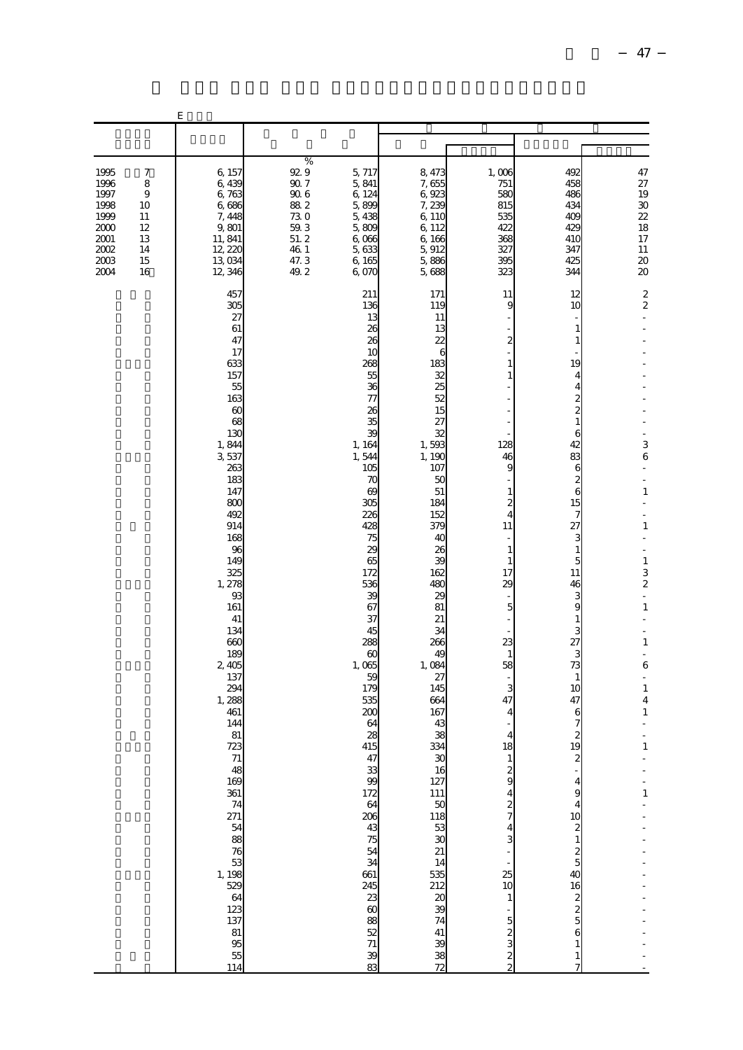|                                                                              |                                                                      | Ε                                                                                                                                                                                                                                                                                                                                                                                               |                                                                                       |                                                                                                                                                                                                                                                                                                                                                                                                                                                             |                                                                                                                                                                                                                                                                                                                                                                                                 |                                                                                                                                                                                                                                                                                                                                                                      |                                                                                                                                                                                                                                                                                                                                                                                               |                                                                                                                                                                                                                                                                                                                          |
|------------------------------------------------------------------------------|----------------------------------------------------------------------|-------------------------------------------------------------------------------------------------------------------------------------------------------------------------------------------------------------------------------------------------------------------------------------------------------------------------------------------------------------------------------------------------|---------------------------------------------------------------------------------------|-------------------------------------------------------------------------------------------------------------------------------------------------------------------------------------------------------------------------------------------------------------------------------------------------------------------------------------------------------------------------------------------------------------------------------------------------------------|-------------------------------------------------------------------------------------------------------------------------------------------------------------------------------------------------------------------------------------------------------------------------------------------------------------------------------------------------------------------------------------------------|----------------------------------------------------------------------------------------------------------------------------------------------------------------------------------------------------------------------------------------------------------------------------------------------------------------------------------------------------------------------|-----------------------------------------------------------------------------------------------------------------------------------------------------------------------------------------------------------------------------------------------------------------------------------------------------------------------------------------------------------------------------------------------|--------------------------------------------------------------------------------------------------------------------------------------------------------------------------------------------------------------------------------------------------------------------------------------------------------------------------|
|                                                                              |                                                                      |                                                                                                                                                                                                                                                                                                                                                                                                 |                                                                                       |                                                                                                                                                                                                                                                                                                                                                                                                                                                             |                                                                                                                                                                                                                                                                                                                                                                                                 |                                                                                                                                                                                                                                                                                                                                                                      |                                                                                                                                                                                                                                                                                                                                                                                               |                                                                                                                                                                                                                                                                                                                          |
| 1995<br>1996<br>1997<br>1998<br>1999<br>2000<br>2001<br>2002<br>2003<br>2004 | $\boldsymbol{7}$<br>8<br>9<br>10<br>11<br>12<br>13<br>14<br>15<br>16 | 6, 157<br>6,439<br>6,763<br>6,686<br>7,448<br>9,801<br>11, 841<br>12, 220<br>13,034<br>12, 346                                                                                                                                                                                                                                                                                                  | $\%$<br>92.9<br>$90.7\,$<br>906<br>882<br>730<br>59.3<br>51.2<br>46.1<br>47.3<br>49.2 | 5, 717<br>5,841<br>6, 124<br>5,899<br>5,438<br>5,809<br>6,066<br>5,633<br>6,165<br>6,070                                                                                                                                                                                                                                                                                                                                                                    | 8,473<br>7,655<br>6,923<br>7,239<br>6, 11C<br>6, 112<br>6,166<br>5,912<br>5,886<br>5,688                                                                                                                                                                                                                                                                                                        | 1,006<br>751<br>580<br>815<br>535<br>422<br>368<br>327<br>395<br>323                                                                                                                                                                                                                                                                                                 | 492<br>458<br>486<br>434<br>40 <sup>c</sup><br>429<br>41C<br>347<br>425<br>344                                                                                                                                                                                                                                                                                                                | 47<br>$27\,$<br>19<br>30<br>$\frac{22}{18}$<br>17<br>11<br>20<br>20                                                                                                                                                                                                                                                      |
|                                                                              |                                                                      | 457<br>305<br>27<br>61<br>47<br>17<br>633<br>157<br>55<br>163<br>60<br>68<br>130<br>1,844<br>3,537<br>263<br>183<br>147<br>800<br>492<br>914<br>168<br>96<br>149<br>325<br>1, 278<br>93<br>161<br>41<br>134<br>660<br>189<br>2,405<br>137<br>294<br>1,288<br>461<br>144<br>81<br>723<br>$\frac{71}{48}$<br>169<br>$\begin{array}{c}\n 137 \\  81\n \end{array}$<br>95<br>$\overline{55}$<br>114 |                                                                                       | 211<br>136<br>13<br>26<br>26<br>1 <sup>C</sup><br>268<br>55<br>36<br>77<br>26<br>35<br>39<br>1, 164<br>1,544<br>105<br>70<br>69<br>305<br>226<br>428<br>75<br>$\infty$<br>65<br>172<br>536<br>39<br>67<br>37<br>45<br>288<br>$\alpha$<br>1,065<br>59<br>179<br>535<br>200<br>64<br>28<br>415<br>$4\tilde{ }$<br>33<br>99<br>172<br>64<br>206<br>43<br>75<br>54<br>34<br>661<br>245<br>$\begin{array}{c} 23 \\ 60 \end{array}$<br>88<br>52<br>71<br>39<br>83 | 171<br>119<br>11<br>13<br>22<br>6<br>183<br>32<br>25<br>52<br>15<br>27<br>32<br>1,593<br>1, 190<br>107<br>5C<br>51<br>184<br>152<br>379<br>40<br>26<br>æ<br>162<br>480<br>29<br>81<br>21<br>34<br>266<br>49<br>1,084<br>27<br>145<br>664<br>167<br>43<br>38<br>334<br>$\mathfrak{X}$<br>16<br>127<br>$\frac{11}{30}$<br>33<br>21<br>21<br>14<br>535<br>212<br>23<br>24<br>$\frac{41}{39}$<br>72 | 11<br>9<br>$\boldsymbol{2}$<br>1<br>1<br>128<br>46<br>9<br>$\mathbf{1}$<br>$\overline{\mathbf{c}}$<br>$\overline{4}$<br>11<br>$\mathbf{1}$<br>$\mathbf{1}$<br>17<br>29<br>5<br>23<br>$\mathbf{1}$<br>58<br>3<br>47<br>4<br>4<br>18<br>$\frac{2}{9}$<br>4<br>$\frac{2}{7}$<br>4<br>3<br>25<br>10<br>$\mathbf{1}$<br>5<br>$\begin{array}{c}\n2 \\ 2 \\ 2\n\end{array}$ | 12<br>10<br>1<br>1<br>19<br>4<br>4<br>$\boldsymbol{z}$<br>$\boldsymbol{z}$<br>$\mathbf{1}$<br>6<br>42<br>83<br>6<br>2<br>6<br>15<br>7<br>27<br>3<br>1<br>5<br>11<br>46<br>3<br>9<br>$\mathbf{1}$<br>3<br>27<br>3<br>73<br>$\mathbf{1}$<br>10<br>47<br>6<br>7<br>2<br>19<br>4<br>9<br>4<br>10<br>$\overline{\mathbf{c}}$<br>$\,1\,$<br>$rac{2}{5}$<br>40<br>16<br>$\frac{2}{5}$<br>6<br>1<br>1 | $\overline{\mathbf{c}}$<br>$\boldsymbol{2}$<br>$\blacksquare$<br>÷,<br>÷,<br>3<br>6<br>÷,<br>L,<br>$\,1\,$<br>$\mathbf{1}$<br>$\blacksquare$<br>÷,<br>$\,1\,$<br>$\frac{3}{2}$<br>$\overline{a}$<br>$\,1$<br>L,<br>$\mathbf{1}$<br>÷,<br>6<br>÷,<br>$\,1\,$<br>$\overline{4}$<br>$\,1\,$<br>÷<br>$\mathbf{1}$<br>$\,1\,$ |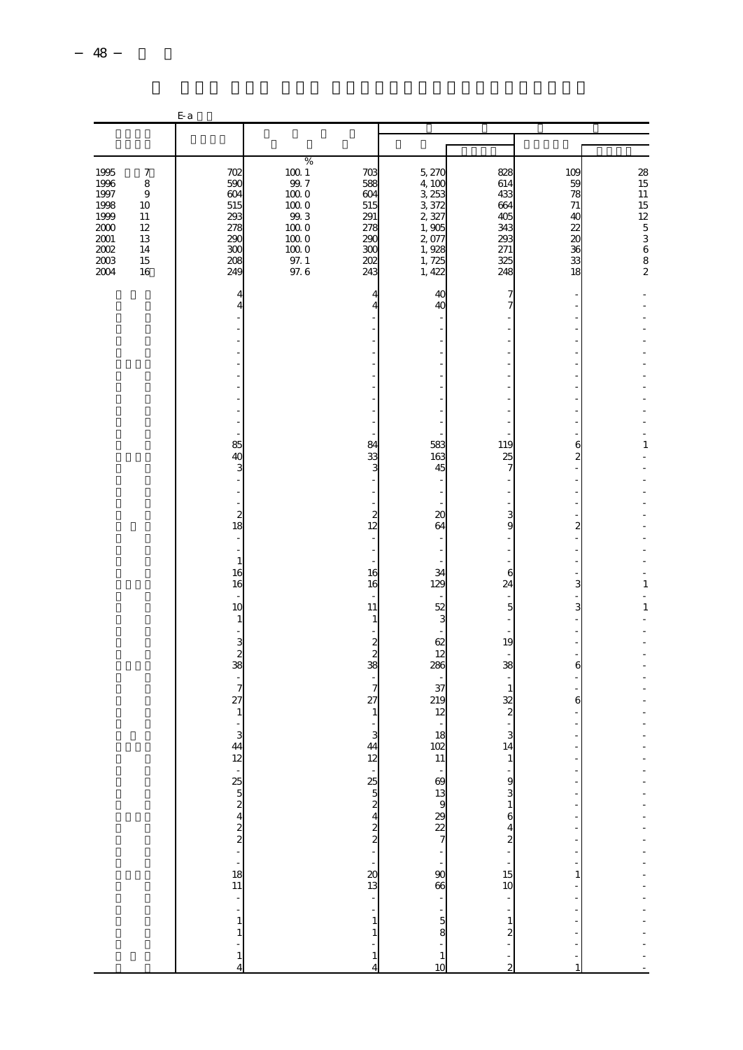|                                                                                          |                                                                                | E-a                                                                |                                                                                                         |                                                                    |                                                                                           |                                                                    |                                                                            |                                                                                                           |
|------------------------------------------------------------------------------------------|--------------------------------------------------------------------------------|--------------------------------------------------------------------|---------------------------------------------------------------------------------------------------------|--------------------------------------------------------------------|-------------------------------------------------------------------------------------------|--------------------------------------------------------------------|----------------------------------------------------------------------------|-----------------------------------------------------------------------------------------------------------|
|                                                                                          |                                                                                |                                                                    |                                                                                                         |                                                                    |                                                                                           |                                                                    |                                                                            |                                                                                                           |
|                                                                                          |                                                                                |                                                                    | $\%$                                                                                                    |                                                                    |                                                                                           |                                                                    |                                                                            |                                                                                                           |
| 1995<br>1996<br>1997<br>1998<br>1999<br>2000<br>$2001\,$<br>$2002\,$<br>$2003\,$<br>2004 | $\boldsymbol{7}$<br>$\,8\,$<br>$\,9$<br>10<br>11<br>12<br>13<br>14<br>15<br>16 | 702<br>590<br>604<br>515<br>293<br>278<br>290<br>300<br>208<br>249 | $100\,$ $1$<br>$99.7\,$<br>$100\;0$<br>$100\;0$<br>99.3<br>$1000$<br>1000<br>$\frac{100}{97.1}$<br>97.6 | 703<br>588<br>604<br>515<br>291<br>278<br>290<br>ЗΟС<br>202<br>243 | 5, 270<br>4,100<br>3, 253<br>3,372<br>2,327<br>1,905<br>2,077<br>1,928<br>1,725<br>1, 422 | 828<br>614<br>433<br>664<br>405<br>343<br>293<br>271<br>325<br>248 | 109<br>59<br>78<br>71<br>40<br>22<br>$\boldsymbol{\chi}$<br>36<br>33<br>18 | $\begin{array}{c} 28 \\ 15 \end{array}$<br>$\begin{array}{c} 11 \\ 15 \end{array}$<br>$12\ 5\ 3\ 6\ 8\ 2$ |
|                                                                                          |                                                                                | 4<br>4                                                             |                                                                                                         |                                                                    | 40<br>40                                                                                  | 7<br>7                                                             |                                                                            |                                                                                                           |
|                                                                                          |                                                                                |                                                                    |                                                                                                         |                                                                    |                                                                                           |                                                                    |                                                                            |                                                                                                           |
|                                                                                          |                                                                                |                                                                    |                                                                                                         |                                                                    |                                                                                           |                                                                    |                                                                            |                                                                                                           |
|                                                                                          |                                                                                |                                                                    |                                                                                                         |                                                                    |                                                                                           |                                                                    |                                                                            |                                                                                                           |
|                                                                                          |                                                                                |                                                                    |                                                                                                         |                                                                    |                                                                                           |                                                                    |                                                                            |                                                                                                           |
|                                                                                          |                                                                                |                                                                    |                                                                                                         |                                                                    |                                                                                           |                                                                    |                                                                            |                                                                                                           |
|                                                                                          |                                                                                |                                                                    |                                                                                                         |                                                                    |                                                                                           |                                                                    |                                                                            | ÷                                                                                                         |
|                                                                                          |                                                                                | 85<br>40                                                           |                                                                                                         | 84<br>33                                                           | 583<br>163                                                                                | 119<br>25                                                          | $\frac{6}{2}$                                                              | 1                                                                                                         |
|                                                                                          |                                                                                | 3                                                                  |                                                                                                         | S                                                                  | 45                                                                                        |                                                                    |                                                                            |                                                                                                           |
|                                                                                          |                                                                                |                                                                    |                                                                                                         |                                                                    |                                                                                           |                                                                    |                                                                            |                                                                                                           |
|                                                                                          |                                                                                | $\boldsymbol{z}$<br>18                                             |                                                                                                         | 2<br>12                                                            | 20<br>64                                                                                  | 3<br>9                                                             | $\boldsymbol{z}$                                                           |                                                                                                           |
|                                                                                          |                                                                                |                                                                    |                                                                                                         |                                                                    |                                                                                           |                                                                    |                                                                            |                                                                                                           |
|                                                                                          |                                                                                | $\mathbf{1}$<br>16<br>16                                           |                                                                                                         | 16<br>16                                                           | 34<br>129                                                                                 | 6<br>24                                                            | 3                                                                          | ÷<br>1                                                                                                    |
|                                                                                          |                                                                                | 10                                                                 |                                                                                                         | 11                                                                 | 52                                                                                        | 5                                                                  | 3                                                                          | $\overline{a}$<br>$\mathbf{1}$                                                                            |
|                                                                                          |                                                                                | $\mathbf{1}$                                                       |                                                                                                         | 1                                                                  | 3                                                                                         |                                                                    |                                                                            |                                                                                                           |
|                                                                                          |                                                                                | 3<br>$\overline{\mathcal{L}}$                                      |                                                                                                         | $\boldsymbol{z}$<br>$\overline{2}$                                 | 62<br>12                                                                                  | 19                                                                 |                                                                            |                                                                                                           |
|                                                                                          |                                                                                | 38<br>$\ddot{\phantom{1}}$                                         |                                                                                                         | 38                                                                 | 286                                                                                       | 38                                                                 | 6<br>÷,                                                                    |                                                                                                           |
|                                                                                          |                                                                                | $\overline{7}$<br>27                                               |                                                                                                         | 7<br>27                                                            | 37<br>219                                                                                 | $\mathbf{1}$<br>32                                                 | $\epsilon$                                                                 |                                                                                                           |
|                                                                                          |                                                                                | $\mathbf{1}$                                                       |                                                                                                         | 1                                                                  | 12                                                                                        | 2                                                                  |                                                                            |                                                                                                           |
|                                                                                          |                                                                                | 3<br>44                                                            |                                                                                                         | З<br>44                                                            | 18<br>102                                                                                 | 3<br>14                                                            |                                                                            |                                                                                                           |
|                                                                                          |                                                                                |                                                                    |                                                                                                         | $12 \text{ }$                                                      | $\frac{11}{7}$ $\frac{19}{2}$                                                             |                                                                    |                                                                            |                                                                                                           |
|                                                                                          |                                                                                |                                                                    |                                                                                                         | $\frac{1}{25}$                                                     |                                                                                           | 9<br>3                                                             |                                                                            |                                                                                                           |
|                                                                                          |                                                                                |                                                                    |                                                                                                         | $\frac{2}{4}$                                                      |                                                                                           | $\frac{1}{6}$<br>42                                                |                                                                            |                                                                                                           |
|                                                                                          |                                                                                |                                                                    |                                                                                                         | $\frac{2}{2}$                                                      |                                                                                           |                                                                    |                                                                            |                                                                                                           |
|                                                                                          |                                                                                |                                                                    |                                                                                                         |                                                                    |                                                                                           | $\overline{a}$                                                     |                                                                            |                                                                                                           |
|                                                                                          |                                                                                | 12 - 13 10 12 12 13 14 15 16 17                                    |                                                                                                         | $\frac{20}{13}$                                                    | .<br>88                                                                                   | $\frac{15}{10}$                                                    | 1                                                                          |                                                                                                           |
|                                                                                          |                                                                                | $\frac{1}{2}$                                                      |                                                                                                         |                                                                    |                                                                                           |                                                                    |                                                                            |                                                                                                           |
|                                                                                          |                                                                                | $\begin{smallmatrix}1\\1\end{smallmatrix}$                         |                                                                                                         | $\mathbf{1}$<br>1                                                  | $\frac{1}{2}$ or $\frac{1}{2}$                                                            | $\frac{1}{2}$                                                      |                                                                            |                                                                                                           |
|                                                                                          |                                                                                | -<br>$\,1\,$                                                       |                                                                                                         | $\mathbf{1}$                                                       | $\,1\,$                                                                                   |                                                                    |                                                                            |                                                                                                           |
|                                                                                          |                                                                                | $\overline{4}$                                                     |                                                                                                         | 4                                                                  | 10                                                                                        | $\overline{2}$                                                     | $\mathbf{1}$                                                               |                                                                                                           |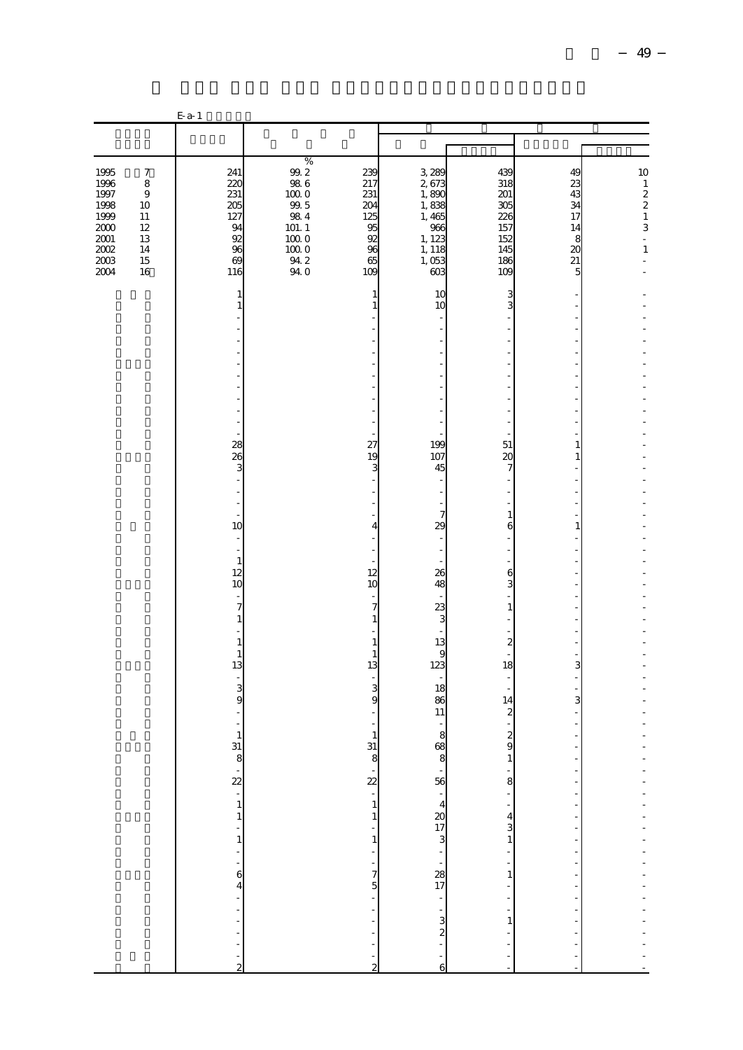|                                                                                  |                                                                          | $E-a-1$                                                                                                               |                                                                                                                                           |                                                                                                 |                                                                                      |                                                                                          |                                                         |                                                                                         |
|----------------------------------------------------------------------------------|--------------------------------------------------------------------------|-----------------------------------------------------------------------------------------------------------------------|-------------------------------------------------------------------------------------------------------------------------------------------|-------------------------------------------------------------------------------------------------|--------------------------------------------------------------------------------------|------------------------------------------------------------------------------------------|---------------------------------------------------------|-----------------------------------------------------------------------------------------|
|                                                                                  |                                                                          |                                                                                                                       |                                                                                                                                           |                                                                                                 |                                                                                      |                                                                                          |                                                         |                                                                                         |
| 1995<br>1996<br>1997<br>1998<br>1999<br>2000<br>$2001\,$<br>2002<br>2003<br>2004 | 7<br>$\,8\,$<br>$\overline{9}$<br>10<br>11<br>12<br>13<br>14<br>15<br>16 | 241<br>220<br>231<br>205<br>127<br>94<br>92<br>96<br>69<br>116                                                        | $\%$<br>$\frac{99.2}{98.6}$<br>$\begin{array}{c} 100.0 \\ 99.5 \end{array}$<br>$98\ 4$<br>$101.1$<br>1000<br>$100\;0$<br>$94.2$<br>$94.0$ | 239<br>217<br>231<br>204<br>125<br>95<br>92<br>96<br>65<br>109                                  | 3,289<br>2,673<br>1,890<br>1,838<br>1,465<br>966<br>1, 123<br>1, 118<br>1,053<br>603 | 439<br>318<br>201<br>305<br>226<br>157<br>152<br>145<br>186<br>109                       | 49<br>23<br>43<br>34<br>17<br>14<br>8<br>20<br>21<br>5  | $\begin{array}{c} 10 \\ 1 \\ 2 \\ 2 \\ 1 \end{array}$<br>3<br>$\blacksquare$<br>$\,1\,$ |
|                                                                                  |                                                                          | 1<br>$\mathbf{1}$                                                                                                     |                                                                                                                                           | 1<br>$\mathbf{1}$                                                                               | 10<br>10<br>-                                                                        | З<br>3<br>÷,                                                                             | ÷<br>÷                                                  |                                                                                         |
|                                                                                  |                                                                          | 28<br>26<br>3<br>10<br>$\mathbf{1}$<br>12<br>10                                                                       |                                                                                                                                           | 27<br>19<br>3<br>4<br>12<br>10                                                                  | 199<br>107<br>45<br>$\overline{7}$<br>$\infty$<br>J.<br>26<br>48                     | 51<br>20<br>$\overline{7}$<br>$\mathbf{1}$<br>6<br>6<br>3                                | $\mathbf{1}$<br>$\mathbf{1}$<br>ł,<br>$\mathbf{1}$<br>- |                                                                                         |
|                                                                                  |                                                                          | 7<br>$\mathbf{1}$<br>$\,1\,$<br>$\,1\,$<br>13<br>3<br>9                                                               |                                                                                                                                           | $\overline{7}$<br>$\mathbf{1}$<br>1<br>$\mathbf{1}$<br>13<br>$\overline{\phantom{a}}$<br>3<br>9 | 23<br>3<br>13<br>g<br>123<br>18<br>86<br>$11\,$                                      | $\mathbf{1}$<br>$\boldsymbol{z}$<br>L,<br>18<br>14<br>$\boldsymbol{z}$                   | ÷<br>÷,<br>3<br>÷<br>3                                  |                                                                                         |
|                                                                                  |                                                                          | $1\,$<br>31<br>ŏ<br>$\frac{1}{2}$ $\frac{1}{1}$<br>$\frac{1}{1}$<br>÷,<br>$\begin{array}{c} -1 \\ 6 \\ 4 \end{array}$ |                                                                                                                                           | $\mathbf{1}$<br>31<br>ŏ<br>÷<br>$22 - 1$ 1 - 1 - - 7 5 - - - -                                  | 8<br>68<br>8 5 $420$<br>$173$ $-32$<br>$27$<br>$-32$<br>$17$<br>$-32$                | $\boldsymbol{z}$<br>9<br>1<br>$\frac{1}{8}$<br>$-431$<br>$-1$                            | f<br>÷,<br>-<br>$\frac{1}{2}$                           | -------------------                                                                     |
|                                                                                  |                                                                          | $\frac{1}{1}$<br>$\frac{1}{1}$<br>$\frac{1}{2}$                                                                       |                                                                                                                                           | $\frac{1}{2}$                                                                                   |                                                                                      | $\begin{array}{c} \n\cdot \\ \cdot \\ \cdot \\ \cdot \\ 1\n\end{array}$<br>$\frac{1}{2}$ | $\frac{1}{1}$<br>$\frac{1}{2}$                          |                                                                                         |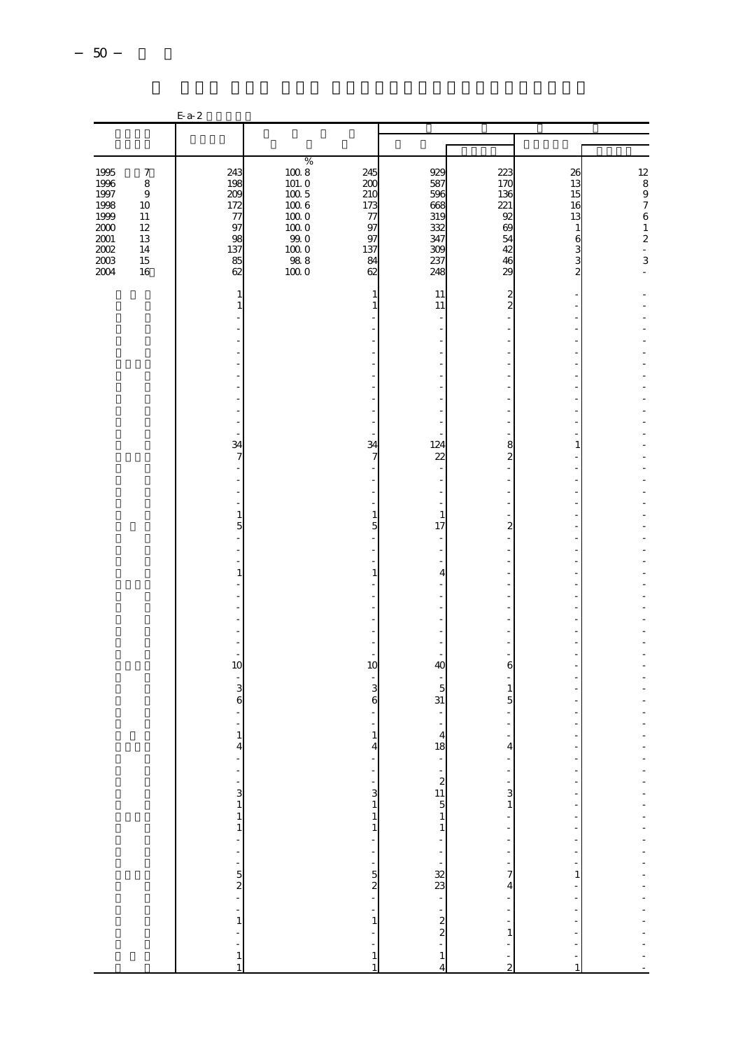|                                                                                              |                                                                        | $E-a-2$                                                                                                                                                                                                                                                                                                             |                                                                                                      |                                                               |                                                                    |                                                                   |                                                                               |                                                                                                                                                       |
|----------------------------------------------------------------------------------------------|------------------------------------------------------------------------|---------------------------------------------------------------------------------------------------------------------------------------------------------------------------------------------------------------------------------------------------------------------------------------------------------------------|------------------------------------------------------------------------------------------------------|---------------------------------------------------------------|--------------------------------------------------------------------|-------------------------------------------------------------------|-------------------------------------------------------------------------------|-------------------------------------------------------------------------------------------------------------------------------------------------------|
|                                                                                              |                                                                        |                                                                                                                                                                                                                                                                                                                     |                                                                                                      |                                                               |                                                                    |                                                                   |                                                                               |                                                                                                                                                       |
|                                                                                              |                                                                        |                                                                                                                                                                                                                                                                                                                     | $\%$                                                                                                 |                                                               |                                                                    |                                                                   |                                                                               |                                                                                                                                                       |
| 1995<br>1996<br>1997<br>1998<br>1999<br>$2000\,$<br>$2001\,$<br>$2002\,$<br>$2003\,$<br>2004 | $\boldsymbol{7}$<br>8<br>$9$<br>10<br>11<br>12<br>13<br>14<br>15<br>16 | 243<br>198<br>209<br>172<br>$77\,$<br>97<br>98<br>137<br>85<br>62                                                                                                                                                                                                                                                   | $100\ 8$<br>101.0<br>$100\ 5$<br>$100\ 6$<br>$100\;0$<br>$100\;0$<br>99.0<br>$100\ 0$<br>988<br>1000 | 245<br>200<br>210<br>173<br>77<br>97<br>97<br>137<br>84<br>62 | 929<br>587<br>596<br>668<br>319<br>332<br>347<br>309<br>237<br>248 | 223<br>170<br>136<br>221<br>92<br>69<br>54<br>42<br>46<br>29      | 26<br>13<br>15<br>16<br>13<br>$\mathbf{1}$<br>$6\n3\n3\n3\n$                  | $\begin{array}{c} 12 \\ 8 \\ 9 \\ 7 \end{array}$<br>$\,$ 6 $\,$<br>$\,$ 1 $\,$<br>$\boldsymbol{z}$<br>$\overline{\phantom{a}}$<br>3<br>$\overline{a}$ |
|                                                                                              |                                                                        | 1<br>$\mathbf{1}$                                                                                                                                                                                                                                                                                                   |                                                                                                      | 1<br>1                                                        | 11<br>11                                                           | $\overline{\mathbf{c}}$<br>$\overline{c}$                         |                                                                               |                                                                                                                                                       |
|                                                                                              |                                                                        | $\ddot{\phantom{1}}$                                                                                                                                                                                                                                                                                                |                                                                                                      | ÷                                                             |                                                                    |                                                                   | ÷                                                                             |                                                                                                                                                       |
|                                                                                              |                                                                        | 34<br>$\overline{7}$<br>$\overline{\phantom{a}}$                                                                                                                                                                                                                                                                    |                                                                                                      | 34<br>7                                                       | 124<br>22                                                          | 8<br>$\overline{a}$                                               | 1                                                                             |                                                                                                                                                       |
|                                                                                              |                                                                        | $\,1\,$<br>$\overline{5}$<br>$\,1\,$                                                                                                                                                                                                                                                                                |                                                                                                      | $\mathbf{1}$<br>5<br>$\mathbf{1}$                             | $\mathbf{1}$<br>17<br>4                                            | 2                                                                 |                                                                               |                                                                                                                                                       |
|                                                                                              |                                                                        |                                                                                                                                                                                                                                                                                                                     |                                                                                                      |                                                               |                                                                    |                                                                   |                                                                               |                                                                                                                                                       |
|                                                                                              |                                                                        | $\overline{a}$<br>10<br>$\overline{\phantom{a}}$<br>3<br>6                                                                                                                                                                                                                                                          |                                                                                                      | ÷<br>10<br>3<br>6                                             | 40<br>5<br>$31\,$                                                  | 6<br>1<br>5                                                       |                                                                               |                                                                                                                                                       |
|                                                                                              |                                                                        | $\,1\,$<br>$\overline{\mathbf{A}}$                                                                                                                                                                                                                                                                                  |                                                                                                      | $1\,$<br>$\overline{4}$<br>f                                  | $\overline{4}$<br>18                                               | $\overline{4}$                                                    | ÷                                                                             |                                                                                                                                                       |
|                                                                                              |                                                                        |                                                                                                                                                                                                                                                                                                                     |                                                                                                      | $\begin{array}{c} -1 \\ 3 \\ 1 \end{array}$<br>$\,1\,$        | $\begin{array}{c}\n2 \\ 11 \\ 5\n\end{array}$<br>$\mathbf{1}$      | ł,<br>$\frac{3}{1}$<br>$\overline{\phantom{a}}$<br>$\frac{1}{2}$  | $\overline{\phantom{a}}$<br>$\overline{\phantom{a}}$<br>$\overline{a}$        |                                                                                                                                                       |
|                                                                                              |                                                                        | $\frac{1}{2}$ $\frac{1}{2}$ $\frac{1}{2}$ $\frac{1}{2}$ $\frac{1}{2}$ $\frac{1}{2}$ $\frac{1}{2}$ $\frac{1}{2}$ $\frac{1}{2}$ $\frac{1}{2}$ $\frac{1}{2}$ $\frac{1}{2}$ $\frac{1}{2}$ $\frac{1}{2}$ $\frac{1}{2}$ $\frac{1}{2}$ $\frac{1}{2}$ $\frac{1}{2}$ $\frac{1}{2}$ $\frac{1}{2}$ $\frac{1}{2}$ $\frac{1}{2}$ |                                                                                                      | $= 52 - 1$                                                    | $\begin{array}{c} 32 \\ 23 \\ 2 \end{array}$                       | $\begin{bmatrix} 1 \\ 2 \\ 3 \\ 4 \end{bmatrix}$<br>$\frac{1}{2}$ | f<br>$\overline{a}$<br>$\mathbf{1}$<br>ł,<br>$\overline{a}$<br>$\overline{a}$ | --------------------                                                                                                                                  |
|                                                                                              |                                                                        | $\overline{1}$                                                                                                                                                                                                                                                                                                      |                                                                                                      |                                                               | $\,$ 1 $\,$<br>Ź                                                   | $\mathbf{1}$<br>$\frac{1}{2}$                                     | ÷<br>l,<br>$\overline{a}$                                                     |                                                                                                                                                       |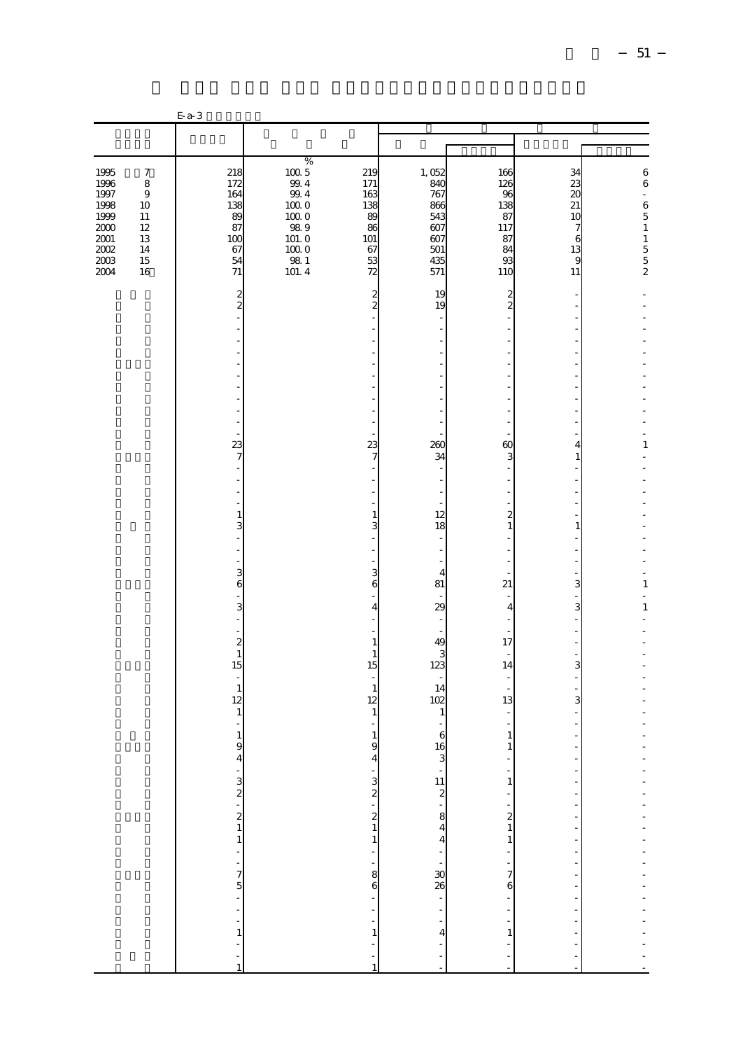|                                                                                  |                                                               | $E-a-3$                                                       |                                                                                                 |                                                               |                                                                      |                                                                                                                 |                                                       |                                                 |
|----------------------------------------------------------------------------------|---------------------------------------------------------------|---------------------------------------------------------------|-------------------------------------------------------------------------------------------------|---------------------------------------------------------------|----------------------------------------------------------------------|-----------------------------------------------------------------------------------------------------------------|-------------------------------------------------------|-------------------------------------------------|
|                                                                                  |                                                               |                                                               |                                                                                                 |                                                               |                                                                      |                                                                                                                 |                                                       |                                                 |
| 1995<br>1996<br>1997<br>1998<br>1999<br>2000<br>2001<br>$2002\,$<br>2003<br>2004 | 7<br>$\,8\,$<br>$9$<br>10<br>11<br>12<br>13<br>14<br>15<br>16 | 218<br>172<br>164<br>138<br>89<br>87<br>100<br>67<br>54<br>71 | %<br>1005<br>99.4<br>99.4<br>$1000$<br>1000<br>$98\ 9$<br>101.0<br>$100\;0$<br>$98\ 1$<br>101.4 | 219<br>171<br>163<br>138<br>89<br>86<br>101<br>67<br>53<br>72 | 1,052<br>840<br>767<br>866<br>543<br>607<br>607<br>501<br>435<br>571 | 166<br>126<br>96<br>138<br>87<br>117<br>87<br>84<br>93<br>110                                                   | 34<br>23<br>20<br>21<br>10<br>7<br>6<br>13<br>9<br>11 | $^6_6$<br>L,<br>$6\over 5$<br>$\frac{1}{5}$ 5 2 |
|                                                                                  |                                                               | $\frac{2}{2}$                                                 |                                                                                                 | 2<br>$\overline{\mathcal{Z}}$                                 | 19<br>19                                                             | $\overline{\mathbf{c}}$<br>$\overline{c}$                                                                       | ,                                                     |                                                 |
|                                                                                  |                                                               | 23<br>$\overline{7}$<br>$\,1\,$<br>3                          |                                                                                                 | 23<br>$\overline{7}$<br>$\,1\,$<br>3                          | 260<br>34<br>Ĭ.<br>12<br>18                                          | 60<br>3<br>$\boldsymbol{2}$<br>$\mathbf{1}$                                                                     | ä,<br>4<br>$\mathbf{1}$<br>ä,<br>$\mathbf{1}$         | 1                                               |
|                                                                                  |                                                               | 3<br>6<br>3<br>$\boldsymbol{z}$<br>$\,1\,$                    |                                                                                                 | 3<br>6<br>4<br>$\mathbf{1}$<br>$\mathbf{1}$                   | 4<br>81<br>29<br>$\overline{\phantom{a}}$<br>49<br>3                 | 21<br>$\overline{4}$<br>17<br>÷,                                                                                | 3<br>3<br>÷,<br>÷,                                    | 1<br>$\,1\,$                                    |
|                                                                                  |                                                               | 15<br>÷<br>$\,1\,$<br>12<br>$\,1\,$<br>$\,1\,$<br>9<br>4      |                                                                                                 | 15<br>$\,1\,$<br>12<br>$\mathbf{1}$<br>1<br>9<br>4            | 123<br>14<br>102<br>$\mathbf{1}$<br>6<br>16                          | 14<br>13<br>1<br>$\mathbf{1}$<br>÷,<br>$\mathbf{1}$                                                             | 3<br>Î,<br>3<br>$\frac{1}{2}$                         |                                                 |
|                                                                                  |                                                               | $324 - 75 = 75$                                               |                                                                                                 |                                                               | ن 11 م م 4 م 38<br>4 م - 20 م 4 م - 30                               | $\begin{array}{c} \n\cdot \\ 2 \\ 1\n\end{array}$<br>$\,1$<br>$\begin{array}{c} -1 \\ -1 \\ 7 \\ 6 \end{array}$ | $\frac{1}{2}$<br>- - - - - - - - - - - - - - -        | - - - - - - - - - - - - - - - - - - -           |
|                                                                                  |                                                               | $\frac{1}{1}$                                                 |                                                                                                 |                                                               | $\ddot{\phantom{a}}$                                                 | $\frac{1}{2}$<br>$\,1\,$<br>$\ddot{\phantom{0}}$                                                                |                                                       |                                                 |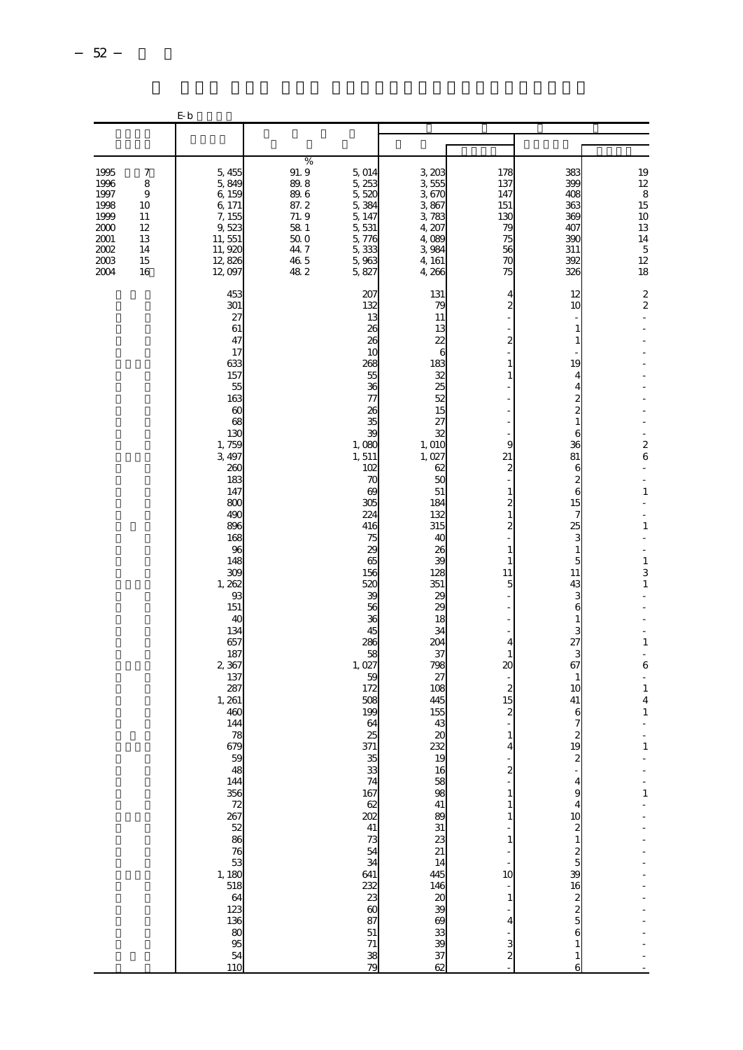|                                                                              |                                                       | E-b                                                                                                                                                                                                                                                                                                                          |                                                                                                   |                                                                                                                                                                                                                                                                                                                                                                                                                              |                                                                                                                                                                                                                                                                                                                                                                                                                |                                                                                                                                                                                                                                          |                                                                                                                                                                                                                                                                                                                                                                                                                                                                                  |                                                                                                                                                                                                                                                                                                                           |
|------------------------------------------------------------------------------|-------------------------------------------------------|------------------------------------------------------------------------------------------------------------------------------------------------------------------------------------------------------------------------------------------------------------------------------------------------------------------------------|---------------------------------------------------------------------------------------------------|------------------------------------------------------------------------------------------------------------------------------------------------------------------------------------------------------------------------------------------------------------------------------------------------------------------------------------------------------------------------------------------------------------------------------|----------------------------------------------------------------------------------------------------------------------------------------------------------------------------------------------------------------------------------------------------------------------------------------------------------------------------------------------------------------------------------------------------------------|------------------------------------------------------------------------------------------------------------------------------------------------------------------------------------------------------------------------------------------|----------------------------------------------------------------------------------------------------------------------------------------------------------------------------------------------------------------------------------------------------------------------------------------------------------------------------------------------------------------------------------------------------------------------------------------------------------------------------------|---------------------------------------------------------------------------------------------------------------------------------------------------------------------------------------------------------------------------------------------------------------------------------------------------------------------------|
|                                                                              |                                                       |                                                                                                                                                                                                                                                                                                                              |                                                                                                   |                                                                                                                                                                                                                                                                                                                                                                                                                              |                                                                                                                                                                                                                                                                                                                                                                                                                |                                                                                                                                                                                                                                          |                                                                                                                                                                                                                                                                                                                                                                                                                                                                                  |                                                                                                                                                                                                                                                                                                                           |
| 1995<br>1996<br>1997<br>1998<br>1999<br>2000<br>2001<br>2002<br>2003<br>2004 | 7<br>8<br>9<br>10<br>11<br>12<br>13<br>14<br>15<br>16 | 5, 455<br>5,849<br>6,159<br>6, 171<br>7,155<br>9,523<br>11, 551<br>11,920<br>12,826<br>12,097                                                                                                                                                                                                                                | $\%$<br>91.9<br>$89.8\,$<br>$89\,6$<br>87.2<br>71.9<br>58 1<br>$500$<br>44.7<br>$\frac{46}{48}$ 5 | 5,014<br>5, 253<br>5,520<br>5,384<br>5, 147<br>5,531<br>5,776<br>5,333<br>5,963<br>5,827                                                                                                                                                                                                                                                                                                                                     | 3,203<br>3,555<br>3,670<br>3,867<br>3,783<br>4, 207<br>4,089<br>3,984<br>4, 161<br>4,266                                                                                                                                                                                                                                                                                                                       | 178<br>137<br>147<br>151<br>130<br>79<br>75<br>56<br>70<br>75                                                                                                                                                                            | 383<br>39C<br>408<br>363<br>369<br>407<br>390<br>311<br>392<br>326                                                                                                                                                                                                                                                                                                                                                                                                               | 19<br>$12\,$<br>$\,$ 8 $\,$<br>15<br>10<br>13<br>14<br>$\overline{5}$<br>12<br>18                                                                                                                                                                                                                                         |
|                                                                              |                                                       | 453<br>301<br>27<br>61<br>47<br>17<br>633<br>157<br>55<br>163<br>60<br>68<br>130<br>1,759<br>3, 497<br>260<br>183<br>147<br>800<br>490<br>896<br>168<br>96<br>148<br>309<br>1, 262<br>93<br>151<br>40<br>134<br>657<br>187<br>2,367<br>137<br>287<br>1, 261<br>460<br>144<br>78<br>679<br>5S<br>48<br>$\overline{54}$<br>110 |                                                                                                   | 207<br>132<br>13<br>26<br>26<br>1 <sup>C</sup><br>268<br>55<br>36<br>77<br>26<br>35<br>39<br>1,080<br>1,511<br>102<br>70<br>69<br>305<br>224<br>416<br>75<br>29<br>65<br>156<br>520<br>39<br>56<br>36<br>45<br>286<br>58<br>1,027<br>59<br>172<br>508<br>199<br>64<br>25<br>371<br>35<br>33<br>$\overline{74}$<br>167<br>$rac{62}{202}$<br>41<br>73<br>54<br>34<br>641<br>232<br>23<br>60<br>87<br>$rac{51}{71}$<br>38<br>79 | 131<br>79<br>11<br>13<br>22<br>6<br>183<br>32<br>25<br>52<br>15<br>27<br>32<br>1,010<br>1,027<br>62<br>5C<br>51<br>184<br>132<br>315<br>40<br>26<br>æ<br>128<br>351<br>29<br>$\chi$<br>18<br>34<br>204<br>37<br>798<br>27<br>108<br>445<br>155<br>43<br>2C<br>232<br>1S<br>16<br>58<br>98<br>41<br>89<br>$\begin{array}{c} 31 \\ 23 \\ 21 \end{array}$<br>14<br>445<br>146<br>20<br>39<br>39<br>39<br>37<br>62 | 4<br>2<br>$\overline{c}$<br>1<br>1<br>9<br>21<br>2<br>1<br>2<br>1<br>2<br>1<br>1<br>11<br>5<br>4<br>1<br>20<br>$\mathbf{2}$<br>15<br>2<br>1<br>4<br>2<br>1<br>1<br>1<br>$\mathbf{1}$<br>10<br>$\mathbf{1}$<br>4<br>3<br>$\boldsymbol{z}$ | 12<br>10<br>$\mathbf{1}$<br>1<br>19<br>4<br>4<br>$\overline{\mathcal{Z}}$<br>$\overline{\mathcal{Z}}$<br>$\,1\,$<br>6<br>36<br>81<br>6<br>$\overline{\mathcal{Z}}$<br>6<br>15<br>7<br>25<br>3<br>$1\,$<br>5<br>11<br>43<br>3<br>6<br>1<br>3<br>27<br>3<br>67<br>1<br>10<br>41<br>6<br>7<br>2<br>19<br>$\overline{\mathcal{L}}$<br>$\mathbf{9}$<br>$\frac{4}{39}$ $\frac{1}{2}$ $\frac{1}{2}$ $\frac{1}{2}$ $\frac{1}{2}$<br>$\frac{16}{2}$ 2 2 5 6<br>$\,1$<br>$\mathbf{1}$<br>6 | $\overline{\mathbf{c}}$<br>$\overline{\mathcal{L}}$<br>$\blacksquare$<br>$\frac{1}{2}$<br>6<br>÷,<br>$\,1\,$<br>$\,1\,$<br>÷,<br>$\mathbf{1}$<br>3<br>$\mathbf{1}$<br>L,<br>÷,<br>$\,1\,$<br>$\blacksquare$<br>6<br>$\overline{\phantom{a}}$<br>$\,1\,$<br>$\overline{4}$<br>$\mathbf{1}$<br>$\mathbf{1}$<br>$\mathbf{1}$ |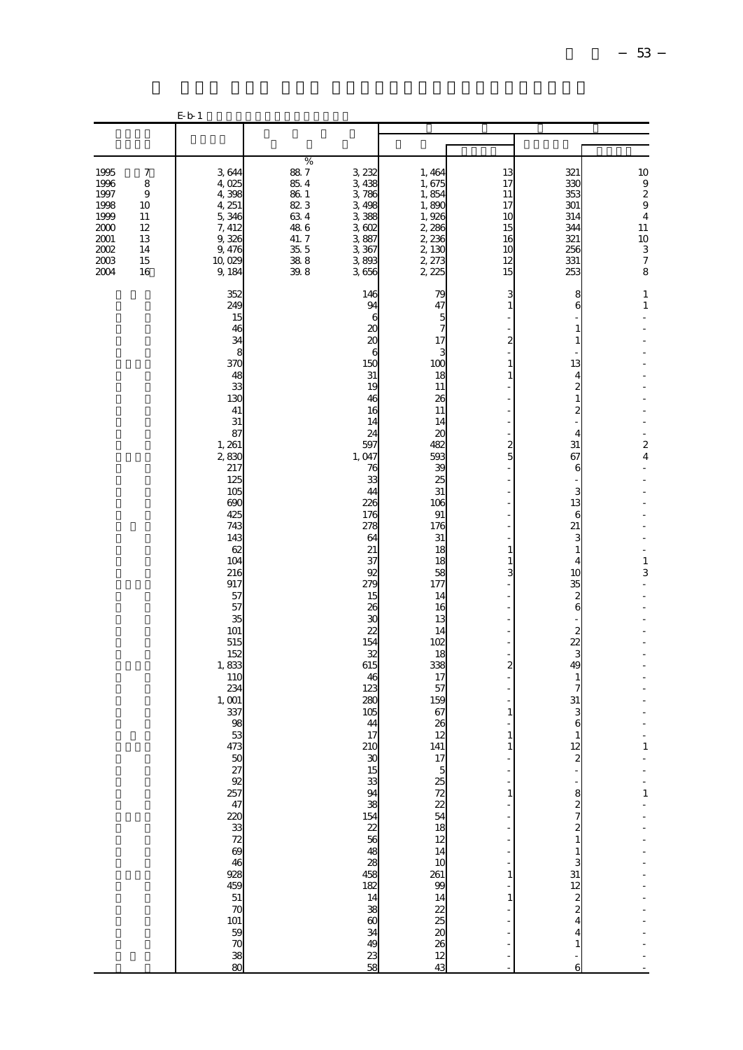|                                                                              |                                                       | $E-b-1$                                                                                                                                                                                                                                                                                                                                                                                         |                                                                                                                                                                                           |                                                                                                                                                                                                                                                                                                                                                                                                                                                                                                                                                                                                                                                                                |                                                                                                                                                                                    |                                                                                                                                                                                                                                                                                                                                                                                                                                                                                         |                                                                                                                                                                                                             |
|------------------------------------------------------------------------------|-------------------------------------------------------|-------------------------------------------------------------------------------------------------------------------------------------------------------------------------------------------------------------------------------------------------------------------------------------------------------------------------------------------------------------------------------------------------|-------------------------------------------------------------------------------------------------------------------------------------------------------------------------------------------|--------------------------------------------------------------------------------------------------------------------------------------------------------------------------------------------------------------------------------------------------------------------------------------------------------------------------------------------------------------------------------------------------------------------------------------------------------------------------------------------------------------------------------------------------------------------------------------------------------------------------------------------------------------------------------|------------------------------------------------------------------------------------------------------------------------------------------------------------------------------------|-----------------------------------------------------------------------------------------------------------------------------------------------------------------------------------------------------------------------------------------------------------------------------------------------------------------------------------------------------------------------------------------------------------------------------------------------------------------------------------------|-------------------------------------------------------------------------------------------------------------------------------------------------------------------------------------------------------------|
|                                                                              |                                                       |                                                                                                                                                                                                                                                                                                                                                                                                 |                                                                                                                                                                                           |                                                                                                                                                                                                                                                                                                                                                                                                                                                                                                                                                                                                                                                                                |                                                                                                                                                                                    |                                                                                                                                                                                                                                                                                                                                                                                                                                                                                         |                                                                                                                                                                                                             |
| 1995<br>1996<br>1997<br>1998<br>1999<br>2000<br>2001<br>2002<br>2003<br>2004 | 7<br>8<br>9<br>10<br>11<br>12<br>13<br>14<br>15<br>16 | 3,644<br>4,025<br>4,398<br>4, 251<br>5,346<br>7, 412<br>9,326<br>9,476<br>10,029<br>9,184                                                                                                                                                                                                                                                                                                       | $\%$<br>88.7<br>3, 232<br>3,438<br>85.4<br>86 1<br>3,786<br>82 3<br>3,498<br>634<br>3,388<br>$48\ 6$<br>3,602<br>41.7<br>3,887<br>$35\,$ $5\,$<br>3,367<br>38.8<br>3,893<br>39.8<br>3,656 | 1,464<br>1,675<br>1,854<br>1,890<br>1,926<br>2,286<br>2, 236<br>2,130<br>2, 273<br>2, 225                                                                                                                                                                                                                                                                                                                                                                                                                                                                                                                                                                                      | 13<br>17<br>11<br>17<br>10<br>15<br>16<br>10<br>12<br>15                                                                                                                           | 321<br>330<br>353<br>301<br>314<br>344<br>321<br>256<br>331<br>253                                                                                                                                                                                                                                                                                                                                                                                                                      | $\begin{array}{c} 10 \\ 9 \\ 2 \\ 9 \end{array}$<br>$\overline{4}$<br>11<br>10<br>$\frac{3}{7}$<br>8                                                                                                        |
|                                                                              |                                                       | 352<br>249<br>15<br>46<br>34<br>8<br>370<br>48<br>33<br>130<br>41<br>31<br>87<br>1, 261<br>2830<br>217<br>125<br>105<br>690<br>425<br>743<br>143<br>62<br>104<br>216<br>917<br>57<br>57<br>35<br>101<br>515<br>152<br>1,833<br>110<br>234<br>1,001<br>337<br>98<br>53<br>473<br>g ga da ci da ci ga ci ga ci ga ci ga ci ga ci ga ci ga ci ga ci ga ci ga ci ga ci ga ci ga ci ga ci ga ci ga c | 146<br>150<br>597<br>1,047<br>226<br>176<br>278<br>279<br>154<br>615<br>123<br>280<br>105<br>210<br>នៃស្ថិន និង និង ក្នុង និង មាន                                                         | 79<br>94<br>47<br>5<br>6<br>$\overline{7}$<br>$\alpha$<br>$\alpha$<br>17<br>6<br>3<br>100<br>31<br>18<br>19<br>11<br>26<br>46<br>16<br>11<br>14<br>14<br>24<br>$\alpha$<br>482<br>593<br>æ<br>76<br>33<br>25<br>31<br>44<br>106<br>91<br>176<br>31<br>64<br>21<br>18<br>37<br>18<br>92<br>58<br>177<br>14<br>15<br>26<br>16<br>30<br>13<br>22<br>14<br>102<br>32<br>18<br>338<br>46<br>17<br>57<br>159<br>67<br>44<br>26<br>17<br>12<br>141<br>$\begin{array}{c} 17 \\ 5 \end{array}$<br>$25$<br>$72$<br>$22$<br>$54$<br>$18$<br>$12$<br>$\frac{14}{10}$<br>261<br>99 14 22 25<br>20 26 20 26 12<br>$14 \cancel{38} \cancel{60}$<br>$34 \cancel{49} \cancel{23}$<br>$38$<br>43 | 3<br>1<br>$\overline{c}$<br>1<br>1<br>$\frac{2}{5}$<br>$\mathbf{1}$<br>$\mathbf{1}$<br>3<br>$\overline{\mathbf{c}}$<br>1<br>1<br>$\mathbf{1}$<br>$\mathbf{1}$<br>1<br>$\mathbf{1}$ | 8<br>6<br>$\mathbf{1}$<br>1<br>13<br>4<br>$\boldsymbol{z}$<br>$\mathbf{1}$<br>2<br>$\overline{4}$<br>31<br>67<br>6<br>3<br>13<br>6<br>21<br>3<br>$\mathbf{1}$<br>4<br>1 <sup>C</sup><br>35<br>$\boldsymbol{z}$<br>6<br>$\boldsymbol{2}$<br>22<br>3<br>49<br>$\mathbf{1}$<br>7<br>31<br>3<br>6<br>1<br>12<br>$\frac{1}{8}$<br>$\frac{2}{7}$<br>$\boldsymbol{z}$<br>$\mathbf{1}$<br>$\mathbf{1}$<br>$\frac{3}{2}$ $\frac{3}{2}$ $\frac{3}{2}$<br>$\overline{4}$<br>4<br>$\mathbf{1}$<br>6 | $\mathbf{1}$<br>$\,1\,$<br>$\qquad \qquad \blacksquare$<br>$\overline{\mathbf{c}}$<br>4<br>$\overline{\phantom{a}}$<br>÷,<br>$\,1\,$<br>3<br>$\overline{\phantom{0}}$<br>÷,<br>$\mathbf{1}$<br>$\mathbf{1}$ |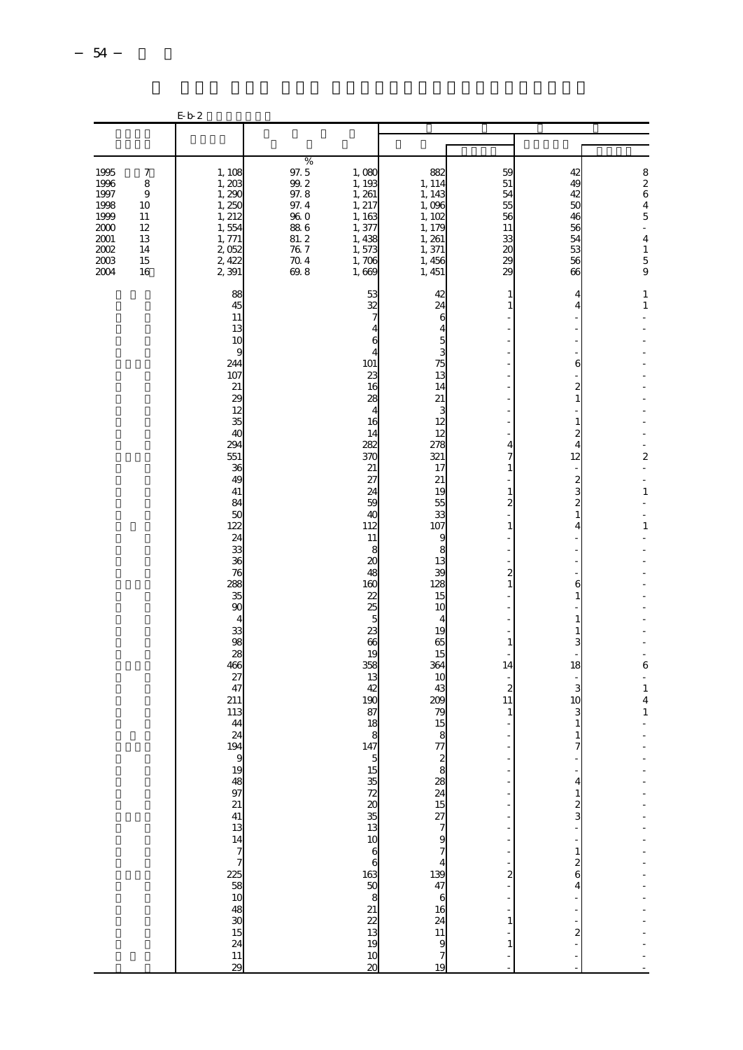|                                                                              |                                                                                     | $E-b2$                                                                                                                                                                                                                                                                                                               |                                                                                                             |                                                                                                                                                                                                                                                                                                                                                                                                                                     |                                                                                                                                                                                                                                                                                                                                                                                                                                               |                                                                                                                                                             |                                                                                                                                                                                                                                                                                                                                                                    |                                                                                                                                                            |
|------------------------------------------------------------------------------|-------------------------------------------------------------------------------------|----------------------------------------------------------------------------------------------------------------------------------------------------------------------------------------------------------------------------------------------------------------------------------------------------------------------|-------------------------------------------------------------------------------------------------------------|-------------------------------------------------------------------------------------------------------------------------------------------------------------------------------------------------------------------------------------------------------------------------------------------------------------------------------------------------------------------------------------------------------------------------------------|-----------------------------------------------------------------------------------------------------------------------------------------------------------------------------------------------------------------------------------------------------------------------------------------------------------------------------------------------------------------------------------------------------------------------------------------------|-------------------------------------------------------------------------------------------------------------------------------------------------------------|--------------------------------------------------------------------------------------------------------------------------------------------------------------------------------------------------------------------------------------------------------------------------------------------------------------------------------------------------------------------|------------------------------------------------------------------------------------------------------------------------------------------------------------|
|                                                                              |                                                                                     |                                                                                                                                                                                                                                                                                                                      |                                                                                                             |                                                                                                                                                                                                                                                                                                                                                                                                                                     |                                                                                                                                                                                                                                                                                                                                                                                                                                               |                                                                                                                                                             |                                                                                                                                                                                                                                                                                                                                                                    |                                                                                                                                                            |
|                                                                              |                                                                                     |                                                                                                                                                                                                                                                                                                                      | $\%$                                                                                                        |                                                                                                                                                                                                                                                                                                                                                                                                                                     |                                                                                                                                                                                                                                                                                                                                                                                                                                               |                                                                                                                                                             |                                                                                                                                                                                                                                                                                                                                                                    |                                                                                                                                                            |
| 1995<br>1996<br>1997<br>1998<br>1999<br>2000<br>2001<br>2002<br>2003<br>2004 | $\boldsymbol{7}$<br>8<br>$\boldsymbol{9}$<br>10<br>11<br>12<br>13<br>14<br>15<br>16 | 1, 108<br>1,203<br>1, 290<br>1, 250<br>1, 212<br>1,554<br>1, 771<br>2,052<br>2, 422<br>2,391                                                                                                                                                                                                                         | 97.5<br>$99.2\,$<br>97.8<br>$97.4\,$<br>$96\ 0$<br>$\frac{88}{81}$ 6<br>81. 2<br>$76.7$<br>$70.4$<br>$69.8$ | 1,080<br>1, 193<br>1, 261<br>1, 217<br>1,163<br>1,377<br>1,438<br>1,573<br>1,706<br>1,669                                                                                                                                                                                                                                                                                                                                           | 882<br>1, 114<br>1, 143<br>1,096<br>1, 102<br>1, 179<br>1, 261<br>1,371<br>1,456<br>1, 451                                                                                                                                                                                                                                                                                                                                                    | 59<br>51<br>54<br>55<br>56<br>11<br>33<br>20<br>29<br>29                                                                                                    | 42<br>49<br>42<br>50<br>46<br>56<br>54<br>$\begin{array}{c} 53 \\ 56 \end{array}$<br>66                                                                                                                                                                                                                                                                            | $\begin{array}{c} 8 \\ 2 \\ 6 \end{array}$<br>$\overline{4}$<br>$\overline{5}$<br>÷,<br>$\overline{4}$<br>$\begin{array}{c} 1 \\ 5 \\ 9 \end{array}$       |
|                                                                              |                                                                                     | 88<br>45<br>11<br>13<br>10<br>9<br>244<br>107<br>21<br>29<br>12<br>35<br>40<br>294<br>551<br>36<br>49<br>41<br>84<br>50<br>122<br>24<br>33<br>36<br>76<br>288<br>35<br>90<br>$\overline{4}$<br>33<br>98<br>28<br>466<br>27<br>47<br>211<br>113<br>44<br>24<br>194<br>19<br>$154$ $154$ $154$ $154$ $154$<br>11<br>29 |                                                                                                             | 53<br>32<br>$\overline{7}$<br>4<br>6<br>4<br>101<br>23<br>16<br>28<br>4<br>16<br>14<br>282<br>370<br>21<br>27<br>24<br>59<br>40<br>112<br>11<br>8<br>$\infty$<br>48<br>160<br>22<br>25<br>5<br>23<br>66<br>19<br>358<br>13<br>42<br>190<br>87<br>18<br>8<br>147<br>15<br>$\frac{35}{72}$<br>20<br>35<br>13<br>10<br>$\boldsymbol{6}$<br>6<br>$\begin{array}{c} 163 \\ 50 \end{array}$<br>$rac{8}{21}$<br>22<br>13<br>19<br>10<br>20 | 42<br>24<br>6<br>4<br>5<br>3<br>75<br>13<br>14<br>21<br>3<br>12<br>12<br>278<br>321<br>17<br>21<br>19<br>55<br>33<br>107<br>9<br>8<br>13<br>$\mathcal{R}$<br>128<br>15<br>10<br>4<br>19<br>65<br>15<br>364<br>10<br>43<br>209<br>79<br>15<br>8<br>77<br>$\frac{8}{24}$<br>$\begin{array}{c} 15 \\ 27 \\ 7 \\ 9 \end{array}$<br>$\overline{7}$<br>$\overline{4}$<br>139<br>47<br>$\mathbf{6}$<br>16<br>$\frac{24}{11}$<br>$\overline{7}$<br>1S | $\mathbf{1}$<br>1<br>4<br>7<br>1<br>1<br>$\overline{c}$<br>1<br>$\overline{c}$<br>1<br>1<br>14<br>$\boldsymbol{z}$<br>11<br>1<br>2<br>$\mathbf{1}$<br>$\,1$ | 4<br>4<br>6<br>$\overline{\mathcal{Z}}$<br>$\,1\,$<br>$\mathbf{1}$<br>$\overline{\mathcal{Z}}$<br>4<br>12<br>$\frac{2}{3}$<br>$\overline{\mathcal{Z}}$<br>$\,1$<br>4<br>6<br>$\mathbf{1}$<br>1<br>1<br>3<br>18<br>3<br>10<br>3<br>$1\,$<br>$\mathbf{1}$<br>7<br>4<br>$\,1$<br>$\frac{2}{3}$<br>$\mathbf{1}$<br>$\frac{2}{6}$<br>$\overline{4}$<br>$\boldsymbol{z}$ | $\mathbf{1}$<br>$\mathbf{1}$<br>$\overline{\mathbf{c}}$<br>÷,<br>$\,1\,$<br>$\,1\,$<br>6<br>$\overline{\phantom{a}}$<br>$\,1\,$<br>$\overline{4}$<br>$1\,$ |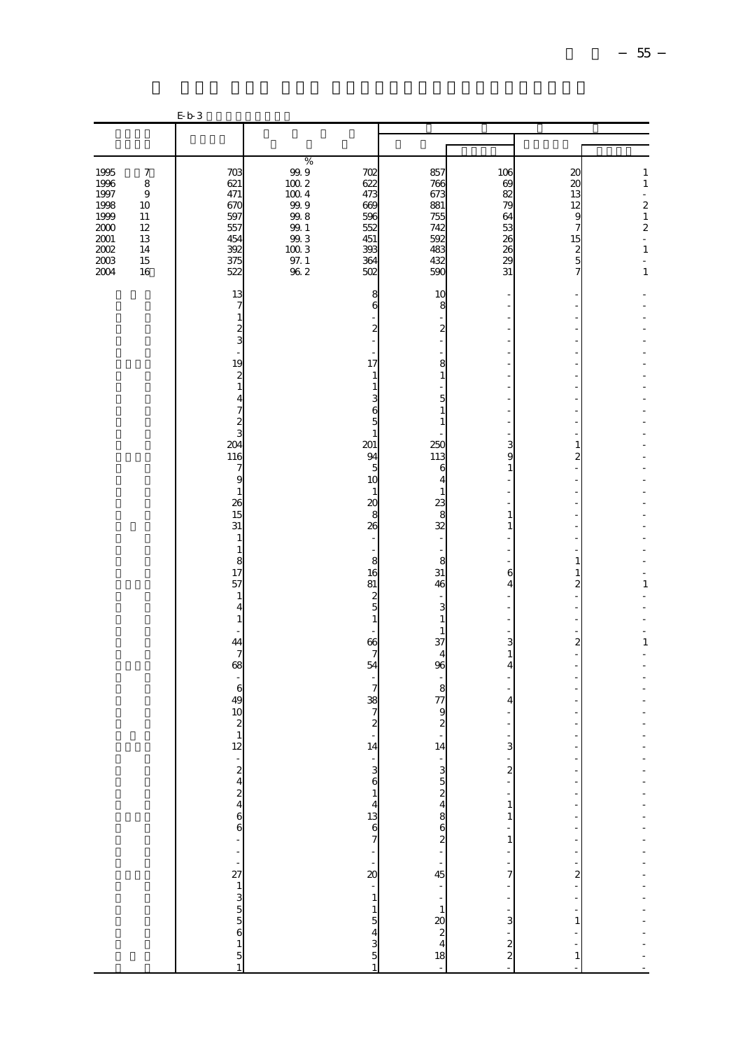|                                                                                      |                                                                    | E b 3                                                                                                         |                                                                                                                  |                                                                                                                |                                                                    |                                                                        |                                                                                                                                                                                                                               |                                                                                                                                                 |
|--------------------------------------------------------------------------------------|--------------------------------------------------------------------|---------------------------------------------------------------------------------------------------------------|------------------------------------------------------------------------------------------------------------------|----------------------------------------------------------------------------------------------------------------|--------------------------------------------------------------------|------------------------------------------------------------------------|-------------------------------------------------------------------------------------------------------------------------------------------------------------------------------------------------------------------------------|-------------------------------------------------------------------------------------------------------------------------------------------------|
|                                                                                      |                                                                    |                                                                                                               |                                                                                                                  |                                                                                                                |                                                                    |                                                                        |                                                                                                                                                                                                                               |                                                                                                                                                 |
|                                                                                      |                                                                    |                                                                                                               |                                                                                                                  |                                                                                                                |                                                                    |                                                                        |                                                                                                                                                                                                                               |                                                                                                                                                 |
| 1995<br>1996<br>1997<br>1998<br>1999<br>2000<br>$2001\,$<br>$2002\,$<br>2003<br>2004 | 7<br>8<br>$\overline{9}$<br>10<br>11<br>12<br>13<br>14<br>15<br>16 | 703<br>621<br>471<br>670<br>597<br>557<br>454<br>392<br>375<br>522                                            | %<br>$99.9\,$<br>1002<br>$100\ 4$<br>$99\,9$<br>$99.8\,$<br>$99. \;1$<br>$99.3\,$<br>1003<br>$\frac{97.1}{96.2}$ | 702<br>622<br>473<br>669<br>596<br>552<br>451<br>393<br>364<br>502                                             | 857<br>766<br>673<br>881<br>755<br>742<br>592<br>483<br>432<br>590 | 106<br>69<br>82<br>79<br>64<br>53<br>26<br>26<br>$\overline{29}$<br>31 | 20<br>20<br>13<br>12<br>9<br>$\overline{7}$<br>15<br>$^2$ 5<br>$\overline{7}$                                                                                                                                                 | $\,1$<br>$\,1\,$<br>÷,<br>$\overline{\mathcal{L}}$<br>$\,1\,$<br>$\boldsymbol{2}$<br>$\blacksquare$<br>$\,1\,$<br>$\frac{1}{2}$<br>$\mathbf{1}$ |
|                                                                                      |                                                                    | 13<br>$\overline{7}$<br>$\,1$<br>$\frac{2}{3}$<br>19<br>$\begin{smallmatrix}2\\1\end{smallmatrix}$            |                                                                                                                  | 8<br>6<br>$\boldsymbol{z}$<br>$\overline{a}$<br>17<br>$\mathbf{1}$                                             | 10<br>8<br>$\boldsymbol{z}$<br>÷,<br>8<br>$\mathbf{1}$             |                                                                        | ł,                                                                                                                                                                                                                            |                                                                                                                                                 |
|                                                                                      |                                                                    | $\overline{4}$<br>$\begin{array}{c} 7 \\ 2 \\ 3 \end{array}$<br>204<br>116<br>7                               |                                                                                                                  | $\mathbf{1}$<br>3<br>6<br>5<br>$\mathbf{1}$<br>201<br>94<br>5                                                  | 5<br>$\mathbf{1}$<br>$\mathbf{1}$<br>250<br>113<br>6               | 3<br>9<br>1                                                            | ÷<br>÷,<br>1<br>$\overline{\mathbf{c}}$<br>ł,                                                                                                                                                                                 |                                                                                                                                                 |
|                                                                                      |                                                                    | 9<br>$\mathbf{1}$<br>26<br>15<br>31<br>$\mathbf{1}$<br>$\,1\,$<br>8                                           |                                                                                                                  | 1 <sub>C</sub><br>$\mathbf{1}$<br>$\infty$<br>8<br>26<br>J.<br>٠<br>8                                          | $\overline{4}$<br>1<br>23<br>8<br>32<br>L.<br>8                    | 1<br>1                                                                 | J.<br>÷<br>$\mathbf{1}$                                                                                                                                                                                                       |                                                                                                                                                 |
|                                                                                      |                                                                    | 17<br>57<br>$\mathbf{1}$<br>$\overline{4}$<br>$\,1\,$<br>44                                                   |                                                                                                                  | 16<br>81<br>$\boldsymbol{z}$<br>5<br>$\mathbf{1}$<br>66                                                        | 31<br>46<br>3<br>$\mathbf{1}$<br>$\mathbf{1}$<br>37                | 6<br>4<br>3                                                            | $1\,$<br>$\overline{\mathbf{c}}$<br>÷,<br>$\boldsymbol{z}$                                                                                                                                                                    | 1<br>$\,1\,$                                                                                                                                    |
|                                                                                      |                                                                    | $\overline{7}$<br>68<br>$\overline{\phantom{a}}$<br>$\overline{6}$<br>49<br>10<br>$\boldsymbol{z}$<br>$\,1\,$ |                                                                                                                  | $\overline{\phantom{a}}$<br>54<br>$\overline{7}$<br>38<br>$\overline{7}$<br>$\boldsymbol{z}$<br>$\overline{a}$ | $\overline{4}$<br>96<br>8<br>77<br>9<br>$\boldsymbol{z}$           | 1<br>4<br>4                                                            | Ĭ.<br>f,                                                                                                                                                                                                                      |                                                                                                                                                 |
|                                                                                      |                                                                    | 12                                                                                                            |                                                                                                                  | 14                                                                                                             | 14                                                                 | 3<br>$\frac{2}{1}$<br>$\mathbf{1}$<br>$\mathbf{1}$                     |                                                                                                                                                                                                                               |                                                                                                                                                 |
|                                                                                      |                                                                    | _ и д д д д д д д н и д д д д д д н с д д н с д д н с д н с д н с д н с д н с т                               |                                                                                                                  |                                                                                                                | $3524862 - 4862$<br>$4848$                                         | $\frac{1}{1}$<br>$\frac{1}{7}$                                         | 1999 - 1999 - 1999 - 1999 - 1999 - 1999 - 1999 - 1999 - 1999 - 1999 - 1999 - 1999 - 1999 - 1999 - 1999 - 1999 - 1999 - 1999 - 1999 - 1999 - 1999 - 1999 - 1999 - 1999 - 1999 - 1999 - 1999 - 1999 - 1999 - 1999 - 1999 - 1999 | -----------------------                                                                                                                         |
|                                                                                      |                                                                    |                                                                                                               |                                                                                                                  |                                                                                                                |                                                                    |                                                                        | $\mathbf 1$                                                                                                                                                                                                                   |                                                                                                                                                 |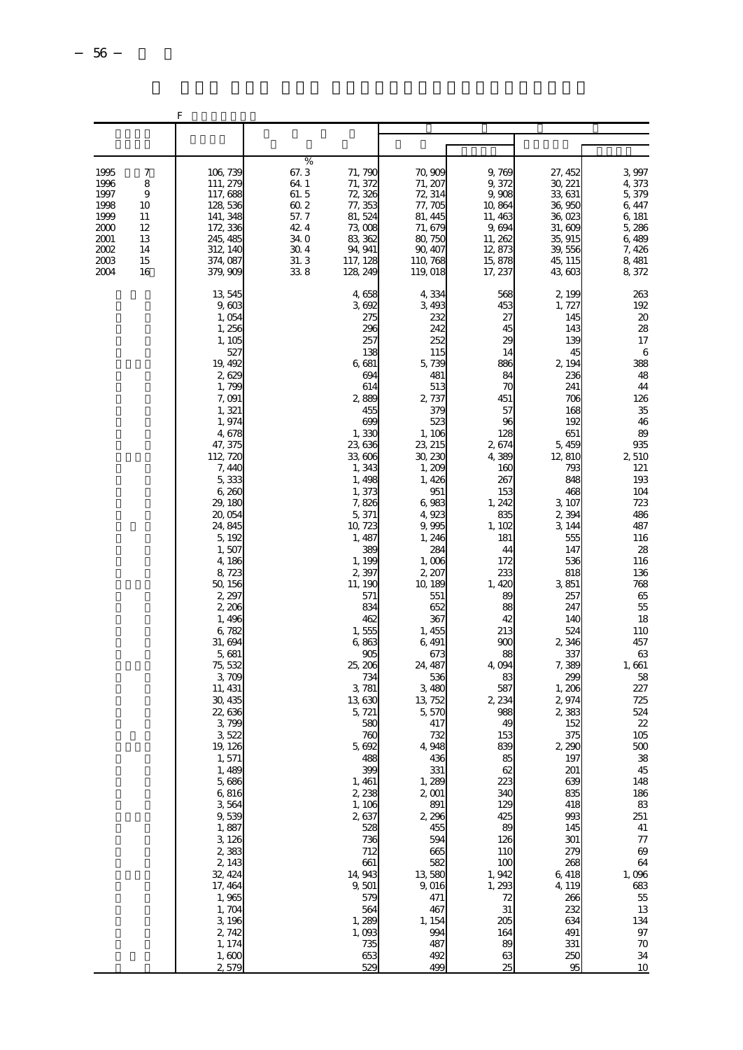|                                                                                                                                       | F                                                                                                                                                                                                                                                                                                                                                                                                                                                                                                                                                                                |                                                                                                                                                                                                                                                                                                                                                                                                                                                                                                                           |                                                                                                                                                                                                                                                                                                                                                                                                                                                                                                       |                                                                                                                                                                                                                                                                                                                                                                                                                        |                                                                                                                                                                                                                                                                                                                                                                                                                                                                    |                                                                                                                                                                                                                                                                                                                                                                                                                       |
|---------------------------------------------------------------------------------------------------------------------------------------|----------------------------------------------------------------------------------------------------------------------------------------------------------------------------------------------------------------------------------------------------------------------------------------------------------------------------------------------------------------------------------------------------------------------------------------------------------------------------------------------------------------------------------------------------------------------------------|---------------------------------------------------------------------------------------------------------------------------------------------------------------------------------------------------------------------------------------------------------------------------------------------------------------------------------------------------------------------------------------------------------------------------------------------------------------------------------------------------------------------------|-------------------------------------------------------------------------------------------------------------------------------------------------------------------------------------------------------------------------------------------------------------------------------------------------------------------------------------------------------------------------------------------------------------------------------------------------------------------------------------------------------|------------------------------------------------------------------------------------------------------------------------------------------------------------------------------------------------------------------------------------------------------------------------------------------------------------------------------------------------------------------------------------------------------------------------|--------------------------------------------------------------------------------------------------------------------------------------------------------------------------------------------------------------------------------------------------------------------------------------------------------------------------------------------------------------------------------------------------------------------------------------------------------------------|-----------------------------------------------------------------------------------------------------------------------------------------------------------------------------------------------------------------------------------------------------------------------------------------------------------------------------------------------------------------------------------------------------------------------|
|                                                                                                                                       |                                                                                                                                                                                                                                                                                                                                                                                                                                                                                                                                                                                  |                                                                                                                                                                                                                                                                                                                                                                                                                                                                                                                           |                                                                                                                                                                                                                                                                                                                                                                                                                                                                                                       |                                                                                                                                                                                                                                                                                                                                                                                                                        |                                                                                                                                                                                                                                                                                                                                                                                                                                                                    |                                                                                                                                                                                                                                                                                                                                                                                                                       |
|                                                                                                                                       |                                                                                                                                                                                                                                                                                                                                                                                                                                                                                                                                                                                  |                                                                                                                                                                                                                                                                                                                                                                                                                                                                                                                           |                                                                                                                                                                                                                                                                                                                                                                                                                                                                                                       |                                                                                                                                                                                                                                                                                                                                                                                                                        |                                                                                                                                                                                                                                                                                                                                                                                                                                                                    |                                                                                                                                                                                                                                                                                                                                                                                                                       |
| 1995<br>7<br>1996<br>8<br>9<br>1997<br>1998<br>10<br>1999<br>11<br>2000<br>12<br>2001<br>13<br>2002<br>14<br>2003<br>15<br>2004<br>16 | 106,739<br>111, 279<br>117,688<br>128, 536<br>141, 348<br>172, 336<br>245, 485<br>312, 14C<br>374, 087<br>379, 909                                                                                                                                                                                                                                                                                                                                                                                                                                                               | $\%$<br>67.3<br>71, 790<br>64 1<br>71, 372<br>72, 326<br>61.5<br>60.2<br>77, 353<br>57.7<br>81, 524<br>42.4<br>73,008<br>34.0<br>83, 362<br>30.4<br>94, 941<br>31.3<br>117, 128<br>33.8<br>128, 249                                                                                                                                                                                                                                                                                                                       | 70,909<br>71, 207<br>72, 314<br>77, 705<br>81, 445<br>71, 679<br>80, 750<br>90, 407<br>110, 768<br>119,018                                                                                                                                                                                                                                                                                                                                                                                            | 9,769<br>9,372<br>9,908<br>10,864<br>11, 463<br>9,694<br>11, 262<br>12, 873<br>15,878<br>17, 237                                                                                                                                                                                                                                                                                                                       | 27, 452<br>30, 221<br>33, 631<br>36,950<br>36,023<br>31,609<br>35, 915<br>39, 556<br>45, 115<br>43, 603                                                                                                                                                                                                                                                                                                                                                            | 3,997<br>4,373<br>5,379<br>6, 447<br>6, 181<br>5,286<br>6,489<br>7,426<br>8,481<br>8,372                                                                                                                                                                                                                                                                                                                              |
|                                                                                                                                       | 13,545<br>9,603<br>1,054<br>1,256<br>1, 105<br>527<br>19, 492<br>2,629<br>1,799<br>7,091<br>1,321<br>1,974<br>4,678<br>47, 375<br>112, 720<br>7,440<br>5,333<br>6,260<br>29, 180<br>20,054<br>24, 845<br>5, 192<br>1,507<br>4,186<br>8,723<br>50, 156<br>2, 297<br>2,206<br>1,496<br>6,782<br>31,694<br>5,681<br>75, 532<br>3,709<br>11, 431<br>30, 435<br>22,636<br>3,799<br>3,522<br>19, 126<br>1,571<br>1,489<br>5,686<br>6,816<br>3,564<br>9,539<br>1,887<br>3, 126<br>2,383<br>2, 143<br>32, 424<br>17, 464<br>1,965<br>1,704<br>3,196<br>2,742<br>1, 174<br>1,600<br>2,579 | 4,658<br>3,692<br>275<br>296<br>257<br>138<br>6, 681<br>694<br>614<br>2,889<br>455<br>699<br>1,330<br>23, 636<br>33, 606<br>1,343<br>1,498<br>1,373<br>7,826<br>5,371<br>10, 723<br>1, 487<br>389<br>1,199<br>2,397<br>11, 190<br>571<br>834<br>462<br>1,555<br>6,863<br>90 <sup>5</sup><br>25, 206<br>734<br>3, 781<br>13,630<br>5, 721<br>580<br>760<br>5,692<br>488<br>399<br>1, 461<br>2, 238<br>1, 106<br>2,637<br>528<br>736<br>712<br>661<br>14, 943<br>9,501<br>579<br>564<br>1,289<br>1,093<br>735<br>653<br>529 | 4,334<br>3,493<br>232<br>242<br>252<br>115<br>5, 739<br>481<br>513<br>2,737<br>379<br>523<br>1, 106<br>23, 215<br>30, 230<br>1,200<br>1,426<br>951<br>6,983<br>4,923<br>9,995<br>1, 246<br>284<br>1,006<br>2, 207<br>10, 189<br>551<br>652<br>367<br>1, 455<br>6,491<br>673<br>24, 487<br>536<br>3,480<br>13, 752<br>5,570<br>417<br>732<br>4, 948<br>436<br>331<br>1,289<br>2,001<br>891<br>2,296<br>455<br>594<br>665<br>582<br>13,580<br>9,016<br>471<br>467<br>1, 154<br>994<br>487<br>492<br>499 | 568<br>453<br>27<br>45<br>29<br>14<br>886<br>84<br>70<br>451<br>57<br>96<br>128<br>2674<br>4,389<br>16C<br>267<br>153<br>1, 242<br>835<br>1, 102<br>181<br>44<br>172<br>233<br>1,420<br>89<br>88<br>42<br>213<br>900<br>88<br>4,094<br>83<br>587<br>2,234<br>988<br>49<br>153<br>839<br>85<br>62<br>223<br>340<br>129<br>425<br>89<br>126<br>110<br>100<br>1, 942<br>1,293<br>72<br>31<br>205<br>164<br>89<br>63<br>25 | 2, 199<br>1, 727<br>145<br>143<br>139<br>45<br>2, 194<br>236<br>241<br>706<br>168<br>192<br>651<br>5,459<br>12,810<br>793<br>848<br>468<br>3, 107<br>2,394<br>3, 144<br>555<br>147<br>536<br>818<br>3,851<br>257<br>247<br>14C<br>524<br>2,346<br>337<br>7, 389<br>299<br>1,206<br>2,974<br>2,383<br>152<br>375<br>2, 290<br>197<br>201<br>639<br>835<br>418<br>993<br>145<br>301<br>279<br>268<br>6,418<br>4, 119<br>266<br>232<br>634<br>491<br>331<br>250<br>95 | 263<br>192<br>$\infty$<br>28<br>17<br>6<br>388<br>48<br>44<br>126<br>35<br>46<br>89<br>935<br>2,510<br>121<br>193<br>104<br>723<br>486<br>487<br>116<br>28<br>116<br>136<br>768<br>65<br>55<br>18<br>110<br>457<br>63<br>1,661<br>58<br>227<br>725<br>524<br>22<br>105<br>500<br>${\bf 38}$<br>45<br>148<br>186<br>83<br>251<br>$41\,$<br>77<br>69<br>64<br>1,096<br>683<br>55<br>13<br>134<br>97<br>$70$<br>34<br>10 |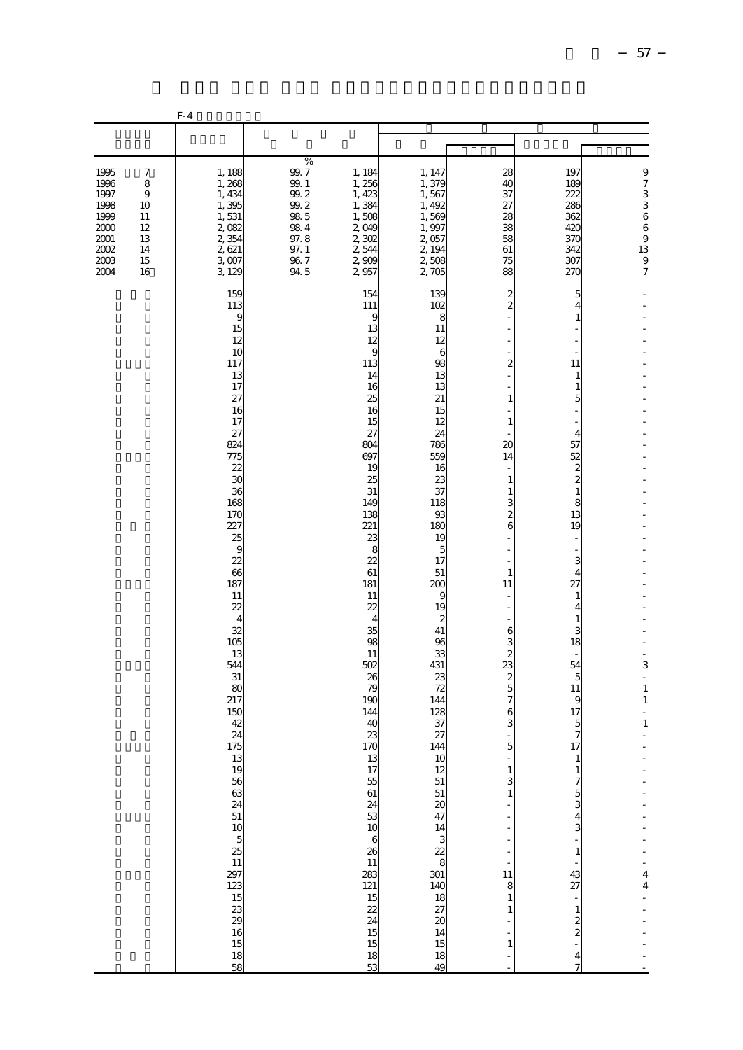|                                                                              |                                                                    | $F-4$                                                                                                                                                                                                                                                                                                                                                                                                                                         |                                                                                                           |                                                                                                                                                                                                                                                                                                                                                                                                                   |                                                                                                                                                                                                                                                                                                                                                                                                                                                                              |                                                                                                                                                                                                                                                 |                                                                                                                                                                                                                                                                                                                                                                                                                                  |                                                                                                       |
|------------------------------------------------------------------------------|--------------------------------------------------------------------|-----------------------------------------------------------------------------------------------------------------------------------------------------------------------------------------------------------------------------------------------------------------------------------------------------------------------------------------------------------------------------------------------------------------------------------------------|-----------------------------------------------------------------------------------------------------------|-------------------------------------------------------------------------------------------------------------------------------------------------------------------------------------------------------------------------------------------------------------------------------------------------------------------------------------------------------------------------------------------------------------------|------------------------------------------------------------------------------------------------------------------------------------------------------------------------------------------------------------------------------------------------------------------------------------------------------------------------------------------------------------------------------------------------------------------------------------------------------------------------------|-------------------------------------------------------------------------------------------------------------------------------------------------------------------------------------------------------------------------------------------------|----------------------------------------------------------------------------------------------------------------------------------------------------------------------------------------------------------------------------------------------------------------------------------------------------------------------------------------------------------------------------------------------------------------------------------|-------------------------------------------------------------------------------------------------------|
|                                                                              |                                                                    |                                                                                                                                                                                                                                                                                                                                                                                                                                               |                                                                                                           |                                                                                                                                                                                                                                                                                                                                                                                                                   |                                                                                                                                                                                                                                                                                                                                                                                                                                                                              |                                                                                                                                                                                                                                                 |                                                                                                                                                                                                                                                                                                                                                                                                                                  |                                                                                                       |
| 1995<br>1996<br>1997<br>1998<br>1999<br>2000<br>2001<br>2002<br>2003<br>2004 | 7<br>8<br>$\overline{9}$<br>10<br>11<br>12<br>13<br>14<br>15<br>16 | 1,188<br>1,268<br>1,434<br>1,395<br>1,531<br>2,082<br>2,354<br>2,621<br>3,007<br>3, 129                                                                                                                                                                                                                                                                                                                                                       | %<br>99.7<br>$99. \;1$<br>$99.2\,$<br>$99.2\,$<br>$98\ 5$<br>$98\ 4$<br>97.8<br>97.1<br>$\frac{96}{94}$ 7 | 1, 184<br>1, 256<br>1,423<br>1,384<br>1,508<br>2,049<br>2,302<br>2,544<br>2,909<br>2,957                                                                                                                                                                                                                                                                                                                          | 1, 147<br>1,379<br>1,567<br>1, 492<br>1,569<br>1,997<br>2,057<br>2, 194<br>2,508<br>2705                                                                                                                                                                                                                                                                                                                                                                                     | 28<br>4C<br>37<br>27<br>28<br>38<br>58<br>61<br>75<br>88                                                                                                                                                                                        | 197<br>189<br>222<br>286<br>362<br>42C<br>37C<br>342<br>307<br>270                                                                                                                                                                                                                                                                                                                                                               | 973366<br>$\overline{9}$<br>13<br>$\frac{9}{7}$                                                       |
|                                                                              |                                                                    | 159<br>113<br>9<br>15<br>12<br>10<br>117<br>13<br>17<br>27<br>16<br>17<br>27<br>824<br>775<br>22<br>30<br>36<br>168<br>170<br>227<br>25<br>9<br>22<br>66<br>187<br>11<br>22<br>$\overline{4}$<br>32<br>105<br>13<br>544<br>31<br>80<br>217<br>150<br>42<br>24<br>175<br>$\begin{array}{c} 13 \\ 19 \end{array}$<br>56<br>63<br>24<br>51<br>$\begin{array}{c}\n10 \\ 34 \\ 129\n\end{array}$<br>$\frac{15}{23}$<br>16<br>$\frac{15}{18}$<br>58 |                                                                                                           | 154<br>111<br>9<br>13<br>12<br>g<br>113<br>14<br>16<br>25<br>16<br>15<br>27<br>804<br>697<br>19<br>25<br>31<br>149<br>138<br>221<br>23<br>8<br>22<br>61<br>181<br>11<br>22<br>$\overline{4}$<br>35<br>98<br>11<br>502<br>26<br>79<br>190<br>144<br>40<br>23<br>170<br>13<br>17<br>55<br>61<br>24<br>53<br>10<br>$\epsilon$<br>26<br>11<br><b>283</b><br>121<br>15<br>$\overline{2}$<br>24<br>15<br>15<br>18<br>53 | 139<br>102<br>8<br>11<br>12<br>6<br>98<br>13<br>13<br>21<br>15<br>12<br>24<br>786<br>559<br>16<br>23<br>37<br>118<br>93<br>18C<br>19<br>5<br>17<br>51<br>200<br>g<br>19<br>$\overline{\mathcal{Z}}$<br>41<br>96<br>33<br>431<br>23<br>72<br>144<br>128<br>37<br>27<br>144<br>$\frac{10}{12}$<br>$\begin{array}{c} 51 \\ 51 \end{array}$<br>20<br>47<br>$\frac{14}{3}$<br>$rac{22}{8}$<br>301<br>140<br>$\begin{array}{c} 18 \\ 27 \\ 20 \end{array}$<br>14<br>15<br>18<br>49 | 2<br>$\overline{c}$<br>2<br>1<br>1<br>$\alpha$<br>14<br>$\mathbf{1}$<br>1<br>3<br>$\overline{c}$<br>6<br>$\mathbf{1}$<br>11<br>6<br>3<br>$\overline{c}$<br>23<br>$\boldsymbol{z}$<br>5<br>6<br>5<br>1<br>3<br>11<br>8<br>1<br>1<br>$\mathbf{1}$ | 5<br>4<br>$\mathbf{1}$<br>11<br>1<br>1<br>5<br>$\overline{4}$<br>57<br>52<br>$\boldsymbol{z}$<br>$\mathbf{z}$<br>$1\,$<br>8<br>13<br>19<br>$\overline{\phantom{a}}$<br>3<br>$\overline{4}$<br>27<br>1<br>4<br>1<br>3<br>18<br>54<br>5<br>11<br>9<br>17<br>5<br>$\overline{7}$<br>17<br>$\mathbf{1}$<br>7<br>5<br>3<br>4<br>3<br>$1\,$<br>43<br>27<br>$\mathbf{1}$<br>$\boldsymbol{z}$<br>$\boldsymbol{z}$<br>$\overline{4}$<br>7 | $\frac{1}{2}$<br>3<br>$\blacksquare$<br>$\,1\,$<br>$\,1\,$<br>$\,1\,$<br>4<br>$\overline{\mathbf{4}}$ |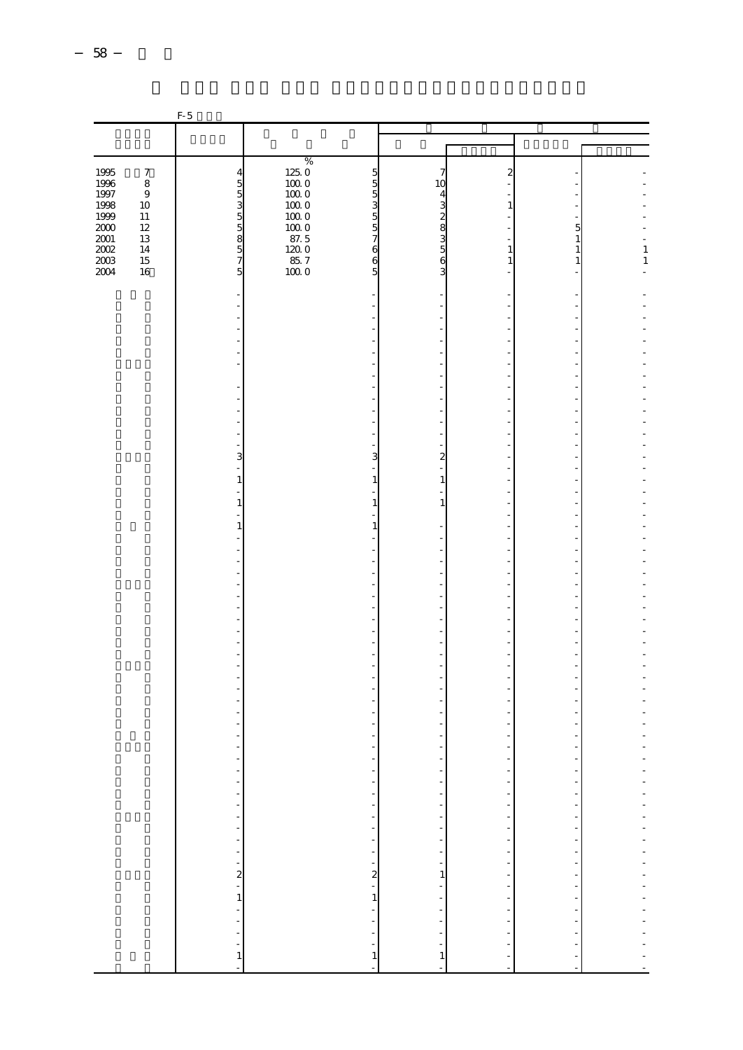|                                             |                  | $F-5$        |                                  |                                                                                                                                                                                                                                                                                                                                                                                                    |                            |                          |               |
|---------------------------------------------|------------------|--------------|----------------------------------|----------------------------------------------------------------------------------------------------------------------------------------------------------------------------------------------------------------------------------------------------------------------------------------------------------------------------------------------------------------------------------------------------|----------------------------|--------------------------|---------------|
|                                             |                  |              |                                  |                                                                                                                                                                                                                                                                                                                                                                                                    |                            |                          |               |
|                                             |                  |              |                                  |                                                                                                                                                                                                                                                                                                                                                                                                    |                            |                          |               |
|                                             |                  |              | $\%$                             |                                                                                                                                                                                                                                                                                                                                                                                                    |                            |                          |               |
|                                             | $\boldsymbol{7}$ |              | $125\ 0$<br>5                    | 7                                                                                                                                                                                                                                                                                                                                                                                                  | $\boldsymbol{z}$           |                          |               |
| $\begin{array}{c} 1995 \\ 1996 \end{array}$ | $\,8\,$          |              | $100\;0$<br>5                    | 10                                                                                                                                                                                                                                                                                                                                                                                                 |                            |                          |               |
| 1997                                        | $\,9$            |              | 1000<br>5                        | $\frac{4}{3}$                                                                                                                                                                                                                                                                                                                                                                                      |                            |                          |               |
| 1998                                        | $10\,$           |              | 1000<br>3                        |                                                                                                                                                                                                                                                                                                                                                                                                    | $\mathbf{1}$               |                          |               |
| 1999<br>$2000\,$                            | $11\,$<br>$12\,$ |              | 1000<br>5<br>$1000$<br>5         | 28000                                                                                                                                                                                                                                                                                                                                                                                              |                            |                          |               |
| $2001\,$                                    | 13               |              | 87.5<br>7                        |                                                                                                                                                                                                                                                                                                                                                                                                    |                            | $\frac{5}{1}$            |               |
|                                             | 14               |              | $\frac{120}{85}$ 7<br>100 0<br>6 |                                                                                                                                                                                                                                                                                                                                                                                                    | $\,1\,$                    | $\,1\,$                  |               |
| $\frac{2002}{2003}$                         | 15               |              | 6                                |                                                                                                                                                                                                                                                                                                                                                                                                    | $\mathbf{1}$               | $\,1\,$                  | $\frac{1}{1}$ |
| 2004                                        | 16               |              | 5                                | 3                                                                                                                                                                                                                                                                                                                                                                                                  |                            |                          |               |
|                                             |                  |              |                                  |                                                                                                                                                                                                                                                                                                                                                                                                    |                            |                          |               |
|                                             |                  |              |                                  |                                                                                                                                                                                                                                                                                                                                                                                                    |                            |                          |               |
|                                             |                  |              |                                  |                                                                                                                                                                                                                                                                                                                                                                                                    |                            |                          |               |
|                                             |                  |              |                                  |                                                                                                                                                                                                                                                                                                                                                                                                    |                            |                          |               |
|                                             |                  |              |                                  |                                                                                                                                                                                                                                                                                                                                                                                                    |                            |                          |               |
|                                             |                  |              |                                  |                                                                                                                                                                                                                                                                                                                                                                                                    |                            |                          |               |
|                                             |                  |              |                                  |                                                                                                                                                                                                                                                                                                                                                                                                    |                            |                          |               |
|                                             |                  |              |                                  |                                                                                                                                                                                                                                                                                                                                                                                                    |                            |                          |               |
|                                             |                  |              |                                  |                                                                                                                                                                                                                                                                                                                                                                                                    |                            |                          |               |
|                                             |                  |              |                                  |                                                                                                                                                                                                                                                                                                                                                                                                    |                            |                          |               |
|                                             |                  |              |                                  |                                                                                                                                                                                                                                                                                                                                                                                                    |                            |                          |               |
|                                             |                  |              |                                  |                                                                                                                                                                                                                                                                                                                                                                                                    |                            |                          |               |
|                                             |                  |              |                                  |                                                                                                                                                                                                                                                                                                                                                                                                    |                            |                          |               |
|                                             |                  | 3            | 3                                | $\overline{\mathbf{c}}$                                                                                                                                                                                                                                                                                                                                                                            |                            |                          |               |
|                                             |                  |              |                                  |                                                                                                                                                                                                                                                                                                                                                                                                    |                            |                          |               |
|                                             |                  | 1            | 1                                | $\mathbf{1}$                                                                                                                                                                                                                                                                                                                                                                                       |                            |                          |               |
|                                             |                  |              |                                  |                                                                                                                                                                                                                                                                                                                                                                                                    |                            |                          |               |
|                                             |                  | $\mathbf{1}$ | 1                                | $\mathbf{1}$                                                                                                                                                                                                                                                                                                                                                                                       |                            |                          |               |
|                                             |                  |              |                                  |                                                                                                                                                                                                                                                                                                                                                                                                    |                            |                          |               |
|                                             |                  | $\,1\,$      | 1                                |                                                                                                                                                                                                                                                                                                                                                                                                    |                            |                          |               |
|                                             |                  |              |                                  |                                                                                                                                                                                                                                                                                                                                                                                                    |                            |                          |               |
|                                             |                  |              |                                  |                                                                                                                                                                                                                                                                                                                                                                                                    |                            |                          |               |
|                                             |                  |              |                                  |                                                                                                                                                                                                                                                                                                                                                                                                    |                            |                          |               |
|                                             |                  |              |                                  |                                                                                                                                                                                                                                                                                                                                                                                                    |                            |                          |               |
|                                             |                  |              |                                  |                                                                                                                                                                                                                                                                                                                                                                                                    |                            |                          |               |
|                                             |                  |              |                                  |                                                                                                                                                                                                                                                                                                                                                                                                    |                            |                          |               |
|                                             |                  |              |                                  |                                                                                                                                                                                                                                                                                                                                                                                                    |                            |                          |               |
|                                             |                  |              |                                  |                                                                                                                                                                                                                                                                                                                                                                                                    |                            |                          |               |
|                                             |                  |              |                                  |                                                                                                                                                                                                                                                                                                                                                                                                    |                            |                          |               |
|                                             |                  |              |                                  |                                                                                                                                                                                                                                                                                                                                                                                                    |                            |                          |               |
|                                             |                  |              |                                  |                                                                                                                                                                                                                                                                                                                                                                                                    |                            |                          |               |
|                                             |                  |              |                                  |                                                                                                                                                                                                                                                                                                                                                                                                    |                            |                          |               |
|                                             |                  |              |                                  |                                                                                                                                                                                                                                                                                                                                                                                                    |                            |                          |               |
|                                             |                  |              |                                  |                                                                                                                                                                                                                                                                                                                                                                                                    |                            |                          |               |
|                                             |                  |              |                                  |                                                                                                                                                                                                                                                                                                                                                                                                    |                            |                          |               |
|                                             |                  |              |                                  |                                                                                                                                                                                                                                                                                                                                                                                                    |                            |                          |               |
|                                             |                  |              |                                  |                                                                                                                                                                                                                                                                                                                                                                                                    |                            |                          |               |
|                                             |                  |              |                                  |                                                                                                                                                                                                                                                                                                                                                                                                    |                            |                          |               |
|                                             |                  |              | f                                | $\frac{1}{2}$                                                                                                                                                                                                                                                                                                                                                                                      | ÷<br>$\ddot{\phantom{a}}$  | f                        |               |
|                                             |                  |              | f                                |                                                                                                                                                                                                                                                                                                                                                                                                    |                            | $\overline{\phantom{a}}$ |               |
|                                             |                  |              |                                  |                                                                                                                                                                                                                                                                                                                                                                                                    |                            | Ť,                       |               |
|                                             |                  |              |                                  |                                                                                                                                                                                                                                                                                                                                                                                                    | 医水中性 医水中性 医血管性血管 医血管中枢 医血管 |                          |               |
|                                             |                  |              |                                  |                                                                                                                                                                                                                                                                                                                                                                                                    |                            |                          |               |
|                                             |                  |              |                                  |                                                                                                                                                                                                                                                                                                                                                                                                    |                            |                          |               |
|                                             |                  |              |                                  |                                                                                                                                                                                                                                                                                                                                                                                                    |                            |                          |               |
|                                             |                  |              |                                  |                                                                                                                                                                                                                                                                                                                                                                                                    |                            |                          |               |
|                                             |                  |              |                                  |                                                                                                                                                                                                                                                                                                                                                                                                    |                            |                          |               |
|                                             |                  |              |                                  | $\begin{array}{c} \n\frac{1}{2} & \frac{1}{2} & \frac{1}{2} & \frac{1}{2} \\ \n\frac{1}{2} & \frac{1}{2} & \frac{1}{2} & \frac{1}{2} \\ \n\frac{1}{2} & \frac{1}{2} & \frac{1}{2} & \frac{1}{2} \\ \n\frac{1}{2} & \frac{1}{2} & \frac{1}{2} & \frac{1}{2} \\ \n\frac{1}{2} & \frac{1}{2} & \frac{1}{2} & \frac{1}{2} \\ \n\frac{1}{2} & \frac{1}{2} & \frac{1}{2} & \frac{1}{2} \\ \n\frac{1}{2}$ |                            |                          |               |
|                                             |                  |              |                                  |                                                                                                                                                                                                                                                                                                                                                                                                    |                            |                          |               |
|                                             |                  |              |                                  |                                                                                                                                                                                                                                                                                                                                                                                                    |                            |                          |               |
|                                             |                  |              |                                  |                                                                                                                                                                                                                                                                                                                                                                                                    |                            |                          |               |
|                                             |                  |              |                                  |                                                                                                                                                                                                                                                                                                                                                                                                    |                            |                          |               |
|                                             |                  |              |                                  |                                                                                                                                                                                                                                                                                                                                                                                                    |                            |                          |               |
|                                             |                  |              | $\overline{a}$                   | ÷,                                                                                                                                                                                                                                                                                                                                                                                                 |                            |                          |               |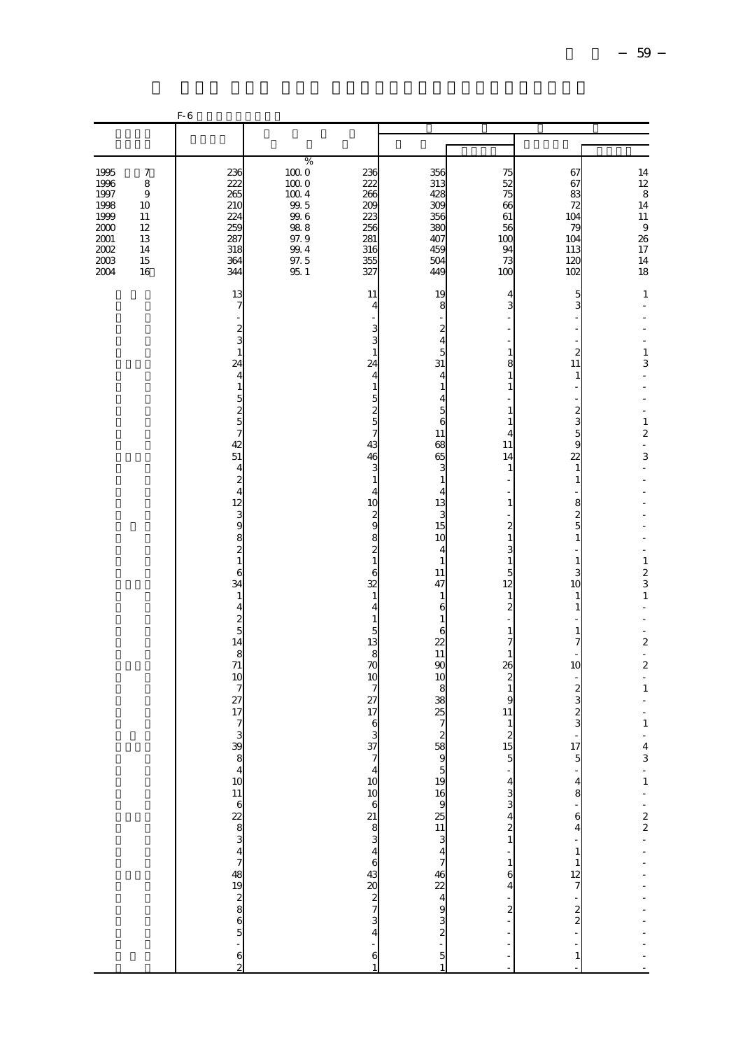|                                                                              |                                                                                     | $F-6$                                                                                                                                         |                                                                                                                  |                                                                                                                                                                            |                                                                                                                                                  |                                                                                                                                                                                          |                                                                                                                                                           |                                                                                                                                                                |
|------------------------------------------------------------------------------|-------------------------------------------------------------------------------------|-----------------------------------------------------------------------------------------------------------------------------------------------|------------------------------------------------------------------------------------------------------------------|----------------------------------------------------------------------------------------------------------------------------------------------------------------------------|--------------------------------------------------------------------------------------------------------------------------------------------------|------------------------------------------------------------------------------------------------------------------------------------------------------------------------------------------|-----------------------------------------------------------------------------------------------------------------------------------------------------------|----------------------------------------------------------------------------------------------------------------------------------------------------------------|
|                                                                              |                                                                                     |                                                                                                                                               |                                                                                                                  |                                                                                                                                                                            |                                                                                                                                                  |                                                                                                                                                                                          |                                                                                                                                                           |                                                                                                                                                                |
| 1995<br>1996<br>1997<br>1998<br>1999<br>2000<br>2001<br>2002<br>2003<br>2004 | $\boldsymbol{7}$<br>8<br>$\boldsymbol{9}$<br>10<br>11<br>12<br>13<br>14<br>15<br>16 | 236<br>222<br>265<br>210<br>224<br>259<br>287<br>318<br>364<br>344<br>13                                                                      | $\%$<br>$100\;0$<br>1000<br>$100\ 4$<br>$99\,$ $5$<br>$\frac{99.6}{98.8}$<br>97.9<br>99.4<br>$\frac{97.5}{95.1}$ | 236<br>222<br>266<br>200<br>223<br>256<br>281<br>316<br>355<br>327<br>11                                                                                                   | 356<br>313<br>428<br>300<br>356<br>380<br>407<br>459<br>504<br>449<br>19                                                                         | 75<br>52<br>75<br>66<br>61<br>56<br>100<br>94<br>73<br>100<br>4                                                                                                                          | 67<br>67<br>83<br>72<br>104<br>79<br>104<br>113<br>12C<br>102<br>5                                                                                        | 14<br>$\begin{array}{c} 12 \\ 8 \end{array}$<br>14<br>$11\,$<br>$\,9$<br>26<br>$\begin{array}{c} 17 \\ 14 \end{array}$<br>18<br>$\mathbf{1}$                   |
|                                                                              |                                                                                     | $\overline{7}$<br>$\frac{2}{3}$<br>$\,1\,$<br>24<br>$\overline{4}$<br>$\,1\,$<br>$\frac{5}{7}$<br>42<br>51<br>$\overline{4}$<br>$\frac{2}{4}$ |                                                                                                                  | 4<br>3<br>3<br>$\mathbf 1$<br>24<br>4<br>$\,1\,$<br>5<br>$\frac{2}{7}$<br>43<br>46<br>3<br>$\mathbf 1$                                                                     | 8<br>$\overline{\mathcal{Z}}$<br>$\overline{4}$<br>5<br>31<br>$\overline{4}$<br>1<br>4<br>5<br>$\epsilon$<br>11<br>68<br>65<br>3<br>$\mathbf{1}$ | 3<br>1<br>8<br>$\mathbf{1}$<br>$1\,$<br>$\mathbf{1}$<br>1<br>$\overline{4}$<br>11<br>14<br>$\mathbf{1}$                                                                                  | 3<br>$\boldsymbol{z}$<br>11<br>$\mathbf{1}$<br>$\boldsymbol{z}$<br>3<br>5<br>9<br>22<br>$\mathbf{1}$<br>$\mathbf{1}$                                      | L,<br>÷<br>$\,1\,$<br>3<br>L,<br>÷,<br>$\,1\,$<br>$\overline{\mathcal{L}}$<br>÷,<br>3<br>$\overline{a}$                                                        |
|                                                                              |                                                                                     | $\frac{12}{2}$ 3 9 8 2 1<br>6<br>34<br>$\,1\,$<br>$\overline{\mathbf{4}}$<br>$\frac{2}{5}$<br>14<br>8<br>71<br>10                             |                                                                                                                  | 4<br>10<br>$\boldsymbol{z}$<br>9<br>8<br>$\overline{\mathcal{Z}}$<br>$\mathbf{1}$<br>6<br>32<br>$\mathbf{1}$<br>4<br>$\mathbf{1}$<br>$\overline{5}$<br>13<br>8<br>70<br>10 | 4<br>13<br>3<br>15<br>10<br>4<br>$\mathbf{1}$<br>11<br>47<br>$\mathbf{1}$<br>6<br>$\mathbf{1}$<br>6<br>22<br>11<br>90<br>10                      | $\mathbf{1}$<br>$\overline{\mathbf{c}}$<br>$\mathbf{1}$<br>3<br>$\mathbf{1}$<br>5<br>12<br>$\mathbf{1}$<br>$\mathbf{z}$<br>1<br>$\overline{7}$<br>$\mathbf{1}$<br>26<br>$\boldsymbol{z}$ | 8<br>$\boldsymbol{z}$<br>5<br>$\mathbf{1}$<br>$\mathbf{1}$<br>3<br>10<br>$\mathbf{1}$<br>$\mathbf{1}$<br>$\mathbf{1}$<br>7<br>10                          | L,<br>$\,$ 1 $\,$<br>$\frac{2}{3}$<br>$\,1$<br>÷,<br>÷,<br>$\boldsymbol{2}$<br>$\overline{\phantom{a}}$<br>$\overline{\mathbf{c}}$<br>$\overline{\phantom{a}}$ |
|                                                                              |                                                                                     | $\overline{7}$<br>27<br>17<br>$\overline{7}$<br>3<br>39<br>8401162283474892865-62                                                             |                                                                                                                  | $\overline{7}$<br>27<br>17<br>6<br>3<br>37                                                                                                                                 | 8<br>38<br>25<br>$\overline{7}$<br>$\boldsymbol{z}$<br>58<br>ο που ναφ Α 23 Αν 4 Αν προστους του σ                                               | $\mathbf{1}$<br>9<br>11<br>$\mathbf{1}$<br>$\boldsymbol{z}$<br>15<br>$\frac{5}{1}$<br>433421<br>÷<br>$\,1$<br>$\frac{6}{4}$                                                              | $\frac{2}{3}$<br>$\frac{2}{3}$<br>17<br>5<br>$\frac{1}{4}$<br>$\begin{array}{c}\n6 \\ 6\n\end{array}$<br>$\begin{array}{c} 1 \\ 1 \\ 12 \\ 7 \end{array}$ | $\,1\,$<br>$\,1\,$<br>ä,<br>4<br>$3 - 1 - 22 - - - - - - - - - - - -$                                                                                          |
|                                                                              |                                                                                     |                                                                                                                                               |                                                                                                                  |                                                                                                                                                                            |                                                                                                                                                  |                                                                                                                                                                                          | $-2$ $2$ $2$                                                                                                                                              |                                                                                                                                                                |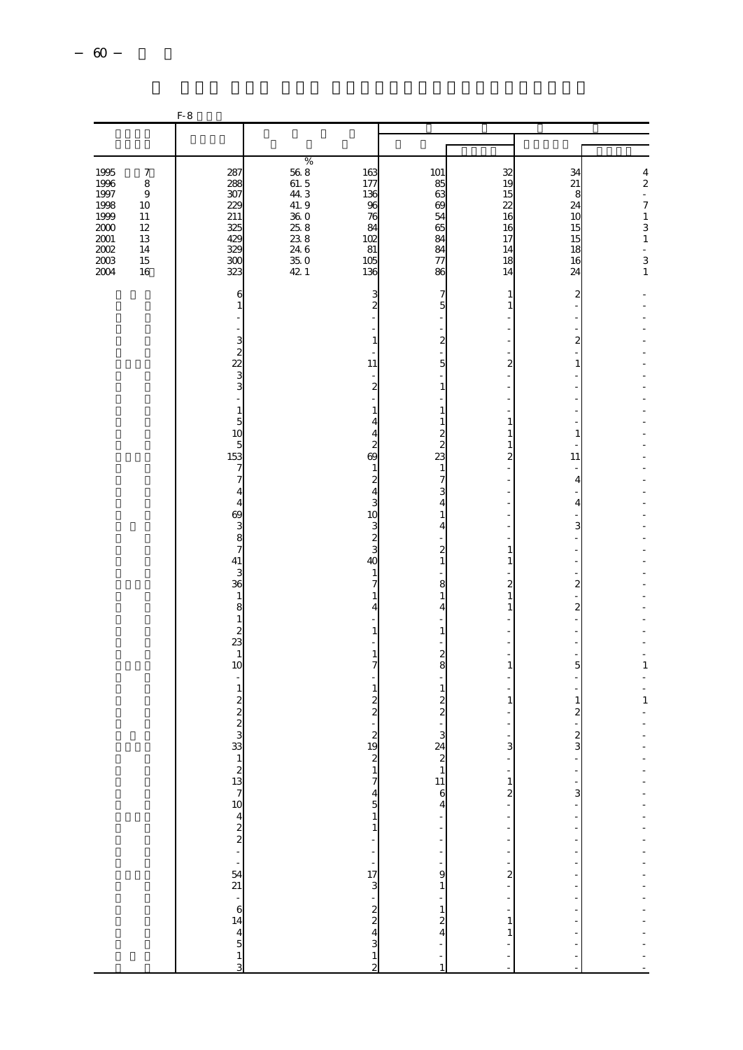|                          |                  | $\mbox{F-}8$                                    |                                                              |                                                          |                                            |                                |                              |                     |
|--------------------------|------------------|-------------------------------------------------|--------------------------------------------------------------|----------------------------------------------------------|--------------------------------------------|--------------------------------|------------------------------|---------------------|
|                          |                  |                                                 |                                                              |                                                          |                                            |                                |                              |                     |
|                          | $\boldsymbol{7}$ | 287                                             | $\%$                                                         | 163                                                      | 101                                        | 32                             | 34                           | $\frac{4}{2}$       |
| 1995<br>1996<br>1997     | $\,8\,$<br>$9$   | 288<br>307                                      | $\begin{array}{c} 568 \\ 61.5 \\ 44.3 \\ \hline \end{array}$ | 177<br>136                                               | 85<br>63                                   | 19<br>15                       | 21<br>8<br>24                | ÷<br>$\overline{7}$ |
| 1998<br>1999<br>$2000\,$ | 10<br>11<br>12   | 229<br>211<br>325                               | 41.9<br>$\begin{array}{c} 36.0 \\ 25.8 \end{array}$          | 96<br>76<br>84                                           | 69<br>54<br>65                             | 22<br>16<br>16                 | 10<br>15                     | $\,1\,$<br>3        |
| $2001\,$<br>$2002\,$     | 13<br>14         | 425<br>329                                      | 238<br>24 6                                                  | 102<br>81                                                | 84<br>84                                   | 17<br>14                       | 15<br>18                     | $\,$ 1 $\,$<br>L,   |
| $2003\,$<br>2004         | 15<br>16         | 300<br>323                                      | $\frac{35}{42}$ 0                                            | 105<br>136                                               | 77<br>86                                   | 18<br>14                       | 16<br>24                     | $\frac{3}{1}$       |
|                          |                  | 6<br>$\mathbf{1}$                               |                                                              | 3<br>2                                                   | 7<br>5                                     | 1<br>1                         | 2                            |                     |
|                          |                  |                                                 |                                                              |                                                          |                                            |                                |                              |                     |
|                          |                  | 3<br>$\overline{\mathcal{L}}$<br>$\overline{2}$ |                                                              | 1<br>11                                                  | $\overline{\mathcal{Z}}$<br>5              | 2                              | $\mathbf{z}$<br>$\mathbf{1}$ |                     |
|                          |                  | $\frac{3}{3}$                                   |                                                              | $\boldsymbol{z}$                                         | 1                                          |                                |                              |                     |
|                          |                  | $\,1\,$                                         |                                                              | 1                                                        | 1                                          |                                |                              |                     |
|                          |                  | $\overline{5}$<br>10                            |                                                              | 4<br>4                                                   | 1<br>2                                     | 1<br>1                         | $\mathbf{1}$                 |                     |
|                          |                  | 5<br>153<br>$\overline{7}$                      |                                                              | 2<br>69<br>1                                             | 2<br>23<br>1                               | $\mathbf{1}$<br>$\overline{a}$ | 11                           |                     |
|                          |                  | $\overline{7}$<br>4                             |                                                              | $\overline{\mathbf{z}}$<br>4                             | 7<br>3                                     |                                | 4                            |                     |
|                          |                  | $\overline{4}$<br>69                            |                                                              | 10                                                       | 4<br>1                                     |                                | $\overline{4}$               |                     |
|                          |                  | 3<br>8                                          |                                                              | 3<br>$\boldsymbol{z}$                                    | 4                                          |                                | 3                            |                     |
|                          |                  | $\overline{7}$<br>41                            |                                                              | 3<br>40                                                  | $\overline{c}$<br>1                        | 1<br>$\mathbf{1}$              |                              |                     |
|                          |                  | 3<br>36<br>$\,1\,$                              |                                                              | $\mathbf{1}$<br>7<br>1                                   | 8<br>$\mathbf{1}$                          | 2<br>$\mathbf{1}$              | $\overline{\mathbf{c}}$      |                     |
|                          |                  | 8<br>$\mathbf{1}$                               |                                                              | 4                                                        | 4                                          | $\mathbf{1}$                   | $\overline{\mathbf{c}}$      |                     |
|                          |                  | $\overline{\mathcal{L}}$<br>23                  |                                                              | 1                                                        | 1                                          |                                |                              |                     |
|                          |                  | $\mathbf{1}$<br>10                              |                                                              | $\mathbf{1}$<br>7                                        | $\overline{c}$<br>8                        | 1                              | 5                            | 1                   |
|                          |                  | $\mathbf{1}$                                    |                                                              | 1<br>$\boldsymbol{z}$                                    | 1<br>$\overline{c}$                        | 1                              | $\mathbf{1}$                 | $\mathbf{1}$        |
|                          |                  | $\begin{array}{c}\n2 \\ 2 \\ 3\n\end{array}$    |                                                              | $\overline{\mathbf{c}}$                                  | $\overline{c}$                             |                                | 2                            |                     |
|                          |                  | 33                                              |                                                              | $\boldsymbol{z}$<br>19                                   | З<br>24                                    | 3                              | $\frac{2}{3}$                |                     |
|                          |                  |                                                 |                                                              | $\begin{smallmatrix}2\\1\end{smallmatrix}$               | $\begin{smallmatrix}2\\1\end{smallmatrix}$ | ÷                              |                              |                     |
|                          |                  |                                                 |                                                              | $\overline{7}$<br>$\overline{4}$                         | 11<br>6<br>$\overline{4}$                  | $\frac{1}{2}$                  | 3                            |                     |
|                          |                  |                                                 |                                                              | $\frac{5}{1}$<br>$\,1\,$                                 |                                            | Î,<br>-                        |                              | $\overline{a}$      |
|                          |                  |                                                 |                                                              | ÷,                                                       |                                            |                                |                              |                     |
|                          |                  |                                                 |                                                              | $\frac{17}{3}$ $\frac{2}{4}$ $\frac{2}{3}$ $\frac{1}{1}$ | ۔<br>9                                     |                                |                              |                     |
|                          |                  |                                                 |                                                              |                                                          | $\,1\,$<br>$\,1$                           |                                |                              | $\frac{1}{2}$       |
|                          |                  |                                                 |                                                              |                                                          | $\overline{\mathcal{Z}}$<br>4              | $\,1\,$<br>$\,1\,$             |                              | $\frac{1}{2}$       |
|                          |                  |                                                 |                                                              |                                                          |                                            | l,                             |                              |                     |
|                          |                  |                                                 |                                                              | 2                                                        | 1                                          |                                |                              |                     |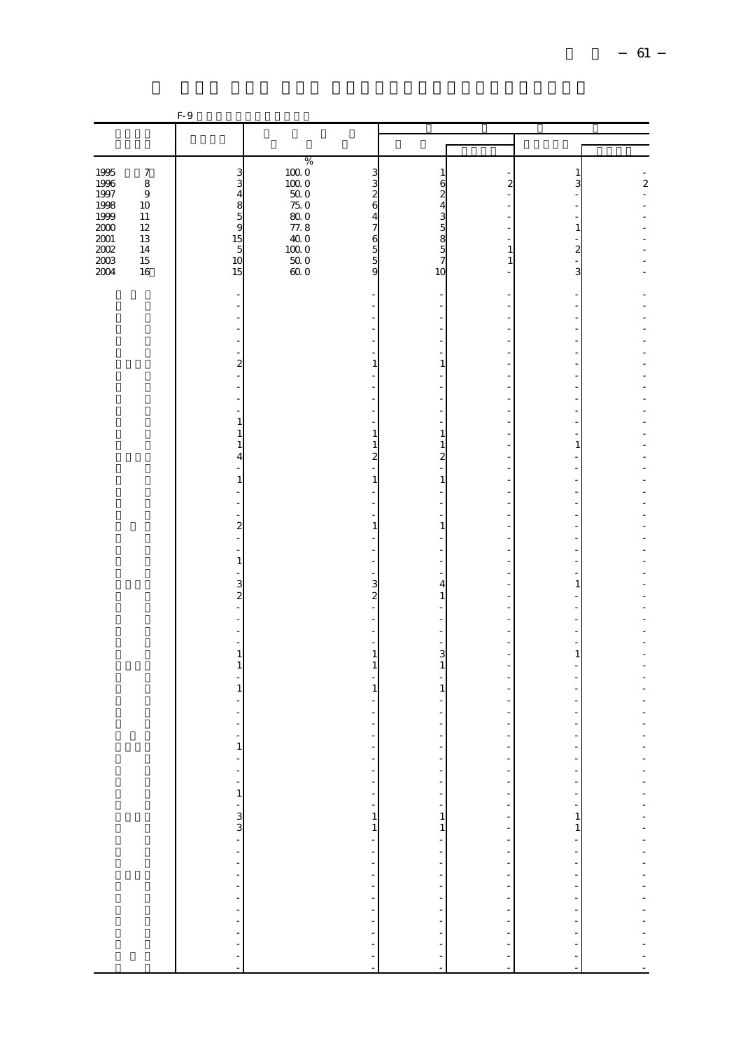|                      |                             | $F-9$                        |                                                                                                                        |                         |                          |                                             |                          |
|----------------------|-----------------------------|------------------------------|------------------------------------------------------------------------------------------------------------------------|-------------------------|--------------------------|---------------------------------------------|--------------------------|
|                      |                             |                              |                                                                                                                        |                         |                          |                                             |                          |
|                      |                             |                              | $\%$                                                                                                                   |                         |                          |                                             |                          |
| 1995<br>1996         | $\boldsymbol{7}$<br>$\,8\,$ |                              | $\begin{array}{c} 1000 \\ 10000 \\ 5000 \\ 7500 \\ 77.8 \\ 4000 \\ 5000 \\ 5000 \\ \textbf{600} \end{array}$<br>3<br>3 | 1<br>6                  | $\boldsymbol{z}$         | $\mathbf{1}$<br>3                           | $\overline{\mathcal{L}}$ |
| 1997<br>1998         | $\,9$                       |                              | $\frac{2}{6}$                                                                                                          | $\overline{\mathbf{c}}$ |                          |                                             | L,                       |
| 1999                 | $10\,$<br>11                |                              | 4                                                                                                                      | $\overline{4}$          |                          |                                             |                          |
| $2000\,$<br>$2001\,$ | 12<br>13                    |                              | $\overline{7}$<br>6                                                                                                    | $\frac{3}{7}$           |                          | $\,1\,$                                     |                          |
| $2002\,$             | 14                          |                              | $\overline{5}$                                                                                                         |                         | $\mathbf{1}$             | $\overline{\mathbf{c}}$                     |                          |
| $2003\,$<br>2004     | $15\,$<br>$16\,$            | 15                           | $\overline{5}$<br>9                                                                                                    | 10                      | $\mathbf{1}$             | -<br>3                                      |                          |
|                      |                             | -                            |                                                                                                                        |                         |                          |                                             |                          |
|                      |                             | $\qquad \qquad \blacksquare$ |                                                                                                                        |                         |                          |                                             |                          |
|                      |                             |                              |                                                                                                                        |                         |                          |                                             |                          |
|                      |                             | $\frac{1}{\sqrt{2}}$         |                                                                                                                        |                         |                          |                                             |                          |
|                      |                             | $\frac{1}{2}$                | $\mathbf{1}$                                                                                                           | 1                       |                          |                                             |                          |
|                      |                             |                              |                                                                                                                        |                         |                          |                                             |                          |
|                      |                             |                              |                                                                                                                        |                         |                          |                                             |                          |
|                      |                             | $\,1\,$                      |                                                                                                                        |                         |                          |                                             |                          |
|                      |                             | $\mathbf 1$<br>1             | $\mathbf{1}$<br>1                                                                                                      | 1<br>1                  |                          | 1                                           |                          |
|                      |                             | 4                            | $\overline{2}$                                                                                                         | $\overline{\mathbf{c}}$ |                          |                                             |                          |
|                      |                             | $\,1\,$                      | $\,1\,$                                                                                                                | $1\,$                   |                          |                                             |                          |
|                      |                             |                              |                                                                                                                        |                         |                          |                                             |                          |
|                      |                             | $\overline{a}$               | ÷,                                                                                                                     |                         |                          |                                             |                          |
|                      |                             | $\frac{2}{1}$                | $\mathbf{1}$<br>÷,                                                                                                     | $\mathbf{1}$            |                          |                                             |                          |
|                      |                             | $\mathbf{1}$                 |                                                                                                                        |                         |                          |                                             |                          |
|                      |                             |                              |                                                                                                                        |                         |                          |                                             |                          |
|                      |                             | $\frac{3}{2}$                | 3<br>$\overline{\mathcal{Z}}$                                                                                          | 4<br>$\mathbf{1}$       |                          | $\mathbf{1}$                                |                          |
|                      |                             |                              | $\overline{a}$                                                                                                         |                         |                          |                                             |                          |
|                      |                             |                              | L,                                                                                                                     |                         |                          |                                             |                          |
|                      |                             | ÷,<br>$\,1\,$                | $\,1\,$                                                                                                                | 3                       |                          | $\,1$                                       |                          |
|                      |                             | 1                            | 1                                                                                                                      | 1                       |                          |                                             |                          |
|                      |                             | $\,1\,$                      | $\,1\,$                                                                                                                | $\mathbf{1}$            |                          |                                             |                          |
|                      |                             |                              |                                                                                                                        |                         |                          |                                             |                          |
|                      |                             |                              |                                                                                                                        |                         |                          |                                             |                          |
|                      |                             | $\mathbf{1}$                 | $\overline{\phantom{0}}$                                                                                               |                         |                          |                                             |                          |
|                      |                             |                              |                                                                                                                        |                         | l,                       |                                             |                          |
|                      |                             |                              |                                                                                                                        | ÷,<br>÷,                | $\overline{\phantom{a}}$ | ÷,<br>÷,                                    |                          |
|                      |                             |                              |                                                                                                                        | $\frac{1}{1}$           |                          |                                             |                          |
|                      |                             |                              |                                                                                                                        |                         |                          | $\begin{bmatrix} 1 \\ 1 \\ 1 \end{bmatrix}$ |                          |
|                      |                             |                              |                                                                                                                        | $\mathbf{1}$            |                          |                                             |                          |
|                      |                             |                              |                                                                                                                        |                         | 医单位 医单位的 医单位             |                                             | ---------------------    |
|                      |                             |                              |                                                                                                                        |                         |                          |                                             |                          |
|                      |                             |                              |                                                                                                                        |                         |                          |                                             |                          |
|                      |                             |                              |                                                                                                                        | - - - - - - - - -       | $\frac{1}{2}$            | $\frac{1}{2}$                               |                          |
|                      |                             |                              |                                                                                                                        |                         |                          |                                             |                          |
|                      |                             |                              |                                                                                                                        |                         | $\frac{1}{2}$            |                                             |                          |
|                      |                             |                              |                                                                                                                        |                         |                          |                                             |                          |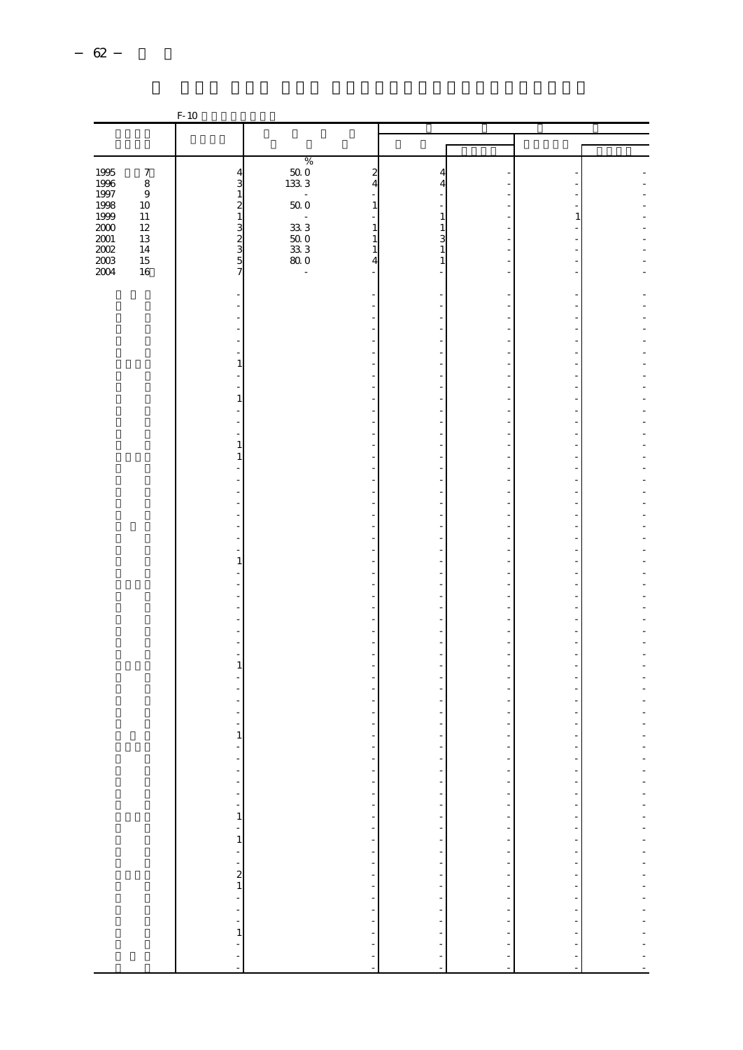|                                              |                  | $F-10$                                       |                                                                        |                                     |                           |                          |  |
|----------------------------------------------|------------------|----------------------------------------------|------------------------------------------------------------------------|-------------------------------------|---------------------------|--------------------------|--|
|                                              |                  |                                              |                                                                        |                                     |                           |                          |  |
|                                              |                  |                                              |                                                                        |                                     |                           |                          |  |
|                                              |                  |                                              |                                                                        |                                     |                           |                          |  |
| 1995<br>1996<br>1997<br>1998                 | $\boldsymbol{7}$ | $\frac{4}{3}$                                | $\begin{array}{c} \% \\ 50.0 \\ 133.3 \end{array}$<br>$\boldsymbol{2}$ | 4                                   |                           |                          |  |
|                                              | $\,$ 8 $\,$      |                                              |                                                                        | 4                                   |                           |                          |  |
|                                              | $\,9$<br>$10\,$  | $\,1\,$                                      | $50\;0$<br>1                                                           |                                     |                           |                          |  |
| 1999<br>1999<br>2000<br>2002<br>2003<br>2004 | $11\,$           | $\begin{smallmatrix}2\\1\end{smallmatrix}$   | $\sim$                                                                 | $\mathbf{1}$                        |                           | $\,1\,$                  |  |
|                                              | $12\,$           |                                              | $\begin{array}{c} 33\ 3 \\ 50\ 0 \end{array}$<br>1                     | $\mathbf{1}$                        |                           |                          |  |
|                                              | 13               |                                              | 1                                                                      | 3                                   |                           |                          |  |
|                                              | 14<br>$15\,$     |                                              | $\frac{33}{80}$ 3<br>1<br>4                                            | 1<br>1                              |                           |                          |  |
|                                              | 16               | $\begin{array}{c}\n3 \\ 3 \\ 5\n\end{array}$ | $\overline{a}$                                                         |                                     |                           |                          |  |
|                                              |                  |                                              |                                                                        |                                     |                           |                          |  |
|                                              |                  |                                              |                                                                        |                                     |                           |                          |  |
|                                              |                  |                                              |                                                                        |                                     |                           |                          |  |
|                                              |                  |                                              |                                                                        |                                     |                           |                          |  |
|                                              |                  |                                              |                                                                        |                                     |                           |                          |  |
|                                              |                  |                                              |                                                                        |                                     |                           |                          |  |
|                                              |                  | 1                                            |                                                                        |                                     |                           |                          |  |
|                                              |                  |                                              |                                                                        |                                     |                           |                          |  |
|                                              |                  | $\mathbf{1}$                                 |                                                                        |                                     |                           |                          |  |
|                                              |                  |                                              |                                                                        |                                     |                           |                          |  |
|                                              |                  |                                              |                                                                        |                                     |                           |                          |  |
|                                              |                  |                                              |                                                                        |                                     |                           |                          |  |
|                                              |                  | 1                                            |                                                                        |                                     |                           |                          |  |
|                                              |                  | 1                                            |                                                                        |                                     |                           |                          |  |
|                                              |                  |                                              |                                                                        |                                     |                           |                          |  |
|                                              |                  |                                              |                                                                        |                                     |                           |                          |  |
|                                              |                  |                                              |                                                                        |                                     |                           |                          |  |
|                                              |                  |                                              |                                                                        |                                     |                           |                          |  |
|                                              |                  |                                              |                                                                        |                                     |                           |                          |  |
|                                              |                  |                                              |                                                                        |                                     |                           |                          |  |
|                                              |                  | $\,1\,$                                      |                                                                        |                                     |                           |                          |  |
|                                              |                  |                                              |                                                                        |                                     |                           |                          |  |
|                                              |                  |                                              |                                                                        |                                     |                           |                          |  |
|                                              |                  |                                              |                                                                        |                                     |                           |                          |  |
|                                              |                  |                                              |                                                                        |                                     |                           |                          |  |
|                                              |                  |                                              |                                                                        |                                     |                           |                          |  |
|                                              |                  |                                              |                                                                        |                                     |                           |                          |  |
|                                              |                  |                                              |                                                                        |                                     |                           |                          |  |
|                                              |                  | $\mathbf{1}$                                 |                                                                        |                                     |                           |                          |  |
|                                              |                  |                                              |                                                                        |                                     |                           |                          |  |
|                                              |                  |                                              |                                                                        |                                     |                           |                          |  |
|                                              |                  |                                              |                                                                        |                                     |                           |                          |  |
|                                              |                  |                                              |                                                                        |                                     |                           |                          |  |
|                                              |                  | $\mathbf{1}$                                 |                                                                        |                                     |                           |                          |  |
|                                              |                  |                                              |                                                                        |                                     |                           |                          |  |
|                                              |                  |                                              | f                                                                      |                                     | ÷,                        | f                        |  |
|                                              |                  |                                              | f                                                                      | $\frac{1}{2}$                       | $\ddot{\phantom{a}}$      | $\overline{\phantom{a}}$ |  |
|                                              |                  |                                              |                                                                        |                                     |                           | Ť,                       |  |
|                                              |                  |                                              |                                                                        |                                     |                           |                          |  |
|                                              |                  |                                              |                                                                        |                                     |                           |                          |  |
|                                              |                  |                                              |                                                                        |                                     |                           |                          |  |
|                                              |                  |                                              | 化亚甲基苯甲基苯甲基苯甲基苯甲基苯甲基                                                    | - - - - - - - - - - - - - - - - - - | 医水中性 医水中性 医血管中枢 医血管中枢 医血管 |                          |  |
|                                              |                  |                                              |                                                                        |                                     |                           |                          |  |
|                                              |                  |                                              |                                                                        |                                     |                           |                          |  |
|                                              |                  |                                              |                                                                        |                                     |                           |                          |  |
|                                              |                  |                                              |                                                                        |                                     |                           |                          |  |
|                                              |                  |                                              |                                                                        |                                     |                           |                          |  |
|                                              |                  |                                              |                                                                        |                                     |                           |                          |  |
|                                              |                  |                                              |                                                                        |                                     |                           |                          |  |
|                                              |                  |                                              |                                                                        |                                     |                           |                          |  |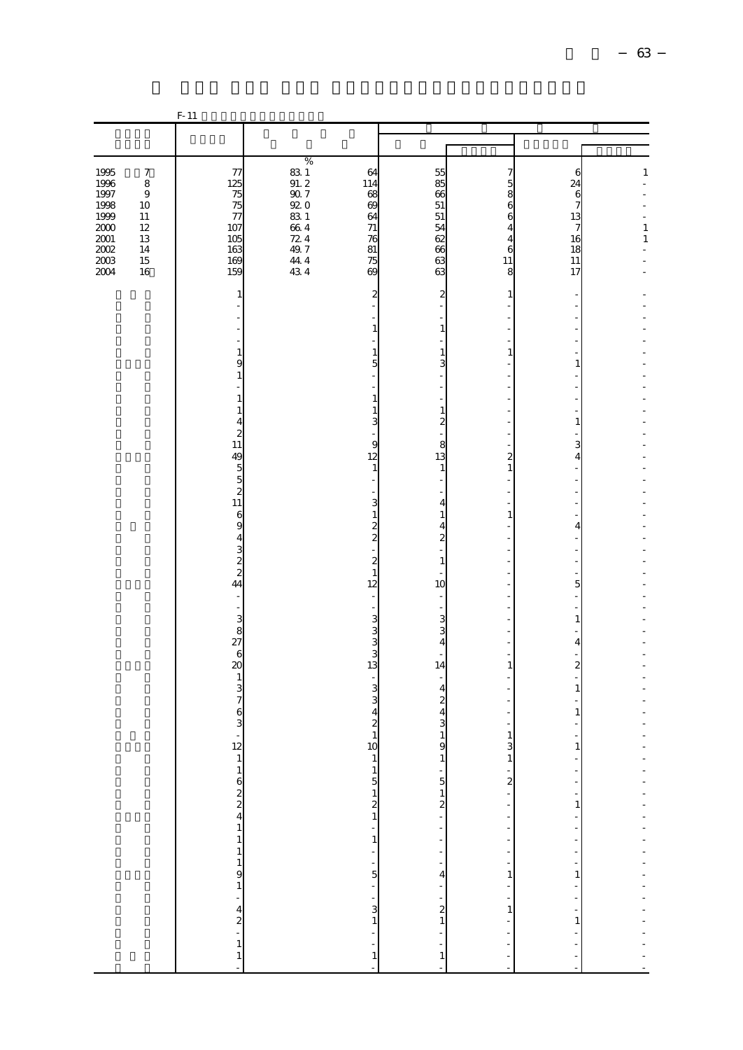|                                                                                      |                                                                                  | $F-11$                                                                                                          |                                                                                                      |                                                         |                                                                                   |                                             |                                                       |                                              |
|--------------------------------------------------------------------------------------|----------------------------------------------------------------------------------|-----------------------------------------------------------------------------------------------------------------|------------------------------------------------------------------------------------------------------|---------------------------------------------------------|-----------------------------------------------------------------------------------|---------------------------------------------|-------------------------------------------------------|----------------------------------------------|
|                                                                                      |                                                                                  |                                                                                                                 |                                                                                                      |                                                         |                                                                                   |                                             |                                                       |                                              |
|                                                                                      |                                                                                  |                                                                                                                 |                                                                                                      |                                                         |                                                                                   |                                             |                                                       |                                              |
| 1995<br>1996<br>1997<br>1998<br>1999<br>$2000\,$<br>$2001\,$<br>$2002\,$<br>$2003\,$ | $\boldsymbol{7}$<br>$\,$ 8 $\,$<br>$\,9$<br>10<br>11<br>$12\,$<br>13<br>14<br>15 | $\frac{77}{125}$<br>75<br>75<br>$\overline{77}$<br>107<br>105<br>163<br>169                                     | %<br>$83\ 1$<br>$91.\;2$<br>$90\ 7$<br>92.0<br>$\frac{83}{66}$ 4<br>$724$<br>$497$<br>$444$<br>$434$ | 64<br>114<br>68<br>69<br>64<br>$71\,$<br>76<br>81<br>75 | $\begin{array}{c} 55 \\ 85 \end{array}$<br>66<br>51<br>51<br>54<br>62<br>66<br>63 | 7<br>5<br>8<br>6<br>6<br>4<br>4<br>6<br>11  | 6<br>24<br>$\frac{6}{7}$<br>13<br>7<br>16<br>18<br>11 | $\mathbf{1}$<br>$\mathbf{1}$<br>$\mathbf{1}$ |
| 2004                                                                                 | 16                                                                               | 159                                                                                                             |                                                                                                      | 69                                                      | 63                                                                                | 8                                           | 17                                                    |                                              |
|                                                                                      |                                                                                  | 1                                                                                                               |                                                                                                      | $\overline{\mathbf{c}}$                                 | 2                                                                                 | 1                                           |                                                       |                                              |
|                                                                                      |                                                                                  |                                                                                                                 |                                                                                                      | $\mathbf{1}$                                            | 1                                                                                 |                                             |                                                       |                                              |
|                                                                                      |                                                                                  | $\,1\,$                                                                                                         |                                                                                                      | $1\,$                                                   | 1                                                                                 | $\mathbf{1}$                                |                                                       |                                              |
|                                                                                      |                                                                                  | 9<br>$\mathbf{1}$                                                                                               |                                                                                                      | 5                                                       | 3                                                                                 |                                             | 1                                                     |                                              |
|                                                                                      |                                                                                  | $\mathbf{1}$                                                                                                    |                                                                                                      | $\mathbf{1}$                                            |                                                                                   |                                             |                                                       |                                              |
|                                                                                      |                                                                                  | $\,1\,$<br>$\begin{array}{c} 4 \\ 2 \\ 11 \end{array}$                                                          |                                                                                                      | $\mathbf{1}$<br>3                                       | 1<br>$\mathbf{z}$                                                                 |                                             | $\mathbf{1}$                                          |                                              |
|                                                                                      |                                                                                  |                                                                                                                 |                                                                                                      | 9                                                       | 8                                                                                 |                                             | $\frac{3}{4}$                                         |                                              |
|                                                                                      |                                                                                  | $\frac{49}{11}$ and $\frac{49}{11}$                                                                             |                                                                                                      | 12<br>$\mathbf{1}$                                      | 13<br>1                                                                           | 2<br>$\mathbf{1}$                           |                                                       |                                              |
|                                                                                      |                                                                                  |                                                                                                                 |                                                                                                      |                                                         |                                                                                   |                                             |                                                       |                                              |
|                                                                                      |                                                                                  |                                                                                                                 |                                                                                                      | 3<br>$\,1\,$                                            | 4<br>1                                                                            | $\mathbf{1}$                                |                                                       |                                              |
|                                                                                      |                                                                                  | $\frac{6}{9}$                                                                                                   |                                                                                                      | $\frac{2}{2}$                                           | 4                                                                                 |                                             | $\overline{4}$                                        |                                              |
|                                                                                      |                                                                                  | $\overline{\mathbf{4}}$                                                                                         |                                                                                                      | $\overline{a}$                                          | $\overline{\mathbf{c}}$                                                           |                                             |                                                       |                                              |
|                                                                                      |                                                                                  | $\frac{a}{2}$                                                                                                   |                                                                                                      | $\overline{\mathcal{Z}}$<br>$\mathbf{1}$                | 1                                                                                 |                                             |                                                       |                                              |
|                                                                                      |                                                                                  | $\overline{\phantom{a}}$                                                                                        |                                                                                                      | 12<br>÷,                                                | 10                                                                                |                                             | 5                                                     |                                              |
|                                                                                      |                                                                                  |                                                                                                                 |                                                                                                      |                                                         | 3                                                                                 |                                             | $\,1\,$                                               |                                              |
|                                                                                      |                                                                                  | $\begin{array}{c}\n3 \\ 8 \\ 27\n\end{array}$                                                                   |                                                                                                      | $\frac{3}{3}$                                           | 3                                                                                 |                                             |                                                       |                                              |
|                                                                                      |                                                                                  | $\overline{6}$                                                                                                  |                                                                                                      | 3<br>3                                                  | $\overline{4}$                                                                    |                                             | $\overline{4}$                                        |                                              |
|                                                                                      |                                                                                  | $\overline{20}$<br>$\,1\,$                                                                                      |                                                                                                      | 13<br>$\frac{1}{2}$                                     | 14                                                                                | 1                                           | $\overline{\mathbf{c}}$                               |                                              |
|                                                                                      |                                                                                  | $\frac{3}{7}$                                                                                                   |                                                                                                      | 3<br>3                                                  | 4<br>$\overline{c}$                                                               |                                             | $\,1\,$                                               |                                              |
|                                                                                      |                                                                                  | $\frac{6}{3}$                                                                                                   |                                                                                                      | $\overline{4}$<br>$\boldsymbol{z}$                      | 4<br>3                                                                            |                                             | $\,1\,$                                               |                                              |
|                                                                                      |                                                                                  | $\overline{\phantom{a}}$                                                                                        |                                                                                                      | $\mathbf{1}$                                            | 1                                                                                 | 1                                           |                                                       |                                              |
|                                                                                      |                                                                                  | 12                                                                                                              |                                                                                                      | 10                                                      | 9<br>$\mathbf{1}$                                                                 | 3<br>$\left  \right $                       | $\mathbf{1}$                                          |                                              |
|                                                                                      |                                                                                  |                                                                                                                 |                                                                                                      |                                                         |                                                                                   | j,<br>$\overline{\mathcal{L}}$              | ÷,<br>÷                                               |                                              |
|                                                                                      |                                                                                  |                                                                                                                 |                                                                                                      |                                                         | $\frac{5}{1}$                                                                     | $\frac{1}{2}$                               | ÷<br>$\mathbf{1}$                                     |                                              |
|                                                                                      |                                                                                  |                                                                                                                 |                                                                                                      |                                                         | $\frac{2}{1}$                                                                     |                                             | $\overline{\phantom{a}}$                              |                                              |
|                                                                                      |                                                                                  |                                                                                                                 |                                                                                                      |                                                         | $\frac{1}{2}$                                                                     | $\frac{1}{2}$                               | $\frac{1}{2}$                                         |                                              |
|                                                                                      |                                                                                  |                                                                                                                 |                                                                                                      |                                                         | $\frac{1}{2}$                                                                     | $\begin{bmatrix} 1 \\ 1 \\ 1 \end{bmatrix}$ | $\frac{1}{1}$                                         |                                              |
|                                                                                      |                                                                                  |                                                                                                                 |                                                                                                      |                                                         | 4<br>÷                                                                            |                                             |                                                       |                                              |
|                                                                                      |                                                                                  | $\frac{1}{1}$ $\frac{1}{2}$ $\frac{1}{2}$ $\frac{1}{2}$ $\frac{1}{2}$ $\frac{1}{2}$ $\frac{1}{2}$ $\frac{1}{2}$ |                                                                                                      |                                                         |                                                                                   | $\begin{bmatrix} 1 \\ 1 \\ 1 \end{bmatrix}$ | $\frac{1}{1}$                                         | ----------------------                       |
|                                                                                      |                                                                                  |                                                                                                                 |                                                                                                      |                                                         | $\frac{1}{2}$                                                                     |                                             | $\mathbf{1}$                                          |                                              |
|                                                                                      |                                                                                  |                                                                                                                 |                                                                                                      |                                                         | $\begin{array}{c} \begin{array}{c} \hline \end{array} \\ \hline \end{array}$      |                                             |                                                       |                                              |
|                                                                                      |                                                                                  |                                                                                                                 |                                                                                                      |                                                         |                                                                                   |                                             |                                                       |                                              |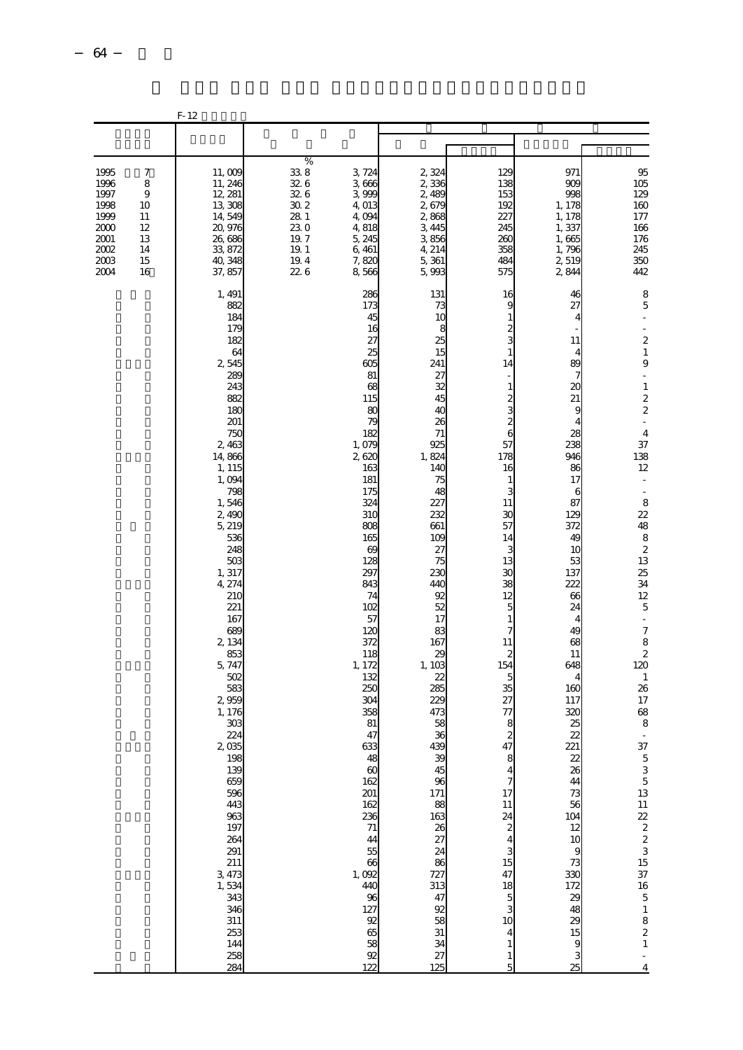|                                                                              |                                                       | $F-12$                                                                                                                                                                                                                                                                                                                                                                                                                                                                 |                                                                                            |                                                                                                                                                                                                                                                                                                                                                                                                                     |                                                                                                                                                                                                                                                                                                                                                                                                                        |                                                                                                                                                                                                                                                                                     |                                                                                                                                                                                                                                                                                                                                                        |                                                                                                                                                                                                                                                                                                                                                                                                                                                                                                                                                                                                          |
|------------------------------------------------------------------------------|-------------------------------------------------------|------------------------------------------------------------------------------------------------------------------------------------------------------------------------------------------------------------------------------------------------------------------------------------------------------------------------------------------------------------------------------------------------------------------------------------------------------------------------|--------------------------------------------------------------------------------------------|---------------------------------------------------------------------------------------------------------------------------------------------------------------------------------------------------------------------------------------------------------------------------------------------------------------------------------------------------------------------------------------------------------------------|------------------------------------------------------------------------------------------------------------------------------------------------------------------------------------------------------------------------------------------------------------------------------------------------------------------------------------------------------------------------------------------------------------------------|-------------------------------------------------------------------------------------------------------------------------------------------------------------------------------------------------------------------------------------------------------------------------------------|--------------------------------------------------------------------------------------------------------------------------------------------------------------------------------------------------------------------------------------------------------------------------------------------------------------------------------------------------------|----------------------------------------------------------------------------------------------------------------------------------------------------------------------------------------------------------------------------------------------------------------------------------------------------------------------------------------------------------------------------------------------------------------------------------------------------------------------------------------------------------------------------------------------------------------------------------------------------------|
|                                                                              |                                                       |                                                                                                                                                                                                                                                                                                                                                                                                                                                                        |                                                                                            |                                                                                                                                                                                                                                                                                                                                                                                                                     |                                                                                                                                                                                                                                                                                                                                                                                                                        |                                                                                                                                                                                                                                                                                     |                                                                                                                                                                                                                                                                                                                                                        |                                                                                                                                                                                                                                                                                                                                                                                                                                                                                                                                                                                                          |
| 1995<br>1996<br>1997<br>1998<br>1999<br>2000<br>2001<br>2002<br>2003<br>2004 | 7<br>8<br>9<br>10<br>11<br>12<br>13<br>14<br>15<br>16 | 11,009<br>11, 246<br>12, 281<br>13,308<br>14,549<br>20, 976<br>26,686<br>33, 872<br>40, 348<br>37, 857                                                                                                                                                                                                                                                                                                                                                                 | %<br>338<br>32.6<br>32.6<br>$30\,2$<br>28 1<br>230<br>19.7<br>$19\!\!.$ $1$<br>19.4<br>226 | 3,724<br>3,666<br>3,999<br>4,013<br>4,094<br>4,818<br>5, 245<br>6,461<br>7,820<br>8,566                                                                                                                                                                                                                                                                                                                             | 2,324<br>2,336<br>2,489<br>2,679<br>2,868<br>3, 445<br>3,856<br>4, 214<br>5,361<br>5,993                                                                                                                                                                                                                                                                                                                               | 125<br>138<br>153<br>192<br>227<br>245<br>260<br>358<br>484<br>575                                                                                                                                                                                                                  | 971<br>900<br>998<br>1, 178<br>1, 178<br>1,337<br>1,665<br>1,796<br>2,519<br>2,844                                                                                                                                                                                                                                                                     | 95<br>105<br>129<br>160<br>177<br>166<br>176<br>245<br>350<br>442                                                                                                                                                                                                                                                                                                                                                                                                                                                                                                                                        |
|                                                                              |                                                       | 1, 491<br>882<br>184<br>179<br>182<br>64<br>2,545<br>289<br>243<br>882<br>18C<br>201<br>750<br>2,463<br>14,866<br>1, 115<br>1,094<br>798<br>1,546<br>2,490<br>5, 219<br>536<br>248<br>503<br>1, 317<br>4, 274<br>210<br>221<br>167<br>689<br>2, 134<br>853<br>5, 747<br>502<br>583<br>2,959<br>1, 176<br>303<br>224<br>2,035<br>198<br>139<br>659<br>596<br>443<br>963<br>197<br>264<br>291<br>211<br>3, 473<br>1,534<br>343<br>346<br>311<br>253<br>144<br>258<br>284 |                                                                                            | 286<br>173<br>45<br>16<br>27<br>25<br>605<br>81<br>68<br>115<br>80<br>79<br>182<br>1,079<br>2620<br>163<br>181<br>175<br>324<br>310<br>808<br>165<br>69<br>128<br>297<br>843<br>74<br>102<br>57<br>12C<br>372<br>118<br>1, 172<br>132<br>250<br>304<br>358<br>81<br>47<br>633<br>48<br>$\infty$<br>162<br>201<br>162<br>236<br>$71\,$<br>44<br>55<br>66<br>1,092<br>440<br>96<br>127<br>92<br>65<br>58<br>92<br>122 | 131<br>73<br>10<br>8<br>25<br>15<br>241<br>27<br>32<br>45<br>40<br>26<br>71<br>925<br>1,824<br>14C<br>75<br>48<br>227<br>232<br>661<br>10 <sup>c</sup><br>27<br>75<br>23C<br>440<br>92<br>52<br>17<br>83<br>167<br>$\infty$<br>1,103<br>22<br>285<br>229<br>473<br>58<br>36<br>439<br>39<br>45<br>96<br>171<br>88<br>163<br>26<br>$\overline{27}$<br>24<br>86<br>727<br>313<br>47<br>92<br>58<br>31<br>34<br>27<br>125 | 16<br>Ç<br>14<br>57<br>178<br>16<br>1<br>11<br>30<br>57<br>14<br>3<br>13<br>ЗC<br>38<br>12<br>5<br>1<br>11<br>2<br>154<br>5<br>35<br>27<br>77<br>8<br>2<br>47<br>7<br>17<br>11<br>24<br>$\boldsymbol{z}$<br>4<br>3<br>15<br>47<br>18<br>5<br>3<br>10<br>4<br>$\mathbf{1}$<br>1<br>5 | 46<br>27<br>4<br>11<br>4<br>89<br>7<br>20<br>21<br>9<br>4<br>28<br>238<br>946<br>86<br>17<br>6<br>87<br>129<br>372<br>49<br>10<br>53<br>137<br>222<br>66<br>24<br>4<br>49<br>68<br>11<br>648<br>160<br>117<br>320<br>25<br>22<br>221<br>22<br>26<br>44<br>73<br>56<br>104<br>12<br>10<br>9<br>73<br>330<br>172<br>29<br>48<br>29<br>15<br>9<br>3<br>25 | 8<br>$\overline{5}$<br>$\frac{1}{2}$<br>÷,<br>$\overline{\mathcal{L}}$<br>$\,1\,$<br>9<br>$\frac{1}{2}$<br>$\,1\,$<br>$\frac{2}{2}$<br>$\overline{\phantom{a}}$<br>$\overline{4}$<br>37<br>138<br>12<br>$\overline{\phantom{a}}$<br>$\bar{z}$<br>8<br>22<br>48<br>8<br>$\overline{\mathcal{L}}$<br>13<br>25<br>34<br>12<br>5<br>÷<br>$\boldsymbol{7}$<br>$\begin{array}{c} 8 \\ 2 \end{array}$<br>120<br>$\mathbf{1}$<br>26<br>17<br>68<br>8<br>37<br>$\begin{array}{c} 5 \\ 3 \\ 5 \\ 13 \end{array}$<br>$122223$<br>$2331651$<br>$1651$<br>$\begin{array}{c} 8 \\ 2 \\ 1 \end{array}$<br>$\frac{1}{4}$ |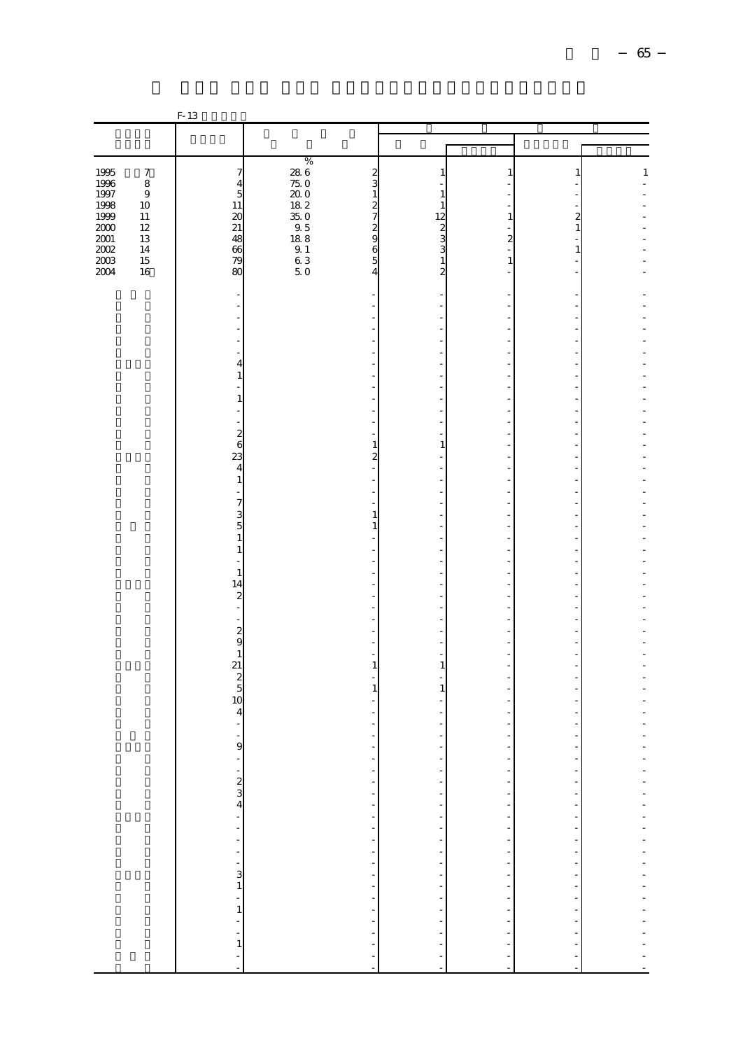|                                             |                  | $F-13$                                        |                                                       |                               |                |                          |              |
|---------------------------------------------|------------------|-----------------------------------------------|-------------------------------------------------------|-------------------------------|----------------|--------------------------|--------------|
|                                             |                  |                                               |                                                       |                               |                |                          |              |
|                                             |                  |                                               |                                                       |                               |                |                          |              |
|                                             |                  |                                               | $\%$                                                  |                               |                |                          |              |
| $\begin{array}{c} 1995 \\ 1996 \end{array}$ | $\boldsymbol{7}$ | $\overline{7}$                                | $\frac{28}{75}$ 0<br>$\frac{2}{3}$                    |                               | $\mathbf{1}$   | 1                        | $\mathbf{1}$ |
|                                             | $\,$ 8 $\,$      | $\frac{4}{21}$<br>21<br>21                    |                                                       |                               |                |                          |              |
| $1997\,$<br>1998                            | $\,9$<br>10      |                                               | $\frac{200}{182}$<br>$\mathbf{1}$<br>$\boldsymbol{z}$ | 1<br>1                        |                |                          |              |
| 1999                                        | $11\,$           |                                               | $\overline{7}$                                        | 12                            | $\mathbf{1}$   | $\overline{\mathbf{c}}$  |              |
| $2000\,$                                    | $12\,$           |                                               | $\frac{150}{350}$<br>$\frac{0}{188}$<br>$_{9}^2$      | $\frac{2}{3}$                 |                | $\,1\,$                  |              |
| $\frac{2001}{2002}$                         | $13\,$           | 48                                            |                                                       |                               | $\overline{c}$ |                          |              |
|                                             | $14\,$<br>15     | 66<br>$\overline{79}$                         | $\frac{91}{63}$<br>50<br>6<br>5                       | 3<br>1                        | $\mathbf{1}$   | $\,1\,$                  |              |
| 2004                                        | 16               | 80                                            | $\overline{a}$                                        | 2                             |                |                          |              |
|                                             |                  |                                               |                                                       |                               |                |                          |              |
|                                             |                  |                                               |                                                       |                               |                |                          |              |
|                                             |                  |                                               |                                                       |                               |                |                          |              |
|                                             |                  |                                               |                                                       |                               |                |                          |              |
|                                             |                  |                                               |                                                       |                               |                |                          |              |
|                                             |                  |                                               |                                                       |                               |                |                          |              |
|                                             |                  | 4                                             |                                                       |                               |                |                          |              |
|                                             |                  | 1                                             |                                                       |                               |                |                          |              |
|                                             |                  | 1                                             |                                                       |                               |                |                          |              |
|                                             |                  |                                               |                                                       |                               |                |                          |              |
|                                             |                  |                                               |                                                       |                               |                |                          |              |
|                                             |                  | $\begin{array}{c}\n2 \\ 6 \\ 23\n\end{array}$ |                                                       |                               |                |                          |              |
|                                             |                  |                                               | $\mathbf{1}$                                          | 1                             |                |                          |              |
|                                             |                  | $\overline{4}$                                | $\overline{\mathbf{c}}$                               |                               |                |                          |              |
|                                             |                  | $\,1\,$                                       |                                                       |                               |                |                          |              |
|                                             |                  |                                               |                                                       |                               |                |                          |              |
|                                             |                  |                                               |                                                       |                               |                |                          |              |
|                                             |                  | $\begin{array}{c} 7 \\ 3 \\ 5 \end{array}$    | $1\,$                                                 |                               |                |                          |              |
|                                             |                  | $\,1\,$                                       | $\mathbf{1}$                                          |                               |                |                          |              |
|                                             |                  | $\,1\,$                                       |                                                       |                               |                |                          |              |
|                                             |                  |                                               |                                                       |                               |                |                          |              |
|                                             |                  | $1\,$                                         |                                                       |                               |                |                          |              |
|                                             |                  | 14                                            |                                                       |                               |                |                          |              |
|                                             |                  | $\boldsymbol{z}$                              |                                                       |                               |                |                          |              |
|                                             |                  |                                               |                                                       |                               |                |                          |              |
|                                             |                  |                                               |                                                       |                               |                |                          |              |
|                                             |                  | $\frac{2}{9}$                                 |                                                       |                               |                |                          |              |
|                                             |                  | $\mathbf{1}$                                  | ä,                                                    |                               |                |                          |              |
|                                             |                  | 21                                            | $\mathbf{1}$                                          | 1                             |                |                          |              |
|                                             |                  | $\frac{1}{2}$<br>10                           | $\mathbf{1}$                                          | 1                             |                |                          |              |
|                                             |                  |                                               |                                                       |                               |                |                          |              |
|                                             |                  | $\overline{\mathbf{4}}$                       |                                                       |                               |                |                          |              |
|                                             |                  |                                               |                                                       |                               |                |                          |              |
|                                             |                  | 9                                             |                                                       |                               |                |                          |              |
|                                             |                  |                                               | $\overline{a}$                                        |                               |                |                          |              |
|                                             |                  |                                               |                                                       |                               | ÷,             | f                        |              |
|                                             |                  |                                               |                                                       |                               | ł,             | ÷                        |              |
|                                             |                  |                                               |                                                       |                               | ÷,             | ÷                        |              |
|                                             |                  |                                               |                                                       | $\overline{a}$                | $\frac{1}{2}$  | f                        |              |
|                                             |                  |                                               |                                                       | -<br>$\overline{\phantom{a}}$ |                | $\overline{\phantom{a}}$ |              |
|                                             |                  |                                               |                                                       | ÷                             | $\frac{1}{2}$  | $\frac{1}{2}$            |              |
|                                             |                  |                                               |                                                       | ÷,                            |                |                          |              |
|                                             |                  |                                               |                                                       | f                             | $\frac{1}{2}$  | $\frac{1}{2}$            |              |
|                                             |                  |                                               |                                                       | $\overline{\phantom{a}}$      |                |                          |              |
|                                             |                  |                                               |                                                       | $\overline{\phantom{a}}$      | f              | $\overline{\phantom{a}}$ |              |
|                                             |                  |                                               |                                                       | $\frac{1}{1}$                 | $\frac{1}{2}$  | $\frac{1}{1}$            |              |
|                                             |                  |                                               |                                                       | f                             | ÷,             | f                        |              |
|                                             |                  | $\frac{1}{1}$                                 |                                                       |                               |                | f                        |              |
|                                             |                  |                                               |                                                       |                               |                |                          |              |
|                                             |                  |                                               |                                                       |                               |                | $\frac{1}{2}$            |              |
|                                             |                  |                                               |                                                       |                               |                |                          |              |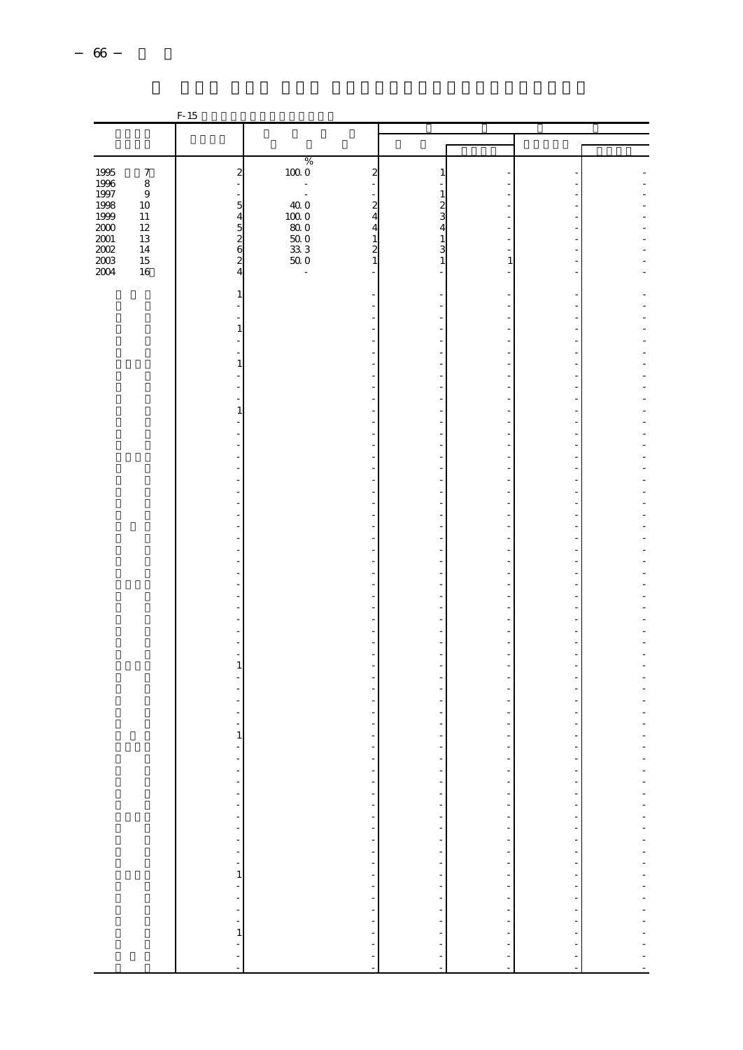|                                             |                  | F-15                                                                                                           |                                                                                    |                     |                                                                                                                                                                                                                                |               |  |
|---------------------------------------------|------------------|----------------------------------------------------------------------------------------------------------------|------------------------------------------------------------------------------------|---------------------|--------------------------------------------------------------------------------------------------------------------------------------------------------------------------------------------------------------------------------|---------------|--|
|                                             |                  |                                                                                                                |                                                                                    |                     |                                                                                                                                                                                                                                |               |  |
|                                             |                  |                                                                                                                |                                                                                    |                     |                                                                                                                                                                                                                                |               |  |
|                                             |                  |                                                                                                                |                                                                                    |                     |                                                                                                                                                                                                                                |               |  |
|                                             | $\boldsymbol{7}$ | $\boldsymbol{z}$                                                                                               | $\begin{smallmatrix} & \mathcal{U} \\ 100 & 0 \end{smallmatrix}$<br>$\overline{c}$ | 1                   |                                                                                                                                                                                                                                |               |  |
| $\begin{array}{c} 1995 \\ 1996 \end{array}$ | $\,$ 8 $\,$      |                                                                                                                |                                                                                    |                     |                                                                                                                                                                                                                                |               |  |
| 1997<br>1998                                | $\,9$            |                                                                                                                | ÷,                                                                                 | 1                   |                                                                                                                                                                                                                                |               |  |
|                                             | $10\,$           | 5                                                                                                              | 40. O<br>$\overline{\mathbf{c}}$                                                   | $\boldsymbol{z}$    |                                                                                                                                                                                                                                |               |  |
| 1999                                        | $11\,$           | $\begin{array}{c}\n 4 \\  2 \\  0\n \end{array}$                                                               | $\begin{array}{c} 10000 \\ 8000 \\ 5000 \end{array}$<br>$\overline{4}$             | 3                   |                                                                                                                                                                                                                                |               |  |
| $2000\,$                                    | $12\,$           |                                                                                                                | 4                                                                                  | 4                   |                                                                                                                                                                                                                                |               |  |
| $2001\,$                                    | $13\,$<br>14     |                                                                                                                | 1<br>$\overline{c}$                                                                | 1<br>3              |                                                                                                                                                                                                                                |               |  |
| $\frac{2002}{2003}$                         | $15\,$           |                                                                                                                | $\frac{33}{50}$ 3<br>$\mathbf{1}$                                                  | 1                   | $\mathbf{1}$                                                                                                                                                                                                                   |               |  |
| 2004                                        | 16               | $\overline{4}$                                                                                                 | $\blacksquare$                                                                     |                     |                                                                                                                                                                                                                                |               |  |
|                                             |                  |                                                                                                                |                                                                                    |                     |                                                                                                                                                                                                                                |               |  |
|                                             |                  | 1                                                                                                              |                                                                                    |                     |                                                                                                                                                                                                                                |               |  |
|                                             |                  |                                                                                                                |                                                                                    |                     |                                                                                                                                                                                                                                |               |  |
|                                             |                  |                                                                                                                |                                                                                    |                     |                                                                                                                                                                                                                                |               |  |
|                                             |                  | $\mathbf{1}$                                                                                                   |                                                                                    |                     |                                                                                                                                                                                                                                |               |  |
|                                             |                  |                                                                                                                |                                                                                    |                     |                                                                                                                                                                                                                                |               |  |
|                                             |                  | 1                                                                                                              |                                                                                    |                     |                                                                                                                                                                                                                                |               |  |
|                                             |                  |                                                                                                                |                                                                                    |                     |                                                                                                                                                                                                                                |               |  |
|                                             |                  |                                                                                                                |                                                                                    |                     |                                                                                                                                                                                                                                |               |  |
|                                             |                  |                                                                                                                |                                                                                    |                     |                                                                                                                                                                                                                                |               |  |
|                                             |                  | 1                                                                                                              |                                                                                    |                     |                                                                                                                                                                                                                                |               |  |
|                                             |                  |                                                                                                                |                                                                                    |                     |                                                                                                                                                                                                                                |               |  |
|                                             |                  |                                                                                                                |                                                                                    |                     |                                                                                                                                                                                                                                |               |  |
|                                             |                  |                                                                                                                |                                                                                    |                     |                                                                                                                                                                                                                                |               |  |
|                                             |                  |                                                                                                                |                                                                                    |                     |                                                                                                                                                                                                                                |               |  |
|                                             |                  |                                                                                                                |                                                                                    |                     |                                                                                                                                                                                                                                |               |  |
|                                             |                  |                                                                                                                |                                                                                    |                     |                                                                                                                                                                                                                                |               |  |
|                                             |                  |                                                                                                                |                                                                                    |                     |                                                                                                                                                                                                                                |               |  |
|                                             |                  |                                                                                                                |                                                                                    |                     |                                                                                                                                                                                                                                |               |  |
|                                             |                  |                                                                                                                |                                                                                    |                     |                                                                                                                                                                                                                                |               |  |
|                                             |                  |                                                                                                                |                                                                                    |                     |                                                                                                                                                                                                                                |               |  |
|                                             |                  |                                                                                                                |                                                                                    |                     |                                                                                                                                                                                                                                |               |  |
|                                             |                  |                                                                                                                |                                                                                    |                     |                                                                                                                                                                                                                                |               |  |
|                                             |                  |                                                                                                                |                                                                                    |                     |                                                                                                                                                                                                                                |               |  |
|                                             |                  |                                                                                                                |                                                                                    |                     |                                                                                                                                                                                                                                |               |  |
|                                             |                  |                                                                                                                |                                                                                    |                     |                                                                                                                                                                                                                                |               |  |
|                                             |                  |                                                                                                                |                                                                                    |                     |                                                                                                                                                                                                                                |               |  |
|                                             |                  |                                                                                                                |                                                                                    |                     |                                                                                                                                                                                                                                |               |  |
|                                             |                  |                                                                                                                |                                                                                    |                     |                                                                                                                                                                                                                                |               |  |
|                                             |                  |                                                                                                                |                                                                                    |                     |                                                                                                                                                                                                                                |               |  |
|                                             |                  | 1                                                                                                              |                                                                                    |                     |                                                                                                                                                                                                                                |               |  |
|                                             |                  |                                                                                                                |                                                                                    |                     |                                                                                                                                                                                                                                |               |  |
|                                             |                  |                                                                                                                |                                                                                    |                     |                                                                                                                                                                                                                                |               |  |
|                                             |                  |                                                                                                                |                                                                                    |                     |                                                                                                                                                                                                                                |               |  |
|                                             |                  |                                                                                                                |                                                                                    |                     |                                                                                                                                                                                                                                |               |  |
|                                             |                  |                                                                                                                |                                                                                    |                     |                                                                                                                                                                                                                                |               |  |
|                                             |                  | $1\,$                                                                                                          |                                                                                    |                     |                                                                                                                                                                                                                                |               |  |
|                                             |                  |                                                                                                                |                                                                                    |                     |                                                                                                                                                                                                                                |               |  |
|                                             |                  |                                                                                                                |                                                                                    | f                   | ÷,                                                                                                                                                                                                                             | ÷,            |  |
|                                             |                  |                                                                                                                | ÷                                                                                  | ÷,                  | ÷,                                                                                                                                                                                                                             | ÷             |  |
|                                             |                  |                                                                                                                |                                                                                    |                     | $\overline{\phantom{a}}$                                                                                                                                                                                                       | ÷             |  |
|                                             |                  |                                                                                                                |                                                                                    |                     | $\frac{1}{2}$                                                                                                                                                                                                                  |               |  |
|                                             |                  |                                                                                                                |                                                                                    |                     |                                                                                                                                                                                                                                | $\frac{1}{2}$ |  |
|                                             |                  |                                                                                                                |                                                                                    |                     |                                                                                                                                                                                                                                |               |  |
|                                             |                  | 1989 - Paris Paris Paris Paris Paris Paris Paris Paris Paris Paris Paris Paris Paris Paris Paris Paris Paris P | - - - - - - - - - - - - - - - - - - -                                              | ナイナ ディー・ディー・ディー・ディー | and the company of the company of the company of the company of the company of the company of the company of the company of the company of the company of the company of the company of the company of the company of the comp |               |  |
|                                             |                  |                                                                                                                |                                                                                    |                     |                                                                                                                                                                                                                                |               |  |
|                                             |                  |                                                                                                                |                                                                                    |                     |                                                                                                                                                                                                                                |               |  |
|                                             |                  |                                                                                                                |                                                                                    |                     |                                                                                                                                                                                                                                |               |  |
|                                             |                  |                                                                                                                |                                                                                    |                     |                                                                                                                                                                                                                                |               |  |
|                                             |                  |                                                                                                                |                                                                                    |                     |                                                                                                                                                                                                                                |               |  |
|                                             |                  |                                                                                                                |                                                                                    |                     |                                                                                                                                                                                                                                |               |  |
|                                             |                  |                                                                                                                |                                                                                    |                     |                                                                                                                                                                                                                                |               |  |
|                                             |                  |                                                                                                                |                                                                                    |                     |                                                                                                                                                                                                                                |               |  |
|                                             |                  |                                                                                                                |                                                                                    |                     |                                                                                                                                                                                                                                |               |  |
|                                             |                  |                                                                                                                |                                                                                    |                     |                                                                                                                                                                                                                                |               |  |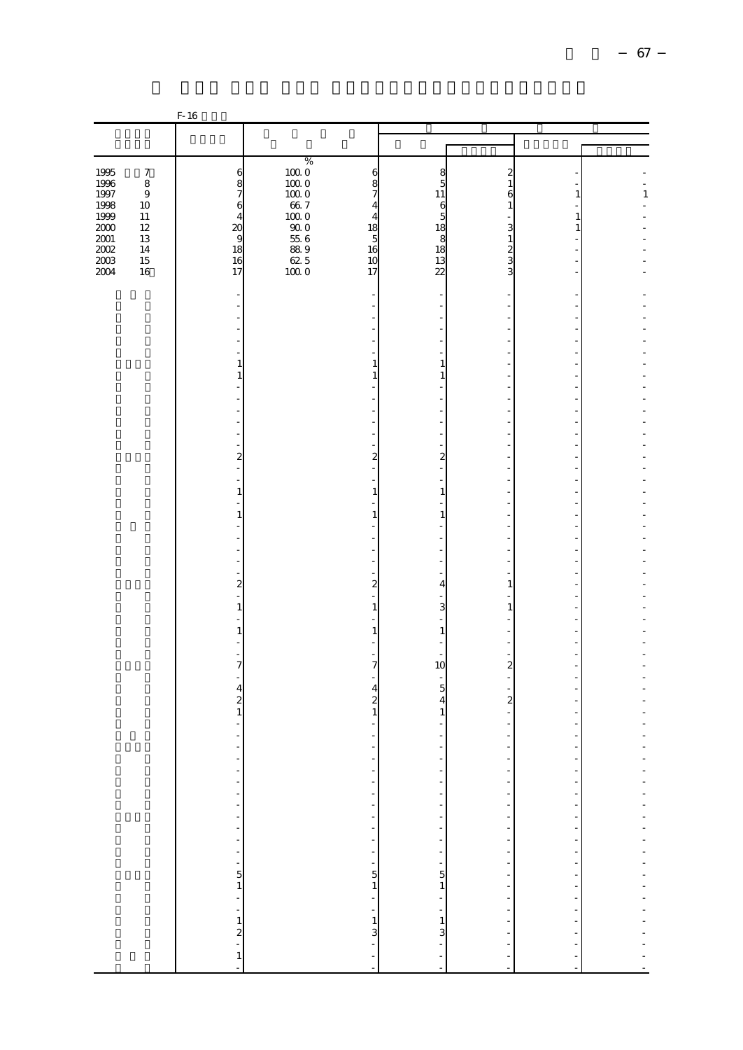|                                                     |                                               | $F-16$                                               |                                              |                                                                       |                                                                                 |                                                   |                              |             |
|-----------------------------------------------------|-----------------------------------------------|------------------------------------------------------|----------------------------------------------|-----------------------------------------------------------------------|---------------------------------------------------------------------------------|---------------------------------------------------|------------------------------|-------------|
|                                                     |                                               |                                                      |                                              |                                                                       |                                                                                 |                                                   |                              |             |
|                                                     |                                               |                                                      |                                              |                                                                       |                                                                                 |                                                   |                              |             |
| $\begin{array}{c} 1995 \\ 1996 \end{array}$<br>1997 | $\boldsymbol{7}$<br>$\,8\,$<br>$\overline{9}$ | 68764                                                | $\%$<br>$10000$<br>$1000$<br>$1000$<br>$667$ | 6<br>8<br>7                                                           | 8<br>5<br>11                                                                    | $\boldsymbol{2}$<br>$\,1\,$<br>6                  | $\,1\,$                      | $\,$ 1 $\,$ |
| 1998<br>1999<br>$2000\,$                            | $10\,$<br>$11\,$<br>$12\,$                    | $\infty$                                             | $10000$<br>$900$<br>$556$                    | 4<br>4<br>18                                                          | $\mathbf{6}$<br>5<br>18                                                         | $\mathbf{1}$<br>3                                 | $\mathbf{1}$<br>$\mathbf{1}$ |             |
| $2001\,$<br>2002<br>2003<br>2004                    | 13<br>14<br>$15\,$<br>16                      | $\begin{array}{c}\n9 \\ 18\n\end{array}$<br>16<br>17 | $\frac{889}{625}$<br>1000                    | $\overline{5}$<br>16<br>10<br>17                                      | 8<br>18<br>13<br>$\overline{2}$                                                 | $\mathbf{1}$<br>$\overline{\mathbf{c}}$<br>3<br>3 |                              |             |
|                                                     |                                               |                                                      |                                              |                                                                       |                                                                                 |                                                   |                              |             |
|                                                     |                                               |                                                      |                                              |                                                                       |                                                                                 |                                                   |                              |             |
|                                                     |                                               | $\overline{\phantom{a}}$<br>1                        |                                              | $\mathbf{1}$                                                          | 1                                                                               |                                                   |                              |             |
|                                                     |                                               | $\,1\,$                                              |                                              | $\mathbf{1}$                                                          | $\mathbf{1}$                                                                    |                                                   |                              |             |
|                                                     |                                               |                                                      |                                              |                                                                       |                                                                                 |                                                   |                              |             |
|                                                     |                                               | $\frac{1}{2}$                                        |                                              | $\overline{\phantom{0}}$<br>$\overline{\mathbf{c}}$<br>$\overline{a}$ | $\overline{\mathbf{c}}$                                                         |                                                   |                              |             |
|                                                     |                                               | $\,1\,$                                              |                                              | L.<br>$\mathbf{1}$                                                    | $\,1\,$                                                                         |                                                   |                              |             |
|                                                     |                                               | $\,1\,$                                              |                                              | $1\,$                                                                 | $\mathbf{1}$                                                                    |                                                   |                              |             |
|                                                     |                                               |                                                      |                                              | L,                                                                    |                                                                                 |                                                   |                              |             |
|                                                     |                                               | $\overline{\mathbf{c}}$                              |                                              | $\overline{\mathbf{c}}$                                               | 4                                                                               | $\mathbf{1}$                                      |                              |             |
|                                                     |                                               | $\,1$<br>$\,1$                                       |                                              | $\,1\,$<br>$\mathbf{1}$                                               | 3<br>$\mathbf{1}$                                                               | $\mathbf{1}$                                      |                              |             |
|                                                     |                                               | 7                                                    |                                              | $\overline{7}$                                                        | 10                                                                              | $\overline{\mathbf{c}}$                           |                              |             |
|                                                     |                                               | $\overline{4}$                                       |                                              | ÷<br>$\overline{4}$<br>$\boldsymbol{z}$                               | 5<br>4                                                                          | $\overline{\mathbf{c}}$                           |                              |             |
|                                                     |                                               | $\frac{2}{1}$                                        |                                              | $\,1\,$                                                               | 1                                                                               |                                                   |                              |             |
|                                                     |                                               | $\overline{\phantom{a}}$                             |                                              | $\overline{a}$<br>÷                                                   |                                                                                 |                                                   | $\overline{\phantom{a}}$     |             |
|                                                     |                                               |                                                      |                                              |                                                                       | f<br>f                                                                          | f<br>÷,                                           | ÷,<br>÷,<br>$\frac{1}{2}$    |             |
|                                                     |                                               |                                                      |                                              |                                                                       | $\frac{1}{2}$                                                                   |                                                   | ÷,                           |             |
|                                                     |                                               |                                                      |                                              |                                                                       | $\begin{array}{c} \n\cdot \\ \cdot \\ \cdot \\ \cdot \\ \hline\n1\n\end{array}$ | $\frac{1}{2}$                                     | $\frac{1}{2}$                |             |
|                                                     |                                               |                                                      |                                              |                                                                       |                                                                                 | 医单位的 医单位的 医单位                                     | 医皮肤 医血管中枢                    |             |
|                                                     |                                               |                                                      |                                              |                                                                       | $\frac{1}{3}$                                                                   |                                                   |                              |             |
|                                                     |                                               |                                                      |                                              |                                                                       | $\frac{1}{1}$                                                                   |                                                   |                              |             |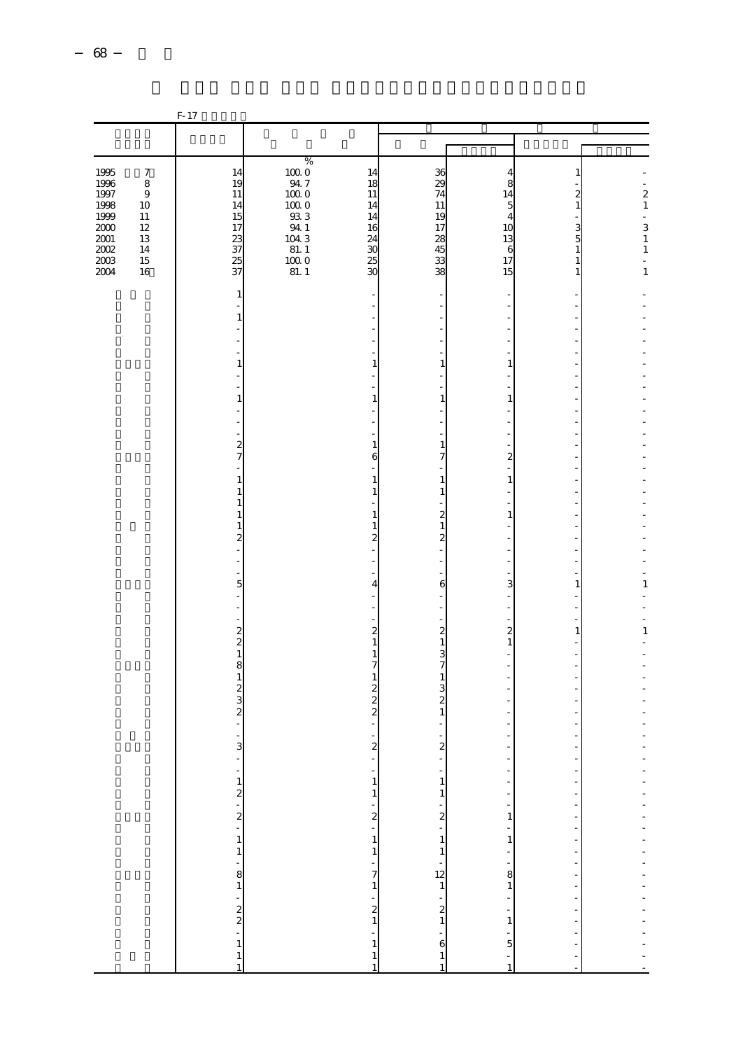|                                                                                                                            |                                                                                            | F-17                                                                                                            |                                                                                                                                                                |                                                                                                                                             |                                                                                                                                                                                |                                                                                                                                                                                                                              |                                                                                                           |                                                                                                                        |
|----------------------------------------------------------------------------------------------------------------------------|--------------------------------------------------------------------------------------------|-----------------------------------------------------------------------------------------------------------------|----------------------------------------------------------------------------------------------------------------------------------------------------------------|---------------------------------------------------------------------------------------------------------------------------------------------|--------------------------------------------------------------------------------------------------------------------------------------------------------------------------------|------------------------------------------------------------------------------------------------------------------------------------------------------------------------------------------------------------------------------|-----------------------------------------------------------------------------------------------------------|------------------------------------------------------------------------------------------------------------------------|
|                                                                                                                            |                                                                                            |                                                                                                                 |                                                                                                                                                                |                                                                                                                                             |                                                                                                                                                                                |                                                                                                                                                                                                                              |                                                                                                           |                                                                                                                        |
|                                                                                                                            |                                                                                            |                                                                                                                 |                                                                                                                                                                |                                                                                                                                             |                                                                                                                                                                                |                                                                                                                                                                                                                              |                                                                                                           |                                                                                                                        |
| $\begin{array}{c} 1995 \\ 1996 \end{array}$<br>1997<br>1998<br>1999<br>$2000\,$<br>$2001\,$<br>$\frac{2002}{2003}$<br>2004 | $\boldsymbol{7}$<br>$\,8\,$<br>$\,9$<br>10<br>$11\,$<br>$12\,$<br>13<br>14<br>$15\,$<br>16 | 14<br>19<br>$11\,$<br>14<br>15<br>17<br>23<br>37<br>25<br>37                                                    | $\begin{array}{c} 96 \\ 1000 \\ 947 \\ 1000 \\ 1000 \end{array}$<br>$1000$<br>$933$<br>$941$<br>$1043$<br>$\begin{array}{c} 81.1 \\ 100.0 \\ 81.1 \end{array}$ | 14<br>18<br>11<br>14<br>14<br>16<br>24<br>30<br>$\overline{25}$<br>30                                                                       | $\frac{36}{29}$<br>74<br>11<br>19<br>17<br>28<br>45<br>$\overline{33}$<br>38                                                                                                   | 4<br>$\overline{8}$<br>14<br>$\overline{5}$<br>$\overline{4}$<br>10<br>13<br>6<br>17<br>15                                                                                                                                   | $\mathbf{1}$<br>$\begin{smallmatrix}2\\1\end{smallmatrix}$<br>$\frac{3}{5}$<br>$\mathbf{1}$<br>$\,1$<br>1 | $\begin{smallmatrix}2\\1\end{smallmatrix}$<br>$\overline{a}$<br>$\begin{array}{c} 3 \\ 1 \end{array}$<br>$\frac{1}{1}$ |
|                                                                                                                            |                                                                                            | 1<br>$\mathbf{1}$<br>1<br>$\mathbf{1}$<br>$\frac{2}{7}$<br>1                                                    |                                                                                                                                                                | $\mathbf{1}$<br>$\mathbf{1}$<br>1<br>6<br>1                                                                                                 | 1<br>$\mathbf{1}$<br>1<br>7<br>$\mathbf{1}$                                                                                                                                    | $\mathbf{1}$<br>$\mathbf{1}$<br>$\overline{\mathbf{c}}$<br>$\mathbf{1}$                                                                                                                                                      |                                                                                                           |                                                                                                                        |
|                                                                                                                            |                                                                                            | $\mathbf{1}$<br>$\mathbf{1}$<br>1<br>$\mathbf{1}$<br>$\boldsymbol{z}$<br>5                                      |                                                                                                                                                                | 1<br>1<br>1<br>$\overline{\mathbf{c}}$<br>4<br>$\boldsymbol{z}$                                                                             | $\mathbf{1}$<br>$\overline{\mathcal{Z}}$<br>$\,1\,$<br>$\overline{c}$<br>6<br>$\boldsymbol{z}$                                                                                 | $\mathbf{1}$<br>3<br>$\boldsymbol{z}$                                                                                                                                                                                        | ۰<br>1<br>$\,1$                                                                                           | 1<br>$\mathbf 1$                                                                                                       |
|                                                                                                                            |                                                                                            | $\frac{2}{2}$<br>$\mathbf{1}$<br>8<br>$\,1\,$<br>$\begin{array}{c}\n2 \\ 3 \\ 2\n\end{array}$<br>$\overline{3}$ |                                                                                                                                                                | $\mathbf{1}$<br>1<br>7<br>1<br>2<br>$\overline{\mathcal{Z}}$<br>$\overline{c}$<br>$\overline{a}$<br>$\mathbf 1$                             | $\,1$<br>3<br>7<br>$\,1\,$<br>3<br>$\overline{\mathcal{Z}}$<br>$\,1$<br>$\overline{c}$                                                                                         | $\,1\,$<br>÷<br>J.                                                                                                                                                                                                           |                                                                                                           |                                                                                                                        |
|                                                                                                                            |                                                                                            |                                                                                                                 |                                                                                                                                                                | $\,1$<br>$\frac{1}{2}$<br>$\,1\,$<br>$\,1\,$<br>$\begin{array}{c} -1 \\ 7 \\ 1 \end{array}$<br>$\frac{1}{2}$<br>÷<br>$\,$ 1 $\,$<br>$\,1\,$ | $\begin{smallmatrix}1\1\1\end{smallmatrix}$<br>$\frac{1}{2}$<br>÷,<br>$\begin{array}{c} 1 \\ 1 \end{array}$<br>$\frac{1}{12}$<br>$\frac{1}{2}$<br>÷<br>$\overline{6}$<br>$\,1$ | $\overline{a}$<br>$\overline{a}$<br>$\mathbf{1}$<br>$\omega$<br>$\,1$<br>$\frac{1}{2}$<br>$\begin{array}{c}\n8 \\ 1\n\end{array}$<br>$\frac{1}{2}$<br>$1\,$<br>÷<br>$\overline{5}$<br>$\begin{bmatrix} 1 \\ 1 \end{bmatrix}$ | ٠<br>$\frac{1}{2}$<br>÷,<br>$\overline{\phantom{a}}$<br>$\frac{1}{2}$<br>-<br>$\frac{1}{2}$               |                                                                                                                        |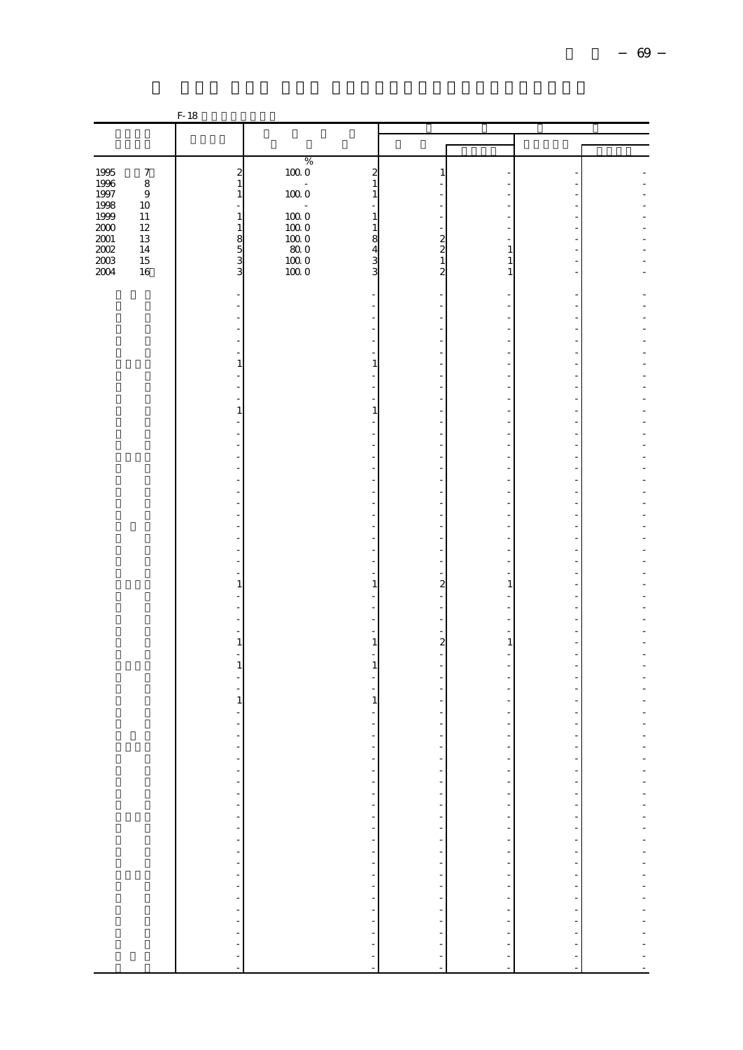|                |                  | $F-18$                                    |                                              |                                         |                                                                                                                                                                                                                                                                                                                                                                                                                                    |                           |  |
|----------------|------------------|-------------------------------------------|----------------------------------------------|-----------------------------------------|------------------------------------------------------------------------------------------------------------------------------------------------------------------------------------------------------------------------------------------------------------------------------------------------------------------------------------------------------------------------------------------------------------------------------------|---------------------------|--|
|                |                  |                                           |                                              |                                         |                                                                                                                                                                                                                                                                                                                                                                                                                                    |                           |  |
|                |                  |                                           |                                              |                                         |                                                                                                                                                                                                                                                                                                                                                                                                                                    |                           |  |
| 1995           | $\boldsymbol{7}$ |                                           | $\%$<br>$100\;0$<br>$\overline{\mathcal{Z}}$ | 1                                       |                                                                                                                                                                                                                                                                                                                                                                                                                                    |                           |  |
| 1996           | $\,8\,$          | $\frac{2}{1}$                             | $\mathbf{1}$                                 |                                         |                                                                                                                                                                                                                                                                                                                                                                                                                                    |                           |  |
| 1997<br>1998   | $\,9$<br>$10\,$  | $\,1\,$                                   | $100\;0$<br>$\mathbf{1}$                     |                                         |                                                                                                                                                                                                                                                                                                                                                                                                                                    |                           |  |
| 1999           | 11               | $\,1\,$                                   | 1000<br>$\mathbf{1}$                         |                                         |                                                                                                                                                                                                                                                                                                                                                                                                                                    |                           |  |
| $2000$<br>2001 | 12<br>13         | $\begin{array}{c}\n1 \\ 3 \\ \end{array}$ | $\frac{10000}{10000}$<br>$\mathbf{1}$<br>8   | 2                                       |                                                                                                                                                                                                                                                                                                                                                                                                                                    |                           |  |
| $2002\,$       | 14               |                                           | $80\,0$<br>4                                 | $\overline{c}$                          | 1                                                                                                                                                                                                                                                                                                                                                                                                                                  |                           |  |
| 2003<br>2004   | 15<br>$16\,$     |                                           | $100\;0$<br>3<br>1000<br>3                   | $\mathbf{1}$<br>$\overline{\mathbf{c}}$ | $\mathbf{1}$<br>$\mathbf{1}$                                                                                                                                                                                                                                                                                                                                                                                                       |                           |  |
|                |                  |                                           |                                              |                                         |                                                                                                                                                                                                                                                                                                                                                                                                                                    |                           |  |
|                |                  |                                           |                                              |                                         |                                                                                                                                                                                                                                                                                                                                                                                                                                    |                           |  |
|                |                  |                                           |                                              |                                         |                                                                                                                                                                                                                                                                                                                                                                                                                                    |                           |  |
|                |                  |                                           |                                              |                                         |                                                                                                                                                                                                                                                                                                                                                                                                                                    |                           |  |
|                |                  |                                           | ÷,                                           |                                         |                                                                                                                                                                                                                                                                                                                                                                                                                                    |                           |  |
|                |                  | 1                                         | $\mathbf{1}$                                 |                                         |                                                                                                                                                                                                                                                                                                                                                                                                                                    |                           |  |
|                |                  |                                           | L,                                           |                                         |                                                                                                                                                                                                                                                                                                                                                                                                                                    |                           |  |
|                |                  |                                           |                                              |                                         |                                                                                                                                                                                                                                                                                                                                                                                                                                    |                           |  |
|                |                  | $\,1\,$                                   | $\,1\,$                                      |                                         |                                                                                                                                                                                                                                                                                                                                                                                                                                    |                           |  |
|                |                  |                                           |                                              |                                         |                                                                                                                                                                                                                                                                                                                                                                                                                                    |                           |  |
|                |                  |                                           |                                              |                                         |                                                                                                                                                                                                                                                                                                                                                                                                                                    |                           |  |
|                |                  |                                           |                                              |                                         |                                                                                                                                                                                                                                                                                                                                                                                                                                    |                           |  |
|                |                  |                                           |                                              |                                         |                                                                                                                                                                                                                                                                                                                                                                                                                                    |                           |  |
|                |                  |                                           |                                              |                                         |                                                                                                                                                                                                                                                                                                                                                                                                                                    |                           |  |
|                |                  |                                           |                                              |                                         |                                                                                                                                                                                                                                                                                                                                                                                                                                    |                           |  |
|                |                  |                                           |                                              |                                         |                                                                                                                                                                                                                                                                                                                                                                                                                                    |                           |  |
|                |                  |                                           |                                              |                                         |                                                                                                                                                                                                                                                                                                                                                                                                                                    |                           |  |
|                |                  |                                           |                                              |                                         |                                                                                                                                                                                                                                                                                                                                                                                                                                    |                           |  |
|                |                  | ÷,<br>1                                   | ÷,<br>$\mathbf{1}$                           | $\overline{\mathbf{c}}$                 | 1                                                                                                                                                                                                                                                                                                                                                                                                                                  |                           |  |
|                |                  |                                           |                                              |                                         |                                                                                                                                                                                                                                                                                                                                                                                                                                    |                           |  |
|                |                  |                                           |                                              |                                         |                                                                                                                                                                                                                                                                                                                                                                                                                                    |                           |  |
|                |                  |                                           |                                              |                                         |                                                                                                                                                                                                                                                                                                                                                                                                                                    |                           |  |
|                |                  | $\,1\,$                                   | $\mathbf{1}$                                 | $\mathbf{z}$                            | $\mathbf{1}$                                                                                                                                                                                                                                                                                                                                                                                                                       |                           |  |
|                |                  | 1                                         | $\mathbf{1}$                                 |                                         |                                                                                                                                                                                                                                                                                                                                                                                                                                    |                           |  |
|                |                  |                                           |                                              |                                         |                                                                                                                                                                                                                                                                                                                                                                                                                                    |                           |  |
|                |                  | $1\,$                                     | $\mathbf{1}$                                 |                                         |                                                                                                                                                                                                                                                                                                                                                                                                                                    |                           |  |
|                |                  |                                           |                                              |                                         |                                                                                                                                                                                                                                                                                                                                                                                                                                    |                           |  |
|                |                  |                                           |                                              |                                         |                                                                                                                                                                                                                                                                                                                                                                                                                                    |                           |  |
|                |                  |                                           |                                              |                                         |                                                                                                                                                                                                                                                                                                                                                                                                                                    |                           |  |
|                |                  |                                           |                                              | $\ddot{\phantom{1}}$                    |                                                                                                                                                                                                                                                                                                                                                                                                                                    | $\overline{\phantom{a}}$  |  |
|                |                  |                                           |                                              | $\overline{a}$                          | ł<br>f                                                                                                                                                                                                                                                                                                                                                                                                                             | $\frac{1}{\sqrt{2}}$<br>f |  |
|                |                  |                                           |                                              |                                         | $\bar{\phantom{a}}$                                                                                                                                                                                                                                                                                                                                                                                                                | $\frac{1}{2}$             |  |
|                |                  |                                           |                                              |                                         | Ġ,                                                                                                                                                                                                                                                                                                                                                                                                                                 |                           |  |
|                |                  |                                           |                                              |                                         |                                                                                                                                                                                                                                                                                                                                                                                                                                    | ÷,                        |  |
|                |                  |                                           |                                              |                                         |                                                                                                                                                                                                                                                                                                                                                                                                                                    |                           |  |
|                |                  |                                           |                                              |                                         |                                                                                                                                                                                                                                                                                                                                                                                                                                    |                           |  |
|                |                  |                                           |                                              |                                         |                                                                                                                                                                                                                                                                                                                                                                                                                                    |                           |  |
|                |                  |                                           |                                              | $\frac{1}{2}$                           |                                                                                                                                                                                                                                                                                                                                                                                                                                    | $\frac{1}{2}$             |  |
|                |                  |                                           |                                              |                                         | $\begin{aligned} \mathbf{r} & = \mathbf{r} - \mathbf{r} - \mathbf{r} - \mathbf{r} - \mathbf{r} - \mathbf{r} - \mathbf{r} - \mathbf{r} - \mathbf{r} - \mathbf{r} - \mathbf{r} - \mathbf{r} - \mathbf{r} - \mathbf{r} - \mathbf{r} - \mathbf{r} - \mathbf{r} - \mathbf{r} - \mathbf{r} - \mathbf{r} - \mathbf{r} - \mathbf{r} - \mathbf{r} - \mathbf{r} - \mathbf{r} - \mathbf{r} - \mathbf{r} - \mathbf{r} - \mathbf{r} - \mathbf{$ |                           |  |
|                |                  |                                           |                                              |                                         |                                                                                                                                                                                                                                                                                                                                                                                                                                    | $\frac{1}{2}$             |  |
|                |                  | 医单位的 医单位的 医单位的 医单位的 医单位的                  | --------------------                         |                                         |                                                                                                                                                                                                                                                                                                                                                                                                                                    |                           |  |
|                |                  |                                           |                                              |                                         | $\frac{1}{2}$                                                                                                                                                                                                                                                                                                                                                                                                                      | $\frac{1}{2}$             |  |
|                |                  |                                           |                                              |                                         |                                                                                                                                                                                                                                                                                                                                                                                                                                    |                           |  |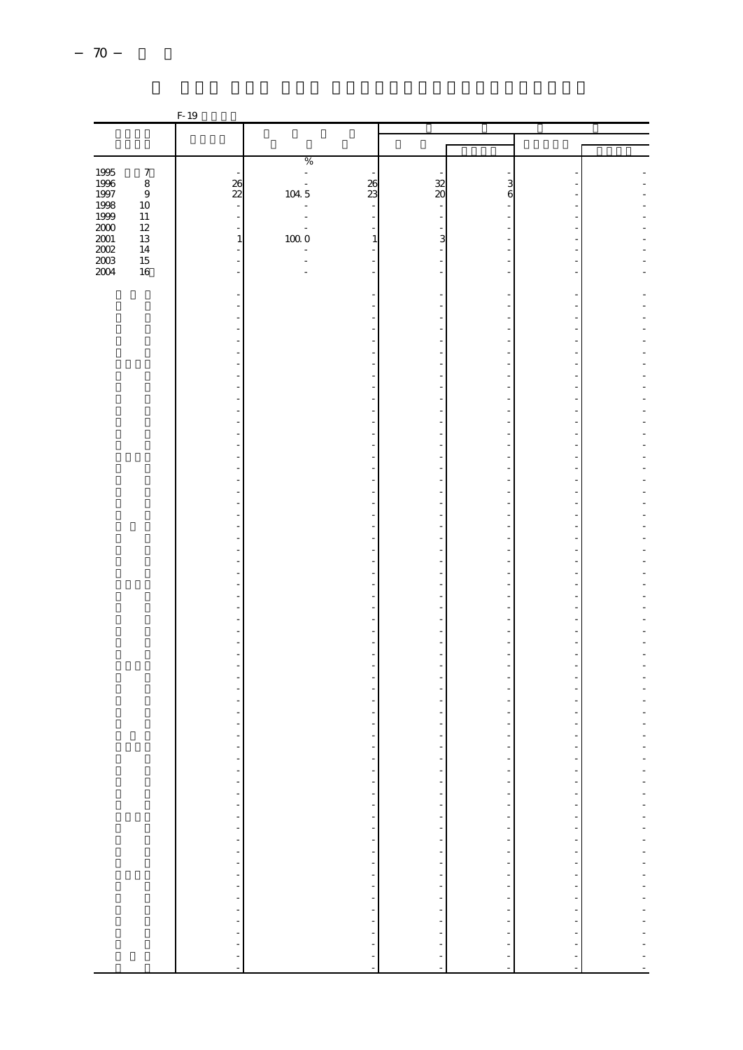|                                      |                  | F-19                     |                |                        |                    |                                                   |                                                     |  |
|--------------------------------------|------------------|--------------------------|----------------|------------------------|--------------------|---------------------------------------------------|-----------------------------------------------------|--|
|                                      |                  |                          |                |                        |                    |                                                   |                                                     |  |
|                                      |                  |                          |                |                        |                    |                                                   |                                                     |  |
|                                      |                  |                          | $\%$           |                        |                    |                                                   |                                                     |  |
| 1995<br>1996<br>1997<br>1998         | $\boldsymbol{7}$ |                          | ÷,             |                        |                    |                                                   |                                                     |  |
|                                      | $\,$ 8 $\,$      | $\frac{26}{22}$          | $\overline{a}$ | $\frac{26}{23}$        | 32                 | 3                                                 |                                                     |  |
|                                      | $\,9$            |                          | 104.5          |                        | $\infty$           | 6                                                 |                                                     |  |
|                                      | $10\,$           | $\frac{1}{2}$            |                | $\overline{a}$         |                    |                                                   |                                                     |  |
| 1999                                 | $11\,$<br>$12\,$ | $\ddot{\phantom{a}}$     | ÷,             | Ĭ.                     |                    |                                                   |                                                     |  |
| 2000<br>2001<br>2002<br>2003<br>2004 | $13\,$           | $\mathbf{1}$             | $100\;0$       | $\,1\,$                | 3                  |                                                   |                                                     |  |
|                                      | 14               |                          | ÷,             |                        |                    |                                                   |                                                     |  |
|                                      | $15\,$           |                          | ÷,             |                        |                    |                                                   |                                                     |  |
|                                      | 16               |                          |                |                        |                    |                                                   |                                                     |  |
|                                      |                  |                          |                |                        |                    |                                                   |                                                     |  |
|                                      |                  |                          |                |                        |                    |                                                   |                                                     |  |
|                                      |                  |                          |                |                        |                    |                                                   |                                                     |  |
|                                      |                  |                          |                |                        |                    |                                                   |                                                     |  |
|                                      |                  |                          |                |                        |                    |                                                   |                                                     |  |
|                                      |                  |                          |                |                        |                    |                                                   |                                                     |  |
|                                      |                  |                          |                |                        |                    |                                                   |                                                     |  |
|                                      |                  |                          |                |                        |                    |                                                   |                                                     |  |
|                                      |                  |                          |                |                        |                    |                                                   |                                                     |  |
|                                      |                  |                          |                |                        |                    |                                                   |                                                     |  |
|                                      |                  |                          |                |                        |                    |                                                   |                                                     |  |
|                                      |                  |                          |                |                        |                    |                                                   |                                                     |  |
|                                      |                  |                          |                |                        |                    |                                                   |                                                     |  |
|                                      |                  |                          |                |                        |                    |                                                   |                                                     |  |
|                                      |                  |                          |                |                        |                    |                                                   |                                                     |  |
|                                      |                  |                          |                |                        |                    |                                                   |                                                     |  |
|                                      |                  |                          |                |                        |                    |                                                   |                                                     |  |
|                                      |                  |                          |                |                        |                    |                                                   |                                                     |  |
|                                      |                  |                          |                |                        |                    |                                                   |                                                     |  |
|                                      |                  |                          |                |                        |                    |                                                   |                                                     |  |
|                                      |                  |                          |                |                        |                    |                                                   |                                                     |  |
|                                      |                  |                          |                |                        |                    |                                                   |                                                     |  |
|                                      |                  |                          |                |                        |                    |                                                   |                                                     |  |
|                                      |                  |                          |                |                        |                    |                                                   |                                                     |  |
|                                      |                  |                          |                |                        |                    |                                                   |                                                     |  |
|                                      |                  |                          |                |                        |                    |                                                   |                                                     |  |
|                                      |                  |                          |                |                        |                    |                                                   |                                                     |  |
|                                      |                  |                          |                |                        |                    |                                                   |                                                     |  |
|                                      |                  |                          |                |                        |                    |                                                   |                                                     |  |
|                                      |                  |                          |                |                        |                    |                                                   |                                                     |  |
|                                      |                  |                          |                |                        |                    |                                                   |                                                     |  |
|                                      |                  |                          |                |                        |                    |                                                   |                                                     |  |
|                                      |                  |                          |                |                        |                    |                                                   |                                                     |  |
|                                      |                  |                          |                |                        |                    |                                                   |                                                     |  |
|                                      |                  |                          |                |                        |                    |                                                   |                                                     |  |
|                                      |                  |                          |                |                        |                    |                                                   |                                                     |  |
|                                      |                  |                          |                |                        |                    |                                                   |                                                     |  |
|                                      |                  |                          |                |                        |                    | ÷                                                 | $\overline{a}$                                      |  |
|                                      |                  |                          |                |                        |                    | $\overline{a}$                                    | ÷                                                   |  |
|                                      |                  |                          |                |                        | f                  |                                                   | f                                                   |  |
|                                      |                  |                          |                |                        | $\frac{1}{2}$      |                                                   | $\frac{1}{2}$                                       |  |
|                                      |                  |                          |                |                        |                    |                                                   |                                                     |  |
|                                      |                  | 医单位的 医中间的 医中间的 医中间的 医中间的 |                | ---------------------- | 医单位的 医单位的 医单位的 医单位 | a componente de la componente de la componente de | <b>The contract of the contract of the contract</b> |  |
|                                      |                  |                          |                |                        |                    |                                                   |                                                     |  |
|                                      |                  |                          |                |                        |                    |                                                   |                                                     |  |
|                                      |                  |                          |                |                        |                    |                                                   |                                                     |  |
|                                      |                  |                          |                |                        |                    |                                                   |                                                     |  |
|                                      |                  |                          |                |                        |                    |                                                   |                                                     |  |
|                                      |                  |                          |                |                        |                    |                                                   |                                                     |  |
|                                      |                  |                          |                |                        |                    |                                                   |                                                     |  |
|                                      |                  |                          |                |                        |                    |                                                   |                                                     |  |
|                                      |                  |                          |                |                        |                    |                                                   |                                                     |  |
|                                      |                  |                          |                |                        |                    |                                                   |                                                     |  |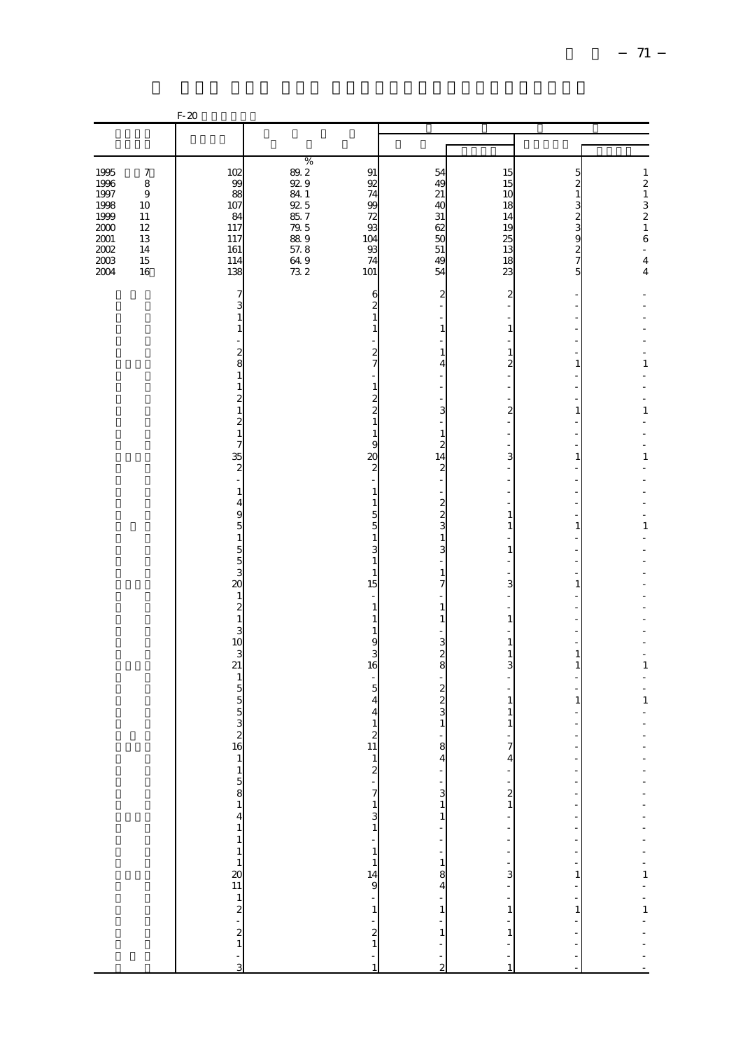|                                                              |                                                                         | $F-20$                                                                                     |                                                                               |                                                                                                                               |                                                         |                                                                                                                                                                                                                                                               |                                                                                                                                                     |                                                                                                           |
|--------------------------------------------------------------|-------------------------------------------------------------------------|--------------------------------------------------------------------------------------------|-------------------------------------------------------------------------------|-------------------------------------------------------------------------------------------------------------------------------|---------------------------------------------------------|---------------------------------------------------------------------------------------------------------------------------------------------------------------------------------------------------------------------------------------------------------------|-----------------------------------------------------------------------------------------------------------------------------------------------------|-----------------------------------------------------------------------------------------------------------|
|                                                              |                                                                         |                                                                                            |                                                                               |                                                                                                                               |                                                         |                                                                                                                                                                                                                                                               |                                                                                                                                                     |                                                                                                           |
|                                                              |                                                                         |                                                                                            | $\%$                                                                          |                                                                                                                               |                                                         |                                                                                                                                                                                                                                                               |                                                                                                                                                     |                                                                                                           |
| 1995<br>1996<br>1997<br>1998<br>1999<br>2000<br>2001<br>2002 | $\boldsymbol{7}$<br>8<br>$\boldsymbol{9}$<br>10<br>11<br>12<br>13<br>14 | 102<br>99<br>88<br>107<br>84<br>117<br>117<br>161                                          | 89.2<br>92.9<br>$\frac{84}{92}$ 5<br>$\frac{85}{79}$ 7<br>79.5<br>889<br>57.8 | 91<br>92<br>74<br>99<br>72<br>93<br>104<br>93                                                                                 | 54<br>49<br>21<br>40<br>31<br>62<br>50<br>51            | 15<br>15<br>10<br>18<br>14<br>19<br>25<br>13                                                                                                                                                                                                                  | $\frac{5}{2}$<br>$\,1\,$<br>32332333                                                                                                                | $\,$ 1 $\,$<br>$\boldsymbol{z}$<br>$\begin{array}{c} 1 \\ 3 \\ 2 \\ 1 \\ 6 \end{array}$<br>$\overline{a}$ |
| 2003<br>2004                                                 | 15<br>16                                                                | 114<br>138                                                                                 | $649$<br>$732$                                                                | 74<br>101                                                                                                                     | 49<br>54                                                | 18<br>23                                                                                                                                                                                                                                                      |                                                                                                                                                     | $\overline{\mathbf{4}}$<br>$\overline{\mathbf{4}}$                                                        |
|                                                              |                                                                         | 7<br>3                                                                                     |                                                                               | 6<br>$\overline{\mathcal{Z}}$                                                                                                 | $\overline{\mathbf{c}}$                                 | $\overline{\mathbf{c}}$                                                                                                                                                                                                                                       | ٠                                                                                                                                                   |                                                                                                           |
|                                                              |                                                                         | $\,1\,$<br>$\mathbf{1}$                                                                    |                                                                               | $\mathbf{1}$<br>$\mathbf{1}$                                                                                                  | $\mathbf{1}$                                            | 1                                                                                                                                                                                                                                                             |                                                                                                                                                     |                                                                                                           |
|                                                              |                                                                         | $\frac{2}{9}$                                                                              |                                                                               | $\frac{2}{7}$                                                                                                                 | $\mathbf{1}$<br>4                                       | 1<br>2                                                                                                                                                                                                                                                        | 1                                                                                                                                                   | $\mathbf{1}$                                                                                              |
|                                                              |                                                                         | $\mathbf 1$<br>$\,1\,$<br>$\overline{\mathbf{c}}$                                          |                                                                               | $\,1\,$<br>$\overline{\mathcal{Z}}$                                                                                           |                                                         |                                                                                                                                                                                                                                                               |                                                                                                                                                     |                                                                                                           |
|                                                              |                                                                         | $\mathbf{1}$                                                                               |                                                                               | $\overline{\mathcal{Z}}$<br>$\,1\,$                                                                                           | 3                                                       | $\boldsymbol{2}$                                                                                                                                                                                                                                              | $\mathbf{1}$                                                                                                                                        | $\,1\,$                                                                                                   |
|                                                              |                                                                         | $\begin{array}{c} 2 \\ 1 \\ 7 \end{array}$<br>35                                           |                                                                               | $\mathbf{1}$<br>9                                                                                                             | $\mathbf{1}$<br>$\overline{2}$<br>14                    | -<br>3                                                                                                                                                                                                                                                        | $\overline{\phantom{a}}$<br>1                                                                                                                       | $\mathbf{1}$                                                                                              |
|                                                              |                                                                         | $\boldsymbol{z}$<br>$\omega$                                                               |                                                                               | 20<br>$\boldsymbol{z}$<br>÷,                                                                                                  | $\boldsymbol{z}$<br>$\frac{1}{2}$                       |                                                                                                                                                                                                                                                               |                                                                                                                                                     |                                                                                                           |
|                                                              |                                                                         | $\,1\,$<br>$\overline{\mathbf{4}}$<br>9                                                    |                                                                               | $\mathbf{1}$<br>$\,1\,$<br>$\overline{5}$                                                                                     | $2 \times 2$                                            | 1                                                                                                                                                                                                                                                             | ÷,                                                                                                                                                  |                                                                                                           |
|                                                              |                                                                         | 5                                                                                          |                                                                               | $\overline{5}$<br>$\mathbf 1$                                                                                                 | $\mathbf{1}$                                            | $\mathbf{1}$                                                                                                                                                                                                                                                  | $\mathbf{1}$                                                                                                                                        | $\,1\,$                                                                                                   |
|                                                              |                                                                         | $\begin{array}{c} 1 \\ 5 \\ 5 \end{array}$<br>3                                            |                                                                               | 3<br>$\mathbf{1}$<br>$\mathbf{1}$                                                                                             | 3<br>$\mathbf{1}$                                       | 1                                                                                                                                                                                                                                                             |                                                                                                                                                     |                                                                                                           |
|                                                              |                                                                         | 20<br>$\,1\,$                                                                              |                                                                               | 15                                                                                                                            | 7                                                       | 3                                                                                                                                                                                                                                                             | 1                                                                                                                                                   |                                                                                                           |
|                                                              |                                                                         | $\frac{2}{3}$                                                                              |                                                                               | $\,1\,$<br>$\mathbf{1}$<br>1                                                                                                  | $\mathbf{1}$<br>$\mathbf{1}$                            | 1                                                                                                                                                                                                                                                             |                                                                                                                                                     |                                                                                                           |
|                                                              |                                                                         | 10<br>3                                                                                    |                                                                               | 9<br>3                                                                                                                        | 3<br>$\boldsymbol{z}$                                   | 1<br>1                                                                                                                                                                                                                                                        | $\mathbf{1}$                                                                                                                                        |                                                                                                           |
|                                                              |                                                                         | $\overline{21}$<br>$\mathbf{1}$                                                            |                                                                               | 16<br>÷<br>$\overline{5}$                                                                                                     | 8                                                       | 3                                                                                                                                                                                                                                                             | 1                                                                                                                                                   | 1                                                                                                         |
|                                                              |                                                                         | $\frac{5}{5}$<br>$\frac{5}{3}$                                                             |                                                                               | $\overline{4}$<br>4                                                                                                           | $\frac{2}{3}$                                           | 1<br>1                                                                                                                                                                                                                                                        | $\mathbf{1}$                                                                                                                                        | $\,1\,$                                                                                                   |
|                                                              |                                                                         | $\overline{\mathcal{L}}$<br>16                                                             |                                                                               | $\mathbf{1}$<br>$\overline{\mathbf{z}}$<br>11                                                                                 | $\mathbf{1}$<br>8                                       | 1<br>7                                                                                                                                                                                                                                                        |                                                                                                                                                     |                                                                                                           |
|                                                              |                                                                         |                                                                                            |                                                                               |                                                                                                                               | $\overline{\mathbf{r}}$                                 | $\overline{\mathbf{4}}$                                                                                                                                                                                                                                       | $\frac{1}{2}$                                                                                                                                       |                                                                                                           |
|                                                              |                                                                         |                                                                                            |                                                                               |                                                                                                                               | $\begin{array}{c} 1 \\ 3 \\ 1 \end{array}$              | $\frac{1}{2}$                                                                                                                                                                                                                                                 | $\frac{1}{2}$                                                                                                                                       |                                                                                                           |
|                                                              |                                                                         |                                                                                            |                                                                               |                                                                                                                               |                                                         |                                                                                                                                                                                                                                                               |                                                                                                                                                     |                                                                                                           |
|                                                              |                                                                         | 1<br>1<br>2<br>2<br>2<br>2<br>2<br>2<br>2<br>2<br>2<br>2<br>2<br>2<br>2<br>1<br>2<br>1<br> |                                                                               | $\frac{1}{2}$ $\frac{2}{1} - \frac{7}{2}$ $\frac{1}{2} - \frac{1}{2}$ $\frac{1}{2} - \frac{1}{2}$ $\frac{1}{2} - \frac{1}{2}$ | $  1$ $ 1$ $ 1$ $ 1$ $ 1$ $ 1$ $ 1$ $ 1$ $ 1$ $ 1$ $ 2$ | $\begin{array}{c c c c c c} \hline \textbf{1} & \textbf{1} & \textbf{1} & \textbf{1} \\ \hline \textbf{2} & \textbf{1} & \textbf{1} & \textbf{1} & \textbf{1} \\ \hline \textbf{3} & \textbf{1} & \textbf{1} & \textbf{1} & \textbf{1} \\ \hline \end{array}$ | $\begin{bmatrix} 1 & 1 \\ 1 & 1 \\ 1 & 1 \end{bmatrix}$                                                                                             | ---------------------                                                                                     |
|                                                              |                                                                         |                                                                                            |                                                                               |                                                                                                                               |                                                         | $\ddot{\phantom{0}}$                                                                                                                                                                                                                                          | $\frac{1}{2}$                                                                                                                                       |                                                                                                           |
|                                                              |                                                                         |                                                                                            |                                                                               |                                                                                                                               |                                                         | $\,1$<br>÷,                                                                                                                                                                                                                                                   | $\,1\,$                                                                                                                                             |                                                                                                           |
|                                                              |                                                                         |                                                                                            |                                                                               |                                                                                                                               |                                                         | $\,1\,$<br>$\frac{1}{1}$                                                                                                                                                                                                                                      | $\begin{array}{c} \mathbf{1} & \mathbf{1} & \mathbf{1} \\ \mathbf{1} & \mathbf{1} & \mathbf{1} \\ \mathbf{1} & \mathbf{1} & \mathbf{1} \end{array}$ |                                                                                                           |
|                                                              |                                                                         |                                                                                            |                                                                               |                                                                                                                               |                                                         | $\mathbf{1}$                                                                                                                                                                                                                                                  |                                                                                                                                                     |                                                                                                           |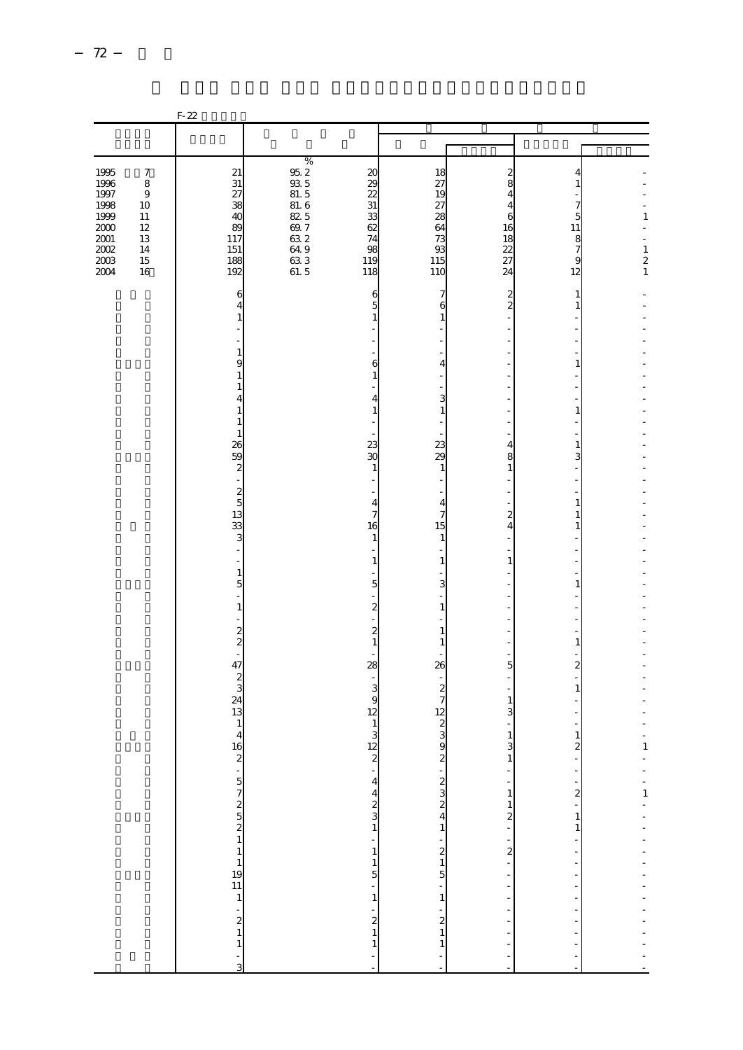|                                                                                                                     |                                                                                      | $F-22$                                                           |                                                                                                                                                                                                                                                                                             |                                                                  |                                                     |                                                                                |                                                                                   |                                                       |
|---------------------------------------------------------------------------------------------------------------------|--------------------------------------------------------------------------------------|------------------------------------------------------------------|---------------------------------------------------------------------------------------------------------------------------------------------------------------------------------------------------------------------------------------------------------------------------------------------|------------------------------------------------------------------|-----------------------------------------------------|--------------------------------------------------------------------------------|-----------------------------------------------------------------------------------|-------------------------------------------------------|
|                                                                                                                     |                                                                                      |                                                                  |                                                                                                                                                                                                                                                                                             |                                                                  |                                                     |                                                                                |                                                                                   |                                                       |
|                                                                                                                     |                                                                                      |                                                                  |                                                                                                                                                                                                                                                                                             |                                                                  |                                                     |                                                                                |                                                                                   |                                                       |
| $\begin{array}{c} 1995 \\ 1996 \end{array}$<br>1997<br>1998<br>1999<br>$2000\,$<br>$2001\,$<br>2002<br>2003<br>2004 | $\boldsymbol{7}$<br>$\,$ 8 $\,$<br>$\,9$<br>10<br>11<br>$12\,$<br>13<br>14<br>$15\,$ | $\frac{21}{31}$ $\frac{27}{38}$<br>40<br>89<br>117<br>151<br>188 | $\begin{array}{r} 0.0333 \\ 0.02334 \\ 0.01334 \\ 0.02334 \\ 0.0334 \\ 0.0334 \\ 0.0334 \\ 0.0334 \\ 0.0334 \\ 0.0334 \\ 0.0334 \\ 0.0334 \\ 0.0334 \\ 0.0334 \\ 0.0334 \\ 0.0334 \\ 0.0334 \\ 0.0334 \\ 0.0334 \\ 0.0334 \\ 0.0334 \\ 0.0334 \\ 0.0334 \\ 0.0334 \\ 0.0334 \\ 0.0334 \\ 0$ | 20<br>29<br>$\overline{22}$<br>31<br>33<br>62<br>74<br>98<br>119 | 18<br>27<br>19<br>27<br>28<br>64<br>73<br>93<br>115 | $\frac{2}{8}$<br>$\overline{4}$<br>$\overline{4}$<br>6<br>16<br>18<br>22<br>27 | 4<br>$\mathbf{1}$<br>$\begin{array}{c} 7 \\ 5 \end{array}$<br>11<br>$\frac{8}{7}$ | $\,1\,$<br>$\begin{array}{c} 1 \\ 2 \\ 1 \end{array}$ |
|                                                                                                                     | 16                                                                                   | 192                                                              |                                                                                                                                                                                                                                                                                             | 118                                                              | 110                                                 | 24                                                                             | 12                                                                                |                                                       |
|                                                                                                                     |                                                                                      | 6<br>4<br>1                                                      |                                                                                                                                                                                                                                                                                             | 6<br>5<br>1                                                      | 7<br>6<br>1                                         | $\frac{2}{2}$                                                                  | $\mathbf{1}$<br>$\,1$                                                             |                                                       |
|                                                                                                                     |                                                                                      |                                                                  |                                                                                                                                                                                                                                                                                             |                                                                  |                                                     |                                                                                |                                                                                   |                                                       |
|                                                                                                                     |                                                                                      | 1<br>9<br>1                                                      |                                                                                                                                                                                                                                                                                             | 6<br>1                                                           | 4                                                   |                                                                                | 1                                                                                 |                                                       |
|                                                                                                                     |                                                                                      | 1<br>4                                                           |                                                                                                                                                                                                                                                                                             | 4                                                                | 3                                                   |                                                                                |                                                                                   |                                                       |
|                                                                                                                     |                                                                                      | 1<br>1<br>$\mathbf{1}$                                           |                                                                                                                                                                                                                                                                                             | 1                                                                | $\mathbf{1}$                                        |                                                                                | $\,1\,$                                                                           |                                                       |
|                                                                                                                     |                                                                                      | 26<br>59                                                         |                                                                                                                                                                                                                                                                                             | 23<br>30                                                         | 23<br>29                                            | 4<br>8                                                                         | 1<br>3                                                                            |                                                       |
|                                                                                                                     |                                                                                      | $\overline{\mathcal{L}}$                                         |                                                                                                                                                                                                                                                                                             | $\mathbf{1}$                                                     |                                                     | $\mathbf 1$                                                                    |                                                                                   |                                                       |
|                                                                                                                     |                                                                                      | $\frac{2}{5}$                                                    |                                                                                                                                                                                                                                                                                             |                                                                  |                                                     |                                                                                |                                                                                   |                                                       |
|                                                                                                                     |                                                                                      | 13                                                               |                                                                                                                                                                                                                                                                                             | 4<br>7                                                           | 4<br>7                                              | $\overline{\mathbf{c}}$                                                        | $\,1$<br>$\,1$                                                                    |                                                       |
|                                                                                                                     |                                                                                      | $\frac{33}{3}$                                                   |                                                                                                                                                                                                                                                                                             | 16<br>1                                                          | 15<br>1                                             | $\overline{4}$                                                                 | $\,1$                                                                             |                                                       |
|                                                                                                                     |                                                                                      |                                                                  |                                                                                                                                                                                                                                                                                             |                                                                  |                                                     |                                                                                |                                                                                   |                                                       |
|                                                                                                                     |                                                                                      | $\mathbf{1}$                                                     |                                                                                                                                                                                                                                                                                             | 1                                                                | $\mathbf{1}$                                        | $\,1\,$                                                                        |                                                                                   |                                                       |
|                                                                                                                     |                                                                                      | 5                                                                |                                                                                                                                                                                                                                                                                             | 5                                                                | 3                                                   |                                                                                | 1                                                                                 |                                                       |
|                                                                                                                     |                                                                                      | $\,1\,$                                                          |                                                                                                                                                                                                                                                                                             | $\overline{c}$                                                   | $\mathbf{1}$                                        |                                                                                |                                                                                   |                                                       |
|                                                                                                                     |                                                                                      | $\frac{2}{2}$                                                    |                                                                                                                                                                                                                                                                                             | $\overline{\mathcal{Z}}$<br>1                                    | $\mathbf{1}$                                        |                                                                                | $\,1$                                                                             |                                                       |
|                                                                                                                     |                                                                                      |                                                                  |                                                                                                                                                                                                                                                                                             |                                                                  | $\mathbf{1}$                                        |                                                                                |                                                                                   |                                                       |
|                                                                                                                     |                                                                                      | 47<br>$rac{2}{3}$                                                |                                                                                                                                                                                                                                                                                             | 28                                                               | 26                                                  | 5                                                                              | $\overline{\mathbf{c}}$                                                           |                                                       |
|                                                                                                                     |                                                                                      | 24                                                               |                                                                                                                                                                                                                                                                                             | 3<br>9                                                           | $\boldsymbol{z}$<br>$\overline{7}$                  | $\mathbf{1}$                                                                   | $\,1$                                                                             |                                                       |
|                                                                                                                     |                                                                                      | 13<br>$\mathbf{1}$                                               |                                                                                                                                                                                                                                                                                             | 12<br>$\mathbf{1}$                                               | 12                                                  | 3                                                                              |                                                                                   |                                                       |
|                                                                                                                     |                                                                                      | $\overline{4}$                                                   |                                                                                                                                                                                                                                                                                             | 3                                                                | $\frac{2}{9}$                                       | $\mathbf{1}$                                                                   | $\mathbf 1$                                                                       |                                                       |
|                                                                                                                     |                                                                                      | 16                                                               |                                                                                                                                                                                                                                                                                             | 12                                                               |                                                     | 3<br>Ŧ                                                                         | $\overline{\mathbf{c}}$                                                           | $\mathbf{1}$                                          |
|                                                                                                                     |                                                                                      |                                                                  |                                                                                                                                                                                                                                                                                             | $\frac{2}{1}$<br>$\overline{\mathbf{4}}$                         |                                                     | $\overline{a}$<br>L,                                                           | $\overline{\phantom{a}}$                                                          |                                                       |
|                                                                                                                     |                                                                                      |                                                                  |                                                                                                                                                                                                                                                                                             | $\overline{\mathbf{4}}$                                          |                                                     |                                                                                |                                                                                   |                                                       |
|                                                                                                                     |                                                                                      |                                                                  |                                                                                                                                                                                                                                                                                             | $231$ $231$                                                      |                                                     |                                                                                | $\begin{array}{c} 2 \\ 1 \\ 1 \end{array}$                                        |                                                       |
|                                                                                                                     |                                                                                      |                                                                  |                                                                                                                                                                                                                                                                                             |                                                                  |                                                     |                                                                                |                                                                                   |                                                       |
|                                                                                                                     |                                                                                      |                                                                  |                                                                                                                                                                                                                                                                                             |                                                                  | $-2$ $-2$ $-2$ $-1$ $-3$ $-2$ $-1$                  | $12 - 2 - 2 = -1$                                                              | $\frac{1}{2}$                                                                     |                                                       |
|                                                                                                                     |                                                                                      |                                                                  |                                                                                                                                                                                                                                                                                             | $\frac{1}{5}$                                                    |                                                     |                                                                                | $\overline{\phantom{a}}$                                                          |                                                       |
|                                                                                                                     |                                                                                      |                                                                  |                                                                                                                                                                                                                                                                                             |                                                                  |                                                     |                                                                                | $\frac{1}{1}$                                                                     |                                                       |
|                                                                                                                     |                                                                                      |                                                                  |                                                                                                                                                                                                                                                                                             | $\begin{array}{c} -1 \\ 1 \end{array}$                           | $\begin{bmatrix} 1 \\ 2 \\ 1 \end{bmatrix}$         |                                                                                | $\frac{1}{1}$                                                                     |                                                       |
|                                                                                                                     |                                                                                      |                                                                  |                                                                                                                                                                                                                                                                                             |                                                                  | $\,$ 1 $\,$                                         |                                                                                |                                                                                   | エンターエンティー エイエンティーエン                                   |
|                                                                                                                     |                                                                                      |                                                                  |                                                                                                                                                                                                                                                                                             | $\frac{1}{1}$                                                    | $\frac{1}{2}$                                       | $\ddot{\phantom{0}}$<br>$\overline{a}$                                         | $\frac{1}{2}$                                                                     |                                                       |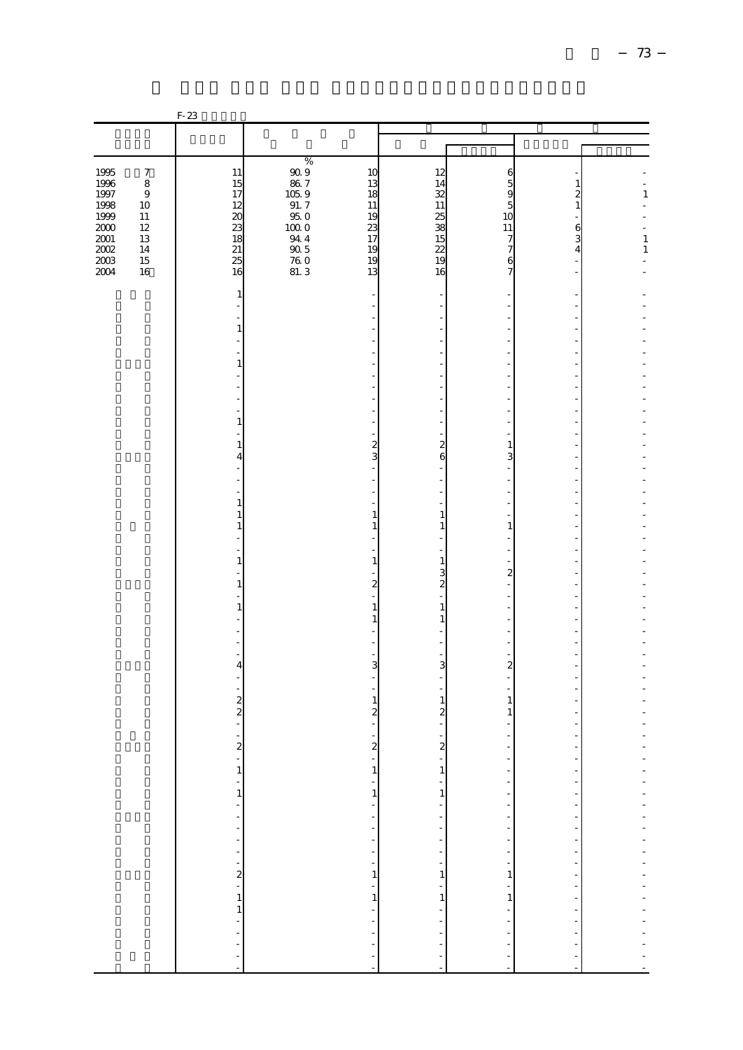|                     |                           | F-23                                         |                                             |                                                                                                                                                                                                                                                                                                           |                         |                                                                                                                                                                                                                                                                                                                                                                                                                                    |                                                       |                         |
|---------------------|---------------------------|----------------------------------------------|---------------------------------------------|-----------------------------------------------------------------------------------------------------------------------------------------------------------------------------------------------------------------------------------------------------------------------------------------------------------|-------------------------|------------------------------------------------------------------------------------------------------------------------------------------------------------------------------------------------------------------------------------------------------------------------------------------------------------------------------------------------------------------------------------------------------------------------------------|-------------------------------------------------------|-------------------------|
|                     |                           |                                              |                                             |                                                                                                                                                                                                                                                                                                           |                         |                                                                                                                                                                                                                                                                                                                                                                                                                                    |                                                       |                         |
|                     |                           |                                              | $\%$                                        |                                                                                                                                                                                                                                                                                                           |                         |                                                                                                                                                                                                                                                                                                                                                                                                                                    |                                                       |                         |
| 1995<br>1996        | $\boldsymbol{7}$          | 11                                           | $\begin{array}{c} 90.9 \\ 86.7 \end{array}$ | 10                                                                                                                                                                                                                                                                                                        | 12                      | 6                                                                                                                                                                                                                                                                                                                                                                                                                                  |                                                       |                         |
| 1997<br>1998        | $\,8\,$<br>$\overline{9}$ | 15<br>17                                     |                                             | 13<br>18                                                                                                                                                                                                                                                                                                  | 14<br>32                | $\overline{5}$<br>$\frac{9}{5}$                                                                                                                                                                                                                                                                                                                                                                                                    | $\,1\,$<br>$\begin{smallmatrix}2\\1\end{smallmatrix}$ | $\mathbf{1}$            |
| 1999                | 10<br>11                  | 12                                           | $1059$<br>$91.7$<br>$950$<br>$1000$         | 11<br>19                                                                                                                                                                                                                                                                                                  | 11                      | 10                                                                                                                                                                                                                                                                                                                                                                                                                                 |                                                       |                         |
| $2000\,$            | 12                        | $\begin{array}{c}\n 20 \\  18\n \end{array}$ |                                             | 23                                                                                                                                                                                                                                                                                                        | 25<br>38                | 11                                                                                                                                                                                                                                                                                                                                                                                                                                 |                                                       |                         |
| $2001\,$<br>$200\,$ | 13<br>14                  | 21                                           | $94\ 4$                                     | 17<br>19                                                                                                                                                                                                                                                                                                  | 15<br>$\overline{22}$   | 7<br>7                                                                                                                                                                                                                                                                                                                                                                                                                             | $\begin{array}{c} 6 \\ 3 \\ 4 \end{array}$            | $\mathbf{1}$<br>$\,1\,$ |
| $2003\,$<br>2004    | 15<br>16                  | 25<br>16                                     | $\frac{90}{76}$<br>76 0<br>81 3             | 19<br>13                                                                                                                                                                                                                                                                                                  | 19<br>16                | 6<br>$\overline{7}$                                                                                                                                                                                                                                                                                                                                                                                                                | $\overline{\phantom{a}}$                              |                         |
|                     |                           | $\mathbf{1}$                                 |                                             |                                                                                                                                                                                                                                                                                                           |                         |                                                                                                                                                                                                                                                                                                                                                                                                                                    |                                                       |                         |
|                     |                           | $\qquad \qquad \blacksquare$                 |                                             | -<br>÷                                                                                                                                                                                                                                                                                                    |                         |                                                                                                                                                                                                                                                                                                                                                                                                                                    |                                                       |                         |
|                     |                           | $\,1\,$                                      |                                             |                                                                                                                                                                                                                                                                                                           |                         |                                                                                                                                                                                                                                                                                                                                                                                                                                    |                                                       |                         |
|                     |                           | $\qquad \qquad \blacksquare$                 |                                             |                                                                                                                                                                                                                                                                                                           |                         |                                                                                                                                                                                                                                                                                                                                                                                                                                    |                                                       |                         |
|                     |                           | 1                                            |                                             |                                                                                                                                                                                                                                                                                                           |                         |                                                                                                                                                                                                                                                                                                                                                                                                                                    |                                                       |                         |
|                     |                           |                                              |                                             | ÷                                                                                                                                                                                                                                                                                                         |                         |                                                                                                                                                                                                                                                                                                                                                                                                                                    |                                                       |                         |
|                     |                           |                                              |                                             |                                                                                                                                                                                                                                                                                                           |                         |                                                                                                                                                                                                                                                                                                                                                                                                                                    |                                                       |                         |
|                     |                           | $\,1\,$                                      |                                             | ÷                                                                                                                                                                                                                                                                                                         |                         |                                                                                                                                                                                                                                                                                                                                                                                                                                    |                                                       |                         |
|                     |                           |                                              |                                             |                                                                                                                                                                                                                                                                                                           |                         |                                                                                                                                                                                                                                                                                                                                                                                                                                    |                                                       |                         |
|                     |                           | 1<br>4                                       |                                             | $\frac{2}{3}$                                                                                                                                                                                                                                                                                             | $\frac{2}{6}$           | 1<br>3                                                                                                                                                                                                                                                                                                                                                                                                                             | $\overline{\phantom{a}}$                              |                         |
|                     |                           |                                              |                                             |                                                                                                                                                                                                                                                                                                           |                         |                                                                                                                                                                                                                                                                                                                                                                                                                                    |                                                       |                         |
|                     |                           |                                              |                                             |                                                                                                                                                                                                                                                                                                           |                         |                                                                                                                                                                                                                                                                                                                                                                                                                                    |                                                       |                         |
|                     |                           | $\,1\,$<br>$\,1\,$                           |                                             | $\,1\,$                                                                                                                                                                                                                                                                                                   | $\mathbf{1}$            |                                                                                                                                                                                                                                                                                                                                                                                                                                    |                                                       |                         |
|                     |                           | $\,1\,$                                      |                                             | $\mathbf{1}$                                                                                                                                                                                                                                                                                              | $\mathbf{1}$            | $\mathbf{1}$                                                                                                                                                                                                                                                                                                                                                                                                                       |                                                       |                         |
|                     |                           |                                              |                                             |                                                                                                                                                                                                                                                                                                           |                         |                                                                                                                                                                                                                                                                                                                                                                                                                                    |                                                       |                         |
|                     |                           | $\,1$                                        |                                             | $\mathbf{1}$                                                                                                                                                                                                                                                                                              | $\mathbf{1}$<br>3       | $\boldsymbol{2}$                                                                                                                                                                                                                                                                                                                                                                                                                   |                                                       |                         |
|                     |                           | 1                                            |                                             | $\overline{\mathbf{c}}$                                                                                                                                                                                                                                                                                   | $\overline{\mathbf{c}}$ |                                                                                                                                                                                                                                                                                                                                                                                                                                    |                                                       |                         |
|                     |                           | $\,1\,$                                      |                                             | L,<br>$\,1\,$                                                                                                                                                                                                                                                                                             | $\mathbf{1}$            |                                                                                                                                                                                                                                                                                                                                                                                                                                    | $\overline{a}$                                        |                         |
|                     |                           |                                              |                                             | $\,1\,$                                                                                                                                                                                                                                                                                                   | $\mathbf{1}$            |                                                                                                                                                                                                                                                                                                                                                                                                                                    |                                                       |                         |
|                     |                           |                                              |                                             |                                                                                                                                                                                                                                                                                                           |                         |                                                                                                                                                                                                                                                                                                                                                                                                                                    | $\overline{a}$                                        |                         |
|                     |                           | 4                                            |                                             | 3                                                                                                                                                                                                                                                                                                         | 3                       | $\overline{\mathbf{c}}$                                                                                                                                                                                                                                                                                                                                                                                                            |                                                       |                         |
|                     |                           |                                              |                                             | $\overline{a}$                                                                                                                                                                                                                                                                                            |                         | L.                                                                                                                                                                                                                                                                                                                                                                                                                                 |                                                       |                         |
|                     |                           | $\frac{1}{2}$ $\frac{1}{2}$                  |                                             | L,<br>$\mathbf{1}$                                                                                                                                                                                                                                                                                        | $\mathbf{1}$            | $\mathbf{1}$                                                                                                                                                                                                                                                                                                                                                                                                                       |                                                       |                         |
|                     |                           |                                              |                                             | $\boldsymbol{z}$                                                                                                                                                                                                                                                                                          | $\boldsymbol{z}$        | $\mathbf{1}$                                                                                                                                                                                                                                                                                                                                                                                                                       |                                                       |                         |
|                     |                           |                                              |                                             |                                                                                                                                                                                                                                                                                                           |                         |                                                                                                                                                                                                                                                                                                                                                                                                                                    |                                                       |                         |
|                     |                           | $\overline{a}$                               |                                             | $\overline{a}$                                                                                                                                                                                                                                                                                            | $\overline{a}$          |                                                                                                                                                                                                                                                                                                                                                                                                                                    |                                                       |                         |
|                     |                           |                                              |                                             | $\frac{1}{1}$                                                                                                                                                                                                                                                                                             | $\,1\,$                 | l,                                                                                                                                                                                                                                                                                                                                                                                                                                 |                                                       |                         |
|                     |                           |                                              |                                             |                                                                                                                                                                                                                                                                                                           | ÷<br>$\mathbf{1}$       | $\overline{\phantom{a}}$<br>$\overline{a}$                                                                                                                                                                                                                                                                                                                                                                                         | $\overline{\phantom{a}}$<br>f                         |                         |
|                     |                           |                                              |                                             | $\frac{1}{1}$ = $\frac{1}{1}$ = $\frac{1}{1}$ = $\frac{1}{1}$ = $\frac{1}{1}$ = $\frac{1}{1}$ = $\frac{1}{1}$ = $\frac{1}{1}$ = $\frac{1}{1}$ = $\frac{1}{1}$ = $\frac{1}{1}$ = $\frac{1}{1}$ = $\frac{1}{1}$ = $\frac{1}{1}$ = $\frac{1}{1}$ = $\frac{1}{1}$ = $\frac{1}{1}$ = $\frac{1}{1}$ = $\frac{1$ | $\frac{1}{2}$           | $\begin{aligned} \mathbf{u} & = \mathbf{u} + \mathbf{u} + \mathbf{u} + \mathbf{u} + \mathbf{u} + \mathbf{u} + \mathbf{u} + \mathbf{u} + \mathbf{u} + \mathbf{u} + \mathbf{u} + \mathbf{u} + \mathbf{u} + \mathbf{u} + \mathbf{u} + \mathbf{u} + \mathbf{u} + \mathbf{u} + \mathbf{u} + \mathbf{u} + \mathbf{u} + \mathbf{u} + \mathbf{u} + \mathbf{u} + \mathbf{u} + \mathbf{u} + \mathbf{u} + \mathbf{u} + \mathbf{u} + \mathbf{$ | ÷,                                                    |                         |
|                     |                           |                                              |                                             |                                                                                                                                                                                                                                                                                                           |                         |                                                                                                                                                                                                                                                                                                                                                                                                                                    | $\overline{\phantom{a}}$                              |                         |
|                     |                           |                                              |                                             |                                                                                                                                                                                                                                                                                                           |                         |                                                                                                                                                                                                                                                                                                                                                                                                                                    |                                                       |                         |
|                     |                           |                                              |                                             |                                                                                                                                                                                                                                                                                                           |                         |                                                                                                                                                                                                                                                                                                                                                                                                                                    |                                                       |                         |
|                     |                           |                                              |                                             | $\mathbf{1}$                                                                                                                                                                                                                                                                                              | $\mathbf{1}$<br>÷       | $\mathbf{1}$<br>$\blacksquare$                                                                                                                                                                                                                                                                                                                                                                                                     |                                                       |                         |
|                     |                           |                                              |                                             |                                                                                                                                                                                                                                                                                                           | $\,1$                   | $\,1$                                                                                                                                                                                                                                                                                                                                                                                                                              |                                                       |                         |
|                     |                           |                                              |                                             |                                                                                                                                                                                                                                                                                                           | $\frac{1}{2}$           | $\frac{1}{2}$                                                                                                                                                                                                                                                                                                                                                                                                                      | $\frac{1}{2}$                                         |                         |
|                     |                           |                                              |                                             |                                                                                                                                                                                                                                                                                                           |                         |                                                                                                                                                                                                                                                                                                                                                                                                                                    | $\frac{1}{2}$                                         |                         |
|                     |                           |                                              |                                             | $\frac{1}{2}$                                                                                                                                                                                                                                                                                             |                         |                                                                                                                                                                                                                                                                                                                                                                                                                                    |                                                       | ---------------------   |
|                     |                           |                                              |                                             |                                                                                                                                                                                                                                                                                                           |                         |                                                                                                                                                                                                                                                                                                                                                                                                                                    |                                                       |                         |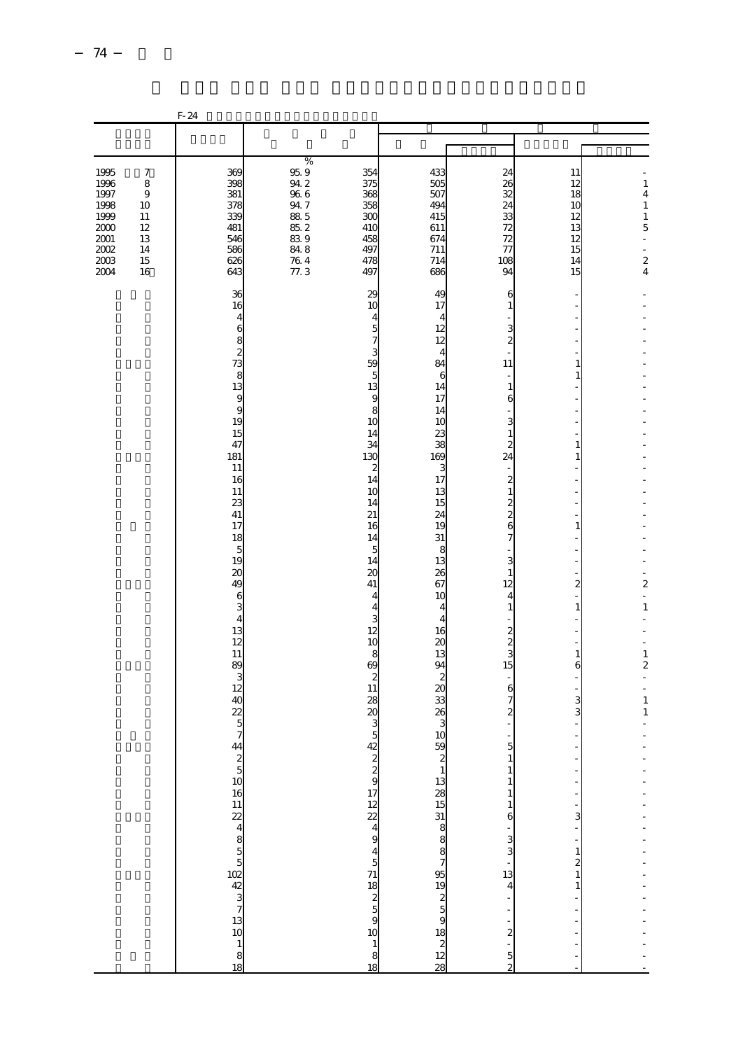|                                                                                          |                                                                              | $F-24$                                                                                                                                                                                                                                                                                                                                                                  |                                                                                                                                |                                                                                                                                                                                                                                                                                                                                        |                                                                                                                                                                                                                                                                                                                                       |                                                                                                                                                                                                                                                                                                                                                                                                                                                                                                                                         |                                                                                                                                                                                                                  |                                                                                                                                                                                  |
|------------------------------------------------------------------------------------------|------------------------------------------------------------------------------|-------------------------------------------------------------------------------------------------------------------------------------------------------------------------------------------------------------------------------------------------------------------------------------------------------------------------------------------------------------------------|--------------------------------------------------------------------------------------------------------------------------------|----------------------------------------------------------------------------------------------------------------------------------------------------------------------------------------------------------------------------------------------------------------------------------------------------------------------------------------|---------------------------------------------------------------------------------------------------------------------------------------------------------------------------------------------------------------------------------------------------------------------------------------------------------------------------------------|-----------------------------------------------------------------------------------------------------------------------------------------------------------------------------------------------------------------------------------------------------------------------------------------------------------------------------------------------------------------------------------------------------------------------------------------------------------------------------------------------------------------------------------------|------------------------------------------------------------------------------------------------------------------------------------------------------------------------------------------------------------------|----------------------------------------------------------------------------------------------------------------------------------------------------------------------------------|
|                                                                                          |                                                                              |                                                                                                                                                                                                                                                                                                                                                                         |                                                                                                                                |                                                                                                                                                                                                                                                                                                                                        |                                                                                                                                                                                                                                                                                                                                       |                                                                                                                                                                                                                                                                                                                                                                                                                                                                                                                                         |                                                                                                                                                                                                                  |                                                                                                                                                                                  |
| 1995<br>1996<br>1997<br>1998<br>1999<br>2000<br>$2001\,$<br>$2002\,$<br>$2003\,$<br>2004 | $\boldsymbol{7}$<br>$\,8\,$<br>$9$<br>10<br>11<br>12<br>13<br>14<br>15<br>16 | 369<br>398<br>381<br>378<br>339<br>481<br>546<br>586<br>626<br>643                                                                                                                                                                                                                                                                                                      | $\%$<br>$\begin{array}{c} 95.9 \\ 94.2 \end{array}$<br>$96\ 6$<br>94 7<br>$885$<br>$852$<br>$839$<br>$\frac{848}{764}$<br>76.4 | 354<br>375<br>368<br>358<br>300<br>410<br>458<br>497<br>478<br>497                                                                                                                                                                                                                                                                     | 433<br>505<br>507<br>494<br>415<br>611<br>674<br>711<br>714<br>686                                                                                                                                                                                                                                                                    | 24<br>26<br>32<br>24<br>33<br>72<br>72<br>77<br>108<br>94                                                                                                                                                                                                                                                                                                                                                                                                                                                                               | 11<br>12<br>18<br>10<br>12<br>13<br>12<br>15<br>14<br>15                                                                                                                                                         | $\mathbf{1}$<br>$\overline{4}$<br>$\,1\,$<br>$\,1\,$<br>5<br>÷,<br>÷.<br>$\overline{\mathcal{Z}}$<br>4                                                                           |
|                                                                                          |                                                                              | 36<br>16<br>$\overline{4}$<br>6<br>$\frac{8}{2}$<br>$\frac{73}{13}$<br>9<br>9<br>19<br>15<br>47<br>181<br>11<br>16<br>11<br>23<br>41<br>17<br>18<br>5<br>19<br>$\alpha$<br>49<br>6<br>3<br>$\overline{4}$<br>13<br>12<br>11<br>89<br>3<br>12<br>40<br>$\overline{22}$<br>$\overline{5}$<br>$\overline{7}$<br>44<br>ಹ ∞ – 5 ದ ಸ ⊲ ∞ <del>ks</del> (5 ದ ∞ ∞ 4 ks) ಸ ∞ ∞ ಗ |                                                                                                                                | 29<br>10<br>4<br>5<br>7<br>3<br>59<br>5<br>13<br>9<br>8<br>10<br>14<br>34<br>130<br>$\overline{\mathbf{z}}$<br>14<br>10<br>14<br>21<br>16<br>14<br>5<br>14<br>20<br>41<br>4<br>4<br>3<br>12<br>10<br>8<br>69<br>$\boldsymbol{z}$<br>11<br>28<br>$\infty$<br>3<br>5<br>42<br>0.80000<br>$45718$<br>$259$<br>$10$<br>$\frac{1}{8}$<br>18 | 49<br>17<br>4<br>12<br>12<br>4<br>84<br>6<br>14<br>17<br>14<br>10<br>23<br>38<br>169<br>3<br>17<br>13<br>15<br>24<br>19<br>31<br>8<br>13<br>26<br>67<br>10<br>4<br>4<br>16<br>20<br>13<br>94<br>$\overline{c}$<br>20<br>33<br>26<br>3<br>10<br>59<br>$\boxtimes$ ដែល គ្ល ១ ស ក្ល គ្ល $\Delta$ ។ គ្ល គ្ល គ្ល អ ដ្ឋ គ្ល $\boxtimes$ ក្ល | 6<br>1<br>$\frac{3}{2}$<br>11<br>$\,1\,$<br>6<br>3<br>$\,1\,$<br>$\overline{a}$<br>24<br>$\overline{\mathcal{Z}}$<br>$\mathbf{1}$<br>$\frac{2}{2}$<br>6<br>7<br>3<br>$\,1\,$<br>12<br>$\overline{4}$<br>$\mathbf{1}$<br>$\frac{2}{3}$<br>15<br>L,<br>6<br>$\overline{7}$<br>$\overline{\mathbf{c}}$<br>5<br>$\mathbf{1}$<br>$\mathbf{1}$<br>$\mathbf{1}$<br>$\begin{array}{c} 1 \\ 6 \end{array}$<br>÷<br>$\frac{3}{3}$<br>$\begin{array}{c} \n\cdot \\ 13 \\ 4\n\end{array}$<br>$\ddot{\phantom{0}}$<br>$\frac{1}{2}$<br>$\frac{1}{2}$ | $\overline{\phantom{a}}$<br>1<br>$\mathbf{1}$<br>1<br>1<br>$\,1$<br>۰<br>$\overline{\mathbf{c}}$<br>$\,1$<br>$\,1$<br>6<br>÷,<br>$\frac{3}{3}$<br>3<br>$\begin{array}{c} 1 \\ 2 \\ 1 \end{array}$<br>$\mathbf 1$ | $\overline{a}$<br>÷,<br>$\overline{\mathbf{c}}$<br>L.<br>$\,1\,$<br>L,<br>L,<br>$\mathbf{1}$<br>$\overline{\mathbf{c}}$<br>L,<br>L,<br>$\,1\,$<br>$\mathbf{1}$<br>$\overline{a}$ |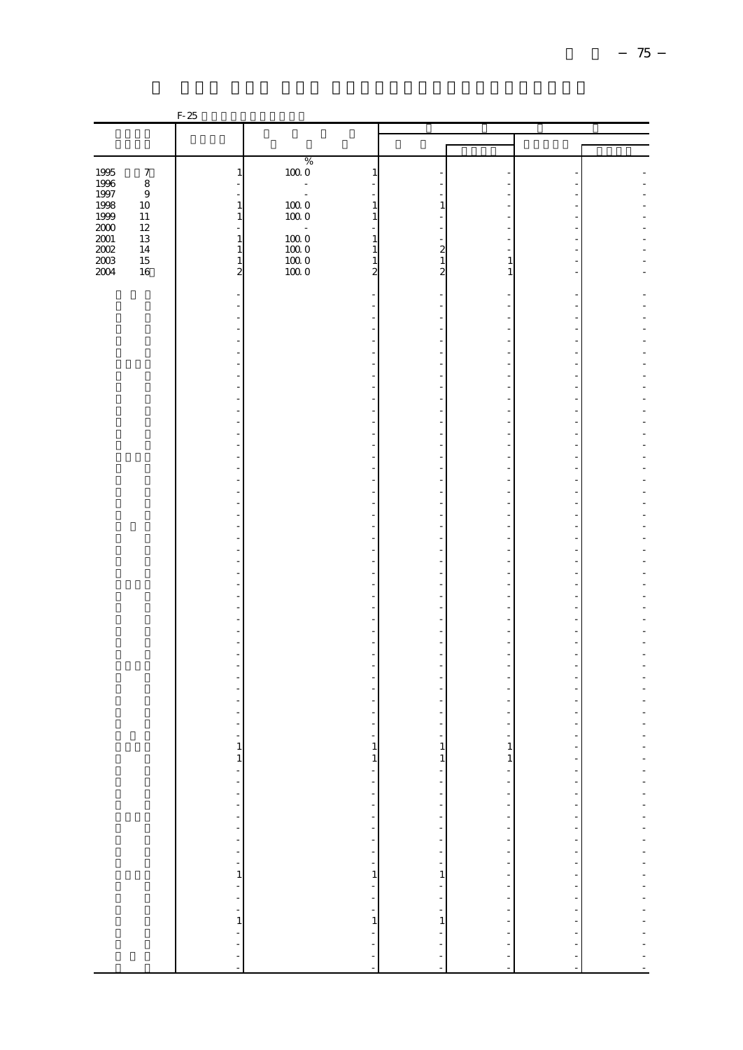|                |                  | $F-25$                             |                                                             |                                                                                                                   |                                                                                                                                                                                                                                                                                                           |                                                                                             |  |
|----------------|------------------|------------------------------------|-------------------------------------------------------------|-------------------------------------------------------------------------------------------------------------------|-----------------------------------------------------------------------------------------------------------------------------------------------------------------------------------------------------------------------------------------------------------------------------------------------------------|---------------------------------------------------------------------------------------------|--|
|                |                  |                                    |                                                             |                                                                                                                   |                                                                                                                                                                                                                                                                                                           |                                                                                             |  |
|                |                  |                                    |                                                             |                                                                                                                   |                                                                                                                                                                                                                                                                                                           |                                                                                             |  |
| 1995           | $\boldsymbol{7}$ | $\,1$                              | $\%$<br>$100\;0$<br>1                                       |                                                                                                                   |                                                                                                                                                                                                                                                                                                           |                                                                                             |  |
| 1996           | $\,8\,$          |                                    | $\qquad \qquad \blacksquare$                                |                                                                                                                   |                                                                                                                                                                                                                                                                                                           |                                                                                             |  |
| 1997<br>1998   | $\,9$<br>10      | $\,1\,$                            | $\bar{z}$<br>$100\;0$<br>$\mathbf{1}$                       | 1                                                                                                                 |                                                                                                                                                                                                                                                                                                           |                                                                                             |  |
| 1999           | 11               | $\,1\,$                            | $100\;0$<br>$\mathbf{1}$                                    |                                                                                                                   |                                                                                                                                                                                                                                                                                                           |                                                                                             |  |
| $2000$<br>2001 | 12<br>13         | $\overline{a}$<br>$\,1\,$          | $\overline{\phantom{a}}$<br>$100\;0$<br>$\mathbf{1}$        |                                                                                                                   |                                                                                                                                                                                                                                                                                                           |                                                                                             |  |
| $200\!$        | 14               | $\,1\,$                            | $100\;0$<br>$\mathbf{1}$                                    | 2                                                                                                                 |                                                                                                                                                                                                                                                                                                           |                                                                                             |  |
| 2003<br>2004   | $15\,$<br>$16\,$ | $\,1\,$<br>$\overline{\mathbf{c}}$ | $100\;0$<br>$\mathbf{1}$<br>1000<br>$\overline{\mathbf{c}}$ | $\mathbf{1}$<br>$\overline{\mathbf{c}}$                                                                           | $\mathbf{1}$<br>$\mathbf{1}$                                                                                                                                                                                                                                                                              |                                                                                             |  |
|                |                  |                                    |                                                             |                                                                                                                   |                                                                                                                                                                                                                                                                                                           |                                                                                             |  |
|                |                  |                                    |                                                             |                                                                                                                   |                                                                                                                                                                                                                                                                                                           |                                                                                             |  |
|                |                  |                                    |                                                             |                                                                                                                   |                                                                                                                                                                                                                                                                                                           |                                                                                             |  |
|                |                  |                                    |                                                             |                                                                                                                   |                                                                                                                                                                                                                                                                                                           |                                                                                             |  |
|                |                  |                                    |                                                             |                                                                                                                   |                                                                                                                                                                                                                                                                                                           |                                                                                             |  |
|                |                  |                                    |                                                             |                                                                                                                   |                                                                                                                                                                                                                                                                                                           |                                                                                             |  |
|                |                  |                                    |                                                             |                                                                                                                   |                                                                                                                                                                                                                                                                                                           |                                                                                             |  |
|                |                  |                                    |                                                             |                                                                                                                   |                                                                                                                                                                                                                                                                                                           |                                                                                             |  |
|                |                  |                                    |                                                             |                                                                                                                   |                                                                                                                                                                                                                                                                                                           |                                                                                             |  |
|                |                  |                                    |                                                             |                                                                                                                   |                                                                                                                                                                                                                                                                                                           |                                                                                             |  |
|                |                  |                                    |                                                             |                                                                                                                   |                                                                                                                                                                                                                                                                                                           |                                                                                             |  |
|                |                  |                                    |                                                             |                                                                                                                   |                                                                                                                                                                                                                                                                                                           |                                                                                             |  |
|                |                  |                                    |                                                             |                                                                                                                   |                                                                                                                                                                                                                                                                                                           |                                                                                             |  |
|                |                  |                                    |                                                             |                                                                                                                   |                                                                                                                                                                                                                                                                                                           |                                                                                             |  |
|                |                  |                                    |                                                             |                                                                                                                   |                                                                                                                                                                                                                                                                                                           |                                                                                             |  |
|                |                  |                                    |                                                             |                                                                                                                   |                                                                                                                                                                                                                                                                                                           |                                                                                             |  |
|                |                  |                                    |                                                             |                                                                                                                   |                                                                                                                                                                                                                                                                                                           |                                                                                             |  |
|                |                  |                                    |                                                             |                                                                                                                   |                                                                                                                                                                                                                                                                                                           |                                                                                             |  |
|                |                  |                                    | ÷                                                           |                                                                                                                   |                                                                                                                                                                                                                                                                                                           |                                                                                             |  |
|                |                  |                                    |                                                             |                                                                                                                   |                                                                                                                                                                                                                                                                                                           |                                                                                             |  |
|                |                  |                                    | L,                                                          |                                                                                                                   |                                                                                                                                                                                                                                                                                                           |                                                                                             |  |
|                |                  |                                    |                                                             |                                                                                                                   |                                                                                                                                                                                                                                                                                                           |                                                                                             |  |
|                |                  |                                    | L.                                                          |                                                                                                                   |                                                                                                                                                                                                                                                                                                           |                                                                                             |  |
|                |                  |                                    |                                                             |                                                                                                                   |                                                                                                                                                                                                                                                                                                           |                                                                                             |  |
|                |                  |                                    |                                                             |                                                                                                                   |                                                                                                                                                                                                                                                                                                           |                                                                                             |  |
|                |                  |                                    |                                                             |                                                                                                                   |                                                                                                                                                                                                                                                                                                           |                                                                                             |  |
|                |                  |                                    |                                                             |                                                                                                                   |                                                                                                                                                                                                                                                                                                           |                                                                                             |  |
|                |                  |                                    |                                                             |                                                                                                                   |                                                                                                                                                                                                                                                                                                           |                                                                                             |  |
|                |                  | $\mathbf{1}$                       | $\mathbf{1}$                                                | $\mathbf{1}$                                                                                                      | $\mathbf{1}$                                                                                                                                                                                                                                                                                              |                                                                                             |  |
|                |                  |                                    |                                                             | $\mathbf{1}$<br>÷                                                                                                 |                                                                                                                                                                                                                                                                                                           | $\overline{\phantom{a}}$<br>÷,                                                              |  |
|                |                  |                                    |                                                             |                                                                                                                   |                                                                                                                                                                                                                                                                                                           |                                                                                             |  |
|                |                  |                                    |                                                             |                                                                                                                   |                                                                                                                                                                                                                                                                                                           | $\frac{1}{2}$                                                                               |  |
|                |                  |                                    |                                                             |                                                                                                                   |                                                                                                                                                                                                                                                                                                           |                                                                                             |  |
|                |                  |                                    |                                                             |                                                                                                                   | $\frac{1}{1}$ = $\frac{1}{1}$ = $\frac{1}{1}$ = $\frac{1}{1}$ = $\frac{1}{1}$ = $\frac{1}{1}$ = $\frac{1}{1}$ = $\frac{1}{1}$ = $\frac{1}{1}$ = $\frac{1}{1}$ = $\frac{1}{1}$ = $\frac{1}{1}$ = $\frac{1}{1}$ = $\frac{1}{1}$ = $\frac{1}{1}$ = $\frac{1}{1}$ = $\frac{1}{1}$ = $\frac{1}{1}$ = $\frac{1$ | $\begin{aligned} \mathbf{u} &= \mathbf{u} \mathbf{u} + \mathbf{u} \mathbf{u} \end{aligned}$ |  |
|                |                  |                                    |                                                             |                                                                                                                   |                                                                                                                                                                                                                                                                                                           |                                                                                             |  |
|                |                  |                                    |                                                             | $\begin{array}{cccccccc}\n1 & 1 & 1 & 1 & 1 & 1 \\ -1 & 1 & 1 & 1 & 1 & 1 \\ -1 & 1 & 1 & 1 & 1 & 1\n\end{array}$ |                                                                                                                                                                                                                                                                                                           |                                                                                             |  |
|                |                  |                                    |                                                             |                                                                                                                   |                                                                                                                                                                                                                                                                                                           | $\frac{1}{2}$                                                                               |  |
|                |                  |                                    |                                                             | $\frac{1}{2}$                                                                                                     |                                                                                                                                                                                                                                                                                                           |                                                                                             |  |
|                |                  |                                    |                                                             | $\,1\,$                                                                                                           |                                                                                                                                                                                                                                                                                                           |                                                                                             |  |
|                |                  |                                    |                                                             |                                                                                                                   |                                                                                                                                                                                                                                                                                                           |                                                                                             |  |
|                |                  |                                    |                                                             |                                                                                                                   | $\frac{1}{2}$                                                                                                                                                                                                                                                                                             | $\frac{1}{2}$                                                                               |  |
|                |                  |                                    |                                                             |                                                                                                                   |                                                                                                                                                                                                                                                                                                           |                                                                                             |  |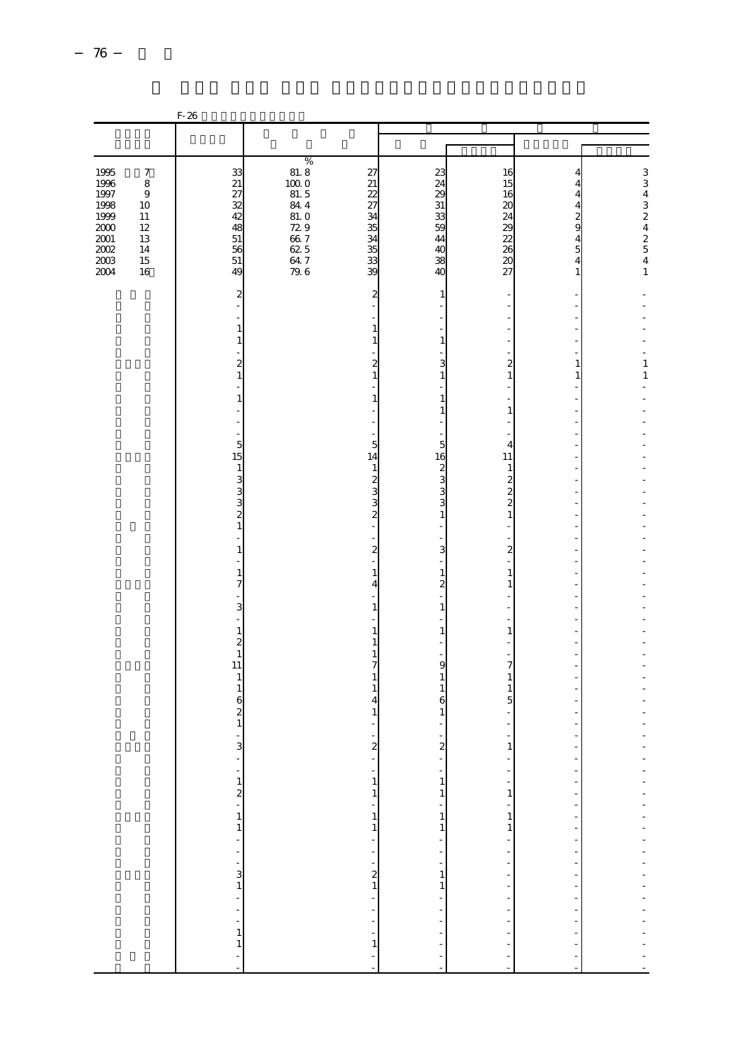|                                                                                                                     |                                                                                  | F-26                                                               |                                                                                                                                                |                                                                                    |                                                                                                |                                                                                                                                                                                                                                                                                                                                                                                                                                    |                                                           |                   |
|---------------------------------------------------------------------------------------------------------------------|----------------------------------------------------------------------------------|--------------------------------------------------------------------|------------------------------------------------------------------------------------------------------------------------------------------------|------------------------------------------------------------------------------------|------------------------------------------------------------------------------------------------|------------------------------------------------------------------------------------------------------------------------------------------------------------------------------------------------------------------------------------------------------------------------------------------------------------------------------------------------------------------------------------------------------------------------------------|-----------------------------------------------------------|-------------------|
|                                                                                                                     |                                                                                  |                                                                    |                                                                                                                                                |                                                                                    |                                                                                                |                                                                                                                                                                                                                                                                                                                                                                                                                                    |                                                           |                   |
|                                                                                                                     |                                                                                  |                                                                    |                                                                                                                                                |                                                                                    |                                                                                                |                                                                                                                                                                                                                                                                                                                                                                                                                                    |                                                           |                   |
| $\begin{array}{c} 1995 \\ 1996 \end{array}$<br>1997<br>1998<br>1999<br>$2000\,$<br>$2001\,$<br>2002<br>2003<br>2004 | $\boldsymbol{7}$<br>8<br>$\,9$<br>10<br>11<br>$12\,$<br>13<br>14<br>$15\,$<br>16 | $\frac{33}{27}$<br>42<br>48<br>$5\bar{1}$<br>$\frac{56}{51}$<br>49 | $\begin{array}{r} \n 81.8 \\  100.0 \\  81.5 \\  \therefore \n \end{array}$<br>$84\ 4$<br>81.0<br>$\frac{729}{667}$<br>$625$<br>$647$<br>$796$ | 27<br>21<br>$\overline{22}$<br>27<br>34<br>35<br>34<br>35<br>$\overline{33}$<br>39 | $\begin{array}{c} 23 \\ 24 \end{array}$<br>29<br>31<br>$\frac{33}{59}$<br>44<br>40<br>38<br>40 | 16<br>15<br>16<br>20<br>24<br>29<br>$\overline{22}$<br>26<br>$\overline{20}$<br>27                                                                                                                                                                                                                                                                                                                                                 | 4<br>$\overline{4}$<br>$4424$<br>$454$<br>$\mathbf{1}$    | 3343242541        |
|                                                                                                                     |                                                                                  | $\overline{\mathbf{c}}$                                            |                                                                                                                                                | $\overline{a}$                                                                     | 1                                                                                              |                                                                                                                                                                                                                                                                                                                                                                                                                                    |                                                           |                   |
|                                                                                                                     |                                                                                  |                                                                    |                                                                                                                                                |                                                                                    |                                                                                                |                                                                                                                                                                                                                                                                                                                                                                                                                                    |                                                           |                   |
|                                                                                                                     |                                                                                  | $\mathbf{1}$<br>$\mathbf{1}$                                       |                                                                                                                                                | 1<br>1                                                                             | $\mathbf{1}$                                                                                   |                                                                                                                                                                                                                                                                                                                                                                                                                                    |                                                           |                   |
|                                                                                                                     |                                                                                  | $\overline{\mathbf{c}}$<br>$\mathbf{1}$                            |                                                                                                                                                | $\overline{a}$<br>$\mathbf{1}$                                                     | 3<br>$\mathbf{1}$                                                                              | $\overline{\mathbf{c}}$<br>$\mathbf{1}$                                                                                                                                                                                                                                                                                                                                                                                            | ۰<br>1<br>$\,1$                                           | 1<br>$\mathbf{1}$ |
|                                                                                                                     |                                                                                  | $\mathbf{1}$                                                       |                                                                                                                                                | 1                                                                                  | $\mathbf{1}$<br>$\mathbf{1}$                                                                   | $\mathbf{1}$                                                                                                                                                                                                                                                                                                                                                                                                                       |                                                           |                   |
|                                                                                                                     |                                                                                  |                                                                    |                                                                                                                                                |                                                                                    |                                                                                                |                                                                                                                                                                                                                                                                                                                                                                                                                                    |                                                           |                   |
|                                                                                                                     |                                                                                  | 5<br>15                                                            |                                                                                                                                                | 5<br>14                                                                            | 5<br>16                                                                                        | 4<br>11                                                                                                                                                                                                                                                                                                                                                                                                                            | $\overline{\phantom{0}}$                                  |                   |
|                                                                                                                     |                                                                                  | $\mathbf{1}$                                                       |                                                                                                                                                | 1<br>2                                                                             | $\frac{2}{3}$                                                                                  | $1\,$<br>$\overline{\mathcal{Z}}$                                                                                                                                                                                                                                                                                                                                                                                                  |                                                           |                   |
|                                                                                                                     |                                                                                  | $\frac{3}{3}$                                                      |                                                                                                                                                | 3<br>3                                                                             | 3<br>3                                                                                         | $\frac{2}{2}$                                                                                                                                                                                                                                                                                                                                                                                                                      |                                                           |                   |
|                                                                                                                     |                                                                                  | $\frac{3}{2}$<br>$\mathbf{1}$                                      |                                                                                                                                                | $\overline{c}$                                                                     | $\mathbf{1}$                                                                                   | $\mathbf{1}$                                                                                                                                                                                                                                                                                                                                                                                                                       |                                                           |                   |
|                                                                                                                     |                                                                                  |                                                                    |                                                                                                                                                |                                                                                    |                                                                                                |                                                                                                                                                                                                                                                                                                                                                                                                                                    |                                                           |                   |
|                                                                                                                     |                                                                                  | $\mathbf{1}$                                                       |                                                                                                                                                | $\overline{c}$                                                                     | 3                                                                                              | $\overline{\mathbf{c}}$                                                                                                                                                                                                                                                                                                                                                                                                            |                                                           |                   |
|                                                                                                                     |                                                                                  | 1<br>7                                                             |                                                                                                                                                | 1<br>4                                                                             | $\mathbf{1}$<br>$\overline{\mathbf{c}}$                                                        | $\mathbf{1}$<br>1                                                                                                                                                                                                                                                                                                                                                                                                                  | -                                                         |                   |
|                                                                                                                     |                                                                                  | 3                                                                  |                                                                                                                                                | $\mathbf{1}$                                                                       | $\mathbf{1}$                                                                                   |                                                                                                                                                                                                                                                                                                                                                                                                                                    |                                                           |                   |
|                                                                                                                     |                                                                                  | $\,1\,$                                                            |                                                                                                                                                | $\mathbf{1}$                                                                       | $\mathbf{1}$                                                                                   | $\mathbf{1}$                                                                                                                                                                                                                                                                                                                                                                                                                       |                                                           |                   |
|                                                                                                                     |                                                                                  | $\overline{\mathcal{L}}$<br>$\mathbf{1}$                           |                                                                                                                                                | 1<br>1                                                                             |                                                                                                |                                                                                                                                                                                                                                                                                                                                                                                                                                    |                                                           |                   |
|                                                                                                                     |                                                                                  | 11<br>$1\,$                                                        |                                                                                                                                                | 7<br>1                                                                             | 9<br>$\,1\,$                                                                                   | 7<br>$\mathbf{1}$                                                                                                                                                                                                                                                                                                                                                                                                                  |                                                           |                   |
|                                                                                                                     |                                                                                  | $1\,$<br>6                                                         |                                                                                                                                                | 1<br>4                                                                             | $\mathbf{1}$<br>6                                                                              | $\mathbf{1}$<br>$\overline{5}$                                                                                                                                                                                                                                                                                                                                                                                                     |                                                           |                   |
|                                                                                                                     |                                                                                  | $\overline{\mathcal{Z}}$<br>$\mathbf{1}$                           |                                                                                                                                                | 1                                                                                  | 1                                                                                              |                                                                                                                                                                                                                                                                                                                                                                                                                                    |                                                           |                   |
|                                                                                                                     |                                                                                  | 3                                                                  |                                                                                                                                                | $\overline{a}$                                                                     | $\overline{\mathbf{c}}$                                                                        | 1                                                                                                                                                                                                                                                                                                                                                                                                                                  |                                                           |                   |
|                                                                                                                     |                                                                                  |                                                                    |                                                                                                                                                |                                                                                    |                                                                                                | ÷,                                                                                                                                                                                                                                                                                                                                                                                                                                 |                                                           |                   |
|                                                                                                                     |                                                                                  |                                                                    |                                                                                                                                                | ÷<br>$\,1$                                                                         | $\mathbf{1}$                                                                                   | ÷,                                                                                                                                                                                                                                                                                                                                                                                                                                 | Ĭ.                                                        |                   |
|                                                                                                                     |                                                                                  |                                                                    |                                                                                                                                                | $\,1\,$<br>$\frac{1}{1}$                                                           | $\,1$<br>$\begin{bmatrix} 1 \\ 1 \end{bmatrix}$                                                | $\mathbf{1}$<br>÷                                                                                                                                                                                                                                                                                                                                                                                                                  | $\qquad \qquad \blacksquare$<br>$\frac{1}{2}$             |                   |
|                                                                                                                     |                                                                                  |                                                                    |                                                                                                                                                | $\,1$                                                                              | $\,1$                                                                                          | $\mathbf{1}$<br>$\mathbf{1}$                                                                                                                                                                                                                                                                                                                                                                                                       | ÷                                                         |                   |
|                                                                                                                     |                                                                                  |                                                                    |                                                                                                                                                |                                                                                    | $\frac{1}{2}$                                                                                  |                                                                                                                                                                                                                                                                                                                                                                                                                                    | f                                                         |                   |
|                                                                                                                     |                                                                                  |                                                                    |                                                                                                                                                | $\begin{bmatrix} 1 \\ 1 \\ 2 \\ 1 \end{bmatrix}$                                   | $\mathbf{1}$                                                                                   |                                                                                                                                                                                                                                                                                                                                                                                                                                    | $\frac{1}{2}$<br>-                                        |                   |
|                                                                                                                     |                                                                                  |                                                                    |                                                                                                                                                |                                                                                    | $\,1\,$                                                                                        | $\begin{aligned} \mathbf{u} & = \mathbf{u} + \mathbf{u} + \mathbf{u} + \mathbf{u} + \mathbf{u} + \mathbf{u} + \mathbf{u} + \mathbf{u} + \mathbf{u} + \mathbf{u} + \mathbf{u} + \mathbf{u} + \mathbf{u} + \mathbf{u} + \mathbf{u} + \mathbf{u} + \mathbf{u} + \mathbf{u} + \mathbf{u} + \mathbf{u} + \mathbf{u} + \mathbf{u} + \mathbf{u} + \mathbf{u} + \mathbf{u} + \mathbf{u} + \mathbf{u} + \mathbf{u} + \mathbf{u} + \mathbf{$ | ÷,                                                        |                   |
|                                                                                                                     |                                                                                  |                                                                    |                                                                                                                                                | $\frac{1}{2}$                                                                      |                                                                                                |                                                                                                                                                                                                                                                                                                                                                                                                                                    | $\begin{array}{ccc}\n1 & 1 & 1 \\ 1 & 1 & 1\n\end{array}$ |                   |
|                                                                                                                     |                                                                                  |                                                                    |                                                                                                                                                |                                                                                    |                                                                                                |                                                                                                                                                                                                                                                                                                                                                                                                                                    |                                                           |                   |
|                                                                                                                     |                                                                                  | $12 - 11 - 31 - 31 - 31 - 1$                                       |                                                                                                                                                | $\frac{1}{\cdot}$<br>$\overline{a}$                                                |                                                                                                | $\frac{1}{2}$<br>L                                                                                                                                                                                                                                                                                                                                                                                                                 | $\frac{1}{2}$                                             |                   |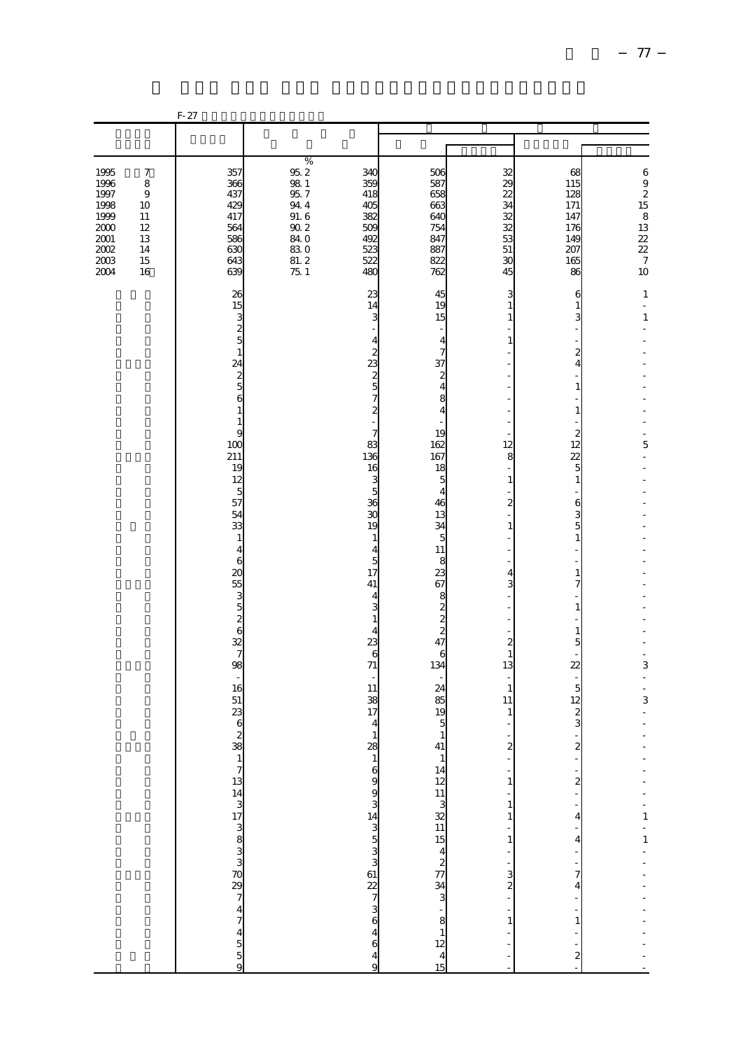|                                                                              |                                                                                    | $F-27$                                                                                                                                                                                                                                                                                    |                                                                                                           |                                                                                                                                                                                                                                                                         |                                                                                                                                                                                                                                    |                                                                                                                                                                                          |                                                                                                                                                                                                                                                        |                                                                                                     |
|------------------------------------------------------------------------------|------------------------------------------------------------------------------------|-------------------------------------------------------------------------------------------------------------------------------------------------------------------------------------------------------------------------------------------------------------------------------------------|-----------------------------------------------------------------------------------------------------------|-------------------------------------------------------------------------------------------------------------------------------------------------------------------------------------------------------------------------------------------------------------------------|------------------------------------------------------------------------------------------------------------------------------------------------------------------------------------------------------------------------------------|------------------------------------------------------------------------------------------------------------------------------------------------------------------------------------------|--------------------------------------------------------------------------------------------------------------------------------------------------------------------------------------------------------------------------------------------------------|-----------------------------------------------------------------------------------------------------|
|                                                                              |                                                                                    |                                                                                                                                                                                                                                                                                           |                                                                                                           |                                                                                                                                                                                                                                                                         |                                                                                                                                                                                                                                    |                                                                                                                                                                                          |                                                                                                                                                                                                                                                        |                                                                                                     |
| 1995<br>1996<br>1997<br>1998<br>1999<br>2000<br>2001<br>2002<br>2003<br>2004 | $\boldsymbol{7}$<br>$\,$ 8 $\,$<br>$\,9$<br>10<br>11<br>12<br>13<br>14<br>15<br>16 | 357<br>366<br>437<br>429<br>417<br>564<br>586<br>630<br>643<br>639                                                                                                                                                                                                                        | %<br>$95.2\,$<br>$98\ 1$<br>95.7<br>944<br>$\frac{91.6}{90.2}$<br><b>84 O</b><br>$83.0$<br>$81.2$<br>75.1 | 34C<br>359<br>418<br>405<br>382<br>509<br>492<br>523<br>522<br>480                                                                                                                                                                                                      | 506<br>587<br>658<br>663<br>64C<br>754<br>847<br>887<br>822<br>762                                                                                                                                                                 | 32<br>29<br>22<br>34<br>32<br>$\overline{32}$<br>53<br>51<br>30<br>45                                                                                                                    | 68<br>115<br>128<br>171<br>147<br>176<br>149<br>207<br>165<br>86                                                                                                                                                                                       | $\,$ 6 $\,$<br>$\mathbf{9}$<br>$\overline{\mathcal{L}}$<br>15<br>$813$<br>$22$<br>$22$<br>$7$<br>10 |
|                                                                              |                                                                                    | 26<br>15<br>3<br>$\frac{2}{5}$<br>$\mathbf{1}$<br>24<br>$rac{2}{5}$<br>6<br>$\mathbf{1}$<br>$\,1\,$<br>9<br>100<br>211<br>19<br>12<br>5<br>57<br>54<br>33<br>$\mathbf{1}$<br>$\overline{4}$<br>$\epsilon$<br>20<br>55<br>$\begin{array}{c} 3 \\ 5 \\ 2 \\ 6 \end{array}$<br>32<br>7<br>98 |                                                                                                           | 23<br>14<br>3<br>4<br>$\overline{\mathcal{Z}}$<br>23<br>$\frac{2}{5}$<br>$\overline{7}$<br>$\overline{\mathcal{Z}}$<br>$\overline{7}$<br>83<br>136<br>16<br>3<br>5<br>36<br>30<br>19<br>1<br>4<br>5<br>17<br>41<br>4<br>3<br>$\mathbf{1}$<br>4<br>23<br>6<br>${\bf 71}$ | 45<br>19<br>15<br>$\overline{4}$<br>7<br>37<br>$\boldsymbol{z}$<br>$\overline{4}$<br>8<br>4<br>19<br>162<br>167<br>18<br>5<br>$\overline{4}$<br>46<br>13<br>34<br>5<br>11<br>8<br>23<br>67<br>8<br>$\frac{2}{2}$<br>47<br>6<br>134 | 3<br>1<br>1<br>1<br>12<br>8<br>$\mathbf{1}$<br>$\overline{c}$<br>$\mathbf{1}$<br>4<br>3<br>$\boldsymbol{2}$<br>$\mathbf{1}$<br>13                                                        | 6<br>$\,1\,$<br>3<br>$\boldsymbol{z}$<br>4<br>$\mathbf{1}$<br>$\mathbf{1}$<br>$\overline{c}$<br>12<br>22<br>$\overline{5}$<br>$\,1\,$<br>6<br>3<br>$\overline{5}$<br>$\,1$<br>$\mathbf{1}$<br>7<br>$\mathbf{1}$<br>$\mathbf{1}$<br>5<br>$\overline{2}$ | $\mathbf{1}$<br>$\,1\,$<br>5<br>$\overline{a}$<br>ä,<br>3                                           |
|                                                                              |                                                                                    | ÷,<br>16<br>51<br>23<br>6<br>$\overline{\mathcal{L}}$<br>$\overline{38}$                                                                                                                                                                                                                  |                                                                                                           | 11<br>38<br>17<br>$\overline{4}$<br>$\mathbf{1}$<br>28<br>1699343533627364649                                                                                                                                                                                           | 24<br>85<br>19<br>5<br>$\mathbf{1}$<br>41<br>- 1 14 12 13 14 14 14 14 14 15 14 15 14 15 14 15 16 17 17 18 19 1                                                                                                                     | $\mathbf{1}$<br>11<br>1<br>$\overline{a}$<br>$\mathbf{1}$<br>$\,1\,$<br>$\mathbf{1}$<br>$\,1\,$<br>$\ddot{\phantom{a}}$<br>$\begin{bmatrix} 3 \\ 2 \\ -1 \end{bmatrix}$<br>$\frac{1}{2}$ | 5<br>12<br>$\frac{2}{3}$<br>$\overline{\mathbf{c}}$<br>l,<br>$\boldsymbol{z}$<br>÷,<br>$\overline{\mathbf{r}}$<br>$\overline{4}$<br>ł,<br>$\begin{bmatrix} 7 \\ 7 \\ 4 \end{bmatrix}$<br>$\frac{1}{2}$<br>$\mathbf 1$<br>$\frac{1}{2}$                 | ÷,<br>$\overline{a}$<br>3<br>$\frac{1}{2}$<br>$-1 - 1 - - - - - - - -$<br>$\frac{1}{2}$             |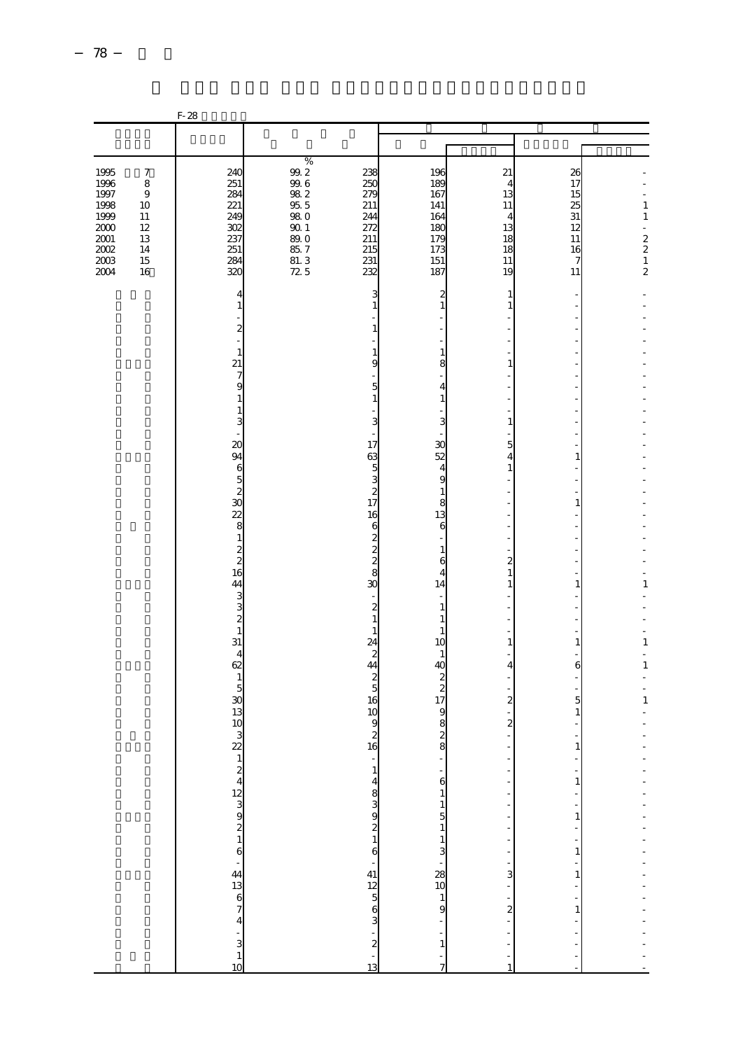|                                                      |                                                 | $F-28$                                                 |                                                                         |                                              |                                                    |                                                    |                                 |                                                                                 |
|------------------------------------------------------|-------------------------------------------------|--------------------------------------------------------|-------------------------------------------------------------------------|----------------------------------------------|----------------------------------------------------|----------------------------------------------------|---------------------------------|---------------------------------------------------------------------------------|
|                                                      |                                                 |                                                        |                                                                         |                                              |                                                    |                                                    |                                 |                                                                                 |
| 1995<br>1996<br>1997                                 | $\boldsymbol{7}$<br>$\,8\,$<br>$\boldsymbol{9}$ | 240<br>251<br>284                                      | $\%$<br>$99. \, 2$<br>$99\,6$<br>$98\ 2$                                | 238<br>250<br>279                            | 196<br>189<br>167                                  | 21<br>4<br>13                                      | 26<br>17<br>15                  |                                                                                 |
| 1998<br>1999<br>2000<br>2001<br>$2002\,$<br>$2003\,$ | 10<br>11<br>12<br>13<br>14<br>15                | 221<br><b>249</b><br>302<br>237<br>251<br>284          | $95\,$ $5\,$<br><b>980</b><br>$\frac{90}{89}$ 1<br>85 7<br>81 3<br>72 5 | 211<br>244<br>272<br>211<br>215<br>231       | 141<br>164<br>18C<br>179<br>173<br>151             | 11<br>4<br>13<br>18<br>18<br>11                    | 25<br>31<br>12<br>11<br>16<br>7 | $\,1\,$<br>$\,1\,$<br>÷,<br>$\begin{smallmatrix} 2\\ 2\\ 1\\ \end{smallmatrix}$ |
| 2004                                                 | 16                                              | 320<br>4                                               |                                                                         | 232<br>3                                     | 187<br>$\overline{\mathbf{c}}$                     | 19<br>$\mathbf{1}$                                 | 11                              | $\overline{\mathbf{c}}$                                                         |
|                                                      |                                                 | 1<br>$\boldsymbol{z}$                                  |                                                                         | 1                                            | $\mathbf{1}$                                       | 1                                                  |                                 |                                                                                 |
|                                                      |                                                 | $\mathbf{1}$<br>21                                     |                                                                         | 1<br>9                                       | $\mathbf{1}$<br>8                                  | 1                                                  |                                 |                                                                                 |
|                                                      |                                                 | 7<br>9<br>1                                            |                                                                         | 5<br>1                                       | 4<br>$1\,$                                         |                                                    |                                 |                                                                                 |
|                                                      |                                                 | $\mathbf{1}$<br>3                                      |                                                                         | 3                                            | 3                                                  | $\,1\,$                                            |                                 |                                                                                 |
|                                                      |                                                 | 20<br>94<br>6                                          |                                                                         | 17<br>63<br>5                                | 30<br>52<br>4                                      | 5<br>4<br>$\,1\,$                                  | 1                               |                                                                                 |
|                                                      |                                                 | 5<br>$\overline{\mathcal{L}}$<br>$\overline{30}$<br>22 |                                                                         | 3<br>2<br>17<br>16                           | 9<br>$1\,$<br>8<br>13                              |                                                    | $\,1$                           |                                                                                 |
|                                                      |                                                 | 8<br>$\mathbf{1}$                                      |                                                                         | 6<br>2<br>$\overline{c}$                     | 6                                                  |                                                    |                                 |                                                                                 |
|                                                      |                                                 | $\frac{2}{2}$<br>16<br>44                              |                                                                         | $\overline{c}$<br>8<br>30                    | $\mathbf{1}$<br>6<br>4<br>14                       | $\overline{\mathbf{c}}$<br>$\mathbf{1}$<br>1       | ۰<br>1                          | -<br>1                                                                          |
|                                                      |                                                 | $\frac{3}{3}$                                          |                                                                         | $\overline{\mathbf{c}}$<br>1                 | 1<br>$\mathbf{1}$                                  |                                                    |                                 |                                                                                 |
|                                                      |                                                 | $\frac{2}{1}$<br>31<br>$\overline{4}$                  |                                                                         | 1<br>24<br>2                                 | $\mathbf{1}$<br>10<br>1                            | $\mathbf{1}$                                       | $\,1\,$                         | L,<br>$\mathbf{1}$<br>$\overline{a}$                                            |
|                                                      |                                                 | 62<br>$\mathbf{1}$                                     |                                                                         | 44<br>2<br>5                                 | 40<br>2<br>$\overline{c}$                          | $\overline{4}$                                     | 6                               | 1                                                                               |
|                                                      |                                                 | $\begin{array}{c} 5 \\ 30 \end{array}$<br>13<br>10     |                                                                         | 16<br>10<br>9                                | 17<br>9<br>8                                       | $\overline{\mathbf{c}}$<br>$\overline{\mathbf{c}}$ | 5<br>$\,1$                      | $\,1\,$                                                                         |
|                                                      |                                                 | $\frac{3}{22}$                                         |                                                                         | 2<br>16                                      | $\frac{2}{9}$                                      |                                                    | 1                               |                                                                                 |
|                                                      |                                                 |                                                        |                                                                         | $\mathbf 1$<br>$\overline{\mathcal{L}}$<br>8 | 6                                                  |                                                    | $\mathbf 1$                     |                                                                                 |
|                                                      |                                                 |                                                        |                                                                         | 3921                                         | $\begin{array}{c} 1 \\ 1 \\ 5 \\ 1 \end{array}$    | ł,<br>÷,                                           | 1                               |                                                                                 |
|                                                      |                                                 |                                                        |                                                                         | $\overline{6}$                               | 3<br>l,                                            | ł,<br>$\frac{1}{1}$                                | $\,1$                           |                                                                                 |
|                                                      |                                                 |                                                        |                                                                         | $412563$<br>$2563$<br>$2 - 2$<br>$13$        | $\begin{bmatrix} 28 \\ 10 \\ 1 \\ 9 \end{bmatrix}$ | 3<br>$\frac{1}{1}$                                 | 1                               |                                                                                 |
|                                                      |                                                 |                                                        |                                                                         |                                              | $\frac{1}{1}$                                      | $\frac{2}{1}$                                      | $\mathbf 1$                     |                                                                                 |
|                                                      |                                                 |                                                        |                                                                         |                                              | $\,1$<br>$\frac{1}{7}$                             | ł,<br>$\overline{a}$<br>1                          |                                 |                                                                                 |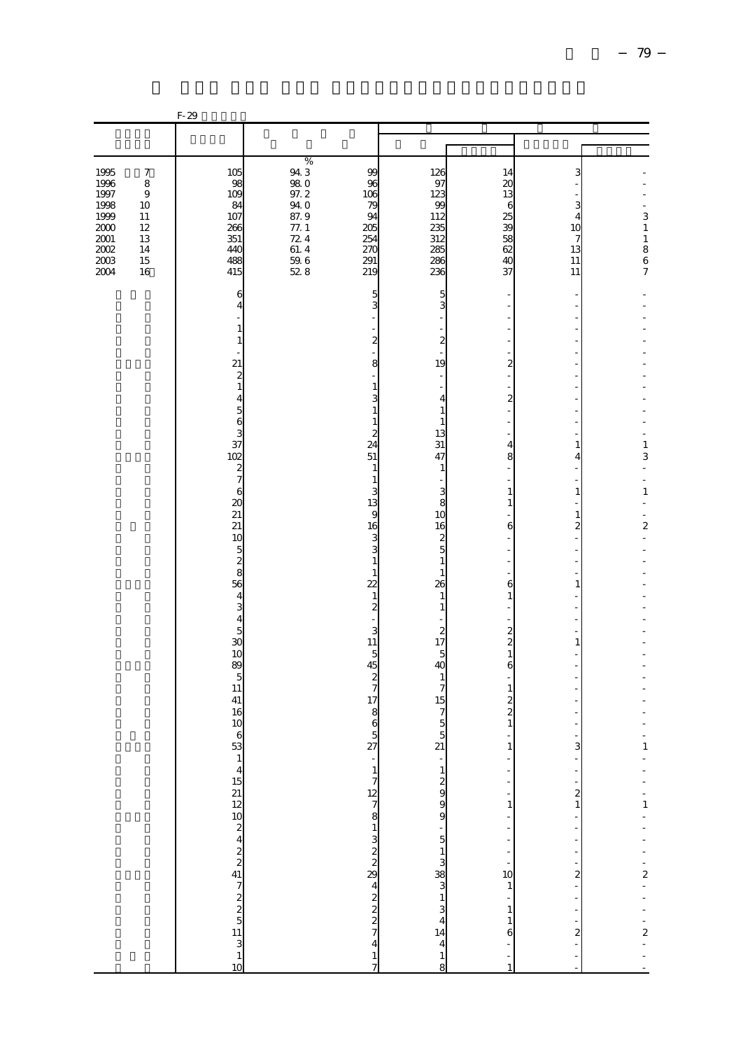|                                                                                  |                                                                          | $F-29$                                                                                                                |                                                                                                           |                                                                       |                                                                     |                                                                       |                                                                                                    |                                    |
|----------------------------------------------------------------------------------|--------------------------------------------------------------------------|-----------------------------------------------------------------------------------------------------------------------|-----------------------------------------------------------------------------------------------------------|-----------------------------------------------------------------------|---------------------------------------------------------------------|-----------------------------------------------------------------------|----------------------------------------------------------------------------------------------------|------------------------------------|
|                                                                                  |                                                                          |                                                                                                                       |                                                                                                           |                                                                       |                                                                     |                                                                       |                                                                                                    |                                    |
| 1995<br>1996<br>1997<br>1998<br>1999<br>2000<br>2001<br>$2002\,$<br>2003<br>2004 | $\boldsymbol{7}$<br>8<br>$\,9$<br>10<br>11<br>12<br>13<br>14<br>15<br>16 | 105<br>98<br>109<br>84<br>107<br>266<br>351<br>440<br>488<br>415                                                      | %<br>943<br><b>980</b><br>$\frac{97.2}{94.0}$<br>87.9<br>$\frac{77.1}{72.4}$<br>61.4<br>$\frac{59}{52}$ 6 | 99<br>96<br>106<br>79<br>94<br>205<br>254<br><b>27C</b><br>291<br>219 | 126<br>97<br>123<br>99<br>112<br>23F<br>312<br>285<br>286<br>236    | 14<br>20<br>13<br>6<br>25<br>39<br>58<br>62<br>40<br>37               | 3<br>3<br>$\overline{4}$<br>10<br>7<br>13<br>11<br>11                                              | $\frac{3}{1}$<br>$\frac{1}{8}$ 6 7 |
|                                                                                  |                                                                          | 6<br>4<br>1<br>$\mathbf{1}$                                                                                           |                                                                                                           | 5<br>3<br>$\boldsymbol{2}$                                            | 5<br>3<br>$\boldsymbol{z}$                                          |                                                                       |                                                                                                    |                                    |
|                                                                                  |                                                                          | 21<br>$\boldsymbol{z}$<br>$\,1\,$<br>$\overline{4}$<br>$\frac{5}{6}$                                                  |                                                                                                           | 8<br>$1\,$<br>3<br>$\mathbf{1}$                                       | 19<br>4<br>1<br>$\mathbf{1}$                                        | 2<br>2                                                                |                                                                                                    |                                    |
|                                                                                  |                                                                          | 3<br>37<br>102<br>$\begin{smallmatrix}2\\7\\6\end{smallmatrix}$                                                       |                                                                                                           | $1\,$<br>$\boldsymbol{z}$<br>24<br>51<br>$\mathbf{1}$<br>1<br>3       | 13<br>31<br>47<br>1<br>3                                            | 4<br>8<br>$\mathbf{1}$                                                | 1<br>4<br>$\overline{\phantom{a}}$<br>$\,1\,$                                                      | 1<br>3<br>L,<br>l,<br>$\,1\,$      |
|                                                                                  |                                                                          | $\boldsymbol{\chi}$<br>21<br>21<br>10<br>$\frac{5}{2}$                                                                |                                                                                                           | 13<br>9<br>16<br>3<br>3<br>$\mathbf{1}$                               | 8<br>10<br>16<br>$\boldsymbol{z}$<br>5<br>1                         | $\mathbf{1}$<br>6                                                     | $\,1\,$<br>$\overline{c}$                                                                          | L,<br>$\boldsymbol{z}$             |
|                                                                                  |                                                                          | 56<br>$\overline{4}$<br>$\begin{array}{c} 3 \\ 4 \\ 5 \end{array}$                                                    |                                                                                                           | 1<br>$\overline{2}$<br>$\mathbf{1}$<br>$\boldsymbol{z}$<br>3          | 1<br>26<br>1<br>1<br>$\overline{\mathbf{c}}$                        | 6<br>1<br>$\overline{c}$                                              | 1                                                                                                  |                                    |
|                                                                                  |                                                                          | $\frac{30}{10}$<br>89<br>$\overline{5}$<br>$11\,$<br>41                                                               |                                                                                                           | 11<br>5<br>45<br>$\boldsymbol{z}$<br>$\overline{7}$<br>17             | 17<br>5<br>40<br>1<br>7<br>15                                       | $\overline{c}$<br>$\mathbf{1}$<br>6<br>$\mathbf{1}$<br>$\overline{c}$ | $\,1\,$                                                                                            |                                    |
|                                                                                  |                                                                          | 16<br>10<br>6<br>53                                                                                                   |                                                                                                           | 8<br>6<br>5<br>27                                                     | $\overline{7}$<br>5<br>5<br>21<br>$\mathbf{1}$                      | 2<br>$\mathbf{1}$<br>$\mathbf{1}$                                     | 3                                                                                                  | $\mathbf{1}$                       |
|                                                                                  |                                                                          |                                                                                                                       |                                                                                                           |                                                                       | $\frac{2}{9}$<br>99<br>$\frac{1}{3}$                                | $1\,$<br>-<br>Ĭ.                                                      | $\overline{\phantom{a}}$<br>$\begin{smallmatrix}2\\1\end{smallmatrix}$<br>$\overline{\phantom{a}}$ |                                    |
|                                                                                  |                                                                          | $\frac{1}{4}$ $\frac{15}{21}$ $\frac{2}{12}$ $\frac{10}{24}$ $\frac{2}{4}$ $\frac{2}{2}$ $\frac{2}{5}$ $\frac{1}{10}$ |                                                                                                           | $17127828888813777777$                                                | $\begin{smallmatrix} 38 \\ 1 \end{smallmatrix}$<br>3                | $\ddot{\phantom{0}}$<br>10<br>$1\,$<br>Ĭ.<br>$1\,$                    | f<br>f<br>$\overline{\mathbf{c}}$<br>$\frac{1}{\sqrt{2}}$<br>÷<br>÷                                | - - - 1 - - - - - 2 - - - - 2 - -  |
|                                                                                  |                                                                          |                                                                                                                       |                                                                                                           | $\begin{array}{c}\n4 \\ 1 \\ 7\n\end{array}$                          | $\begin{array}{c} 4 \\ 14 \end{array}$<br>$\overline{4}$<br>$\,1\,$ | $\frac{1}{6}$                                                         | $\overline{\mathcal{L}}$<br>$\frac{1}{1}$                                                          |                                    |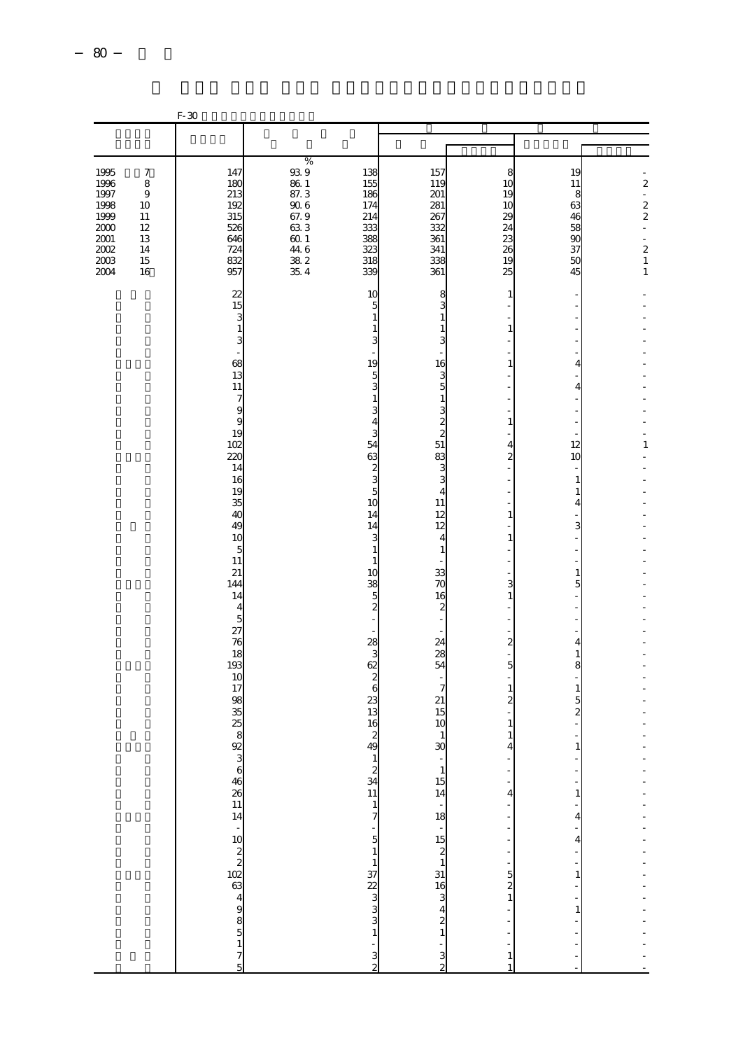|                                                                                                   |                                                                                           | $F-30$                                                                                      |                                                                                                        |                                                                        |                                                                              |                                                                               |                                                                      |                                                                                                                                                                               |
|---------------------------------------------------------------------------------------------------|-------------------------------------------------------------------------------------------|---------------------------------------------------------------------------------------------|--------------------------------------------------------------------------------------------------------|------------------------------------------------------------------------|------------------------------------------------------------------------------|-------------------------------------------------------------------------------|----------------------------------------------------------------------|-------------------------------------------------------------------------------------------------------------------------------------------------------------------------------|
|                                                                                                   |                                                                                           |                                                                                             |                                                                                                        |                                                                        |                                                                              |                                                                               |                                                                      |                                                                                                                                                                               |
|                                                                                                   |                                                                                           |                                                                                             |                                                                                                        |                                                                        |                                                                              |                                                                               |                                                                      |                                                                                                                                                                               |
| 1995<br>1996<br>1997<br>1998<br>1999<br>$2000$<br>2001<br>$2002\,$<br>$\frac{2003}{2003}$<br>2004 | $\boldsymbol{7}$<br>$\,8\,$<br>$\boldsymbol{9}$<br>10<br>11<br>12<br>13<br>14<br>15<br>16 | 147<br>18C<br>213<br>192<br>315<br>526<br>646<br>724<br>832<br>957                          | $\%$<br>$93\ 9$<br>$86\ 1$<br>87.3<br>$90\;6$<br>$67.9$<br>$63.3$<br>$60.1$<br>$446$<br>$382$<br>$354$ | 138<br>155<br>186<br>174<br>214<br>333<br>388<br>323<br>318<br>339     | 157<br>119<br>201<br>281<br>267<br>332<br>361<br>341<br>338<br>361           | 8<br>10<br>19<br>10<br>29<br>24<br>23<br>26<br>19<br>25                       | 19<br>11<br>8<br>63<br>46<br>58<br>$\overline{90}$<br>37<br>50<br>45 | $\overline{\mathcal{L}}$<br>÷,<br>$\overline{\mathcal{L}}$<br>$\overline{\mathcal{L}}$<br>$\bar{\phantom{a}}$<br>$\overline{a}$<br>$\begin{array}{c} 2 \\ 1 \\ 1 \end{array}$ |
|                                                                                                   |                                                                                           | 22<br>15<br>3<br>$\mathbf{1}$<br>3<br>68<br>13<br>$11\,$                                    |                                                                                                        | 10<br>5<br>1<br>1<br>19<br>5<br>3                                      | 8<br>3<br>$\mathbf{1}$<br>$\mathbf{1}$<br>3<br>16<br>$\frac{3}{5}$           | $\mathbf{1}$<br>$\mathbf{1}$<br>1                                             | 4<br>$\overline{4}$                                                  |                                                                                                                                                                               |
|                                                                                                   |                                                                                           | $\boldsymbol{7}$<br>9<br>$\epsilon$<br>19<br>102<br>220<br>14<br>16                         |                                                                                                        | 1<br>4<br>3<br>54<br>63<br>$\boldsymbol{z}$<br>3                       | $\,1\,$<br>3<br>$\frac{2}{2}$<br>51<br>83<br>3<br>3                          | $\mathbf{1}$<br>4<br>$\overline{\mathbf{c}}$                                  | 12<br>10<br>$\,1\,$                                                  | ÷<br>1<br>$\overline{a}$                                                                                                                                                      |
|                                                                                                   |                                                                                           | 19<br>35<br>40<br>49<br>10<br>5<br>11                                                       |                                                                                                        | 5<br>10<br>14<br>14<br>3<br>1<br>1                                     | 4<br>11<br>12<br>12<br>4<br>$\mathbf{1}$                                     | 1<br>$\,1\,$                                                                  | $\,1$<br>4<br>3                                                      |                                                                                                                                                                               |
|                                                                                                   |                                                                                           | 21<br>144<br>14<br>$\overline{4}$<br>5<br>27<br>76                                          |                                                                                                        | 10<br>38<br>5<br>$\overline{c}$<br>28                                  | 33<br>70<br>16<br>2<br>24                                                    | 3<br>$\mathbf 1$<br>$\overline{\mathcal{Z}}$                                  | $\,1$<br>5<br>$\overline{4}$                                         |                                                                                                                                                                               |
|                                                                                                   |                                                                                           | 18<br>193<br>10<br>17<br>98<br>$\frac{35}{25}$                                              |                                                                                                        | 3<br>62<br>$\boldsymbol{z}$<br>6<br>23<br>13<br>16<br>$\boldsymbol{z}$ | 28<br>54<br>$\overline{7}$<br>$21\,$<br>15<br>10<br>1                        | 5<br>$\mathbf{1}$<br>$\overline{\mathcal{Z}}$<br>$\mathbf{1}$<br>$\mathbf{1}$ | $\,1$<br>8<br>÷,<br>$\begin{array}{c} 1 \\ 5 \\ 2 \end{array}$       |                                                                                                                                                                               |
|                                                                                                   |                                                                                           | $\frac{8}{92}$<br>ç                                                                         |                                                                                                        | 49<br>Ŧ<br>$\frac{2}{34}$<br>11<br>$\,1\,$<br>7                        | 30<br>$\begin{array}{c} 1 \\ 15 \end{array}$<br>14<br>$\frac{1}{18}$         | 4<br>$\overline{4}$                                                           | 1<br>$\,1$<br>4                                                      | $\overline{a}$                                                                                                                                                                |
|                                                                                                   |                                                                                           | 6<br>6<br>5<br>1 7 5<br>9<br>6<br>9<br>5<br>9<br>5<br>9<br>5<br>9<br>5<br>9<br>5<br>1 7<br> |                                                                                                        | 5<br>$\,1\,$<br>$\frac{1}{37}$ 32                                      | $15$ $\frac{15}{3}$ $\frac{1}{4}$ $\frac{3}{16}$ $\frac{1}{3}$ $\frac{1}{4}$ | Ĩ.<br>$\overline{a}$<br>$\frac{5}{2}$<br>ł,                                   | $\overline{4}$<br>1<br>$\,1\,$                                       | $\frac{1}{2}$                                                                                                                                                                 |
|                                                                                                   |                                                                                           |                                                                                             |                                                                                                        | 3<br>$\,1\,$<br>3<br>2                                                 | $\frac{2}{1}$<br>3<br>$\overline{c}$                                         | $\mathbf{1}$<br>$\mathbf{1}$                                                  |                                                                      |                                                                                                                                                                               |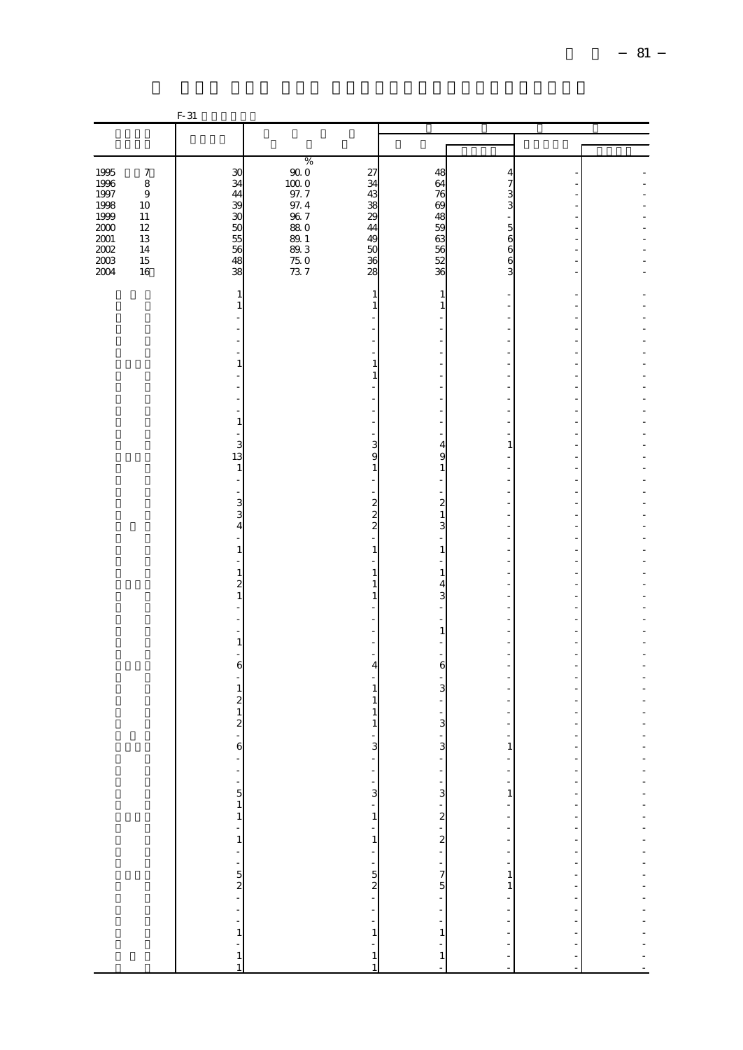|                     |                                 | $F-31$                   |                              |                                         |                      |                                        |                          |                         |
|---------------------|---------------------------------|--------------------------|------------------------------|-----------------------------------------|----------------------|----------------------------------------|--------------------------|-------------------------|
|                     |                                 |                          |                              |                                         |                      |                                        |                          |                         |
|                     |                                 |                          |                              |                                         |                      |                                        |                          |                         |
|                     |                                 |                          | $\%$                         |                                         |                      |                                        |                          |                         |
| 1995<br>1996        | $\boldsymbol{7}$<br>$\,$ 8 $\,$ | 30<br>34                 | $90\;0$<br>$100\;0$          | 27<br>34                                | 48<br>64             | $\overline{4}$<br>7                    |                          |                         |
| 1997                | $\,9$                           | $\overline{44}$          | 97.7                         | 43                                      | 76                   |                                        |                          |                         |
| 1998                | 10                              |                          | 97.4                         | 38                                      | 69                   | $\frac{3}{3}$                          |                          |                         |
| $\frac{1999}{2000}$ | 11<br>12                        | \$\$\$898                | $\frac{96}{88}$ 7            | 29<br>44                                | 48                   |                                        |                          |                         |
| $2001\,$            | 13                              |                          |                              | 49                                      | 59<br>63<br>56<br>52 | $\frac{5}{6}$                          |                          |                         |
| $2002\,$            | 14                              |                          | 89.1<br>89.3<br>75.0<br>73.7 | $\begin{array}{c} 50 \\ 36 \end{array}$ |                      | 6                                      |                          |                         |
| $2003\,$            | 15                              |                          |                              |                                         |                      | $\frac{6}{3}$                          |                          |                         |
| 2004                | 16                              | 38                       |                              | 28                                      | 36                   |                                        |                          |                         |
|                     |                                 | 1                        |                              | $\mathbf{1}$                            | 1                    |                                        |                          |                         |
|                     |                                 | $\mathbf 1$              |                              | $\mathbf{1}$                            | $\mathbf{1}$         |                                        |                          |                         |
|                     |                                 |                          |                              |                                         |                      |                                        |                          |                         |
|                     |                                 |                          |                              |                                         |                      |                                        |                          |                         |
|                     |                                 |                          |                              |                                         |                      |                                        |                          |                         |
|                     |                                 | 1                        |                              | $\mathbf{1}$                            |                      |                                        |                          |                         |
|                     |                                 |                          |                              | $\mathbf{1}$                            |                      |                                        |                          |                         |
|                     |                                 |                          |                              |                                         |                      |                                        |                          |                         |
|                     |                                 | $\frac{1}{2}$            |                              |                                         |                      |                                        |                          |                         |
|                     |                                 | $\,1\,$                  |                              |                                         |                      |                                        |                          |                         |
|                     |                                 | 3                        |                              | 3                                       | 4                    | 1                                      |                          |                         |
|                     |                                 | 13                       |                              | 9                                       | 9                    |                                        |                          |                         |
|                     |                                 | $\,1\,$                  |                              | $\mathbf{1}$                            | $\mathbf{1}$         |                                        |                          |                         |
|                     |                                 | $\overline{\phantom{a}}$ |                              |                                         |                      |                                        |                          |                         |
|                     |                                 | $\frac{1}{2}$            |                              | $\overline{\mathcal{Z}}$                | $\boldsymbol{z}$     |                                        |                          |                         |
|                     |                                 | $\frac{3}{4}$            |                              | $\frac{2}{2}$                           | $\mathbf{1}$         |                                        |                          |                         |
|                     |                                 |                          |                              |                                         | 3                    |                                        |                          |                         |
|                     |                                 | $\,1$                    |                              | $1\,$                                   | $\mathbf{1}$         |                                        |                          |                         |
|                     |                                 |                          |                              |                                         |                      |                                        |                          |                         |
|                     |                                 | $\,1\,$                  |                              | $1\,$                                   | $\mathbf{1}$         |                                        |                          |                         |
|                     |                                 | $\frac{2}{1}$            |                              | 1<br>$\mathbf{1}$                       | 4<br>3               |                                        |                          |                         |
|                     |                                 |                          |                              |                                         |                      |                                        |                          |                         |
|                     |                                 |                          |                              |                                         |                      |                                        |                          |                         |
|                     |                                 |                          |                              |                                         | $\mathbf{1}$         |                                        |                          |                         |
|                     |                                 | $1\,$                    |                              |                                         |                      |                                        |                          |                         |
|                     |                                 | 6                        |                              | 4                                       | 6                    |                                        | $\overline{\phantom{a}}$ |                         |
|                     |                                 |                          |                              |                                         |                      |                                        |                          |                         |
|                     |                                 | $\frac{1}{2}$            |                              | $\mathbf{1}$                            | 3                    |                                        |                          |                         |
|                     |                                 | $\mathbf{1}$             |                              | 1<br>$\mathbf{1}$                       |                      |                                        |                          |                         |
|                     |                                 | $\overline{\mathcal{L}}$ |                              | 1                                       | 3                    |                                        |                          |                         |
|                     |                                 |                          |                              |                                         |                      |                                        |                          |                         |
|                     |                                 | 6<br>$\frac{1}{2}$       |                              | 3                                       | 3                    | $\mathbf{1}$<br>÷,                     |                          |                         |
|                     |                                 |                          |                              | $-2$ $-3$ $-1$                          | $\frac{1}{2}$        | l,                                     | f                        |                         |
|                     |                                 |                          |                              |                                         |                      | $\blacksquare$                         |                          |                         |
|                     |                                 |                          |                              |                                         |                      | $\,1$                                  | $\frac{1}{2}$            |                         |
|                     |                                 |                          |                              |                                         |                      | ŕ                                      | $\overline{\phantom{0}}$ |                         |
|                     |                                 |                          |                              |                                         |                      |                                        |                          |                         |
|                     |                                 |                          |                              |                                         |                      |                                        | 医单位性 医血管中枢 医血管中枢         |                         |
|                     |                                 |                          |                              |                                         |                      |                                        |                          |                         |
|                     |                                 |                          |                              |                                         |                      |                                        |                          |                         |
|                     |                                 |                          |                              |                                         |                      | $\begin{bmatrix} 1 \\ 1 \end{bmatrix}$ |                          |                         |
|                     |                                 |                          |                              |                                         |                      |                                        |                          |                         |
|                     |                                 |                          |                              |                                         |                      |                                        |                          |                         |
|                     |                                 |                          |                              |                                         | $\mathbf{1}$         |                                        |                          |                         |
|                     |                                 |                          |                              |                                         | $\frac{1}{1}$        |                                        |                          |                         |
|                     |                                 |                          |                              |                                         |                      |                                        |                          | ----------------------- |
|                     |                                 |                          |                              |                                         |                      |                                        |                          |                         |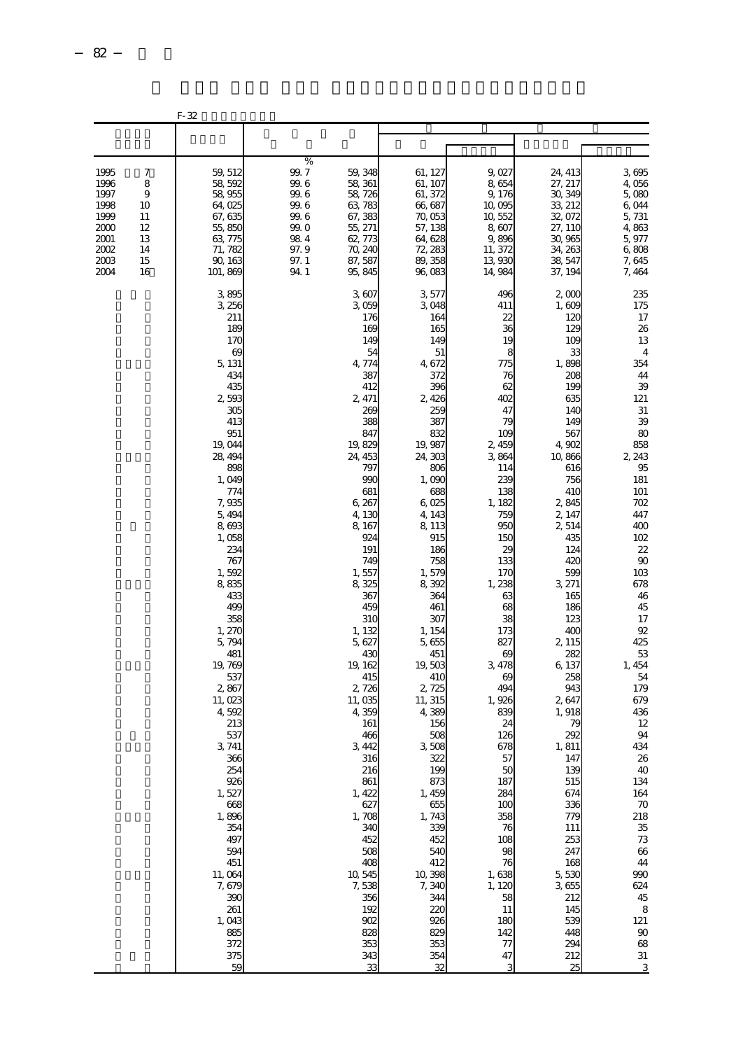|                                                                              |                                                       | $F-32$                                                                                                                                                                                                                                                                                                                                                                                                                                                                              |                                                                                     |                                                                                                                                                                                                                                                                                                                                                                                                                                                                                                |                                                                                                                                                                                                                                                                                                                                                                                                                                                                                     |                                                                                                                                                                                                                                                                                                                                                                                                                                              |                                                                                                                                                                                                                                                                                                                                                                                                                                                                                 |                                                                                                                                                                                                                                                                                                                                                                                                                                             |
|------------------------------------------------------------------------------|-------------------------------------------------------|-------------------------------------------------------------------------------------------------------------------------------------------------------------------------------------------------------------------------------------------------------------------------------------------------------------------------------------------------------------------------------------------------------------------------------------------------------------------------------------|-------------------------------------------------------------------------------------|------------------------------------------------------------------------------------------------------------------------------------------------------------------------------------------------------------------------------------------------------------------------------------------------------------------------------------------------------------------------------------------------------------------------------------------------------------------------------------------------|-------------------------------------------------------------------------------------------------------------------------------------------------------------------------------------------------------------------------------------------------------------------------------------------------------------------------------------------------------------------------------------------------------------------------------------------------------------------------------------|----------------------------------------------------------------------------------------------------------------------------------------------------------------------------------------------------------------------------------------------------------------------------------------------------------------------------------------------------------------------------------------------------------------------------------------------|---------------------------------------------------------------------------------------------------------------------------------------------------------------------------------------------------------------------------------------------------------------------------------------------------------------------------------------------------------------------------------------------------------------------------------------------------------------------------------|---------------------------------------------------------------------------------------------------------------------------------------------------------------------------------------------------------------------------------------------------------------------------------------------------------------------------------------------------------------------------------------------------------------------------------------------|
|                                                                              |                                                       |                                                                                                                                                                                                                                                                                                                                                                                                                                                                                     |                                                                                     |                                                                                                                                                                                                                                                                                                                                                                                                                                                                                                |                                                                                                                                                                                                                                                                                                                                                                                                                                                                                     |                                                                                                                                                                                                                                                                                                                                                                                                                                              |                                                                                                                                                                                                                                                                                                                                                                                                                                                                                 |                                                                                                                                                                                                                                                                                                                                                                                                                                             |
| 1995<br>1996<br>1997<br>1998<br>1999<br>2000<br>2001<br>2002<br>2003<br>2004 | 7<br>8<br>9<br>10<br>11<br>12<br>13<br>14<br>15<br>16 | 59, 512<br>58, 592<br>58,955<br>64,025<br>67, 635<br>55,850<br>63, 775<br>71, 782<br>90, 163<br>101,869                                                                                                                                                                                                                                                                                                                                                                             | $\%$<br>99.7<br>99.6<br>99.6<br>99.6<br>99.6<br>99.0<br>984<br>97.9<br>97.1<br>94.1 | 59, 348<br>58, 361<br>58, 726<br>63 783<br>67, 383<br>55, 271<br>62, 773<br>70, 240<br>87, 587<br>95, 845                                                                                                                                                                                                                                                                                                                                                                                      | 61, 127<br>61, 107<br>61, 372<br>66, 687<br>70,053<br>57, 138<br>64, 628<br>72, 283<br>89, 358<br>96,083                                                                                                                                                                                                                                                                                                                                                                            | 9,027<br>8 654<br>9, 176<br>10,095<br>10, 552<br>8,607<br>9,806<br>11, 372<br>13,930<br>14, 984                                                                                                                                                                                                                                                                                                                                              | 24, 413<br>27, 217<br>30, 349<br>33, 212<br>32,072<br>27, 110<br>30,965<br>34, 263<br>38, 547<br>37, 194                                                                                                                                                                                                                                                                                                                                                                        | 3,695<br>4,056<br>5,080<br>6,044<br>5,731<br>4,863<br>5,977<br>6,808<br>7,645<br>7, 464                                                                                                                                                                                                                                                                                                                                                     |
|                                                                              |                                                       | 3,895<br>3,256<br>211<br>189<br>170<br>69<br>5, 131<br>434<br>435<br>2,593<br>305<br>413<br>951<br>19,044<br>28, 494<br>898<br>1,049<br>774<br>7,935<br>5,494<br>8,693<br>1,058<br>234<br>767<br>1,592<br>8,835<br>433<br>499<br>358<br>1, 270<br>5,794<br>481<br>19, 769<br>537<br>2,867<br>11,023<br>4,592<br>213<br>537<br>3, 741<br>366<br>254<br>926<br>1,527<br>668<br>1,896<br>354<br>497<br>594<br>451<br>11,064<br>7,679<br>390<br>261<br>1,043<br>885<br>372<br>375<br>59 |                                                                                     | 3, 607<br>3,059<br>176<br>169<br>149<br>54<br>4, 774<br>387<br>412<br>2, 471<br>269<br>388<br>847<br>19,829<br>24, 453<br>797<br>990<br>681<br>6,267<br>4, 130<br>8, 167<br>924<br>191<br>749<br>1,557<br>8,325<br>367<br>45 <sup>C</sup><br>310<br>1, 132<br>5,627<br>430<br>19, 162<br>415<br>2,726<br>11,035<br>4,359<br>161<br>46€<br>3, 442<br>316<br>216<br>861<br>1, 422<br>627<br>1,708<br>340<br>452<br>508<br>408<br>10,545<br>7,538<br>356<br>192<br>902<br>828<br>353<br>343<br>33 | 3,577<br>3,048<br>164<br>165<br>149<br>51<br>4, 672<br>372<br>396<br>2,426<br>259<br>387<br>832<br>19, 987<br>24, 303<br>800<br>1,090<br>688<br>6,025<br>4, 143<br>8, 113<br>915<br>186<br>758<br>1,579<br>8,392<br>364<br>461<br>307<br>1, 154<br>5,655<br>451<br>19,503<br>41C<br>2, 725<br>11, 315<br>4,389<br>156<br>508<br>3,508<br>32,<br>199<br>873<br>1,459<br>655<br>1,743<br>339<br>452<br>540<br>412<br>10, 398<br>7,340<br>344<br>220<br>926<br>829<br>353<br>354<br>32 | 496<br>411<br>22<br>36<br>19<br>8<br>775<br>76<br>62<br>402<br>47<br>79<br>10 <sup>c</sup><br>2,459<br>3,864<br>114<br>239<br>138<br>1, 182<br>759<br>950<br>15C<br>$\chi$<br>133<br>17C<br>1,238<br>63<br>68<br>38<br>173<br>827<br>69<br>3,478<br>69<br>494<br>1,926<br>839<br>24<br>126<br>678<br>5 <sub>l</sub><br>50<br>187<br>284<br>100<br>358<br>76<br>108<br>98<br>76<br>1,638<br>1, 120<br>58<br>11<br>180<br>142<br>77<br>47<br>3 | 2 <sub>0</sub><br>1,609<br>12C<br>129<br>10 <sup>c</sup><br>33<br>1,898<br>208<br>199<br>635<br>14C<br>149<br>567<br>4,902<br>10,866<br>616<br>756<br>410<br>2,845<br>2, 147<br>2,514<br>435<br>124<br>420<br>599<br>3, 271<br>165<br>186<br>123<br>400<br>2, 115<br>282<br>6, 137<br>258<br>943<br>2647<br>1,918<br>79<br>292<br>1,811<br>147<br>139<br>515<br>674<br>336<br>779<br>111<br>253<br>247<br>168<br>5,530<br>3,655<br>212<br>145<br>539<br>448<br>294<br>212<br>25 | 235<br>175<br>17<br>26<br>13<br>$\overline{4}$<br>354<br>44<br>39<br>121<br>31<br>39<br>80<br>858<br>2, 243<br>95<br>181<br>101<br>702<br>447<br>400<br>102<br>22<br>90<br>10 <sub>3</sub><br>678<br>46<br>45<br>17<br>92<br>425<br>53<br>1,454<br>54<br>179<br>679<br>436<br>12<br>94<br>434<br>26<br>$40$<br>134<br>164<br>$70\,$<br>218<br>$35\,$<br>$7\!3$<br>66<br>44<br>990<br>624<br>45<br>$\,8\,$<br>121<br>$90\,$<br>68<br>31<br>3 |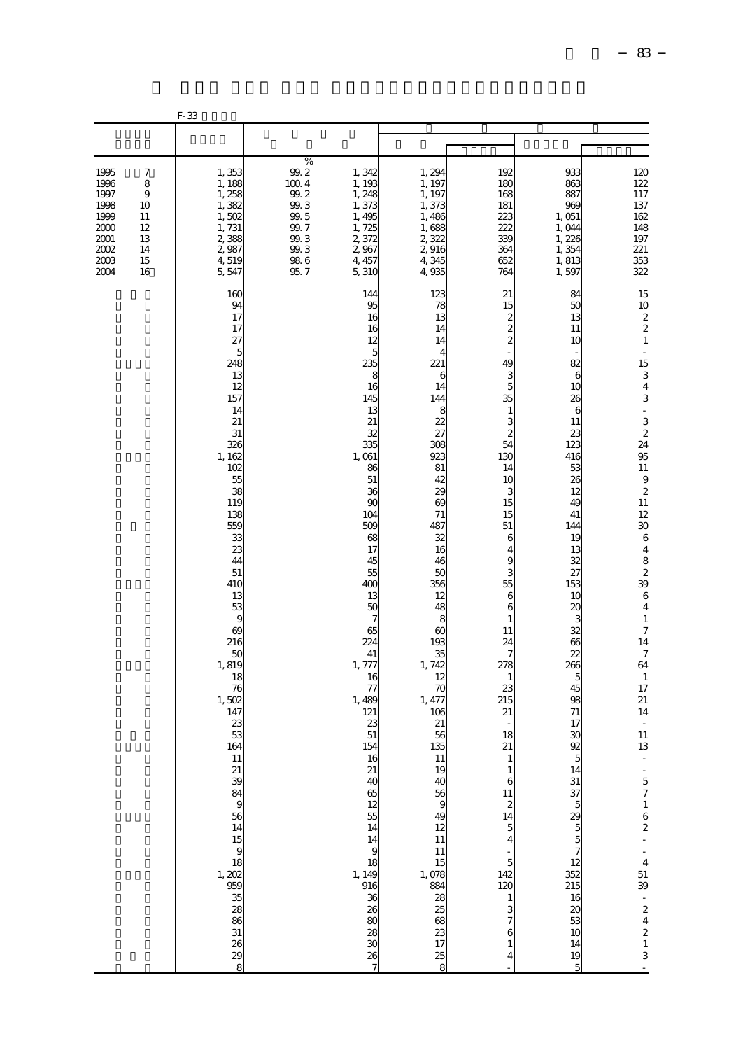|                                                                              |                                                       | F-33                                                                                                                                                                                                                                                                                                                                                                                                                                              |                                                                                                                                  |                                                                                                                                                                                                                                                                                                                                                                                                                        |                                                                                                                                                                                                                                                                                                                                                                               |                                                                                                                                                                                                                                                                                                                                                                                                                                               |                                                                                                                                                                                                                                                                                                                                                                                                                       |                                                                                                                                                                                                                                                                                                                                                                                                                                                                                                                                                                                                                 |
|------------------------------------------------------------------------------|-------------------------------------------------------|---------------------------------------------------------------------------------------------------------------------------------------------------------------------------------------------------------------------------------------------------------------------------------------------------------------------------------------------------------------------------------------------------------------------------------------------------|----------------------------------------------------------------------------------------------------------------------------------|------------------------------------------------------------------------------------------------------------------------------------------------------------------------------------------------------------------------------------------------------------------------------------------------------------------------------------------------------------------------------------------------------------------------|-------------------------------------------------------------------------------------------------------------------------------------------------------------------------------------------------------------------------------------------------------------------------------------------------------------------------------------------------------------------------------|-----------------------------------------------------------------------------------------------------------------------------------------------------------------------------------------------------------------------------------------------------------------------------------------------------------------------------------------------------------------------------------------------------------------------------------------------|-----------------------------------------------------------------------------------------------------------------------------------------------------------------------------------------------------------------------------------------------------------------------------------------------------------------------------------------------------------------------------------------------------------------------|-----------------------------------------------------------------------------------------------------------------------------------------------------------------------------------------------------------------------------------------------------------------------------------------------------------------------------------------------------------------------------------------------------------------------------------------------------------------------------------------------------------------------------------------------------------------------------------------------------------------|
|                                                                              |                                                       |                                                                                                                                                                                                                                                                                                                                                                                                                                                   |                                                                                                                                  |                                                                                                                                                                                                                                                                                                                                                                                                                        |                                                                                                                                                                                                                                                                                                                                                                               |                                                                                                                                                                                                                                                                                                                                                                                                                                               |                                                                                                                                                                                                                                                                                                                                                                                                                       |                                                                                                                                                                                                                                                                                                                                                                                                                                                                                                                                                                                                                 |
| 1995<br>1996<br>1997<br>1998<br>1999<br>2000<br>2001<br>2002<br>2003<br>2004 | 7<br>8<br>9<br>10<br>11<br>12<br>13<br>14<br>15<br>16 | 1,353<br>1, 188<br>1, 258<br>1,382<br>1,502<br>1,731<br>2,388<br>2,987<br>4,519<br>5,547                                                                                                                                                                                                                                                                                                                                                          | %<br>99.2<br>$100.4$<br>$\begin{array}{c} 99.2 \\ 99.3 \end{array}$<br>$99.5\,$<br>$99.7\,$<br>99.3<br>99.3<br>$\frac{98}{95}$ 6 | 1,342<br>1, 193<br>1, 248<br>1,373<br>1,495<br>1,725<br>2,372<br>2,967<br>4, 457<br>5,310                                                                                                                                                                                                                                                                                                                              | $1, 294$<br>$1, 197$<br>1, 197<br>1,373<br>1,486<br>1,688<br>2,322<br>2,916<br>4,345<br>4,935                                                                                                                                                                                                                                                                                 | 192<br>180<br>168<br>181<br>223<br>222<br>339<br>364<br>652<br>764                                                                                                                                                                                                                                                                                                                                                                            | 933<br>863<br>887<br>969<br>1,051<br>1,044<br>1,226<br>1,354<br>1,813<br>1,597                                                                                                                                                                                                                                                                                                                                        | $\frac{120}{122}$<br>117<br>137<br>162<br>148<br>197<br>221<br>353<br>322                                                                                                                                                                                                                                                                                                                                                                                                                                                                                                                                       |
|                                                                              |                                                       | 160<br>94<br>17<br>17<br>27<br>5<br>248<br>13<br>12<br>157<br>14<br>21<br>31<br>326<br>1, 162<br>102<br>55<br>38<br>119<br>138<br>559<br>33<br>23<br>44<br>51<br>410<br>13<br>53<br>9<br>69<br>216<br>50<br>1,819<br>18<br>76<br>1,502<br>147<br>23<br>53<br>164<br>11<br>21<br>39<br>$\overline{84}$<br>$\mathbf{g}$<br>$\frac{56}{14}$<br>$1.4$<br>15<br>9<br>18<br>1.202<br>959<br>$\frac{35}{28}$<br>$\overline{86}$<br>31<br>$\frac{26}{29}$ |                                                                                                                                  | 144<br>95<br>16<br>16<br>12<br>5<br>235<br>8<br>16<br>145<br>13<br>21<br>32<br>335<br>1,061<br>86<br>51<br>36<br>90<br>104<br>509<br>68<br>17<br>45<br>55<br>400<br>13<br>50<br>$\overline{7}$<br>65<br>224<br>41<br>1, 777<br>16<br>77<br>1,489<br>121<br>23<br>51<br>154<br>16<br>21<br>40<br>65<br>12<br>55<br>14<br>14<br>9<br>18<br>1, 149<br>916<br>$\frac{36}{26}$<br>80<br>28<br>$\overline{\mathbf{3}}$<br>26 | 123<br>78<br>13<br>14<br>14<br>4<br>221<br>6<br>14<br>144<br>8<br>22<br>27<br>308<br>923<br>81<br>42<br>29<br>69<br>71<br>487<br>32<br>16<br>46<br>5C<br>356<br>12<br>48<br>8<br>6C<br>193<br>35<br>1, 742<br>12<br>7C<br>1, 477<br>106<br>21<br>56<br>135<br>11<br>19<br>4C<br>56<br>$\mathbf{9}$<br>49<br>12<br>11<br>11<br>15<br>1,078<br>28<br>25<br>68<br>23<br>17<br>25 | 21<br>15<br>$\overline{\mathcal{Z}}$<br>$\overline{\mathcal{Z}}$<br>$\overline{\mathbf{c}}$<br>49<br>3<br>5<br>35<br>$\,1\,$<br>3<br>$\overline{c}$<br>54<br>130<br>14<br>10<br>3<br>15<br>15<br>51<br>6<br>4<br>9<br>3<br>55<br>6<br>6<br>$\mathbf{1}$<br>11<br>24<br>7<br>278<br>1<br>23<br>215<br>21<br>18<br>21<br>$\epsilon$<br>11<br>$\begin{array}{c} 2 \\ 14 \end{array}$<br>5<br>4<br>5<br>142<br>120<br>$\mathbf{1}$<br>3<br>6<br>4 | 84<br>50<br>13<br>11<br>10<br>82<br>6<br>10<br>26<br>6<br>11<br>23<br>123<br>416<br>53<br>26<br>12<br>4 <sup>C</sup><br>41<br>144<br>19<br>13<br>32<br>27<br>153<br>10<br>20<br>3<br>32<br>66<br>$\overline{2}$<br>266<br>5<br>45<br>98<br>71<br>17<br>30<br>92<br>14<br>31<br>37<br>5<br>29<br>$\overline{5}$<br>$\overline{5}$<br>$\overline{7}$<br>12<br>352<br>215<br>16<br>$\alpha$<br>53<br>10<br>14<br>19<br>5 | 15<br>10<br>$\frac{2}{2}$<br>$\,1\,$<br>$\ddot{\phantom{1}}$<br>15<br>$\frac{3}{4}$<br>3<br>$-324$<br>95<br>11<br>$\,9$<br>$\boldsymbol{2}$<br>11<br>12<br>$30\,$<br>$\,6\,$<br>$\overline{4}$<br>$\begin{array}{c} 8 \\ 2 \\ 39 \end{array}$<br>$\,$ 6 $\,$<br>$\overline{4}$<br>$\mathbf{1}$<br>$\boldsymbol{7}$<br>14<br>$\boldsymbol{7}$<br>64<br>$\,1\,$<br>17<br>$21\,$<br>14<br>$\overline{\phantom{a}}$<br>$11\,$<br>13<br>$\frac{1}{7}$<br>$\,1\,$<br>$\begin{array}{c} 6 \\ 2 \end{array}$<br>$\frac{1}{4}$<br>51<br>39<br>$\frac{1}{2}$<br>$\begin{smallmatrix}2\\1\end{smallmatrix}$<br>$\,$ 3 $\,$ |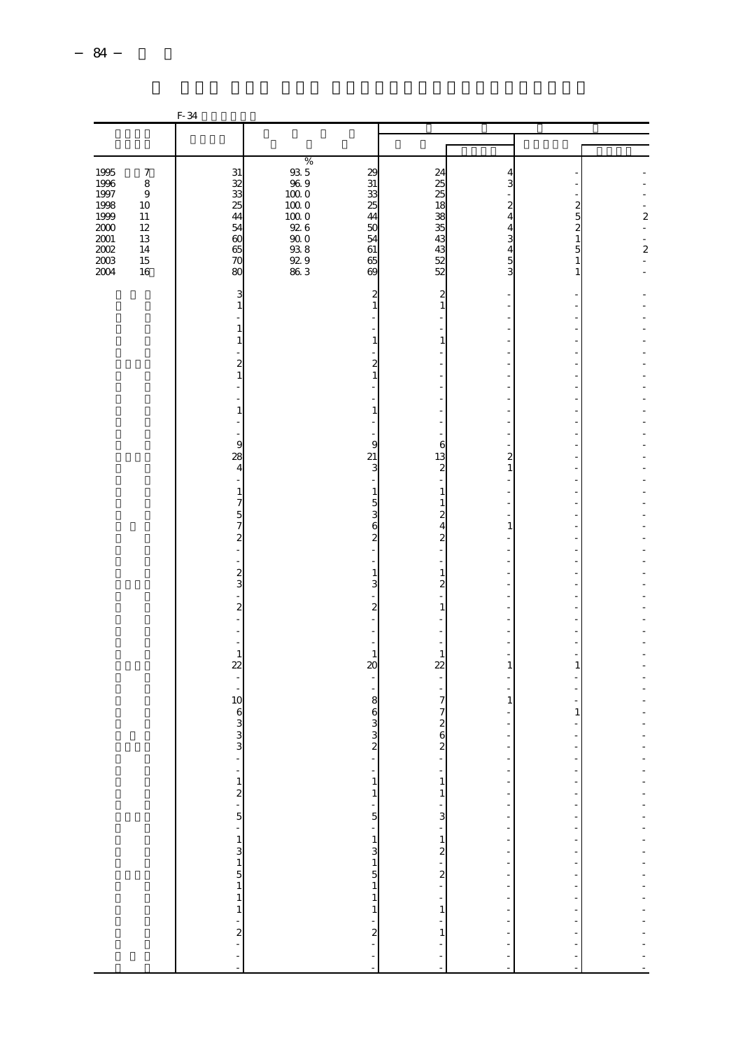|                                                                                                                  |                                                                                      | F-34                                                                                            |                                                                                                                                                                                                                                                                                                                                                                 |                                                                                         |                                                                                                           |                                                                                             |                                                                       |                                                                                                            |
|------------------------------------------------------------------------------------------------------------------|--------------------------------------------------------------------------------------|-------------------------------------------------------------------------------------------------|-----------------------------------------------------------------------------------------------------------------------------------------------------------------------------------------------------------------------------------------------------------------------------------------------------------------------------------------------------------------|-----------------------------------------------------------------------------------------|-----------------------------------------------------------------------------------------------------------|---------------------------------------------------------------------------------------------|-----------------------------------------------------------------------|------------------------------------------------------------------------------------------------------------|
|                                                                                                                  |                                                                                      |                                                                                                 |                                                                                                                                                                                                                                                                                                                                                                 |                                                                                         |                                                                                                           |                                                                                             |                                                                       |                                                                                                            |
|                                                                                                                  |                                                                                      |                                                                                                 |                                                                                                                                                                                                                                                                                                                                                                 |                                                                                         |                                                                                                           |                                                                                             |                                                                       |                                                                                                            |
| $\begin{array}{c} 1995 \\ 1996 \end{array}$<br>1997<br>1998<br>1999<br>$\frac{200}{200}$<br>2002<br>2003<br>2004 | $\boldsymbol{7}$<br>8<br>$\,9$<br>10<br>$11\,$<br>$12\,$<br>13<br>14<br>$15\,$<br>16 | 31<br>33<br>33<br>35<br>$\frac{44}{54}$<br>$\infty$<br>65<br>70<br>80                           | $\begin{array}{r} \n% & 0.0000 & 0.0000 & 0.0000 & 0.0000 & 0.0000 & 0.0000 & 0.0000 & 0.0000 & 0.0000 & 0.0000 & 0.0000 & 0.0000 & 0.0000 & 0.0000 & 0.0000 & 0.0000 & 0.0000 & 0.0000 & 0.0000 & 0.0000 & 0.0000 & 0.0000 & 0.0000 & 0.0000 & 0.0000 & 0.0000 & $<br>$\begin{bmatrix} 100 & 0 \\ 92 & 6 \\ 90 & 0 \end{bmatrix}$<br>$\frac{938}{929}$<br>86.3 | $\begin{array}{c} 29 \\ 31 \end{array}$<br>33<br>25<br>44<br>50<br>54<br>61<br>65<br>69 | 24<br>$\frac{25}{25}$<br>18<br>$\frac{38}{43}$<br>$\frac{43}{52}$                                         | 4<br>3<br>$\overline{\mathbf{c}}$<br>$\overline{4}$<br>$\overline{4}$<br>3<br>$\frac{4}{3}$ | $2525$<br>$151$<br>1                                                  | $\overline{\mathcal{L}}$<br>$\overline{a}$<br>$\overline{a}$<br>$\overline{\mathcal{L}}$<br>$\overline{a}$ |
|                                                                                                                  |                                                                                      | 3<br>$\mathbf{1}$<br>$\mathbf{1}$<br>$\mathbf{1}$<br>$\overline{\mathbf{c}}$<br>$\mathbf{1}$    |                                                                                                                                                                                                                                                                                                                                                                 | $\overline{\mathbf{c}}$<br>$\mathbf{1}$<br>1<br>$\overline{a}$<br>$\mathbf{1}$          | $\overline{\mathbf{c}}$<br>$\,1\,$<br>$\mathbf{1}$                                                        |                                                                                             |                                                                       |                                                                                                            |
|                                                                                                                  |                                                                                      | $\mathbf{1}$<br>9<br>28<br>$\overline{4}$                                                       |                                                                                                                                                                                                                                                                                                                                                                 | 1<br>9<br>21<br>3                                                                       | 6<br>13<br>2                                                                                              | $\frac{2}{1}$                                                                               | $\overline{\phantom{0}}$                                              |                                                                                                            |
|                                                                                                                  |                                                                                      | $\mathbf{1}$<br>7572<br>$\overline{a}$<br>$\frac{2}{3}$                                         |                                                                                                                                                                                                                                                                                                                                                                 | $\mathbf{1}$<br>5<br>3<br>6<br>$\overline{\mathbf{c}}$<br>$\mathbf{1}$                  | $\mathbf{1}$<br>$\,1\,$<br>$\overline{\mathcal{Z}}$<br>$\overline{\mathbf{4}}$<br>$\overline{c}$<br>$\,1$ | $\,1\,$                                                                                     |                                                                       |                                                                                                            |
|                                                                                                                  |                                                                                      | $\overline{a}$<br>$\overline{\mathcal{L}}$<br>$\overline{a}$<br>L.<br>$\,1\,$<br>$\overline{2}$ |                                                                                                                                                                                                                                                                                                                                                                 | 3<br>$\overline{c}$<br>$\mathbf{1}$<br>$\infty$                                         | $\overline{a}$<br>$1\,$<br>1<br>22                                                                        | 1                                                                                           | 1                                                                     |                                                                                                            |
|                                                                                                                  |                                                                                      | $\bar{z}$<br>$\overline{a}$<br>10<br>ი ო ო                                                      |                                                                                                                                                                                                                                                                                                                                                                 | 8<br>6<br>3<br>3<br>$\overline{c}$                                                      | $\overline{7}$<br>$\overline{7}$<br>$\overline{\mathcal{Z}}$<br>6<br>$\overline{\mathbf{c}}$              | $\mathbf{1}$                                                                                | $\,1$                                                                 |                                                                                                            |
|                                                                                                                  |                                                                                      |                                                                                                 |                                                                                                                                                                                                                                                                                                                                                                 | $\frac{1}{1}$<br>$\,1$<br>$\frac{1}{5}$                                                 | $\begin{smallmatrix}1\\1\end{smallmatrix}$<br>$\frac{1}{3}$<br>$\overline{a}$                             | ÷,<br>Ĭ.<br>$\overline{\phantom{0}}$<br>$\frac{1}{2}$                                       | ÷,<br>-<br>$\frac{1}{2}$<br>$\overline{\phantom{a}}$<br>$\frac{1}{2}$ |                                                                                                            |
|                                                                                                                  |                                                                                      | $12 - 2 = 11$<br>$12 - 12 = 11$<br>$13 - 12 = 12$                                               |                                                                                                                                                                                                                                                                                                                                                                 | $\begin{array}{c} 1 \\ 3 \\ 1 \end{array}$<br>$\,1$<br>$\frac{1}{2}$ $\frac{1}{2}$      | $\frac{1}{2}$ 2 2<br>$\mathbf{1}$<br>$\frac{1}{1}$<br>$\frac{1}{2}$                                       | <b>- - - - - - - - - - - -</b><br>$\frac{1}{2}$                                             | -<br>÷,<br>$\frac{1}{2}$                                              |                                                                                                            |
|                                                                                                                  |                                                                                      |                                                                                                 |                                                                                                                                                                                                                                                                                                                                                                 | $\overline{a}$                                                                          |                                                                                                           | $\overline{a}$                                                                              |                                                                       |                                                                                                            |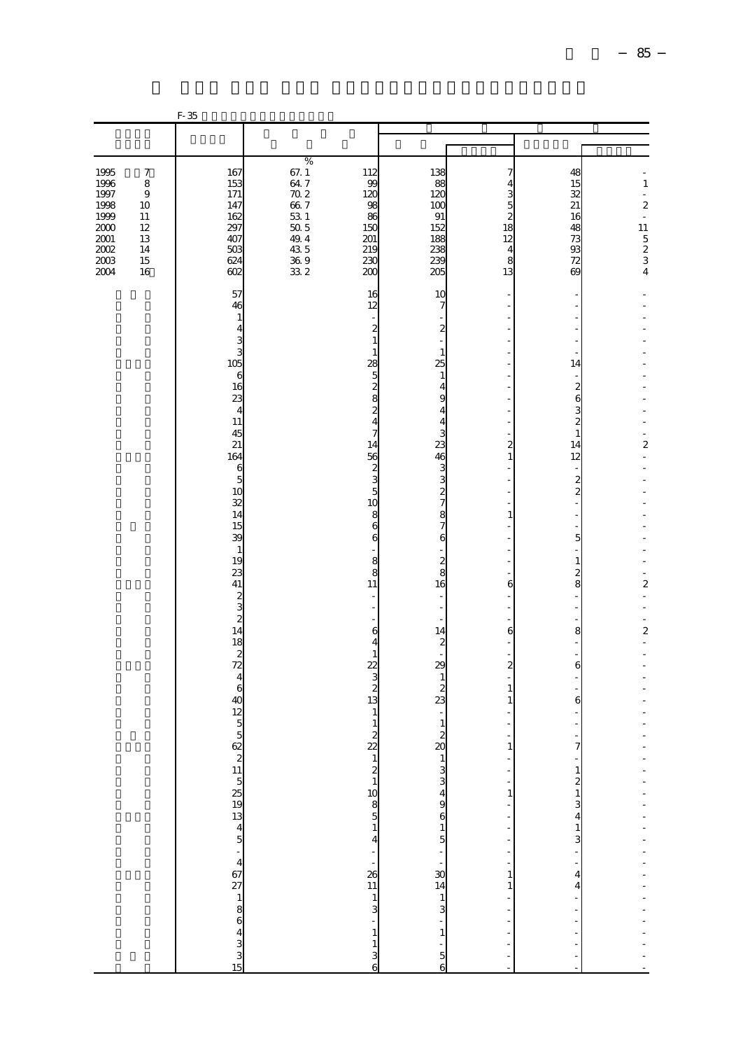|                                                                      |                                                                    | $F-35$                                                                                                                                                                                                                                    |                                                                                                                                                                           |                                                                                                                                                                                                                                                 |                                                                                                                                                                         |                                                                                                                      |                                                                                                                                                  |                                                                                                                       |
|----------------------------------------------------------------------|--------------------------------------------------------------------|-------------------------------------------------------------------------------------------------------------------------------------------------------------------------------------------------------------------------------------------|---------------------------------------------------------------------------------------------------------------------------------------------------------------------------|-------------------------------------------------------------------------------------------------------------------------------------------------------------------------------------------------------------------------------------------------|-------------------------------------------------------------------------------------------------------------------------------------------------------------------------|----------------------------------------------------------------------------------------------------------------------|--------------------------------------------------------------------------------------------------------------------------------------------------|-----------------------------------------------------------------------------------------------------------------------|
|                                                                      |                                                                    |                                                                                                                                                                                                                                           |                                                                                                                                                                           |                                                                                                                                                                                                                                                 |                                                                                                                                                                         |                                                                                                                      |                                                                                                                                                  |                                                                                                                       |
| 1995<br>1996<br>1997<br>1998<br>1999<br>2000<br>2001<br>2002<br>2003 | $\boldsymbol{7}$<br>8<br>$\,9$<br>10<br>11<br>12<br>13<br>14<br>15 | 167<br>153<br>171<br>147<br>162<br>297<br>407<br>503<br>624                                                                                                                                                                               | %<br>$\begin{array}{c} 67.1 \\ 64.7 \end{array}$<br>$\begin{array}{c} 70.2 \\ 66.7 \end{array}$<br>$\frac{53}{50}$ 1<br>50 5<br>49.4<br>$\frac{43}{36}$ 5<br>36 9<br>33 2 | 112<br>99<br>12C<br>98<br>86<br>150<br>201<br>219<br>23C                                                                                                                                                                                        | 138<br>88<br>120<br>100<br>91<br>152<br>188<br>238<br>239                                                                                                               | 7<br>3<br>5<br>$\overline{2}$<br>18<br>12<br>$\overline{4}$<br>8                                                     | 48<br>15<br>32<br>21<br>16<br>48<br>73<br>93<br>72                                                                                               | $\,1\,$<br>$\blacksquare$<br>$\overline{\mathcal{L}}$<br>$\frac{1}{2}$<br>$\frac{11}{5}$<br>$\frac{2}{3}$<br>4        |
| 2004                                                                 | 16                                                                 | 602<br>57<br>46<br>$\mathbf{1}$<br>$\overline{4}$<br>3<br>3<br>105<br>$\boldsymbol{6}$<br>16<br>23<br>$\overline{4}$<br>11<br>45<br>21<br>164<br>6<br>$\overline{5}$<br>10<br>$\frac{32}{14}$<br>15                                       |                                                                                                                                                                           | 200<br>16<br>12<br>$\overline{\mathcal{Z}}$<br>$\mathbf{1}$<br>$\mathbf{1}$<br>28<br>$\overline{5}$<br>$\frac{2}{8}$<br>$\overline{\mathcal{L}}$<br>$\overline{\mathbf{4}}$<br>$\overline{7}$<br>14<br>56<br>$\frac{2}{3}$<br>5<br>10<br>8<br>6 | 205<br>10<br>7<br>$\overline{\mathcal{L}}$<br>$\mathbf{1}$<br>25<br>$\mathbf{1}$<br>4<br>9<br>4<br>4<br>3<br>23<br>46<br>3<br>3<br>$\frac{2}{7}$<br>8<br>$\overline{7}$ | 13<br>$\overline{\phantom{a}}$<br>$\overline{a}$<br>$\mathbf{1}$<br>1                                                | 69<br>Ξ<br>14<br>$\boldsymbol{z}$<br>$\epsilon$<br>3<br>$\overline{\mathcal{Z}}$<br>$1\,$<br>14<br>12<br>$\boldsymbol{z}$<br>$\overline{c}$<br>÷ | $\overline{\mathbf{c}}$<br>$\overline{a}$                                                                             |
|                                                                      |                                                                    | 39<br>$\,1\,$<br>19<br>23<br>41<br>$\begin{array}{c}\n 2 \\  3 \\  2 \\  14\n \end{array}$<br>$\begin{array}{c} 18 \\ 2 \\ 72 \end{array}$<br>$\overline{\mathbf{4}}$<br>$\frac{6}{40}$<br>$\begin{array}{c}\n12 \\ 5 \\ 62\n\end{array}$ |                                                                                                                                                                           | 6<br>L,<br>8<br>8<br>11<br>$\overline{\phantom{a}}$<br>L,<br>6<br>$\overline{4}$<br>$\mathbf{1}$<br>22<br>3<br>$\boldsymbol{z}$<br>13<br>$\mathbf{1}$<br>$\mathbf{1}$<br>$\boldsymbol{2}$<br>$\overline{2}$                                     | 6<br>$\frac{2}{8}$<br>16<br>14<br>$\boldsymbol{z}$<br>29<br>$\mathbf{1}$<br>$\boldsymbol{z}$<br>23<br>$\mathbf{1}$<br>$\boldsymbol{2}$<br>20                            | 6<br>6<br>$\overline{\mathbf{c}}$<br>$\mathbf{1}$<br>1<br>$\mathbf{1}$                                               | 5<br>$\mathbf{1}$<br>$\overline{\mathcal{Z}}$<br>8<br>8<br>6<br>6<br>÷,<br>7                                                                     | $\overline{\mathbf{c}}$<br>L,<br>÷<br>$\overline{\mathcal{L}}$                                                        |
|                                                                      |                                                                    |                                                                                                                                                                                                                                           |                                                                                                                                                                           | $1210851$<br>$431$<br>$431$<br>$\begin{array}{c} 1 \\ 3 \\ 6 \end{array}$                                                                                                                                                                       |                                                                                                                                                                         | ÷,<br>$\,1\,$<br>f,<br>$\frac{1}{2}$<br>$\begin{bmatrix} 1 \\ 1 \\ 1 \end{bmatrix}$<br>$\,1\,$<br>f<br>$\frac{1}{2}$ | $\begin{array}{c} 1 \\ 2 \\ 1 \end{array}$<br>$\frac{3}{4}$<br>$\frac{1}{3}$<br>$\frac{1}{1}$<br>4<br>$\overline{\mathbf{4}}$                    | $\frac{1}{2}$<br>$\frac{1}{2}$<br>$\frac{1}{2}$<br>$\overline{a}$<br>$\overline{a}$<br>$\frac{1}{2}$<br>$\frac{1}{2}$ |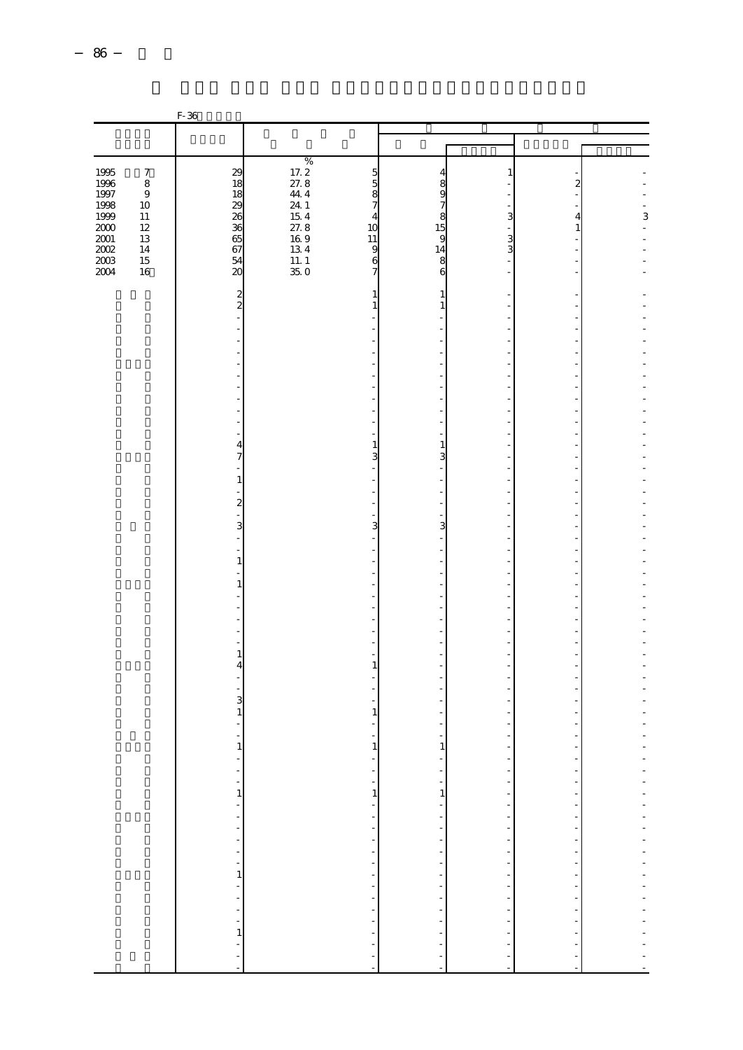|                                              |                                     | F-36                                    |                                                        |                                |                                             |                                                                                                                                                                                                                                                                                                                                                                                                                                    |                                                                                           |   |
|----------------------------------------------|-------------------------------------|-----------------------------------------|--------------------------------------------------------|--------------------------------|---------------------------------------------|------------------------------------------------------------------------------------------------------------------------------------------------------------------------------------------------------------------------------------------------------------------------------------------------------------------------------------------------------------------------------------------------------------------------------------|-------------------------------------------------------------------------------------------|---|
|                                              |                                     |                                         |                                                        |                                |                                             |                                                                                                                                                                                                                                                                                                                                                                                                                                    |                                                                                           |   |
|                                              |                                     |                                         |                                                        |                                |                                             |                                                                                                                                                                                                                                                                                                                                                                                                                                    |                                                                                           |   |
| 1995<br>1996<br>1997<br>1998                 | $\boldsymbol{7}$<br>$\,$ 8 $\,$     | $\begin{array}{c} 29 \\ 18 \end{array}$ | $\frac{96}{17.2}$<br>27.8<br>44.4                      | $\frac{5}{5}$                  | 4<br>8<br>9                                 | $\mathbf{1}$                                                                                                                                                                                                                                                                                                                                                                                                                       | $\boldsymbol{z}$                                                                          |   |
|                                              | $\,9$<br>$10\,$<br>$11\,$<br>$12\,$ | $\frac{18}{29}$<br>26<br>63<br>65       | $24\,$ $1\,$                                           | 8<br>7<br>$\overline{4}$<br>10 | $\begin{array}{c} 7 \\ 7 \\ 15 \end{array}$ | 3                                                                                                                                                                                                                                                                                                                                                                                                                                  | ۰<br>$\overline{\mathbf{4}}$<br>$\mathbf{1}% _{T}=\mathbf{1}_{T}\left  \mathbf{1}\right $ | 3 |
| 1338<br>1999<br>2000<br>2002<br>2002<br>2003 | $13\,$<br>14<br>$15\,$<br>16        | $\frac{67}{24}$                         | $27.8$<br>15.4<br>27.8<br>16.9<br>13.4<br>11.1<br>35.0 | 11<br>9<br>6<br>7              | 9<br>14<br>8<br>6                           | $\frac{3}{3}$                                                                                                                                                                                                                                                                                                                                                                                                                      |                                                                                           |   |
|                                              |                                     | $\frac{2}{2}$                           |                                                        | 1<br>1                         | 1<br>$\,1\,$                                |                                                                                                                                                                                                                                                                                                                                                                                                                                    |                                                                                           |   |
|                                              |                                     |                                         |                                                        |                                |                                             |                                                                                                                                                                                                                                                                                                                                                                                                                                    |                                                                                           |   |
|                                              |                                     |                                         |                                                        |                                |                                             |                                                                                                                                                                                                                                                                                                                                                                                                                                    |                                                                                           |   |
|                                              |                                     |                                         |                                                        |                                |                                             |                                                                                                                                                                                                                                                                                                                                                                                                                                    |                                                                                           |   |
|                                              |                                     | 4<br>7                                  |                                                        | 1<br>3                         | 1<br>3                                      |                                                                                                                                                                                                                                                                                                                                                                                                                                    | $\overline{a}$                                                                            |   |
|                                              |                                     | $\mathbf{1}$<br>$\overline{\mathbf{c}}$ |                                                        |                                |                                             | Ē,                                                                                                                                                                                                                                                                                                                                                                                                                                 |                                                                                           |   |
|                                              |                                     | 3                                       |                                                        | 3                              | 3                                           |                                                                                                                                                                                                                                                                                                                                                                                                                                    |                                                                                           |   |
|                                              |                                     | $\,1\,$<br>1                            |                                                        |                                |                                             |                                                                                                                                                                                                                                                                                                                                                                                                                                    |                                                                                           |   |
|                                              |                                     |                                         |                                                        |                                |                                             |                                                                                                                                                                                                                                                                                                                                                                                                                                    |                                                                                           |   |
|                                              |                                     | $\,1\,$<br>4                            |                                                        | 1                              |                                             |                                                                                                                                                                                                                                                                                                                                                                                                                                    |                                                                                           |   |
|                                              |                                     | 3<br>$\mathbf{1}$                       |                                                        | $\mathbf{1}$                   |                                             |                                                                                                                                                                                                                                                                                                                                                                                                                                    |                                                                                           |   |
|                                              |                                     | $\mathbf{1}$                            |                                                        | 1                              | 1                                           |                                                                                                                                                                                                                                                                                                                                                                                                                                    |                                                                                           |   |
|                                              |                                     |                                         |                                                        | $\frac{1}{1}$<br>$\,1$         | ÷,<br>$\,1$                                 | ÷<br>÷,<br>$\overline{\phantom{a}}$                                                                                                                                                                                                                                                                                                                                                                                                | ۰                                                                                         |   |
|                                              |                                     |                                         |                                                        |                                | $\frac{1}{2}$                               | $\frac{1}{2}$                                                                                                                                                                                                                                                                                                                                                                                                                      | $\frac{1}{2}$<br>÷,                                                                       |   |
|                                              |                                     |                                         |                                                        | - - - - - - - - - - - - - -    |                                             |                                                                                                                                                                                                                                                                                                                                                                                                                                    | ÷,<br>$\frac{1}{2}$<br>$\overline{\phantom{a}}$                                           |   |
|                                              |                                     |                                         |                                                        |                                |                                             | $\begin{aligned} \mathbf{u} & = \mathbf{u} + \mathbf{u} + \mathbf{u} + \mathbf{u} + \mathbf{u} + \mathbf{u} + \mathbf{u} + \mathbf{u} + \mathbf{u} + \mathbf{u} + \mathbf{u} + \mathbf{u} + \mathbf{u} + \mathbf{u} + \mathbf{u} + \mathbf{u} + \mathbf{u} + \mathbf{u} + \mathbf{u} + \mathbf{u} + \mathbf{u} + \mathbf{u} + \mathbf{u} + \mathbf{u} + \mathbf{u} + \mathbf{u} + \mathbf{u} + \mathbf{u} + \mathbf{u} + \mathbf{$ | ÷,                                                                                        |   |
|                                              |                                     |                                         |                                                        | $\frac{1}{2}$                  | 医单位的 医单位的                                   | $\frac{1}{2}$                                                                                                                                                                                                                                                                                                                                                                                                                      | $\frac{1}{2}$                                                                             |   |
|                                              |                                     |                                         |                                                        |                                |                                             |                                                                                                                                                                                                                                                                                                                                                                                                                                    |                                                                                           |   |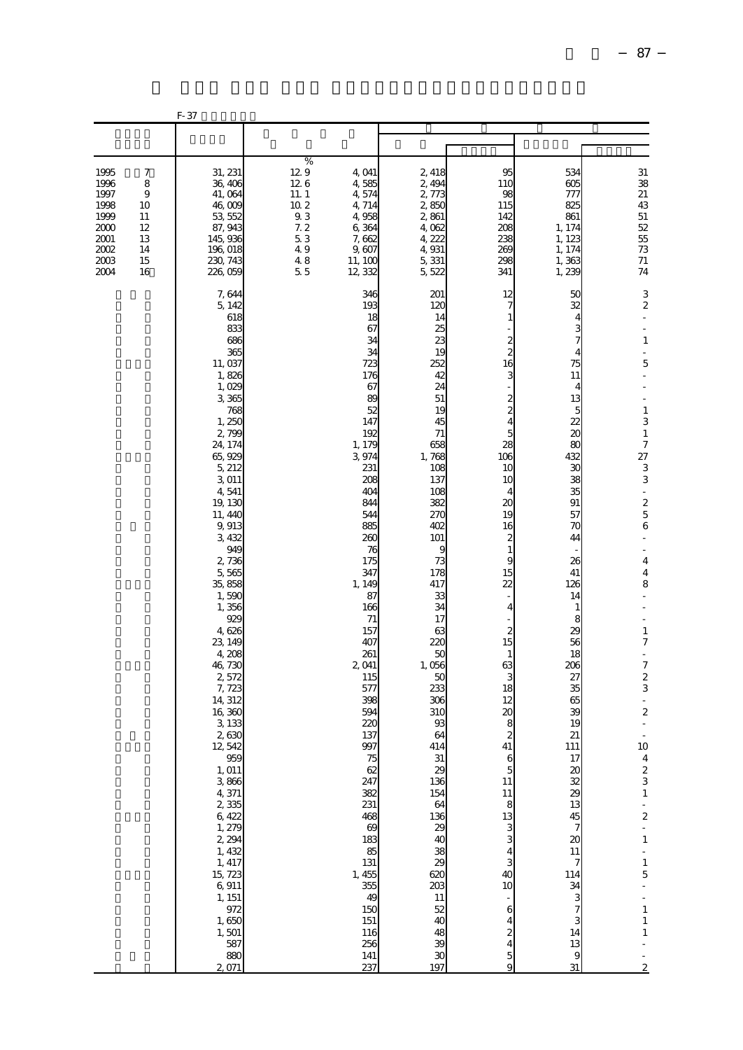|                                                                              |                                                       | F-37                                                                                                                                                                                                                                                                                                                                                                                                                                                                                                                                                   |                                                                                        |                                                                                                                                                                                                                                                                                                                                                                                                                        |                                                                                                                                                                                                                                                                                                                                                                                             |                                                                                                                                                                                                                                                                                                                                                                                                                                                                                                                   |                                                                                                                                                                                                                                                                                                                                                                      |                                                                                                                                                                                                                                                                                                                                                                                                                                                                                                                                                                                                                                                                                                                                       |
|------------------------------------------------------------------------------|-------------------------------------------------------|--------------------------------------------------------------------------------------------------------------------------------------------------------------------------------------------------------------------------------------------------------------------------------------------------------------------------------------------------------------------------------------------------------------------------------------------------------------------------------------------------------------------------------------------------------|----------------------------------------------------------------------------------------|------------------------------------------------------------------------------------------------------------------------------------------------------------------------------------------------------------------------------------------------------------------------------------------------------------------------------------------------------------------------------------------------------------------------|---------------------------------------------------------------------------------------------------------------------------------------------------------------------------------------------------------------------------------------------------------------------------------------------------------------------------------------------------------------------------------------------|-------------------------------------------------------------------------------------------------------------------------------------------------------------------------------------------------------------------------------------------------------------------------------------------------------------------------------------------------------------------------------------------------------------------------------------------------------------------------------------------------------------------|----------------------------------------------------------------------------------------------------------------------------------------------------------------------------------------------------------------------------------------------------------------------------------------------------------------------------------------------------------------------|---------------------------------------------------------------------------------------------------------------------------------------------------------------------------------------------------------------------------------------------------------------------------------------------------------------------------------------------------------------------------------------------------------------------------------------------------------------------------------------------------------------------------------------------------------------------------------------------------------------------------------------------------------------------------------------------------------------------------------------|
|                                                                              |                                                       |                                                                                                                                                                                                                                                                                                                                                                                                                                                                                                                                                        |                                                                                        |                                                                                                                                                                                                                                                                                                                                                                                                                        |                                                                                                                                                                                                                                                                                                                                                                                             |                                                                                                                                                                                                                                                                                                                                                                                                                                                                                                                   |                                                                                                                                                                                                                                                                                                                                                                      |                                                                                                                                                                                                                                                                                                                                                                                                                                                                                                                                                                                                                                                                                                                                       |
| 1995<br>1996<br>1997<br>1998<br>1999<br>2000<br>2001<br>2002<br>2003<br>2004 | 7<br>8<br>9<br>10<br>11<br>12<br>13<br>14<br>15<br>16 | 31, 231<br>36, 406<br>41,064<br>46,009<br>53, 552<br>87, 943<br>145, 936<br>196, 018<br>230, 743<br>226,059                                                                                                                                                                                                                                                                                                                                                                                                                                            | $\%$<br>129<br>126<br>11.1<br>10.2<br>$\frac{93}{7.2}$<br>$5\;3$<br>49<br>$4\;8$<br>55 | 4,041<br>4,585<br>4,574<br>4, 714<br>4,958<br>6,364<br>7,662<br>9,607<br>11, 100<br>12, 332                                                                                                                                                                                                                                                                                                                            | 2, 418<br>2,494<br>2, 773<br>2,850<br>2,861<br>4,062<br>4,222<br>4,931<br>5,331<br>5,522                                                                                                                                                                                                                                                                                                    | 95<br>110<br>98<br>115<br>142<br>208<br>238<br>269<br>298<br>341                                                                                                                                                                                                                                                                                                                                                                                                                                                  | 534<br>605<br>777<br>825<br>861<br>1, 174<br>1, 123<br>1, 174<br>1,363<br>1, 239                                                                                                                                                                                                                                                                                     | $31\,$<br>38<br>21<br>43<br>$\frac{51}{52}$<br>73<br>$71\,$<br>74                                                                                                                                                                                                                                                                                                                                                                                                                                                                                                                                                                                                                                                                     |
|                                                                              |                                                       | 7,644<br>5, 142<br>618<br>833<br>686<br>365<br>11,037<br>1,826<br>1,029<br>3,365<br>768<br>1,250<br>2,799<br>24, 174<br>65, 929<br>5, 212<br>3,011<br>4,541<br>19, 130<br>11, 440<br>9,913<br>3, 432<br>949<br>2,736<br>5,565<br>35,858<br>1,590<br>1,356<br>929<br>4,626<br>23, 149<br>4,208<br>46, 730<br>2,572<br>7,723<br>14, 312<br>16,360<br>3,133<br>2,630<br>12,542<br>959<br>1, 011<br>3,866<br>4,371<br>2,335<br>6,422<br>1, 279<br>2, 294<br>1, 432<br>1, 417<br>15, 723<br>6,911<br>1, 151<br>972<br>1,650<br>1,501<br>587<br>880<br>2,071 |                                                                                        | 346<br>193<br>18<br>67<br>34<br>34<br>723<br>176<br>67<br>89<br>52<br>147<br>192<br>1, 179<br>3,974<br>231<br>208<br>404<br>844<br>544<br>885<br>260<br>76<br>175<br>347<br>1, 149<br>87<br>166<br>71<br>157<br>407<br>261<br>2 041<br>115<br>577<br>398<br>594<br>220<br>137<br>997<br>75<br>62<br>247<br>382<br>231<br>468<br>69<br>183<br>85<br>131<br>1,455<br>355<br>49<br>150<br>151<br>116<br>256<br>141<br>237 | 201<br>12C<br>14<br>25<br>23<br>19<br>252<br>42<br>24<br>51<br>19<br>45<br>71<br>658<br>1,768<br>108<br>137<br>108<br>382<br>270<br>402<br>101<br>g<br>73<br>178<br>417<br>33<br>34<br>17<br>63<br>220<br>50<br>1,056<br>5C<br>233<br>306<br>31C<br>93<br>64<br>414<br>31<br>29<br>136<br>154<br>64<br>136<br>29<br>40<br>38<br>29<br>620<br>203<br>11<br>52<br>40<br>48<br>39<br>30<br>197 | 12<br>7<br>1<br>$\boldsymbol{2}$<br>$\overline{\mathbf{c}}$<br>16<br>3<br>$\overline{\mathcal{Z}}$<br>$\overline{c}$<br>4<br>5<br>28<br>106<br>10<br>10<br>4<br>20<br>19<br>16<br>$\boldsymbol{z}$<br>$\mathbf{1}$<br>9<br>15<br>22<br>$\overline{4}$<br>$\boldsymbol{z}$<br>15<br>$\mathbf{1}$<br>63<br>3<br>18<br>12<br>20<br>8<br>2<br>41<br>$6$<br>$5$<br>11<br>$11\,$<br>8<br>13<br>3<br>3<br>$\overline{4}$<br>3<br>40<br>10<br>6<br>4<br>$\overline{\mathcal{L}}$<br>$\overline{4}$<br>$\overline{5}$<br>9 | 50<br>32<br>75<br>11<br>4<br>13<br>5<br>22<br>$\infty$<br>æ<br>432<br>$\mathfrak{X}$<br>38<br>35<br>91<br>57<br>70<br>44<br>26<br>41<br>126<br>14<br>$\mathbf{1}$<br>8<br>29<br>56<br>18<br>206<br>27<br>35<br>65<br>39<br>19<br>21<br>111<br>17<br>20<br>32<br>29<br>13<br>45<br>$\overline{7}$<br>20<br>11<br>7<br>114<br>34<br>3<br>7<br>3<br>14<br>13<br>9<br>31 | 3<br>$\boldsymbol{2}$<br>$\blacksquare$<br>$\overline{\phantom{a}}$<br>$1\,$<br>5<br>$\overline{\phantom{a}}$<br>$\overline{a}$<br>$\overline{\phantom{a}}$<br>$\,1\,$<br>3<br>$\,1$<br>$\overline{7}$<br>27<br>$\frac{3}{3}$<br>$\begin{array}{c} 2 \\ 2 \\ 5 \end{array}$<br>6<br>$\blacksquare$<br>$\blacksquare$<br>$\overline{4}$<br>$\overline{\mathbf{4}}$<br>8<br>$\overline{\phantom{a}}$<br>÷,<br>$\,1\,$<br>$\boldsymbol{7}$<br>$\ddot{\phantom{1}}$<br>$\overline{7}$<br>$\frac{2}{3}$<br>÷,<br>$\boldsymbol{2}$<br>10<br>$\frac{4}{2}$<br>$\,1\,$<br>$\frac{1}{2}$<br>$\frac{1}{1}$<br>÷,<br>$\frac{1}{5}$<br>÷,<br>$\ddot{\phantom{0}}$<br>$\,1\,$<br>$\begin{smallmatrix}1\\1\end{smallmatrix}$<br>÷<br>$\overline{2}$ |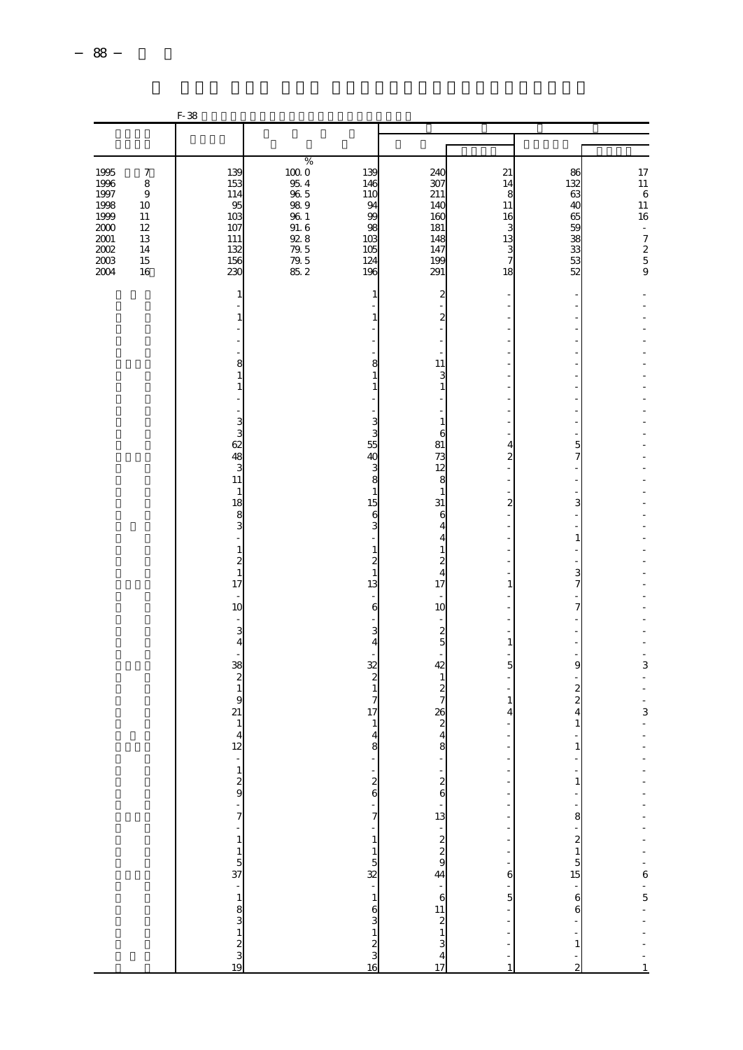|                                                     |                             | F-38                                                                              |                                                                 |                                  |                                                        |                         |                              |                                                    |
|-----------------------------------------------------|-----------------------------|-----------------------------------------------------------------------------------|-----------------------------------------------------------------|----------------------------------|--------------------------------------------------------|-------------------------|------------------------------|----------------------------------------------------|
|                                                     |                             |                                                                                   |                                                                 |                                  |                                                        |                         |                              |                                                    |
|                                                     | $\boldsymbol{7}$            |                                                                                   |                                                                 | 139                              | 240                                                    | 21                      | 86                           |                                                    |
| $\begin{array}{c} 1995 \\ 1996 \end{array}$<br>1997 | $\,8\,$<br>$\boldsymbol{9}$ | 139<br>153<br>114                                                                 | $\begin{array}{c} 96 \\ 1000 \\ 95.4 \\ \end{array}$<br>$96\ 5$ | 146<br>110                       | 307<br>211                                             | 14<br>8                 | 132<br>63                    | $\begin{array}{c} 17 \\ 11 \\ 6 \\ 11 \end{array}$ |
| 1998<br>1999                                        | 10<br>11                    | 95<br>103                                                                         | $98\ 9$<br>$96\ 1$                                              | 94<br>99                         | 14C<br>16C                                             | 11<br>16                | 40<br>65                     | 16                                                 |
| 2000<br>$2001$                                      | 12<br>13                    | 107<br>111                                                                        | 31 6<br>92 8<br>79 5 79 5<br>85 2                               | 98<br>103                        | 181<br>148                                             | 3<br>13                 | 59                           | $\bar{\phantom{a}}$                                |
| $2002\,$<br>$\frac{2003}{2003}$                     | 14                          | 132                                                                               |                                                                 | 105                              | 147                                                    | 3                       | 8888                         | $\begin{array}{c} 7 \\ 2 \\ 5 \\ 9 \end{array}$    |
| 2004                                                | 15<br>16                    | 156<br>230                                                                        |                                                                 | 124<br>196                       | 199<br>291                                             | 7<br>18                 |                              |                                                    |
|                                                     |                             | 1                                                                                 |                                                                 | 1                                | 2                                                      |                         |                              |                                                    |
|                                                     |                             | 1                                                                                 |                                                                 | $\mathbf{1}$                     | $\overline{c}$                                         |                         |                              |                                                    |
|                                                     |                             |                                                                                   |                                                                 |                                  |                                                        |                         |                              |                                                    |
|                                                     |                             | 8                                                                                 |                                                                 | 8<br>$\mathbf{1}$                | 11                                                     |                         |                              |                                                    |
|                                                     |                             | 1                                                                                 |                                                                 | 1                                | 3<br>1                                                 |                         |                              |                                                    |
|                                                     |                             |                                                                                   |                                                                 |                                  |                                                        |                         |                              |                                                    |
|                                                     |                             | 3<br>3                                                                            |                                                                 | 3<br>3                           | 1<br>6                                                 |                         |                              |                                                    |
|                                                     |                             | ය සි ග                                                                            |                                                                 | 55<br>40                         | 81<br>73                                               | 4<br>$\overline{a}$     | 5<br>7                       |                                                    |
|                                                     |                             | $11\,$                                                                            |                                                                 | 3<br>8                           | 12<br>8                                                |                         |                              |                                                    |
|                                                     |                             | $\,1\,$<br>18                                                                     |                                                                 | $\mathbf{1}$<br>15               | 1<br>31                                                | $\overline{\mathbf{c}}$ | 3                            |                                                    |
|                                                     |                             | $\frac{8}{3}$                                                                     |                                                                 | 6<br>3                           | 6<br>4                                                 |                         |                              |                                                    |
|                                                     |                             |                                                                                   |                                                                 |                                  | 4                                                      |                         | $1\,$                        |                                                    |
|                                                     |                             | $\mathbf{1}$<br>$\overline{\mathcal{Z}}$                                          |                                                                 | $\mathbf{1}$<br>$\boldsymbol{z}$ | $\mathbf{1}$<br>2                                      |                         |                              |                                                    |
|                                                     |                             | $\mathbf{1}$<br>17                                                                |                                                                 | $\mathbf{1}$<br>13               | 4<br>17                                                | 1                       | 3<br>7                       |                                                    |
|                                                     |                             | 10                                                                                |                                                                 | 6                                | 10                                                     |                         | 7                            |                                                    |
|                                                     |                             | 3                                                                                 |                                                                 | 3                                | $\boldsymbol{z}$                                       |                         |                              |                                                    |
|                                                     |                             | $\overline{4}$                                                                    |                                                                 | 4                                | 5                                                      | 1                       |                              |                                                    |
|                                                     |                             | $\frac{38}{2}$                                                                    |                                                                 | 32<br>$\overline{\mathcal{Z}}$   | 42<br>1                                                | 5                       | 9                            | 3                                                  |
|                                                     |                             | $\mathbf{1}$<br>$\overline{9}$                                                    |                                                                 | $\mathbf{1}$<br>$\overline{7}$   | $\boldsymbol{z}$                                       | $\mathbf{1}$            | $\frac{2}{2}$                |                                                    |
|                                                     |                             | 21                                                                                |                                                                 | 17                               | 26                                                     | $\overline{4}$          | 4                            | 3                                                  |
|                                                     |                             | $\mathbf 1$<br>$\overline{4}$                                                     |                                                                 | $\mathbf{1}$<br>4                | $\boldsymbol{z}$<br>$\overline{4}$                     |                         | $\mathbf{1}$                 |                                                    |
|                                                     |                             | 12                                                                                |                                                                 | 8                                | 8                                                      |                         | 1                            |                                                    |
|                                                     |                             |                                                                                   |                                                                 |                                  |                                                        | f<br>ŕ                  | $\,1$                        |                                                    |
|                                                     |                             |                                                                                   |                                                                 |                                  |                                                        | f                       |                              |                                                    |
|                                                     |                             |                                                                                   |                                                                 |                                  |                                                        | $\frac{1}{2}$           | $\frac{1}{8}$                |                                                    |
|                                                     |                             |                                                                                   |                                                                 |                                  |                                                        | $\frac{1}{2}$           |                              |                                                    |
|                                                     |                             |                                                                                   |                                                                 |                                  |                                                        |                         |                              |                                                    |
|                                                     |                             | 1<br>2<br>3<br>3<br>3<br>3<br>3<br>3<br>3<br>3<br>3<br>3<br>3<br>3<br>3<br>3<br>5 |                                                                 |                                  | . م 6 . <mark>نت ب</mark> مدم 4 . م 1 . مدم 1 . مدم 17 | $6 - 5 - 5$             | $-215$<br>15<br>15<br>6<br>6 | - - - - - - - - - 6 - 5 - - - - - - 1              |
|                                                     |                             |                                                                                   |                                                                 |                                  |                                                        |                         |                              |                                                    |
|                                                     |                             |                                                                                   |                                                                 |                                  |                                                        |                         | Ĭ.<br>$\overline{a}$         |                                                    |
|                                                     |                             |                                                                                   |                                                                 |                                  |                                                        |                         | $\,1$                        |                                                    |
|                                                     |                             |                                                                                   |                                                                 |                                  |                                                        |                         | $\frac{1}{2}$                |                                                    |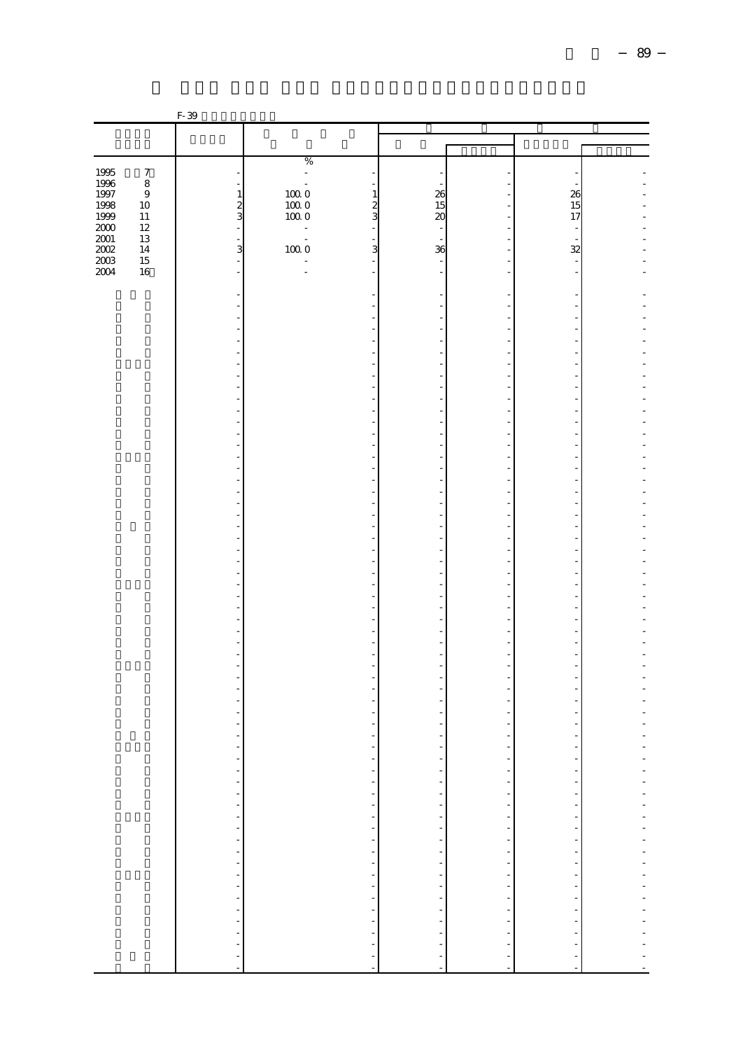|                                                             |                                                    | F-39                                |                                                                                                                         |                                         |                        |                          |  |
|-------------------------------------------------------------|----------------------------------------------------|-------------------------------------|-------------------------------------------------------------------------------------------------------------------------|-----------------------------------------|------------------------|--------------------------|--|
|                                                             |                                                    |                                     |                                                                                                                         |                                         |                        |                          |  |
|                                                             |                                                    |                                     |                                                                                                                         |                                         |                        |                          |  |
| $\begin{array}{c} 1995 \\ 1996 \end{array}$<br>1997<br>1998 | $\boldsymbol{7}$<br>$\,$ 8 $\,$<br>$\,9$<br>$10\,$ |                                     | $\%$<br>$\frac{1}{2}$<br>$\begin{matrix} 100.0 \\[-4pt] 100.0 \end{matrix}$<br>$\mathbf{1}$<br>$\overline{\mathcal{L}}$ | $\begin{array}{c} 26 \\ 15 \end{array}$ |                        | 26<br>15                 |  |
| 1999<br>$2000\,$<br>$2001\,$<br>$2002\,$                    | $11\,$<br>$12\,$<br>13<br>14                       | $\frac{1}{2}$<br>÷,<br>$\mathbf{3}$ | $100\;0$<br>3<br>$\overline{a}$<br>÷,<br>$\bar{\phantom{a}}$<br>3<br>1000                                               | $\infty$<br>36                          |                        | 17<br>$\sim$<br>32       |  |
| $2003$<br>2004                                              | $15\,$<br>16                                       | ÷<br>$\overline{a}$                 | $\overline{a}$                                                                                                          |                                         |                        |                          |  |
|                                                             |                                                    |                                     |                                                                                                                         |                                         |                        |                          |  |
|                                                             |                                                    |                                     |                                                                                                                         |                                         |                        |                          |  |
|                                                             |                                                    |                                     |                                                                                                                         |                                         |                        |                          |  |
|                                                             |                                                    |                                     |                                                                                                                         |                                         |                        | $\overline{\phantom{a}}$ |  |
|                                                             |                                                    |                                     | L,                                                                                                                      |                                         |                        |                          |  |
|                                                             |                                                    |                                     |                                                                                                                         |                                         |                        |                          |  |
|                                                             |                                                    |                                     |                                                                                                                         |                                         |                        |                          |  |
|                                                             |                                                    |                                     |                                                                                                                         |                                         |                        |                          |  |
|                                                             |                                                    |                                     | ÷,                                                                                                                      |                                         |                        |                          |  |
|                                                             |                                                    |                                     | ÷                                                                                                                       |                                         |                        |                          |  |
|                                                             |                                                    | $\overline{\phantom{a}}$            | ÷,                                                                                                                      |                                         |                        |                          |  |
|                                                             |                                                    |                                     |                                                                                                                         | $\frac{1}{2}$                           | ÷,<br>$\frac{1}{2}$    | ÷<br>$\frac{1}{2}$       |  |
|                                                             |                                                    |                                     |                                                                                                                         |                                         |                        |                          |  |
|                                                             |                                                    |                                     | 化四氯化四氯四氯化四氯 化四氯化四氯化四氯化四氯                                                                                                | 医单位的 医单位的 医单位的 医单位的                     | 医水中毒 医血管中枢 医血管中枢 医血管中枢 | 医单位性 医单位性 医单位性皮炎 医单位性    |  |
|                                                             |                                                    |                                     |                                                                                                                         |                                         |                        |                          |  |
|                                                             |                                                    |                                     |                                                                                                                         |                                         |                        |                          |  |
|                                                             |                                                    |                                     |                                                                                                                         |                                         |                        |                          |  |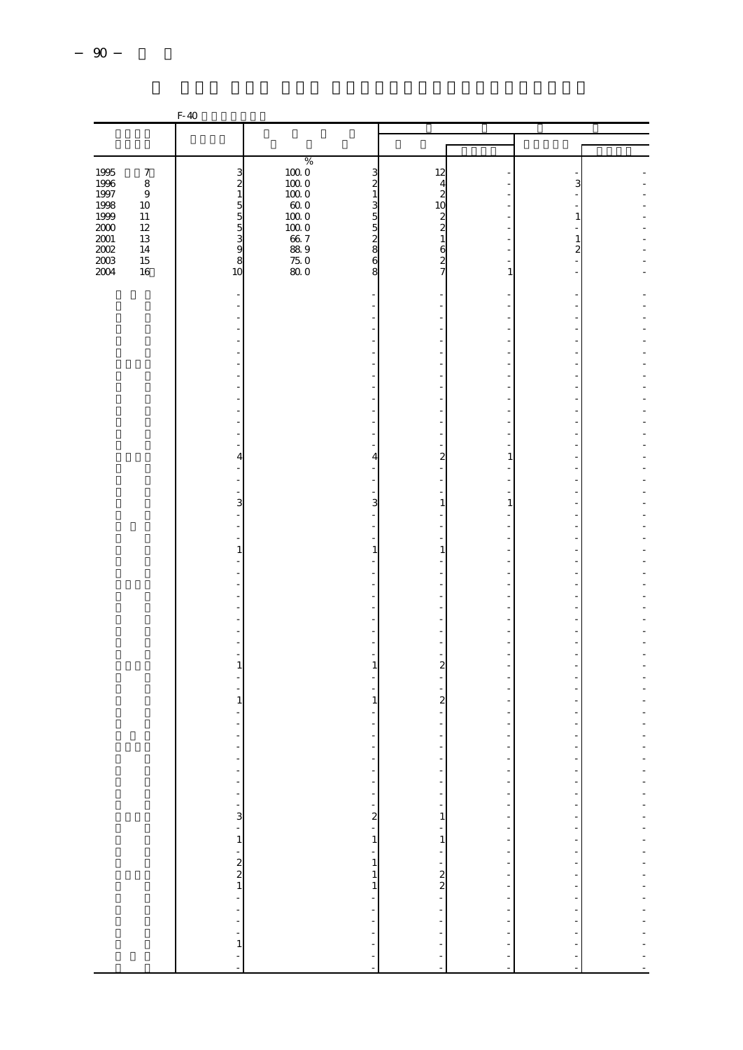|                                             |                               | $F-40$                   |                                     |                                                                                    |                                                     |                     |                                          |                         |
|---------------------------------------------|-------------------------------|--------------------------|-------------------------------------|------------------------------------------------------------------------------------|-----------------------------------------------------|---------------------|------------------------------------------|-------------------------|
|                                             |                               |                          |                                     |                                                                                    |                                                     |                     |                                          |                         |
|                                             |                               |                          |                                     |                                                                                    |                                                     |                     |                                          |                         |
| 1995<br>1996<br>1997                        | $\boldsymbol{7}$<br>$\,8\,$   | $\frac{3}{2}$<br>$\,1\,$ | $\%$<br>$10000$<br>$1000$<br>$1000$ | 3<br>2                                                                             | 12<br>$\overline{4}$<br>$\overline{c}$              |                     | 3                                        |                         |
| 1998<br>1999                                | $9$<br>10<br>$11\,$<br>$12\,$ | 5555                     | $60\;0$<br>$100\;0$<br>$100\;0$     | 1<br>3<br>5                                                                        | 10<br>$\begin{smallmatrix}2\\2\\1\end{smallmatrix}$ |                     | $\,1$                                    |                         |
| $\frac{2000}{2001}$<br>$2002\,$<br>$2003\,$ | 13<br>14<br>$15\,$            | $\frac{9}{8}$            | $66\ 7$<br>889<br>75.0              | $\frac{5}{2}$<br>8<br>6                                                            | 627                                                 | ÷,                  | $\mathbf{1}$<br>$\overline{\mathcal{Z}}$ |                         |
| 2004                                        | 16                            | 10                       | 800                                 | 8                                                                                  |                                                     | 1                   |                                          |                         |
|                                             |                               |                          |                                     |                                                                                    |                                                     |                     |                                          |                         |
|                                             |                               |                          |                                     |                                                                                    |                                                     |                     |                                          |                         |
|                                             |                               |                          |                                     |                                                                                    |                                                     |                     |                                          |                         |
|                                             |                               | 4                        |                                     | 4                                                                                  | $\overline{\mathbf{c}}$                             | 1                   |                                          |                         |
|                                             |                               | 3                        |                                     | 3                                                                                  | $\mathbf{1}$                                        | $1\,$               |                                          |                         |
|                                             |                               |                          |                                     |                                                                                    |                                                     |                     |                                          |                         |
|                                             |                               | $\mathbf{1}$             |                                     | 1                                                                                  | $\mathbf{1}$                                        |                     |                                          |                         |
|                                             |                               |                          |                                     |                                                                                    |                                                     |                     |                                          |                         |
|                                             |                               |                          |                                     |                                                                                    |                                                     |                     |                                          |                         |
|                                             |                               | $\mathbf{1}$             |                                     | 1                                                                                  | $\overline{\mathbf{c}}$                             |                     |                                          |                         |
|                                             |                               | $\mathbf{1}$             |                                     | $\mathbf{1}$                                                                       | $\overline{c}$                                      |                     |                                          |                         |
|                                             |                               |                          |                                     | $\overline{\phantom{0}}$                                                           | j                                                   | $\overline{a}$      | $\overline{\phantom{a}}$                 |                         |
|                                             |                               |                          |                                     |                                                                                    | $\frac{1}{2}$                                       | $\frac{1}{2}$       | ÷,<br>÷,<br>$\overline{\phantom{a}}$     |                         |
|                                             |                               |                          |                                     | $\begin{array}{c} \n\cdot & \cdot \\ \cdot & \cdot \\ 1 & \cdot \\ 1\n\end{array}$ | $\mathbf{1}$                                        | 医单位的 医单位的 医单位的      | ÷,                                       |                         |
|                                             |                               |                          |                                     | $\mathbf{1}$                                                                       | $-1$ $-2$ $-2$ $-1$ $-1$                            |                     |                                          |                         |
|                                             |                               |                          |                                     | $\begin{bmatrix} 1 \\ -1 \end{bmatrix}$                                            |                                                     |                     | $\frac{1}{2}$                            |                         |
|                                             |                               |                          |                                     |                                                                                    |                                                     | $\frac{1}{2}$<br>÷, | ÷                                        | ----------------------- |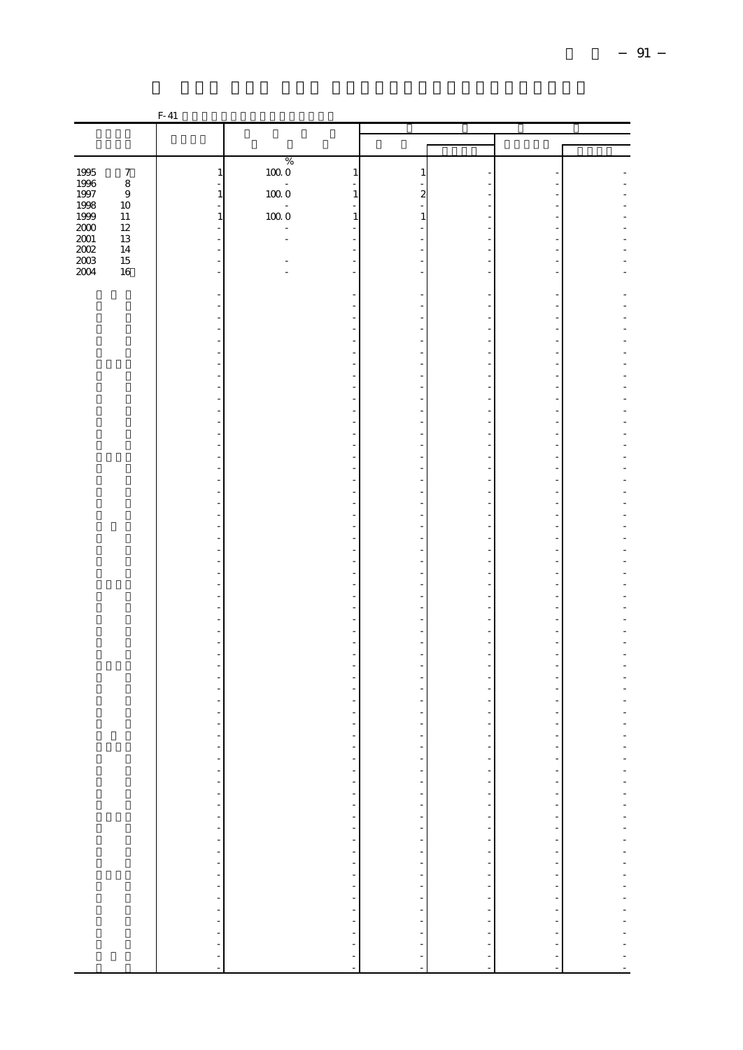|                              |                  | $F-41$                    |                                  |                           |                          |                          |  |
|------------------------------|------------------|---------------------------|----------------------------------|---------------------------|--------------------------|--------------------------|--|
|                              |                  |                           |                                  |                           |                          |                          |  |
|                              |                  |                           |                                  |                           |                          |                          |  |
|                              | $\boldsymbol{7}$ | $\,1\,$                   | $\%$<br>1000<br>$\mathbf{1}$     | 1                         |                          |                          |  |
|                              | $\overline{8}$   |                           |                                  |                           |                          |                          |  |
| 1995<br>1996<br>1997<br>1998 | $\,9$<br>10      | $\mathbf{1}$<br>$\bar{z}$ | 1000<br>$\mathbf{1}$             | $\boldsymbol{z}$          |                          |                          |  |
| 1999                         | $11\,$           | $\mathbf{1}$              | 1000<br>$\,1\,$                  | $\mathbf{1}$              |                          |                          |  |
| $2000\,$                     | $12\,$<br>$13\,$ | ÷                         | $\blacksquare$                   |                           |                          |                          |  |
| $\frac{2001}{2002}$          | $14\,$           |                           |                                  |                           |                          |                          |  |
| $2003\,$<br>2004             | 15<br>16         | $\overline{a}$            | $\overline{a}$<br>$\overline{a}$ |                           | ÷,                       |                          |  |
|                              |                  |                           |                                  |                           |                          |                          |  |
|                              |                  |                           | l,                               |                           |                          |                          |  |
|                              |                  |                           |                                  |                           |                          |                          |  |
|                              |                  |                           |                                  |                           |                          |                          |  |
|                              |                  |                           | L,<br>L.                         |                           |                          |                          |  |
|                              |                  |                           |                                  |                           |                          |                          |  |
|                              |                  |                           | L.                               |                           |                          |                          |  |
|                              |                  |                           |                                  |                           |                          |                          |  |
|                              |                  |                           | L.                               |                           |                          |                          |  |
|                              |                  |                           |                                  |                           |                          |                          |  |
|                              |                  | Ĭ.                        | ÷                                |                           |                          |                          |  |
|                              |                  |                           | $\overline{a}$                   |                           |                          |                          |  |
|                              |                  |                           | $\overline{a}$                   |                           |                          |                          |  |
|                              |                  |                           | ÷,<br>ä,                         |                           |                          |                          |  |
|                              |                  |                           | L                                |                           |                          |                          |  |
|                              |                  |                           | $\overline{a}$<br>ä,             |                           |                          |                          |  |
|                              |                  |                           | ÷,                               |                           |                          |                          |  |
|                              |                  |                           | L<br>L,                          |                           |                          |                          |  |
|                              |                  |                           | $\overline{\phantom{a}}$         |                           |                          |                          |  |
|                              |                  |                           | L,                               |                           |                          |                          |  |
|                              |                  |                           | L,                               |                           |                          |                          |  |
|                              |                  |                           | ä,                               |                           |                          |                          |  |
|                              |                  |                           | ÷<br>$\overline{a}$              |                           |                          |                          |  |
|                              |                  |                           |                                  |                           |                          |                          |  |
|                              |                  |                           | ÷,                               |                           |                          |                          |  |
|                              |                  |                           |                                  |                           |                          |                          |  |
|                              |                  |                           |                                  |                           |                          |                          |  |
|                              |                  |                           |                                  |                           |                          |                          |  |
|                              |                  |                           |                                  |                           |                          |                          |  |
|                              |                  | f                         |                                  |                           |                          |                          |  |
|                              |                  |                           |                                  |                           |                          |                          |  |
|                              |                  |                           |                                  |                           |                          |                          |  |
|                              |                  |                           |                                  |                           |                          |                          |  |
|                              |                  |                           |                                  |                           |                          |                          |  |
|                              |                  | 医单位的 医单位的 医单位的 医单位的 医单位的  | 化亚硝基苯甲基苯甲基苯甲基苯甲基苯甲基苯甲基           | 医单位性骨折 医单位的 医单位的 医单位的 医单位 | 医单位的 医单位的 医单位的 医单位的 医单位的 | 医单位的 医中央性 医单位的 医单位的 医单位的 |  |
|                              |                  |                           |                                  |                           |                          |                          |  |
|                              |                  |                           |                                  |                           |                          |                          |  |
|                              |                  |                           |                                  |                           |                          |                          |  |
|                              |                  |                           |                                  |                           |                          |                          |  |
|                              |                  |                           |                                  |                           |                          |                          |  |
|                              |                  |                           |                                  |                           |                          |                          |  |
|                              |                  |                           |                                  |                           |                          |                          |  |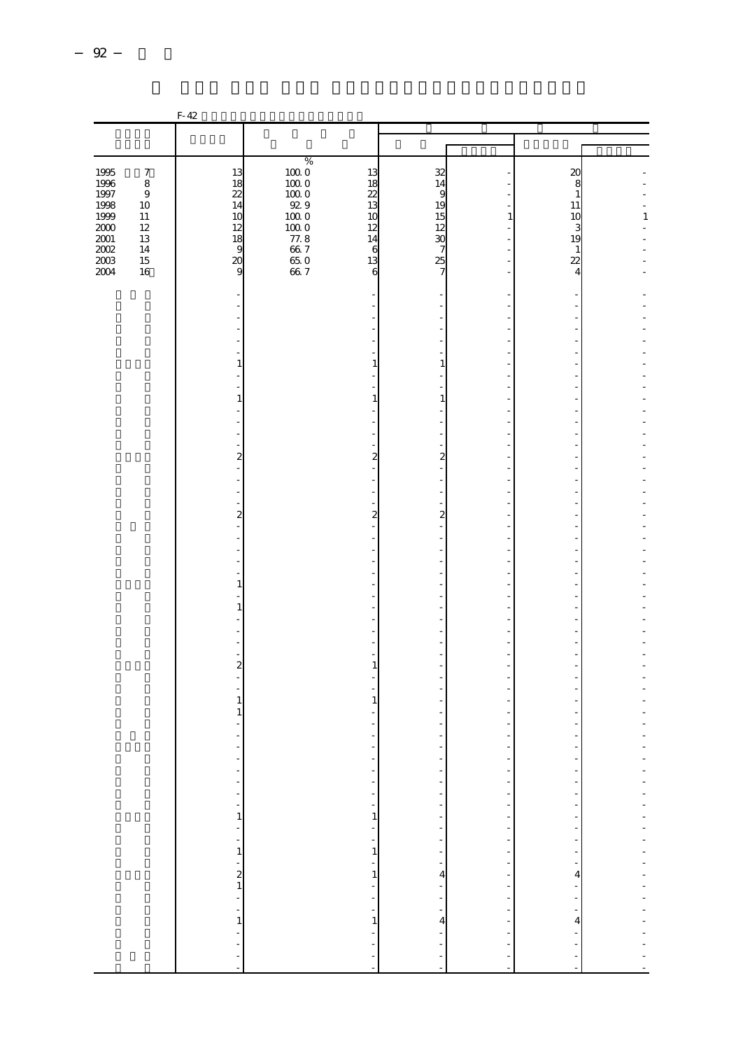|                                             |                                 | $F-42$                          |                                                                                  |                                              |                                                       |                                |                                       |              |
|---------------------------------------------|---------------------------------|---------------------------------|----------------------------------------------------------------------------------|----------------------------------------------|-------------------------------------------------------|--------------------------------|---------------------------------------|--------------|
|                                             |                                 |                                 |                                                                                  |                                              |                                                       |                                |                                       |              |
|                                             |                                 |                                 |                                                                                  |                                              |                                                       |                                |                                       |              |
| $\begin{array}{c} 1995 \\ 1996 \end{array}$ | $\boldsymbol{7}$<br>$\,$ 8 $\,$ | 13<br>18                        | $\begin{array}{c} 96 \\ 1000 \\ 1000 \\ \hline 1000 \end{array}$                 | 13<br>18                                     | 32<br>14                                              |                                | $20\,$<br>8                           |              |
| $1997\,$<br>1998<br>1999<br>$2000\,$        | $\,9$<br>$10$<br>11<br>$12\,$   | 22<br>14<br>10<br>12            | $\begin{array}{c} 100.0 \\ 92.9 \end{array}$<br>$100\;0$<br>$\frac{10000}{77.8}$ | $\overline{22}$<br>13<br>10<br>12            | 9<br>19<br>15<br>12                                   | $\,1\,$                        | $\mathbf{1}$<br>11<br>10<br>3         | $\mathbf{1}$ |
| $2001\,$<br>$\frac{2002}{2003}$<br>2004     | 13<br>14<br>$15\,$<br>16        | 18<br>9<br>$\overline{20}$<br>9 | $667$<br>$650$<br>$667$                                                          | 14<br>6<br>13<br>6                           | 30<br>7<br>25<br>7                                    |                                | 19<br>$\mathbf{1}$<br>22<br>4         |              |
|                                             |                                 |                                 |                                                                                  |                                              |                                                       |                                |                                       |              |
|                                             |                                 |                                 |                                                                                  |                                              |                                                       |                                |                                       |              |
|                                             |                                 | 1                               |                                                                                  | 1                                            | $\mathbf{1}$                                          |                                |                                       |              |
|                                             |                                 | $\mathbf{1}$                    |                                                                                  | 1                                            |                                                       |                                |                                       |              |
|                                             |                                 |                                 |                                                                                  |                                              | $\mathbf{1}$                                          |                                |                                       |              |
|                                             |                                 | $\overline{\mathbf{c}}$         |                                                                                  | 2                                            | $\overline{\mathbf{c}}$                               |                                |                                       |              |
|                                             |                                 |                                 |                                                                                  |                                              |                                                       |                                |                                       |              |
|                                             |                                 | $\overline{\mathbf{c}}$         |                                                                                  | $\overline{c}$                               | $\overline{c}$                                        |                                |                                       |              |
|                                             |                                 |                                 |                                                                                  |                                              |                                                       |                                |                                       |              |
|                                             |                                 |                                 |                                                                                  |                                              |                                                       |                                |                                       |              |
|                                             |                                 | 1<br>1                          |                                                                                  |                                              |                                                       |                                |                                       |              |
|                                             |                                 |                                 |                                                                                  |                                              |                                                       |                                |                                       |              |
|                                             |                                 | $\overline{\mathbf{c}}$         |                                                                                  | 1                                            |                                                       |                                |                                       |              |
|                                             |                                 | $\mathbf{1}$                    |                                                                                  | $\mathbf{1}$                                 |                                                       |                                |                                       |              |
|                                             |                                 | 1                               |                                                                                  |                                              |                                                       |                                |                                       |              |
|                                             |                                 |                                 |                                                                                  |                                              |                                                       |                                |                                       |              |
|                                             |                                 |                                 |                                                                                  | ÷,                                           | ٠                                                     | ÷,<br>$\overline{\phantom{a}}$ | ÷                                     |              |
|                                             |                                 |                                 |                                                                                  | $\frac{1}{1}$                                | ÷,<br>$\overline{\phantom{a}}$<br>$\bar{\phantom{a}}$ | $\frac{1}{2}$                  | ÷<br>$\frac{1}{2}$                    |              |
|                                             |                                 |                                 |                                                                                  | $\begin{bmatrix} 1 \\ 1 \end{bmatrix}$<br>÷, | ÷<br>$\frac{1}{2}$                                    |                                | $\frac{1}{2}$                         |              |
|                                             |                                 |                                 |                                                                                  | $\mathbf{1}$                                 | $\overline{4}$<br>۰                                   |                                | $\overline{4}$                        |              |
|                                             |                                 |                                 |                                                                                  | $\frac{1}{2}$<br>$\,1\,$                     | $\frac{1}{2}$<br>$\overline{4}$                       |                                | $\overline{4}$                        |              |
|                                             |                                 |                                 |                                                                                  | $\frac{1}{2}$                                | ł,<br>$\frac{1}{2}$                                   | $\frac{1}{2}$                  | $\ddot{\phantom{0}}$<br>$\frac{1}{2}$ |              |
|                                             |                                 |                                 |                                                                                  |                                              | l,                                                    |                                |                                       |              |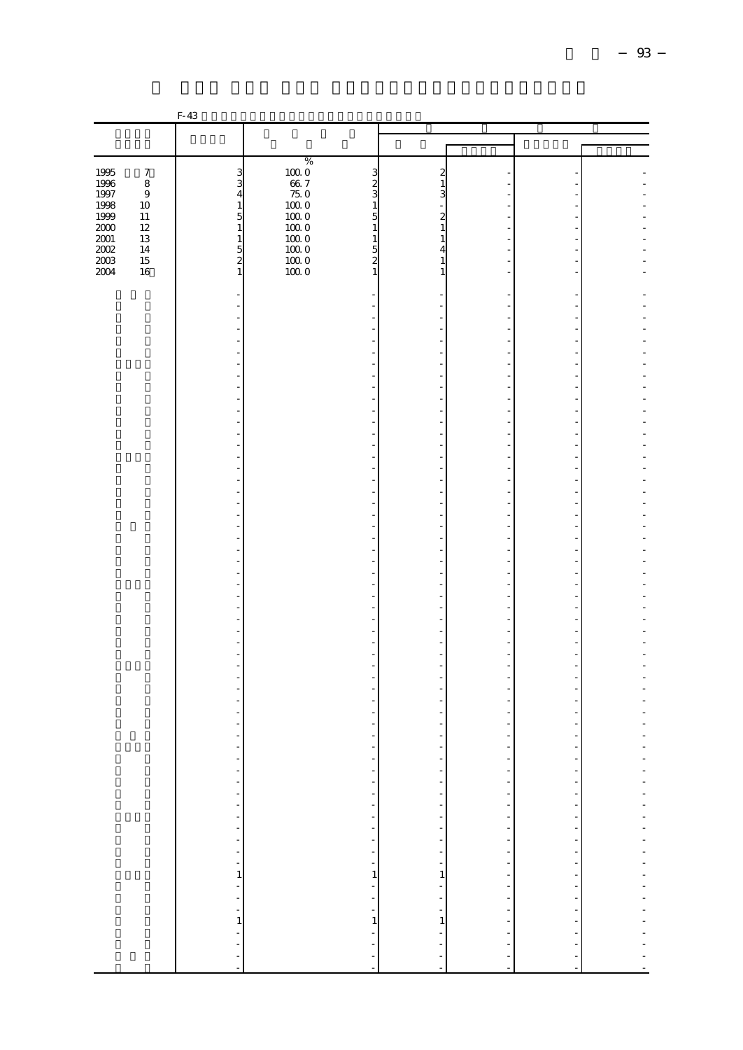|                      |                             | F-43                                                                                                                                                                                                                           |                                                                            |                                        |                          |                                                           |  |
|----------------------|-----------------------------|--------------------------------------------------------------------------------------------------------------------------------------------------------------------------------------------------------------------------------|----------------------------------------------------------------------------|----------------------------------------|--------------------------|-----------------------------------------------------------|--|
|                      |                             |                                                                                                                                                                                                                                |                                                                            |                                        |                          |                                                           |  |
|                      |                             |                                                                                                                                                                                                                                |                                                                            |                                        |                          |                                                           |  |
|                      |                             |                                                                                                                                                                                                                                | $\%$                                                                       |                                        |                          |                                                           |  |
| 1995<br>1996         | $\boldsymbol{7}$<br>$\,8\,$ | $\frac{3}{4}$                                                                                                                                                                                                                  | $\begin{matrix}100.0 \\ 66.7\end{matrix}$<br>3<br>$\overline{\mathcal{Z}}$ | 2<br>$\mathbf{1}$                      |                          |                                                           |  |
| 1997<br>1998         | $\overline{9}$              |                                                                                                                                                                                                                                | $\frac{75}{100}$<br>3                                                      | 3                                      |                          |                                                           |  |
| 1999                 | $10\,$<br>11                | $\,1\,$                                                                                                                                                                                                                        | $\mathbf{1}$<br>$100\;0$<br>5                                              | 2                                      |                          |                                                           |  |
| 2000                 | 12                          | $\frac{5}{1}$                                                                                                                                                                                                                  | $100\;0$<br>$\mathbf{1}$                                                   | $\mathbf{1}$                           |                          |                                                           |  |
| $2001\,$<br>$2002\,$ | 13<br>14                    | $\mathbf{1}$                                                                                                                                                                                                                   | $100\;0$<br>$\mathbf{1}$<br>$100\;0$<br>5                                  | $\mathbf{1}$<br>4                      |                          |                                                           |  |
| $2003\,$             | $15\,$                      | $\frac{5}{2}$                                                                                                                                                                                                                  | $100\;0$<br>$\overline{\mathcal{Z}}$                                       | 1                                      |                          |                                                           |  |
| 2004                 | $16\,$                      |                                                                                                                                                                                                                                | 1000<br>$\mathbf{1}$                                                       | 1                                      |                          |                                                           |  |
|                      |                             |                                                                                                                                                                                                                                |                                                                            |                                        |                          |                                                           |  |
|                      |                             |                                                                                                                                                                                                                                |                                                                            |                                        |                          |                                                           |  |
|                      |                             |                                                                                                                                                                                                                                |                                                                            |                                        |                          |                                                           |  |
|                      |                             |                                                                                                                                                                                                                                |                                                                            |                                        |                          |                                                           |  |
|                      |                             |                                                                                                                                                                                                                                |                                                                            |                                        |                          |                                                           |  |
|                      |                             |                                                                                                                                                                                                                                |                                                                            |                                        |                          |                                                           |  |
|                      |                             |                                                                                                                                                                                                                                |                                                                            |                                        |                          |                                                           |  |
|                      |                             |                                                                                                                                                                                                                                |                                                                            |                                        |                          |                                                           |  |
|                      |                             |                                                                                                                                                                                                                                |                                                                            |                                        |                          |                                                           |  |
|                      |                             |                                                                                                                                                                                                                                |                                                                            |                                        |                          |                                                           |  |
|                      |                             |                                                                                                                                                                                                                                | -                                                                          |                                        |                          | $\overline{\phantom{a}}$                                  |  |
|                      |                             |                                                                                                                                                                                                                                | Ĭ,                                                                         |                                        |                          |                                                           |  |
|                      |                             |                                                                                                                                                                                                                                |                                                                            |                                        |                          |                                                           |  |
|                      |                             |                                                                                                                                                                                                                                | L,                                                                         |                                        |                          |                                                           |  |
|                      |                             |                                                                                                                                                                                                                                | ÷                                                                          |                                        |                          |                                                           |  |
|                      |                             |                                                                                                                                                                                                                                |                                                                            |                                        |                          |                                                           |  |
|                      |                             |                                                                                                                                                                                                                                | L,                                                                         |                                        |                          |                                                           |  |
|                      |                             |                                                                                                                                                                                                                                | ÷                                                                          |                                        |                          |                                                           |  |
|                      |                             |                                                                                                                                                                                                                                |                                                                            |                                        |                          |                                                           |  |
|                      |                             | -                                                                                                                                                                                                                              | Ĭ,                                                                         |                                        |                          |                                                           |  |
|                      |                             |                                                                                                                                                                                                                                | ÷                                                                          |                                        |                          |                                                           |  |
|                      |                             |                                                                                                                                                                                                                                |                                                                            |                                        |                          |                                                           |  |
|                      |                             |                                                                                                                                                                                                                                | L,                                                                         |                                        |                          |                                                           |  |
|                      |                             |                                                                                                                                                                                                                                |                                                                            |                                        |                          |                                                           |  |
|                      |                             |                                                                                                                                                                                                                                | $\overline{a}$                                                             |                                        |                          |                                                           |  |
|                      |                             |                                                                                                                                                                                                                                | ÷,                                                                         |                                        |                          |                                                           |  |
|                      |                             |                                                                                                                                                                                                                                |                                                                            |                                        |                          |                                                           |  |
|                      |                             |                                                                                                                                                                                                                                |                                                                            |                                        |                          |                                                           |  |
|                      |                             |                                                                                                                                                                                                                                |                                                                            |                                        |                          |                                                           |  |
|                      |                             |                                                                                                                                                                                                                                | $\overline{\phantom{0}}$                                                   |                                        |                          |                                                           |  |
|                      |                             | ۳                                                                                                                                                                                                                              |                                                                            | ÷,                                     | l,                       | ÷,                                                        |  |
|                      |                             |                                                                                                                                                                                                                                |                                                                            | ÷,                                     | $\overline{\phantom{a}}$ | ÷,                                                        |  |
|                      |                             |                                                                                                                                                                                                                                |                                                                            |                                        |                          | f                                                         |  |
|                      |                             |                                                                                                                                                                                                                                |                                                                            |                                        |                          |                                                           |  |
|                      |                             |                                                                                                                                                                                                                                |                                                                            |                                        |                          |                                                           |  |
|                      |                             | 1991 - Paris Paris Paris Paris Paris Paris Paris Paris Paris Paris Paris Paris Paris Paris Paris Paris Paris Paris Paris Paris Paris Paris Paris Paris Paris Paris Paris Paris Paris Paris Paris Paris Paris Paris Paris Paris |                                                                            | <b>The Secretary</b>                   | 医三甲基二甲基二甲基二甲基二甲基三甲基二甲基二  | 医单位的 医单位的                                                 |  |
|                      |                             |                                                                                                                                                                                                                                |                                                                            |                                        |                          |                                                           |  |
|                      |                             |                                                                                                                                                                                                                                |                                                                            | $\mathbf{1}$                           |                          |                                                           |  |
|                      |                             |                                                                                                                                                                                                                                |                                                                            | f                                      |                          |                                                           |  |
|                      |                             |                                                                                                                                                                                                                                |                                                                            | $\begin{bmatrix} 1 \\ 1 \end{bmatrix}$ |                          | $\frac{1}{2}$                                             |  |
|                      |                             |                                                                                                                                                                                                                                |                                                                            |                                        |                          |                                                           |  |
|                      |                             |                                                                                                                                                                                                                                |                                                                            |                                        |                          |                                                           |  |
|                      |                             |                                                                                                                                                                                                                                |                                                                            |                                        |                          | $\begin{array}{ccc}\n1 & 1 & 1 \\ 1 & 1 & 1\n\end{array}$ |  |
|                      |                             |                                                                                                                                                                                                                                |                                                                            |                                        |                          |                                                           |  |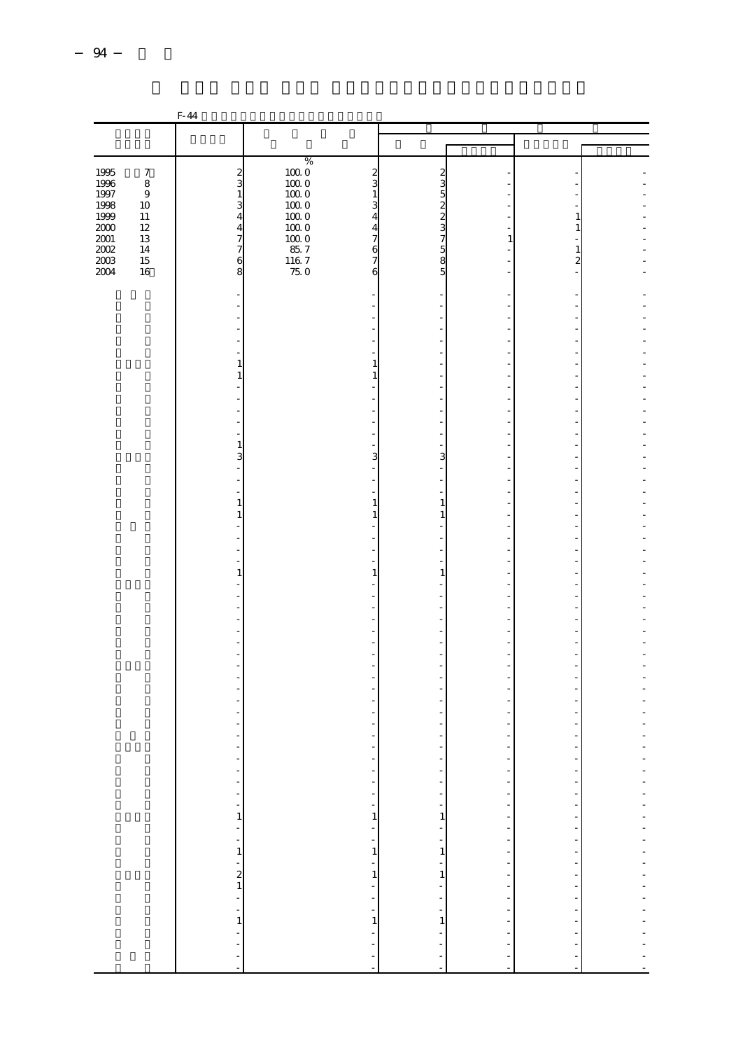|                                             |                  | F-44                                                            |                                                                         |                                              |                          |                      |  |
|---------------------------------------------|------------------|-----------------------------------------------------------------|-------------------------------------------------------------------------|----------------------------------------------|--------------------------|----------------------|--|
|                                             |                  |                                                                 |                                                                         |                                              |                          |                      |  |
|                                             |                  |                                                                 |                                                                         |                                              |                          |                      |  |
|                                             |                  |                                                                 | $\begin{array}{c} 96 \\ 1000 \\ 1000 \\ \hline 1000 \end{array}$        |                                              |                          |                      |  |
| $\begin{array}{c} 1995 \\ 1996 \end{array}$ | $\boldsymbol{7}$ | $\frac{2}{3}$                                                   | 2                                                                       |                                              |                          |                      |  |
|                                             | $\,8\,$          | $\,1\,$                                                         | 3                                                                       |                                              |                          |                      |  |
| 1997<br>1998                                | $\,9$<br>$10\,$  | 3                                                               | $100\;0$<br>1<br>$100\;0$<br>3                                          |                                              |                          |                      |  |
| 1999                                        | $11\,$           | $\overline{4}$                                                  | $100\;0$<br>4                                                           |                                              |                          | $\,1$                |  |
| $2000\,$                                    | $12\,$           | $\overline{4}$                                                  | $100\;0$<br>4                                                           |                                              |                          | $\,1\,$              |  |
| $2001\,$                                    | $13\,$           | $\frac{7}{7}$                                                   | $100\;0$<br>7                                                           |                                              | $\mathbf{1}$             |                      |  |
| $\frac{2002}{2003}$                         | 14<br>$15\,$     | $\mathbf 6$                                                     | $\begin{array}{r} 133.0 \\ 85.7 \\ 116.7 \\ 75.0 \end{array}$<br>6<br>7 |                                              |                          | $\frac{1}{2}$        |  |
| 2004                                        | 16               | 8                                                               | 6                                                                       |                                              |                          |                      |  |
|                                             |                  |                                                                 |                                                                         |                                              |                          |                      |  |
|                                             |                  |                                                                 |                                                                         |                                              |                          |                      |  |
|                                             |                  |                                                                 |                                                                         |                                              |                          |                      |  |
|                                             |                  |                                                                 |                                                                         |                                              |                          |                      |  |
|                                             |                  |                                                                 |                                                                         |                                              |                          |                      |  |
|                                             |                  |                                                                 |                                                                         |                                              |                          |                      |  |
|                                             |                  | 1                                                               | $\mathbf{1}$                                                            |                                              |                          |                      |  |
|                                             |                  | $\mathbf{1}$                                                    | 1                                                                       |                                              |                          |                      |  |
|                                             |                  |                                                                 |                                                                         |                                              |                          |                      |  |
|                                             |                  |                                                                 |                                                                         |                                              |                          |                      |  |
|                                             |                  |                                                                 |                                                                         |                                              |                          |                      |  |
|                                             |                  |                                                                 |                                                                         |                                              |                          |                      |  |
|                                             |                  | 1                                                               |                                                                         |                                              |                          |                      |  |
|                                             |                  | 3                                                               | 3                                                                       | 3                                            |                          |                      |  |
|                                             |                  |                                                                 |                                                                         |                                              |                          |                      |  |
|                                             |                  |                                                                 |                                                                         |                                              |                          |                      |  |
|                                             |                  | $\mathbf{1}$                                                    | $1\,$                                                                   | $\mathbf{1}$                                 |                          |                      |  |
|                                             |                  | 1                                                               | 1                                                                       | 1                                            |                          |                      |  |
|                                             |                  |                                                                 |                                                                         |                                              |                          |                      |  |
|                                             |                  |                                                                 |                                                                         |                                              |                          |                      |  |
|                                             |                  |                                                                 |                                                                         |                                              |                          |                      |  |
|                                             |                  | $\mathbf{1}$                                                    | 1                                                                       | $\mathbf{1}$                                 |                          |                      |  |
|                                             |                  |                                                                 |                                                                         |                                              |                          |                      |  |
|                                             |                  |                                                                 |                                                                         |                                              |                          |                      |  |
|                                             |                  |                                                                 |                                                                         |                                              |                          |                      |  |
|                                             |                  |                                                                 |                                                                         |                                              |                          |                      |  |
|                                             |                  |                                                                 |                                                                         |                                              |                          |                      |  |
|                                             |                  |                                                                 |                                                                         |                                              |                          |                      |  |
|                                             |                  |                                                                 |                                                                         |                                              |                          |                      |  |
|                                             |                  |                                                                 |                                                                         |                                              |                          |                      |  |
|                                             |                  |                                                                 |                                                                         |                                              |                          |                      |  |
|                                             |                  |                                                                 |                                                                         |                                              |                          |                      |  |
|                                             |                  |                                                                 |                                                                         |                                              |                          |                      |  |
|                                             |                  |                                                                 |                                                                         |                                              |                          |                      |  |
|                                             |                  |                                                                 |                                                                         |                                              |                          |                      |  |
|                                             |                  |                                                                 | f                                                                       |                                              | ÷,                       | $\frac{1}{\sqrt{2}}$ |  |
|                                             |                  |                                                                 | ÷,                                                                      | Î,                                           | $\overline{\phantom{a}}$ | ÷                    |  |
|                                             |                  |                                                                 | $\frac{1}{1}$                                                           | $\begin{bmatrix} 1 \\ -1 \\ 1 \end{bmatrix}$ | $\frac{1}{2}$            | ۰,                   |  |
|                                             |                  |                                                                 |                                                                         |                                              |                          |                      |  |
|                                             |                  |                                                                 |                                                                         |                                              |                          |                      |  |
|                                             |                  | <u>.</u><br>.<br>.<br>.<br>.<br>.<br>.<br>.<br>.<br>.<br>.<br>. | $\begin{bmatrix} 1 \\ 1 \end{bmatrix}$                                  | $\begin{bmatrix} 1 \\ 1 \\ 1 \end{bmatrix}$  |                          |                      |  |
|                                             |                  |                                                                 |                                                                         |                                              |                          |                      |  |
|                                             |                  |                                                                 | $\frac{1}{1}$                                                           | $\frac{1}{1}$                                |                          |                      |  |
|                                             |                  |                                                                 |                                                                         |                                              |                          |                      |  |
|                                             |                  |                                                                 | $\frac{1}{2}$                                                           | $\begin{bmatrix} 1 \\ 1 \\ 1 \end{bmatrix}$  |                          |                      |  |
|                                             |                  |                                                                 |                                                                         |                                              |                          |                      |  |
|                                             |                  |                                                                 | $\,1\,$                                                                 |                                              |                          |                      |  |
|                                             |                  |                                                                 |                                                                         |                                              |                          |                      |  |
|                                             |                  |                                                                 |                                                                         |                                              |                          | $\frac{1}{2}$        |  |
|                                             |                  |                                                                 |                                                                         |                                              |                          |                      |  |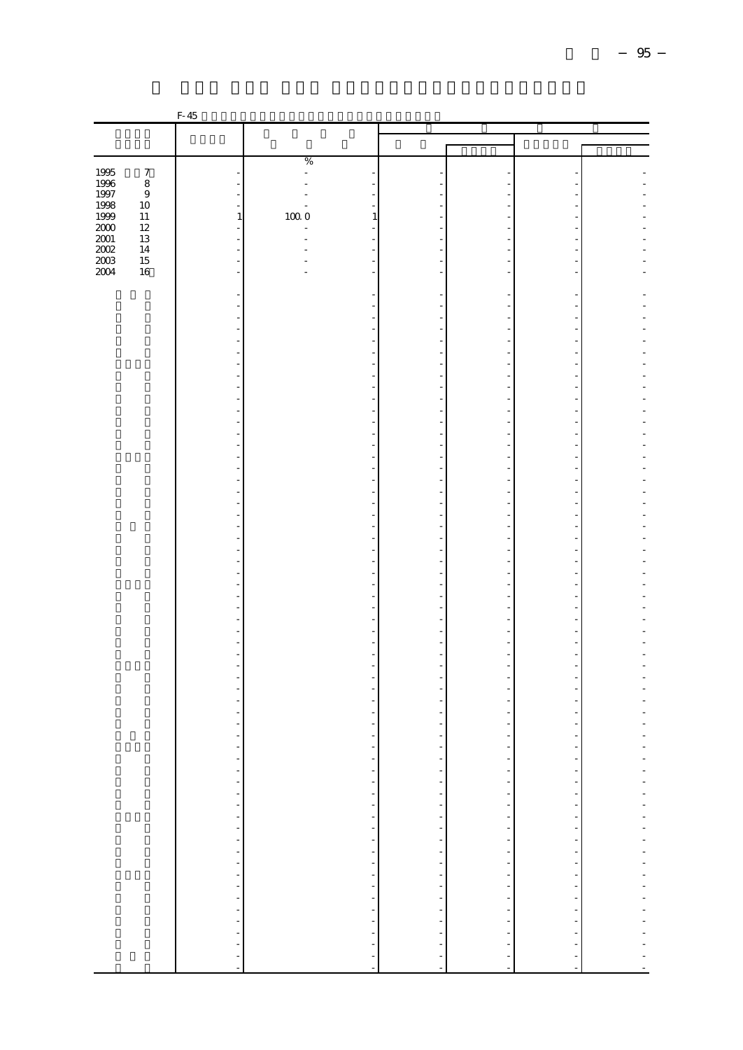|                                             |                                    | $F-45$                   |                                |                                                |                               |                                                                                                                                                                                                                               |  |
|---------------------------------------------|------------------------------------|--------------------------|--------------------------------|------------------------------------------------|-------------------------------|-------------------------------------------------------------------------------------------------------------------------------------------------------------------------------------------------------------------------------|--|
|                                             |                                    |                          |                                |                                                |                               |                                                                                                                                                                                                                               |  |
|                                             |                                    |                          |                                |                                                |                               |                                                                                                                                                                                                                               |  |
|                                             |                                    |                          | %                              |                                                |                               |                                                                                                                                                                                                                               |  |
| $\begin{array}{c} 1995 \\ 1996 \end{array}$ | $\boldsymbol{7}$<br>$\overline{8}$ |                          | $\overline{\phantom{a}}$<br>÷, |                                                |                               |                                                                                                                                                                                                                               |  |
| 1997                                        | $\,9$                              |                          | L.                             |                                                |                               |                                                                                                                                                                                                                               |  |
| 1998                                        | 10                                 | $\overline{\phantom{a}}$ | L,                             | Ĭ.                                             |                               |                                                                                                                                                                                                                               |  |
| 1999<br>$2000\,$                            | $11\,$<br>$12\,$                   | $\,1\,$<br>۰             | $100\;0$<br>÷                  | $\,1\,$<br>÷                                   |                               | -                                                                                                                                                                                                                             |  |
| $2001\,$                                    | $13\,$                             | ÷                        |                                |                                                |                               |                                                                                                                                                                                                                               |  |
| $200\,$<br>$2003\,$                         | $14\,$<br>$15\,$                   | $\frac{1}{2}$<br>÷,      |                                | Ĭ.<br>$\overline{a}$                           |                               | L.                                                                                                                                                                                                                            |  |
| 2004                                        | 16                                 | $\overline{\phantom{a}}$ |                                | $\overline{\phantom{a}}$                       |                               | $\overline{\phantom{a}}$                                                                                                                                                                                                      |  |
|                                             |                                    |                          |                                |                                                |                               |                                                                                                                                                                                                                               |  |
|                                             |                                    |                          |                                | ÷                                              | Ē,                            | ÷,                                                                                                                                                                                                                            |  |
|                                             |                                    |                          |                                |                                                |                               |                                                                                                                                                                                                                               |  |
|                                             |                                    |                          |                                |                                                |                               |                                                                                                                                                                                                                               |  |
|                                             |                                    |                          |                                | L,<br>÷,                                       | ÷,                            | ÷,<br>÷.                                                                                                                                                                                                                      |  |
|                                             |                                    |                          |                                |                                                |                               | $\overline{\phantom{0}}$                                                                                                                                                                                                      |  |
|                                             |                                    |                          |                                | ÷                                              |                               |                                                                                                                                                                                                                               |  |
|                                             |                                    |                          |                                | ÷,                                             | ż                             | L.                                                                                                                                                                                                                            |  |
|                                             |                                    |                          |                                | ÷                                              |                               |                                                                                                                                                                                                                               |  |
|                                             |                                    |                          |                                | Ĭ.                                             | ż                             | L.                                                                                                                                                                                                                            |  |
|                                             |                                    |                          |                                | ÷,                                             |                               |                                                                                                                                                                                                                               |  |
|                                             |                                    |                          |                                | -<br>f,                                        | $\overline{\phantom{a}}$<br>- | $\overline{\phantom{a}}$<br>$\qquad \qquad \blacksquare$                                                                                                                                                                      |  |
|                                             |                                    |                          |                                | L,                                             |                               |                                                                                                                                                                                                                               |  |
|                                             |                                    |                          |                                | L,                                             |                               | L                                                                                                                                                                                                                             |  |
|                                             |                                    |                          |                                | ÷<br>÷                                         |                               |                                                                                                                                                                                                                               |  |
|                                             |                                    |                          |                                | ÷                                              |                               |                                                                                                                                                                                                                               |  |
|                                             |                                    | ÷,                       |                                | $\ddot{\phantom{1}}$                           | ÷,                            |                                                                                                                                                                                                                               |  |
|                                             |                                    |                          |                                | ÷                                              |                               |                                                                                                                                                                                                                               |  |
|                                             |                                    | ÷                        |                                | f<br>$\overline{a}$                            | Î,                            |                                                                                                                                                                                                                               |  |
|                                             |                                    | ł,                       |                                | ÷                                              | L.                            | ä,                                                                                                                                                                                                                            |  |
|                                             |                                    |                          |                                | -<br>÷                                         |                               | $\overline{\phantom{0}}$                                                                                                                                                                                                      |  |
|                                             |                                    |                          |                                | ÷,                                             | L.                            | L.                                                                                                                                                                                                                            |  |
|                                             |                                    | ÷,                       |                                | L,                                             | J.                            |                                                                                                                                                                                                                               |  |
|                                             |                                    |                          |                                | ÷,                                             |                               |                                                                                                                                                                                                                               |  |
|                                             |                                    | $\overline{a}$<br>÷      |                                | -<br>÷<br>$\overline{a}$                       | J.                            |                                                                                                                                                                                                                               |  |
|                                             |                                    |                          |                                | Ĭ.                                             |                               | $\overline{a}$                                                                                                                                                                                                                |  |
|                                             |                                    |                          |                                | ÷                                              |                               |                                                                                                                                                                                                                               |  |
|                                             |                                    |                          |                                |                                                |                               |                                                                                                                                                                                                                               |  |
|                                             |                                    |                          |                                | ä,                                             |                               |                                                                                                                                                                                                                               |  |
|                                             |                                    |                          |                                |                                                |                               |                                                                                                                                                                                                                               |  |
|                                             |                                    | $\overline{\phantom{a}}$ |                                | $\overline{a}$<br>$\overline{\phantom{a}}$     | $\overline{a}$                |                                                                                                                                                                                                                               |  |
|                                             |                                    | ÷                        |                                | ÷<br>÷,                                        | ÷,                            | ٠                                                                                                                                                                                                                             |  |
|                                             |                                    |                          |                                | f                                              | ÷,                            | ÷,                                                                                                                                                                                                                            |  |
|                                             |                                    |                          |                                | $\frac{1}{2}$                                  |                               | $\frac{1}{2}$                                                                                                                                                                                                                 |  |
|                                             |                                    |                          |                                |                                                |                               |                                                                                                                                                                                                                               |  |
|                                             |                                    |                          |                                |                                                |                               |                                                                                                                                                                                                                               |  |
|                                             |                                    |                          |                                |                                                |                               |                                                                                                                                                                                                                               |  |
|                                             |                                    |                          |                                |                                                |                               |                                                                                                                                                                                                                               |  |
|                                             |                                    |                          |                                |                                                |                               |                                                                                                                                                                                                                               |  |
|                                             |                                    |                          |                                |                                                |                               |                                                                                                                                                                                                                               |  |
|                                             |                                    | 医单位的 医单位的 医单位的           |                                | ------------------------<br>医单位的 医单位的 医单位的 医单位 |                               | the company of the company of the company of the company of the company of the company of the company of the company of the company of the company of the company of the company of the company of the company of the company |  |
|                                             |                                    |                          |                                |                                                |                               |                                                                                                                                                                                                                               |  |
|                                             |                                    |                          |                                |                                                |                               |                                                                                                                                                                                                                               |  |
|                                             |                                    |                          |                                |                                                |                               | $\frac{1}{2}$                                                                                                                                                                                                                 |  |
|                                             |                                    |                          |                                |                                                |                               | ÷,                                                                                                                                                                                                                            |  |
|                                             |                                    |                          |                                |                                                |                               |                                                                                                                                                                                                                               |  |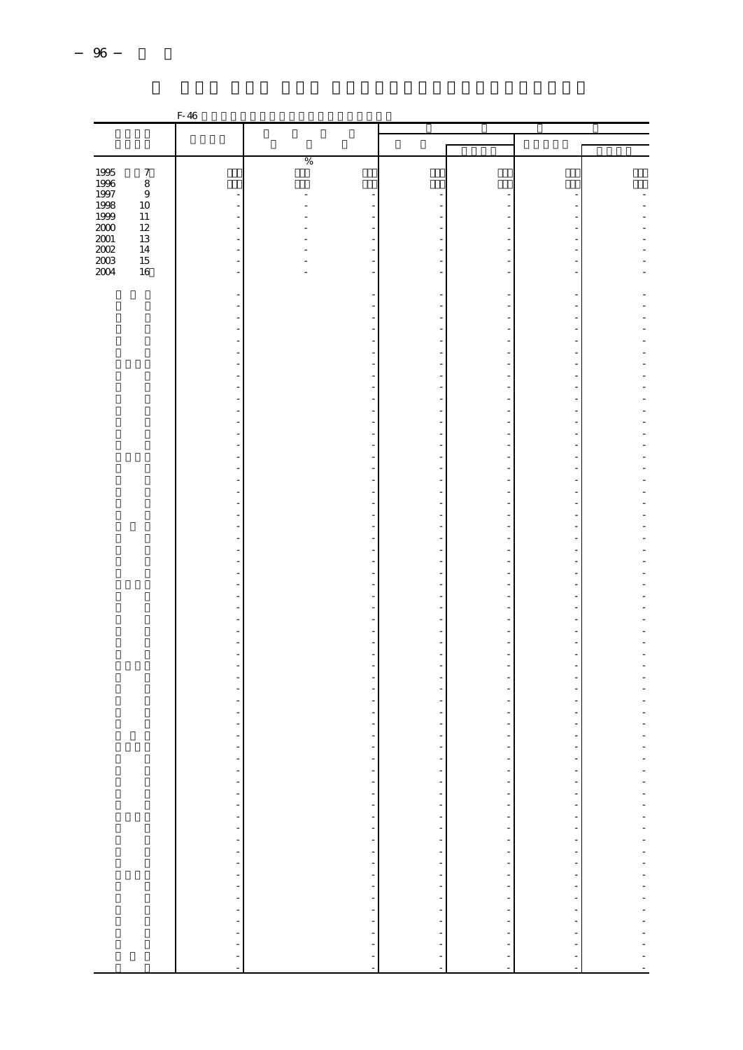|                              |                  | F-46                                                                                                              |                          |                          |    |   |  |
|------------------------------|------------------|-------------------------------------------------------------------------------------------------------------------|--------------------------|--------------------------|----|---|--|
|                              |                  |                                                                                                                   |                          |                          |    |   |  |
|                              |                  |                                                                                                                   |                          |                          |    |   |  |
|                              |                  |                                                                                                                   | $\%$                     |                          |    |   |  |
| 1995<br>1996<br>1997<br>1998 | $\boldsymbol{7}$ |                                                                                                                   |                          |                          |    |   |  |
|                              | $\,$ 8 $\,$      |                                                                                                                   |                          |                          |    |   |  |
|                              | $\,9$            |                                                                                                                   |                          |                          |    |   |  |
| 1999                         | $10\,$<br>$11\,$ | $\begin{array}{ccc}\n\bullet & \bullet & \bullet & \bullet \\ \bullet & \bullet & \bullet & \bullet\n\end{array}$ | Ĭ.                       |                          |    |   |  |
|                              | $12\,$           |                                                                                                                   | $\overline{a}$           |                          |    |   |  |
| $\frac{200}{200}$            | $13\,$           | $\frac{1}{\sqrt{2}}$                                                                                              |                          |                          |    |   |  |
| 2002<br>2003<br>2004         | 14               | $\frac{1}{2}$                                                                                                     |                          |                          |    |   |  |
|                              | $15\,$<br>16     |                                                                                                                   | ä,<br>$\blacksquare$     |                          |    |   |  |
|                              |                  | $\frac{1}{2}$                                                                                                     |                          |                          |    |   |  |
|                              |                  |                                                                                                                   | -                        |                          |    |   |  |
|                              |                  |                                                                                                                   | ä,                       |                          |    |   |  |
|                              |                  | ÷                                                                                                                 | Ĭ.                       |                          |    |   |  |
|                              |                  | $\overline{a}$<br>ä,                                                                                              | L,<br>L,                 |                          |    |   |  |
|                              |                  |                                                                                                                   | ÷                        |                          | ÷  |   |  |
|                              |                  | $\frac{1}{2}$                                                                                                     | Ĭ.                       |                          |    |   |  |
|                              |                  | $\overline{a}$                                                                                                    | L.                       |                          |    |   |  |
|                              |                  | $\frac{1}{2}$                                                                                                     | $\frac{1}{2}$            |                          | ÷, |   |  |
|                              |                  | $\overline{a}$                                                                                                    |                          |                          |    |   |  |
|                              |                  |                                                                                                                   | $\overline{a}$           |                          |    |   |  |
|                              |                  | $\frac{1}{2}$                                                                                                     | ÷,<br>ä,                 |                          | ÷  |   |  |
|                              |                  | -                                                                                                                 | Ĭ.                       |                          |    |   |  |
|                              |                  |                                                                                                                   | $\overline{\phantom{0}}$ |                          | ÷, |   |  |
|                              |                  | $\frac{1}{2}$                                                                                                     | L,                       |                          |    |   |  |
|                              |                  |                                                                                                                   |                          |                          |    |   |  |
|                              |                  |                                                                                                                   | $\overline{a}$           |                          | ÷, |   |  |
|                              |                  |                                                                                                                   | L,                       |                          |    |   |  |
|                              |                  |                                                                                                                   |                          |                          | Î, |   |  |
|                              |                  | $\frac{1}{2}$                                                                                                     | $\frac{1}{1}$            |                          | J. |   |  |
|                              |                  | $\frac{1}{2}$                                                                                                     | $\overline{a}$           |                          |    |   |  |
|                              |                  |                                                                                                                   | $\overline{a}$           |                          | Î, |   |  |
|                              |                  | ÷                                                                                                                 | ÷,                       |                          |    |   |  |
|                              |                  | $\frac{1}{2}$                                                                                                     | $\overline{a}$<br>L,     |                          |    |   |  |
|                              |                  | ÷,                                                                                                                | ÷,                       |                          |    |   |  |
|                              |                  |                                                                                                                   | Ĭ.                       |                          |    |   |  |
|                              |                  | $\frac{1}{2}$                                                                                                     | $\overline{a}$           |                          |    |   |  |
|                              |                  |                                                                                                                   | $\overline{a}$           |                          | ÷, |   |  |
|                              |                  | $\ddot{\phantom{0}}$                                                                                              | ÷,                       |                          |    |   |  |
|                              |                  | $\frac{1}{2}$                                                                                                     | $\frac{1}{2}$            |                          | ٠  |   |  |
|                              |                  | $\ddot{\phantom{0}}$                                                                                              | L,                       |                          |    |   |  |
|                              |                  | L,                                                                                                                |                          |                          |    |   |  |
|                              |                  |                                                                                                                   |                          |                          |    |   |  |
|                              |                  | ÷<br>$\overline{\phantom{a}}$                                                                                     |                          |                          |    |   |  |
|                              |                  | $\overline{\phantom{0}}$                                                                                          | ÷,                       | ÷,                       |    |   |  |
|                              |                  |                                                                                                                   |                          |                          |    |   |  |
|                              |                  |                                                                                                                   |                          |                          |    | f |  |
|                              |                  |                                                                                                                   |                          |                          |    | ŕ |  |
|                              |                  |                                                                                                                   |                          |                          |    |   |  |
|                              |                  |                                                                                                                   |                          |                          |    |   |  |
|                              |                  |                                                                                                                   |                          |                          |    |   |  |
|                              |                  |                                                                                                                   |                          |                          |    |   |  |
|                              |                  | 医单位的 医中央性 医中央性血管 医血管中枢                                                                                            |                          | 医单位的 医中央性 医单位的 医单位的 医单位的 |    |   |  |
|                              |                  |                                                                                                                   |                          |                          |    |   |  |
|                              |                  |                                                                                                                   |                          |                          |    |   |  |
|                              |                  |                                                                                                                   |                          |                          |    |   |  |
|                              |                  |                                                                                                                   |                          |                          |    |   |  |
|                              |                  |                                                                                                                   |                          |                          |    |   |  |
|                              |                  |                                                                                                                   |                          |                          |    |   |  |
|                              |                  |                                                                                                                   |                          |                          |    |   |  |
|                              |                  |                                                                                                                   |                          |                          |    |   |  |
|                              |                  |                                                                                                                   |                          |                          |    |   |  |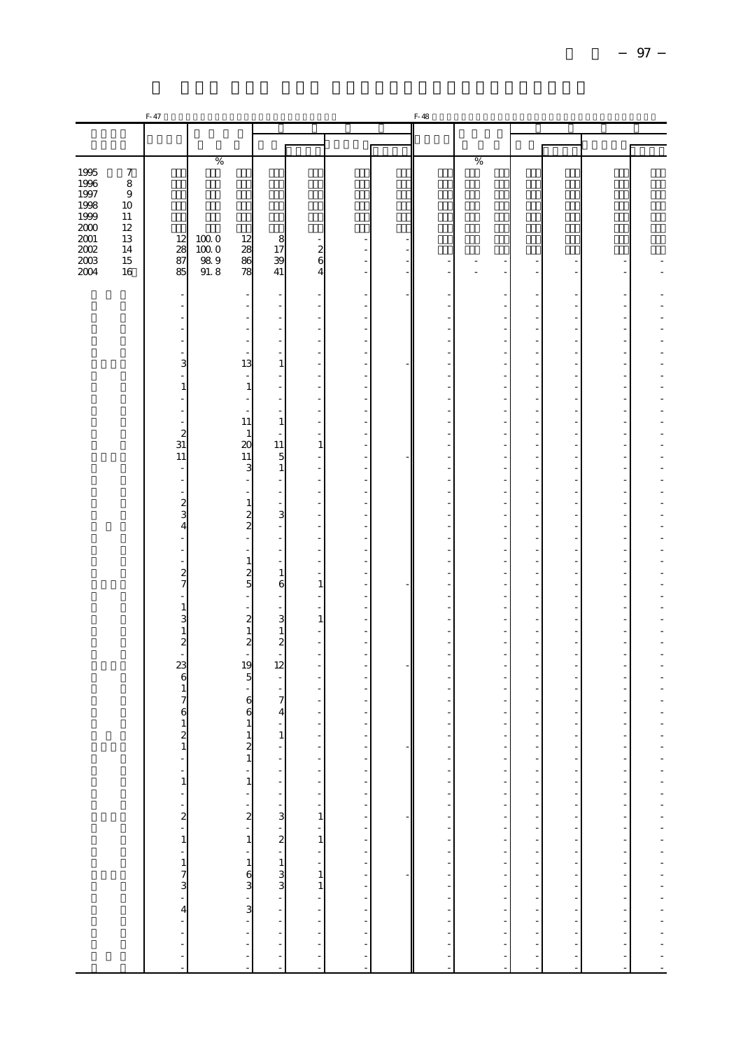|                                                  |                                                            | $F-47$                                               |                                                            |                                   |                                                 | $F-48$                   |                                      |                                                                                                                                                                                                                                      |    |                                             |                                                     |                                       |
|--------------------------------------------------|------------------------------------------------------------|------------------------------------------------------|------------------------------------------------------------|-----------------------------------|-------------------------------------------------|--------------------------|--------------------------------------|--------------------------------------------------------------------------------------------------------------------------------------------------------------------------------------------------------------------------------------|----|---------------------------------------------|-----------------------------------------------------|---------------------------------------|
|                                                  |                                                            |                                                      |                                                            |                                   |                                                 |                          |                                      |                                                                                                                                                                                                                                      |    |                                             |                                                     |                                       |
|                                                  |                                                            |                                                      |                                                            |                                   |                                                 |                          |                                      |                                                                                                                                                                                                                                      |    |                                             |                                                     |                                       |
|                                                  |                                                            |                                                      | $\%$                                                       |                                   |                                                 |                          |                                      | $\%$                                                                                                                                                                                                                                 |    |                                             |                                                     |                                       |
| 1995<br>1996<br>1997<br>1998<br>1999<br>$2000\,$ | $\boldsymbol{7}$<br>$\,8\,$<br>9<br>10<br>$11\,$<br>$12\,$ |                                                      |                                                            |                                   |                                                 |                          |                                      |                                                                                                                                                                                                                                      |    |                                             |                                                     |                                       |
| $2001\,$<br>$2002\,$<br>2003<br>2004             | $13\,$<br>14<br>15<br>16                                   | 12<br>28<br>87<br>85                                 | $100\;0$<br>12<br>$10000$<br>28<br>989<br>86<br>91.8<br>78 | $\frac{8}{17}$<br>$\frac{39}{41}$ | $\frac{2}{6}$<br>4                              |                          |                                      | ×,                                                                                                                                                                                                                                   |    |                                             |                                                     |                                       |
|                                                  |                                                            |                                                      |                                                            |                                   |                                                 |                          |                                      |                                                                                                                                                                                                                                      |    |                                             |                                                     |                                       |
|                                                  |                                                            |                                                      |                                                            |                                   |                                                 |                          |                                      |                                                                                                                                                                                                                                      |    |                                             |                                                     |                                       |
|                                                  |                                                            |                                                      |                                                            |                                   |                                                 |                          |                                      |                                                                                                                                                                                                                                      |    |                                             |                                                     |                                       |
|                                                  |                                                            |                                                      |                                                            |                                   |                                                 |                          |                                      |                                                                                                                                                                                                                                      |    |                                             |                                                     |                                       |
|                                                  |                                                            |                                                      |                                                            |                                   |                                                 |                          |                                      |                                                                                                                                                                                                                                      |    |                                             |                                                     |                                       |
|                                                  |                                                            | 3                                                    | 13                                                         | 1                                 |                                                 |                          |                                      |                                                                                                                                                                                                                                      |    |                                             |                                                     |                                       |
|                                                  |                                                            |                                                      |                                                            |                                   |                                                 |                          |                                      |                                                                                                                                                                                                                                      |    |                                             |                                                     |                                       |
|                                                  |                                                            | $\mathbf{1}$                                         | $\mathbf{1}$                                               |                                   |                                                 |                          |                                      |                                                                                                                                                                                                                                      |    |                                             |                                                     |                                       |
|                                                  |                                                            |                                                      |                                                            |                                   |                                                 |                          |                                      |                                                                                                                                                                                                                                      |    |                                             |                                                     |                                       |
|                                                  |                                                            |                                                      | 11                                                         | $1\,$                             |                                                 |                          |                                      |                                                                                                                                                                                                                                      |    |                                             |                                                     |                                       |
|                                                  |                                                            | $\frac{2}{31}$                                       | $\mathbf{1}$<br>20                                         | $\sim$<br>11                      | $\mathbf{1}$                                    |                          |                                      | ÷,                                                                                                                                                                                                                                   |    |                                             |                                                     |                                       |
|                                                  |                                                            | 11                                                   | 11                                                         | 5                                 |                                                 |                          |                                      |                                                                                                                                                                                                                                      |    |                                             |                                                     |                                       |
|                                                  |                                                            | ÷,                                                   | 3                                                          | $\,1\,$                           |                                                 |                          |                                      |                                                                                                                                                                                                                                      |    |                                             |                                                     |                                       |
|                                                  |                                                            |                                                      |                                                            |                                   |                                                 |                          |                                      | ł,                                                                                                                                                                                                                                   | l, |                                             |                                                     |                                       |
|                                                  |                                                            | $\frac{2}{3}$                                        | $\mathbf{1}$                                               |                                   |                                                 |                          |                                      |                                                                                                                                                                                                                                      |    |                                             |                                                     |                                       |
|                                                  |                                                            |                                                      | $\frac{2}{2}$                                              | 3                                 |                                                 |                          |                                      | ł,<br>l,                                                                                                                                                                                                                             | l, |                                             |                                                     |                                       |
|                                                  |                                                            | $\overline{4}$                                       |                                                            |                                   |                                                 |                          |                                      |                                                                                                                                                                                                                                      |    |                                             |                                                     |                                       |
|                                                  |                                                            |                                                      |                                                            | $\overline{\phantom{a}}$          |                                                 |                          |                                      | ÷,                                                                                                                                                                                                                                   |    |                                             |                                                     |                                       |
|                                                  |                                                            |                                                      | $\mathbf{1}$                                               | $1\,$                             |                                                 |                          |                                      |                                                                                                                                                                                                                                      |    |                                             |                                                     |                                       |
|                                                  |                                                            | $\frac{2}{7}$                                        | $\frac{2}{5}$                                              | 6                                 | 1                                               |                          |                                      | $\overline{\phantom{a}}$                                                                                                                                                                                                             |    |                                             |                                                     |                                       |
|                                                  |                                                            |                                                      |                                                            |                                   |                                                 |                          |                                      |                                                                                                                                                                                                                                      |    |                                             |                                                     |                                       |
|                                                  |                                                            | $\mathbf{1}$<br>3                                    |                                                            | 3                                 | $\mathbf 1$                                     |                          |                                      | Ĭ.                                                                                                                                                                                                                                   | Ĭ. |                                             |                                                     |                                       |
|                                                  |                                                            | $1\,$                                                | $\begin{matrix} 2 \\ 1 \end{matrix}$                       | $\,1\,$                           |                                                 |                          |                                      |                                                                                                                                                                                                                                      |    |                                             |                                                     |                                       |
|                                                  |                                                            | $\boldsymbol{z}$<br>L,                               | $\overline{\mathbf{c}}$<br>$\overline{\phantom{a}}$        | $\boldsymbol{z}$<br>$\sim$        |                                                 |                          |                                      | l,                                                                                                                                                                                                                                   | ł, |                                             |                                                     |                                       |
|                                                  |                                                            | 23                                                   | 19                                                         | 12                                |                                                 |                          |                                      |                                                                                                                                                                                                                                      |    |                                             |                                                     |                                       |
|                                                  |                                                            | 6                                                    | $\overline{5}$                                             |                                   |                                                 |                          |                                      |                                                                                                                                                                                                                                      |    |                                             |                                                     |                                       |
|                                                  |                                                            | $\mathbf{1}$<br>$\overline{7}$                       | 6                                                          | $\sim$<br>$\overline{7}$          |                                                 |                          |                                      |                                                                                                                                                                                                                                      |    |                                             |                                                     |                                       |
|                                                  |                                                            | 6                                                    | 6                                                          | $\overline{4}$                    |                                                 |                          |                                      |                                                                                                                                                                                                                                      |    |                                             |                                                     |                                       |
|                                                  |                                                            | $\mathbf{1}$                                         | $\mathbf{1}$                                               |                                   |                                                 |                          |                                      |                                                                                                                                                                                                                                      |    |                                             |                                                     |                                       |
|                                                  |                                                            | $\boldsymbol{z}$<br>$\mathbf{1}$                     | $\mathbf{1}$<br>$\overline{\mathbf{c}}$                    | $\,1\,$                           |                                                 |                          |                                      |                                                                                                                                                                                                                                      |    |                                             |                                                     |                                       |
|                                                  |                                                            |                                                      | $\mathbf{I}$                                               |                                   |                                                 |                          |                                      |                                                                                                                                                                                                                                      |    |                                             |                                                     |                                       |
|                                                  |                                                            | ÷                                                    | $\,1$                                                      |                                   |                                                 | Ĵ,                       |                                      |                                                                                                                                                                                                                                      |    |                                             |                                                     |                                       |
|                                                  |                                                            | $\,1$                                                | ÷,                                                         |                                   |                                                 | f<br>÷,                  |                                      |                                                                                                                                                                                                                                      |    |                                             |                                                     |                                       |
|                                                  |                                                            |                                                      |                                                            |                                   | ÷                                               | $\overline{\phantom{a}}$ |                                      |                                                                                                                                                                                                                                      |    |                                             |                                                     |                                       |
|                                                  |                                                            |                                                      |                                                            |                                   | $\mathbf{1}$                                    | F                        |                                      |                                                                                                                                                                                                                                      |    |                                             |                                                     |                                       |
|                                                  |                                                            | $-2$<br>$-1$<br>$-1$<br>$-1$<br>$-1$<br>$-1$<br>$-4$ |                                                            |                                   | $\frac{1}{1}$<br>$\frac{1}{1}$<br>$\frac{1}{1}$ | 医单位 医单位的                 | a componente de la campa de la campa |                                                                                                                                                                                                                                      |    | and a company of the company of the company |                                                     | - - - - - - - - - - - - - - - - - - - |
|                                                  |                                                            |                                                      |                                                            |                                   |                                                 |                          |                                      |                                                                                                                                                                                                                                      |    |                                             |                                                     |                                       |
|                                                  |                                                            |                                                      |                                                            |                                   |                                                 |                          |                                      |                                                                                                                                                                                                                                      |    |                                             |                                                     |                                       |
|                                                  |                                                            |                                                      |                                                            |                                   |                                                 |                          |                                      |                                                                                                                                                                                                                                      |    |                                             |                                                     |                                       |
|                                                  |                                                            |                                                      |                                                            |                                   |                                                 |                          |                                      |                                                                                                                                                                                                                                      |    |                                             |                                                     |                                       |
|                                                  |                                                            |                                                      |                                                            |                                   |                                                 |                          |                                      |                                                                                                                                                                                                                                      |    |                                             |                                                     |                                       |
|                                                  |                                                            |                                                      | $\frac{1}{2}$                                              | $\frac{1}{2}$                     |                                                 | $\frac{1}{2}$            | $\frac{1}{2}$                        |                                                                                                                                                                                                                                      |    | $\frac{1}{2}$                               |                                                     |                                       |
|                                                  |                                                            |                                                      |                                                            | ÷                                 |                                                 |                          |                                      | <b>The contract of the contract of the contract of the contract of the contract of the contract of the contract of the contract of the contract of the contract of the contract of the contract of the contract of the contract </b> |    |                                             | a component and a component of the component of the | $\frac{1}{2}$                         |
|                                                  |                                                            | Ĭ.                                                   | ÷                                                          | $\overline{\phantom{a}}$          |                                                 | ł,                       |                                      |                                                                                                                                                                                                                                      |    | ÷                                           |                                                     |                                       |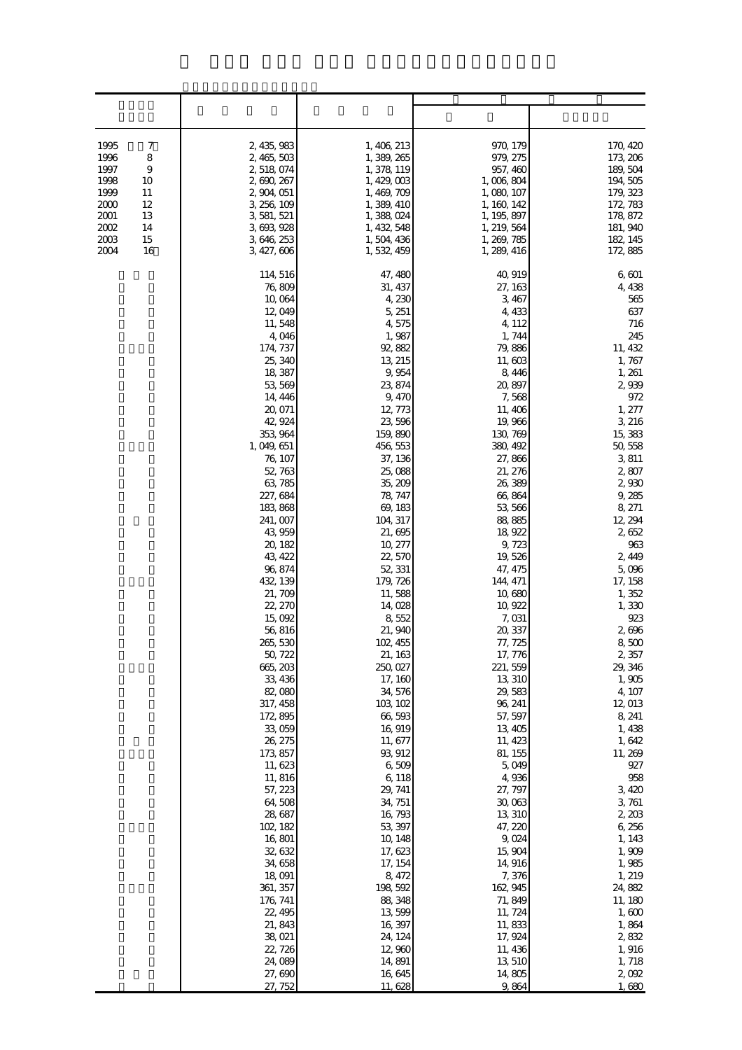| 7<br>1995<br>8<br>1996<br>9<br>1997<br>1998<br>10<br>1999<br>11<br>2000<br>12<br>2001<br>13<br>2002<br>14<br>2003<br>15<br>2004<br>16 | 2, 435, 983<br>2, 465, 503<br>2,518,074<br>2, 690, 267<br>2, 904, 051<br>3, 256, 109<br>3, 581, 521<br>3, 693, 928<br>3, 646, 253<br>3,427,606                                                                                                                                                                                                                                                                                                                                                                                                                                                                                                                      | 1, 406, 213<br>1, 389, 265<br>1, 378, 119<br>1, 429, 003<br>1, 469, 709<br>1, 389, 410<br>1,388,024<br>1, 432, 548<br>1, 504, 436<br>1, 532, 459                                                                                                                                                                                                                                                                                                                                                                                                                                                                                                | 970, 179<br>979, 275<br>957, 460<br>1,006,804<br>1, 080, 107<br>1, 160, 142<br>1, 195, 897<br>1, 219, 564<br>1, 269, 785<br>1, 289, 416                                                                                                                                                                                                                                                                                                                                                                                                                                                                                                    | 170, 420<br>173, 206<br>189, 504<br>194, 505<br>179, 323<br>172, 783<br>178, 872<br>181, 940<br>182, 145<br>172,885                                                                                                                                                                                                                                                                                                                                                                                                                                           |
|---------------------------------------------------------------------------------------------------------------------------------------|---------------------------------------------------------------------------------------------------------------------------------------------------------------------------------------------------------------------------------------------------------------------------------------------------------------------------------------------------------------------------------------------------------------------------------------------------------------------------------------------------------------------------------------------------------------------------------------------------------------------------------------------------------------------|-------------------------------------------------------------------------------------------------------------------------------------------------------------------------------------------------------------------------------------------------------------------------------------------------------------------------------------------------------------------------------------------------------------------------------------------------------------------------------------------------------------------------------------------------------------------------------------------------------------------------------------------------|--------------------------------------------------------------------------------------------------------------------------------------------------------------------------------------------------------------------------------------------------------------------------------------------------------------------------------------------------------------------------------------------------------------------------------------------------------------------------------------------------------------------------------------------------------------------------------------------------------------------------------------------|---------------------------------------------------------------------------------------------------------------------------------------------------------------------------------------------------------------------------------------------------------------------------------------------------------------------------------------------------------------------------------------------------------------------------------------------------------------------------------------------------------------------------------------------------------------|
|                                                                                                                                       | 114, 516<br>76,809<br>10,064<br>12,049<br>11,548<br>4,046<br>174, 737<br>25, 340<br>18,387<br>53, 569<br>14, 446<br>20, 071<br>42, 924<br>353, 964<br>1, 049, 651<br>76, 107<br>52, 763<br>63, 785<br>227, 684<br>183,868<br>241, 007<br>43, 959<br>20, 182<br>43, 422<br>96, 874<br>432, 139<br>21,709<br>22, 270<br>15,092<br>56, 816<br>265, 530<br>50, 722<br>665, 203<br>33, 436<br>82,080<br>317, 458<br>172, 895<br>33,059<br>26, 275<br>173, 857<br>11,623<br>11, 816<br>57, 223<br>64 508<br>28,687<br>102, 182<br>16,801<br>32, 632<br>34,658<br>18,091<br>361, 357<br>176, 741<br>22, 495<br>21, 843<br>38,021<br>22, 726<br>24,089<br>27,690<br>27, 752 | 47, 480<br>31, 437<br>4,230<br>5, 251<br>4,575<br>1,987<br>92,882<br>13, 215<br>9,954<br>23, 874<br>9, 470<br>12, 773<br>23,596<br>159, 890<br>456, 553<br>37, 136<br>25,088<br>35, 209<br>78, 747<br>69, 183<br>104, 317<br>21,695<br>10, 277<br>22,570<br>52, 331<br>179, 726<br>11,588<br>14,028<br>8,552<br>21, 940<br>102, 455<br>21, 163<br>250, 027<br>17, 160<br>34, 576<br>103, 102<br>66,593<br>16, 919<br>11, 677<br>93, 912<br>6,509<br>6, 118<br>29, 741<br>34, 751<br>16, 793<br>53, 397<br>10, 148<br>17,623<br>17, 154<br>8, 472<br>198, 592<br>88, 348<br>13,599<br>16, 397<br>24, 124<br>12,960<br>14,891<br>16,645<br>11,628 | 40, 919<br>27, 163<br>3, 467<br>4, 433<br>4, 112<br>1, 744<br>79,886<br>11,603<br>8,446<br>20, 897<br>7,568<br>11, 406<br>19,966<br>130, 769<br>380, 492<br>27,866<br>21, 276<br>26, 389<br>66,864<br>53, 566<br>88, 885<br>18, 922<br>9,723<br>19,526<br>47, 475<br>144, 471<br>10,680<br>10, 922<br>7,031<br>20, 337<br>77, 725<br>17, 776<br>221, 559<br>13, 310<br>29, 583<br>96, 241<br>57, 597<br>13, 405<br>11, 423<br>81, 155<br>5,049<br>4,936<br>27, 797<br>30,063<br>13, 310<br>47, 220<br>9,024<br>15, 904<br>14, 916<br>7,376<br>162, 945<br>71, 849<br>11, 724<br>11,833<br>17, 924<br>11, 436<br>13, 510<br>14,805<br>9,864 | 6,601<br>4, 438<br>565<br>637<br>716<br>245<br>11, 432<br>1,767<br>1, 261<br>2,939<br>972<br>1, 277<br>3, 216<br>15, 383<br>50,558<br>3,811<br>2,807<br>2,930<br>9,285<br>8, 271<br>12, 294<br>2,652<br>963<br>2,449<br>5,096<br>17, 158<br>1,352<br>1,330<br>923<br>2,696<br>8,500<br>2,357<br>29, 346<br>1,905<br>4, 107<br>12, 013<br>8, 241<br>1, 438<br>1,642<br>11, 269<br>927<br>958<br>3, 420<br>3,761<br>2, 203<br>6, 256<br>1, 143<br>1,909<br>1,985<br>1, 219<br>24,882<br>11, 180<br>1,600<br>1,864<br>2,832<br>1,916<br>1, 718<br>2,092<br>1,680 |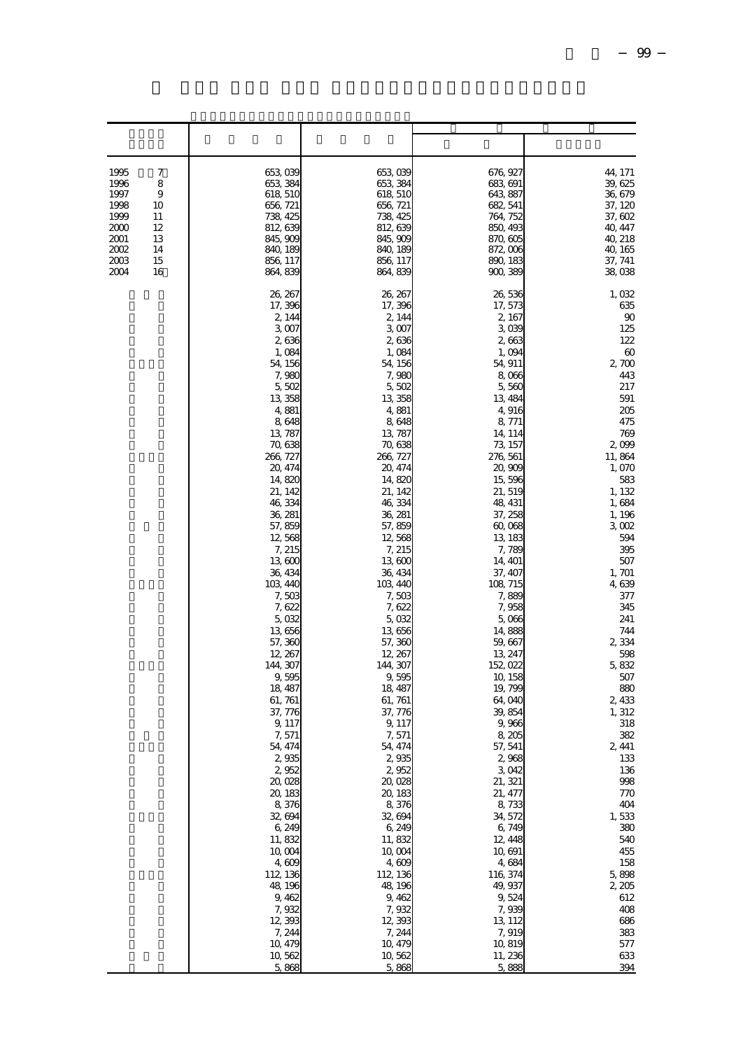| 1995<br>7<br>1996<br>8<br>1997<br>9<br>1998<br>10<br>1999<br>11<br>2000<br>12<br>2001<br>13<br>2002<br>14<br>2003<br>15<br>2004<br>16 | 653,039<br>653, 384<br>618, 510<br>656, 721<br>738, 425<br>812, 639<br>845, 909<br>840, 189<br>856, 117<br>864, 839                                                                                                                                                                                                                                                                                                                                                                                                                                                                                               | 653 039<br>653, 384<br>618, 510<br>656, 721<br>738, 425<br>812, 639<br>845, 909<br>840, 189<br>856, 117<br>864, 839                                                                                                                                                                                                                                                                                                                                                                                                                                                                                                   | 676, 927<br>683, 691<br>643, 887<br>682, 541<br>764, 752<br>850, 493<br>870, 605<br>872,006<br>890, 183<br>900, 389                                                                                                                                                                                                                                                                                                                                                                                                                                                                                                    | 44, 171<br>39, 625<br>36, 679<br>37, 120<br>37, 602<br>40, 447<br>40, 218<br>40, 165<br>37, 741<br>38,038                                                                                                                                                                                                                                                                                                                                                               |
|---------------------------------------------------------------------------------------------------------------------------------------|-------------------------------------------------------------------------------------------------------------------------------------------------------------------------------------------------------------------------------------------------------------------------------------------------------------------------------------------------------------------------------------------------------------------------------------------------------------------------------------------------------------------------------------------------------------------------------------------------------------------|-----------------------------------------------------------------------------------------------------------------------------------------------------------------------------------------------------------------------------------------------------------------------------------------------------------------------------------------------------------------------------------------------------------------------------------------------------------------------------------------------------------------------------------------------------------------------------------------------------------------------|------------------------------------------------------------------------------------------------------------------------------------------------------------------------------------------------------------------------------------------------------------------------------------------------------------------------------------------------------------------------------------------------------------------------------------------------------------------------------------------------------------------------------------------------------------------------------------------------------------------------|-------------------------------------------------------------------------------------------------------------------------------------------------------------------------------------------------------------------------------------------------------------------------------------------------------------------------------------------------------------------------------------------------------------------------------------------------------------------------|
|                                                                                                                                       | 26, 267<br>17, 396<br>2, 144<br>3.007<br>2,636<br>1,084<br>54, 156<br>7,980<br>5,502<br>13 358<br>4,881<br>8,648<br>13, 787<br>70,638<br>266 727<br>20, 474<br>14,820<br>21, 142<br>46, 334<br>36, 281<br>57,859<br>12,568<br>7, 215<br>13,600<br>36, 434<br>103, 440<br>7,503<br>7,622<br>5,032<br>13,656<br>57,360<br>12, 267<br>144, 307<br>9,595<br>18, 487<br>61, 761<br>37, 776<br>9, 117<br>7,571<br>54, 474<br>2,935<br>2,952<br>20,028<br>20, 183<br>8,376<br>32, 694<br>6, 249<br>11,832<br>10,004<br>4,609<br>112, 136<br>48, 196<br>9,462<br>7,932<br>12,393<br>7, 244<br>10, 479<br>10, 562<br>5,868 | 26, 267<br>17, 396<br>2, 144<br>3,007<br>2,636<br>1,084<br>54, 156<br>7,980<br>5,502<br>13,358<br>4,881<br>8,648<br>13, 787<br>70, 638<br>266, 727<br>20, 474<br>14,820<br>21, 142<br>46, 334<br>36, 281<br>57,859<br>12,568<br>7, 215<br>13,600<br>36, 434<br>103, 440<br>7,503<br>7,622<br>5,032<br>13,656<br>57,360<br>12, 267<br>144, 307<br>9,595<br>18, 487<br>61, 761<br>37, 776<br>9, 117<br>7,571<br>54, 474<br>2,935<br>2,952<br>20,028<br>20, 183<br>8,376<br>32, 694<br>6, 249<br>11, 832<br>10,004<br>4,609<br>112, 136<br>48, 196<br>9, 462<br>7,932<br>12, 393<br>7, 244<br>10, 479<br>10,562<br>5,868 | 26, 536<br>17,573<br>2, 167<br>3,039<br>2,663<br>1,094<br>54, 911<br>8,066<br>5,560<br>13, 484<br>4,916<br>8, 771<br>14, 114<br>73, 157<br>276, 561<br>20,900<br>15,596<br>21, 519<br>48, 431<br>37, 258<br>60,068<br>13, 183<br>7,789<br>14, 401<br>37, 407<br>108, 715<br>7,889<br>7,958<br>5,066<br>14,888<br>59,667<br>13, 247<br>152,022<br>10, 158<br>19, 799<br>64,040<br>39, 854<br>9,966<br>8,205<br>57, 541<br>2,968<br>3,042<br>21, 321<br>21, 477<br>8,733<br>34, 572<br>6,749<br>12, 448<br>10, 691<br>4,684<br>116, 374<br>49, 937<br>9,524<br>7,939<br>13, 112<br>7, 919<br>10, 819<br>11, 236<br>5,888 | 1,032<br>635<br>90<br>125<br>122<br>$60\,$<br>2,700<br>443<br>217<br>591<br>205<br>475<br>769<br>2,099<br>11,864<br>1,070<br>583<br>1, 132<br>1,684<br>1, 196<br>3,002<br>594<br>395<br>507<br>1,701<br>4, 639<br>377<br>345<br>241<br>744<br>2,334<br>598<br>5,832<br>507<br>880<br>2,433<br>1,312<br>318<br>382<br>2, 441<br>133<br>136<br>998<br>770<br>404<br>1,533<br>380<br>540<br>455<br>158<br>5,898<br>2, 205<br>612<br>408<br>686<br>383<br>577<br>633<br>394 |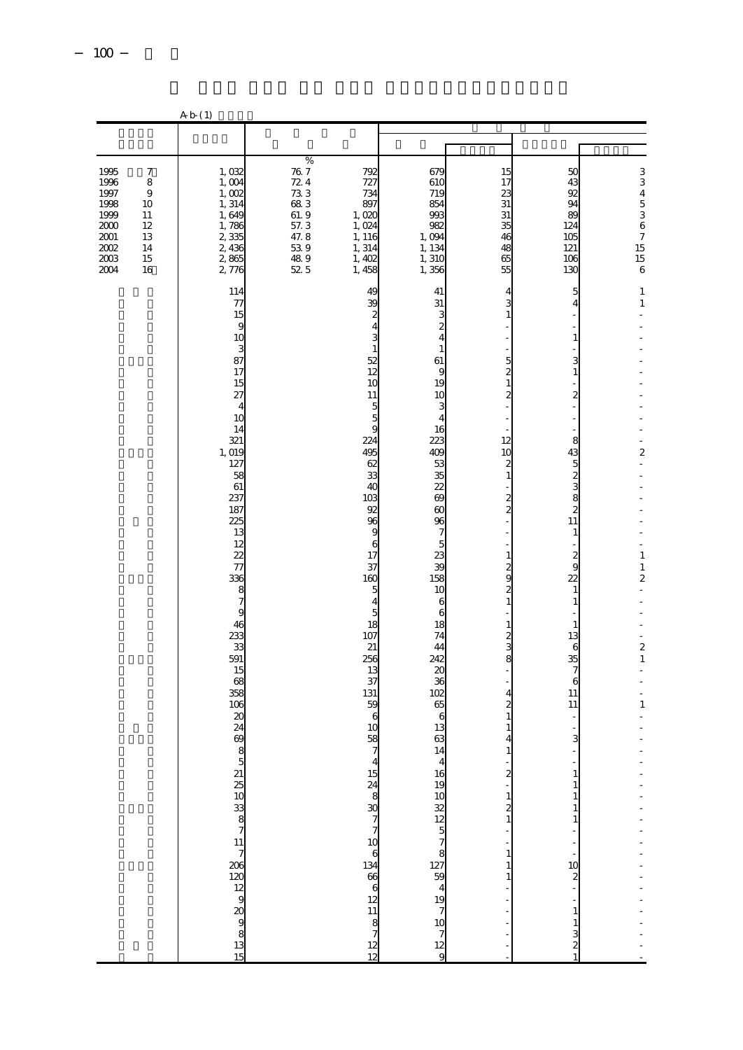|                                                                                      |                                                                                | A b (1)                                                                                                                                                                                                                                                                                                                                                                       |                                                                                                |                                                                                                                                                                                                                                                                                                                                                                                                                                                                                                                                            |                                                                                                                                                                                                                                                                                                                                                                                                                |                                                                                                                                                                                                                                                                                                                                                                                                                |                                                                                                                                                                                                                                                                                                                                                                    |                                                                                                                                                                                                                                                                  |
|--------------------------------------------------------------------------------------|--------------------------------------------------------------------------------|-------------------------------------------------------------------------------------------------------------------------------------------------------------------------------------------------------------------------------------------------------------------------------------------------------------------------------------------------------------------------------|------------------------------------------------------------------------------------------------|--------------------------------------------------------------------------------------------------------------------------------------------------------------------------------------------------------------------------------------------------------------------------------------------------------------------------------------------------------------------------------------------------------------------------------------------------------------------------------------------------------------------------------------------|----------------------------------------------------------------------------------------------------------------------------------------------------------------------------------------------------------------------------------------------------------------------------------------------------------------------------------------------------------------------------------------------------------------|----------------------------------------------------------------------------------------------------------------------------------------------------------------------------------------------------------------------------------------------------------------------------------------------------------------------------------------------------------------------------------------------------------------|--------------------------------------------------------------------------------------------------------------------------------------------------------------------------------------------------------------------------------------------------------------------------------------------------------------------------------------------------------------------|------------------------------------------------------------------------------------------------------------------------------------------------------------------------------------------------------------------------------------------------------------------|
|                                                                                      |                                                                                |                                                                                                                                                                                                                                                                                                                                                                               |                                                                                                |                                                                                                                                                                                                                                                                                                                                                                                                                                                                                                                                            |                                                                                                                                                                                                                                                                                                                                                                                                                |                                                                                                                                                                                                                                                                                                                                                                                                                |                                                                                                                                                                                                                                                                                                                                                                    |                                                                                                                                                                                                                                                                  |
| 1995<br>1996<br>1997<br>1998<br>1999<br>2000<br>$2001\,$<br>2002<br>$2003\,$<br>2004 | $\boldsymbol{7}$<br>$\,8\,$<br>$\,9$<br>10<br>11<br>12<br>13<br>14<br>15<br>16 | 1,032<br>1,004<br>$1,002$<br>$1,314$<br>1,649<br>$\frac{1}{2}$ , 786<br>2, 335<br>2,436<br>2,865<br>2,776                                                                                                                                                                                                                                                                     | $\frac{\%}{76.7}$<br>72.4<br>$733$<br>$683$<br>$61.9$<br>$57.3$<br>$47.8$<br>$\frac{539}{489}$ | 792<br>727<br>734<br>897<br>1,020<br>1,024<br>1, 116<br>1, 314<br>1,402<br>1,458                                                                                                                                                                                                                                                                                                                                                                                                                                                           | 679<br>610<br>719<br>854<br>993<br>982<br>1,094<br>1, 134<br>1,310<br>1,356                                                                                                                                                                                                                                                                                                                                    | 15<br>17<br>23<br>31<br>31<br>35<br>46<br>48<br>65<br>55                                                                                                                                                                                                                                                                                                                                                       | 50<br>43<br>92<br>94<br>89<br>124<br>105<br>121<br>106<br>130                                                                                                                                                                                                                                                                                                      | 334536715<br>6                                                                                                                                                                                                                                                   |
|                                                                                      |                                                                                | 114<br>$77\,$<br>15<br>9<br>10<br>3<br>87<br>17<br>15<br>27<br>$\overline{4}$<br>10<br>14<br>321<br>1,019<br>127<br>58<br>61<br>237<br>187<br>225<br>13<br>12<br>22<br>77<br>336<br>8<br>$\overline{7}$<br>9<br>46<br>233<br>33<br>591<br>15<br>68<br>358<br>106<br>20<br>24<br>69<br>8<br>5<br>$21.25$ 10 33 8 7 11 7<br>206<br>120<br>12 9<br>20<br>9<br>8<br>3<br>13<br>15 |                                                                                                | 49<br>39<br>2<br>4<br>3<br>$\mathbf{1}$<br>52<br>12<br>10<br>11<br>5<br>5<br>g<br>224<br>495<br>62<br>33<br>4C<br>10 <sup>2</sup><br>92<br>96<br>9<br>6<br>17<br>37<br>160<br>5<br>4<br>5<br>18<br>107<br>21<br>256<br>13<br>37<br>131<br>59<br>6<br>1 <sup>C</sup><br>58<br>$\overline{7}$<br>$\overline{\mathcal{L}}$<br>15<br>$\begin{array}{c}\n 24 \\  8 \\  \hline\n 7 \\  7\n \end{array}$<br>10<br>$\overline{6}$<br>$134$ 66<br>$\begin{array}{c}\n 12 \\  11 \\  8\n \end{array}$<br>$\overline{\phantom{a}}$<br>$\frac{12}{12}$ | 41<br>31<br>3<br>$\overline{\mathbf{c}}$<br>$\overline{4}$<br>$\,1\,$<br>61<br>9<br>19<br>10<br>3<br>$\overline{4}$<br>16<br>223<br>409<br>53<br>35<br>$\overline{22}$<br>69<br>60<br>96<br>$\frac{7}{5}$<br>23<br>39<br>158<br>10<br>6<br>6<br>18<br>74<br>44<br>242<br>$20\,$<br>36<br>102<br>65<br>6<br>13<br>63<br>14<br>4<br>16<br>19<br>$\begin{array}{c}\n10 \\ 12 \\ 13 \\ 14 \\ 15\n\end{array}$<br>9 | 4<br>3<br>$\mathbf{1}$<br>$\frac{5}{2}$<br>$\,1\,$<br>$\overline{c}$<br>12<br>10<br>$\frac{2}{1}$<br>$\frac{2}{2}$<br>$\mathbf 1$<br>$\frac{2}{2}$<br>$\mathbf{1}$<br>$\,1\,$<br>$\overline{\mathcal{Z}}$<br>$\frac{3}{8}$<br>$\overline{4}$<br>$\overline{\mathcal{Z}}$<br>$\,1\,$<br>$\mathbf{1}$<br>4<br>$1\,$<br>$\overline{\mathcal{Z}}$<br>$\,1\,$<br>$\frac{2}{1}$<br>$\mathbf{1}$<br>1<br>$\mathbf{1}$ | 5<br>$\overline{4}$<br>$\,1\,$<br>$\frac{3}{1}$<br>$\boldsymbol{z}$<br>11<br>$\,1\,$<br>$\frac{2}{9}$<br>22<br>$\mathbf{1}$<br>$\,1\,$<br>$\mathbf{1}$<br>13<br>6<br>35<br>$\begin{array}{c} 7 \\ 6 \end{array}$<br>11<br>11<br>3<br>÷.<br>$\mathbf{1}$<br>$\mathbf{1}$<br>$\mathbf 1$<br>1<br>$\,1$<br>$\frac{10}{2}$<br>$\,1\,$<br>$\frac{1}{2}$<br>$\mathbf{1}$ | 1<br>$\,1\,$<br>÷,<br>$\frac{1}{2}$<br>÷,<br>L,<br>$\ddot{\phantom{1}}$<br>$\mathbf{1}$<br>$\,1\,$<br>$\overline{\mathbf{c}}$<br>$\frac{1}{2}$<br>$\begin{array}{c} 2 \\ 2 \\ 1 \end{array}$<br>÷<br>÷,<br>$\mathbf{1}% _{T}=\mathbf{1}_{T}\times\mathbf{1}_{T}$ |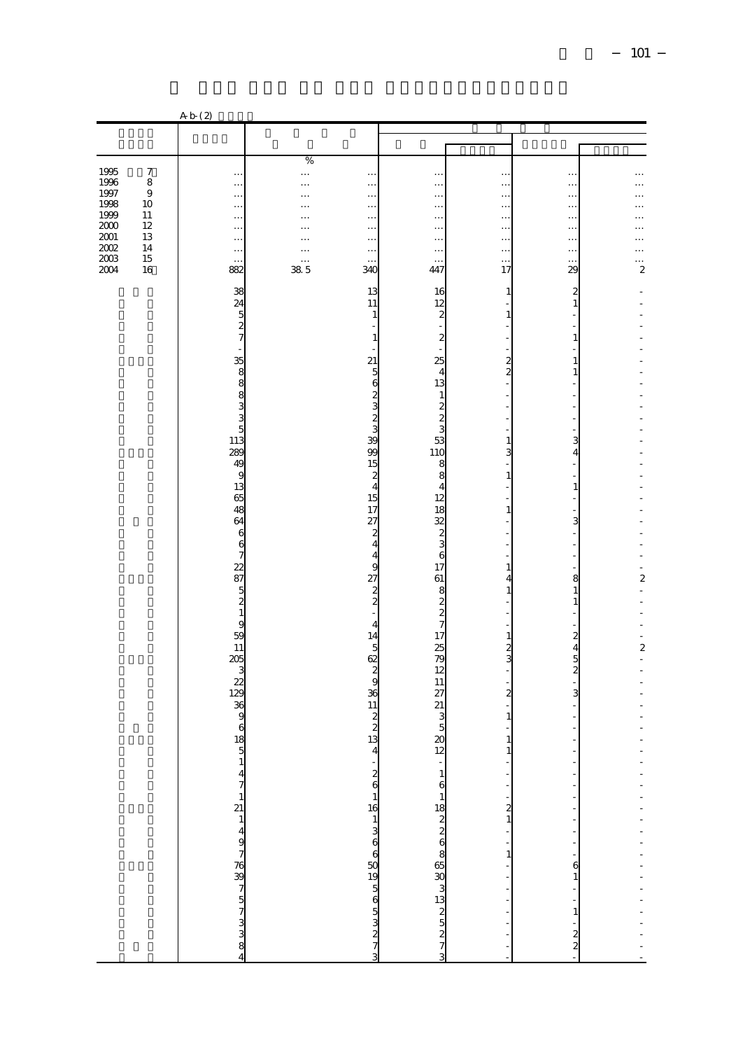|                      |                            | A b(2)                                 |              |                          |                                                                                     |                       |                                              |                               |
|----------------------|----------------------------|----------------------------------------|--------------|--------------------------|-------------------------------------------------------------------------------------|-----------------------|----------------------------------------------|-------------------------------|
|                      |                            |                                        |              |                          |                                                                                     |                       |                                              |                               |
|                      |                            |                                        |              |                          |                                                                                     |                       |                                              |                               |
|                      |                            |                                        | %            |                          |                                                                                     |                       |                                              |                               |
| 1995<br>1996<br>1997 | $\boldsymbol{7}$<br>$\bf8$ | $\ldots$                               |              | $\ldots$                 | $\ddotsc$                                                                           | $\ddotsc$             | $\ddotsc$                                    |                               |
|                      | $\boldsymbol{9}$           | $\ldots$<br>$\ddotsc$                  | $\cdots$<br> | $\ldots$<br>$\ldots$     | $\ddotsc$<br>.,                                                                     | $\ddotsc$<br>$\ldots$ | $\ddotsc$<br>$\cdot \cdot$                   | $\ddotsc$<br>$\ddotsc$        |
| 1998                 | 10                         | $\ddotsc$                              |              | $\ldots$                 | $\ddots$                                                                            | $\ddotsc$             | $\ddotsc$                                    | $\ddotsc$                     |
| 1999                 | 11                         | $\ddotsc$                              |              | $\ldots$                 | Ω,                                                                                  | $\ddot{\phantom{a}}$  | $\ddotsc$                                    | $\ddot{\phantom{a}}$          |
| $2000\,$<br>$2001\,$ | 12<br>13                   | $\cdots$                               |              | $\ldots$                 | $\ddotsc$                                                                           | $\ddot{\phantom{0}}$  | $\ddotsc$                                    | .                             |
| $2002\,$             | 14                         | $\ddotsc$<br>$\ddotsc$                 | .<br>.       | $\ldots$<br>$\ldots$     | $\ddotsc$<br>$\ddotsc$                                                              | $\ddotsc$<br>$\ldots$ | $\cdot$ .<br>$\ddot{\phantom{0}}$            | $\cdots$<br>$\cdots$          |
| $2003$               | $15\,$                     | $\ddotsc$                              |              | $\ddots$                 | $\ddot{\phantom{a}}$                                                                | $\ldots$              | $\cdot$                                      | .                             |
| 2004                 | 16                         | 882                                    | 385          | 340                      | 447                                                                                 | 17                    | 29                                           | $\overline{2}$                |
|                      |                            | 38                                     |              | 13                       | 16                                                                                  | $\mathbf{1}$          | $\overline{\mathbf{c}}$                      |                               |
|                      |                            | 24                                     |              | 11                       | 12                                                                                  |                       | $\mathbf{1}$                                 |                               |
|                      |                            | $\frac{5}{7}$                          |              | $\mathbf{1}$             | $\boldsymbol{z}$                                                                    | $1\vert$              |                                              |                               |
|                      |                            |                                        |              | $\mathbf{1}$             | $\boldsymbol{z}$                                                                    |                       | $\,1\,$                                      |                               |
|                      |                            |                                        |              |                          |                                                                                     |                       |                                              |                               |
|                      |                            |                                        |              | 21                       | 25                                                                                  | $\frac{2}{2}$         | $\mathbf{1}$                                 |                               |
|                      |                            |                                        |              | 5                        | $\overline{4}$                                                                      |                       | $\,1\,$                                      |                               |
|                      |                            |                                        |              | 6                        | 13                                                                                  |                       |                                              |                               |
|                      |                            |                                        |              | $\overline{\mathcal{Z}}$ | $\mathbf{1}$                                                                        |                       |                                              |                               |
|                      |                            |                                        |              |                          | 220                                                                                 |                       |                                              |                               |
|                      |                            | 113<br>113 യ യ യ യ യ <del>81</del>     |              | 9 33 ω <sub>22</sub> ω   |                                                                                     |                       |                                              |                               |
|                      |                            | 289                                    |              |                          | 53                                                                                  | 1                     | 3<br>4                                       |                               |
|                      |                            | 49                                     |              | 15                       | 110<br>8                                                                            | 3                     |                                              | ÷,                            |
|                      |                            | $\mathbf{g}$                           |              | $\boldsymbol{z}$         | 8                                                                                   | $\mathbf{1}$          | ÷                                            |                               |
|                      |                            | 13                                     |              | $\overline{4}$           | $\overline{4}$                                                                      |                       | $\mathbf{1}$                                 |                               |
|                      |                            | 65                                     |              | 15                       | 12                                                                                  |                       |                                              |                               |
|                      |                            | 48<br>64                               |              | 17<br>27                 | 18<br>32                                                                            | $\mathbf{1}$          | 3                                            |                               |
|                      |                            | 6                                      |              | $\overline{\mathcal{L}}$ |                                                                                     |                       |                                              |                               |
|                      |                            | $\boldsymbol{6}$                       |              | $\overline{4}$           | $\frac{2}{3}$                                                                       |                       |                                              |                               |
|                      |                            | $\overline{7}$                         |              | $\overline{4}$           | $\mathbf{6}$                                                                        |                       |                                              |                               |
|                      |                            | 22<br>87                               |              | $\frac{9}{27}$           | 17<br>61                                                                            | $\mathbf{1}$<br>4     | 8                                            | ÷,<br>$\overline{\mathbf{c}}$ |
|                      |                            |                                        |              | $\frac{2}{2}$            |                                                                                     | $\mathbf{1}$          | $\mathbf{1}$                                 | L,                            |
|                      |                            | $\frac{5}{2}$                          |              |                          |                                                                                     |                       | $\mathbf{1}$                                 |                               |
|                      |                            | $\mathbf{1}$                           |              |                          | $\begin{array}{c}\n 8 \\  2 \\  7\n \end{array}$                                    |                       |                                              |                               |
|                      |                            | $\overline{9}$                         |              | 4<br>14                  | 17                                                                                  | $\mathbf{1}$          |                                              | ÷                             |
|                      |                            | $\frac{59}{11}$                        |              | 5                        | 25                                                                                  | $\overline{c}$        | $\begin{array}{c}\n2 \\ 2 \\ 3\n\end{array}$ | $\overline{\mathcal{L}}$      |
|                      |                            |                                        |              | 62                       | 79                                                                                  | 3                     |                                              | $\overline{a}$                |
|                      |                            | $205$<br>$129$                         |              | $\frac{2}{9}$            | 12                                                                                  |                       |                                              |                               |
|                      |                            |                                        |              | 36                       | 11<br>27                                                                            | 2                     | ÷<br>3                                       |                               |
|                      |                            |                                        |              | 11                       | 21                                                                                  |                       |                                              |                               |
|                      |                            | $\begin{array}{c} 36 \\ 9 \end{array}$ |              | $\overline{\mathcal{Z}}$ | 3                                                                                   | 1                     |                                              |                               |
|                      |                            | $\epsilon$                             |              | $\overline{c}$           | $\overline{5}$                                                                      |                       |                                              |                               |
|                      |                            | $\frac{18}{5}$                         |              | 13<br>$\overline{4}$     | $\frac{20}{12}$                                                                     | 1<br>$\mathbf{1}$     |                                              |                               |
|                      |                            | $\mathbf{1}$                           |              |                          |                                                                                     |                       |                                              |                               |
|                      |                            | $\frac{4}{7}$                          |              | $\frac{2}{6}$            | $\mathbf{1}$                                                                        |                       |                                              |                               |
|                      |                            |                                        |              |                          | $\mathbf{6}$                                                                        |                       |                                              | $\overline{a}$                |
|                      |                            |                                        |              | $\mathbf{1}$<br>16       | $\,1\,$                                                                             |                       |                                              |                               |
|                      |                            |                                        |              |                          |                                                                                     | $\frac{2}{1}$         |                                              |                               |
|                      |                            |                                        |              | <u>ა თ თ ნ 8</u> თ თ ა — |                                                                                     |                       |                                              | - - - - - - - - - - - - - -   |
|                      |                            |                                        |              |                          |                                                                                     |                       | ÷                                            |                               |
|                      |                            |                                        |              |                          |                                                                                     | $\mathbf{1}$          |                                              |                               |
|                      |                            |                                        |              |                          |                                                                                     |                       | $\begin{array}{c} 6 \\ 1 \end{array}$        |                               |
|                      |                            |                                        |              |                          |                                                                                     |                       |                                              |                               |
|                      |                            |                                        |              |                          |                                                                                     |                       |                                              |                               |
|                      |                            |                                        |              |                          |                                                                                     |                       | $\mathbf{1}$                                 |                               |
|                      |                            |                                        |              | $\overline{\mathcal{L}}$ | 7<br>7<br>7<br>2<br>5<br>2<br>2<br>2<br>2<br>2<br>2<br>2<br>2<br><br>2<br><br><br>7 |                       |                                              |                               |
|                      |                            |                                        |              |                          |                                                                                     |                       | $\frac{2}{2}$                                |                               |
|                      |                            |                                        |              |                          |                                                                                     |                       |                                              |                               |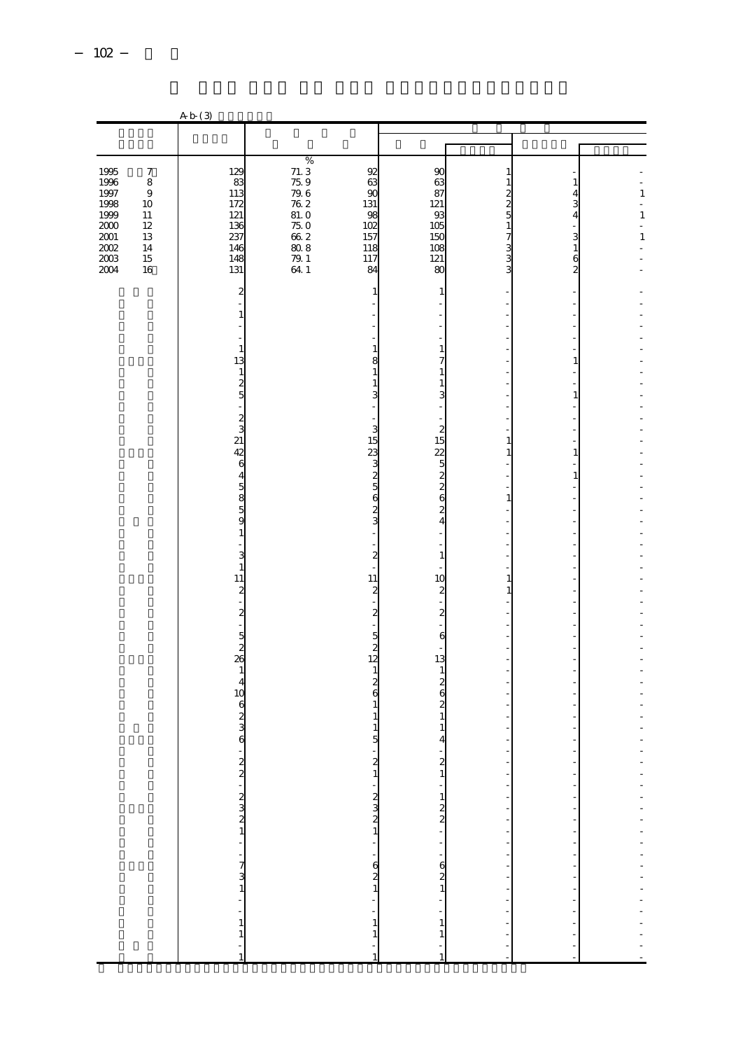|                                                              |                                                                                    | Ab(3)                                                      |                                                                                                                 |                                                               |                                                         |                                                                             |                                               |                                              |
|--------------------------------------------------------------|------------------------------------------------------------------------------------|------------------------------------------------------------|-----------------------------------------------------------------------------------------------------------------|---------------------------------------------------------------|---------------------------------------------------------|-----------------------------------------------------------------------------|-----------------------------------------------|----------------------------------------------|
|                                                              |                                                                                    |                                                            |                                                                                                                 |                                                               |                                                         |                                                                             |                                               |                                              |
|                                                              |                                                                                    |                                                            |                                                                                                                 |                                                               |                                                         |                                                                             |                                               |                                              |
| 1995<br>1996<br>1997<br>1998<br>1999<br>2000<br>2001<br>2002 | $\boldsymbol{7}$<br>$\,$ 8 $\,$<br>$\,9$<br>10<br>11<br>$12\,$<br>$13\,$<br>$14\,$ | 129<br>83<br>113<br>172<br>121<br>$\frac{136}{237}$<br>146 | $71.75$ 79 6 2 0 2 8 3 1 1 4 1 5 2 8 9 9 8 9 8 9 8 1 1 4 1 5 8 9 8 9 8 9 1 1 4 1 5 9 8 9 8 9 1 1 $\frac{64}{1}$ | 92<br>63<br>$\overline{90}$<br>131<br>98<br>102<br>157<br>118 | 90<br>$\frac{63}{87}$<br>121<br>93<br>105<br>150<br>108 | 1<br>$\,1$<br>$\begin{array}{c}\n2 \\ 2 \\ 5\n\end{array}$<br>$\frac{7}{3}$ | $\mathbf 1$<br>$\frac{4}{3}$<br>$\frac{1}{3}$ | $\mathbf{1}$<br>$\mathbf{1}$<br>$\mathbf{1}$ |
| $\frac{2003}{2004}$                                          | $15\,$<br>16                                                                       | 148<br>131<br>$\overline{\mathbf{c}}$                      |                                                                                                                 | 117<br>84<br>1                                                | $121\,$<br>80<br>$\mathbf{1}$                           | 3<br>3                                                                      | $\frac{6}{2}$<br>-                            |                                              |
|                                                              |                                                                                    | $\mathbf{1}$                                               |                                                                                                                 |                                                               |                                                         |                                                                             |                                               |                                              |
|                                                              |                                                                                    | $\mathbf{1}$<br>13<br>$\mathbf{1}$<br>$\frac{2}{5}$        |                                                                                                                 | 1<br>8<br>1<br>3                                              | $\mathbf{1}$<br>7<br>$\mathbf{1}$<br>$\mathbf{1}$<br>3  |                                                                             | 1<br>$\mathbf{1}$                             |                                              |
|                                                              |                                                                                    | $2^{3}$<br>$21^{2}$<br>42                                  |                                                                                                                 | 3<br>15                                                       | $\begin{array}{c} 2 \\ 15 \end{array}$                  | 1                                                                           |                                               |                                              |
|                                                              |                                                                                    | 6<br>4<br>5                                                |                                                                                                                 | 23<br>3<br>$\boldsymbol{z}$<br>5                              | <b>Nowwo</b> n                                          | 1                                                                           | 1<br>$\,1\,$                                  |                                              |
|                                                              |                                                                                    | 8<br>5<br>9<br>1                                           |                                                                                                                 | 6<br>$\overline{\mathbf{c}}$<br>3                             | $\overline{4}$                                          | $\,1\,$                                                                     |                                               |                                              |
|                                                              |                                                                                    | 3<br>$\mathbf{1}$<br>11<br>$\boldsymbol{z}$                |                                                                                                                 | $\overline{c}$<br>11<br>$\mathbf{z}$                          | $\mathbf{1}$<br>10<br>$\boldsymbol{z}$                  | 1<br>1                                                                      |                                               |                                              |
|                                                              |                                                                                    | $\overline{c}$                                             |                                                                                                                 | 2<br>5                                                        | $\overline{\mathbf{c}}$<br>$\boldsymbol{6}$             |                                                                             |                                               |                                              |
|                                                              |                                                                                    | $\frac{5}{26}$<br>$\mathbf{1}$<br>$\overline{4}$           |                                                                                                                 | $\overline{c}$<br>12<br>$\mathbf{1}$<br>$\overline{c}$        | 13<br>$\mathbf{1}$<br>$\frac{2}{6}$                     |                                                                             |                                               |                                              |
|                                                              |                                                                                    | 10<br>6<br>$\overline{c}$<br>6                             |                                                                                                                 | 6<br>5                                                        | $\overline{c}$<br>$\mathbf{1}$<br>$\mathbf{1}$          |                                                                             |                                               |                                              |
|                                                              |                                                                                    | $\frac{2}{2}$                                              |                                                                                                                 | $\frac{2}{1}$                                                 | $\begin{matrix} 2 \\ 1 \end{matrix}$                    | $\ddot{\phantom{0}}$                                                        |                                               |                                              |
|                                                              |                                                                                    | $\begin{array}{c}\n2 \\ 3 \\ 2 \\ 1\n\end{array}$          |                                                                                                                 | $2 \text{ }\alpha \text{ }\alpha$                             | $\frac{1}{2}$                                           | -<br>$\bar{\phantom{a}}$                                                    | -<br>$\blacksquare$                           |                                              |
|                                                              |                                                                                    | $-73$<br>$1 - 7$                                           |                                                                                                                 | l,<br>$\begin{array}{c} 6 \\ 2 \\ 1 \end{array}$              | $rac{1}{6}$                                             | ÷<br>-                                                                      | $\blacksquare$<br>-                           | 医中央性骨折 医单位 医单位医单位 医单位                        |
|                                                              |                                                                                    | $\,$ 1 $\,$<br>$\,1\,$                                     |                                                                                                                 | $\overline{a}$<br>$1\,$<br>$\,1$                              | ÷.<br>$\begin{array}{c} 1 \\ 1 \end{array}$             | $\overline{\phantom{a}}$<br>÷,<br>J.<br>÷                                   |                                               |                                              |
|                                                              |                                                                                    | 1                                                          |                                                                                                                 |                                                               |                                                         | ÷                                                                           |                                               |                                              |

 $\mathcal{L}(\mathcal{L}(\mathcal{L}(\mathcal{L}(\mathcal{L}(\mathcal{L}(\mathcal{L}(\mathcal{L}(\mathcal{L}(\mathcal{L}(\mathcal{L}(\mathcal{L}(\mathcal{L}(\mathcal{L}(\mathcal{L}(\mathcal{L}(\mathcal{L}(\mathcal{L}(\mathcal{L}(\mathcal{L}(\mathcal{L}(\mathcal{L}(\mathcal{L}(\mathcal{L}(\mathcal{L}(\mathcal{L}(\mathcal{L}(\mathcal{L}(\mathcal{L}(\mathcal{L}(\mathcal{L}(\mathcal{L}(\mathcal{L}(\mathcal{L}(\mathcal{L}(\mathcal{L}(\mathcal{$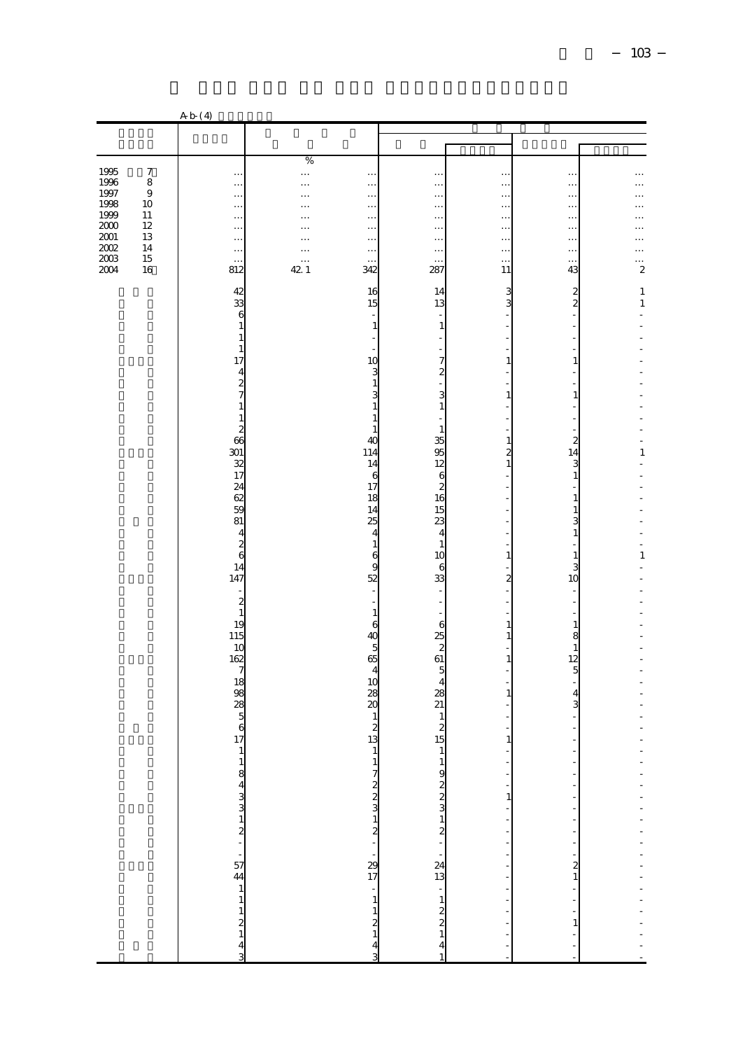|                  |                | Ab(4)                                                |               |                                                 |                                                      |               |                                |                         |
|------------------|----------------|------------------------------------------------------|---------------|-------------------------------------------------|------------------------------------------------------|---------------|--------------------------------|-------------------------|
|                  |                |                                                      |               |                                                 |                                                      |               |                                |                         |
|                  |                |                                                      |               |                                                 |                                                      |               |                                |                         |
| 1995             | 7              |                                                      | %             |                                                 |                                                      |               |                                |                         |
| 1996             | $\,$ 8 $\,$    | $\cdots$<br>$\ldots$                                 | <br>.         | $\ddotsc$<br>$\ddotsc$                          | $\ddotsc$<br>$\ddotsc$                               | <br>$\ldots$  | $\ldots$<br>$\ldots$           | $\cdot$ .<br>.          |
| 1997             | $\overline{9}$ | $\cdots$                                             | .             | $\ddotsc$                                       | $\cdots$                                             |               | $\ldots$                       | $\cdots$                |
| 1998<br>1999     | 10<br>11       | $\cdots$<br>$\cdots$                                 | $\cdots$<br>. | $\ldots$<br>$\ddotsc$                           | $\ldots$<br>$\cdots$                                 | <br>$\cdots$  | $\ddotsc$<br>$\ddotsc$         | $\ddotsc$<br>$\ddotsc$  |
| $2000\,$         | 12             | $\cdots$                                             | $\cdots$      | $\ldots$                                        | $\ddot{\phantom{0}}$                                 |               | $\ddotsc$                      | .                       |
| 2001<br>$2002\,$ | 13<br>14       | $\ldots$<br>$\cdots$                                 | .<br>$\cdots$ | $\ldots$<br>$\ldots$                            | $\ddotsc$<br>.,                                      | $\cdots$<br>  | $\ddotsc$<br>$\ldots$          | $\cdots$<br>$\cdots$    |
| $2003\,$         | $15\,$         | $\ddotsc$                                            | $\cdots$      | $\ldots$                                        | $\ddotsc$                                            | $\cdots$      | $\ddots$                       | .                       |
| 2004             | 16             | 812                                                  | 42 1          | 342                                             | 287                                                  | 11            | 43                             | $\overline{\mathbf{c}}$ |
|                  |                | 42                                                   |               | 16                                              | 14                                                   | 3             | $\frac{2}{2}$                  | 1                       |
|                  |                | 33<br>6                                              |               | 15                                              | 13                                                   | 3             |                                | $\,1\,$                 |
|                  |                | $\mathbf{1}$                                         |               | $1\,$                                           | $\mathbf{1}$                                         |               |                                |                         |
|                  |                | $\mathbf{1}$                                         |               |                                                 |                                                      |               |                                |                         |
|                  |                | $\mathbf{1}$<br>17                                   |               | 10                                              | 7                                                    | 1             | $\mathbf{1}$                   |                         |
|                  |                | $\overline{4}$                                       |               | 3                                               | $\overline{c}$                                       |               |                                |                         |
|                  |                | $\frac{2}{7}$                                        |               | $\mathbf{1}$<br>3                               | 3                                                    | $\mathbf{1}$  | $1\vert$                       |                         |
|                  |                | $\,1\,$                                              |               | $\mathbf{1}$                                    | $\mathbf{1}$                                         |               |                                |                         |
|                  |                | $\mathbf 1$                                          |               | $\mathbf{1}$<br>$\mathbf{1}$                    | $\mathbf{1}$                                         |               |                                |                         |
|                  |                | $\begin{array}{c}\n2 \\ 66\n\end{array}$             |               | 40                                              | 35                                                   | 1             | $\overline{a}$                 | ł,                      |
|                  |                | 301                                                  |               | 114                                             | 95                                                   | 2             | 14                             | $\mathbf{1}$            |
|                  |                | $rac{32}{17}$                                        |               | 14<br>6                                         | 12<br>6                                              | $\mathbf{1}$  | 3<br>$\mathbf{1}$              |                         |
|                  |                | 24                                                   |               | 17                                              | $\begin{array}{c} 2 \\ 16 \end{array}$               |               |                                |                         |
|                  |                | 62<br>59                                             |               | 18<br>14                                        | 15                                                   |               | $\mathbf{1}$<br>$\mathbf{1}$   |                         |
|                  |                | 81                                                   |               | 25                                              | 23                                                   |               | 3                              |                         |
|                  |                | $\overline{4}$                                       |               | $\overline{4}$                                  | 4                                                    |               | $\mathbf{1}$                   |                         |
|                  |                | $\begin{array}{c} 2 \\ 6 \end{array}$                |               | $\mathbf{1}$<br>6                               | $\mathbf{1}$<br>10                                   | $\mathbf{1}$  | $\mathbf{1}$                   | $\,1\,$                 |
|                  |                | 14                                                   |               | 9                                               | 6                                                    |               | 3                              |                         |
|                  |                | 147                                                  |               | 52                                              | 33                                                   | 2             | 10                             |                         |
|                  |                | $\boldsymbol{z}$                                     |               | L,                                              | L,                                                   |               |                                |                         |
|                  |                | $\mathbf{1}$<br>19                                   |               | $\mathbf 1$<br>6                                | 6                                                    | 1             | $\mathbf{1}$                   |                         |
|                  |                | 115                                                  |               | 40                                              | 25                                                   | $\mathbf{1}$  | 8                              |                         |
|                  |                | 10                                                   |               | $\overline{5}$                                  | $\overline{c}$                                       |               | $\,1\,$                        |                         |
|                  |                | 162<br>$\overline{7}$                                |               | 65<br>$\overline{4}$                            | 61<br>5                                              | 1             | 12<br>$\overline{5}$           |                         |
|                  |                | 18                                                   |               | 10                                              | $\overline{4}$                                       |               |                                |                         |
|                  |                | 98                                                   |               | 28<br>$\infty$                                  | 28<br>21                                             | $\mathbf{1}$  | 4<br>3                         |                         |
|                  |                |                                                      |               | $\mathbf{1}$                                    | $\mathbf{1}$                                         |               |                                |                         |
|                  |                | 28<br>5<br>6<br>17                                   |               | $\boldsymbol{z}$<br>13                          | $\boldsymbol{2}$<br>15                               | 1             |                                |                         |
|                  |                | $\,1\,$                                              |               | $1\,$                                           | $\mathbf{1}$                                         |               |                                |                         |
|                  |                |                                                      |               |                                                 | $\mathbf{1}$                                         |               |                                |                         |
|                  |                |                                                      |               |                                                 | 9                                                    |               |                                |                         |
|                  |                |                                                      |               |                                                 |                                                      | $\,1\,$       |                                |                         |
|                  |                |                                                      |               |                                                 |                                                      | -             | $\overline{\phantom{a}}$<br>l, |                         |
|                  |                |                                                      |               |                                                 |                                                      | ŀ             |                                |                         |
|                  |                | - ∞ ⊿ ∞ ∞ ∞ ⊿ ∞ ⊥ ⊡ ⊞<br>44 ∞ ∞ ∞ ∞ → ∞ ⊡            |               | $\frac{1}{7}$ $\frac{7}{2}$ $\frac{29}{17}$     | $22 \times 10$ $2 \times 10$ $2 \times 10$           | ÷,            |                                |                         |
|                  |                |                                                      |               |                                                 |                                                      | f<br>Î,       | L,                             |                         |
|                  |                |                                                      |               |                                                 |                                                      | Î,            | $\frac{2}{1}$                  |                         |
|                  |                |                                                      |               |                                                 |                                                      | $\frac{1}{2}$ |                                |                         |
|                  |                |                                                      |               |                                                 |                                                      |               |                                |                         |
|                  |                | $\begin{array}{c} 1 \\ 1 \\ 2 \\ 1 \\ 4 \end{array}$ |               | $\frac{1}{1}$<br>$\frac{1}{2}$<br>$\frac{1}{4}$ | $\begin{array}{c} 1 \\ 1 \\ 2 \\ 2 \\ 1 \end{array}$ |               | $\mathbf{1}$                   |                         |
|                  |                |                                                      |               |                                                 | $\overline{4}$                                       |               |                                |                         |
|                  |                | 2                                                    |               | 3                                               |                                                      |               |                                |                         |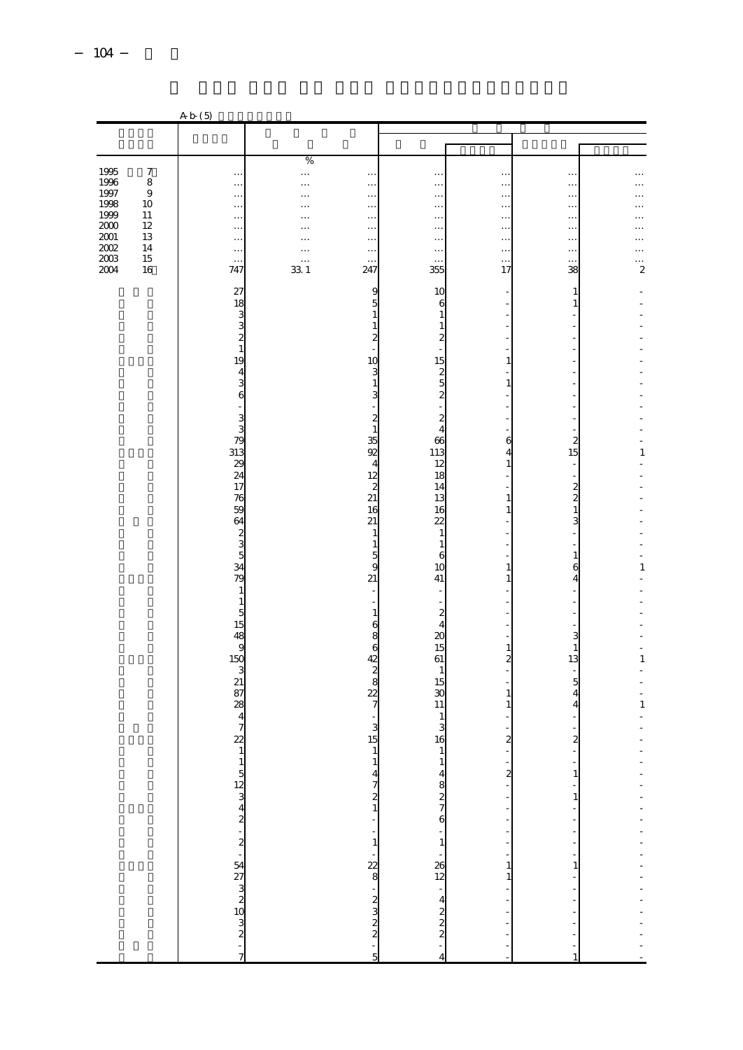|                                                                                                 |                                                                                | A b (5)                                                                                                                                                                                                                                                                                                                                                                                                                                        |                                                                                             |                                                                                                                                                                                                                                                                                                                                                                                                                                                                        |                                                                                                                                                                                                                                                                                                                                                                                                                                                                                           |                                                                                                                                                                                                                                                                                                     |                                                                                                                                                                                                                                                                                                         |                                                                                                                 |
|-------------------------------------------------------------------------------------------------|--------------------------------------------------------------------------------|------------------------------------------------------------------------------------------------------------------------------------------------------------------------------------------------------------------------------------------------------------------------------------------------------------------------------------------------------------------------------------------------------------------------------------------------|---------------------------------------------------------------------------------------------|------------------------------------------------------------------------------------------------------------------------------------------------------------------------------------------------------------------------------------------------------------------------------------------------------------------------------------------------------------------------------------------------------------------------------------------------------------------------|-------------------------------------------------------------------------------------------------------------------------------------------------------------------------------------------------------------------------------------------------------------------------------------------------------------------------------------------------------------------------------------------------------------------------------------------------------------------------------------------|-----------------------------------------------------------------------------------------------------------------------------------------------------------------------------------------------------------------------------------------------------------------------------------------------------|---------------------------------------------------------------------------------------------------------------------------------------------------------------------------------------------------------------------------------------------------------------------------------------------------------|-----------------------------------------------------------------------------------------------------------------|
|                                                                                                 |                                                                                |                                                                                                                                                                                                                                                                                                                                                                                                                                                |                                                                                             |                                                                                                                                                                                                                                                                                                                                                                                                                                                                        |                                                                                                                                                                                                                                                                                                                                                                                                                                                                                           |                                                                                                                                                                                                                                                                                                     |                                                                                                                                                                                                                                                                                                         |                                                                                                                 |
| 1995<br>1996<br>1997<br>1998<br>1999<br>$2000\,$<br>$2001\,$<br>$2002\,$<br>$\frac{2003}{2004}$ | $\boldsymbol{7}$<br>$\,$ 8 $\,$<br>9<br>10<br>11<br>12<br>13<br>14<br>15<br>16 | $\ddotsc$<br>$\ldots$<br>$\ldots$<br>$\ldots$<br>$\ldots$<br>$\ldots$<br>$\ldots$<br>$\ldots$<br>$\ddotsc$<br>747                                                                                                                                                                                                                                                                                                                              | $\%$<br>$\cdots$<br><br>$\cdots$<br>$\cdots$<br>.<br>.<br>$\cdots$<br>$\cdots$<br>.<br>33 1 | $\ddot{\phantom{0}}$<br>$\cdots$<br>$\cdots$<br>$\cdots$<br>$\cdots$<br>$\cdots$<br>$\cdots$<br>$\cdots$<br>$\ldots$<br>247                                                                                                                                                                                                                                                                                                                                            | $\ddot{\phantom{0}}$<br>$\ddotsc$<br>$\ddots$<br>$\ddotsc$<br>$\ldots$<br>$\ddotsc$<br>$\ddotsc$<br>$\ddotsc$<br>$\ddotsc$<br>355                                                                                                                                                                                                                                                                                                                                                         | $\ldots$<br>$\ldots$<br>$\ldots$<br>$\ddotsc$<br>$\ldots$<br>$\ddotsc$<br>$\ldots$<br>$\ddotsc$<br>$\ddot{\phantom{0}}$<br>17                                                                                                                                                                       | $\cdot$ .<br>$\ldots$<br>$\ddotsc$<br>$\ldots$<br>$\ddotsc$<br>.<br>$\ddotsc$<br>.<br>$\ddot{\phantom{0}}$<br>38                                                                                                                                                                                        | $\ddot{\phantom{0}}$<br>.<br>$\ddotsc$<br>.<br>$\cdot$ .<br>.<br>$\ddotsc$<br>.<br>.<br>$\overline{\mathbf{c}}$ |
|                                                                                                 |                                                                                | 27<br>18<br>3<br>3<br>$\boldsymbol{z}$<br>$\mathbf{1}$<br>19<br>$\overline{4}$<br>3<br>6<br>3<br>3<br>79<br>313<br>29<br>24<br>17<br>76<br>59<br>64<br>$\frac{2}{3}$<br>5<br>34<br>79<br>$\mathbf{1}$<br>$\mathbf{1}$<br>5<br>15<br>48<br>9<br>150<br>3<br>21<br>87<br>28<br>$\overline{4}$<br>$\overline{7}$<br>$\overline{22}$<br>1<br>- 1 10 12 12 14 14 14 14 15 16 16 17 18 19 18 19 18 19 18 19 18 19 18 19 18 19 18 19 18 19 18 19 18 1 |                                                                                             | 9<br>5<br>1<br>1<br>$\boldsymbol{z}$<br>10<br>3<br>1<br>3<br>$\overline{\mathbf{c}}$<br>$\mathbf{1}$<br>35<br>92<br>$\overline{4}$<br>12<br>$\mathbf{2}$<br>21<br>16<br>21<br>1<br>1<br>5<br>g<br>21<br>1<br>6<br>8<br>6<br>42<br>$_{\rm 2}^2$<br>$\overline{2}$<br>$\overline{7}$<br>3<br>15<br>$\mathbf{1}$<br>$\overline{\mathbf{4}}$<br>$\begin{array}{c} 7 \\ 2 \\ 1 \end{array}$<br>f<br>$\mathbf{1}$<br>f<br>$\frac{22}{8}$<br>$\frac{1}{2}$ $\frac{1}{2}$<br>5 | 10<br>6<br>$\mathbf{1}$<br>$\mathbf{1}$<br>$\boldsymbol{z}$<br>15<br>$\frac{2}{2}$<br>$\boldsymbol{z}$<br>$\overline{4}$<br>66<br>113<br>12<br>18<br>14<br>13<br>16<br>22<br>$\mathbf{1}$<br>$\mathbf{1}$<br>6<br>10<br>41<br>$\boldsymbol{z}$<br>$\overline{4}$<br>20<br>15<br>61<br>$\mathbf{1}$<br>15<br>30<br>11<br>$\mathbf{1}$<br>3<br>16<br>148276<br>l,<br>$\mathbf{1}$<br>f<br>$\frac{26}{12}$<br>$\begin{array}{c}\n -\phantom{0}4 \\  2 \\  2\n \end{array}$<br>$\overline{4}$ | $\mathbf{1}$<br>$\mathbf{1}$<br>6<br>4<br>$\mathbf{1}$<br>$\mathbf{1}$<br>$\,1\,$<br>$\mathbf{1}$<br>$\mathbf{1}$<br>$\mathbf{1}$<br>2<br>$\mathbf{1}$<br>1<br>$\overline{\mathbf{c}}$<br>$\overline{\mathbf{c}}$<br>÷,<br>ł<br>$\overline{\phantom{a}}$<br>$\mathbf{1}$<br>$\mathbf{1}$<br>÷,<br>ļ | 1<br>$\,1\,$<br>٠<br>$\begin{array}{c} 2 \\ 15 \end{array}$<br>$\ddot{\phantom{0}}$<br>$\begin{array}{c}\n 2 \\  2 \\  3\n \end{array}$<br>$\,1\,$<br>6<br>4<br>3<br>$\,1\,$<br>13<br>$\frac{5}{4}$<br>$\overline{4}$<br>$\overline{a}$<br>$\mathbf{1}$<br>$\mathbf{1}$<br>۰<br>1<br>L,<br>$\mathbf{1}$ | Ĭ.<br>$\mathbf{1}$<br>$\,1\,$<br>Ĭ.<br>÷,<br>$\mathbf{1}$<br>$\,1\,$<br>-------------------                     |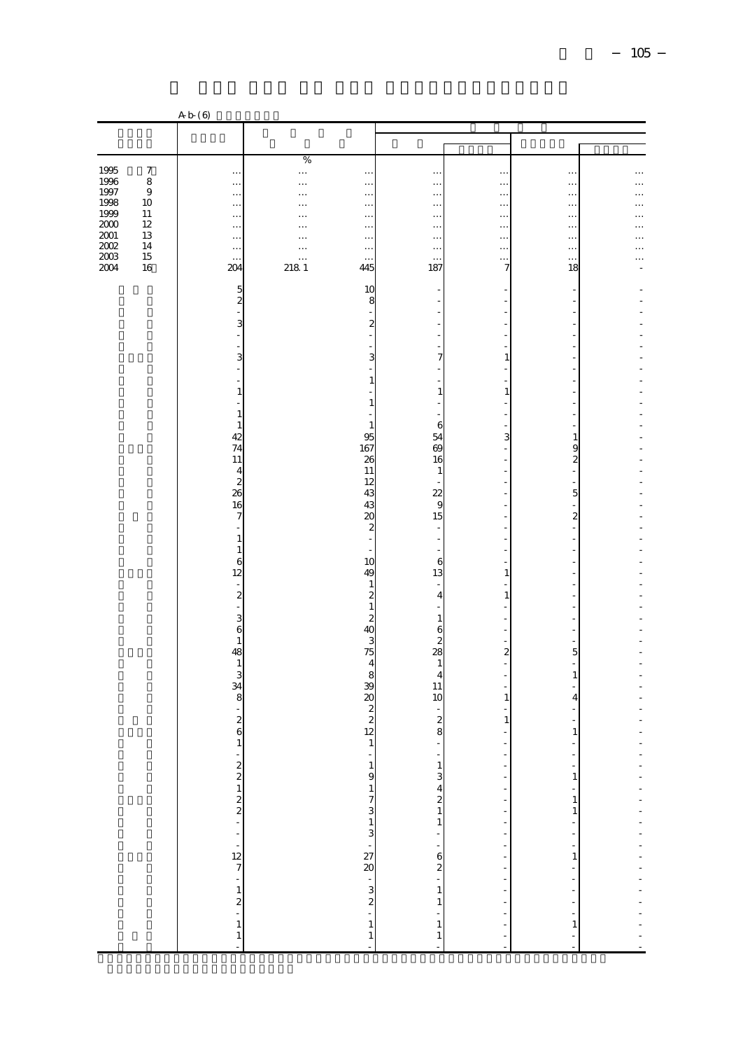|              |              | A b (6)                                                        |                      |                                                                         |                                  |                                     |                          |                      |
|--------------|--------------|----------------------------------------------------------------|----------------------|-------------------------------------------------------------------------|----------------------------------|-------------------------------------|--------------------------|----------------------|
|              |              |                                                                |                      |                                                                         |                                  |                                     |                          |                      |
|              |              |                                                                |                      |                                                                         |                                  |                                     |                          |                      |
|              |              |                                                                | $\%$                 |                                                                         |                                  |                                     |                          |                      |
| 1995         | 7            | $\ldots$                                                       | $\cdots$             | $\ldots$                                                                | $\ldots$                         | $\ddotsc$                           | $\ldots$                 |                      |
| 1996         | $\,$ 8 $\,$  | $\ldots$                                                       | $\cdots$             | $\ldots$                                                                | $\ddotsc$                        | $\ddotsc$                           | $\ddot{\phantom{0}}$     |                      |
| 1997         | $\,9$        | $\cdots$                                                       | $\cdots$             | $\cdots$                                                                | $\ldots$                         | $\ddots$                            | $\ldots$                 |                      |
| 1998<br>1999 | 10<br>$11\,$ | $\ldots$                                                       | $\cdots$             | $\ddotsc$                                                               | $\ddotsc$                        | $\cdots$<br>$\ddotsc$               | $\ldots$                 |                      |
| $2000\,$     | $12\,$       | $\ddotsc$<br>$\ddot{\phantom{0}}$                              | $\cdots$<br>$\cdots$ | $\cdots$<br>$\ddotsc$                                                   | $\ddotsc$<br>                    | $\cdots$                            | $\ldots$<br>$\ldots$     | $\ddot{\phantom{0}}$ |
| 2001         | 13           | $\ddotsc$                                                      | $\cdots$             | $\ldots$                                                                | $\ddots$                         | $\ldots$                            | $\ldots$                 | .                    |
| 2002         | 14           | $\ddotsc$                                                      | $\cdots$             | $\ddotsc$                                                               | $\ddots$                         | $\frac{1}{2}$                       | $\ldots$                 |                      |
| $2003\,$     | 15           | $\ddotsc$                                                      | $\ldots$             | $\ddotsc$                                                               | $\ddotsc$                        |                                     | $\ddotsc$                | .                    |
| 2004         | 16           | 204                                                            | 2181                 | 445                                                                     | 187                              |                                     | 18                       |                      |
|              |              |                                                                |                      | 10                                                                      | ۳                                |                                     |                          |                      |
|              |              | $\frac{5}{2}$                                                  |                      | 8                                                                       |                                  |                                     |                          |                      |
|              |              |                                                                |                      | l,                                                                      |                                  |                                     |                          |                      |
|              |              | 3                                                              |                      | $\overline{\mathbf{c}}$                                                 |                                  |                                     |                          |                      |
|              |              | $\frac{1}{1}$                                                  |                      |                                                                         |                                  |                                     |                          |                      |
|              |              |                                                                |                      |                                                                         | $\overline{a}$                   |                                     |                          |                      |
|              |              | 3<br>J.                                                        |                      | 3                                                                       | 7                                | 1                                   |                          |                      |
|              |              | $\overline{a}$                                                 |                      | $\mathbf{1}$                                                            | -                                |                                     |                          |                      |
|              |              | $\mathbf{1}$                                                   |                      |                                                                         | $\mathbf{1}$                     | $\mathbf{1}$                        |                          |                      |
|              |              | ä,                                                             |                      | $\,1\,$                                                                 | f                                |                                     |                          |                      |
|              |              | $\,1\,$                                                        |                      |                                                                         |                                  |                                     |                          |                      |
|              |              | $\,1\,$                                                        |                      | $\mathbf{1}$                                                            | 6                                |                                     |                          |                      |
|              |              | 42<br>74                                                       |                      | 95                                                                      | 54<br>69                         | 3                                   | 1                        |                      |
|              |              | 11                                                             |                      | 167<br>26                                                               | 16                               |                                     | $\frac{9}{2}$            | L,                   |
|              |              | $\overline{4}$                                                 |                      | 11                                                                      | $\,1\,$                          |                                     | $\overline{\phantom{m}}$ |                      |
|              |              | $\overline{\mathbf{c}}$                                        |                      | 12                                                                      |                                  |                                     |                          |                      |
|              |              | 26                                                             |                      | 43                                                                      | 22                               |                                     | $\overline{5}$           |                      |
|              |              | 16                                                             |                      | 43                                                                      | 9                                |                                     |                          |                      |
|              |              | $\boldsymbol{7}$                                               |                      | 20                                                                      | 15                               |                                     | $\boldsymbol{z}$         |                      |
|              |              | $\ddot{\phantom{1}}$                                           |                      | $\overline{\mathcal{Z}}$                                                | $\overline{\phantom{a}}$         |                                     |                          |                      |
|              |              | $\,1\,$<br>$\mathbf{1}$                                        |                      | ÷,                                                                      | $\frac{1}{2}$                    |                                     |                          |                      |
|              |              | $\epsilon$                                                     |                      | 10                                                                      | 6                                |                                     |                          |                      |
|              |              | 12                                                             |                      | 49                                                                      | 13                               | 1                                   |                          |                      |
|              |              |                                                                |                      | $\,1\,$                                                                 | ÷,                               |                                     |                          |                      |
|              |              |                                                                |                      | $\boldsymbol{z}$                                                        | $\overline{4}$                   | $\mathbf{1}$                        |                          |                      |
|              |              |                                                                |                      | $\,$ 1 $\,$                                                             | ÷                                |                                     |                          |                      |
|              |              | $\begin{array}{c} 2 \\ 2 \\ 3 \\ 6 \end{array}$                |                      | $\begin{array}{c}\n2 \\ 40 \\ 3\n\end{array}$                           | $\,1\,$<br>$\mathbf{6}$          |                                     | ÷,                       |                      |
|              |              | $\,1\,$                                                        |                      |                                                                         | $\overline{\mathcal{L}}$         |                                     |                          |                      |
|              |              | 48                                                             |                      | 75                                                                      | 28                               | $\overline{\mathbf{c}}$             | 5                        |                      |
|              |              | $\,1\,$                                                        |                      | $\overline{4}$                                                          | $\,1\,$                          |                                     |                          |                      |
|              |              | 3                                                              |                      | 8                                                                       | $\overline{4}$                   |                                     | $\,1\,$                  |                      |
|              |              | $\overline{34}$                                                |                      | 39                                                                      | 11                               |                                     |                          |                      |
|              |              | 8                                                              |                      | $\infty$                                                                | 10<br>$\blacksquare$             | $1\,$                               | $\overline{4}$<br>÷,     |                      |
|              |              | $\frac{1}{2}$                                                  |                      | $\begin{array}{c}\n2 \\ 2 \\ 12\n\end{array}$                           |                                  | $\mathbf{1}$                        |                          |                      |
|              |              |                                                                |                      |                                                                         | $\frac{2}{8}$                    |                                     | 1                        |                      |
|              |              | $\,1$                                                          |                      | $\,1\,$                                                                 | ÷                                |                                     |                          |                      |
|              |              |                                                                |                      |                                                                         |                                  |                                     |                          |                      |
|              |              |                                                                |                      |                                                                         |                                  |                                     |                          |                      |
|              |              |                                                                |                      |                                                                         |                                  |                                     | $\mathbf 1$              |                      |
|              |              |                                                                |                      |                                                                         |                                  |                                     | ÷<br>$\mathbf{1}$        |                      |
|              |              |                                                                |                      |                                                                         |                                  |                                     | $\mathbf{1}$             |                      |
|              |              |                                                                |                      | $\frac{1}{9}$<br>$\frac{1}{7}$<br>$\frac{3}{3}$<br>$\frac{1}{27}$<br>30 |                                  |                                     | ÷,                       |                      |
|              |              |                                                                |                      |                                                                         |                                  |                                     | $\ddot{\phantom{0}}$     |                      |
|              |              |                                                                |                      |                                                                         |                                  |                                     |                          |                      |
|              |              |                                                                |                      |                                                                         |                                  |                                     | $\mathbf{1}$             |                      |
|              |              |                                                                |                      |                                                                         |                                  |                                     | ÷                        |                      |
|              |              |                                                                |                      |                                                                         |                                  |                                     | $\frac{1}{2}$            |                      |
|              |              |                                                                |                      |                                                                         |                                  |                                     |                          |                      |
|              |              |                                                                |                      |                                                                         |                                  |                                     |                          |                      |
|              |              | $2 \times 10 = 10$<br>$2 \times 10 = 10$<br>$2 \times 10 = 10$ |                      | $3 \times 2 \times 1$<br>1 1 1                                          | $134211 - 111111$<br>$-11111111$ | - - - - - - - - - - - - - - - - - - | $\mathbf{1}$             |                      |
|              |              |                                                                |                      |                                                                         |                                  |                                     | L,                       |                      |
|              |              |                                                                |                      |                                                                         |                                  |                                     |                          |                      |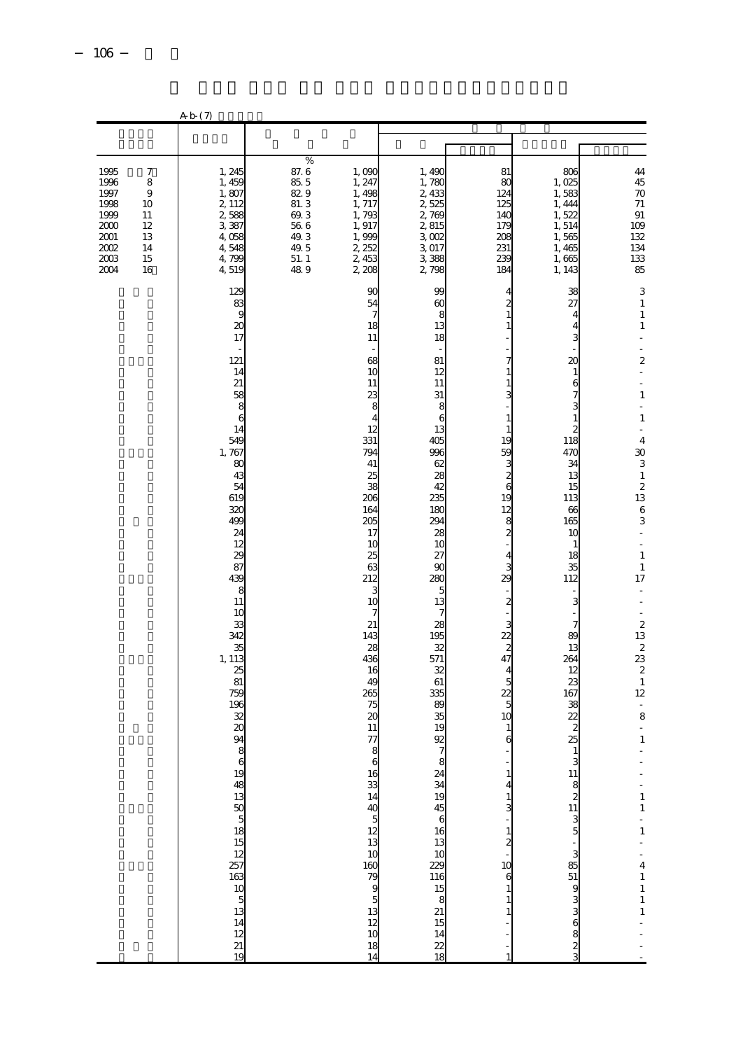|                                                                                    |                                                                      | A b (7)                                                                                                                                                                                                                                                                                                                                                                                                                                                            |                                                                                                             |                                                                                                                                                                                                                                                                                                                                                                                                                          |                                                                                                                                                                                                                                                                                                                                                                                                                |                                                                                                                                                                                                                                                                                                                                                                                                                                                           |                                                                                                                                                                                                                                                                                                                                                                                                                                         |                                                                                                                                                                                                                                                                                                                                                                                                                                                                                                                      |
|------------------------------------------------------------------------------------|----------------------------------------------------------------------|--------------------------------------------------------------------------------------------------------------------------------------------------------------------------------------------------------------------------------------------------------------------------------------------------------------------------------------------------------------------------------------------------------------------------------------------------------------------|-------------------------------------------------------------------------------------------------------------|--------------------------------------------------------------------------------------------------------------------------------------------------------------------------------------------------------------------------------------------------------------------------------------------------------------------------------------------------------------------------------------------------------------------------|----------------------------------------------------------------------------------------------------------------------------------------------------------------------------------------------------------------------------------------------------------------------------------------------------------------------------------------------------------------------------------------------------------------|-----------------------------------------------------------------------------------------------------------------------------------------------------------------------------------------------------------------------------------------------------------------------------------------------------------------------------------------------------------------------------------------------------------------------------------------------------------|-----------------------------------------------------------------------------------------------------------------------------------------------------------------------------------------------------------------------------------------------------------------------------------------------------------------------------------------------------------------------------------------------------------------------------------------|----------------------------------------------------------------------------------------------------------------------------------------------------------------------------------------------------------------------------------------------------------------------------------------------------------------------------------------------------------------------------------------------------------------------------------------------------------------------------------------------------------------------|
|                                                                                    |                                                                      |                                                                                                                                                                                                                                                                                                                                                                                                                                                                    |                                                                                                             |                                                                                                                                                                                                                                                                                                                                                                                                                          |                                                                                                                                                                                                                                                                                                                                                                                                                |                                                                                                                                                                                                                                                                                                                                                                                                                                                           |                                                                                                                                                                                                                                                                                                                                                                                                                                         |                                                                                                                                                                                                                                                                                                                                                                                                                                                                                                                      |
| 1995<br>1996<br>1997<br>1998<br>1999<br>2000<br>$2001$<br>2002<br>$2003\,$<br>2004 | $\boldsymbol{7}$<br>8<br>9<br>10<br>11<br>12<br>13<br>14<br>15<br>16 | 1, 245<br>1,459<br>1,807<br>2, 112<br>2,588<br>3,387<br>4,058<br>4,548<br>4,799<br>4,519                                                                                                                                                                                                                                                                                                                                                                           | %<br>$\frac{87.6}{85.5}$<br>829<br>$\frac{81.3}{69.3}$<br>$56\ 6$<br>$49.3\,$<br>49.5<br>$51. \; 1$<br>48.9 | 1,090<br>1, 247<br>1,498<br>1, 717<br>1,793<br>1, 917<br>1,999<br>2, 252<br>2, 453<br>2,208                                                                                                                                                                                                                                                                                                                              | 1,490<br>1,780<br>2,433<br>2,525<br>2,769<br>2,815<br>3002<br>3,017<br>3,388<br>2,798                                                                                                                                                                                                                                                                                                                          | 81<br>80<br>124<br>125<br>140<br>179<br>208<br>231<br>239<br>184                                                                                                                                                                                                                                                                                                                                                                                          | 806<br>1,025<br>1,583<br>1, 444<br>1,522<br>$1,514$<br>$1,565$<br>$1,465$<br>1,665<br>1, 143                                                                                                                                                                                                                                                                                                                                            | 44<br>45<br>$\frac{70}{71}$<br>$\frac{91}{109}$<br>$\begin{array}{c} 132 \\ 134 \end{array}$<br>133<br>85                                                                                                                                                                                                                                                                                                                                                                                                            |
|                                                                                    |                                                                      | 129<br>83<br>9<br>20<br>17<br>121<br>14<br>21<br>58<br>8<br>6<br>14<br>549<br>1, 767<br>80<br>43<br>54<br>619<br>320<br>499<br>24<br>12<br>2S<br>87<br>439<br>8<br>11<br>10<br>33<br>342<br>35<br>1, 113<br>25<br>81<br>759<br>196<br>32<br>20<br>94<br>8<br>6<br>19<br>$\begin{array}{c}\n 48 \\  \hline\n 13 \\  \hline\n 5\n \end{array}$<br>$\frac{15}{18}$<br>$\frac{12}{163}$<br>$\begin{array}{c} 10 \\ 5 \\ 13 \end{array}$<br>14<br>$\frac{12}{21}$<br>19 |                                                                                                             | ዎ<br>54<br>7<br>18<br>11<br>68<br>10<br>11<br>23<br>8<br>12<br>331<br>794<br>41<br>25<br>$\mathcal{E}$<br>206<br>164<br>205<br>17<br>1C<br>25<br>63<br>212<br>3<br>10<br>7<br>21<br>143<br>28<br>436<br>16<br>49<br>265<br>75<br>$\alpha$<br>11<br>77<br>8<br>$\begin{array}{c} 6 \\ 16 \end{array}$<br>33<br>14<br>$\frac{40}{5}$<br>12<br>13<br>10<br>$\frac{160}{79}$ $\frac{9}{13}$ $\frac{5}{12}$<br>10<br>18<br>14 | 99<br>60<br>8<br>13<br>18<br>81<br>12<br>11<br>31<br>8<br>6<br>13<br>405<br>996<br>62<br>28<br>42<br>235<br>18C<br>294<br>28<br>10<br>27<br>90<br>280<br>5<br>13<br>7<br>28<br>195<br>32<br>571<br>32<br>61<br>335<br>89<br>35<br>19<br>92<br>$\overline{7}$<br>8<br>24<br>34<br>19<br>$\frac{45}{6}$<br>13<br>$\frac{10}{229}$<br>$\begin{array}{c} 15 \\ 8 \\ 21 \\ 15 \end{array}$<br>14<br>$\frac{22}{18}$ | 4<br>$\boldsymbol{z}$<br>$\mathbf{1}$<br>$\mathbf{1}$<br>7<br>$\mathbf 1$<br>1<br>3<br>1<br>1<br>19<br>59<br>$\mathbf{3}$<br>$\frac{2}{6}$<br>19<br>12<br>$\frac{8}{2}$<br>4<br>3<br>29<br>$\overline{c}$<br>3<br>22<br>$\overline{\mathbf{c}}$<br>47<br>4<br>$\overline{5}$<br>22<br>5<br>10<br>1<br>6<br>$\mathbf{1}$<br>$\overline{4}$<br>$\mathbf{1}$<br>3<br>$\frac{1}{2}$<br>$\begin{array}{c} 10 \\ 6 \\ 1 \end{array}$<br>$\,1\,$<br>$\mathbf{1}$ | 38<br>27<br>4<br>$\overline{4}$<br>3<br>20<br>$\mathbf{1}$<br>$\begin{array}{c} 6 \\ 7 \\ 3 \end{array}$<br>$\mathbf{1}$<br>$\overline{\mathcal{Z}}$<br>118<br>470<br>34<br>13<br>15<br>113<br>66<br>165<br>1 <sup>C</sup><br>$\mathbf{1}$<br>18<br>35<br>112<br>3<br>$\overline{7}$<br>89<br>13<br>264<br>12<br>23<br>167<br>38<br>$\frac{2}{2}$<br>$1\,$<br>$\frac{3}{11}$<br>$\frac{11}{3}$<br>$\frac{3}{5}$<br>ധ ര ത ധ ധ ഗ ല 88 ധ - | 3<br>$\,1\,$<br>$\,1\,$<br>$1\,$<br>÷,<br>$\overline{\mathbf{c}}$<br>÷,<br>$\frac{1}{2}$<br>$\,1\,$<br>$\frac{1}{2}$<br>$\mathbf{1}$<br>4<br>$\frac{30}{3}$<br>$\,1\,$<br>$\overline{\mathcal{L}}$<br>13<br>$\boldsymbol{6}$<br>3<br>÷<br>$\overline{a}$<br>$\mathbf{1}$<br>$\mathbf{1}$<br>17<br>÷<br>$\overline{a}$<br>$\begin{array}{c} 2 \\ 13 \\ 2 \end{array}$<br>23<br>$\overline{2}$<br>1<br>12<br>$\frac{1}{8}$<br>$\mathbf{1}$<br>$\blacksquare$<br>$\frac{1}{2}$<br>$1 - 1 - 41$<br>$11$<br>$\frac{1}{2}$ |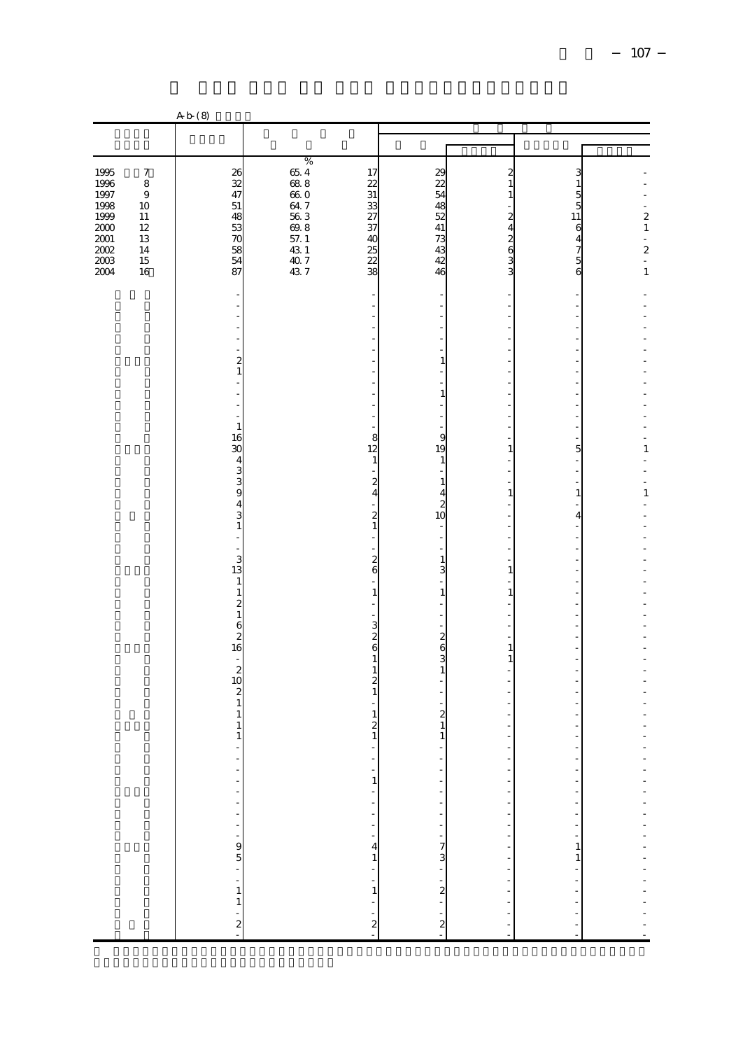|                  |                                 | Ab(8)                                                                    |                                             |                                     |                                    |                                  |                               |                                       |
|------------------|---------------------------------|--------------------------------------------------------------------------|---------------------------------------------|-------------------------------------|------------------------------------|----------------------------------|-------------------------------|---------------------------------------|
|                  |                                 |                                                                          |                                             |                                     |                                    |                                  |                               |                                       |
|                  |                                 |                                                                          | $\%$                                        |                                     |                                    |                                  |                               |                                       |
| 1995<br>1996     | $\boldsymbol{7}$<br>$\,$ 8 $\,$ | 26                                                                       | $65\,$ $4$<br>$68.8\,$                      | 17<br>22                            | 29<br>$\overline{22}$              | $\boldsymbol{z}$<br>$\mathbf{1}$ | 3<br>$\mathbf{1}$             |                                       |
| 1997             | $\,9$                           | $\frac{32}{47}$                                                          | 66. O                                       | 31                                  | 54                                 | $\mathbf{1}$                     | $\frac{5}{5}$                 |                                       |
| 1998<br>1999     | 10<br>11                        | $51\,$<br>48                                                             | $647$<br>$563$<br>$69.8$                    | 33<br>$\overline{27}$               | 48<br>52                           | $\overline{\mathcal{Z}}$         | 11                            | $\overline{\mathcal{L}}$              |
| 2000             | 12<br>13                        | $\frac{53}{70}$                                                          |                                             | 37<br>40                            | 41                                 |                                  |                               | $\,1\,$                               |
| $2001\,$<br>2002 | 14                              |                                                                          |                                             | 25                                  | 73<br>43                           |                                  |                               | ÷<br>$\overline{c}$                   |
| $2003\,$<br>2004 | 15<br>16                        | 54<br>87                                                                 | $\frac{57.1}{43.1}$<br>43.1<br>40.7<br>43.7 | $\overline{22}$<br>38               | 42<br>46                           | 480000                           | 64756                         | $\overline{a}$<br>$\mathbf{1}$        |
|                  |                                 |                                                                          |                                             |                                     |                                    |                                  |                               |                                       |
|                  |                                 | -                                                                        |                                             | -                                   |                                    |                                  | -                             |                                       |
|                  |                                 |                                                                          |                                             |                                     | J.                                 |                                  | ä,                            |                                       |
|                  |                                 |                                                                          |                                             |                                     |                                    |                                  |                               |                                       |
|                  |                                 |                                                                          |                                             |                                     | $\mathbf{1}$                       |                                  |                               |                                       |
|                  |                                 | $\frac{2}{1}$                                                            |                                             |                                     |                                    |                                  |                               |                                       |
|                  |                                 | $\qquad \qquad \blacksquare$                                             |                                             |                                     | $\mathbf{1}$                       |                                  | -                             |                                       |
|                  |                                 | ÷,<br>$\overline{\phantom{a}}$                                           |                                             | L,                                  |                                    |                                  |                               |                                       |
|                  |                                 | $\,1\,$                                                                  |                                             |                                     |                                    |                                  |                               |                                       |
|                  |                                 | 16                                                                       |                                             | 8<br>12                             | 9<br>19                            | 1                                | $\overline{\phantom{0}}$<br>5 | $\overline{a}$<br>1                   |
|                  |                                 |                                                                          |                                             | $\mathbf{1}$                        | 1                                  |                                  | $\overline{a}$                |                                       |
|                  |                                 | 30<br>4<br>3<br>3<br>4<br>3<br>4<br>3<br>4<br>3<br>4<br>3<br>4<br>3<br>1 |                                             | -<br>$\overline{\mathcal{Z}}$       | ÷<br>$\mathbf{1}$                  |                                  | ٠<br>4                        |                                       |
|                  |                                 |                                                                          |                                             | $\overline{4}$                      | $\overline{4}$<br>$\boldsymbol{z}$ | $\,1$                            | $\,1\,$<br>$\overline{a}$     | $\mathbf{1}$                          |
|                  |                                 |                                                                          |                                             | $\overline{\mathcal{Z}}$            | 10                                 |                                  | $\overline{\mathbf{4}}$       |                                       |
|                  |                                 | $\overline{a}$                                                           |                                             | $\mathbf{1}$                        | Ĭ.                                 |                                  |                               |                                       |
|                  |                                 | ÷                                                                        |                                             | $\boldsymbol{z}$                    | $\mathbf{1}$                       |                                  |                               |                                       |
|                  |                                 | $\begin{array}{c} 3 \\ 13 \end{array}$                                   |                                             | 6                                   | 3                                  | 1                                | $\overline{\phantom{0}}$      |                                       |
|                  |                                 | $\,1\,$<br>$\,1$                                                         |                                             | $\,1\,$                             | $\mathbf{1}$                       | $\,1$                            | ä,                            |                                       |
|                  |                                 | $\begin{array}{c}\n2 \\ 16 \\ 2\n\end{array}$                            |                                             | ÷                                   | Ĭ.<br>J.                           |                                  |                               |                                       |
|                  |                                 |                                                                          |                                             | 3                                   | ÷,                                 |                                  |                               |                                       |
|                  |                                 |                                                                          |                                             | $\boldsymbol{z}$<br>6               | $\frac{2}{3}$                      | 1                                | Ĭ.                            |                                       |
|                  |                                 | ÷                                                                        |                                             | $\mathbf{1}$<br>$\mathbf{1}$        | $\,1$                              | $\mathbf{1}$                     |                               |                                       |
|                  |                                 | $\begin{array}{c} 2 \\ 10 \end{array}$                                   |                                             | $\overline{\mathcal{Z}}$            | ÷                                  |                                  |                               |                                       |
|                  |                                 | $\begin{smallmatrix}2\\1\end{smallmatrix}$                               |                                             | $\mathbf{1}$                        | L,                                 |                                  |                               |                                       |
|                  |                                 | $\,1\,$                                                                  |                                             | $\mathbf{1}$                        | $\frac{2}{1}$                      |                                  |                               |                                       |
|                  |                                 | 1<br>$\mathbf{1}$                                                        |                                             | $\overline{a}$<br>$\mathbf{1}$      | $\mathbf{1}$                       |                                  |                               |                                       |
|                  |                                 | $\Box$                                                                   |                                             | ÷                                   | ÷,                                 |                                  |                               |                                       |
|                  |                                 |                                                                          |                                             |                                     |                                    | ÷                                | ÷,                            |                                       |
|                  |                                 |                                                                          |                                             |                                     |                                    | ÷,<br>$\overline{\phantom{a}}$   | $\frac{1}{2}$                 |                                       |
|                  |                                 |                                                                          |                                             |                                     |                                    | ÷                                |                               |                                       |
|                  |                                 |                                                                          |                                             |                                     |                                    | $\frac{1}{2}$                    | $\frac{1}{2}$                 |                                       |
|                  |                                 |                                                                          |                                             |                                     |                                    | $\overline{\phantom{a}}$         | $\frac{1}{1}$                 |                                       |
|                  |                                 |                                                                          |                                             |                                     |                                    |                                  | $\,1$                         |                                       |
|                  |                                 |                                                                          |                                             |                                     |                                    | $\frac{1}{2}$                    | $\frac{1}{2}$                 |                                       |
|                  |                                 |                                                                          |                                             |                                     |                                    | $\overline{a}$                   | $\overline{a}$                |                                       |
|                  |                                 |                                                                          |                                             | - - 1 - - - - - 4 1 - - - 1 - - 2 - |                                    | ł,                               | ÷                             | - - - - - - - - - - - - - - - - - - - |
|                  |                                 |                                                                          |                                             |                                     |                                    | $\overline{a}$                   | ÷,                            |                                       |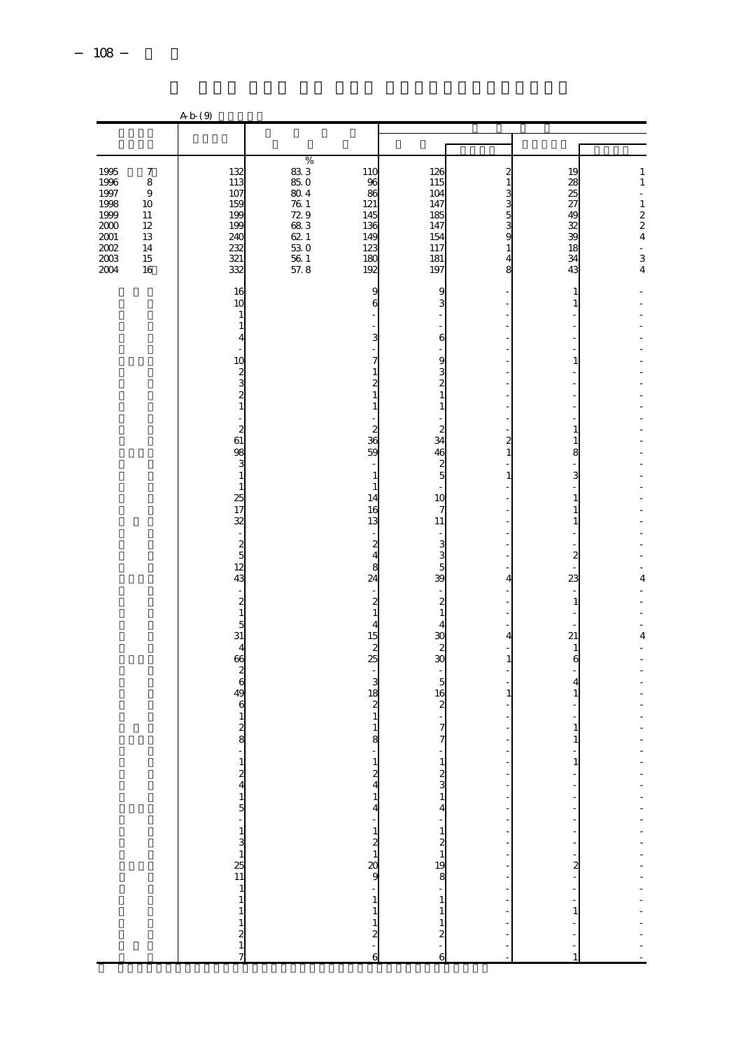|                                                                                  |                      | A b (9)                                  |                                          |                                       |                                                 |                              |                               |                                           |
|----------------------------------------------------------------------------------|----------------------|------------------------------------------|------------------------------------------|---------------------------------------|-------------------------------------------------|------------------------------|-------------------------------|-------------------------------------------|
|                                                                                  |                      |                                          |                                          |                                       |                                                 |                              |                               |                                           |
|                                                                                  | $\boldsymbol{7}$     | 132                                      | $\frac{\%}{83.3}$<br>$85.0$              | 110                                   | 126                                             | $\boldsymbol{z}$             | 19                            | 1                                         |
| $\begin{array}{c} 1995 \\ 1996 \end{array}$                                      | $\,$ 8 $\,$<br>$\,9$ | 113<br>107                               |                                          | 96<br>86                              | 115<br>104                                      | $\,1\,$                      |                               | $\,1\,$<br>÷,                             |
| $\frac{1997}{1998}$                                                              | 10                   | 159                                      | $3041$<br>$761931$<br>$68310$<br>$62530$ | 121                                   | 147                                             | 33339                        |                               |                                           |
| $\begin{array}{c}\n 1999 \\  200 \\  200 \\  200 \\  \hline\n 200\n \end{array}$ | 11<br>$12\,$         | 199<br>199                               |                                          | 145<br>136                            | 185<br>147                                      |                              |                               |                                           |
|                                                                                  | 13<br>14             | 240<br>232                               |                                          | 149<br>123                            | 154<br>117                                      | $\,1\,$                      |                               | $\frac{1}{2}$ $\frac{2}{4}$ $\frac{3}{4}$ |
| $\frac{2003}{2004}$                                                              | $15\,$<br>16         | 321<br>332                               | $\frac{56}{57}$ . 8                      | 180<br>192                            | $\frac{181}{197}$                               | $\overline{4}$<br>8          | 34<br>43                      |                                           |
|                                                                                  |                      | 16<br>10                                 |                                          | 9<br>6                                | 9<br>3                                          |                              | 1<br>1                        |                                           |
|                                                                                  |                      | $\mathbf{1}$<br>$\mathbf{1}$             |                                          |                                       |                                                 |                              |                               |                                           |
|                                                                                  |                      | 4                                        |                                          | 3                                     | $\epsilon$                                      |                              |                               |                                           |
|                                                                                  |                      | 10                                       |                                          |                                       |                                                 |                              | 1                             |                                           |
|                                                                                  |                      | $\frac{2}{2}$                            |                                          | 1<br>2                                | 9<br>1<br>1<br>1                                |                              |                               |                                           |
|                                                                                  |                      | $\mathbf{1}$                             |                                          | 1<br>1                                | $\mathbf{1}$                                    |                              | -                             |                                           |
|                                                                                  |                      |                                          |                                          | 2                                     |                                                 |                              | $\overline{\phantom{a}}$<br>1 |                                           |
|                                                                                  |                      | $\begin{array}{c}\n2 \\ 61\n\end{array}$ |                                          | 36<br>59                              | $\frac{2}{34}$                                  | $\overline{\mathbf{c}}$<br>1 | 1                             |                                           |
|                                                                                  |                      | $\frac{98}{3}$                           |                                          |                                       | $\begin{array}{c}\n46 \\ 2 \\ 5\n\end{array}$   |                              | 8<br>$\frac{1}{3}$            |                                           |
|                                                                                  |                      | $\mathbf{1}$<br>$\mathbf{1}$             |                                          | 1<br>1                                |                                                 | 1                            | $\overline{a}$                |                                           |
|                                                                                  |                      | 25<br>17                                 |                                          | 14<br>16                              | 10<br>7                                         |                              | 1<br>1                        |                                           |
|                                                                                  |                      | 32                                       |                                          | 13                                    | 11                                              |                              | 1                             |                                           |
|                                                                                  |                      | $\frac{2}{5}$                            |                                          | $\overline{\mathbf{c}}$               | . പ<br>ക                                        |                              |                               |                                           |
|                                                                                  |                      | 12                                       |                                          | 4<br>8                                |                                                 |                              | $\overline{a}$<br>÷           |                                           |
|                                                                                  |                      | 43                                       |                                          | 24                                    | -                                               | 4                            | 23<br>-                       | 4                                         |
|                                                                                  |                      | $\begin{array}{c} 2 \\ 1 \end{array}$    |                                          | $\overline{\mathbf{c}}$<br>1          | $\begin{array}{c}\n2 \\ 1\n\end{array}$         |                              | 1                             |                                           |
|                                                                                  |                      | 5<br>31                                  |                                          | 4                                     | $\overline{\mathbf{r}}$                         |                              | -                             | 4                                         |
|                                                                                  |                      | $\overline{4}$                           |                                          | 15<br>$\overline{\mathbf{c}}$         | $\begin{array}{c}\n30 \\ 2 \\ 30\n\end{array}$  | 4                            | 21<br>1                       |                                           |
|                                                                                  |                      | 66                                       |                                          | 25                                    |                                                 | 1                            | $\epsilon$                    |                                           |
|                                                                                  |                      | $\frac{2}{49}$                           |                                          | 3<br>18                               | $\frac{1}{5}$<br>16                             | 1                            | 4<br>1                        |                                           |
|                                                                                  |                      | 6<br>1                                   |                                          | 2<br>1                                | $\frac{2}{7}$                                   |                              |                               |                                           |
|                                                                                  |                      | 2                                        |                                          |                                       |                                                 |                              | 1                             |                                           |
|                                                                                  |                      | 8                                        |                                          | 8                                     | 7                                               |                              | 1                             |                                           |
|                                                                                  |                      | 1<br>2<br>4                              |                                          | $\overline{\mathbf{c}}$               | 1<br>2<br>1<br>1                                |                              |                               |                                           |
|                                                                                  |                      | 1                                        |                                          | 4<br>1                                |                                                 |                              |                               |                                           |
|                                                                                  |                      | 5                                        |                                          | 4                                     | 4                                               |                              |                               | $\frac{1}{1}$                             |
|                                                                                  |                      | $\mathbf{1}$                             |                                          | 1                                     |                                                 |                              |                               |                                           |
|                                                                                  |                      | $\frac{3}{1}$                            |                                          | $\begin{array}{c} 2 \\ 1 \end{array}$ |                                                 |                              |                               | $\frac{1}{1}$                             |
|                                                                                  |                      | 25<br>11                                 |                                          | зо<br>9                               | $\begin{array}{c}\n1 \\ 2 \\ 19 \\ \end{array}$ |                              | $\frac{2}{1}$                 |                                           |
|                                                                                  |                      | $\mathbf{1}$<br>$\mathbf{1}$             |                                          | $\mathbf{1}$                          | -                                               | $\overline{\phantom{m}}$     | -<br>-                        | $\frac{1}{1}$                             |
|                                                                                  |                      | 1                                        |                                          | 1                                     | $\begin{array}{c} 1 \\ 1 \end{array}$           |                              | 1                             |                                           |
|                                                                                  |                      | $\mathbf{1}$<br>$\frac{2}{1}$            |                                          | 1<br>$\overline{\mathbf{c}}$          | $\frac{1}{2}$                                   |                              |                               | $\overline{a}$                            |
|                                                                                  |                      |                                          |                                          |                                       | 6                                               |                              | 1                             |                                           |

注 「自動車強盗」とは、自動車に乗車中の者から自動車又は金品を強奪するものをいう。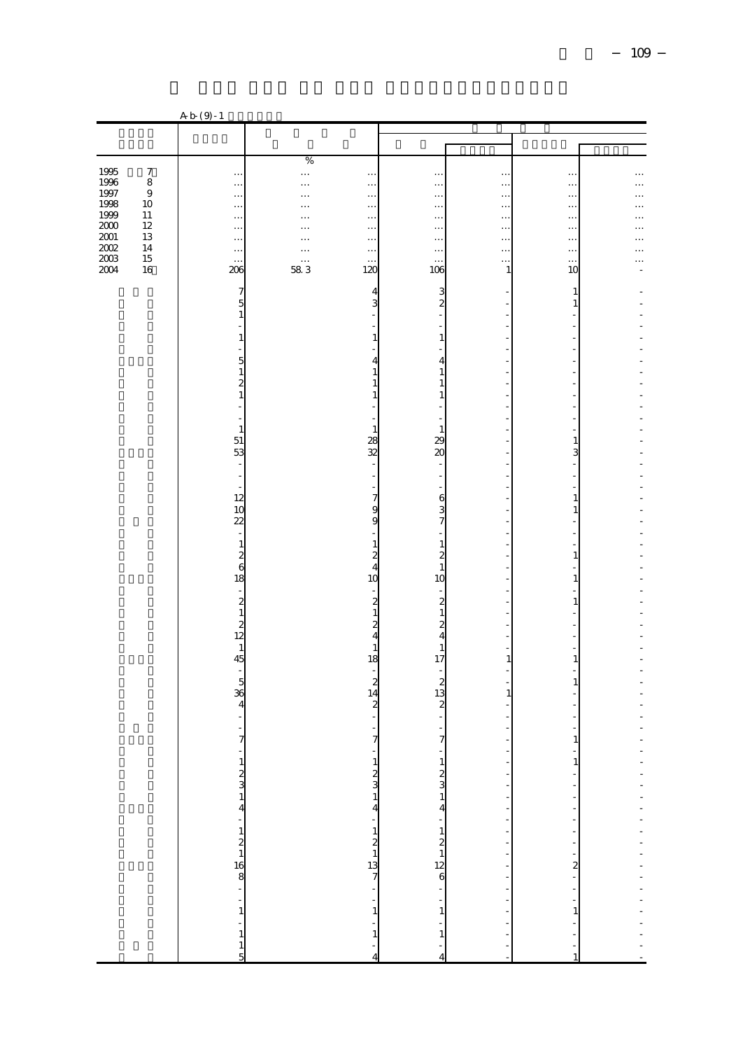|                                             |                    | $Ab(9-1)$                                   |                      |                                                     |                                                 |                          |                                   |                      |
|---------------------------------------------|--------------------|---------------------------------------------|----------------------|-----------------------------------------------------|-------------------------------------------------|--------------------------|-----------------------------------|----------------------|
|                                             |                    |                                             |                      |                                                     |                                                 |                          |                                   |                      |
|                                             |                    |                                             |                      |                                                     |                                                 |                          |                                   |                      |
|                                             |                    |                                             | %                    |                                                     |                                                 |                          |                                   |                      |
| $\frac{1995}{1996}$                         | $\boldsymbol{7}$   | $\cdots$                                    |                      | $\cdots$                                            | $\ddotsc$                                       | $\ddotsc$                | $\ddotsc$                         |                      |
| 1997                                        | $\,$ 8 $\,$<br>$9$ | $\ldots$                                    | $\cdots$             | $\ldots$                                            | $\ddotsc$                                       | $\ldots$                 | $\ldots$                          |                      |
|                                             | 10                 | $\cdots$<br>$\ddotsc$                       | .<br>$\cdots$        | $\cdots$<br>$\ldots$                                | $\ddotsc$<br>$\ddots$                           | $\ddotsc$<br>$\ddotsc$   | $\ddot{\phantom{0}}$<br>$\ddotsc$ | .                    |
| 1998<br>1999                                | 11                 | $\ddots$                                    | .                    | $\cdots$                                            | $\ddotsc$                                       | $\ddotsc$                | $\ldots$                          |                      |
| $\begin{array}{c} 2000 \\ 2001 \end{array}$ | 12                 | $\cdots$                                    | .                    | $\ldots$                                            | $\ddotsc$                                       | $\ldots$                 | $\ldots$                          |                      |
| $2002\,$                                    | 13<br>14           | $\ldots$                                    | .                    | $\ldots$                                            | $\ldots$                                        | $\ddotsc$                | $\cdots$                          | $\ddot{\phantom{a}}$ |
| $2003\,$                                    | $15\,$             | $\ldots$<br>$\cdots$                        | $\cdots$<br>$\cdots$ | $\ldots$<br>$\ddotsc$                               | $\ddots$<br>$\ldots$                            | $\ddotsc$<br>$\ddots$    | $\ldots$<br>$\ldots$              |                      |
| 2004                                        | 16                 | 206                                         | 58 3                 | 120                                                 | 106                                             | $\mathbf{1}$             | 10                                |                      |
|                                             |                    |                                             |                      |                                                     |                                                 |                          |                                   |                      |
|                                             |                    | 7<br>5                                      |                      | 4<br>3                                              | 3<br>$\overline{\mathbf{c}}$                    |                          | $\mathbf{1}$<br>$\,1$             |                      |
|                                             |                    | $\mathbf{1}$                                |                      |                                                     |                                                 |                          |                                   |                      |
|                                             |                    |                                             |                      |                                                     |                                                 |                          |                                   |                      |
|                                             |                    | $\,1$                                       |                      | $\mathbf{1}$                                        | $\mathbf{1}$                                    |                          |                                   |                      |
|                                             |                    |                                             |                      |                                                     |                                                 |                          |                                   |                      |
|                                             |                    | $\frac{5}{1}$                               |                      | 4<br>1                                              | 4<br>$\mathbf{1}$                               |                          |                                   |                      |
|                                             |                    |                                             |                      | $\mathbf{1}$                                        | $\mathbf{1}$                                    |                          |                                   |                      |
|                                             |                    | $\frac{2}{1}$                               |                      | $\mathbf{1}$                                        | $\mathbf{1}$                                    |                          |                                   |                      |
|                                             |                    |                                             |                      |                                                     |                                                 |                          |                                   |                      |
|                                             |                    |                                             |                      | $\mathbf{1}$                                        | $\mathbf{1}$                                    |                          |                                   |                      |
|                                             |                    | $\frac{1}{51}$                              |                      |                                                     | 29                                              |                          | 1                                 |                      |
|                                             |                    | 53                                          |                      | 28<br>32                                            | 20                                              |                          | 3                                 |                      |
|                                             |                    | $\overline{\phantom{a}}$                    |                      |                                                     |                                                 |                          |                                   |                      |
|                                             |                    | ÷                                           |                      |                                                     | ÷,                                              |                          |                                   |                      |
|                                             |                    |                                             |                      | $\overline{7}$                                      | 6                                               |                          | $\,1$                             |                      |
|                                             |                    | $\frac{1}{12}$                              |                      | 9                                                   | 3                                               |                          | $\mathbf{1}$                      |                      |
|                                             |                    | $\overline{22}$                             |                      | 9                                                   | 7                                               |                          |                                   |                      |
|                                             |                    |                                             |                      |                                                     |                                                 |                          |                                   |                      |
|                                             |                    | $\,1\,$                                     |                      | $\mathbf{1}$<br>$\overline{c}$                      | $\mathbf{1}$<br>$\boldsymbol{z}$                |                          | $\mathbf 1$                       |                      |
|                                             |                    | $\begin{array}{c} 2 \\ 6 \\ 18 \end{array}$ |                      | $\overline{4}$                                      | $\,1\,$                                         |                          |                                   |                      |
|                                             |                    |                                             |                      | 10                                                  | 10                                              |                          | 1                                 |                      |
|                                             |                    |                                             |                      |                                                     |                                                 |                          |                                   |                      |
|                                             |                    | $\frac{1}{2}$                               |                      | $\overline{\mathbf{c}}$<br>$\mathbf{1}$             | $\overline{\mathbf{c}}$<br>$\mathbf{1}$         |                          | $\,1$                             |                      |
|                                             |                    |                                             |                      | $\overline{c}$                                      | $\overline{\mathbf{c}}$                         |                          |                                   |                      |
|                                             |                    | $\begin{array}{c} 2 \\ 12 \\ 1 \end{array}$ |                      | $\overline{4}$                                      | $\overline{4}$                                  |                          |                                   |                      |
|                                             |                    |                                             |                      | $\mathbf{1}$                                        | $\mathbf{1}$                                    |                          |                                   |                      |
|                                             |                    | 45<br>$\frac{1}{\sqrt{2}}$                  |                      | 18                                                  | 17                                              | 1                        | 1                                 |                      |
|                                             |                    |                                             |                      | $\overline{\phantom{a}}$<br>$\overline{\mathbf{c}}$ | $\boldsymbol{z}$                                |                          | $\,1\,$                           |                      |
|                                             |                    | $\begin{array}{c} 5 \\ 36 \end{array}$      |                      | 14                                                  | 13                                              | $\mathbf{1}$             |                                   |                      |
|                                             |                    | $\overline{4}$                              |                      | $\boldsymbol{z}$                                    | $\overline{\mathbf{c}}$                         |                          |                                   |                      |
|                                             |                    |                                             |                      |                                                     |                                                 |                          |                                   |                      |
|                                             |                    | 7                                           |                      | 7                                                   | 7                                               |                          | 1                                 |                      |
|                                             |                    |                                             |                      |                                                     |                                                 |                          |                                   |                      |
|                                             |                    |                                             |                      |                                                     |                                                 |                          | $\mathbf{1}$                      |                      |
|                                             |                    |                                             |                      | $\frac{1}{2}$                                       | $\frac{1}{2}$<br>$\frac{2}{4}$                  |                          |                                   |                      |
|                                             |                    |                                             |                      | $\,1\,$                                             |                                                 | $\ddot{\phantom{0}}$     |                                   |                      |
|                                             |                    |                                             |                      | $\overline{\mathcal{A}}$                            |                                                 | $\overline{\phantom{a}}$ | -                                 |                      |
|                                             |                    |                                             |                      |                                                     |                                                 |                          | $\frac{1}{2}$                     |                      |
|                                             |                    |                                             |                      | $\frac{1}{2}$<br>13<br>13<br>7                      | $\begin{array}{c} 1 \\ 1 \\ 2 \\ 1 \end{array}$ | $\frac{1}{2}$            |                                   |                      |
|                                             |                    |                                             |                      |                                                     |                                                 |                          | ÷                                 |                      |
|                                             |                    |                                             |                      |                                                     |                                                 | f                        | $\frac{1}{2}$                     |                      |
|                                             |                    |                                             |                      |                                                     | $\begin{array}{c} 12 \\ 6 \end{array}$          | $\frac{1}{2}$            |                                   |                      |
|                                             |                    |                                             |                      |                                                     | $\frac{1}{2}$                                   | $\frac{1}{2}$            | ÷                                 |                      |
|                                             |                    |                                             |                      | $\begin{bmatrix} 1 \\ -1 \end{bmatrix}$             |                                                 |                          | ä,                                |                      |
|                                             |                    |                                             |                      |                                                     | $\mathbf{1}$                                    | f<br>f                   | $\mathbf{1}$                      |                      |
|                                             |                    |                                             |                      | $\frac{1}{1}$                                       | $\mathbf{1}$                                    | j.                       |                                   |                      |
|                                             |                    |                                             |                      | f                                                   |                                                 | ł                        |                                   |                      |
|                                             |                    |                                             |                      | 4                                                   | 4                                               |                          | 1                                 |                      |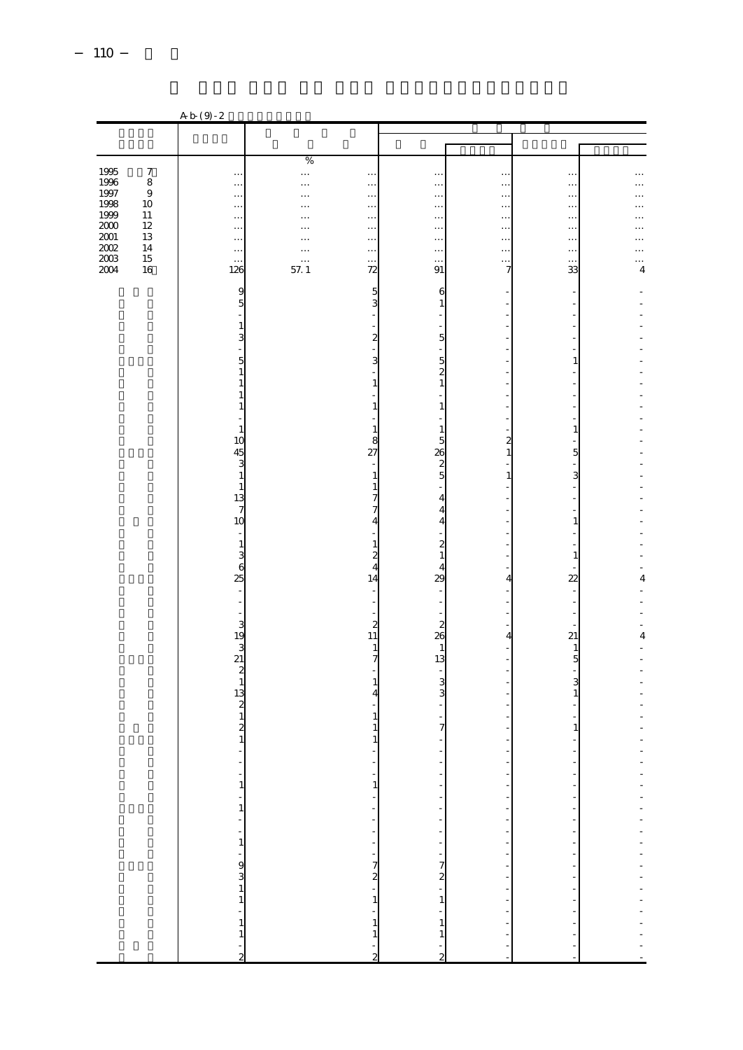|                                                                                   |                  | $A b (9 - 2)$                              |               |                                              |                                             |                                       |                          |                      |
|-----------------------------------------------------------------------------------|------------------|--------------------------------------------|---------------|----------------------------------------------|---------------------------------------------|---------------------------------------|--------------------------|----------------------|
|                                                                                   |                  |                                            |               |                                              |                                             |                                       |                          |                      |
|                                                                                   |                  |                                            |               |                                              |                                             |                                       |                          |                      |
|                                                                                   |                  |                                            | %             |                                              |                                             |                                       |                          |                      |
| $\begin{array}{c} 1995 \\ 1996 \end{array}$                                       | $\boldsymbol{7}$ |                                            | $\cdots$      |                                              | $\ddot{\phantom{0}}$                        | $\ddot{\phantom{0}}$                  | $\ddots$                 |                      |
|                                                                                   | $\,$ 8 $\,$      | $\mathbb{Z}$                               |               | $\mathbb{Z}$                                 | $\ddotsc$                                   | $\ddotsc$                             | $\ddot{\phantom{a}}$     | .                    |
| 1997<br>1998                                                                      | $\boldsymbol{9}$ | $\ldots$                                   | $\cdots$      | $\ldots$                                     | $\ddotsc$                                   | $\ldots$                              | $\ldots$                 | $\ddotsc$            |
|                                                                                   | $10$             | $\ldots$                                   | $\cdots$      | $\cdots$                                     | $\ddotsc$                                   | $\ddotsc$                             | $\ddotsc$                | $\ddotsc$            |
|                                                                                   | 11<br>$12\,$     | $\ldots$<br>$\ldots$                       | $\cdots$      | $\ldots$<br>$\cdots$                         | $\ddotsc$<br>$\ddotsc$                      | $\ddotsc$<br>$\ddotsc$                | $\ldots$<br>$\cdots$     | $\ddot{\phantom{0}}$ |
| $\begin{array}{c}\n 1999 \\  200 \\  200 \\  200 \\  \hline\n 2002\n \end{array}$ | 13               | $\cdots$                                   | $\cdots$<br>. | $\ldots$                                     | $\ddots$                                    | $\ldots$                              | $\ldots$                 | $\ddotsc$<br>.       |
|                                                                                   | 14               | $\ldots$                                   | $\cdots$      | $\ldots$                                     | $\ddotsc$                                   | $\ddotsc$                             | .                        | $\cdots$             |
| $\frac{2003}{2004}$                                                               | $15\,$           | $\ldots$                                   | $\cdots$      | $\ldots$                                     | $\ddotsc$                                   | $\cdots$                              | .                        | .                    |
|                                                                                   | 16               | 126                                        | 57.1          | 72                                           | 91                                          | 7                                     | 33                       | 4                    |
|                                                                                   |                  | 9                                          |               | 5                                            | 6                                           | -                                     |                          |                      |
|                                                                                   |                  | 5                                          |               | 3                                            | $\mathbf{1}$                                |                                       | ٠                        |                      |
|                                                                                   |                  |                                            |               |                                              |                                             |                                       |                          |                      |
|                                                                                   |                  | $\mathbf{1}$                               |               |                                              |                                             |                                       |                          |                      |
|                                                                                   |                  | 3                                          |               | $\overline{c}$                               | 5                                           |                                       |                          |                      |
|                                                                                   |                  |                                            |               |                                              |                                             |                                       |                          |                      |
|                                                                                   |                  | 5                                          |               | 3                                            | $\frac{5}{2}$                               |                                       | 1                        |                      |
|                                                                                   |                  | $\mathbf{1}$<br>$\mathbf{1}$               |               | 1                                            | $\mathbf{1}$                                |                                       |                          |                      |
|                                                                                   |                  | $\mathbf{1}$                               |               |                                              |                                             |                                       |                          |                      |
|                                                                                   |                  | $\mathbf{1}$                               |               | $\mathbf{1}$                                 | $\mathbf{1}$                                |                                       |                          |                      |
|                                                                                   |                  |                                            |               |                                              |                                             |                                       | ٠                        |                      |
|                                                                                   |                  | $\mathbf{1}$                               |               | 1                                            | $\begin{array}{c} 1 \\ 5 \\ 26 \end{array}$ |                                       | $\,1\,$                  |                      |
|                                                                                   |                  | 10                                         |               | 8                                            |                                             | $\begin{array}{c} 2 \\ 1 \end{array}$ | $\frac{1}{5}$            |                      |
|                                                                                   |                  | 45                                         |               | $\overline{27}$                              |                                             |                                       |                          |                      |
|                                                                                   |                  | 3<br>$\mathbf{1}$                          |               | $\mathbf{1}$                                 | $\frac{2}{5}$                               |                                       | 3                        |                      |
|                                                                                   |                  | $\mathbf{1}$                               |               | 1                                            |                                             | $\mathbf{1}$                          |                          |                      |
|                                                                                   |                  | 13                                         |               | 7                                            | $\overline{4}$                              |                                       |                          |                      |
|                                                                                   |                  | $\overline{7}$                             |               | 7                                            | $\overline{4}$                              |                                       |                          |                      |
|                                                                                   |                  | 10                                         |               | 4                                            | $\overline{4}$                              |                                       | $\,1\,$                  |                      |
|                                                                                   |                  |                                            |               |                                              |                                             |                                       |                          |                      |
|                                                                                   |                  | $\,1\,$                                    |               | 1                                            | $\begin{smallmatrix}2\\1\end{smallmatrix}$  |                                       |                          |                      |
|                                                                                   |                  | 3<br>6                                     |               | $\overline{c}$<br>$\overline{4}$             | $\overline{4}$                              |                                       | $\,1\,$                  |                      |
|                                                                                   |                  | 25                                         |               | 14                                           | 29                                          | 4                                     | 22                       | 4                    |
|                                                                                   |                  | ÷                                          |               |                                              |                                             |                                       |                          | -                    |
|                                                                                   |                  | L                                          |               |                                              |                                             |                                       |                          |                      |
|                                                                                   |                  |                                            |               |                                              |                                             |                                       |                          |                      |
|                                                                                   |                  | 3                                          |               | $\overline{2}$                               | $\boldsymbol{z}$                            |                                       |                          |                      |
|                                                                                   |                  | 19                                         |               | 11                                           | 26                                          | $\overline{4}$                        | 21                       | $\overline{4}$       |
|                                                                                   |                  | 3<br>$\overline{21}$                       |               | 1<br>7                                       | $\mathbf{1}$<br>13                          |                                       | $\frac{1}{5}$            |                      |
|                                                                                   |                  |                                            |               |                                              |                                             |                                       |                          |                      |
|                                                                                   |                  | $\begin{smallmatrix}2\\1\end{smallmatrix}$ |               | 1                                            |                                             |                                       | $\mathbf{3}$             |                      |
|                                                                                   |                  | 13                                         |               | 4                                            | 3                                           |                                       | $\mathbf{1}$             |                      |
|                                                                                   |                  | $\boldsymbol{z}$                           |               |                                              |                                             |                                       |                          |                      |
|                                                                                   |                  | $\mathbf{1}$                               |               |                                              |                                             |                                       |                          |                      |
|                                                                                   |                  | $\overline{\mathbf{z}}$<br>1               |               |                                              | 7                                           |                                       | $\,1\,$                  |                      |
|                                                                                   |                  |                                            |               |                                              |                                             |                                       |                          |                      |
|                                                                                   |                  |                                            |               |                                              |                                             |                                       |                          |                      |
|                                                                                   |                  |                                            |               |                                              |                                             |                                       |                          |                      |
|                                                                                   |                  | $\mathbf{1}$                               |               | $\,1\,$                                      |                                             |                                       |                          |                      |
|                                                                                   |                  |                                            |               |                                              |                                             |                                       |                          |                      |
|                                                                                   |                  | $\mathbf{1}$                               |               |                                              | ł,                                          | $\equiv$                              | $\overline{\phantom{a}}$ |                      |
|                                                                                   |                  |                                            |               | $\overline{\phantom{a}}$                     |                                             |                                       | $\blacksquare$           |                      |
|                                                                                   |                  | $\frac{1}{1}$                              |               | $\frac{1}{2}$                                | j.                                          | j,                                    | $\frac{1}{2}$            |                      |
|                                                                                   |                  |                                            |               | ÷,                                           | $\overline{\phantom{a}}$                    | ÷,                                    | $\blacksquare$           |                      |
|                                                                                   |                  | $-931$                                     |               | $\begin{bmatrix} 7 \\ 2 \\ -1 \end{bmatrix}$ | $\frac{7}{2}$                               | $\overline{\phantom{0}}$              | $\overline{\phantom{a}}$ |                      |
|                                                                                   |                  |                                            |               |                                              |                                             | $\overline{a}$                        |                          |                      |
|                                                                                   |                  |                                            |               |                                              | $\overline{\phantom{a}}$                    | $\frac{1}{2}$                         | $\overline{\phantom{a}}$ |                      |
|                                                                                   |                  |                                            |               | $\mathbf{1}$                                 | $\,1$                                       | l,                                    | $\ddot{\phantom{0}}$     |                      |
|                                                                                   |                  |                                            |               | $\,1$                                        |                                             | ÷                                     |                          |                      |
|                                                                                   |                  | $\begin{array}{c} 1 \\ 1 \end{array}$      |               | $\,1$                                        | $\begin{smallmatrix}1\\1\end{smallmatrix}$  | ł,                                    |                          |                      |
|                                                                                   |                  | ÷,                                         |               |                                              |                                             |                                       |                          |                      |
|                                                                                   |                  | $\overline{2}$                             |               |                                              | 2                                           |                                       |                          |                      |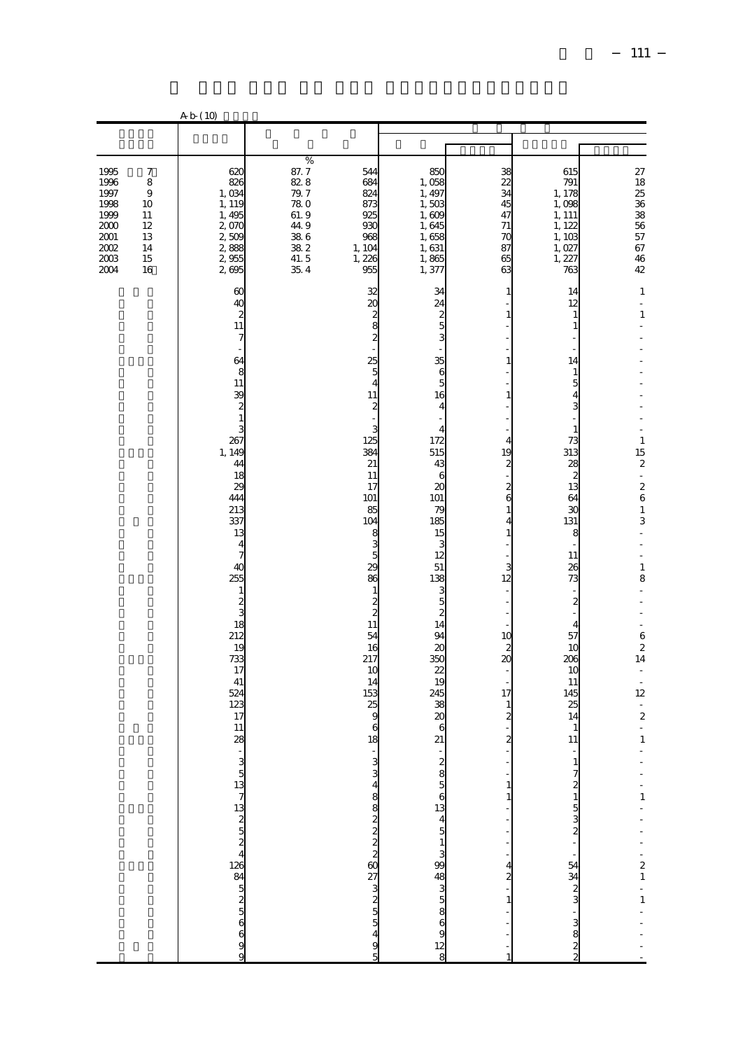|                                                                                      |                                                                                     | A b (10)                                                                                                                                                                                                                                                                                                                         |                                                                                            |                                                                                                                                                                                                                                                                                                                                                                                                                   |                                                                                                                                                                                                                                                                                                                              |                                                                                                                                                                                                                                                                                                           |                                                                                                                                                                                                                                                                                                                 |                                                                                                                                                                                                                                                                                                                                                                                                                        |
|--------------------------------------------------------------------------------------|-------------------------------------------------------------------------------------|----------------------------------------------------------------------------------------------------------------------------------------------------------------------------------------------------------------------------------------------------------------------------------------------------------------------------------|--------------------------------------------------------------------------------------------|-------------------------------------------------------------------------------------------------------------------------------------------------------------------------------------------------------------------------------------------------------------------------------------------------------------------------------------------------------------------------------------------------------------------|------------------------------------------------------------------------------------------------------------------------------------------------------------------------------------------------------------------------------------------------------------------------------------------------------------------------------|-----------------------------------------------------------------------------------------------------------------------------------------------------------------------------------------------------------------------------------------------------------------------------------------------------------|-----------------------------------------------------------------------------------------------------------------------------------------------------------------------------------------------------------------------------------------------------------------------------------------------------------------|------------------------------------------------------------------------------------------------------------------------------------------------------------------------------------------------------------------------------------------------------------------------------------------------------------------------------------------------------------------------------------------------------------------------|
|                                                                                      |                                                                                     |                                                                                                                                                                                                                                                                                                                                  |                                                                                            |                                                                                                                                                                                                                                                                                                                                                                                                                   |                                                                                                                                                                                                                                                                                                                              |                                                                                                                                                                                                                                                                                                           |                                                                                                                                                                                                                                                                                                                 |                                                                                                                                                                                                                                                                                                                                                                                                                        |
| 1995<br>1996<br>1997<br>1998<br>1999<br>$2000\,$<br>2001<br>2002<br>$2003\,$<br>2004 | $\boldsymbol{7}$<br>8<br>$\boldsymbol{9}$<br>10<br>11<br>12<br>13<br>14<br>15<br>16 | 620<br>826<br>1,034<br>1, 119<br>1, 495<br>2,070<br>2,509<br>2,888<br>2,955<br>2695                                                                                                                                                                                                                                              | $\frac{\%}{87.7}$<br>82.8<br>79.7<br>$780$<br>61.9<br>44 9<br>38 6<br>38 2<br>41.5<br>35.4 | 544<br>684<br>824<br>873<br>925<br>93C<br>968<br>1, 104<br>1, 226<br>955                                                                                                                                                                                                                                                                                                                                          | 850<br>1,058<br>1, 497<br>1,503<br>1,609<br>1,645<br>1,658<br>1,631<br>1,865<br>1, 377                                                                                                                                                                                                                                       | 38<br>22<br>34<br>45<br>47<br>71<br>70<br>87<br>65<br>63                                                                                                                                                                                                                                                  | 615<br>791<br>1, 178<br>1,098<br>1, 111<br>1, 122<br>1, 103<br>1,027<br>1, 227<br>763                                                                                                                                                                                                                           | 27 18 25 36 38 56 57<br>67<br>46<br>42                                                                                                                                                                                                                                                                                                                                                                                 |
|                                                                                      |                                                                                     | 60<br>40<br>$\boldsymbol{z}$<br>11<br>$\overline{7}$<br>64<br>8<br>11<br>39<br>$\overline{\mathcal{L}}$<br>$\,1\,$<br>3<br>267<br>1, 149<br>44<br>18<br>29<br>444<br>213<br>337<br>13<br>4<br>$\overline{7}$<br>40<br>255<br>$\mathbf{1}$<br>$\frac{2}{3}$<br>18<br>212<br>19<br>733<br>17<br>41<br>524<br>123<br>17<br>11<br>28 |                                                                                            | 32<br>$\alpha$<br>$\boldsymbol{z}$<br>8<br>$\overline{\mathcal{L}}$<br>25<br>5<br>$\overline{4}$<br>11<br>$\boldsymbol{z}$<br>3<br>125<br>384<br>21<br>11<br>17<br>101<br>85<br>104<br>8<br>3<br>5<br>29<br>86<br>$\mathbf{1}$<br>$\frac{2}{2}$<br>11<br>54<br>16<br>217<br>1 <sup>C</sup><br>14<br>153<br>25<br>g<br>$\epsilon$<br>18<br>$\overline{a}$<br>$\frac{3}{4}$<br>△ បាលលង់ 8 ស្រសសស <b>ុន ស្</b><br>ΓC | 34<br>24<br>$\frac{2}{5}$<br>3<br>35<br>6<br>5<br>16<br>4<br>4<br>172<br>515<br>43<br>6<br>$\alpha$<br>101<br>79<br>185<br>15<br>3<br>12<br>51<br>138<br>3<br>5<br>$\overline{\mathcal{Z}}$<br>14<br>94<br>20<br>350<br>22<br>19<br>245<br>38<br>$\infty$<br>6<br>21<br>യ ത യ യ ക് 3 ധ – ഗ ക <del>ധ</del> ത ഗ യ യ<br>12<br>8 | 1<br>$\mathbf{1}$<br>1<br>$\mathbf{1}$<br>4<br>19<br>$\boldsymbol{z}$<br>$\boldsymbol{z}$<br>6<br>1<br>4<br>1<br>3<br>12<br>10<br>$\boldsymbol{z}$<br>20<br>17<br>$\mathbf{1}$<br>$\boldsymbol{z}$<br>$\overline{\mathbf{c}}$<br>$\,1\,$<br>$\mathbf{1}$<br>4<br>$\overline{\mathcal{L}}$<br>$\mathbf{1}$ | 14<br>12<br>1<br>1<br>14<br>1<br>5<br>3<br>1<br>73<br>313<br>28<br>$\boldsymbol{z}$<br>13<br>64<br>30<br>131<br>8<br>11<br>26<br>73<br>$\overline{c}$<br>4<br>57<br>10<br>206<br>10<br>11<br>145<br>25<br>14<br>1<br>11<br>2<br>$\,1\,$<br>$\frac{5}{3}$<br>2<br>$\begin{array}{c}\n54 \\ 34 \\ 2\n\end{array}$ | $\mathbf{1}$<br>$\blacksquare$<br>$\,1\,$<br>٠<br>$\mathbf{1}$<br>$\frac{15}{2}$<br>$\bar{\phantom{a}}$<br>$\frac{2}{6}$<br>$\,1\,$<br>3<br>$\ddot{\phantom{0}}$<br>÷,<br>$\,1\,$<br>8<br>÷,<br>$\overline{a}$<br>$\begin{array}{c} 6 \\ 2 \end{array}$<br>14<br>÷<br>$\bar{\phantom{a}}$<br>12<br>÷<br>$\overline{\mathcal{L}}$<br>$\overline{\phantom{a}}$<br>$\mathbf{1}$<br>÷,<br>$-1 - - - - 21$<br>$\frac{1}{1}$ |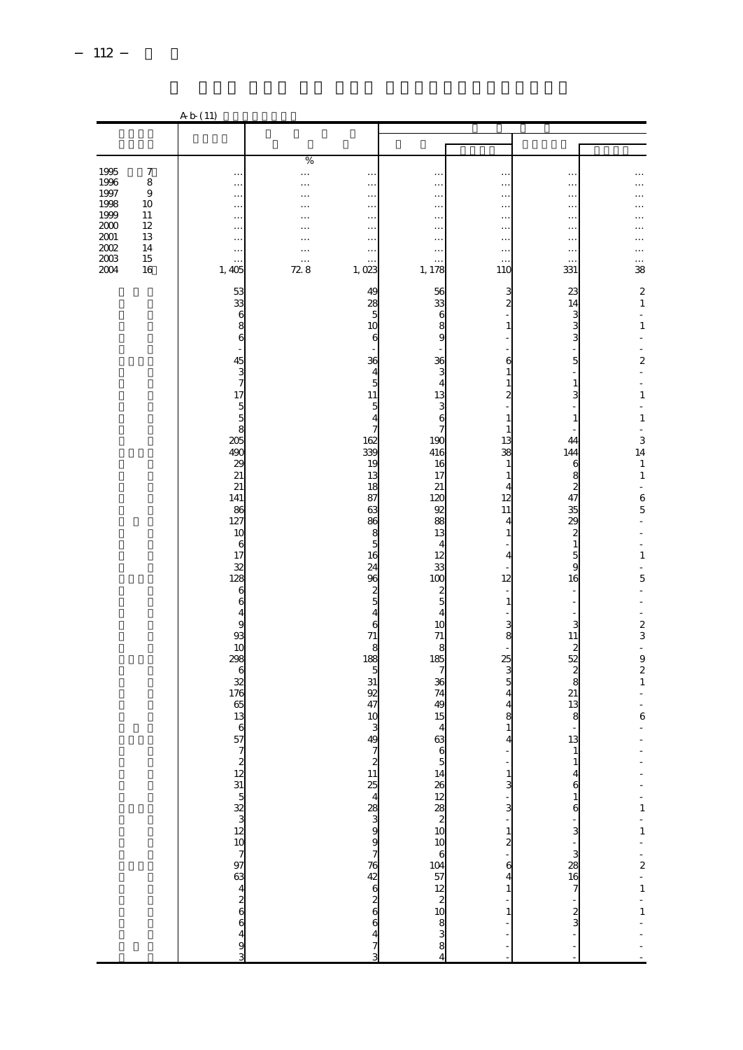|              |                  | A b (11)                                                      |          |                                                             |                                                                                                               |                                            |                                              |                                             |
|--------------|------------------|---------------------------------------------------------------|----------|-------------------------------------------------------------|---------------------------------------------------------------------------------------------------------------|--------------------------------------------|----------------------------------------------|---------------------------------------------|
|              |                  |                                                               |          |                                                             |                                                                                                               |                                            |                                              |                                             |
|              |                  |                                                               |          |                                                             |                                                                                                               |                                            |                                              |                                             |
|              |                  |                                                               | %        |                                                             |                                                                                                               |                                            |                                              |                                             |
| 1995         | $\boldsymbol{7}$ | $\ddotsc$                                                     |          | $\ddotsc$                                                   | $\ddot{\phantom{0}}$                                                                                          | $\ldots$                                   | $\ddotsc$                                    |                                             |
| 1996         | $\,$ 8 $\,$      | $\ldots$                                                      | .        | $\ddotsc$                                                   | $\ddotsc$                                                                                                     | $\ldots$                                   | $\ddot{\phantom{0}}$                         | .                                           |
| 1997<br>1998 | 9<br>10          | $\ddotsc$                                                     | $\cdots$ | $\ddotsc$                                                   | $\ddotsc$                                                                                                     | $\ldots$                                   | $\ddot{\phantom{0}}$                         |                                             |
| 1999         | 11               | $\ldots$<br>$\ddotsc$                                         | .        | $\cdots$<br>$\ddotsc$                                       | $\ddotsc$<br>$\ddotsc$                                                                                        | $\ldots$                                   | $\ddotsc$                                    | .<br>$\ddot{\phantom{0}}$                   |
| 2000         | 12               | $\cdots$                                                      | .<br>.   | $\cdots$                                                    | $\ddotsc$                                                                                                     | $\ldots$<br>$\ddot{\phantom{0}}$           | $\ddot{\phantom{0}}$<br>$\ddot{\phantom{0}}$ | .                                           |
| 2001         | 13               | $\ddotsc$                                                     |          | $\ddotsc$                                                   | $\ddot{\phantom{0}}$                                                                                          | $\cdot$ .                                  | $\cdot$ .                                    |                                             |
| 2002         | 14               | $\ldots$                                                      | .        | $\cdots$                                                    | $\ddotsc$                                                                                                     | $\ldots$                                   | $\ldots$                                     | .                                           |
| 2003         | 15               | Ω.                                                            | .        | $\ddotsc$                                                   | $\ddotsc$                                                                                                     | $\ddot{\phantom{0}}$                       | $\ddot{\phantom{0}}$                         | .                                           |
| 2004         | 16               | 1,405                                                         | 728      | 1,023                                                       | 1, 178                                                                                                        | 110                                        | 331                                          | 38                                          |
|              |                  | 53                                                            |          | 49                                                          | 56                                                                                                            | 3                                          | 23                                           | $\overline{\mathbf{c}}$                     |
|              |                  | 33                                                            |          | 28                                                          | 33                                                                                                            | $\overline{c}$                             | 14                                           | $\,1\,$                                     |
|              |                  | 6                                                             |          | 5                                                           | 6                                                                                                             |                                            |                                              | $\overline{\phantom{a}}$                    |
|              |                  | 8                                                             |          | 10                                                          | 8                                                                                                             | $\mathbf{1}$                               | $\frac{3}{3}$                                | $\,1\,$                                     |
|              |                  | 6                                                             |          | 6                                                           | 9                                                                                                             |                                            |                                              | Ĭ.                                          |
|              |                  | 45                                                            |          | 36                                                          | 36                                                                                                            |                                            | 5                                            | $\overline{a}$<br>$\overline{\mathbf{c}}$   |
|              |                  | 3                                                             |          | 4                                                           | 3                                                                                                             | 6<br>$\,1\,$                               |                                              | ÷,                                          |
|              |                  | $\overline{7}$                                                |          | 5                                                           | $\overline{4}$                                                                                                | 1                                          | $\,1\,$                                      | ÷,                                          |
|              |                  | 17                                                            |          | 11                                                          | 13                                                                                                            | 2                                          | 3                                            | $\,1\,$                                     |
|              |                  | 5                                                             |          | 5                                                           | 3                                                                                                             |                                            |                                              | L.                                          |
|              |                  | 5                                                             |          | 4                                                           | 6                                                                                                             | 1                                          | 1                                            | $\mathbf{1}$                                |
|              |                  | 8                                                             |          |                                                             | 7                                                                                                             | $\mathbf{1}$                               |                                              | $\begin{array}{c} 3 \\ 3 \\ 14 \end{array}$ |
|              |                  | 205<br>490                                                    |          | 162<br>339                                                  | 190<br>416                                                                                                    | 13<br>38                                   | 44<br>144                                    |                                             |
|              |                  | 29                                                            |          | 19                                                          | 16                                                                                                            | $\mathbf{1}$                               | 6                                            | $\,1\,$                                     |
|              |                  | 21                                                            |          | 13                                                          | 17                                                                                                            | $\,1\,$                                    |                                              | $\,1\,$                                     |
|              |                  | 21                                                            |          | 18                                                          | 21                                                                                                            | $\overline{4}$                             | $\frac{8}{2}$                                | $\blacksquare$                              |
|              |                  | 141                                                           |          | 87                                                          | 120                                                                                                           | 12                                         | 47                                           | $\begin{array}{c} 6 \\ 5 \end{array}$       |
|              |                  | 86                                                            |          | 63                                                          | 92                                                                                                            | 11                                         | 35                                           |                                             |
|              |                  | 127                                                           |          | 86                                                          | 88                                                                                                            | 4<br>1                                     | 29                                           | ÷<br>L,                                     |
|              |                  | 10<br>6                                                       |          | 8<br>5                                                      | 13<br>4                                                                                                       |                                            | $\boldsymbol{z}$                             | $\blacksquare$                              |
|              |                  | 17                                                            |          | 16                                                          | 12                                                                                                            | $\overline{4}$                             | $\begin{array}{c} 1 \\ 5 \\ 9 \end{array}$   | $\,1\,$                                     |
|              |                  | 32                                                            |          | 24                                                          | 33                                                                                                            |                                            |                                              |                                             |
|              |                  | 128                                                           |          | 96                                                          | 100                                                                                                           | 12                                         | 16                                           | $\frac{1}{5}$                               |
|              |                  | $\epsilon$                                                    |          | $\overline{\mathbf{z}}$                                     | $\frac{2}{5}$                                                                                                 |                                            |                                              | ÷                                           |
|              |                  | 6<br>4                                                        |          | 5<br>4                                                      | 4                                                                                                             | $\mathbf{1}$                               |                                              | ÷,                                          |
|              |                  | 9                                                             |          | 6                                                           | 10                                                                                                            | 3                                          | 3                                            |                                             |
|              |                  | 93                                                            |          | 71                                                          | 71                                                                                                            | 8                                          | 11                                           | $\frac{1}{2}$                               |
|              |                  | 10                                                            |          | 8                                                           | 8                                                                                                             |                                            | $\overline{z}$                               | $\ddot{\phantom{1}}$                        |
|              |                  | 298                                                           |          | 188                                                         | 185                                                                                                           | 25                                         | 52                                           | $\frac{9}{2}$                               |
|              |                  | 6                                                             |          | 5                                                           | 7                                                                                                             | $\begin{array}{c} 3 \\ 5 \\ 4 \end{array}$ | $\frac{2}{8}$                                |                                             |
|              |                  | 32<br>176                                                     |          | 31<br>92                                                    | 36<br>74                                                                                                      |                                            | 21                                           | $\,1\,$<br>$\blacksquare$                   |
|              |                  | 65                                                            |          | 47                                                          | 49                                                                                                            | 4                                          | 13                                           | ÷                                           |
|              |                  | 13                                                            |          | 10                                                          | 15                                                                                                            | 8                                          | 8                                            | $\overline{6}$                              |
|              |                  | 6                                                             |          |                                                             | $\overline{4}$                                                                                                | $\,1\,$                                    |                                              |                                             |
|              |                  | 57                                                            |          | 49                                                          | 63                                                                                                            |                                            | 13                                           |                                             |
|              |                  | $\boldsymbol{7}$                                              |          | $\tau$                                                      | $\mathbf 6$                                                                                                   |                                            | $\mathbf{1}$                                 |                                             |
|              |                  |                                                               |          | $\begin{smallmatrix} 2 \\ 11 \end{smallmatrix}$             |                                                                                                               |                                            |                                              |                                             |
|              |                  |                                                               |          |                                                             |                                                                                                               | $\frac{1}{3}$                              |                                              |                                             |
|              |                  |                                                               |          | $\begin{array}{c}\n 25 \\  \circ \circ \\  9\n \end{array}$ |                                                                                                               |                                            |                                              |                                             |
|              |                  |                                                               |          |                                                             |                                                                                                               | 3                                          |                                              |                                             |
|              |                  |                                                               |          |                                                             |                                                                                                               |                                            |                                              |                                             |
|              |                  | .<br>ದ ದ ದ ದ ದ ದ ದ ದ ದ ದ ದ ದ ದ ದ ದ ದ<br>6<br>6<br>6<br>6<br>6 |          |                                                             |                                                                                                               | $\frac{1}{2}$                              | $\frac{4}{6}$ $\frac{6}{3}$                  | $=$ $=$ $-1$ $=$ $-2$ $=$ $1$ $=$ $-1$      |
|              |                  |                                                               |          | 976288268                                                   |                                                                                                               |                                            |                                              |                                             |
|              |                  |                                                               |          |                                                             |                                                                                                               |                                            | $2816$<br>$7 - 23$                           |                                             |
|              |                  |                                                               |          |                                                             |                                                                                                               | $\frac{6}{4}$                              |                                              |                                             |
|              |                  |                                                               |          |                                                             |                                                                                                               | $\mathbf{1}$                               |                                              |                                             |
|              |                  |                                                               |          |                                                             |                                                                                                               |                                            |                                              |                                             |
|              |                  |                                                               |          |                                                             |                                                                                                               | $\,1\,$                                    |                                              |                                             |
|              |                  |                                                               |          |                                                             |                                                                                                               |                                            |                                              |                                             |
|              |                  | $\frac{4}{9}$                                                 |          | $\overline{\mathcal{L}}$                                    | 5<br>14<br>26<br>26<br>26<br>26<br>26<br>26<br>26<br>26<br>26<br>26<br>28<br>28<br>28<br>28<br>28<br>28<br>28 |                                            |                                              |                                             |
|              |                  | 2                                                             |          | $\overline{7}$                                              | $\overline{4}$                                                                                                |                                            |                                              |                                             |
|              |                  |                                                               |          |                                                             |                                                                                                               |                                            |                                              |                                             |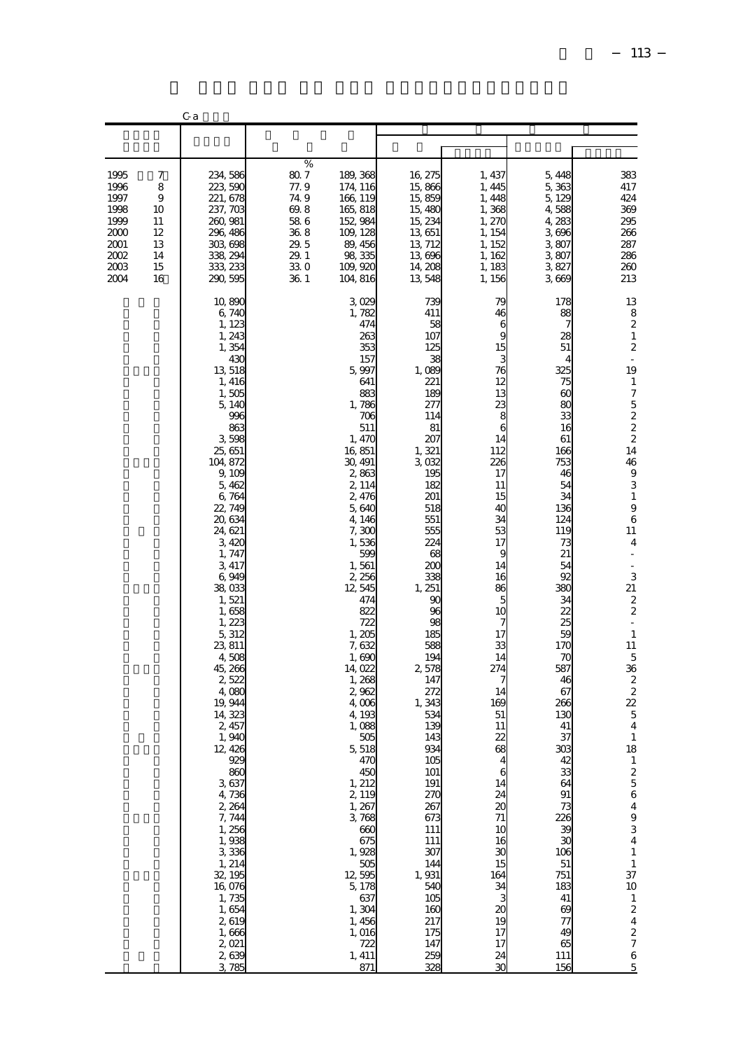|                                                                              |                                                       | C a                                                                                                                                                                                                                                                                                                                                                                                                                                                                                                                                                                                       |                                                                                   |                                                                                                                                                                                                                                                                                                                                                                                                                                                                                                                           |                                                                                                                                                                                                                                                                                                                                                                                                                                   |                                                                                                                                                                                                                                                                                                                                                                      |                                                                                                                                                                                                                                                                                                                                                                                                     |                                                                                                                                                                                                                                                                                                                                                                                                                                                                                                                                                                                                                                                                                                                                                                                                           |
|------------------------------------------------------------------------------|-------------------------------------------------------|-------------------------------------------------------------------------------------------------------------------------------------------------------------------------------------------------------------------------------------------------------------------------------------------------------------------------------------------------------------------------------------------------------------------------------------------------------------------------------------------------------------------------------------------------------------------------------------------|-----------------------------------------------------------------------------------|---------------------------------------------------------------------------------------------------------------------------------------------------------------------------------------------------------------------------------------------------------------------------------------------------------------------------------------------------------------------------------------------------------------------------------------------------------------------------------------------------------------------------|-----------------------------------------------------------------------------------------------------------------------------------------------------------------------------------------------------------------------------------------------------------------------------------------------------------------------------------------------------------------------------------------------------------------------------------|----------------------------------------------------------------------------------------------------------------------------------------------------------------------------------------------------------------------------------------------------------------------------------------------------------------------------------------------------------------------|-----------------------------------------------------------------------------------------------------------------------------------------------------------------------------------------------------------------------------------------------------------------------------------------------------------------------------------------------------------------------------------------------------|-----------------------------------------------------------------------------------------------------------------------------------------------------------------------------------------------------------------------------------------------------------------------------------------------------------------------------------------------------------------------------------------------------------------------------------------------------------------------------------------------------------------------------------------------------------------------------------------------------------------------------------------------------------------------------------------------------------------------------------------------------------------------------------------------------------|
|                                                                              |                                                       |                                                                                                                                                                                                                                                                                                                                                                                                                                                                                                                                                                                           |                                                                                   |                                                                                                                                                                                                                                                                                                                                                                                                                                                                                                                           |                                                                                                                                                                                                                                                                                                                                                                                                                                   |                                                                                                                                                                                                                                                                                                                                                                      |                                                                                                                                                                                                                                                                                                                                                                                                     |                                                                                                                                                                                                                                                                                                                                                                                                                                                                                                                                                                                                                                                                                                                                                                                                           |
| 1995<br>1996<br>1997<br>1998<br>1999<br>2000<br>2001<br>2002<br>2003<br>2004 | 7<br>8<br>9<br>10<br>11<br>12<br>13<br>14<br>15<br>16 | 234, 586<br>223, 590<br>221, 678<br>237, 703<br>260, 981<br>296, 486<br>303, 698<br>338, 294<br>333, 233<br>290, 595                                                                                                                                                                                                                                                                                                                                                                                                                                                                      | %<br>80.7<br>77.9<br>74.9<br>69.8<br>58.6<br>36.8<br>29.5<br>29.1<br>33.0<br>36.1 | 189, 368<br>174, 116<br>166, 119<br>165, 818<br>152, 984<br>109, 128<br>89, 456<br>98, 335<br>109, 920<br>104, 816                                                                                                                                                                                                                                                                                                                                                                                                        | 16, 275<br>15,866<br>15,859<br>15, 480<br>15, 234<br>13,651<br>13, 712<br>13,696<br>14, 208<br>13,548                                                                                                                                                                                                                                                                                                                             | 1, 437<br>1,445<br>1, 448<br>1,368<br>1, 270<br>1, 154<br>1, 152<br>1, 162<br>1, 183<br>1, 156                                                                                                                                                                                                                                                                       | 5,448<br>5,363<br>5, 129<br>4,588<br>4,283<br>3,696<br>3,807<br>3,807<br>3,827<br>3,669                                                                                                                                                                                                                                                                                                             | 383<br>417<br>424<br>369<br>295<br>266<br>287<br>286<br>260<br>213                                                                                                                                                                                                                                                                                                                                                                                                                                                                                                                                                                                                                                                                                                                                        |
|                                                                              |                                                       | 10,890<br>6,740<br>1, 123<br>1, 243<br>1,354<br>430<br>13,518<br>1, 416<br>1,505<br>5, 140<br>996<br>863<br>3,598<br>25, 651<br>104, 872<br>9, 109<br>5,462<br>6,764<br>22, 749<br>20, 634<br>24, 621<br>3, 420<br>1, 747<br>3, 417<br>6,949<br>38,033<br>1,521<br>1,658<br>1, 223<br>5,312<br>23, 811<br>4,508<br>45, 266<br>2522<br>4,080<br>19, 944<br>14,323<br>2, 457<br>1,940<br>12, 426<br>929<br>860<br>3,637<br>4,736<br>2, 264<br>7, 744<br>1, 256<br>1,938<br>3,336<br>$\frac{1}{1}$ , 214<br>32, 195<br>16,076<br>1,735<br>1,654<br>2,619<br>1,666<br>2,021<br>2,639<br>3,785 |                                                                                   | 3,029<br>1,782<br>474<br>263<br>353<br>157<br>5,997<br>641<br>883<br>1,786<br>706<br>511<br>1, 470<br>16,851<br>30, 491<br>2,863<br>2, 114<br>2,476<br>5,640<br>4,146<br>7,300<br>1,536<br>599<br>1,561<br>2,256<br>12,545<br>474<br>822<br>722<br>1,205<br>7,632<br>1,690<br>14,022<br>1,268<br>2,962<br>4,006<br>4, 193<br>1,088<br>505<br>5,518<br>470<br>450<br>1, 212<br>2, 119<br>1, 267<br>3,768<br>660<br>675<br>1,928<br>$\frac{505}{12}$<br>5, 178<br>$637$<br>1, 304<br>1,456<br>1,016<br>722<br>1, 411<br>871 | 739<br>411<br>58<br>107<br>125<br>38<br>1,089<br>221<br>189<br>277<br>114<br>81<br>207<br>1,321<br>3,032<br>195<br>182<br>201<br>518<br>551<br>555<br>224<br>68<br>200<br>338<br>1, 251<br>90<br>96<br>98<br>185<br>588<br>194<br>2,578<br>147<br>272<br>1,343<br>534<br>139<br>143<br>934<br>105<br>101<br>191<br>270<br>267<br>673<br>111<br>111<br>307<br>144<br>1,931<br>540<br>105<br>160<br>217<br>175<br>147<br>259<br>328 | 79<br>46<br>6<br>9<br>15<br>3<br>76<br>12<br>13<br>23<br>$\frac{8}{6}$<br>14<br>112<br>226<br>17<br>11<br>15<br>40<br>34<br>53<br>17<br>9<br>14<br>16<br>86<br>5<br>10<br>7<br>17<br>33<br>14<br>274<br>7<br>14<br>169<br>51<br>11<br>22<br>68<br>4<br>6<br>14<br>24<br>$\infty$<br>71<br>10<br>16<br>30<br>15<br>164<br>34<br>3<br>20<br>19<br>17<br>17<br>24<br>ЗС | 178<br>88<br>28<br>51<br>4<br>325<br>75<br>$\alpha$<br>80<br>33<br>16<br>61<br>166<br>753<br>46<br>54<br>34<br>136<br>124<br>119<br>73<br>21<br>54<br>92<br>380<br>34<br>$\frac{22}{25}$<br>59<br>170<br>70<br>587<br>46<br>67<br>266<br>130<br>41<br>37<br>303<br>42<br>33<br>64<br>91<br>73<br>226<br>39<br>$\mathfrak{A}$<br>106<br>51<br>751<br>183<br>41<br>69<br>77<br>49<br>65<br>111<br>156 | 13<br>8<br>$\boldsymbol{2}$<br>$\,1\,$<br>$\boldsymbol{2}$<br>$\overline{\phantom{a}}$<br>19<br>$\mathbf 1$<br>$\boldsymbol{7}$<br>$\mathbf 5$<br>$\begin{matrix} 2 \\ 2 \\ 2 \end{matrix}$<br>$14\,$<br>46<br>$\begin{array}{c} 9 \\ 3 \end{array}$<br>$\,1\,$<br>$\overline{9}$<br>$\,6$<br>11<br>$\overline{4}$<br>$\frac{1}{2}$<br>$\overline{a}$<br>$\ensuremath{\mathsf{3}}$<br>21<br>$\boldsymbol{2}$<br>$\boldsymbol{2}$<br>$\overline{\phantom{a}}$<br>$\mathbf{1}$<br>11<br>$\mathbf 5$<br>36<br>$\frac{2}{2}$<br>22<br>$\overline{5}$<br>$\sqrt{4}$<br>$\mathbf{1}$<br>18<br>$\mathbf{1}$<br>$\begin{array}{c} 2 \\ 5 \\ 6 \end{array}$<br>$\overline{\mathbf{4}}$<br>$\frac{9}{3}$<br>$\overline{\mathbf{4}}$<br>$\,1\,$<br>$\,$ 1 $\,$<br>37<br>10<br>12427<br>$\,$ 6 $\,$<br>$\overline{5}$ |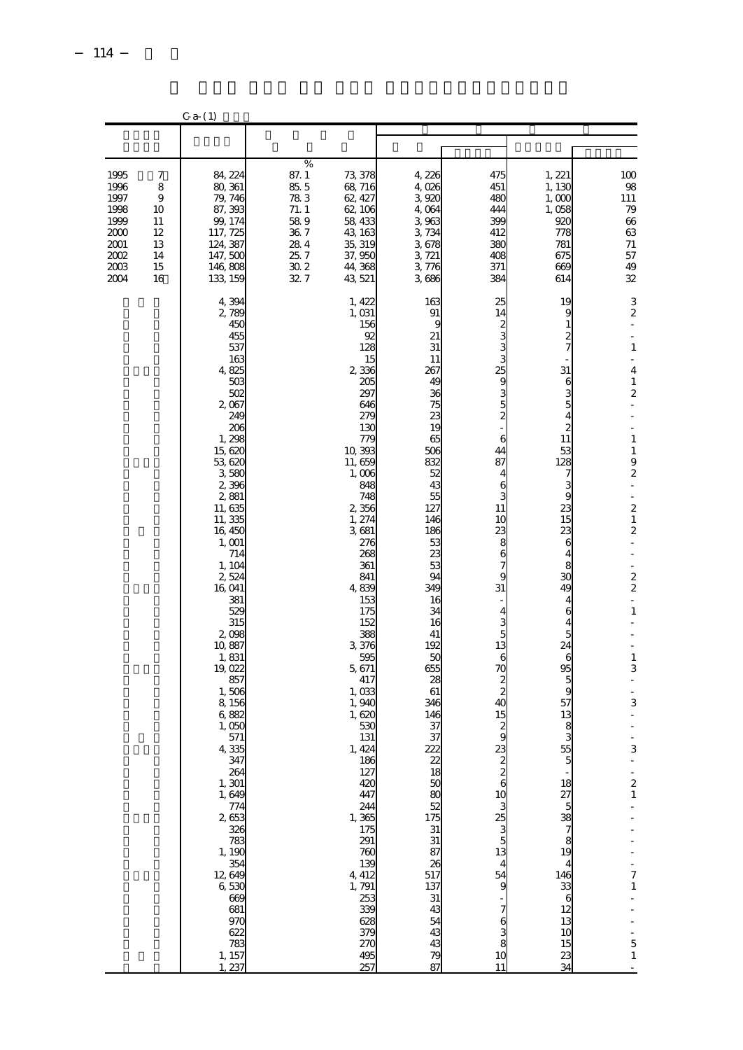|                                                                              |                                                       | $C_{a-} (1)$                                                                                                                                                                                                                                                                                                                                                                                                                                                                                               |                                                                                    |                                                                                                                                                                                                                                                                                                                                                                                                                                                                                           |                                                                                                                                                                                                                                                                                                                                                                                                          |                                                                                                                                                                                                                                                                                                                                                              |                                                                                                                                                                                                                                                                                                                                                      |                                                                                                                                                                                                                                                                                                                                                                                                                                                                                                                                                 |
|------------------------------------------------------------------------------|-------------------------------------------------------|------------------------------------------------------------------------------------------------------------------------------------------------------------------------------------------------------------------------------------------------------------------------------------------------------------------------------------------------------------------------------------------------------------------------------------------------------------------------------------------------------------|------------------------------------------------------------------------------------|-------------------------------------------------------------------------------------------------------------------------------------------------------------------------------------------------------------------------------------------------------------------------------------------------------------------------------------------------------------------------------------------------------------------------------------------------------------------------------------------|----------------------------------------------------------------------------------------------------------------------------------------------------------------------------------------------------------------------------------------------------------------------------------------------------------------------------------------------------------------------------------------------------------|--------------------------------------------------------------------------------------------------------------------------------------------------------------------------------------------------------------------------------------------------------------------------------------------------------------------------------------------------------------|------------------------------------------------------------------------------------------------------------------------------------------------------------------------------------------------------------------------------------------------------------------------------------------------------------------------------------------------------|-------------------------------------------------------------------------------------------------------------------------------------------------------------------------------------------------------------------------------------------------------------------------------------------------------------------------------------------------------------------------------------------------------------------------------------------------------------------------------------------------------------------------------------------------|
|                                                                              |                                                       |                                                                                                                                                                                                                                                                                                                                                                                                                                                                                                            |                                                                                    |                                                                                                                                                                                                                                                                                                                                                                                                                                                                                           |                                                                                                                                                                                                                                                                                                                                                                                                          |                                                                                                                                                                                                                                                                                                                                                              |                                                                                                                                                                                                                                                                                                                                                      |                                                                                                                                                                                                                                                                                                                                                                                                                                                                                                                                                 |
| 1995<br>1996<br>1997<br>1998<br>1999<br>2000<br>2001<br>2002<br>2003<br>2004 | 7<br>8<br>9<br>10<br>11<br>12<br>13<br>14<br>15<br>16 | 84, 224<br>80, 361<br>79, 746<br>87, 393<br>99, 174<br>117, 725<br>124, 387<br>147,500<br>146,808<br>133, 159                                                                                                                                                                                                                                                                                                                                                                                              | %<br>87.1<br>85.5<br>783<br>71.1<br>589<br>36.7<br>28.4<br>25.7<br>$30.2\,$<br>327 | 73, 378<br>68, 716<br>62, 427<br>62, 106<br>58, 433<br>43, 163<br>35, 319<br>37,950<br>44, 368<br>43, 521                                                                                                                                                                                                                                                                                                                                                                                 | 4,226<br>4,026<br>3,920<br>4,064<br>3,963<br>3,734<br>3,678<br>3, 721<br>3,776<br>3,686                                                                                                                                                                                                                                                                                                                  | 475<br>451<br>480<br>444<br>399<br>412<br>380<br>408<br>371<br>384                                                                                                                                                                                                                                                                                           | 1, 221<br>1,130<br>1,000<br>1,058<br>920<br>778<br>781<br>675<br>669<br>614                                                                                                                                                                                                                                                                          | 100<br>98<br>111<br>79<br>66<br>63<br>71<br>57<br>49<br>32                                                                                                                                                                                                                                                                                                                                                                                                                                                                                      |
|                                                                              |                                                       | 4,394<br>2,789<br>450<br>455<br>537<br>163<br>4,825<br>503<br>502<br>2,067<br>249<br>206<br>1,298<br>15,620<br>53, 620<br>3,580<br>2,396<br>2,881<br>11,635<br>11, 335<br>16,450<br>1, 001<br>714<br>1, 104<br>2,524<br>16,041<br>381<br>529<br>315<br>2,098<br>10,887<br>1,831<br>19,022<br>857<br>1,506<br>8,156<br>6,882<br>1,050<br>571<br>4,335<br>347<br>264<br>1, 301<br>1,649<br>$774$<br>2,653<br>326<br>783<br>1, 190<br>$12649$<br>6,530<br>669<br>681<br>970<br>622<br>783<br>1, 157<br>1, 237 |                                                                                    | 1, 422<br>1,031<br>156<br>92<br>128<br>15<br>2,336<br>205<br>297<br>646<br>27 <sub>C</sub><br>13C<br>779<br>10, 393<br>11,659<br>1,006<br>848<br>748<br>2,356<br>1, 274<br>3,681<br>276<br>268<br>361<br>841<br>4,839<br>153<br>175<br>152<br>388<br>3,376<br>595<br>5, 671<br>417<br>1,033<br>1,940<br>1,620<br>530<br>131<br>1, 424<br>186<br>127<br>42C<br>447<br>244<br>1,365<br>175<br>291<br>76C<br>139<br>4, 412<br>1, 791<br>253<br>339<br>628<br>379<br><b>270</b><br>495<br>257 | 163<br>91<br>9<br>21<br>31<br>11<br>267<br>49<br>36<br>75<br>23<br>19<br>65<br>506<br>832<br>52<br>43<br>55<br>127<br>146<br>186<br>53<br>23<br>53<br>94<br>349<br>16<br>34<br>16<br>41<br>192<br>50<br>655<br>28<br>61<br>346<br>146<br>37<br>37<br>222<br>22<br>$\frac{18}{50}$<br>80<br>52<br>175<br>$\frac{31}{31}$<br>87<br>$\frac{26}{517}$<br>137<br>$31$<br>$43$<br>$54$<br>43<br>43<br>79<br>87 | 25<br>14<br>$\boldsymbol{z}$<br>3<br>25<br>9<br>3<br>5<br>$\overline{\mathcal{Z}}$<br>6<br>44<br>87<br>4<br>6<br>11<br>10<br>23<br>8<br>6<br>9<br>31<br>4<br>5<br>13<br>6<br>70<br>$\frac{2}{2}$<br>40<br>15<br>9<br>23<br>$\frac{2}{6}$<br>10<br><u>ე გე</u><br>13<br>$\overline{4}$<br>54<br>9<br>6<br>$\begin{array}{c}\n3 \\ 8 \\ 10\n\end{array}$<br>11 | 19<br>9<br>1<br>$\frac{2}{7}$<br>31<br>6<br>3<br>5<br>4<br>$\overline{c}$<br>11<br>53<br>128<br>7<br>3<br>9<br>23<br>15<br>23<br>6<br>4<br>8<br>30<br>49<br>4<br>6<br>4<br>5<br>24<br>6<br>95<br>5<br>9<br>57<br>13<br>8<br>3<br>55<br>18<br>27<br>$\overline{5}$<br>$\frac{38}{8}$<br>19<br>4<br>146<br>33<br>6<br>12<br>13<br>10<br>15<br>23<br>34 | $\frac{3}{2}$<br>$\frac{1}{2}$<br>$\overline{\phantom{a}}$<br>$\,1\,$<br>$\overline{\phantom{a}}$<br>4<br>$\,1\,$<br>$\overline{\mathcal{L}}$<br>i,<br>$\,1\,$<br>1<br>9<br>$\overline{\mathcal{L}}$<br>$\overline{\phantom{a}}$<br>$\overline{a}$<br>$\begin{smallmatrix}2\\1\end{smallmatrix}$<br>$\overline{\mathcal{L}}$<br>i,<br>i,<br>$\frac{2}{2}$<br>$\overline{\phantom{0}}$<br>$\,1\,$<br>$\,1\,$<br>3<br>$\overline{a}$<br>i,<br>3<br>3<br>$\frac{1}{2}$<br>$\mathbf{1}$<br>7<br>$\mathbf{1}$<br>-<br>$\overline{5}$<br>$\mathbf{1}$ |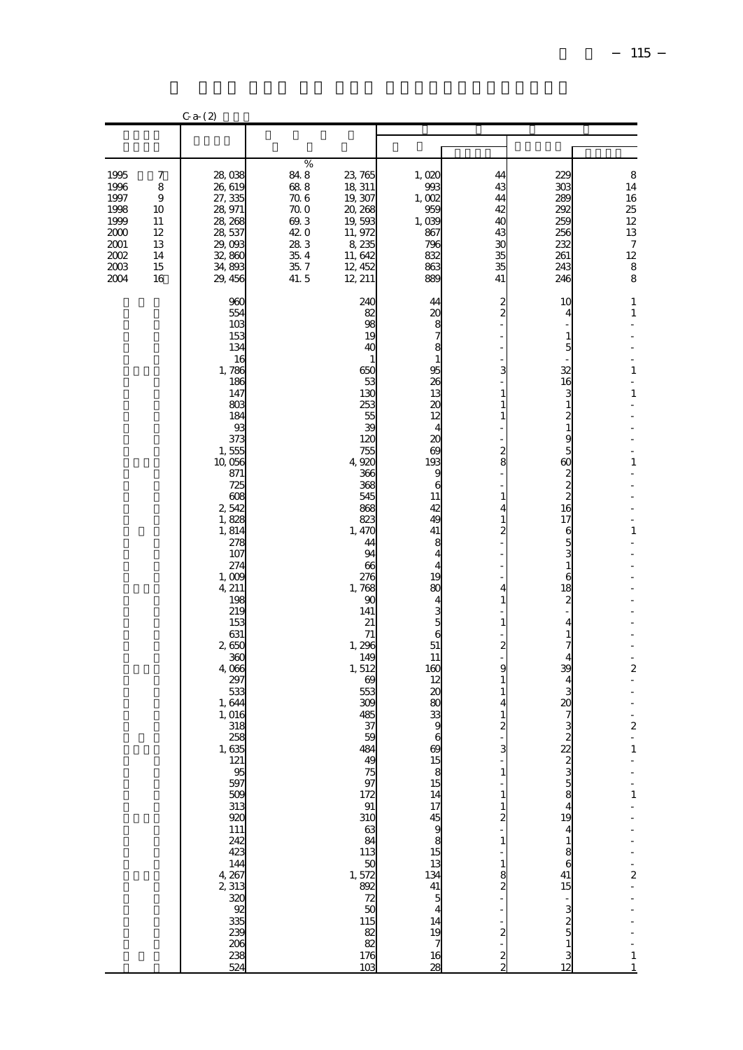|                                                                                  |                                                                      | $C - a - (2)$                                                                                                                                                                                                                                                                                                                                                                                                                                                          |                                                                                   |                                                                                                                                                                                                                                                                                                                                                                                                                                           |                                                                                                                                                                                                                                                                                                                                                                |                                                                                                                                                                                                                                                                                                                                                                                                                                                                                                                                                              |                                                                                                                                                                                                                                                                                                                                          |                                                                                                                                                                                                                                                                                                                                                                                                                                                                                   |
|----------------------------------------------------------------------------------|----------------------------------------------------------------------|------------------------------------------------------------------------------------------------------------------------------------------------------------------------------------------------------------------------------------------------------------------------------------------------------------------------------------------------------------------------------------------------------------------------------------------------------------------------|-----------------------------------------------------------------------------------|-------------------------------------------------------------------------------------------------------------------------------------------------------------------------------------------------------------------------------------------------------------------------------------------------------------------------------------------------------------------------------------------------------------------------------------------|----------------------------------------------------------------------------------------------------------------------------------------------------------------------------------------------------------------------------------------------------------------------------------------------------------------------------------------------------------------|--------------------------------------------------------------------------------------------------------------------------------------------------------------------------------------------------------------------------------------------------------------------------------------------------------------------------------------------------------------------------------------------------------------------------------------------------------------------------------------------------------------------------------------------------------------|------------------------------------------------------------------------------------------------------------------------------------------------------------------------------------------------------------------------------------------------------------------------------------------------------------------------------------------|-----------------------------------------------------------------------------------------------------------------------------------------------------------------------------------------------------------------------------------------------------------------------------------------------------------------------------------------------------------------------------------------------------------------------------------------------------------------------------------|
|                                                                                  |                                                                      |                                                                                                                                                                                                                                                                                                                                                                                                                                                                        |                                                                                   |                                                                                                                                                                                                                                                                                                                                                                                                                                           |                                                                                                                                                                                                                                                                                                                                                                |                                                                                                                                                                                                                                                                                                                                                                                                                                                                                                                                                              |                                                                                                                                                                                                                                                                                                                                          |                                                                                                                                                                                                                                                                                                                                                                                                                                                                                   |
| 1995<br>1996<br>1997<br>1998<br>1999<br>2000<br>2001<br>2002<br>$2003\,$<br>2004 | 7<br>8<br>$\boldsymbol{9}$<br>10<br>11<br>12<br>13<br>14<br>15<br>16 | 28,038<br>26,619<br>27, 335<br>28, 971<br>28, 268<br>28, 537<br>29,093<br>32,860<br>34,893<br>29, 456                                                                                                                                                                                                                                                                                                                                                                  | %<br>84.8<br>68.8<br>70.6<br>70.0<br>69.3<br>42.0<br>28.3<br>35.4<br>35.7<br>41.5 | 23, 765<br>18, 311<br>19, 307<br>20, 268<br>19,593<br>11, 972<br>8, 235<br>11, 642<br>12, 452<br>12, 211                                                                                                                                                                                                                                                                                                                                  | 1,020<br>993<br>1,002<br>959<br>1,039<br>867<br>796<br>832<br>863<br>889                                                                                                                                                                                                                                                                                       | 44<br>43<br>44<br>42<br>40<br>43<br>30<br>35<br>35<br>41                                                                                                                                                                                                                                                                                                                                                                                                                                                                                                     | 22C<br>303<br>289<br>292<br>259<br>256<br>232<br>261<br>243<br>246                                                                                                                                                                                                                                                                       | 8<br>14<br>16<br>25<br>12<br>13<br>$\boldsymbol{7}$<br>$12\,$<br>$\,$ 8 $\,$<br>8                                                                                                                                                                                                                                                                                                                                                                                                 |
|                                                                                  |                                                                      | 960<br>554<br>103<br>153<br>134<br>16<br>1,786<br>186<br>147<br>803<br>184<br>93<br>373<br>1,555<br>10,056<br>871<br>725<br>608<br>2,542<br>1,828<br>1,814<br>278<br>107<br>274<br>1,009<br>4, 211<br>198<br>219<br>153<br>631<br>2,650<br>36C<br>4,066<br>297<br>533<br>1,644<br>1,016<br>318<br>258<br>1,635<br>121<br>95<br>597<br>509<br>313<br>920<br>111<br>242<br>423<br>144<br>$\frac{4}{2}$ , $\frac{267}{2}$<br>320<br>92<br>335<br>239<br>206<br>238<br>524 |                                                                                   | 24C<br>82<br>98<br>19<br>4C<br>1<br>650<br>53<br>13C<br>253<br>55<br>æ<br>120<br>755<br>4,920<br>366<br>365<br>545<br>868<br>823<br>1, 470<br>44<br>94<br>66<br>276<br>1,768<br>$_{\rm sc}$<br>141<br>21<br>71<br>1,296<br>149<br>1,512<br>$_{\rm \alpha}$<br>553<br>300<br>485<br>37<br>59<br>484<br>49<br>75<br>97<br>172<br>$\frac{91}{310}$<br>63<br>84<br>113<br>50<br>$1,572$<br>$892$<br>72<br>50<br>115<br>82<br>82<br>176<br>103 | 44<br>20<br>$\frac{8}{7}$<br>8<br>$\mathbf{1}$<br>95<br>26<br>13<br>20<br>12<br>4<br>20<br>69<br>193<br>9<br>6<br>11<br>42<br>49<br>41<br>8<br>4<br>4<br>19<br>80<br>4<br>3<br>$\frac{5}{6}$<br>51<br>11<br>160<br>12<br>20<br>80<br>33<br>9<br>6<br>69<br>$\begin{array}{c} 15 \\ 8 \\ 15 \end{array}$<br>14<br>14<br>$\frac{19}{7}$<br>16<br>$\overline{28}$ | $\frac{2}{2}$<br>3<br>$\,1$<br>$\,1$<br>$\mathbf 1$<br>$\overline{a}$<br>$\frac{2}{9}$<br>$\overline{a}$<br>L,<br>$\mathbf{1}$<br>$\overline{4}$<br>$\,$ 1 $\,$<br>2<br>$\overline{a}$<br>Ĭ.<br>4<br>$\mathbf{1}$<br>$\overline{a}$<br>$\mathbf{1}$<br>2<br>9<br>$\mathbf 1$<br>$\mathbf{1}$<br>4<br>$\mathbf{1}$<br>$\overline{c}$<br>3<br>$\mathbf{1}$<br>$\overline{\phantom{0}}$<br>$\mathbf{1}$<br>$\begin{bmatrix} 1 \\ 2 \\ -1 \end{bmatrix}$<br>$\mathbf{1}$<br>$\frac{1}{2}$<br>$\frac{1}{2}$ 8<br>$\overline{a}$<br>$\frac{2}{1}$<br>$\frac{2}{2}$ | 10<br>4<br>$\mathbf{1}$<br>5<br>32<br>16<br>$\frac{3}{1}$<br>$\overline{\omega}$ $\approx$ $\overline{\omega}$ $\overline{\omega}$ $\omega$ $\approx$ $\overline{\omega}$<br>17<br>653<br>$\mathbf{1}$<br>$\frac{6}{2}$<br>4<br>$\mathbf{1}$<br>7<br>$\overline{4}$<br>39<br><b>⊿ س 8 ⊸ س م 8</b><br>15<br>$\frac{1}{3}$<br>3<br>3<br>12 | 1<br>$\mathbf{1}$<br>$\overline{a}$<br>$\overline{a}$<br>1<br>L,<br>$1\,$<br>$\overline{a}$<br>$\overline{a}$<br>1<br>L,<br>÷<br>$1\,$<br>$\frac{1}{2}$<br>$\overline{\mathbf{c}}$<br>$\overline{a}$<br>$\overline{a}$<br>$\overline{\phantom{a}}$<br>$\boldsymbol{z}$<br>$\overline{\phantom{a}}$<br>1<br>$\overline{a}$<br>i,<br>$\,1$<br>$\overline{a}$<br>$\overline{\phantom{a}}$<br>$\overline{a}$<br>$\overline{a}$<br>$\overline{\phantom{m}}$<br>$\,1\,$<br>$\mathbf{1}$ |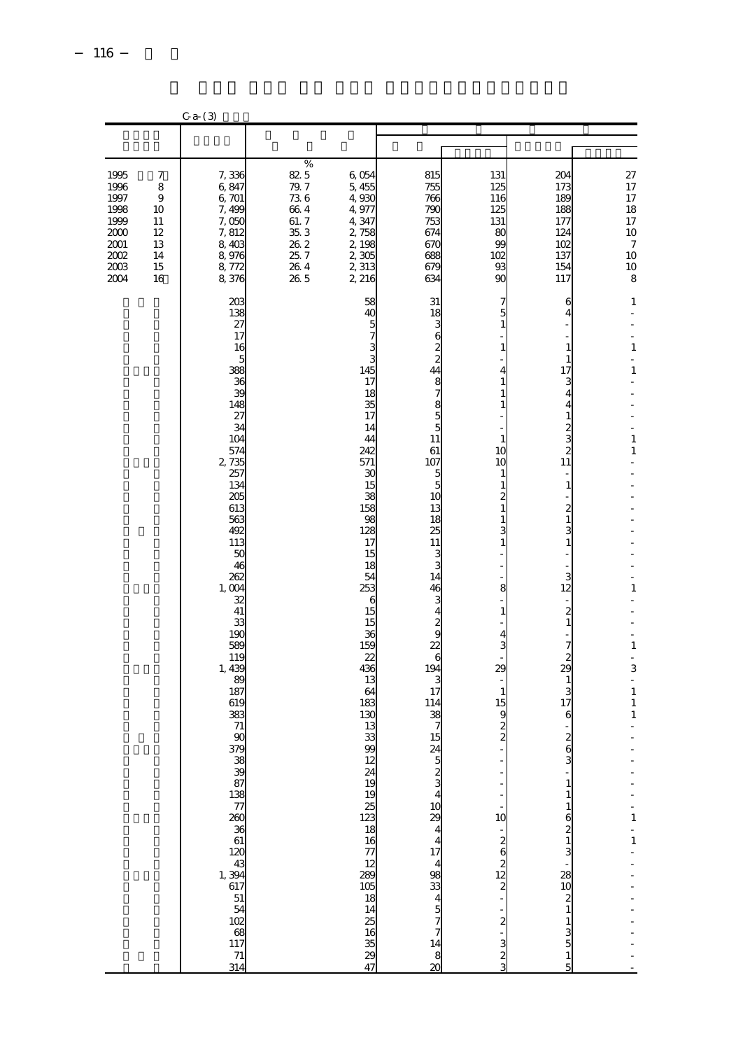|                                                                              |                                                                      | $C-a-$ (3)                                                                                                                                                                                                                                                                                                                                                             |                                                                                   |                                                                                                                                                                                                                                                                                                                                                                                   |                                                                                                                                                                                                                                                                                                                                                            |                                                                                                                                                                                                                                                                                                                                                                                                                                                |                                                                                                                                                                                                                                                                                                                                                                                                                            |                                                                                                                                                                                                                           |
|------------------------------------------------------------------------------|----------------------------------------------------------------------|------------------------------------------------------------------------------------------------------------------------------------------------------------------------------------------------------------------------------------------------------------------------------------------------------------------------------------------------------------------------|-----------------------------------------------------------------------------------|-----------------------------------------------------------------------------------------------------------------------------------------------------------------------------------------------------------------------------------------------------------------------------------------------------------------------------------------------------------------------------------|------------------------------------------------------------------------------------------------------------------------------------------------------------------------------------------------------------------------------------------------------------------------------------------------------------------------------------------------------------|------------------------------------------------------------------------------------------------------------------------------------------------------------------------------------------------------------------------------------------------------------------------------------------------------------------------------------------------------------------------------------------------------------------------------------------------|----------------------------------------------------------------------------------------------------------------------------------------------------------------------------------------------------------------------------------------------------------------------------------------------------------------------------------------------------------------------------------------------------------------------------|---------------------------------------------------------------------------------------------------------------------------------------------------------------------------------------------------------------------------|
|                                                                              |                                                                      |                                                                                                                                                                                                                                                                                                                                                                        |                                                                                   |                                                                                                                                                                                                                                                                                                                                                                                   |                                                                                                                                                                                                                                                                                                                                                            |                                                                                                                                                                                                                                                                                                                                                                                                                                                |                                                                                                                                                                                                                                                                                                                                                                                                                            |                                                                                                                                                                                                                           |
| 1995<br>1996<br>1997<br>1998<br>1999<br>2000<br>2001<br>2002<br>2003<br>2004 | $\boldsymbol{7}$<br>8<br>9<br>10<br>11<br>12<br>13<br>14<br>15<br>16 | 7,336<br>6,847<br>6,701<br>7, 499<br>7,050<br>7,812<br>8,403<br>8,976<br>8,772<br>8,376                                                                                                                                                                                                                                                                                | %<br>82 5<br>79.7<br>736<br>664<br>61.7<br>35.3<br>$26\ 2$<br>25.7<br>26.4<br>265 | 6,054<br>5,455<br>4,930<br>4,977<br>4,347<br>2,758<br>2, 198<br>2,305<br>2,313<br>2,216                                                                                                                                                                                                                                                                                           | 815<br>755<br>766<br>790<br>753<br>674<br>67C<br>688<br>679<br>634                                                                                                                                                                                                                                                                                         | 131<br>125<br>116<br>125<br>131<br>80<br>99<br>102<br>93<br>90                                                                                                                                                                                                                                                                                                                                                                                 | 204<br>173<br>18 <sup>c</sup><br>188<br>177<br>124<br>102<br>137<br>154<br>117                                                                                                                                                                                                                                                                                                                                             | 27<br>$\frac{17}{17}$<br>$\frac{17}{18}$<br>$\begin{array}{c} 17 \\ 10 \\ 7 \\ 10 \end{array}$<br>$\frac{10}{8}$                                                                                                          |
|                                                                              |                                                                      | 203<br>138<br>27<br>17<br>16<br>5<br>388<br>36<br>39<br>148<br>27<br>34<br>104<br>574<br>2,735<br>257<br>134<br>205<br>613<br>563<br>492<br>113<br>50<br>46<br>262<br>1,004<br>32<br>41<br>33<br>190<br>589<br>119<br>1, 439<br>89<br>187<br>619<br>383<br>71<br>90<br>379<br>ය සිරි පියි සිදු සි<br>$120$<br>$1,394$<br>$617$<br>$51$<br>$102$<br>$68$<br>$117$<br>71 |                                                                                   | 58<br>40<br>5<br>$\overline{\phantom{a}}$<br>3<br>3<br>145<br>17<br>18<br>35<br>17<br>14<br>44<br>242<br>571<br>$\mathfrak{X}$<br>15<br>38<br>158<br>98<br>128<br>17<br>15<br>18<br>54<br>253<br>6<br>15<br>15<br>36<br>159<br>22<br>436<br>13<br>64<br>183<br>130<br>13<br>33<br>99<br>12<br>24<br>19<br>$19.38$<br>289<br>$105$<br>$18$<br>$14$<br>$25$<br>$16$<br>$35$<br>$29$ | 31<br>18<br>3<br>6<br>$\frac{2}{2}$<br>44<br>$\frac{8}{7}$<br>8<br>5<br>5<br>11<br>61<br>107<br>5<br>5<br>10<br>13<br>18<br>25<br>11<br>3<br>3<br>14<br>46<br>3<br>4<br>$\overline{\mathcal{Z}}$<br>9<br>22<br>6<br>194<br>3<br>17<br>114<br>38<br>7<br>15<br>24<br>ی « ۵ ۵ ۵ ۵ ۵ ۵ ۵ ۵ ۳ م ۵ % ۵ ۵ ۵ م م ۶ ۳ م ⊗<br>© ۵ ۵ ۵ ۵ ۵ س ۵ % ۵ ۵ م م م ۶ ۲ م ۵ % | 7<br>5<br>$\mathbf{1}$<br>$\mathbf{1}$<br>4<br>$\mathbf{1}$<br>1<br>1<br>1<br>10<br>10<br>1<br>1<br>2<br>$\mathbf{1}$<br>1<br>3<br>$\mathbf{1}$<br>8<br>$\mathbf{1}$<br>4<br>3<br>29<br>$\mathbf{1}$<br>15<br>9<br>$\boldsymbol{z}$<br>$\overline{\mathcal{Z}}$<br>$\frac{1}{2}$<br>$\overline{\phantom{a}}$<br>10<br>$\overline{\phantom{a}}$<br>$\begin{array}{c}\n 2 \\  6 \\  2 \\  12\n \end{array}$<br>Ĭ.<br>$\frac{1}{2}$<br>Ĭ,<br>3233 | 6<br>4<br>$\mathbf{1}$<br>$\mathbf{1}$<br>17<br>3<br>4<br>$\overline{4}$<br>$\frac{1}{2}$<br>11<br>$\,1\,$<br>$\overline{\mathcal{Z}}$<br>$\,$ 1 $\,$<br>3<br>$\mathbf{1}$<br>3<br>12<br>$\frac{2}{1}$<br>$\overline{\phantom{a}}$<br>$\frac{2}{29}$<br>$\frac{1}{3}$<br>17<br>6<br>$\frac{2}{6}$<br>$\,$ 1 $\,$<br>$\mathbf{1}$<br>$\mathbf{1}$<br>$\frac{6}{3}$<br>28<br>10<br>2<br>1<br>3<br>5<br>1<br>3<br>5<br>1<br>5 | 1<br>$\overline{\phantom{0}}$<br>$\,1$<br>$\overline{a}$<br>1<br>$\mathbf{1}$<br>1<br>$\overline{a}$<br>1<br>$\frac{1}{2}$<br>$\,$ 1 $\,$<br>$\frac{1}{3}$ - 1<br>$\mathbf{1}$<br>$\mathbf{1}$<br>1<br>i,<br>$\mathbf{1}$ |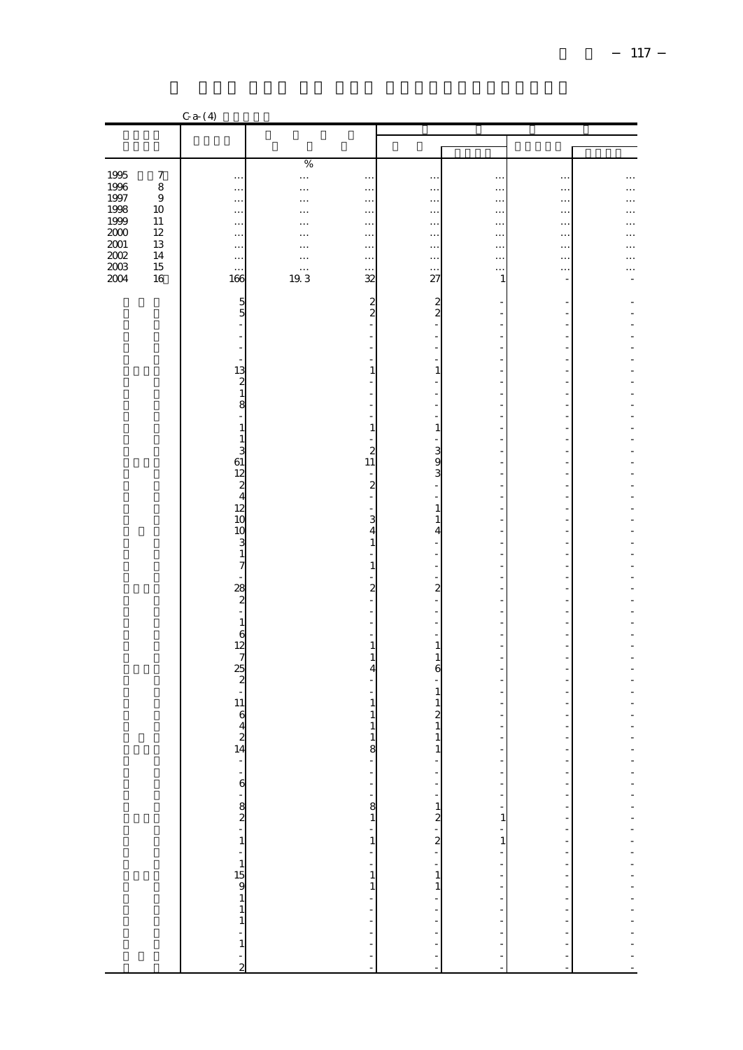|                                             |                  | $C - a - (4)$                                                                                                                         |                      |                                           |                                          |                              |                                                         |                 |
|---------------------------------------------|------------------|---------------------------------------------------------------------------------------------------------------------------------------|----------------------|-------------------------------------------|------------------------------------------|------------------------------|---------------------------------------------------------|-----------------|
|                                             |                  |                                                                                                                                       |                      |                                           |                                          |                              |                                                         |                 |
|                                             |                  |                                                                                                                                       |                      |                                           |                                          |                              |                                                         |                 |
|                                             |                  |                                                                                                                                       |                      |                                           |                                          |                              |                                                         |                 |
|                                             |                  |                                                                                                                                       | $\%$                 |                                           |                                          |                              |                                                         |                 |
| $\begin{array}{c} 1995 \\ 1996 \end{array}$ | $\boldsymbol{7}$ | $\cdot \cdot \cdot$                                                                                                                   | $\cdots$             | $\ddot{\phantom{0}}$                      | $\ddot{\cdot}$                           | $\ddot{\cdot}$               | $\ddot{\cdot}$                                          |                 |
|                                             | $\bf8$           | $\ldots$                                                                                                                              |                      | $\ddotsc$                                 | $\ddotsc$                                | $\ddotsc$                    | $\ddotsc$                                               |                 |
| 1997<br>1998                                | $\overline{9}$   | $\cdots$                                                                                                                              | $\cdots$             | $\ddotsc$                                 | $\ldots$                                 | .                            | $\cdots$                                                | .               |
| 1999                                        | $10\,$<br>$11\,$ | $\cdots$                                                                                                                              | .                    | $\ldots$                                  | $\cdots$                                 |                              | $\cdots$                                                | $\ddotsc$       |
| $2000\,$                                    | $12\,$           | $\ldots$                                                                                                                              | . .                  | $\ddotsc$                                 | $\ddotsc$                                | $\ldots$                     | $\ddot{\phantom{0}}$                                    | . .             |
|                                             | 13               | $\cdots$                                                                                                                              | $\cdots$             | $\ddotsc$                                 | $\ldots$                                 | $\cdots$                     | $\cdots$                                                | .               |
| $\frac{2001}{2002}$                         | 14               | $\cdots$                                                                                                                              | .                    | $\cdots$                                  | $\ddotsc$                                | $\ldots$                     | $\ldots$                                                | $\ddotsc$<br>.  |
| $2003\,$                                    | 15               | $\ddot{\phantom{0}}$<br>$\ldots$                                                                                                      | $\cdots$<br>$\cdots$ | $\ddotsc$<br>$\cdots$                     | $\cdots$<br>$\cdots$                     | $\ldots$<br>.                | <br>$\ddots$                                            | .               |
| 2004                                        | 16               | 166                                                                                                                                   | 19.3                 | 32                                        | 27                                       | $\mathbf{1}$                 | Ĭ.                                                      |                 |
|                                             |                  |                                                                                                                                       |                      |                                           |                                          |                              |                                                         |                 |
|                                             |                  | $\frac{5}{5}$                                                                                                                         |                      | $\frac{2}{2}$                             |                                          |                              |                                                         |                 |
|                                             |                  |                                                                                                                                       |                      |                                           | $\frac{2}{2}$                            | $\overline{a}$               |                                                         |                 |
|                                             |                  | $\frac{1}{2}$                                                                                                                         |                      | $\frac{1}{2}$                             |                                          |                              |                                                         |                 |
|                                             |                  | ÷                                                                                                                                     |                      | $\overline{a}$                            | ÷                                        |                              |                                                         |                 |
|                                             |                  | L,                                                                                                                                    |                      | $\overline{a}$                            | $\frac{1}{2}$                            | Ĭ.                           |                                                         |                 |
|                                             |                  | $\overline{a}$                                                                                                                        |                      | L,                                        | $\qquad \qquad \blacksquare$             | L,                           |                                                         |                 |
|                                             |                  |                                                                                                                                       |                      | $\mathbf{1}$                              | 1                                        |                              |                                                         |                 |
|                                             |                  |                                                                                                                                       |                      |                                           |                                          | $\overline{a}$               |                                                         |                 |
|                                             |                  |                                                                                                                                       |                      | Ĭ.<br>l,                                  | L,                                       | L,<br>Ĭ.                     |                                                         |                 |
|                                             |                  |                                                                                                                                       |                      |                                           | L,                                       | Ĭ.                           |                                                         |                 |
|                                             |                  | $1322$<br>$8 - 132$<br>$1 - 1$<br>$1 - 1$<br><br><br><br><br><br><br><br><br><br><br><br><br><br><br><br><br><br><br><br><br><br><br> |                      | L,<br>$\mathbf{1}$                        | $\overline{\phantom{0}}$<br>$\mathbf{1}$ | L,                           |                                                         |                 |
|                                             |                  |                                                                                                                                       |                      | L,                                        | $\overline{a}$                           | Ĭ.                           |                                                         |                 |
|                                             |                  |                                                                                                                                       |                      |                                           |                                          |                              |                                                         |                 |
|                                             |                  | 61                                                                                                                                    |                      | $\begin{array}{c} 2 \\ 11 \end{array}$    | ى مەن                                    |                              |                                                         |                 |
|                                             |                  |                                                                                                                                       |                      | $\overline{\phantom{a}}$                  |                                          |                              |                                                         |                 |
|                                             |                  | $\frac{12}{2}$<br>$\frac{4}{12}$                                                                                                      |                      | $\overline{\mathbf{c}}$                   | ÷                                        |                              |                                                         |                 |
|                                             |                  |                                                                                                                                       |                      | $\frac{1}{2}$                             |                                          |                              |                                                         |                 |
|                                             |                  |                                                                                                                                       |                      | $\overline{a}$                            | $\,1\,$                                  | Ĭ.                           |                                                         |                 |
|                                             |                  | 10                                                                                                                                    |                      | $\mathbf{3}$                              | $\mathbf{1}$                             |                              |                                                         |                 |
|                                             |                  | 10                                                                                                                                    |                      | $\frac{4}{1}$                             | 4                                        |                              |                                                         |                 |
|                                             |                  |                                                                                                                                       |                      |                                           | ÷                                        | Ĭ.                           |                                                         |                 |
|                                             |                  | $\frac{3}{7}$                                                                                                                         |                      | ÷,                                        | Ĭ,                                       |                              |                                                         |                 |
|                                             |                  |                                                                                                                                       |                      | $\mathbf{1}$                              |                                          |                              |                                                         |                 |
|                                             |                  | $\overline{a}$                                                                                                                        |                      | $\overline{\phantom{0}}$                  | $\overline{a}$                           | Ĭ.                           |                                                         |                 |
|                                             |                  |                                                                                                                                       |                      | $\overline{\mathbf{c}}$<br>$\overline{a}$ | <br> -                                   |                              |                                                         |                 |
|                                             |                  |                                                                                                                                       |                      | l,                                        | ÷                                        |                              |                                                         |                 |
|                                             |                  |                                                                                                                                       |                      | L,                                        | L,                                       |                              |                                                         |                 |
|                                             |                  |                                                                                                                                       |                      |                                           |                                          |                              |                                                         |                 |
|                                             |                  |                                                                                                                                       |                      | $\mathbf{1}$                              | $\,1$                                    |                              |                                                         |                 |
|                                             |                  | $28 - 16$<br>$-16$<br>$-25$<br>$-25$                                                                                                  |                      | $\mathbf{1}$                              | 1                                        |                              |                                                         |                 |
|                                             |                  |                                                                                                                                       |                      | 4                                         | 6                                        |                              |                                                         |                 |
|                                             |                  |                                                                                                                                       |                      | L,                                        | $\overline{\phantom{0}}$                 |                              |                                                         |                 |
|                                             |                  |                                                                                                                                       |                      | L,                                        | $\,1\,$                                  |                              |                                                         |                 |
|                                             |                  | 11                                                                                                                                    |                      | $\mathbf{1}$                              |                                          |                              |                                                         |                 |
|                                             |                  |                                                                                                                                       |                      | $\mathbf{1}$                              | $\frac{1}{2}$                            |                              |                                                         |                 |
|                                             |                  | $642$<br>14                                                                                                                           |                      | $\mathbf{1}$                              |                                          |                              |                                                         |                 |
|                                             |                  |                                                                                                                                       |                      | $\frac{1}{8}$                             | 1<br>1                                   |                              |                                                         |                 |
|                                             |                  |                                                                                                                                       |                      |                                           |                                          | $\qquad \qquad \blacksquare$ |                                                         |                 |
|                                             |                  |                                                                                                                                       |                      |                                           |                                          |                              |                                                         |                 |
|                                             |                  |                                                                                                                                       |                      |                                           |                                          |                              |                                                         | $\frac{1}{2}$   |
|                                             |                  |                                                                                                                                       |                      |                                           |                                          |                              |                                                         |                 |
|                                             |                  |                                                                                                                                       |                      |                                           |                                          |                              |                                                         |                 |
|                                             |                  |                                                                                                                                       |                      |                                           |                                          |                              | $\overline{\phantom{a}}$                                |                 |
|                                             |                  |                                                                                                                                       |                      |                                           |                                          |                              | ÷                                                       |                 |
|                                             |                  |                                                                                                                                       |                      |                                           |                                          |                              | $\overline{\phantom{a}}$                                | --------------- |
|                                             |                  |                                                                                                                                       |                      |                                           |                                          |                              | ÷                                                       |                 |
|                                             |                  |                                                                                                                                       |                      |                                           |                                          |                              | -                                                       |                 |
|                                             |                  |                                                                                                                                       |                      |                                           |                                          |                              | -                                                       |                 |
|                                             |                  |                                                                                                                                       |                      |                                           |                                          |                              | $\overline{\phantom{a}}$                                |                 |
|                                             |                  |                                                                                                                                       |                      |                                           |                                          |                              |                                                         |                 |
|                                             |                  |                                                                                                                                       |                      |                                           |                                          |                              | $\frac{1}{2}$                                           |                 |
|                                             |                  |                                                                                                                                       |                      |                                           |                                          |                              |                                                         |                 |
|                                             |                  |                                                                                                                                       |                      |                                           |                                          |                              |                                                         |                 |
|                                             |                  |                                                                                                                                       |                      |                                           |                                          |                              | $\begin{bmatrix} 1 & 1 \\ 1 & 1 \\ 1 & 1 \end{bmatrix}$ |                 |
|                                             |                  | $-6 - 82 - 1 - 15911 - 1 - 2$                                                                                                         |                      |                                           |                                          |                              |                                                         |                 |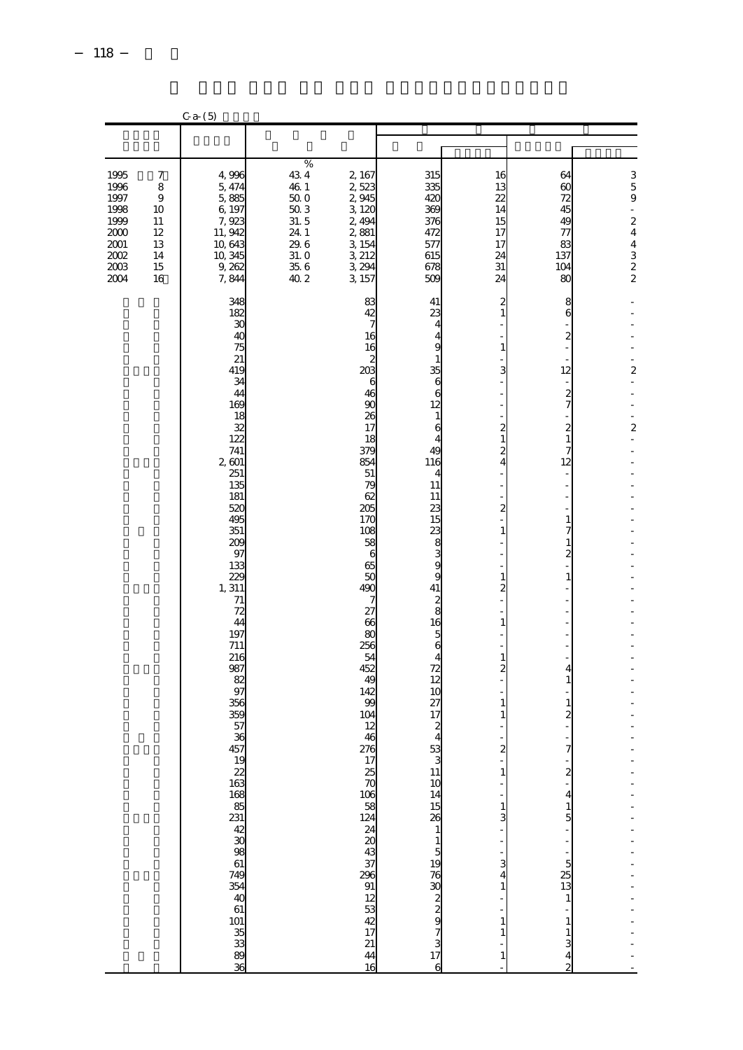|                                                                              |                                                                      | $C-a- (5)$                                                                                                                                                                                                                                                                                                                                |                                                                                            |                                                                                                                                                                                                                                                                                                                                                                               |                                                                                                                                                                                                                                                                                                                                                                                   |                                                                                                                                                                                                                                                                                                                                                                                                                                                 |                                                                                                                                                                                                                                                                                                                                                                      |                                                                                                      |
|------------------------------------------------------------------------------|----------------------------------------------------------------------|-------------------------------------------------------------------------------------------------------------------------------------------------------------------------------------------------------------------------------------------------------------------------------------------------------------------------------------------|--------------------------------------------------------------------------------------------|-------------------------------------------------------------------------------------------------------------------------------------------------------------------------------------------------------------------------------------------------------------------------------------------------------------------------------------------------------------------------------|-----------------------------------------------------------------------------------------------------------------------------------------------------------------------------------------------------------------------------------------------------------------------------------------------------------------------------------------------------------------------------------|-------------------------------------------------------------------------------------------------------------------------------------------------------------------------------------------------------------------------------------------------------------------------------------------------------------------------------------------------------------------------------------------------------------------------------------------------|----------------------------------------------------------------------------------------------------------------------------------------------------------------------------------------------------------------------------------------------------------------------------------------------------------------------------------------------------------------------|------------------------------------------------------------------------------------------------------|
|                                                                              |                                                                      |                                                                                                                                                                                                                                                                                                                                           |                                                                                            |                                                                                                                                                                                                                                                                                                                                                                               |                                                                                                                                                                                                                                                                                                                                                                                   |                                                                                                                                                                                                                                                                                                                                                                                                                                                 |                                                                                                                                                                                                                                                                                                                                                                      |                                                                                                      |
| 1995<br>1996<br>1997<br>1998<br>1999<br>2000<br>2001<br>2002<br>2003<br>2004 | $\boldsymbol{7}$<br>8<br>9<br>10<br>11<br>12<br>13<br>14<br>15<br>16 | 4,996<br>5, 474<br>5,885<br>6, 197<br>7,923<br>11, 942<br>10,643<br>10, 345<br>9, 262<br>7,844                                                                                                                                                                                                                                            | %<br>43 4<br>46.1<br>$50\;0$<br>$50\,3$<br>31.5<br>24 1<br>29.6<br>31.0<br>$35\,6$<br>40.2 | 2, 167<br>2,523<br>2,945<br>3,120<br>2,494<br>2,881<br>3, 154<br>3, 212<br>3, 294<br>3, 157                                                                                                                                                                                                                                                                                   | 315<br>335<br>420<br>369<br>376<br>472<br>577<br>615<br>678<br>509                                                                                                                                                                                                                                                                                                                | 16<br>13<br>22<br>14<br>15<br>17<br>17<br>24<br>31<br>24                                                                                                                                                                                                                                                                                                                                                                                        | 64<br>60<br>72<br>45<br>49<br>77<br>83<br>137<br>104<br>80                                                                                                                                                                                                                                                                                                           | $\frac{3}{5}$<br>÷,<br>$\overline{\mathcal{L}}$<br>$\begin{array}{c}\n4 \\ 4 \\ 3 \\ 2\n\end{array}$ |
|                                                                              |                                                                      | 348<br>182<br>30<br>40<br>75<br>21<br>419<br>34<br>44<br>169<br>18<br>32<br>122<br>741<br>2,601<br>251<br>135<br>181<br>520<br>495<br>351<br>209<br>97<br>133<br>229<br>1,311<br>71<br>72<br>44<br>197<br>711<br>216<br>987<br>82<br>97<br>356<br>359<br>57<br>36<br>457<br>នេះ នេះ ក្នុង ក្នុង ក្នុង ក្នុង ក្នុង ក្នុង ក្នុង ក្នុង<br>36 |                                                                                            | 83<br>42<br>7<br>16<br>16<br>2<br>203<br>6<br>46<br>$\alpha$<br>26<br>17<br>18<br>379<br>854<br>51<br>79<br>62<br>205<br>170<br>108<br>58<br>6<br>65<br>50<br>490<br>7<br>27<br>66<br>8C<br>256<br>54<br>452<br>49<br>142<br>99<br>104<br>12<br>46<br>276<br>17.25 70.06 20.27 20.28 20.29 20.29 20.29 20.29 20.29 20.29 20.29 20.29 20.29 20.29 20.29 20.29 20.2<br>44<br>16 | 41<br>23<br>4<br>4<br>9<br>$\mathbf{1}$<br>35<br>6<br>6<br>12<br>$\mathbf{1}$<br>6<br>4<br>49<br>116<br>4<br>11<br>11<br>23<br>15<br>23<br>8<br>3<br>9<br>9<br>41<br>$\boldsymbol{z}$<br>8<br>16<br>5<br>6<br>4<br>72<br>12<br>10<br>27<br>17<br>2<br>4<br>53<br>$\overline{11}$<br>10<br>14 15 26 1 - 1 - 1 - 5 19 26 27 3 28 28 29 20 20 20 20 20 20 20 21 22<br>$\overline{6}$ | $\overline{a}$<br>$\mathbf{1}$<br>$\mathbf{1}$<br>3<br>$\overline{a}$<br>$\overline{c}$<br>$\,$ 1 $\,$<br>$\overline{\mathbf{c}}$<br>4<br>$\overline{c}$<br>$\mathbf{1}$<br>$\mathbf{1}$<br>$\overline{a}$<br>$\,1\,$<br>$\mathbf{1}$<br>$\overline{a}$<br>$\overline{a}$<br>1<br>$\mathbf{1}$<br>$\overline{\mathbf{c}}$<br>$\mathbf{1}$<br>$\mathbf 1$<br>3<br>$\frac{3}{4}$<br>$\mathbf{1}$<br>į,<br>$\,1\,$<br>$\mathbf{1}$<br>÷<br>$\,1\,$ | 8<br>6<br>$\overline{\mathcal{Z}}$<br>12<br>$\frac{2}{7}$<br>$\overline{\mathcal{Z}}$<br>$\mathbf{1}$<br>7<br>12<br>$\mathbf{1}$<br>7<br>$\,1$<br>$\overline{\mathcal{Z}}$<br>$\mathbf{1}$<br>4<br>$\,1$<br>$\,1$<br>2<br>7<br>$\frac{2}{1}$<br>$\overline{4}$<br>$\frac{1}{5}$<br>$\frac{5}{13}$<br>$\mathbf{1}$<br>$\mathbf{1}$<br>$\frac{1}{4}$<br>$\overline{c}$ | $\overline{c}$<br>$\frac{1}{2}$<br>$\frac{1}{2}$<br>$\overline{\mathcal{L}}$<br>L,                   |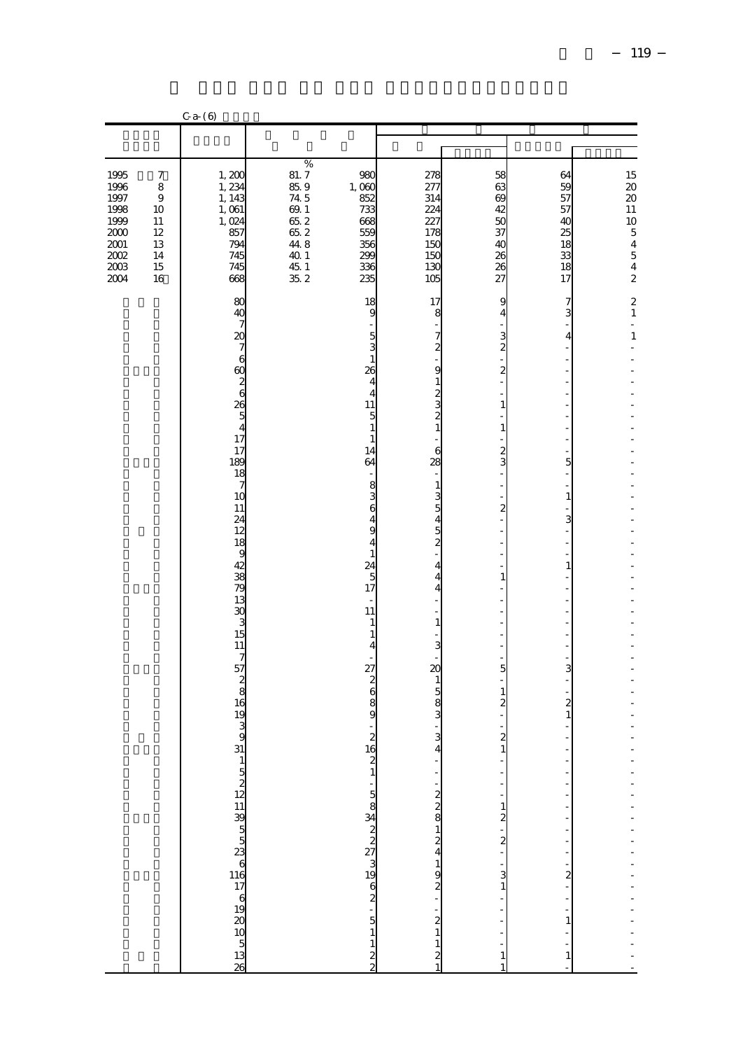|                                                                                          |                                                                                | $C - a - (6)$                                                                                                                                                                                                                                                                                                                      |                                                                                                                           |                                                                                                                                                                                                                                                                                                                                                            |                                                                                                                                                                                                                                                                                                               |                                                                                                                                                                                                                                                                                                           |                                                                                                                                                                                                                                                                                                                      |                                                                                           |
|------------------------------------------------------------------------------------------|--------------------------------------------------------------------------------|------------------------------------------------------------------------------------------------------------------------------------------------------------------------------------------------------------------------------------------------------------------------------------------------------------------------------------|---------------------------------------------------------------------------------------------------------------------------|------------------------------------------------------------------------------------------------------------------------------------------------------------------------------------------------------------------------------------------------------------------------------------------------------------------------------------------------------------|---------------------------------------------------------------------------------------------------------------------------------------------------------------------------------------------------------------------------------------------------------------------------------------------------------------|-----------------------------------------------------------------------------------------------------------------------------------------------------------------------------------------------------------------------------------------------------------------------------------------------------------|----------------------------------------------------------------------------------------------------------------------------------------------------------------------------------------------------------------------------------------------------------------------------------------------------------------------|-------------------------------------------------------------------------------------------|
|                                                                                          |                                                                                |                                                                                                                                                                                                                                                                                                                                    |                                                                                                                           |                                                                                                                                                                                                                                                                                                                                                            |                                                                                                                                                                                                                                                                                                               |                                                                                                                                                                                                                                                                                                           |                                                                                                                                                                                                                                                                                                                      |                                                                                           |
| 1995<br>1996<br>1997<br>1998<br>1999<br>$2000\,$<br>$2001\,$<br>$2002\,$<br>2003<br>2004 | $\boldsymbol{7}$<br>$\,$ 8 $\,$<br>9<br>10<br>11<br>12<br>13<br>14<br>15<br>16 | 1,200<br>1, 234<br>1, 143<br>1,061<br>1,024<br>857<br>794<br>745<br>745<br>668                                                                                                                                                                                                                                                     | $\%$<br>81.7<br>$\begin{array}{c} 85.9 \\ 74.5 \end{array}$<br>$69.1\,$<br>65.2<br>$65.2$<br>44.8<br>40.1<br>45.1<br>35.2 | 980<br>1,000<br>852<br>733<br>668<br>559<br>356<br>299<br>336<br>235                                                                                                                                                                                                                                                                                       | 278<br>277<br>314<br>224<br>227<br>178<br>150<br>150<br>130<br>105                                                                                                                                                                                                                                            | 58<br>63<br>69<br>42<br>50<br>37<br>40<br>26<br>26<br>27                                                                                                                                                                                                                                                  | 64<br>59<br>57<br>57<br>40<br>25<br>18<br>33<br>18<br>17                                                                                                                                                                                                                                                             | $\frac{15}{20}$<br>$11\,$<br>$\begin{array}{c} 10 \\ 5 \\ 4 \end{array}$<br>$\frac{5}{4}$ |
|                                                                                          |                                                                                | 80<br>40<br>$\overline{7}$<br>$\infty$<br>76026<br>26<br>$\begin{array}{c}\n5 \\ 4 \\ 17\n\end{array}$<br>17<br>189<br>18<br>$\overline{7}$<br>10<br>11<br>24<br>12<br>18<br>9<br>42<br>38<br>79<br>13<br>$\frac{30}{3}$<br>15<br>11<br>$\frac{7}{57}$<br>$\frac{2}{8}$<br>16<br>$\begin{array}{c} 19 \\ 3 \\ 9 \end{array}$<br>31 |                                                                                                                           | 18<br>9<br>÷<br>$\frac{5}{3}$<br>$\,1\,$<br>26<br>$\overline{4}$<br>$\overline{4}$<br>11<br>5<br>$\,1\,$<br>$\mathbf{1}$<br>14<br>64<br>8364<br>9<br>$\overline{4}$<br>$\,1\,$<br>24<br>$\frac{5}{17}$<br>$\overline{a}$<br>11<br>1<br>1<br>$\overline{4}$<br>$\overline{\phantom{0}}$<br>27<br>2680<br>$\begin{array}{c} \n\cdot \\ 2 \\ 16\n\end{array}$ | 17<br>8<br>$\begin{bmatrix} 7 \\ 2 \\ -1 \end{bmatrix}$<br>$9123$<br>$2321$<br>6<br>28<br>$\frac{1}{2}$<br>$\frac{1}{2}$ 3 4 5 4 5 4 5 4 5 2<br>$\frac{4}{4}$<br>$\overline{a}$<br>$\mathbf{1}$<br>$\mathbf{3}$<br>20<br>$\begin{array}{c}\n1 \\ 5 \\ 8\n\end{array}$<br>$\frac{3}{4}$<br>$-1212 - 21 - 2122$ | 9<br>4<br>$\frac{3}{2}$<br>$\overline{\mathbf{c}}$<br>$\overline{a}$<br>$\mathbf 1$<br>$\,1$<br>$\frac{2}{3}$<br>$\overline{\phantom{m}}$<br>$\overline{a}$<br>$\,1\,$<br>÷<br>5<br>$\overline{\phantom{m}}$<br>$\,1\,$<br>$\overline{c}$<br>$\frac{2}{1}$<br>$\begin{bmatrix} 1 \\ 1 \\ 1 \end{bmatrix}$ | 7<br>3<br>$\overline{a}$<br>$\overline{4}$<br>$\overline{a}$<br>$\overline{a}$<br>5<br>$\,1\,$<br>3<br>$\overline{a}$<br>$\overline{a}$<br>$\mathbf{1}$<br>$\overline{a}$<br>3<br>$\overline{a}$<br>$\frac{2}{1}$<br>$\frac{1}{2}$<br>$\frac{1}{2}$<br>$\frac{1}{2}$ $\frac{1}{2}$<br>$\frac{1}{1}$<br>$\frac{1}{1}$ | $\mathbf 2$<br>$\mathbf 1$<br>L,<br>$\,1\,$<br>$\frac{1}{1}$<br>$\overline{a}$            |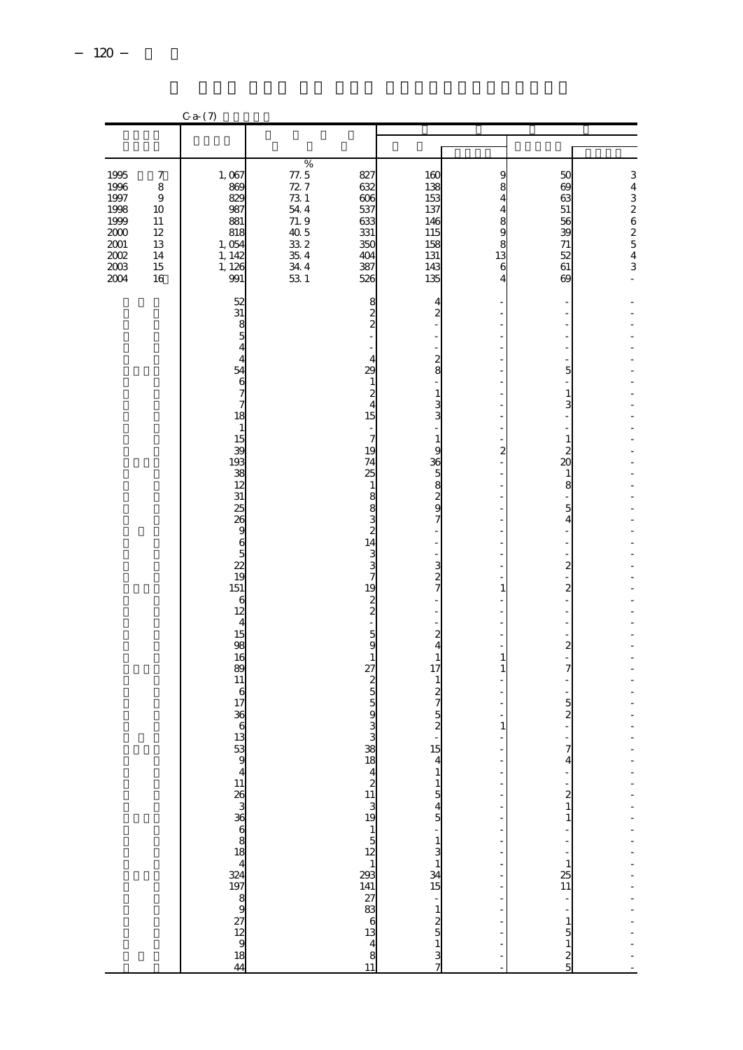| $\%$<br>77. 5<br>72. 7<br>1995<br>$\boldsymbol{7}$<br>1,067<br>827<br>160<br>50<br>9<br>8<br>869<br>138<br>1996<br>632<br>$\frac{8}{4}$<br>69<br>829<br>73 1<br>153<br>1997<br>$\,9$<br>606<br>63<br>$\overline{4}$<br>54.4<br>537<br>1998<br>10<br>987<br>137<br>51<br>71.9<br>898<br>1999<br>881<br>146<br>633<br>56<br>11<br>$\frac{40}{33}$ $\frac{5}{2}$<br>$2000\,$<br>818<br>331<br>39<br>12<br>115<br>$2001\,$<br>1,054<br>13<br>350<br>158<br>71<br>35.4<br>$2002\,$<br>1, 142<br>13<br>52<br>14<br>404<br>131<br>$2003\,$<br>34.4<br>$\mathbf{6}$<br>1, 126<br>387<br>143<br>15<br>61<br>991<br>53 1<br>135<br>2004<br>16<br>526<br>69<br>4<br>$\overline{a}$<br>52<br>8<br>4<br>$\frac{2}{2}$<br>$\overline{c}$<br>31<br>$\frac{8}{5}$<br>i,<br>$\overline{4}$<br>$\frac{1}{2}$<br>$\overline{4}$<br>4<br>54<br>29<br>5<br>-<br>$\begin{array}{c}\n6 \\ 7 \\ 18\n\end{array}$<br>$\mathbf{1}$<br>÷,<br>$\overline{\mathcal{Z}}$<br>$1\,$<br>$\,1$<br>$\overline{4}$<br>3<br>3<br>3<br>15                                                                                                                                                                                                                                  |  | $C-a-(7)$                                            |                |              |              |           |
|--------------------------------------------------------------------------------------------------------------------------------------------------------------------------------------------------------------------------------------------------------------------------------------------------------------------------------------------------------------------------------------------------------------------------------------------------------------------------------------------------------------------------------------------------------------------------------------------------------------------------------------------------------------------------------------------------------------------------------------------------------------------------------------------------------------------------------------------------------------------------------------------------------------------------------------------------------------------------------------------------------------------------------------------------------------------------------------------------------------------------------------------------------------------------------------------------------------------------------------|--|------------------------------------------------------|----------------|--------------|--------------|-----------|
|                                                                                                                                                                                                                                                                                                                                                                                                                                                                                                                                                                                                                                                                                                                                                                                                                                                                                                                                                                                                                                                                                                                                                                                                                                      |  |                                                      |                |              |              |           |
|                                                                                                                                                                                                                                                                                                                                                                                                                                                                                                                                                                                                                                                                                                                                                                                                                                                                                                                                                                                                                                                                                                                                                                                                                                      |  |                                                      |                |              |              | 343262543 |
| $\frac{2}{20}$<br>19<br>9<br>$\overline{a}$<br>74<br>36<br>9<br>9<br>9<br>25<br>$\frac{1}{8}$<br>12<br>$\mathbf{1}$<br>31<br>8<br>$\overline{\phantom{0}}$<br>$\overline{25}$<br>$\frac{5}{4}$<br>8<br>$\frac{3}{2}$<br>26<br>$\overline{7}$<br>96500<br>-<br>$\overline{a}$<br>14<br>3<br>$\frac{3}{7}$<br>$\frac{3}{2}$<br>$\overline{\mathcal{Z}}$<br>$\overline{\phantom{a}}$<br>$\overline{\mathbf{c}}$<br>151<br>7<br>19<br>1<br>$\epsilon$<br>$\frac{2}{2}$<br>$\overline{\phantom{0}}$<br>12<br>÷<br>$\overline{4}$<br>15<br>$\overline{\mathbf{c}}$<br>5<br>$\overline{\phantom{a}}$<br>98<br>9<br>$\overline{\mathcal{Z}}$<br>$\overline{4}$<br>16<br>$\,1\,$<br>$\mathbf{1}$<br>$\mathbf{1}$<br>89<br>7<br>27<br>17<br>1<br>$rac{2}{5}$<br>11<br>$\mathbf{1}$<br>$\epsilon$<br>$\frac{2}{7}$<br>17<br>$\frac{5}{2}$<br>5<br>$\frac{1}{36}$<br>13<br>$\mathbf{g}$<br>$\frac{5}{2}$<br>3<br>1<br>3<br>53<br>15<br>38<br>7<br><b>A H H &amp; w &amp; o w m &amp; W + m &amp; w &amp; m + m</b> o<br>4<br>$\mathbf{1}$<br>$\mathbf{1}$<br>$\frac{1}{2}$<br>$\mathbf{5}$<br>$\overline{4}$<br>5<br>-<br>1<br>$\begin{array}{c}\n1 \\ 3 \\ 1 \\ \end{array}$ 15<br>$\frac{1}{25}$<br>11<br>$-1251$<br>$\frac{1}{5}$ 1 2 5<br>Ĭ. |  | $\frac{1}{15}$<br>$\frac{15}{39}$<br>$\frac{39}{38}$ | $\overline{7}$ | $\mathbf{1}$ | $\mathbf{1}$ |           |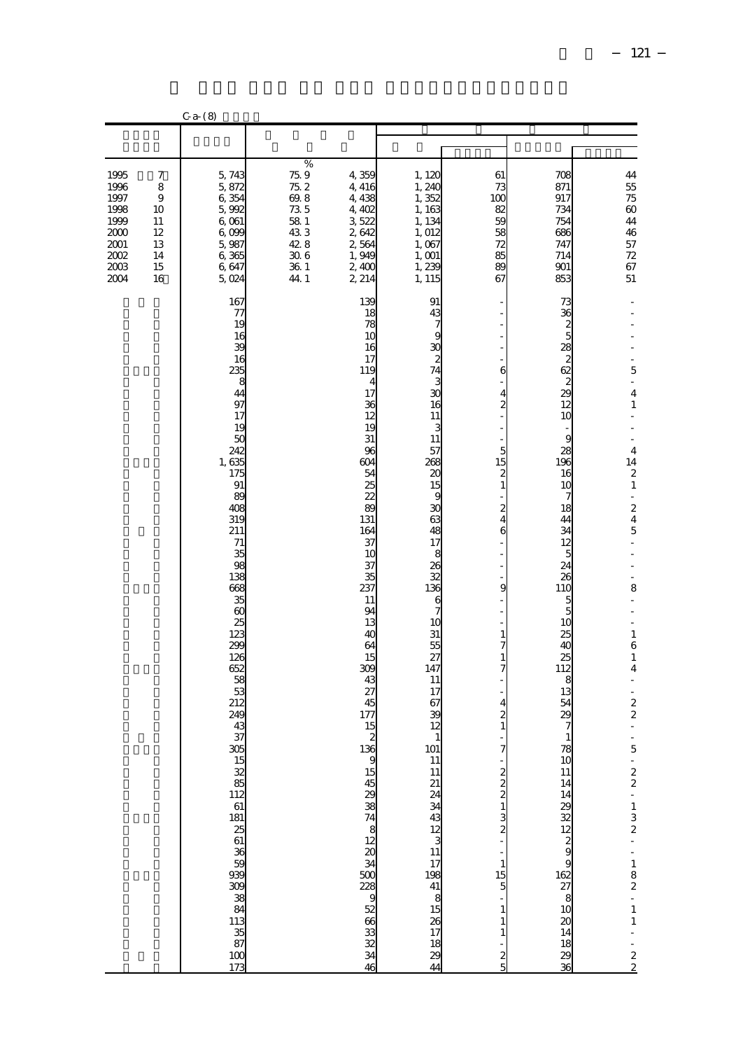|                                                                                        | $C-a- (8)$                                                                     |                                                                                                                                                                                                                                                                                                                                                                   |                                                                                      |                                                                                                                                                                                                                                                                                                                                                                                                     |                                                                                                                                                                                                                                                                                                                                                                                                                                                                                                                                                                                                                                                         |                                                                                                                                                                                                                                                                                                                                                                               |                                                                                                                                                                                                                                                             |                                                                                                                                                                                                                                                                                                                   |
|----------------------------------------------------------------------------------------|--------------------------------------------------------------------------------|-------------------------------------------------------------------------------------------------------------------------------------------------------------------------------------------------------------------------------------------------------------------------------------------------------------------------------------------------------------------|--------------------------------------------------------------------------------------|-----------------------------------------------------------------------------------------------------------------------------------------------------------------------------------------------------------------------------------------------------------------------------------------------------------------------------------------------------------------------------------------------------|---------------------------------------------------------------------------------------------------------------------------------------------------------------------------------------------------------------------------------------------------------------------------------------------------------------------------------------------------------------------------------------------------------------------------------------------------------------------------------------------------------------------------------------------------------------------------------------------------------------------------------------------------------|-------------------------------------------------------------------------------------------------------------------------------------------------------------------------------------------------------------------------------------------------------------------------------------------------------------------------------------------------------------------------------|-------------------------------------------------------------------------------------------------------------------------------------------------------------------------------------------------------------------------------------------------------------|-------------------------------------------------------------------------------------------------------------------------------------------------------------------------------------------------------------------------------------------------------------------------------------------------------------------|
|                                                                                        |                                                                                |                                                                                                                                                                                                                                                                                                                                                                   |                                                                                      |                                                                                                                                                                                                                                                                                                                                                                                                     |                                                                                                                                                                                                                                                                                                                                                                                                                                                                                                                                                                                                                                                         |                                                                                                                                                                                                                                                                                                                                                                               |                                                                                                                                                                                                                                                             |                                                                                                                                                                                                                                                                                                                   |
| 1995<br>1996<br>1997<br>1998<br>1999<br>$2000$<br>$2001\,$<br>2002<br>$2003\,$<br>2004 | 7<br>$\,$ 8 $\,$<br>$\boldsymbol{9}$<br>10<br>11<br>12<br>13<br>14<br>15<br>16 | 5,743<br>5,872<br>6,354<br>5,992<br>6,061<br>6,099<br>5,987<br>6,365<br>6,647<br>5,024                                                                                                                                                                                                                                                                            | %<br>$\frac{75}{75}$ 2<br>69.8<br>73 5<br>58 1<br>433<br>42.8<br>306<br>36.1<br>44.1 | 4,359<br>4,416<br>4,438<br>4, 402<br>3,522<br>2,642<br>2,564<br>1,949<br>2,400<br>2, 214                                                                                                                                                                                                                                                                                                            | 1, 120<br>1, 240<br>1,352<br>1, 163<br>1, 134<br>1, 012<br>1,067<br>1,001<br>1,239<br>1, 115                                                                                                                                                                                                                                                                                                                                                                                                                                                                                                                                                            | 61<br>73<br>100<br>82<br>59<br>58<br>72<br>85<br>89<br>67                                                                                                                                                                                                                                                                                                                     | 708<br>871<br>917<br>734<br>754<br>686<br>747<br>714<br>901<br>853                                                                                                                                                                                          | $44\,$<br>$55\,$<br>$\begin{array}{c} 75 \\ 60 \end{array}$<br>44<br>46<br>$57\,$<br>72<br>67<br>51                                                                                                                                                                                                               |
|                                                                                        |                                                                                | 167<br>77<br>19<br>16<br>39<br>16<br>235<br>8<br>44<br>97<br>17<br>19<br>50<br>242<br>1,635<br>175<br>91<br>89<br>408<br>319<br>211<br>$71\,$<br>35<br>98<br>138<br>668<br>35<br>$\infty$<br>25<br>123<br>290<br>126<br>652<br>58<br>53<br>212<br>249<br>43<br>37<br>305<br>$\frac{15}{88}$<br>$\frac{85}{112}$<br>83 x 32 x 33 x 33 x 38 x 38 x 38 x 38 x<br>173 |                                                                                      | 139<br>18<br>78<br>10<br>16<br>17<br>119<br>4<br>17<br>36<br>12<br>19<br>31<br>96<br>604<br>54<br>25<br>22<br>89<br>131<br>164<br>37<br>10<br>37<br>35<br>237<br>11<br>94<br>13<br>40<br>64<br>15<br>309<br>43<br>27<br>45<br>177<br>15<br>$\begin{array}{c} 2 \\ 136 \end{array}$<br><u>ន្ត</u><br>ន្ត្រី ន្ត្រី ន្ត្រី ន្ត្រី ន្ត្រី ន្ត្រី ន្ត្រី ន្ត្រី ន្ត្រី ន្ត្រី ត្រី ច<br>$\overline{46}$ | 91<br>43<br>$\frac{7}{3}$<br>30<br>30<br>16<br>11<br>3<br>11<br>57<br>268<br>20<br>15<br>9<br>$\infty$<br>638383838<br>136<br>$\begin{array}{c}\n6 \\ 7 \\ 10\n\end{array}$<br>$\overline{31}$<br>55<br>27<br>147<br>11<br>17<br>67<br>39<br>12<br>$\begin{array}{c} 1 \\ 101 \end{array}$<br>$\frac{11}{21} \frac{11}{24} \frac{11}{24} \frac{11}{24} \frac{11}{24} \frac{11}{24} \frac{11}{24} \frac{11}{24} \frac{11}{24} \frac{11}{24} \frac{11}{24} \frac{11}{24} \frac{11}{24} \frac{11}{24} \frac{11}{24} \frac{11}{24} \frac{11}{24} \frac{11}{24} \frac{11}{24} \frac{11}{24} \frac{11}{24} \frac{11}{24} \frac{11}{24} \frac{11}{24} \frac{1$ | $\epsilon$<br>$\frac{4}{2}$<br>$\overline{a}$<br>$\begin{array}{c}\n5 \\ 15 \\ 2 \\ 1\n\end{array}$<br>$\frac{2}{4}$<br>6<br>9<br>$\,1$<br>$\overline{\phantom{a}}$<br>$\mathbf{1}$<br>7<br>$\overline{4}$<br>$\overline{c}$<br>$\mathbf{1}$<br>7<br>' מממבט.<br>$\begin{array}{c} 1 \\ 15 \\ 5 \end{array}$<br>$\frac{1}{1}$<br>$\,$ 1 $\,$<br>$\mathbf{1}$<br>$\frac{1}{2}$ | 73<br>36<br>ឨៜ៰ៜ៷ៜ៰៲៷<br>10<br>9<br>28<br>196<br>16<br>10<br>7<br>18<br>44<br>34<br>12<br>5<br>24<br>26<br>110<br>$\frac{5}{5}$<br>$\frac{10}{25}$<br>$\frac{25}{112}$<br>8<br>13<br>54<br>$\infty$<br>$\tilde{ }$<br>$\mathbf{1}$<br>78<br>$\frac{10}{11}$ | 5<br>L,<br>4<br>$\,1\,$<br>$\overline{a}$<br>4<br>14<br>$\frac{2}{1}$<br>$\frac{2}{4}$<br>L,<br>$\overline{a}$<br>L,<br>8<br>$\overline{a}$<br>$\overline{a}$<br>$\,1\,$<br>$\,$ 6 $\,$<br>$\,1\,$<br>4<br>i,<br>$\frac{2}{2}$<br>$\frac{1}{2}$<br>$\overline{a}$<br>5<br>$-22 - 132 - 182 - 11$<br>$\frac{1}{2}$ |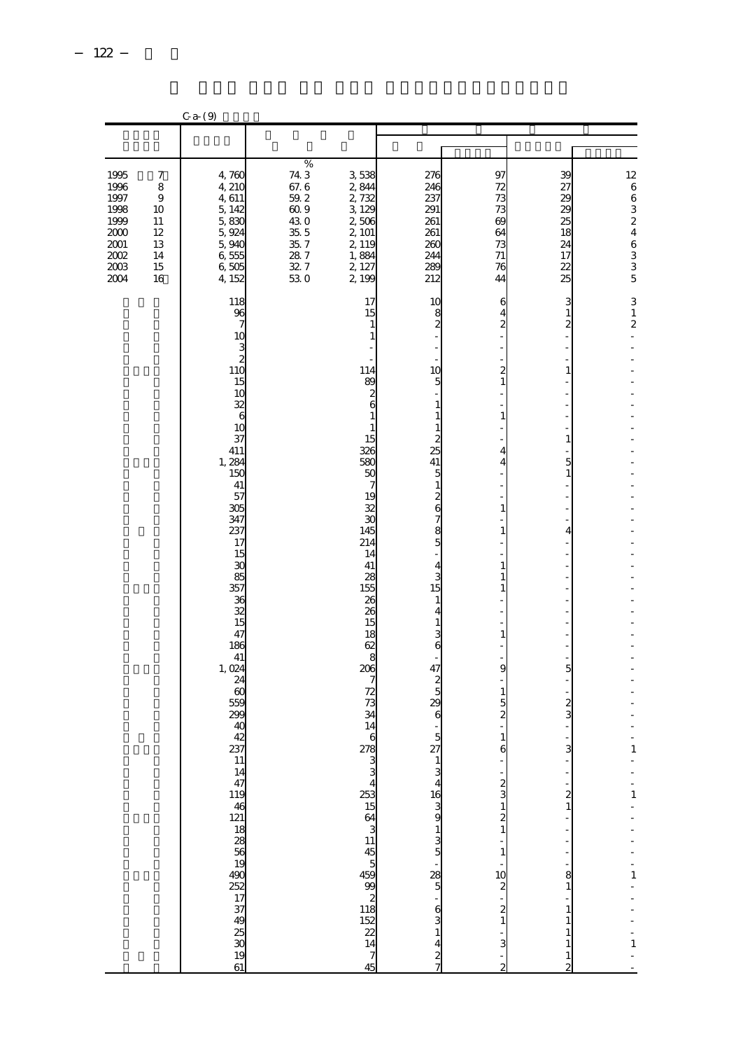|                                                                              |                                                                      | $C - a - (9)$                                                                                                                                                                                                                                                                             |                                                                                           |                                                                                                                                                                                                                                         |                                                                                                                                                                                                                                                                                                                           |                                                                                                                                                                                                                                                                                                                                                                             |                                                                                                                                                                                                                                                                                 |                                                                                              |
|------------------------------------------------------------------------------|----------------------------------------------------------------------|-------------------------------------------------------------------------------------------------------------------------------------------------------------------------------------------------------------------------------------------------------------------------------------------|-------------------------------------------------------------------------------------------|-----------------------------------------------------------------------------------------------------------------------------------------------------------------------------------------------------------------------------------------|---------------------------------------------------------------------------------------------------------------------------------------------------------------------------------------------------------------------------------------------------------------------------------------------------------------------------|-----------------------------------------------------------------------------------------------------------------------------------------------------------------------------------------------------------------------------------------------------------------------------------------------------------------------------------------------------------------------------|---------------------------------------------------------------------------------------------------------------------------------------------------------------------------------------------------------------------------------------------------------------------------------|----------------------------------------------------------------------------------------------|
|                                                                              |                                                                      |                                                                                                                                                                                                                                                                                           |                                                                                           |                                                                                                                                                                                                                                         |                                                                                                                                                                                                                                                                                                                           |                                                                                                                                                                                                                                                                                                                                                                             |                                                                                                                                                                                                                                                                                 |                                                                                              |
| 1995<br>1996<br>1997<br>1998<br>1999<br>2000<br>2001<br>2002<br>2003<br>2004 | $\boldsymbol{7}$<br>8<br>9<br>10<br>11<br>12<br>13<br>14<br>15<br>16 | 4,760<br>4, 210<br>4,611<br>5, 142<br>5,830<br>5, 924<br>5,940<br>6,555<br>6,505<br>4, 152                                                                                                                                                                                                | %<br>743<br>67.6<br>59.2<br>$60.9$<br>43.0<br>$\frac{35}{35}$ 5<br>$28\ 7$<br>32.7<br>530 | 3,538<br>2,844<br>2,732<br>3, 129<br>2,506<br>2, 101<br>2, 119<br>1,884<br>2, 127<br>2, 199                                                                                                                                             | 276<br>246<br>237<br>291<br>261<br>261<br>260<br>244<br>289<br>212                                                                                                                                                                                                                                                        | 97<br>72<br>73<br>73<br>69<br>64<br>73<br>71<br>76<br>44                                                                                                                                                                                                                                                                                                                    | 39<br>27<br>29<br>29<br>25<br>18<br>24<br>17<br>22<br>25                                                                                                                                                                                                                        | 12<br>66324<br>6<br>3<br>3<br>5                                                              |
|                                                                              |                                                                      | 118<br>96<br>7<br>10<br>$\frac{3}{10}$<br>$\frac{2}{15}$<br>10<br>32<br>6<br>10<br>37<br>411<br>1,284<br>150<br>41<br>57<br>305<br>347<br>237<br>17<br>15<br>$\mathfrak{X}$<br>85<br>357<br>36<br>32<br>15<br>47<br>186<br>41<br>1,024<br>24<br>60<br>559<br>299<br>40<br>42<br>237<br>61 |                                                                                           | 17<br>15<br>1<br>1<br>114<br>8C<br>$\frac{2}{6}$<br>$\mathbf{1}$<br>1<br>15<br>326<br>580<br>50<br>7<br>19<br>$\overline{32}$<br>$\overline{30}$<br>145<br>214<br>14<br>41<br>28<br>155<br>26<br>26<br>15<br>18<br>62<br>14<br>6<br>278 | 10<br>$\frac{8}{2}$<br>10<br>5<br>$\,1$<br>$\,1$<br>$\mathbf{1}$<br>$\overline{\mathcal{Z}}$<br>25<br>41<br>5<br>$\,1\,$<br>$\frac{2}{6}$<br>$\overline{7}$<br>$\frac{8}{5}$<br>$\overline{4}$<br>3<br>15<br>1<br>4<br>$\,1$<br>3<br>6<br>47<br>$\frac{2}{5}$<br>29<br>6<br>5<br>27<br>. a m w - w w - w is a w<br>631427 | 6<br>$\overline{4}$<br>$\overline{c}$<br>$\overline{a}$<br>$\mathbf{1}$<br>$\mathbf{1}$<br>4<br>4<br>$\mathbf{1}$<br>$\mathbf{1}$<br>$\mathbf{1}$<br>1<br>1<br>$\mathbf{1}$<br>9<br>$\mathbf{1}$<br>5<br>$\overline{c}$<br>1<br>$\epsilon$<br>$\frac{1}{3}$<br>$\mathbf{1}$<br>$\frac{2}{1}$<br>$\,1\,$<br>$\frac{1}{2}$<br>$\frac{1}{2}$<br>$\frac{1}{3}$<br>$\frac{1}{2}$ | 3<br>$\,1$<br>$\overline{c}$<br>1<br>$\mathbf{1}$<br>5<br>$\mathbf{1}$<br>4<br>5<br>$\overline{\mathcal{Z}}$<br>3<br>3<br>f<br>$\overline{a}$<br>$\boldsymbol{z}$<br>$\mathbf 1$<br>$\frac{8}{1}$<br>$\mathbf{1}$<br>$\,1$<br>$\mathbf{1}$<br>$\mathbf{1}$<br>$\mathbf{1}$<br>2 | 3<br>$\,1\,$<br>$\boldsymbol{z}$<br>$\overline{a}$<br>1<br>$\mathbf{1}$<br>1<br>$\mathbf{1}$ |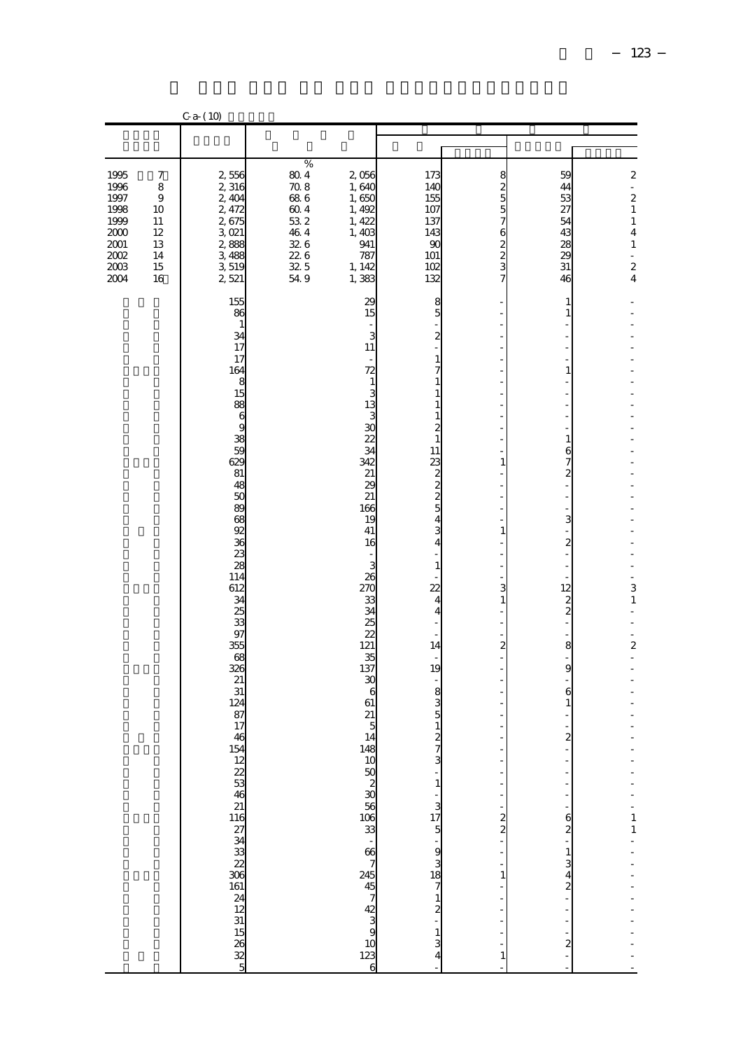|                                                                                         |                                                                                   | $C-a- (10)$                                                                                                                                                                                                                                                                                                     |                                                                                              |                                                                                                                                                                                                                                                                                                                            |                                                                                                                                                                                                                                                                                                                                                                                                                                                          |                                                                                                                                                                                                                                                                                                                                                                                            |                                                                                                                                                                                                                                                                                                 |                                                                                                                                                                                |
|-----------------------------------------------------------------------------------------|-----------------------------------------------------------------------------------|-----------------------------------------------------------------------------------------------------------------------------------------------------------------------------------------------------------------------------------------------------------------------------------------------------------------|----------------------------------------------------------------------------------------------|----------------------------------------------------------------------------------------------------------------------------------------------------------------------------------------------------------------------------------------------------------------------------------------------------------------------------|----------------------------------------------------------------------------------------------------------------------------------------------------------------------------------------------------------------------------------------------------------------------------------------------------------------------------------------------------------------------------------------------------------------------------------------------------------|--------------------------------------------------------------------------------------------------------------------------------------------------------------------------------------------------------------------------------------------------------------------------------------------------------------------------------------------------------------------------------------------|-------------------------------------------------------------------------------------------------------------------------------------------------------------------------------------------------------------------------------------------------------------------------------------------------|--------------------------------------------------------------------------------------------------------------------------------------------------------------------------------|
|                                                                                         |                                                                                   |                                                                                                                                                                                                                                                                                                                 |                                                                                              |                                                                                                                                                                                                                                                                                                                            |                                                                                                                                                                                                                                                                                                                                                                                                                                                          |                                                                                                                                                                                                                                                                                                                                                                                            |                                                                                                                                                                                                                                                                                                 |                                                                                                                                                                                |
| 1995<br>1996<br>1997<br>1998<br>1999<br>$2000\,$<br>$\frac{2001}{2002}$<br>2003<br>2004 | $\boldsymbol{7}$<br>8<br>$\overline{9}$<br>10<br>11<br>12<br>13<br>14<br>15<br>16 | 2, 556<br>2, 316<br>2, 404<br>2, 472<br>2,675<br>3,021<br>2,888<br>3488<br>3 519<br>2521                                                                                                                                                                                                                        | $\%$<br>$80\ 4$<br>70.8<br>68 6<br>$60\ 4$<br>$53\;2$<br>46.4<br>326<br>22 6<br>32.5<br>54.9 | 2,056<br>1,640<br>1,650<br>1, 492<br>1, 422<br>1,403<br>941<br>787<br>1, 142<br>1,383                                                                                                                                                                                                                                      | 173<br>140<br>155<br>107<br>137<br>143<br>$90$<br>101<br>$\frac{102}{132}$                                                                                                                                                                                                                                                                                                                                                                               | 822557623<br>7                                                                                                                                                                                                                                                                                                                                                                             | 59<br>44<br>53<br>$\overline{z}$<br>54<br>43<br>$\frac{28}{29}$<br>$\overline{31}$<br>46                                                                                                                                                                                                        | $\boldsymbol{2}$<br>$\frac{1}{2}$<br>$\,1$<br>$\overline{4}$<br>$\,1$<br>$\frac{1}{2}$                                                                                         |
|                                                                                         |                                                                                   | 155<br>86<br>1<br>34<br>17<br>17<br>164<br>8<br>15<br>88<br>6<br>9<br>$\overline{38}$<br>59<br>629<br>81<br>48<br>50<br>89<br>68<br>92<br>36<br>23<br>28<br>114<br>612<br>34<br>25<br>33<br>97<br>355<br>68<br>326<br>21<br>31<br>124<br>87<br>17<br>46<br>154<br>$\frac{12}{22}$ 53<br>ិននិងដូចនាង<br>ត្មាននិង |                                                                                              | 29<br>15<br>$\frac{1}{3}$<br>11<br>$\overline{\phantom{m}}$<br>72<br>$\,1\,$<br>$\frac{3}{2}$<br>30<br>22<br>34<br>342<br>21<br>29<br>21<br>166<br>19<br>41<br>16<br>3<br>26<br>270<br>33<br>34<br>25<br>$\overline{2}$<br>121<br>35<br>137<br>30<br>6<br>61<br>21<br>5<br>14<br>148<br>ត្ត<br>នាង និង និង និង និង និង និង | $\frac{8}{5}$<br>$\boldsymbol{z}$<br>$\mathbf{1}$<br>7<br>$\mathbf{1}$<br>$\mathbf{1}$<br>$\begin{array}{c} 1 \\ 1 \end{array}$<br>$\frac{2}{1}$<br>11<br>$232222$<br>$434$<br>$\mathbf{1}$<br>$\overline{2}$<br>$\frac{4}{4}$<br>14<br>19<br>$\overline{\phantom{a}}$<br>$\begin{array}{c}\n8 \\ 3 \\ 5\n\end{array}$<br>$rac{2}{7}$<br>ı - ادن 15 J - 20 G G G G - 20 J - 20 F - 20 F - 20 F - 20 F - 20 F - 20 F - 20 F - 20 F - 20 F - 20 F - 20 F - | Ĭ.<br>Ĭ.<br>L,<br>Ĭ.<br>Ĭ,<br>1<br>L,<br>$\overline{a}$<br>L,<br>$\overline{a}$<br>$\,1\,$<br>$\overline{a}$<br>$\overline{a}$<br>$\overline{\phantom{m}}$<br>3<br>$\mathbf 1$<br>$\overline{a}$<br>L,<br>$\overline{a}$<br>$\overline{c}$<br>$\overline{a}$<br>$\overline{a}$<br>$\overline{a}$<br>$\overline{a}$<br>L<br>$\frac{2}{2}$<br>1<br>L,<br>Ĭ.<br>$\overline{a}$<br>$\,$ 1 $\,$ | 1<br>$\mathbf{1}$<br>1<br>$\frac{1}{6}$ 7 2<br>$\frac{1}{2}$<br>$\frac{3}{1}$<br>$\frac{2}{1}$<br>$\frac{12}{2}$<br>8<br>$\frac{1}{9}$<br>$\ddot{\mathbf{6}}$<br>$\mathbf{1}$<br>$\frac{1}{2}$<br>$62 - 6$<br>$\frac{1}{3}$<br>$\frac{3}{4}$<br>$\frac{4}{2}$<br>$\frac{1}{2}$<br>$\frac{1}{2}$ | $\overline{a}$<br>L,<br>$\frac{3}{1}$<br>$\overline{a}$<br>$\overline{a}$<br>$\frac{1}{2}$<br>$\boldsymbol{2}$<br>$\overline{a}$<br>-<br>$\begin{array}{c} 1 \\ 1 \end{array}$ |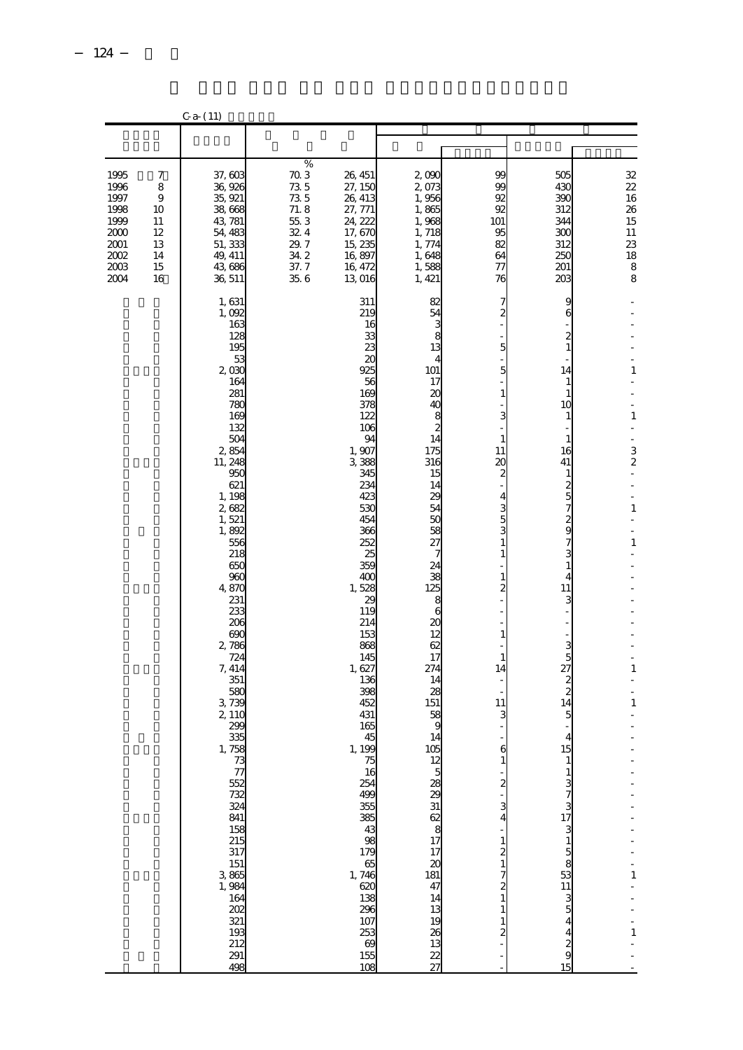|                                                                              |                                                       | $C-a- (11)$                                                                                                                                                                                                                                                                                                                                                                                                                                                                         |                                                                                   |                                                                                                                                                                                                                                                                                                                                                                                                           |                                                                                                                                                                                                                                                                                                                                     |                                                                                                                                                                                                                                                                                                                                  |                                                                                                                                                                                                                                                                                                                                                                                                                                                             |                                                                                                                                                                                               |
|------------------------------------------------------------------------------|-------------------------------------------------------|-------------------------------------------------------------------------------------------------------------------------------------------------------------------------------------------------------------------------------------------------------------------------------------------------------------------------------------------------------------------------------------------------------------------------------------------------------------------------------------|-----------------------------------------------------------------------------------|-----------------------------------------------------------------------------------------------------------------------------------------------------------------------------------------------------------------------------------------------------------------------------------------------------------------------------------------------------------------------------------------------------------|-------------------------------------------------------------------------------------------------------------------------------------------------------------------------------------------------------------------------------------------------------------------------------------------------------------------------------------|----------------------------------------------------------------------------------------------------------------------------------------------------------------------------------------------------------------------------------------------------------------------------------------------------------------------------------|-------------------------------------------------------------------------------------------------------------------------------------------------------------------------------------------------------------------------------------------------------------------------------------------------------------------------------------------------------------------------------------------------------------------------------------------------------------|-----------------------------------------------------------------------------------------------------------------------------------------------------------------------------------------------|
|                                                                              |                                                       |                                                                                                                                                                                                                                                                                                                                                                                                                                                                                     |                                                                                   |                                                                                                                                                                                                                                                                                                                                                                                                           |                                                                                                                                                                                                                                                                                                                                     |                                                                                                                                                                                                                                                                                                                                  |                                                                                                                                                                                                                                                                                                                                                                                                                                                             |                                                                                                                                                                                               |
| 1995<br>1996<br>1997<br>1998<br>1999<br>2000<br>2001<br>2002<br>2003<br>2004 | 7<br>8<br>9<br>10<br>11<br>12<br>13<br>14<br>15<br>16 | 37,603<br>36, 926<br>35, 921<br>38,668<br>43, 781<br>54, 483<br>51, 333<br>49, 411<br>43,686<br>36, 511                                                                                                                                                                                                                                                                                                                                                                             | %<br>70.3<br>73 5<br>73 5<br>71.8<br>55.3<br>32.4<br>29.7<br>34.2<br>37.7<br>35.6 | 26, 451<br>27, 150<br>26, 413<br>27, 771<br>24, 222<br>17,670<br>15, 235<br>16,897<br>16, 472<br>13,016                                                                                                                                                                                                                                                                                                   | 2,090<br>2,073<br>1,956<br>1,865<br>1,968<br>1,718<br>1, 774<br>1,648<br>1,588<br>1, 421                                                                                                                                                                                                                                            | 99<br>99<br>92<br>92<br>101<br>95<br>82<br>64<br>77<br>76                                                                                                                                                                                                                                                                        | 505<br>430<br>390<br>312<br>344<br>300<br>312<br>25C<br>201<br>203                                                                                                                                                                                                                                                                                                                                                                                          | 32<br>22<br>16<br>26<br>15<br>11<br>23<br>18<br>$\frac{8}{8}$                                                                                                                                 |
|                                                                              |                                                       | 1, 631<br>1,092<br>163<br>128<br>195<br>53<br>2,030<br>164<br>281<br>780<br>169<br>132<br>504<br>2,854<br>11, 248<br>950<br>621<br>1, 198<br>2,682<br>1,521<br>1,892<br>556<br>218<br>650<br>960<br>4,870<br>231<br>233<br>206<br>69C<br>2,786<br>724<br>7, 414<br>351<br>580<br>3,739<br>2, 110<br>290<br>335<br>1,758<br>73<br>77<br>552<br>732<br>324<br>841<br>$\frac{158}{215}$<br>317<br>$\frac{151}{3}$<br>3, 865<br>1, 984<br>164<br>202<br>321<br>193<br>212<br>291<br>498 |                                                                                   | 311<br>219<br>16<br>33<br>23<br>$\alpha$<br>925<br>56<br>169<br>378<br>122<br>106<br>94<br>1,907<br>3,388<br>345<br>234<br>423<br>530<br>454<br>366<br>252<br>25<br>359<br>40C<br>1,528<br>29<br>119<br>214<br>153<br>868<br>145<br>1,627<br>136<br>398<br>452<br>431<br>165<br>45<br>1, 199<br>75<br>16<br>සි.<br>සි. පෙස් සි. සි. සි. සි. සි. සි.<br>20<br>138<br>296<br>107<br>253<br>69<br>155<br>108 | 82<br>54<br>3<br>8<br>13<br>4<br>101<br>17<br>$\alpha$<br>40<br>8<br>$\overline{\mathcal{Z}}$<br>14<br>175<br>316<br>15<br>14<br>29<br>54<br>50<br>58<br>27<br>7<br>24<br>38<br>125<br>8<br>6<br>20<br>12<br>62<br>17<br>274<br>14<br>28<br>151<br>58<br>ĉ<br>14<br>105<br>$\frac{12}{5}$<br>$\frac{14}{13}$<br>$rac{26}{22}$<br>27 | 7<br>2<br>5<br>5<br>$\mathbf{1}$<br>3<br>1<br>11<br>$\infty$<br>$\overline{c}$<br>4<br>3<br>5<br>1<br>1<br>2<br>$\mathbf{1}$<br>$\mathbf{1}$<br>14<br>11<br>З<br>6<br>$\overline{c}$<br>3<br>4<br>$\mathbf{1}$<br>$\frac{2}{1}$<br>7<br>$\overline{\mathbf{z}}$<br>$\mathbf{1}$<br>$\mathbf{1}$<br>$\mathbf{1}$<br>$\frac{2}{1}$ | 9<br>6<br>2<br>$\mathbf{1}$<br>14<br>1<br>1<br>10<br>1<br>1<br>16<br>41<br>1<br>$rac{2}{5}$<br>$\overline{\phantom{a}}$<br>$\frac{2}{9}$<br>$\overline{\phantom{a}}$<br>3<br>$\mathbf{1}$<br>4<br>11<br>3<br>3<br>5<br>27<br>2<br>$\overline{c}$<br>14<br>5<br>4<br>15<br>$\frac{1}{3}$ $\frac{3}{7}$ $\frac{3}{17}$ $\frac{3}{5}$ $\frac{1}{5}$ $\frac{5}{53}$ $\frac{83}{11}$<br>$\frac{3}{5}$<br>$\overline{4}$<br>$\overline{4}$<br>$\frac{2}{9}$<br>15 | 1<br>$\overline{a}$<br>$\,1\,$<br>$\overline{\phantom{m}}$<br>$\frac{1}{2}$<br>3<br>$\overline{c}$<br>$\overline{\phantom{0}}$<br>$\,1\,$<br>$\,1\,$<br>1<br>$\mathbf 1$<br>1<br>$\mathbf{1}$ |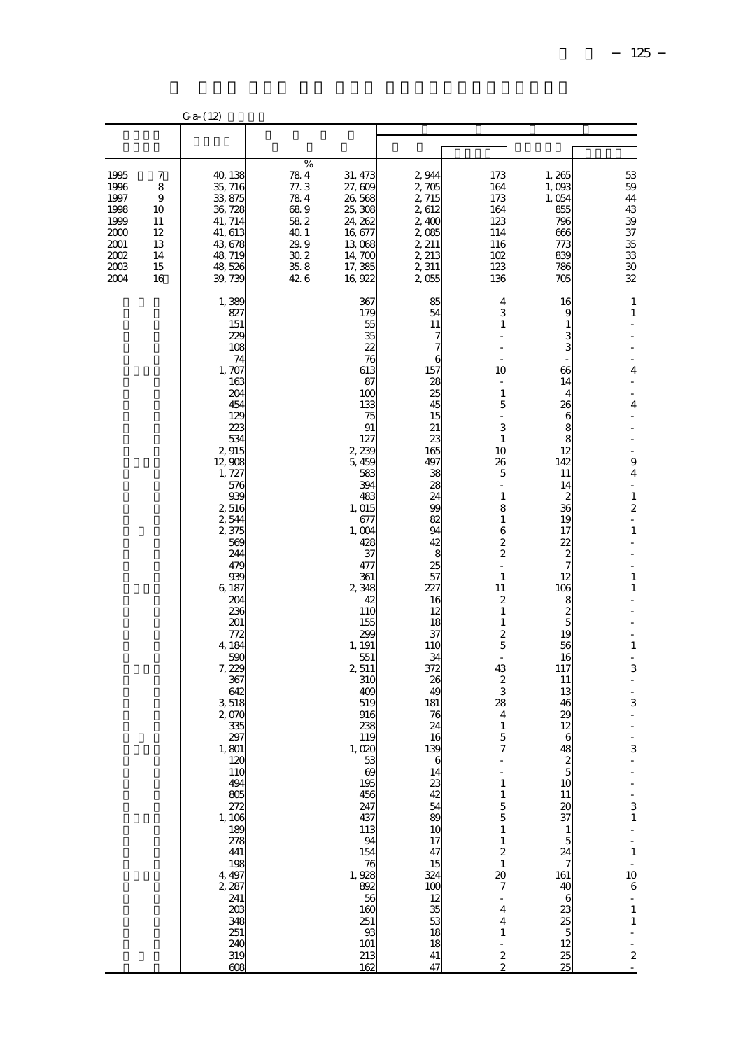|                                                                              |                                                       | $C-a- (12)$                                                                                                                                                                                                                                                                                                                                                                                                                                                                               |                                                                                 |                                                                                                                                                                                                                                                                                                                                                                                                                                                                                     |                                                                                                                                                                                                                                                                                                                                                                                          |                                                                                                                                                                                                                                                                                                                                                                                                                                                                                                                                  |                                                                                                                                                                                                                                                                                                                                                                                                                                                                     |                                                                                                                                                                                                                                                                                                                                                                                                                                                                                                                                                        |
|------------------------------------------------------------------------------|-------------------------------------------------------|-------------------------------------------------------------------------------------------------------------------------------------------------------------------------------------------------------------------------------------------------------------------------------------------------------------------------------------------------------------------------------------------------------------------------------------------------------------------------------------------|---------------------------------------------------------------------------------|-------------------------------------------------------------------------------------------------------------------------------------------------------------------------------------------------------------------------------------------------------------------------------------------------------------------------------------------------------------------------------------------------------------------------------------------------------------------------------------|------------------------------------------------------------------------------------------------------------------------------------------------------------------------------------------------------------------------------------------------------------------------------------------------------------------------------------------------------------------------------------------|----------------------------------------------------------------------------------------------------------------------------------------------------------------------------------------------------------------------------------------------------------------------------------------------------------------------------------------------------------------------------------------------------------------------------------------------------------------------------------------------------------------------------------|---------------------------------------------------------------------------------------------------------------------------------------------------------------------------------------------------------------------------------------------------------------------------------------------------------------------------------------------------------------------------------------------------------------------------------------------------------------------|--------------------------------------------------------------------------------------------------------------------------------------------------------------------------------------------------------------------------------------------------------------------------------------------------------------------------------------------------------------------------------------------------------------------------------------------------------------------------------------------------------------------------------------------------------|
|                                                                              |                                                       |                                                                                                                                                                                                                                                                                                                                                                                                                                                                                           |                                                                                 |                                                                                                                                                                                                                                                                                                                                                                                                                                                                                     |                                                                                                                                                                                                                                                                                                                                                                                          |                                                                                                                                                                                                                                                                                                                                                                                                                                                                                                                                  |                                                                                                                                                                                                                                                                                                                                                                                                                                                                     |                                                                                                                                                                                                                                                                                                                                                                                                                                                                                                                                                        |
| 1995<br>1996<br>1997<br>1998<br>1999<br>2000<br>2001<br>2002<br>2003<br>2004 | 7<br>8<br>9<br>10<br>11<br>12<br>13<br>14<br>15<br>16 | 40, 138<br>35, 716<br>33, 875<br>36, 728<br>41, 714<br>41, 613<br>43, 678<br>48, 719<br>48,526<br>39, 739                                                                                                                                                                                                                                                                                                                                                                                 | %<br>784<br>77.3<br>784<br>68.9<br>58 2<br>40.1<br>29.9<br>30.2<br>35.8<br>42 6 | 31, 473<br>27,609<br>26,568<br>25, 308<br>24, 262<br>16,677<br>13,068<br>14,700<br>17,385<br>16, 922                                                                                                                                                                                                                                                                                                                                                                                | 2,944<br>2,705<br>2, 715<br>2,612<br>2,400<br>2,085<br>2, 211<br>2, 213<br>2,311<br>2,055                                                                                                                                                                                                                                                                                                | 173<br>164<br>173<br>164<br>123<br>114<br>116<br>102<br>123<br>136                                                                                                                                                                                                                                                                                                                                                                                                                                                               | 1,265<br>1,093<br>1,054<br>855<br>796<br>666<br>773<br>839<br>786<br>705                                                                                                                                                                                                                                                                                                                                                                                            | 53<br>59<br>$\bf 44$<br>43<br>39<br>37<br>35<br>33<br>$30\,$<br>32                                                                                                                                                                                                                                                                                                                                                                                                                                                                                     |
|                                                                              |                                                       | 1,389<br>827<br>151<br>22C<br>108<br>74<br>1, 707<br>163<br>204<br>454<br>12 <sup>c</sup><br>223<br>534<br>2915<br>12,908<br>1, 727<br>576<br>939<br>2,516<br>2,544<br>2,375<br>569<br>244<br>479<br>939<br>6, 187<br>204<br>236<br>201<br>772<br>4, 184<br>590<br>7, 229<br>367<br>642<br>3,518<br>2070<br>335<br>297<br>1,801<br>120<br>110<br>494<br>805<br>$\frac{272}{1,106}$<br>189<br>278<br>441<br>$\frac{198}{4,497}$<br>2, 287<br>241<br>203<br>348<br>251<br>240<br>319<br>608 |                                                                                 | 367<br>179<br>55<br>35<br>22<br>76<br>613<br>87<br>100<br>133<br>75<br>91<br>127<br>2, 239<br>5,459<br>583<br>394<br>483<br>1, 015<br>677<br>1,004<br>428<br>37<br>477<br>361<br>2,348<br>42<br>11C<br>155<br>299<br>1, 191<br>551<br>2511<br>31C<br>40 <sup>c</sup><br>519<br>916<br>238<br>119<br>1,020<br>$\begin{array}{c} 53 \\ 69 \end{array}$<br>195<br>456<br>247<br>437<br>113<br>94<br>154<br>$76$<br>1, 928<br>892<br>$\frac{56}{160}$<br>251<br>93<br>101<br>213<br>162 | 85<br>54<br>11<br>7<br>7<br>6<br>157<br>28<br>25<br>45<br>15<br>21<br>23<br>165<br>497<br>38<br>28<br>24<br>99<br>82<br>94<br>42<br>8<br>25<br>57<br>227<br>16<br>12<br>18<br>37<br>110<br>34<br>372<br>26<br>49<br>181<br>76<br>24<br>16<br>139<br>6<br>14<br>23<br>42<br>54<br>89<br>$\frac{10}{17}$<br>47<br>$\frac{15}{324}$<br>$\frac{100}{12}$<br>35<br>53<br>18<br>18<br>41<br>47 | 4<br>3<br>$\,1$<br>L,<br>10<br>$\mathbf{1}$<br>5<br>3<br>$\,1\,$<br>10<br>26<br>5<br>$\mathbf{1}$<br>8<br>$\,1\,$<br>6<br>$\frac{2}{2}$<br>$\mathbf{1}$<br>11<br>$\overline{\mathbf{z}}$<br>$\,1\,$<br>$\,1\,$<br>$\frac{2}{5}$<br>43<br>$\frac{2}{3}$<br>28<br>4<br>$\mathbf{1}$<br>$\frac{5}{7}$<br>$\mathbf{1}$<br>$\mathbf{1}$<br>$\begin{array}{c} 5 \\ 5 \\ 1 \end{array}$<br>$\mathbf{1}$<br>$\frac{2}{1}$<br>20<br>$\overline{7}$<br>$\overline{a}$<br>$\overline{4}$<br>$\overline{4}$<br>$\mathbf{1}$<br>$\frac{2}{2}$ | 16<br>9<br>$\mathbf{1}$<br>ვ<br>ვ<br>66<br>14<br>4<br>26<br>6<br>$\begin{array}{c} 8 \\ 8 \\ 12 \end{array}$<br>142<br>11<br>14<br>2<br>36<br>19<br>17<br>22<br>$\overline{\mathcal{Z}}$<br>$\tilde{7}$<br>12<br>106<br>8<br>2<br>5<br>19<br>56<br>16<br>117<br>11<br>13<br>46<br>$\overline{\mathcal{Z}}$<br>12<br>6<br>48<br>$\begin{array}{c}\n2 \\ 5 \\ 10\n\end{array}$<br>$\frac{11}{20}$<br>$\frac{1}{5}$<br>$\frac{24}{7}$<br>161<br>40<br>6<br>ಜ ಜ ದ ಎ ಜ ಜ | $\mathbf{1}$<br>$\,1$<br>$\overline{a}$<br>$\overline{a}$<br>4<br>$\overline{a}$<br>4<br>$\overline{a}$<br>9<br>4<br>$\frac{1}{2}$<br>$\,1$<br>2<br>$\frac{1}{2}$<br>$\,1\,$<br>$\overline{a}$<br>-<br>$\,1\,$<br>1<br>$\overline{\phantom{m}}$<br>$\,1\,$<br>L,<br>3<br>$\overline{a}$<br>$\overline{\phantom{m}}$<br>3<br>$\overline{a}$<br>3<br>$\begin{array}{c} 1 \ 3 \ 1 \end{array}$<br>$\frac{1}{2}$<br>$\ddot{\phantom{0}}$<br>$\,$ 1 $\,$<br>$\frac{10}{6}$<br>$\,1$<br>÷,<br>$\overline{\phantom{a}}$<br>$\boldsymbol{2}$<br>$\overline{a}$ |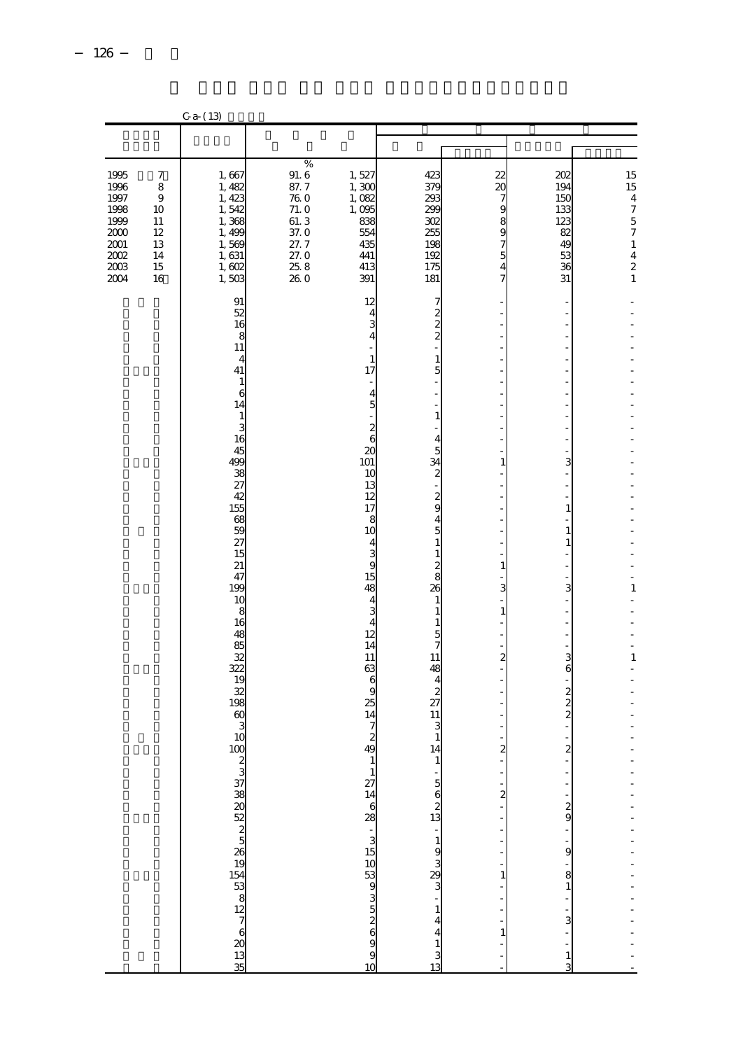|                                                                                  |                                                               | $C$ a- $(13)$                                                                                                                                                                                                                                                         |                                                                              |                                                                                                                                                                                                                        |                                                                                                                                                                                                                                                                                                                                                              |                                                                                        |                                                                                                                                   |                                                                                                                                                   |
|----------------------------------------------------------------------------------|---------------------------------------------------------------|-----------------------------------------------------------------------------------------------------------------------------------------------------------------------------------------------------------------------------------------------------------------------|------------------------------------------------------------------------------|------------------------------------------------------------------------------------------------------------------------------------------------------------------------------------------------------------------------|--------------------------------------------------------------------------------------------------------------------------------------------------------------------------------------------------------------------------------------------------------------------------------------------------------------------------------------------------------------|----------------------------------------------------------------------------------------|-----------------------------------------------------------------------------------------------------------------------------------|---------------------------------------------------------------------------------------------------------------------------------------------------|
|                                                                                  |                                                               |                                                                                                                                                                                                                                                                       |                                                                              |                                                                                                                                                                                                                        |                                                                                                                                                                                                                                                                                                                                                              |                                                                                        |                                                                                                                                   |                                                                                                                                                   |
| 1995<br>1996<br>1997<br>1998<br>1999<br>$2000\,$<br>2001<br>$2002\,$<br>$2003\,$ | 7<br>$\,$ 8 $\,$<br>$\,9$<br>10<br>11<br>12<br>13<br>14<br>15 | 1,667<br>1, 482<br>1,423<br>1,542<br>1,368<br>1,499<br>1,569<br>1,631<br>1,602                                                                                                                                                                                        | $\%$<br>91.6<br>87.7<br>76.0<br>71.0<br>61.3<br>37.0<br>27.7<br>27.0<br>25.8 | 1,527<br>1,300<br>1,082<br>1,095<br>838<br>554<br>435<br>441<br>413                                                                                                                                                    | 423<br>379<br>293<br>299<br>302<br>255<br>198<br>192<br>175                                                                                                                                                                                                                                                                                                  | 22<br>20<br>7<br>9<br>8975<br>$\overline{4}$                                           | 202<br>194<br>15C<br>133<br>123<br>82<br>49<br>53<br>36                                                                           | 15<br>$\begin{array}{c} 15 \\ 4 \end{array}$<br>$\overline{\phantom{a}}$<br>$\frac{5}{7}$<br>$\,1$<br>$\overline{\mathbf{4}}$<br>$\boldsymbol{z}$ |
| 2004                                                                             | 16                                                            | 1,503<br>91<br>52<br>16<br>8<br>11<br>$\overline{4}$<br>41<br>$\mathbf{1}$<br>6<br>14<br>$\mathbf{1}$<br>3<br>16<br>45<br>499<br>38<br>27<br>42<br>155<br>68<br>59<br>27<br>15<br>21<br>47<br>199<br>10<br>$\frac{8}{16}$<br>48<br>85<br>32<br>322<br>19<br>32<br>198 | 260                                                                          | 391<br>12<br>4<br>3<br>4<br>$\mathbf{1}$<br>17<br>4<br>5<br>$\frac{2}{6}$<br>20<br>101<br>10<br>13<br>12<br>17<br>8<br>10<br>4<br>3<br>$\mathbf{g}$<br>15<br>48<br>4<br>3<br>4<br>12<br>14<br>11<br>63<br>6<br>g<br>25 | 181<br>7<br>$\frac{2}{2}$<br>$\frac{1}{2}$<br>$\,1\,$<br>5<br>$\overline{a}$<br>$\mathbf{1}$<br>J.<br>4<br>5<br>34<br>$\overline{\mathbf{c}}$<br>$\frac{2}{9}$<br>$\overline{4}$<br>$\overline{5}$<br>$\mathbf{1}$<br>$\mathbf{1}$<br>$\frac{2}{8}$<br>26<br>1<br>$\mathbf{1}$<br>1<br>5<br>7<br>11<br>48<br>$\overline{4}$<br>$\overline{\mathbf{z}}$<br>27 | 7<br>1<br>$\mathbf{1}$<br>3<br>$\mathbf{1}$<br>$\overline{\mathbf{z}}$                 | 31<br>3<br>$\,1$<br>$\mathbf{1}$<br>$\mathbf{1}$<br>3<br>3<br>6<br>$\frac{2}{2}$                                                  | 1<br>1<br>$\mathbf{1}$                                                                                                                            |
|                                                                                  |                                                               | 60<br>$\frac{3}{10}$<br>100<br><u> % និន្និ ។ ។ ក្នុង ក្នុង ក្នុង ក្នុង ក្នុង ក្នុង ក</u>                                                                                                                                                                             |                                                                              | 14<br>7<br>$\boldsymbol{z}$<br>49<br>$\mathbf{1}$<br>യ കൈ പെ കെ മേ കെ മേ കെ മേ ക<br>1 <sup>C</sup>                                                                                                                     | 11<br>З<br>1<br>14<br>4<br>4<br>$\mathbf{1}$<br>13                                                                                                                                                                                                                                                                                                           | $\overline{\mathbf{c}}$<br>$\overline{c}$<br>Ĭ.<br>Ĭ.<br>1<br>Ĭ.<br>÷,<br>$\mathbf{1}$ | $\overline{\mathbf{c}}$<br>$\frac{2}{9}$<br>9<br>$\begin{smallmatrix}8\\1\end{smallmatrix}$<br>$\frac{1}{3}$<br>$\mathbf{1}$<br>3 |                                                                                                                                                   |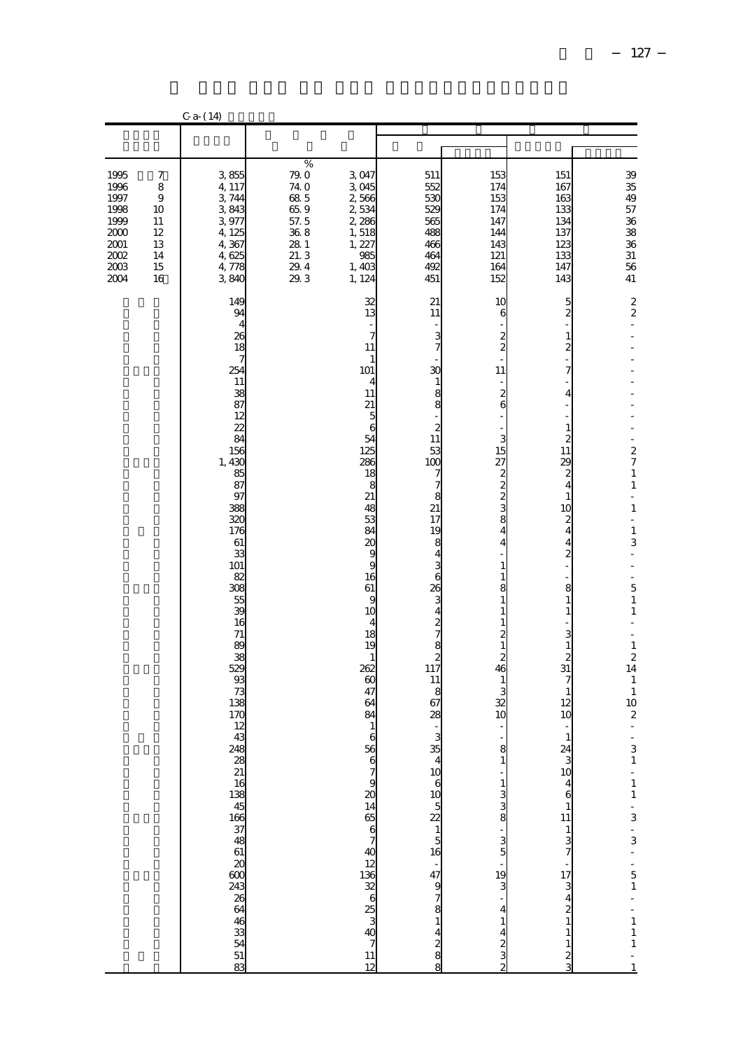|                                                                                |                                                                                          | $C - a - (14)$                                                                                                                       |                                                                                           |                                                                                                                                                      |                                                                                                                          |                                                                                                                                                                     |                                                                                                                                                                                                              |                                                                                                                                                                                                                                        |  |
|--------------------------------------------------------------------------------|------------------------------------------------------------------------------------------|--------------------------------------------------------------------------------------------------------------------------------------|-------------------------------------------------------------------------------------------|------------------------------------------------------------------------------------------------------------------------------------------------------|--------------------------------------------------------------------------------------------------------------------------|---------------------------------------------------------------------------------------------------------------------------------------------------------------------|--------------------------------------------------------------------------------------------------------------------------------------------------------------------------------------------------------------|----------------------------------------------------------------------------------------------------------------------------------------------------------------------------------------------------------------------------------------|--|
|                                                                                |                                                                                          |                                                                                                                                      |                                                                                           |                                                                                                                                                      |                                                                                                                          |                                                                                                                                                                     |                                                                                                                                                                                                              |                                                                                                                                                                                                                                        |  |
| 1995<br>1996<br>1997<br>1998<br>1999<br>2000<br>$2001$<br>2002<br>2003<br>2004 | $\boldsymbol{7}$<br>$\bf8$<br>$\boldsymbol{9}$<br>10<br>11<br>12<br>13<br>14<br>15<br>16 | 3,855<br>4, 117<br>3,744<br>3,843<br>3,977<br>4, 125<br>4,367<br>4,625<br>4,778<br>3,840<br>149<br>94<br>4<br>26<br>18               | %<br>79.0<br>$740$<br>68.5<br>65.9<br>$\frac{57.5}{36.8}$<br>28 1<br>21.3<br>29.4<br>29.3 | 3,047<br>3 045<br>2,566<br>2,534<br>2,286<br>1,518<br>1, 227<br>985<br>1,403<br>1, 124<br>32<br>13<br>$\overline{7}$<br>11                           | 511<br>552<br>530<br>529<br>565<br>488<br>466<br>464<br>492<br>451<br>21<br>11<br>$\frac{3}{7}$                          | 153<br>174<br>153<br>174<br>147<br>144<br>143<br>121<br>164<br>152<br>10<br>6<br>$\frac{2}{2}$                                                                      | 151<br>167<br>163<br>133<br>134<br>137<br>123<br>133<br>147<br>143<br>$\frac{5}{2}$<br>$\frac{1}{2}$                                                                                                         | $\frac{39}{49}$<br>57<br>36<br>38<br>$36\,$<br>31<br>56<br>41<br>$\frac{2}{2}$<br>$\overline{a}$                                                                                                                                       |  |
|                                                                                |                                                                                          | 7<br>254<br>11<br>38<br>87<br>12<br>22<br>84<br>156<br>1,43C<br>85<br>87<br>97<br>388<br>32C<br>176<br>61<br>33<br>101<br>82<br>308  |                                                                                           | $\mathbf{1}$<br>101<br>4<br>11<br>21<br>$\overline{5}$<br>6<br>54<br>125<br>286<br>18<br>8<br>21<br>48<br>53<br>84<br>$\alpha$<br>9<br>9<br>16<br>61 | 30<br>$\begin{array}{c} 1 \\ 8 \end{array}$<br>$\boldsymbol{z}$<br>11<br>53<br>100<br>7<br>7<br>8<br>21<br>17<br>19<br>8 | 11<br>$\overline{\phantom{a}}$<br>$\frac{2}{6}$<br>3<br>15<br>27<br>$\frac{2}{4}$ $\infty$ $\infty$ $\infty$<br>$\overline{4}$<br>$\mathbf{1}$<br>$\mathbf{1}$<br>8 | 7<br>$\overline{4}$<br>$\overline{a}$<br>$\mathbf{1}$<br>$rac{2}{11}$<br>29<br>$\frac{2}{4}$<br>$\mathbf{1}$<br>10<br>$\frac{2}{4}$<br>$\overline{\mathcal{L}}$<br>$\overline{\mathcal{Z}}$<br>$\frac{8}{1}$ | L,<br>$\begin{array}{c} 2 \\ 7 \\ 1 \\ 1 \end{array}$<br>$\frac{1}{2}$<br>$\,1\,$<br>$\overline{a}$<br>$\,1\,$<br>3<br>$\overline{a}$<br>$\frac{5}{1}$                                                                                 |  |
|                                                                                |                                                                                          | 55<br>39<br>16<br>71<br>89<br>38<br>529<br>93<br>73<br>138<br>170<br>12<br>43<br>248<br>28<br>21<br>35<br>36<br>36<br>36<br>37<br>38 |                                                                                           | 9<br>10<br>4<br>18<br>19<br>$\mathbf{1}$<br>262<br>60<br>47<br>64<br>84<br>$\mathbf{1}$<br>6<br>56                                                   | $4$<br>3 6 26 3 4 2 7 8 2 7 8 2 1 1 7<br>$\begin{array}{c} 11 \\ 8 \end{array}$<br>67<br>28<br>$\frac{3}{35}$            | $\mathbf{1}$<br>$\mathbf{1}$<br>$\mathbf 1$<br>$\begin{array}{c}\n2 \\ 1 \\ 2 \\ 46\n\end{array}$<br>$\frac{1}{3}$<br>$\overline{10}$<br>$\frac{1}{2}$<br>8<br>1    | $\mathbf{1}$<br>$\frac{3}{1}$<br>$rac{2}{31}$<br>$\tilde{ }$<br>$\mathbf{1}$<br>12<br>10<br>$\mathbf{1}$<br>24                                                                                               | $\,1\,$<br>$\overline{a}$<br>$\overline{a}$<br>$\,1\,$<br>$\begin{array}{c} 2 \\ 14 \end{array}$<br>$\,1\,$<br>$\,1\,$<br>10<br>$\boldsymbol{2}$<br>$\frac{1}{2}$<br>$\frac{1}{2}$<br>3<br>$\begin{array}{c} 1 \\ -1 \\ 1 \end{array}$ |  |
|                                                                                |                                                                                          | 83                                                                                                                                   |                                                                                           | 12                                                                                                                                                   | △ Бобобой и Фалий и Бобобобобобоб                                                                                        |                                                                                                                                                                     | a a a a a i 11 11 11 11 11 10 4 2 1<br>$\mathbf{1}$<br>$\mathbf{1}$<br>$\frac{2}{3}$                                                                                                                         | $-3 - 3 - 5$<br>$-1$<br>$1$<br>$1$<br>$-1$<br>$-1$                                                                                                                                                                                     |  |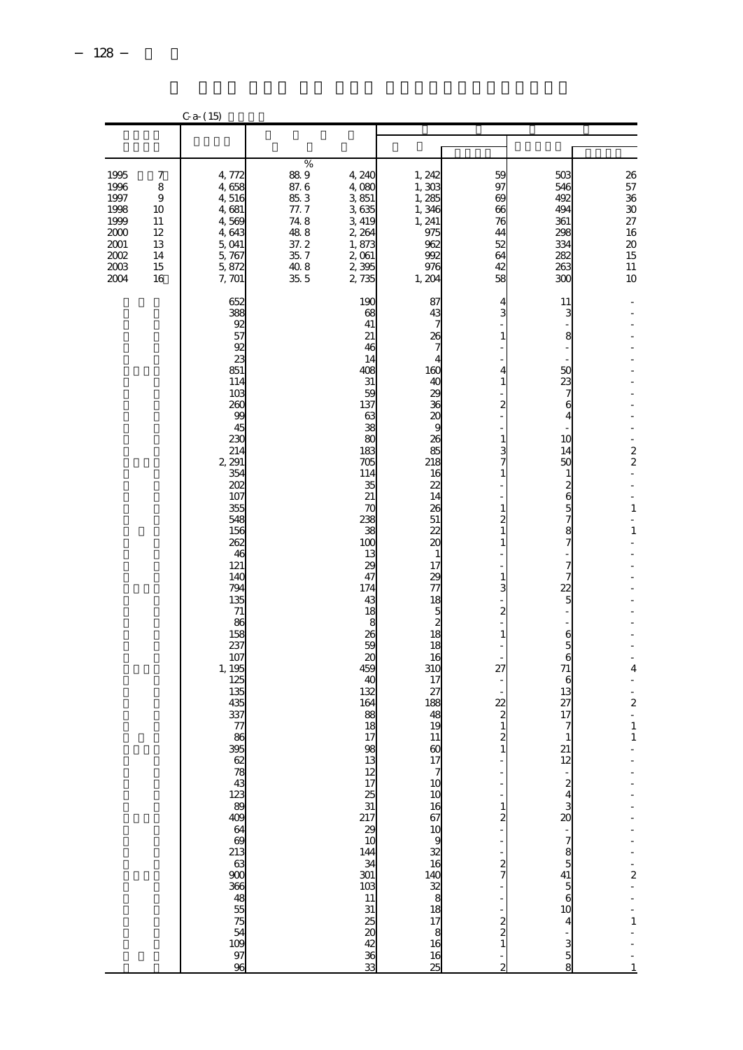|                                                                              | $C$ a- $(15)$                                         |                                                                                                                                                                                                                                                                                                                                                |                                                                                          |                                                                                                                                                                                                                                                                                                                |                                                                                                                                                                                                                                                                                           |                                                                                                                                                                                                                                                                                                                                                                                                                             |                                                                                                                                                                                                                                                                            |                                                                                                                                                                                                                                           |
|------------------------------------------------------------------------------|-------------------------------------------------------|------------------------------------------------------------------------------------------------------------------------------------------------------------------------------------------------------------------------------------------------------------------------------------------------------------------------------------------------|------------------------------------------------------------------------------------------|----------------------------------------------------------------------------------------------------------------------------------------------------------------------------------------------------------------------------------------------------------------------------------------------------------------|-------------------------------------------------------------------------------------------------------------------------------------------------------------------------------------------------------------------------------------------------------------------------------------------|-----------------------------------------------------------------------------------------------------------------------------------------------------------------------------------------------------------------------------------------------------------------------------------------------------------------------------------------------------------------------------------------------------------------------------|----------------------------------------------------------------------------------------------------------------------------------------------------------------------------------------------------------------------------------------------------------------------------|-------------------------------------------------------------------------------------------------------------------------------------------------------------------------------------------------------------------------------------------|
|                                                                              |                                                       |                                                                                                                                                                                                                                                                                                                                                |                                                                                          |                                                                                                                                                                                                                                                                                                                |                                                                                                                                                                                                                                                                                           |                                                                                                                                                                                                                                                                                                                                                                                                                             |                                                                                                                                                                                                                                                                            |                                                                                                                                                                                                                                           |
| 1995<br>1996<br>1997<br>1998<br>1999<br>2000<br>2001<br>2002<br>2003<br>2004 | 7<br>8<br>9<br>10<br>11<br>12<br>13<br>14<br>15<br>16 | 4,772<br>4,658<br>4,516<br>4,681<br>4,569<br>4,643<br>5,041<br>5,767<br>5,872<br>7,701                                                                                                                                                                                                                                                         | %<br>88.9<br>87.6<br>$\frac{85}{77}$ . 7<br>74.8<br>48.8<br>37.2<br>35.7<br>40.8<br>35.5 | 4,240<br>4,080<br>3,851<br>3,635<br>3,419<br>2,264<br>1,873<br>2,061<br>2,395<br>2,735                                                                                                                                                                                                                         | 1, 242<br>1,303<br>1,285<br>1,346<br>1, 241<br>975<br>962<br>992<br>976<br>1, 204                                                                                                                                                                                                         | 59<br>97<br>69<br>66<br>76<br>44<br>52<br>64<br>42<br>58                                                                                                                                                                                                                                                                                                                                                                    | 503<br>546<br>492<br>494<br>361<br>298<br>334<br>282<br>263<br>300                                                                                                                                                                                                         | 26<br>57<br>$\frac{36}{30}$<br>27<br>$\frac{16}{20}$<br>15<br>11<br>10                                                                                                                                                                    |
|                                                                              |                                                       | 652<br>388<br>92<br>57<br>92<br>23<br>851<br>114<br>103<br>260<br>99<br>45<br>230<br>214<br>2, 291<br>354<br>202<br>107<br>355<br>548<br>156<br>262<br>46<br>121<br>140<br>794<br>135<br>71<br>86<br>158<br>237<br>107<br>1, 195<br>125<br>135<br>435<br>337<br>77<br>86<br>395<br>ន ៩ ក្នុង ១ ក្នុង ក្នុង ក្នុង ក្នុង ក្នុង ក្នុង ក្នុង ក្នុង |                                                                                          | 190<br>68<br>41<br>21<br>46<br>14<br>408<br>31<br>59<br>137<br>63<br>38<br>8C<br>183<br>705<br>114<br>35<br>21<br>7C<br>238<br>38<br>100<br>13<br>$\chi$<br>47<br>174<br>43<br>18<br>8<br>26<br>56<br>$\alpha$<br>459<br>40<br>132<br>164<br>88<br>18<br>17<br>98<br>썷쑳푽쭹정벋드륞 <b>옄</b> 엁풒능쩒 <sup></sup> 궠≌혉북뉺뜒 | 87<br>43<br>26<br>7<br>4<br>160<br>40<br>$\overline{29}$<br>36<br>$\alpha$<br>g<br>26<br>85<br>218<br>16<br>22<br>14<br>26<br>$51\,$<br>22<br>$\infty$<br>$\mathbf{1}$<br>17<br>29<br>77<br>18<br>$\frac{5}{2}$<br>18<br>18<br>16<br>310<br>17<br>27<br>188<br>48<br>19<br>11<br>$\omega$ | 4<br>3<br>$\mathbf{1}$<br>4<br>$\mathbf{1}$<br>$\overline{c}$<br>$\mathbf{1}$<br>3<br>$\mathbf{1}$<br>$\mathbf{1}$<br>$\overline{\mathcal{Z}}$<br>$\mathbf{1}$<br>$\mathbf{1}$<br>$\mathbf{1}$<br>3<br>$\overline{c}$<br>$\mathbf{1}$<br>27<br>22<br>$\boldsymbol{z}$<br>$\mathbf{1}$<br>$\mathbf{z}$<br>$\mathbf{1}$<br>$\mathbf 1$<br>$\begin{bmatrix} 2 \\ -1 \end{bmatrix}$<br>$\frac{1}{2}$<br>$-222$<br>$\frac{1}{2}$ | 11<br>З<br>8<br>50<br>23<br>7<br>6<br>4<br>10<br>14<br>50<br>1<br>$\overline{\mathcal{Z}}$<br>6<br>$\frac{5}{7}$<br>7<br>7<br>7<br>22<br>5<br>6<br>5<br>6<br>71<br>6<br>13<br>27<br>17<br>7<br>1<br>21<br>12<br>.<br>- م م م م<br>$\overline{\mathbf{4}}$<br>$\frac{3}{2}$ | L,<br>$\frac{2}{2}$<br>L,<br>$\overline{a}$<br>$\,1\,$<br>$\overline{a}$<br>$\mathbf 1$<br>4<br>L,<br>$\overline{\phantom{0}}$<br>$\boldsymbol{z}$<br>$\overline{a}$<br>$\,1\,$<br>$\,1$<br>$\frac{1}{2}$<br>$\mathbf{1}$<br>$\mathbf{1}$ |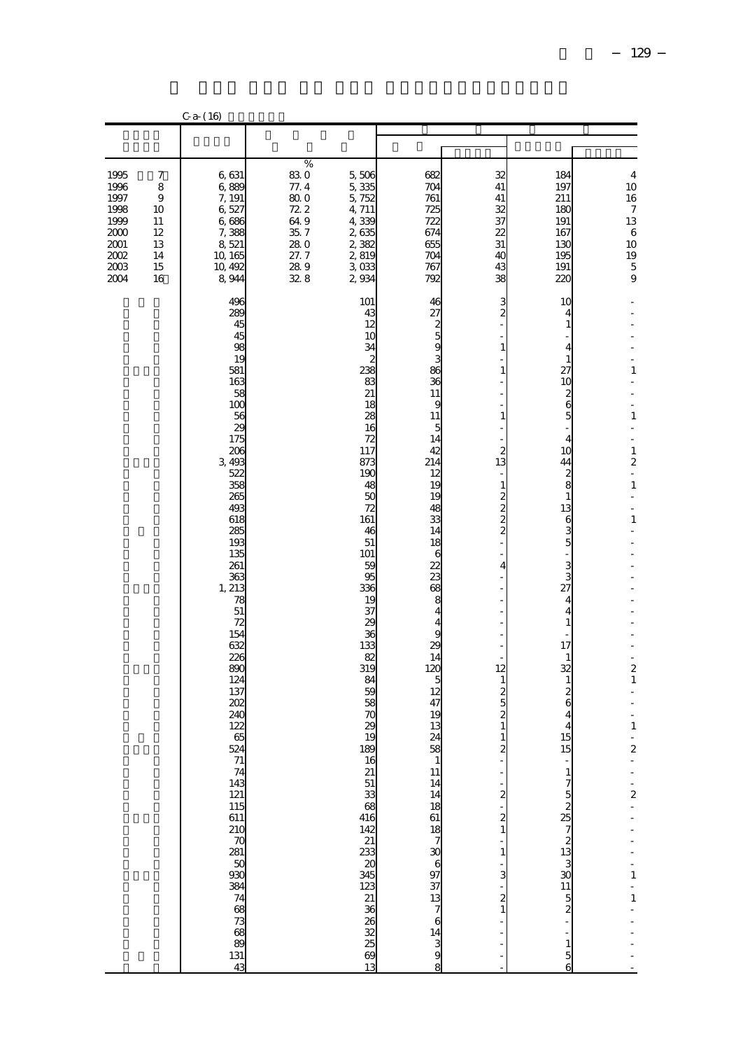|                                                                                      | $C-a- (16)$                                           |                                                                                                                                                                                                                                                                                                                                                                                                                             |                                                                                         |                                                                                                                                                                                                                                                                                                                                                                                                           |                                                                                                                                                                                                                                                 |                                                                                                                                                                                                                                                                                                                                                                                                                                                                                   |                                                                                                                                                                                                                                                                                                                                                                                                                                                                                 |                                                                                                                                                                                                                                                                                                                                                                                                                                                                                       |  |
|--------------------------------------------------------------------------------------|-------------------------------------------------------|-----------------------------------------------------------------------------------------------------------------------------------------------------------------------------------------------------------------------------------------------------------------------------------------------------------------------------------------------------------------------------------------------------------------------------|-----------------------------------------------------------------------------------------|-----------------------------------------------------------------------------------------------------------------------------------------------------------------------------------------------------------------------------------------------------------------------------------------------------------------------------------------------------------------------------------------------------------|-------------------------------------------------------------------------------------------------------------------------------------------------------------------------------------------------------------------------------------------------|-----------------------------------------------------------------------------------------------------------------------------------------------------------------------------------------------------------------------------------------------------------------------------------------------------------------------------------------------------------------------------------------------------------------------------------------------------------------------------------|---------------------------------------------------------------------------------------------------------------------------------------------------------------------------------------------------------------------------------------------------------------------------------------------------------------------------------------------------------------------------------------------------------------------------------------------------------------------------------|---------------------------------------------------------------------------------------------------------------------------------------------------------------------------------------------------------------------------------------------------------------------------------------------------------------------------------------------------------------------------------------------------------------------------------------------------------------------------------------|--|
|                                                                                      |                                                       |                                                                                                                                                                                                                                                                                                                                                                                                                             |                                                                                         |                                                                                                                                                                                                                                                                                                                                                                                                           |                                                                                                                                                                                                                                                 |                                                                                                                                                                                                                                                                                                                                                                                                                                                                                   |                                                                                                                                                                                                                                                                                                                                                                                                                                                                                 |                                                                                                                                                                                                                                                                                                                                                                                                                                                                                       |  |
| 1995<br>1996<br>1997<br>1998<br>1999<br>2000<br>$2001\,$<br>2002<br>$2003\,$<br>2004 | 7<br>8<br>9<br>10<br>11<br>12<br>13<br>14<br>15<br>16 | 6,631<br>6,889<br>7, 191<br>6,527<br>6,686<br>7,388<br>8,521<br>10, 165<br>10, 492<br>8,944                                                                                                                                                                                                                                                                                                                                 | $\%$<br>830<br>77.4<br>$8000$<br>72.2<br>64.9<br>35.7<br>28.0<br>27.7<br>$28\;9$<br>328 | 5,506<br>5,335<br>5,752<br>4,711<br>4,339<br>2,635<br>2,382<br>2,819<br>3,033<br>2,934                                                                                                                                                                                                                                                                                                                    | 682<br>704<br>761<br>725<br>722<br>674<br>655<br>704<br>767<br>792                                                                                                                                                                              | 32<br>41<br>41<br>32<br>37<br>22<br>31<br>40<br>43<br>38                                                                                                                                                                                                                                                                                                                                                                                                                          | 184<br>197<br>211<br>180<br>191<br>167<br>13C<br>195<br>191<br>220                                                                                                                                                                                                                                                                                                                                                                                                              | $\overline{4}$<br>$10\,$<br>$^{16}_{\phantom{1}7}$<br>13<br>$\,6\,$<br>$10$<br>19<br>$\frac{5}{9}$                                                                                                                                                                                                                                                                                                                                                                                    |  |
|                                                                                      |                                                       | 496<br>289<br>45<br>45<br>98<br>19<br>581<br>163<br>58<br>100<br>56<br>29<br>175<br>206<br>3,493<br>522<br>358<br>265<br>493<br>618<br>285<br>193<br>135<br>261<br>363<br>1,213<br>78<br>51<br>72<br>154<br>632<br>226<br>890<br>124<br>137<br>202<br>240<br>122<br>65<br>524<br>71<br>74<br>143<br>121<br>115<br>611<br>210<br>$\frac{70}{281}$<br>50<br>50<br>384<br>74<br>68<br>73<br>68<br>89<br>131<br>$\overline{43}$ |                                                                                         | 101<br>43<br>12<br>10<br>34<br>$\overline{\mathcal{Z}}$<br>238<br>83<br>21<br>18<br>28<br>16<br>72<br>117<br>873<br>190<br>48<br>50<br>72<br>161<br>46<br>51<br>101<br>59<br>95<br>336<br>19<br>37<br>$\chi$<br>36<br>133<br>82<br>319<br>84<br>59<br>58<br>70<br>$\chi$<br>19<br>189<br>16<br>21<br>51<br>33<br>68<br>416<br>142<br>21<br>233<br>$20$<br>$345$<br>$123$<br>21 36 38 38 38 38 38 38<br>13 | 46<br>27<br>88 දිය ග හ හ<br>11<br>9<br>11<br>5<br>14<br>42<br>214<br>12<br>19<br>19<br>48<br>33<br>14<br>18<br>6<br>22<br>ය <del>අප ග</del> හි හි<br>29<br>14<br>120<br>5<br>12<br>47<br>19<br>13<br>24<br>58<br>$\mathbf{1}$<br>11<br>14<br>14 | $\frac{3}{2}$<br>$\overline{a}$<br>$\,1\,$<br>$\overline{a}$<br>1<br>L,<br>Ĭ.<br>$\,1\,$<br>$\overline{a}$<br>Ĭ.<br>$\overline{\mathbf{c}}$<br>13<br>L.<br>$\,1\,$<br>$\frac{2}{2}$ $\frac{2}{2}$<br>$\overline{a}$<br>$\overline{a}$<br>4<br>L,<br>Ĭ.<br>Ĭ.<br>L,<br>÷,<br>12<br>$\,1\,$<br>$\frac{2}{1}$<br>$\mathbf{1}$<br>$\overline{\mathbf{c}}$<br>$\overline{\phantom{a}}$<br>$\overline{c}$<br>$\frac{2}{1}$<br>$\mathbf{1}$<br>3<br>-<br>$\frac{2}{1}$<br>$\overline{a}$ | 10<br>4<br>$\mathbf{1}$<br>$\overline{4}$<br>$\mathbf{1}$<br>27<br>10<br>$rac{2}{5}$<br>$\overline{4}$<br>10<br>44<br>$\frac{2}{8}$<br>$\mathbf{1}$<br>13<br>69<br>$\frac{3}{27}$<br>4<br>$\overline{4}$<br>$\mathbf{1}$<br>17<br>$\mathbf{1}$<br>32<br>$\mathbf{1}$<br>$\frac{2}{6}$<br>4<br>4<br>15<br>15<br>- 2 5 5 8 5 6 5 7 8 7 9 7 7 7 7 7 7 7 7 7 8 7 7 8 7 7 8 7 7 8 7 7 8 7 7 8 7 7 8 7 8 7 7 8 7 7 8 7 7 8 7 7 8 7<br>$\begin{array}{c} 1 \\ 1 \\ 5 \\ 6 \end{array}$ | $\overline{a}$<br>1<br>L,<br>$\overline{a}$<br>$\,1\,$<br>$\overline{a}$<br>$\overline{\phantom{m}}$<br>1<br>$\overline{\mathbf{c}}$<br>$\frac{1}{2}$<br>$\,1$<br>$\frac{1}{2}$<br>$\overline{a}$<br>$\,1\,$<br>$\overline{a}$<br>$\overline{a}$<br>÷,<br>$\overline{\mathbf{c}}$<br>$\,1$<br>$\overline{a}$<br>$\overline{\phantom{m}}$<br>$1\,$<br>$\overline{\phantom{a}}$<br>$\mathbf 2$<br>i,<br>$\frac{1}{2}$<br>L,<br>L,<br>$\mathbf{1}$<br>÷<br>$\,$ 1 $\,$<br>$\overline{a}$ |  |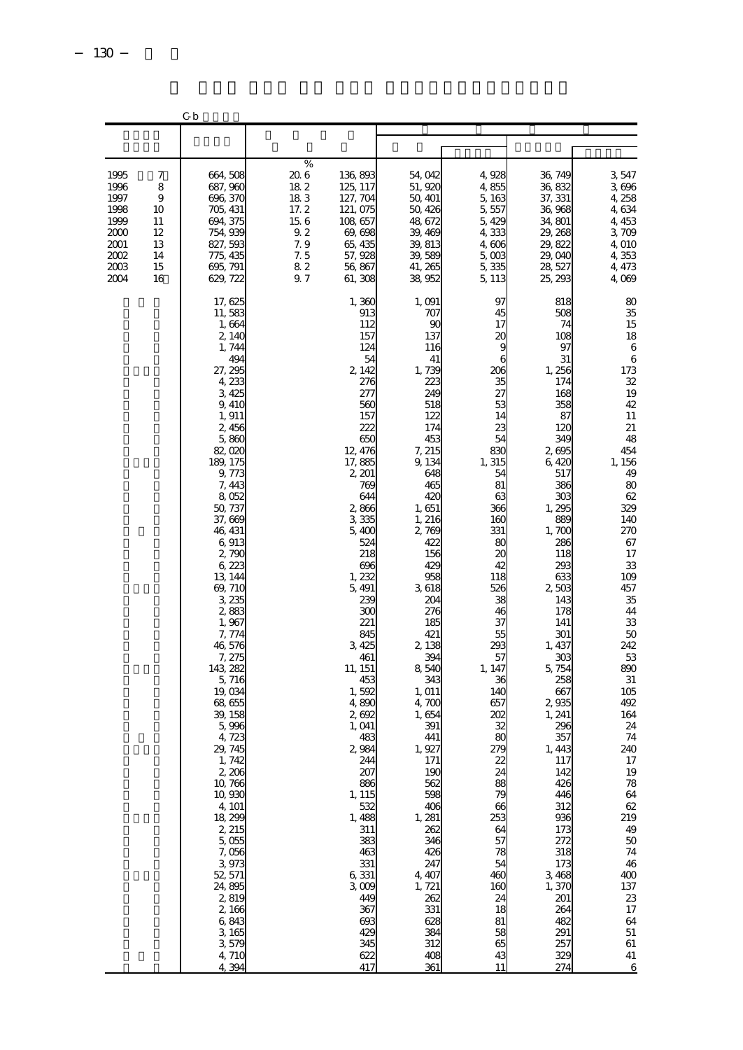|                                                                              |                                                       | C b                                                                                                                                                                                                                                                                                                                                                                                                                                                                                                                                                                                               |                                                                             |                                                                                                                                                                                                                                                                                                                                                                                                                                                                               |                                                                                                                                                                                                                                                                                                                                                                                                                                                                                     |                                                                                                                                                                                                                                                                                                                                                                                           |                                                                                                                                                                                                                                                                                                                                                                                                                                                                  |                                                                                                                                                                                                                                                                                                                                                                                     |
|------------------------------------------------------------------------------|-------------------------------------------------------|---------------------------------------------------------------------------------------------------------------------------------------------------------------------------------------------------------------------------------------------------------------------------------------------------------------------------------------------------------------------------------------------------------------------------------------------------------------------------------------------------------------------------------------------------------------------------------------------------|-----------------------------------------------------------------------------|-------------------------------------------------------------------------------------------------------------------------------------------------------------------------------------------------------------------------------------------------------------------------------------------------------------------------------------------------------------------------------------------------------------------------------------------------------------------------------|-------------------------------------------------------------------------------------------------------------------------------------------------------------------------------------------------------------------------------------------------------------------------------------------------------------------------------------------------------------------------------------------------------------------------------------------------------------------------------------|-------------------------------------------------------------------------------------------------------------------------------------------------------------------------------------------------------------------------------------------------------------------------------------------------------------------------------------------------------------------------------------------|------------------------------------------------------------------------------------------------------------------------------------------------------------------------------------------------------------------------------------------------------------------------------------------------------------------------------------------------------------------------------------------------------------------------------------------------------------------|-------------------------------------------------------------------------------------------------------------------------------------------------------------------------------------------------------------------------------------------------------------------------------------------------------------------------------------------------------------------------------------|
|                                                                              |                                                       |                                                                                                                                                                                                                                                                                                                                                                                                                                                                                                                                                                                                   |                                                                             |                                                                                                                                                                                                                                                                                                                                                                                                                                                                               |                                                                                                                                                                                                                                                                                                                                                                                                                                                                                     |                                                                                                                                                                                                                                                                                                                                                                                           |                                                                                                                                                                                                                                                                                                                                                                                                                                                                  |                                                                                                                                                                                                                                                                                                                                                                                     |
| 1995<br>1996<br>1997<br>1998<br>1999<br>2000<br>2001<br>2002<br>2003<br>2004 | 7<br>8<br>9<br>10<br>11<br>12<br>13<br>14<br>15<br>16 | 664, 508<br>687, 960<br>696, 370<br>705, 431<br>694, 375<br>754, 939<br>827, 593<br>775, 435<br>695, 791<br>629, 722                                                                                                                                                                                                                                                                                                                                                                                                                                                                              | %<br>206<br>18 2<br>18 3<br>17.2<br>15.6<br>9.2<br>7.9<br>7. 5<br>82<br>9.7 | 136, 893<br>125, 117<br>127, 704<br>121, 075<br>108, 657<br>69, 698<br>65, 435<br>57, 928<br>56, 867<br>61,308                                                                                                                                                                                                                                                                                                                                                                | 54, 042<br>51,920<br>50, 401<br>50, 426<br>48, 672<br>39, 469<br>39, 813<br>39,589<br>41, 265<br>38, 952                                                                                                                                                                                                                                                                                                                                                                            | 4.928<br>4,855<br>5,163<br>5,557<br>5,429<br>4,333<br>4,606<br>5,003<br>5,335<br>5, 113                                                                                                                                                                                                                                                                                                   | 36, 749<br>36,832<br>37, 331<br>36,968<br>34, 801<br>29, 268<br>29, 822<br>29,040<br>28, 527<br>25, 293                                                                                                                                                                                                                                                                                                                                                          | 3,547<br>3696<br>4, 258<br>4,634<br>4, 453<br>3,709<br>4,010<br>4,353<br>4, 473<br>4,069                                                                                                                                                                                                                                                                                            |
|                                                                              |                                                       | 17, 625<br>11,583<br>1,664<br>2, 140<br>1, 744<br>494<br>27, 295<br>4, 233<br>3,425<br>9, 410<br>1, 911<br>2,456<br>5,860<br>82,020<br>189, 175<br>9,773<br>7, 443<br>8 0 5 2<br>50, 737<br>37,669<br>46, 431<br>6,913<br>2,790<br>6,223<br>13, 144<br>69, 710<br>3, 235<br>2,883<br>1,967<br>7, 774<br>46, 576<br>7, 275<br>143, 282<br>5,716<br>19,034<br>68,655<br>39, 158<br>5,996<br>4, 723<br>29, 745<br>1, 742<br>2,206<br>10,766<br>10,930<br>4, 101<br>18, 299<br>2, 215<br>5,055<br>7,056<br>3,973<br>52, 571<br>24,895<br>2,819<br>2,166<br>6,843<br>3, 165<br>3,579<br>4,710<br>4,394 |                                                                             | 1,360<br>913<br>112<br>157<br>124<br>54<br>2, 142<br>276<br>277<br>560<br>157<br>222<br>650<br>12, 476<br>17,885<br>2, 201<br>769<br>644<br>2,866<br>3,335<br>5,400<br>524<br>218<br>696<br>1,232<br>5, 491<br>239<br>300<br>221<br>845<br>3, 425<br>461<br>11, 151<br>453<br>1,592<br>4,890<br>2,692<br>1, 041<br>483<br>2,984<br>244<br>207<br>886<br>1, 115<br>532<br>1,488<br>311<br>383<br>463<br>331<br>6,331<br>3,009<br>449<br>367<br>693<br>429<br>345<br>622<br>417 | 1,091<br>707<br>$\alpha$<br>137<br>116<br>41<br>1, 739<br>223<br>249<br>518<br>122<br>174<br>453<br>7, 215<br>9, 134<br>648<br>465<br>42C<br>1,651<br>1, 216<br>2,769<br>422<br>156<br>42 <sup>c</sup><br>955<br>3,618<br>204<br>276<br>185<br>421<br>2,138<br>394<br>8,540<br>343<br>1, 011<br>4,700<br>1,654<br>391<br>441<br>1, 927<br>171<br>190<br>562<br>598<br>406<br>1,281<br>262<br>346<br>426<br>247<br>4, 407<br>1, 721<br>262<br>331<br>628<br>384<br>312<br>408<br>361 | 97<br>45<br>17<br>20<br>9<br>6<br>206<br>35<br>27<br>53<br>14<br>23<br>54<br>830<br>1, 315<br>54<br>81<br>63<br>366<br>160<br>331<br>8C<br>20<br>42<br>118<br>526<br>38<br>46<br>37<br>55<br>293<br>57<br>1, 147<br>36<br>14C<br>657<br>202<br>32<br>8 <sup>c</sup><br>279<br>24<br>88<br>79<br>66<br>253<br>64<br>57<br>78<br>54<br>460<br>160<br>24<br>18<br>81<br>58<br>65<br>43<br>11 | 818<br>508<br>74<br>108<br>97<br>31<br>1, 256<br>174<br>168<br>358<br>87<br>12C<br>34 <sup>c</sup><br>2,695<br>6,420<br>517<br>386<br>303<br>1,295<br>889<br>1,700<br>286<br>118<br>293<br>633<br>2,503<br>143<br>178<br>141<br>301<br>1, 437<br>303<br>5, 754<br>258<br>667<br>2,935<br>1, 241<br>296<br>357<br>1, 443<br>117<br>142<br>426<br>446<br>312<br>936<br>173<br>272<br>318<br>173<br>3,468<br>1,370<br>201<br>264<br>482<br>291<br>257<br>329<br>274 | 80<br>35<br>15<br>18<br>6<br>6<br>173<br>32<br>19<br>42<br>11<br>21<br>48<br>454<br>1, 156<br>49<br>80<br>62<br>329<br>140<br>270<br>67<br>17<br>33<br>109<br>457<br>35<br>44<br>33<br>50<br>242<br>53<br>890<br>31<br>105<br>492<br>164<br>24<br>74<br>240<br>17<br>19<br>78<br>64<br>62<br>219<br>49<br>50<br>74<br>46<br>400<br>137<br>23<br>17<br>64<br>$51\,$<br>61<br>41<br>6 |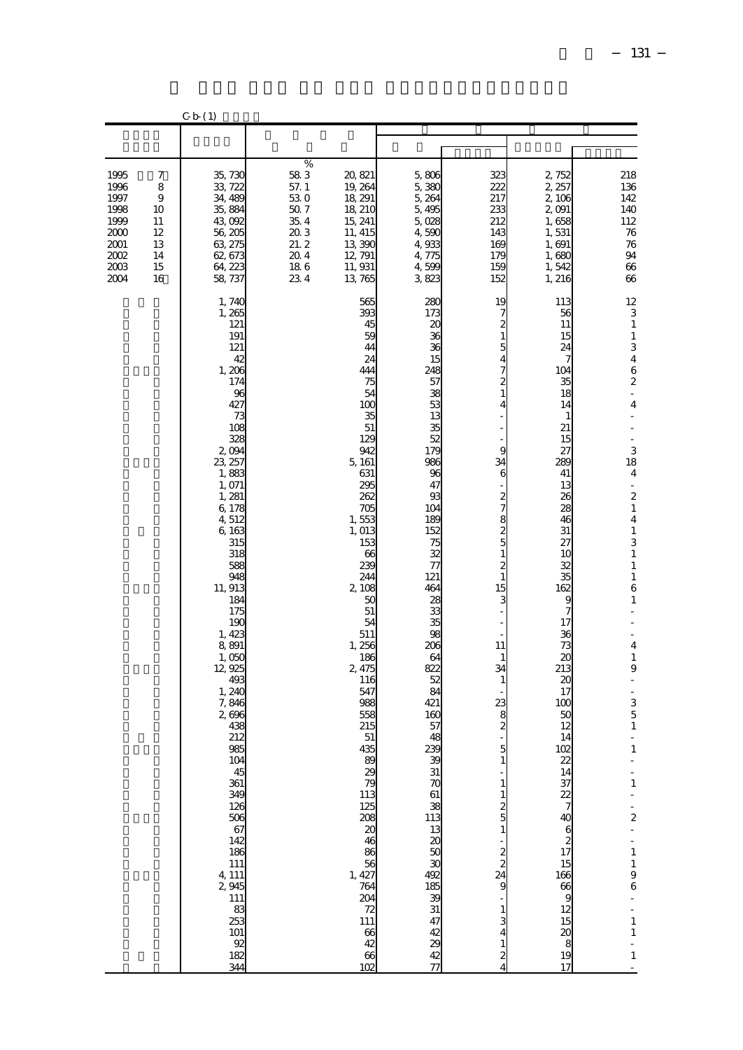|                                                                              | C b (1)                                               |                                                                                                                                                                                                                                                                                                                                                                                                                                                                                 |                                                                                    |                                                                                                                                                                                                                                                                                                                                                                                                                                                              |                                                                                                                                                                                                                                                                                                                                          |                                                                                                                                                                                                                                                                                                                                                                                                                                                                                                     |                                                                                                                                                                                                                                                                                                                                                                                              |                                                                                                                                                                                                                                                                                                                                                                                                                                                                                                                                                                                                                                                                                        |
|------------------------------------------------------------------------------|-------------------------------------------------------|---------------------------------------------------------------------------------------------------------------------------------------------------------------------------------------------------------------------------------------------------------------------------------------------------------------------------------------------------------------------------------------------------------------------------------------------------------------------------------|------------------------------------------------------------------------------------|--------------------------------------------------------------------------------------------------------------------------------------------------------------------------------------------------------------------------------------------------------------------------------------------------------------------------------------------------------------------------------------------------------------------------------------------------------------|------------------------------------------------------------------------------------------------------------------------------------------------------------------------------------------------------------------------------------------------------------------------------------------------------------------------------------------|-----------------------------------------------------------------------------------------------------------------------------------------------------------------------------------------------------------------------------------------------------------------------------------------------------------------------------------------------------------------------------------------------------------------------------------------------------------------------------------------------------|----------------------------------------------------------------------------------------------------------------------------------------------------------------------------------------------------------------------------------------------------------------------------------------------------------------------------------------------------------------------------------------------|----------------------------------------------------------------------------------------------------------------------------------------------------------------------------------------------------------------------------------------------------------------------------------------------------------------------------------------------------------------------------------------------------------------------------------------------------------------------------------------------------------------------------------------------------------------------------------------------------------------------------------------------------------------------------------------|
|                                                                              |                                                       |                                                                                                                                                                                                                                                                                                                                                                                                                                                                                 |                                                                                    |                                                                                                                                                                                                                                                                                                                                                                                                                                                              |                                                                                                                                                                                                                                                                                                                                          |                                                                                                                                                                                                                                                                                                                                                                                                                                                                                                     |                                                                                                                                                                                                                                                                                                                                                                                              |                                                                                                                                                                                                                                                                                                                                                                                                                                                                                                                                                                                                                                                                                        |
| 1995<br>1996<br>1997<br>1998<br>1999<br>2000<br>2001<br>2002<br>2003<br>2004 | 7<br>8<br>9<br>10<br>11<br>12<br>13<br>14<br>15<br>16 | 35, 730<br>33, 722<br>34, 489<br>35,884<br>43,092<br>56, 205<br>63, 275<br>62, 673<br>64, 223<br>58, 737                                                                                                                                                                                                                                                                                                                                                                        | $\%$<br>58 3<br>57.1<br>530<br>50.7<br>35.4<br>20.3<br>21.2<br>20.4<br>186<br>23 4 | 20, 821<br>19, 264<br>18, 291<br>18, 210<br>15, 241<br>11, 415<br>13,390<br>12, 791<br>11, 931<br>13, 765                                                                                                                                                                                                                                                                                                                                                    | 5,806<br>5,380<br>5,264<br>5,495<br>5,028<br>4,590<br>4,933<br>4,775<br>4,599<br>3,823                                                                                                                                                                                                                                                   | 323<br>222<br>217<br>233<br>212<br>143<br>169<br>179<br>159<br>152                                                                                                                                                                                                                                                                                                                                                                                                                                  | 2, 752<br>2, 257<br>2,106<br>2,091<br>1,658<br>1,531<br>1,691<br>1,680<br>1,542<br>1, 216                                                                                                                                                                                                                                                                                                    | 218<br>136<br>142<br>140<br>112<br>76<br>76<br>94<br>$66\,$<br>66                                                                                                                                                                                                                                                                                                                                                                                                                                                                                                                                                                                                                      |
|                                                                              |                                                       | 1,740<br>1,265<br>121<br>191<br>121<br>42<br>1,206<br>174<br>96<br>427<br>73<br>108<br>328<br>2,094<br>23, 257<br>1,883<br>1,071<br>1,281<br>6,178<br>4,512<br>6,163<br>315<br>318<br>589<br>948<br>11, 913<br>184<br>175<br>190<br>1, 423<br>8,891<br>1,050<br>12, 925<br>493<br>1, 240<br>7,846<br>2,696<br>438<br>212<br>985<br>104<br>45<br>361<br>349<br>126<br>506<br>67<br>142<br>186<br>111<br>$4, 111$<br>2, 945<br>111<br>83<br>253<br>101<br>$\frac{92}{182}$<br>344 |                                                                                    | 565<br>393<br>45<br>59<br>44<br>24<br>444<br>75<br>54<br>100<br>35<br>51<br>12 <sup>c</sup><br>942<br>5, 161<br>631<br>295<br>262<br>705<br>1,553<br>1,013<br>153<br>66<br>239<br>244<br>2, 108<br>50<br>51<br>54<br>511<br>1,256<br>186<br>2,475<br>116<br>547<br>988<br>558<br>215<br>51<br>435<br>89<br>29<br>79<br>113<br>$\frac{125}{208}$<br>$\infty$<br>46<br>86<br>$-36$<br>1, 427<br>764<br>204<br>$\frac{72}{111}$<br>$\frac{66}{42}$<br>66<br>102 | 280<br>173<br>$\alpha$<br>36<br>36<br>15<br>248<br>57<br>38<br>53<br>13<br>35<br>52<br>179<br>986<br>96<br>47<br>93<br>104<br>189<br>152<br>75<br>32<br>77<br>121<br>464<br>28<br>33<br>35<br>98<br>206<br>64<br>822<br>52<br>84<br>421<br>160<br>57<br>48<br>239<br>39<br>31<br>31<br>33<br>31<br>33<br>31<br>3<br>338888883<br>47.4288 | 19<br>7<br>$\frac{2}{1}$<br>5<br>$\overline{4}$<br>7<br>2<br>$\mathbf{1}$<br>4<br>÷<br>9<br>34<br>6<br>$\frac{2}{7}$<br>$\begin{array}{c} 8 \\ 2 \\ 5 \end{array}$<br>$\,1\,$<br>$\overline{\mathcal{Z}}$<br>$\,1\,$<br>15<br>3<br>L,<br>÷<br>$\overline{a}$<br>11<br>1<br>34<br>1<br>23<br>$\frac{8}{2}$<br>$\overline{a}$<br>5<br>$\,1$<br>$\,1$<br>$\begin{array}{c} 2 \\ 5 \\ 1 \end{array}$<br>$\begin{array}{c}\n2 \\ 2 \\ 24\n\end{array}$<br>9<br>$\,1\,$<br>$\frac{3}{4}$<br>$\frac{1}{2}$ | 113<br>56<br>11<br>15<br>24<br>7<br>104<br>35<br>18<br>14<br>1<br>21<br>15<br>27<br>289<br>41<br>13<br>26<br>28<br>46<br>31<br>27<br>10<br>32<br>35<br>162<br>$\frac{9}{7}$<br>17<br>36<br>73<br>$\infty$<br>213<br>$\alpha$<br>17<br>100<br>5C<br>12<br>14<br>102<br>$2314$<br>$7827$<br>$7837$<br>$77$<br>$\frac{15}{9}$<br>12<br>$\begin{array}{c} 15 \\ 20 \\ 8 \\ 19 \end{array}$<br>17 | 12<br>$\ensuremath{\mathsf{3}}$<br>$\mathbf 1$<br>$\,1\,$<br>$\frac{3}{4}$<br>6<br>$\overline{\mathcal{L}}$<br>$\frac{1}{2}$<br>$\overline{4}$<br>L,<br>$\overline{a}$<br>$\overline{a}$<br>3<br>18<br>$\bf 4$<br>$\overline{a}$<br>$\boldsymbol{2}$<br>$\,1$<br>$\bf 4$<br>$\,1$<br>3<br>$\,1$<br>$\,1$<br>$\,1\,$<br>6<br>$1\,$<br>$\overline{a}$<br>$\overline{a}$<br>÷<br>$\bf 4$<br>$\,1$<br>9<br>L,<br>$\frac{1}{2}$<br>3<br>$\overline{5}$<br>$\,1$<br>$\overline{\phantom{a}}$<br>1<br>$\frac{1}{2}$<br>$\overline{a}$<br>$\mathbf{1}$<br>L,<br>$\frac{1}{2}$<br>$\frac{1}{2}$<br>$\frac{1}{9}$ 6<br>$\frac{1}{2}$<br>$\begin{smallmatrix}1\\1\end{smallmatrix}$<br>÷<br>$\,1$ |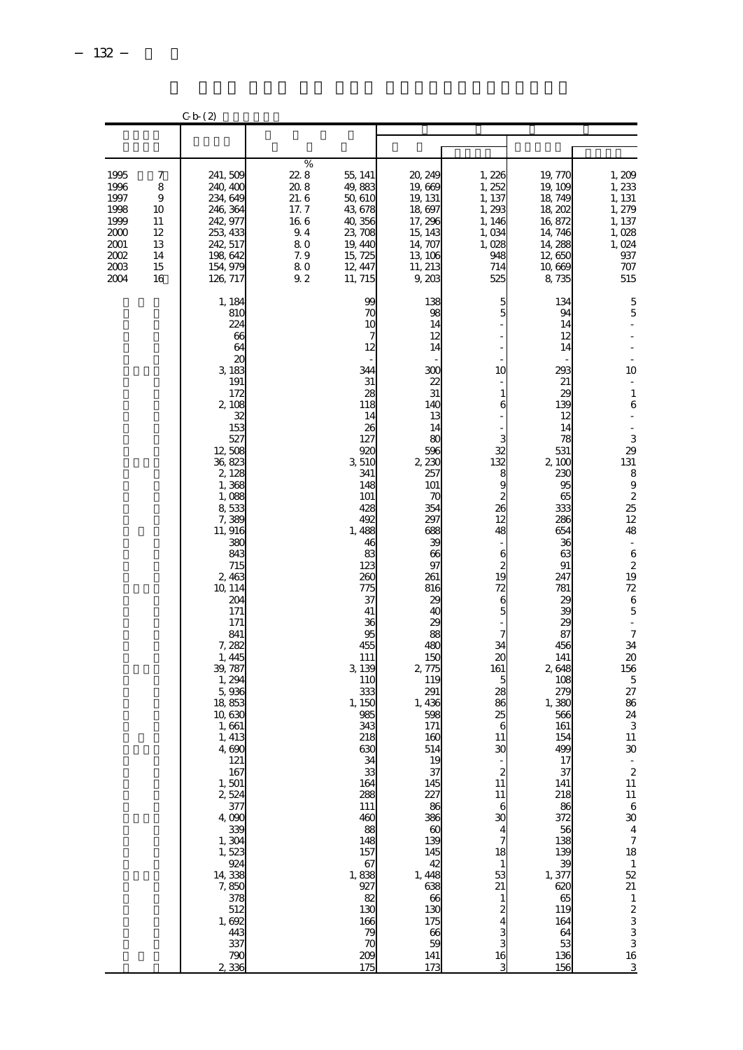|                                                                              |                                                       | C b (2)                                                                                                                                                                                                                                                                                                                                                                                                                                                                                                                  |                                                                            |                                                                                                                                                                                                                                                                                                                                                                                                         |                                                                                                                                                                                                                                                                                                                                                                                                                                     |                                                                                                                                                                                                                                                                                                                                                                     |                                                                                                                                                                                                                                                                                                                                                                                                      |                                                                                                                                                                                                                                                                                                                                                                                                                                                                                                                                    |
|------------------------------------------------------------------------------|-------------------------------------------------------|--------------------------------------------------------------------------------------------------------------------------------------------------------------------------------------------------------------------------------------------------------------------------------------------------------------------------------------------------------------------------------------------------------------------------------------------------------------------------------------------------------------------------|----------------------------------------------------------------------------|---------------------------------------------------------------------------------------------------------------------------------------------------------------------------------------------------------------------------------------------------------------------------------------------------------------------------------------------------------------------------------------------------------|-------------------------------------------------------------------------------------------------------------------------------------------------------------------------------------------------------------------------------------------------------------------------------------------------------------------------------------------------------------------------------------------------------------------------------------|---------------------------------------------------------------------------------------------------------------------------------------------------------------------------------------------------------------------------------------------------------------------------------------------------------------------------------------------------------------------|------------------------------------------------------------------------------------------------------------------------------------------------------------------------------------------------------------------------------------------------------------------------------------------------------------------------------------------------------------------------------------------------------|------------------------------------------------------------------------------------------------------------------------------------------------------------------------------------------------------------------------------------------------------------------------------------------------------------------------------------------------------------------------------------------------------------------------------------------------------------------------------------------------------------------------------------|
|                                                                              |                                                       |                                                                                                                                                                                                                                                                                                                                                                                                                                                                                                                          |                                                                            |                                                                                                                                                                                                                                                                                                                                                                                                         |                                                                                                                                                                                                                                                                                                                                                                                                                                     |                                                                                                                                                                                                                                                                                                                                                                     |                                                                                                                                                                                                                                                                                                                                                                                                      |                                                                                                                                                                                                                                                                                                                                                                                                                                                                                                                                    |
| 1995<br>1996<br>1997<br>1998<br>1999<br>2000<br>2001<br>2002<br>2003<br>2004 | 7<br>8<br>9<br>10<br>11<br>12<br>13<br>14<br>15<br>16 | 241,509<br>240, 400<br>234, 649<br>246, 364<br>242, 977<br>253, 433<br>242, 517<br>198, 642<br>154, 979<br>126, 717                                                                                                                                                                                                                                                                                                                                                                                                      | %<br>22.8<br>20.8<br>21.6<br>17.7<br>16 6<br>9.4<br>80<br>7.9<br>80<br>9.2 | 55, 141<br>49,883<br>50, 610<br>43, 678<br>40, 356<br>23, 708<br>19, 440<br>15, 725<br>12, 447<br>11, 715                                                                                                                                                                                                                                                                                               | 20, 249<br>19,669<br>19, 131<br>18,697<br>17, 296<br>15, 143<br>14, 707<br>13, 106<br>11, 213<br>9,203                                                                                                                                                                                                                                                                                                                              | 1, 226<br>1, 252<br>1, 137<br>1, 293<br>1, 146<br>1,034<br>1,028<br>948<br>714<br>525                                                                                                                                                                                                                                                                               | 19,770<br>19, 109<br>18, 749<br>18, 202<br>16,872<br>14, 746<br>14, 288<br>12,650<br>10,669<br>8,735                                                                                                                                                                                                                                                                                                 | 1,209<br>1,233<br>1, 131<br>1, 279<br>1, 137<br>1,028<br>1,024<br>937<br>707<br>515                                                                                                                                                                                                                                                                                                                                                                                                                                                |
|                                                                              |                                                       | 1, 184<br>810<br>224<br>66<br>64<br>20<br>3, 183<br>191<br>172<br>2, 108<br>32<br>153<br>527<br>12,508<br>36, 823<br>2,128<br>1,368<br>1,088<br>8,533<br>7,389<br>11, 916<br>380<br>843<br>715<br>2,463<br>10, 114<br>204<br>171<br>171<br>841<br>7,282<br>1, 445<br>39, 787<br>1,294<br>5,936<br>18,853<br>10,630<br>1,661<br>1, 413<br>4,690<br>121<br>167<br>$\frac{1}{2}$ , 501<br>2, 524<br>377<br>4,090<br>339<br>1,304<br>1,523<br>$924$<br>14, 338<br>7,850<br>378<br>512<br>1,692<br>443<br>337<br>790<br>2,336 |                                                                            | 99<br>7C<br>10<br>7<br>12<br>344<br>31<br>28<br>118<br>14<br>26<br>127<br>920<br>3,51C<br>341<br>148<br>101<br>428<br>492<br>1,488<br>46<br>83<br>123<br>260<br>775<br>37<br>41<br>36<br>95<br>455<br>111<br>3, 139<br>110<br>333<br>1, 150<br>985<br>343<br>218<br>630<br>34<br>33<br>164<br>288<br>111<br>460<br>88<br>148<br>157<br>67<br>1,838<br>927<br>82<br>130<br>166<br>79<br>70<br>209<br>175 | 138<br>98<br>14<br>12<br>14<br>300<br>22<br>31<br>140<br>13<br>14<br>80<br>596<br>2,230<br>257<br>101<br>70<br>354<br>297<br>688<br>39<br>66<br>97<br>261<br>816<br>29<br>40<br>29<br>88<br>480<br>150<br>2,775<br>119<br>291<br>1,436<br>598<br>171<br>16C<br>514<br>19<br>37<br>145<br>227<br>86<br>386<br>60<br>139<br>145<br>$42$<br>1, 448<br>638<br>66<br>130<br>175<br>$\begin{array}{c} 66 \\ 59 \end{array}$<br>141<br>173 | 5<br>5<br>10<br>$\mathbf{1}$<br>6<br>32<br>132<br>8<br>9<br>$\overline{c}$<br>26<br>12<br>48<br>6<br>$\overline{c}$<br>19<br>72<br>6<br>5<br>7<br>34<br>20<br>161<br>5<br>28<br>86<br>25<br>6<br>11<br>30<br>$\overline{c}$<br>11<br>11<br>6<br>30<br>$\overline{4}$<br>$\overline{\mathcal{U}}$<br>18<br>1<br>53<br>21<br>1<br>$\mathbf{z}$<br>$\frac{3}{3}$<br>16 | 134<br>94<br>14<br>$12 \,$<br>14<br>293<br>21<br>29<br>139<br>12<br>14<br>78<br>531<br>2,100<br>230<br>95<br>65<br>333<br>286<br>654<br>36<br>63<br>91<br>247<br>781<br>29<br>æ<br>29<br>87<br>456<br>141<br>2,648<br>108<br>279<br>1,380<br>566<br>161<br>154<br>499<br>17<br>37<br>141<br>218<br>86<br>372<br>56<br>138<br>139<br>39<br>1,377<br>62C<br>65<br>119<br>164<br>64<br>53<br>136<br>156 | 5<br>5<br>10<br>$\,1\,$<br>$\,6$<br>3<br>29<br>131<br>8<br>$\overline{9}$<br>$\overline{c}$<br>25<br>12<br>48<br>÷<br>$\mathbf 6$<br>$\boldsymbol{z}$<br>19<br>72<br>6<br>5<br>$\mathcal I$<br>34<br>$20\,$<br>156<br>5<br>27<br>86<br>24<br>$\ensuremath{\mathsf{3}}$<br>11<br>30<br>$\overline{\phantom{a}}$<br>$\boldsymbol{2}$<br>$11\,$<br>11<br>$\begin{array}{c} 6 \\ 30 \end{array}$<br>$\frac{4}{7}$<br>18<br>$\overline{1}$<br>52<br>21<br>$\begin{array}{c}\n1 \\ 2 \\ 3 \\ 3\n\end{array}$<br>$16\,$<br>$\overline{3}$ |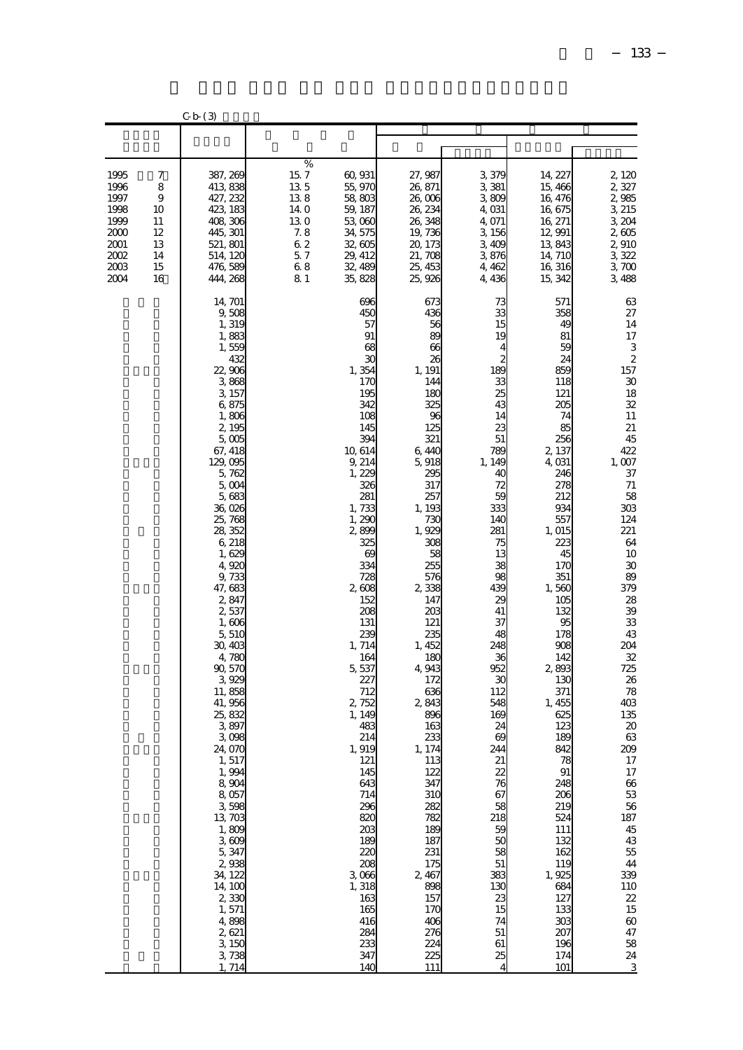|                                                                              |                                                       | C b (3)                                                                                                                                                                                                                                                                                                                                                                                                                                                                                                                                                                                 |                                                                         |                                                                                                                                                                                                                                                                                                                                                                                                                                                         |                                                                                                                                                                                                                                                                                                                                                                                                                                                       |                                                                                                                                                                                                                                                                                                                                                                                             |                                                                                                                                                                                                                                                                                                                                                                                                                                                                    |                                                                                                                                                                                                                                                                                                                                                                                                                                                        |
|------------------------------------------------------------------------------|-------------------------------------------------------|-----------------------------------------------------------------------------------------------------------------------------------------------------------------------------------------------------------------------------------------------------------------------------------------------------------------------------------------------------------------------------------------------------------------------------------------------------------------------------------------------------------------------------------------------------------------------------------------|-------------------------------------------------------------------------|---------------------------------------------------------------------------------------------------------------------------------------------------------------------------------------------------------------------------------------------------------------------------------------------------------------------------------------------------------------------------------------------------------------------------------------------------------|-------------------------------------------------------------------------------------------------------------------------------------------------------------------------------------------------------------------------------------------------------------------------------------------------------------------------------------------------------------------------------------------------------------------------------------------------------|---------------------------------------------------------------------------------------------------------------------------------------------------------------------------------------------------------------------------------------------------------------------------------------------------------------------------------------------------------------------------------------------|--------------------------------------------------------------------------------------------------------------------------------------------------------------------------------------------------------------------------------------------------------------------------------------------------------------------------------------------------------------------------------------------------------------------------------------------------------------------|--------------------------------------------------------------------------------------------------------------------------------------------------------------------------------------------------------------------------------------------------------------------------------------------------------------------------------------------------------------------------------------------------------------------------------------------------------|
|                                                                              |                                                       |                                                                                                                                                                                                                                                                                                                                                                                                                                                                                                                                                                                         |                                                                         |                                                                                                                                                                                                                                                                                                                                                                                                                                                         |                                                                                                                                                                                                                                                                                                                                                                                                                                                       |                                                                                                                                                                                                                                                                                                                                                                                             |                                                                                                                                                                                                                                                                                                                                                                                                                                                                    |                                                                                                                                                                                                                                                                                                                                                                                                                                                        |
| 1995<br>1996<br>1997<br>1998<br>1999<br>2000<br>2001<br>2002<br>2003<br>2004 | 7<br>8<br>9<br>10<br>11<br>12<br>13<br>14<br>15<br>16 | 387, 269<br>413, 838<br>427, 232<br>423, 183<br>408, 306<br>445, 301<br>521, 801<br>514, 120<br>476, 589<br>444, 268                                                                                                                                                                                                                                                                                                                                                                                                                                                                    | %<br>15.7<br>135<br>138<br>14 O<br>130<br>7.8<br>6.2<br>5.7<br>68<br>81 | 60, 931<br>55, 970<br>58,803<br>59, 187<br>53,060<br>34, 575<br>32,605<br>29, 412<br>32, 489<br>35, 828                                                                                                                                                                                                                                                                                                                                                 | 27, 987<br>26, 871<br>26,006<br>26, 234<br>26, 348<br>19, 736<br>20, 173<br>21, 708<br>25, 453<br>25, 926                                                                                                                                                                                                                                                                                                                                             | 3,379<br>3,381<br>3,809<br>4,031<br>4,071<br>3,156<br>3,409<br>3,876<br>4, 462<br>4, 436                                                                                                                                                                                                                                                                                                    | 14, 227<br>15,466<br>16, 476<br>16,675<br>16, 271<br>12,991<br>13,843<br>14, 71C<br>16, 316<br>15, 342                                                                                                                                                                                                                                                                                                                                                             | 2, 120<br>2,327<br>2,985<br>3, 215<br>3, 204<br>2,605<br>2,910<br>3,322<br>3,700<br>3,488                                                                                                                                                                                                                                                                                                                                                              |
|                                                                              |                                                       | 14, 701<br>9,508<br>1,319<br>1,883<br>1,559<br>432<br>22,906<br>3,868<br>3, 157<br>6,875<br>1,806<br>2, 195<br>5,005<br>67, 418<br>129,095<br>5,762<br>5,004<br>5,683<br>36,026<br>25, 768<br>28, 352<br>6, 218<br>1,625<br>4,920<br>9,733<br>47, 683<br>2,847<br>2,537<br>1,606<br>5,510<br>30, 403<br>4,780<br>90, 57C<br>3,925<br>11,858<br>41, 956<br>25,832<br>3897<br>3,098<br>24, 070<br>1, 517<br>1,994<br>8,904<br>8,057<br>3,598<br>13, 703<br>1,809<br>3,609<br>$5,347$<br>$2,938$<br>$34,122$<br>14, 100<br>2, 330<br>1, 571<br>4,898<br>2, 621<br>3,150<br>3,738<br>1, 714 |                                                                         | 696<br>450<br>57<br>91<br>68<br>ЗС<br>1,354<br>170<br>195<br>342<br>108<br>145<br>394<br>10, 614<br>9, 214<br>1,229<br>326<br>281<br>1,733<br>1,290<br>2,899<br>325<br>69<br>334<br>728<br>2,608<br>152<br>208<br>131<br>239<br>1, 714<br>164<br>5,537<br>227<br>712<br>2,752<br>1, 149<br>483<br>214<br>1,919<br>121<br>145<br>643<br>714<br>296<br>82C<br>203<br>189<br>220<br>208<br>3,066<br>1,318<br>163<br>165<br>416<br>284<br>233<br>347<br>140 | 673<br>436<br>56<br>8C<br>66<br>26<br>1, 191<br>144<br>180<br>325<br>96<br>125<br>321<br>6,440<br>5,918<br>295<br>317<br>257<br>1, 193<br>73C<br>1,929<br>308<br>58<br>255<br>576<br>2,338<br>147<br>203<br>121<br>235<br>1, 452<br>18C<br>4, 943<br>172<br>636<br>2,843<br>896<br>163<br>233<br>1, 174<br>113<br>122<br>347<br>310<br>282<br>782<br>189<br>187<br>231<br>$\frac{175}{2.467}$<br>898<br>157<br>170<br>406<br>276<br>224<br>225<br>111 | 73<br>33<br>15<br>19<br>4<br>$\overline{c}$<br>189<br>33<br>25<br>43<br>14<br>23<br>51<br>789<br>1, 149<br>40<br>72<br>59<br>333<br>140<br>281<br>75<br>13<br>38<br>98<br>439<br>29<br>41<br>37<br>48<br>248<br>36<br>952<br>30<br>112<br>548<br>169<br>24<br>69<br>244<br>21<br>22<br>76<br>67<br>58<br>218<br>59<br>50<br>58<br>51<br>383<br>130<br>23<br>15<br>74<br>51<br>61<br>25<br>4 | 571<br>358<br>4 <sup>c</sup><br>81<br>59<br>24<br>859<br>118<br>121<br>205<br>74<br>85<br>256<br>2, 137<br>4,031<br>246<br>278<br>212<br>934<br>557<br>1, 015<br>223<br>45<br>17C<br>351<br>1,560<br>105<br>132<br>95<br>178<br>908<br>142<br>2893<br>13C<br>371<br>1, 455<br>625<br>12 <sup>c</sup><br>189<br>842<br>$\frac{1}{8}$<br>91<br>248<br>206<br>219<br>524<br>111<br>132<br>162<br>119<br>1,925<br>684<br>127<br>133<br>303<br>207<br>196<br>174<br>101 | 63<br>27<br>14<br>17<br>$\ensuremath{\mathsf{3}}$<br>$\boldsymbol{2}$<br>157<br>30<br>18<br>$3\!2$<br>11<br>21<br>45<br>422<br>1,007<br>37<br>71<br>58<br>303<br>124<br>221<br>64<br>10<br>30<br>89<br>379<br>28<br>39<br>33<br>43<br>204<br>$3\!2$<br>725<br>26<br>78<br>403<br>135<br>20<br>63<br>209<br>17<br>17<br>66<br>53<br>$\frac{56}{187}$<br>$45\,$<br>43<br>55<br>$\bf 44$<br>339<br>110<br>22<br>15<br>$\infty$<br>47<br>$58\,$<br>24<br>3 |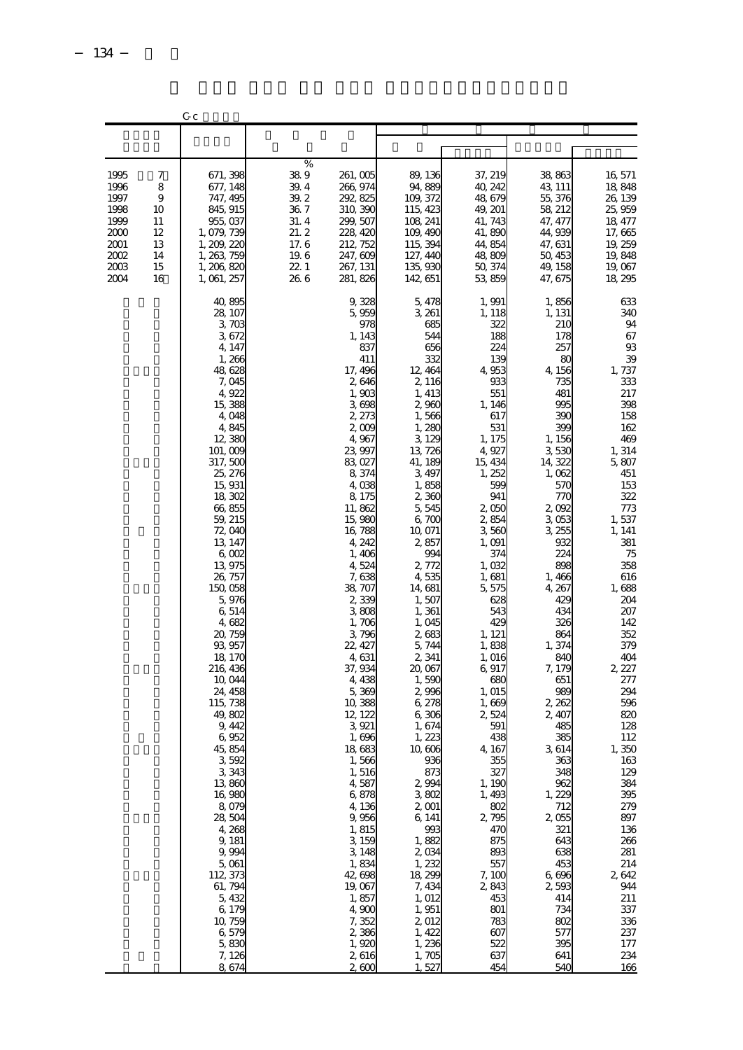|                                                                              |                                                       | Cс                                                                                                                                                                                                                                                                                                                                                                                                                                                                                                                                                                                                              |                                                                                 |                                                                                                                                                                                                                                                                                                                                                                                                                                                                                                                                                                        |                                                                                                                                                                                                                                                                                                                                                                                                                                                                                                                                                          |                                                                                                                                                                                                                                                                                                                                                                                                                                                                                                 |                                                                                                                                                                                                                                                                                                                                                                                                                                                                            |                                                                                                                                                                                                                                                                                                                                                                                                                                            |
|------------------------------------------------------------------------------|-------------------------------------------------------|-----------------------------------------------------------------------------------------------------------------------------------------------------------------------------------------------------------------------------------------------------------------------------------------------------------------------------------------------------------------------------------------------------------------------------------------------------------------------------------------------------------------------------------------------------------------------------------------------------------------|---------------------------------------------------------------------------------|------------------------------------------------------------------------------------------------------------------------------------------------------------------------------------------------------------------------------------------------------------------------------------------------------------------------------------------------------------------------------------------------------------------------------------------------------------------------------------------------------------------------------------------------------------------------|----------------------------------------------------------------------------------------------------------------------------------------------------------------------------------------------------------------------------------------------------------------------------------------------------------------------------------------------------------------------------------------------------------------------------------------------------------------------------------------------------------------------------------------------------------|-------------------------------------------------------------------------------------------------------------------------------------------------------------------------------------------------------------------------------------------------------------------------------------------------------------------------------------------------------------------------------------------------------------------------------------------------------------------------------------------------|----------------------------------------------------------------------------------------------------------------------------------------------------------------------------------------------------------------------------------------------------------------------------------------------------------------------------------------------------------------------------------------------------------------------------------------------------------------------------|--------------------------------------------------------------------------------------------------------------------------------------------------------------------------------------------------------------------------------------------------------------------------------------------------------------------------------------------------------------------------------------------------------------------------------------------|
|                                                                              |                                                       |                                                                                                                                                                                                                                                                                                                                                                                                                                                                                                                                                                                                                 |                                                                                 |                                                                                                                                                                                                                                                                                                                                                                                                                                                                                                                                                                        |                                                                                                                                                                                                                                                                                                                                                                                                                                                                                                                                                          |                                                                                                                                                                                                                                                                                                                                                                                                                                                                                                 |                                                                                                                                                                                                                                                                                                                                                                                                                                                                            |                                                                                                                                                                                                                                                                                                                                                                                                                                            |
| 1995<br>1996<br>1997<br>1998<br>1999<br>2000<br>2001<br>2002<br>2003<br>2004 | 7<br>8<br>9<br>10<br>11<br>12<br>13<br>14<br>15<br>16 | 671, 398<br>677, 148<br>747, 495<br>845, 915<br>955, 037<br>1, 079, 739<br>1, 209, 220<br>1, 263, 759<br>1, 206, 820<br>1, 061, 257                                                                                                                                                                                                                                                                                                                                                                                                                                                                             | %<br>389<br>39.4<br>39.2<br>36.7<br>31.4<br>21.2<br>17.6<br>19.6<br>221<br>26.6 | 261,005<br>266, 974<br>292, 825<br>310, 390<br>299, 507<br>228, 420<br>212, 752<br>247, 60E<br>267, 131<br>281, 826                                                                                                                                                                                                                                                                                                                                                                                                                                                    | 89, 136<br>94,889<br>109, 372<br>115, 423<br>108, 241<br>109, 490<br>115, 394<br>127, 440<br>135, 930<br>142 651                                                                                                                                                                                                                                                                                                                                                                                                                                         | 37, 219<br>40, 242<br>48, 679<br>49, 201<br>41, 743<br>41,890<br>44, 854<br>48,809<br>50, 374<br>53, 859                                                                                                                                                                                                                                                                                                                                                                                        | 38,863<br>43, 111<br>55, 376<br>58, 212<br>47, 477<br>44,939<br>47, 631<br>50, 453<br>49, 158<br>47, 675                                                                                                                                                                                                                                                                                                                                                                   | 16, 571<br>18,848<br>26, 139<br>25, 959<br>18, 477<br>17,665<br>19, 259<br>19,848<br>19,067<br>18, 295                                                                                                                                                                                                                                                                                                                                     |
|                                                                              |                                                       | 40, 895<br>28, 107<br>3,703<br>3,672<br>4, 147<br>1,266<br>48, 628<br>7,045<br>4,922<br>15,388<br>4,048<br>4,845<br>12,380<br>101,009<br>317,500<br>25, 276<br>15, 931<br>18, 302<br>66,855<br>59, 215<br>72, O4C<br>13, 147<br>6,002<br>13,975<br>26, 757<br>150,058<br>5,976<br>6,514<br>4,682<br>20, 759<br>93, 957<br>18, 170<br>216, 436<br>10,044<br>24, 458<br>115, 738<br>49,802<br>9, 442<br>6,952<br>45,854<br>3, 592<br>3,343<br>13,860<br>16,980<br>8,079<br>28,504<br>4,268<br>9, 181<br>9,994<br>5,061<br>112, 373<br>61, 794<br>5, 432<br>6, 179<br>10, 759<br>6,579<br>5,830<br>7, 126<br>8,674 |                                                                                 | 9,326<br>5,959<br>978<br>1, 143<br>837<br>411<br>17, 496<br>2,646<br>1,903<br>3,698<br>2, 273<br>2,000<br>4,967<br>23, 997<br>83,027<br>8,374<br>4,038<br>8, 175<br>11,862<br>15,980<br>16,788<br>4, 242<br>1,406<br>4,524<br>7,638<br>38, 707<br>2,339<br>3,808<br>1,706<br>3,796<br>22, 427<br>4,631<br>37, 934<br>4,438<br>5,369<br>10,388<br>12, 122<br>3,921<br>1,696<br>18, 683<br>1,566<br>1, 516<br>4,587<br>6,878<br>4, 136<br>9,956<br>1, 815<br>3,159<br>3,148<br>1,834<br>42, 698<br>19,067<br>1,857<br>4,900<br>7,352<br>2,386<br>1,920<br>2,616<br>2,600 | 5,478<br>3, 261<br>685<br>544<br>656<br>332<br>12, 464<br>2, 116<br>1, 413<br>2,960<br>1,566<br>1,280<br>3,129<br>13, 726<br>41, 189<br>3, 497<br>1,858<br>2,360<br>5,545<br>6,700<br>10,071<br>2,857<br>994<br>2, 772<br>4,535<br>14, 681<br>1,507<br>1,361<br>1,045<br>2,683<br>5, 744<br>2,341<br>20,067<br>1,590<br>2996<br>6, 278<br>6,306<br>1,674<br>1,223<br>10, 606<br>936<br>873<br>2,994<br>3,802<br>2,001<br>6, 141<br>993<br>1,882<br>2,034<br>1, 232<br>18, 299<br>7, 434<br>1, 012<br>1,951<br>2,012<br>1, 422<br>1,236<br>1,705<br>1,527 | 1,991<br>1, 118<br>322<br>188<br>224<br>139<br>4, 953<br>933<br>551<br>1, 146<br>617<br>531<br>1, 175<br>4,927<br>15, 434<br>1, 252<br>599<br>941<br>2,050<br>2,854<br>3,560<br>1,091<br>374<br>1,032<br>1,681<br>5, 575<br>628<br>543<br>429<br>1, 121<br>1,838<br>1, 016<br>6,917<br>680<br>1, 015<br>1,669<br>2,524<br>591<br>438<br>4, 167<br>355<br>327<br>1, 190<br>1,493<br>802<br>2, 795<br>47C<br>875<br>893<br>557<br>7,100<br>2,843<br>453<br>801<br>783<br>607<br>522<br>637<br>454 | 1,856<br>1, 131<br>21C<br>178<br>257<br>8C<br>4, 156<br>735<br>481<br>995<br>390<br>399<br>1, 156<br>3,530<br>14, 322<br>1,062<br>57C<br>77C<br>2,092<br>3,053<br>3, 255<br>932<br>224<br>898<br>1,466<br>4, 267<br>429<br>434<br>326<br>864<br>1,374<br>840<br>7, 179<br>651<br>989<br>2,262<br>2,407<br>485<br>385<br>3,614<br>36.<br>348<br>962<br>1,229<br>712<br>2,055<br>321<br>643<br>638<br>453<br>6,696<br>2,593<br>414<br>734<br>802<br>577<br>395<br>641<br>54C | 633<br>340<br>94<br>67<br>93<br>39<br>1, 737<br>333<br>217<br>398<br>158<br>162<br>469<br>1, 314<br>5,807<br>451<br>153<br>322<br>773<br>1,537<br>1, 141<br>381<br>75<br>358<br>616<br>1,688<br>204<br>207<br>142<br>352<br>379<br>404<br>2, 227<br>277<br>294<br>596<br>820<br>128<br>112<br>1,350<br>163<br>129<br>384<br>395<br>279<br>897<br>136<br>266<br>281<br>214<br>2,642<br>944<br>211<br>337<br>336<br>237<br>177<br>234<br>166 |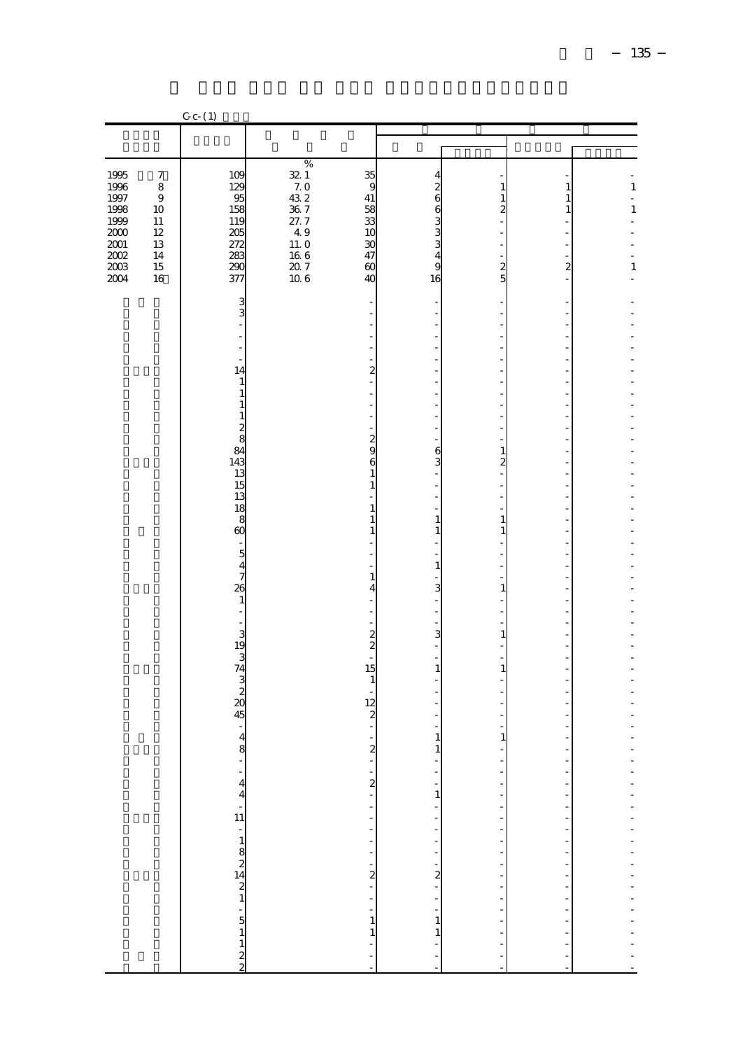|                                             | $C_{c}$ $(c - 1)$     |                                             |                    |                                              |                                                                                              |                                                       |                                  |                       |
|---------------------------------------------|-----------------------|---------------------------------------------|--------------------|----------------------------------------------|----------------------------------------------------------------------------------------------|-------------------------------------------------------|----------------------------------|-----------------------|
|                                             |                       |                                             |                    |                                              |                                                                                              |                                                       |                                  |                       |
|                                             |                       |                                             |                    |                                              |                                                                                              |                                                       |                                  |                       |
|                                             |                       |                                             | $\%$               |                                              |                                                                                              |                                                       |                                  |                       |
| $\begin{array}{c} 1995 \\ 1996 \end{array}$ | $\boldsymbol{7}$      | 109<br>$\frac{129}{2}$                      | $\frac{32}{7}$ .0  | $\frac{35}{9}$                               | 4                                                                                            |                                                       |                                  | $\,1\,$               |
| 1997                                        | 8<br>$\boldsymbol{9}$ | 95                                          | 43.2               | 41                                           | 0<br>0<br>0<br>0<br>0<br>0<br>0<br>0<br>0<br>0<br>0<br>0<br>0<br>0<br>0<br>0<br>0<br>00<br>0 | $\mathbf{1}$<br>$\mathbf{1}$                          | 1<br>$\mathbf{1}$                | $\overline{a}$        |
| 1998                                        | 10                    | 158                                         | 36.7               | 58                                           |                                                                                              | $\overline{c}$                                        | 1                                | $\,1\,$               |
| 1999                                        | 11                    | 119                                         | $\frac{27.7}{4.9}$ | 33                                           |                                                                                              | $\overline{a}$                                        |                                  |                       |
| $2000\,$                                    | 12<br>13              | 205<br>272                                  | 11.0               | 10<br>30                                     |                                                                                              | $\frac{1}{2}$                                         |                                  |                       |
| $\frac{2001}{2002}$                         | 14                    | 283                                         |                    | 47                                           |                                                                                              | $\overline{a}$                                        | L,                               |                       |
| $2003\,$                                    | 15                    | 290                                         | $\frac{166}{207}$  | 60                                           |                                                                                              | $\frac{2}{5}$                                         | $\overline{\mathcal{Z}}$         | $\,1\,$               |
| 2004                                        | 16                    | 377                                         | 10.6               | 40                                           | 16                                                                                           |                                                       |                                  |                       |
|                                             |                       |                                             |                    |                                              |                                                                                              |                                                       |                                  |                       |
|                                             |                       | $\frac{3}{3}$                               |                    | i,                                           |                                                                                              |                                                       |                                  |                       |
|                                             |                       | L.                                          |                    | J.                                           |                                                                                              |                                                       |                                  |                       |
|                                             |                       | $\overline{a}$<br>$\overline{\phantom{0}}$  |                    | L.<br>i,                                     | L.                                                                                           |                                                       |                                  |                       |
|                                             |                       |                                             |                    |                                              | Ĭ.                                                                                           |                                                       |                                  |                       |
|                                             |                       | 14                                          |                    | $\overline{a}$                               |                                                                                              |                                                       |                                  |                       |
|                                             |                       | $\,1$<br>$\,1$                              |                    | l,                                           |                                                                                              |                                                       |                                  |                       |
|                                             |                       |                                             |                    | ÷                                            | Ĭ.                                                                                           | L,                                                    | $\overline{a}$                   |                       |
|                                             |                       | $\begin{smallmatrix}1\1\1\end{smallmatrix}$ |                    | i,                                           |                                                                                              |                                                       |                                  |                       |
|                                             |                       |                                             |                    | $\overline{a}$                               | $\overline{a}$<br>Ĭ.                                                                         | $\overline{a}$                                        | $\overline{a}$                   |                       |
|                                             |                       | $\frac{2}{8}$ $\infty$                      |                    | $\frac{2}{9}$                                |                                                                                              | 1                                                     |                                  |                       |
|                                             |                       | 143                                         |                    | $\epsilon$                                   | $\frac{6}{3}$                                                                                | $\frac{2}{1}$                                         |                                  |                       |
|                                             |                       | 13                                          |                    | $\mathbf{1}$<br>$\,1$                        | $\overline{a}$<br>L.                                                                         | $\overline{a}$                                        | $\overline{a}$<br>$\overline{a}$ |                       |
|                                             |                       | 15<br>13                                    |                    |                                              |                                                                                              |                                                       |                                  |                       |
|                                             |                       | 18                                          |                    | $\mathbf{1}$                                 | $\overline{a}$                                                                               | $\frac{1}{2}$                                         | $\overline{a}$                   |                       |
|                                             |                       | 8<br>$\infty$                               |                    | $\,1$                                        | $\mathbf{1}$                                                                                 | $\mathbf{1}$                                          | Ĭ.                               |                       |
|                                             |                       | $\qquad \qquad \blacksquare$                |                    | $\mathbf{1}$<br>L,                           | $\mathbf{1}$<br>$\overline{\phantom{m}}$                                                     | $\mathbf{1}$<br>$\frac{1}{2}$                         | $\overline{a}$                   |                       |
|                                             |                       |                                             |                    | J.                                           | ÷,                                                                                           | L,                                                    | L,                               |                       |
|                                             |                       | $\begin{array}{c} 5 \\ 4 \\ 7 \end{array}$  |                    |                                              | $\mathbf{1}$<br>$\overline{a}$                                                               |                                                       | $\overline{a}$                   |                       |
|                                             |                       | 26                                          |                    | $\,1\,$<br>4                                 | 3                                                                                            | $\overline{\phantom{m}}$<br>1                         | -                                |                       |
|                                             |                       | $1\,$                                       |                    |                                              |                                                                                              |                                                       |                                  |                       |
|                                             |                       | $\overline{\phantom{a}}$                    |                    | $\overline{a}$                               | $\overline{a}$                                                                               | $\overline{\phantom{m}}$                              | $\overline{a}$                   |                       |
|                                             |                       | $\frac{1}{\sqrt{2}}$                        |                    |                                              | L,<br>3                                                                                      | ÷,<br>$\mathbf{1}$                                    | L,                               |                       |
|                                             |                       | $\begin{array}{c} 3 \\ 19 \end{array}$      |                    | $\frac{1}{15}$                               | $\overline{a}$                                                                               | $\overline{a}$                                        |                                  |                       |
|                                             |                       | $rac{3}{74}$                                |                    |                                              | ÷,                                                                                           | ÷                                                     | L,                               |                       |
|                                             |                       |                                             |                    | $\mathbf{1}$                                 | $\mathbf{1}$                                                                                 | 1                                                     |                                  |                       |
|                                             |                       | $\frac{3}{2}$<br>20                         |                    | $\overline{\phantom{a}}$                     | $\overline{a}$                                                                               |                                                       |                                  |                       |
|                                             |                       |                                             |                    | $\begin{array}{c} 12 \\ 2 \\ -1 \end{array}$ |                                                                                              |                                                       |                                  |                       |
|                                             |                       | 45                                          |                    |                                              |                                                                                              |                                                       |                                  |                       |
|                                             |                       | $\begin{array}{c} 4 \\ 8 \end{array}$       |                    | $\frac{1}{2}$                                | $\mathbf{1}$                                                                                 | $\mathbf{1}$                                          |                                  |                       |
|                                             |                       |                                             |                    | $\overline{a}$                               | $\mathbf{1}$                                                                                 | $\qquad \qquad \blacksquare$                          |                                  |                       |
|                                             |                       |                                             |                    |                                              |                                                                                              | $\begin{bmatrix} 1 \\ 1 \\ 2 \\ 3 \\ 4 \end{bmatrix}$ |                                  |                       |
|                                             |                       |                                             |                    |                                              | $\begin{bmatrix} 1 \\ 1 \end{bmatrix}$                                                       |                                                       |                                  |                       |
|                                             |                       |                                             |                    |                                              |                                                                                              |                                                       |                                  |                       |
|                                             |                       |                                             |                    |                                              |                                                                                              |                                                       |                                  |                       |
|                                             |                       |                                             |                    |                                              |                                                                                              |                                                       |                                  |                       |
|                                             |                       |                                             |                    |                                              |                                                                                              |                                                       |                                  |                       |
|                                             |                       |                                             |                    |                                              |                                                                                              |                                                       |                                  |                       |
|                                             |                       |                                             |                    |                                              |                                                                                              |                                                       |                                  |                       |
|                                             |                       |                                             |                    |                                              |                                                                                              |                                                       |                                  |                       |
|                                             |                       |                                             |                    |                                              |                                                                                              |                                                       |                                  |                       |
|                                             |                       |                                             |                    |                                              |                                                                                              |                                                       |                                  |                       |
|                                             |                       |                                             |                    |                                              |                                                                                              |                                                       |                                  |                       |
|                                             |                       | $-44$ $-44$ $-11$ $-151$ $-51122$           |                    |                                              | $\frac{1}{2}$                                                                                | - - - - - - - - - - - - - -                           |                                  | --------------------- |
|                                             |                       |                                             |                    | $\frac{1}{2}$                                |                                                                                              |                                                       |                                  |                       |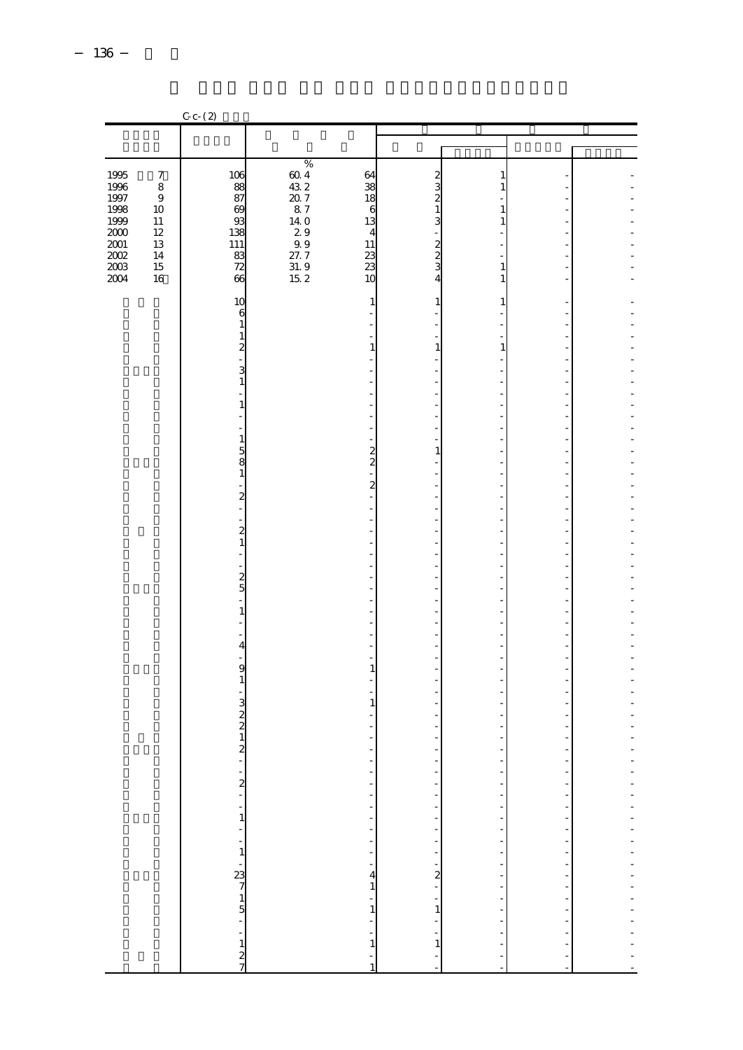|                                             |                  | $C - C - (2)$                                                                                                                                         |                 |                         |                                         |                                                      |                                                      |  |
|---------------------------------------------|------------------|-------------------------------------------------------------------------------------------------------------------------------------------------------|-----------------|-------------------------|-----------------------------------------|------------------------------------------------------|------------------------------------------------------|--|
|                                             |                  |                                                                                                                                                       |                 |                         |                                         |                                                      |                                                      |  |
|                                             |                  |                                                                                                                                                       |                 |                         |                                         |                                                      |                                                      |  |
|                                             | $\boldsymbol{7}$ |                                                                                                                                                       | $\%$            | 64                      |                                         | 1                                                    |                                                      |  |
| $\begin{array}{c} 1995 \\ 1996 \end{array}$ | 8                | $\begin{array}{c} 106 \\ 88 \\ 87 \end{array}$                                                                                                        | $604$<br>$432$  | $\overline{38}$         | $rac{2}{3}$                             | $\mathbf{1}$                                         |                                                      |  |
| $1997\,$<br>1998                            | $\,9$<br>10      | 69                                                                                                                                                    | $20\,7$<br>87   | 18<br>$\epsilon$        | $\overline{\mathbf{c}}$<br>$\mathbf{1}$ | 1                                                    |                                                      |  |
| 1999                                        | 11               | 93                                                                                                                                                    | 14.O            | 13                      | 3                                       | $\mathbf{1}$                                         |                                                      |  |
| $2000\,$<br>$2001\,$                        | 12<br>13         | 138<br>111                                                                                                                                            | $2\,9$<br>9.9   | $\overline{4}$<br>11    |                                         |                                                      |                                                      |  |
| $2002\,$                                    | 14               | 83                                                                                                                                                    | 27.7            | $\frac{23}{23}$         | $\frac{2}{3}$                           | L,                                                   |                                                      |  |
| $2003\,$                                    | 15               | $\overline{72}$                                                                                                                                       | 31.9            |                         |                                         | $\mathbf{1}$                                         |                                                      |  |
| 2004                                        | 16               | 66                                                                                                                                                    | 15 <sub>2</sub> | 10                      | $\overline{4}$                          | 1                                                    |                                                      |  |
|                                             |                  | 10                                                                                                                                                    |                 | 1                       | 1                                       | 1                                                    |                                                      |  |
|                                             |                  | $\overline{6}$<br>$\mathbf{1}$                                                                                                                        |                 |                         |                                         |                                                      |                                                      |  |
|                                             |                  |                                                                                                                                                       |                 |                         |                                         |                                                      |                                                      |  |
|                                             |                  | $\frac{1}{2}$<br>$\frac{1}{2}$                                                                                                                        |                 | $\mathbf{1}$            | $\mathbf{1}$                            | $\mathbf{1}$                                         |                                                      |  |
|                                             |                  | 3                                                                                                                                                     |                 |                         |                                         |                                                      |                                                      |  |
|                                             |                  | $\,1$                                                                                                                                                 |                 |                         |                                         |                                                      |                                                      |  |
|                                             |                  | $\mathbf{1}$                                                                                                                                          |                 |                         | Ĩ.                                      |                                                      |                                                      |  |
|                                             |                  |                                                                                                                                                       |                 |                         |                                         |                                                      |                                                      |  |
|                                             |                  | $1\,$                                                                                                                                                 |                 |                         | ÷                                       |                                                      |                                                      |  |
|                                             |                  |                                                                                                                                                       |                 | 2                       | 1                                       |                                                      |                                                      |  |
|                                             |                  | $\frac{5}{8}$                                                                                                                                         |                 | $\overline{2}$          |                                         |                                                      |                                                      |  |
|                                             |                  | $\,1$<br>÷,                                                                                                                                           |                 | $\overline{\mathbf{z}}$ | ÷<br>L,                                 |                                                      |                                                      |  |
|                                             |                  | $\overline{\mathcal{Z}}$                                                                                                                              |                 |                         |                                         |                                                      |                                                      |  |
|                                             |                  | ÷,<br>l,                                                                                                                                              |                 |                         | Ĭ.                                      |                                                      |                                                      |  |
|                                             |                  | $\overline{\mathcal{Z}}$                                                                                                                              |                 |                         |                                         |                                                      |                                                      |  |
|                                             |                  | $\,1$<br>$\overline{a}$                                                                                                                               |                 |                         | Ĭ.<br>Ĩ.                                | L,                                                   |                                                      |  |
|                                             |                  |                                                                                                                                                       |                 |                         |                                         |                                                      |                                                      |  |
|                                             |                  | $\frac{2}{5}$                                                                                                                                         |                 |                         | Ĭ.                                      |                                                      |                                                      |  |
|                                             |                  |                                                                                                                                                       |                 |                         | ٠                                       |                                                      |                                                      |  |
|                                             |                  | $\mathbf{1}$                                                                                                                                          |                 |                         | ÷,                                      |                                                      |                                                      |  |
|                                             |                  | Ĭ.<br>l,                                                                                                                                              |                 |                         | Ĩ.                                      | L,                                                   |                                                      |  |
|                                             |                  | $\overline{4}$                                                                                                                                        |                 |                         |                                         |                                                      |                                                      |  |
|                                             |                  | 9                                                                                                                                                     |                 | 1                       |                                         |                                                      |                                                      |  |
|                                             |                  | $\,1$                                                                                                                                                 |                 |                         |                                         |                                                      |                                                      |  |
|                                             |                  |                                                                                                                                                       |                 |                         |                                         |                                                      |                                                      |  |
|                                             |                  | $\begin{array}{c}\n3 \\ 2 \\ 1\n\end{array}$                                                                                                          |                 | 1                       |                                         |                                                      |                                                      |  |
|                                             |                  |                                                                                                                                                       |                 |                         |                                         |                                                      |                                                      |  |
|                                             |                  |                                                                                                                                                       |                 |                         | ÷,                                      |                                                      |                                                      |  |
|                                             |                  |                                                                                                                                                       |                 | ÷                       |                                         | ÷,                                                   | ÷                                                    |  |
|                                             |                  |                                                                                                                                                       |                 |                         | $\overline{\phantom{a}}$                | $\overline{\phantom{a}}$<br>$\overline{\phantom{a}}$ | $\overline{\phantom{a}}$<br>$\overline{\phantom{a}}$ |  |
|                                             |                  |                                                                                                                                                       |                 |                         | $\frac{1}{2}$                           | $\overline{a}$                                       | $\overline{\phantom{a}}$                             |  |
|                                             |                  |                                                                                                                                                       |                 |                         |                                         | $\frac{1}{2}$                                        | $\overline{\phantom{a}}$                             |  |
|                                             |                  |                                                                                                                                                       |                 |                         |                                         |                                                      | ÷,                                                   |  |
|                                             |                  |                                                                                                                                                       |                 |                         |                                         |                                                      | $\frac{1}{2}$                                        |  |
|                                             |                  | $\begin{array}{cccccccc}\n2 & - & - & 1 & - & - & 1 & - & 2 \\  & & - & 1 & - & 2 & - & 1 & 2 \\  & & & - & 1 & - & 5 & - & - & 1 & 2 \\ \end{array}$ |                 |                         |                                         | 医单位 医单位的                                             | $\frac{1}{\sqrt{2}}$                                 |  |
|                                             |                  |                                                                                                                                                       |                 |                         |                                         |                                                      | $\frac{1}{2}$                                        |  |
|                                             |                  |                                                                                                                                                       |                 |                         |                                         |                                                      | ÷,                                                   |  |
|                                             |                  |                                                                                                                                                       |                 |                         |                                         |                                                      | $\overline{\phantom{a}}$                             |  |
|                                             |                  |                                                                                                                                                       |                 |                         |                                         | $\frac{1}{2}$<br>$\overline{a}$                      | ÷                                                    |  |
|                                             |                  |                                                                                                                                                       |                 |                         |                                         |                                                      | Ĭ.<br>$\overline{\phantom{a}}$                       |  |
|                                             |                  |                                                                                                                                                       |                 |                         | $\frac{1}{1}$                           | $\frac{1}{2}$                                        | $\overline{\phantom{a}}$                             |  |
|                                             |                  |                                                                                                                                                       |                 |                         |                                         |                                                      |                                                      |  |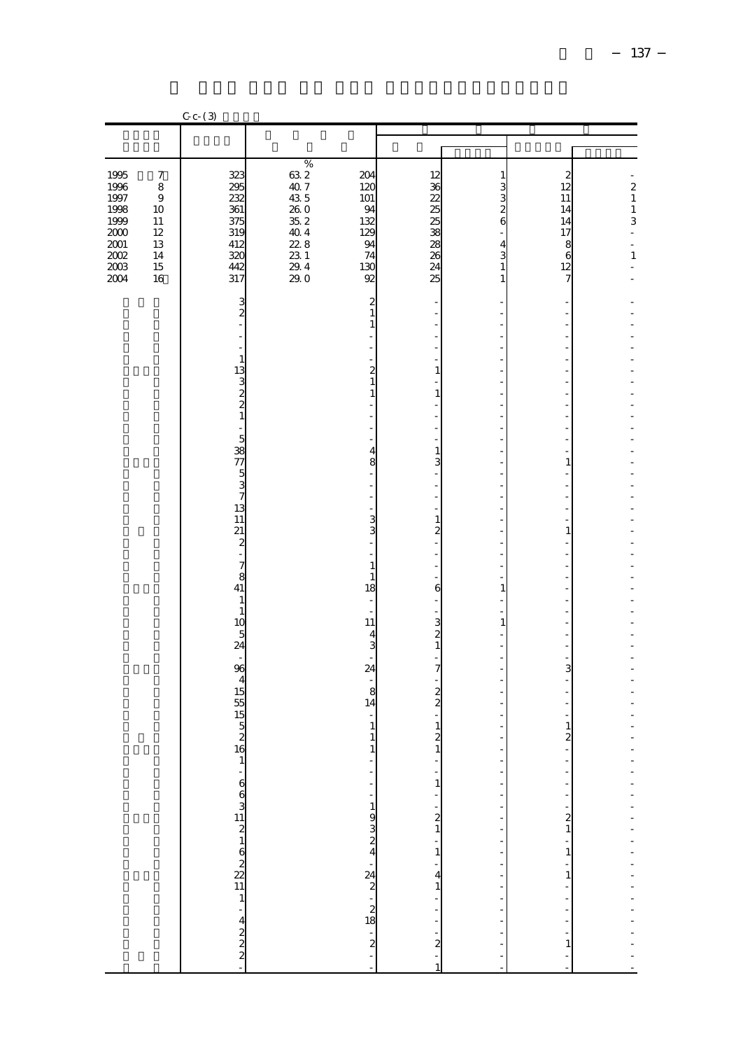|                                                                                                                                                                                                                              | $C - C - (3)$                                                                                                                                                                                                                                                                                                                                                                                 |                                                                                                                                                                                                                                                                                                                                                                                                                                                  |                                                                                                                                                                                                                                                                                                                                                                                                                                                                                                                                                                                                 |                                                                                                                                                                                                                                                                                                                                                                                                                                                                                        |                                                                                                                                                                                                                                                                                                                                                                                                                                                                                                                       |                                                                               |
|------------------------------------------------------------------------------------------------------------------------------------------------------------------------------------------------------------------------------|-----------------------------------------------------------------------------------------------------------------------------------------------------------------------------------------------------------------------------------------------------------------------------------------------------------------------------------------------------------------------------------------------|--------------------------------------------------------------------------------------------------------------------------------------------------------------------------------------------------------------------------------------------------------------------------------------------------------------------------------------------------------------------------------------------------------------------------------------------------|-------------------------------------------------------------------------------------------------------------------------------------------------------------------------------------------------------------------------------------------------------------------------------------------------------------------------------------------------------------------------------------------------------------------------------------------------------------------------------------------------------------------------------------------------------------------------------------------------|----------------------------------------------------------------------------------------------------------------------------------------------------------------------------------------------------------------------------------------------------------------------------------------------------------------------------------------------------------------------------------------------------------------------------------------------------------------------------------------|-----------------------------------------------------------------------------------------------------------------------------------------------------------------------------------------------------------------------------------------------------------------------------------------------------------------------------------------------------------------------------------------------------------------------------------------------------------------------------------------------------------------------|-------------------------------------------------------------------------------|
|                                                                                                                                                                                                                              |                                                                                                                                                                                                                                                                                                                                                                                               |                                                                                                                                                                                                                                                                                                                                                                                                                                                  |                                                                                                                                                                                                                                                                                                                                                                                                                                                                                                                                                                                                 |                                                                                                                                                                                                                                                                                                                                                                                                                                                                                        |                                                                                                                                                                                                                                                                                                                                                                                                                                                                                                                       |                                                                               |
|                                                                                                                                                                                                                              |                                                                                                                                                                                                                                                                                                                                                                                               |                                                                                                                                                                                                                                                                                                                                                                                                                                                  |                                                                                                                                                                                                                                                                                                                                                                                                                                                                                                                                                                                                 |                                                                                                                                                                                                                                                                                                                                                                                                                                                                                        |                                                                                                                                                                                                                                                                                                                                                                                                                                                                                                                       |                                                                               |
| $\begin{array}{c} 1995 \\ 1996 \end{array}$<br>$\boldsymbol{7}$<br>$\,$ 8 $\,$<br>1997<br>$\boldsymbol{9}$<br>1998<br>10<br>1999<br>11<br>$2000\,$<br>12<br>$2001\,$<br>13<br>$2002\,$<br>14<br>$2003\,$<br>15<br>2004<br>16 | 323<br>295<br>232<br>361<br>375<br>319<br>412<br>320<br>442<br>317                                                                                                                                                                                                                                                                                                                            | $\%$<br>$632$<br>$407$<br>204<br>120<br>43 5<br>101<br>260<br>94<br>35.2<br>132<br>40.4<br>129<br>228<br>94<br>23 1<br>74<br>29.4<br>130<br>29.0<br>92                                                                                                                                                                                                                                                                                           | 12<br>36<br>22<br>25<br>25<br>38<br>28<br>26<br>24<br>25                                                                                                                                                                                                                                                                                                                                                                                                                                                                                                                                        | $\mathbf{1}$<br>3800<br>$\overline{a}$<br>$\overline{4}$<br>$\frac{3}{1}$<br>1                                                                                                                                                                                                                                                                                                                                                                                                         | $\boldsymbol{z}$<br>12<br>$11\,$<br>14<br>14<br>17<br>8<br>6<br>12<br>7                                                                                                                                                                                                                                                                                                                                                                                                                                               | $\boldsymbol{2}$<br>$\,1\,$<br>$\,1\,$<br>3<br>$\frac{1}{2}$<br>L,<br>$\,1\,$ |
|                                                                                                                                                                                                                              | $\frac{3}{2}$<br>$\overline{a}$<br>$\overline{a}$<br>÷<br>$\mathbf{1}$<br>13<br>$\begin{array}{c}\n3 \\ 2 \\ 1\n\end{array}$<br>$\frac{1}{38}$<br>77<br>$\frac{5}{7}$<br>13<br>11<br>$21\,$<br>$\overline{\mathcal{Z}}$<br>$\frac{1}{7}$<br>8<br>41<br>$\mathbf{1}$<br>$\mathbf{1}$<br>10<br>5<br>24<br>96<br>$\overline{4}$<br>15<br>55<br>15<br>$\begin{array}{c} 5 \\ 2 \\ 16 \end{array}$ | $\overline{a}$<br>$\mathbf{1}$<br>$\,1$<br>L,<br>l,<br>$\overline{a}$<br>$\frac{2}{1}$<br>$\mathbf{1}$<br>L,<br>Ĭ.<br>i,<br>L,<br>4<br>8<br>i,<br>$\overline{a}$<br>l,<br>$\overline{a}$<br>$\frac{3}{3}$<br>$\overline{a}$<br>$\overline{a}$<br>$\mathbf{1}$<br>$\mathbf{1}$<br>18<br>J.<br>$\overline{a}$<br>11<br>4<br>3<br>Ĭ.<br>24<br>$\overline{\phantom{m}}$<br>8<br>14<br>$\overline{a}$<br>$\mathbf{1}$<br>$\mathbf{1}$<br>$\mathbf{1}$ | L,<br>$\overline{a}$<br>$\overline{a}$<br>$\overline{\phantom{0}}$<br>1<br>$\overline{a}$<br>$\,1\,$<br>L,<br>$\overline{a}$<br>$\frac{1}{2}$<br>$\overline{a}$<br>1<br>3<br>$\overline{a}$<br>$\overline{\phantom{m}}$<br>$\overline{a}$<br>$\frac{1}{2}$<br>$\,1\,$<br>$\overline{c}$<br>$\frac{1}{2}$<br>$\overline{a}$<br>$\overline{\phantom{m}}$<br>6<br>$\overline{a}$<br>$\frac{1}{2}$<br>$\begin{array}{c} 3 \\ 2 \\ 1 \end{array}$<br>$\overline{\phantom{m}}$<br>7<br>$\overline{\phantom{0}}$<br>$\frac{2}{2}$<br>L,<br>$\,1\,$<br>$\frac{2}{1}$<br>$\overline{a}$<br>$\frac{1}{1}$ | i,<br>L,<br>$\overline{a}$<br>$\overline{a}$<br>L.<br>$\overline{a}$<br>$\overline{a}$<br>$\overline{a}$<br>$\overline{a}$<br>L,<br>$\overline{a}$<br>L,<br>$\overline{a}$<br>$\overline{a}$<br>$\overline{a}$<br>$\overline{a}$<br>$\overline{a}$<br>$\overline{a}$<br>$\frac{1}{2}$<br>1<br>$\overline{a}$<br>$\frac{1}{2}$<br>$\,1\,$<br>$\overline{a}$<br>i,<br>$\overline{a}$<br>L<br>i,<br>$\overline{a}$<br>$\overline{\phantom{a}}$<br>$\overline{a}$<br>--------------------- | ÷<br>L,<br>$\frac{1}{2}$<br>$\overline{a}$<br>-<br>L<br>$\overline{a}$<br>$\overline{a}$<br>L,<br>$\overline{a}$<br>L,<br>-<br>1<br>L,<br>$\overline{a}$<br>$\frac{1}{2}$<br>$\overline{a}$<br>$\,1\,$<br>$\overline{a}$<br>L,<br>$\overline{a}$<br>-<br>$\overline{a}$<br>L,<br>L,<br>$\overline{a}$<br>3<br>$\,1\,$<br>$\boldsymbol{z}$<br>$\overline{a}$<br>.<br>$\begin{array}{c} 1 \\ -1 \end{array}$<br>$\frac{1}{2}$ $\frac{1}{2}$ $\frac{1}{2}$ $\frac{1}{2}$ $\frac{1}{2}$ $\frac{1}{2}$ $\frac{1}{2}$<br>i, | -------------------                                                           |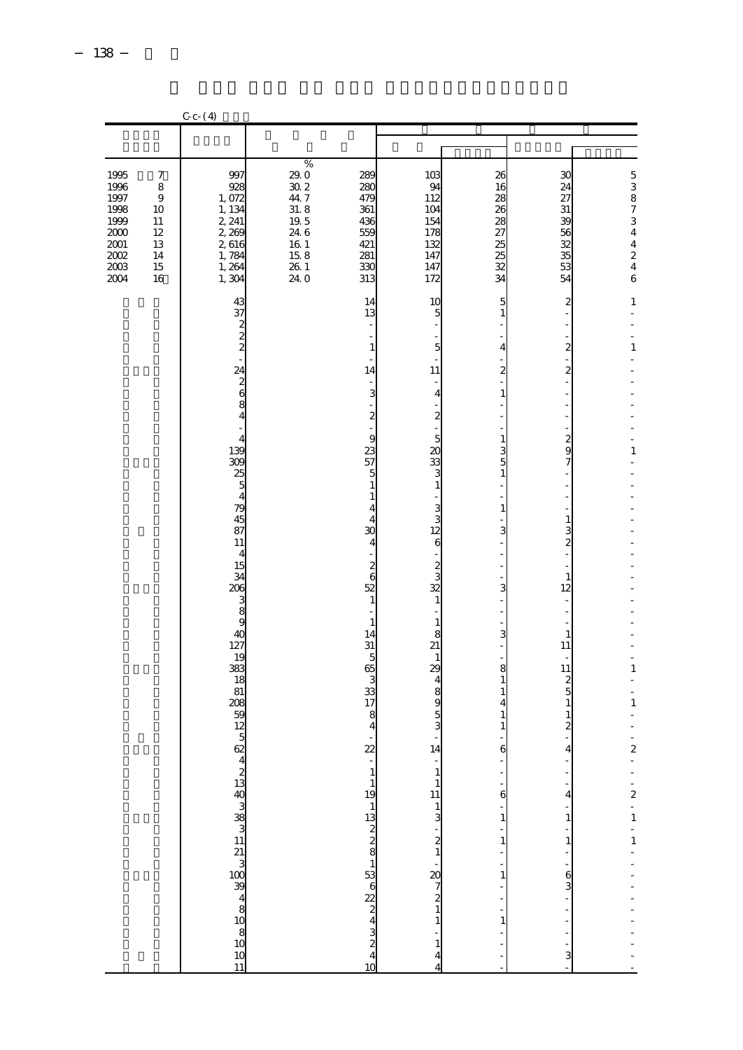|                                                                                      | $C - (4)$                                                                      |                                                                                                                                                                                                                                                                                                                                                 |                                                                                                            |                                                                                                                                                                                                                                                                                                                                                          |                                                                                                                                                                                                                                                                                                                                                                                                                                                                                                          |                                                                                                                                                                                          |                                                                                                                                                                                                                                                                                                                                                                               |                                                                                                         |
|--------------------------------------------------------------------------------------|--------------------------------------------------------------------------------|-------------------------------------------------------------------------------------------------------------------------------------------------------------------------------------------------------------------------------------------------------------------------------------------------------------------------------------------------|------------------------------------------------------------------------------------------------------------|----------------------------------------------------------------------------------------------------------------------------------------------------------------------------------------------------------------------------------------------------------------------------------------------------------------------------------------------------------|----------------------------------------------------------------------------------------------------------------------------------------------------------------------------------------------------------------------------------------------------------------------------------------------------------------------------------------------------------------------------------------------------------------------------------------------------------------------------------------------------------|------------------------------------------------------------------------------------------------------------------------------------------------------------------------------------------|-------------------------------------------------------------------------------------------------------------------------------------------------------------------------------------------------------------------------------------------------------------------------------------------------------------------------------------------------------------------------------|---------------------------------------------------------------------------------------------------------|
|                                                                                      |                                                                                |                                                                                                                                                                                                                                                                                                                                                 |                                                                                                            |                                                                                                                                                                                                                                                                                                                                                          |                                                                                                                                                                                                                                                                                                                                                                                                                                                                                                          |                                                                                                                                                                                          |                                                                                                                                                                                                                                                                                                                                                                               |                                                                                                         |
| 1995<br>1996<br>1997<br>1998<br>1999<br>$2000\,$<br>2001<br>2002<br>$2003\,$<br>2004 | 7<br>$\,$ 8 $\,$<br>$\boldsymbol{9}$<br>10<br>11<br>12<br>13<br>14<br>15<br>16 | 997<br>928<br>1,072<br>1, 134<br>2, 241<br>2, 269<br>2,616<br>1,784<br>1,264<br>1,304                                                                                                                                                                                                                                                           | $\%$<br>29.0<br>30 <sub>2</sub><br>44.7<br>31.8<br>19.5<br>24.6<br>$\frac{16}{16}$<br>15.8<br>26.1<br>24.0 | 289<br>280<br>479<br>361<br>436<br>559<br>421<br>281<br>330<br>313                                                                                                                                                                                                                                                                                       | 103<br>94<br>112<br>104<br>154<br>178<br>132<br>147<br>147<br>172                                                                                                                                                                                                                                                                                                                                                                                                                                        | 26<br>16<br>28<br>26<br>28<br>27<br>25<br>25<br>32<br>34                                                                                                                                 | 30<br>24<br>27<br>31<br>39<br>56<br>32<br>35<br>53<br>54                                                                                                                                                                                                                                                                                                                      | 538734<br>$\begin{array}{c} 4 \\ 2 \\ 4 \end{array}$<br>6                                               |
|                                                                                      |                                                                                | 43<br>37<br>$\frac{2}{2}$<br>$\overline{a}$<br>24<br>$\frac{2}{6}$<br>$\frac{8}{4}$<br>$\overline{a}$<br>$\overline{\mathbf{4}}$<br>139<br>309<br>25<br>5<br>$\overline{4}$<br>79<br>45<br>87<br>11<br>$\overline{4}$<br>15<br>34<br>206<br>3<br>$\frac{8}{9}$<br>40<br>127<br>19<br>383<br>18<br>81<br>208<br>59<br>12<br>$\overline{5}$<br>62 |                                                                                                            | 14<br>13<br>Ĭ.<br>$\mathbf{1}$<br>14<br>3<br>$\overline{\mathbf{z}}$<br>9<br>23<br>57<br>5<br>$\mathbf{1}$<br>1<br>4<br>4<br>30<br>$\overline{4}$<br>$\overline{\mathcal{Z}}$<br>6<br>52<br>$\mathbf{1}$<br>$\mathbf{1}$<br>14<br>31<br>5<br>65<br>3<br>33<br>17<br>8<br>4<br>$\overline{22}$<br>– ا ن ن ن ن ن ن م م م م ن ن ن ن ن م ن م م م ن م م<br>10 | 10<br>5<br>5<br>$\overline{a}$<br>11<br>$\overline{4}$<br>$\overline{\mathbf{z}}$<br>$\overline{a}$<br>5<br>20<br>33<br>3<br>$\mathbf{1}$<br>3<br>3<br>12<br>6<br>$\frac{2}{3}$<br>32<br>$\mathbf{1}$<br>$\overline{\phantom{a}}$<br>$\mathbf{1}$<br>8<br>21<br>$\mathbf{1}$<br>29<br>$\overline{4}$<br>8<br>9<br>$\frac{5}{3}$<br>14<br>$\mathbf{1}$<br>$\mathbf{1}$<br>$\begin{array}{c} 11 \\ 1 \\ 3 \end{array}$<br>$-2$<br>$-2$<br>$-2$<br>$-2$<br>$-2$<br><br>$-1$<br>$\,1\,$<br>$\,1\,$<br>4<br>4 | 5<br>1<br>4<br>2<br>1<br>1<br>3<br>5<br>$\mathbf{1}$<br>$\mathbf{1}$<br>3<br>3<br>3<br>8<br>1<br>1<br>4<br>6<br>6<br>$\mathbf{1}$<br>$\mathbf{1}$<br>$\overline{a}$<br>1<br>$\mathbf{1}$ | 2<br>L.<br>$\overline{a}$<br>$\boldsymbol{z}$<br>$\overline{a}$<br>$\overline{\mathbf{c}}$<br>L,<br>L<br>L<br>$\frac{2}{9}$<br>7<br>-<br>$\mathbf{1}$<br>3<br>$\overline{\mathcal{Z}}$<br>L<br>$\mathbf{1}$<br>12<br>J.<br>$\mathbf{1}$<br>11<br>11<br>$rac{2}{5}$<br>$\,1$<br>$\,1$<br>$\overline{\mathcal{Z}}$<br>4<br>$\overline{4}$<br>1<br>$\,1\,$<br>$\frac{6}{3}$<br>3 | 1<br>$\,1$<br>Ĭ.<br>1<br>L<br>Ĭ.<br>1<br>Ĭ.<br>$\,1$<br>÷,<br>$\overline{\mathbf{c}}$<br>$-2 - 1 - 1 -$ |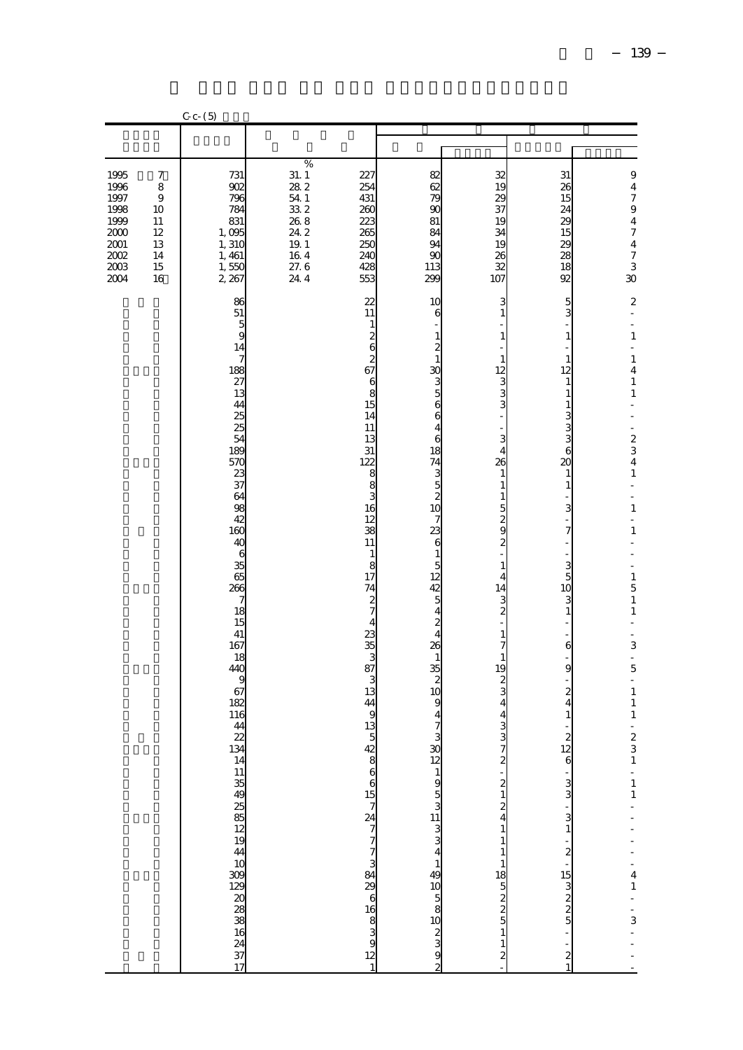|                                                                                             |                                                                                         | $C - C - (5)$                                                                                                                                                        |                                                                                                                 |                                                                                                                                                                                                             |                                                                                                        |                                                                                                                                                                                                        |                                                                                                                                                             |                                                                                                                                                                                                                                                         |
|---------------------------------------------------------------------------------------------|-----------------------------------------------------------------------------------------|----------------------------------------------------------------------------------------------------------------------------------------------------------------------|-----------------------------------------------------------------------------------------------------------------|-------------------------------------------------------------------------------------------------------------------------------------------------------------------------------------------------------------|--------------------------------------------------------------------------------------------------------|--------------------------------------------------------------------------------------------------------------------------------------------------------------------------------------------------------|-------------------------------------------------------------------------------------------------------------------------------------------------------------|---------------------------------------------------------------------------------------------------------------------------------------------------------------------------------------------------------------------------------------------------------|
|                                                                                             |                                                                                         |                                                                                                                                                                      |                                                                                                                 |                                                                                                                                                                                                             |                                                                                                        |                                                                                                                                                                                                        |                                                                                                                                                             |                                                                                                                                                                                                                                                         |
| 1995<br>1996<br>1997<br>1998<br>1999<br>$2000\,$<br>$\frac{2001}{2002}$<br>$2003\,$<br>2004 | $\boldsymbol{7}$<br>8<br>$\boldsymbol{9}$<br>10<br>$11\,$<br>12<br>13<br>14<br>15<br>16 | 731<br>902<br>796<br>784<br>831<br>1,095<br>1, 310<br>1, 461<br>1,550<br>2,267<br>86<br>51                                                                           | $\%$<br>$\frac{31.1}{28.2}$<br>54.1<br>33 2<br>268<br>24.2<br>$\frac{11}{19}$<br>$\frac{1}{16}$<br>27.6<br>24.4 | 227<br>254<br>431<br>260<br>223<br>265<br>250<br>240<br>428<br>553<br>22<br>11                                                                                                                              | 82<br>$\overline{62}$<br>79<br>$\overline{\text{SC}}$<br>81<br>84<br>94<br>90<br>113<br>299<br>10<br>6 | $\frac{32}{19}$<br>29<br>37<br>19<br>34<br>19<br>26<br>32<br>107<br>3<br>$\,$ 1 $\,$                                                                                                                   | 31<br>26<br>15<br>24<br>$\infty$<br>$\frac{15}{29}$<br>$\frac{28}{18}$<br>92<br>5<br>3                                                                      | $\theta$<br>$\frac{4}{7}$<br>$\overline{9}$<br>$\frac{4}{7}$ $\frac{4}{7}$ $\frac{7}{3}$<br>30<br>$\mathbf 2$<br>÷,                                                                                                                                     |
|                                                                                             |                                                                                         | $\frac{5}{9}$<br>14<br>$\overline{\phantom{a}}$<br>188<br>27<br>13<br>44<br>25<br>25<br>54<br>189<br>57C<br>23<br>37<br>64<br>98<br>42<br>160<br>40<br>6<br>35<br>65 |                                                                                                                 | $1\,$<br>$rac{2}{6}$<br>$rac{2}{67}$<br>$\epsilon$<br>$\frac{8}{15}$<br>14<br>11<br>13<br>31<br>122<br>$\begin{array}{c}\n 8 \\  8 \\  3 \\  16\n \end{array}$<br>12<br>38<br>11<br>$\mathbf{1}$<br>8<br>17 | $\mathbf{1}$<br>74<br>3<br>5<br>2<br>5<br>2<br>0<br>7<br>23                                            | L,<br>$\,1$<br>$\overline{a}$<br>$1\,$<br>$\begin{array}{c}\n 12 \\  3 \\  3\n \end{array}$<br>L,<br>$\overline{a}$<br>$\frac{3}{4}$<br>26<br>$\mathbf{1}$<br>$\,$ 1 $\,$<br>15292<br>L,<br>$\,1$<br>4 | $\mathbf{1}$<br>$\,1$<br>12<br>$\,1\,$<br>$\mathbf 1$<br>$\mathbf{1}$<br>ი სა სა<br>20<br>$\mathbf{1}$<br>$\,1$<br>3<br>$\overline{\phantom{a}}$<br>÷<br>÷, | $\overline{\phantom{a}}$<br>$\,1$<br>÷,<br>$\,1$<br>4<br>$\,1$<br>$\,1$<br>L,<br>$\overline{a}$<br>$\begin{array}{c} 2 \\ 2 \\ 3 \\ 4 \end{array}$<br>$\,1$<br>÷<br>$\overline{\phantom{a}}$<br>$\,$ 1 $\,$<br>÷,<br>$\,1$<br>L,<br>÷<br>$\overline{a}$ |
|                                                                                             |                                                                                         | 266<br>7<br>18<br>15<br>41<br>167<br>18<br>44C<br>9<br>67<br>182<br>116<br>44<br>22<br>134                                                                           |                                                                                                                 | 74<br>$\frac{2}{7}$<br>$\overline{4}$<br>23<br>35<br>37<br>3<br>13<br>44<br>$\overline{9}$<br>$\frac{13}{5}$                                                                                                | $\frac{9}{3}$<br>$\frac{4}{7}$                                                                         | 14<br>$\frac{3}{2}$<br>i,<br>$\mathbf{1}$<br>$\overline{7}$<br>$\,1$<br>19<br>$\frac{2}{3}$<br>$\overline{4}$<br>$\frac{4}{3}$<br>3<br>7                                                               | $\frac{3}{5}$<br>10<br>3<br>1<br>6<br>9<br>$\frac{2}{4}$<br>$\mathbf{1}$<br>$\begin{array}{c} 2 \\ 12 \end{array}$                                          | $\begin{array}{c} 1 \\ 5 \\ 1 \end{array}$<br>$\,1$<br>$\overline{\phantom{a}}$<br>$\overline{\phantom{a}}$<br>3<br>÷,<br>5<br>÷,<br>$\,1$<br>$\,1$<br>$\,1$<br>$\frac{1}{2}$<br>$\frac{1}{1}$ $\frac{1}{1}$ $\frac{1}{1}$ $\frac{1}{1}$ $\frac{1}{1}$  |
|                                                                                             |                                                                                         | <u>ដែលមាន ២០១</u> និង ២០០០ និង ២០០០ និង ២០០០ និង ២០០០ និង ២០០០ និង ២០០០ និង ២០០០ និង ២០០០ និង ២០០០ ដែ                                                                |                                                                                                                 | $\mathbf{1}$                                                                                                                                                                                                |                                                                                                        |                                                                                                                                                                                                        | @ ' دە دە ' <b>دە -- ' دە ' ה</b> دە دە « « -- " - « --                                                                                                     | $\overline{a}$<br>$\frac{4}{1}$<br>$\frac{1}{3}$<br>$\overline{a}$                                                                                                                                                                                      |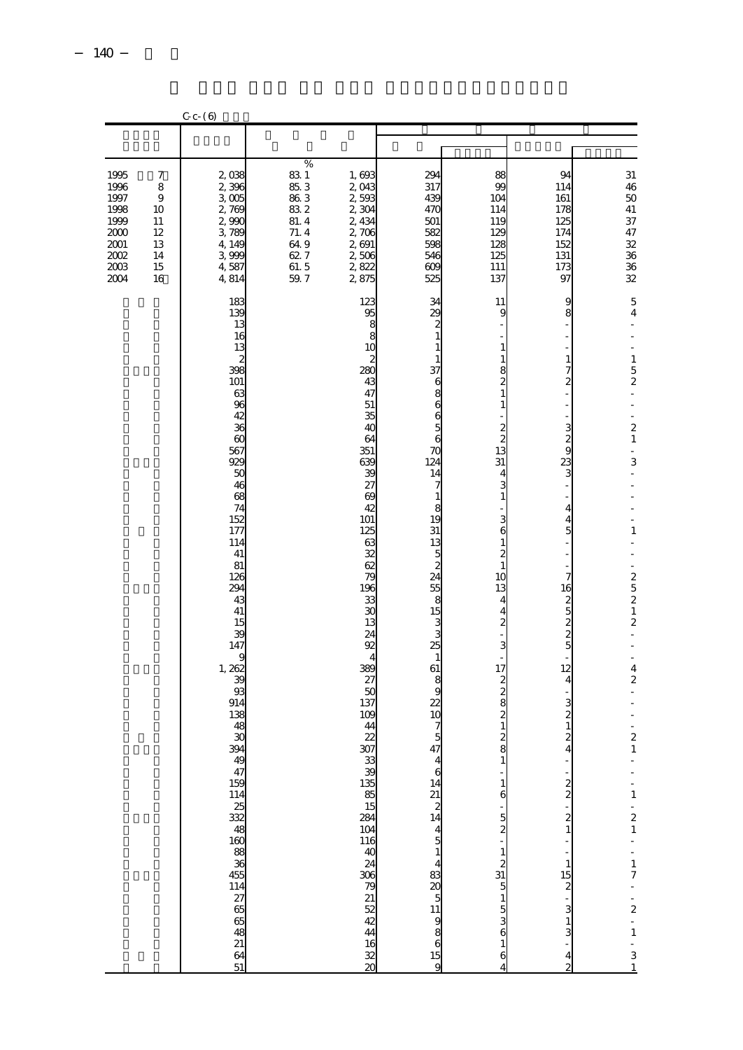|                                                                              |                                                                      | $C - C - (6)$                                                                                                                                                                                                                                                                                                                          |                                                                                 |                                                                                                                                                                                                                                                                                                                                                                   |                                                                                                                                                                                                                                                                                                                                         |                                                                                                                                                                                                                                                                                                                                                                                                                                                                  |                                                                                                                                                                                                                                                                                                                       |                                                                                                                                                                                                                                                                                                                                                                                                                                                                                                            |
|------------------------------------------------------------------------------|----------------------------------------------------------------------|----------------------------------------------------------------------------------------------------------------------------------------------------------------------------------------------------------------------------------------------------------------------------------------------------------------------------------------|---------------------------------------------------------------------------------|-------------------------------------------------------------------------------------------------------------------------------------------------------------------------------------------------------------------------------------------------------------------------------------------------------------------------------------------------------------------|-----------------------------------------------------------------------------------------------------------------------------------------------------------------------------------------------------------------------------------------------------------------------------------------------------------------------------------------|------------------------------------------------------------------------------------------------------------------------------------------------------------------------------------------------------------------------------------------------------------------------------------------------------------------------------------------------------------------------------------------------------------------------------------------------------------------|-----------------------------------------------------------------------------------------------------------------------------------------------------------------------------------------------------------------------------------------------------------------------------------------------------------------------|------------------------------------------------------------------------------------------------------------------------------------------------------------------------------------------------------------------------------------------------------------------------------------------------------------------------------------------------------------------------------------------------------------------------------------------------------------------------------------------------------------|
|                                                                              |                                                                      |                                                                                                                                                                                                                                                                                                                                        |                                                                                 |                                                                                                                                                                                                                                                                                                                                                                   |                                                                                                                                                                                                                                                                                                                                         |                                                                                                                                                                                                                                                                                                                                                                                                                                                                  |                                                                                                                                                                                                                                                                                                                       |                                                                                                                                                                                                                                                                                                                                                                                                                                                                                                            |
| 1995<br>1996<br>1997<br>1998<br>1999<br>2000<br>2001<br>2002<br>2003<br>2004 | $\boldsymbol{7}$<br>8<br>9<br>10<br>11<br>12<br>13<br>14<br>15<br>16 | 2,038<br>2,396<br>3005<br>2,769<br>2,990<br>3,789<br>4, 149<br>3,999<br>4,587<br>4,814                                                                                                                                                                                                                                                 | %<br>83 1<br>85.3<br>86.3<br>832<br>81.4<br>71.4<br>649<br>62.7<br>61.5<br>59.7 | 1,693<br>2,043<br>2,593<br>2,304<br>2,434<br>2,706<br>2,691<br>2,506<br>2,822<br>2,875                                                                                                                                                                                                                                                                            | 294<br>317<br>439<br>47C<br>501<br>582<br>598<br>546<br>609<br>525                                                                                                                                                                                                                                                                      | 88<br>99<br>104<br>114<br>119<br>129<br>128<br>125<br>111<br>137                                                                                                                                                                                                                                                                                                                                                                                                 | 94<br>114<br>161<br>178<br>125<br>174<br>152<br>131<br>173<br>97                                                                                                                                                                                                                                                      | $31\,$<br>$\frac{46}{50}$<br>$\begin{array}{c} 37 \\ 47 \end{array}$<br>32<br>36<br>36<br>32                                                                                                                                                                                                                                                                                                                                                                                                               |
|                                                                              |                                                                      | 183<br>139<br>13<br>16<br>13<br>$\boldsymbol{z}$<br>398<br>101<br>63<br>96<br>42<br>36<br>60<br>567<br>929<br>50<br>46<br>68<br>74<br>152<br>177<br>114<br>41<br>81<br>126<br>294<br>43<br>41<br>15<br>39<br>147<br>9<br>1, 262<br>39<br>93<br>914<br>138<br>48<br>30<br>394<br>¤ សនា សនា ដី មិន ខាន់ ខាន់ ខាន់ ដី ក្នុង ទ<br>64<br>51 |                                                                                 | 123<br>95<br>8<br>8<br>1 <sup>C</sup><br>2<br>280<br>43<br>47<br>51<br>35<br>40<br>64<br>351<br>639<br>39<br>27<br>69<br>42<br>101<br>125<br>63<br>32<br>62<br>79<br>196<br>33<br>$\overline{\mathbf{3}}$<br>13<br>24<br>92<br>4<br>389<br>27<br>50<br>137<br>109<br>44<br>22<br>307<br>32 53 83 93 93<br>$\frac{104}{116}$<br>$4844$<br>$444$<br>$\frac{16}{32}$ | 34<br>$\chi$<br>$\boldsymbol{z}$<br>$\,1\,$<br>$\,1\,$<br>$\mathbf{1}$<br>37<br>6<br>8<br>6<br>6<br>5<br>6<br>70<br>124<br>14<br>7<br>$\mathbf{1}$<br>8<br>19<br>31<br>13<br>5<br>$\boldsymbol{z}$<br>24<br>55<br>8<br>15<br>3<br>3<br>25<br>$\mathbf{1}$<br>61<br>8<br>9<br>$\overline{2}$<br>10<br>7<br>5<br>47<br>$\frac{4}{6}$<br>9 | 11<br>9<br>$\mathbf{1}$<br>1<br>8<br>$\frac{2}{1}$<br>1<br>$\frac{2}{2}$<br>13<br>31<br>4<br>3<br>$\mathbf{1}$<br>3<br>6<br>1<br>$\overline{\mathbf{z}}$<br>$\overline{1}$<br>10<br>13<br>4<br>4<br>$\overline{\mathbf{z}}$<br>3<br>17<br>280<br>$\frac{2}{1}$<br>$rac{2}{8}$<br>$\mathbf{1}$<br>6<br>$\frac{5}{2}$<br>$\frac{1}{2}$<br>$\frac{1}{2}$<br>$\frac{3}{5}$<br>$\frac{1}{5}$<br>$\frac{1}{5}$<br>$\frac{1}{5}$<br>$\frac{1}{5}$<br>$\frac{1}{5}$<br>4 | 9<br>8<br>$\mathbf{1}$<br>7<br>$\overline{\mathcal{Z}}$<br>$\frac{3}{2}$<br>23<br>3<br>4<br>$\overline{4}$<br>5<br>7<br>16<br><b>5000000</b><br>12<br>4<br>$\frac{3}{2}$<br>$\frac{2}{4}$<br>$\overline{\phantom{0}}$<br>$\frac{2}{2}$<br>$\frac{1}{1}$<br>$\frac{1}{3}$<br>$\overline{\mathbf{4}}$<br>$\overline{c}$ | 5<br>4<br>$\overline{\phantom{0}}$<br>$\frac{1}{2}$<br>$\overline{\phantom{a}}$<br>$\mathbf{1}$<br>$\frac{5}{2}$<br>Ĭ,<br>$\begin{bmatrix} 2 \\ 2 \\ 1 \end{bmatrix}$<br>$\frac{1}{3}$<br>÷<br>$\overline{a}$<br>$\overline{a}$<br>L<br>$\mathbf{1}$<br>$\overline{\phantom{0}}$<br>$-2521$<br>$\overline{\mathcal{L}}$<br>$\frac{1}{2}$<br>$\overline{a}$<br>į,<br>4<br>$\overline{\mathcal{Z}}$<br>$\frac{1}{2}$<br>$\overline{a}$<br>$\overline{\mathbf{c}}$<br>1<br>i,<br>$-1 - 21 - -17 - 2 - 1 - 31$ |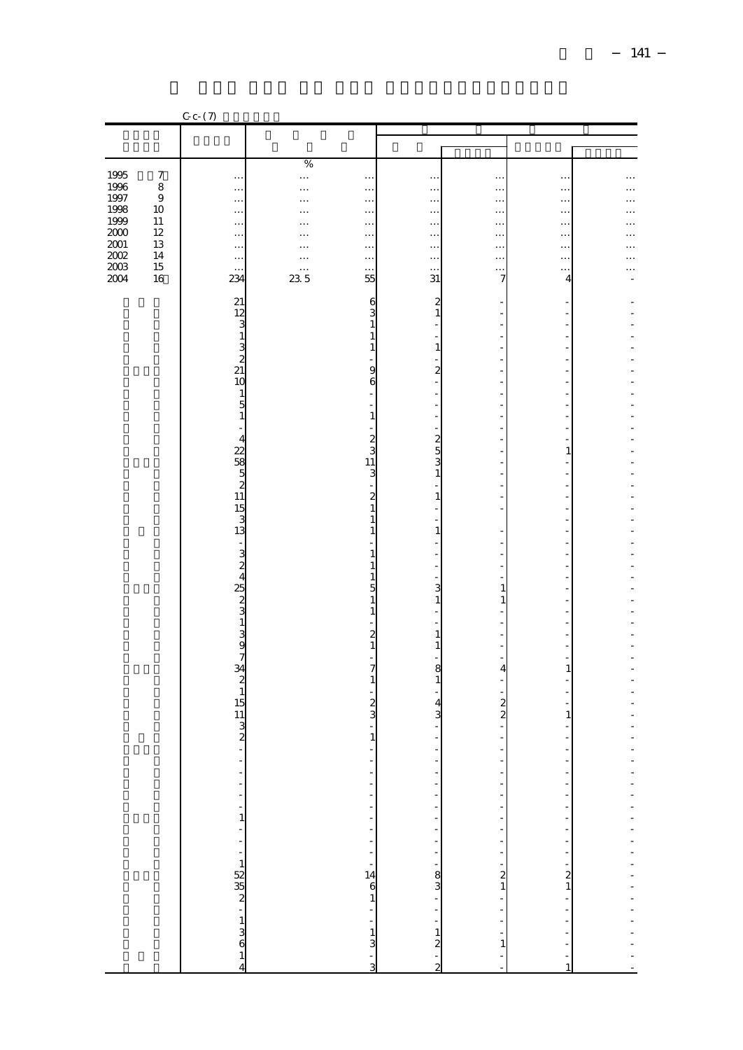|                                             |                  | $C-c-(7)$                                         |              |                                                     |                                          |                                   |                       |                  |
|---------------------------------------------|------------------|---------------------------------------------------|--------------|-----------------------------------------------------|------------------------------------------|-----------------------------------|-----------------------|------------------|
|                                             |                  |                                                   |              |                                                     |                                          |                                   |                       |                  |
|                                             |                  |                                                   |              |                                                     |                                          |                                   |                       |                  |
|                                             |                  |                                                   | $\%$         |                                                     |                                          |                                   |                       |                  |
|                                             | $\boldsymbol{7}$ |                                                   |              |                                                     |                                          |                                   |                       |                  |
| $\begin{array}{c} 1995 \\ 1996 \end{array}$ | $\,$ 8 $\,$      | $\cdot \cdot \cdot$<br>$\ldots$                   | $\cdots$<br> | $\ddot{\phantom{0}}$<br>$\ldots$                    | $\ddot{\phantom{0}}$<br>$\ldots$         | $\ddot{\phantom{0}}$<br>$\ddotsc$ | $\cdot \cdot$         |                  |
| 1997                                        | $\overline{9}$   | $\cdots$                                          | $\cdots$     | $\ddotsc$                                           | $\ddotsc$                                | .                                 | $\ddotsc$<br>$\cdots$ | .                |
| 1998                                        | $10\,$           | $\cdots$                                          | .            | $\ddotsc$                                           | $\cdots$                                 | $\cdots$                          | $\cdots$              | $\ddotsc$        |
| 1999                                        | $11\,$           | $\ldots$                                          | .            | $\ddotsc$                                           | $\ddotsc$                                | $\cdots$                          | $\ddot{\phantom{0}}$  | . .              |
| 2000                                        | 12               | $\cdots$                                          | .            | $\ddotsc$                                           | $\ddotsc$                                | $\cdots$                          | $\cdots$              | .                |
| $\frac{2001}{2002}$                         | 13               | $\ldots$                                          | .            | $\cdots$                                            | $\cdots$                                 |                                   |                       | $\ddotsc$        |
|                                             | 14               | $\ddotsc$                                         | $\cdots$     | $\ddotsc$                                           |                                          | $\ldots$                          | $\cdots$              | .                |
| 2003<br>2004                                | 15<br>16         | $\ddotsc$                                         | $\cdots$     | $\ddotsc$                                           | $\ddotsc$<br>31                          | .                                 |                       | .                |
|                                             |                  | 234                                               | 23 5         | 55                                                  |                                          | 7                                 | 4                     |                  |
|                                             |                  |                                                   |              |                                                     |                                          |                                   |                       |                  |
|                                             |                  | $2123 + 312$                                      |              | $\frac{6}{3}$                                       | $\frac{2}{1}$                            | $\overline{a}$                    |                       |                  |
|                                             |                  |                                                   |              |                                                     | L,                                       |                                   |                       |                  |
|                                             |                  |                                                   |              | $\begin{smallmatrix}1\\1\\1\end{smallmatrix}$       |                                          |                                   |                       |                  |
|                                             |                  |                                                   |              |                                                     | $\,1\,$                                  |                                   |                       |                  |
|                                             |                  |                                                   |              | L,                                                  | $\frac{1}{2}$                            | Ĭ.                                |                       |                  |
|                                             |                  |                                                   |              | $\frac{9}{6}$                                       | $\frac{2}{1}$                            |                                   |                       |                  |
|                                             |                  | 10                                                |              |                                                     |                                          | l,                                |                       |                  |
|                                             |                  |                                                   |              | Ĭ.<br>l,                                            | ÷<br>L,                                  | Ĭ.                                |                       |                  |
|                                             |                  |                                                   |              | $\mathbf{1}$                                        | $\frac{1}{2}$                            |                                   |                       |                  |
|                                             |                  |                                                   |              | $\overline{\phantom{a}}$                            |                                          | Ĭ.                                |                       |                  |
|                                             |                  |                                                   |              |                                                     |                                          |                                   |                       |                  |
|                                             |                  |                                                   |              | $\frac{2}{3}$                                       |                                          |                                   | 1                     |                  |
|                                             |                  |                                                   |              | $\frac{11}{3}$                                      | $-253$                                   |                                   |                       |                  |
|                                             |                  |                                                   |              |                                                     |                                          |                                   |                       |                  |
|                                             |                  | - 5 - 4 - 4 - 4 - 4 5 15 15 15 16 16 17           |              | $\overline{\phantom{a}}$                            |                                          |                                   |                       |                  |
|                                             |                  |                                                   |              | $\begin{smallmatrix} 2 \\ 1 \\ 1 \end{smallmatrix}$ | $\mathbf{1}$                             |                                   |                       |                  |
|                                             |                  |                                                   |              |                                                     | L,                                       | Ĭ.                                |                       |                  |
|                                             |                  |                                                   |              | $\mathbf{1}$                                        | $\overline{\phantom{0}}$<br>$\mathbf{1}$ |                                   |                       |                  |
|                                             |                  |                                                   |              | L,                                                  | L,                                       |                                   |                       |                  |
|                                             |                  |                                                   |              | $\mathbf{1}$                                        | L,                                       |                                   |                       |                  |
|                                             |                  |                                                   |              | $\mathbf{1}$                                        |                                          |                                   |                       |                  |
|                                             |                  |                                                   |              |                                                     | $\overline{a}$                           | L,                                |                       |                  |
|                                             |                  |                                                   |              | $\begin{array}{c} 1 \\ 5 \\ 1 \end{array}$          | $\frac{3}{1}$                            | 1                                 |                       |                  |
|                                             |                  |                                                   |              |                                                     |                                          | $\mathbf{1}$                      |                       |                  |
|                                             |                  | - ∞ ∞ ▲ ∞ ∞ ∞ → ∞ ∞ → ∞ ∞ + ™                     |              | $\mathbf{1}$                                        | L,                                       |                                   |                       |                  |
|                                             |                  |                                                   |              |                                                     | ÷<br>$\,1$                               |                                   |                       |                  |
|                                             |                  |                                                   |              | $\frac{2}{1}$                                       | $\,1\,$                                  | Ĭ.                                |                       |                  |
|                                             |                  |                                                   |              |                                                     |                                          |                                   |                       |                  |
|                                             |                  |                                                   |              | 7                                                   |                                          | 4                                 | 1                     |                  |
|                                             |                  |                                                   |              | $\mathbf{1}$                                        | $\frac{8}{1}$                            | i,                                |                       |                  |
|                                             |                  |                                                   |              | L                                                   |                                          |                                   |                       |                  |
|                                             |                  |                                                   |              | $\frac{2}{3}$                                       | $\frac{4}{3}$                            | $\frac{2}{2}$                     |                       |                  |
|                                             |                  | $\begin{array}{c} 11 \\ 3 \\ 2 \\ -1 \end{array}$ |              |                                                     |                                          |                                   | 1                     |                  |
|                                             |                  |                                                   |              |                                                     |                                          |                                   |                       |                  |
|                                             |                  |                                                   |              | $\mathbf{1}$<br>$\overline{\phantom{m}}$            |                                          | $\qquad \qquad \blacksquare$      |                       |                  |
|                                             |                  |                                                   |              | ÷                                                   |                                          |                                   |                       |                  |
|                                             |                  |                                                   |              |                                                     |                                          |                                   |                       |                  |
|                                             |                  |                                                   |              |                                                     |                                          |                                   |                       | $\frac{1}{2}$    |
|                                             |                  |                                                   |              | $        14$ 6 1 $ -$ 1 3 $-$ 3                     | $\frac{1}{1}$                            |                                   |                       | $\overline{a}$   |
|                                             |                  |                                                   |              |                                                     |                                          |                                   |                       |                  |
|                                             |                  |                                                   |              |                                                     | יייייי שטייי– מיל                        |                                   | f                     | ---------------- |
|                                             |                  |                                                   |              |                                                     |                                          |                                   |                       |                  |
|                                             |                  |                                                   |              |                                                     |                                          |                                   | ÷                     |                  |
|                                             |                  |                                                   |              |                                                     |                                          |                                   |                       |                  |
|                                             |                  |                                                   |              |                                                     |                                          |                                   | $\frac{1}{2}$         |                  |
|                                             |                  |                                                   |              |                                                     |                                          |                                   |                       |                  |
|                                             |                  |                                                   |              |                                                     |                                          |                                   |                       |                  |
|                                             |                  |                                                   |              |                                                     |                                          |                                   |                       |                  |
|                                             |                  |                                                   |              |                                                     |                                          |                                   |                       |                  |
|                                             |                  |                                                   |              |                                                     |                                          |                                   |                       |                  |
|                                             |                  |                                                   |              |                                                     |                                          |                                   |                       |                  |
|                                             |                  |                                                   |              |                                                     |                                          |                                   |                       |                  |
|                                             |                  |                                                   |              |                                                     |                                          |                                   | 1                     |                  |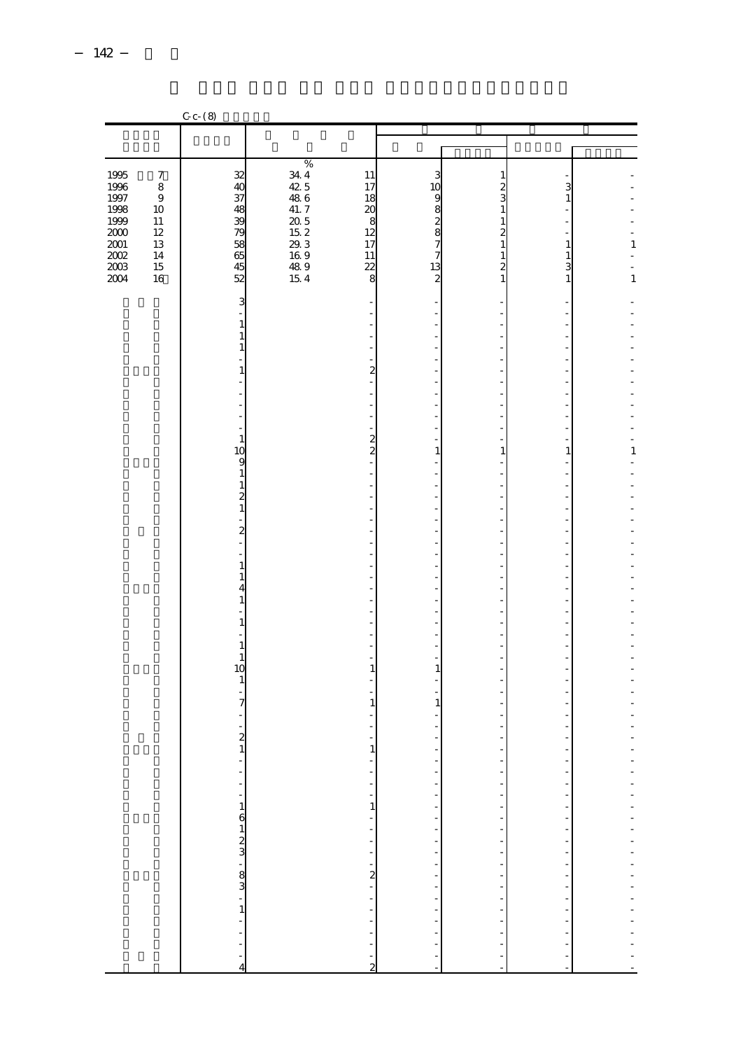|                      |                  | $C - C - (8)$                              |                                   |                                  |                                  |                                                      |                                                       |              |
|----------------------|------------------|--------------------------------------------|-----------------------------------|----------------------------------|----------------------------------|------------------------------------------------------|-------------------------------------------------------|--------------|
|                      |                  |                                            |                                   |                                  |                                  |                                                      |                                                       |              |
|                      |                  |                                            |                                   |                                  |                                  |                                                      |                                                       |              |
| 1995                 | $\boldsymbol{7}$ |                                            | $\%$<br>34.4                      | 11                               | 3                                |                                                      |                                                       |              |
| 1996                 | $\,$ 8 $\,$      | $\begin{array}{c} 32 \\ 40 \end{array}$    | 42 5                              | 17                               | 10                               | $\frac{1}{2}$                                        | $\frac{3}{1}$                                         |              |
| 1997<br>1998         | $\,9$<br>10      | 37<br>48                                   | 48.6<br>41.7                      | 18<br>$\boldsymbol{\chi}$        | $\theta$                         | $\mathbf{1}$                                         |                                                       |              |
| 1999                 | $11\,$           | 39                                         |                                   | 8                                |                                  | $\,$ 1 $\,$                                          |                                                       |              |
| $2000\,$             | $12\,$           | 79                                         |                                   | 12                               |                                  | $\frac{2}{1}$                                        | $\overline{a}$                                        |              |
| $2001\,$<br>$2002\,$ | 13<br>14         | 58<br>65                                   | $205$<br>$152$<br>$293$<br>$1648$ | 17<br>11                         | 82828                            | $\,1\,$                                              | $\,1\,$<br>$\mathbf{1}$                               | $\mathbf{1}$ |
| $2003\,$             | 15               | 45                                         |                                   | 22                               | 13                               | $\overline{\mathbf{c}}$                              | 3                                                     |              |
| 2004                 | 16               | 52                                         | 15.4                              | 8                                | 2                                | 1                                                    | 1                                                     | 1            |
|                      |                  | 3                                          |                                   |                                  | -                                |                                                      |                                                       |              |
|                      |                  | $\overline{a}$                             |                                   |                                  | l,                               |                                                      |                                                       |              |
|                      |                  | $\mathbf{1}$<br>$1\,$                      |                                   | -                                | ÷,<br>$\overline{a}$             |                                                      |                                                       |              |
|                      |                  | $\mathbf{1}$                               |                                   | $\overline{a}$                   | ÷                                |                                                      |                                                       |              |
|                      |                  | L,<br>1                                    |                                   | $\overline{a}$                   | ٠                                | ٠                                                    |                                                       |              |
|                      |                  | $\overline{a}$                             |                                   | $\overline{\mathbf{c}}$<br>i,    | ٠<br>÷                           |                                                      |                                                       |              |
|                      |                  |                                            |                                   | L,                               | $\overline{a}$                   | ٠                                                    |                                                       |              |
|                      |                  | J.<br>j.                                   |                                   | $\overline{a}$<br>$\overline{a}$ | $\overline{a}$<br>÷              |                                                      |                                                       |              |
|                      |                  | L,                                         |                                   | $\overline{a}$                   | ٠                                | L,                                                   |                                                       |              |
|                      |                  | $\mathbf{1}$<br>10                         |                                   | $\frac{2}{2}$                    | $\overline{a}$<br>$\mathbf{1}$   |                                                      |                                                       |              |
|                      |                  |                                            |                                   |                                  | ٠                                | 1                                                    | 1                                                     | 1            |
|                      |                  |                                            |                                   |                                  | ÷                                |                                                      |                                                       |              |
|                      |                  | 91121                                      |                                   |                                  | ÷                                | Ĭ.                                                   |                                                       |              |
|                      |                  |                                            |                                   |                                  | $\overline{a}$                   | L,                                                   |                                                       |              |
|                      |                  | L,                                         |                                   |                                  |                                  |                                                      |                                                       |              |
|                      |                  | $\overline{\mathcal{Z}}$<br>$\overline{a}$ |                                   | L,                               | ÷<br>÷                           | Ĭ.<br>Ĩ.                                             |                                                       |              |
|                      |                  | $\overline{a}$                             |                                   |                                  | J.                               |                                                      |                                                       |              |
|                      |                  | $\mathbf{1}$                               |                                   | L,                               | $\overline{a}$<br>$\overline{a}$ | Ĭ.<br>L,                                             |                                                       |              |
|                      |                  | $\frac{1}{4}$                              |                                   |                                  |                                  |                                                      |                                                       |              |
|                      |                  | $\mathbf{1}$<br>L,                         |                                   |                                  | $\overline{a}$<br>٠              | L,                                                   |                                                       |              |
|                      |                  | $\mathbf{1}$                               |                                   |                                  | Ĭ.                               |                                                      |                                                       |              |
|                      |                  | $\overline{\phantom{0}}$<br>$1\,$          |                                   |                                  | $\overline{a}$<br>÷              |                                                      |                                                       |              |
|                      |                  | $\mathbf{1}$                               |                                   | L,                               | L.                               |                                                      |                                                       |              |
|                      |                  | 10                                         |                                   | $\mathbf{1}$                     | $\mathbf{1}$                     |                                                      |                                                       |              |
|                      |                  | $1\,$<br>$\overline{a}$                    |                                   | L,                               | ÷<br>÷                           | L,                                                   |                                                       |              |
|                      |                  | 7                                          |                                   | $\mathbf{1}$                     | $\,1\,$                          |                                                      |                                                       |              |
|                      |                  | L,                                         |                                   |                                  |                                  |                                                      |                                                       |              |
|                      |                  | $\frac{2}{1}$                              |                                   |                                  |                                  |                                                      |                                                       |              |
|                      |                  |                                            |                                   | $\mathbf{1}$                     |                                  |                                                      |                                                       |              |
|                      |                  |                                            |                                   |                                  |                                  | -                                                    | $\overline{\phantom{m}}$                              |              |
|                      |                  | $\frac{1}{2}$                              |                                   | $\frac{1}{2}$                    | $\frac{1}{2}$                    | -                                                    | ÷,                                                    |              |
|                      |                  |                                            |                                   | $\mathbf{1}$                     |                                  | $\overline{\phantom{a}}$<br>$\overline{\phantom{a}}$ | $\overline{\phantom{a}}$<br>$\overline{\phantom{a}}$  |              |
|                      |                  |                                            |                                   |                                  |                                  |                                                      |                                                       |              |
|                      |                  |                                            |                                   |                                  |                                  | $\frac{1}{2}$                                        | $\frac{1}{2}$                                         |              |
|                      |                  |                                            |                                   |                                  |                                  |                                                      |                                                       |              |
|                      |                  |                                            |                                   |                                  |                                  |                                                      | $\begin{bmatrix} 1 \\ 1 \\ 2 \\ 3 \\ 4 \end{bmatrix}$ |              |
|                      |                  |                                            |                                   |                                  |                                  | $\frac{1}{2}$                                        |                                                       |              |
|                      |                  |                                            |                                   |                                  |                                  |                                                      | $\overline{\phantom{a}}$ ,                            |              |
|                      |                  |                                            |                                   |                                  |                                  | $\frac{1}{2}$                                        | ÷,<br>$\overline{a}$                                  |              |
|                      |                  |                                            |                                   |                                  |                                  | $\frac{1}{2}$                                        | $\overline{\phantom{a}}$                              |              |
|                      |                  |                                            |                                   |                                  | -----------------                | $\overline{a}$<br>$\overline{a}$                     | $\overline{a}$<br>l,                                  |              |
|                      |                  | $\overline{4}$                             |                                   | $\overline{c}$                   |                                  | $\frac{1}{2}$                                        | $\overline{\phantom{a}}$                              |              |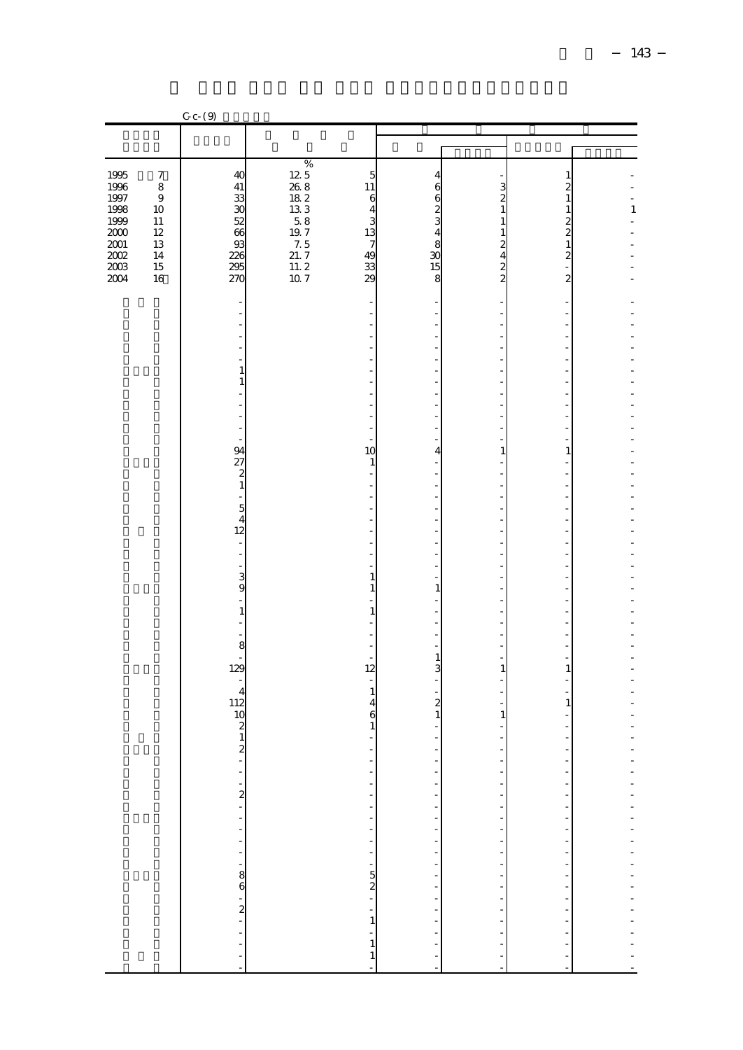|                                             |                       | $C - C - (9)$                                      |                                                          |                                                  |                                                          |                                                              |                                |                                 |
|---------------------------------------------|-----------------------|----------------------------------------------------|----------------------------------------------------------|--------------------------------------------------|----------------------------------------------------------|--------------------------------------------------------------|--------------------------------|---------------------------------|
|                                             |                       |                                                    |                                                          |                                                  |                                                          |                                                              |                                |                                 |
|                                             |                       |                                                    |                                                          |                                                  |                                                          |                                                              |                                |                                 |
| $\begin{array}{c} 1995 \\ 1996 \end{array}$ | $\boldsymbol{7}$<br>8 | 40<br>41                                           | $\%$<br>$\begin{array}{c} 125 \\ 268 \\ 182 \end{array}$ | $\begin{array}{c} 5 \\ 11 \end{array}$           | 4                                                        |                                                              | 1                              |                                 |
| 1997<br>1998<br>1999                        | $\,9$<br>10<br>11     | 33<br>30<br>52                                     | 13.3<br>58                                               | $\begin{array}{c} 6 \\ 4 \end{array}$            | 6<br>6<br>6<br>2<br>3<br>4<br>8<br>3<br>1<br>5<br>1<br>5 | $\begin{array}{c} 3 \\ 2 \\ 1 \end{array}$<br>$\mathbf{1}$   | $\frac{2}{1}$<br>1             | $\,1\,$                         |
| $2000\,$<br>$\frac{2001}{2002}$             | 12<br>13<br>14        | 66<br>93<br>226                                    | 19.7<br>7.5<br>21.7                                      | 33333                                            |                                                          | $\mathbf{1}$<br>$\begin{array}{c}\n2 \\ 2 \\ 2\n\end{array}$ | $\frac{2}{1}$<br>$\frac{2}{1}$ |                                 |
| 2003<br>2004                                | 15<br>16              | 295<br>270                                         | $\frac{1}{11}$ . 2<br>107                                |                                                  | 8                                                        |                                                              | $\overline{\mathbf{c}}$        |                                 |
|                                             |                       | L,                                                 |                                                          | i,<br>÷,                                         | Ĭ.                                                       |                                                              |                                |                                 |
|                                             |                       | $\overline{a}$<br>$\overline{a}$                   |                                                          | L.                                               | J.                                                       | L.                                                           |                                |                                 |
|                                             |                       | $\mathbf{1}$<br>$\,1\,$<br>$\overline{a}$<br>L,    |                                                          | J.                                               | J.                                                       | L,                                                           | L,                             |                                 |
|                                             |                       | $\overline{a}$<br>$\overline{a}$                   |                                                          | L,<br>J.                                         | Ĭ.                                                       | $\overline{a}$                                               | $\overline{a}$                 |                                 |
|                                             |                       | 94<br>27                                           |                                                          | 10<br>1<br>J.                                    | 4<br>$\overline{a}$                                      | 1<br>L,                                                      | 1<br>L,                        |                                 |
|                                             |                       | $\frac{2}{1}$<br>÷                                 |                                                          | ÷,<br>L,                                         | Ĭ.<br>L,                                                 | $\overline{a}$<br>$\overline{\phantom{0}}$                   | L,<br>$\overline{a}$           |                                 |
|                                             |                       | $\frac{5}{4}$<br>12<br>$\frac{1}{2}$               |                                                          | ÷,<br>L,                                         | J.<br>L,                                                 | L.<br>$\overline{\phantom{0}}$                               | L,<br>$\overline{a}$           |                                 |
|                                             |                       | $\overline{\phantom{a}}$<br>$\frac{3}{9}$          |                                                          | J.<br>$\,1\,$                                    | J.<br>L,                                                 | L,<br>$\overline{\phantom{0}}$                               | L,<br>$\overline{a}$           |                                 |
|                                             |                       | $\overline{a}$<br>$\mathbf{1}$                     |                                                          | 1<br>$\mathbf{1}$                                | $\mathbf{1}$<br>÷                                        | ٠<br>÷                                                       | -                              |                                 |
|                                             |                       | $\overline{\phantom{a}}$<br>L.<br>8                |                                                          | J.<br>÷                                          | Ĭ.<br>í.<br>$\overline{a}$                               | L,                                                           | L,                             |                                 |
|                                             |                       | 129                                                |                                                          | $\overline{a}$<br>12<br>$\overline{\phantom{0}}$ | $\mathbf{1}$<br>3<br>$\overline{\phantom{a}}$            | ÷<br>1                                                       | 1                              |                                 |
|                                             |                       | $\overline{4}$<br>112                              |                                                          | $\mathbf{1}$<br>4<br>$\mathbf{6}$                | $\frac{2}{1}$                                            | $\mathbf 1$                                                  | $\mathbf{1}$                   |                                 |
|                                             |                       | $\begin{array}{c}\n10 \\ 2 \\ 1 \\ 2\n\end{array}$ |                                                          | $\,1$                                            |                                                          | ÷,                                                           |                                |                                 |
|                                             |                       |                                                    |                                                          | f                                                | $\frac{1}{2}$                                            | $\frac{1}{2}$                                                |                                |                                 |
|                                             |                       |                                                    |                                                          |                                                  |                                                          |                                                              |                                |                                 |
|                                             |                       |                                                    |                                                          |                                                  | ----------------                                         | ----------------                                             |                                | ----------------                |
|                                             |                       |                                                    |                                                          |                                                  |                                                          |                                                              |                                |                                 |
|                                             |                       |                                                    |                                                          |                                                  |                                                          |                                                              |                                |                                 |
|                                             |                       |                                                    |                                                          | $\frac{1}{1}$<br>$\mathbf{1}$                    |                                                          |                                                              | -------------------            | $\frac{1}{2}$<br>$\overline{a}$ |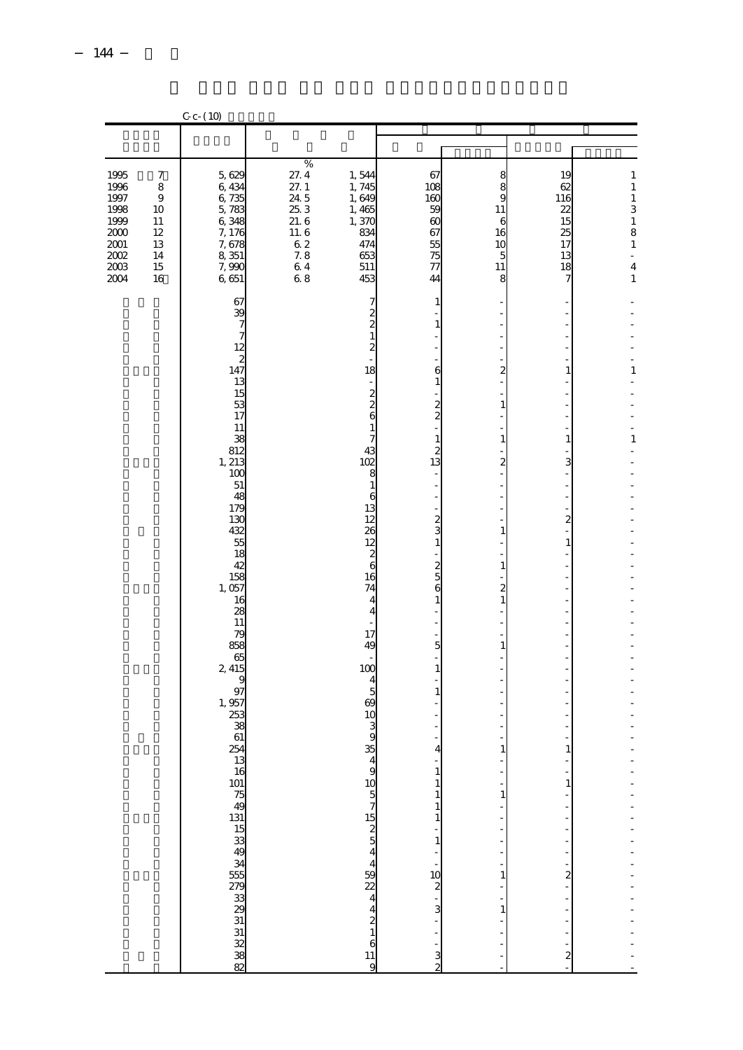|                  |                        | $C_{c}$ (10)                                         |              |                                                  |                                        |                         |                         |                                           |
|------------------|------------------------|------------------------------------------------------|--------------|--------------------------------------------------|----------------------------------------|-------------------------|-------------------------|-------------------------------------------|
|                  |                        |                                                      |              |                                                  |                                        |                         |                         |                                           |
|                  |                        |                                                      | $\%$         |                                                  |                                        |                         |                         |                                           |
| 1995<br>1996     | 7<br>$\,$ 8 $\,$       | 5,629<br>6,434                                       | 27.4<br>27.1 | 1,544<br>1,745                                   | 67<br>108                              | 8<br>8                  | 19<br>62                | $\mathbf{1}$<br>$\,1$                     |
| 1997<br>1998     | $\boldsymbol{9}$<br>10 | 6,735<br>5,783                                       | 24.5<br>25.3 | 1,649<br>1,465                                   | 160<br>59                              | 9<br>11                 | 116<br>22               | $\frac{1}{3}$ $\frac{1}{8}$ $\frac{1}{1}$ |
| 1999             | 11                     | 6,348                                                | 21.6         | 1,370                                            | 60                                     | 6                       | 15                      |                                           |
| $2000\,$<br>2001 | 12<br>13               | 7,176<br>7,678                                       | 11.6<br>$62$ | 834<br>474                                       | 67<br>55                               | 16<br>10                | 25<br>17                |                                           |
| 2002<br>$2003\,$ | 14<br>15               | 8,351<br>7,990                                       | 7.8<br>$6.4$ | 653<br>511                                       | 75<br>77                               | 5<br>11                 | 13<br>18                | L,<br>$\overline{\mathbf{4}}$             |
| 2004             | 16                     | 6,651                                                | 68           | 453                                              | 44                                     | 8                       | 7                       | 1                                         |
|                  |                        | 67<br>39                                             |              | 7<br>2                                           | 1                                      |                         |                         |                                           |
|                  |                        | 7                                                    |              | $\overline{c}$                                   | $\mathbf{1}$                           |                         |                         |                                           |
|                  |                        | $\overline{7}$<br>12                                 |              | $\mathbf{1}$<br>$\overline{\mathcal{Z}}$         |                                        |                         |                         |                                           |
|                  |                        | $\frac{2}{147}$                                      |              | 18                                               | ÷<br>6                                 | 2                       | 1                       | 1                                         |
|                  |                        | 13                                                   |              |                                                  | $\mathbf{1}$                           |                         |                         |                                           |
|                  |                        | 15<br>53                                             |              | $\frac{2}{2}$                                    | $\frac{2}{2}$                          | 1                       |                         |                                           |
|                  |                        | 17<br>11                                             |              | 6<br>1                                           |                                        |                         |                         |                                           |
|                  |                        | 38<br>812                                            |              | 7<br>43                                          | $\mathbf{1}$                           | 1                       | $\mathbf{1}$            | $\mathbf{1}$                              |
|                  |                        | 1, 213                                               |              | 102                                              | $\begin{array}{c} 2 \\ 13 \end{array}$ | 2                       | 3                       |                                           |
|                  |                        | 100<br>51                                            |              | 8<br>$\mathbf{1}$                                | ł,                                     |                         |                         |                                           |
|                  |                        | 48<br>179                                            |              | 6<br>13                                          |                                        |                         |                         |                                           |
|                  |                        | 130                                                  |              | 12                                               | $rac{2}{3}$                            |                         | $\boldsymbol{z}$        |                                           |
|                  |                        | 432<br>55                                            |              | 26<br>12                                         | $\,1\,$                                | 1                       | $\,1$                   |                                           |
|                  |                        | 18<br>42                                             |              | $\boldsymbol{z}$<br>$\epsilon$                   |                                        | $\mathbf{1}$            |                         |                                           |
|                  |                        | 158<br>1,057                                         |              | 16<br>74                                         | $rac{2}{6}$                            | $\overline{\mathbf{c}}$ |                         |                                           |
|                  |                        | 16                                                   |              | 4                                                | $\mathbf{1}$                           | $\mathbf{1}$            |                         |                                           |
|                  |                        | 28<br>11                                             |              | 4                                                |                                        |                         |                         |                                           |
|                  |                        | 79<br>858                                            |              | 17<br>49                                         | 5                                      | $\mathbf{1}$            |                         |                                           |
|                  |                        | $65$<br>2 415                                        |              |                                                  |                                        |                         |                         |                                           |
|                  |                        | 9                                                    |              | 100<br>4                                         | 1                                      |                         |                         |                                           |
|                  |                        | 97<br>1,957                                          |              | 5<br>69                                          | $\,1\,$                                |                         |                         |                                           |
|                  |                        | 253<br>38                                            |              | 10                                               |                                        |                         |                         |                                           |
|                  |                        | 61                                                   |              | 9                                                |                                        |                         |                         |                                           |
|                  |                        | 254                                                  |              | 35                                               | 4                                      | 1                       | 1                       |                                           |
|                  |                        |                                                      |              | $\begin{array}{c} 9 \\ 10 \\ 5 \\ 7 \end{array}$ | $\mathbf{1}$<br>$\mathbf{1}$           |                         | $\mathbf{1}$            |                                           |
|                  |                        |                                                      |              |                                                  | $\mathbf{1}$<br>$\mathbf{1}$           | 1                       |                         |                                           |
|                  |                        |                                                      |              |                                                  | 1                                      |                         |                         |                                           |
|                  |                        |                                                      |              |                                                  | $\mathbf{1}$                           |                         |                         |                                           |
|                  |                        |                                                      |              |                                                  |                                        |                         |                         |                                           |
|                  |                        | នន្ទន្ទ្រាន្ទន្ទ្រាន្ទ្រីម្សី និង មិន ដូច មិន មិន មា |              | 152524                                           | $\frac{1}{3}$ - $\frac{1}{3}$          | 1                       | $\overline{\mathbf{c}}$ |                                           |
|                  |                        |                                                      |              |                                                  |                                        |                         |                         |                                           |
|                  |                        |                                                      |              |                                                  |                                        | $\mathbf{1}$            |                         |                                           |
|                  |                        |                                                      |              |                                                  |                                        |                         |                         |                                           |
|                  |                        |                                                      |              | $\frac{4}{2}$<br>$\frac{1}{6}$<br>$\frac{1}{9}$  | $\frac{1}{3}$                          |                         | $\mathbf{z}$            |                                           |
|                  |                        |                                                      |              |                                                  | $\overline{c}$                         |                         |                         |                                           |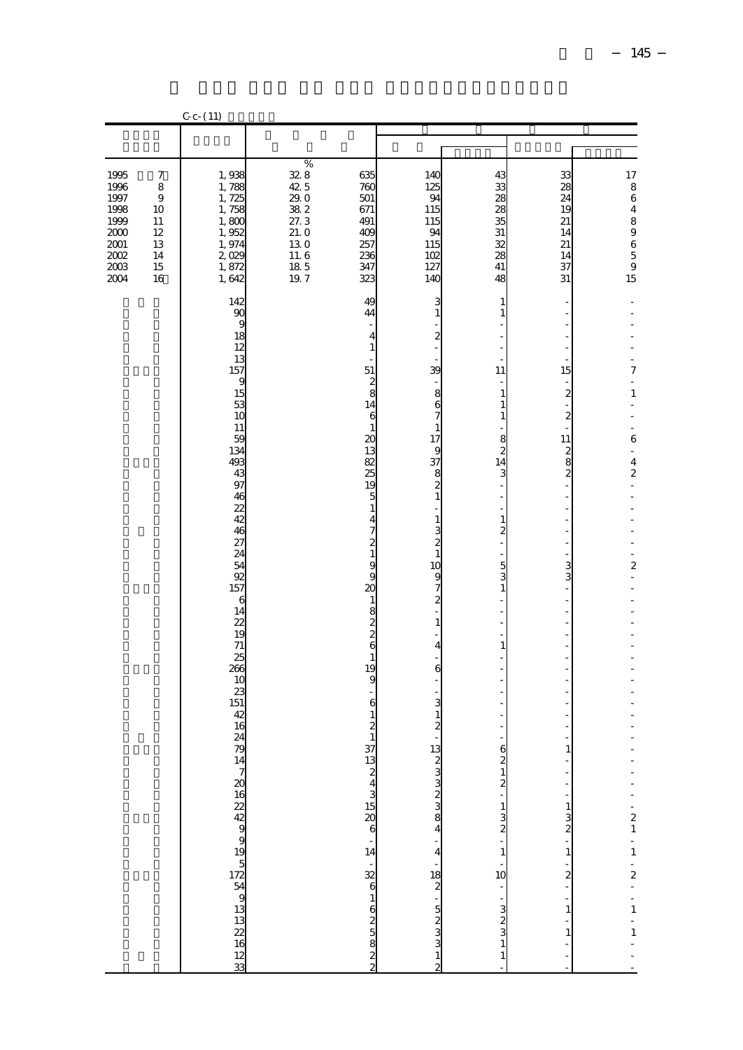|                                                                                  |                                                                                          | $C_{c}$ $C_{c}$ $(11)$                                                                                                                                                                                                                                            |                                                                                          |                                                                                                                                                                                                                                                                                                       |                                                                                                                                                                                                                                                                                                                                        |                                                                                                                                                                                                                                                                                                                                                              |                                                                                                                                                                                                                                                                                                                                               |                                                                                                                                                                                                         |
|----------------------------------------------------------------------------------|------------------------------------------------------------------------------------------|-------------------------------------------------------------------------------------------------------------------------------------------------------------------------------------------------------------------------------------------------------------------|------------------------------------------------------------------------------------------|-------------------------------------------------------------------------------------------------------------------------------------------------------------------------------------------------------------------------------------------------------------------------------------------------------|----------------------------------------------------------------------------------------------------------------------------------------------------------------------------------------------------------------------------------------------------------------------------------------------------------------------------------------|--------------------------------------------------------------------------------------------------------------------------------------------------------------------------------------------------------------------------------------------------------------------------------------------------------------------------------------------------------------|-----------------------------------------------------------------------------------------------------------------------------------------------------------------------------------------------------------------------------------------------------------------------------------------------------------------------------------------------|---------------------------------------------------------------------------------------------------------------------------------------------------------------------------------------------------------|
|                                                                                  |                                                                                          |                                                                                                                                                                                                                                                                   |                                                                                          |                                                                                                                                                                                                                                                                                                       |                                                                                                                                                                                                                                                                                                                                        |                                                                                                                                                                                                                                                                                                                                                              |                                                                                                                                                                                                                                                                                                                                               |                                                                                                                                                                                                         |
| 1995<br>1996<br>1997<br>1998<br>1999<br>$2000\,$<br>2001<br>2002<br>2003<br>2004 | $\boldsymbol{7}$<br>$\bf8$<br>$\boldsymbol{9}$<br>10<br>11<br>12<br>13<br>14<br>15<br>16 | 1,938<br>1,788<br>1,725<br>1,758<br>1,800<br>1,952<br>1, 974<br>2,029<br>1,872<br>1,642<br>142                                                                                                                                                                    | $\%$<br>$\frac{32}{42}$ 8<br>29.0<br>38.2<br>27.3<br>21.0<br>130<br>11.6<br>18.5<br>19.7 | 635<br>760<br>501<br>671<br>491<br>409<br>257<br>236<br>347<br>323<br>49                                                                                                                                                                                                                              | 140<br>125<br>94<br>115<br>115<br>94<br>115<br>102<br>127<br>140<br>3                                                                                                                                                                                                                                                                  | 43<br>33<br>28<br>28<br>35<br>31<br>32<br>28<br>41<br>48<br>1                                                                                                                                                                                                                                                                                                | 33<br>$\overline{28}$<br>24<br>19<br>21<br>14<br>21<br>14<br>37<br>31                                                                                                                                                                                                                                                                         | $\begin{array}{c} 17 \\ 8 \\ 6 \\ 4 \end{array}$<br>89659<br>15                                                                                                                                         |
|                                                                                  |                                                                                          | 90<br>9<br>18<br>12<br>13<br>157<br>g<br>15<br>53<br>1 <sup>C</sup><br>11<br>59<br>134<br>493<br>43<br>97<br>46<br>22<br>42<br>46<br>27<br>24<br>54<br>92<br>157<br>6<br>14<br>22<br>19<br>71<br>25<br>266<br>1 <sup>C</sup><br>23<br>151<br>42<br>16<br>24<br>79 |                                                                                          | 44<br>÷<br>$\overline{4}$<br>$\mathbf{1}$<br>51<br>$\frac{2}{8}$<br>14<br>$\mathbf{6}$<br>$\,1\,$<br>$\frac{20}{13}$<br>82<br>$\overline{25}$<br>19<br>$\frac{5}{1}$<br>$\overline{\mathbf{r}}$<br>7219<br>20<br>$\frac{1}{8}$ 8 2 3 6<br>$\frac{1}{19}$<br>9<br>$\frac{1}{6}$<br>$\frac{1}{2}$<br>37 | $\mathbf 1$<br>$\overline{\mathbf{z}}$<br>39<br>8671<br>$\frac{17}{9}$<br>$\begin{array}{c} 8 \\ 2 \\ 1 \end{array}$<br>$\frac{1}{2}$<br>$\frac{1}{3}$ $\frac{1}{2}$<br>$\frac{10}{9}$<br>7<br>2<br>$\overline{a}$<br>$\mathbf{1}$<br>$\overline{4}$<br>6<br>$\frac{1}{2}$<br>$\frac{3}{2}$<br>13<br>രധധയ - സ് <b>ത്</b> - ചിക - മഗധധയ | $\,1$<br>11<br>$\overline{\phantom{0}}$<br>$\,1\,$<br>$\mathbf{1}$<br>$\mathbf{1}$<br>$\begin{array}{c}\n8 \\ 2 \\ 14\n\end{array}$<br>$\mathbf{3}$<br>$\frac{1}{2}$<br>$\frac{1}{2}$<br>$\,1\,$<br>$\overline{\mathbf{c}}$<br>$\overline{a}$<br>$\overline{\phantom{a}}$<br>$\begin{array}{c} 5 \\ 3 \\ 1 \end{array}$<br>÷<br>$\,1$<br>$\ddot{\mathbf{6}}$ | $\overline{a}$<br>÷,<br>15<br>$\qquad \qquad \blacksquare$<br>$\overline{\mathcal{Z}}$<br>$\overline{a}$<br>$\frac{2}{1}$<br>$\begin{bmatrix} 11 \\ 2 \\ 8 \\ 2 \end{bmatrix}$<br>$\overline{a}$<br>L<br>$\overline{a}$<br>$\overline{a}$<br>3<br>$\overline{a}$<br>$\overline{a}$<br>$\overline{a}$<br>$\overline{a}$<br>$\overline{a}$<br>1 | 7<br>L<br>$\,1\,$<br>L<br>$\overline{a}$<br>$\,$ 6 $\,$<br>$\overline{a}$<br>4<br>$\boldsymbol{z}$<br>$\overline{a}$<br>$\overline{a}$<br>$\boldsymbol{2}$<br>$\overline{a}$<br>$-21 - 1 - 2 - 1 - 1 -$ |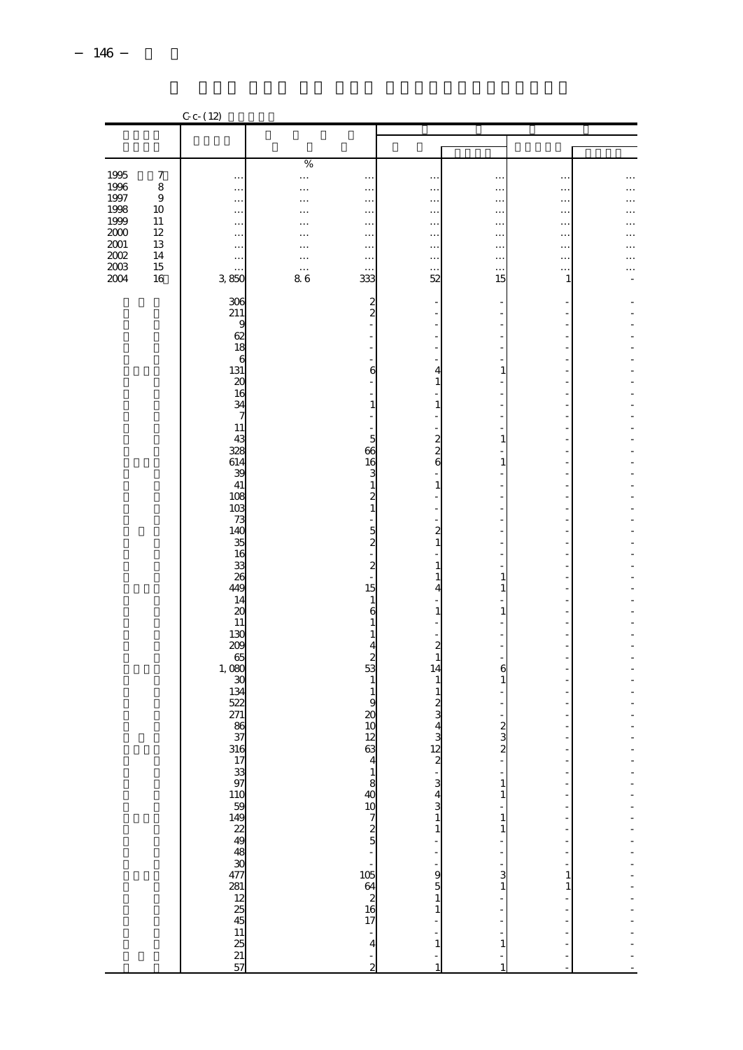| $C_{c}$ - $(12)$ |                                                                                                                                                                                                                                                                                                         |                                                    |                                                                                                                                                                                                                                                                                                                                                                                                                                                 |                                                                                                                                                                                                                                                                                                                                                                                      |                                                                                                                                                                                           |                                                                                                                                                                                                   |
|------------------|---------------------------------------------------------------------------------------------------------------------------------------------------------------------------------------------------------------------------------------------------------------------------------------------------------|----------------------------------------------------|-------------------------------------------------------------------------------------------------------------------------------------------------------------------------------------------------------------------------------------------------------------------------------------------------------------------------------------------------------------------------------------------------------------------------------------------------|--------------------------------------------------------------------------------------------------------------------------------------------------------------------------------------------------------------------------------------------------------------------------------------------------------------------------------------------------------------------------------------|-------------------------------------------------------------------------------------------------------------------------------------------------------------------------------------------|---------------------------------------------------------------------------------------------------------------------------------------------------------------------------------------------------|
|                  |                                                                                                                                                                                                                                                                                                         |                                                    |                                                                                                                                                                                                                                                                                                                                                                                                                                                 |                                                                                                                                                                                                                                                                                                                                                                                      |                                                                                                                                                                                           |                                                                                                                                                                                                   |
|                  |                                                                                                                                                                                                                                                                                                         |                                                    |                                                                                                                                                                                                                                                                                                                                                                                                                                                 |                                                                                                                                                                                                                                                                                                                                                                                      |                                                                                                                                                                                           |                                                                                                                                                                                                   |
|                  |                                                                                                                                                                                                                                                                                                         |                                                    |                                                                                                                                                                                                                                                                                                                                                                                                                                                 |                                                                                                                                                                                                                                                                                                                                                                                      |                                                                                                                                                                                           |                                                                                                                                                                                                   |
|                  |                                                                                                                                                                                                                                                                                                         |                                                    |                                                                                                                                                                                                                                                                                                                                                                                                                                                 |                                                                                                                                                                                                                                                                                                                                                                                      |                                                                                                                                                                                           |                                                                                                                                                                                                   |
|                  |                                                                                                                                                                                                                                                                                                         |                                                    |                                                                                                                                                                                                                                                                                                                                                                                                                                                 |                                                                                                                                                                                                                                                                                                                                                                                      |                                                                                                                                                                                           |                                                                                                                                                                                                   |
| $\ddotsc$        | $\cdots$                                                                                                                                                                                                                                                                                                | $\ddotsc$                                          | .                                                                                                                                                                                                                                                                                                                                                                                                                                               | $\ddotsc$                                                                                                                                                                                                                                                                                                                                                                            | $\ldots$                                                                                                                                                                                  |                                                                                                                                                                                                   |
| $\ddotsc$        | .                                                                                                                                                                                                                                                                                                       | $\ddotsc$                                          | $\ddotsc$                                                                                                                                                                                                                                                                                                                                                                                                                                       | $\ddotsc$                                                                                                                                                                                                                                                                                                                                                                            | $\ddotsc$                                                                                                                                                                                 |                                                                                                                                                                                                   |
| $\ddots$         | .                                                                                                                                                                                                                                                                                                       | $\cdots$                                           | .                                                                                                                                                                                                                                                                                                                                                                                                                                               | $\ddotsc$                                                                                                                                                                                                                                                                                                                                                                            | $\ddotsc$                                                                                                                                                                                 |                                                                                                                                                                                                   |
| $\ddotsc$        | .                                                                                                                                                                                                                                                                                                       |                                                    |                                                                                                                                                                                                                                                                                                                                                                                                                                                 |                                                                                                                                                                                                                                                                                                                                                                                      | $\ldots$                                                                                                                                                                                  |                                                                                                                                                                                                   |
|                  |                                                                                                                                                                                                                                                                                                         |                                                    |                                                                                                                                                                                                                                                                                                                                                                                                                                                 |                                                                                                                                                                                                                                                                                                                                                                                      |                                                                                                                                                                                           |                                                                                                                                                                                                   |
|                  |                                                                                                                                                                                                                                                                                                         |                                                    |                                                                                                                                                                                                                                                                                                                                                                                                                                                 |                                                                                                                                                                                                                                                                                                                                                                                      |                                                                                                                                                                                           |                                                                                                                                                                                                   |
| 3,850            | 86                                                                                                                                                                                                                                                                                                      | 333                                                | 52                                                                                                                                                                                                                                                                                                                                                                                                                                              |                                                                                                                                                                                                                                                                                                                                                                                      |                                                                                                                                                                                           |                                                                                                                                                                                                   |
|                  |                                                                                                                                                                                                                                                                                                         |                                                    |                                                                                                                                                                                                                                                                                                                                                                                                                                                 |                                                                                                                                                                                                                                                                                                                                                                                      |                                                                                                                                                                                           |                                                                                                                                                                                                   |
|                  |                                                                                                                                                                                                                                                                                                         |                                                    | -                                                                                                                                                                                                                                                                                                                                                                                                                                               |                                                                                                                                                                                                                                                                                                                                                                                      |                                                                                                                                                                                           |                                                                                                                                                                                                   |
|                  |                                                                                                                                                                                                                                                                                                         |                                                    |                                                                                                                                                                                                                                                                                                                                                                                                                                                 |                                                                                                                                                                                                                                                                                                                                                                                      |                                                                                                                                                                                           |                                                                                                                                                                                                   |
|                  |                                                                                                                                                                                                                                                                                                         |                                                    |                                                                                                                                                                                                                                                                                                                                                                                                                                                 |                                                                                                                                                                                                                                                                                                                                                                                      |                                                                                                                                                                                           |                                                                                                                                                                                                   |
|                  |                                                                                                                                                                                                                                                                                                         |                                                    |                                                                                                                                                                                                                                                                                                                                                                                                                                                 |                                                                                                                                                                                                                                                                                                                                                                                      |                                                                                                                                                                                           |                                                                                                                                                                                                   |
| 6                |                                                                                                                                                                                                                                                                                                         |                                                    | ÷,                                                                                                                                                                                                                                                                                                                                                                                                                                              |                                                                                                                                                                                                                                                                                                                                                                                      |                                                                                                                                                                                           |                                                                                                                                                                                                   |
|                  |                                                                                                                                                                                                                                                                                                         | 6                                                  | 4                                                                                                                                                                                                                                                                                                                                                                                                                                               | 1                                                                                                                                                                                                                                                                                                                                                                                    |                                                                                                                                                                                           |                                                                                                                                                                                                   |
|                  |                                                                                                                                                                                                                                                                                                         |                                                    | $\mathbf{1}$                                                                                                                                                                                                                                                                                                                                                                                                                                    |                                                                                                                                                                                                                                                                                                                                                                                      |                                                                                                                                                                                           |                                                                                                                                                                                                   |
|                  |                                                                                                                                                                                                                                                                                                         |                                                    | ÷,                                                                                                                                                                                                                                                                                                                                                                                                                                              |                                                                                                                                                                                                                                                                                                                                                                                      |                                                                                                                                                                                           |                                                                                                                                                                                                   |
|                  |                                                                                                                                                                                                                                                                                                         |                                                    |                                                                                                                                                                                                                                                                                                                                                                                                                                                 |                                                                                                                                                                                                                                                                                                                                                                                      |                                                                                                                                                                                           |                                                                                                                                                                                                   |
|                  |                                                                                                                                                                                                                                                                                                         | L,                                                 | ÷,                                                                                                                                                                                                                                                                                                                                                                                                                                              |                                                                                                                                                                                                                                                                                                                                                                                      |                                                                                                                                                                                           |                                                                                                                                                                                                   |
|                  |                                                                                                                                                                                                                                                                                                         |                                                    |                                                                                                                                                                                                                                                                                                                                                                                                                                                 | $\mathbf{1}$                                                                                                                                                                                                                                                                                                                                                                         |                                                                                                                                                                                           |                                                                                                                                                                                                   |
| 328              |                                                                                                                                                                                                                                                                                                         | 66                                                 |                                                                                                                                                                                                                                                                                                                                                                                                                                                 |                                                                                                                                                                                                                                                                                                                                                                                      |                                                                                                                                                                                           |                                                                                                                                                                                                   |
| 614              |                                                                                                                                                                                                                                                                                                         | 16                                                 |                                                                                                                                                                                                                                                                                                                                                                                                                                                 | 1                                                                                                                                                                                                                                                                                                                                                                                    |                                                                                                                                                                                           |                                                                                                                                                                                                   |
|                  |                                                                                                                                                                                                                                                                                                         |                                                    | i,                                                                                                                                                                                                                                                                                                                                                                                                                                              |                                                                                                                                                                                                                                                                                                                                                                                      |                                                                                                                                                                                           |                                                                                                                                                                                                   |
|                  |                                                                                                                                                                                                                                                                                                         |                                                    |                                                                                                                                                                                                                                                                                                                                                                                                                                                 |                                                                                                                                                                                                                                                                                                                                                                                      |                                                                                                                                                                                           |                                                                                                                                                                                                   |
|                  |                                                                                                                                                                                                                                                                                                         |                                                    | ÷,                                                                                                                                                                                                                                                                                                                                                                                                                                              |                                                                                                                                                                                                                                                                                                                                                                                      |                                                                                                                                                                                           |                                                                                                                                                                                                   |
|                  |                                                                                                                                                                                                                                                                                                         |                                                    |                                                                                                                                                                                                                                                                                                                                                                                                                                                 |                                                                                                                                                                                                                                                                                                                                                                                      |                                                                                                                                                                                           |                                                                                                                                                                                                   |
|                  |                                                                                                                                                                                                                                                                                                         | 5                                                  |                                                                                                                                                                                                                                                                                                                                                                                                                                                 |                                                                                                                                                                                                                                                                                                                                                                                      |                                                                                                                                                                                           |                                                                                                                                                                                                   |
|                  |                                                                                                                                                                                                                                                                                                         |                                                    |                                                                                                                                                                                                                                                                                                                                                                                                                                                 |                                                                                                                                                                                                                                                                                                                                                                                      |                                                                                                                                                                                           |                                                                                                                                                                                                   |
|                  |                                                                                                                                                                                                                                                                                                         |                                                    |                                                                                                                                                                                                                                                                                                                                                                                                                                                 |                                                                                                                                                                                                                                                                                                                                                                                      |                                                                                                                                                                                           |                                                                                                                                                                                                   |
|                  |                                                                                                                                                                                                                                                                                                         |                                                    |                                                                                                                                                                                                                                                                                                                                                                                                                                                 |                                                                                                                                                                                                                                                                                                                                                                                      |                                                                                                                                                                                           |                                                                                                                                                                                                   |
|                  |                                                                                                                                                                                                                                                                                                         |                                                    |                                                                                                                                                                                                                                                                                                                                                                                                                                                 |                                                                                                                                                                                                                                                                                                                                                                                      |                                                                                                                                                                                           |                                                                                                                                                                                                   |
| 14               |                                                                                                                                                                                                                                                                                                         | 1                                                  |                                                                                                                                                                                                                                                                                                                                                                                                                                                 |                                                                                                                                                                                                                                                                                                                                                                                      |                                                                                                                                                                                           |                                                                                                                                                                                                   |
| 20               |                                                                                                                                                                                                                                                                                                         | 6                                                  | $\mathbf{1}$                                                                                                                                                                                                                                                                                                                                                                                                                                    | $\mathbf{1}$                                                                                                                                                                                                                                                                                                                                                                         |                                                                                                                                                                                           |                                                                                                                                                                                                   |
|                  |                                                                                                                                                                                                                                                                                                         | 1                                                  |                                                                                                                                                                                                                                                                                                                                                                                                                                                 |                                                                                                                                                                                                                                                                                                                                                                                      |                                                                                                                                                                                           |                                                                                                                                                                                                   |
|                  |                                                                                                                                                                                                                                                                                                         |                                                    |                                                                                                                                                                                                                                                                                                                                                                                                                                                 |                                                                                                                                                                                                                                                                                                                                                                                      |                                                                                                                                                                                           |                                                                                                                                                                                                   |
|                  |                                                                                                                                                                                                                                                                                                         |                                                    |                                                                                                                                                                                                                                                                                                                                                                                                                                                 |                                                                                                                                                                                                                                                                                                                                                                                      |                                                                                                                                                                                           |                                                                                                                                                                                                   |
|                  |                                                                                                                                                                                                                                                                                                         |                                                    |                                                                                                                                                                                                                                                                                                                                                                                                                                                 |                                                                                                                                                                                                                                                                                                                                                                                      |                                                                                                                                                                                           |                                                                                                                                                                                                   |
| 30               |                                                                                                                                                                                                                                                                                                         | $\mathbf{1}$                                       | 1                                                                                                                                                                                                                                                                                                                                                                                                                                               |                                                                                                                                                                                                                                                                                                                                                                                      |                                                                                                                                                                                           |                                                                                                                                                                                                   |
|                  |                                                                                                                                                                                                                                                                                                         | $\mathbf{1}$                                       | $\mathbf{1}$                                                                                                                                                                                                                                                                                                                                                                                                                                    |                                                                                                                                                                                                                                                                                                                                                                                      |                                                                                                                                                                                           |                                                                                                                                                                                                   |
|                  |                                                                                                                                                                                                                                                                                                         |                                                    |                                                                                                                                                                                                                                                                                                                                                                                                                                                 |                                                                                                                                                                                                                                                                                                                                                                                      |                                                                                                                                                                                           |                                                                                                                                                                                                   |
|                  |                                                                                                                                                                                                                                                                                                         |                                                    |                                                                                                                                                                                                                                                                                                                                                                                                                                                 |                                                                                                                                                                                                                                                                                                                                                                                      |                                                                                                                                                                                           |                                                                                                                                                                                                   |
|                  |                                                                                                                                                                                                                                                                                                         |                                                    |                                                                                                                                                                                                                                                                                                                                                                                                                                                 |                                                                                                                                                                                                                                                                                                                                                                                      |                                                                                                                                                                                           |                                                                                                                                                                                                   |
|                  |                                                                                                                                                                                                                                                                                                         | 63                                                 | 12                                                                                                                                                                                                                                                                                                                                                                                                                                              |                                                                                                                                                                                                                                                                                                                                                                                      |                                                                                                                                                                                           |                                                                                                                                                                                                   |
|                  |                                                                                                                                                                                                                                                                                                         |                                                    | z                                                                                                                                                                                                                                                                                                                                                                                                                                               |                                                                                                                                                                                                                                                                                                                                                                                      |                                                                                                                                                                                           |                                                                                                                                                                                                   |
|                  |                                                                                                                                                                                                                                                                                                         |                                                    |                                                                                                                                                                                                                                                                                                                                                                                                                                                 |                                                                                                                                                                                                                                                                                                                                                                                      |                                                                                                                                                                                           |                                                                                                                                                                                                   |
|                  |                                                                                                                                                                                                                                                                                                         |                                                    |                                                                                                                                                                                                                                                                                                                                                                                                                                                 |                                                                                                                                                                                                                                                                                                                                                                                      |                                                                                                                                                                                           |                                                                                                                                                                                                   |
|                  |                                                                                                                                                                                                                                                                                                         |                                                    |                                                                                                                                                                                                                                                                                                                                                                                                                                                 |                                                                                                                                                                                                                                                                                                                                                                                      |                                                                                                                                                                                           |                                                                                                                                                                                                   |
|                  |                                                                                                                                                                                                                                                                                                         |                                                    |                                                                                                                                                                                                                                                                                                                                                                                                                                                 |                                                                                                                                                                                                                                                                                                                                                                                      |                                                                                                                                                                                           |                                                                                                                                                                                                   |
|                  |                                                                                                                                                                                                                                                                                                         |                                                    | $\mathbf{1}$                                                                                                                                                                                                                                                                                                                                                                                                                                    | $\,1\,$                                                                                                                                                                                                                                                                                                                                                                              |                                                                                                                                                                                           |                                                                                                                                                                                                   |
|                  |                                                                                                                                                                                                                                                                                                         |                                                    | Ĭ.                                                                                                                                                                                                                                                                                                                                                                                                                                              |                                                                                                                                                                                                                                                                                                                                                                                      |                                                                                                                                                                                           |                                                                                                                                                                                                   |
|                  |                                                                                                                                                                                                                                                                                                         |                                                    |                                                                                                                                                                                                                                                                                                                                                                                                                                                 |                                                                                                                                                                                                                                                                                                                                                                                      |                                                                                                                                                                                           |                                                                                                                                                                                                   |
|                  |                                                                                                                                                                                                                                                                                                         |                                                    |                                                                                                                                                                                                                                                                                                                                                                                                                                                 | ł,                                                                                                                                                                                                                                                                                                                                                                                   |                                                                                                                                                                                           |                                                                                                                                                                                                   |
|                  |                                                                                                                                                                                                                                                                                                         |                                                    |                                                                                                                                                                                                                                                                                                                                                                                                                                                 |                                                                                                                                                                                                                                                                                                                                                                                      |                                                                                                                                                                                           |                                                                                                                                                                                                   |
|                  |                                                                                                                                                                                                                                                                                                         |                                                    |                                                                                                                                                                                                                                                                                                                                                                                                                                                 |                                                                                                                                                                                                                                                                                                                                                                                      |                                                                                                                                                                                           |                                                                                                                                                                                                   |
|                  |                                                                                                                                                                                                                                                                                                         |                                                    | $\mathbf{1}$                                                                                                                                                                                                                                                                                                                                                                                                                                    |                                                                                                                                                                                                                                                                                                                                                                                      |                                                                                                                                                                                           |                                                                                                                                                                                                   |
|                  |                                                                                                                                                                                                                                                                                                         |                                                    |                                                                                                                                                                                                                                                                                                                                                                                                                                                 |                                                                                                                                                                                                                                                                                                                                                                                      |                                                                                                                                                                                           |                                                                                                                                                                                                   |
|                  |                                                                                                                                                                                                                                                                                                         | ÷                                                  | $\overline{\phantom{a}}$                                                                                                                                                                                                                                                                                                                                                                                                                        | ×,                                                                                                                                                                                                                                                                                                                                                                                   |                                                                                                                                                                                           |                                                                                                                                                                                                   |
|                  |                                                                                                                                                                                                                                                                                                         |                                                    |                                                                                                                                                                                                                                                                                                                                                                                                                                                 |                                                                                                                                                                                                                                                                                                                                                                                      |                                                                                                                                                                                           |                                                                                                                                                                                                   |
| 57               |                                                                                                                                                                                                                                                                                                         |                                                    | 1                                                                                                                                                                                                                                                                                                                                                                                                                                               | 1                                                                                                                                                                                                                                                                                                                                                                                    |                                                                                                                                                                                           |                                                                                                                                                                                                   |
|                  | $\ddotsc$<br>$\ddots$<br>$\ddotsc$<br>$\cdot \cdot \cdot$<br>. .<br>306<br>211<br>9<br>62<br>18<br>131<br>20<br>16<br>34<br>$\overline{7}$<br>11<br>43<br>39<br>41<br>108<br>103<br>73<br>140<br>35<br>16<br>33<br>26<br>449<br>11<br>130<br>209<br>65<br>1,080<br>134<br>522<br>271<br>86<br>37<br>316 | $\%$<br>$\cdots$<br>.<br>.<br>$\cdots$<br>$\cdots$ | $\ddotsc$<br>$\cdots$<br>$\ddots$<br>$\ldots$<br>$\ddotsc$<br>$\ddotsc$<br>$\overline{\mathbf{c}}$<br>$\overline{\mathbf{c}}$<br>$\mathbf{1}$<br>5<br>3<br>$\mathbf{1}$<br>$\overline{\mathcal{Z}}$<br>$\mathbf{1}$<br>$\overline{c}$<br>$\overline{\mathbf{c}}$<br>15<br>1<br>4<br>$\boldsymbol{z}$<br>53<br>9<br>20<br>10<br>12<br>$\mathbf{1}$<br>$840$<br>$10$<br>$7$<br>$2$<br>$5$<br>$105$<br>$48$<br>$16$<br>$17$<br>$\overline{4}$<br>2 | $\ddotsc$<br>.<br>$\cdots$<br><br>$\cdots$<br>$\ddotsc$<br>÷<br>$\overline{a}$<br>$\mathbf{1}$<br>$\mathbf{1}$<br>÷<br>$\overline{\mathbf{c}}$<br>$\mathbf{1}$<br>$\mathbf{1}$<br>$\mathbf{1}$<br>4<br>$\overline{\mathbf{c}}$<br>$\,1$<br>14<br>$\frac{2}{3}$<br>4<br>3<br>÷<br>3<br>$\overline{4}$<br>$\frac{3}{1}$<br>i,<br>$\begin{array}{c} 9 \\ 5 \\ 1 \end{array}$<br>$\,1\,$ | $\ddotsc$<br>$\ddotsc$<br>$\ddotsc$<br>$\ddotsc$<br>$\cdots$<br>$\ddot{\phantom{0}}$<br>$\begin{array}{c}\n2 \\ 2 \\ 6\n\end{array}$<br>$\mathbf{1}$<br>$\mathbf{1}$<br>1<br>$\mathbf{1}$ | $\cdot$ .<br>$\ldots$<br>$\ddotsc$<br>$\ddot{\cdot}$<br>$\ddot{\phantom{0}}$<br>15<br>1<br>$\mathbf{1}$<br>6<br>$\mathbf{1}$<br>2<br>2<br>2<br>$\mathbf{1}$<br>$\frac{3}{1}$<br>1<br>$\mathbf{1}$ |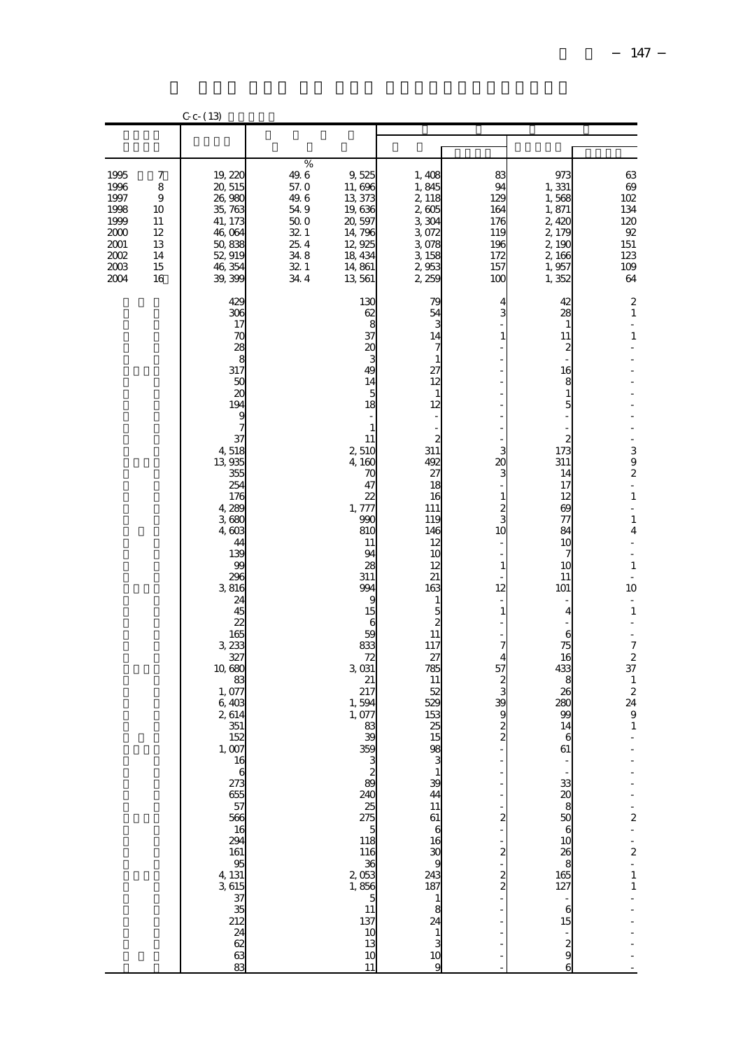|                                                                                                                                           | $C - (13)$                                                                                                                                                                                                                                                                                                                                                                                                                                                                  |                                                                                    |                                                                                                                                                                                                                                                                                                                                                                                                                       |                                                                                                                                                                                                                                                                                                                                                                                                                         |                                                                                                                                                                                                                                                                        |                                                                                                                                                                                                                                                                                                                                 |                                                                                                                                                                                                                                                                                                                                                                                                                                                                                                                                                                              |
|-------------------------------------------------------------------------------------------------------------------------------------------|-----------------------------------------------------------------------------------------------------------------------------------------------------------------------------------------------------------------------------------------------------------------------------------------------------------------------------------------------------------------------------------------------------------------------------------------------------------------------------|------------------------------------------------------------------------------------|-----------------------------------------------------------------------------------------------------------------------------------------------------------------------------------------------------------------------------------------------------------------------------------------------------------------------------------------------------------------------------------------------------------------------|-------------------------------------------------------------------------------------------------------------------------------------------------------------------------------------------------------------------------------------------------------------------------------------------------------------------------------------------------------------------------------------------------------------------------|------------------------------------------------------------------------------------------------------------------------------------------------------------------------------------------------------------------------------------------------------------------------|---------------------------------------------------------------------------------------------------------------------------------------------------------------------------------------------------------------------------------------------------------------------------------------------------------------------------------|------------------------------------------------------------------------------------------------------------------------------------------------------------------------------------------------------------------------------------------------------------------------------------------------------------------------------------------------------------------------------------------------------------------------------------------------------------------------------------------------------------------------------------------------------------------------------|
|                                                                                                                                           |                                                                                                                                                                                                                                                                                                                                                                                                                                                                             |                                                                                    |                                                                                                                                                                                                                                                                                                                                                                                                                       |                                                                                                                                                                                                                                                                                                                                                                                                                         |                                                                                                                                                                                                                                                                        |                                                                                                                                                                                                                                                                                                                                 |                                                                                                                                                                                                                                                                                                                                                                                                                                                                                                                                                                              |
| 1995<br>7<br>1996<br>8<br>1997<br>9<br>1998<br>10<br>1999<br>11<br>2000<br>12<br>2001<br>13<br>2002<br>14<br>$2003\,$<br>15<br>2004<br>16 | 19, 220<br>20, 515<br>26,980<br>35, 763<br>41, 173<br>46,064<br>50, 838<br>52, 919<br>46, 354<br>39, 399                                                                                                                                                                                                                                                                                                                                                                    | %<br>49.6<br>57.0<br>49.6<br>54.9<br>50. O<br>32.1<br>25.4<br>34.8<br>32.1<br>34.4 | 9,525<br>11,696<br>13, 373<br>19,636<br>20, 597<br>14,796<br>12, 925<br>18, 434<br>14,861<br>13,561                                                                                                                                                                                                                                                                                                                   | 1,408<br>1,845<br>2, 118<br>2,605<br>3,304<br>3,072<br>3,078<br>3, 158<br>2,953<br>2, 259                                                                                                                                                                                                                                                                                                                               | 83<br>94<br>129<br>164<br>176<br>119<br>196<br>172<br>157<br>100                                                                                                                                                                                                       | 973<br>1,331<br>1,568<br>1,871<br>2,420<br>2, 179<br>2, 190<br>2,166<br>1,957<br>1,352                                                                                                                                                                                                                                          | 63<br>69<br>102<br>134<br>120<br>92<br>151<br>123<br>109<br>64                                                                                                                                                                                                                                                                                                                                                                                                                                                                                                               |
|                                                                                                                                           | 429<br>306<br>17<br>70<br>28<br>8<br>317<br>50<br>$\alpha$<br>194<br>9<br>7<br>37<br>4,518<br>13, 935<br>355<br>254<br>176<br>4,289<br>3,680<br>4,603<br>44<br>139<br>œ<br>296<br>3,816<br>24<br>45<br>22<br>165<br>3, 233<br>327<br>10,680<br>83<br>1,077<br>6,403<br>2,614<br>351<br>152<br>1,007<br>$\frac{16}{6}$<br>273<br>655<br>57<br>566<br>16<br>294<br>161<br>$95$<br>4, 131<br>3, 615<br>$\begin{array}{c} 37 \\ 35 \\ 212 \end{array}$<br>$\frac{24}{62}$<br>63 |                                                                                    | 13C<br>62<br>8<br>37<br>$\alpha$<br>3<br>49<br>14<br>5<br>18<br>$\mathbf{1}$<br>11<br>2510<br>4,160<br>70<br>47<br>22<br>1,777<br>990<br>81C<br>11<br>94<br>28<br>311<br>994<br>ξ<br>15<br>6<br>59<br>833<br>72<br>3,031<br>21<br>217<br>1,594<br>1,077<br>83<br>39<br>359<br>$rac{3}{89}$<br>240<br>25<br>275<br>$\frac{5}{118}$<br>$\frac{116}{36}$<br>2, 053<br>1, 856<br>$\frac{5}{11}$<br>137<br>$\frac{10}{13}$ | 79<br>54<br>3<br>14<br>7<br>1<br>27<br>12<br>$\mathbf{1}$<br>12<br>$\overline{c}$<br>311<br>492<br>27<br>18<br>16<br>111<br>119<br>146<br>12<br>10<br>12<br>21<br>163<br>1<br>5<br>2<br>11<br>117<br>27<br>785<br>11<br>52<br>529<br>153<br>25<br>15<br>98<br>$\frac{3}{1}$<br>39<br>44<br>11<br>$rac{61}{61}$<br>$30$<br>$9$<br>$243$<br>$187$<br>$\frac{1}{8}$<br>24<br>$\begin{array}{c}\n1 \\ 3 \\ 10\n\end{array}$ | 4<br>3<br>$\,1\,$<br>3<br>20<br>3<br>i,<br>$\,1\,$<br>$\frac{2}{3}$<br>10<br>Ĭ.<br>$\mathbf{1}$<br>12<br>$\overline{a}$<br>$\mathbf{1}$<br>7<br>4<br>57<br>$\frac{2}{3}$<br>39<br>$\frac{9}{2}$<br>$\overline{\mathbf{c}}$<br>$\overline{\mathbf{z}}$<br>$\frac{2}{2}$ | 42<br>28<br>$\mathbf{1}$<br>11<br>$\overline{\mathcal{Z}}$<br>16<br>$\frac{8}{1}$<br>5<br>$\overline{\mathcal{Z}}$<br>173<br>311<br>14<br>17<br>12<br>69<br>77<br>84<br>10<br>7<br>1 <sup>C</sup><br>11<br>101<br>4<br>6<br>75<br>16<br>433<br>8<br>26<br>280<br>99<br>14<br>6<br>61<br>1378 ක හි ප ග හි ක හි ය<br>137<br>$-28$ | $\mathbf 2$<br>$\mathbf{1}$<br>$\frac{1}{2}$<br>$\,1\,$<br>$\overline{a}$<br>$\overline{\phantom{0}}$<br>3<br>9<br>$\boldsymbol{2}$<br>$\frac{1}{2}$<br>$\,1$<br>$\overline{\phantom{m}}$<br>$\,1$<br>4<br>$\overline{a}$<br>÷,<br>$1\,$<br>$\overline{\phantom{a}}$<br>10<br>$\overline{\phantom{a}}$<br>$\mathbf{1}$<br>$\qquad \qquad -$<br>$\frac{1}{2}$<br>$\boldsymbol{7}$<br>$\boldsymbol{z}$<br>37<br>$\,1$<br>$\boldsymbol{2}$<br>24<br>$\overline{9}$<br>$1\,$<br>$\frac{1}{2}$<br>$\overline{a}$<br>÷<br>$\overline{\mathcal{L}}$<br>$\frac{1}{1}$<br>$\,$ 1 $\,$ |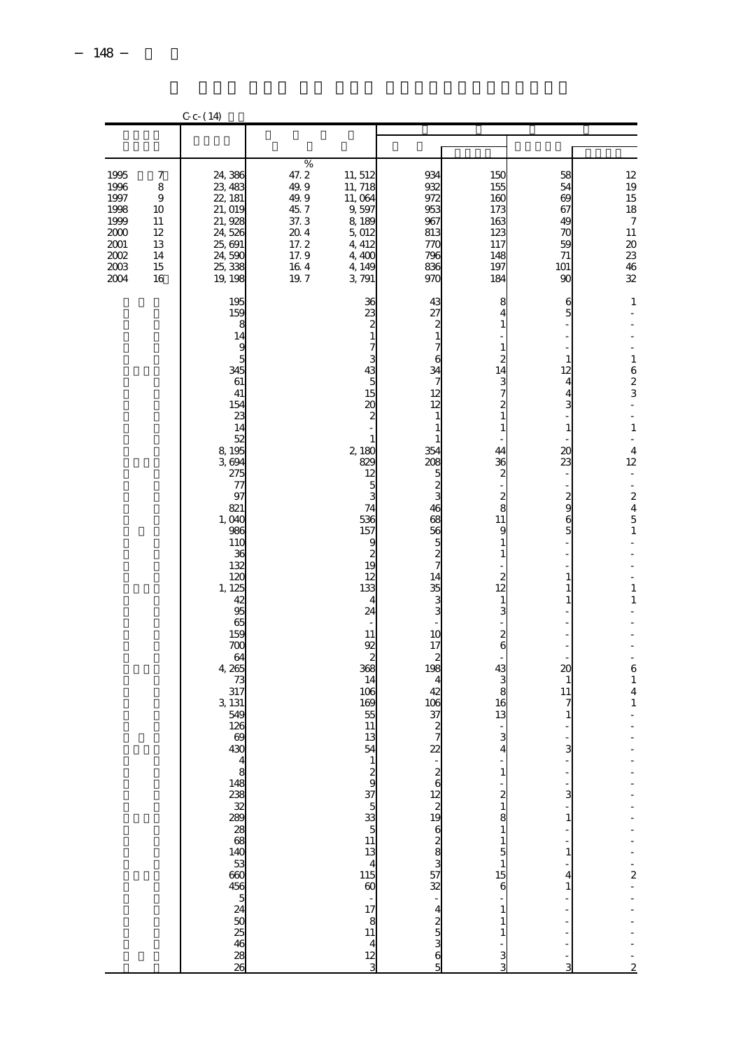|                                                                              |                                                                      | $C - (14)$                                                                                                                                                                                                                                                                                              |                                                                                      |                                                                                                                                                                                                                                                                                                                                                                              |                                                                                                                                                                                                                                                                                                                                                         |                                                                                                                                                                                                                                                                                                                                                                                                                                                        |                                                                                                                                                                                        |                                                                                                                                                                                                                                                                                                                       |
|------------------------------------------------------------------------------|----------------------------------------------------------------------|---------------------------------------------------------------------------------------------------------------------------------------------------------------------------------------------------------------------------------------------------------------------------------------------------------|--------------------------------------------------------------------------------------|------------------------------------------------------------------------------------------------------------------------------------------------------------------------------------------------------------------------------------------------------------------------------------------------------------------------------------------------------------------------------|---------------------------------------------------------------------------------------------------------------------------------------------------------------------------------------------------------------------------------------------------------------------------------------------------------------------------------------------------------|--------------------------------------------------------------------------------------------------------------------------------------------------------------------------------------------------------------------------------------------------------------------------------------------------------------------------------------------------------------------------------------------------------------------------------------------------------|----------------------------------------------------------------------------------------------------------------------------------------------------------------------------------------|-----------------------------------------------------------------------------------------------------------------------------------------------------------------------------------------------------------------------------------------------------------------------------------------------------------------------|
|                                                                              |                                                                      |                                                                                                                                                                                                                                                                                                         |                                                                                      |                                                                                                                                                                                                                                                                                                                                                                              |                                                                                                                                                                                                                                                                                                                                                         |                                                                                                                                                                                                                                                                                                                                                                                                                                                        |                                                                                                                                                                                        |                                                                                                                                                                                                                                                                                                                       |
| 1995<br>1996<br>1997<br>1998<br>1999<br>2000<br>2001<br>2002<br>2003<br>2004 | $\boldsymbol{7}$<br>8<br>9<br>10<br>11<br>12<br>13<br>14<br>15<br>16 | 24,386<br>23, 483<br>22, 181<br>21, 019<br>21, 928<br>24,526<br>25, 691<br>24,590<br>25, 338<br>19, 198                                                                                                                                                                                                 | %<br>47.2<br>49.9<br>49.9<br>45.7<br>37.3<br>$20\,4$<br>17.2<br>17.9<br>16.4<br>19.7 | 11, 512<br>11, 718<br>11,064<br>9,597<br>8,189<br>5, 012<br>4, 412<br>4,400<br>4,149<br>3,791                                                                                                                                                                                                                                                                                | 934<br>932<br>972<br>953<br>967<br>813<br>770<br>796<br>836<br>970                                                                                                                                                                                                                                                                                      | 150<br>155<br>160<br>173<br>163<br>123<br>117<br>148<br>197<br>184                                                                                                                                                                                                                                                                                                                                                                                     | 58<br>54<br>69<br>67<br>49<br>70<br>59<br>71<br>101<br>ዎ                                                                                                                               | 12<br>$\frac{19}{15}$<br>18<br>$\boldsymbol{7}$<br>$\frac{11}{20}$<br>23<br>46<br>32                                                                                                                                                                                                                                  |
|                                                                              |                                                                      | 195<br>159<br>8<br>14<br>9<br>5<br>345<br>61<br>41<br>154<br>23<br>14<br>52<br>8, 195<br>3,694<br>275<br>77<br>97<br>821<br>1,040<br>986<br>110<br>36<br>132<br>120<br>1, 125<br>42<br>95<br>65<br>159<br>700<br>64<br>4,265<br>73<br>317<br>3, 131<br>549<br>126<br>69<br>430<br>ຘຘຘຘຌຘຌຌຌຌຌຘຌຘຌຌຌຌຌຌຌ |                                                                                      | 36<br>23<br>$\frac{2}{1}$<br>$\frac{1}{15}$ as $\frac{1}{2}$<br>$\alpha$<br>$\overline{c}$<br>1<br>2,180<br>829<br>12<br>5<br>3<br>74<br>536<br>157<br>$\mathbf{g}$<br>$\overline{\mathcal{L}}$<br>19<br>12<br>133<br>4<br>24<br>11<br>92<br>$\overline{\mathcal{Z}}$<br>368<br>14<br>106<br>169<br>55<br>11<br>13<br>54<br>- ∞ ∞ 33 ∞ 3 ™ 5 ™ 5 ™ 5 ∞ 7 ™ 5 ∞ 7 ™ 6 ™ 5 ∞ 5 | 43<br>27<br>$\overline{\mathbf{z}}$<br>$\,1\,$<br>7<br>6<br>34<br>$\overline{\phantom{a}}$<br>12<br>12<br>$\mathbf{1}$<br>354<br>208<br>5<br>$\frac{2}{3}$<br>46<br>68<br>56<br>5<br>$\frac{2}{7}$<br>14<br>$\frac{35}{3}$<br>10<br>17<br>$\overline{\mathcal{Z}}$<br>198<br>4<br>42<br>106<br>37<br>$\boldsymbol{z}$<br>$\overline{\phantom{a}}$<br>22 | 8<br>4<br>1<br>$\mathbf{1}$<br>2<br>14<br>3<br>2<br>$\mathbf{1}$<br>1<br>44<br>36<br>$\overline{c}$<br>$\frac{2}{8}$<br>11<br>9<br>1<br>1<br>$\overline{\mathcal{Z}}$<br>12<br>1<br>3<br>$\overline{\mathcal{Z}}$<br>6<br>43<br>3<br>8<br>16<br>13<br>3<br>4<br>$\mathbf 1$<br>$\overline{c}$<br>$\mathbf{1}$<br>8<br>$\mathbf{1}$<br>$\mathbf{1}$<br>$\frac{5}{15}$<br>$\frac{1}{6}$<br>$\mathbf{1}$<br>$\mathbf{1}$<br>$\mathbf{1}$<br>$\frac{3}{3}$ | 6<br>5<br>1<br>12<br>4<br>4<br>3<br>1<br>20<br>23<br>$\frac{2}{9}$<br>6<br>5<br>1<br>1<br>$\mathbf{1}$<br>$\alpha$<br>1<br>11<br>7<br>$\mathbf{1}$<br>3<br>ł,<br>3<br>1<br>1<br>4<br>1 | 1<br>$\overline{\phantom{0}}$<br>$\,1$<br>$\begin{array}{c} 6 \\ 2 \\ 3 \end{array}$<br>÷<br>$\overline{a}$<br>$\,1\,$<br>4<br>12<br>$\overline{\phantom{a}}$<br>$-24$<br>$-31$<br>$\overline{a}$<br>i,<br>1<br>$\,1$<br>$\begin{array}{c} 6 \\ 1 \\ 4 \end{array}$<br>$\,$ 1 $\,$<br>$\frac{2}{1}$<br>$\overline{c}$ |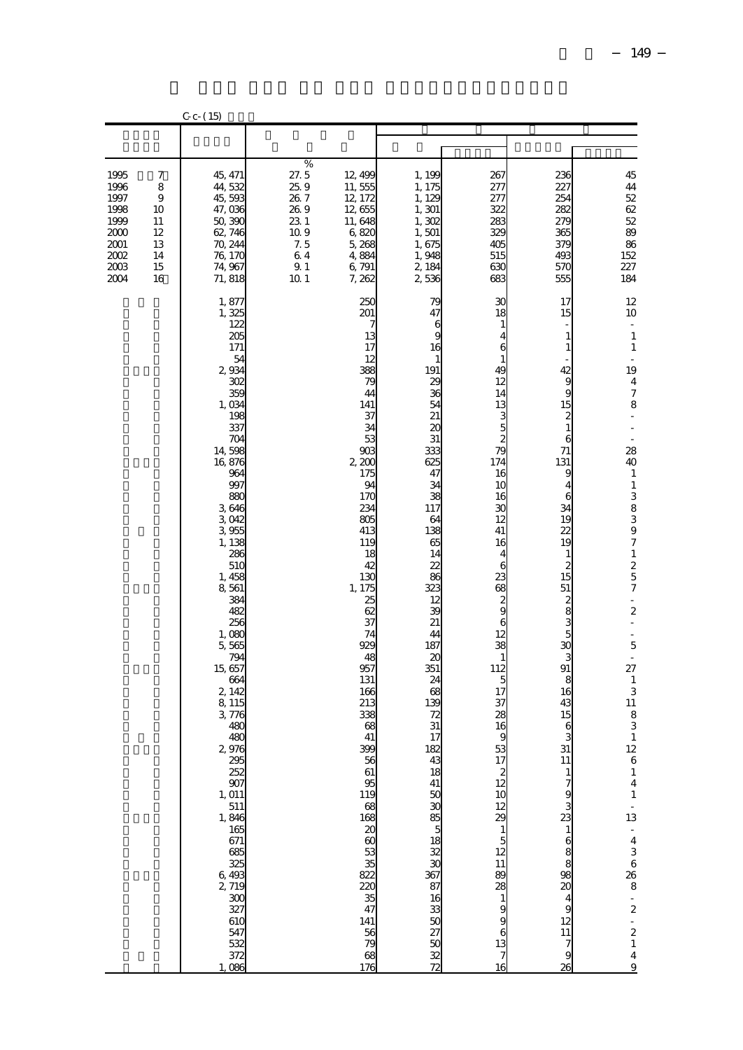|                                                                              |                                                       | $C - C - (15)$                                                                                                                                                                                                                                                                                                                                                                                                                                                                         |                                                                                           |                                                                                                                                                                                                                                                                                                                                                                                                          |                                                                                                                                                                                                                                                                                                                        |                                                                                                                                                                                                                                                                                                                                                                                                                                                                              |                                                                                                                                                                                                                                                                                                                                                                  |                                                                                                                                                                                                                                                                                                                                                                                                                                                                                                                                                                                                                                          |
|------------------------------------------------------------------------------|-------------------------------------------------------|----------------------------------------------------------------------------------------------------------------------------------------------------------------------------------------------------------------------------------------------------------------------------------------------------------------------------------------------------------------------------------------------------------------------------------------------------------------------------------------|-------------------------------------------------------------------------------------------|----------------------------------------------------------------------------------------------------------------------------------------------------------------------------------------------------------------------------------------------------------------------------------------------------------------------------------------------------------------------------------------------------------|------------------------------------------------------------------------------------------------------------------------------------------------------------------------------------------------------------------------------------------------------------------------------------------------------------------------|------------------------------------------------------------------------------------------------------------------------------------------------------------------------------------------------------------------------------------------------------------------------------------------------------------------------------------------------------------------------------------------------------------------------------------------------------------------------------|------------------------------------------------------------------------------------------------------------------------------------------------------------------------------------------------------------------------------------------------------------------------------------------------------------------------------------------------------------------|------------------------------------------------------------------------------------------------------------------------------------------------------------------------------------------------------------------------------------------------------------------------------------------------------------------------------------------------------------------------------------------------------------------------------------------------------------------------------------------------------------------------------------------------------------------------------------------------------------------------------------------|
|                                                                              |                                                       |                                                                                                                                                                                                                                                                                                                                                                                                                                                                                        |                                                                                           |                                                                                                                                                                                                                                                                                                                                                                                                          |                                                                                                                                                                                                                                                                                                                        |                                                                                                                                                                                                                                                                                                                                                                                                                                                                              |                                                                                                                                                                                                                                                                                                                                                                  |                                                                                                                                                                                                                                                                                                                                                                                                                                                                                                                                                                                                                                          |
| 1995<br>1996<br>1997<br>1998<br>1999<br>2000<br>2001<br>2002<br>2003<br>2004 | 7<br>8<br>9<br>10<br>11<br>12<br>13<br>14<br>15<br>16 | 45, 471<br>44,532<br>45,593<br>47,036<br>50,390<br>62, 746<br>70, 244<br>76, 170<br>74, 967<br>71,818                                                                                                                                                                                                                                                                                                                                                                                  | %<br>27.5<br>25.9<br>26.7<br>26.9<br>23 1<br>10.9<br>7.5<br>6.4<br>9.1<br>10 <sub>1</sub> | 12, 499<br>11,555<br>12, 172<br>12,655<br>11,648<br>6,820<br>5,268<br>4,884<br>6,791<br>7, 262                                                                                                                                                                                                                                                                                                           | 1, 199<br>1, 175<br>1, 129<br>1, 301<br>1,302<br>1,501<br>1,675<br>1,948<br>2, 184<br>2,536                                                                                                                                                                                                                            | 267<br>277<br>277<br>322<br>283<br>329<br>405<br>515<br>630<br>683                                                                                                                                                                                                                                                                                                                                                                                                           | 236<br>227<br>254<br>282<br>27 <sup>c</sup><br>365<br>37 <sub>C</sub><br>493<br>57C<br>555                                                                                                                                                                                                                                                                       | 45<br>$\bf 44$<br>52<br>$62\,$<br>52<br>89<br>86<br>152<br>227<br>184                                                                                                                                                                                                                                                                                                                                                                                                                                                                                                                                                                    |
|                                                                              |                                                       | 1,877<br>1,325<br>122<br>205<br>171<br>54<br>2,934<br>302<br>359<br>1,034<br>198<br>337<br>704<br>14,598<br>16,876<br>964<br>997<br>880<br>3,646<br>3,042<br>3,955<br>1, 138<br>286<br>51C<br>1,458<br>8,561<br>384<br>482<br>256<br>1,080<br>5,565<br>794<br>15, 657<br>664<br>2, 142<br>8 115<br>3,776<br>480<br>480<br>2,976<br>295<br>252<br>907<br>1, 011<br>511<br>1, 846<br>165<br>671<br>685<br>325<br>$6\frac{493}{2,719}$<br>300<br>327<br>610<br>547<br>532<br>372<br>1,086 |                                                                                           | 250<br>201<br>13<br>17<br>12<br>388<br>79<br>44<br>141<br>37<br>34<br>53<br>903<br>2,200<br>175<br>94<br>17C<br>234<br>805<br>413<br>119<br>18<br>42<br>130<br>1, 175<br>25<br>62<br>37<br>74<br>929<br>48<br>957<br>131<br>166<br>213<br>338<br>68<br>41<br>399<br>$\begin{array}{c} 56 \\ 61 \end{array}$<br>95<br>119<br>88888<br>53<br>35<br>822<br>$\frac{220}{35}$<br>141<br>56<br>79<br>68<br>176 | 79<br>47<br>6<br>9<br>16<br>1<br>191<br>29<br>36<br>54<br>21<br>20<br>31<br>333<br>625<br>47<br>34<br>38<br>117<br>64<br>138<br>65<br>14<br>22<br>86<br>323<br>12<br>39<br>21<br>44<br>187<br>20<br>351<br>24<br>68<br>139<br>72<br>31<br>17<br>182<br>43<br>18<br>41<br>338833<br>$\frac{38}{87}$<br>1633933938<br>72 | 30<br>18<br>$\mathbf{1}$<br>4<br>6<br>$\mathbf{1}$<br>49<br>12<br>14<br>13<br>$\frac{3}{79}$<br>174<br>16<br>10<br>16<br>30<br>12<br>41<br>16<br>4<br>6<br>23<br>68<br>$\frac{2}{9}$<br>6<br>12<br>38<br>$\,1\,$<br>112<br>5<br>17<br>37<br>28<br>16<br>9<br>53<br>$\begin{array}{c} 17 \\ 2 \\ 12 \end{array}$<br>$\frac{10}{12}$<br>$\frac{1}{5}$<br>12<br>$\frac{11}{88}$<br>$\begin{array}{c}\n1 \\ 9 \\ 6 \\ 13\n\end{array}$<br>$\begin{array}{c} 7 \\ 16 \end{array}$ | 17<br>15<br>$\mathbf{1}$<br>$\mathbf{1}$<br>42<br>9<br>9<br>15<br>$\frac{2}{1}$<br>6<br>71<br>131<br>9<br>$\overline{4}$<br>6<br>34<br>19<br>$\overline{2}$<br>19<br>$\mathbf{1}$<br>$\overline{\mathcal{Z}}$<br>15<br>51<br>ပ္ပ္လား တာ<br>$\mathfrak{A}$<br>3<br>91<br>8<br>16<br>43<br>15<br>6<br>3<br>31<br>$\begin{array}{c} 11 \\ 7 \\ 9 \end{array}$<br>26 | 12<br>$10\,$<br>$\overline{\phantom{a}}$<br>$\mathbf{1}$<br>$\mathbf{1}$<br>$\overline{\phantom{a}}$<br>19<br>$\frac{4}{7}$<br>8<br>$\overline{a}$<br>28<br>40<br>$\,1\,$<br>$\,1$<br>38397<br>$\mathbf{1}$<br>$\begin{array}{c} 2 \\ 5 \\ 7 \end{array}$<br>$\frac{1}{2}$<br>$\boldsymbol{z}$<br>$\frac{1}{2}$<br>$\overline{\phantom{a}}$<br>5<br>$\overline{\phantom{a}}$<br>27<br>$\mathbf{1}$<br>$\ensuremath{\mathsf{3}}$<br>11<br>$\begin{array}{c} 8 \\ 3 \end{array}$<br>$1\,$<br>12<br>$\begin{array}{c} 6 \\ 1 \\ 4 \\ 1 \end{array}$<br>$\frac{1}{13}$<br>$-4$ 3 6 26 8<br>$-2$<br>$-2$<br>$1$<br>$\bf{4}$<br>$\overline{9}$ |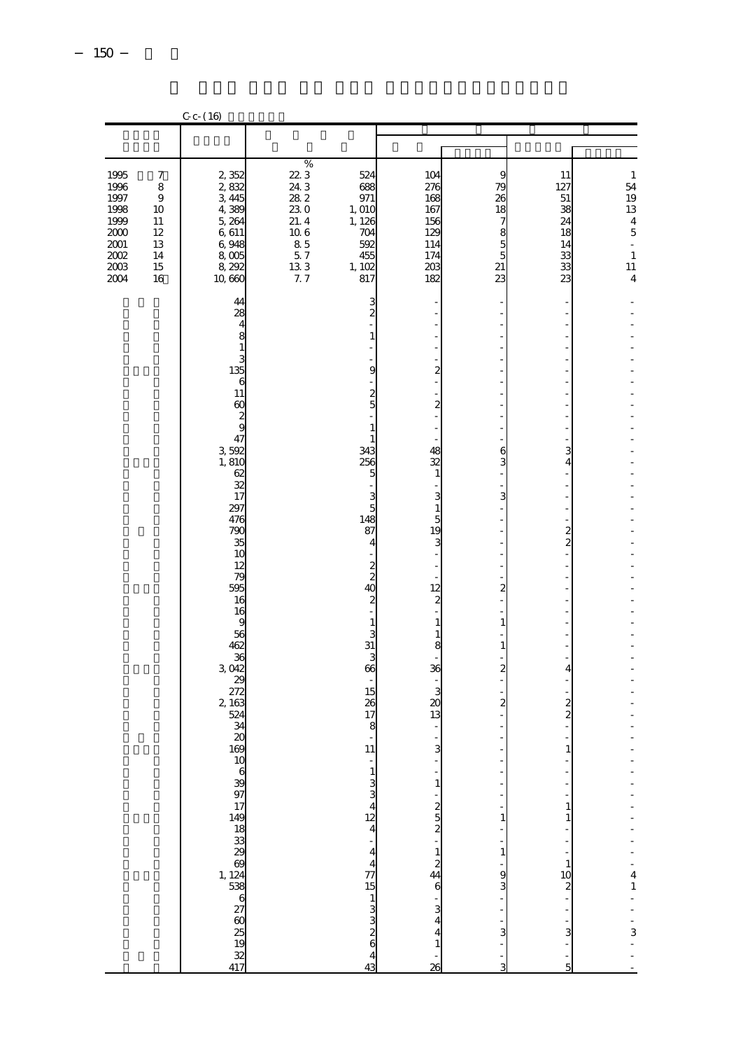|                                                                                          |                                                                                     | $C_{c}$ (16)                                                                                                                                                                                                                                                                                  |                                                                                                 |                                                                                                                                                                                                                                                   |                                                                                                                                                                                                                                    |                                                         |                                                                    |                                                                                                          |
|------------------------------------------------------------------------------------------|-------------------------------------------------------------------------------------|-----------------------------------------------------------------------------------------------------------------------------------------------------------------------------------------------------------------------------------------------------------------------------------------------|-------------------------------------------------------------------------------------------------|---------------------------------------------------------------------------------------------------------------------------------------------------------------------------------------------------------------------------------------------------|------------------------------------------------------------------------------------------------------------------------------------------------------------------------------------------------------------------------------------|---------------------------------------------------------|--------------------------------------------------------------------|----------------------------------------------------------------------------------------------------------|
|                                                                                          |                                                                                     |                                                                                                                                                                                                                                                                                               |                                                                                                 |                                                                                                                                                                                                                                                   |                                                                                                                                                                                                                                    |                                                         |                                                                    |                                                                                                          |
| 1995<br>1996<br>1997<br>1998<br>1999<br>$2000\,$<br>2001<br>$2002\,$<br>$2003\,$<br>2004 | $\boldsymbol{7}$<br>8<br>$\boldsymbol{9}$<br>10<br>11<br>12<br>13<br>14<br>15<br>16 | 2,352<br>2,832<br>3, 445<br>4,389<br>5, 264<br>6,611<br>6,948<br>8,005<br>8, 292<br>10,660                                                                                                                                                                                                    | $\%$<br>22 3<br>24.3<br>28.2<br>230<br>21.4<br>10 <sub>6</sub><br>$\frac{85}{57}$<br>133<br>7.7 | 524<br>688<br>971<br>1, 010<br>1, 126<br>704<br>592<br>455<br>1, 102<br>817                                                                                                                                                                       | 104<br>276<br>168<br>167<br>156<br>129<br>114<br>174<br>203<br>182                                                                                                                                                                 | 9<br>79<br>26<br>18<br>7<br>8<br>5<br>5<br>$21\,$<br>23 | 11<br>127<br>51<br>38<br>24<br>18<br>14<br>33<br>33<br>23          | 1<br>54<br>$\frac{19}{13}$<br>$\overline{\mathbf{4}}$<br>$\overline{5}$<br>÷,<br>$\mathbf{1}$<br>11<br>4 |
|                                                                                          |                                                                                     | 44<br>28<br>4<br>8<br>$1\,$<br>3<br>135<br>$\epsilon$<br>11<br>60<br>$\overline{\mathbf{c}}$<br>9<br>47<br>3,592<br>1,810<br>62<br>32<br>17<br>297<br>476<br>790<br>35<br>10<br>12<br>79<br>595<br>16<br>16<br>9<br>56<br>462<br>36<br>3,042<br>29<br>272<br>2, 163<br>524<br>34<br>20<br>169 |                                                                                                 | 3<br>$\overline{\mathcal{Z}}$<br>1<br>9<br>$\frac{2}{5}$<br>1<br>1<br>343<br>256<br>5<br>3<br>5<br>148<br>87<br>4<br>$\frac{2}{2}$<br>4C<br>$\mathbf{z}$<br>1<br>3<br>31<br>3<br>66<br>15<br>26<br>17<br>8<br>11<br>$\mathbf{1}$<br>$\frac{3}{4}$ | $\overline{\mathbf{c}}$<br>$\overline{\mathcal{Z}}$<br>48<br>32<br>$\mathbf{1}$<br>3<br>$\mathbf{1}$<br>5<br>19<br>3<br>12<br>$\overline{\mathcal{Z}}$<br>$\mathbf{1}$<br>1<br>8<br>36<br>3<br>$\alpha$<br>13<br>3<br>$\mathbf{1}$ | 6<br>3<br>3<br>2<br>1<br>1<br>2<br>$\overline{c}$<br>1  | 3<br>4<br>$\frac{2}{2}$<br>4<br>$\frac{2}{2}$<br>1<br>$\mathbf{1}$ |                                                                                                          |
|                                                                                          |                                                                                     | 10 6 39 77 149 18 33 29 69 24 23 86 27 60 25 19 32 41 7                                                                                                                                                                                                                                       |                                                                                                 | $\begin{bmatrix} 12 \\ 4 \\ -1 \end{bmatrix}$<br>$4477$<br>$151$<br>$332$<br>$826$<br>$4$<br>43                                                                                                                                                   | $\frac{2}{2}$<br>$\mathbf{1}$<br>$rac{2}{44}$<br>3<br>4<br>4<br>$\mathbf{1}$<br>26                                                                                                                                                 | 1<br>9<br>3<br>3<br>3                                   | 1<br>$\mathbf{1}$<br>10<br>$\overline{\mathcal{Z}}$<br>3<br>5      | 4<br>$\mathbf{1}$<br>$\frac{3}{1}$                                                                       |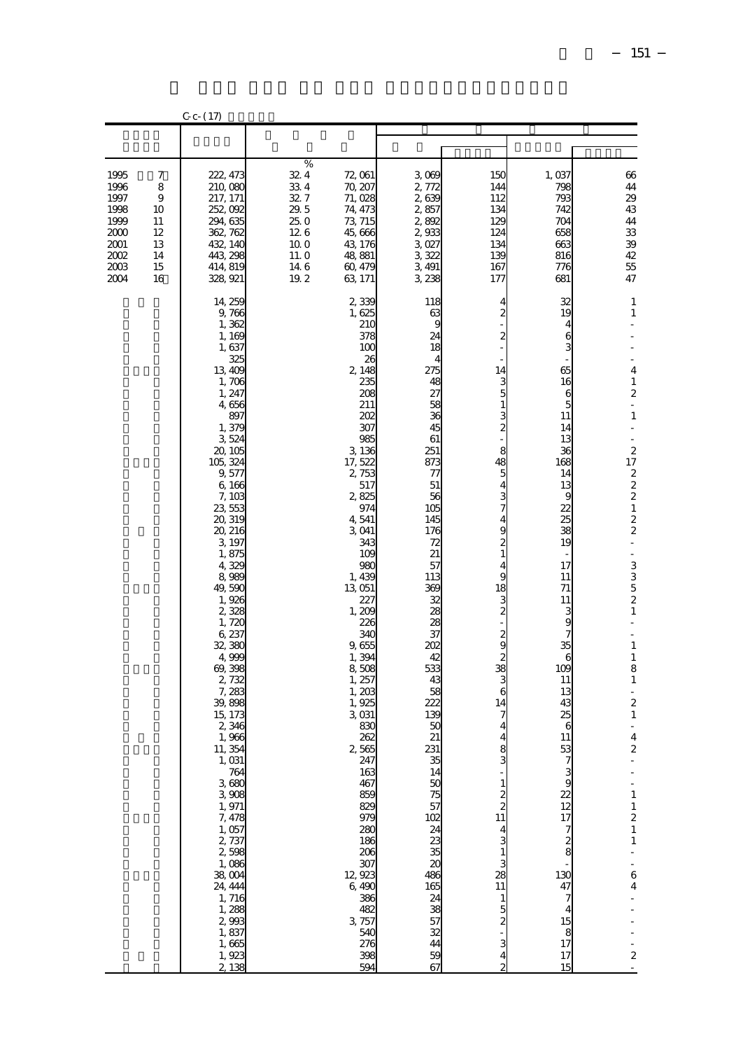|                                                                              |                                                       | $C - C - (17)$                                                                                                                                                                                                                                                                                                                                                                                                                                                                                                                                                                         |                                                                                  |                                                                                                                                                                                                                                                                                                                                                                                                                                                                                 |                                                                                                                                                                                                                                                                                                                                                                                                                      |                                                                                                                                                                                                                                                                                                                                                                                                                                                                                                                     |                                                                                                                                                                                                                                                                                                                                                                                                                                                         |                                                                                                                                                                                                                                                                                                                                                                                                                                                                                                                                                                                                                                                                                                                                            |
|------------------------------------------------------------------------------|-------------------------------------------------------|----------------------------------------------------------------------------------------------------------------------------------------------------------------------------------------------------------------------------------------------------------------------------------------------------------------------------------------------------------------------------------------------------------------------------------------------------------------------------------------------------------------------------------------------------------------------------------------|----------------------------------------------------------------------------------|---------------------------------------------------------------------------------------------------------------------------------------------------------------------------------------------------------------------------------------------------------------------------------------------------------------------------------------------------------------------------------------------------------------------------------------------------------------------------------|----------------------------------------------------------------------------------------------------------------------------------------------------------------------------------------------------------------------------------------------------------------------------------------------------------------------------------------------------------------------------------------------------------------------|---------------------------------------------------------------------------------------------------------------------------------------------------------------------------------------------------------------------------------------------------------------------------------------------------------------------------------------------------------------------------------------------------------------------------------------------------------------------------------------------------------------------|---------------------------------------------------------------------------------------------------------------------------------------------------------------------------------------------------------------------------------------------------------------------------------------------------------------------------------------------------------------------------------------------------------------------------------------------------------|--------------------------------------------------------------------------------------------------------------------------------------------------------------------------------------------------------------------------------------------------------------------------------------------------------------------------------------------------------------------------------------------------------------------------------------------------------------------------------------------------------------------------------------------------------------------------------------------------------------------------------------------------------------------------------------------------------------------------------------------|
|                                                                              |                                                       |                                                                                                                                                                                                                                                                                                                                                                                                                                                                                                                                                                                        |                                                                                  |                                                                                                                                                                                                                                                                                                                                                                                                                                                                                 |                                                                                                                                                                                                                                                                                                                                                                                                                      |                                                                                                                                                                                                                                                                                                                                                                                                                                                                                                                     |                                                                                                                                                                                                                                                                                                                                                                                                                                                         |                                                                                                                                                                                                                                                                                                                                                                                                                                                                                                                                                                                                                                                                                                                                            |
| 1995<br>1996<br>1997<br>1998<br>1999<br>2000<br>2001<br>2002<br>2003<br>2004 | 7<br>8<br>9<br>10<br>11<br>12<br>13<br>14<br>15<br>16 | 222, 473<br>210,080<br>217, 171<br>252,092<br>294, 635<br>362, 762<br>432, 140<br>443, 298<br>414, 819<br>328, 921                                                                                                                                                                                                                                                                                                                                                                                                                                                                     | %<br>32.4<br>334<br>32.7<br>29.5<br>25.0<br>126<br>10 0<br>11. O<br>14 6<br>19.2 | 72, 061<br>70, 207<br>71,028<br>74, 473<br>73, 715<br>45,666<br>43, 176<br>48, 881<br>60, 479<br>63, 171                                                                                                                                                                                                                                                                                                                                                                        | 3,069<br>2,772<br>2,639<br>2,857<br>2,892<br>2,933<br>3,027<br>3,322<br>3, 491<br>3,238                                                                                                                                                                                                                                                                                                                              | 150<br>144<br>112<br>134<br>129<br>124<br>134<br>139<br>167<br>177                                                                                                                                                                                                                                                                                                                                                                                                                                                  | 1,037<br>798<br>793<br>742<br>704<br>658<br>663<br>816<br>776<br>681                                                                                                                                                                                                                                                                                                                                                                                    | 66<br>$\bf 44$<br>29<br>43<br>44<br>33<br>39<br>42<br>55<br>47                                                                                                                                                                                                                                                                                                                                                                                                                                                                                                                                                                                                                                                                             |
|                                                                              |                                                       | 14, 259<br>9,766<br>1,362<br>1,169<br>1,637<br>325<br>13, 409<br>1,706<br>1, 247<br>4,656<br>897<br>1,379<br>3,524<br>20, 105<br>105, 324<br>9,577<br>6,166<br>7,103<br>23, 553<br>20, 319<br>20, 216<br>3, 197<br>1,875<br>4,329<br>8,989<br>49,590<br>1,926<br>2,328<br>1,720<br>6,237<br>32, 380<br>4,999<br>69,398<br>2,732<br>7,283<br>39,898<br>15, 173<br>2,346<br>1,966<br>11, 354<br>1,031<br>$764$<br>3,680<br>3,908<br>1,971<br>7, 478<br>$\frac{1}{2}$ , 057<br>2,598<br>$1,086$<br>38,004<br>24, 444<br>$1, 716$<br>$1, 288$<br>2,993<br>1,837<br>1,665<br>1,923<br>2,138 |                                                                                  | 2,339<br>1,625<br>210<br>378<br>100<br>26<br>2, 148<br>235<br>208<br>211<br>202<br>307<br>985<br>3, 136<br>17,522<br>2,753<br>517<br>2,825<br>974<br>4,541<br>3,041<br>343<br>109<br>980<br>1,439<br>13,051<br>227<br>1,209<br>226<br>34C<br>9,655<br>1,394<br>8,508<br>1, 257<br>1,203<br>1,925<br>3,031<br>830<br>262<br>2,565<br>247<br>163<br>467<br>859<br>829<br>979<br>280<br>186<br>206<br>$\frac{307}{12}$<br>6,490<br>386<br>482<br>3,757<br>540<br>276<br>398<br>594 | 118<br>63<br>9<br>24<br>18<br>4<br>275<br>48<br>27<br>58<br>36<br>45<br>61<br>251<br>873<br>77<br>51<br>56<br>105<br>145<br>176<br>72<br>21<br>57<br>113<br>369<br>32<br>$\mathcal{Z}\!\mathcal{E}$<br>28<br>37<br>202<br>42<br>533<br>43<br>58<br>222<br>139<br>50<br>21<br>231<br>35<br>14<br>50<br>$75$<br>$57$<br>102<br>$24$<br>$35$<br>$\overline{20}$<br>486<br>165<br>24<br>38<br>57<br>32<br>44<br>59<br>67 | 4<br>$\overline{c}$<br>$\overline{\mathcal{Z}}$<br>14<br>$\frac{3}{5}$<br>$\mathbf{1}$<br>$\frac{3}{2}$<br>8<br>48<br>5<br>$\overline{4}$<br>$\frac{3}{7}$<br>4<br>9<br>$\frac{2}{1}$<br>4<br>9<br>18<br>$\frac{3}{2}$<br>$\frac{2}{9}$<br>$\overline{\mathcal{Z}}$<br>$\begin{array}{c} 38 \\ 3 \\ 6 \end{array}$<br>14<br>$\boldsymbol{7}$<br>$\overline{4}$<br>4<br>8<br>$\mathbf{1}$<br>$\frac{2}{2}$<br>11<br>4<br>3<br>$\,1\,$<br>3<br>28<br>11<br>$\,1\,$<br>5<br>2<br>3<br>$\overline{4}$<br>$\overline{c}$ | 32<br>19<br>4<br>$\frac{6}{3}$<br>65<br>16<br>$\begin{array}{c} 6 \\ 5 \end{array}$<br>11<br>14<br>13<br>36<br>168<br>14<br>13<br>ĉ<br>22<br>25<br>38<br>19<br>17<br>11<br>71<br>11<br>$\frac{3}{9}$<br>7<br>35<br>6<br>109<br>11<br>13<br>43<br>25<br>6<br>11<br>53<br>$\frac{3}{9}$<br>$\frac{2}{2}$<br>17<br>$\begin{array}{c} 7 \\ 2 \\ 8 \end{array}$<br>130<br>47<br>$\boldsymbol{7}$<br>$\begin{array}{c} 15 \\ 8 \\ 17 \end{array}$<br>17<br>15 | 1<br>$\,1\,$<br>$\overline{a}$<br>÷<br>4<br>$\,1$<br>$\overline{\mathcal{L}}$<br>÷<br>$\,1$<br>$\frac{1}{2}$<br>$\overline{\phantom{a}}$<br>$\overline{\mathbf{c}}$<br>17<br>$\begin{array}{c}\n2 \\ 2 \\ 2 \\ 1\n\end{array}$<br>$\frac{2}{2}$<br>$\frac{1}{2}$<br>$\frac{1}{2}$<br>$\begin{array}{c} 3 \\ 3 \\ 5 \\ 2 \end{array}$<br>$\mathbf{1}$<br>L,<br>$\frac{1}{2}$<br>$\,1$<br>$\,1$<br>8<br>$\,1$<br>$\overline{\phantom{a}}$<br>$\boldsymbol{2}$<br>$1\,$<br>$\overline{a}$<br>$\sqrt{4}$<br>$\overline{\mathbf{c}}$<br>$\begin{array}{c} 1 \\ 1 \\ 2 \\ 1 \end{array}$<br>$\,1$<br>$\overline{\phantom{a}}$<br>$\overline{6}$<br>$\overline{\mathbf{4}}$<br>$\overline{a}$<br>$\qquad \qquad \blacksquare$<br>$\boldsymbol{2}$ |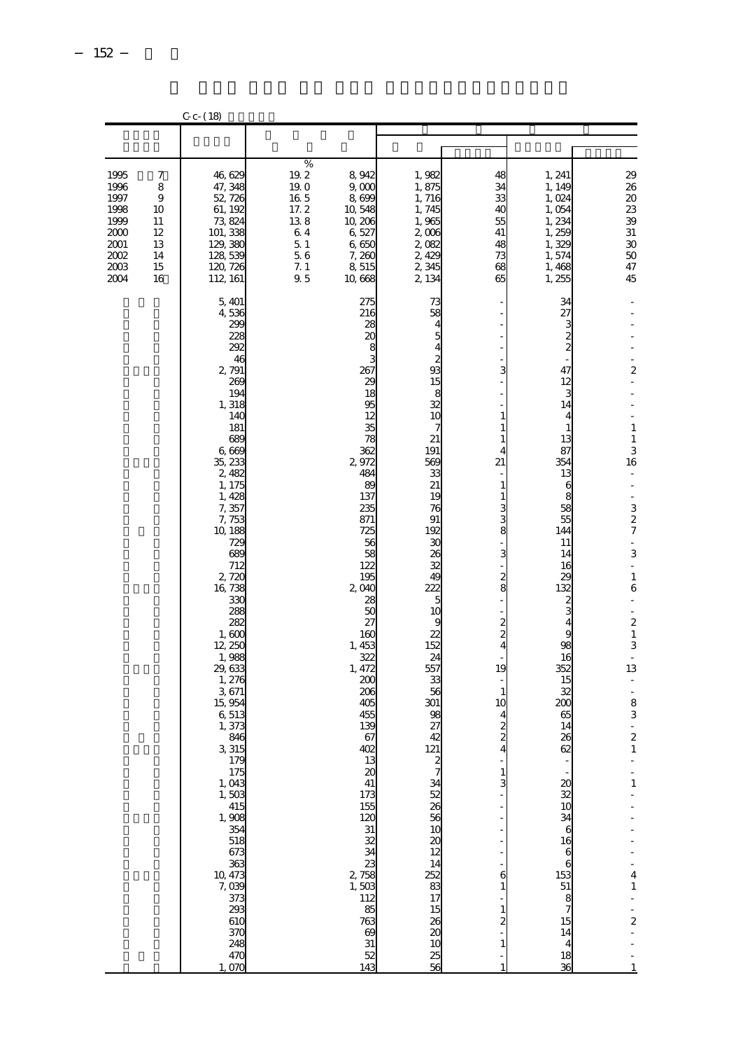|                                                                              |                                                       | $C - (18)$                                                                                                                                                                                                                                                                                                                                                                                                                                                                                                            |                                                                                    |                                                                                                                                                                                                                                                                                                                                                                                                               |                                                                                                                                                                                                                                                                                                                                                    |                                                                                                                                                                                                                                                                                                                                           |                                                                                                                                                                                                                                                                                                                                                                                                                                     |                                                                                                                                                                                                                                                                                                                                                                                                                                                                                                              |
|------------------------------------------------------------------------------|-------------------------------------------------------|-----------------------------------------------------------------------------------------------------------------------------------------------------------------------------------------------------------------------------------------------------------------------------------------------------------------------------------------------------------------------------------------------------------------------------------------------------------------------------------------------------------------------|------------------------------------------------------------------------------------|---------------------------------------------------------------------------------------------------------------------------------------------------------------------------------------------------------------------------------------------------------------------------------------------------------------------------------------------------------------------------------------------------------------|----------------------------------------------------------------------------------------------------------------------------------------------------------------------------------------------------------------------------------------------------------------------------------------------------------------------------------------------------|-------------------------------------------------------------------------------------------------------------------------------------------------------------------------------------------------------------------------------------------------------------------------------------------------------------------------------------------|-------------------------------------------------------------------------------------------------------------------------------------------------------------------------------------------------------------------------------------------------------------------------------------------------------------------------------------------------------------------------------------------------------------------------------------|--------------------------------------------------------------------------------------------------------------------------------------------------------------------------------------------------------------------------------------------------------------------------------------------------------------------------------------------------------------------------------------------------------------------------------------------------------------------------------------------------------------|
|                                                                              |                                                       |                                                                                                                                                                                                                                                                                                                                                                                                                                                                                                                       |                                                                                    |                                                                                                                                                                                                                                                                                                                                                                                                               |                                                                                                                                                                                                                                                                                                                                                    |                                                                                                                                                                                                                                                                                                                                           |                                                                                                                                                                                                                                                                                                                                                                                                                                     |                                                                                                                                                                                                                                                                                                                                                                                                                                                                                                              |
| 1995<br>1996<br>1997<br>1998<br>1999<br>2000<br>2001<br>2002<br>2003<br>2004 | 7<br>8<br>9<br>10<br>11<br>12<br>13<br>14<br>15<br>16 | 46,629<br>47, 348<br>52, 726<br>61, 192<br>73, 824<br>101, 338<br>129, 380<br>128, 539<br>120, 726<br>112, 161                                                                                                                                                                                                                                                                                                                                                                                                        | %<br>19.2<br>19.0<br>$16\ 5$<br>17.2<br>138<br>6.4<br>5.1<br>$5.6\,$<br>7.1<br>9.5 | 8,942<br>9,000<br>8,699<br>10, 548<br>10, 206<br>6,527<br>6,650<br>7,260<br>8,515<br>10,668                                                                                                                                                                                                                                                                                                                   | 1,982<br>1,875<br>1,716<br>1,745<br>1,965<br>2,006<br>2,082<br>2,429<br>2,345<br>2, 134                                                                                                                                                                                                                                                            | 48<br>34<br>33<br>40<br>55<br>41<br>48<br>73<br>68<br>65                                                                                                                                                                                                                                                                                  | 1, 241<br>1, 149<br>1,024<br>1,054<br>1,234<br>1,259<br>1,329<br>1,574<br>1,468<br>1,255                                                                                                                                                                                                                                                                                                                                            | 29<br>26<br>$20\,$<br>23<br>39<br>31<br>30<br>50<br>47<br>45                                                                                                                                                                                                                                                                                                                                                                                                                                                 |
|                                                                              |                                                       | 5,401<br>4,536<br>299<br>228<br>292<br>46<br>2,791<br>269<br>194<br>1,318<br>140<br>181<br>689<br>6,669<br>35, 233<br>2,482<br>1, 175<br>1, 428<br>7,357<br>7,753<br>10, 188<br>720<br>689<br>712<br>2,720<br>16, 738<br>330<br>288<br>282<br>1,600<br>12, 250<br>1,988<br>29, 633<br>1,276<br>3,671<br>15,954<br>6,513<br>1,373<br>846<br>3,315<br>179<br>175<br>1,043<br>1, 503<br>1, 503<br>1, 908<br>354<br>510<br>518<br>673<br>$\frac{363}{10}$<br>7,039<br>373<br>293<br>610<br>370<br>248<br>470<br>O7C<br>1. |                                                                                    | 275<br>216<br>28<br>$\alpha$<br>8<br>267<br>29<br>18<br>95<br>12<br>35<br>78<br>362<br>2972<br>484<br>8C<br>137<br>235<br>871<br>725<br>56<br>58<br>122<br>195<br>2,04C<br>28<br>50<br>27<br>16C<br>1, 453<br>322<br>1, 472<br>200<br>206<br>405<br>455<br>139<br>67<br>402<br>13<br>$\alpha$<br>41<br>173<br>155<br>$\frac{120}{31}$<br>34<br>$2780$<br>$1,503$<br>112<br>85<br>763<br>69<br>31<br>52<br>143 | 73<br>58<br>4<br>5<br>4<br>2<br>93<br>15<br>8<br>32<br>10<br>7<br>21<br>191<br>569<br>33<br>21<br>19<br>76<br>91<br>192<br>ЗС<br>26<br>32<br>49<br>222<br>5<br>10<br>g<br>22<br>152<br>24<br>557<br>33<br>56<br>301<br>98<br>27<br>42<br>121<br>$\frac{2}{7}$<br>$\frac{1}{2}$ 888882<br>14<br>252<br>83<br>17<br>15<br>26<br>20<br>10<br>25<br>56 | 3<br>$\mathbf{1}$<br>1<br>1<br>4<br>21<br>$\mathbf{1}$<br>1<br>3<br>3<br>8<br>3<br>$\mathbf{z}$<br>8<br>$\frac{2}{2}$<br>$\overline{4}$<br>19<br>$\mathbf{1}$<br>10<br>$\overline{\mathcal{Z}}$<br>$\overline{\mathbf{z}}$<br>4<br>$\mathbf{1}$<br>3<br>6<br>$\mathbf{1}$<br>$\mathbf{1}$<br>$\overline{\mathbf{z}}$<br>$\mathbf{1}$<br>1 | 34<br>27<br>З<br>$\frac{2}{2}$<br>47<br>12<br>3<br>14<br>4<br>1<br>13<br>87<br>354<br>13<br>6<br>8<br>58<br>55<br>144<br>11<br>14<br>16<br>29<br>132<br>$\mathbf{z}$<br>3<br>4<br>9<br>98<br>16<br>352<br>15<br>32<br>200<br>65<br>14<br>26<br>62<br>$\infty$<br>$\overline{32}$<br>10<br>34<br>6<br>16<br>6<br>6<br>$\begin{array}{c} 153 \\ 51 \end{array}$<br>$\begin{array}{c} 8 \\ 7 \\ 15 \end{array}$<br>14<br>4<br>18<br>36 | $\overline{\mathbf{c}}$<br>$\overline{a}$<br>$\frac{1}{2}$<br>$\,1\,$<br>$\mathbf{1}$<br>3<br>16<br>$\qquad \qquad \blacksquare$<br>i,<br>÷,<br>$\begin{array}{c} 3 \\ 2 \\ 7 \end{array}$<br>÷,<br>3<br>$\frac{1}{2}$<br>$\,1\,$<br>6<br>$\frac{1}{2}$<br>$\frac{1}{2}$<br>$\,1\,$<br>3<br>$\frac{1}{2}$<br>13<br>$\frac{1}{2}$<br>$\frac{1}{2}$<br>$\frac{8}{3}$<br>$\overline{a}$<br>$\overline{\mathcal{L}}$<br>1<br>$\mathbf{1}$<br>4<br>$\mathbf 1$<br>$\frac{1}{2}$<br>$\overline{a}$<br>$\mathbf{1}$ |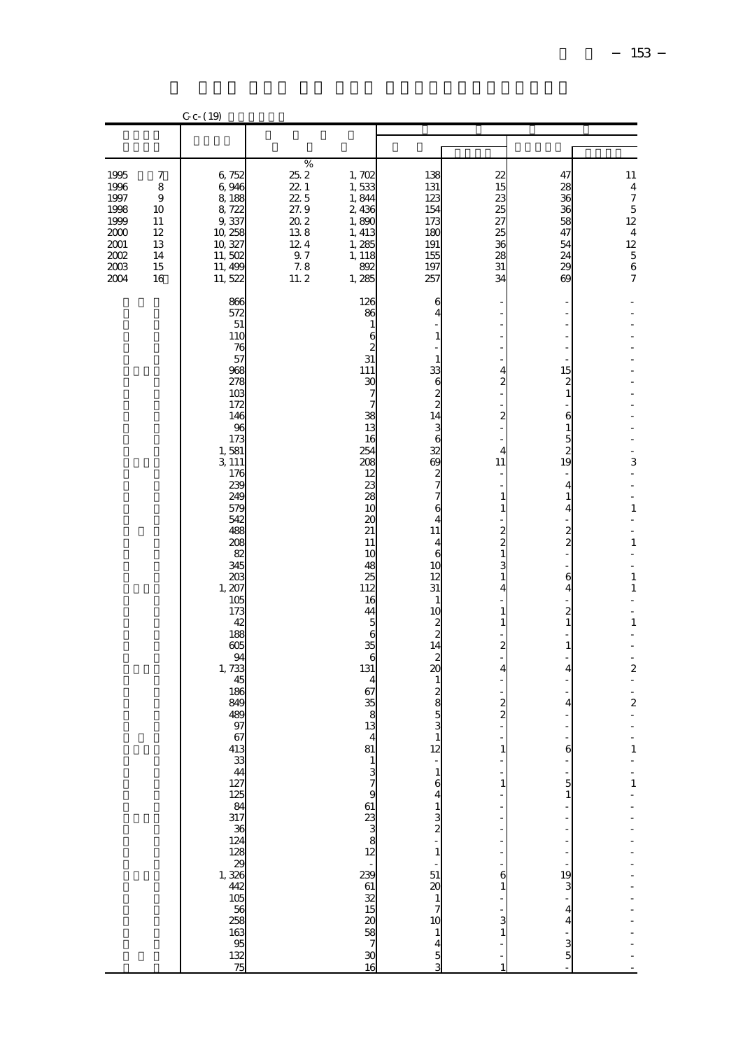|                                                                                             |                                                                      | $C - C - (19)$                                                                                                                                                                                                                                                                                                                                                                                                                                     |                                                                              |                                                                                                                                                                                                                                                                                                                                                               |                                                                                                                                                                                                                                                                                                                                                                                                |                                                                                                                                                                                                                                                                                                                                                                                                                                                                                                                 |                                                                                                                                                                                                                                                                                                                              |                                                                                                                                                                                                                                                                                                                                                                                                  |
|---------------------------------------------------------------------------------------------|----------------------------------------------------------------------|----------------------------------------------------------------------------------------------------------------------------------------------------------------------------------------------------------------------------------------------------------------------------------------------------------------------------------------------------------------------------------------------------------------------------------------------------|------------------------------------------------------------------------------|---------------------------------------------------------------------------------------------------------------------------------------------------------------------------------------------------------------------------------------------------------------------------------------------------------------------------------------------------------------|------------------------------------------------------------------------------------------------------------------------------------------------------------------------------------------------------------------------------------------------------------------------------------------------------------------------------------------------------------------------------------------------|-----------------------------------------------------------------------------------------------------------------------------------------------------------------------------------------------------------------------------------------------------------------------------------------------------------------------------------------------------------------------------------------------------------------------------------------------------------------------------------------------------------------|------------------------------------------------------------------------------------------------------------------------------------------------------------------------------------------------------------------------------------------------------------------------------------------------------------------------------|--------------------------------------------------------------------------------------------------------------------------------------------------------------------------------------------------------------------------------------------------------------------------------------------------------------------------------------------------------------------------------------------------|
|                                                                                             |                                                                      |                                                                                                                                                                                                                                                                                                                                                                                                                                                    |                                                                              |                                                                                                                                                                                                                                                                                                                                                               |                                                                                                                                                                                                                                                                                                                                                                                                |                                                                                                                                                                                                                                                                                                                                                                                                                                                                                                                 |                                                                                                                                                                                                                                                                                                                              |                                                                                                                                                                                                                                                                                                                                                                                                  |
| 1995<br>1996<br>1997<br>1998<br>1999<br>$2000\,$<br>$\frac{2001}{2002}$<br>$2003\,$<br>2004 | 7<br>8<br>$\boldsymbol{9}$<br>10<br>11<br>12<br>13<br>14<br>15<br>16 | 6, 752<br>6, 946<br>8, 188<br>8,722<br>9,337<br>10, 258<br>10, 327<br>11,502<br>11, 499<br>11,522                                                                                                                                                                                                                                                                                                                                                  | %<br>25.2<br>221<br>22 5<br>27.9<br>20 2<br>138<br>124<br>9.7<br>7.8<br>11.2 | $1, 702$<br>$1, 533$<br>1,844<br>2,436<br>1,890<br>1, 413<br>1,285<br>1, 118<br>892<br>1,285                                                                                                                                                                                                                                                                  | 138<br>131<br>123<br>154<br>173<br>180<br>191<br>155<br>197<br>257                                                                                                                                                                                                                                                                                                                             | 22<br>15<br>23<br>25<br>27<br>25<br>36<br>28<br>$31\,$<br>34                                                                                                                                                                                                                                                                                                                                                                                                                                                    | 47<br>28<br>36<br>36<br>58<br>47<br>54<br>24<br>29<br>69                                                                                                                                                                                                                                                                     | 11<br>$\bf{4}$<br>$\boldsymbol{7}$<br>$\mathbf 5$<br>$12\,$<br>$\bf 4$<br>$\frac{12}{5}$ 6 7                                                                                                                                                                                                                                                                                                     |
|                                                                                             |                                                                      | 866<br>572<br>51<br>110<br>76<br>57<br>968<br>278<br>103<br>172<br>146<br>96<br>173<br>1,581<br>3, 111<br>176<br>239<br><b>249</b><br>579<br>542<br>488<br>208<br>82<br>345<br>203<br>1, 207<br>105<br>173<br>42<br>188<br>605<br>94<br>1,733<br>45<br>186<br>84 <sup>C</sup><br>489<br>97<br>67<br>413<br>33<br>44<br>127<br>$\begin{array}{c}\n 125 \\  84 \\  317 \\  \end{array}$<br>$\frac{36}{124}$<br>$\frac{13}{13}$<br>328<br>1326<br>105 |                                                                              | 126<br>86<br>$\mathbf{1}$<br>6<br>$\overline{c}$<br>31<br>111<br>$\mathcal{X}$<br>7<br>7<br>38<br>13<br>16<br>254<br>208<br>12<br>23<br>28<br>10<br>20<br>21<br>11<br>10<br>48<br>25<br>112<br>16<br>44<br>5<br>6<br>35<br>6<br>131<br>4<br>67<br>35<br>8<br>13<br>4<br>81<br>3798338<br>$239$ 61<br>$32$ 61<br>$15$<br>$rac{20}{58}$<br>$\mathfrak{D}$<br>16 | 6<br>4<br>$\mathbf{1}$<br>$\mathbf{1}$<br>33<br>a m m m m m m m m m m m m m<br>11<br>$\overline{4}$<br>6<br>10<br>12<br>31<br>$\mathbf{1}$<br>10<br>$\begin{array}{c}\n2 \\ 2 \\ 14\n\end{array}$<br>$\begin{array}{c}\n2 \\ \circ \\ 3\n\end{array}$<br>$\mathbf{1}$<br>12<br>$1641$<br>$32$<br>$\mathbf{1}$<br>$\begin{array}{c}\n51 \\ 20 \\ 7\n\end{array}$<br>$\frac{1}{4}$ $\frac{4}{3}$ | 4<br>$\overline{c}$<br>$\overline{a}$<br>$\overline{a}$<br>$\overline{\mathbf{z}}$<br>$\overline{a}$<br>$\overline{a}$<br>4<br>11<br>L,<br>L,<br>$\,1\,$<br>$\mathbf{1}$<br>$\overline{a}$<br>$\begin{smallmatrix}2\\2\\1\end{smallmatrix}$<br>3<br>$\,$ 1 $\,$<br>4<br>$\mathbf{1}$<br>$\mathbf{1}$<br>$\overline{\mathbf{z}}$<br>$\overline{a}$<br>4<br>$\overline{a}$<br>$\overline{a}$<br>$\frac{2}{2}$<br>$\overline{a}$<br>÷<br>$\mathbf{1}$<br>$\,1\,$<br>$\frac{6}{1}$<br>$\frac{3}{1}$<br>$\mathbf{1}$ | 15<br>$\frac{2}{1}$<br>6<br>$\begin{array}{c} 1 \\ 5 \\ 2 \\ 19 \end{array}$<br>$\overline{a}$<br>$\overline{4}$<br>$\mathbf{1}$<br>4<br>$\frac{2}{2}$<br>$\mathbf{6}$<br>4<br>$\frac{2}{1}$<br>$\mathbf{1}$<br>4<br>$\overline{4}$<br>$\epsilon$<br>$\frac{5}{1}$<br>$\frac{19}{3}$<br>$\overline{4}$<br>4<br>$\frac{1}{3}$ | 3<br>$\overline{a}$<br>$\overline{a}$<br>$\overline{a}$<br>$\,1\,$<br>$\overline{a}$<br>$\overline{a}$<br>$\,1\,$<br>$\overline{a}$<br>$\overline{a}$<br>$\,1\,$<br>1<br>$\overline{\phantom{m}}$<br>$\frac{1}{2}$<br>$\,1$<br>$\overline{a}$<br>-<br>$\overline{a}$<br>L,<br>$\frac{1}{2}$<br>$\boldsymbol{z}$<br>$\overline{a}$<br>$\overline{a}$<br>$\overline{a}$<br>1<br>÷,<br>$\mathbf{1}$ |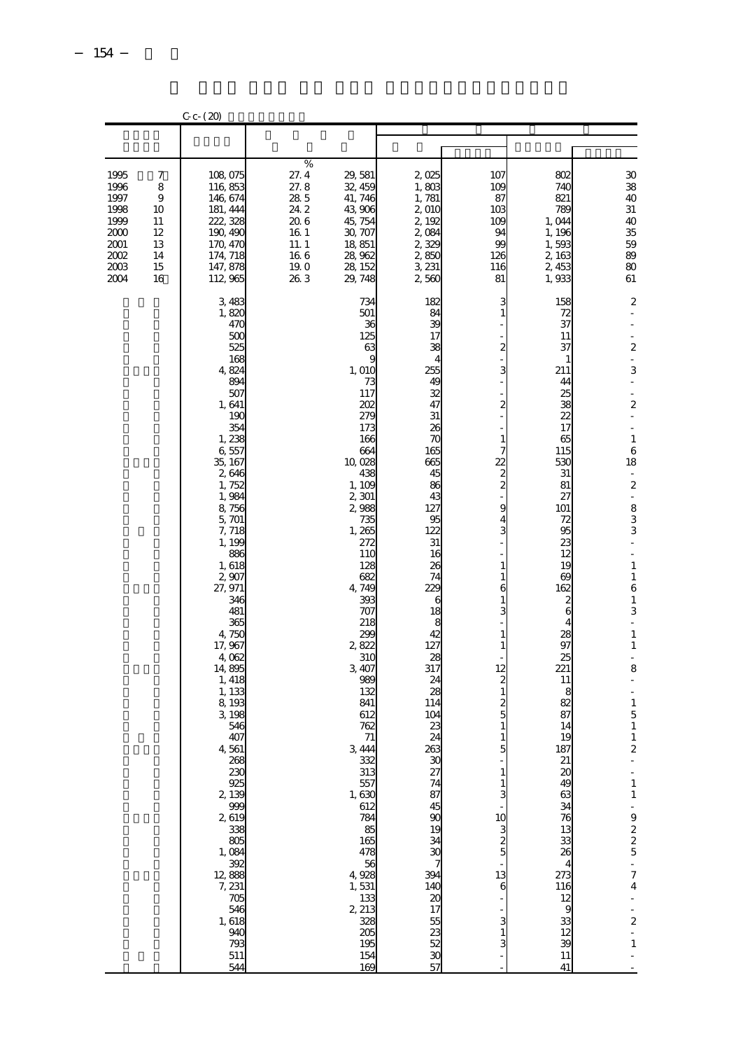|                                                                              |                                                       | $C - (20)$                                                                                                                                                                                                                                                                                                                                                                                                                                                                                             |                                                                                   |                                                                                                                                                                                                                                                                                                                                                                                                                                                                       |                                                                                                                                                                                                                                                                                                                                                                              |                                                                                                                                                                                                                                                                                                                                                               |                                                                                                                                                                                                                                                                                                                                                                         |                                                                                                                                                                                                                                                                                                                                                                                                                                                                                                                                                                                                                                                                                                    |
|------------------------------------------------------------------------------|-------------------------------------------------------|--------------------------------------------------------------------------------------------------------------------------------------------------------------------------------------------------------------------------------------------------------------------------------------------------------------------------------------------------------------------------------------------------------------------------------------------------------------------------------------------------------|-----------------------------------------------------------------------------------|-----------------------------------------------------------------------------------------------------------------------------------------------------------------------------------------------------------------------------------------------------------------------------------------------------------------------------------------------------------------------------------------------------------------------------------------------------------------------|------------------------------------------------------------------------------------------------------------------------------------------------------------------------------------------------------------------------------------------------------------------------------------------------------------------------------------------------------------------------------|---------------------------------------------------------------------------------------------------------------------------------------------------------------------------------------------------------------------------------------------------------------------------------------------------------------------------------------------------------------|-------------------------------------------------------------------------------------------------------------------------------------------------------------------------------------------------------------------------------------------------------------------------------------------------------------------------------------------------------------------------|----------------------------------------------------------------------------------------------------------------------------------------------------------------------------------------------------------------------------------------------------------------------------------------------------------------------------------------------------------------------------------------------------------------------------------------------------------------------------------------------------------------------------------------------------------------------------------------------------------------------------------------------------------------------------------------------------|
|                                                                              |                                                       |                                                                                                                                                                                                                                                                                                                                                                                                                                                                                                        |                                                                                   |                                                                                                                                                                                                                                                                                                                                                                                                                                                                       |                                                                                                                                                                                                                                                                                                                                                                              |                                                                                                                                                                                                                                                                                                                                                               |                                                                                                                                                                                                                                                                                                                                                                         |                                                                                                                                                                                                                                                                                                                                                                                                                                                                                                                                                                                                                                                                                                    |
| 1995<br>1996<br>1997<br>1998<br>1999<br>2000<br>2001<br>2002<br>2003<br>2004 | 7<br>8<br>9<br>10<br>11<br>12<br>13<br>14<br>15<br>16 | 108,075<br>116, 853<br>146, 674<br>181, 444<br>222, 328<br>190, 490<br>170, 470<br>174, 718<br>147, 878<br>112, 965                                                                                                                                                                                                                                                                                                                                                                                    | %<br>27.4<br>27.8<br>28 5<br>24.2<br>20.6<br>16 1<br>11.1<br>16 6<br>19.0<br>26 3 | 29, 581<br>32, 459<br>41, 746<br>43,906<br>45, 754<br>30, 707<br>18, 851<br>28,962<br>28, 152<br>29, 748                                                                                                                                                                                                                                                                                                                                                              | 2,025<br>1,803<br>1,781<br>2,010<br>2, 192<br>2,084<br>2,329<br>2,850<br>3, 231<br>2560                                                                                                                                                                                                                                                                                      | 107<br>109<br>87<br>103<br>109<br>94<br>99<br>126<br>116<br>81                                                                                                                                                                                                                                                                                                | 802<br>74C<br>821<br>789<br>1,044<br>1, 196<br>1,593<br>2,163<br>2,453<br>1,933                                                                                                                                                                                                                                                                                         | 30<br>38<br>40<br>31<br>40<br>35<br>59<br>89<br>80<br>61                                                                                                                                                                                                                                                                                                                                                                                                                                                                                                                                                                                                                                           |
|                                                                              |                                                       | 3,483<br>1,820<br>470<br>500<br>525<br>168<br>4,824<br>894<br>507<br>1,641<br>190<br>354<br>1,238<br>6,557<br>35, 167<br>2,646<br>1,752<br>1,984<br>8,756<br>5, 701<br>7, 718<br>1,199<br>886<br>1,618<br>2,907<br>27, 971<br>346<br>481<br>365<br>4,750<br>17,967<br>4,062<br>14,895<br>1, 418<br>1, 133<br>8,193<br>3,198<br>546<br>407<br>4,561<br>268<br>230<br>925<br>$2,139$<br>$999$<br>$2,619$<br>338<br>805<br>$1,084$<br>392<br>12,888<br>7, 231<br>705<br>1,618<br>940<br>793<br>511<br>544 |                                                                                   | 734<br>501<br>36<br>125<br>63<br>g<br>1,010<br>73<br>117<br>202<br>27 <sub>C</sub><br>173<br>166<br>664<br>10,028<br>438<br>1,100<br>2,301<br>2,988<br>735<br>1,265<br>272<br>11C<br>128<br>682<br>4, 749<br>393<br>707<br>218<br>299<br>2,822<br>31C<br>3, 407<br>989<br>132<br>841<br>612<br>762<br>71<br>3, 444<br>332<br>313<br>$\frac{557}{1,630}$<br>612<br>784<br>85<br>165<br>478<br>56<br>4,928<br>1,531<br>$2, \frac{133}{328}$<br>205<br>195<br>154<br>169 | 182<br>84<br>39<br>17<br>38<br>4<br>255<br>49<br>32<br>47<br>31<br>26<br>70<br>165<br>665<br>45<br>86<br>43<br>127<br>95<br>122<br>31<br>16<br>26<br>74<br>229<br>6<br>18<br>8<br>42<br>127<br>28<br>317<br>24<br>28<br>114<br>104<br>23<br>24<br>263<br>30<br>27<br>74<br>87<br>45<br>90<br>19<br>34<br>30<br>$\overline{\phantom{a}}$<br>394<br>140<br>2017552332330<br>57 | 3<br>$\mathbf{1}$<br>$\overline{c}$<br>3<br>$\overline{c}$<br>$\mathbf{1}$<br>7<br>22<br>$\overline{\mathbf{z}}$<br>$\overline{c}$<br>9<br>4<br>$\mathbf{1}$<br>1<br>6<br>1<br>3<br>$\mathbf{1}$<br>1<br>12<br>$\overline{c}$<br>$\mathbf{1}$<br>2<br>5<br>1<br>5<br>$\mathbf{1}$<br>$\mathbf{1}$<br>$\frac{10}{3}$<br>5<br>13<br>6<br>3<br>$\mathbf{1}$<br>3 | 158<br>72<br>37<br>11<br>37<br>1<br>211<br>44<br>25<br>38<br>22<br>17<br>65<br>115<br>53C<br>31<br>81<br>27<br>101<br>72<br>95<br>23<br>12<br>19<br>69<br>162<br>2<br>6<br>4<br>28<br>97<br>25<br>221<br>11<br>8<br>82<br>87<br>14<br>19<br>187<br>21<br>$\infty$<br>49<br>63<br>34<br>76<br>13<br>33<br>26<br>4<br>273<br>116<br>12<br>9<br>33<br>12<br>39<br>11<br>41 | $\overline{\mathbf{c}}$<br>L,<br>$\overline{\phantom{a}}$<br>$\mathbf{z}$<br>Ĭ,<br>3<br>$\frac{1}{2}$<br>L,<br>$\boldsymbol{z}$<br>$\overline{a}$<br>$\,1\,$<br>6<br>18<br>$\overline{\phantom{a}}$<br>$\overline{\mathcal{L}}$<br>$\overline{\phantom{a}}$<br>$\begin{array}{c} 8 \\ 3 \\ 3 \end{array}$<br>÷,<br>$\frac{1}{2}$<br>$\,1\,$<br>$\,1$<br>6<br>$\,1\,$<br>3<br>$\overline{\phantom{a}}$<br>$\,$ 1 $\,$<br>$\,1$<br>$\overline{\phantom{a}}$<br>8<br>$\frac{1}{2}$<br>$\frac{1}{2}$<br>$\,1\,$<br>$\overline{5}$<br>$1\,$<br>$\mathbf{1}$<br>$\overline{\mathbf{c}}$<br>$\begin{array}{c} 1 \\ 1 \end{array}$<br>$-9225 - 7$<br>$\overline{4}$<br>$\frac{1}{2}$<br>Ĩ,<br>$\mathbf{1}$ |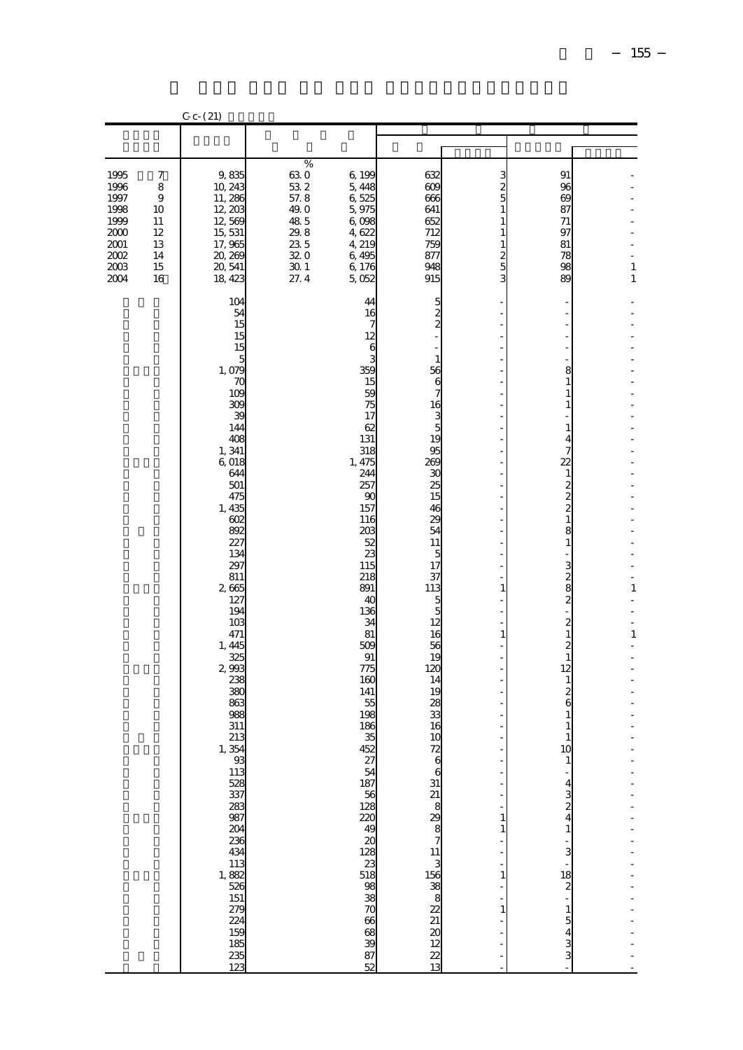|                                                                                |                                                                                     | $C_{c}$ - $(21)$                                                                                                                                                                                                                                                                                                                                                                                                                    |                                                                                   |                                                                                                                                                                                                                                                                                                                                                                                                                                                                         |                                                                                                                                                                                                                                                                                                                                                                                                                                                                        |                                                                                    |                                                                                                                                                                                                                                                                                                                                                                                                                                                                                       |              |
|--------------------------------------------------------------------------------|-------------------------------------------------------------------------------------|-------------------------------------------------------------------------------------------------------------------------------------------------------------------------------------------------------------------------------------------------------------------------------------------------------------------------------------------------------------------------------------------------------------------------------------|-----------------------------------------------------------------------------------|-------------------------------------------------------------------------------------------------------------------------------------------------------------------------------------------------------------------------------------------------------------------------------------------------------------------------------------------------------------------------------------------------------------------------------------------------------------------------|------------------------------------------------------------------------------------------------------------------------------------------------------------------------------------------------------------------------------------------------------------------------------------------------------------------------------------------------------------------------------------------------------------------------------------------------------------------------|------------------------------------------------------------------------------------|---------------------------------------------------------------------------------------------------------------------------------------------------------------------------------------------------------------------------------------------------------------------------------------------------------------------------------------------------------------------------------------------------------------------------------------------------------------------------------------|--------------|
|                                                                                |                                                                                     |                                                                                                                                                                                                                                                                                                                                                                                                                                     |                                                                                   |                                                                                                                                                                                                                                                                                                                                                                                                                                                                         |                                                                                                                                                                                                                                                                                                                                                                                                                                                                        |                                                                                    |                                                                                                                                                                                                                                                                                                                                                                                                                                                                                       |              |
| 1995<br>1996<br>1997<br>1998<br>1999<br>2000<br>$2001$<br>2002<br>2003<br>2004 | $\boldsymbol{7}$<br>8<br>$\boldsymbol{9}$<br>10<br>11<br>12<br>13<br>14<br>15<br>16 | 9,835<br>10, 243<br>11,286<br>12, 203<br>12,569<br>15, 531<br>17,965<br>20, 269<br>20, 541<br>18, 423                                                                                                                                                                                                                                                                                                                               | %<br>63.0<br>53 2<br>57.8<br>49. O<br>48.5<br>29.8<br>23 5<br>320<br>30 1<br>27.4 | 6,199<br>5, 448<br>6,525<br>5,975<br>6,098<br>4,622<br>4, 219<br>6,495<br>6,176<br>5,052                                                                                                                                                                                                                                                                                                                                                                                | 632<br>609<br>666<br>641<br>652<br>712<br>759<br>877<br>948<br>915                                                                                                                                                                                                                                                                                                                                                                                                     | 3<br>$\frac{2}{5}$<br>$\mathbf{1}$<br>1<br>1<br>$\mathbf{1}$<br>$\frac{2}{5}$<br>3 | 91<br>96<br>69<br>87<br>71<br>97<br>81<br>78<br>98<br>89                                                                                                                                                                                                                                                                                                                                                                                                                              | $\,1\,$<br>1 |
|                                                                                |                                                                                     | 104<br>54<br>15<br>15<br>15<br>5<br>1,079<br>70<br>109<br>309<br>39<br>144<br>408<br>1,341<br>6,018<br>644<br>501<br>475<br>1, 435<br>602<br>892<br>227<br>134<br>297<br>811<br>2665<br>127<br>194<br>103<br>471<br>1, 445<br>325<br>2,993<br>238<br>380<br>863<br>988<br>311<br>213<br>1,354<br>¥.<br>113<br>528<br>337<br>283<br>987<br>204<br>236<br>434<br>$\frac{113}{1,882}$<br>151<br>279<br>224<br>159<br>185<br>235<br>123 |                                                                                   | 44<br>16<br>7<br>12<br>6<br>3<br>359<br>15<br>59<br>75<br>17<br>62<br>131<br>318<br>1, 475<br>244<br>257<br>$_{\rm sc}$<br>157<br>116<br>203<br>52<br>23<br>115<br>218<br>891<br>40<br>136<br>34<br>81<br>509<br>91<br>775<br>160<br>141<br>55<br>198<br>186<br>35<br>452<br>$\mathcal{Z}/$<br>54<br>187<br>$\frac{56}{128}$<br>220<br>$\frac{49}{20}$<br>128<br>$\frac{23}{518}$<br>98<br>38<br>$\begin{array}{c} 70 \\ 66 \end{array}$<br>$\frac{68}{39}$<br>87<br>52 | $\frac{5}{2}$<br>$\frac{1}{2}$<br>$\overline{a}$<br>$\mathbf{1}$<br>56<br>6<br>$\overline{7}$<br>16<br>$\begin{array}{c}\n3 \\ 5 \\ 19\n\end{array}$<br>95<br>269<br>30<br>25<br>15<br>46<br>29<br>54<br>11<br>5<br>17<br>37<br>113<br>$\overline{5}$<br>$\overline{5}$<br>12<br>16<br>56<br>19<br>120<br>14<br>19<br>28<br>33<br>16<br>10<br>72<br>$\begin{array}{c}\n6 \\ 6 \\ 31\n\end{array}$<br><u>ളു</u><br>തെട്ടി പാരയിലെ<br>$\frac{20}{12}$<br>$\frac{12}{13}$ | 1<br>$\mathbf{1}$<br>1<br>$\mathbf{1}$<br>÷<br>1<br>$\mathbf{1}$<br>$\frac{1}{2}$  | 8<br>$\,1\,$<br>$\mathbf{1}$<br>$\mathbf{1}$<br>$\mathbf{1}$<br>4<br>7<br>22<br>$\,1\,$<br>$\begin{smallmatrix} 2 \\ 2 \\ 1 \end{smallmatrix}$<br>8<br>$\mathbf{1}$<br>$\frac{1}{2}$ 8 $\frac{1}{2}$<br>$\overline{a}$<br>$\frac{2}{1}$<br>$\frac{2}{1}$<br>12<br>$\frac{1}{2}$<br>6<br>$\mathbf{1}$<br>1<br>1<br>10<br>1<br>$\frac{4}{3}$ $\frac{3}{4}$<br>$\mathbf{1}$<br>$\frac{3}{1}$<br>$\begin{array}{c}\n18 \\ 2\n\end{array}$<br>$\begin{array}{c}\n1 \\ 3 \\ 3\n\end{array}$ | 1<br>$\,1\,$ |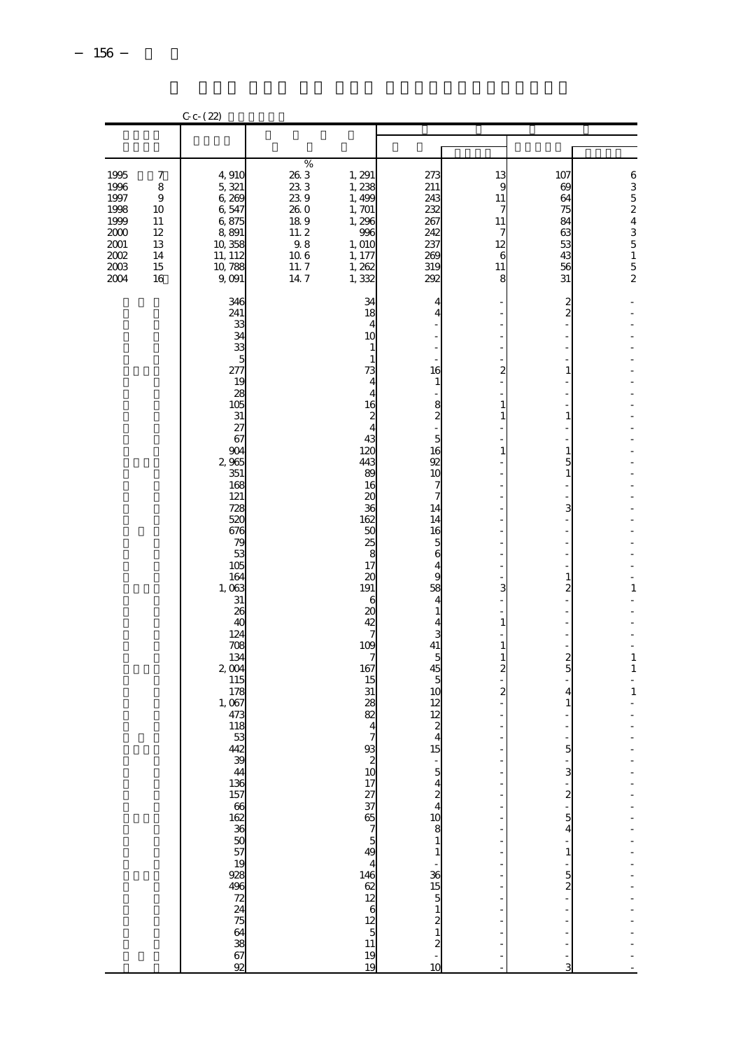|                                                                                  |                                                       | $C - (22)$                                                                                                                                                                                                                                                                                                                         |                                                                                |                                                                                                                                                                                                                                                                                                                                                               |                                                                                                                                                                                                                                                                                                                                                                                                        |                                                                                                                      |                                                                                                                                                                                                                                                              |                                                                            |
|----------------------------------------------------------------------------------|-------------------------------------------------------|------------------------------------------------------------------------------------------------------------------------------------------------------------------------------------------------------------------------------------------------------------------------------------------------------------------------------------|--------------------------------------------------------------------------------|---------------------------------------------------------------------------------------------------------------------------------------------------------------------------------------------------------------------------------------------------------------------------------------------------------------------------------------------------------------|--------------------------------------------------------------------------------------------------------------------------------------------------------------------------------------------------------------------------------------------------------------------------------------------------------------------------------------------------------------------------------------------------------|----------------------------------------------------------------------------------------------------------------------|--------------------------------------------------------------------------------------------------------------------------------------------------------------------------------------------------------------------------------------------------------------|----------------------------------------------------------------------------|
|                                                                                  |                                                       |                                                                                                                                                                                                                                                                                                                                    |                                                                                |                                                                                                                                                                                                                                                                                                                                                               |                                                                                                                                                                                                                                                                                                                                                                                                        |                                                                                                                      |                                                                                                                                                                                                                                                              |                                                                            |
| 1995<br>1996<br>1997<br>1998<br>1999<br>2000<br>2001<br>2002<br>$2003\,$<br>2004 | 7<br>8<br>9<br>10<br>11<br>12<br>13<br>14<br>15<br>16 | 4,910<br>5, 321<br>6,269<br>6,547<br>6,875<br>8,891<br>10,358<br>11, 112<br>10,788<br>9,091                                                                                                                                                                                                                                        | %<br>26 3<br>23 3<br>239<br>26.0<br>18.9<br>11.2<br>9.8<br>106<br>11.7<br>14.7 | 1, 291<br>1,238<br>1,499<br>1, 701<br>1,296<br>996<br>1, 010<br>1, 177<br>1, 262<br>1,332                                                                                                                                                                                                                                                                     | 273<br>211<br>243<br>232<br>267<br>242<br>237<br>269<br>319<br>292                                                                                                                                                                                                                                                                                                                                     | 13<br>9<br>11<br>7<br>11<br>7<br>12<br>6<br>11<br>8                                                                  | 107<br>69<br>64<br>75<br>84<br>63<br>53<br>43<br>56<br>31                                                                                                                                                                                                    | 6352435152                                                                 |
|                                                                                  |                                                       | 346<br>241<br>33<br>34<br>33<br>5<br>277<br>19<br>28<br>105<br>31<br>27<br>67<br>904<br>2 965<br>351<br>168<br>121<br>728<br>520<br>676<br>79<br>53<br>105<br>164<br>1,063<br>31<br>26<br>40<br>124<br>708<br>134<br>2,004<br>115<br>178<br>1,067<br>473<br>118<br>53<br>442<br>នេ ១ នេ ៩ ៧ ៥ ៥ ៥ ៥ ១ ១ ១ ៥ ៥ <u>៩ ៥ ១ ១ ១</u> ៥ ៥ |                                                                                | 34<br>18<br>4<br>10<br>1<br>$\mathbf{1}$<br>73<br>4<br>4<br>16<br>$\overline{\mathcal{Z}}$<br>4<br>43<br>12C<br>443<br>89<br>16<br>$\alpha$<br>36<br>162<br>50<br>25<br>8<br>17<br>2C<br>191<br>6<br>2C<br>42<br>109<br>7<br>167<br>15<br>31<br>28<br>82<br>4<br>7<br>93<br>រ<br>របាយ ស្រុក មិន មិន មិន មិន មិន មិន មិន<br>របាយ ស្រុក មិន មិន មិន មិន មិន មិន | 4<br>4<br>J.<br>16<br>1<br>$\overline{a}$<br>8<br>$\overline{\mathbf{z}}$<br>5<br>16<br>92<br>10<br>7<br>7<br>14<br>14<br>16<br>5<br>6<br>4<br>9<br>58<br>4<br>$\mathbf{1}$<br>4<br>3<br>41<br>5<br>45<br>5<br>10<br>12<br>12<br>$\mathbf{z}$<br>4<br>15<br>$\overline{5}$<br>$\begin{array}{c} 4 \\ 2 \\ 4 \\ 0 \\ 8 \\ 1 \end{array}$<br>$\mathbf{1}$<br>$-36$<br>15<br>5<br>12<br>2<br>2<br>2<br>10 | 2<br>1<br>$\mathbf{1}$<br>1<br>3<br>$\mathbf{1}$<br>1<br>$\,1$<br>$\overline{\mathbf{c}}$<br>$\overline{\mathbf{z}}$ | $\frac{2}{2}$<br>1<br>$\mathbf{1}$<br>1<br>5<br>$\mathbf{1}$<br>3<br>$\mathbf{1}$<br>$\overline{\mathbf{c}}$<br>$\frac{2}{5}$<br>$\overline{4}$<br>$\mathbf{1}$<br>5<br>3<br>$\overline{\mathcal{Z}}$<br>$\frac{5}{4}$<br>$\mathbf{1}$<br>$\frac{5}{2}$<br>3 | $\overline{a}$<br>1<br>$\overline{a}$<br>$\mathbf{1}$<br>1<br>$\mathbf{1}$ |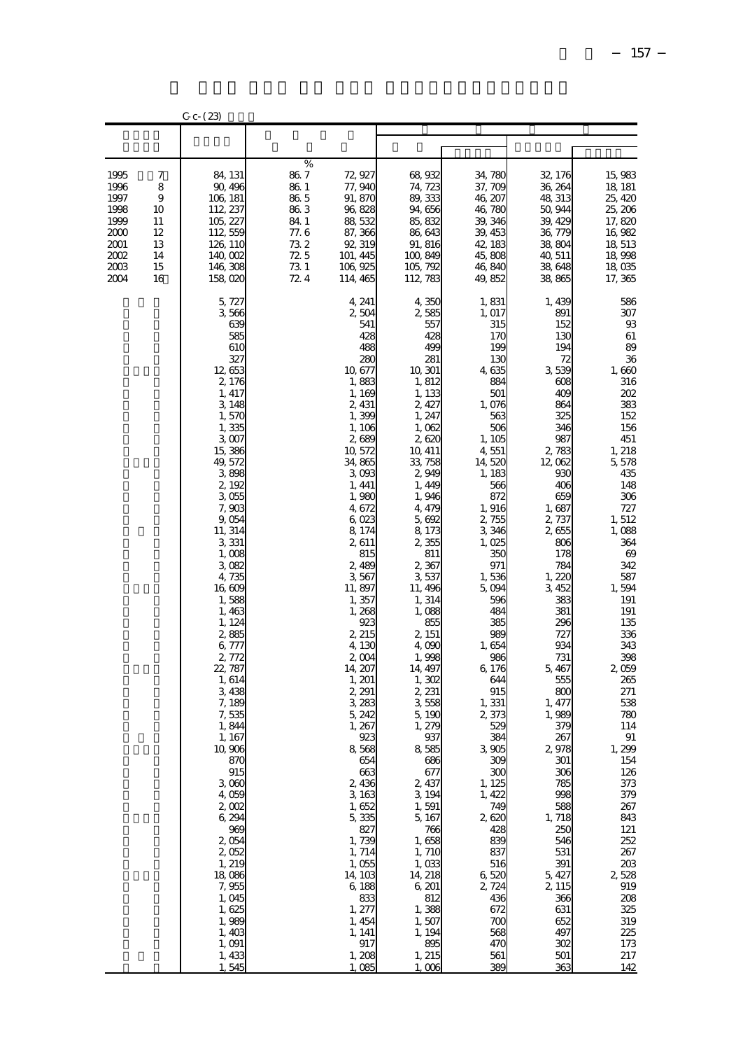| $C - C - (23)$                                                               |                                                       |                                                                                                                                                                                                                                                                                                                                                                                                                                                                                                                                                                  |                                                                                       |                                                                                                                                                                                                                                                                                                                                                                                                                                                                                                                                                    |                                                                                                                                                                                                                                                                                                                                                                                                                                                                                                                                                        |                                                                                                                                                                                                                                                                                                                                                                                                                                                                                                |                                                                                                                                                                                                                                                                                                                                                                                                                                                                              |                                                                                                                                                                                                                                                                                                                                                                                                                                            |
|------------------------------------------------------------------------------|-------------------------------------------------------|------------------------------------------------------------------------------------------------------------------------------------------------------------------------------------------------------------------------------------------------------------------------------------------------------------------------------------------------------------------------------------------------------------------------------------------------------------------------------------------------------------------------------------------------------------------|---------------------------------------------------------------------------------------|----------------------------------------------------------------------------------------------------------------------------------------------------------------------------------------------------------------------------------------------------------------------------------------------------------------------------------------------------------------------------------------------------------------------------------------------------------------------------------------------------------------------------------------------------|--------------------------------------------------------------------------------------------------------------------------------------------------------------------------------------------------------------------------------------------------------------------------------------------------------------------------------------------------------------------------------------------------------------------------------------------------------------------------------------------------------------------------------------------------------|------------------------------------------------------------------------------------------------------------------------------------------------------------------------------------------------------------------------------------------------------------------------------------------------------------------------------------------------------------------------------------------------------------------------------------------------------------------------------------------------|------------------------------------------------------------------------------------------------------------------------------------------------------------------------------------------------------------------------------------------------------------------------------------------------------------------------------------------------------------------------------------------------------------------------------------------------------------------------------|--------------------------------------------------------------------------------------------------------------------------------------------------------------------------------------------------------------------------------------------------------------------------------------------------------------------------------------------------------------------------------------------------------------------------------------------|
|                                                                              |                                                       |                                                                                                                                                                                                                                                                                                                                                                                                                                                                                                                                                                  |                                                                                       |                                                                                                                                                                                                                                                                                                                                                                                                                                                                                                                                                    |                                                                                                                                                                                                                                                                                                                                                                                                                                                                                                                                                        |                                                                                                                                                                                                                                                                                                                                                                                                                                                                                                |                                                                                                                                                                                                                                                                                                                                                                                                                                                                              |                                                                                                                                                                                                                                                                                                                                                                                                                                            |
| 1995<br>1996<br>1997<br>1998<br>1999<br>2000<br>2001<br>2002<br>2003<br>2004 | 7<br>8<br>9<br>10<br>11<br>12<br>13<br>14<br>15<br>16 | 84, 131<br>90, 496<br>106, 181<br>112, 237<br>105, 227<br>112, 559<br>126, 110<br>140,002<br>146, 308<br>158,020                                                                                                                                                                                                                                                                                                                                                                                                                                                 | $\%$<br>86. 7<br>86 1<br>86.5<br>86.3<br>84 1<br>77. 6<br>73.2<br>72.5<br>73 1<br>724 | 72, 927<br>77,940<br>91, 870<br>96, 828<br>88, 532<br>87, 366<br>92, 319<br>101, 445<br>106, 925<br>114, 465                                                                                                                                                                                                                                                                                                                                                                                                                                       | 68,932<br>74, 723<br>89, 333<br>94,656<br>85, 832<br>86, 643<br>91, 816<br>100, 849<br>105, 792<br>112, 783                                                                                                                                                                                                                                                                                                                                                                                                                                            | 34, 780<br>37, 709<br>46, 207<br>46,780<br>39, 346<br>39, 453<br>42, 183<br>45,808<br>46,840<br>49,852                                                                                                                                                                                                                                                                                                                                                                                         | 32, 176<br>36, 264<br>48, 313<br>50, 944<br>39, 429<br>36, 779<br>38,804<br>40, 511<br>38,648<br>38,865                                                                                                                                                                                                                                                                                                                                                                      | 15,983<br>18, 181<br>25, 420<br>25, 206<br>17,820<br>16,982<br>18, 513<br>18,998<br>18,035<br>17, 365                                                                                                                                                                                                                                                                                                                                      |
|                                                                              |                                                       | 5, 727<br>3,566<br>639<br>585<br>61 <sub>C</sub><br>327<br>12,653<br>2, 176<br>1, 417<br>3, 148<br>1,570<br>1,335<br>3,007<br>15, 386<br>49, 572<br>3898<br>2, 192<br>3,055<br>7,903<br>9,054<br>11, 314<br>3,331<br>1,008<br>3,082<br>4,735<br>16, 609<br>1,588<br>1,463<br>1, 124<br>2,885<br>6,777<br>2,772<br>22, 787<br>1,614<br>3,438<br>7,189<br>7,535<br>1,844<br>1, 167<br>10,906<br>8W<br>915<br>3,060<br>4,059<br>2,002<br>6,294<br>969<br>2,054<br>2,052<br>1, 219<br>18,086<br>7,955<br>1,045<br>1,625<br>1,989<br>1,403<br>1,091<br>1,433<br>1,545 |                                                                                       | 4, 241<br>2,504<br>541<br>428<br>488<br>28C<br>10, 677<br>1,883<br>1,169<br>2, 431<br>1,399<br>1, 106<br>2,689<br>10,572<br>34,865<br>3,093<br>1, 441<br>1,980<br>4,672<br>6,023<br>8, 174<br>2,611<br>815<br>2,489<br>3,567<br>11, 897<br>1, 357<br>1,268<br>923<br>2, 215<br>4, 130<br>2,004<br>14, 207<br>1, 201<br>2, 291<br>3,283<br>5, 242<br>1, 267<br>923<br>8,568<br>654<br>663<br>2,436<br>3,163<br>1,652<br>5,335<br>827<br>1,739<br>1, 714<br>1,055<br>14, 103<br>6, 188<br>833<br>1, 277<br>1, 454<br>1, 141<br>917<br>1,208<br>1,085 | 4, 35C<br>2,585<br>557<br>428<br>499<br>281<br>10, 301<br>1, 812<br>1, 133<br>2, 427<br>1, 247<br>1,062<br>2,620<br>10, 411<br>33, 758<br>2,949<br>1, 449<br>1,946<br>4, 479<br>5,692<br>8, 173<br>2,355<br>811<br>2,367<br>3,537<br>11, 496<br>1, 314<br>1,088<br>855<br>2, 151<br>4,090<br>1,998<br>14, 497<br>1,302<br>2, 231<br>3,558<br>5, 190<br>1, 279<br>937<br>8,585<br>686<br>677<br>2,437<br>3, 194<br>1,591<br>5, 167<br>766<br>1,658<br>1, 710<br>1,033<br>14, 218<br>6, 201<br>812<br>1,388<br>1,507<br>1, 194<br>895<br>1, 215<br>1,006 | 1,831<br>1, 017<br>315<br>170<br>199<br>130<br>4,635<br>884<br>501<br>1,076<br>563<br>506<br>1, 105<br>4,551<br>14,520<br>1, 183<br>566<br>872<br>1,916<br>2, 755<br>3,346<br>1,025<br>35C<br>971<br>1,536<br>5,094<br>596<br>484<br>385<br>989<br>1,654<br>986<br>6, 176<br>644<br>915<br>1, 331<br>2,373<br>529<br>384<br>3,905<br>309<br>300<br>1, 125<br>1, 422<br>749<br>2,620<br>428<br>839<br>837<br>516<br>6,520<br>2,724<br>436<br>672<br>700<br>568<br>470<br>561<br>38 <sup>C</sup> | 1, 439<br>891<br>152<br>13C<br>194<br>72<br>3,539<br>608<br>40G<br>864<br>325<br>346<br>987<br>2, 783<br>12,062<br>930<br>40 <sub>€</sub><br>659<br>1,687<br>2,737<br>2,655<br>806<br>178<br>784<br>1,220<br>3, 452<br>383<br>381<br>296<br>727<br>934<br>731<br>5, 467<br>555<br>800<br>1, 477<br>1,989<br>379<br>267<br>2,978<br>30I<br>306<br>785<br>998<br>588<br>1,718<br>250<br>546<br>531<br>391<br>5, 427<br>2, 115<br>366<br>631<br>652<br>497<br>302<br>501<br>363 | 586<br>307<br>93<br>61<br>89<br>36<br>1,660<br>316<br>202<br>383<br>152<br>156<br>451<br>1, 218<br>5,578<br>435<br>148<br>306<br>727<br>1,512<br>1,088<br>364<br>69<br>342<br>587<br>1, 594<br>191<br>191<br>135<br>336<br>343<br>398<br>2059<br>265<br>271<br>538<br>780<br>114<br>91<br>1, 299<br>154<br>126<br>373<br>379<br>267<br>843<br>121<br>252<br>267<br>$203\,$<br>2528<br>919<br>208<br>325<br>319<br>225<br>173<br>217<br>142 |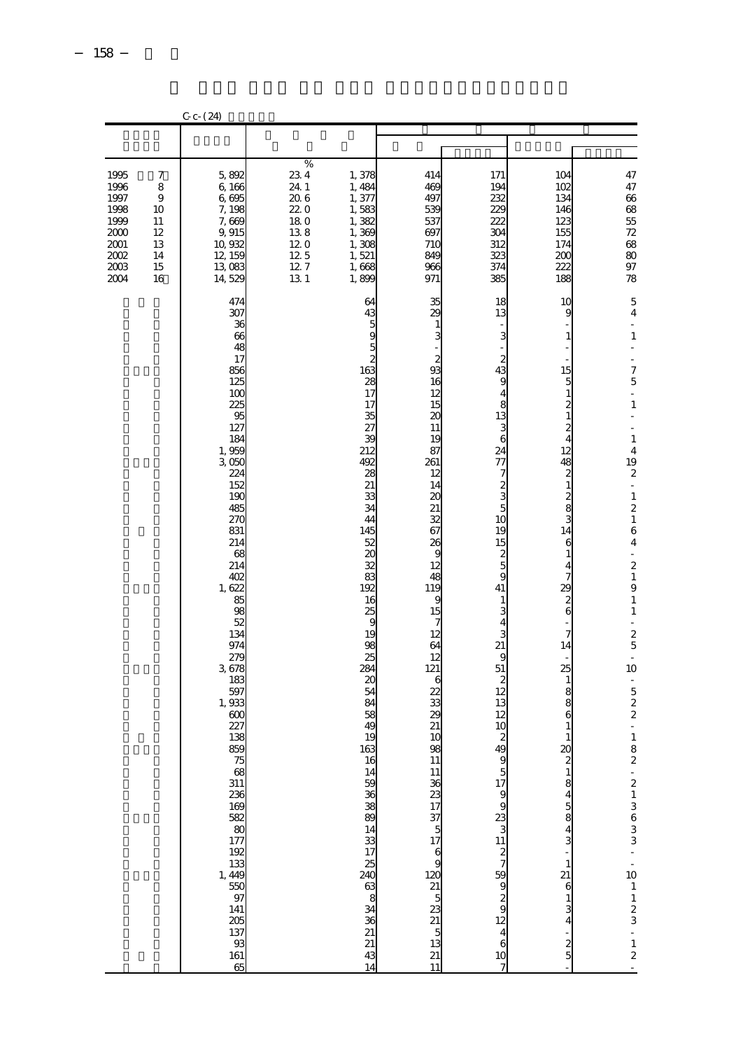| $C - (24)$                                                                   |                                                       |                                                                                                                                                                                                                                                                                                                                                                                                                                                                                                                                                                                                  |                                                                                                     |                                                                                                                                                                                                                                                                                                                                                     |                                                                                                                                                                                                                                                                                  |                                                                                                                                                                                                                                                                                                         |                                                                                                                                                                                                                                                                                                                                                                                                                                     |                                                                                                                                                                                                                                                                                                                                                                                                                                                                                                                                                                                                                    |
|------------------------------------------------------------------------------|-------------------------------------------------------|--------------------------------------------------------------------------------------------------------------------------------------------------------------------------------------------------------------------------------------------------------------------------------------------------------------------------------------------------------------------------------------------------------------------------------------------------------------------------------------------------------------------------------------------------------------------------------------------------|-----------------------------------------------------------------------------------------------------|-----------------------------------------------------------------------------------------------------------------------------------------------------------------------------------------------------------------------------------------------------------------------------------------------------------------------------------------------------|----------------------------------------------------------------------------------------------------------------------------------------------------------------------------------------------------------------------------------------------------------------------------------|---------------------------------------------------------------------------------------------------------------------------------------------------------------------------------------------------------------------------------------------------------------------------------------------------------|-------------------------------------------------------------------------------------------------------------------------------------------------------------------------------------------------------------------------------------------------------------------------------------------------------------------------------------------------------------------------------------------------------------------------------------|--------------------------------------------------------------------------------------------------------------------------------------------------------------------------------------------------------------------------------------------------------------------------------------------------------------------------------------------------------------------------------------------------------------------------------------------------------------------------------------------------------------------------------------------------------------------------------------------------------------------|
|                                                                              |                                                       |                                                                                                                                                                                                                                                                                                                                                                                                                                                                                                                                                                                                  |                                                                                                     |                                                                                                                                                                                                                                                                                                                                                     |                                                                                                                                                                                                                                                                                  |                                                                                                                                                                                                                                                                                                         |                                                                                                                                                                                                                                                                                                                                                                                                                                     |                                                                                                                                                                                                                                                                                                                                                                                                                                                                                                                                                                                                                    |
| 1995<br>1996<br>1997<br>1998<br>1999<br>2000<br>2001<br>2002<br>2003<br>2004 | 7<br>8<br>9<br>10<br>11<br>12<br>13<br>14<br>15<br>16 | 5,892<br>6,166<br>6,695<br>7,198<br>7,669<br>9,915<br>10,932<br>12, 159<br>13,083<br>14, 529                                                                                                                                                                                                                                                                                                                                                                                                                                                                                                     | %<br>23.4<br>24.1<br>20.6<br>220<br>18 <sub>0</sub><br>13.8<br>120<br>125<br>127<br>13 <sub>1</sub> | 1,378<br>1,484<br>1,377<br>1,583<br>1,382<br>1,369<br>1,308<br>1,521<br>1,668<br>1,899                                                                                                                                                                                                                                                              | 414<br>469<br>497<br>539<br>537<br>697<br>710<br>849<br>966<br>971                                                                                                                                                                                                               | 171<br>194<br>232<br>229<br>222<br>304<br>312<br>323<br>374<br>385                                                                                                                                                                                                                                      | 104<br>102<br>134<br>146<br>123<br>155<br>174<br>200<br>222<br>188                                                                                                                                                                                                                                                                                                                                                                  | 47<br>47<br>66<br>$68$<br>55<br>72<br>68<br>80<br>$97\,$<br>78                                                                                                                                                                                                                                                                                                                                                                                                                                                                                                                                                     |
|                                                                              |                                                       | 474<br>307<br>36<br>66<br>48<br>17<br>856<br>125<br>10C<br>225<br>95<br>127<br>184<br>1,959<br>3,050<br>224<br>152<br>190<br>485<br>270<br>831<br>214<br>68<br>214<br>402<br>1,622<br>85<br>98<br>52<br>134<br>974<br>279<br>3,678<br>183<br>597<br>1,933<br>600<br>227<br>138<br>859<br>ಿ ಜು ಸಂಖ್ಯೆಯ ಸಂಖ್ಯೆಯ ಸಂಖ್ಯೆಯ ಸಂಖ್ಯೆಯ ಸಂಖ್ಯೆಯ ಸಂಖ್ಯೆಯ ಸಂಖ್ಯೆಯ ಸಂಖ್ಯೆಯ ಸಂಖ್ಯೆಯ ಸಂಖ್ಯೆಯ ಸಂಖ್ಯೆಯ ಸಂಖ್ಯೆಯ ಸಂಖ್ಯೆಯ ಸ<br>ಸಂಖ್ಯೆಯ ಸಂಖ್ಯೆಯ ಸಂಖ್ಯೆಯ ಸಂಖ್ಯೆಯ ಸಂಖ್ಯೆಯ ಸಂಖ್ಯೆಯ ಸಂಖ್ಯೆಯ ಸಂಖ್ಯೆಯ ಸಂಖ್ಯೆಯ ಸಂಖ್ಯೆಯ ಸಂಖ್ಯೆಯ ಸಂಖ್ಯೆಯ ಸಂಖ್ಯೆಯ ಸಂಖ್ಯೆ<br>$\begin{array}{c} 141 \\ 205 \\ 137 \\ 93 \\ 161 \end{array}$<br>65 |                                                                                                     | 64<br>43<br>$\frac{5}{9}$<br>$\begin{array}{c}\n5 \\ 2 \\ 163\n\end{array}$<br>28<br>17<br>17<br>35<br>27<br>39<br>212<br>492<br>28<br>21<br>33<br>34<br>44<br>145<br>52<br>$\alpha$<br>32<br>83<br>192<br>16<br>25<br>g<br>19<br>98<br>25<br>284<br>$\alpha$<br>54<br>84<br>58<br>49<br>19<br>163<br>$14$ 33 17 25 24 63 8 34 36 21 21<br>43<br>14 | 35<br>29<br>$\mathbf{1}$<br>3<br>$\overline{\mathcal{Z}}$<br>93<br>16<br>12<br>15<br>20<br>11<br>19<br>87<br>261<br>12<br>14<br>$\infty$<br>21<br>32<br>67<br>26<br>9<br>12<br>48<br>119<br>9<br>15<br>7<br>12<br>64<br>12<br>121<br>6<br>22<br>33<br>29<br>21<br>10<br>98<br>11 | 18<br>13<br>3<br>$\overline{c}$<br>43<br>9<br>4<br>8<br>13<br>$\frac{3}{6}$<br>24<br>77<br>7<br>$\frac{2}{3}$<br>10<br>19<br>15<br>$\boldsymbol{z}$<br>5<br>9<br>41<br>1<br>3<br>4<br>3<br>21<br>9<br>51<br>$\boldsymbol{z}$<br>12<br>13<br>12<br>10<br>$\overline{\mathbf{c}}$<br>49<br>$\overline{7}$ | 10<br>9<br>$\mathbf{1}$<br>15<br>$\frac{5}{1}$<br>$\frac{2}{1}$<br>$\frac{2}{4}$<br>12<br>48<br>$\frac{2}{1}$<br>$\frac{2}{3}$<br>14<br>6<br>$\mathbf{1}$<br>4<br>7<br>29<br>$\overline{\mathcal{Z}}$<br>$\mathbf{6}$<br>7<br>14<br>25<br>$\mathbf{1}$<br>$\frac{8}{8}$<br>$\mathbf{6}$<br>$\mathbf 1$<br>$\mathbf{1}$<br>20<br>21845843<br>$\,1\,$<br>$\begin{array}{c}\n 21 \\  6 \\  1 \\  3 \\  4\n \end{array}$<br>$rac{2}{5}$ | 5<br>$\overline{4}$<br>$\overline{\phantom{m}}$<br>$\,1\,$<br>$\overline{\phantom{0}}$<br>÷<br>$\begin{array}{c} 7 \\ 5 \end{array}$<br>$\overline{\phantom{a}}$<br>$1\,$<br>$\overline{a}$<br>$1\,$<br>4<br>19<br>$\overline{\mathcal{L}}$<br>$\overline{\phantom{a}}$<br>$\,$ 1 $\,$<br>$\overline{\mathcal{L}}$<br>$\,1\,$<br>$\,$ 6 $\,$<br>$\overline{4}$<br>$\overline{\phantom{a}}$<br>$\overline{\mathcal{L}}$<br>$\,1\,$<br>9<br>$\,1\,$<br>$\,1\,$<br>$\frac{1}{2}$<br>$rac{2}{5}$<br>$\frac{1}{2}$<br>10<br>i,<br>$\frac{5}{2}$<br>$\overline{\phantom{a}}$<br>$1\,$<br>8<br>$2 - 213633 - 101123 - 12$ |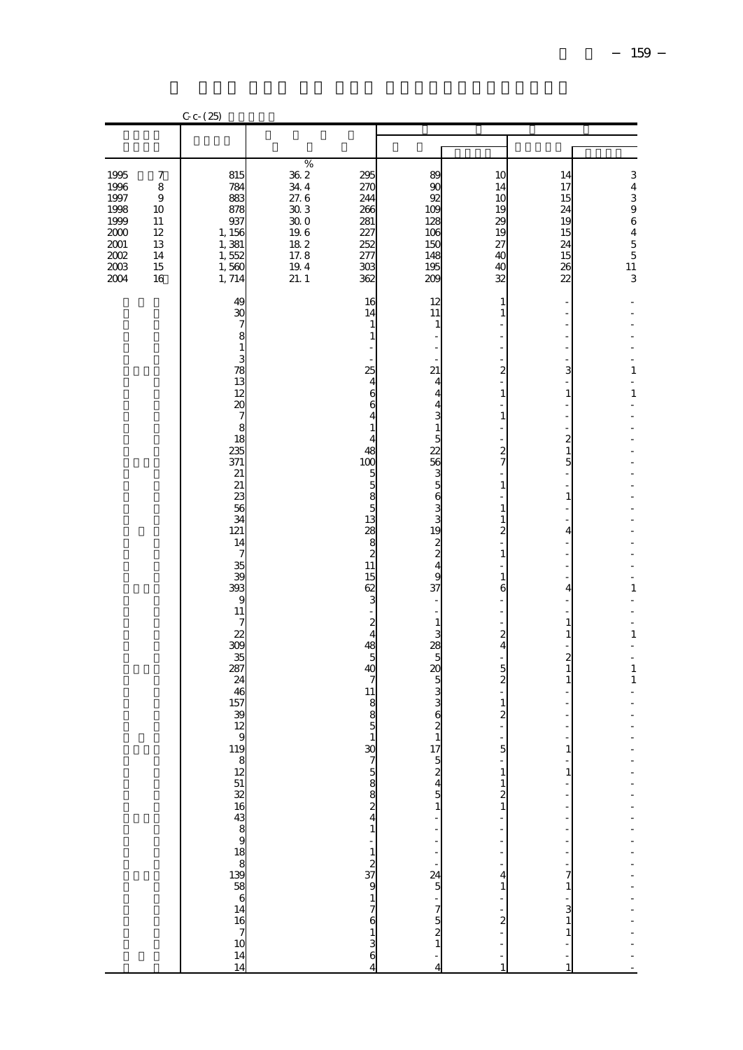|                                                                                                                     |                                                                                               | $C - C - (25)$                                                                                                                                              |                                                                                      |                                                                                                                                                                                                                                                           |                                                                                 |                                                                                                                                                                                                         |                                                                                                                                                                                                                                                                                            |                                                                                 |
|---------------------------------------------------------------------------------------------------------------------|-----------------------------------------------------------------------------------------------|-------------------------------------------------------------------------------------------------------------------------------------------------------------|--------------------------------------------------------------------------------------|-----------------------------------------------------------------------------------------------------------------------------------------------------------------------------------------------------------------------------------------------------------|---------------------------------------------------------------------------------|---------------------------------------------------------------------------------------------------------------------------------------------------------------------------------------------------------|--------------------------------------------------------------------------------------------------------------------------------------------------------------------------------------------------------------------------------------------------------------------------------------------|---------------------------------------------------------------------------------|
|                                                                                                                     |                                                                                               |                                                                                                                                                             |                                                                                      |                                                                                                                                                                                                                                                           |                                                                                 |                                                                                                                                                                                                         |                                                                                                                                                                                                                                                                                            |                                                                                 |
| $\begin{array}{c} 1995 \\ 1996 \end{array}$<br>1997<br>1998<br>1999<br>2000<br>$2001\,$<br>2002<br>$2003\,$<br>2004 | $\boldsymbol{7}$<br>$\,$ 8 $\,$<br>$\boldsymbol{9}$<br>10<br>11<br>12<br>13<br>14<br>15<br>16 | 815<br>784<br>883<br>878<br>937<br>1, 156<br>$1, 381$<br>$1, 552$<br>$1, 560$<br>1, 714<br>49<br>30                                                         | $\%$<br>36.2<br>34.4<br>27.6<br>30.3<br>30.0<br>19.6<br>18 2<br>17.8<br>19.4<br>21.1 | 295<br>270<br>244<br>266<br>281<br>227<br>252<br>277<br>303<br>362<br>16<br>14                                                                                                                                                                            | 89<br>90<br>92<br>109<br>128<br>106<br>150<br>148<br>195<br>209<br>12<br>11     | 10<br>14<br>10<br>19<br>29<br>19<br>27<br>40<br>40<br>32<br>1<br>$\mathbf{1}$                                                                                                                           | 14<br>17<br>15<br>24<br>19<br>15<br>24<br>15<br>26<br>$\overline{22}$<br>$\overline{a}$                                                                                                                                                                                                    | 3439645511<br>$\mathsf 3$                                                       |
|                                                                                                                     |                                                                                               | $\begin{array}{c} 7 \\ 8 \\ 1 \end{array}$<br>3<br>78<br>13<br>12<br>20<br>7<br>8<br>18<br>235<br>371<br>21<br>21<br>23<br>56<br>34<br>121<br>14<br>7<br>35 |                                                                                      | $\mathbf{1}$<br>$\mathbf{1}$<br>$\overline{a}$<br>25<br>$\begin{array}{c} 4 \\ 6 \\ 6 \end{array}$<br>$\overline{4}$<br>$\mathbf{1}$<br>$\overline{4}$<br>48<br>100<br>$\begin{array}{c}\n5 \\ 13\n\end{array}$<br>28<br>$\frac{8}{2}$<br>$\overline{11}$ | $\mathbf{1}$<br>21<br>4<br>$\overline{4}$                                       | $\overline{\mathbf{c}}$<br>$\mathbf{1}$<br>$\overline{a}$<br>$\mathbf 1$<br>$\overline{a}$<br>$\frac{2}{7}$<br>$\,1\,$<br>$\,1\,$<br>$\mathbf 1$<br>$\overline{\mathbf{c}}$<br>$\frac{1}{2}$<br>$\,1\,$ | $\overline{a}$<br>$\frac{1}{2}$<br>$\overline{a}$<br>$\frac{3}{1}$<br>$\mathbf{1}$<br>$\overline{\phantom{a}}$<br>÷,<br>$\frac{1}{2}$<br>$\frac{5}{1}$<br>$\mathbf{1}$<br>$\frac{1}{2}$<br>$\overline{a}$<br>$\overline{\mathbf{4}}$<br>$\overline{a}$<br>$\overline{a}$<br>$\overline{a}$ | 1<br>$\overline{a}$<br>$\,1\,$                                                  |
|                                                                                                                     |                                                                                               | 39<br>393<br>g<br>11<br>7<br>22<br>309<br>35<br>287<br>24<br>46<br>157<br>39<br>12<br>9<br>119                                                              |                                                                                      | 15<br>62<br>3<br>÷,<br>$\frac{2}{4}$<br>$\overline{48}$<br>$rac{5}{40}$<br>$\overline{7}$<br>11<br>$\begin{matrix}8\\5\end{matrix}$<br>$\,1\,$<br>30                                                                                                      | $\overline{a}$<br>$\overline{a}$<br>— <sub>دی 88</sub> ہ 85 ہ دی دی م ہ د<br>17 | $\,1\,$<br>6<br>$\frac{1}{2}$<br>$\overline{\phantom{a}}$<br>$\frac{2}{4}$<br>$\frac{1}{2}$<br>$\frac{1}{2}$<br>$\mathbf{1}$<br>$\overline{\mathbf{c}}$<br>5                                            | $\overline{a}$<br>4<br>$\overline{a}$<br>$\overline{a}$<br>$\,1\,$<br>$\,1\,$<br>÷,<br>$\frac{2}{1}$<br>$\mathbf{1}$<br>$\overline{a}$<br>$\overline{a}$<br>$\frac{1}{1}$<br>$\overline{a}$<br>$\mathbf{1}$                                                                                | $\overline{a}$<br>1<br>$\overline{a}$<br>$1\,$<br>i,<br>$\mathbf{1}$<br>$\,1\,$ |
|                                                                                                                     |                                                                                               | ដដ ២ ។ ២ ១ ៥ ៥ ៥ ៥ ៥ ៥ ៥ ៥ ៥ ៥ ៥ ៥ ៥ ៥ ៥                                                                                                                    |                                                                                      | 4                                                                                                                                                                                                                                                         | $52451 - 7$<br>$245 - 7521$<br>$\frac{1}{4}$                                    |                                                                                                                                                                                                         |                                                                                                                                                                                                                                                                                            |                                                                                 |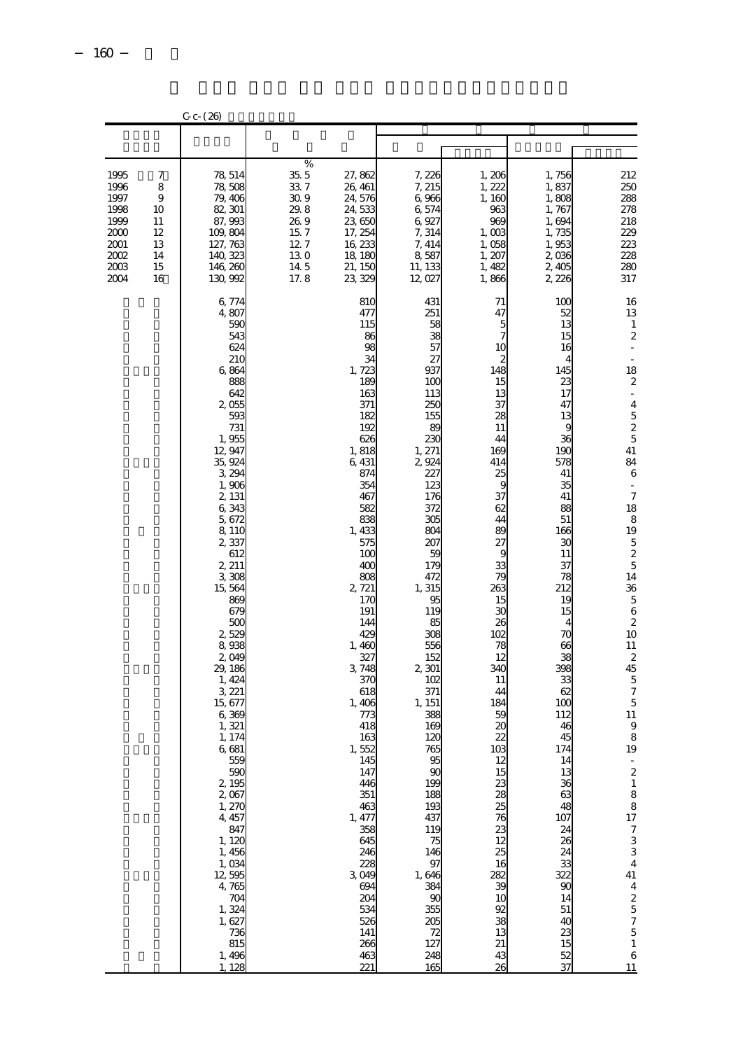|                                                                              |                                                       | $C - C - (26)$                                                                                                                                                                                                                                                                                                                                                                                                                                                                                                                                |                                                                                  |                                                                                                                                                                                                                                                                                                                                                                                                                                                              |                                                                                                                                                                                                                                                                                                                                                                                                                                                                                 |                                                                                                                                                                                                                                                                                                                                                                                    |                                                                                                                                                                                                                                                                                                                                                                         |                                                                                                                                                                                                                                                                                                                                                                                                                                                                                                                               |
|------------------------------------------------------------------------------|-------------------------------------------------------|-----------------------------------------------------------------------------------------------------------------------------------------------------------------------------------------------------------------------------------------------------------------------------------------------------------------------------------------------------------------------------------------------------------------------------------------------------------------------------------------------------------------------------------------------|----------------------------------------------------------------------------------|--------------------------------------------------------------------------------------------------------------------------------------------------------------------------------------------------------------------------------------------------------------------------------------------------------------------------------------------------------------------------------------------------------------------------------------------------------------|---------------------------------------------------------------------------------------------------------------------------------------------------------------------------------------------------------------------------------------------------------------------------------------------------------------------------------------------------------------------------------------------------------------------------------------------------------------------------------|------------------------------------------------------------------------------------------------------------------------------------------------------------------------------------------------------------------------------------------------------------------------------------------------------------------------------------------------------------------------------------|-------------------------------------------------------------------------------------------------------------------------------------------------------------------------------------------------------------------------------------------------------------------------------------------------------------------------------------------------------------------------|-------------------------------------------------------------------------------------------------------------------------------------------------------------------------------------------------------------------------------------------------------------------------------------------------------------------------------------------------------------------------------------------------------------------------------------------------------------------------------------------------------------------------------|
|                                                                              |                                                       |                                                                                                                                                                                                                                                                                                                                                                                                                                                                                                                                               |                                                                                  |                                                                                                                                                                                                                                                                                                                                                                                                                                                              |                                                                                                                                                                                                                                                                                                                                                                                                                                                                                 |                                                                                                                                                                                                                                                                                                                                                                                    |                                                                                                                                                                                                                                                                                                                                                                         |                                                                                                                                                                                                                                                                                                                                                                                                                                                                                                                               |
| 1995<br>1996<br>1997<br>1998<br>1999<br>2000<br>2001<br>2002<br>2003<br>2004 | 7<br>8<br>9<br>10<br>11<br>12<br>13<br>14<br>15<br>16 | 78, 514<br>78,508<br>79, 406<br>82, 301<br>87,993<br>109,804<br>127, 763<br>140, 323<br>146, 260<br>130, 992                                                                                                                                                                                                                                                                                                                                                                                                                                  | %<br>35.5<br>33.7<br>30.9<br>29.8<br>26.9<br>15.7<br>127<br>13.0<br>14.5<br>17.8 | 27,862<br>26, 461<br>24, 576<br>24, 533<br>23,650<br>17, 254<br>16, 233<br>18, 180<br>21, 150<br>23, 329                                                                                                                                                                                                                                                                                                                                                     | 7,226<br>7, 215<br>6,966<br>6,574<br>6,927<br>7, 314<br>7, 414<br>8,587<br>11, 133<br>12,027                                                                                                                                                                                                                                                                                                                                                                                    | 1,206<br>1,222<br>1,16C<br>963<br>969<br>1,000<br>1,058<br>1, 207<br>1,482<br>1,866                                                                                                                                                                                                                                                                                                | 1,756<br>1,837<br>1,808<br>1,767<br>1,694<br>1,735<br>1,953<br>2,036<br>2,405<br>2,226                                                                                                                                                                                                                                                                                  | 212<br>250<br>288<br>278<br>218<br>229<br>223<br>228<br>280<br>317                                                                                                                                                                                                                                                                                                                                                                                                                                                            |
|                                                                              |                                                       | 6, 774<br>4,807<br>590<br>543<br>624<br>210<br>6,864<br>888<br>642<br>2,055<br>593<br>731<br>1,955<br>12, 947<br>35, 924<br>3,294<br>1,906<br>2, 131<br>6,343<br>5,672<br>8,110<br>2,337<br>612<br>2, 211<br>3,308<br>15,564<br>869<br>679<br>500<br>2,529<br>8,938<br>2,049<br>29, 186<br>1, 424<br>3, 221<br>15, 677<br>6,369<br>1,321<br>1, 174<br>6,681<br>559<br>590<br>2, 195<br>2,067<br>1, 270<br>4, 457<br>847<br>1, 120<br>1,456<br>1,034<br>12,595<br>4,765<br>704<br>1,324<br>1,627<br>736<br>815<br>1,496<br>128<br>$\mathbf{1}$ |                                                                                  | 810<br>477<br>115<br>86<br>98<br>34<br>1,723<br>189<br>163<br>371<br>182<br>192<br>626<br>1, 818<br>6, 431<br>874<br>354<br>467<br>582<br>838<br>1,433<br>575<br>100<br>40C<br>808<br>2, 721<br>170<br>191<br>144<br>42 <sup>c</sup><br>1,46C<br>327<br>3,748<br>37C<br>618<br>1,406<br>773<br>418<br>163<br>1,552<br>145<br>147<br>446<br>351<br>463<br>1, 477<br>358<br>645<br>246<br>228<br>3,049<br>694<br>204<br>534<br>526<br>141<br>266<br>463<br>221 | 431<br>251<br>58<br>$\mathcal{R}$<br>57<br>27<br>937<br>100<br>113<br>25C<br>155<br>8C<br>230<br>1, 271<br>2,924<br>227<br>123<br>176<br>372<br>305<br>804<br>207<br>59<br>179<br>472<br>1, 315<br>95<br>119<br>85<br>308<br>556<br>152<br>2,301<br>102<br>371<br>1, 151<br>388<br>169<br>12C<br>765<br>9b<br>$90\,$<br>199<br>188<br>193<br>437<br>$\begin{array}{c} 119 \\ 75 \end{array}$<br>146<br>97<br>1, 646<br>384<br>$\infty$<br>355<br>205<br>72<br>127<br>248<br>165 | 71<br>47<br>5<br>10<br>2<br>148<br>15<br>13<br>37<br>28<br>11<br>44<br>169<br>414<br>25<br>S<br>37<br>62<br>44<br>89<br>27<br>g<br>33<br>79<br>263<br>15<br>$_{\rm 30}$<br>26<br>102<br>78<br>12<br>34C<br>11<br>44<br>184<br>59<br>20<br>22<br>103<br>12<br>15<br>23<br>28<br>25<br>76<br>23<br>12<br>25<br>16<br>282<br>39<br>1 <sup>C</sup><br>92<br>38<br>13<br>21<br>43<br>26 | 100<br>52<br>13<br>15<br>16<br>4<br>145<br>23<br>17<br>47<br>13<br>9<br>36<br>190<br>578<br>41<br>35<br>41<br>88<br>51<br>166<br>30<br>11<br>37<br>78<br>212<br>19<br>15<br>4<br>70<br>66<br>38<br>398<br>33<br>62<br>100<br>112<br>46<br>45<br>174<br>14<br>13<br>36<br>63<br>48<br>107<br>24<br>26<br>24<br>33<br>322<br>90<br>14<br>51<br>40<br>23<br>15<br>52<br>37 | 16<br>13<br>$\mathbf{1}$<br>$\boldsymbol{z}$<br>$\overline{a}$<br>$\frac{18}{2}$<br>$\overline{\phantom{a}}$<br>$\overline{4}$<br>$\begin{array}{c} 5 \\ 2 \\ 5 \end{array}$<br>41<br>84<br>6<br>$\overline{\phantom{a}}$<br>$\overline{7}$<br>18<br>8<br>19<br>$\frac{5}{2}$<br>14<br>36<br>$\overline{5}$<br>$\,6$<br>$\boldsymbol{z}$<br>10<br>11<br>$\begin{array}{c}\n2 \\ 45 \\ 5 \\ 7\n\end{array}$<br>$\overline{5}$<br>11<br>9<br>8<br>19<br>21887733441<br>$\overline{\mathbf{4}}$<br>25751<br>$\overline{6}$<br>11 |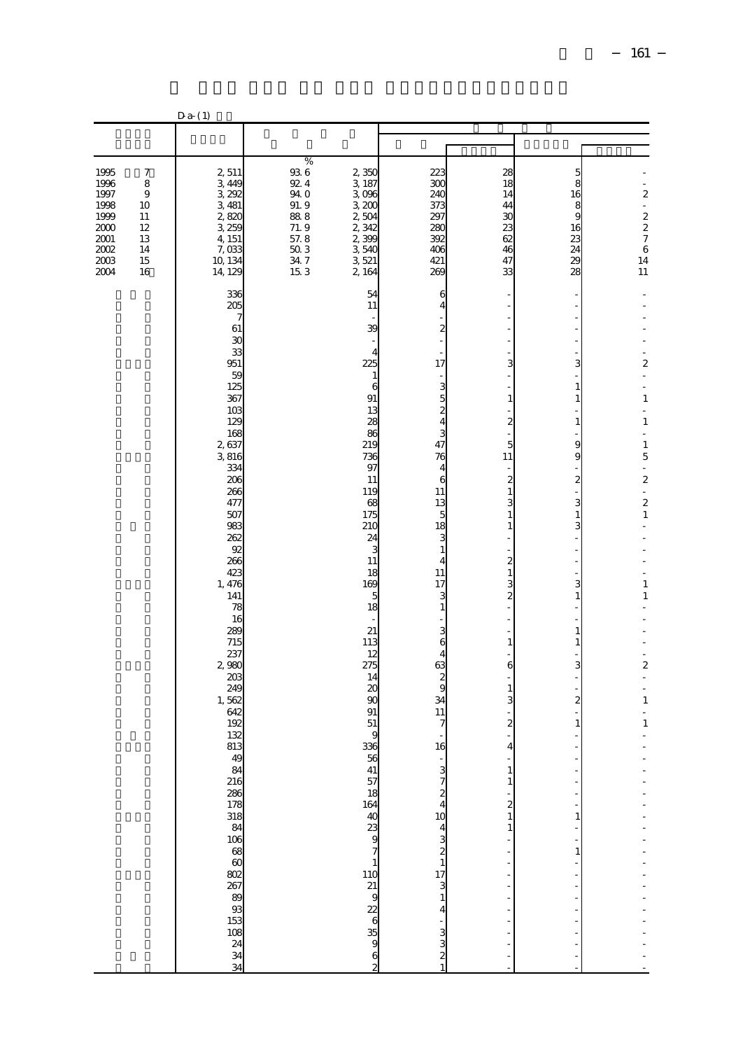|                                                                              |                                                             | $D$ a- $(1)$                                                                                                                                                                                                                                                                                                                                                 |                                                                                       |                                                                                                                                                                                                                                                                                                                                                                                                                  |                                                                                                                                                                                                                                                                                                                                                                        |                                                                                                                                                                                                                                                                      |                                                                                                                                                                                           |                                                                                                                                                                                                                                                                                                                      |
|------------------------------------------------------------------------------|-------------------------------------------------------------|--------------------------------------------------------------------------------------------------------------------------------------------------------------------------------------------------------------------------------------------------------------------------------------------------------------------------------------------------------------|---------------------------------------------------------------------------------------|------------------------------------------------------------------------------------------------------------------------------------------------------------------------------------------------------------------------------------------------------------------------------------------------------------------------------------------------------------------------------------------------------------------|------------------------------------------------------------------------------------------------------------------------------------------------------------------------------------------------------------------------------------------------------------------------------------------------------------------------------------------------------------------------|----------------------------------------------------------------------------------------------------------------------------------------------------------------------------------------------------------------------------------------------------------------------|-------------------------------------------------------------------------------------------------------------------------------------------------------------------------------------------|----------------------------------------------------------------------------------------------------------------------------------------------------------------------------------------------------------------------------------------------------------------------------------------------------------------------|
|                                                                              |                                                             |                                                                                                                                                                                                                                                                                                                                                              |                                                                                       |                                                                                                                                                                                                                                                                                                                                                                                                                  |                                                                                                                                                                                                                                                                                                                                                                        |                                                                                                                                                                                                                                                                      |                                                                                                                                                                                           |                                                                                                                                                                                                                                                                                                                      |
|                                                                              |                                                             |                                                                                                                                                                                                                                                                                                                                                              |                                                                                       |                                                                                                                                                                                                                                                                                                                                                                                                                  |                                                                                                                                                                                                                                                                                                                                                                        |                                                                                                                                                                                                                                                                      |                                                                                                                                                                                           |                                                                                                                                                                                                                                                                                                                      |
| 1995<br>1996<br>1997<br>1998<br>1999<br>2000<br>2001<br>2002<br>2003<br>2004 | 7<br>$\,8\,$<br>9<br>10<br>11<br>12<br>13<br>14<br>15<br>16 | 2,511<br>3,449<br>3, 292<br>3, 481<br>2,820<br>3,259<br>4, 151<br>7,033<br>10, 134<br>14, 129                                                                                                                                                                                                                                                                | $\%$<br>93.6<br>92 4<br>94. O<br>91.9<br>88.8<br>71.9<br>57.8<br>50 3<br>34 7<br>15 3 | 2,350<br>3187<br>3,096<br>3,200<br>2,504<br>2,342<br>2,399<br>3,540<br>3,521<br>2,164                                                                                                                                                                                                                                                                                                                            | 223<br>300<br>24C<br>373<br>297<br>28C<br>392<br>406<br>421<br>269                                                                                                                                                                                                                                                                                                     | 28<br>18<br>14<br>44<br>$\mathfrak{A}$<br>23<br>62<br>46<br>47<br>33                                                                                                                                                                                                 | 5<br>8<br>16<br>8<br>9<br>16<br>23<br>24<br>29<br>28                                                                                                                                      | $\frac{1}{2}$<br>$\frac{2}{\cdot}$<br>$\begin{array}{c}\n2 \\ 2 \\ 7 \\ 6\n\end{array}$<br>14<br>11                                                                                                                                                                                                                  |
|                                                                              |                                                             | 336<br>205<br>$\overline{7}$<br>61<br>30<br>33<br>951<br>59<br>125<br>367<br>103<br>129<br>168<br>2,637<br>3,816<br>334<br>206<br>266<br>477<br>507<br>983<br>262<br>92<br>266<br>423<br>1, 476<br>141<br>78<br>16<br>289<br>715<br>237<br>2,980<br>203<br>249<br>1,562<br>642<br>192<br>132<br>813<br>49<br>84<br>ន ន ន ក្ត ដ ន ន ន ន ន ន ន ន ន ន ន ន ន ន ន |                                                                                       | 54<br>$11\,$<br>39<br>4<br>225<br>$\mathbf{1}$<br>6<br>91<br>13<br>28<br>86<br>219<br>736<br>97<br>11<br>119<br>68<br>175<br>210<br>24<br>3<br>11<br>18<br>169<br>5<br>18<br>21<br>113<br>12<br>275<br>14<br>$\infty$<br>90<br>91<br>51<br>ĉ<br>336<br>$\frac{56}{41}$<br>57<br>18<br>164<br>$rac{40}{9}$<br>$\overline{\phantom{a}}$<br>$\,$ 1 $\,$<br>$\begin{array}{c}\n110 \\ 21 \\ 9\n\end{array}$<br>22680 | 6<br>4<br>$\boldsymbol{z}$<br>17<br>$\frac{3}{5}$<br>$\overline{\mathbf{c}}$<br>4<br>3<br>47<br>76<br>4<br>6<br>11<br>13<br>5<br>18<br>3<br>$\mathbf{1}$<br>4<br>11<br>17<br>3<br>1<br>3<br>6<br>4<br>63<br>$\frac{2}{9}$<br>34<br>$11\,$<br>7<br>16<br>3<br>$\overline{7}$<br>$\frac{2}{4}$<br>10<br>4<br>3<br>$\frac{4}{3}$<br>3<br>4<br>7<br>3<br>$\mathbf{1}$<br>4 | 3<br>$\mathbf{1}$<br>$\overline{\mathbf{c}}$<br>5<br>11<br>$\boldsymbol{2}$<br>1<br>3<br>1<br>1<br>$\overline{\mathbf{c}}$<br>1<br>3<br>$\overline{c}$<br>1<br>6<br>1<br>3<br>$\overline{\mathbf{c}}$<br>4<br>1<br>1<br>$\overline{\mathbf{c}}$<br>1<br>$\mathbf{1}$ | 3<br>$1\,$<br>$\mathbf{1}$<br>$1\,$<br>9<br>9<br>$\boldsymbol{z}$<br>3<br>$1\,$<br>3<br>3<br>$\,1\,$<br>$\mathbf{1}$<br>$\mathbf{1}$<br>3<br>2<br>$\mathbf{1}$<br>÷,<br>1<br>÷<br>$\,1\,$ | $\overline{a}$<br>$\overline{\mathbf{c}}$<br>$\frac{1}{2}$<br>÷,<br>$\,1\,$<br>$\,1\,$<br>$\blacksquare$<br>$\mathbf{1}$<br>5<br>$\overline{\phantom{a}}$<br>$\boldsymbol{z}$<br>$\overline{a}$<br>$\overline{\mathcal{Z}}$<br>$\,1\,$<br>$\mathbf{1}$<br>$\,1\,$<br>٠<br>$\overline{a}$<br>L.<br>$\,1\,$<br>$\,1\,$ |
|                                                                              |                                                             |                                                                                                                                                                                                                                                                                                                                                              |                                                                                       | $\overline{c}$                                                                                                                                                                                                                                                                                                                                                                                                   | $\frac{3}{2}$                                                                                                                                                                                                                                                                                                                                                          |                                                                                                                                                                                                                                                                      |                                                                                                                                                                                           |                                                                                                                                                                                                                                                                                                                      |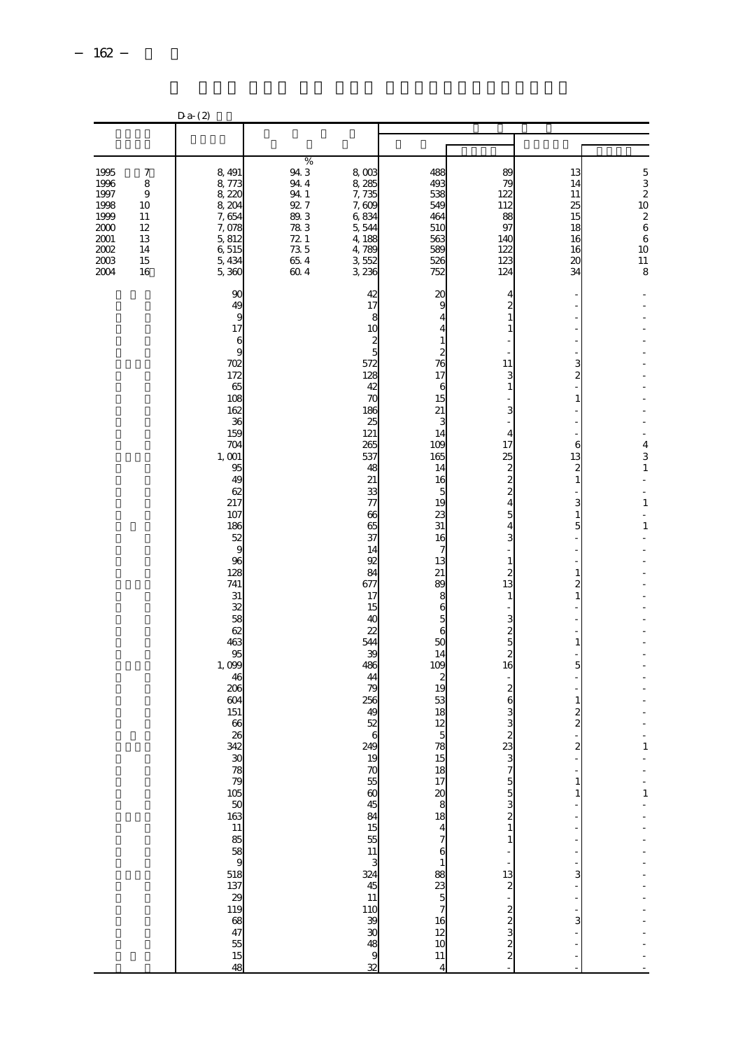|                                                                              |                                                                          | $D$ a- $(2)$                                                                                                                                                                                                                                                                                                                                                                      |                                                                                         |                                                                                                                                                                                                                                                                                                                                                                                                                                                                          |                                                                                                                                                                                                                                                                    |                                                                                                                                                                                                                                                                                                                                                                                                         |                                                                                                                                                                                                                               |                                                                                                                                                                                             |
|------------------------------------------------------------------------------|--------------------------------------------------------------------------|-----------------------------------------------------------------------------------------------------------------------------------------------------------------------------------------------------------------------------------------------------------------------------------------------------------------------------------------------------------------------------------|-----------------------------------------------------------------------------------------|--------------------------------------------------------------------------------------------------------------------------------------------------------------------------------------------------------------------------------------------------------------------------------------------------------------------------------------------------------------------------------------------------------------------------------------------------------------------------|--------------------------------------------------------------------------------------------------------------------------------------------------------------------------------------------------------------------------------------------------------------------|---------------------------------------------------------------------------------------------------------------------------------------------------------------------------------------------------------------------------------------------------------------------------------------------------------------------------------------------------------------------------------------------------------|-------------------------------------------------------------------------------------------------------------------------------------------------------------------------------------------------------------------------------|---------------------------------------------------------------------------------------------------------------------------------------------------------------------------------------------|
|                                                                              |                                                                          |                                                                                                                                                                                                                                                                                                                                                                                   |                                                                                         |                                                                                                                                                                                                                                                                                                                                                                                                                                                                          |                                                                                                                                                                                                                                                                    |                                                                                                                                                                                                                                                                                                                                                                                                         |                                                                                                                                                                                                                               |                                                                                                                                                                                             |
| 1995<br>1996<br>1997<br>1998<br>1999<br>2000<br>2001<br>2002<br>2003<br>2004 | $\boldsymbol{7}$<br>8<br>$\,9$<br>10<br>11<br>12<br>13<br>14<br>15<br>16 | 8, 491<br>8,773<br>8,220<br>8, 204<br>7,654<br>7,078<br>5, 812<br>6,515<br>5, 434<br>5,360                                                                                                                                                                                                                                                                                        | $\%$<br>94.3<br>94.4<br>94.1<br>927<br>89.3<br>78 3<br>721<br>$\frac{73}{66}$ 4<br>60.4 | 8,003<br>8,285<br>7,735<br>7,609<br>6,834<br>5,544<br>4,188<br>4,789<br>3,552<br>3, 236                                                                                                                                                                                                                                                                                                                                                                                  | 488<br>493<br>538<br>54 <sup>C</sup><br>464<br>51C<br>563<br>589<br>526<br>752                                                                                                                                                                                     | 89<br>75<br>122<br>112<br>88<br>97<br>140<br>122<br>123<br>124                                                                                                                                                                                                                                                                                                                                          | 13<br>14<br>11<br>25<br>15<br>18<br>16<br>16<br>20<br>34                                                                                                                                                                      | $\frac{5}{2}$<br>10<br>$\overline{\mathcal{L}}$<br>6<br>$\,$ 6 $\,$<br>$\begin{array}{c} 10 \\ 11 \end{array}$<br>8                                                                         |
|                                                                              |                                                                          | 90<br>49<br>9<br>17<br>6<br>9<br>702<br>172<br>65<br>108<br>162<br>36<br>159<br>704<br>1,001<br>95<br>49<br>62<br>217<br>107<br>186<br>52<br>9<br>96<br>128<br>741<br>31<br>32<br>58<br>62<br>463<br>95<br>1,099<br>46<br>206<br>604<br>151<br>66<br>26<br>342<br>$\mathfrak{X}$<br>ភេមា មិន ក្នុង ក្នុង ក្នុង ក្នុង ក្នុង ក្នុង<br>ដែលមាន ការ ការ ក្នុង ក្នុង<br>$\overline{48}$ |                                                                                         | 42<br>17<br>8<br>1 <sup>C</sup><br>2<br>5<br>572<br>128<br>42<br>70<br>186<br>25<br>121<br>265<br>537<br>48<br>21<br>33<br>77<br>66<br>65<br>37<br>14<br>92<br>84<br>677<br>17<br>15<br>4C<br>$\overline{2}$<br>544<br>$\mathcal{R}$<br>486<br>44<br>79<br>256<br>4 <sup>c</sup><br>52<br>249<br>19<br>$\begin{array}{c} 70 \\ 55 \end{array}$<br>$\infty$<br>45<br>84<br>$\frac{15}{55}$<br>11<br>3<br>324<br>45<br>11<br>110<br>39<br>30<br>48<br>$\overline{9}$<br>32 | 20<br>9<br>4<br>4<br>1<br>$\overline{c}$<br>76<br>17<br>6<br>15<br>21<br>3<br>14<br>109<br>165<br>14<br>16<br>5<br>19<br>23<br>31<br>16<br>7<br>13<br>21<br>89<br>8<br>6<br>5<br>6<br>50<br>14<br>109<br>2<br>19<br>53<br>18<br>12<br>5<br>78<br>15<br>$11\,$<br>4 | 4<br>$\overline{c}$<br>$\mathbf{1}$<br>$\,1\,$<br>11<br>3<br>$\,1$<br>3<br>$\overline{4}$<br>17<br>25<br>2224543<br>$\,1\,$<br>$\overline{\mathcal{Z}}$<br>13<br>$\mathbf{1}$<br>$\begin{array}{c}\n3 \\ 2 \\ 5 \\ 2\n6\n\end{array}$<br>$8 \times 10$ ഗാ<br><b>っ7558211</b><br>$\ddot{\phantom{a}}$<br>$\begin{array}{c} 13 \\ 2 \\ -1 \end{array}$<br>$\frac{1}{2}$ to $\frac{1}{2}$ to $\frac{1}{2}$ | $\frac{3}{2}$<br>$\,1\,$<br>6<br>13<br>$\frac{2}{1}$<br>$\frac{3}{1}$<br>$\overline{5}$<br>$\,1\,$<br>$\frac{2}{1}$<br>$\,1$<br>5<br>$\,1\,$<br>$\frac{2}{2}$<br>$\overline{\mathbf{c}}$<br>$\,1\,$<br>$\mathbf{1}$<br>3<br>3 | ÷<br>4<br>$\frac{3}{1}$<br>÷<br>$\overline{\phantom{a}}$<br>$\mathbf{1}$<br>$\overline{a}$<br>$\mathbf{1}$<br>Ĭ.<br>1<br>$\frac{1}{1}$<br>$\overline{a}$<br>$\frac{1}{1}$<br>$\overline{a}$ |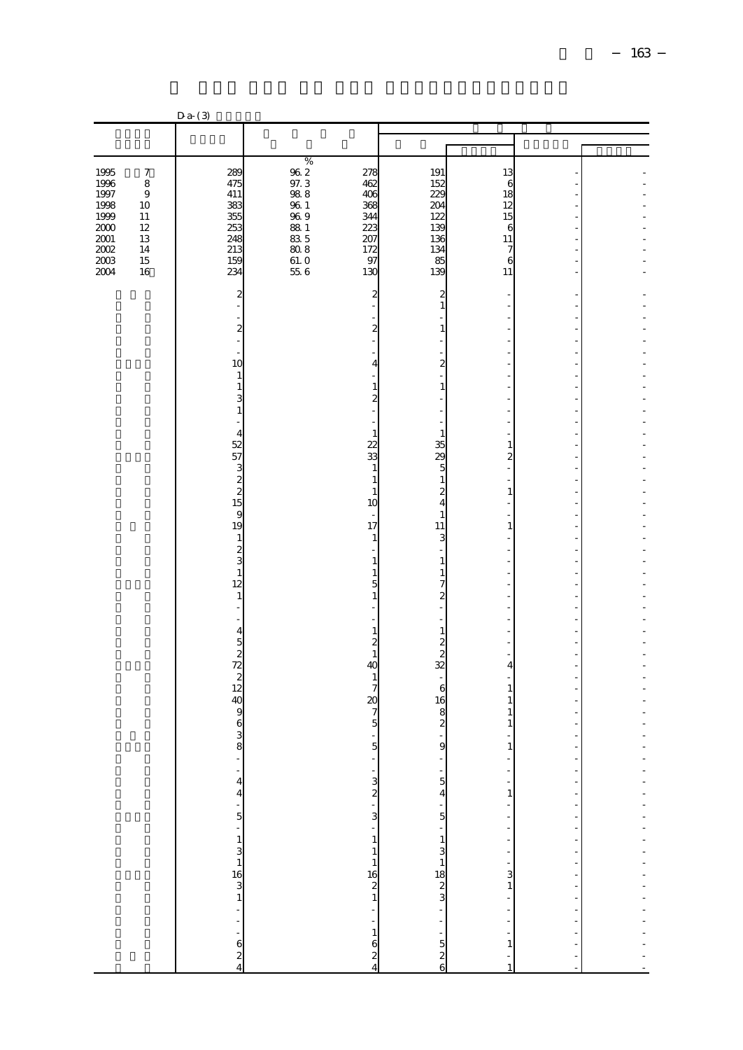|              |                  | $Da-(3)$                                         |                                                                                                                 |                                    |                                                                                                                                            |                      |                                       |
|--------------|------------------|--------------------------------------------------|-----------------------------------------------------------------------------------------------------------------|------------------------------------|--------------------------------------------------------------------------------------------------------------------------------------------|----------------------|---------------------------------------|
|              |                  |                                                  |                                                                                                                 |                                    |                                                                                                                                            |                      |                                       |
|              |                  |                                                  |                                                                                                                 |                                    |                                                                                                                                            |                      |                                       |
|              |                  |                                                  | $\%$                                                                                                            |                                    |                                                                                                                                            |                      |                                       |
| 1995         | $\boldsymbol{7}$ | 289                                              | 962<br>278                                                                                                      | 191                                | 13                                                                                                                                         |                      |                                       |
| 1996         | 8                | 475                                              | 97.3<br>462                                                                                                     | 152                                | 6                                                                                                                                          |                      |                                       |
| 1997         | $\boldsymbol{9}$ | 411                                              | 98.8<br>406                                                                                                     | 225                                | 18                                                                                                                                         |                      |                                       |
| 1998         | 10               | 383                                              | 96 1<br>368                                                                                                     | 204                                | 12                                                                                                                                         |                      |                                       |
| 1999         | 11               | 355                                              | 969<br>344                                                                                                      | 122                                | 15                                                                                                                                         |                      |                                       |
| 2000<br>2001 | 12<br>13         | 253<br>248                                       | 88 1<br>223<br>83 5<br>207                                                                                      | 139<br>136                         | 6<br>11                                                                                                                                    |                      |                                       |
| 2002         | 14               | 213                                              | 808<br>172                                                                                                      | 134                                | 7                                                                                                                                          |                      |                                       |
| 2003         | 15               | 159                                              | 61.0<br>97                                                                                                      | 85                                 | 6                                                                                                                                          |                      |                                       |
| 2004         | 16               | 234                                              | 55.6<br>130                                                                                                     | 139                                | 11                                                                                                                                         |                      |                                       |
|              |                  |                                                  |                                                                                                                 |                                    |                                                                                                                                            |                      |                                       |
|              |                  | $\overline{\mathbf{c}}$                          | $\overline{\mathbf{c}}$                                                                                         | $\overline{\mathbf{c}}$            |                                                                                                                                            |                      |                                       |
|              |                  |                                                  |                                                                                                                 | $\mathbf{1}$                       |                                                                                                                                            |                      |                                       |
|              |                  |                                                  |                                                                                                                 |                                    |                                                                                                                                            |                      |                                       |
|              |                  | $\overline{c}$                                   | $\overline{\mathcal{Z}}$                                                                                        | 1                                  |                                                                                                                                            |                      |                                       |
|              |                  | ÷,                                               |                                                                                                                 |                                    |                                                                                                                                            |                      |                                       |
|              |                  | 10                                               | $\overline{4}$                                                                                                  | $\overline{\mathbf{c}}$            |                                                                                                                                            |                      |                                       |
|              |                  | $\mathbf{1}$                                     |                                                                                                                 |                                    |                                                                                                                                            |                      |                                       |
|              |                  | $\,1\,$                                          | 1                                                                                                               | $\mathbf{1}$                       |                                                                                                                                            |                      |                                       |
|              |                  | 3                                                | $\overline{\mathcal{Z}}$                                                                                        |                                    |                                                                                                                                            |                      |                                       |
|              |                  | $\,1\,$                                          |                                                                                                                 |                                    |                                                                                                                                            |                      |                                       |
|              |                  |                                                  |                                                                                                                 | $\overline{\phantom{a}}$           |                                                                                                                                            |                      |                                       |
|              |                  | $\overline{4}$                                   | $\mathbf{1}$                                                                                                    | $\mathbf{1}$                       |                                                                                                                                            |                      |                                       |
|              |                  | 52                                               | $\overline{2}$                                                                                                  | 35                                 | 1                                                                                                                                          |                      |                                       |
|              |                  | 57                                               | 33                                                                                                              | 29                                 | $\overline{\mathbf{c}}$                                                                                                                    |                      |                                       |
|              |                  | $\begin{array}{c} 3 \\ 2 \\ 2 \\ 15 \end{array}$ | $\mathbf{1}$                                                                                                    | 5                                  |                                                                                                                                            |                      |                                       |
|              |                  |                                                  | $1\,$                                                                                                           | $\mathbf{1}$                       |                                                                                                                                            |                      |                                       |
|              |                  |                                                  | $\mathbf{1}$<br>10                                                                                              | $\boldsymbol{2}$<br>$\overline{4}$ | $\mathbf{1}$                                                                                                                               |                      |                                       |
|              |                  | 9                                                | J.                                                                                                              | $\mathbf{1}$                       |                                                                                                                                            |                      |                                       |
|              |                  | 19                                               | 17                                                                                                              | 11                                 | 1                                                                                                                                          |                      |                                       |
|              |                  | $\,1\,$                                          | 1                                                                                                               | 3                                  |                                                                                                                                            |                      |                                       |
|              |                  |                                                  |                                                                                                                 |                                    |                                                                                                                                            |                      |                                       |
|              |                  | $\frac{2}{3}$                                    | 1                                                                                                               | $\mathbf{1}$                       |                                                                                                                                            |                      |                                       |
|              |                  | $\,1\,$                                          | 1                                                                                                               | 1                                  |                                                                                                                                            |                      |                                       |
|              |                  | 12                                               | 5                                                                                                               | 7                                  |                                                                                                                                            |                      |                                       |
|              |                  | $\,1\,$                                          | 1                                                                                                               | $\boldsymbol{z}$                   |                                                                                                                                            |                      |                                       |
|              |                  |                                                  |                                                                                                                 | ÷,                                 |                                                                                                                                            |                      |                                       |
|              |                  | $\overline{\mathbf{4}}$                          | $\,1\,$                                                                                                         | $\mathbf{1}$                       |                                                                                                                                            |                      |                                       |
|              |                  |                                                  | $\overline{\mathcal{Z}}$                                                                                        | $\boldsymbol{z}$                   |                                                                                                                                            |                      |                                       |
|              |                  |                                                  | $\mathbf{1}$                                                                                                    | $\overline{\mathcal{L}}$           |                                                                                                                                            |                      |                                       |
|              |                  |                                                  | 40                                                                                                              | 32                                 | 4                                                                                                                                          |                      |                                       |
|              |                  | $\frac{5}{2}$<br>$\frac{2}{2}$<br>$\frac{2}{2}$  | $\mathbf{1}$                                                                                                    |                                    |                                                                                                                                            |                      |                                       |
|              |                  |                                                  | $\overline{7}$                                                                                                  | 6                                  | $\mathbf{1}$                                                                                                                               |                      |                                       |
|              |                  | 40                                               | $\infty$                                                                                                        | 16                                 | $\mathbf{1}$                                                                                                                               |                      |                                       |
|              |                  | 9                                                | $\overline{7}$                                                                                                  | $\frac{8}{2}$                      | $\mathbf{1}$                                                                                                                               |                      |                                       |
|              |                  | 6                                                | $\overline{5}$                                                                                                  |                                    | 1                                                                                                                                          |                      |                                       |
|              |                  | $\frac{3}{8}$                                    | 5                                                                                                               | 9                                  | $\mathbf{1}$                                                                                                                               |                      |                                       |
|              |                  |                                                  |                                                                                                                 |                                    |                                                                                                                                            |                      |                                       |
|              |                  |                                                  |                                                                                                                 |                                    |                                                                                                                                            | f                    |                                       |
|              |                  |                                                  |                                                                                                                 |                                    | ł,                                                                                                                                         | f                    |                                       |
|              |                  | $\frac{4}{4}$                                    |                                                                                                                 |                                    | $\,1$                                                                                                                                      | ÷,                   |                                       |
|              |                  |                                                  |                                                                                                                 |                                    | f                                                                                                                                          | ÷                    |                                       |
|              |                  | $\frac{1}{5}$                                    |                                                                                                                 |                                    |                                                                                                                                            | -                    |                                       |
|              |                  |                                                  |                                                                                                                 |                                    | $\begin{aligned} \mathbf{u} & = \mathbf{u} - \mathbf{u} - \mathbf{u} \\ \mathbf{u} & = \mathbf{u} - \mathbf{u} - \mathbf{u} \end{aligned}$ | ÷                    |                                       |
|              |                  |                                                  |                                                                                                                 |                                    |                                                                                                                                            | ÷,                   |                                       |
|              |                  |                                                  |                                                                                                                 |                                    |                                                                                                                                            | $\frac{1}{2}$        |                                       |
|              |                  |                                                  |                                                                                                                 |                                    |                                                                                                                                            |                      |                                       |
|              |                  |                                                  |                                                                                                                 |                                    | $\frac{3}{1}$                                                                                                                              | $\frac{1}{2}$        |                                       |
|              |                  |                                                  |                                                                                                                 |                                    |                                                                                                                                            |                      |                                       |
|              |                  |                                                  |                                                                                                                 |                                    |                                                                                                                                            | f,                   |                                       |
|              |                  | $-24$                                            | . 20 - 20 - 11 - 11 14 15 16 17 18 19 19 10 11 11 12 13 14 14 15 16 17 18 19 19 10 11 11 12 12 13 14 15 16 17 1 |                                    | $\frac{1}{2}$                                                                                                                              |                      | - - - - - - - - - - - - - - - - - - - |
|              |                  |                                                  |                                                                                                                 |                                    |                                                                                                                                            | $\ddot{\phantom{a}}$ |                                       |
|              |                  |                                                  |                                                                                                                 |                                    | $\mathbf{1}$                                                                                                                               | $\ddot{\phantom{a}}$ |                                       |
|              |                  |                                                  |                                                                                                                 |                                    | ÷                                                                                                                                          |                      |                                       |
|              |                  |                                                  |                                                                                                                 |                                    | $\mathbf{1}$                                                                                                                               |                      |                                       |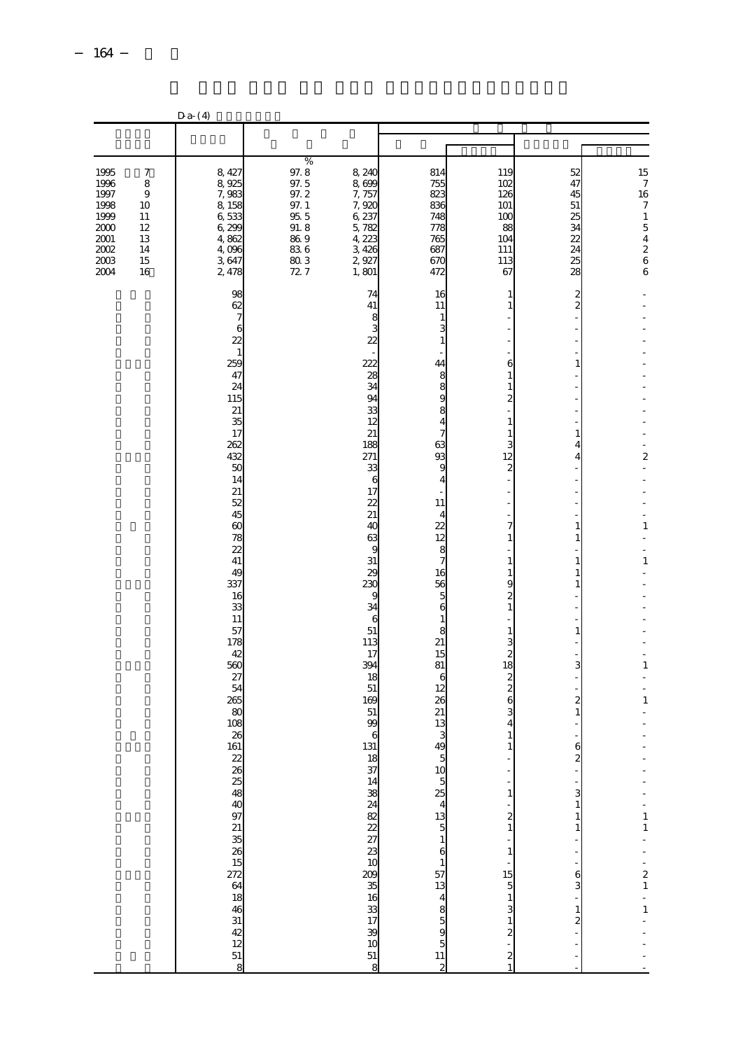|                                                                              |                                                                          | $D a-(4)$                                                                                                                                                                                                                                                                                                                                                                   |                                                                                           |                                                                                                                                                                                                                                                                                                          |                                                                                                                                                                                                                                                                                                                         |                                                                                                                                                                                                                                                                                                           |                                                                                                                                                                                                                                            |                                                                                                                                       |
|------------------------------------------------------------------------------|--------------------------------------------------------------------------|-----------------------------------------------------------------------------------------------------------------------------------------------------------------------------------------------------------------------------------------------------------------------------------------------------------------------------------------------------------------------------|-------------------------------------------------------------------------------------------|----------------------------------------------------------------------------------------------------------------------------------------------------------------------------------------------------------------------------------------------------------------------------------------------------------|-------------------------------------------------------------------------------------------------------------------------------------------------------------------------------------------------------------------------------------------------------------------------------------------------------------------------|-----------------------------------------------------------------------------------------------------------------------------------------------------------------------------------------------------------------------------------------------------------------------------------------------------------|--------------------------------------------------------------------------------------------------------------------------------------------------------------------------------------------------------------------------------------------|---------------------------------------------------------------------------------------------------------------------------------------|
|                                                                              |                                                                          |                                                                                                                                                                                                                                                                                                                                                                             |                                                                                           |                                                                                                                                                                                                                                                                                                          |                                                                                                                                                                                                                                                                                                                         |                                                                                                                                                                                                                                                                                                           |                                                                                                                                                                                                                                            |                                                                                                                                       |
| 1995<br>1996<br>1997<br>1998<br>1999<br>2000<br>2001<br>2002<br>2003<br>2004 | $\boldsymbol{7}$<br>8<br>$\,9$<br>10<br>11<br>12<br>13<br>14<br>15<br>16 | 8, 427<br>8,925<br>7,983<br>8,158<br>6,533<br>6,299<br>4,862<br>4,096<br>3,647<br>2,478                                                                                                                                                                                                                                                                                     | $\%$<br>97.8<br>97.5<br>97.2<br>97.1<br>95.5<br>$91.8$<br>86.9<br>$836$<br>$803$<br>$727$ | 8, 240<br>8,699<br>7,757<br>7,920<br>6,237<br>5,782<br>4, 223<br>3,426<br>2,927<br>1,801                                                                                                                                                                                                                 | 814<br>755<br>823<br>836<br>748<br>778<br>765<br>687<br>67C<br>472                                                                                                                                                                                                                                                      | 119<br>102<br>126<br>101<br>100<br>88<br>104<br>111<br>113<br>67                                                                                                                                                                                                                                          | 52<br>47<br>45<br>$51\,$<br>25<br>34<br>22<br>24<br>25<br>28                                                                                                                                                                               | 15<br>$\begin{array}{c} \n7 \n\end{array}$<br>16<br>$\overline{7}$<br>$\,1\,$<br>$\begin{array}{c} 5 \\ 4 \\ 2 \\ 6 \end{array}$<br>6 |
|                                                                              |                                                                          | 98<br>62<br>$\overline{7}$<br>6<br>22<br>$\mathbf{1}$<br>259<br>47<br>24<br>115<br>21<br>35<br>17<br>262<br>432<br>50<br>14<br>21<br>52<br>45<br>60<br>78<br>$\overline{2}$<br>41<br>49<br>337<br>16<br>33<br>11<br>57<br>178<br>42<br>560<br>27<br>54<br>265<br>8C<br>108<br>26<br>161<br>$\overline{2}$<br><u>មា ក្នុង ក្នុង ក្នុង ក្នុង ក្នុង ក្នុង ក្នុង ក្នុង</u><br>8 |                                                                                           | 74<br>41<br>8<br>3<br>22<br>222<br>28<br>34<br>94<br>33<br>12<br>21<br>188<br>271<br>33<br>6<br>17<br>22<br>21<br>40<br>63<br>9<br>31<br>$\infty$<br>230<br>g<br>34<br>6<br>51<br>113<br>17<br>394<br>18<br>51<br>169<br>51<br>99<br>$\epsilon$<br>131<br>18<br>37<br>14<br>38<br>38233333823<br>51<br>8 | 16<br>11<br>1<br>44<br>8<br>8<br>9<br>8<br>4<br>7<br>63<br>93<br>ç<br>4<br>11<br>4<br>22<br>12<br>8<br>7<br>16<br>56<br>5<br>6<br>1<br>8<br>21<br>15<br>81<br>6<br>12<br>26<br>21<br>13<br>3<br>49<br>10 5 $\frac{1}{3}$ 4 13 5 1<br>6<br>$\frac{1}{11}$ $\frac{1}{11}$ $\frac{1}{11}$ $\frac{1}{11}$<br>$\overline{c}$ | 1<br>1<br>6<br>1<br>2<br>1<br>1<br>3<br>12<br>$\boldsymbol{2}$<br>7<br>1<br>1<br>1<br>9<br>2<br>1<br>1<br>3<br>2<br>18<br>2<br>$\overline{c}$<br>6<br>1<br>1<br>$\,1$<br>$\frac{2}{1}$<br>$\,1\,$<br>$\begin{array}{c}\n15 \\ 5 \\ 1\n\end{array}$<br>3<br>$\frac{1}{2}$<br>ŕ<br>$\overline{\mathcal{Z}}$ | $\frac{2}{2}$<br>1<br>$\mathbf{1}$<br>4<br>4<br>1<br>$\mathbf{1}$<br>$\mathbf{1}$<br>1<br>1<br>$\mathbf{1}$<br>3<br>$\overline{\mathcal{Z}}$<br>$\mathbf{1}$<br>6<br>3<br>$\,1$<br>$\mathbf{1}$<br>$\,1$<br>$\frac{6}{3}$<br>$\frac{1}{2}$ | $\overline{a}$<br>$\overline{\mathbf{c}}$<br>$\,1\,$<br>$\,1\,$<br>1<br>$\,1\,$<br>$-11 - 21 - 1$                                     |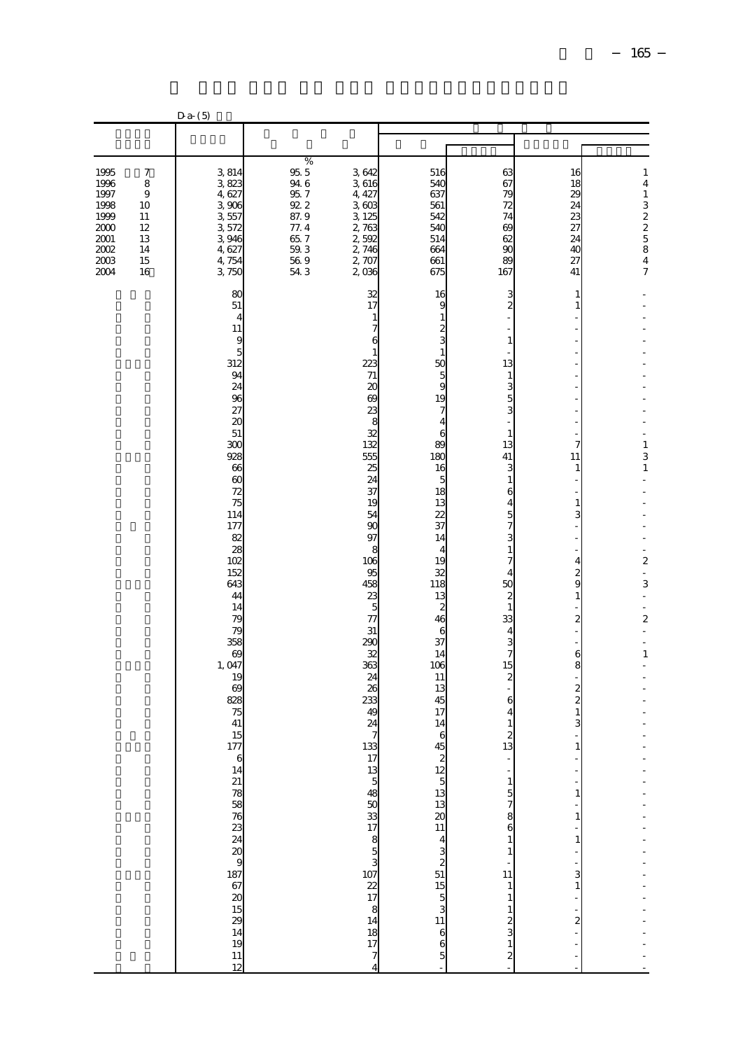|                                                                              |                                                                      | $Da-(5)$                                                                                                                                                                                                                                                                                                                                                                                          |                                                                                     |                                                                                                                                                                                                                                                                                                                                                                                                                                               |                                                                                                                                                                                                                                                                                                                         |                                                                                                                                                                                                                                                                                                                                                                                                                                                |                                                                                                                                                                                                                                                                            |                                                                                                                                                        |
|------------------------------------------------------------------------------|----------------------------------------------------------------------|---------------------------------------------------------------------------------------------------------------------------------------------------------------------------------------------------------------------------------------------------------------------------------------------------------------------------------------------------------------------------------------------------|-------------------------------------------------------------------------------------|-----------------------------------------------------------------------------------------------------------------------------------------------------------------------------------------------------------------------------------------------------------------------------------------------------------------------------------------------------------------------------------------------------------------------------------------------|-------------------------------------------------------------------------------------------------------------------------------------------------------------------------------------------------------------------------------------------------------------------------------------------------------------------------|------------------------------------------------------------------------------------------------------------------------------------------------------------------------------------------------------------------------------------------------------------------------------------------------------------------------------------------------------------------------------------------------------------------------------------------------|----------------------------------------------------------------------------------------------------------------------------------------------------------------------------------------------------------------------------------------------------------------------------|--------------------------------------------------------------------------------------------------------------------------------------------------------|
|                                                                              |                                                                      |                                                                                                                                                                                                                                                                                                                                                                                                   |                                                                                     |                                                                                                                                                                                                                                                                                                                                                                                                                                               |                                                                                                                                                                                                                                                                                                                         |                                                                                                                                                                                                                                                                                                                                                                                                                                                |                                                                                                                                                                                                                                                                            |                                                                                                                                                        |
| 1995<br>1996<br>1997<br>1998<br>1999<br>2000<br>2001<br>2002<br>2003<br>2004 | 7<br>8<br>$\boldsymbol{9}$<br>10<br>11<br>12<br>13<br>14<br>15<br>16 | 3,814<br>3,823<br>4,627<br>3 906<br>3,557<br>3,572<br>3,946<br>4,627<br>4,754<br>3,750                                                                                                                                                                                                                                                                                                            | $\%$<br>95.5<br>94.6<br>95.7<br>92 2<br>87.9<br>77.4<br>65.7<br>$\frac{59.3}{54.3}$ | 3,642<br>3,616<br>4, 427<br>3,603<br>3,125<br>2,763<br>2,592<br>2,746<br>2, 707<br>2,036                                                                                                                                                                                                                                                                                                                                                      | 516<br>540<br>637<br>561<br>542<br>54C<br>514<br>664<br>661<br>675                                                                                                                                                                                                                                                      | 63<br>67<br>79<br>72<br>74<br>69<br>62<br>$_{\rm sc}$<br>89<br>167                                                                                                                                                                                                                                                                                                                                                                             | 16<br>18<br>29<br>24<br>23<br>27<br>24<br>40<br>27<br>41                                                                                                                                                                                                                   | $1\,$<br>$\overline{4}$<br>$\,1\,$<br>3225847                                                                                                          |
|                                                                              |                                                                      | 8C<br>51<br>4<br>11<br>9<br>5<br>312<br>94<br>24<br>96<br>27<br>20<br>51<br>300<br>928<br>66<br>60<br>72<br>75<br>114<br>177<br>82<br>28<br>102<br>152<br>643<br>44<br>14<br>79<br>79<br>358<br>69<br>1,047<br>19<br>69<br>828<br>75<br>41<br>15<br>177<br>C<br>14 21 22 32 32 32 33 34 35 36 37 38 38 39 30 31 32 32 33 34 35 36 37 38 38 39 30 31 32 33 34 35 35 36 37 38 39<br>$\frac{11}{12}$ |                                                                                     | 32<br>17<br>1<br>7<br>6<br>1<br>223<br>71<br>$\infty$<br>69<br>23<br>8<br>32<br>132<br>555<br>25<br>24<br>37<br>19<br>54<br>$\infty$<br>97<br>8<br>106<br>95<br>458<br>23<br>5<br>77<br>31<br>290<br>32<br>363<br>24<br>26<br>233<br>49<br>24<br>7<br>133<br>17<br>13<br>5<br>5<br>5<br>5<br>5<br>5<br>5<br>5<br>5<br>5<br>5<br>5<br>5<br>5<br>5<br><br>5<br>5<br><br><br>5<br>$\begin{array}{c} 18 \\ 17 \\ 7 \end{array}$<br>$\overline{4}$ | 16<br>9<br>$\mathbf{1}$<br>$\frac{2}{3}$<br>$\mathbf{1}$<br>50<br>5<br>9<br>19<br>7<br>4<br>6<br>89<br>180<br>16<br>5<br>18<br>13<br>22<br>37<br>14<br>4<br>19<br>32<br>118<br>13<br>$\overline{c}$<br>46<br>6<br>37<br>14<br>106<br>11<br>13<br>45<br>17<br>14<br>6<br>45<br>12 5 13 13 20 11 4 3 2 51 15 5 3 11 6 6 5 | 3<br>$\overline{c}$<br>1<br>13<br>1<br>3<br>5<br>3<br>1<br>13<br>41<br>3<br>1<br>6<br>4<br>5<br>7<br>3<br>1<br>7<br>4<br>50<br>$\boldsymbol{2}$<br>$\mathbf{1}$<br>33<br>4<br>3<br>7<br>15<br>$\boldsymbol{2}$<br>6<br>4<br>2<br>13<br>$\,1\,$<br>5<br>$\begin{array}{c} 7 \\ 8 \\ 6 \end{array}$<br>$\mathbf{1}$<br>$\mathbf{1}$<br>÷<br>11<br>$\,1\,$<br>$\,1\,$<br>$\mathbf{1}$<br>$\frac{2}{3}$<br>$\,$ 1 $\,$<br>$\overline{\mathcal{Z}}$ | 1<br>1<br>7<br>11<br>1<br>$\mathbf{1}$<br>3<br>4<br>$\frac{2}{9}$<br>$\,1$<br>$\boldsymbol{z}$<br>ä,<br>6<br>8<br>$\frac{2}{2}$<br>$\,1$<br>3<br>1<br>$\,1$<br>1<br>$1\,$<br>$\overline{a}$<br>$\frac{3}{1}$<br>$\frac{1}{2}$<br>$\overline{\mathcal{Z}}$<br>$\frac{1}{1}$ | ÷<br>$\mathbf{1}$<br>$\frac{3}{1}$<br>÷,<br>$\overline{\mathcal{L}}$<br>÷<br>3<br>÷,<br>$\overline{\phantom{a}}$<br>$\mathbf{z}$<br>÷,<br>$\mathbf{1}$ |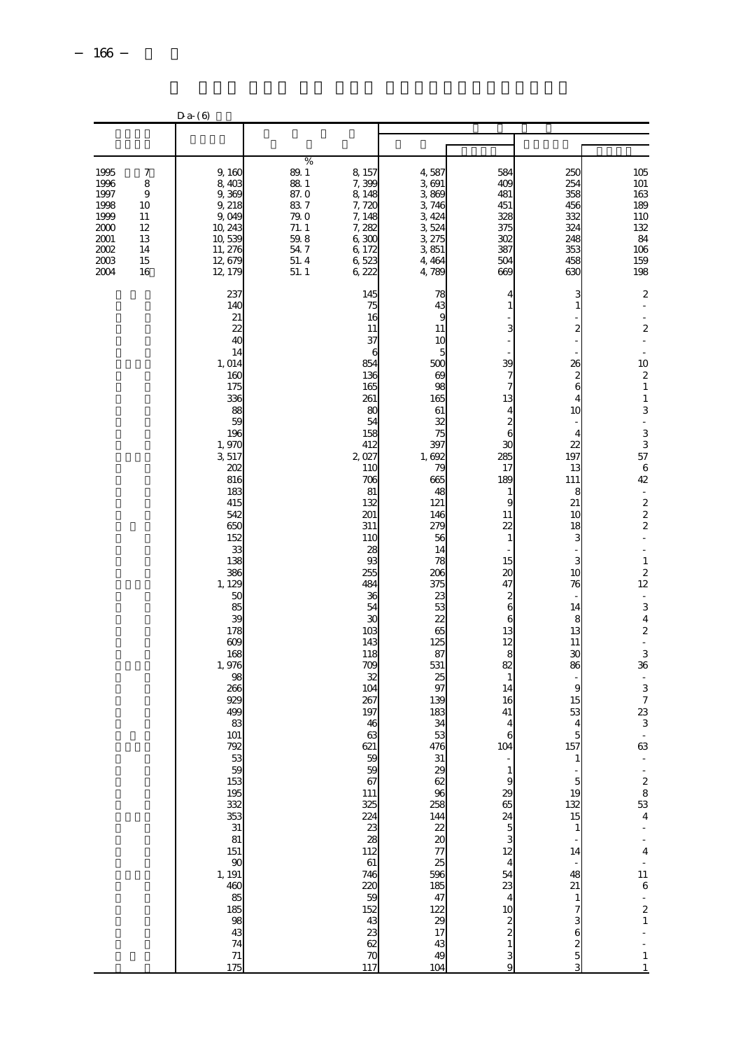|                                                                              |                                                       | $D$ a- $(6)$                                                                                                                                                                                                                                                                                                                                                                                                                            |                                                                                    |                                                                                                                                                                                                                                                                                                                                                                                                                             |                                                                                                                                                                                                                                                                                                                                                                                     |                                                                                                                                                                                                                                                                                                                                                                                       |                                                                                                                                                                                                                                                                                                                                                 |                                                                                                                                                                                                                                                                                                                                                                                                                                                                                                                                                                                                                                                                                                                                                                |
|------------------------------------------------------------------------------|-------------------------------------------------------|-----------------------------------------------------------------------------------------------------------------------------------------------------------------------------------------------------------------------------------------------------------------------------------------------------------------------------------------------------------------------------------------------------------------------------------------|------------------------------------------------------------------------------------|-----------------------------------------------------------------------------------------------------------------------------------------------------------------------------------------------------------------------------------------------------------------------------------------------------------------------------------------------------------------------------------------------------------------------------|-------------------------------------------------------------------------------------------------------------------------------------------------------------------------------------------------------------------------------------------------------------------------------------------------------------------------------------------------------------------------------------|---------------------------------------------------------------------------------------------------------------------------------------------------------------------------------------------------------------------------------------------------------------------------------------------------------------------------------------------------------------------------------------|-------------------------------------------------------------------------------------------------------------------------------------------------------------------------------------------------------------------------------------------------------------------------------------------------------------------------------------------------|----------------------------------------------------------------------------------------------------------------------------------------------------------------------------------------------------------------------------------------------------------------------------------------------------------------------------------------------------------------------------------------------------------------------------------------------------------------------------------------------------------------------------------------------------------------------------------------------------------------------------------------------------------------------------------------------------------------------------------------------------------------|
|                                                                              |                                                       |                                                                                                                                                                                                                                                                                                                                                                                                                                         |                                                                                    |                                                                                                                                                                                                                                                                                                                                                                                                                             |                                                                                                                                                                                                                                                                                                                                                                                     |                                                                                                                                                                                                                                                                                                                                                                                       |                                                                                                                                                                                                                                                                                                                                                 |                                                                                                                                                                                                                                                                                                                                                                                                                                                                                                                                                                                                                                                                                                                                                                |
| 1995<br>1996<br>1997<br>1998<br>1999<br>2000<br>2001<br>2002<br>2003<br>2004 | 7<br>8<br>9<br>10<br>11<br>12<br>13<br>14<br>15<br>16 | 9,160<br>8,403<br>9,369<br>9, 218<br>9,049<br>10, 243<br>10,539<br>11, 276<br>12,679<br>12, 179                                                                                                                                                                                                                                                                                                                                         | $\%$<br>89.1<br>881<br>87.0<br>837<br>79.0<br>71.1<br>59.8<br>54.7<br>51.4<br>51.1 | 8, 157<br>7,399<br>8,148<br>7,720<br>7,148<br>7,282<br>6,300<br>6, 172<br>6,523<br>6,222                                                                                                                                                                                                                                                                                                                                    | 4,587<br>3,691<br>3,869<br>3,746<br>3, 424<br>3,524<br>3, 275<br>3,851<br>4,464<br>4,789                                                                                                                                                                                                                                                                                            | 584<br>40 <sup>c</sup><br>481<br>451<br>328<br>375<br>302<br>387<br>504<br>669                                                                                                                                                                                                                                                                                                        | 25C<br>254<br>358<br>456<br>332<br>324<br>248<br>353<br>458<br>630                                                                                                                                                                                                                                                                              | $\begin{array}{c} 105 \\ 101 \end{array}$<br>163<br>189<br>110<br>132<br>84<br>106<br>159<br>198                                                                                                                                                                                                                                                                                                                                                                                                                                                                                                                                                                                                                                                               |
|                                                                              |                                                       | 237<br>140<br>21<br>22<br>40<br>14<br>1,014<br>160<br>175<br>336<br>88<br>59<br>196<br>1,970<br>3,517<br>202<br>816<br>183<br>415<br>542<br>650<br>152<br>33<br>138<br>386<br>1, 129<br>50<br>85<br>39<br>178<br>609<br>168<br>1,976<br>98<br>266<br>929<br>499<br>83<br>101<br>792<br>53<br>$\frac{59}{153}$<br>153<br>332<br>353<br>31<br>81<br>151<br>$\frac{90}{1,191}$<br>460<br>$\frac{85}{185}$<br>98<br>43<br>74<br>$71$<br>175 |                                                                                    | 145<br>75<br>16<br>11<br>37<br>6<br>854<br>136<br>165<br>261<br>80<br>54<br>158<br>412<br>2027<br>110<br>706<br>81<br>132<br>201<br>311<br>110<br>28<br>93<br>255<br>484<br>36<br>54<br>30<br>103<br>143<br>118<br>709<br>32<br>104<br>267<br>197<br>46<br>63<br>621<br>50<br>59<br>67<br>111<br>325<br>224<br>23<br>$\overline{28}$<br>112<br>61<br>746<br>220<br>59<br>152<br>43<br>23<br>62<br>$\boldsymbol{\pi}$<br>117 | 78<br>43<br>9<br>11<br>10<br>5<br>500<br>69<br>98<br>165<br>61<br>32<br>75<br>397<br>1,692<br>79<br>665<br>48<br>121<br>146<br>279<br>56<br>14<br>78<br>206<br>375<br>23<br>53<br>22<br>65<br>125<br>87<br>531<br>25<br>97<br>139<br>183<br>34<br>53<br>476<br>31<br>29<br>62<br>96<br>258<br>144<br>22<br>20<br>77<br>25<br>596<br>185<br>47<br>122<br>29<br>17<br>43<br>49<br>104 | 4<br>3<br>39<br>7<br>7<br>13<br>4<br>$\overline{\mathbf{c}}$<br>6<br>30<br>285<br>17<br>189<br>1<br>9<br>11<br>22<br>1<br>15<br>20<br>47<br>$\boldsymbol{2}$<br>6<br>6<br>13<br>12<br>8<br>82<br>1<br>14<br>16<br>41<br>4<br>6<br>104<br>1<br>9<br>29<br>65<br>24<br>$\mathbf 5$<br>3<br>12<br>$\overline{4}$<br>54<br>23<br>$\overline{4}$<br>10<br>$\frac{2}{2}$<br>$\,1$<br>3<br>9 | 3<br>$\,1$<br>2<br>26<br>$\boldsymbol{z}$<br>6<br>4<br>10<br>4<br>22<br>197<br>13<br>111<br>8<br>21<br>10<br>18<br>3<br>3<br>10<br>76<br>14<br>8<br>13<br>11<br>30<br>86<br>9<br>15<br>53<br>4<br>5<br>157<br>$\overline{5}$<br>19<br>132<br>15<br>$\,1$<br>14<br>48<br>21<br>$\mathbf{1}$<br>$\frac{7}{3}$<br>$\mathbf{6}$<br>$rac{2}{5}$<br>3 | $\overline{\mathbf{c}}$<br>$\blacksquare$<br>÷<br>$\boldsymbol{2}$<br>$\blacksquare$<br>$\overline{\phantom{a}}$<br>10<br>$\boldsymbol{z}$<br>$\,1\,$<br>$\,1\,$<br>3<br>$\overline{\phantom{a}}$<br>$\frac{3}{3}$<br>57<br>$\epsilon$<br>42<br>$\overline{\phantom{a}}$<br>$\overline{\mathcal{L}}$<br>$\overline{\mathcal{L}}$<br>$\overline{\mathcal{L}}$<br>÷<br>$\mathbf{1}$<br>$\boldsymbol{z}$<br>12<br>$\overline{\phantom{a}}$<br>3<br>$\overline{4}$<br>$\boldsymbol{z}$<br>$\overline{\phantom{a}}$<br>3<br>36<br>$\sim$<br>3<br>$\overline{7}$<br>$rac{23}{3}$<br>63<br>$-28$<br>53<br>4<br>$\frac{1}{4}$<br>$\begin{array}{c} 1 \ \hline 1 \ \hline 6 \end{array}$<br>$\begin{array}{c} 2 \\ 2 \\ 1 \end{array}$<br>$\frac{1}{1}$<br>$\mathbf{1}$ |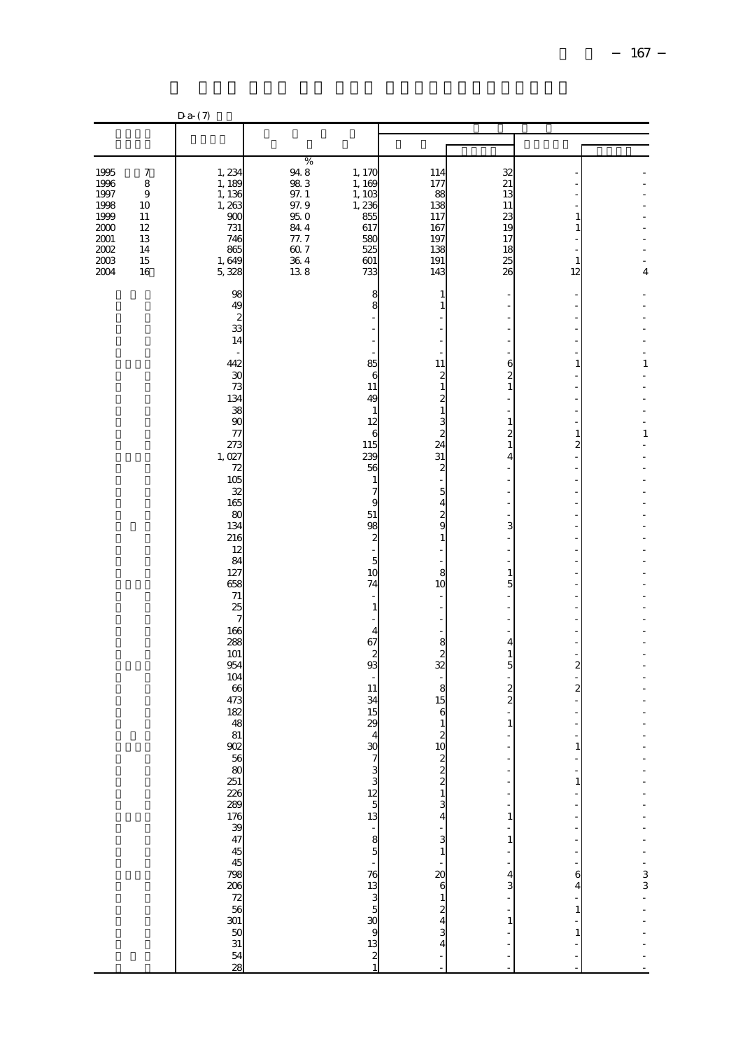|                                                                              |                                                                          | $D$ a- $(7)$                                                                                                   |                                                                                        |                                                                             |                                                                            |                                                                 |                                                     |               |
|------------------------------------------------------------------------------|--------------------------------------------------------------------------|----------------------------------------------------------------------------------------------------------------|----------------------------------------------------------------------------------------|-----------------------------------------------------------------------------|----------------------------------------------------------------------------|-----------------------------------------------------------------|-----------------------------------------------------|---------------|
|                                                                              |                                                                          |                                                                                                                |                                                                                        |                                                                             |                                                                            |                                                                 |                                                     |               |
|                                                                              |                                                                          |                                                                                                                |                                                                                        |                                                                             |                                                                            |                                                                 |                                                     |               |
| 1995<br>1996<br>1997<br>1998<br>1999<br>2000<br>2001<br>2002<br>2003<br>2004 | $\boldsymbol{7}$<br>8<br>$\,9$<br>10<br>11<br>12<br>13<br>14<br>15<br>16 | 1, 234<br>1,189<br>1, 136<br>1, 263<br>900<br>731<br>746<br>865<br>1,649<br>5,328                              | $\%$<br>94.8<br>98.3<br>97.1<br>97.9<br>95.0<br>84.4<br>77. 7<br>60.7<br>$36.4$<br>138 | 1, 170<br>1,169<br>1,103<br>1,236<br>855<br>617<br>580<br>525<br>601<br>733 | 114<br>177<br>88<br>138<br>117<br>167<br>197<br>138<br>191<br>143          | 32<br>21<br>13<br>11<br>23<br>19<br>17<br>18<br>25<br>26        | $\,1\,$<br>1<br>$1\,$<br>12                         | 4             |
|                                                                              |                                                                          | 98<br>49<br>$\boldsymbol{z}$<br>33<br>14<br>$\overline{\phantom{a}}$                                           |                                                                                        | 8<br>8                                                                      | 1                                                                          |                                                                 | $\overline{\phantom{a}}$                            |               |
|                                                                              |                                                                          | 442<br>30<br>73<br>134<br>38<br>$90$                                                                           |                                                                                        | 85<br>6<br>11<br>49<br>$\mathbf{1}$<br>12                                   | 11<br>$\mathbf{z}$<br>1<br>$\boldsymbol{z}$<br>$\mathbf{1}$<br>3           | 6<br>2<br>$\mathbf{1}$<br>$\mathbf{1}$                          | 1                                                   | 1<br>l,       |
|                                                                              |                                                                          | 77<br>273<br>1,027<br>72<br>105<br>32<br>165                                                                   |                                                                                        | 6<br>115<br>239<br>56<br>$\mathbf{1}$<br>$\overline{7}$<br>9                | $\overline{c}$<br>24<br>31<br>$\boldsymbol{z}$<br>5<br>4                   | 2<br>$\mathbf{1}$<br>4                                          | $\,1\,$<br>$\overline{\mathbf{c}}$                  | $\mathbf{1}$  |
|                                                                              |                                                                          | 80<br>134<br>216<br>12<br>84<br>127                                                                            |                                                                                        | 51<br>98<br>$\mathbf{z}$<br>5<br>10                                         | $\boldsymbol{2}$<br>9<br>1<br>8                                            | 3<br>$\mathbf{1}$                                               |                                                     |               |
|                                                                              |                                                                          | 658<br>$71\,$<br>25<br>$\overline{7}$<br>166<br>288                                                            |                                                                                        | 74<br>$\mathbf{1}$<br>4<br>67                                               | 10<br>8                                                                    | 5<br>4                                                          |                                                     |               |
|                                                                              |                                                                          | 101<br>954<br>104<br>66<br>473<br>182<br>48                                                                    |                                                                                        | $\boldsymbol{z}$<br>93<br>11<br>34<br>15<br>29                              | 2<br>32<br>8<br>15<br>6<br>1                                               | $\mathbf{1}$<br>5<br>$\overline{\mathcal{Z}}$<br>$\overline{c}$ | $\overline{\mathbf{c}}$<br>$\overline{\mathcal{Z}}$ |               |
|                                                                              |                                                                          | 81<br>902                                                                                                      |                                                                                        | $\overline{4}$<br>30<br>$\begin{array}{c}\n3 \\ 13\n\end{array}$            | 2<br>10<br>$\overline{\mathcal{L}}$<br>$\overline{\mathcal{Z}}$<br>$\,1\,$ | $\mathbf{1}$                                                    | 1<br>$\,1\,$                                        |               |
|                                                                              |                                                                          | 88 AS 28 AS 28 AS 28 AS 28 AS 28 AS 28 AS 29 AS 29 AS 29 AS 29 AS 29 AS 29 AS 29 AS 29 AS 29 AS 29 AS 29 AS 29 |                                                                                        | ÷<br>$5\sigma$                                                              | 3<br>3<br>$\mathbf{1}$                                                     | $\mathbf{1}$<br>$\mathbf{1}$                                    |                                                     |               |
|                                                                              |                                                                          |                                                                                                                |                                                                                        | 76<br>13<br>3<br>3<br>5<br>3<br>2<br>4<br>3<br>2<br>4<br>3<br>2<br>4<br>3   | 20<br>$\boldsymbol{6}$<br>$1\,$<br>$\overline{\mathcal{Z}}$<br>4<br>3      | 4<br>3<br>$\,1\,$                                               | 6<br>$\overline{4}$<br>$\,1$<br>$\,1\,$             | $\frac{1}{3}$ |
|                                                                              |                                                                          |                                                                                                                |                                                                                        |                                                                             | 4                                                                          |                                                                 |                                                     |               |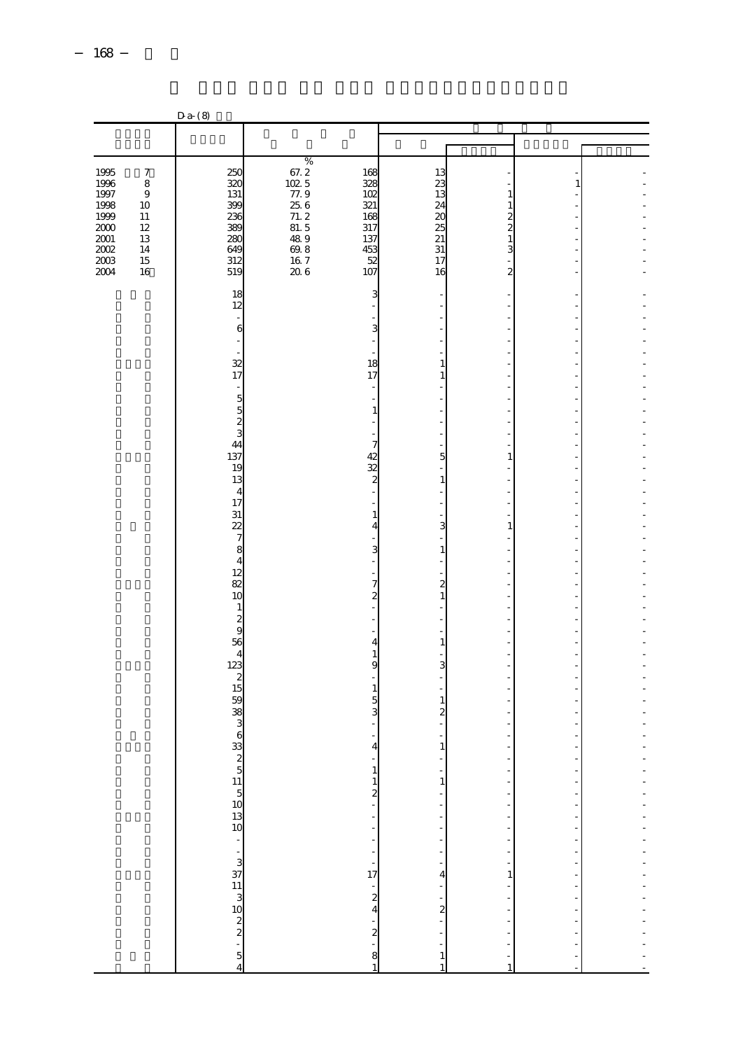|                                                                                                                         |                                                                        | $D$ a- $(8)$                                                                                            |                                                                                                |                                                                                                                                                                                                                  |                                                                                 |                                                                                                                            |                                      |                                              |
|-------------------------------------------------------------------------------------------------------------------------|------------------------------------------------------------------------|---------------------------------------------------------------------------------------------------------|------------------------------------------------------------------------------------------------|------------------------------------------------------------------------------------------------------------------------------------------------------------------------------------------------------------------|---------------------------------------------------------------------------------|----------------------------------------------------------------------------------------------------------------------------|--------------------------------------|----------------------------------------------|
|                                                                                                                         |                                                                        |                                                                                                         |                                                                                                |                                                                                                                                                                                                                  |                                                                                 |                                                                                                                            |                                      |                                              |
|                                                                                                                         |                                                                        |                                                                                                         |                                                                                                |                                                                                                                                                                                                                  |                                                                                 |                                                                                                                            |                                      |                                              |
| $\begin{array}{c} 1995 \\ 1996 \end{array}$<br>1997<br>1998<br>1999<br>2000<br>$2001\,$<br>$2002\,$<br>$2003\,$<br>2004 | $\boldsymbol{7}$<br>8<br>$9$<br>10<br>11<br>12<br>13<br>14<br>15<br>16 | 250<br>320<br>131<br>399<br>236<br>389<br>280<br>649<br>312<br>519                                      | $\%$<br>67.2<br>102.5<br>77.9<br>$25\;6$<br>71.2<br>81.5<br>48.9<br>$69.8\,$<br>$16\ 7$<br>206 | 168<br>328<br>102<br>321<br>168<br>317<br>137<br>453<br>52<br>107                                                                                                                                                | 13<br>$\mathbf{z}$<br>13<br>24<br>$\infty$<br>$\frac{25}{21}$<br>31<br>17<br>16 | 1<br>2<br>$\overline{c}$<br>$\mathbf{1}$<br>3<br>2                                                                         | 1                                    |                                              |
|                                                                                                                         |                                                                        | 18<br>12<br>6<br>32<br>17<br>L.<br>$\begin{array}{c}\n5 \\ 5 \\ 2 \\ 3\n\end{array}$                    |                                                                                                | 3<br>3<br>18<br>17<br>L.<br>÷<br>$\mathbf{1}$                                                                                                                                                                    | $\mathbf{1}$<br>1                                                               |                                                                                                                            |                                      |                                              |
|                                                                                                                         |                                                                        | 137<br>19<br>13<br>$\overline{4}$<br>17<br>31<br>$\frac{22}{7}$                                         |                                                                                                | ÷<br>$\overline{7}$<br>42<br>32<br>$\boldsymbol{z}$<br>$\mathbf{1}$<br>$\overline{4}$                                                                                                                            | 5<br>$\mathbf{1}$<br>3                                                          | 1<br>1                                                                                                                     |                                      |                                              |
|                                                                                                                         |                                                                        | 8<br>$\overline{\mathbf{4}}$<br>12<br>82<br>10<br>$\mathbf{1}$<br>$\frac{2}{9}$<br>56<br>$\overline{4}$ |                                                                                                | 3<br>L,<br>$\overline{7}$<br>$\boldsymbol{z}$<br>4<br>$\mathbf{1}$                                                                                                                                               | $\mathbf{1}$<br>$\overline{a}$<br>$\mathbf{1}$<br>$\mathbf{1}$                  |                                                                                                                            |                                      |                                              |
|                                                                                                                         |                                                                        | $\frac{123}{2}$<br>$\frac{2}{5}$<br>$\frac{5}{3}$<br>$\frac{8}{3}$<br>$\frac{3}{6}$<br>33               |                                                                                                | 9<br>$\mathbf{1}$<br>5<br>3<br>$\overline{4}$                                                                                                                                                                    | 3<br>$\mathbf{1}$<br>2<br>$\mathbf{1}$<br>÷                                     | ÷,                                                                                                                         |                                      |                                              |
|                                                                                                                         |                                                                        |                                                                                                         |                                                                                                | $\frac{1}{2}$<br>$\frac{1}{2}$<br>$\frac{1}{2}$<br>$\frac{1}{2}$<br>$\frac{1}{2}$<br>$\frac{1}{2}$<br>$\frac{1}{2}$<br>$\frac{1}{2}$<br><br><br><br><br><br><br><br><br><br><br><br><br><br><br><br><br><br><br> | $\,1\,$<br>$\overline{\phantom{a}}$<br>$\overline{\phantom{a}}$                 | ł,<br>$\overline{\phantom{a}}$<br>$\overline{\phantom{a}}$<br>$\frac{1}{2}$<br>$\begin{bmatrix} 1 \\ 1 \\ 1 \end{bmatrix}$ | Ĭ.<br>-<br>l,<br>Î,<br>ŀ<br>ł,<br>ł, | $\frac{1}{2}$<br>- - - - - - - - - - - - - - |
|                                                                                                                         |                                                                        |                                                                                                         |                                                                                                | $-24$<br>$-2$<br>$-8$                                                                                                                                                                                            |                                                                                 | $\frac{1}{2}$<br>$\frac{1}{2}$<br>Ĭ.                                                                                       | j<br>$\frac{1}{2}$<br>÷              |                                              |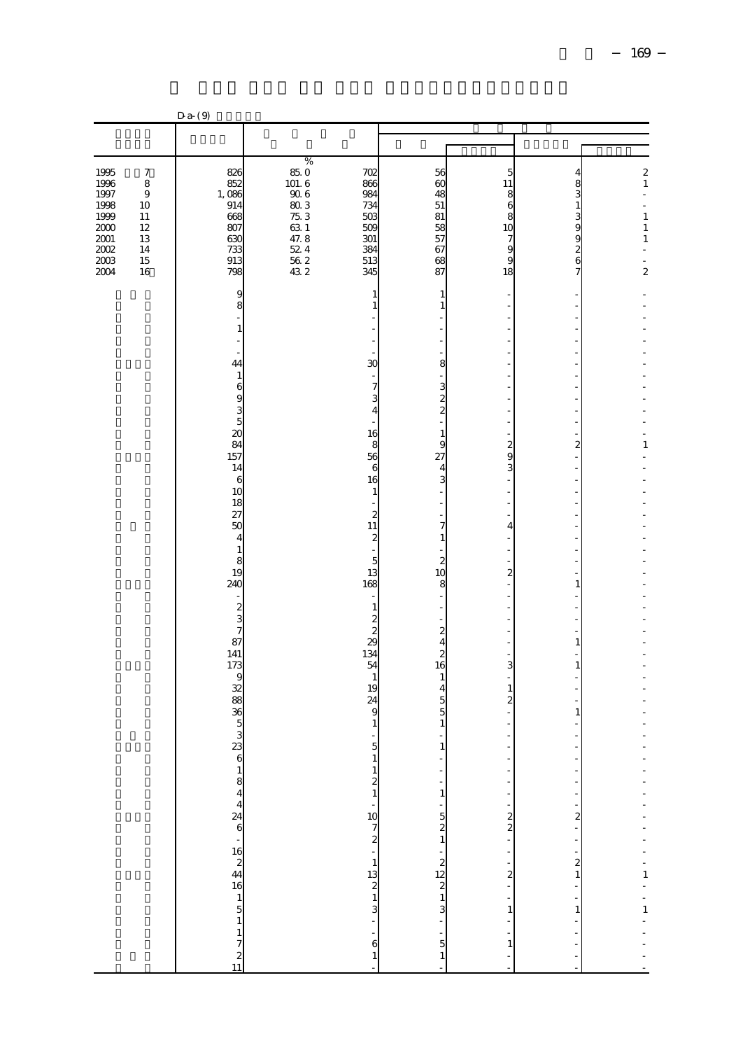|                                                          |                                                  | D a- (9)                                                             |                                                                                                      |                                                          |                                                       |                                                          |                                                                     |                                                                                                                                                                                                                                                                                                                                                                                              |
|----------------------------------------------------------|--------------------------------------------------|----------------------------------------------------------------------|------------------------------------------------------------------------------------------------------|----------------------------------------------------------|-------------------------------------------------------|----------------------------------------------------------|---------------------------------------------------------------------|----------------------------------------------------------------------------------------------------------------------------------------------------------------------------------------------------------------------------------------------------------------------------------------------------------------------------------------------------------------------------------------------|
|                                                          |                                                  |                                                                      |                                                                                                      |                                                          |                                                       |                                                          |                                                                     |                                                                                                                                                                                                                                                                                                                                                                                              |
|                                                          |                                                  |                                                                      |                                                                                                      |                                                          |                                                       |                                                          |                                                                     |                                                                                                                                                                                                                                                                                                                                                                                              |
| 1995<br>1996<br>1997<br>1998<br>1999<br>2000<br>$2001\,$ | 7<br>8<br>$\overline{9}$<br>10<br>11<br>12<br>13 | 826<br>852<br>1,086<br>914<br>668<br>807<br>630                      | $\%$<br>$\begin{matrix} 85.0 \\ 101.6 \end{matrix}$<br>$90\ 6$<br>$80\,3$<br>75.3<br>$63\ 1$<br>47.8 | 702<br>866<br>984<br>734<br>503<br>509<br>301            | 56<br>60<br>48<br>51<br>81<br>58<br>57                | 5<br>11<br>8<br>6<br>8<br>10<br>$\overline{\phantom{a}}$ | 4<br>8<br>3<br>$1\,$<br>3<br>9<br>9                                 | $\begin{smallmatrix}2\\1\end{smallmatrix}$<br>$\frac{1}{2}$<br>L.<br>$\,1\,$<br>$\,1\,$<br>$\,1\,$                                                                                                                                                                                                                                                                                           |
| 2002<br>2003<br>2004                                     | 14<br>15<br>16                                   | 733<br>913<br>798                                                    | 52.4<br>$\frac{56}{43}$ 2                                                                            | 384<br>513<br>345                                        | 67<br>68<br>87                                        | 9<br>g<br>18                                             | $\frac{2}{6}$<br>7                                                  | $\overline{a}$                                                                                                                                                                                                                                                                                                                                                                               |
|                                                          |                                                  | 9<br>8<br>$\,1\,$                                                    |                                                                                                      | 1<br>$\mathbf{1}$                                        | 1<br>$\mathbf{1}$                                     |                                                          |                                                                     |                                                                                                                                                                                                                                                                                                                                                                                              |
|                                                          |                                                  | 44<br>$\mathbf{1}$<br>6                                              |                                                                                                      | 30<br>$\overline{7}$                                     | 8                                                     |                                                          | ٠                                                                   |                                                                                                                                                                                                                                                                                                                                                                                              |
|                                                          |                                                  | 9<br>$\frac{3}{5}$<br>$\infty$                                       |                                                                                                      | 3<br>$\overline{4}$<br>16                                | $\frac{3}{2}$<br>$\mathbf{1}$                         |                                                          | ÷,                                                                  |                                                                                                                                                                                                                                                                                                                                                                                              |
|                                                          |                                                  | 84<br>157<br>14<br>6<br>10                                           |                                                                                                      | 8<br>56<br>6<br>16<br>$\mathbf{1}$                       | 9<br>27<br>$\overline{4}$<br>3                        | $\overline{\mathbf{c}}$<br>9<br>3                        | $\overline{\mathbf{c}}$<br>٠                                        | 1                                                                                                                                                                                                                                                                                                                                                                                            |
|                                                          |                                                  | 18<br>27<br>50<br>$\overline{4}$                                     |                                                                                                      | $\boldsymbol{z}$<br>11<br>$\boldsymbol{z}$               | $\overline{a}$<br>$\overline{7}$<br>$\mathbf{1}$      | 4                                                        |                                                                     |                                                                                                                                                                                                                                                                                                                                                                                              |
|                                                          |                                                  | $\,1\,$<br>8<br>19<br>240                                            |                                                                                                      | ÷,<br>$\overline{5}$<br>13<br>168                        | $\boldsymbol{z}$<br>10<br>8                           | $\overline{\mathbf{c}}$                                  | 1                                                                   |                                                                                                                                                                                                                                                                                                                                                                                              |
|                                                          |                                                  | $\frac{2}{3}$<br>87                                                  |                                                                                                      | $\mathbf{1}$<br>$\boldsymbol{2}$<br>$\overline{c}$<br>29 | ÷,<br>$\overline{\mathcal{Z}}$<br>$\overline{4}$      |                                                          | $\mathbf{1}$                                                        |                                                                                                                                                                                                                                                                                                                                                                                              |
|                                                          |                                                  | 141<br>173<br>9<br>32                                                |                                                                                                      | 134<br>54<br>$\mathbf{1}$<br>19                          | $\overline{\mathcal{Z}}$<br>16<br>1<br>$\overline{4}$ | 3<br>1                                                   | 1                                                                   |                                                                                                                                                                                                                                                                                                                                                                                              |
|                                                          |                                                  | $\overline{88}$<br>$\begin{array}{c}\n 36 \\  5 \\  3\n \end{array}$ |                                                                                                      | 24<br>9<br>1                                             | 5<br>5<br>$\mathbf{1}$                                | $\mathbf{z}$                                             | 1                                                                   |                                                                                                                                                                                                                                                                                                                                                                                              |
|                                                          |                                                  | 23                                                                   |                                                                                                      | 5                                                        | $\mathbf{1}$                                          | f                                                        |                                                                     |                                                                                                                                                                                                                                                                                                                                                                                              |
|                                                          |                                                  |                                                                      |                                                                                                      |                                                          |                                                       |                                                          |                                                                     |                                                                                                                                                                                                                                                                                                                                                                                              |
|                                                          |                                                  | $\begin{array}{c} 61844446 \\ 16246 \\ 16151 \\ 1721 \end{array}$    |                                                                                                      |                                                          | $-1 - 1 - 5$ $2 + 2 + 2$ $2 + 3 - 5$ $1 - 5$          |                                                          |                                                                     | $\frac{1}{2} \frac{1}{2} \frac{1}{2} \frac{1}{2} \frac{1}{2} \frac{1}{2} \frac{1}{2} \frac{1}{2} \frac{1}{2} \frac{1}{2} \frac{1}{2} \frac{1}{2} \frac{1}{2} \frac{1}{2} \frac{1}{2} \frac{1}{2} \frac{1}{2} \frac{1}{2} \frac{1}{2} \frac{1}{2} \frac{1}{2} \frac{1}{2} \frac{1}{2} \frac{1}{2} \frac{1}{2} \frac{1}{2} \frac{1}{2} \frac{1}{2} \frac{1}{2} \frac{1}{2} \frac{1}{2} \frac{$ |
|                                                          |                                                  |                                                                      |                                                                                                      |                                                          |                                                       | $\frac{1}{1}$                                            | $\begin{bmatrix} 1 \\ 1 \end{bmatrix}$                              |                                                                                                                                                                                                                                                                                                                                                                                              |
|                                                          |                                                  |                                                                      |                                                                                                      |                                                          |                                                       | f                                                        | $\begin{bmatrix} 1 & 1 & 1 \\ 1 & 1 & 1 \\ 1 & 1 & 1 \end{bmatrix}$ |                                                                                                                                                                                                                                                                                                                                                                                              |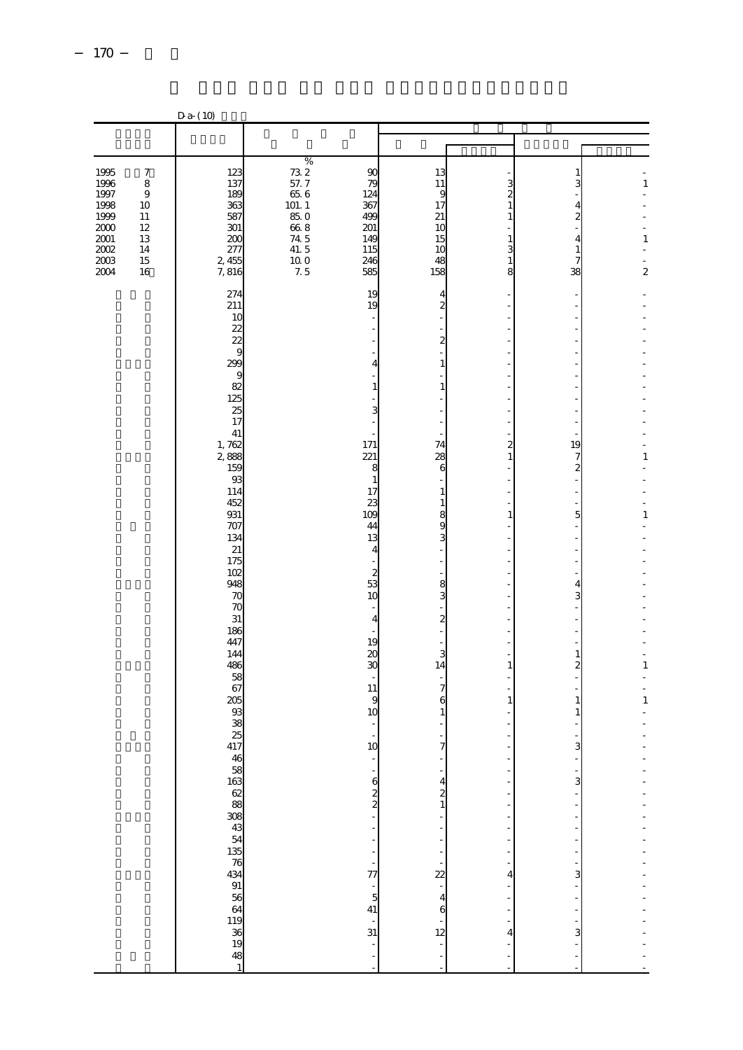|                                                                                          |                                                                          | $D a-(10)$                                                                                                                                                                                                                                                                                                              |                                                                                                  |                                                                                                                                                                                                                                                                                                                                                                                                    |                                                                                                                                                                                                                                                                                                         |                                                             |                                                                                                                                         |                                             |
|------------------------------------------------------------------------------------------|--------------------------------------------------------------------------|-------------------------------------------------------------------------------------------------------------------------------------------------------------------------------------------------------------------------------------------------------------------------------------------------------------------------|--------------------------------------------------------------------------------------------------|----------------------------------------------------------------------------------------------------------------------------------------------------------------------------------------------------------------------------------------------------------------------------------------------------------------------------------------------------------------------------------------------------|---------------------------------------------------------------------------------------------------------------------------------------------------------------------------------------------------------------------------------------------------------------------------------------------------------|-------------------------------------------------------------|-----------------------------------------------------------------------------------------------------------------------------------------|---------------------------------------------|
|                                                                                          |                                                                          |                                                                                                                                                                                                                                                                                                                         |                                                                                                  |                                                                                                                                                                                                                                                                                                                                                                                                    |                                                                                                                                                                                                                                                                                                         |                                                             |                                                                                                                                         |                                             |
| 1995<br>1996<br>1997<br>1998<br>1999<br>2000<br>$2001\,$<br>$2002\,$<br>$2003\,$<br>2004 | $\boldsymbol{7}$<br>8<br>$\,9$<br>10<br>11<br>12<br>13<br>14<br>15<br>16 | 123<br>137<br>189<br>363<br>587<br>301<br>200<br>277<br>2,455<br>7,816                                                                                                                                                                                                                                                  | $\%$<br>$\frac{73}{57}$ . 7<br>65.6<br>101.1<br>85.O<br>668<br>74.5<br>41.5<br><b>100</b><br>7.5 | 90<br>79<br>124<br>367<br>499<br>201<br>149<br>115<br>246<br>585                                                                                                                                                                                                                                                                                                                                   | 13<br>11<br>9<br>17<br>$21\,$<br>10<br>15<br>10<br>48<br>158                                                                                                                                                                                                                                            | 3<br>2<br>1<br>1<br>3<br>1<br>8                             | 1<br>3<br>4<br>$\overline{\mathcal{Z}}$<br>$\overline{4}$<br>$\mathbf{1}$<br>$\overline{7}$<br>38                                       | $\,1$<br>$\,1\,$<br>$\overline{\mathbf{c}}$ |
|                                                                                          |                                                                          | 274<br>211<br>10<br>22<br>22<br>9<br>299<br>9<br>82<br>125<br>25<br>17<br>41<br>1,762<br>2,888<br>159<br>93<br>114<br>452<br>931<br>707<br>134<br>21<br>175<br>102<br>948<br>70<br>70<br>31<br>186<br>447<br>144<br>486<br>58<br>67<br>205<br>93<br>38<br>25<br>417<br>\$\$\$\$\$\$\$\$\$\$\$\$\$\$\$\$\$\$\$\$\$\$\$\$ |                                                                                                  | 19<br>19<br>$\overline{4}$<br>$\mathbf{1}$<br>3<br>÷,<br>171<br>221<br>8<br>$\mathbf{1}$<br>17<br>23<br>109<br>44<br>13<br>$\overline{4}$<br>$\boldsymbol{z}$<br>53<br>10<br>J.<br>$\overline{4}$<br>19<br>$\infty$<br>30<br>11<br>9<br>10<br>$\overline{\phantom{a}}$<br>10<br>÷<br>$\frac{6}{2}$ $\frac{8}{2}$<br>$\frac{1}{2}$<br>÷<br>$\frac{5}{41}$<br>$\frac{1}{31}$<br>$\ddot{\phantom{0}}$ | 4<br>$\boldsymbol{z}$<br>$\boldsymbol{z}$<br>$\mathbf{1}$<br>$\mathbf{1}$<br>74<br>28<br>6<br>$\mathbf{1}$<br>1<br>8<br>9<br>3<br>8<br>3<br>$\overline{\mathcal{Z}}$<br>3<br>14<br>$\overline{7}$<br>6<br>1<br>-<br>$\overline{7}$<br>f<br>$\overline{4}$<br>$\frac{2}{1}$<br>f<br>$\ddot{\phantom{0}}$ | $\overline{\mathbf{c}}$<br>1<br>1<br>1<br>1<br>ł,<br>4<br>4 | 19<br>7<br>$\boldsymbol{z}$<br>5<br>4<br>3<br>$\mathbf{1}$<br>$\overline{a}$<br>1<br>$\mathbf{1}$<br>3<br>÷,<br>3<br>3<br>÷,<br>3<br>ł, | ÷<br>1<br>$\mathbf{1}$<br>1<br>$\mathbf{1}$ |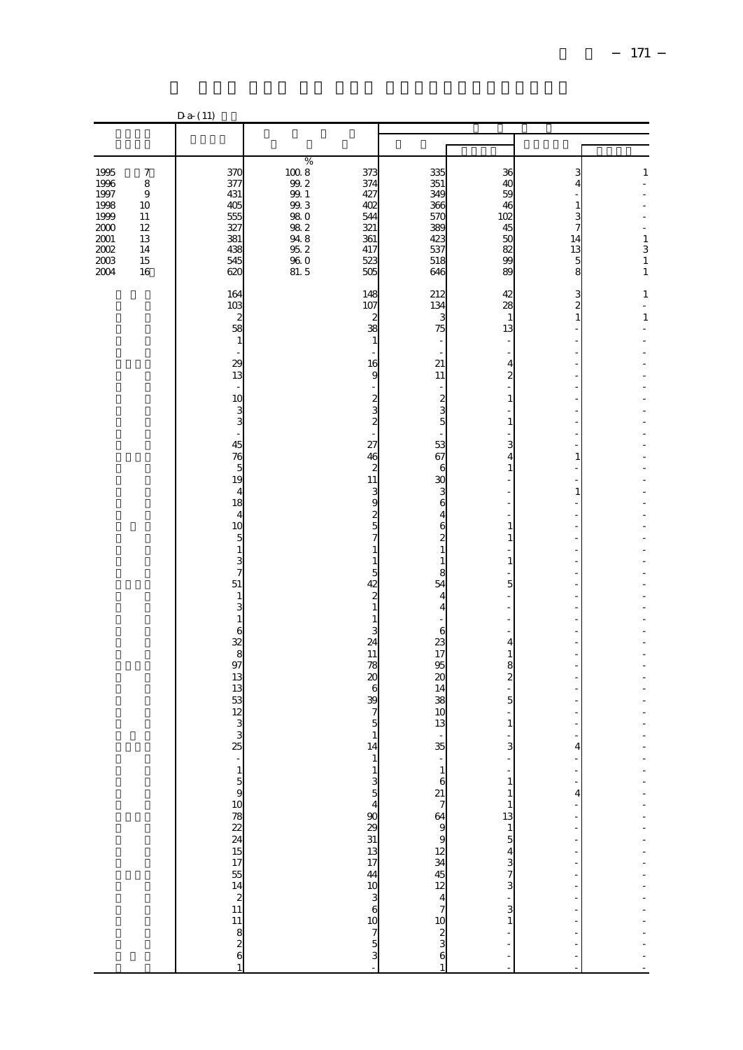|                                                                          |                                                              | $D a-(11)$                                                                            |                                                                                                       |                                                             |                                                                                                                                       |                                                     |                                                   |                                  |
|--------------------------------------------------------------------------|--------------------------------------------------------------|---------------------------------------------------------------------------------------|-------------------------------------------------------------------------------------------------------|-------------------------------------------------------------|---------------------------------------------------------------------------------------------------------------------------------------|-----------------------------------------------------|---------------------------------------------------|----------------------------------|
|                                                                          |                                                              |                                                                                       |                                                                                                       |                                                             |                                                                                                                                       |                                                     |                                                   |                                  |
|                                                                          |                                                              |                                                                                       |                                                                                                       |                                                             |                                                                                                                                       |                                                     |                                                   |                                  |
| 1995<br>1996<br>1997<br>1998<br>1999<br>2000<br>$2001\,$<br>2002<br>2003 | 7<br>8<br>$\overline{9}$<br>10<br>11<br>12<br>13<br>14<br>15 | 370<br>377<br>431<br>405<br>555<br>327<br>381<br>438<br>545                           | $\%$<br>$100\ 8$<br>99.2<br>99.1<br>$99.3$<br><b>980</b><br>$98\ 2$<br>$94\ 8$<br>$95.2\,$<br>$96\ 0$ | 373<br>374<br>427<br>402<br>544<br>321<br>361<br>417<br>523 | 335<br>351<br>349<br>366<br>570<br>389<br>423<br>537<br>518                                                                           | 36<br>40<br>59<br>46<br>102<br>45<br>50<br>82<br>99 | 3<br>4<br>$\mathbf{1}$<br>3<br>7<br>14<br>13<br>5 | $\,1$<br>$\,1\,$<br>3<br>$\,1\,$ |
| 2004                                                                     | 16                                                           | 620                                                                                   | 81.5                                                                                                  | 505                                                         | 646                                                                                                                                   | 89                                                  | 8                                                 | $\mathbf{1}$                     |
|                                                                          |                                                              | 164<br>103<br>$\boldsymbol{z}$<br>58<br>$\mathbf{1}$                                  |                                                                                                       | 148<br>107<br>$\boldsymbol{z}$<br>38<br>$\mathbf{1}$        | 212<br>134<br>3<br>75                                                                                                                 | 42<br>28<br>1<br>13                                 | 3<br>$\overline{c}$<br>$\,1\,$                    | $\mathbf{1}$<br>$\,1\,$          |
|                                                                          |                                                              | 29<br>13                                                                              |                                                                                                       | 16<br>9                                                     | 21<br>11                                                                                                                              | 4<br>$\boldsymbol{z}$                               |                                                   |                                  |
|                                                                          |                                                              | ÷<br>10                                                                               |                                                                                                       | $\boldsymbol{z}$                                            | ÷,                                                                                                                                    | 1                                                   |                                                   |                                  |
|                                                                          |                                                              | $\frac{3}{3}$                                                                         |                                                                                                       | 3<br>$\overline{\mathcal{L}}$                               | $rac{2}{5}$                                                                                                                           | 1                                                   |                                                   |                                  |
|                                                                          |                                                              | 45                                                                                    |                                                                                                       | 27                                                          | 53                                                                                                                                    | 3                                                   |                                                   |                                  |
|                                                                          |                                                              | $\begin{array}{c} \n76 \\ 5\n\end{array}$                                             |                                                                                                       | 46<br>$\overline{\mathcal{Z}}$                              | 67<br>6                                                                                                                               | 4<br>1                                              | 1                                                 |                                  |
|                                                                          |                                                              | 19<br>$\overline{4}$                                                                  |                                                                                                       | 11<br>3                                                     | 30<br>3                                                                                                                               |                                                     | $\mathbf{1}$                                      |                                  |
|                                                                          |                                                              | 18<br>$\overline{4}$                                                                  |                                                                                                       | 9                                                           | 6<br>4                                                                                                                                |                                                     | ٠                                                 |                                  |
|                                                                          |                                                              | 10<br>5                                                                               |                                                                                                       | $rac{2}{5}$<br>$\overline{7}$                               | 6<br>$\overline{\mathcal{Z}}$                                                                                                         | 1<br>1                                              | ÷,                                                |                                  |
|                                                                          |                                                              | $\,1\,$                                                                               |                                                                                                       | $\mathbf{1}$<br>$\,1\,$                                     | $\mathbf{1}$<br>$\mathbf{1}$                                                                                                          | 1                                                   |                                                   |                                  |
|                                                                          |                                                              | $\frac{3}{7}$                                                                         |                                                                                                       | 5                                                           | 8<br>54                                                                                                                               | 5                                                   |                                                   |                                  |
|                                                                          |                                                              | 51<br>$\mathbf{1}$                                                                    |                                                                                                       | 42<br>$\boldsymbol{z}$                                      | $\overline{4}$                                                                                                                        |                                                     |                                                   |                                  |
|                                                                          |                                                              | 3<br>$\,1\,$                                                                          |                                                                                                       | $\mathbf{1}$<br>$\mathbf{1}$                                | $\overline{4}$                                                                                                                        |                                                     | J.<br>÷                                           |                                  |
|                                                                          |                                                              | $\boldsymbol{6}$<br>$\frac{32}{8}$                                                    |                                                                                                       | 3<br>24                                                     | 6<br>23                                                                                                                               | 4                                                   |                                                   |                                  |
|                                                                          |                                                              | 97                                                                                    |                                                                                                       | 11<br>78                                                    | 17<br>95                                                                                                                              | 1<br>8                                              | ÷                                                 |                                  |
|                                                                          |                                                              | 13<br>13                                                                              |                                                                                                       | $\infty$<br>6                                               | 20<br>14                                                                                                                              | $\overline{\mathbf{c}}$                             | ÷,                                                |                                  |
|                                                                          |                                                              | 53<br>12                                                                              |                                                                                                       | 39<br>$\overline{7}$                                        | 38<br>10                                                                                                                              | 5                                                   |                                                   |                                  |
|                                                                          |                                                              | $\frac{3}{3}$                                                                         |                                                                                                       | 5<br>$\mathbf{1}$                                           | 13                                                                                                                                    | 1                                                   |                                                   |                                  |
|                                                                          |                                                              | 25                                                                                    |                                                                                                       | 14                                                          | 35                                                                                                                                    | 3                                                   | 4                                                 |                                  |
|                                                                          |                                                              |                                                                                       |                                                                                                       |                                                             |                                                                                                                                       | $\,1\,$                                             | $\frac{1}{2}$                                     |                                  |
|                                                                          |                                                              |                                                                                       |                                                                                                       |                                                             |                                                                                                                                       | $1\,$<br>$\mathbf{1}$                               | $\overline{4}$                                    |                                  |
|                                                                          |                                                              |                                                                                       |                                                                                                       |                                                             |                                                                                                                                       | 13                                                  | $\frac{1}{2}$                                     | $\overline{a}$                   |
|                                                                          |                                                              |                                                                                       |                                                                                                       |                                                             |                                                                                                                                       | $\frac{1}{5}$                                       |                                                   |                                  |
|                                                                          |                                                              |                                                                                       |                                                                                                       |                                                             |                                                                                                                                       | $\begin{array}{c}\n4 \\ 3 \\ 7 \\ 3\n\end{array}$   | $\frac{1}{2}$                                     |                                  |
|                                                                          |                                                              | $\begin{array}{c}\n 15900 \\  10782241517 \\  15142111826 \\  11118261\n \end{array}$ |                                                                                                       | - - - - - - - 8 8 9 9 5 5 5 5 5 6 7 5 م 5 م 7 5 م 7 8 - -   | $\begin{array}{c}\n1 & 6 & 21 \\ 6 & 21 & 7 \\ 7 & 44 & 9 \\ 8 & 9 & 9 \\ 12 & 34 & 45 \\ 12 & 4 & 7 \\ 10 & 2 & 3 \\ 6\n\end{array}$ |                                                     | $\frac{1}{2}$                                     | $\frac{1}{2}$                    |
|                                                                          |                                                              |                                                                                       |                                                                                                       |                                                             |                                                                                                                                       | $\frac{1}{3}$                                       |                                                   |                                  |
|                                                                          |                                                              |                                                                                       |                                                                                                       |                                                             |                                                                                                                                       |                                                     | - - - - - - - - -                                 |                                  |
|                                                                          |                                                              |                                                                                       |                                                                                                       |                                                             |                                                                                                                                       | $\frac{1}{2}$                                       |                                                   |                                  |
|                                                                          |                                                              |                                                                                       |                                                                                                       |                                                             | $\mathbf{1}$                                                                                                                          |                                                     |                                                   |                                  |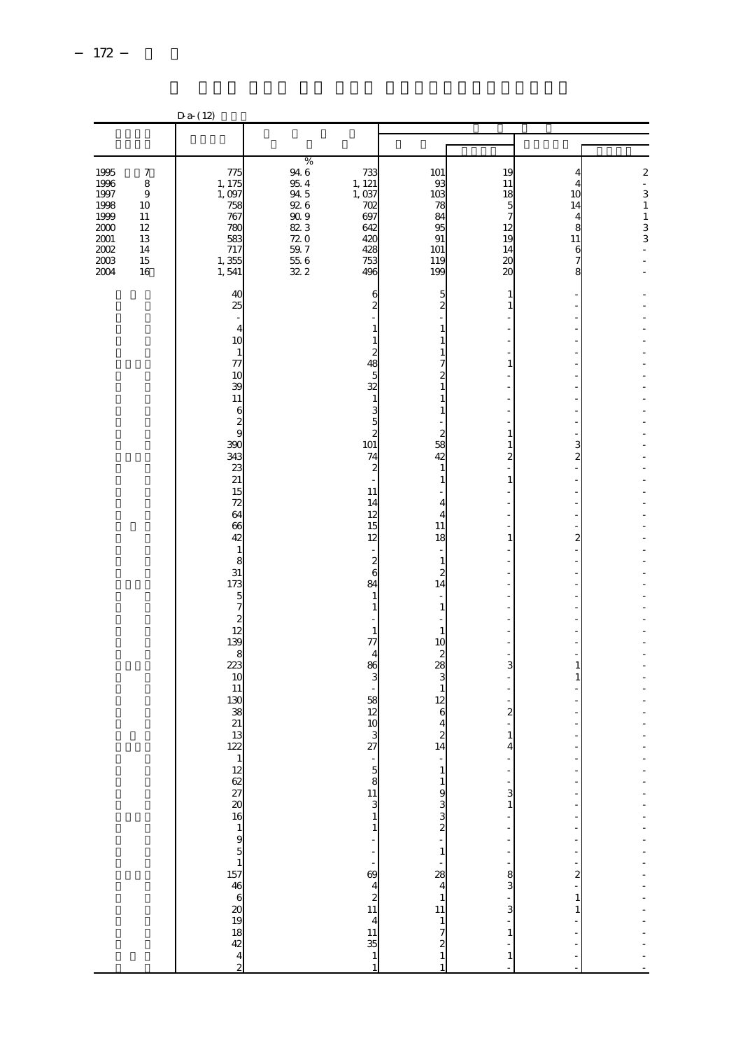|                                                                                                                                                                                                         | $D a-(12)$                                                                                                                                                                                                                                                                                                                                                     |                                                                                                             |                                                                                                                                                                                                                                                                                                                                                                                                                                                                                                                |                                                                                                                                                                                                                                                                                                                                                                                                                                                                                                                                                        |                                                                                                                                                                                                                                                                           |                                                                                                                              |                                                          |
|---------------------------------------------------------------------------------------------------------------------------------------------------------------------------------------------------------|----------------------------------------------------------------------------------------------------------------------------------------------------------------------------------------------------------------------------------------------------------------------------------------------------------------------------------------------------------------|-------------------------------------------------------------------------------------------------------------|----------------------------------------------------------------------------------------------------------------------------------------------------------------------------------------------------------------------------------------------------------------------------------------------------------------------------------------------------------------------------------------------------------------------------------------------------------------------------------------------------------------|--------------------------------------------------------------------------------------------------------------------------------------------------------------------------------------------------------------------------------------------------------------------------------------------------------------------------------------------------------------------------------------------------------------------------------------------------------------------------------------------------------------------------------------------------------|---------------------------------------------------------------------------------------------------------------------------------------------------------------------------------------------------------------------------------------------------------------------------|------------------------------------------------------------------------------------------------------------------------------|----------------------------------------------------------|
|                                                                                                                                                                                                         |                                                                                                                                                                                                                                                                                                                                                                |                                                                                                             |                                                                                                                                                                                                                                                                                                                                                                                                                                                                                                                |                                                                                                                                                                                                                                                                                                                                                                                                                                                                                                                                                        |                                                                                                                                                                                                                                                                           |                                                                                                                              |                                                          |
| $\begin{array}{c} 1995 \\ 1996 \end{array}$<br>$\boldsymbol{7}$<br>$\,8\,$<br>1997<br>$9$<br>1998<br>10<br>1999<br>11<br>2000<br>12<br>$2001\,$<br>13<br>$2002\,$<br>14<br>$2003\,$<br>15<br>2004<br>16 | 775<br>1, 175<br>1,097<br>758<br>767<br><b>780</b><br>583<br>717<br>1,355<br>1,541                                                                                                                                                                                                                                                                             | $\%$<br>$94\ 6$<br>$95\ 4$<br>$94\,5$<br>$92\ 6$<br>$90\;9$<br>82 3<br>720<br>$59.7\,$<br>$\frac{55}{32}$ 6 | $733$<br>1, 121<br>1,037<br>702<br>697<br>642<br>42C<br>428<br>753<br>496                                                                                                                                                                                                                                                                                                                                                                                                                                      | 101<br>93<br>103<br>78<br>84<br>95<br>91<br>101<br>119<br>199                                                                                                                                                                                                                                                                                                                                                                                                                                                                                          | 19<br>11<br>18<br>$\overline{5}$<br>$\overline{7}$<br>12<br>19<br>14<br>20<br>20                                                                                                                                                                                          | 4<br>$\overline{4}$<br>10<br>14<br>$\begin{array}{c} 4 \\ 8 \end{array}$<br>11<br>$\begin{array}{c} 6 \\ 7 \\ 8 \end{array}$ | $\boldsymbol{z}$<br>÷,<br>$\frac{3}{1}$<br>$\frac{1}{3}$ |
|                                                                                                                                                                                                         | 40<br>25<br>$\overline{4}$<br>10<br>$\mathbf{1}$<br>77<br>10<br>$\overline{39}$<br>11<br>6<br>$\frac{2}{9}$<br>390<br>343<br>23<br>21<br>15<br>72<br>64<br>66<br>42<br>$\mathbf{1}$<br>$\begin{array}{c} 8 \\ 31 \end{array}$<br>173<br>$\frac{5}{7}$<br>$\begin{array}{c} 2 \\ 12 \end{array}$<br>139<br>8<br>223<br>10<br>11<br>130<br>38<br>21<br>13<br>122 |                                                                                                             | 6<br>٤<br>1<br>$\overline{\mathbf{z}}$<br>48<br>5<br>32<br>$\mathbf{1}$<br>3<br>5<br>$\overline{\mathbf{z}}$<br>101<br>74<br>$\overline{\mathbf{z}}$<br>11<br>14<br>12<br>15<br>12<br>$\boldsymbol{z}$<br>6<br>84<br>1<br>1<br>1<br>77<br>$\overline{4}$<br>86<br>3<br>58<br>12<br>10<br>3<br>27<br>5<br>8<br>$\frac{11}{3}$<br>$\mathbf{1}$<br>$\frac{1}{69}$<br>$\overline{\mathbf{4}}$<br>$\begin{array}{c} 2 \\ 11 \end{array}$<br>$\overline{\mathbf{4}}$<br>$\begin{array}{c} 11 \\ 35 \\ 1 \end{array}$ | 5<br>$\overline{\mathcal{Z}}$<br>1<br>$\mathbf{1}$<br>1<br>7<br>$\overline{\mathcal{Z}}$<br>$\mathbf{1}$<br>1<br>$\mathbf{1}$<br>$\boldsymbol{z}$<br>58<br>42<br>1<br>$\mathbf{1}$<br>4<br>$\overline{4}$<br>11<br>18<br>1<br>$\boldsymbol{z}$<br>14<br>$\mathbf{1}$<br>$\mathbf{1}$<br>10<br>$\mathbf{z}$<br>28<br>3<br>1<br>12<br>6<br>4<br>$\boldsymbol{z}$<br>14<br>$\mathbf{1}$<br>$\,1\,$<br>9<br>$\frac{3}{2}$<br>$\,1\,$<br>$\frac{28}{4}$<br>$\,1\,$<br>11<br>$\,1$<br>$\overline{\phantom{a}}$<br>$\begin{smallmatrix}2\\1\end{smallmatrix}$ | 1<br>1<br>1<br>$\mathbf{1}$<br>$\mathbf{1}$<br>$\overline{\mathbf{c}}$<br>L<br>$\,1\,$<br>$1\,$<br>3<br>$\overline{\mathbf{c}}$<br>$\mathbf{1}$<br>$\overline{a}$<br>$\frac{3}{1}$<br>$\overline{\phantom{0}}$<br>ł<br>$\frac{8}{3}$<br>$\frac{1}{3}$<br>$1\,$<br>$\,1\,$ | $\frac{3}{2}$<br>÷,<br>$\overline{\mathcal{L}}$<br>1<br>$\,1$<br>$\frac{2}{1}$<br>$\,1\,$<br>$\mathbf{1}$                    | $\overline{a}$<br>$\frac{1}{2}$<br>$\frac{1}{2}$         |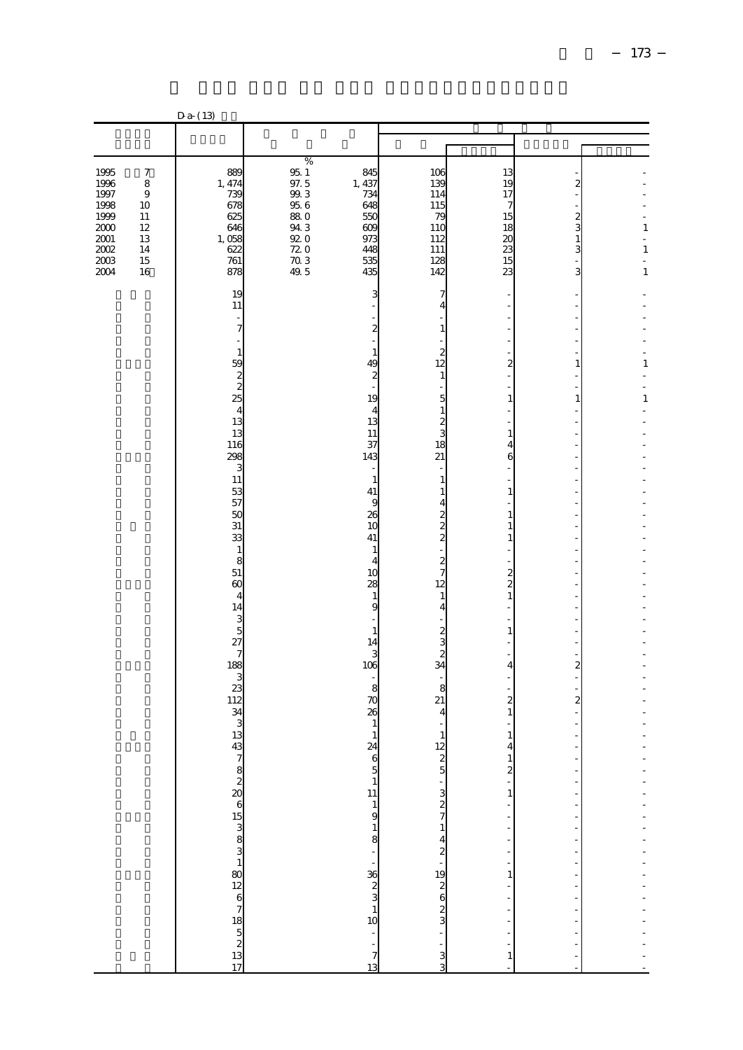|                                                                              |                                                                         | D a- (13)                                                                                         |                                                                                                                |                                                                                                             |                                                                                                    |                                                                                                 |                                                                                                |                                        |
|------------------------------------------------------------------------------|-------------------------------------------------------------------------|---------------------------------------------------------------------------------------------------|----------------------------------------------------------------------------------------------------------------|-------------------------------------------------------------------------------------------------------------|----------------------------------------------------------------------------------------------------|-------------------------------------------------------------------------------------------------|------------------------------------------------------------------------------------------------|----------------------------------------|
|                                                                              |                                                                         |                                                                                                   |                                                                                                                |                                                                                                             |                                                                                                    |                                                                                                 |                                                                                                |                                        |
|                                                                              |                                                                         |                                                                                                   |                                                                                                                |                                                                                                             |                                                                                                    |                                                                                                 |                                                                                                |                                        |
| 1995<br>1996<br>1997<br>1998<br>1999<br>2000<br>2001<br>2002<br>2003<br>2004 | 7<br>$\,$ 8 $\,$<br>$\,9$<br>10<br>11<br>12<br>13<br>14<br>$15\,$<br>16 | 889<br>1, 474<br>739<br>678<br>625<br>646<br>1,058<br>622<br>761<br>878                           | $\%$<br>95.1<br>97.5<br>$99.3\,$<br>95.6<br><b>880</b><br>$94\ 3$<br>92.0<br>72.0<br>$70.\overline{3}$<br>49.5 | 845<br>1, 437<br>734<br>648<br>550<br>609<br>973<br>448<br>535<br>435                                       | 106<br>139<br>114<br>115<br>79<br>110<br>112<br>111<br>128<br>142                                  | 13<br>19<br>17<br>7<br>15<br>18<br>20<br>23<br>15<br>23                                         | $\overline{\mathcal{Z}}$<br>$\begin{smallmatrix} 2 \\ 3 \\ 1 \end{smallmatrix}$<br>3<br>۰<br>3 | $\mathbf{1}$<br>÷<br>$\,1\,$<br>÷<br>1 |
|                                                                              |                                                                         | 19<br>$11\,$<br>÷,<br>$\overline{7}$<br>$1\,$<br>59<br>$rac{2}{25}$<br>$\overline{4}$<br>13<br>13 |                                                                                                                | 3<br>$\boldsymbol{2}$<br>$\mathbf{1}$<br>49<br>$\overline{\mathcal{Z}}$<br>19<br>$\overline{4}$<br>13<br>11 | 7<br>4<br>1<br>$\boldsymbol{z}$<br>12<br>$\mathbf{1}$<br>5<br>1<br>$\overline{\mathcal{Z}}$<br>3   | $\overline{\mathbf{c}}$<br>$\mathbf{1}$<br>$\mathbf{1}$                                         | 1<br>$1\,$                                                                                     | 1<br>Ē,<br>$\mathbf{1}$                |
|                                                                              |                                                                         | 116<br>298<br>3<br>11<br>53<br>57<br>50<br>$31\,$<br>33<br>$\mathbf{1}$<br>8<br>51                |                                                                                                                | 37<br>143<br>$\mathbf{1}$<br>41<br>9<br>26<br>10<br>41<br>1<br>$\overline{4}$<br>1 <sup>C</sup>             | 18<br>21<br>1<br>1<br>4<br>$\boldsymbol{z}$<br>$\frac{2}{2}$<br>$\boldsymbol{z}$<br>$\overline{7}$ | 4<br>6<br>$\mathbf{1}$<br>1<br>$\mathbf{1}$<br>$\mathbf{1}$<br>2                                |                                                                                                |                                        |
|                                                                              |                                                                         | 60<br>$\overline{4}$<br>14<br>$\frac{3}{5}$<br>27<br>$\overline{7}$<br>188<br>3<br>23<br>112      |                                                                                                                | 28<br>$\mathbf{1}$<br>9<br>$\mathbf{1}$<br>14<br>3<br>106<br>8<br>70                                        | 12<br>1<br>4<br>$\boldsymbol{z}$<br>3<br>$\overline{\mathbf{c}}$<br>34<br>8<br>21                  | $\overline{a}$<br>$\mathbf{1}$<br>$\mathbf{1}$<br>4<br>2                                        | ٠<br>$\overline{\mathbf{c}}$<br>$\qquad \qquad \blacksquare$<br>$\boldsymbol{z}$               |                                        |
|                                                                              |                                                                         | 34<br>3<br>13<br>43                                                                               |                                                                                                                | 26<br>1<br>$\mathbf{1}$<br>24                                                                               | $\overline{4}$<br>$\mathbf{1}$<br>12                                                               | $\mathbf{1}$<br>$\mathbf{1}$<br>4<br>$\frac{1}{2}$<br>$\mathbf{1}$<br>÷                         | ÷                                                                                              |                                        |
|                                                                              |                                                                         | $\frac{7820}{6538}$ 615 38 3 480 12 6 7 18 5 2 13 17                                              |                                                                                                                | $\frac{1}{7}$<br>13                                                                                         | איש ' ט מ <b>ג -- ב מ - ה' ה'</b> מ פ מ ט - י ט ט ט                                                | ł,<br>ł<br>$\overline{a}$<br>$\mathbf{1}$<br>ł,<br>$\frac{1}{1}$<br>ł<br>$\frac{1}{2}$<br>$\,1$ | $\overline{\phantom{a}}$<br>j,                                                                 | - - - - - - - - - - - - - - - - - - -  |